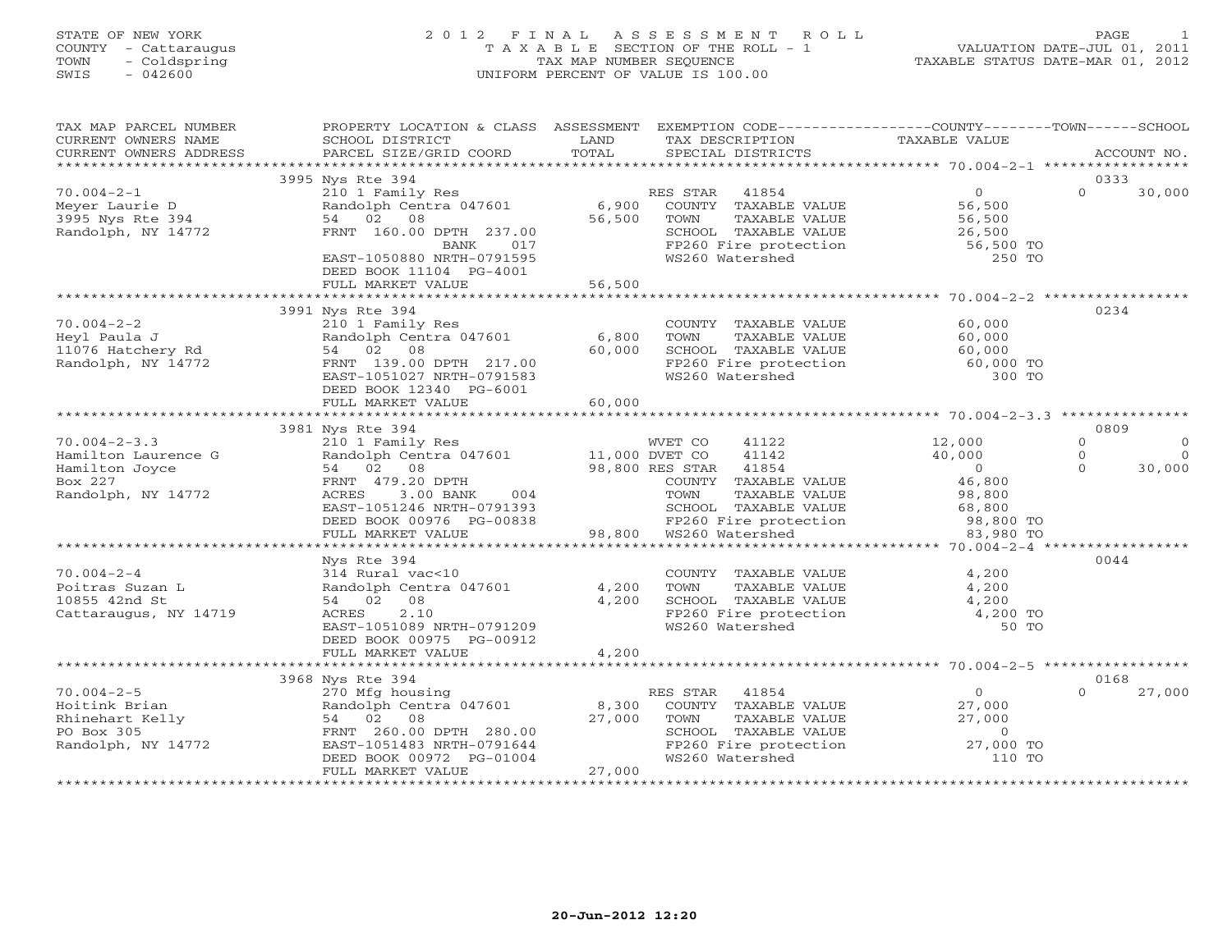# STATE OF NEW YORK 2 0 1 2 F I N A L A S S E S S M E N T R O L L PAGE 1 COUNTY - Cattaraugus T A X A B L E SECTION OF THE ROLL - 1 VALUATION DATE-JUL 01, 2011 TOWN - Coldspring TAX MAP NUMBER SEQUENCE TAXABLE STATUS DATE-MAR 01, 2012 SWIS - 042600 UNIFORM PERCENT OF VALUE IS 100.00UNIFORM PERCENT OF VALUE IS 100.00

| TAX MAP PARCEL NUMBER<br>CURRENT OWNERS NAME<br>CURRENT OWNERS ADDRESS                    | SCHOOL DISTRICT<br>PARCEL SIZE/GRID COORD                                                                                                                            | LAND<br>TAX DESCRIPTION<br>TOTAL<br>SPECIAL DISTRICTS                                                                                                                    | PROPERTY LOCATION & CLASS ASSESSMENT EXEMPTION CODE---------------COUNTY-------TOWN------SCHOOL<br>TAXABLE VALUE<br>ACCOUNT NO. |
|-------------------------------------------------------------------------------------------|----------------------------------------------------------------------------------------------------------------------------------------------------------------------|--------------------------------------------------------------------------------------------------------------------------------------------------------------------------|---------------------------------------------------------------------------------------------------------------------------------|
|                                                                                           |                                                                                                                                                                      |                                                                                                                                                                          |                                                                                                                                 |
|                                                                                           | 3995 Nys Rte 394                                                                                                                                                     |                                                                                                                                                                          | 0333                                                                                                                            |
| $70.004 - 2 - 1$<br>meyer Laurie D<br>3995 Nys Rte 394<br>Randolph, NY 14772              | 210 1 Family Res<br>Randolph Centra 047601<br>54 02 08<br>FRNT 160.00 DPTH 237.00<br>017<br>BANK<br>EAST-1050880 NRTH-0791595<br>DEED BOOK 11104 PG-4001             | RES STAR 41854<br>6,900 COUNTY TAXABLE VALUE<br>TAXABLE VALUE<br>56,500<br>TOWN<br>WS260 Watershed                                                                       | $\Omega$<br>30,000<br>0<br>56,500<br>56,500<br>SCHOOL TAXABLE VALUE 26,500<br>FP260 Fire protection 56,500 TO<br>250 TO         |
|                                                                                           |                                                                                                                                                                      |                                                                                                                                                                          |                                                                                                                                 |
| $70.004 - 2 - 2$<br>70.004-2-2<br>Heyl Paula J<br>11076 Hatchery Rd<br>Pandolnh. NY 14772 | 3991 Nys Rte 394<br>210 1 Family Res<br>Randolph Centra 047601 6,800<br>54 02 08<br>FRNT 139.00 DPTH 217.00<br>EAST-1051027 NRTH-0791583<br>DEED BOOK 12340 PG-6001  | COUNTY TAXABLE VALUE<br>TAXABLE VALUE<br>TOWN<br>60,000<br>SCHOOL TAXABLE VALUE<br>FP260 Fire protection<br>WS260 Watershed                                              | 0234<br>$60,000$<br>$60.000$<br>60,000<br>60,000 TO<br>300 TO                                                                   |
|                                                                                           | FULL MARKET VALUE                                                                                                                                                    | 60,000                                                                                                                                                                   |                                                                                                                                 |
|                                                                                           |                                                                                                                                                                      |                                                                                                                                                                          | 0809                                                                                                                            |
| $70.004 - 2 - 3.3$                                                                        | 3981 Nys Rte 394                                                                                                                                                     | WVET CO 41122 12,000                                                                                                                                                     | $\Omega$<br>$\Omega$                                                                                                            |
| Hamilton Laurence G                                                                       |                                                                                                                                                                      | 41142                                                                                                                                                                    | 40,000<br>$\Omega$<br>$\Omega$                                                                                                  |
| Hamilton Joyce<br>Box 227<br>Randolph, NY 14772                                           | 210 1 Family Res<br>Randolph Centra 047601 11,000 DVET CO<br>54 02 08 98,800 RES STAR<br>FRNT 479.20 DPTH<br>ACRES 3.00 BANK 004<br>EAST-1051246 NRTH-0791393        | 98,800 RES STAR 41854<br>COUNTY TAXABLE<br>TOWN TAXABLE<br>COUNTY TAXABLE VALUE<br>DEED BOOK 00976 PG-00838 FP260 Fire prote<br>FULL MARKET VALUE 98,800 WS260 Watershed | $0$<br>46,800<br>$\Omega$<br>30,000                                                                                             |
|                                                                                           |                                                                                                                                                                      |                                                                                                                                                                          |                                                                                                                                 |
| $70.004 - 2 - 4$<br>Poitras Suzan L<br>10855 42nd St<br>Cattaraugus, NY 14719             | Nys Rte 394<br>314 Rural vac<10<br>Randolph Centra 047601<br>54 02 08<br>2.10<br>ACRES<br>EAST-1051089 NRTH-0791209<br>DEED BOOK 00975 PG-00912<br>FULL MARKET VALUE | COUNTY TAXABLE VALUE<br>TOWN      TAXABLE VALUE<br>4,200<br>4,200<br>SCHOOL TAXABLE VALUE<br>FP260 Fire protection<br>WS260 Watershed<br>4,200                           | 0044<br>4,200<br>4,200<br>4,200<br>4,200 TO<br>50 TO                                                                            |
|                                                                                           |                                                                                                                                                                      |                                                                                                                                                                          |                                                                                                                                 |
| $70.004 - 2 - 5$                                                                          | 3968 Nys Rte 394                                                                                                                                                     | RES STAR 41854                                                                                                                                                           | 0168<br>27,000<br>$\Omega$                                                                                                      |
| Hoitink Brian<br>Rhinehart Kelly<br>PO Box 305<br>Randolph, NY 14772                      | 270 Mfg housing<br>Randolph Centra 047601 8,300<br>54 02 08 27,000<br>102 08<br>FRNT 260.00 DPTH 280.00<br>EAST-1051483 NRTH-0791644<br>FULL MARKET VALUE            | COUNTY TAXABLE VALUE<br>TAXABLE VALUE<br>TOWN<br>WS260 Watershed<br>27,000                                                                                               | $0$<br>27,000<br>27,000<br>SCHOOL TAXABLE VALUE 0<br>FP260 Fire protection 0 27,000 TO<br>110 TO<br>110 TO                      |
|                                                                                           |                                                                                                                                                                      |                                                                                                                                                                          |                                                                                                                                 |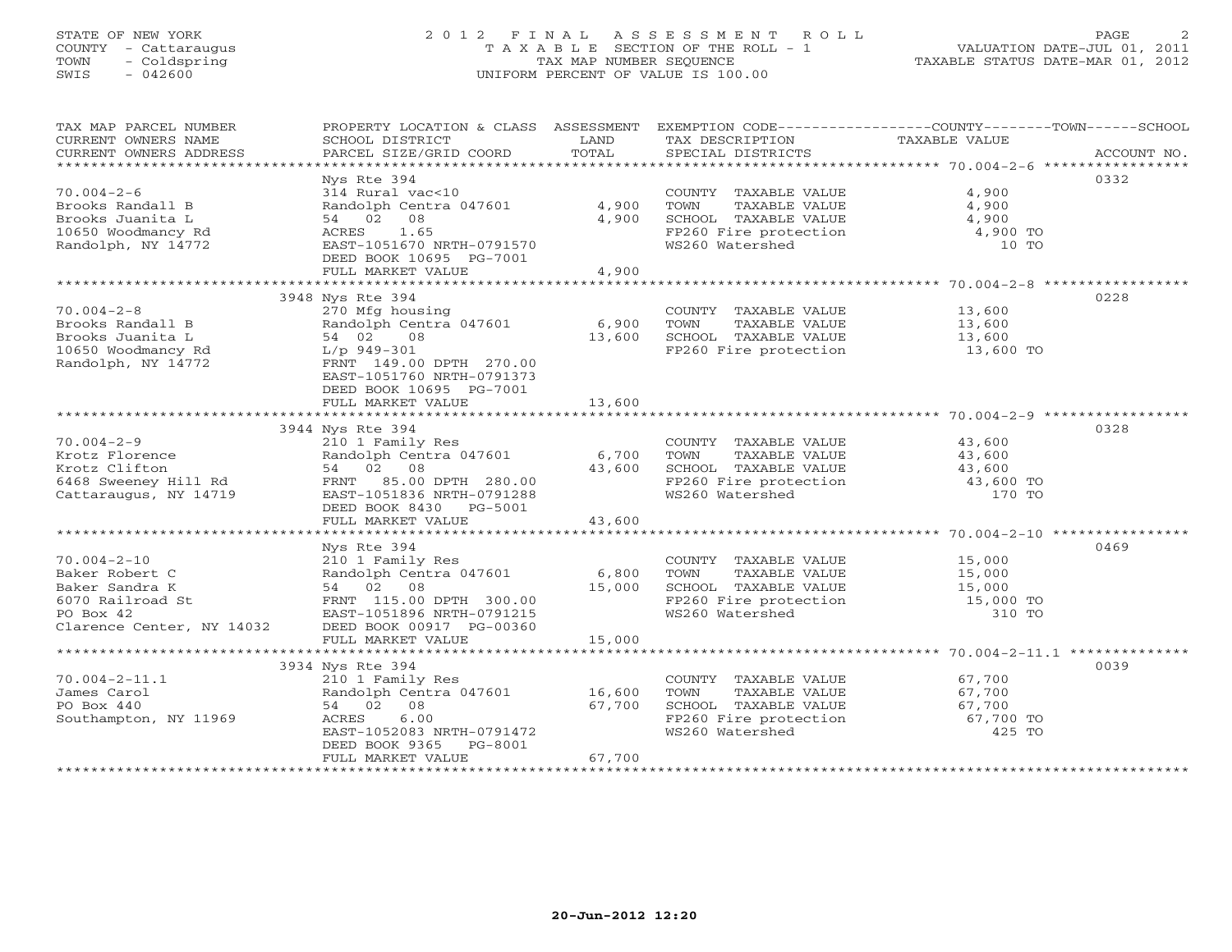# STATE OF NEW YORK 2 0 1 2 F I N A L A S S E S S M E N T R O L L PAGE 2 COUNTY - Cattaraugus T A X A B L E SECTION OF THE ROLL - 1 VALUATION DATE-JUL 01, 2011 TOWN - Coldspring TAX MAP NUMBER SEQUENCE TAXABLE STATUS DATE-MAR 01, 2012 SWIS - 042600 UNIFORM PERCENT OF VALUE IS 100.00UNIFORM PERCENT OF VALUE IS 100.00

| TAX MAP PARCEL NUMBER<br>CURRENT OWNERS NAME<br>CURRENT OWNERS ADDRESS | PROPERTY LOCATION & CLASS ASSESSMENT EXEMPTION CODE---------------COUNTY-------TOWN------SCHOOL<br>SCHOOL DISTRICT<br>PARCEL SIZE/GRID COORD | LAND<br>TOTAL | TAX DESCRIPTION<br>SPECIAL DISTRICTS                                                                                  | TAXABLE VALUE       | ACCOUNT NO. |
|------------------------------------------------------------------------|----------------------------------------------------------------------------------------------------------------------------------------------|---------------|-----------------------------------------------------------------------------------------------------------------------|---------------------|-------------|
|                                                                        |                                                                                                                                              |               |                                                                                                                       |                     |             |
|                                                                        | Nys Rte 394                                                                                                                                  |               |                                                                                                                       |                     | 0332        |
| $70.004 - 2 - 6$                                                       | 314 Rural vac<10                                                                                                                             |               | COUNTY TAXABLE VALUE                                                                                                  | 4,900               |             |
| Brooks Randall B                                                       | Randolph Centra 047601                                                                                                                       | 4,900         |                                                                                                                       |                     |             |
| Brooks Juanita L                                                       | 54 02 08                                                                                                                                     | 4,900         |                                                                                                                       |                     |             |
| 10650 Woodmancy Rd                                                     | ACRES 1.65                                                                                                                                   |               | TOWN TAXABLE VALUE 4,900<br>SCHOOL TAXABLE VALUE 4,900<br>FP260 Fire protection 4,900 TO                              |                     |             |
| Randolph, NY 14772                                                     | EAST-1051670 NRTH-0791570                                                                                                                    |               | WS260 Watershed                                                                                                       | $10$ TO             |             |
|                                                                        | DEED BOOK 10695 PG-7001                                                                                                                      |               |                                                                                                                       |                     |             |
|                                                                        | FULL MARKET VALUE                                                                                                                            | 4,900         |                                                                                                                       |                     |             |
|                                                                        |                                                                                                                                              |               |                                                                                                                       |                     |             |
|                                                                        | 3948 Nys Rte 394                                                                                                                             |               |                                                                                                                       |                     | 0228        |
| $70.004 - 2 - 8$                                                       | 270 Mfg housing<br>Randolph Centra 047601 6,900                                                                                              |               | COUNTY TAXABLE VALUE<br>TOWN     TAXABLE VALUE                                                                        | 13,600<br>13,600    |             |
| Brooks Randall B                                                       |                                                                                                                                              |               |                                                                                                                       |                     |             |
| Brooks Juanita L                                                       | 54 02<br>08                                                                                                                                  | 13,600        | SCHOOL TAXABLE VALUE<br>FP260 Fire protection                                                                         | 13,600<br>13,600 TO |             |
| 10650 Woodmancy Rd                                                     | $L/p$ 949-301                                                                                                                                |               |                                                                                                                       |                     |             |
| Randolph, NY 14772                                                     | FRNT 149.00 DPTH 270.00                                                                                                                      |               |                                                                                                                       |                     |             |
|                                                                        | EAST-1051760 NRTH-0791373                                                                                                                    |               |                                                                                                                       |                     |             |
|                                                                        | DEED BOOK 10695 PG-7001                                                                                                                      |               |                                                                                                                       |                     |             |
|                                                                        |                                                                                                                                              |               |                                                                                                                       |                     |             |
|                                                                        | 3944 Nys Rte 394                                                                                                                             |               |                                                                                                                       |                     | 0328        |
| $70.004 - 2 - 9$                                                       |                                                                                                                                              |               | COUNTY TAXABLE VALUE                                                                                                  |                     |             |
|                                                                        |                                                                                                                                              |               | TAXABLE VALUE<br>TAXABLE VALUE                                                                                        | 43,600<br>43,600    |             |
|                                                                        | 54 02 08                                                                                                                                     |               |                                                                                                                       |                     |             |
| ro.ou-2-2<br>Krotz Florence<br>Krotz Clifton<br>6468 Sweeney Hill Rd   | $54$ $02$ 08 $43,600$<br>FRNT 85.00 DPTH 280.00 $43,600$                                                                                     |               |                                                                                                                       |                     |             |
| Cattaraugus, NY 14719                                                  | EAST-1051836 NRTH-0791288                                                                                                                    |               | SCHOOL TAXABLE VALUE $43,600$<br>FP260 Fire protection $43,600$ TO<br>WS260 Watershed 170 TO                          |                     |             |
|                                                                        | DEED BOOK 8430 PG-5001                                                                                                                       |               |                                                                                                                       |                     |             |
|                                                                        | FULL MARKET VALUE                                                                                                                            | 43,600        |                                                                                                                       |                     |             |
|                                                                        |                                                                                                                                              |               |                                                                                                                       |                     |             |
|                                                                        | Nys Rte 394                                                                                                                                  |               |                                                                                                                       |                     | 0469        |
| $70.004 - 2 - 10$                                                      | 210 1 Family Res                                                                                                                             |               | COUNTY TAXABLE VALUE 15,000                                                                                           |                     |             |
| Baker Robert C                                                         | Randolph Centra 047601 6,800                                                                                                                 |               |                                                                                                                       |                     |             |
| Baker Sandra K                                                         | 54 02 08                                                                                                                                     | 15,000        |                                                                                                                       |                     |             |
| 6070 Railroad St                                                       | 3t<br>ERST-1051896 NRTH-0791215                                                                                                              |               |                                                                                                                       |                     |             |
| PO Box 42                                                              |                                                                                                                                              |               | TOWN TAXABLE VALUE 15,000<br>SCHOOL TAXABLE VALUE 15,000<br>FP260 Fire protection 15,000 TO<br>WS260 Watershed 310 TO |                     |             |
| Clarence Center, NY 14032 DEED BOOK 00917 PG-00360                     |                                                                                                                                              |               |                                                                                                                       |                     |             |
|                                                                        | FULL MARKET VALUE                                                                                                                            | 15,000        |                                                                                                                       |                     |             |
|                                                                        |                                                                                                                                              |               |                                                                                                                       |                     |             |
|                                                                        | 3934 Nys Rte 394                                                                                                                             |               |                                                                                                                       |                     | 0039        |
| $70.004 - 2 - 11.1$                                                    | 210 1 Family Res<br>Randolph Centra 047601 16,600                                                                                            |               | COUNTY TAXABLE VALUE<br>TOWN      TAXABLE VALUE                                                                       | 67,700              |             |
| James Carol<br>PO Box 440                                              | 54 02 08                                                                                                                                     |               |                                                                                                                       | 67,700              |             |
| Southampton, NY 11969                                                  | 6.00<br>ACRES                                                                                                                                | 67,700        |                                                                                                                       |                     |             |
|                                                                        | EAST-1052083 NRTH-0791472                                                                                                                    |               | SCHOOL TAXABLE VALUE 67,700<br>FP260 Fire protection 67,700 TO<br>WS260 Watershed 425 TO                              |                     |             |
|                                                                        | DEED BOOK 9365 PG-8001                                                                                                                       |               |                                                                                                                       |                     |             |
|                                                                        | FULL MARKET VALUE                                                                                                                            | 67,700        |                                                                                                                       |                     |             |
|                                                                        |                                                                                                                                              |               |                                                                                                                       |                     |             |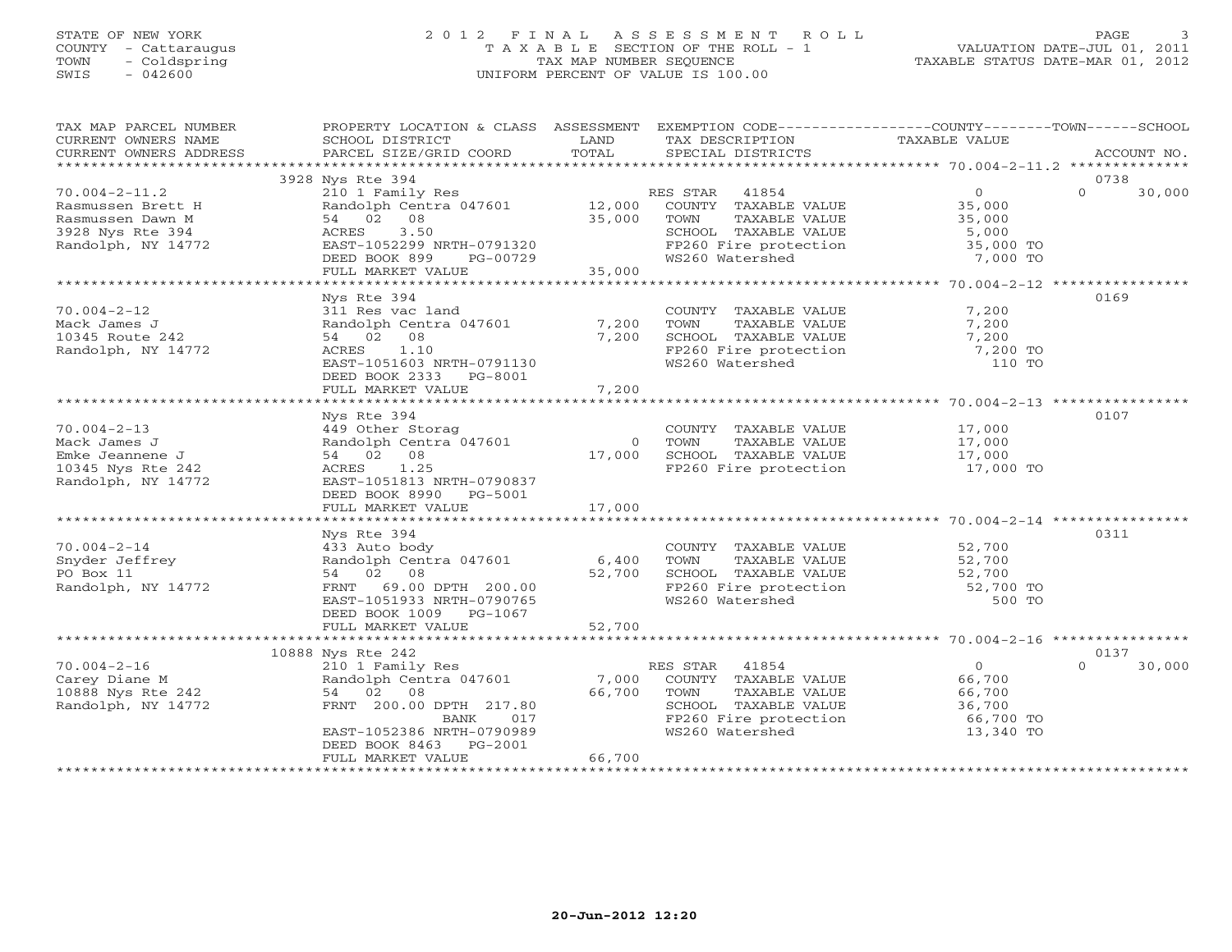### STATE OF NEW YORK 2 0 1 2 F I N A L A S S E S S M E N T R O L L PAGE 3 COUNTY - Cattaraugus T A X A B L E SECTION OF THE ROLL - 1 VALUATION DATE-JUL 01, 2011 TOWN - Coldspring TAX MAP NUMBER SEQUENCE TAXABLE STATUS DATE-MAR 01, 2012 SWIS - 042600 UNIFORM PERCENT OF VALUE IS 100.00UNIFORM PERCENT OF VALUE IS 100.00

| TAX MAP PARCEL NUMBER  | PROPERTY LOCATION & CLASS ASSESSMENT EXEMPTION CODE----------------COUNTY-------TOWN------SCHOOL |            |                       |                      |             |        |
|------------------------|--------------------------------------------------------------------------------------------------|------------|-----------------------|----------------------|-------------|--------|
| CURRENT OWNERS NAME    | SCHOOL DISTRICT                                                                                  | LAND       | TAX DESCRIPTION       | TAXABLE VALUE        |             |        |
| CURRENT OWNERS ADDRESS | PARCEL SIZE/GRID COORD                                                                           | TOTAL      | SPECIAL DISTRICTS     |                      | ACCOUNT NO. |        |
|                        |                                                                                                  |            |                       |                      |             |        |
|                        | 3928 Nys Rte 394                                                                                 |            |                       |                      | 0738        |        |
| $70.004 - 2 - 11.2$    | 210 1 Family Res                                                                                 |            | RES STAR 41854        | $\Omega$             | $\Omega$    | 30,000 |
| Rasmussen Brett H      | Randolph Centra 047601                                                                           | 12,000     | COUNTY TAXABLE VALUE  | 35,000               |             |        |
| Rasmussen Dawn M       | 54 02 08                                                                                         | 35,000     | TAXABLE VALUE<br>TOWN | 35,000               |             |        |
| 3928 Nys Rte 394       | 3.50<br>ACRES                                                                                    |            | SCHOOL TAXABLE VALUE  | 5,000                |             |        |
| Randolph, NY 14772     | EAST-1052299 NRTH-0791320                                                                        |            | FP260 Fire protection | 35,000 TO            |             |        |
|                        | DEED BOOK 899<br>PG-00729                                                                        |            | WS260 Watershed       | 7,000 TO             |             |        |
|                        | FULL MARKET VALUE                                                                                | 35,000     |                       |                      |             |        |
|                        |                                                                                                  |            |                       |                      |             |        |
|                        | Nys Rte 394                                                                                      |            |                       |                      | 0169        |        |
| $70.004 - 2 - 12$      | 311 Res vac land                                                                                 |            | COUNTY TAXABLE VALUE  | 7,200                |             |        |
| Mack James J           | Randolph Centra 047601                                                                           | 7,200      | TOWN<br>TAXABLE VALUE | 7,200                |             |        |
| 10345 Route 242        | 54 02 08                                                                                         | 7,200      | SCHOOL TAXABLE VALUE  | 7,200                |             |        |
| Randolph, NY 14772     | 1.10<br>ACRES                                                                                    |            | FP260 Fire protection | 7,200 TO             |             |        |
|                        | EAST-1051603 NRTH-0791130                                                                        |            | WS260 Watershed       | 110 TO               |             |        |
|                        |                                                                                                  |            |                       |                      |             |        |
|                        | DEED BOOK 2333 PG-8001                                                                           |            |                       |                      |             |        |
|                        | FULL MARKET VALUE                                                                                | 7,200      |                       |                      |             |        |
|                        |                                                                                                  |            |                       |                      |             |        |
|                        | Nys Rte 394                                                                                      |            |                       |                      | 0107        |        |
| $70.004 - 2 - 13$      | 449 Other Storag                                                                                 |            | COUNTY TAXABLE VALUE  | 17,000               |             |        |
| Mack James J           | Randolph Centra 047601                                                                           | $\bigcirc$ | TAXABLE VALUE<br>TOWN | 17,000               |             |        |
| Emke Jeannene J        | 54 02 08                                                                                         | 17,000     | SCHOOL TAXABLE VALUE  | 17,000               |             |        |
| 10345 Nys Rte 242      | ACRES 1.25                                                                                       |            | FP260 Fire protection | 17,000 TO            |             |        |
| Randolph, NY 14772     | EAST-1051813 NRTH-0790837                                                                        |            |                       |                      |             |        |
|                        | DEED BOOK 8990<br>PG-5001                                                                        |            |                       |                      |             |        |
|                        | FULL MARKET VALUE                                                                                | 17,000     |                       |                      |             |        |
|                        |                                                                                                  |            |                       |                      |             |        |
|                        | Nys Rte 394                                                                                      |            |                       |                      | 0311        |        |
| $70.004 - 2 - 14$      | 433 Auto body                                                                                    |            | COUNTY TAXABLE VALUE  | 52,700               |             |        |
| Snyder Jeffrey         | Randolph Centra 047601                                                                           | 6,400      | TOWN<br>TAXABLE VALUE | $52,700$<br>$52,700$ |             |        |
| PO Box 11              | 54 02 08                                                                                         | 52,700     | SCHOOL TAXABLE VALUE  |                      |             |        |
| Randolph, NY 14772     | FRNT 69.00 DPTH 200.00                                                                           |            | FP260 Fire protection | 52,700 TO            |             |        |
|                        | EAST-1051933 NRTH-0790765                                                                        |            | WS260 Watershed       | 500 TO               |             |        |
|                        | DEED BOOK 1009 PG-1067                                                                           |            |                       |                      |             |        |
|                        | FULL MARKET VALUE                                                                                | 52,700     |                       |                      |             |        |
|                        |                                                                                                  |            |                       |                      |             |        |
|                        | 10888 Nys Rte 242                                                                                |            |                       |                      | 0137        |        |
| $70.004 - 2 - 16$      | 210 1 Family Res                                                                                 |            | RES STAR<br>41854     | $\Omega$             | $\Omega$    | 30,000 |
| Carey Diane M          | Randolph Centra 047601                                                                           | 7,000      | COUNTY TAXABLE VALUE  | 66,700               |             |        |
| 10888 Nys Rte 242      | 54 02 08                                                                                         | 66,700     | TAXABLE VALUE<br>TOWN | 66,700               |             |        |
| Randolph, NY 14772     | FRNT 200.00 DPTH 217.80                                                                          |            | SCHOOL TAXABLE VALUE  | 36,700               |             |        |
|                        | 017<br>BANK                                                                                      |            | FP260 Fire protection | 66,700 TO            |             |        |
|                        | EAST-1052386 NRTH-0790989                                                                        |            | WS260 Watershed       | 13,340 TO            |             |        |
|                        |                                                                                                  |            |                       |                      |             |        |
|                        | DEED BOOK 8463 PG-2001                                                                           | 66,700     |                       |                      |             |        |
|                        | FULL MARKET VALUE<br>******************************                                              |            |                       |                      |             |        |
|                        |                                                                                                  |            |                       |                      |             |        |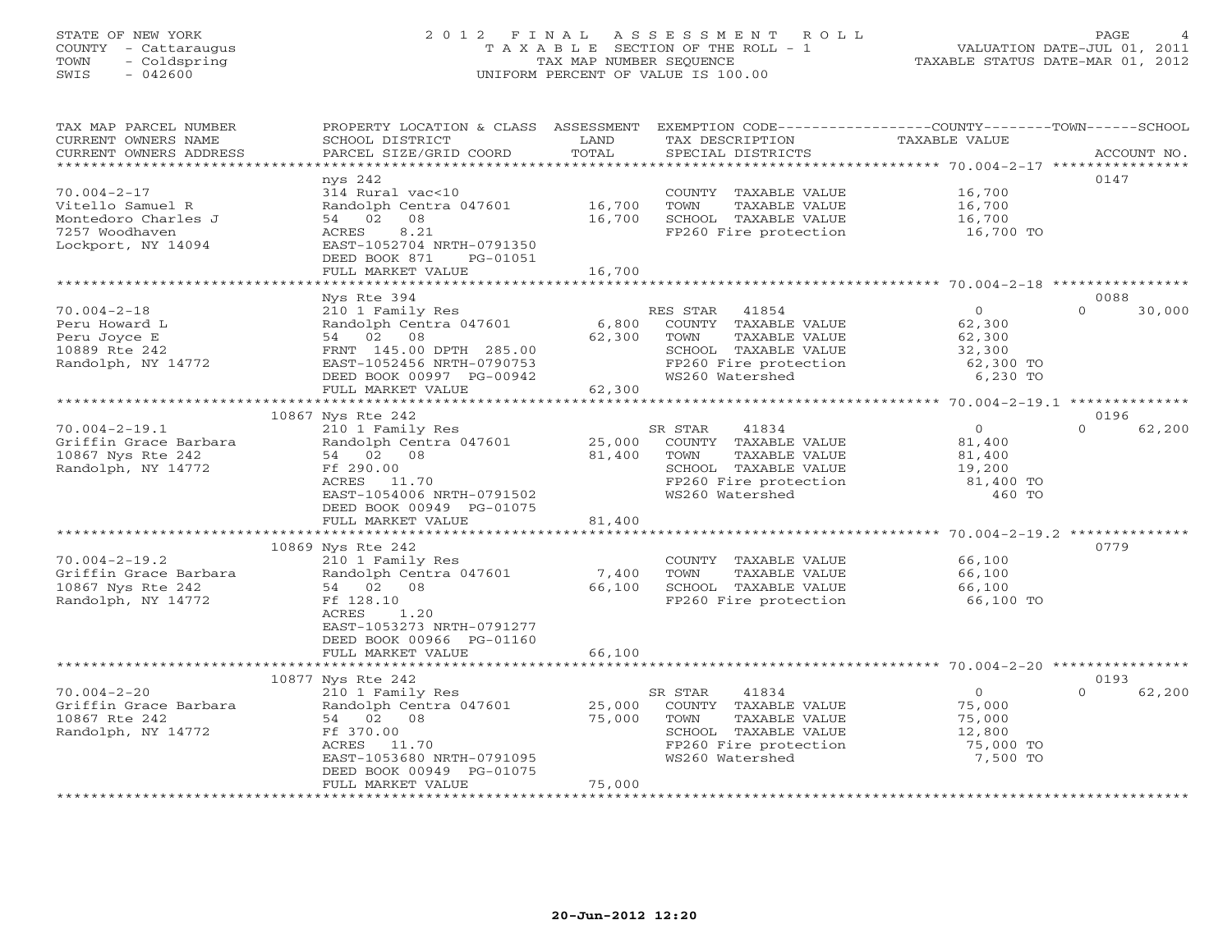# STATE OF NEW YORK 2 0 1 2 F I N A L A S S E S S M E N T R O L L PAGE 4 COUNTY - Cattaraugus T A X A B L E SECTION OF THE ROLL - 1 VALUATION DATE-JUL 01, 2011 TOWN - Coldspring TAX MAP NUMBER SEQUENCE TAXABLE STATUS DATE-MAR 01, 2012 SWIS - 042600 UNIFORM PERCENT OF VALUE IS 100.00UNIFORM PERCENT OF VALUE IS 100.00

| TAX MAP PARCEL NUMBER<br>CURRENT OWNERS NAME     | PROPERTY LOCATION & CLASS ASSESSMENT<br>SCHOOL DISTRICT | LAND<br>TOTAL | TAX DESCRIPTION       | EXEMPTION CODE-----------------COUNTY-------TOWN------SCHOOL<br>TAXABLE VALUE |                    |
|--------------------------------------------------|---------------------------------------------------------|---------------|-----------------------|-------------------------------------------------------------------------------|--------------------|
| CURRENT OWNERS ADDRESS<br>********************** | PARCEL SIZE/GRID COORD                                  |               | SPECIAL DISTRICTS     |                                                                               | ACCOUNT NO.        |
|                                                  | nys 242                                                 |               |                       |                                                                               | 0147               |
| $70.004 - 2 - 17$                                | 314 Rural vac<10                                        |               | COUNTY TAXABLE VALUE  | 16,700                                                                        |                    |
| Vitello Samuel R                                 | Randolph Centra 047601                                  | 16,700        | TOWN<br>TAXABLE VALUE | 16,700                                                                        |                    |
| Montedoro Charles J                              | 54 02 08                                                | 16,700        | SCHOOL TAXABLE VALUE  | 16,700                                                                        |                    |
| 7257 Woodhaven                                   | 8.21<br>ACRES                                           |               | FP260 Fire protection | 16,700 TO                                                                     |                    |
| Lockport, NY 14094                               | EAST-1052704 NRTH-0791350                               |               |                       |                                                                               |                    |
|                                                  | DEED BOOK 871<br>PG-01051                               |               |                       |                                                                               |                    |
|                                                  | FULL MARKET VALUE                                       | 16,700        |                       |                                                                               |                    |
|                                                  |                                                         |               |                       |                                                                               |                    |
|                                                  | Nys Rte 394                                             |               |                       |                                                                               | 0088               |
| $70.004 - 2 - 18$                                | 210 1 Family Res                                        |               | RES STAR<br>41854     | $\overline{0}$                                                                | $\Omega$<br>30,000 |
| Peru Howard L                                    | Randolph Centra 047601                                  | 6,800         | COUNTY TAXABLE VALUE  | 62,300                                                                        |                    |
| Peru Joyce E                                     | 54 02 08                                                | 62,300        | TAXABLE VALUE<br>TOWN | 62,300                                                                        |                    |
| 10889 Rte 242                                    | FRNT 145.00 DPTH 285.00                                 |               | SCHOOL TAXABLE VALUE  | 32,300                                                                        |                    |
| Randolph, NY 14772                               | EAST-1052456 NRTH-0790753                               |               | FP260 Fire protection | 62,300 TO                                                                     |                    |
|                                                  | DEED BOOK 00997 PG-00942<br>FULL MARKET VALUE           | 62,300        | WS260 Watershed       | 6,230 TO                                                                      |                    |
|                                                  |                                                         | ************  |                       | ************** 70.004-2-19.1 *************                                    |                    |
|                                                  | 10867 Nys Rte 242                                       |               |                       |                                                                               | 0196               |
| $70.004 - 2 - 19.1$                              | 210 1 Family Res                                        |               | SR STAR<br>41834      | $\overline{O}$                                                                | $\Omega$<br>62,200 |
| Griffin Grace Barbara                            | Randolph Centra 047601                                  | 25,000        | COUNTY TAXABLE VALUE  | 81,400                                                                        |                    |
| 10867 Nys Rte 242                                | 54 02 08                                                | 81,400        | TAXABLE VALUE<br>TOWN | 81,400                                                                        |                    |
| Randolph, NY 14772                               | Ff 290.00                                               |               | SCHOOL TAXABLE VALUE  | 19,200                                                                        |                    |
|                                                  | ACRES 11.70                                             |               | FP260 Fire protection | 81,400 TO                                                                     |                    |
|                                                  | EAST-1054006 NRTH-0791502                               |               | WS260 Watershed       | 460 TO                                                                        |                    |
|                                                  | DEED BOOK 00949 PG-01075                                |               |                       |                                                                               |                    |
|                                                  | FULL MARKET VALUE                                       | 81,400        |                       |                                                                               |                    |
|                                                  |                                                         |               |                       |                                                                               |                    |
|                                                  | 10869 Nys Rte 242                                       |               |                       |                                                                               | 0779               |
| $70.004 - 2 - 19.2$                              | 210 1 Family Res                                        |               | COUNTY TAXABLE VALUE  | 66,100                                                                        |                    |
| Griffin Grace Barbara                            | Randolph Centra 047601                                  | 7,400         | TOWN<br>TAXABLE VALUE | 66,100                                                                        |                    |
| 10867 Nys Rte 242                                | 54 02 08                                                | 66,100        | SCHOOL TAXABLE VALUE  | 66,100                                                                        |                    |
| Randolph, NY 14772                               | Ff 128.10<br>ACRES<br>1.20                              |               | FP260 Fire protection | 66,100 TO                                                                     |                    |
|                                                  | EAST-1053273 NRTH-0791277                               |               |                       |                                                                               |                    |
|                                                  | DEED BOOK 00966 PG-01160                                |               |                       |                                                                               |                    |
|                                                  | FULL MARKET VALUE                                       | 66,100        |                       |                                                                               |                    |
|                                                  |                                                         |               |                       |                                                                               |                    |
|                                                  | 10877 Nys Rte 242                                       |               |                       |                                                                               | 0193               |
| $70.004 - 2 - 20$                                | 210 1 Family Res                                        |               | SR STAR<br>41834      | $\Omega$                                                                      | $\Omega$<br>62,200 |
| Griffin Grace Barbara                            | Randolph Centra 047601                                  | 25,000        | COUNTY TAXABLE VALUE  | 75,000                                                                        |                    |
| 10867 Rte 242                                    | 54 02 08                                                | 75,000        | TOWN<br>TAXABLE VALUE | 75,000                                                                        |                    |
| Randolph, NY 14772                               | Ff 370.00                                               |               | SCHOOL TAXABLE VALUE  | 12,800                                                                        |                    |
|                                                  | ACRES<br>11.70                                          |               | FP260 Fire protection | 75,000 TO                                                                     |                    |
|                                                  | EAST-1053680 NRTH-0791095                               |               | WS260 Watershed       | 7,500 TO                                                                      |                    |
|                                                  | DEED BOOK 00949 PG-01075                                |               |                       |                                                                               |                    |
|                                                  | FULL MARKET VALUE                                       | 75,000        |                       |                                                                               |                    |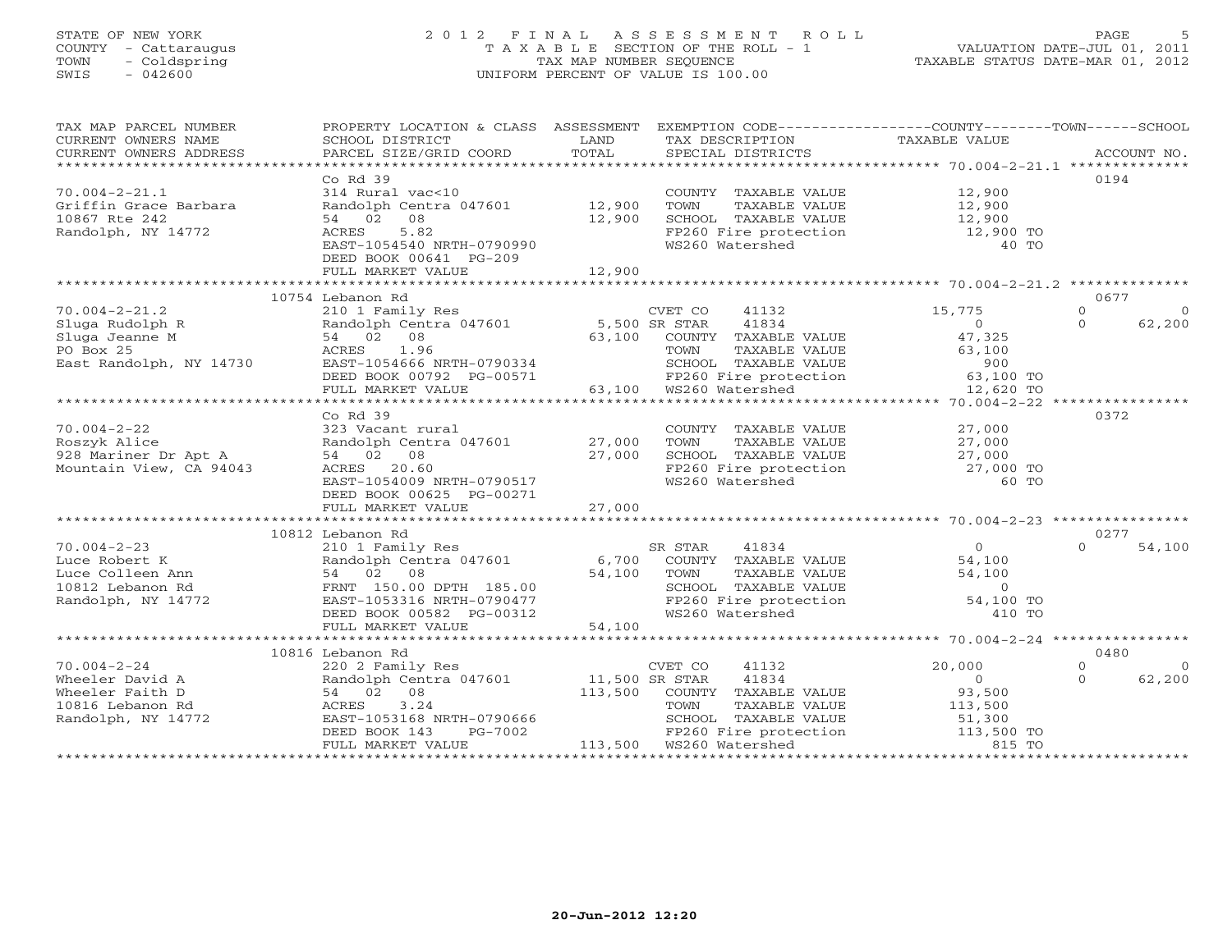# STATE OF NEW YORK 2 0 1 2 F I N A L A S S E S S M E N T R O L L PAGE 5 COUNTY - Cattaraugus T A X A B L E SECTION OF THE ROLL - 1 VALUATION DATE-JUL 01, 2011 TOWN - Coldspring TAX MAP NUMBER SEQUENCE TAXABLE STATUS DATE-MAR 01, 2012 SWIS - 042600 UNIFORM PERCENT OF VALUE IS 100.00

|  | LE STATUS DATE-MAR 01, 2012 |  |
|--|-----------------------------|--|
|  |                             |  |

| TAX MAP PARCEL NUMBER                                                                                                                                                                                        | PROPERTY LOCATION & CLASS ASSESSMENT EXEMPTION CODE---------------COUNTY-------TOWN-----SCHOOL |        |                                                                                                                                |                       |                      |
|--------------------------------------------------------------------------------------------------------------------------------------------------------------------------------------------------------------|------------------------------------------------------------------------------------------------|--------|--------------------------------------------------------------------------------------------------------------------------------|-----------------------|----------------------|
| CURRENT OWNERS NAME                                                                                                                                                                                          | SCHOOL DISTRICT                                                                                | LAND   | TAX DESCRIPTION                                                                                                                | TAXABLE VALUE         |                      |
|                                                                                                                                                                                                              |                                                                                                |        |                                                                                                                                |                       |                      |
|                                                                                                                                                                                                              |                                                                                                |        |                                                                                                                                |                       |                      |
|                                                                                                                                                                                                              | $Co$ Rd $39$                                                                                   |        |                                                                                                                                |                       | 0194                 |
| $70.004 - 2 - 21.1$                                                                                                                                                                                          | 314 Rural vac<10                                                                               |        | COUNTY TAXABLE VALUE 12,900                                                                                                    |                       |                      |
| Griffin Grace Barbara                                                                                                                                                                                        | Randolph Centra 047601 12,900                                                                  |        | TOWN<br>TAXABLE VALUE                                                                                                          | 12,900                |                      |
| 10867 Rte 242                                                                                                                                                                                                | 54 02 08                                                                                       | 12,900 | SCHOOL TAXABLE VALUE 12,900                                                                                                    |                       |                      |
| Randolph, NY 14772                                                                                                                                                                                           | 5.82<br>ACRES                                                                                  |        | FP260 Fire protection                                                                                                          | 12,900 TO             |                      |
|                                                                                                                                                                                                              | EAST-1054540 NRTH-0790990                                                                      |        | WS260 Watershed                                                                                                                | 40 TO                 |                      |
|                                                                                                                                                                                                              | DEED BOOK 00641 PG-209                                                                         |        |                                                                                                                                |                       |                      |
|                                                                                                                                                                                                              | FULL MARKET VALUE                                                                              | 12,900 |                                                                                                                                |                       |                      |
|                                                                                                                                                                                                              |                                                                                                |        |                                                                                                                                |                       |                      |
|                                                                                                                                                                                                              | 10754 Lebanon Rd                                                                               |        |                                                                                                                                |                       | 0677                 |
| $70.004 - 2 - 21.2$                                                                                                                                                                                          | 210 1 Family Res                                                                               |        | CVET CO<br>41132                                                                                                               | 15,775                | $\Omega$<br>$\Omega$ |
|                                                                                                                                                                                                              |                                                                                                |        |                                                                                                                                | $\overline{0}$        | $\Omega$<br>62,200   |
|                                                                                                                                                                                                              |                                                                                                |        | COUNTY TAXABLE VALUE                                                                                                           | 47,325                |                      |
|                                                                                                                                                                                                              |                                                                                                |        |                                                                                                                                |                       |                      |
|                                                                                                                                                                                                              |                                                                                                |        |                                                                                                                                |                       |                      |
| PO Box 25<br>East Randolph, NY 14730<br>EAST-1054666 NRTH-0790334 SCHOOL TAXABLE VALUE 900<br>DEED BOOK 00792 PG-00571 FP260 Fire protection 63,100 TO<br>FULL MARKET VALUE 63,100 WS260 Watershed 12,620 TO |                                                                                                |        |                                                                                                                                |                       |                      |
|                                                                                                                                                                                                              |                                                                                                |        |                                                                                                                                |                       |                      |
|                                                                                                                                                                                                              |                                                                                                |        |                                                                                                                                |                       |                      |
|                                                                                                                                                                                                              | Co $Rd$ 39                                                                                     |        |                                                                                                                                |                       | 0372                 |
|                                                                                                                                                                                                              |                                                                                                |        |                                                                                                                                |                       |                      |
|                                                                                                                                                                                                              |                                                                                                |        | COUNTY TAXABLE VALUE<br>TOWN TAXABLE VALUE 27,000                                                                              |                       |                      |
|                                                                                                                                                                                                              |                                                                                                |        |                                                                                                                                |                       |                      |
|                                                                                                                                                                                                              |                                                                                                |        | SCHOOL TAXABLE VALUE $27,000$<br>FP260 Fire protection $27,000$ TO<br>WS260 Watershed 60 TO                                    |                       |                      |
|                                                                                                                                                                                                              |                                                                                                |        |                                                                                                                                |                       |                      |
|                                                                                                                                                                                                              | EAST-1054009 NRTH-0790517                                                                      |        |                                                                                                                                |                       |                      |
|                                                                                                                                                                                                              | DEED BOOK 00625 PG-00271                                                                       |        |                                                                                                                                |                       |                      |
|                                                                                                                                                                                                              | FULL MARKET VALUE                                                                              | 27,000 |                                                                                                                                |                       |                      |
|                                                                                                                                                                                                              |                                                                                                |        |                                                                                                                                |                       |                      |
|                                                                                                                                                                                                              | 10812 Lebanon Rd                                                                               |        |                                                                                                                                |                       | 0277                 |
|                                                                                                                                                                                                              |                                                                                                |        | 41834<br>SR STAR                                                                                                               | $\overline{0}$        | $\Omega$<br>54,100   |
|                                                                                                                                                                                                              | Randolph Centra 047601 6,700                                                                   |        | COUNTY TAXABLE VALUE 54,100                                                                                                    |                       |                      |
|                                                                                                                                                                                                              |                                                                                                | 54,100 |                                                                                                                                |                       |                      |
|                                                                                                                                                                                                              |                                                                                                |        | TOWN TAXABLE VALUE 54,100<br>SCHOOL TAXABLE VALUE 54,100<br>FP260 Fire protection 54,100 TO<br>FP260 Fire protection 54,100 TO |                       |                      |
|                                                                                                                                                                                                              | EAST-1053316 NRTH-0790477                                                                      |        |                                                                                                                                |                       |                      |
|                                                                                                                                                                                                              | DEED BOOK 00582 PG-00312                                                                       |        | WS260 Watershed                                                                                                                | 410 TO                |                      |
|                                                                                                                                                                                                              | FULL MARKET VALUE                                                                              | 54,100 |                                                                                                                                |                       |                      |
|                                                                                                                                                                                                              |                                                                                                |        |                                                                                                                                |                       |                      |
|                                                                                                                                                                                                              | 10816 Lebanon Rd                                                                               |        |                                                                                                                                |                       | 0480                 |
| $70.004 - 2 - 24$                                                                                                                                                                                            | 220 2 Family Res                                                                               |        | CVET CO 41132                                                                                                                  | 20,000                | $\Omega$<br>$\Omega$ |
| Wheeler David A                                                                                                                                                                                              | Randolph Centra 047601 11,500 SR STAR                                                          |        | 41834                                                                                                                          | $\overline{0}$        | $\Omega$<br>62,200   |
| Wheeler Faith D                                                                                                                                                                                              | 54 02 08                                                                                       |        | 113,500 COUNTY TAXABLE VALUE                                                                                                   | 93,500                |                      |
| 10816 Lebanon Rd                                                                                                                                                                                             | ACRES 3.24                                                                                     |        | TOWN                                                                                                                           | TAXABLE VALUE 113,500 |                      |
| Randolph, NY 14772                                                                                                                                                                                           | EAST-1053168 NRTH-0790666                                                                      |        |                                                                                                                                |                       |                      |
|                                                                                                                                                                                                              | DEED BOOK 143                                                                                  |        |                                                                                                                                |                       |                      |
|                                                                                                                                                                                                              | FULL MARKET VALUE                                                                              |        | SCHOOL TAXABLE VALUE 51,300<br>FP260 Fire protection 113,500 TO<br>WS260 Watershed 815 TO                                      |                       |                      |
|                                                                                                                                                                                                              |                                                                                                |        |                                                                                                                                |                       |                      |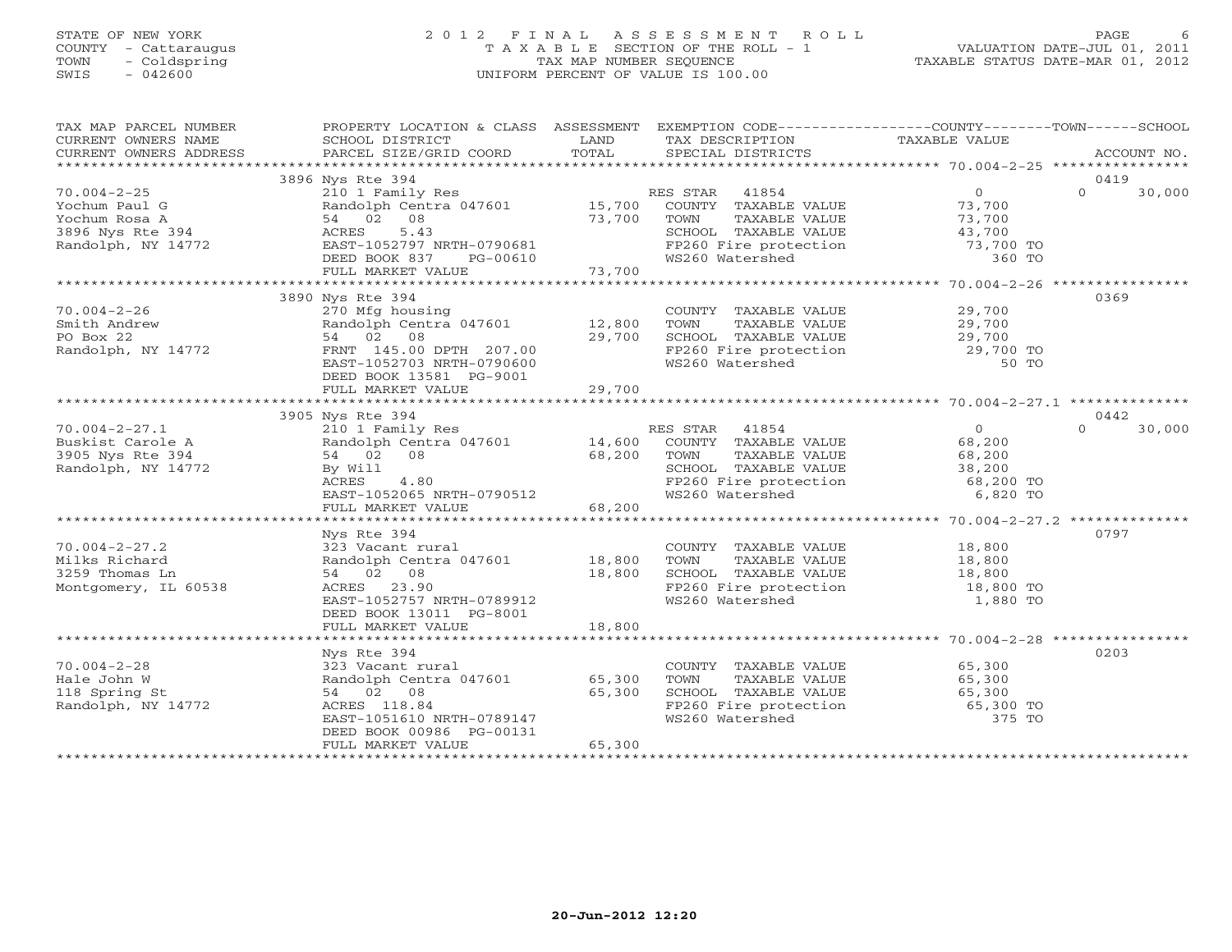### STATE OF NEW YORK 2 0 1 2 F I N A L A S S E S S M E N T R O L L PAGE 6 COUNTY - Cattaraugus T A X A B L E SECTION OF THE ROLL - 1 VALUATION DATE-JUL 01, 2011 TOWN - Coldspring TAX MAP NUMBER SEQUENCE TAXABLE STATUS DATE-MAR 01, 2012 SWIS - 042600 UNIFORM PERCENT OF VALUE IS 100.00UNIFORM PERCENT OF VALUE IS 100.00

| TAX MAP PARCEL NUMBER                                                                                                                                                                                                                                                                                                                                                                                                                                                                                                                            | PROPERTY LOCATION & CLASS ASSESSMENT EXEMPTION CODE----------------COUNTY-------TOWN------SCHOOL                                                                                                                                        |                        |                                                                                                               |                      |                            |
|--------------------------------------------------------------------------------------------------------------------------------------------------------------------------------------------------------------------------------------------------------------------------------------------------------------------------------------------------------------------------------------------------------------------------------------------------------------------------------------------------------------------------------------------------|-----------------------------------------------------------------------------------------------------------------------------------------------------------------------------------------------------------------------------------------|------------------------|---------------------------------------------------------------------------------------------------------------|----------------------|----------------------------|
| CURRENT OWNERS NAME                                                                                                                                                                                                                                                                                                                                                                                                                                                                                                                              | SCHOOL DISTRICT                                                                                                                                                                                                                         | <b>Example 12</b> LAND | TAX DESCRIPTION                                                                                               | TAXABLE VALUE        |                            |
| CURRENT OWNERS ADDRESS<br>$\begin{minipage}{.45\textwidth} \begin{minipage}{.45\textwidth} \begin{minipage}{.45\textwidth} \begin{minipage}{.45\textwidth} \begin{minipage}{.45\textwidth} \begin{minipage}{.45\textwidth} \begin{minipage}{.45\textwidth} \begin{minipage}{.45\textwidth} \begin{minipage}{.45\textwidth} \begin{minipage}{.45\textwidth} \begin{minipage}{.45\textwidth} \begin{minipage}{.45\textwidth} \begin{minipage}{.45\textwidth} \begin{minipage}{.45\textwidth} \begin{minipage}{.45\textwidth} \begin{minipage}{.45$ |                                                                                                                                                                                                                                         |                        |                                                                                                               |                      |                            |
|                                                                                                                                                                                                                                                                                                                                                                                                                                                                                                                                                  |                                                                                                                                                                                                                                         |                        |                                                                                                               |                      |                            |
|                                                                                                                                                                                                                                                                                                                                                                                                                                                                                                                                                  | 3896 Nys Rte 394<br>210 1 Family Res                                                                                                                                                                                                    |                        |                                                                                                               | $\overline{0}$       | 0419<br>$\Omega$<br>30,000 |
| $70.004 - 2 - 25$                                                                                                                                                                                                                                                                                                                                                                                                                                                                                                                                |                                                                                                                                                                                                                                         |                        | RES STAR 41854                                                                                                |                      |                            |
| Yochum Paul G<br>Yochum Rosa A                                                                                                                                                                                                                                                                                                                                                                                                                                                                                                                   |                                                                                                                                                                                                                                         |                        |                                                                                                               |                      |                            |
| 3896 Nys Rte 394                                                                                                                                                                                                                                                                                                                                                                                                                                                                                                                                 |                                                                                                                                                                                                                                         |                        |                                                                                                               |                      |                            |
| Randolph, NY 14772                                                                                                                                                                                                                                                                                                                                                                                                                                                                                                                               | Fandolph Centra 047601 15,700 COUNTY TAXABLE VALUE 73,700<br>54 02 08 73,700 TOWN TAXABLE VALUE 73,700<br>ACRES 5.43 SCHOOL TAXABLE VALUE 43,700<br>EAST-1052797 NRTH-0790681 FP260 Fire protection 73,700<br>EAST-1052797 NRTH-0790681 |                        |                                                                                                               |                      |                            |
|                                                                                                                                                                                                                                                                                                                                                                                                                                                                                                                                                  |                                                                                                                                                                                                                                         |                        | SCHOOL TAXABLE VALUE $43,700$<br>FP260 Fire protection 73,700 TO<br>WS260 Watershed 360 TO                    |                      |                            |
|                                                                                                                                                                                                                                                                                                                                                                                                                                                                                                                                                  |                                                                                                                                                                                                                                         |                        |                                                                                                               |                      |                            |
|                                                                                                                                                                                                                                                                                                                                                                                                                                                                                                                                                  |                                                                                                                                                                                                                                         |                        |                                                                                                               |                      |                            |
|                                                                                                                                                                                                                                                                                                                                                                                                                                                                                                                                                  | 3890 Nys Rte 394                                                                                                                                                                                                                        |                        |                                                                                                               |                      | 0369                       |
| $70.004 - 2 - 26$                                                                                                                                                                                                                                                                                                                                                                                                                                                                                                                                | Nys Rue 33.<br>270 Mfg housing<br>Randolph Centra 047601 12,800                                                                                                                                                                         |                        | COUNTY TAXABLE VALUE 29,700                                                                                   |                      |                            |
| Smith Andrew                                                                                                                                                                                                                                                                                                                                                                                                                                                                                                                                     |                                                                                                                                                                                                                                         |                        |                                                                                                               |                      |                            |
| PO Box 22                                                                                                                                                                                                                                                                                                                                                                                                                                                                                                                                        | 54 02 08                                                                                                                                                                                                                                | 29,700                 |                                                                                                               |                      |                            |
| Randolph, NY 14772                                                                                                                                                                                                                                                                                                                                                                                                                                                                                                                               | FRNT 145.00 DPTH 207.00                                                                                                                                                                                                                 |                        |                                                                                                               |                      |                            |
|                                                                                                                                                                                                                                                                                                                                                                                                                                                                                                                                                  | EAST-1052703 NRTH-0790600                                                                                                                                                                                                               |                        | FP260 Fire protection<br>WS260 Watershed 50 TO 50 TO                                                          |                      |                            |
|                                                                                                                                                                                                                                                                                                                                                                                                                                                                                                                                                  | DEED BOOK 13581 PG-9001                                                                                                                                                                                                                 |                        |                                                                                                               |                      |                            |
|                                                                                                                                                                                                                                                                                                                                                                                                                                                                                                                                                  | FULL MARKET VALUE                                                                                                                                                                                                                       | 29,700                 |                                                                                                               |                      |                            |
|                                                                                                                                                                                                                                                                                                                                                                                                                                                                                                                                                  |                                                                                                                                                                                                                                         |                        |                                                                                                               |                      |                            |
|                                                                                                                                                                                                                                                                                                                                                                                                                                                                                                                                                  | 3905 Nys Rte 394                                                                                                                                                                                                                        |                        |                                                                                                               |                      | 0442                       |
| $70.004 - 2 - 27.1$                                                                                                                                                                                                                                                                                                                                                                                                                                                                                                                              | 210 1 Family Res<br>Randolph Centra 047601 14,600 COUNTY TAXABLE VALUE                                                                                                                                                                  |                        |                                                                                                               | $\overline{0}$       | $\Omega$<br>30,000         |
| 70.004- $2$ - $2 \cdot 1$<br>Buskist Carole A<br>$\rightarrow$ Pto 394                                                                                                                                                                                                                                                                                                                                                                                                                                                                           |                                                                                                                                                                                                                                         |                        |                                                                                                               | 68,200               |                            |
|                                                                                                                                                                                                                                                                                                                                                                                                                                                                                                                                                  | 54 02 08                                                                                                                                                                                                                                | 68,200 TOWN            |                                                                                                               |                      |                            |
| Randolph, NY 14772                                                                                                                                                                                                                                                                                                                                                                                                                                                                                                                               |                                                                                                                                                                                                                                         |                        | TOWN TAXABLE VALUE 68,200<br>SCHOOL TAXABLE VALUE 38,200<br>FP260 Fire protection 68,200 TO                   |                      |                            |
|                                                                                                                                                                                                                                                                                                                                                                                                                                                                                                                                                  |                                                                                                                                                                                                                                         |                        |                                                                                                               |                      |                            |
|                                                                                                                                                                                                                                                                                                                                                                                                                                                                                                                                                  | BY WIII<br>ACRES 4.80<br>EAST-1052065 NRTH-0790512<br>FULL MARKET WALLER                                                                                                                                                                |                        | WS260 Watershed                                                                                               | 6,820 TO             |                            |
|                                                                                                                                                                                                                                                                                                                                                                                                                                                                                                                                                  | FULL MARKET VALUE                                                                                                                                                                                                                       | 68,200                 |                                                                                                               |                      |                            |
|                                                                                                                                                                                                                                                                                                                                                                                                                                                                                                                                                  |                                                                                                                                                                                                                                         |                        |                                                                                                               |                      |                            |
|                                                                                                                                                                                                                                                                                                                                                                                                                                                                                                                                                  | Nys Rte 394                                                                                                                                                                                                                             |                        |                                                                                                               |                      | 0797                       |
| $70.004 - 2 - 27.2$                                                                                                                                                                                                                                                                                                                                                                                                                                                                                                                              | 323 Vacant rural                                                                                                                                                                                                                        |                        | COUNTY TAXABLE VALUE 18,800                                                                                   | TAXABLE VALUE 18,800 |                            |
| Milks Richard                                                                                                                                                                                                                                                                                                                                                                                                                                                                                                                                    | Randolph Centra 047601 18,800                                                                                                                                                                                                           |                        | TOWN                                                                                                          |                      |                            |
| 3259 Thomas Ln                                                                                                                                                                                                                                                                                                                                                                                                                                                                                                                                   | 54 02 08                                                                                                                                                                                                                                | 18,800                 |                                                                                                               |                      |                            |
| Montgomery, IL 60538                                                                                                                                                                                                                                                                                                                                                                                                                                                                                                                             | ACRES 23.90<br>EAST-1052757 NRTH-0789912                                                                                                                                                                                                |                        | SCHOOL TAXABLE VALUE 18,800<br>FP260 Fire protection 18,800 TO<br>WS260 Watershed 1,880 TO<br>WS260 Watershed |                      |                            |
|                                                                                                                                                                                                                                                                                                                                                                                                                                                                                                                                                  | DEED BOOK 13011 PG-8001                                                                                                                                                                                                                 |                        |                                                                                                               |                      |                            |
|                                                                                                                                                                                                                                                                                                                                                                                                                                                                                                                                                  | FULL MARKET VALUE                                                                                                                                                                                                                       | 18,800                 |                                                                                                               |                      |                            |
|                                                                                                                                                                                                                                                                                                                                                                                                                                                                                                                                                  |                                                                                                                                                                                                                                         |                        |                                                                                                               |                      |                            |
|                                                                                                                                                                                                                                                                                                                                                                                                                                                                                                                                                  | Nys Rte 394                                                                                                                                                                                                                             |                        |                                                                                                               |                      | 0203                       |
| $70.004 - 2 - 28$                                                                                                                                                                                                                                                                                                                                                                                                                                                                                                                                | 323 Vacant rural                                                                                                                                                                                                                        |                        | COUNTY TAXABLE VALUE 65,300                                                                                   |                      |                            |
| Hale John W                                                                                                                                                                                                                                                                                                                                                                                                                                                                                                                                      | Randolph Centra 047601 65,300                                                                                                                                                                                                           |                        | TOWN                                                                                                          | TAXABLE VALUE 65,300 |                            |
| 118 Spring St                                                                                                                                                                                                                                                                                                                                                                                                                                                                                                                                    | 54 02 08                                                                                                                                                                                                                                | 65,300                 |                                                                                                               |                      |                            |
| Randolph, NY 14772                                                                                                                                                                                                                                                                                                                                                                                                                                                                                                                               | ACRES 118.84                                                                                                                                                                                                                            |                        | SCHOOL TAXABLE VALUE 65,300<br>FP260 Fire protection 65,300 TO                                                |                      |                            |
|                                                                                                                                                                                                                                                                                                                                                                                                                                                                                                                                                  | EAST-1051610 NRTH-0789147                                                                                                                                                                                                               |                        | WS260 Watershed                                                                                               | 375 TO               |                            |
|                                                                                                                                                                                                                                                                                                                                                                                                                                                                                                                                                  | DEED BOOK 00986 PG-00131                                                                                                                                                                                                                |                        |                                                                                                               |                      |                            |
|                                                                                                                                                                                                                                                                                                                                                                                                                                                                                                                                                  | FULL MARKET VALUE                                                                                                                                                                                                                       | 65,300                 |                                                                                                               |                      |                            |
|                                                                                                                                                                                                                                                                                                                                                                                                                                                                                                                                                  |                                                                                                                                                                                                                                         |                        |                                                                                                               |                      |                            |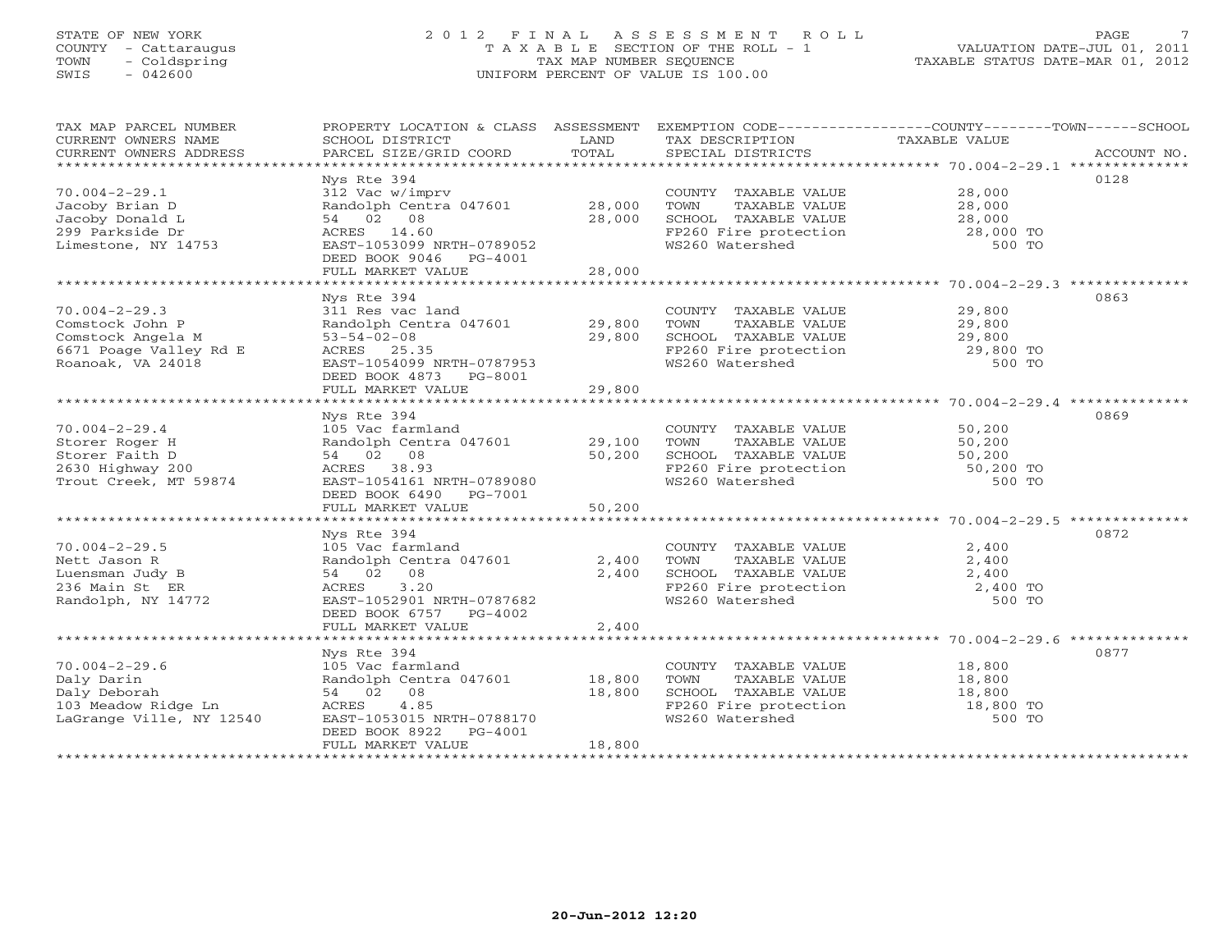# STATE OF NEW YORK 2 0 1 2 F I N A L A S S E S S M E N T R O L L PAGE 7 COUNTY - Cattaraugus T A X A B L E SECTION OF THE ROLL - 1 VALUATION DATE-JUL 01, 2011 TOWN - Coldspring TAX MAP NUMBER SEQUENCE TAXABLE STATUS DATE-MAR 01, 2012 SWIS - 042600 UNIFORM PERCENT OF VALUE IS 100.00UNIFORM PERCENT OF VALUE IS 100.00

| TAX MAP PARCEL NUMBER<br>CURRENT OWNERS NAME<br>CURRENT OWNERS ADDRESS                                                        | PROPERTY LOCATION & CLASS ASSESSMENT<br>SCHOOL DISTRICT<br>PARCEL SIZE/GRID COORD                                                                                            | LAND<br>TOTAL              | TAX DESCRIPTION TAXABLE VALUE<br>SPECIAL DISTRICTS<br>SPECIAL DISTRICTS | EXEMPTION CODE-----------------COUNTY-------TOWN------SCHOOL<br>ACCOUNT NO.                                                                       |
|-------------------------------------------------------------------------------------------------------------------------------|------------------------------------------------------------------------------------------------------------------------------------------------------------------------------|----------------------------|-------------------------------------------------------------------------|---------------------------------------------------------------------------------------------------------------------------------------------------|
| $70.004 - 2 - 29.1$<br>Jacoby Brian D<br>Jacoby Donald L<br>299 Parkside Dr<br>Limestone, NY 14753                            | Nys Rte 394<br>312 Vac w/imprv<br>Randolph Centra 047601 28,000<br>54 02 08<br>ACRES 14.60<br>EAST-1053099 NRTH-0789052<br>DEED BOOK 9046 PG-4001<br>FULL MARKET VALUE       | 28,000<br>28,000           | COUNTY TAXABLE VALUE<br>TAXABLE VALUE<br>TOWN                           | 0128<br>28,000<br>28,000<br>SCHOOL TAXABLE VALUE $28,000$<br>FP260 Fire protection $28,000$ TO<br>WS260 Watershed 500 TO                          |
|                                                                                                                               |                                                                                                                                                                              |                            |                                                                         |                                                                                                                                                   |
| $70.004 - 2 - 29.3$<br>Comstock John P<br>Comstock Angela M<br>6671 Poage Valley Rd E<br>Roanoak, VA 24018                    | Nys Rte 394<br>311 Res vac land<br>Randolph Centra 047601<br>$53 - 54 - 02 - 08$<br>ACRES 25.35<br>EAST-1054099 NRTH-0787953<br>DEED BOOK 4873 PG-8001<br>FULL MARKET VALUE  | 29,800<br>29,800<br>29,800 | COUNTY TAXABLE VALUE 29,800                                             | 0863<br>TOWN TAXABLE VALUE 29,800<br>SCHOOL TAXABLE VALUE 29,800<br>FP260 Fire protection 29,800 TO<br>WS260 Watershed 500 TO                     |
|                                                                                                                               |                                                                                                                                                                              |                            |                                                                         |                                                                                                                                                   |
| $70.004 - 2 - 29.4$<br>Storer Roger H<br>Storer Faith D<br>2630 Highway 200<br>Trout Creek, MT 59874                          | Nys Rte 394<br>105 Vac farmland<br>Randolph Centra 047601 29,100<br>54 02 08<br>ACRES 38.93<br>EAST-1054161 NRTH-0789080<br>DEED BOOK 6490 PG-7001                           | 50,200                     | COUNTY TAXABLE VALUE 50,200                                             | 0869<br>CONTRACT MANUE<br>SCHOOL TAXABLE VALUE<br>FP260 Fire protection<br>WS260 Watershed 50,200<br>FP260 Fire protection<br>50,200 TO<br>500 TO |
|                                                                                                                               | FULL MARKET VALUE                                                                                                                                                            | 50,200                     |                                                                         |                                                                                                                                                   |
| $70.004 - 2 - 29.5$                                                                                                           | Nys Rte 394<br>105 Vac farmland                                                                                                                                              |                            |                                                                         | 0872<br>2,400                                                                                                                                     |
| Nett Jason R<br>Luensman Judy B<br>236 Main St ER<br>Randolph, NY 14772                                                       | Randolph Centra 047601<br>54 02 08<br>3.20<br>ACRES<br>EAST-1052901 NRTH-0787682<br>DEED BOOK 6757 PG-4002<br>FULL MARKET VALUE                                              | 2,400<br>2,400<br>2,400    | COUNTY TAXABLE VALUE<br>TOWN     TAXABLE VALUE                          | 2,400<br>SCHOOL TAXABLE VALUE<br>FP260 Fire protection 2,400 TO<br>WS260 Watershed 500 TO                                                         |
|                                                                                                                               |                                                                                                                                                                              |                            |                                                                         |                                                                                                                                                   |
| $70.004 - 2 - 29.6$<br>Daly Darin<br>Daly Deborah<br>Daly Deporan<br>103 Meadow Ridge Ln<br>10540<br>LaGrange Ville, NY 12540 | Nys Rte 394<br>105 Vac farmland<br>Randolph Centra 047601 18,800<br>54 02 08<br>ACRES<br>4.85<br>EAST-1053015 NRTH-0788170<br>DEED BOOK 8922<br>PG-4001<br>FULL MARKET VALUE | 18,800<br>18,800           | COUNTY TAXABLE VALUE<br>TOWN<br>WS260 Watershed                         | 0877<br>18,800<br>SCHOOL TAXABLE VALUE 18,800<br>FP260 Fire protection 18,800 TO<br>500 TO                                                        |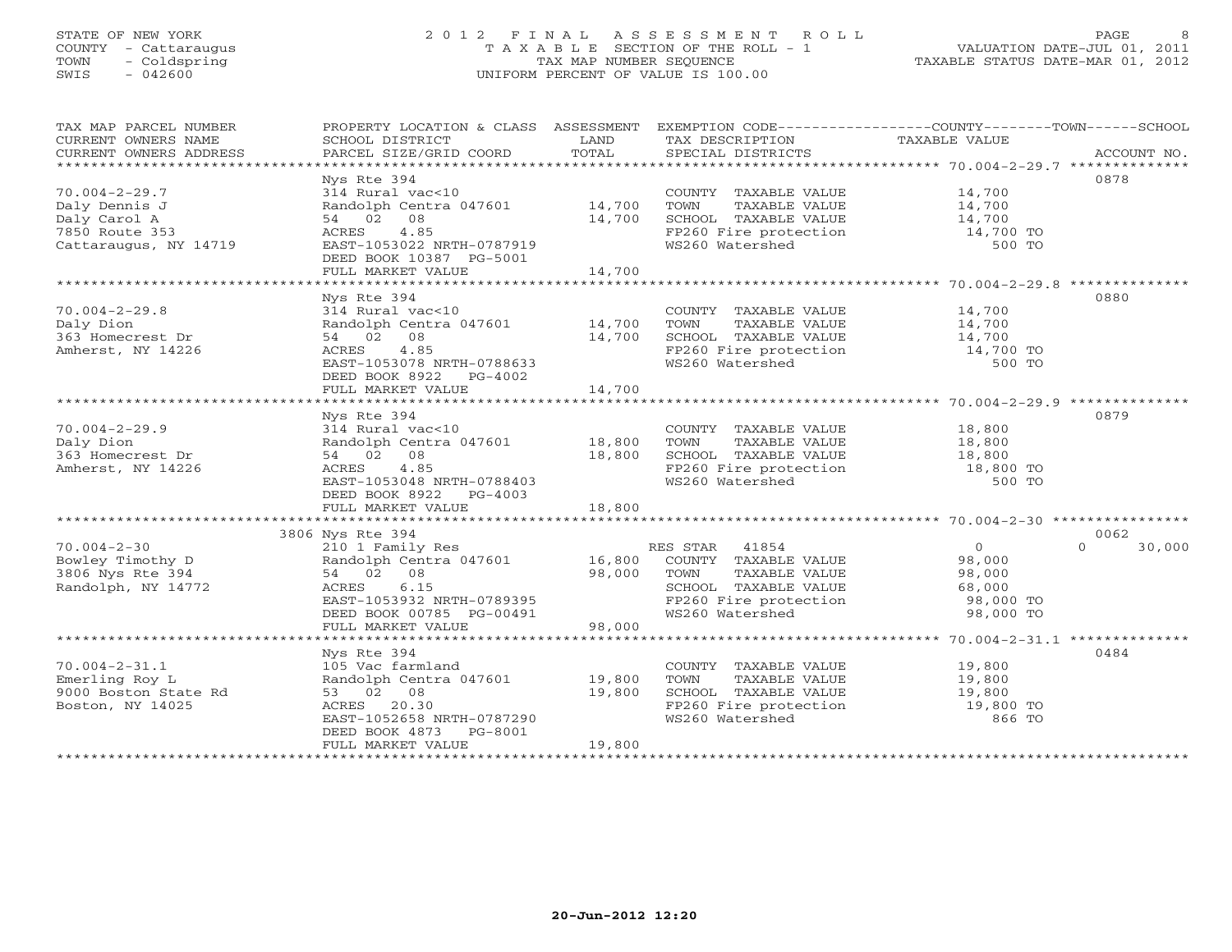### STATE OF NEW YORK 2 0 1 2 F I N A L A S S E S S M E N T R O L L PAGE 8 COUNTY - Cattaraugus T A X A B L E SECTION OF THE ROLL - 1 VALUATION DATE-JUL 01, 2011 TOWN - Coldspring TAX MAP NUMBER SEQUENCE TAXABLE STATUS DATE-MAR 01, 2012 SWIS - 042600 UNIFORM PERCENT OF VALUE IS 100.00UNIFORM PERCENT OF VALUE IS 100.00

| TAX MAP PARCEL NUMBER<br>CURRENT OWNERS NAME<br>CURRENT OWNERS ADDRESS                                     | PROPERTY LOCATION & CLASS ASSESSMENT<br>SCHOOL DISTRICT<br>PARCEL SIZE/GRID COORD                                                                                                                           | LAND<br>TOTAL              | TAX DESCRIPTION TAXABLE VALUE<br>SPECIAL DISTRICTS                                                                                                         | EXEMPTION CODE-----------------COUNTY-------TOWN------SCHOOL           | ACCOUNT NO.                |
|------------------------------------------------------------------------------------------------------------|-------------------------------------------------------------------------------------------------------------------------------------------------------------------------------------------------------------|----------------------------|------------------------------------------------------------------------------------------------------------------------------------------------------------|------------------------------------------------------------------------|----------------------------|
| $70.004 - 2 - 29.7$<br>Daly Dennis J<br>Daly Carol A<br>7850 Route 353<br>Cattaraugus, NY 14719            | Nys Rte 394<br>314 Rural vac<10<br>Randolph Centra 047601 14,700<br>54 02 08<br>4.85<br>ACRES<br>EAST-1053022 NRTH-0787919<br>DEED BOOK 10387 PG-5001<br>FULL MARKET VALUE                                  | 14,700<br>14,700           | COUNTY TAXABLE VALUE<br>TOWN<br>TAXABLE VALUE<br>SCHOOL TAXABLE VALUE<br>FP260 Fire protection<br>WS260 Watershed                                          | 14,700<br>14,700<br>14,700<br>14,700 TO<br>500 TO                      | 0878                       |
| $70.004 - 2 - 29.8$<br>Daly Dion<br>363 Homecrest Dr<br>Amherst, NY 14226                                  | Nys Rte 394<br>314 Rural vac<10<br>Randolph Centra 047601<br>54 02 08<br>4.85<br>ACRES<br>EAST-1053078 NRTH-0788633<br>DEED BOOK 8922 PG-4002<br>FULL MARKET VALUE                                          | 14,700<br>14,700<br>14,700 | COUNTY TAXABLE VALUE<br>TOWN<br>TAXABLE VALUE<br>SCHOOL TAXABLE VALUE 14,700<br>FP260 Fire protection 14,700 TO<br>WS260 Watershed                         | 14,700<br>14,700<br>500 TO                                             | 0880                       |
| $70.004 - 2 - 29.9$<br>Daly Dion<br>363 Homecrest Dr<br>Amherst, NY 14226                                  | Nys Rte 394<br>314 Rural vac<10<br>Randolph Centra 047601<br>54 02 08<br>4.85<br>ACRES<br>EAST-1053048 NRTH-0788403<br>DEED BOOK 8922 PG-4003<br>FULL MARKET VALUE                                          | 18,800<br>18,800<br>18,800 | COUNTY TAXABLE VALUE<br>TOWN<br>TAXABLE VALUE<br>SCHOOL TAXABLE VALUE<br>FP260 Fire protection<br>WS260 Watershed                                          | 18,800<br>18,800<br>18,800<br>18,800 TO<br>500 TO                      | 0879                       |
| $70.004 - 2 - 30$<br>Bowley Timothy D<br>3806 Nys Rte 394<br>Randolph, NY 14772                            | 3806 Nys Rte 394<br>210 1 Family Res<br>Randolph Centra 047601<br>54 02 08<br>6.15<br>ACRES<br>EAST-1053932 NRTH-0789395<br>DEED BOOK 00785 PG-00491<br>FULL MARKET VALUE                                   | 16,800<br>98,000<br>98,000 | RES STAR 41854<br>COUNTY TAXABLE VALUE<br>TOWN TAXADDU<br>SCHOOL TAXABLE VALUE<br>WS260 Watershed                                                          | $\overline{0}$<br>98,000<br>98,000<br>68,000<br>98,000 TO<br>98,000 TO | 0062<br>$\Omega$<br>30,000 |
| $70.004 - 2 - 31.1$<br>Emerling Roy L<br>9000 Boston State Rd<br>Boston, NY 14025<br>********************* | Nys Rte 394<br>105 Vac farmland<br>Randolph Centra 047601<br>53 02 08<br>20.30<br>ACRES<br>EAST-1052658 NRTH-0787290<br>DEED BOOK 4873 PG-8001<br>FULL MARKET VALUE<br>************************************ | 19,800<br>19,800<br>19,800 | COUNTY TAXABLE VALUE<br>TOWN<br>TAXABLE VALUE<br>SCHOOL TAXABLE VALUE<br>SCHOOL TAXABLE VALUE 19,800<br>FP260 Fire protection 19,800 TO<br>WS260 Watershed | 19,800<br>19,800<br>866 TO                                             | 0484                       |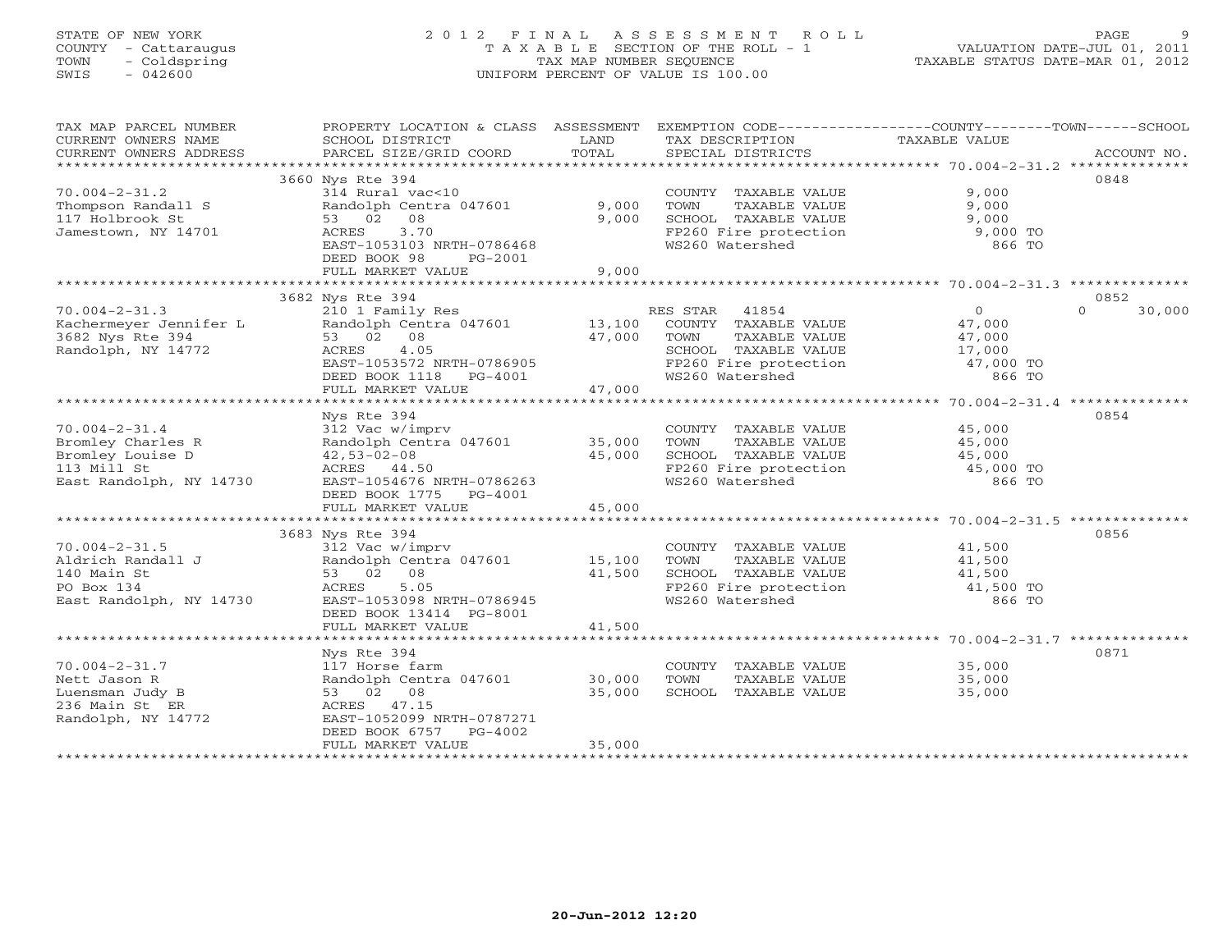# STATE OF NEW YORK 2 0 1 2 F I N A L A S S E S S M E N T R O L L PAGE 9 COUNTY - Cattaraugus T A X A B L E SECTION OF THE ROLL - 1 VALUATION DATE-JUL 01, 2011 TOWN - Coldspring TAX MAP NUMBER SEQUENCE TAXABLE STATUS DATE-MAR 01, 2012 SWIS - 042600 UNIFORM PERCENT OF VALUE IS 100.00UNIFORM PERCENT OF VALUE IS 100.00

| TAX MAP PARCEL NUMBER                         | PROPERTY LOCATION & CLASS ASSESSMENT      |               | EXEMPTION CODE----------------COUNTY-------TOWN------SCHOOL |                |                    |
|-----------------------------------------------|-------------------------------------------|---------------|-------------------------------------------------------------|----------------|--------------------|
| CURRENT OWNERS NAME<br>CURRENT OWNERS ADDRESS | SCHOOL DISTRICT<br>PARCEL SIZE/GRID COORD | LAND<br>TOTAL | TAX DESCRIPTION<br>SPECIAL DISTRICTS                        | TAXABLE VALUE  | ACCOUNT NO.        |
|                                               |                                           |               |                                                             |                |                    |
|                                               | 3660 Nys Rte 394                          |               |                                                             |                | 0848               |
| $70.004 - 2 - 31.2$                           | 314 Rural vac<10                          |               | COUNTY TAXABLE VALUE                                        | 9,000          |                    |
| Thompson Randall S                            | Randolph Centra 047601                    | 9,000         | TOWN<br>TAXABLE VALUE                                       | 9,000          |                    |
| 117 Holbrook St                               | 08<br>53 02                               | 9,000         | SCHOOL TAXABLE VALUE                                        | 9,000          |                    |
| Jamestown, NY 14701                           | 3.70<br>ACRES                             |               | FP260 Fire protection                                       | 9,000 TO       |                    |
|                                               | EAST-1053103 NRTH-0786468                 |               | WS260 Watershed                                             | 866 TO         |                    |
|                                               | DEED BOOK 98<br>PG-2001                   |               |                                                             |                |                    |
|                                               | FULL MARKET VALUE                         | 9,000         |                                                             |                |                    |
|                                               |                                           |               |                                                             |                |                    |
|                                               | 3682 Nys Rte 394                          |               |                                                             |                | 0852               |
| $70.004 - 2 - 31.3$                           | 210 1 Family Res                          |               | RES STAR<br>41854                                           | $\overline{0}$ | 30,000<br>$\Omega$ |
| Kachermeyer Jennifer L                        | Randolph Centra 047601                    | 13,100        | COUNTY TAXABLE VALUE                                        | 47,000         |                    |
| 3682 Nys Rte 394                              | 53 02 08                                  | 47,000        | TOWN<br>TAXABLE VALUE                                       | 47,000         |                    |
| Randolph, NY 14772                            | 4.05<br>ACRES                             |               | SCHOOL TAXABLE VALUE                                        | 17,000         |                    |
|                                               | EAST-1053572 NRTH-0786905                 |               | FP260 Fire protection                                       | 47,000 TO      |                    |
|                                               | DEED BOOK 1118 PG-4001                    |               | WS260 Watershed                                             | 866 TO         |                    |
|                                               | FULL MARKET VALUE                         | 47,000        |                                                             |                |                    |
|                                               | Nys Rte 394                               |               |                                                             |                | 0854               |
| $70.004 - 2 - 31.4$                           | 312 Vac w/imprv                           |               | COUNTY TAXABLE VALUE                                        | 45,000         |                    |
| Bromley Charles R                             | Randolph Centra 047601                    | 35,000        | TOWN<br>TAXABLE VALUE                                       | 45,000         |                    |
| Bromley Louise D                              | $42,53-02-08$                             | 45,000        | SCHOOL TAXABLE VALUE                                        | 45,000         |                    |
| 113 Mill St                                   | ACRES 44.50                               |               | FP260 Fire protection                                       | 45,000 TO      |                    |
| East Randolph, NY 14730                       | EAST-1054676 NRTH-0786263                 |               | WS260 Watershed                                             | 866 TO         |                    |
|                                               | DEED BOOK 1775 PG-4001                    |               |                                                             |                |                    |
|                                               | FULL MARKET VALUE                         | 45,000        |                                                             |                |                    |
|                                               |                                           |               |                                                             |                |                    |
|                                               | 3683 Nys Rte 394                          |               |                                                             |                | 0856               |
| $70.004 - 2 - 31.5$                           | 312 Vac w/imprv                           |               | COUNTY TAXABLE VALUE                                        | 41,500         |                    |
| Aldrich Randall J                             | Randolph Centra 047601                    | 15,100        | TOWN<br>TAXABLE VALUE                                       | 41,500         |                    |
| 140 Main St                                   | 53 02 08                                  | 41,500        | SCHOOL TAXABLE VALUE                                        | 41,500         |                    |
| PO Box 134                                    | ACRES<br>5.05                             |               | FP260 Fire protection                                       | 41,500 TO      |                    |
| East Randolph, NY 14730                       | EAST-1053098 NRTH-0786945                 |               | WS260 Watershed                                             | 866 TO         |                    |
|                                               | DEED BOOK 13414 PG-8001                   |               |                                                             |                |                    |
|                                               | FULL MARKET VALUE                         | 41,500        |                                                             |                |                    |
|                                               | Nys Rte 394                               |               |                                                             |                | 0871               |
| $70.004 - 2 - 31.7$                           | 117 Horse farm                            |               | COUNTY TAXABLE VALUE                                        | 35,000         |                    |
| Nett Jason R                                  | Randolph Centra 047601                    | 30,000        | TOWN<br>TAXABLE VALUE                                       | 35,000         |                    |
| Luensman Judy B                               | 53 02 08                                  | 35,000        | SCHOOL TAXABLE VALUE                                        | 35,000         |                    |
| 236 Main St ER                                | ACRES 47.15                               |               |                                                             |                |                    |
| Randolph, NY 14772                            | EAST-1052099 NRTH-0787271                 |               |                                                             |                |                    |
|                                               | DEED BOOK 6757<br>PG-4002                 |               |                                                             |                |                    |
|                                               | FULL MARKET VALUE                         | 35,000        |                                                             |                |                    |
|                                               |                                           |               | ********************************                            |                |                    |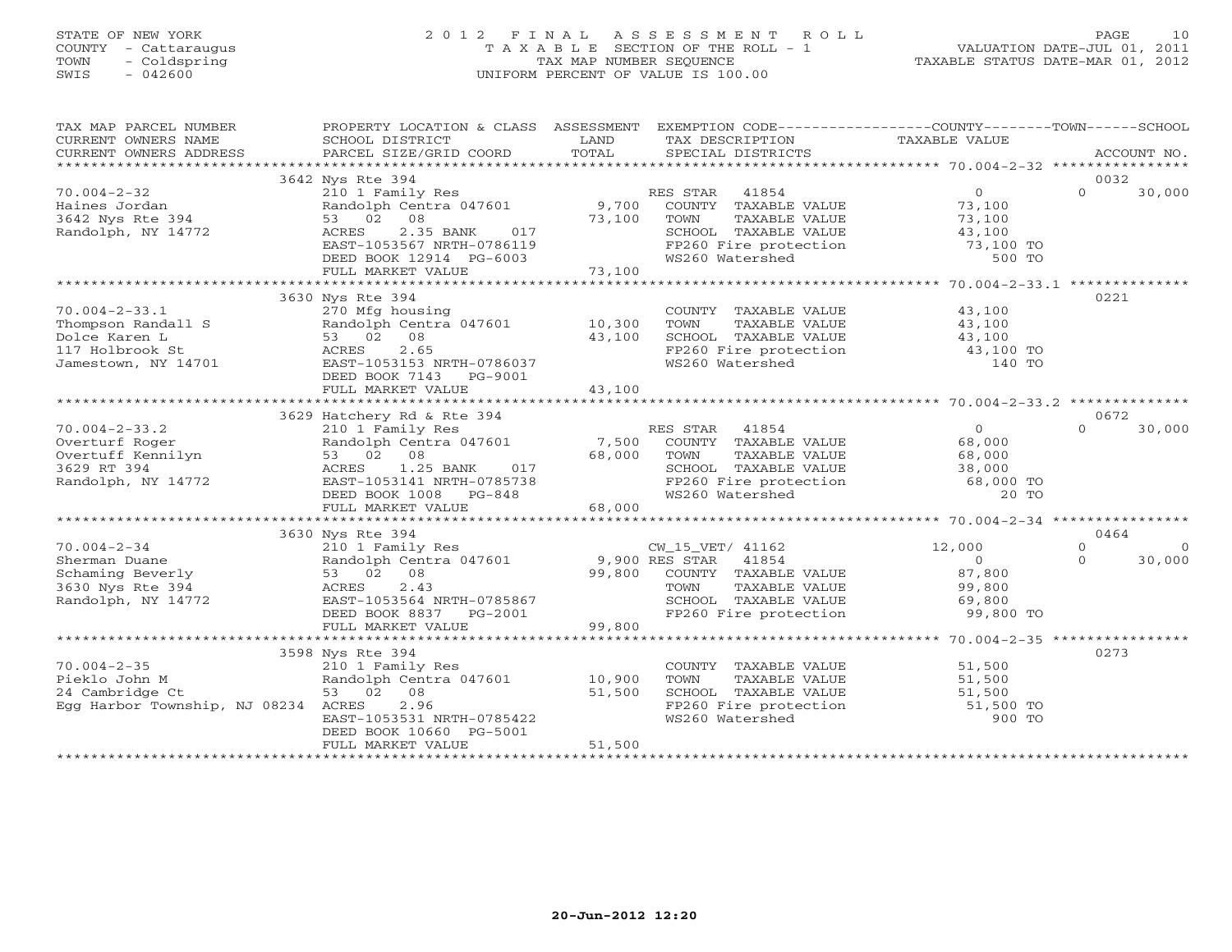## STATE OF NEW YORK 2 0 1 2 F I N A L A S S E S S M E N T R O L L PAGE 10 COUNTY - Cattaraugus T A X A B L E SECTION OF THE ROLL - 1 VALUATION DATE-JUL 01, 2011 TOWN - Coldspring TAX MAP NUMBER SEQUENCE TAXABLE STATUS DATE-MAR 01, 2012 SWIS - 042600 UNIFORM PERCENT OF VALUE IS 100.00UNIFORM PERCENT OF VALUE IS 100.00

| TAX MAP PARCEL NUMBER<br>CURRENT OWNERS NAME<br>CURRENT OWNERS ADDRESS                               | PROPERTY LOCATION & CLASS ASSESSMENT<br>SCHOOL DISTRICT<br>PARCEL SIZE/GRID COORD                                                                                                    | LAND<br>TOTAL              | EXEMPTION CODE----------------COUNTY-------TOWN------SCHOOL<br>TAX DESCRIPTION<br>SPECIAL DISTRICTS                                                     | TAXABLE VALUE                                                       | ACCOUNT NO.                                      |
|------------------------------------------------------------------------------------------------------|--------------------------------------------------------------------------------------------------------------------------------------------------------------------------------------|----------------------------|---------------------------------------------------------------------------------------------------------------------------------------------------------|---------------------------------------------------------------------|--------------------------------------------------|
|                                                                                                      |                                                                                                                                                                                      |                            |                                                                                                                                                         |                                                                     |                                                  |
| $70.004 - 2 - 32$<br>Haines Jordan<br>3642 Nys Rte 394<br>Randolph, NY 14772                         | 3642 Nys Rte 394<br>210 1 Family Res<br>Randolph Centra 047601<br>53 02 08<br>2.35 BANK<br>ACRES<br>017<br>EAST-1053567 NRTH-0786119<br>DEED BOOK 12914 PG-6003<br>FULL MARKET VALUE | 9,700<br>73,100<br>73,100  | RES STAR 41854<br>COUNTY TAXABLE VALUE<br>TOWN<br>TAXABLE VALUE<br>SCHOOL TAXABLE VALUE<br>FP260 Fire protection<br>WS260 Watershed                     | $\overline{0}$<br>73,100<br>73,100<br>43,100<br>73,100 TO<br>500 TO | 0032<br>$\Omega$<br>30,000                       |
|                                                                                                      |                                                                                                                                                                                      |                            |                                                                                                                                                         |                                                                     |                                                  |
| $70.004 - 2 - 33.1$<br>Thompson Randall S<br>Dolce Karen L<br>117 Holbrook St<br>Jamestown, NY 14701 | 3630 Nys Rte 394<br>270 Mfg housing<br>Randolph Centra 047601 10,300<br>53 02<br>08<br>2.65<br>ACRES<br>EAST-1053153 NRTH-0786037<br>DEED BOOK 7143 PG-9001<br>FULL MARKET VALUE     | 43,100<br>43,100           | COUNTY TAXABLE VALUE 43,100<br>TOWN<br>TAXABLE VALUE<br>SCHOOL TAXABLE VALUE<br>FP260 Fire protection<br>WS260 Watershed                                | 43,100<br>43,100<br>43,100 TO<br>140 TO                             | 0221                                             |
|                                                                                                      |                                                                                                                                                                                      |                            |                                                                                                                                                         |                                                                     | 0672                                             |
| $70.004 - 2 - 33.2$<br>Overturf Roger<br>Overtuff Kennilyn<br>3629 RT 394<br>Randolph, NY 14772      | 3629 Hatchery Rd & Rte 394<br>210 1 Family Res<br>Randolph Centra 047601<br>53 02 08<br>1.25 BANK<br>ACRES<br>017<br>EAST-1053141 NRTH-0785738<br>DEED BOOK 1008 PG-848              | 7,500<br>68,000            | RES STAR<br>41854<br>COUNTY TAXABLE VALUE<br>TOWN<br>TAXABLE VALUE<br>SCHOOL TAXABLE VALUE 38,000<br>FP260 Fire protection 68,000 TO<br>WS260 Watershed | $\overline{0}$<br>68,000<br>68,000<br>20 TO                         | 30,000<br>$\Omega$                               |
|                                                                                                      | FULL MARKET VALUE                                                                                                                                                                    | 68,000                     |                                                                                                                                                         |                                                                     |                                                  |
|                                                                                                      | 3630 Nys Rte 394                                                                                                                                                                     |                            |                                                                                                                                                         |                                                                     | 0464                                             |
| $70.004 - 2 - 34$<br>Sherman Duane<br>Schaming Beverly<br>3630 Nys Rte 394<br>Randolph, NY 14772     | 210 1 Family Res<br>Randolph Centra 047601 9,900 RES STAR 41854<br>53 02 08<br>2.43<br>ACRES<br>EAST-1053564 NRTH-0785867<br>DEED BOOK 8837 PG-2001<br>FULL MARKET VALUE             | 99,800<br>99,800           | CW_15_VET/ 41162<br>COUNTY TAXABLE VALUE<br>TOWN<br>TAXABLE VALUE<br>SCHOOL TAXABLE VALUE<br>FP260 Fire protection                                      | 12,000<br>$\overline{0}$<br>87,800<br>99,800<br>69,800<br>99,800 TO | $\Omega$<br>$\overline{0}$<br>$\Omega$<br>30,000 |
|                                                                                                      | 3598 Nys Rte 394                                                                                                                                                                     |                            |                                                                                                                                                         |                                                                     | 0273                                             |
| $70.004 - 2 - 35$<br>Pieklo John M<br>24 Cambridge Ct<br>Egg Harbor Township, NJ 08234 ACRES         | 210 1 Family Res<br>Randolph Centra 047601<br>53 02 08<br>2.96<br>EAST-1053531 NRTH-0785422<br>DEED BOOK 10660 PG-5001<br>FULL MARKET VALUE                                          | 10,900<br>51,500<br>51,500 | COUNTY TAXABLE VALUE<br>TOWN<br>TAXABLE VALUE<br>SCHOOL TAXABLE VALUE 51,500<br>FP260 Fire protection 51,500 TO<br>WS260 Watershed                      | 51,500<br>51,500<br>900 TO                                          |                                                  |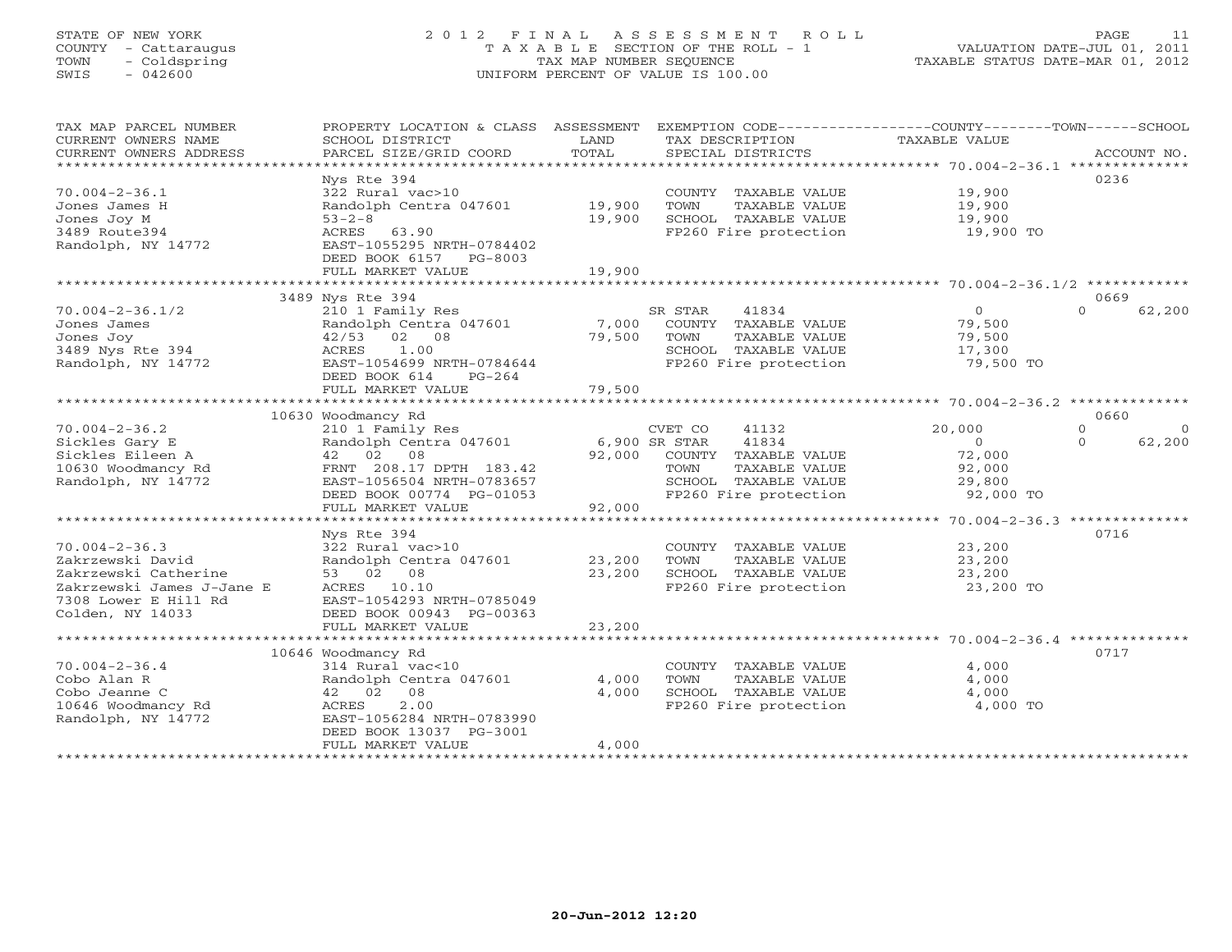## STATE OF NEW YORK 2 0 1 2 F I N A L A S S E S S M E N T R O L L PAGE 11 COUNTY - Cattaraugus T A X A B L E SECTION OF THE ROLL - 1 VALUATION DATE-JUL 01, 2011 TOWN - Coldspring TAX MAP NUMBER SEQUENCE TAXABLE STATUS DATE-MAR 01, 2012 SWIS - 042600 UNIFORM PERCENT OF VALUE IS 100.00UNIFORM PERCENT OF VALUE IS 100.00

| TAX MAP PARCEL NUMBER<br>CURRENT OWNERS NAME<br>CURRENT OWNERS ADDRESS<br>*************************   | PROPERTY LOCATION & CLASS ASSESSMENT<br>SCHOOL DISTRICT<br>PARCEL SIZE/GRID COORD                                                                                          | LAND<br>TOTAL              | TAX DESCRIPTION<br>SPECIAL DISTRICTS                                                                                                         | EXEMPTION CODE-----------------COUNTY-------TOWN------SCHOOL<br>TAXABLE VALUE | ACCOUNT NO.                                |
|-------------------------------------------------------------------------------------------------------|----------------------------------------------------------------------------------------------------------------------------------------------------------------------------|----------------------------|----------------------------------------------------------------------------------------------------------------------------------------------|-------------------------------------------------------------------------------|--------------------------------------------|
| $70.004 - 2 - 36.1$<br>Jones James H<br>Jones Joy M<br>3489 Route394<br>Randolph, NY 14772            | Nys Rte 394<br>322 Rural vac>10<br>Randolph Centra 047601<br>$53 - 2 - 8$<br>ACRES<br>63.90<br>EAST-1055295 NRTH-0784402<br>DEED BOOK 6157<br>PG-8003<br>FULL MARKET VALUE | 19,900<br>19,900<br>19,900 | COUNTY TAXABLE VALUE<br>TOWN<br>TAXABLE VALUE<br>SCHOOL TAXABLE VALUE<br>FP260 Fire protection                                               | 19,900<br>19,900<br>19,900<br>19,900 TO                                       | 0236                                       |
|                                                                                                       | 3489 Nys Rte 394                                                                                                                                                           |                            |                                                                                                                                              |                                                                               | 0669                                       |
| $70.004 - 2 - 36.1/2$<br>Jones James<br>Jones Joy<br>3489 Nys Rte 394<br>Randolph, NY 14772           | 210 1 Family Res<br>Randolph Centra 047601<br>$42/53$ 02 08<br>ACRES<br>1.00<br>EAST-1054699 NRTH-0784644<br>DEED BOOK 614<br>$PG-264$                                     | 7,000<br>79,500            | SR STAR<br>41834<br>COUNTY TAXABLE VALUE<br>TOWN<br>TAXABLE VALUE<br>SCHOOL TAXABLE VALUE<br>FP260 Fire protection                           | $\circ$<br>79,500<br>79,500<br>17,300<br>79,500 TO                            | $\Omega$<br>62,200                         |
|                                                                                                       | FULL MARKET VALUE                                                                                                                                                          | 79,500                     |                                                                                                                                              |                                                                               |                                            |
|                                                                                                       | 10630 Woodmancy Rd                                                                                                                                                         |                            |                                                                                                                                              |                                                                               | 0660                                       |
| $70.004 - 2 - 36.2$<br>Sickles Gary E<br>Sickles Eileen A<br>10630 Woodmancy Rd<br>Randolph, NY 14772 | 210 1 Family Res<br>Randolph Centra 047601<br>42 02 08<br>FRNT 208.17 DPTH 183.42<br>EAST-1056504 NRTH-0783657<br>DEED BOOK 00774 PG-01053                                 | 92,000                     | CVET CO<br>41132<br>41834<br>6,900 SR STAR<br>COUNTY TAXABLE VALUE<br>TOWN<br>TAXABLE VALUE<br>SCHOOL TAXABLE VALUE<br>FP260 Fire protection | 20,000<br>$\mathbf{0}$<br>72,000<br>92,000<br>29,800<br>92,000 TO             | $\Omega$<br>$\Omega$<br>62,200<br>$\Omega$ |
|                                                                                                       | FULL MARKET VALUE                                                                                                                                                          | 92,000                     |                                                                                                                                              |                                                                               |                                            |
| $70.004 - 2 - 36.3$<br>Zakrzewski David<br>Zakrzewski Catherine<br>Zakrzewski James J-Jane E          | Nys Rte 394<br>322 Rural vac>10<br>Randolph Centra 047601<br>53 02 08<br>ACRES<br>10.10                                                                                    | 23,200<br>23,200           | COUNTY TAXABLE VALUE<br>TOWN<br>TAXABLE VALUE<br>SCHOOL TAXABLE VALUE<br>FP260 Fire protection                                               | 23,200<br>23,200<br>23,200<br>23,200 TO                                       | 0716                                       |
| 7308 Lower E Hill Rd<br>Colden, NY 14033                                                              | EAST-1054293 NRTH-0785049<br>DEED BOOK 00943 PG-00363<br>FULL MARKET VALUE                                                                                                 | 23,200                     |                                                                                                                                              |                                                                               |                                            |
|                                                                                                       |                                                                                                                                                                            |                            |                                                                                                                                              |                                                                               |                                            |
| $70.004 - 2 - 36.4$<br>Cobo Alan R<br>Cobo Jeanne C<br>10646 Woodmancy Rd<br>Randolph, NY 14772       | 10646 Woodmancy Rd<br>314 Rural vac<10<br>Randolph Centra 047601<br>42 02 08<br>2.00<br>ACRES<br>EAST-1056284 NRTH-0783990<br>DEED BOOK 13037 PG-3001<br>FULL MARKET VALUE | 4,000<br>4,000<br>4,000    | COUNTY TAXABLE VALUE<br>TOWN<br>TAXABLE VALUE<br>SCHOOL TAXABLE VALUE<br>FP260 Fire protection                                               | 4,000<br>4,000<br>4,000<br>4,000 TO                                           | 0717                                       |
|                                                                                                       | ******************************                                                                                                                                             |                            |                                                                                                                                              |                                                                               |                                            |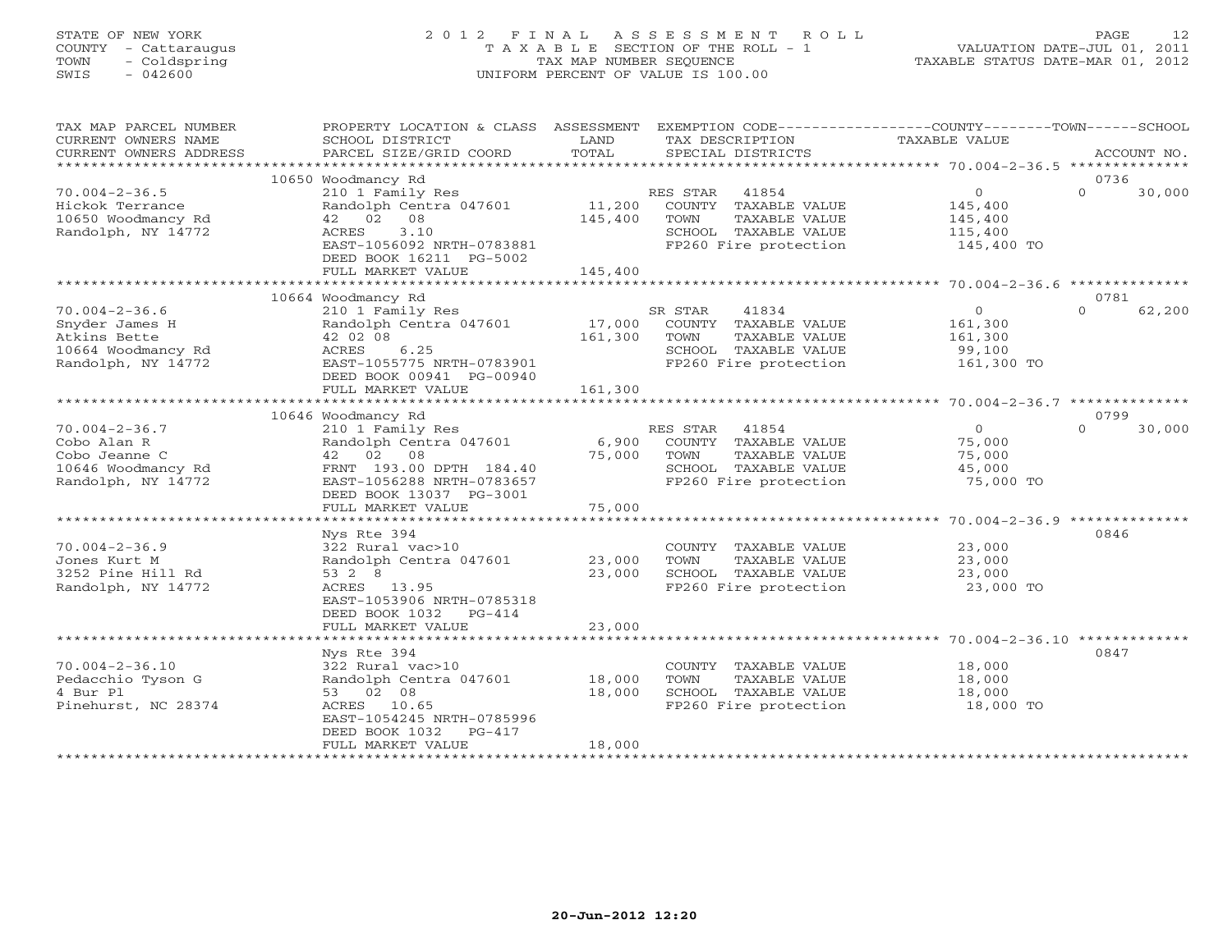# STATE OF NEW YORK 2 0 1 2 F I N A L A S S E S S M E N T R O L L PAGE 12 COUNTY - Cattaraugus T A X A B L E SECTION OF THE ROLL - 1 VALUATION DATE-JUL 01, 2011 TOWN - Coldspring TAX MAP NUMBER SEQUENCE TAXABLE STATUS DATE-MAR 01, 2012 SWIS - 042600 UNIFORM PERCENT OF VALUE IS 100.00UNIFORM PERCENT OF VALUE IS 100.00

| TAX MAP PARCEL NUMBER<br>CURRENT OWNERS NAME | PROPERTY LOCATION & CLASS ASSESSMENT<br>SCHOOL DISTRICT | LAND    | EXEMPTION CODE----------------COUNTY-------TOWN------SCHOOL<br>TAX DESCRIPTION | TAXABLE VALUE         |          |             |
|----------------------------------------------|---------------------------------------------------------|---------|--------------------------------------------------------------------------------|-----------------------|----------|-------------|
| CURRENT OWNERS ADDRESS                       | PARCEL SIZE/GRID COORD                                  | TOTAL   | SPECIAL DISTRICTS                                                              |                       |          | ACCOUNT NO. |
|                                              |                                                         |         |                                                                                |                       |          |             |
|                                              | 10650 Woodmancy Rd                                      |         |                                                                                |                       | 0736     |             |
| $70.004 - 2 - 36.5$                          | 210 1 Family Res                                        |         | RES STAR 41854                                                                 | $\overline{0}$        | $\Omega$ | 30,000      |
| Hickok Terrance                              | Randolph Centra 047601                                  | 11,200  | COUNTY TAXABLE VALUE                                                           | 145,400               |          |             |
| 10650 Woodmancy Rd                           | 42 02 08<br>ACRES<br>3.10                               | 145,400 | TOWN<br>TAXABLE VALUE                                                          | 145,400               |          |             |
| Randolph, NY 14772                           | EAST-1056092 NRTH-0783881                               |         | SCHOOL TAXABLE VALUE<br>FP260 Fire protection                                  | 115,400<br>145,400 TO |          |             |
|                                              | DEED BOOK 16211 PG-5002                                 |         |                                                                                |                       |          |             |
|                                              | FULL MARKET VALUE                                       | 145,400 |                                                                                |                       |          |             |
|                                              |                                                         |         |                                                                                |                       |          |             |
|                                              | 10664 Woodmancy Rd                                      |         |                                                                                |                       | 0781     |             |
| $70.004 - 2 - 36.6$                          | 210 1 Family Res                                        |         | SR STAR<br>41834                                                               | $\overline{0}$        | $\Omega$ | 62,200      |
| Snyder James H                               | Randolph Centra 047601                                  | 17,000  | COUNTY TAXABLE VALUE                                                           | 161,300               |          |             |
| Atkins Bette                                 | 42 02 08                                                | 161,300 | TAXABLE VALUE<br>TOWN                                                          | 161,300               |          |             |
| 10664 Woodmancy Rd                           | 6.25<br>ACRES                                           |         | SCHOOL TAXABLE VALUE                                                           | 99,100                |          |             |
| Randolph, NY 14772                           | EAST-1055775 NRTH-0783901                               |         | FP260 Fire protection                                                          | 161,300 TO            |          |             |
|                                              | DEED BOOK 00941 PG-00940                                |         |                                                                                |                       |          |             |
|                                              | FULL MARKET VALUE                                       | 161,300 |                                                                                |                       |          |             |
|                                              |                                                         |         |                                                                                |                       | 0799     |             |
| $70.004 - 2 - 36.7$                          | 10646 Woodmancy Rd<br>210 1 Family Res                  |         | RES STAR<br>41854                                                              | $\circ$               | $\Omega$ | 30,000      |
| Cobo Alan R                                  | Randolph Centra 047601                                  | 6,900   | COUNTY TAXABLE VALUE                                                           | 75,000                |          |             |
| Cobo Jeanne C                                | 42 02<br>08                                             | 75,000  | TOWN<br>TAXABLE VALUE                                                          | 75,000                |          |             |
| 10646 Woodmancy Rd                           | FRNT 193.00 DPTH 184.40                                 |         | SCHOOL TAXABLE VALUE                                                           | 45,000                |          |             |
| Randolph, NY 14772                           | EAST-1056288 NRTH-0783657                               |         | FP260 Fire protection                                                          | 75,000 TO             |          |             |
|                                              | DEED BOOK 13037 PG-3001                                 |         |                                                                                |                       |          |             |
|                                              | FULL MARKET VALUE                                       | 75,000  |                                                                                |                       |          |             |
|                                              |                                                         |         |                                                                                |                       |          |             |
|                                              | Nys Rte 394                                             |         |                                                                                |                       | 0846     |             |
| $70.004 - 2 - 36.9$                          | 322 Rural vac>10                                        |         | COUNTY TAXABLE VALUE                                                           | 23,000                |          |             |
| Jones Kurt M                                 | Randolph Centra 047601                                  | 23,000  | TOWN<br>TAXABLE VALUE                                                          | 23,000                |          |             |
| 3252 Pine Hill Rd                            | 53 2 8                                                  | 23,000  | SCHOOL TAXABLE VALUE                                                           | 23,000                |          |             |
| Randolph, NY 14772                           | ACRES 13.95                                             |         | FP260 Fire protection                                                          | 23,000 TO             |          |             |
|                                              | EAST-1053906 NRTH-0785318<br>DEED BOOK 1032    PG-414   |         |                                                                                |                       |          |             |
|                                              | FULL MARKET VALUE                                       | 23,000  |                                                                                |                       |          |             |
|                                              |                                                         |         |                                                                                |                       |          |             |
|                                              | Nys Rte 394                                             |         |                                                                                |                       | 0847     |             |
| $70.004 - 2 - 36.10$                         | 322 Rural vac>10                                        |         | COUNTY TAXABLE VALUE                                                           | 18,000                |          |             |
| Pedacchio Tyson G                            | Randolph Centra 047601                                  | 18,000  | TOWN<br>TAXABLE VALUE                                                          | 18,000                |          |             |
| 4 Bur Pl                                     | 53 02 08                                                | 18,000  | SCHOOL TAXABLE VALUE                                                           | 18,000                |          |             |
| Pinehurst, NC 28374                          | ACRES 10.65                                             |         | FP260 Fire protection                                                          | 18,000 TO             |          |             |
|                                              | EAST-1054245 NRTH-0785996                               |         |                                                                                |                       |          |             |
|                                              | DEED BOOK 1032<br>$PG-417$                              |         |                                                                                |                       |          |             |
|                                              | FULL MARKET VALUE                                       | 18,000  | ******************************                                                 |                       |          |             |
|                                              |                                                         |         |                                                                                |                       |          |             |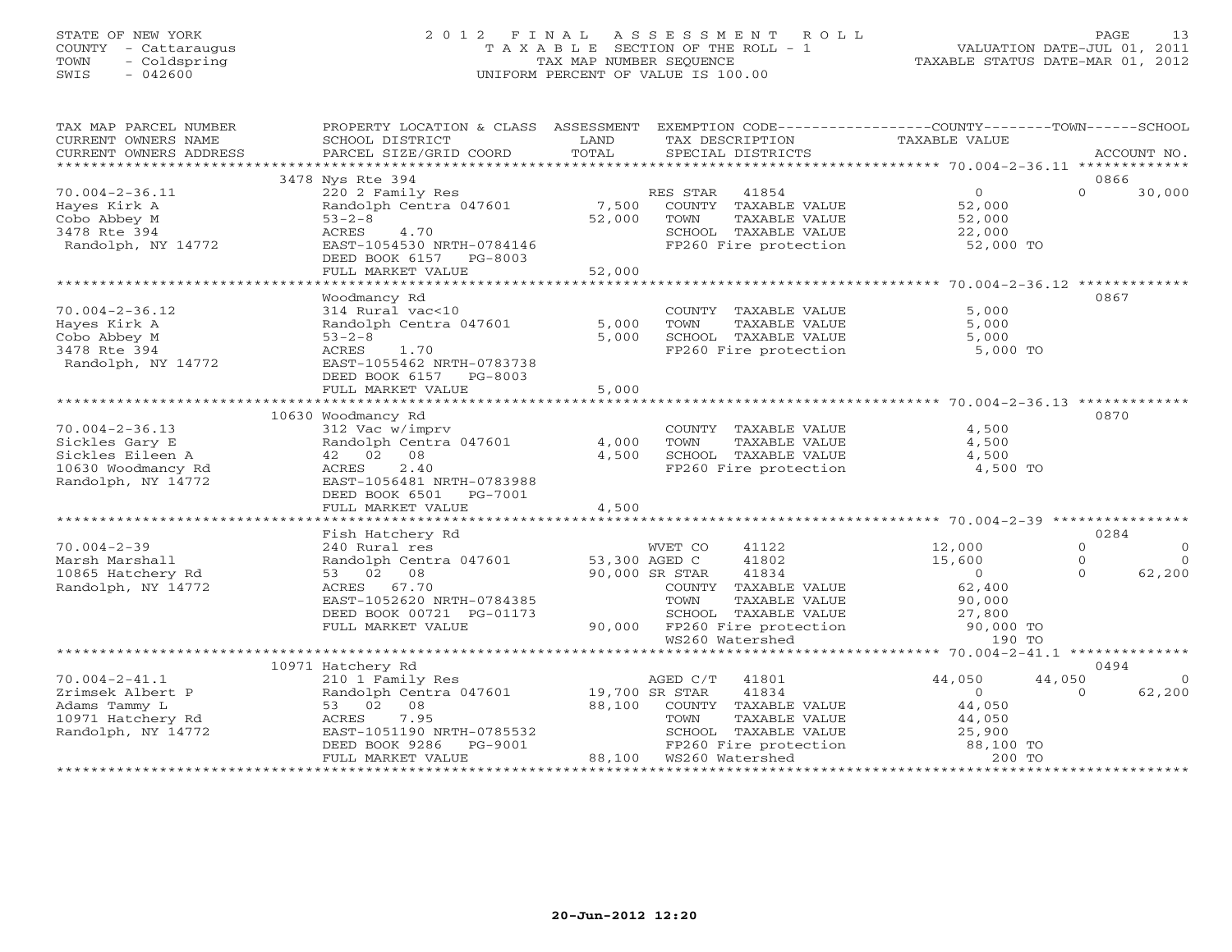# STATE OF NEW YORK 2 0 1 2 F I N A L A S S E S S M E N T R O L L PAGE 13 COUNTY - Cattaraugus T A X A B L E SECTION OF THE ROLL - 1 VALUATION DATE-JUL 01, 2011 TOWN - Coldspring TAX MAP NUMBER SEQUENCE TAXABLE STATUS DATE-MAR 01, 2012 SWIS - 042600 UNIFORM PERCENT OF VALUE IS 100.00UNIFORM PERCENT OF VALUE IS 100.00

| TAX MAP PARCEL NUMBER   | PROPERTY LOCATION & CLASS ASSESSMENT      |                | EXEMPTION CODE-----------------COUNTY-------TOWN------SCHOOL |                                        |          |              |
|-------------------------|-------------------------------------------|----------------|--------------------------------------------------------------|----------------------------------------|----------|--------------|
| CURRENT OWNERS NAME     | SCHOOL DISTRICT                           | LAND           | TAX DESCRIPTION                                              | TAXABLE VALUE                          |          |              |
| CURRENT OWNERS ADDRESS  | PARCEL SIZE/GRID COORD                    | TOTAL          | SPECIAL DISTRICTS                                            |                                        |          | ACCOUNT NO.  |
| *********************** |                                           |                |                                                              |                                        |          |              |
|                         | 3478 Nys Rte 394                          |                |                                                              |                                        | 0866     |              |
| $70.004 - 2 - 36.11$    | 220 2 Family Res                          |                | RES STAR<br>41854                                            | $\overline{0}$                         | $\Omega$ | 30,000       |
| Hayes Kirk A            | Randolph Centra 047601                    | 7,500          | COUNTY TAXABLE VALUE                                         | 52,000                                 |          |              |
| Cobo Abbey M            | $53 - 2 - 8$                              | 52,000         | TOWN<br>TAXABLE VALUE                                        | 52,000                                 |          |              |
| 3478 Rte 394            | ACRES<br>4.70                             |                | SCHOOL TAXABLE VALUE                                         | 22,000                                 |          |              |
| Randolph, NY 14772      | EAST-1054530 NRTH-0784146                 |                | FP260 Fire protection                                        | 52,000 TO                              |          |              |
|                         | DEED BOOK 6157 PG-8003                    |                |                                                              |                                        |          |              |
|                         | FULL MARKET VALUE<br>******************** | 52,000         |                                                              |                                        |          |              |
|                         | Woodmancy Rd                              |                |                                                              |                                        | 0867     |              |
| $70.004 - 2 - 36.12$    | 314 Rural vac<10                          |                | COUNTY TAXABLE VALUE                                         | 5,000                                  |          |              |
| Hayes Kirk A            | Randolph Centra 047601                    | 5,000          | TOWN<br>TAXABLE VALUE                                        | 5,000                                  |          |              |
| Cobo Abbey M            | $53 - 2 - 8$                              | 5,000          | SCHOOL TAXABLE VALUE                                         | 5,000                                  |          |              |
| 3478 Rte 394            | ACRES<br>1.70                             |                | FP260 Fire protection                                        | 5,000 TO                               |          |              |
| Randolph, NY 14772      | EAST-1055462 NRTH-0783738                 |                |                                                              |                                        |          |              |
|                         | DEED BOOK 6157 PG-8003                    |                |                                                              |                                        |          |              |
|                         | FULL MARKET VALUE                         | 5,000          |                                                              |                                        |          |              |
|                         |                                           |                |                                                              |                                        |          |              |
|                         | 10630 Woodmancy Rd                        |                |                                                              |                                        | 0870     |              |
| $70.004 - 2 - 36.13$    | 312 Vac w/imprv                           |                | COUNTY TAXABLE VALUE                                         | 4,500                                  |          |              |
| Sickles Gary E          | Randolph Centra 047601                    | 4,000          | TOWN<br>TAXABLE VALUE                                        | 4,500                                  |          |              |
| Sickles Eileen A        | 42 02<br>08                               | 4,500          | SCHOOL TAXABLE VALUE                                         | 4,500                                  |          |              |
| 10630 Woodmancy Rd      | 2.40<br>ACRES                             |                | FP260 Fire protection                                        | 4,500 TO                               |          |              |
| Randolph, NY 14772      | EAST-1056481 NRTH-0783988                 |                |                                                              |                                        |          |              |
|                         | DEED BOOK 6501<br>PG-7001                 |                |                                                              |                                        |          |              |
|                         | FULL MARKET VALUE                         | 4,500          |                                                              |                                        |          |              |
|                         |                                           |                |                                                              |                                        |          |              |
|                         | Fish Hatchery Rd                          |                |                                                              |                                        | 0284     |              |
| $70.004 - 2 - 39$       | 240 Rural res                             |                | WVET CO<br>41122                                             | 12,000                                 | $\circ$  | $\mathbf{0}$ |
| Marsh Marshall          | Randolph Centra 047601                    | 53,300 AGED C  | 41802                                                        | 15,600                                 | $\circ$  | $\Omega$     |
| 10865 Hatchery Rd       | 53 02 08                                  |                | 90,000 SR STAR<br>41834                                      | $\overline{0}$                         | $\Omega$ | 62,200       |
| Randolph, NY 14772      | ACRES 67.70                               |                | COUNTY TAXABLE VALUE                                         | 62,400                                 |          |              |
|                         | EAST-1052620 NRTH-0784385                 |                | TAXABLE VALUE<br>TOWN                                        | 90,000                                 |          |              |
|                         | DEED BOOK 00721 PG-01173                  |                | SCHOOL TAXABLE VALUE                                         | 27,800                                 |          |              |
|                         | FULL MARKET VALUE                         | 90,000         | FP260 Fire protection                                        | 90,000 TO                              |          |              |
|                         |                                           |                | WS260 Watershed                                              | 190 TO                                 |          |              |
|                         | *************************************     |                | ********************************                             | *********** 70.004-2-41.1 ************ |          |              |
|                         | 10971 Hatchery Rd                         |                |                                                              |                                        | 0494     |              |
| $70.004 - 2 - 41.1$     | 210 1 Family Res                          |                | AGED C/T<br>41801                                            | 44,050                                 | 44,050   | $\Omega$     |
| Zrimsek Albert P        | Randolph Centra 047601                    | 19,700 SR STAR | 41834                                                        | $\circ$                                | $\Omega$ | 62,200       |
| Adams Tammy L           | 53 02 08                                  | 88,100         | COUNTY TAXABLE VALUE                                         | 44,050                                 |          |              |
| 10971 Hatchery Rd       | ACRES<br>7.95                             |                | TOWN<br>TAXABLE VALUE                                        | 44,050                                 |          |              |
| Randolph, NY 14772      | EAST-1051190 NRTH-0785532                 |                | SCHOOL TAXABLE VALUE                                         | 25,900                                 |          |              |
|                         | DEED BOOK 9286<br>PG-9001                 |                | FP260 Fire protection                                        | 88,100 TO                              |          |              |
|                         | FULL MARKET VALUE                         | 88,100         | WS260 Watershed                                              | 200 TO                                 |          |              |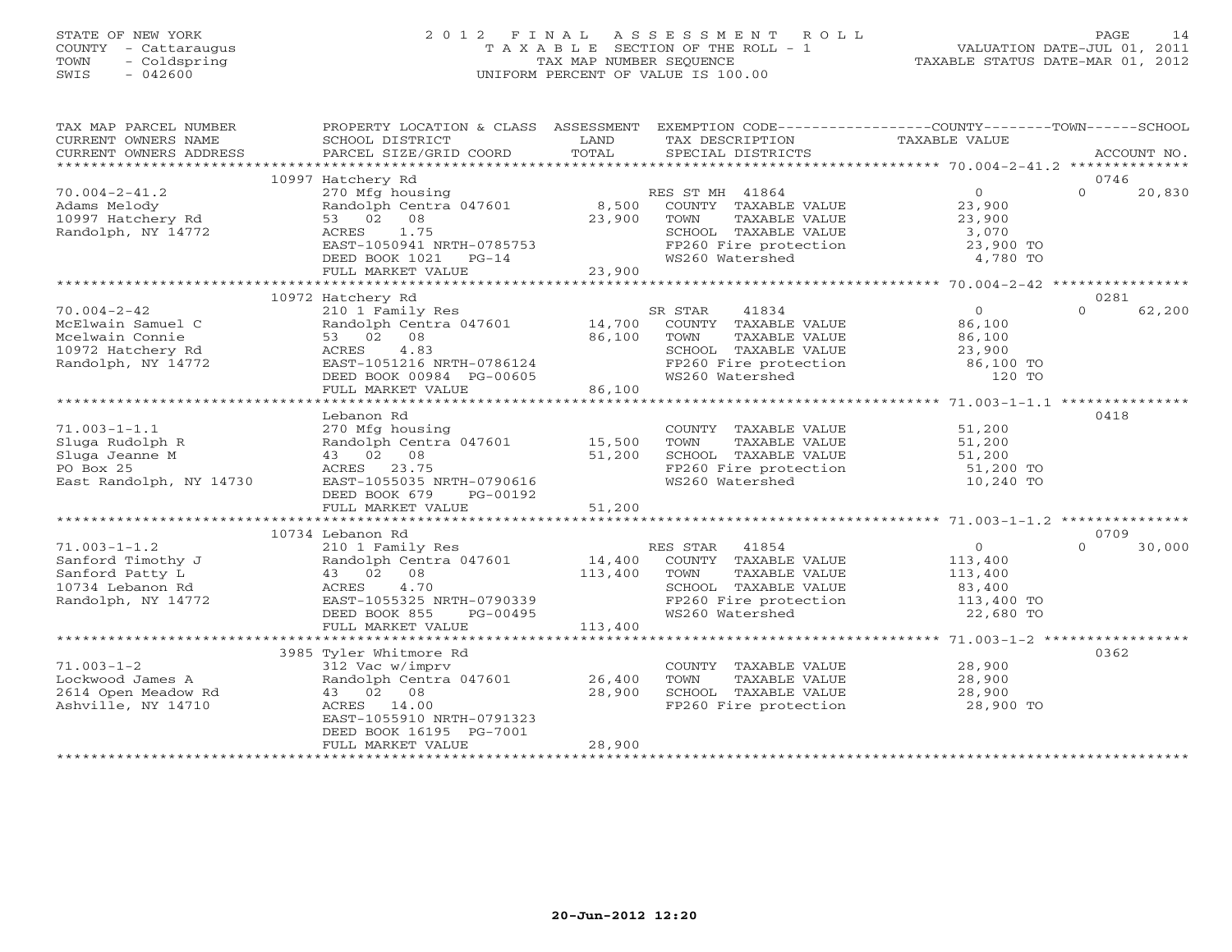# STATE OF NEW YORK 2 0 1 2 F I N A L A S S E S S M E N T R O L L PAGE 14 COUNTY - Cattaraugus T A X A B L E SECTION OF THE ROLL - 1 VALUATION DATE-JUL 01, 2011 TOWN - Coldspring TAX MAP NUMBER SEQUENCE TAXABLE STATUS DATE-MAR 01, 2012 SWIS - 042600 UNIFORM PERCENT OF VALUE IS 100.00UNIFORM PERCENT OF VALUE IS 100.00

| TAX MAP PARCEL NUMBER<br>CURRENT OWNERS NAME<br>CURRENT OWNERS ADDRESS | PROPERTY LOCATION & CLASS ASSESSMENT<br>SCHOOL DISTRICT<br>PARCEL SIZE/GRID COORD | LAND<br>TOTAL  | EXEMPTION CODE-----------------COUNTY-------TOWN------SCHOOL<br>TAX DESCRIPTION<br>SPECIAL DISTRICTS | TAXABLE VALUE  | ACCOUNT NO.        |
|------------------------------------------------------------------------|-----------------------------------------------------------------------------------|----------------|------------------------------------------------------------------------------------------------------|----------------|--------------------|
|                                                                        |                                                                                   |                |                                                                                                      |                |                    |
|                                                                        | 10997 Hatchery Rd                                                                 |                |                                                                                                      |                | 0746               |
| $70.004 - 2 - 41.2$                                                    | 270 Mfg housing                                                                   |                | RES ST MH 41864                                                                                      | $\overline{0}$ | $\Omega$<br>20,830 |
| Adams Melody                                                           | Randolph Centra 047601 8,500                                                      |                | COUNTY TAXABLE VALUE                                                                                 | 23,900         |                    |
| 10997 Hatchery Rd                                                      | 53 02 08                                                                          | 23,900         | TOWN<br>TAXABLE VALUE                                                                                | 23,900         |                    |
| Randolph, NY 14772                                                     | 1.75<br>ACRES                                                                     |                | SCHOOL TAXABLE VALUE                                                                                 | 3,070          |                    |
|                                                                        | EAST-1050941 NRTH-0785753                                                         |                | FP260 Fire protection                                                                                | 23,900 TO      |                    |
|                                                                        | DEED BOOK 1021<br>$PG-14$                                                         |                | WS260 Watershed                                                                                      | 4,780 TO       |                    |
|                                                                        | FULL MARKET VALUE                                                                 | 23,900         |                                                                                                      |                |                    |
|                                                                        |                                                                                   |                |                                                                                                      |                |                    |
|                                                                        | 10972 Hatchery Rd                                                                 |                |                                                                                                      |                | 0281               |
| $70.004 - 2 - 42$                                                      | 210 1 Family Res                                                                  |                | 41834<br>SR STAR                                                                                     | $\Omega$       | $\Omega$<br>62,200 |
| McElwain Samuel C                                                      | Randolph Centra 047601 14,700                                                     |                | COUNTY TAXABLE VALUE                                                                                 | 86,100         |                    |
| Mcelwain Connie                                                        | 53 02 08                                                                          | 86,100         | TOWN<br>TAXABLE VALUE                                                                                | 86,100         |                    |
| 10972 Hatchery Rd                                                      | 4.83<br>ACRES                                                                     |                | SCHOOL TAXABLE VALUE                                                                                 | 23,900         |                    |
| Randolph, NY 14772                                                     | EAST-1051216 NRTH-0786124                                                         |                |                                                                                                      | 86,100 TO      |                    |
|                                                                        | DEED BOOK 00984 PG-00605                                                          |                | FP260 Fire protection<br>WS260 Watershed                                                             | 120 TO         |                    |
|                                                                        | FULL MARKET VALUE                                                                 | 86,100         |                                                                                                      |                |                    |
|                                                                        |                                                                                   |                |                                                                                                      |                |                    |
|                                                                        | Lebanon Rd                                                                        |                |                                                                                                      |                | 0418               |
| $71.003 - 1 - 1.1$                                                     | 270 Mfg housing                                                                   |                | COUNTY TAXABLE VALUE                                                                                 | 51,200         |                    |
|                                                                        |                                                                                   |                |                                                                                                      |                |                    |
| Sluga Rudolph R                                                        | Randolph Centra 047601                                                            | 15,500         | TOWN<br>TAXABLE VALUE                                                                                | 51,200         |                    |
| Sluga Jeanne M                                                         | 43 02 08                                                                          | 51,200         | SCHOOL TAXABLE VALUE                                                                                 | 51,200         |                    |
| PO Box 25                                                              | ACRES 23.75                                                                       |                | FP260 Fire protection                                                                                | 51,200 TO      |                    |
| East Randolph, NY 14730                                                | EAST-1055035 NRTH-0790616                                                         |                | WS260 Watershed                                                                                      | 10,240 TO      |                    |
|                                                                        | DEED BOOK 679<br>PG-00192                                                         |                |                                                                                                      |                |                    |
|                                                                        | FULL MARKET VALUE                                                                 | 51,200         |                                                                                                      |                |                    |
|                                                                        |                                                                                   | ************** |                                                                                                      |                |                    |
|                                                                        | 10734 Lebanon Rd                                                                  |                |                                                                                                      |                | 0709               |
| $71.003 - 1 - 1.2$                                                     | 210 1 Family Res                                                                  |                | RES STAR<br>41854                                                                                    | $\overline{0}$ | 30,000<br>$\Omega$ |
| Sanford Timothy J                                                      | Randolph Centra 047601                                                            | 14,400         | COUNTY TAXABLE VALUE                                                                                 | 113,400        |                    |
| Sanford Patty L                                                        | 43 02 08                                                                          | 113,400        | TAXABLE VALUE<br>TOWN                                                                                | 113,400        |                    |
| 10734 Lebanon Rd                                                       | 4.70<br>ACRES                                                                     |                | SCHOOL TAXABLE VALUE                                                                                 | 83,400         |                    |
| Randolph, NY 14772                                                     | EAST-1055325 NRTH-0790339                                                         |                | FP260 Fire protection                                                                                | 113,400 TO     |                    |
|                                                                        | DEED BOOK 855<br>PG-00495                                                         |                | WS260 Watershed                                                                                      | 22,680 TO      |                    |
|                                                                        | FULL MARKET VALUE                                                                 | 113,400        |                                                                                                      |                |                    |
|                                                                        |                                                                                   |                |                                                                                                      |                |                    |
|                                                                        | 3985 Tyler Whitmore Rd                                                            |                |                                                                                                      |                | 0362               |
| $71.003 - 1 - 2$                                                       | 312 Vac w/imprv                                                                   |                | COUNTY TAXABLE VALUE                                                                                 | 28,900         |                    |
| Lockwood James A                                                       | Randolph Centra 047601 26,400                                                     |                | TOWN<br>TAXABLE VALUE                                                                                | 28,900         |                    |
| 2614 Open Meadow Rd                                                    | 43 02 08                                                                          | 28,900         |                                                                                                      | 28,900         |                    |
| Ashville, NY 14710                                                     | ACRES 14.00                                                                       |                | SCHOOL TAXABLE VALUE<br>FP260 Fire protection                                                        | 28,900 TO      |                    |
|                                                                        | EAST-1055910 NRTH-0791323                                                         |                |                                                                                                      |                |                    |
|                                                                        | DEED BOOK 16195 PG-7001                                                           |                |                                                                                                      |                |                    |
|                                                                        | FULL MARKET VALUE                                                                 | 28,900         |                                                                                                      |                |                    |
|                                                                        |                                                                                   |                |                                                                                                      |                |                    |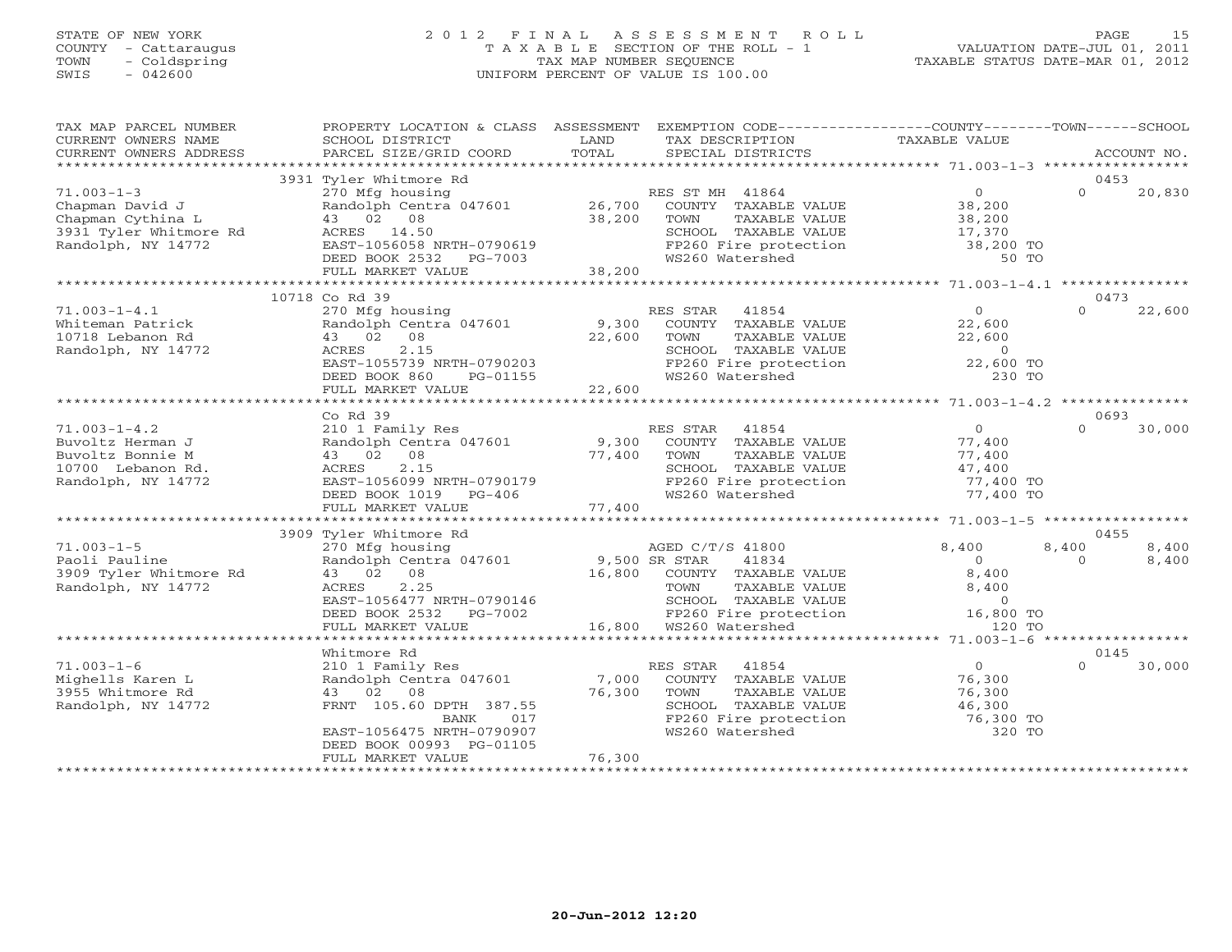# STATE OF NEW YORK 2 0 1 2 F I N A L A S S E S S M E N T R O L L PAGE 15 COUNTY - Cattaraugus T A X A B L E SECTION OF THE ROLL - 1 VALUATION DATE-JUL 01, 2011 TOWN - Coldspring TAX MAP NUMBER SEQUENCE TAXABLE STATUS DATE-MAR 01, 2012 SWIS - 042600 UNIFORM PERCENT OF VALUE IS 100.00UNIFORM PERCENT OF VALUE IS 100.00

| TAX MAP PARCEL NUMBER<br>CURRENT OWNERS NAME<br>CURRENT OWNERS ADDRESS                                   | PROPERTY LOCATION & CLASS ASSESSMENT<br>SCHOOL DISTRICT<br>PARCEL SIZE/GRID COORD                                                                                                 | LAND<br>TOTAL              | EXEMPTION CODE----------------COUNTY-------TOWN------SCHOOL<br>TAX DESCRIPTION<br>SPECIAL DISTRICTS                                                          | TAXABLE VALUE                                                               |                   | ACCOUNT NO.    |
|----------------------------------------------------------------------------------------------------------|-----------------------------------------------------------------------------------------------------------------------------------------------------------------------------------|----------------------------|--------------------------------------------------------------------------------------------------------------------------------------------------------------|-----------------------------------------------------------------------------|-------------------|----------------|
| **********************                                                                                   |                                                                                                                                                                                   |                            |                                                                                                                                                              |                                                                             |                   |                |
| $71.003 - 1 - 3$<br>Chapman David J<br>Chapman Cythina L<br>3931 Tyler Whitmore Rd<br>Randolph, NY 14772 | 3931 Tyler Whitmore Rd<br>270 Mfg housing<br>Randolph Centra 047601<br>43 02 08<br>ACRES 14.50<br>EAST-1056058 NRTH-0790619<br>DEED BOOK 2532 PG-7003<br>FULL MARKET VALUE        | 26,700<br>38,200<br>38,200 | RES ST MH 41864<br>COUNTY TAXABLE VALUE<br>TOWN<br>TAXABLE VALUE<br>SCHOOL TAXABLE VALUE<br>FP260 Fire protection<br>WS260 Watershed                         | $\overline{0}$<br>38,200<br>38,200<br>17,370<br>38,200 TO<br>50 TO          | $\Omega$          | 0453<br>20,830 |
|                                                                                                          | *************************                                                                                                                                                         |                            |                                                                                                                                                              |                                                                             |                   |                |
| $71.003 - 1 - 4.1$<br>Whiteman Patrick<br>10718 Lebanon Rd<br>Randolph, NY 14772                         | 10718 Co Rd 39<br>270 Mfg housing<br>Randolph Centra 047601<br>43 02 08<br>2.15<br>ACRES<br>EAST-1055739 NRTH-0790203<br>DEED BOOK 860<br>PG-01155<br>FULL MARKET VALUE           | 9,300<br>22,600<br>22,600  | RES STAR<br>41854<br>COUNTY TAXABLE VALUE<br>TOWN<br>TAXABLE VALUE<br>SCHOOL TAXABLE VALUE<br>FP260 Fire protection<br>WS260 Watershed                       | $\circ$<br>22,600<br>22,600<br>$\overline{0}$<br>22,600 TO<br>230 TO        | $\Omega$          | 0473<br>22,600 |
|                                                                                                          | ***********************                                                                                                                                                           |                            |                                                                                                                                                              |                                                                             |                   |                |
| $71.003 - 1 - 4.2$<br>Buvoltz Herman J<br>Buvoltz Bonnie M<br>10700 Lebanon Rd.<br>Randolph, NY 14772    | Co Rd 39<br>210 1 Family Res<br>Randolph Centra 047601<br>43 02 08<br>ACRES<br>2.15<br>EAST-1056099 NRTH-0790179<br>DEED BOOK 1019 PG-406<br>FULL MARKET VALUE                    | 9,300<br>77,400<br>77,400  | RES STAR 41854<br>COUNTY TAXABLE VALUE<br>TAXABLE VALUE<br>TOWN<br>SCHOOL TAXABLE VALUE<br>FP260 Fire protection<br>WS260 Watershed                          | $\overline{0}$<br>77,400<br>77,400<br>47,400<br>77,400 TO<br>77,400 TO      | $\Omega$          | 0693<br>30,000 |
|                                                                                                          | 3909 Tyler Whitmore Rd                                                                                                                                                            |                            |                                                                                                                                                              |                                                                             |                   | 0455           |
| $71.003 - 1 - 5$<br>Paoli Pauline<br>3909 Tyler Whitmore Rd<br>Randolph, NY 14772                        | 270 Mfg housing<br>Randolph Centra 047601<br>43 02 08<br>2.25<br>ACRES<br>EAST-1056477 NRTH-0790146<br>DEED BOOK 2532 PG-7002<br>FULL MARKET VALUE                                | 9,500 SR STAR              | AGED C/T/S 41800<br>41834<br>16,800 COUNTY TAXABLE VALUE<br>TOWN<br>TAXABLE VALUE<br>SCHOOL TAXABLE VALUE<br>FP260 Fire protection<br>16,800 WS260 Watershed | 8,400<br>$\overline{O}$<br>8,400<br>8,400<br>$\circ$<br>16,800 TO<br>120 TO | 8,400<br>$\Omega$ | 8,400<br>8,400 |
|                                                                                                          | *********************<br>Whitmore Rd                                                                                                                                              |                            |                                                                                                                                                              |                                                                             |                   | 0145           |
| $71.003 - 1 - 6$<br>Mighells Karen L<br>3955 Whitmore Rd<br>Randolph, NY 14772                           | 210 1 Family Res<br>Randolph Centra 047601<br>43 02<br>08<br>FRNT 105.60 DPTH 387.55<br>017<br>BANK<br>EAST-1056475 NRTH-0790907<br>DEED BOOK 00993 PG-01105<br>FULL MARKET VALUE | 7,000<br>76,300<br>76,300  | RES STAR<br>41854<br>COUNTY TAXABLE VALUE<br>TOWN<br>TAXABLE VALUE<br>SCHOOL TAXABLE VALUE<br>FP260 Fire protection<br>WS260 Watershed                       | $\overline{0}$<br>76,300<br>76,300<br>46,300<br>76,300 TO<br>320 TO         | $\Omega$          | 30,000         |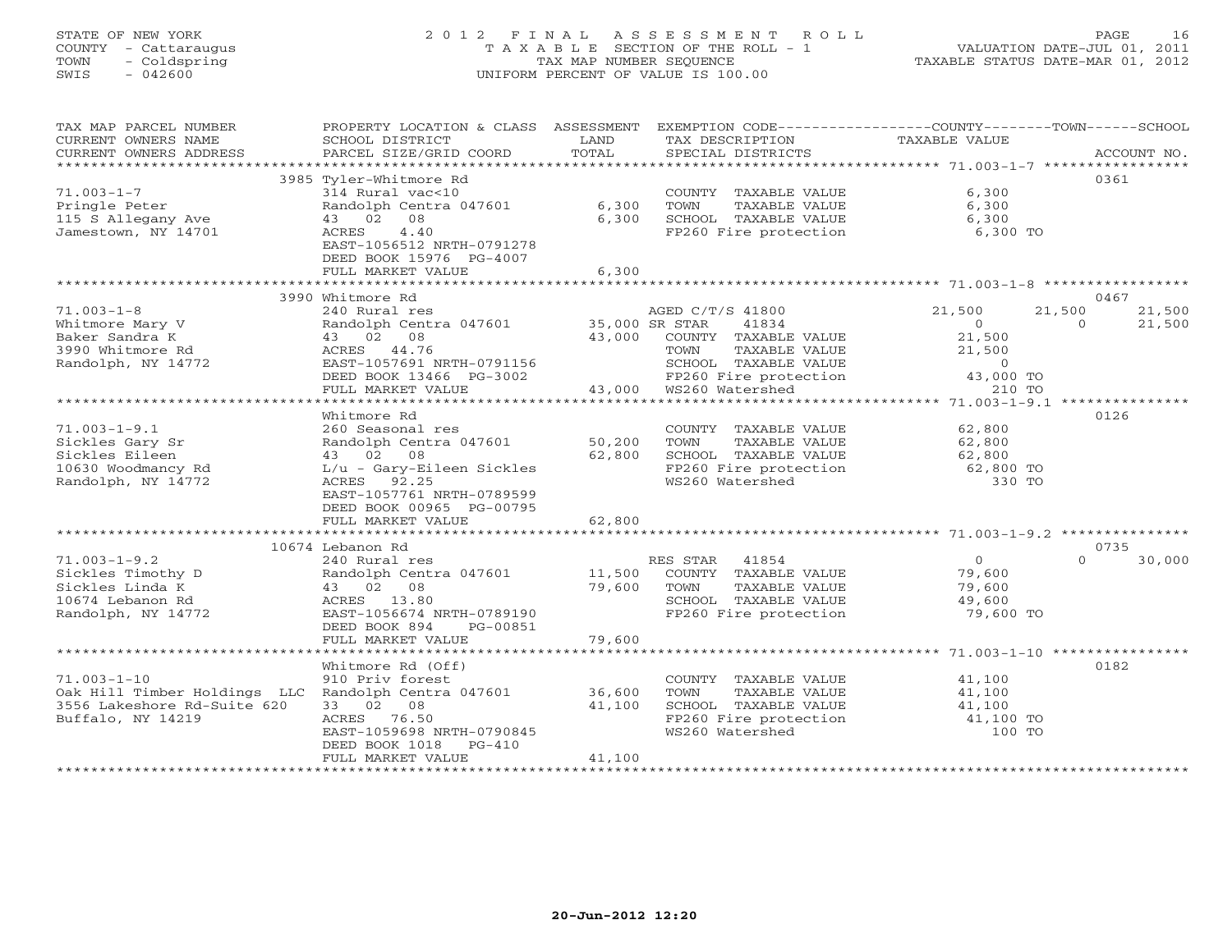# STATE OF NEW YORK 2 0 1 2 F I N A L A S S E S S M E N T R O L L PAGE 16 COUNTY - Cattaraugus T A X A B L E SECTION OF THE ROLL - 1 VALUATION DATE-JUL 01, 2011 TOWN - Coldspring TAX MAP NUMBER SEQUENCE TAXABLE STATUS DATE-MAR 01, 2012 SWIS - 042600 UNIFORM PERCENT OF VALUE IS 100.00UNIFORM PERCENT OF VALUE IS 100.00

| TAX MAP PARCEL NUMBER<br>CURRENT OWNERS NAME            | PROPERTY LOCATION & CLASS ASSESSMENT<br>SCHOOL DISTRICT               | LAND           | EXEMPTION CODE-----------------COUNTY-------TOWN------SCHOOL<br>TAX DESCRIPTION | <b>TAXABLE VALUE</b>    |                          |
|---------------------------------------------------------|-----------------------------------------------------------------------|----------------|---------------------------------------------------------------------------------|-------------------------|--------------------------|
| CURRENT OWNERS ADDRESS                                  | PARCEL SIZE/GRID COORD                                                | TOTAL          | SPECIAL DISTRICTS                                                               |                         | ACCOUNT NO.              |
|                                                         | 3985 Tyler-Whitmore Rd                                                |                |                                                                                 |                         | 0361                     |
| $71.003 - 1 - 7$<br>Pringle Peter<br>115 S Allegany Ave | 314 Rural vac<10<br>Randolph Centra 047601<br>43 02<br>08             | 6,300<br>6,300 | COUNTY TAXABLE VALUE<br>TOWN<br>TAXABLE VALUE<br>SCHOOL TAXABLE VALUE           | 6,300<br>6,300<br>6,300 |                          |
| Jamestown, NY 14701                                     | 4.40<br>ACRES<br>EAST-1056512 NRTH-0791278<br>DEED BOOK 15976 PG-4007 |                | FP260 Fire protection                                                           | 6,300 TO                |                          |
|                                                         | FULL MARKET VALUE                                                     | 6,300          |                                                                                 |                         |                          |
|                                                         |                                                                       |                |                                                                                 |                         |                          |
| $71.003 - 1 - 8$                                        | 3990 Whitmore Rd<br>240 Rural res                                     |                | AGED C/T/S 41800                                                                | 21,500                  | 0467<br>21,500<br>21,500 |
| Whitmore Mary V                                         | Randolph Centra 047601                                                | 35,000 SR STAR | 41834                                                                           | $\circ$                 | $\Omega$<br>21,500       |
| Baker Sandra K                                          | 43 02 08                                                              | 43,000         | COUNTY TAXABLE VALUE                                                            | 21,500                  |                          |
| 3990 Whitmore Rd                                        | ACRES 44.76                                                           |                | TAXABLE VALUE<br>TOWN                                                           | 21,500                  |                          |
| Randolph, NY 14772                                      | EAST-1057691 NRTH-0791156                                             |                | SCHOOL TAXABLE VALUE                                                            | $\circ$                 |                          |
|                                                         | DEED BOOK 13466 PG-3002                                               |                | FP260 Fire protection                                                           | 43,000 TO               |                          |
|                                                         | FULL MARKET VALUE                                                     | 43,000         | WS260 Watershed                                                                 | 210 TO                  |                          |
|                                                         |                                                                       |                |                                                                                 |                         |                          |
|                                                         | Whitmore Rd                                                           |                |                                                                                 |                         | 0126                     |
| $71.003 - 1 - 9.1$                                      | 260 Seasonal res                                                      |                | COUNTY TAXABLE VALUE                                                            | 62,800                  |                          |
| Sickles Gary Sr                                         | Randolph Centra 047601                                                | 50,200         | TAXABLE VALUE<br>TOWN                                                           | 62,800                  |                          |
| Sickles Eileen                                          | 43 02 08                                                              | 62,800         | SCHOOL TAXABLE VALUE                                                            | 62,800                  |                          |
| 10630 Woodmancy Rd                                      | $L/u$ - Gary-Eileen Sickles                                           |                | FP260 Fire protection                                                           | 62,800 TO               |                          |
| Randolph, NY 14772                                      | 92.25<br>ACRES                                                        |                | WS260 Watershed                                                                 | 330 TO                  |                          |
|                                                         | EAST-1057761 NRTH-0789599                                             |                |                                                                                 |                         |                          |
|                                                         | DEED BOOK 00965 PG-00795<br>FULL MARKET VALUE                         | 62,800         |                                                                                 |                         |                          |
|                                                         |                                                                       |                |                                                                                 |                         |                          |
|                                                         | 10674 Lebanon Rd                                                      |                |                                                                                 |                         | 0735                     |
| $71.003 - 1 - 9.2$                                      | 240 Rural res                                                         |                | 41854<br>RES STAR                                                               | $\overline{0}$          | $\Omega$<br>30,000       |
| Sickles Timothy D                                       | Randolph Centra 047601                                                | 11,500         | COUNTY TAXABLE VALUE                                                            | 79,600                  |                          |
| Sickles Linda K                                         | 43 02 08                                                              | 79,600         | TOWN<br>TAXABLE VALUE                                                           | 79,600                  |                          |
| 10674 Lebanon Rd                                        | ACRES 13.80                                                           |                | SCHOOL TAXABLE VALUE                                                            | 49,600                  |                          |
| Randolph, NY 14772                                      | EAST-1056674 NRTH-0789190                                             |                | FP260 Fire protection                                                           | 79,600 TO               |                          |
|                                                         | DEED BOOK 894<br>PG-00851                                             |                |                                                                                 |                         |                          |
|                                                         | FULL MARKET VALUE                                                     | 79,600         |                                                                                 |                         |                          |
|                                                         |                                                                       |                |                                                                                 |                         |                          |
|                                                         | Whitmore Rd (Off)                                                     |                |                                                                                 |                         | 0182                     |
| $71.003 - 1 - 10$                                       | 910 Priv forest                                                       |                | COUNTY TAXABLE VALUE                                                            | 41,100                  |                          |
| Oak Hill Timber Holdings LLC Randolph Centra 047601     |                                                                       | 36,600         | TOWN<br>TAXABLE VALUE                                                           | 41,100                  |                          |
| 3556 Lakeshore Rd-Suite 620<br>Buffalo, NY 14219        | 33 02 08<br>ACRES<br>76.50                                            | 41,100         | SCHOOL TAXABLE VALUE<br>FP260 Fire protection                                   | 41,100                  |                          |
|                                                         | EAST-1059698 NRTH-0790845                                             |                | WS260 Watershed                                                                 | 41,100 TO<br>100 TO     |                          |
|                                                         | DEED BOOK 1018<br>$PG-410$                                            |                |                                                                                 |                         |                          |
|                                                         | FULL MARKET VALUE                                                     | 41,100         |                                                                                 |                         |                          |
|                                                         |                                                                       |                |                                                                                 |                         |                          |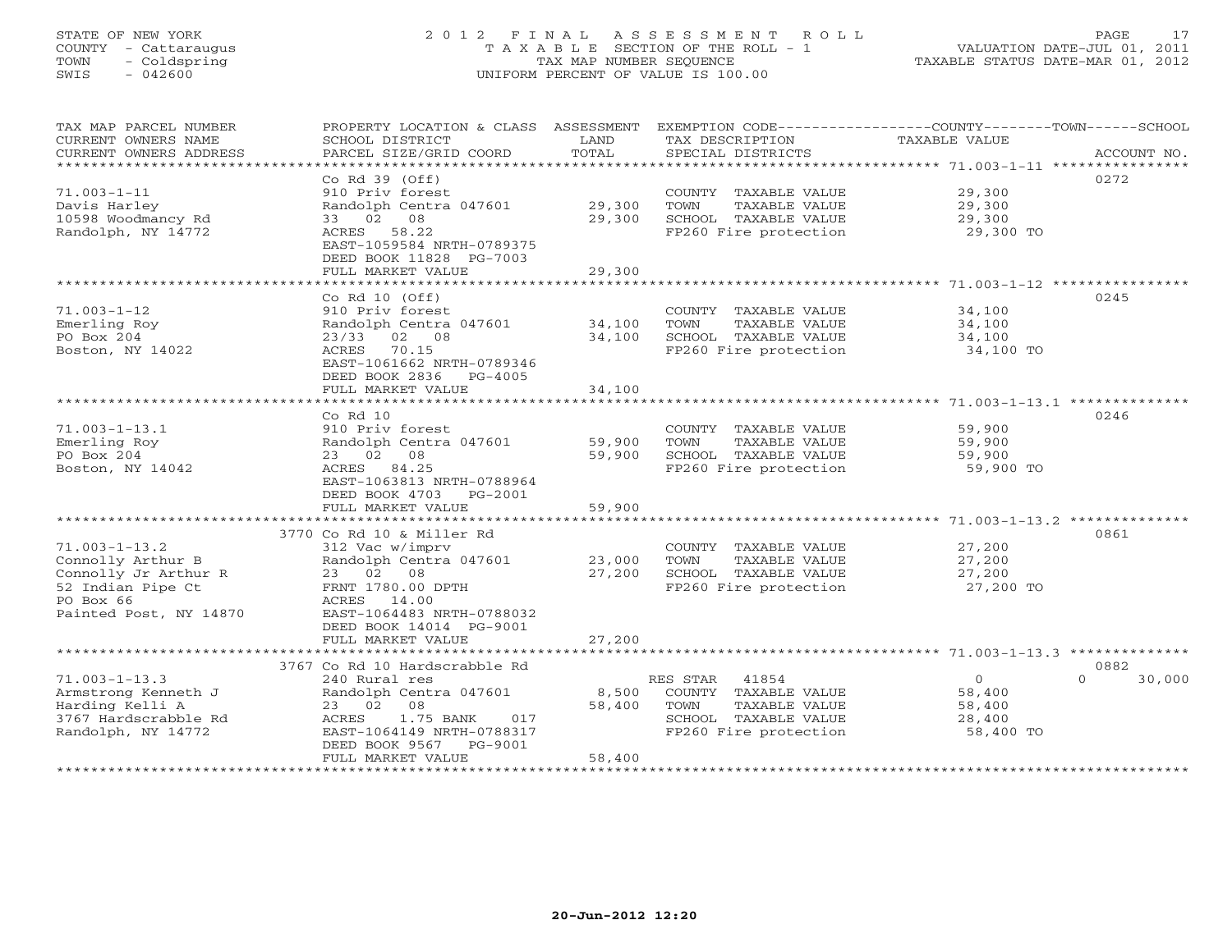# STATE OF NEW YORK 2 0 1 2 F I N A L A S S E S S M E N T R O L L PAGE 17 COUNTY - Cattaraugus T A X A B L E SECTION OF THE ROLL - 1 VALUATION DATE-JUL 01, 2011 TOWN - Coldspring TAX MAP NUMBER SEQUENCE TAXABLE STATUS DATE-MAR 01, 2012 SWIS - 042600 UNIFORM PERCENT OF VALUE IS 100.00UNIFORM PERCENT OF VALUE IS 100.00

| TAX MAP PARCEL NUMBER<br>CURRENT OWNERS NAME     | PROPERTY LOCATION & CLASS ASSESSMENT<br>SCHOOL DISTRICT  | LAND             | TAX DESCRIPTION                               | EXEMPTION CODE-----------------COUNTY-------TOWN------SCHOOL<br><b>TAXABLE VALUE</b> |             |
|--------------------------------------------------|----------------------------------------------------------|------------------|-----------------------------------------------|--------------------------------------------------------------------------------------|-------------|
| CURRENT OWNERS ADDRESS<br>********************** | PARCEL SIZE/GRID COORD                                   | TOTAL            | SPECIAL DISTRICTS                             |                                                                                      | ACCOUNT NO. |
|                                                  | $Co$ Rd $39$ (Off)                                       |                  |                                               |                                                                                      | 0272        |
| $71.003 - 1 - 11$                                | 910 Priv forest                                          |                  | COUNTY TAXABLE VALUE                          | 29,300                                                                               |             |
| Davis Harley                                     | Randolph Centra 047601                                   | 29,300           | TOWN<br>TAXABLE VALUE                         | 29,300                                                                               |             |
| 10598 Woodmancy Rd                               | 08<br>02<br>33                                           | 29,300           | SCHOOL TAXABLE VALUE                          | 29,300                                                                               |             |
| Randolph, NY 14772                               | 58.22<br>ACRES                                           |                  | FP260 Fire protection                         | 29,300 TO                                                                            |             |
|                                                  | EAST-1059584 NRTH-0789375                                |                  |                                               |                                                                                      |             |
|                                                  | DEED BOOK 11828 PG-7003                                  |                  |                                               |                                                                                      |             |
|                                                  | FULL MARKET VALUE                                        | 29,300           |                                               |                                                                                      |             |
|                                                  | *****************                                        |                  |                                               |                                                                                      |             |
|                                                  | Co Rd $10$ (Off)                                         |                  |                                               |                                                                                      | 0245        |
| $71.003 - 1 - 12$                                | 910 Priv forest                                          |                  | COUNTY TAXABLE VALUE                          | 34,100                                                                               |             |
| Emerling Roy<br>PO Box 204                       | Randolph Centra 047601<br>23/33<br>02<br>08              | 34,100<br>34,100 | TOWN<br>TAXABLE VALUE<br>SCHOOL TAXABLE VALUE | 34,100<br>34,100                                                                     |             |
| Boston, NY 14022                                 | 70.15<br>ACRES                                           |                  | FP260 Fire protection                         | 34,100 TO                                                                            |             |
|                                                  | EAST-1061662 NRTH-0789346                                |                  |                                               |                                                                                      |             |
|                                                  | DEED BOOK 2836<br>PG-4005                                |                  |                                               |                                                                                      |             |
|                                                  | FULL MARKET VALUE                                        | 34,100           |                                               |                                                                                      |             |
|                                                  |                                                          |                  |                                               | ************************ 71.003-1-13.1 **************                                |             |
|                                                  | $Co$ $Rd$ $10$                                           |                  |                                               |                                                                                      | 0246        |
| $71.003 - 1 - 13.1$                              | 910 Priv forest                                          |                  | COUNTY TAXABLE VALUE                          | 59,900                                                                               |             |
| Emerling Roy                                     | Randolph Centra 047601                                   | 59,900           | TOWN<br>TAXABLE VALUE                         | 59,900                                                                               |             |
| PO Box 204                                       | 02<br>08<br>23                                           | 59,900           | SCHOOL TAXABLE VALUE                          | 59,900                                                                               |             |
| Boston, NY 14042                                 | ACRES<br>84.25                                           |                  | FP260 Fire protection                         | 59,900 TO                                                                            |             |
|                                                  | EAST-1063813 NRTH-0788964<br>DEED BOOK 4703<br>$PG-2001$ |                  |                                               |                                                                                      |             |
|                                                  | FULL MARKET VALUE                                        | 59,900           |                                               |                                                                                      |             |
|                                                  | *****************                                        |                  |                                               |                                                                                      |             |
|                                                  | 3770 Co Rd 10 & Miller Rd                                |                  |                                               |                                                                                      | 0861        |
| $71.003 - 1 - 13.2$                              | 312 Vac w/imprv                                          |                  | COUNTY TAXABLE VALUE                          | 27,200                                                                               |             |
| Connolly Arthur B                                | Randolph Centra 047601                                   | 23,000           | TOWN<br>TAXABLE VALUE                         | 27,200                                                                               |             |
| Connolly Jr Arthur R                             | 23 02 08                                                 | 27,200           | SCHOOL TAXABLE VALUE                          | 27,200                                                                               |             |
| 52 Indian Pipe Ct                                | FRNT 1780.00 DPTH                                        |                  | FP260 Fire protection                         | 27,200 TO                                                                            |             |
| PO Box 66                                        | ACRES 14.00                                              |                  |                                               |                                                                                      |             |
| Painted Post, NY 14870                           | EAST-1064483 NRTH-0788032                                |                  |                                               |                                                                                      |             |
|                                                  | DEED BOOK 14014 PG-9001                                  |                  |                                               |                                                                                      |             |
|                                                  | FULL MARKET VALUE<br>***********************             | 27,200           |                                               |                                                                                      |             |
|                                                  | 3767 Co Rd 10 Hardscrabble Rd                            |                  |                                               |                                                                                      | 0882        |
| $71.003 - 1 - 13.3$                              | 240 Rural res                                            |                  | RES STAR<br>41854                             | $\circ$<br>$\cap$                                                                    | 30,000      |
| Armstrong Kenneth J                              | Randolph Centra 047601                                   | 8,500            | COUNTY TAXABLE VALUE                          | 58,400                                                                               |             |
| Harding Kelli A                                  | 23 02<br>08                                              | 58,400           | TOWN<br><b>TAXABLE VALUE</b>                  | 58,400                                                                               |             |
| 3767 Hardscrabble Rd                             | ACRES<br>1.75 BANK<br>017                                |                  | SCHOOL TAXABLE VALUE                          | 28,400                                                                               |             |
| Randolph, NY 14772                               | EAST-1064149 NRTH-0788317                                |                  | FP260 Fire protection                         | 58,400 TO                                                                            |             |
|                                                  | DEED BOOK 9567<br>PG-9001                                |                  |                                               |                                                                                      |             |
|                                                  | FULL MARKET VALUE                                        | 58,400           |                                               |                                                                                      |             |
|                                                  |                                                          |                  |                                               |                                                                                      |             |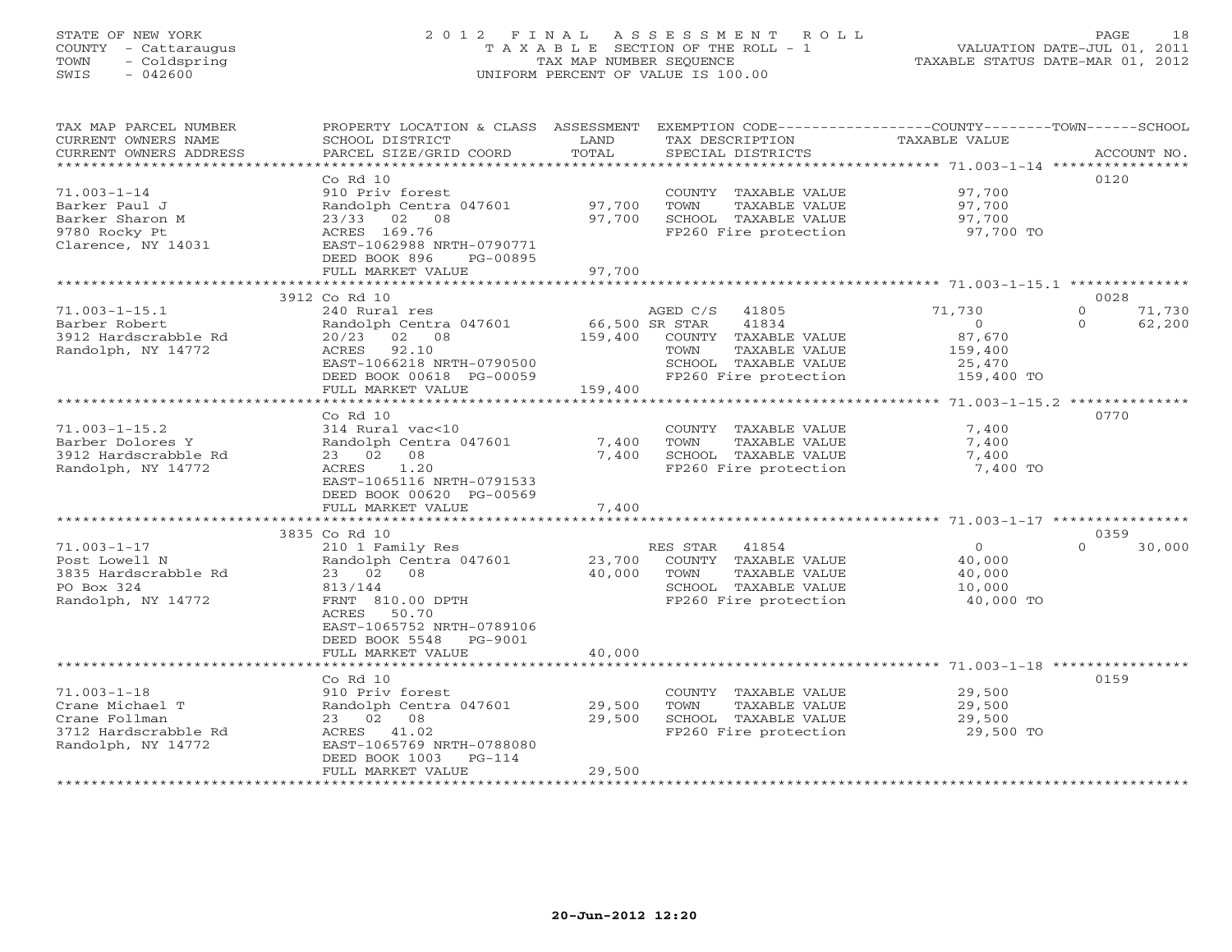# STATE OF NEW YORK 2 0 1 2 F I N A L A S S E S S M E N T R O L L PAGE 18 COUNTY - Cattaraugus T A X A B L E SECTION OF THE ROLL - 1 VALUATION DATE-JUL 01, 2011 TOWN - Coldspring TAX MAP NUMBER SEQUENCE TAXABLE STATUS DATE-MAR 01, 2012 SWIS - 042600 UNIFORM PERCENT OF VALUE IS 100.00UNIFORM PERCENT OF VALUE IS 100.00

| TAX MAP PARCEL NUMBER<br>CURRENT OWNERS NAME<br>CURRENT OWNERS ADDRESS<br>************************* | PROPERTY LOCATION & CLASS ASSESSMENT<br>SCHOOL DISTRICT<br>PARCEL SIZE/GRID COORD                                                                                                                          | LAND<br>TOTAL              | TAX DESCRIPTION<br>SPECIAL DISTRICTS                                                                                                           | EXEMPTION CODE-----------------COUNTY-------TOWN------SCHOOL<br>TAXABLE VALUE               | ACCOUNT NO.              |
|-----------------------------------------------------------------------------------------------------|------------------------------------------------------------------------------------------------------------------------------------------------------------------------------------------------------------|----------------------------|------------------------------------------------------------------------------------------------------------------------------------------------|---------------------------------------------------------------------------------------------|--------------------------|
| $71.003 - 1 - 14$<br>Barker Paul J<br>Barker Sharon M<br>9780 Rocky Pt<br>Clarence, NY 14031        | $Co$ Rd $10$<br>910 Priv forest<br>Randolph Centra 047601<br>$23/33$ 02<br>08<br>ACRES 169.76<br>EAST-1062988 NRTH-0790771<br>DEED BOOK 896<br>PG-00895                                                    | 97,700<br>97,700           | COUNTY TAXABLE VALUE<br>TOWN<br>TAXABLE VALUE<br>SCHOOL TAXABLE VALUE<br>FP260 Fire protection                                                 | 97,700<br>97,700<br>97,700<br>97,700 TO                                                     | 0120                     |
|                                                                                                     | FULL MARKET VALUE<br>* * * * * * * * * * * * * * * * * * *                                                                                                                                                 | 97,700<br>**********       |                                                                                                                                                | ********************* 71.003-1-15.1 **************                                          |                          |
| $71.003 - 1 - 15.1$<br>Barber Robert<br>3912 Hardscrabble Rd<br>Randolph, NY 14772                  | 3912 Co Rd 10<br>240 Rural res<br>Randolph Centra 047601<br>02 08<br>20/23<br>ACRES<br>92.10<br>EAST-1066218 NRTH-0790500<br>DEED BOOK 00618 PG-00059<br>FULL MARKET VALUE                                 | 159,400<br>159,400         | AGED C/S<br>41805<br>66,500 SR STAR<br>41834<br>COUNTY TAXABLE VALUE<br>TOWN<br>TAXABLE VALUE<br>SCHOOL TAXABLE VALUE<br>FP260 Fire protection | 71,730<br>$\mathbf{0}$<br>$\Omega$<br>$\Omega$<br>87,670<br>159,400<br>25,470<br>159,400 TO | 0028<br>71,730<br>62,200 |
|                                                                                                     | $Co$ $Rd$ $10$                                                                                                                                                                                             |                            |                                                                                                                                                |                                                                                             | 0770                     |
| $71.003 - 1 - 15.2$<br>Barber Dolores Y<br>3912 Hardscrabble Rd<br>Randolph, NY 14772               | 314 Rural vac<10<br>Randolph Centra 047601<br>23 02 08<br>1.20<br>ACRES<br>EAST-1065116 NRTH-0791533<br>DEED BOOK 00620 PG-00569                                                                           | 7,400<br>7,400             | COUNTY TAXABLE VALUE<br><b>TAXABLE VALUE</b><br>TOWN<br>SCHOOL TAXABLE VALUE<br>FP260 Fire protection                                          | 7,400<br>7,400<br>7,400<br>7,400 TO                                                         |                          |
|                                                                                                     | FULL MARKET VALUE                                                                                                                                                                                          | 7,400<br>*******           |                                                                                                                                                | **************** 71.003-1-17 ************                                                   |                          |
| $71.003 - 1 - 17$<br>Post Lowell N<br>3835 Hardscrabble Rd<br>PO Box 324<br>Randolph, NY 14772      | 3835 Co Rd 10<br>210 1 Family Res<br>Randolph Centra 047601<br>23 02<br>08<br>813/144<br>FRNT 810.00 DPTH<br>50.70<br>ACRES<br>EAST-1065752 NRTH-0789106<br>DEED BOOK 5548<br>PG-9001<br>FULL MARKET VALUE | 23,700<br>40,000<br>40,000 | RES STAR<br>41854<br>COUNTY TAXABLE VALUE<br>TOWN<br>TAXABLE VALUE<br>SCHOOL TAXABLE VALUE<br>FP260 Fire protection                            | $\circ$<br>$\Omega$<br>40,000<br>40,000<br>10,000<br>40,000 TO                              | 0359<br>30,000           |
|                                                                                                     | *******************                                                                                                                                                                                        | ********                   |                                                                                                                                                |                                                                                             |                          |
| $71.003 - 1 - 18$<br>Crane Michael T<br>Crane Follman<br>3712 Hardscrabble Rd<br>Randolph, NY 14772 | $Co$ $Rd$ $10$<br>910 Priv forest<br>Randolph Centra 047601<br>23 02 08<br>ACRES 41.02<br>EAST-1065769 NRTH-0788080<br>DEED BOOK 1003<br>$PG-114$<br>FULL MARKET VALUE                                     | 29,500<br>29,500<br>29,500 | COUNTY TAXABLE VALUE<br>TOWN<br>TAXABLE VALUE<br>SCHOOL TAXABLE VALUE<br>FP260 Fire protection                                                 | 29,500<br>29,500<br>29,500<br>29,500 TO                                                     | 0159                     |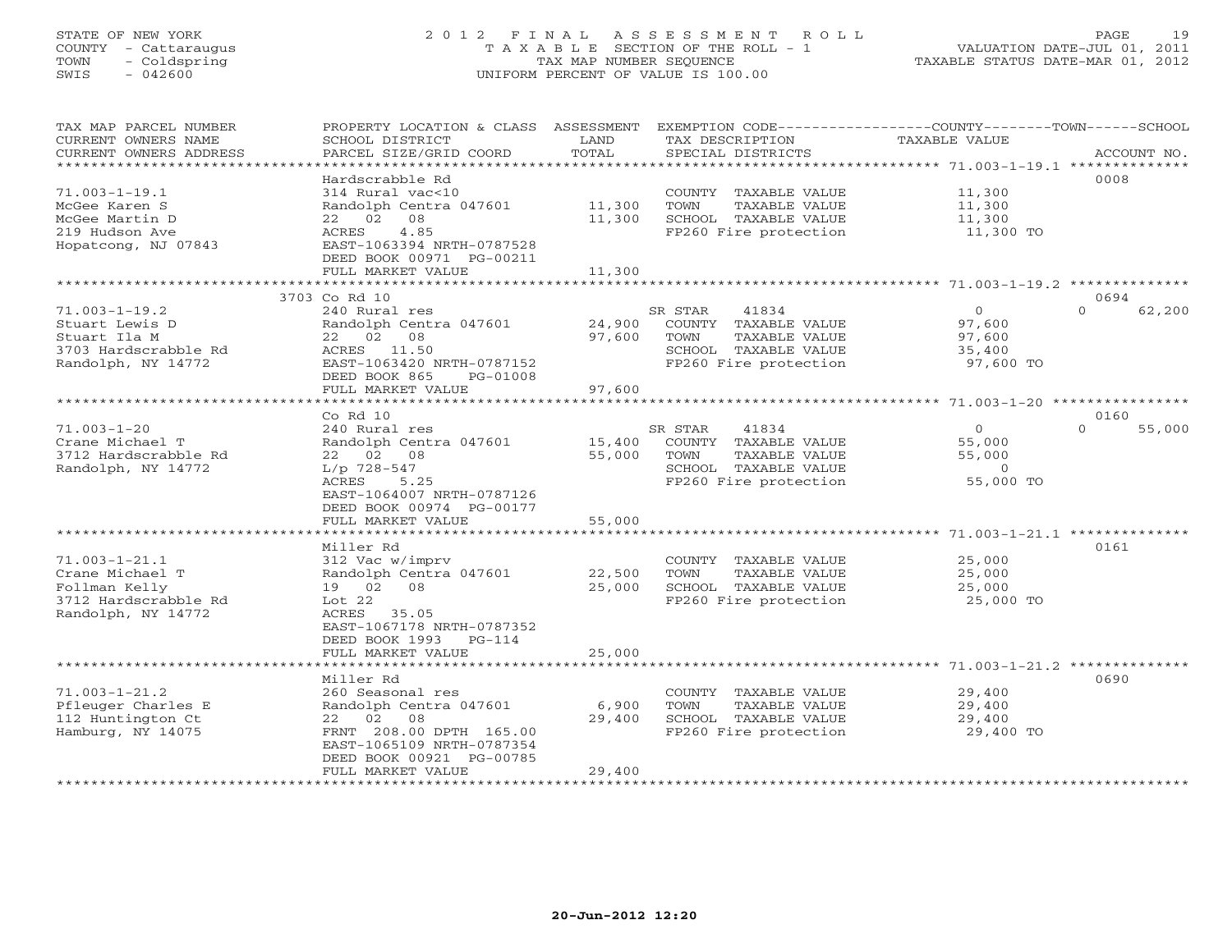# STATE OF NEW YORK 2 0 1 2 F I N A L A S S E S S M E N T R O L L PAGE 19 COUNTY - Cattaraugus T A X A B L E SECTION OF THE ROLL - 1 VALUATION DATE-JUL 01, 2011 TOWN - Coldspring TAX MAP NUMBER SEQUENCE TAXABLE STATUS DATE-MAR 01, 2012 SWIS - 042600 UNIFORM PERCENT OF VALUE IS 100.00UNIFORM PERCENT OF VALUE IS 100.00

| TAX MAP PARCEL NUMBER<br>CURRENT OWNERS NAME | PROPERTY LOCATION & CLASS ASSESSMENT<br>SCHOOL DISTRICT | LAND               | EXEMPTION CODE-----------------COUNTY-------TOWN------SCHOOL<br>TAX DESCRIPTION          | TAXABLE VALUE                                              |                    |
|----------------------------------------------|---------------------------------------------------------|--------------------|------------------------------------------------------------------------------------------|------------------------------------------------------------|--------------------|
| CURRENT OWNERS ADDRESS                       | PARCEL SIZE/GRID COORD                                  | TOTAL<br>********* | SPECIAL DISTRICTS<br>************************************** 71.003-1-19.1 ************** |                                                            | ACCOUNT NO.        |
|                                              | Hardscrabble Rd                                         |                    |                                                                                          |                                                            | 0008               |
| $71.003 - 1 - 19.1$                          | 314 Rural vac<10                                        |                    | COUNTY TAXABLE VALUE                                                                     | 11,300                                                     |                    |
| McGee Karen S                                | Randolph Centra 047601                                  | 11,300             | TOWN<br>TAXABLE VALUE                                                                    | 11,300                                                     |                    |
| McGee Martin D                               | $_{02}$<br>08<br>22                                     | 11,300             | SCHOOL TAXABLE VALUE                                                                     | 11,300                                                     |                    |
| 219 Hudson Ave                               | ACRES<br>4.85                                           |                    | FP260 Fire protection                                                                    | 11,300 TO                                                  |                    |
| Hopatcong, NJ 07843                          | EAST-1063394 NRTH-0787528                               |                    |                                                                                          |                                                            |                    |
|                                              | DEED BOOK 00971 PG-00211                                |                    |                                                                                          |                                                            |                    |
|                                              | FULL MARKET VALUE                                       | 11,300             |                                                                                          |                                                            |                    |
|                                              |                                                         |                    |                                                                                          | ******************************* 71.003-1-19.2 *********    |                    |
|                                              | 3703 Co Rd 10                                           |                    |                                                                                          |                                                            | 0694               |
| $71.003 - 1 - 19.2$                          | 240 Rural res                                           |                    | 41834<br>SR STAR                                                                         | $\circ$                                                    | $\Omega$<br>62,200 |
| Stuart Lewis D                               | Randolph Centra 047601                                  | 24,900             | COUNTY TAXABLE VALUE                                                                     | 97,600                                                     |                    |
| Stuart Ila M                                 | 22 02<br>08                                             | 97,600             | TAXABLE VALUE<br>TOWN                                                                    | 97,600                                                     |                    |
| 3703 Hardscrabble Rd                         | ACRES 11.50                                             |                    | SCHOOL TAXABLE VALUE                                                                     | 35,400                                                     |                    |
| Randolph, NY 14772                           | EAST-1063420 NRTH-0787152                               |                    | FP260 Fire protection                                                                    | 97,600 TO                                                  |                    |
|                                              | DEED BOOK 865<br>PG-01008                               |                    |                                                                                          |                                                            |                    |
|                                              | FULL MARKET VALUE                                       | 97,600             |                                                                                          |                                                            |                    |
|                                              |                                                         |                    |                                                                                          |                                                            |                    |
|                                              | $Co$ Rd $10$                                            |                    |                                                                                          |                                                            | 0160               |
| $71.003 - 1 - 20$                            | 240 Rural res                                           |                    | SR STAR<br>41834                                                                         | $\circ$                                                    | $\Omega$<br>55,000 |
| Crane Michael T                              | Randolph Centra 047601                                  | 15,400             | COUNTY TAXABLE VALUE                                                                     | 55,000                                                     |                    |
| 3712 Hardscrabble Rd                         | 22 02 08                                                | 55,000             | TOWN<br>TAXABLE VALUE                                                                    | 55,000                                                     |                    |
| Randolph, NY 14772                           | L/p 728-547                                             |                    | SCHOOL TAXABLE VALUE                                                                     | $\circ$                                                    |                    |
|                                              | ACRES<br>5.25                                           |                    | FP260 Fire protection                                                                    | 55,000 TO                                                  |                    |
|                                              | EAST-1064007 NRTH-0787126                               |                    |                                                                                          |                                                            |                    |
|                                              | DEED BOOK 00974 PG-00177                                |                    |                                                                                          |                                                            |                    |
|                                              | FULL MARKET VALUE                                       | 55,000             |                                                                                          |                                                            |                    |
|                                              |                                                         |                    |                                                                                          | ******************** 71.003-1-21.1 **********              |                    |
|                                              | Miller Rd                                               |                    |                                                                                          |                                                            | 0161               |
| $71.003 - 1 - 21.1$                          | 312 Vac w/imprv                                         |                    | COUNTY TAXABLE VALUE                                                                     | 25,000                                                     |                    |
| Crane Michael T                              | Randolph Centra 047601                                  | 22,500             | TOWN<br>TAXABLE VALUE                                                                    | 25,000                                                     |                    |
| Follman Kelly                                | 19 02<br>08                                             | 25,000             | SCHOOL TAXABLE VALUE                                                                     | 25,000                                                     |                    |
| 3712 Hardscrabble Rd                         | Lot $22$                                                |                    | FP260 Fire protection                                                                    | 25,000 TO                                                  |                    |
| Randolph, NY 14772                           | ACRES<br>35.05                                          |                    |                                                                                          |                                                            |                    |
|                                              | EAST-1067178 NRTH-0787352                               |                    |                                                                                          |                                                            |                    |
|                                              | DEED BOOK 1993<br>$PG-114$                              |                    |                                                                                          |                                                            |                    |
|                                              | FULL MARKET VALUE<br>****************                   | 25,000             |                                                                                          |                                                            |                    |
|                                              |                                                         | ********           |                                                                                          | ***************************** 71.003-1-21.2 ************** |                    |
|                                              | Miller Rd                                               |                    |                                                                                          |                                                            | 0690               |
| $71.003 - 1 - 21.2$                          | 260 Seasonal res                                        |                    | COUNTY TAXABLE VALUE                                                                     | 29,400                                                     |                    |
| Pfleuger Charles E                           | Randolph Centra 047601                                  | 6,900              | TOWN<br>TAXABLE VALUE                                                                    | 29,400                                                     |                    |
| 112 Huntington Ct                            | 22<br>02<br>08                                          | 29,400             | SCHOOL TAXABLE VALUE                                                                     | 29,400                                                     |                    |
| Hamburg, NY 14075                            | FRNT 208.00 DPTH 165.00                                 |                    | FP260 Fire protection                                                                    | 29,400 TO                                                  |                    |
|                                              | EAST-1065109 NRTH-0787354                               |                    |                                                                                          |                                                            |                    |
|                                              | DEED BOOK 00921 PG-00785                                |                    |                                                                                          |                                                            |                    |
|                                              | FULL MARKET VALUE<br>*****************                  | 29,400             |                                                                                          |                                                            |                    |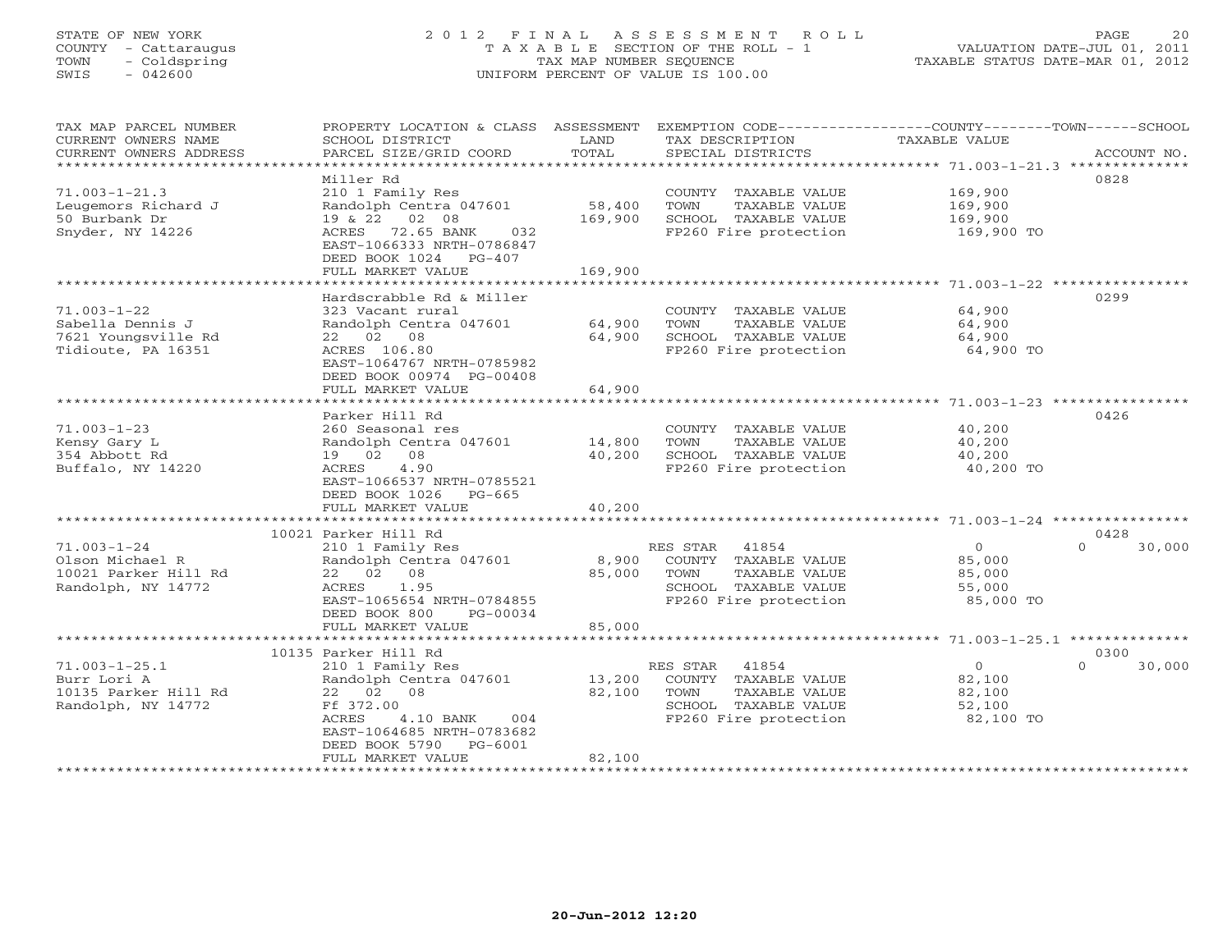# STATE OF NEW YORK 2 0 1 2 F I N A L A S S E S S M E N T R O L L PAGE 20 COUNTY - Cattaraugus T A X A B L E SECTION OF THE ROLL - 1 VALUATION DATE-JUL 01, 2011 TOWN - Coldspring TAX MAP NUMBER SEQUENCE TAXABLE STATUS DATE-MAR 01, 2012 SWIS - 042600 UNIFORM PERCENT OF VALUE IS 100.00

| CURRENT OWNERS NAME<br>SCHOOL DISTRICT<br>LAND<br>TAX DESCRIPTION<br>TAXABLE VALUE<br>TOTAL<br>CURRENT OWNERS ADDRESS<br>PARCEL SIZE/GRID COORD<br>SPECIAL DISTRICTS<br>ACCOUNT NO.<br>**********************<br>Miller Rd<br>0828 |        |
|------------------------------------------------------------------------------------------------------------------------------------------------------------------------------------------------------------------------------------|--------|
|                                                                                                                                                                                                                                    |        |
|                                                                                                                                                                                                                                    |        |
|                                                                                                                                                                                                                                    |        |
| $71.003 - 1 - 21.3$<br>210 1 Family Res<br>169,900<br>COUNTY TAXABLE VALUE                                                                                                                                                         |        |
| Randolph Centra 047601<br>58,400<br>TOWN<br>Leugemors Richard J<br>TAXABLE VALUE<br>169,900                                                                                                                                        |        |
| 19 & 22 02 08<br>50 Burbank Dr<br>169,900<br>SCHOOL TAXABLE VALUE<br>169,900                                                                                                                                                       |        |
| Snyder, NY 14226<br>ACRES 72.65 BANK<br>FP260 Fire protection<br>032<br>169,900 TO                                                                                                                                                 |        |
| EAST-1066333 NRTH-0786847                                                                                                                                                                                                          |        |
| DEED BOOK 1024 PG-407<br>FULL MARKET VALUE<br>169,900                                                                                                                                                                              |        |
|                                                                                                                                                                                                                                    |        |
| 0299<br>Hardscrabble Rd & Miller                                                                                                                                                                                                   |        |
| $71.003 - 1 - 22$<br>64,900<br>323 Vacant rural<br>COUNTY TAXABLE VALUE                                                                                                                                                            |        |
| 64,900<br>Sabella Dennis J<br>Randolph Centra 047601<br>TOWN<br>TAXABLE VALUE<br>64,900                                                                                                                                            |        |
| 22 02 08<br>64,900<br>SCHOOL TAXABLE VALUE<br>64,900<br>7621 Youngsville Rd                                                                                                                                                        |        |
| Tidioute, PA 16351<br>ACRES 106.80<br>FP260 Fire protection<br>64,900 TO                                                                                                                                                           |        |
| EAST-1064767 NRTH-0785982                                                                                                                                                                                                          |        |
| DEED BOOK 00974 PG-00408                                                                                                                                                                                                           |        |
| 64,900<br>FULL MARKET VALUE                                                                                                                                                                                                        |        |
|                                                                                                                                                                                                                                    |        |
| 0426<br>Parker Hill Rd                                                                                                                                                                                                             |        |
| $71.003 - 1 - 23$<br>COUNTY TAXABLE VALUE<br>40,200<br>260 Seasonal res                                                                                                                                                            |        |
| Randolph Centra 047601<br>14,800<br>TOWN<br>TAXABLE VALUE<br>40,200<br>Kensy Gary L                                                                                                                                                |        |
| 40,200<br>SCHOOL TAXABLE VALUE<br>354 Abbott Rd<br>19 02 08<br>40,200                                                                                                                                                              |        |
| 4.90<br>ACRES<br>FP260 Fire protection<br>40,200 TO<br>Buffalo, NY 14220                                                                                                                                                           |        |
| EAST-1066537 NRTH-0785521                                                                                                                                                                                                          |        |
| DEED BOOK 1026 PG-665                                                                                                                                                                                                              |        |
| FULL MARKET VALUE<br>40,200                                                                                                                                                                                                        |        |
| 10021 Parker Hill Rd<br>0428                                                                                                                                                                                                       |        |
| $71.003 - 1 - 24$<br>RES STAR 41854<br>$\overline{0}$<br>$\Omega$<br>210 1 Family Res                                                                                                                                              | 30,000 |
| Olson Michael R<br>Randolph Centra 047601<br>8,900<br>COUNTY TAXABLE VALUE<br>85,000                                                                                                                                               |        |
| 10021 Parker Hill Rd<br>22 02 08<br>85,000<br>TOWN<br>TAXABLE VALUE<br>85,000                                                                                                                                                      |        |
| ACRES<br>1.95<br>SCHOOL TAXABLE VALUE<br>Randolph, NY 14772<br>55,000                                                                                                                                                              |        |
| EAST-1065654 NRTH-0784855<br>FP260 Fire protection<br>85,000 TO                                                                                                                                                                    |        |
| DEED BOOK 800<br>PG-00034                                                                                                                                                                                                          |        |
| 85,000<br>FULL MARKET VALUE                                                                                                                                                                                                        |        |
| ********************* 71.003-1-25.1 ***************<br>*************************<br>************                                                                                                                                   |        |
| 10135 Parker Hill Rd<br>0300                                                                                                                                                                                                       |        |
| $71.003 - 1 - 25.1$<br>210 1 Family Res<br>RES STAR<br>41854<br>$\overline{0}$<br>$\Omega$                                                                                                                                         | 30,000 |
| Randolph Centra 047601<br>13,200<br>COUNTY TAXABLE VALUE<br>82,100<br>Burr Lori A                                                                                                                                                  |        |
| 82,100<br>10135 Parker Hill Rd<br>22 02 08<br>TOWN<br>TAXABLE VALUE<br>82,100                                                                                                                                                      |        |
| Randolph, NY 14772<br>Ff 372.00<br>SCHOOL TAXABLE VALUE<br>52,100                                                                                                                                                                  |        |
| FP260 Fire protection<br>ACRES<br>4.10 BANK<br>004<br>82,100 TO                                                                                                                                                                    |        |
| EAST-1064685 NRTH-0783682<br>PG-6001                                                                                                                                                                                               |        |
| DEED BOOK 5790<br>82,100<br>FULL MARKET VALUE                                                                                                                                                                                      |        |
|                                                                                                                                                                                                                                    |        |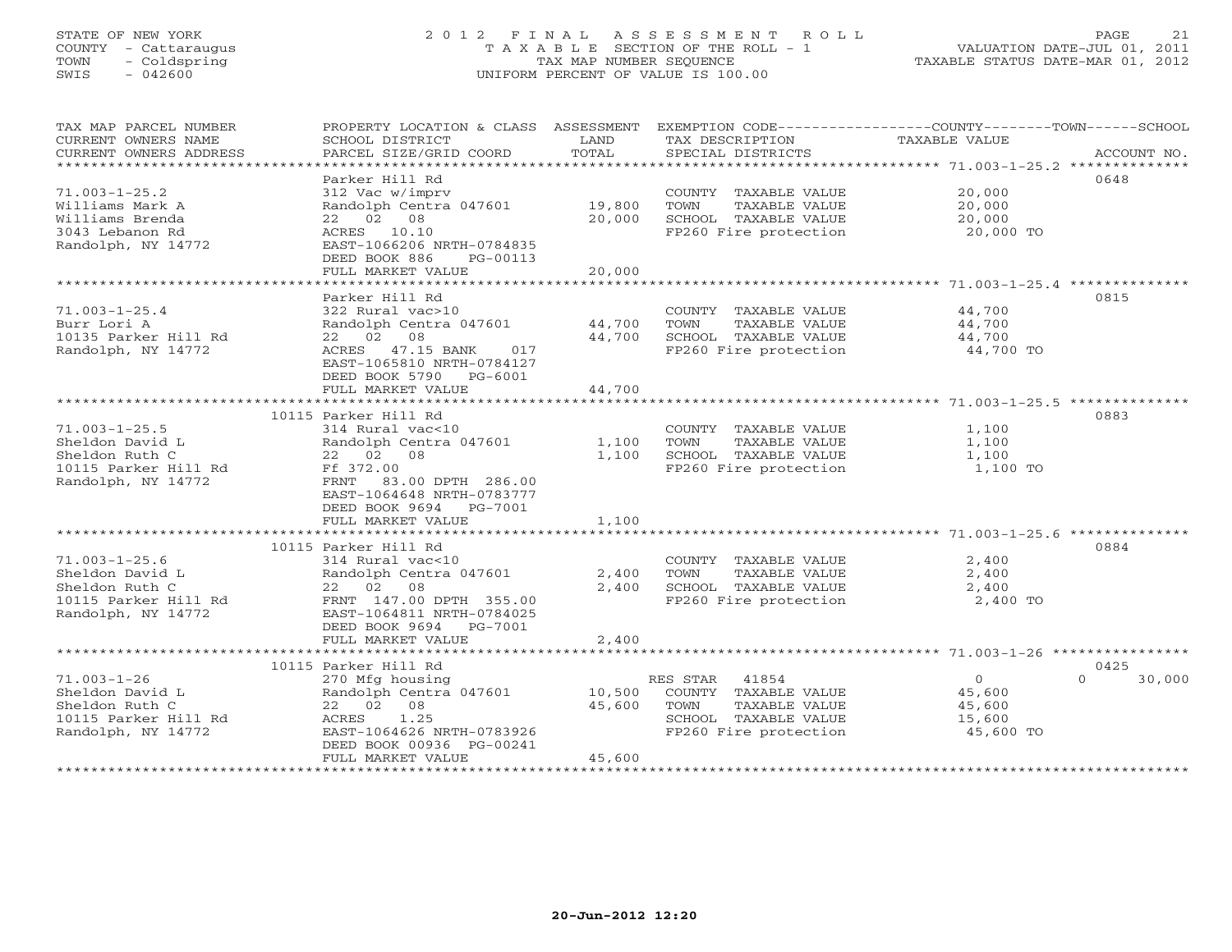# STATE OF NEW YORK 2 0 1 2 F I N A L A S S E S S M E N T R O L L PAGE 21 COUNTY - Cattaraugus T A X A B L E SECTION OF THE ROLL - 1 VALUATION DATE-JUL 01, 2011 TOWN - Coldspring TAX MAP NUMBER SEQUENCE TAXABLE STATUS DATE-MAR 01, 2012 SWIS - 042600 UNIFORM PERCENT OF VALUE IS 100.00UNIFORM PERCENT OF VALUE IS 100.00

| TAX MAP PARCEL NUMBER  | PROPERTY LOCATION & CLASS ASSESSMENT |               |                       | EXEMPTION CODE-----------------COUNTY-------TOWN------SCHOOL |             |
|------------------------|--------------------------------------|---------------|-----------------------|--------------------------------------------------------------|-------------|
| CURRENT OWNERS NAME    | SCHOOL DISTRICT                      | LAND          | TAX DESCRIPTION       | TAXABLE VALUE                                                |             |
| CURRENT OWNERS ADDRESS | PARCEL SIZE/GRID COORD               | TOTAL         | SPECIAL DISTRICTS     |                                                              | ACCOUNT NO. |
| *********************  |                                      |               |                       |                                                              |             |
|                        | Parker Hill Rd                       |               |                       | 0648                                                         |             |
| $71.003 - 1 - 25.2$    | 312 Vac w/imprv                      |               | COUNTY TAXABLE VALUE  | 20,000                                                       |             |
| Williams Mark A        | Randolph Centra 047601               | 19,800        | TOWN<br>TAXABLE VALUE | 20,000                                                       |             |
| Williams Brenda        | 22 02 08                             | 20,000        | SCHOOL TAXABLE VALUE  | 20,000                                                       |             |
| 3043 Lebanon Rd        | ACRES 10.10                          |               | FP260 Fire protection | 20,000 TO                                                    |             |
| Randolph, NY 14772     | EAST-1066206 NRTH-0784835            |               |                       |                                                              |             |
|                        | DEED BOOK 886<br>PG-00113            |               |                       |                                                              |             |
|                        | FULL MARKET VALUE                    | 20,000        |                       |                                                              |             |
|                        |                                      |               |                       |                                                              |             |
|                        | Parker Hill Rd                       |               |                       | 0815                                                         |             |
| $71.003 - 1 - 25.4$    | 322 Rural vac>10                     |               | COUNTY TAXABLE VALUE  | 44,700                                                       |             |
| Burr Lori A            | Randolph Centra 047601               | 44,700        | TOWN<br>TAXABLE VALUE | 44,700                                                       |             |
| 10135 Parker Hill Rd   | 22 02 08                             | 44,700        | SCHOOL TAXABLE VALUE  | 44,700                                                       |             |
| Randolph, NY 14772     | ACRES 47.15 BANK<br>017              |               | FP260 Fire protection | 44,700 TO                                                    |             |
|                        | EAST-1065810 NRTH-0784127            |               |                       |                                                              |             |
|                        | DEED BOOK 5790 PG-6001               |               |                       |                                                              |             |
|                        | FULL MARKET VALUE                    | 44,700        |                       |                                                              |             |
|                        |                                      |               |                       |                                                              |             |
|                        | 10115 Parker Hill Rd                 |               |                       | 0883                                                         |             |
| $71.003 - 1 - 25.5$    | 314 Rural vac<10                     |               | COUNTY TAXABLE VALUE  | 1,100                                                        |             |
| Sheldon David L        | Randolph Centra 047601               | 1,100         | TOWN<br>TAXABLE VALUE | 1,100                                                        |             |
| Sheldon Ruth C         | 22 02 08                             | 1,100         | SCHOOL TAXABLE VALUE  | 1,100                                                        |             |
| 10115 Parker Hill Rd   | Ff 372.00                            |               | FP260 Fire protection | 1,100 TO                                                     |             |
| Randolph, NY 14772     | FRNT 83.00 DPTH 286.00               |               |                       |                                                              |             |
|                        | EAST-1064648 NRTH-0783777            |               |                       |                                                              |             |
|                        | DEED BOOK 9694 PG-7001               |               |                       |                                                              |             |
|                        | FULL MARKET VALUE                    | 1,100         |                       |                                                              |             |
|                        | *************************            | ************* |                       |                                                              |             |
|                        | 10115 Parker Hill Rd                 |               |                       | 0884                                                         |             |
| $71.003 - 1 - 25.6$    | 314 Rural vac<10                     |               | COUNTY TAXABLE VALUE  | 2,400                                                        |             |
| Sheldon David L        | Randolph Centra 047601               | 2,400         | TAXABLE VALUE<br>TOWN | 2,400                                                        |             |
| Sheldon Ruth C         | 22 02 08                             | 2,400         | SCHOOL TAXABLE VALUE  | 2,400                                                        |             |
| 10115 Parker Hill Rd   | FRNT 147.00 DPTH 355.00              |               | FP260 Fire protection | 2,400 TO                                                     |             |
| Randolph, NY 14772     | EAST-1064811 NRTH-0784025            |               |                       |                                                              |             |
|                        | DEED BOOK 9694<br>PG-7001            |               |                       |                                                              |             |
|                        | FULL MARKET VALUE                    | 2,400         |                       |                                                              |             |
|                        |                                      |               |                       |                                                              |             |
|                        | 10115 Parker Hill Rd                 |               |                       | 0425                                                         |             |
| $71.003 - 1 - 26$      | 270 Mfg housing                      |               | RES STAR 41854        | $\overline{0}$<br>$\Omega$                                   | 30,000      |
| Sheldon David L        | Randolph Centra 047601               | 10,500        | COUNTY TAXABLE VALUE  | 45,600                                                       |             |
| Sheldon Ruth C         | 22 02 08                             | 45,600        | TOWN<br>TAXABLE VALUE | 45,600                                                       |             |
| 10115 Parker Hill Rd   | ACRES 1.25                           |               | SCHOOL TAXABLE VALUE  | 15,600                                                       |             |
| Randolph, NY 14772     | EAST-1064626 NRTH-0783926            |               | FP260 Fire protection | 45,600 TO                                                    |             |
|                        | DEED BOOK 00936 PG-00241             |               |                       |                                                              |             |
|                        | FULL MARKET VALUE                    | 45,600        |                       |                                                              |             |
|                        |                                      |               |                       |                                                              |             |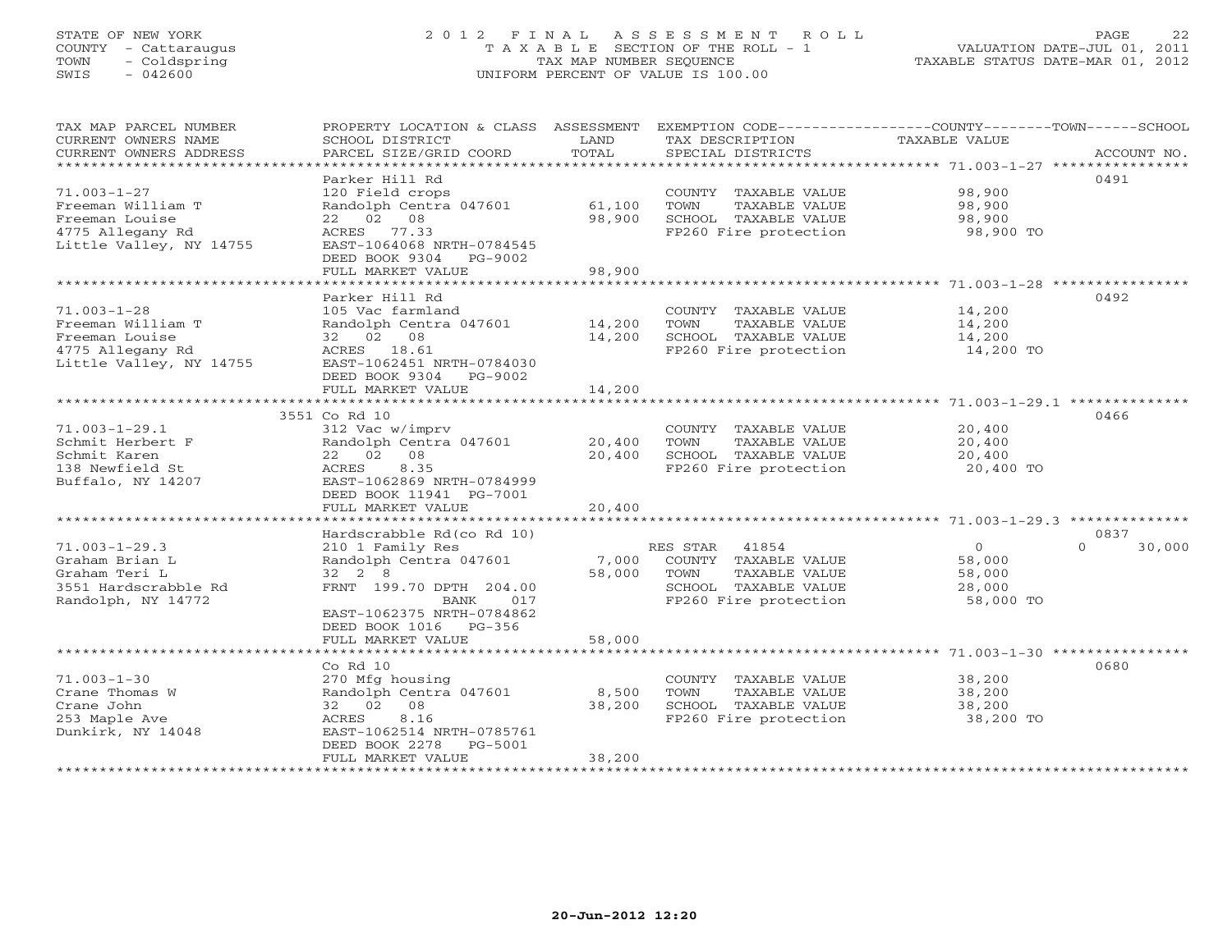# STATE OF NEW YORK 2 0 1 2 F I N A L A S S E S S M E N T R O L L PAGE 22 COUNTY - Cattaraugus T A X A B L E SECTION OF THE ROLL - 1 VALUATION DATE-JUL 01, 2011 TOWN - Coldspring TAX MAP NUMBER SEQUENCE TAXABLE STATUS DATE-MAR 01, 2012 SWIS - 042600 UNIFORM PERCENT OF VALUE IS 100.00UNIFORM PERCENT OF VALUE IS 100.00

| TAX MAP PARCEL NUMBER<br>CURRENT OWNERS NAME<br>CURRENT OWNERS ADDRESS                                  | PROPERTY LOCATION & CLASS ASSESSMENT<br>SCHOOL DISTRICT<br>PARCEL SIZE/GRID COORD                                                                                       | LAND<br>TOTAL              | EXEMPTION CODE----------------COUNTY-------TOWN------SCHOOL<br>TAX DESCRIPTION<br>SPECIAL DISTRICTS                 | TAXABLE VALUE                                       | ACCOUNT NO.        |
|---------------------------------------------------------------------------------------------------------|-------------------------------------------------------------------------------------------------------------------------------------------------------------------------|----------------------------|---------------------------------------------------------------------------------------------------------------------|-----------------------------------------------------|--------------------|
| $71.003 - 1 - 27$<br>Freeman William T<br>Freeman Louise<br>4775 Allegany Rd<br>Little Valley, NY 14755 | Parker Hill Rd<br>120 Field crops<br>Randolph Centra 047601<br>22 02 08<br>ACRES 77.33<br>EAST-1064068 NRTH-0784545<br>DEED BOOK 9304<br>PG-9002<br>FULL MARKET VALUE   | 61,100<br>98,900<br>98,900 | COUNTY TAXABLE VALUE<br>TOWN<br>TAXABLE VALUE<br>SCHOOL TAXABLE VALUE<br>FP260 Fire protection                      | 98,900<br>98,900<br>98,900<br>98,900 TO             | 0491               |
|                                                                                                         | *********************                                                                                                                                                   | * * * * * * * * * * *      |                                                                                                                     | ********************* 71.003-1-28 **********        |                    |
| $71.003 - 1 - 28$<br>Freeman William T<br>Freeman Louise<br>4775 Allegany Rd<br>Little Valley, NY 14755 | Parker Hill Rd<br>105 Vac farmland<br>Randolph Centra 047601<br>32 02 08<br>ACRES 18.61<br>EAST-1062451 NRTH-0784030<br>DEED BOOK 9304 PG-9002                          | 14,200<br>14,200           | COUNTY TAXABLE VALUE<br>TOWN<br>TAXABLE VALUE<br>SCHOOL TAXABLE VALUE<br>FP260 Fire protection                      | 14,200<br>14,200<br>14,200<br>14,200 TO             | 0492               |
|                                                                                                         | FULL MARKET VALUE                                                                                                                                                       | 14,200                     |                                                                                                                     |                                                     |                    |
|                                                                                                         |                                                                                                                                                                         |                            |                                                                                                                     |                                                     |                    |
| $71.003 - 1 - 29.1$<br>Schmit Herbert F<br>Schmit Karen<br>138 Newfield St<br>Buffalo, NY 14207         | 3551 Co Rd 10<br>312 Vac w/imprv<br>Randolph Centra 047601<br>22 02<br>08<br>8.35<br>ACRES<br>EAST-1062869 NRTH-0784999<br>DEED BOOK 11941 PG-7001<br>FULL MARKET VALUE | 20,400<br>20,400<br>20,400 | COUNTY TAXABLE VALUE<br>TOWN<br>TAXABLE VALUE<br>SCHOOL TAXABLE VALUE<br>FP260 Fire protection                      | 20,400<br>20,400<br>20,400<br>20,400 TO             | 0466               |
|                                                                                                         | Hardscrabble Rd(co Rd 10)                                                                                                                                               |                            |                                                                                                                     |                                                     | 0837               |
| $71.003 - 1 - 29.3$<br>Graham Brian L<br>Graham Teri L<br>3551 Hardscrabble Rd<br>Randolph, NY 14772    | 210 1 Family Res<br>Randolph Centra 047601<br>32 2 8<br>FRNT 199.70 DPTH 204.00<br>BANK<br>017<br>EAST-1062375 NRTH-0784862<br>DEED BOOK 1016 PG-356                    | 7,000<br>58,000            | RES STAR<br>41854<br>COUNTY TAXABLE VALUE<br>TOWN<br>TAXABLE VALUE<br>SCHOOL TAXABLE VALUE<br>FP260 Fire protection | $\Omega$<br>58,000<br>58,000<br>28,000<br>58,000 TO | $\Omega$<br>30,000 |
|                                                                                                         | FULL MARKET VALUE                                                                                                                                                       | 58,000                     |                                                                                                                     |                                                     |                    |
|                                                                                                         |                                                                                                                                                                         |                            |                                                                                                                     |                                                     |                    |
| $71.003 - 1 - 30$<br>Crane Thomas W<br>Crane John<br>253 Maple Ave<br>Dunkirk, NY 14048                 | Co Rd 10<br>270 Mfg housing<br>Randolph Centra 047601<br>32 02 08<br>8.16<br>ACRES<br>EAST-1062514 NRTH-0785761<br>DEED BOOK 2278<br>PG-5001<br>FULL MARKET VALUE       | 8,500<br>38,200<br>38,200  | COUNTY TAXABLE VALUE<br>TOWN<br>TAXABLE VALUE<br>SCHOOL TAXABLE VALUE<br>FP260 Fire protection                      | 38,200<br>38,200<br>38,200<br>38,200 TO             | 0680               |
|                                                                                                         |                                                                                                                                                                         |                            |                                                                                                                     |                                                     |                    |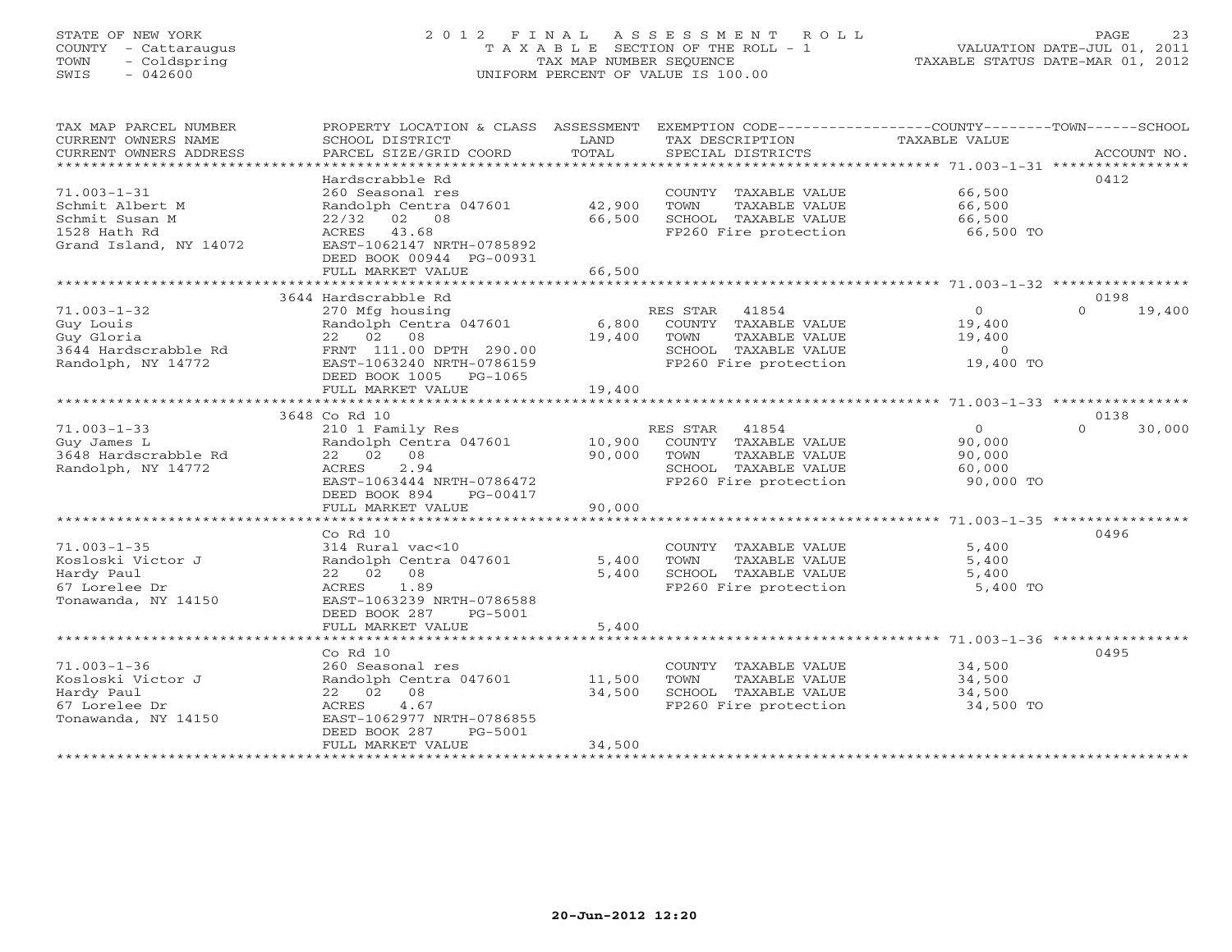# STATE OF NEW YORK 2 0 1 2 F I N A L A S S E S S M E N T R O L L PAGE 23 COUNTY - Cattaraugus T A X A B L E SECTION OF THE ROLL - 1 VALUATION DATE-JUL 01, 2011 TOWN - Coldspring TAX MAP NUMBER SEQUENCE TAXABLE STATUS DATE-MAR 01, 2012 SWIS - 042600 UNIFORM PERCENT OF VALUE IS 100.00UNIFORM PERCENT OF VALUE IS 100.00

| TAX MAP PARCEL NUMBER<br>CURRENT OWNERS NAME<br>CURRENT OWNERS ADDRESS<br>************************ | PROPERTY LOCATION & CLASS ASSESSMENT<br>SCHOOL DISTRICT<br>PARCEL SIZE/GRID COORD                                                                                     | LAND<br>TOTAL              | EXEMPTION CODE-----------------COUNTY-------TOWN------SCHOOL<br>TAX DESCRIPTION<br>SPECIAL DISTRICTS                | TAXABLE VALUE                                              | ACCOUNT NO.        |
|----------------------------------------------------------------------------------------------------|-----------------------------------------------------------------------------------------------------------------------------------------------------------------------|----------------------------|---------------------------------------------------------------------------------------------------------------------|------------------------------------------------------------|--------------------|
| $71.003 - 1 - 31$<br>Schmit Albert M<br>Schmit Susan M<br>1528 Hath Rd<br>Grand Island, NY 14072   | Hardscrabble Rd<br>260 Seasonal res<br>Randolph Centra 047601<br>$22/32$ 02 08<br>ACRES 43.68<br>EAST-1062147 NRTH-0785892                                            | 42,900<br>66,500           | COUNTY TAXABLE VALUE<br>TOWN<br>TAXABLE VALUE<br>SCHOOL TAXABLE VALUE<br>FP260 Fire protection                      | 66,500<br>66,500<br>66,500<br>66,500 TO                    | 0412               |
|                                                                                                    | DEED BOOK 00944 PG-00931<br>FULL MARKET VALUE                                                                                                                         | 66,500                     |                                                                                                                     |                                                            |                    |
|                                                                                                    | 3644 Hardscrabble Rd                                                                                                                                                  |                            |                                                                                                                     |                                                            | 0198               |
| $71.003 - 1 - 32$<br>Guy Louis<br>Guy Gloria<br>3644 Hardscrabble Rd<br>Randolph, NY 14772         | 270 Mfg housing<br>Randolph Centra 047601<br>22 02 08<br>FRNT 111.00 DPTH 290.00<br>EAST-1063240 NRTH-0786159<br>DEED BOOK 1005 PG-1065<br>FULL MARKET VALUE          | 6,800<br>19,400<br>19,400  | RES STAR 41854<br>COUNTY TAXABLE VALUE<br>TAXABLE VALUE<br>TOWN<br>SCHOOL TAXABLE VALUE<br>FP260 Fire protection    | $\overline{O}$<br>19,400<br>19,400<br>$\circ$<br>19,400 TO | 19,400<br>$\Omega$ |
|                                                                                                    | **************************                                                                                                                                            | * * * * * * * * * * * * *  |                                                                                                                     |                                                            |                    |
|                                                                                                    | 3648 Co Rd 10                                                                                                                                                         |                            |                                                                                                                     |                                                            | 0138               |
| $71.003 - 1 - 33$<br>Guy James L<br>3648 Hardscrabble Rd<br>Randolph, NY 14772                     | 210 1 Family Res<br>Randolph Centra 047601<br>22 02 08<br>2.94<br>ACRES<br>EAST-1063444 NRTH-0786472<br>DEED BOOK 894<br>PG-00417                                     | 10,900<br>90,000           | RES STAR<br>41854<br>COUNTY TAXABLE VALUE<br>TOWN<br>TAXABLE VALUE<br>SCHOOL TAXABLE VALUE<br>FP260 Fire protection | $\circ$<br>90,000<br>90,000<br>60,000<br>90,000 TO         | 30,000<br>$\Omega$ |
|                                                                                                    | FULL MARKET VALUE                                                                                                                                                     | 90,000                     |                                                                                                                     |                                                            |                    |
|                                                                                                    | ***********************                                                                                                                                               |                            |                                                                                                                     |                                                            |                    |
| $71.003 - 1 - 35$<br>Kosloski Victor J<br>Hardy Paul<br>67 Lorelee Dr<br>Tonawanda, NY 14150       | Co Rd 10<br>314 Rural vac<10<br>Randolph Centra 047601<br>22 02 08<br>1.89<br>ACRES<br>EAST-1063239 NRTH-0786588<br>DEED BOOK 287<br>PG-5001                          | 5,400<br>5,400             | COUNTY TAXABLE VALUE<br>TAXABLE VALUE<br>TOWN<br>SCHOOL TAXABLE VALUE<br>FP260 Fire protection                      | 5,400<br>5,400<br>5,400<br>5,400 TO                        | 0496               |
|                                                                                                    | FULL MARKET VALUE                                                                                                                                                     | 5,400                      |                                                                                                                     |                                                            |                    |
|                                                                                                    | *******************                                                                                                                                                   |                            | ************************                                                                                            | ********************* 71.003-1-36 *************            |                    |
| $71.003 - 1 - 36$<br>Kosloski Victor J<br>Hardy Paul<br>67 Lorelee Dr<br>Tonawanda, NY 14150       | $Co$ Rd $10$<br>260 Seasonal res<br>Randolph Centra 047601<br>22 02 08<br>4.67<br>ACRES<br>EAST-1062977 NRTH-0786855<br>DEED BOOK 287<br>PG-5001<br>FULL MARKET VALUE | 11,500<br>34,500<br>34,500 | COUNTY TAXABLE VALUE<br>TAXABLE VALUE<br>TOWN<br>SCHOOL TAXABLE VALUE<br>FP260 Fire protection                      | 34,500<br>34,500<br>34,500<br>34,500 TO                    | 0495               |
|                                                                                                    |                                                                                                                                                                       |                            |                                                                                                                     |                                                            |                    |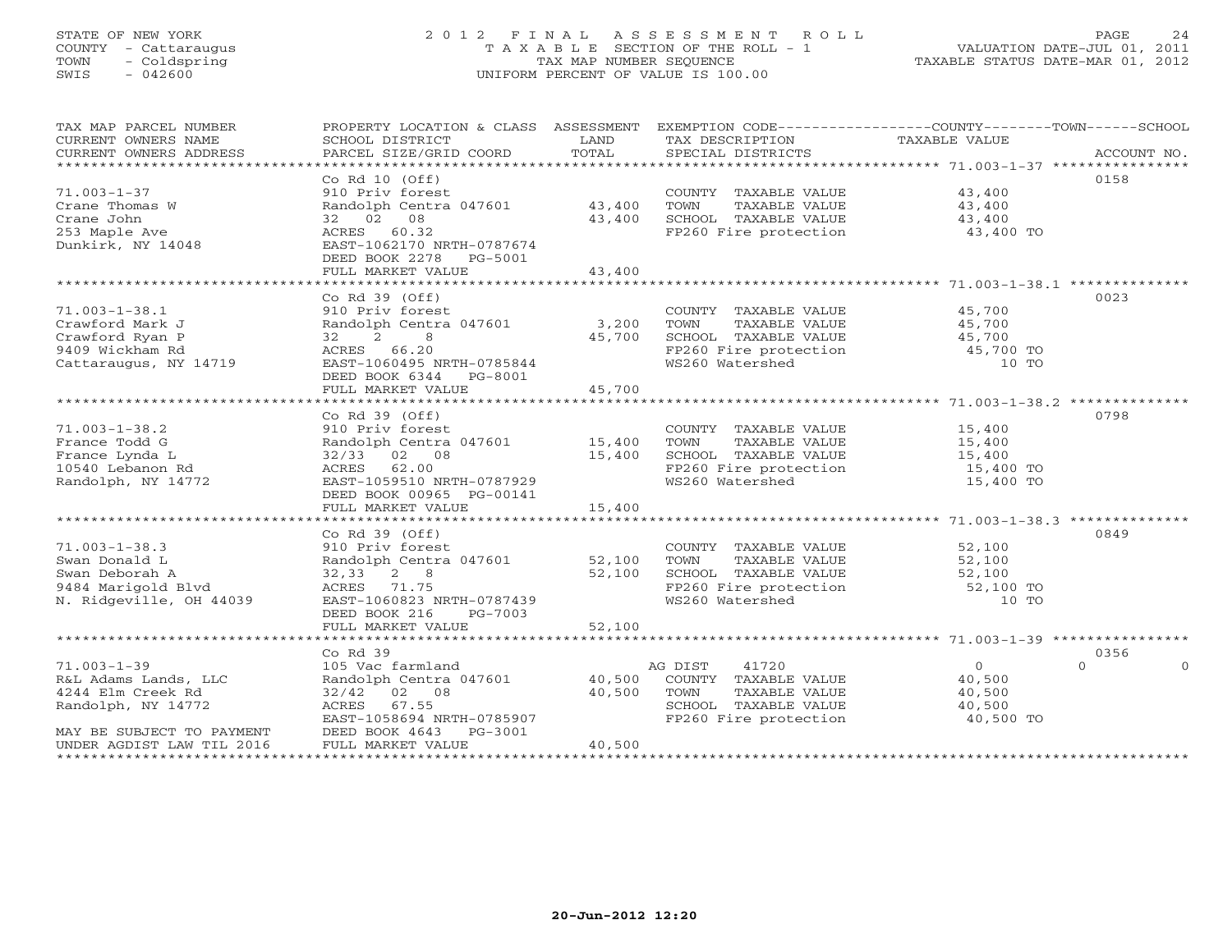# STATE OF NEW YORK 2 0 1 2 F I N A L A S S E S S M E N T R O L L PAGE 24 COUNTY - Cattaraugus T A X A B L E SECTION OF THE ROLL - 1 VALUATION DATE-JUL 01, 2011 TOWN - Coldspring TAX MAP NUMBER SEQUENCE TAXABLE STATUS DATE-MAR 01, 2012 SWIS - 042600 UNIFORM PERCENT OF VALUE IS 100.00UNIFORM PERCENT OF VALUE IS 100.00

| TAX MAP PARCEL NUMBER<br>CURRENT OWNERS NAME<br>CURRENT OWNERS ADDRESS | PROPERTY LOCATION & CLASS ASSESSMENT<br>SCHOOL DISTRICT<br>PARCEL SIZE/GRID COORD | LAND<br>TOTAL | TAX DESCRIPTION TAXABLE VALUE<br>SPECIAL DISTRICTS                                      | EXEMPTION CODE-----------------COUNTY-------TOWN------SCHOOL<br>ACCOUNT NO. |
|------------------------------------------------------------------------|-----------------------------------------------------------------------------------|---------------|-----------------------------------------------------------------------------------------|-----------------------------------------------------------------------------|
|                                                                        |                                                                                   |               |                                                                                         |                                                                             |
|                                                                        | Co Rd $10$ (Off)                                                                  |               |                                                                                         | 0158                                                                        |
| $71.003 - 1 - 37$                                                      | 910 Priv forest                                                                   |               | COUNTY TAXABLE VALUE                                                                    | 43,400                                                                      |
| Crane Thomas W                                                         | Randolph Centra 047601 43,400                                                     |               | TOWN<br>TAXABLE VALUE                                                                   | 43,400                                                                      |
| Crane John                                                             | 32 02 08                                                                          | 43,400        | SCHOOL TAXABLE VALUE                                                                    | 43,400                                                                      |
| 253 Maple Ave                                                          | ACRES 60.32                                                                       |               | FP260 Fire protection                                                                   | 43,400 TO                                                                   |
| Dunkirk, NY 14048                                                      | EAST-1062170 NRTH-0787674                                                         |               |                                                                                         |                                                                             |
|                                                                        | DEED BOOK 2278 PG-5001                                                            |               |                                                                                         |                                                                             |
|                                                                        | FULL MARKET VALUE                                                                 | 43,400        |                                                                                         |                                                                             |
|                                                                        |                                                                                   |               |                                                                                         |                                                                             |
|                                                                        | $Co$ Rd $39$ (Off)                                                                |               |                                                                                         | 0023                                                                        |
| $71.003 - 1 - 38.1$                                                    | 910 Priv forest                                                                   |               | COUNTY TAXABLE VALUE                                                                    | 45,700                                                                      |
| Crawford Mark J                                                        | Randolph Centra 047601 3,200                                                      |               | TOWN<br>TAXABLE VALUE                                                                   | 45,700                                                                      |
| Crawford Ryan P                                                        | 32<br>$2 \qquad 8$                                                                | 45,700        |                                                                                         |                                                                             |
| 9409 Wickham Rd                                                        | ACRES 66.20                                                                       |               | SCHOOL TAXABLE VALUE 45,700<br>FP260 Fire protection 45,700 TO<br>WS260 Watershed 10 TO |                                                                             |
| Cattaraugus, NY 14719                                                  | EAST-1060495 NRTH-0785844                                                         |               |                                                                                         |                                                                             |
|                                                                        | DEED BOOK 6344 PG-8001                                                            |               |                                                                                         |                                                                             |
|                                                                        | FULL MARKET VALUE                                                                 | 45,700        |                                                                                         |                                                                             |
|                                                                        |                                                                                   |               |                                                                                         |                                                                             |
|                                                                        | Co Rd $39$ (Off)                                                                  |               |                                                                                         | 0798                                                                        |
| $71.003 - 1 - 38.2$                                                    | 910 Priv forest                                                                   |               | COUNTY TAXABLE VALUE                                                                    | 15,400                                                                      |
| France Todd G                                                          |                                                                                   |               |                                                                                         | 15,400                                                                      |
| France Lynda L                                                         | Randolph Centra 047601 15,400<br>$32/33$ 02 08                                    | 15,400        | TOWN TAXABLE VALUE<br>SCHOOL TAXABLE VALUE<br>FP260 Fire protection<br>WS260 Watershed  | $\frac{1}{15},\frac{400}{10}$                                               |
| 10540 Lebanon Rd                                                       | ACRES<br>62.00                                                                    |               |                                                                                         |                                                                             |
| Randolph, NY 14772                                                     | EAST-1059510 NRTH-0787929                                                         |               |                                                                                         | 15,400 TO<br>15,400 TO                                                      |
|                                                                        |                                                                                   |               |                                                                                         |                                                                             |
|                                                                        | DEED BOOK 00965 PG-00141                                                          |               |                                                                                         |                                                                             |
|                                                                        | FULL MARKET VALUE                                                                 | 15,400        |                                                                                         |                                                                             |
|                                                                        |                                                                                   |               |                                                                                         |                                                                             |
|                                                                        | $Co$ Rd $39$ (Off)                                                                |               |                                                                                         | 0849                                                                        |
| $71.003 - 1 - 38.3$                                                    | 910 Priv forest                                                                   |               | COUNTY TAXABLE VALUE                                                                    | 52,100                                                                      |
| Swan Donald L                                                          | Randolph Centra 047601                                                            | 52,100        | TOWN<br>TAXABLE VALUE                                                                   | 52,100                                                                      |
| Swan Deborah A                                                         | $32,33$ 2 8                                                                       | 52,100        |                                                                                         |                                                                             |
| 9484 Marigold Blyd                                                     | ACRES 71.75                                                                       |               | CHOOL TAXABLE VALUE 52,100<br>FP260 Fire protection 52,100<br>WS260 Watershed 10        | 52,100 TO                                                                   |
| N. Ridgeville, OH 44039                                                | EAST-1060823 NRTH-0787439                                                         |               |                                                                                         | 10 TO                                                                       |
|                                                                        | DEED BOOK 216<br>PG-7003                                                          |               |                                                                                         |                                                                             |
|                                                                        | FULL MARKET VALUE                                                                 | 52,100        |                                                                                         |                                                                             |
|                                                                        |                                                                                   |               |                                                                                         |                                                                             |
|                                                                        | Co Rd 39                                                                          |               |                                                                                         | 0356<br>$\Omega$                                                            |
| $71.003 - 1 - 39$                                                      | 105 Vac farmland                                                                  |               | 41720<br>AG DIST                                                                        | $\Omega$<br>$\Omega$                                                        |
| R&L Adams Lands, LLC                                                   | Randolph Centra 047601                                                            | 40,500        | COUNTY TAXABLE VALUE                                                                    | 40,500                                                                      |
| 4244 Elm Creek Rd                                                      | $32/42$ 02 08                                                                     | 40,500        | TOWN<br>TAXABLE VALUE                                                                   | 40,500                                                                      |
| Randolph, NY 14772                                                     | ACRES<br>67.55                                                                    |               | SCHOOL TAXABLE VALUE                                                                    | 40,500                                                                      |
|                                                                        | EAST-1058694 NRTH-0785907                                                         |               | FP260 Fire protection                                                                   | 40,500 TO                                                                   |
| MAY BE SUBJECT TO PAYMENT                                              | DEED BOOK 4643 PG-3001                                                            |               |                                                                                         |                                                                             |
| UNDER AGDIST LAW TIL 2016                                              | FULL MARKET VALUE                                                                 | 40,500        |                                                                                         |                                                                             |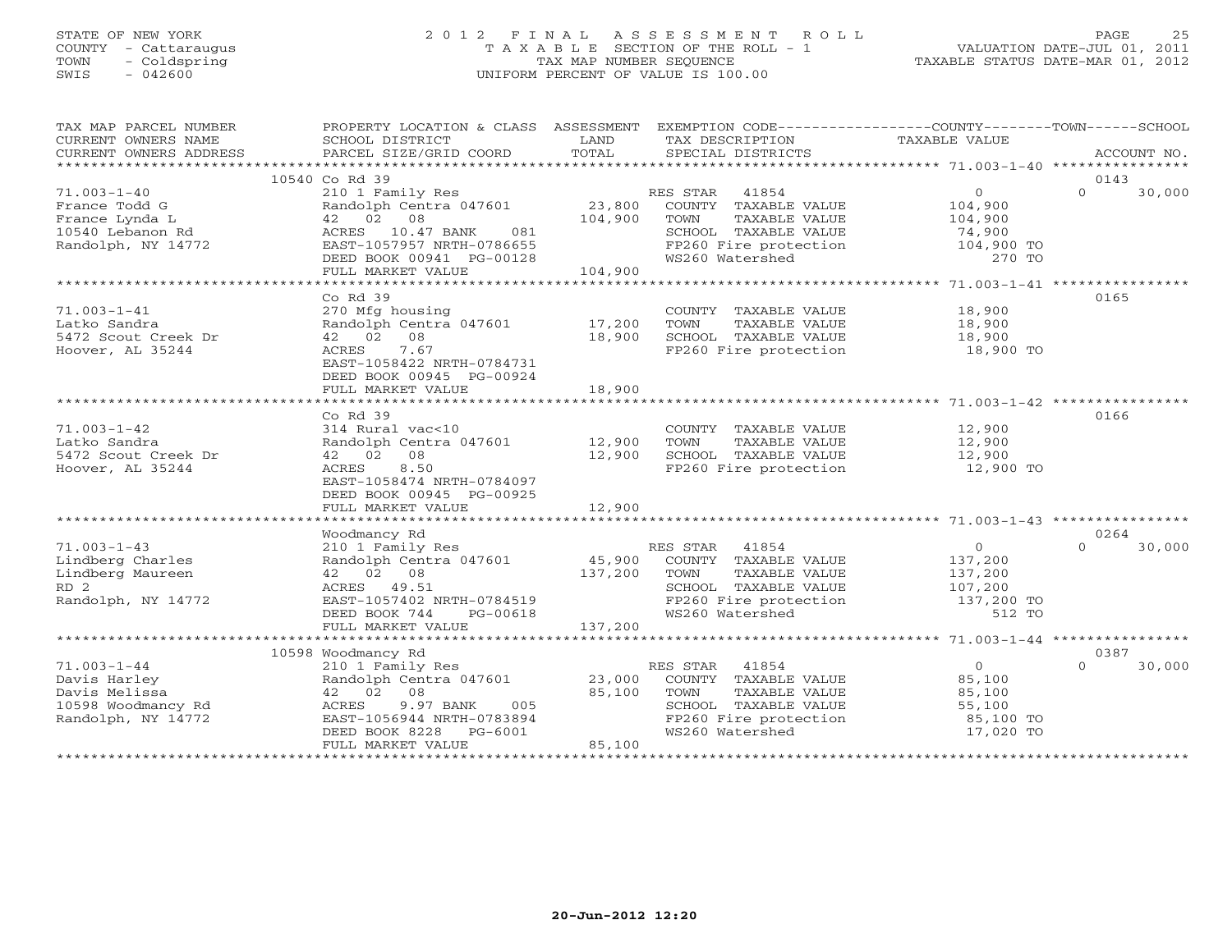# STATE OF NEW YORK 2 0 1 2 F I N A L A S S E S S M E N T R O L L PAGE 25COUNTY - Cattaraugus T A X A B L E SECTION OF THE ROLL - 1<br>
TOWN - Coldspring TAX MAP NUMBER SEQUENCE<br>
SWIS - 042600 SWIS - 042600 UNIFORM PERCENT OF VALUE IS 100.00

| TAX MAP PARCEL NUMBER                                                   | PROPERTY LOCATION & CLASS ASSESSMENT EXEMPTION CODE---------------COUNTY-------TOWN------SCHOOL                                                                                                                                |                  |                                                                                                                |                    |                            |
|-------------------------------------------------------------------------|--------------------------------------------------------------------------------------------------------------------------------------------------------------------------------------------------------------------------------|------------------|----------------------------------------------------------------------------------------------------------------|--------------------|----------------------------|
| CURRENT OWNERS NAME                                                     | SCHOOL DISTRICT                                                                                                                                                                                                                | LAND             | TAX DESCRIPTION                                                                                                | TAXABLE VALUE      |                            |
| CURRENT OWNERS ADDRESS                                                  |                                                                                                                                                                                                                                |                  |                                                                                                                |                    |                            |
|                                                                         |                                                                                                                                                                                                                                |                  |                                                                                                                |                    |                            |
|                                                                         | 10540 Co Rd 39                                                                                                                                                                                                                 |                  |                                                                                                                |                    | 0143                       |
| $71.003 - 1 - 40$                                                       | 210 1 Family Res                                                                                                                                                                                                               |                  | RES STAR 41854                                                                                                 | $\overline{0}$     | 30,000<br>$\Omega$         |
| France Todd G<br>France Lynda L<br>10540 Lebanon Rd<br>10540 Lebanon Rd | 210 1 23,800 COUNTY TAXABLE VALUE<br>Randolph Centra 047601 23,800 COUNTY TAXABLE VALUE<br>42 02 08 104,900 TOWN TAXABLE VALUE<br>ACRES 10.47 BANK 081 SCHOOL TAXABLE VALUE<br>EAST-1057957 NRTH-0786655 FP260 Fire protection |                  |                                                                                                                | 104,900<br>104,900 |                            |
|                                                                         |                                                                                                                                                                                                                                |                  |                                                                                                                |                    |                            |
|                                                                         |                                                                                                                                                                                                                                |                  |                                                                                                                |                    |                            |
|                                                                         |                                                                                                                                                                                                                                |                  |                                                                                                                |                    |                            |
|                                                                         | DEED BOOK 00941 PG-00128                                                                                                                                                                                                       | $-00128$ 104,900 | SCHOOL TAXABLE VALUE 74,900<br>FP260 Fire protection 104,900 TO<br>WS260 Watershed 270 TO                      |                    |                            |
|                                                                         | FULL MARKET VALUE                                                                                                                                                                                                              |                  |                                                                                                                |                    |                            |
|                                                                         |                                                                                                                                                                                                                                |                  |                                                                                                                |                    |                            |
|                                                                         | $Co$ $Rd$ 39                                                                                                                                                                                                                   |                  |                                                                                                                |                    | 0165                       |
| $71.003 - 1 - 41$                                                       | 270 Mfg housing<br>Randolph Centra 047601 17,200<br>42 02 08 18,900<br>ACRES 7.67                                                                                                                                              |                  | COUNTY TAXABLE VALUE 18,900                                                                                    |                    |                            |
| Latko Sandra                                                            |                                                                                                                                                                                                                                |                  | TOWN<br>TAXABLE VALUE                                                                                          | 18,900             |                            |
| 5472 Scout Creek Dr                                                     |                                                                                                                                                                                                                                |                  | SCHOOL TAXABLE VALUE 18,900                                                                                    |                    |                            |
| Hoover, AL 35244                                                        | 7.67<br>ACRES                                                                                                                                                                                                                  |                  | FP260 Fire protection 18,900 TO                                                                                |                    |                            |
|                                                                         | EAST-1058422 NRTH-0784731                                                                                                                                                                                                      |                  |                                                                                                                |                    |                            |
|                                                                         | DEED BOOK 00945 PG-00924                                                                                                                                                                                                       |                  |                                                                                                                |                    |                            |
|                                                                         | FULL MARKET VALUE                                                                                                                                                                                                              | 18,900           |                                                                                                                |                    |                            |
|                                                                         |                                                                                                                                                                                                                                |                  |                                                                                                                |                    |                            |
|                                                                         | $Co$ $Rd$ 39                                                                                                                                                                                                                   |                  |                                                                                                                |                    | 0166                       |
| $71.003 - 1 - 42$                                                       | 314 Rural vac<10<br>Randolph Centra 047601 12,900 TOWN                                                                                                                                                                         |                  | COUNTY TAXABLE VALUE                                                                                           | 12,900             |                            |
| Latko Sandra                                                            |                                                                                                                                                                                                                                |                  | TAXABLE VALUE                                                                                                  | 12,900             |                            |
| 5472 Scout Creek Dr                                                     | 42 02 08                                                                                                                                                                                                                       | 12,900           |                                                                                                                |                    |                            |
| Hoover, AL 35244                                                        | ACRES<br>8.50                                                                                                                                                                                                                  |                  |                                                                                                                |                    |                            |
|                                                                         | EAST-1058474 NRTH-0784097                                                                                                                                                                                                      |                  |                                                                                                                |                    |                            |
|                                                                         | DEED BOOK 00945 PG-00925                                                                                                                                                                                                       |                  |                                                                                                                |                    |                            |
|                                                                         | FULL MARKET VALUE                                                                                                                                                                                                              | 12,900           |                                                                                                                |                    |                            |
|                                                                         |                                                                                                                                                                                                                                |                  |                                                                                                                |                    |                            |
|                                                                         | Woodmancy Rd                                                                                                                                                                                                                   |                  |                                                                                                                |                    | 0264<br>$\cap$             |
| $71.003 - 1 - 43$                                                       | 210 1 Family Res<br>Randolph Centra 047601 45,900                                                                                                                                                                              |                  | RES STAR 41854                                                                                                 | $\overline{0}$     | 30,000                     |
| Lindberg Charles                                                        |                                                                                                                                                                                                                                |                  | COUNTY TAXABLE VALUE                                                                                           | 137,200            |                            |
| Lindberg Maureen                                                        | 42 02 08                                                                                                                                                                                                                       | 137,200 TOWN     |                                                                                                                |                    |                            |
| RD <sub>2</sub>                                                         |                                                                                                                                                                                                                                |                  |                                                                                                                |                    |                            |
| Randolph, NY 14772                                                      |                                                                                                                                                                                                                                |                  | TOWN TAXABLE VALUE<br>TOWN TAXABLE VALUE<br>SCHOOL TAXABLE VALUE<br>FP260 Fire protection 137,200 TO<br>512 TO |                    |                            |
|                                                                         | EAST-1057402 NRTH-0784519<br>DEED BOOK 744 PG-00618<br>FULL MARKET VALUE                                                                                                                                                       |                  | WS260 Watershed                                                                                                | 512 TO             |                            |
|                                                                         |                                                                                                                                                                                                                                |                  |                                                                                                                |                    |                            |
|                                                                         |                                                                                                                                                                                                                                |                  |                                                                                                                |                    |                            |
| $71.003 - 1 - 44$                                                       | 10598 Woodmancy Rd                                                                                                                                                                                                             |                  |                                                                                                                | $\overline{0}$     | 0387<br>$\Omega$<br>30,000 |
|                                                                         | 210 1 Family Res<br>Randolph Centra 047601 23,000                                                                                                                                                                              |                  | RES STAR 41854                                                                                                 |                    |                            |
| Davis Harley                                                            |                                                                                                                                                                                                                                | 85,100           | COUNTY TAXABLE VALUE 85,100<br>TAXABLE VALUE<br>TOWN                                                           |                    |                            |
| Davis Melissa<br>10598 Woodmancy Rd ACRES                               | 42 02 08                                                                                                                                                                                                                       |                  |                                                                                                                | 85,100             |                            |
| Randolph, NY 14772                                                      | ACRES 9.97 BANK 005<br>EAST-1056944 NRTH-0783894                                                                                                                                                                               |                  |                                                                                                                |                    |                            |
|                                                                         | DEED BOOK 8228 PG-6001                                                                                                                                                                                                         |                  | SCHOOL TAXABLE VALUE<br>FP260 Fire protection 55,100<br>WS260 Watershed 17,020 TO                              |                    |                            |
|                                                                         | FULL MARKET VALUE                                                                                                                                                                                                              | 85,100           |                                                                                                                |                    |                            |
|                                                                         |                                                                                                                                                                                                                                |                  |                                                                                                                |                    |                            |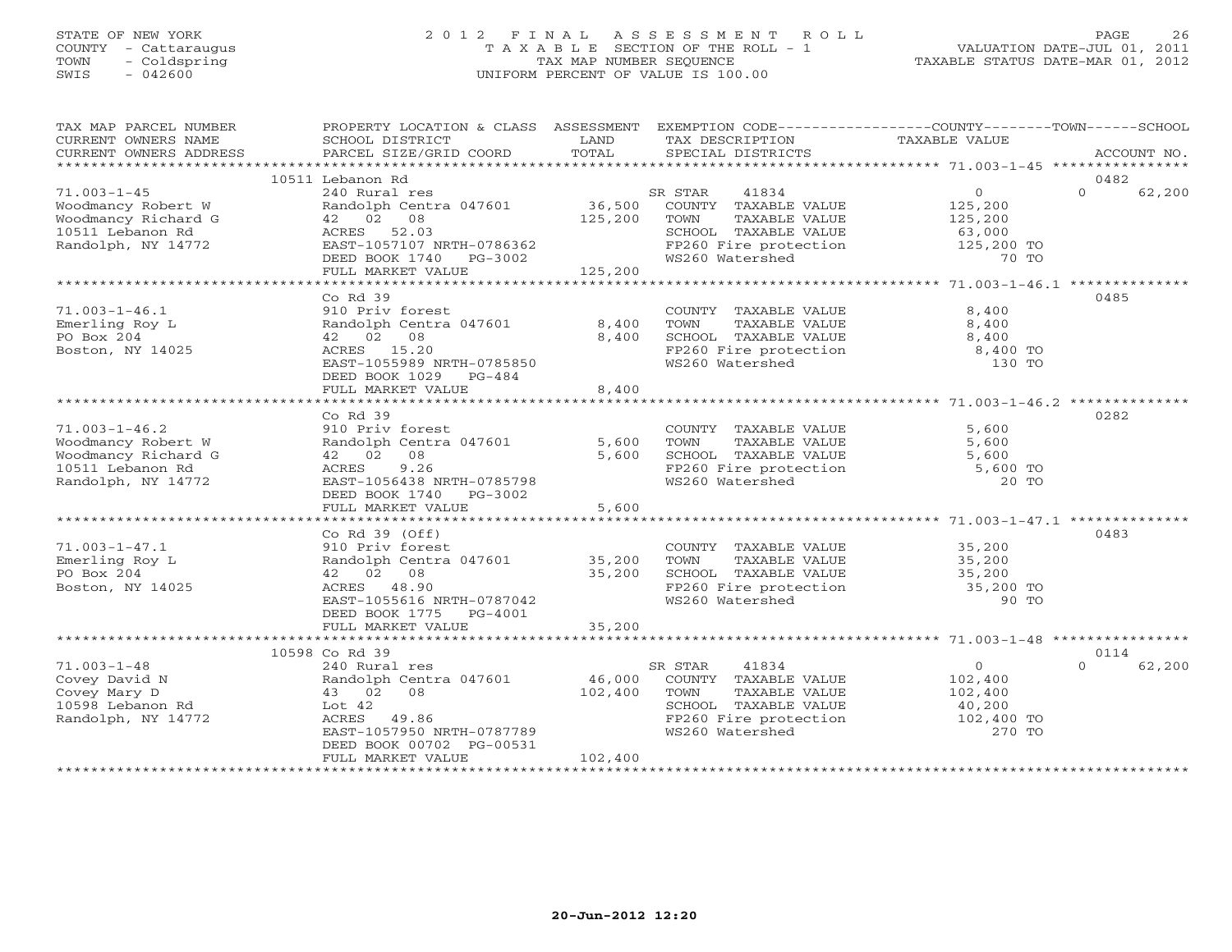### STATE OF NEW YORK 2 0 1 2 F I N A L A S S E S S M E N T R O L L PAGE 26 COUNTY - Cattaraugus T A X A B L E SECTION OF THE ROLL - 1 VALUATION DATE-JUL 01, 2011 TOWN - Coldspring TAX MAP NUMBER SEQUENCE TAXABLE STATUS DATE-MAR 01, 2012 SWIS - 042600 UNIFORM PERCENT OF VALUE IS 100.00UNIFORM PERCENT OF VALUE IS 100.00

| TAX MAP PARCEL NUMBER<br>CURRENT OWNERS NAME                                                               | PROPERTY LOCATION & CLASS ASSESSMENT EXEMPTION CODE---------------COUNTY-------TOWN------SCHOOL<br>SCHOOL DISTRICT                                 | LAND                         | TAX DESCRIPTION                                                                                                   | TAXABLE VALUE                                        |                          |
|------------------------------------------------------------------------------------------------------------|----------------------------------------------------------------------------------------------------------------------------------------------------|------------------------------|-------------------------------------------------------------------------------------------------------------------|------------------------------------------------------|--------------------------|
| CURRENT OWNERS ADDRESS                                                                                     | PARCEL SIZE/GRID COORD                                                                                                                             | TOTAL                        | SPECIAL DISTRICTS                                                                                                 |                                                      | ACCOUNT NO.              |
|                                                                                                            | 10511 Lebanon Rd                                                                                                                                   |                              |                                                                                                                   |                                                      | 0482                     |
| $71.003 - 1 - 45$<br>Woodmancy Robert W<br>Woodmancy Richard G<br>10511 Lebanon Rd                         | 240 Rural res<br>Randolph Centra 047601<br>42 02 08<br>ACRES 52.03                                                                                 | 36,500<br>125,200            | 41834<br>SR STAR<br>COUNTY TAXABLE VALUE<br>TOWN<br>TAXABLE VALUE<br>SCHOOL TAXABLE VALUE                         | $\overline{O}$<br>125,200<br>125,200<br>63,000       | $\Omega$<br>62,200       |
| Randolph, NY 14772                                                                                         | EAST-1057107 NRTH-0786362<br>DEED BOOK 1740 PG-3002<br>FULL MARKET VALUE                                                                           | 125,200                      | FP260 Fire protection<br>WS260 Watershed                                                                          | 125,200 TO<br>70 TO                                  |                          |
|                                                                                                            |                                                                                                                                                    |                              |                                                                                                                   |                                                      |                          |
| $71.003 - 1 - 46.1$<br>Emerling Roy L<br>PO Box 204<br>Boston, NY 14025                                    | $Co$ Rd $39$<br>910 Priv forest<br>Randolph Centra 047601<br>42 02 08<br>ACRES 15.20<br>EAST-1055989 NRTH-0785850<br>DEED BOOK 1029 PG-484         | 8,400<br>8,400               | COUNTY TAXABLE VALUE<br>TAXABLE VALUE<br>TOWN<br>SCHOOL TAXABLE VALUE<br>FP260 Fire protection<br>WS260 Watershed | 8,400<br>8,400<br>8,400<br>8,400 TO<br>130 TO        | 0485                     |
|                                                                                                            | FULL MARKET VALUE                                                                                                                                  | 8,400                        |                                                                                                                   |                                                      |                          |
|                                                                                                            | $Co$ Rd $39$                                                                                                                                       |                              |                                                                                                                   |                                                      | 0282                     |
| $71.003 - 1 - 46.2$<br>Woodmancy Robert W<br>Woodmancy Richard G<br>10511 Lebanon Rd<br>Randolph, NY 14772 | 910 Priv forest<br>Randolph Centra 047601<br>42 02 08<br>ACRES<br>9.26<br>EAST-1056438 NRTH-0785798<br>DEED BOOK 1740 PG-3002<br>FULL MARKET VALUE | 5,600<br>5,600<br>5,600      | COUNTY TAXABLE VALUE<br>TOWN<br>TAXABLE VALUE<br>SCHOOL TAXABLE VALUE<br>FP260 Fire protection<br>WS260 Watershed | 5,600<br>5,600<br>5,600<br>5,600 TO<br>20 TO         |                          |
|                                                                                                            |                                                                                                                                                    |                              |                                                                                                                   |                                                      |                          |
| $71.003 - 1 - 47.1$<br>Emerling Roy L<br>PO Box 204<br>Boston, NY 14025                                    | Co Rd $39$ (Off)<br>910 Priv forest<br>Randolph Centra 047601<br>42 02 08<br>ACRES 48.90<br>EAST-1055616 NRTH-0787042<br>DEED BOOK 1775 PG-4001    | 35,200<br>35,200             | COUNTY TAXABLE VALUE<br>TAXABLE VALUE<br>TOWN<br>SCHOOL TAXABLE VALUE<br>FP260 Fire protection<br>WS260 Watershed | 35,200<br>35,200<br>35,200<br>35,200 TO<br>90 TO     | 0483                     |
|                                                                                                            | FULL MARKET VALUE                                                                                                                                  | 35,200                       |                                                                                                                   |                                                      |                          |
|                                                                                                            |                                                                                                                                                    |                              |                                                                                                                   |                                                      |                          |
| $71.003 - 1 - 48$                                                                                          | 10598 Co Rd 39<br>240 Rural res                                                                                                                    |                              | 41834<br>SR STAR                                                                                                  | $\overline{O}$                                       | 0114<br>62,200<br>$\cap$ |
| Covey David N<br>Covey Mary D<br>10598 Lebanon Rd<br>Randolph, NY 14772                                    | Randolph Centra 047601<br>43 02 08<br>Lot 42<br>ACRES 49.86<br>EAST-1057950 NRTH-0787789<br>DEED BOOK 00702 PG-00531<br>FULL MARKET VALUE          | 46,000<br>102,400<br>102,400 | COUNTY TAXABLE VALUE<br>TOWN<br>TAXABLE VALUE<br>SCHOOL TAXABLE VALUE<br>FP260 Fire protection<br>WS260 Watershed | 102,400<br>102,400<br>40,200<br>102,400 TO<br>270 TO |                          |
|                                                                                                            |                                                                                                                                                    |                              |                                                                                                                   |                                                      |                          |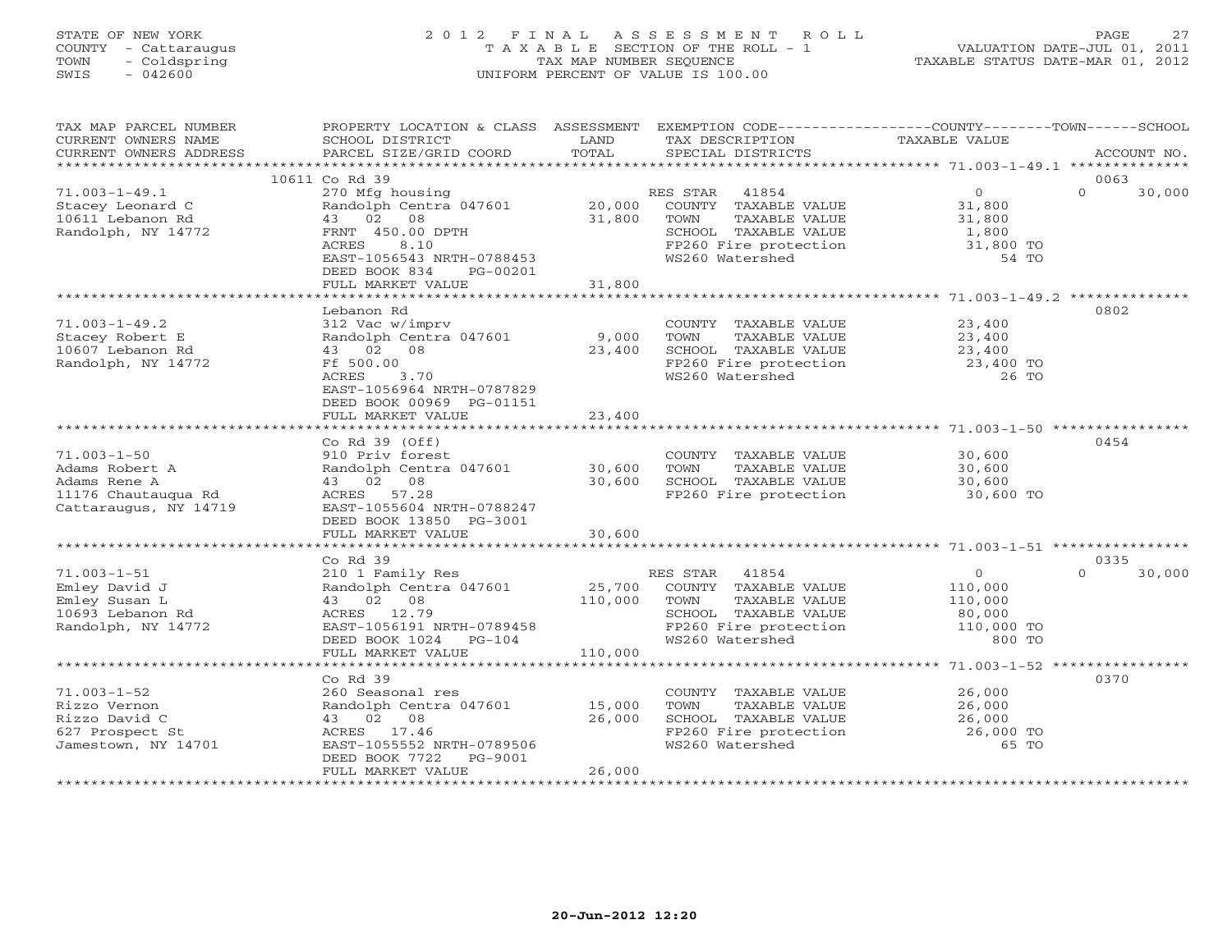# STATE OF NEW YORK 2 0 1 2 F I N A L A S S E S S M E N T R O L L PAGE 27 COUNTY - Cattaraugus T A X A B L E SECTION OF THE ROLL - 1 VALUATION DATE-JUL 01, 2011 TOWN - Coldspring TAX MAP NUMBER SEQUENCE TAXABLE STATUS DATE-MAR 01, 2012 SWIS - 042600 UNIFORM PERCENT OF VALUE IS 100.00UNIFORM PERCENT OF VALUE IS 100.00

| TAX MAP PARCEL NUMBER<br>CURRENT OWNERS NAME<br>CURRENT OWNERS ADDRESS                              | PROPERTY LOCATION & CLASS ASSESSMENT<br>SCHOOL DISTRICT<br>PARCEL SIZE/GRID COORD                                                                                | LAND<br>TOTAL                | EXEMPTION CODE-----------------COUNTY-------TOWN------SCHOOL<br>TAX DESCRIPTION<br>SPECIAL DISTRICTS                                             | TAXABLE VALUE                                                   | ACCOUNT NO.        |
|-----------------------------------------------------------------------------------------------------|------------------------------------------------------------------------------------------------------------------------------------------------------------------|------------------------------|--------------------------------------------------------------------------------------------------------------------------------------------------|-----------------------------------------------------------------|--------------------|
| ***********************                                                                             |                                                                                                                                                                  |                              |                                                                                                                                                  |                                                                 |                    |
|                                                                                                     | 10611 Co Rd 39                                                                                                                                                   |                              |                                                                                                                                                  |                                                                 | 0063               |
| $71.003 - 1 - 49.1$<br>Stacey Leonard C<br>10611 Lebanon Rd<br>Randolph, NY 14772                   | 270 Mfg housing<br>Randolph Centra 047601<br>43 02<br>08<br>FRNT 450.00 DPTH<br>ACRES<br>8.10<br>EAST-1056543 NRTH-0788453<br>DEED BOOK 834<br>PG-00201          | 20,000<br>31,800             | RES STAR<br>41854<br>COUNTY TAXABLE VALUE<br>TAXABLE VALUE<br>TOWN<br>SCHOOL TAXABLE VALUE<br>FP260 Fire protection 31,800 TO<br>WS260 Watershed | $\overline{O}$<br>31,800<br>31,800<br>1,800<br>54 TO            | $\Omega$<br>30,000 |
|                                                                                                     | FULL MARKET VALUE                                                                                                                                                | 31,800                       |                                                                                                                                                  |                                                                 |                    |
|                                                                                                     |                                                                                                                                                                  |                              |                                                                                                                                                  |                                                                 |                    |
| $71.003 - 1 - 49.2$<br>Stacey Robert E<br>10607 Lebanon Rd<br>Randolph, NY 14772                    | Lebanon Rd<br>312 Vac w/imprv<br>Randolph Centra 047601<br>43 02 08<br>Ff 500.00<br>ACRES<br>3.70<br>EAST-1056964 NRTH-0787829                                   | 9,000<br>23,400              | COUNTY TAXABLE VALUE<br>TOWN<br>TAXABLE VALUE<br>SCHOOL TAXABLE VALUE<br>FP260 Fire protection<br>WS260 Watershed                                | 23,400<br>23,400<br>23,400<br>23,400 TO<br>26 TO                | 0802               |
|                                                                                                     | DEED BOOK 00969 PG-01151<br>FULL MARKET VALUE                                                                                                                    | 23,400                       |                                                                                                                                                  |                                                                 |                    |
|                                                                                                     |                                                                                                                                                                  |                              |                                                                                                                                                  |                                                                 |                    |
|                                                                                                     | Co Rd $39$ (Off)                                                                                                                                                 |                              |                                                                                                                                                  |                                                                 | 0454               |
| $71.003 - 1 - 50$<br>Adams Robert A<br>Adams Rene A<br>11176 Chautauqua Rd<br>Cattaraugus, NY 14719 | 910 Priv forest<br>Randolph Centra 047601<br>43 02 08<br>ACRES 57.28<br>EAST-1055604 NRTH-0788247<br>DEED BOOK 13850 PG-3001                                     | 30,600<br>30,600             | COUNTY TAXABLE VALUE<br>TOWN<br>TAXABLE VALUE<br>SCHOOL TAXABLE VALUE<br>FP260 Fire protection                                                   | 30,600<br>30,600<br>30,600<br>30,600 TO                         |                    |
|                                                                                                     | FULL MARKET VALUE                                                                                                                                                | 30,600                       |                                                                                                                                                  |                                                                 |                    |
|                                                                                                     | $CoRd$ 39                                                                                                                                                        |                              |                                                                                                                                                  |                                                                 | 0335               |
| $71.003 - 1 - 51$<br>Emley David J<br>Emley Susan L<br>10693 Lebanon Rd<br>Randolph, NY 14772       | 210 1 Family Res<br>Randolph Centra 047601<br>43 02 08<br>ACRES 12.79<br>EAST-1056191 NRTH-0789458<br>DEED BOOK 1024<br>$PG-104$<br>FULL MARKET VALUE            | 25,700<br>110,000<br>110,000 | RES STAR<br>41854<br>COUNTY TAXABLE VALUE<br>TOWN<br>TAXABLE VALUE<br>SCHOOL TAXABLE VALUE<br>FP260 Fire protection<br>WS260 Watershed           | $\circ$<br>110,000<br>110,000<br>80,000<br>110,000 TO<br>800 TO | 30,000<br>$\Omega$ |
|                                                                                                     |                                                                                                                                                                  |                              |                                                                                                                                                  |                                                                 |                    |
| $71.003 - 1 - 52$<br>Rizzo Vernon<br>Rizzo David C<br>627 Prospect St<br>Jamestown, NY 14701        | Co Rd 39<br>260 Seasonal res<br>Randolph Centra 047601<br>43 02 08<br>ACRES 17.46<br>EAST-1055552 NRTH-0789506<br>DEED BOOK 7722<br>PG-9001<br>FULL MARKET VALUE | 15,000<br>26,000<br>26,000   | COUNTY TAXABLE VALUE<br>TOWN<br>TAXABLE VALUE<br>SCHOOL TAXABLE VALUE<br>FP260 Fire protection<br>WS260 Watershed                                | 26,000<br>26,000<br>26,000<br>26,000 TO<br>65 TO                | 0370               |
|                                                                                                     |                                                                                                                                                                  |                              |                                                                                                                                                  |                                                                 |                    |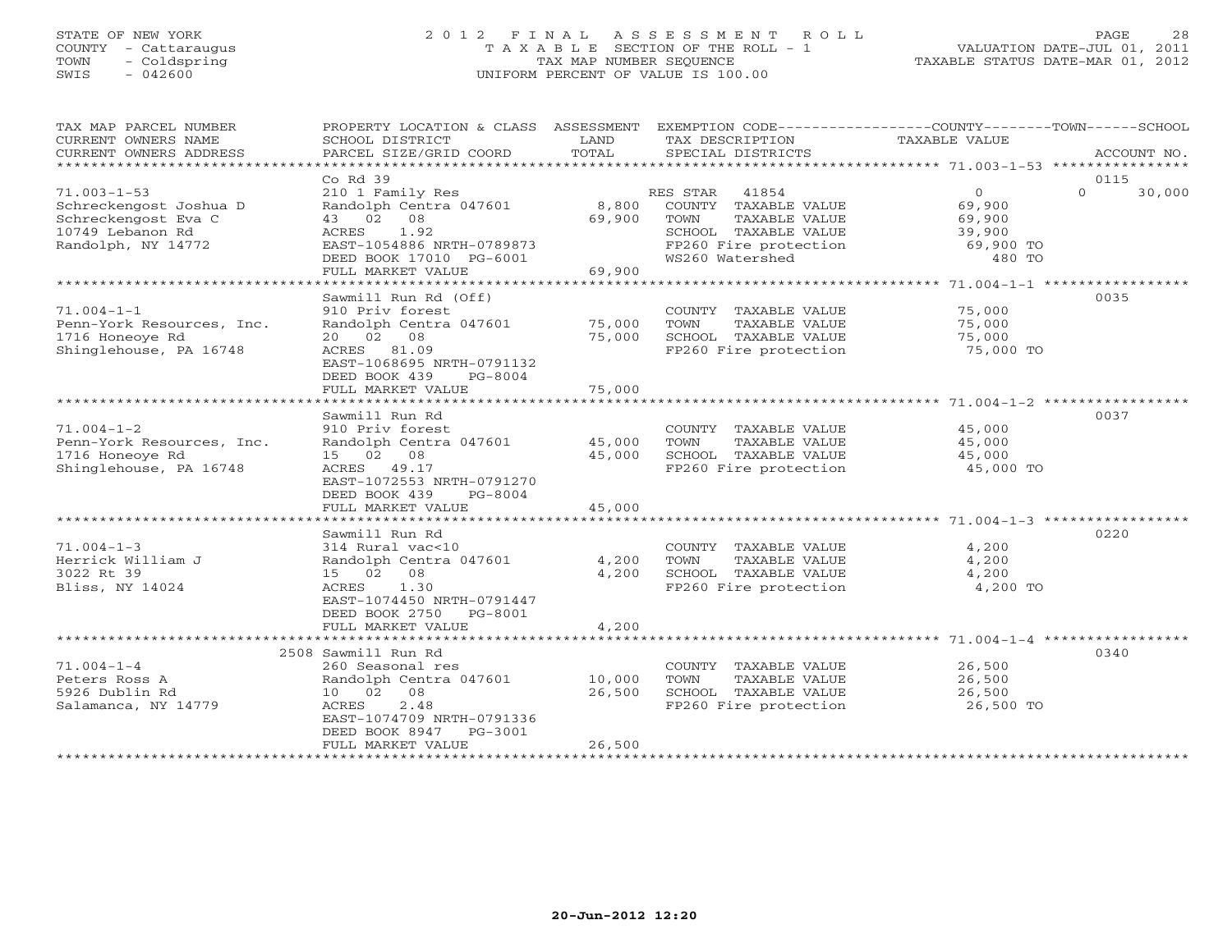## STATE OF NEW YORK 2 0 1 2 F I N A L A S S E S S M E N T R O L L PAGE 28 COUNTY - Cattaraugus T A X A B L E SECTION OF THE ROLL - 1 VALUATION DATE-JUL 01, 2011 TOWN - Coldspring TAX MAP NUMBER SEQUENCE TAXABLE STATUS DATE-MAR 01, 2012 SWIS - 042600 UNIFORM PERCENT OF VALUE IS 100.00UNIFORM PERCENT OF VALUE IS 100.00

| TAX MAP PARCEL NUMBER<br>CURRENT OWNERS NAME<br>CURRENT OWNERS ADDRESS                                       | PROPERTY LOCATION & CLASS ASSESSMENT EXEMPTION CODE----------------COUNTY-------TOWN------SCHOOL<br>SCHOOL DISTRICT<br>PARCEL SIZE/GRID COORD                                                           | LAND<br>TOTAL              | TAX DESCRIPTION<br>SPECIAL DISTRICTS                                                                                                | TAXABLE VALUE                                                | ACCOUNT NO.                |
|--------------------------------------------------------------------------------------------------------------|---------------------------------------------------------------------------------------------------------------------------------------------------------------------------------------------------------|----------------------------|-------------------------------------------------------------------------------------------------------------------------------------|--------------------------------------------------------------|----------------------------|
| *************************                                                                                    |                                                                                                                                                                                                         |                            |                                                                                                                                     |                                                              |                            |
| $71.003 - 1 - 53$<br>Schreckengost Joshua D<br>Schreckengost Eva C<br>10749 Lebanon Rd<br>Randolph, NY 14772 | Co Rd 39<br>210 1 Family Res<br>Randolph Centra 047601<br>43 02 08<br>ACRES<br>1.92<br>EAST-1054886 NRTH-0789873<br>DEED BOOK 17010 PG-6001<br>FULL MARKET VALUE                                        | 8,800<br>69,900<br>69,900  | RES STAR 41854<br>COUNTY TAXABLE VALUE<br>TOWN<br>TAXABLE VALUE<br>SCHOOL TAXABLE VALUE<br>FP260 Fire protection<br>WS260 Watershed | $\circ$<br>69,900<br>69,900<br>39,900<br>69,900 TO<br>480 TO | 0115<br>$\Omega$<br>30,000 |
|                                                                                                              |                                                                                                                                                                                                         |                            |                                                                                                                                     |                                                              |                            |
| $71.004 - 1 - 1$<br>Penn-York Resources, Inc.<br>1716 Honeoye Rd<br>Shinglehouse, PA 16748                   | Sawmill Run Rd (Off)<br>910 Priv forest<br>Randolph Centra 047601<br>20 02 08<br>ACRES 81.09<br>EAST-1068695 NRTH-0791132<br>DEED BOOK 439<br>PG-8004                                                   | 75,000<br>75,000           | COUNTY TAXABLE VALUE<br>TOWN<br>TAXABLE VALUE<br>SCHOOL TAXABLE VALUE<br>FP260 Fire protection                                      | 75,000<br>75,000<br>75,000<br>75,000 TO                      | 0035                       |
|                                                                                                              | FULL MARKET VALUE                                                                                                                                                                                       | 75,000                     |                                                                                                                                     |                                                              |                            |
| $71.004 - 1 - 2$<br>Penn-York Resources, Inc.<br>1716 Honeoye Rd<br>Shinglehouse, PA 16748                   | Sawmill Run Rd<br>910 Priv forest<br>Randolph Centra 047601<br>15 02 08<br>ACRES 49.17<br>EAST-1072553 NRTH-0791270<br>DEED BOOK 439<br>$PG-8004$<br>FULL MARKET VALUE                                  | 45,000<br>45,000<br>45,000 | COUNTY TAXABLE VALUE<br>TOWN<br>TAXABLE VALUE<br>SCHOOL TAXABLE VALUE<br>FP260 Fire protection                                      | 45,000<br>45,000<br>45,000<br>45,000 TO                      | 0037                       |
|                                                                                                              |                                                                                                                                                                                                         |                            |                                                                                                                                     |                                                              |                            |
| $71.004 - 1 - 3$<br>Herrick William J<br>3022 Rt 39<br>Bliss, NY 14024                                       | Sawmill Run Rd<br>314 Rural vac<10<br>Randolph Centra 047601<br>15 02 08<br>1.30<br>ACRES<br>EAST-1074450 NRTH-0791447<br>DEED BOOK 2750<br>PG-8001<br>FULL MARKET VALUE                                | 4,200<br>4,200<br>4,200    | COUNTY TAXABLE VALUE<br>TAXABLE VALUE<br>TOWN<br>SCHOOL TAXABLE VALUE<br>FP260 Fire protection                                      | 4,200<br>4,200<br>4,200<br>4,200 TO                          | 0220                       |
|                                                                                                              |                                                                                                                                                                                                         |                            |                                                                                                                                     |                                                              |                            |
| $71.004 - 1 - 4$<br>Peters Ross A<br>5926 Dublin Rd<br>Salamanca, NY 14779                                   | 2508 Sawmill Run Rd<br>260 Seasonal res<br>Randolph Centra 047601<br>10 02 08<br>2.48<br>ACRES<br>EAST-1074709 NRTH-0791336<br>DEED BOOK 8947<br>PG-3001<br>FULL MARKET VALUE<br>********************** | 10,000<br>26,500<br>26,500 | COUNTY TAXABLE VALUE<br>TOWN<br>TAXABLE VALUE<br>SCHOOL TAXABLE VALUE<br>FP260 Fire protection                                      | 26,500<br>26,500<br>26,500<br>26,500 TO                      | 0340                       |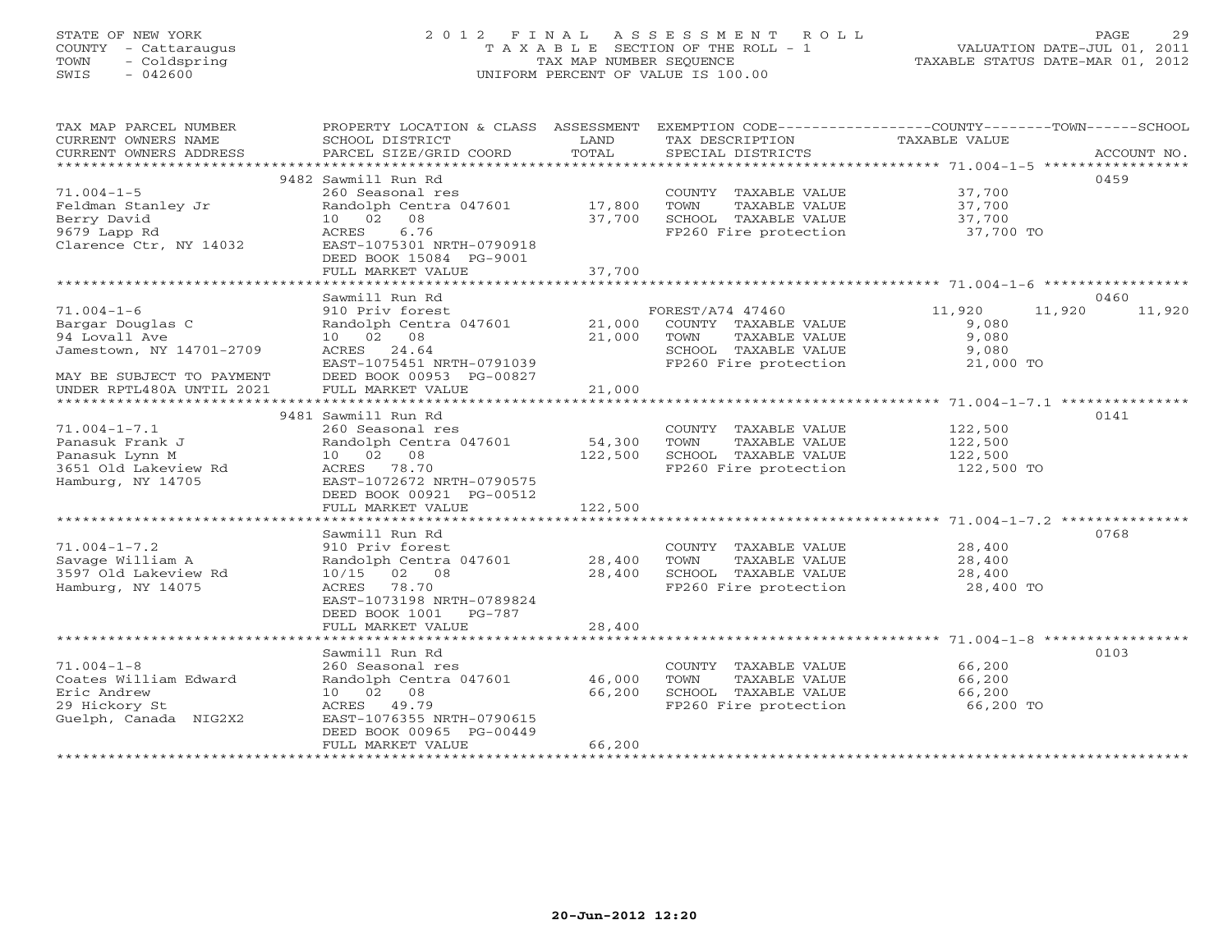# STATE OF NEW YORK 2 0 1 2 F I N A L A S S E S S M E N T R O L L PAGE 29 COUNTY - Cattaraugus T A X A B L E SECTION OF THE ROLL - 1 VALUATION DATE-JUL 01, 2011 TOWN - Coldspring TAX MAP NUMBER SEQUENCE TAXABLE STATUS DATE-MAR 01, 2012 SWIS - 042600 UNIFORM PERCENT OF VALUE IS 100.00UNIFORM PERCENT OF VALUE IS 100.00

| SCHOOL DISTRICT<br>PARCEL SIZE/GRID COORD                                                                                                                                | LAND<br>TOTAL                                                                                                                            | TAX DESCRIPTION<br>SPECIAL DISTRICTS                                                           | TAXABLE VALUE                                  | ACCOUNT NO.                                                                                               |
|--------------------------------------------------------------------------------------------------------------------------------------------------------------------------|------------------------------------------------------------------------------------------------------------------------------------------|------------------------------------------------------------------------------------------------|------------------------------------------------|-----------------------------------------------------------------------------------------------------------|
| 260 Seasonal res<br>Randolph Centra 047601<br>10 02 08<br>6.76<br>ACRES<br>EAST-1075301 NRTH-0790918<br>DEED BOOK 15084 PG-9001<br>FULL MARKET VALUE                     | 17,800<br>37,700<br>37,700                                                                                                               | COUNTY TAXABLE VALUE<br>TOWN<br>TAXABLE VALUE<br>SCHOOL TAXABLE VALUE<br>FP260 Fire protection | 37,700<br>37,700<br>37,700<br>37,700 TO        | 0459                                                                                                      |
|                                                                                                                                                                          |                                                                                                                                          |                                                                                                |                                                |                                                                                                           |
| 910 Priv forest<br>Randolph Centra 047601<br>10 02 08<br>ACRES 24.64<br>EAST-1075451 NRTH-0791039<br>DEED BOOK 00953 PG-00827<br>FULL MARKET VALUE                       | 21,000<br>21,000<br>21,000                                                                                                               | COUNTY TAXABLE VALUE<br>TOWN<br>TAXABLE VALUE<br>SCHOOL TAXABLE VALUE<br>FP260 Fire protection | 11,920<br>9,080<br>9,080<br>9,080<br>21,000 TO | 0460<br>11,920                                                                                            |
|                                                                                                                                                                          |                                                                                                                                          |                                                                                                |                                                |                                                                                                           |
| 260 Seasonal res<br>Randolph Centra 047601<br>10 02 08<br>ACRES 78.70<br>EAST-1072672 NRTH-0790575                                                                       | 54,300<br>122,500                                                                                                                        | COUNTY TAXABLE VALUE<br>TOWN<br>TAXABLE VALUE<br>SCHOOL TAXABLE VALUE<br>FP260 Fire protection | 122,500<br>122,500<br>122,500<br>122,500 TO    | 0141                                                                                                      |
| FULL MARKET VALUE                                                                                                                                                        | 122,500                                                                                                                                  |                                                                                                |                                                |                                                                                                           |
| Sawmill Run Rd<br>910 Priv forest<br>Randolph Centra 047601<br>02 08<br>10/15<br>ACRES 78.70<br>EAST-1073198 NRTH-0789824<br>DEED BOOK 1001 PG-787                       | 28,400<br>28,400                                                                                                                         | COUNTY TAXABLE VALUE<br>TOWN<br>TAXABLE VALUE<br>SCHOOL TAXABLE VALUE<br>FP260 Fire protection | 28,400<br>28,400<br>28,400<br>28,400 TO        | 0768                                                                                                      |
|                                                                                                                                                                          |                                                                                                                                          |                                                                                                |                                                |                                                                                                           |
| Sawmill Run Rd<br>260 Seasonal res<br>Randolph Centra 047601<br>10 02 08<br>ACRES<br>49.79<br>EAST-1076355 NRTH-0790615<br>DEED BOOK 00965 PG-00449<br>FULL MARKET VALUE | 46,000<br>66,200<br>66,200                                                                                                               | COUNTY TAXABLE VALUE<br>TOWN<br>TAXABLE VALUE<br>SCHOOL TAXABLE VALUE<br>FP260 Fire protection | 66,200<br>66,200<br>66,200<br>66,200 TO        | 0103                                                                                                      |
|                                                                                                                                                                          | 9482 Sawmill Run Rd<br>Sawmill Run Rd<br>9481 Sawmill Run Rd<br>DEED BOOK 00921 PG-00512<br>FULL MARKET VALUE<br>*********************** | 28,400                                                                                         | FOREST/A74 47460                               | PROPERTY LOCATION & CLASS ASSESSMENT EXEMPTION CODE---------------COUNTY-------TOWN------SCHOOL<br>11,920 |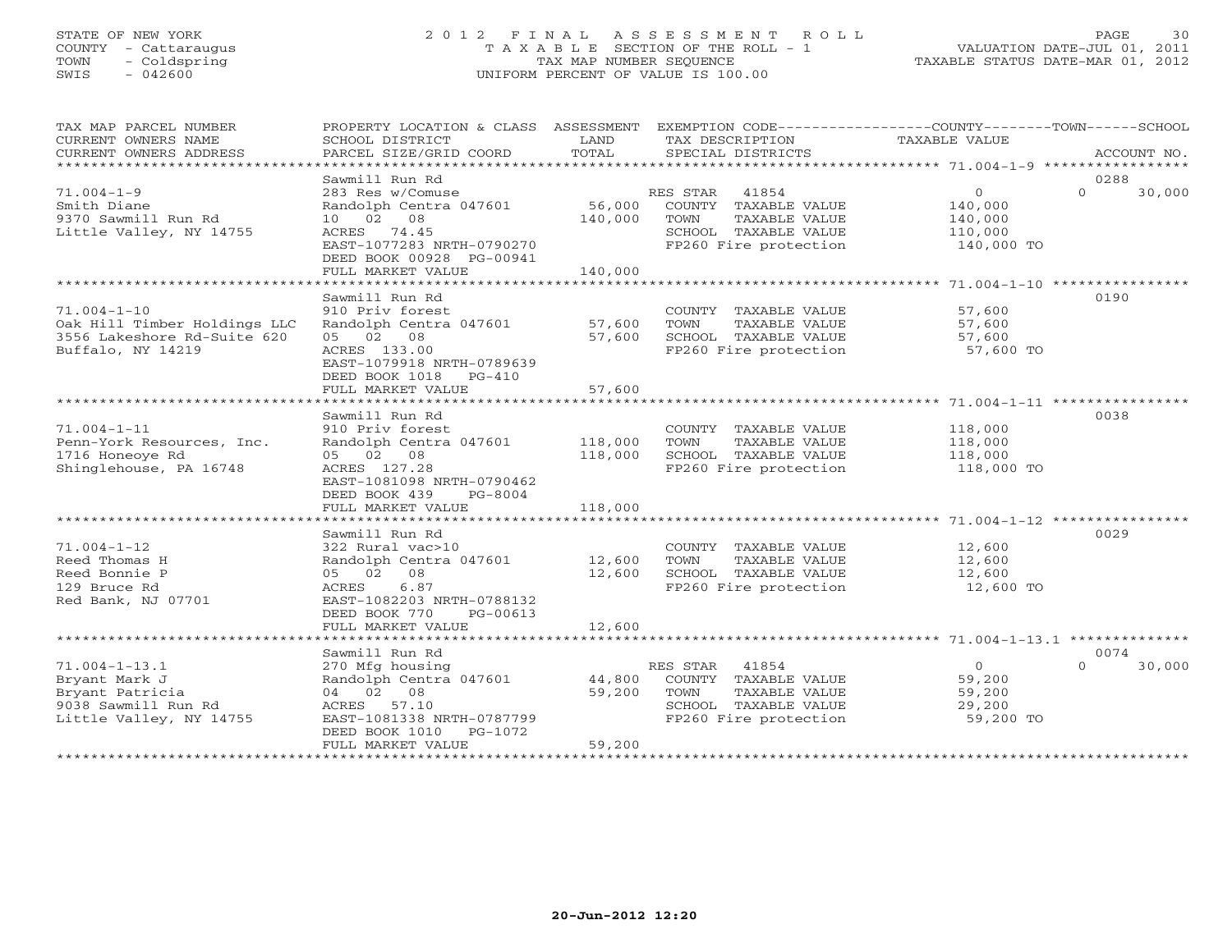# STATE OF NEW YORK 2 0 1 2 F I N A L A S S E S S M E N T R O L L PAGE 30 COUNTY - Cattaraugus T A X A B L E SECTION OF THE ROLL - 1 VALUATION DATE-JUL 01, 2011 TOWN - Coldspring TAX MAP NUMBER SEQUENCE TAXABLE STATUS DATE-MAR 01, 2012 SWIS - 042600 UNIFORM PERCENT OF VALUE IS 100.00

| TAX MAP PARCEL NUMBER<br>CURRENT OWNERS NAME<br>CURRENT OWNERS ADDRESS                                    | PROPERTY LOCATION & CLASS ASSESSMENT<br>SCHOOL DISTRICT<br>PARCEL SIZE/GRID COORD                                                                   | LAND<br>TOTAL                | EXEMPTION CODE-----------------COUNTY-------TOWN------SCHOOL<br>TAX DESCRIPTION<br>SPECIAL DISTRICTS                | <b>TAXABLE VALUE</b>                                    | ACCOUNT NO.                |
|-----------------------------------------------------------------------------------------------------------|-----------------------------------------------------------------------------------------------------------------------------------------------------|------------------------------|---------------------------------------------------------------------------------------------------------------------|---------------------------------------------------------|----------------------------|
|                                                                                                           | Sawmill Run Rd                                                                                                                                      |                              |                                                                                                                     |                                                         | 0288                       |
| $71.004 - 1 - 9$<br>Smith Diane<br>9370 Sawmill Run Rd<br>Little Valley, NY 14755                         | 283 Res w/Comuse<br>Randolph Centra 047601<br>10 02 08<br>ACRES 74.45<br>EAST-1077283 NRTH-0790270<br>DEED BOOK 00928 PG-00941<br>FULL MARKET VALUE | 56,000<br>140,000<br>140,000 | RES STAR<br>41854<br>COUNTY TAXABLE VALUE<br>TOWN<br>TAXABLE VALUE<br>SCHOOL TAXABLE VALUE<br>FP260 Fire protection | $\Omega$<br>140,000<br>140,000<br>110,000<br>140,000 TO | $\Omega$<br>30,000         |
|                                                                                                           |                                                                                                                                                     |                              |                                                                                                                     |                                                         |                            |
| $71.004 - 1 - 10$<br>Oak Hill Timber Holdings LLC<br>3556 Lakeshore Rd-Suite 620<br>Buffalo, NY 14219     | Sawmill Run Rd<br>910 Priv forest<br>Randolph Centra 047601<br>05 02 08<br>ACRES 133.00<br>EAST-1079918 NRTH-0789639<br>DEED BOOK 1018<br>$PG-410$  | 57,600<br>57,600             | COUNTY TAXABLE VALUE<br>TOWN<br>TAXABLE VALUE<br>SCHOOL TAXABLE VALUE<br>FP260 Fire protection                      | 57,600<br>57,600<br>57,600<br>57,600 TO                 | 0190                       |
|                                                                                                           | FULL MARKET VALUE                                                                                                                                   | 57,600                       |                                                                                                                     |                                                         |                            |
| $71.004 - 1 - 11$<br>Penn-York Resources, Inc.<br>1716 Honeove Rd<br>Shinglehouse, PA 16748               | Sawmill Run Rd<br>910 Priv forest<br>Randolph Centra 047601<br>05 02 08<br>ACRES 127.28<br>EAST-1081098 NRTH-0790462<br>DEED BOOK 439<br>PG-8004    | 118,000<br>118,000           | COUNTY TAXABLE VALUE<br>TOWN<br>TAXABLE VALUE<br>SCHOOL TAXABLE VALUE<br>FP260 Fire protection                      | 118,000<br>118,000<br>118,000<br>118,000 TO             | 0038                       |
|                                                                                                           | FULL MARKET VALUE                                                                                                                                   | 118,000                      |                                                                                                                     |                                                         |                            |
| $71.004 - 1 - 12$                                                                                         | Sawmill Run Rd<br>322 Rural vac>10                                                                                                                  |                              | COUNTY TAXABLE VALUE                                                                                                | 12,600                                                  | 0029                       |
| Reed Thomas H<br>Reed Bonnie P<br>129 Bruce Rd<br>Red Bank, NJ 07701                                      | Randolph Centra 047601<br>05 02 08<br>6.87<br>ACRES<br>EAST-1082203 NRTH-0788132<br>DEED BOOK 770<br>PG-00613                                       | 12,600<br>12,600             | TAXABLE VALUE<br>TOWN<br>SCHOOL TAXABLE VALUE<br>FP260 Fire protection                                              | 12,600<br>12,600<br>12,600 TO                           |                            |
|                                                                                                           | FULL MARKET VALUE                                                                                                                                   | 12,600                       |                                                                                                                     |                                                         |                            |
|                                                                                                           |                                                                                                                                                     |                              |                                                                                                                     |                                                         |                            |
| $71.004 - 1 - 13.1$<br>Bryant Mark J<br>Bryant Patricia<br>9038 Sawmill Run Rd<br>Little Valley, NY 14755 | Sawmill Run Rd<br>270 Mfg housing<br>Randolph Centra 047601<br>04 02 08<br>ACRES 57.10<br>EAST-1081338 NRTH-0787799<br>DEED BOOK 1010<br>PG-1072    | 44,800<br>59,200             | 41854<br>RES STAR<br>COUNTY TAXABLE VALUE<br>TAXABLE VALUE<br>TOWN<br>SCHOOL TAXABLE VALUE<br>FP260 Fire protection | $\circ$<br>59,200<br>59,200<br>29,200<br>59,200 TO      | 0074<br>30,000<br>$\Omega$ |
| *********************                                                                                     | FULL MARKET VALUE                                                                                                                                   | 59,200                       |                                                                                                                     |                                                         |                            |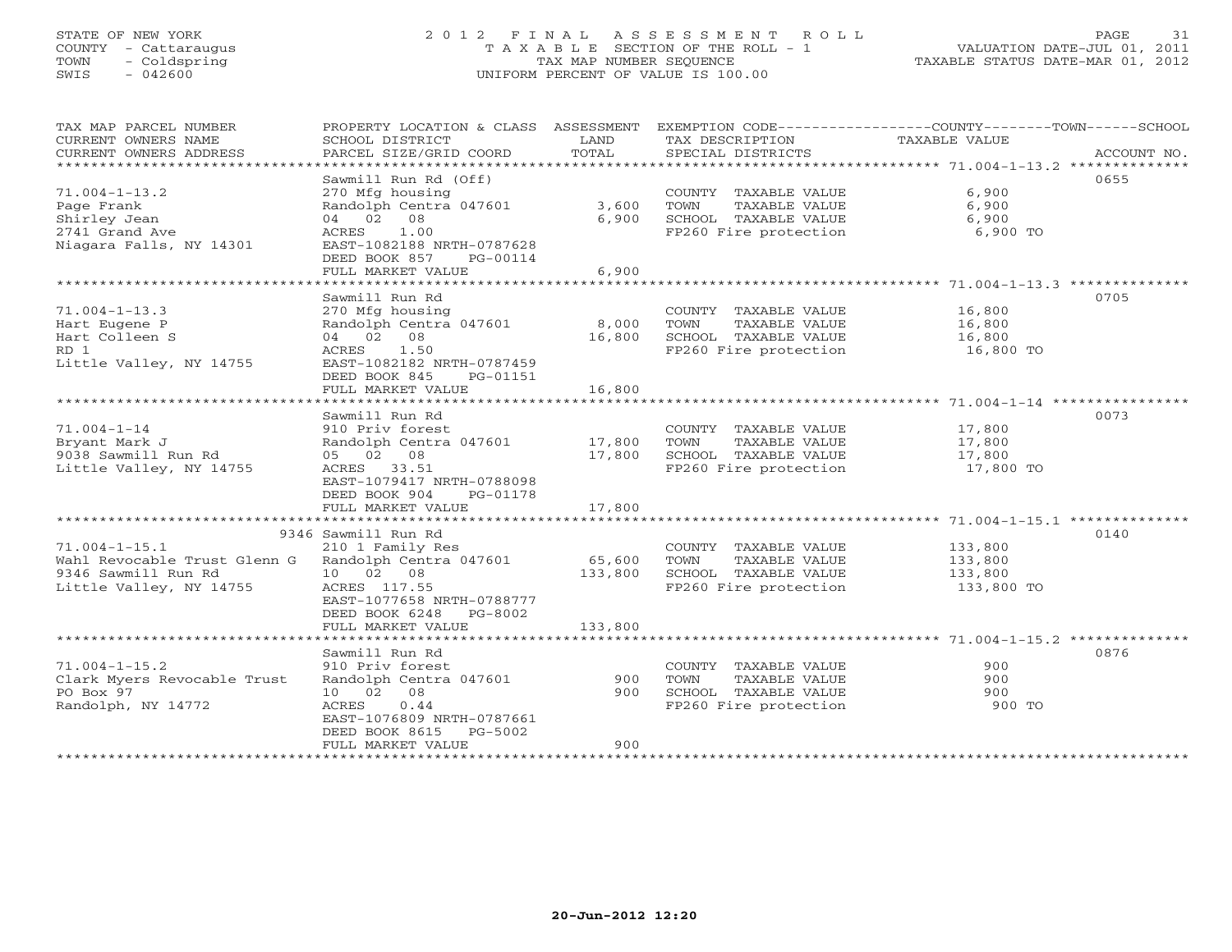# STATE OF NEW YORK 2 0 1 2 F I N A L A S S E S S M E N T R O L L PAGE 31 COUNTY - Cattaraugus T A X A B L E SECTION OF THE ROLL - 1 VALUATION DATE-JUL 01, 2011 TOWN - Coldspring TAX MAP NUMBER SEQUENCE TAXABLE STATUS DATE-MAR 01, 2012 SWIS - 042600 UNIFORM PERCENT OF VALUE IS 100.00UNIFORM PERCENT OF VALUE IS 100.00

| TAX MAP PARCEL NUMBER<br>CURRENT OWNERS NAME<br>CURRENT OWNERS ADDRESS<br>**********************      | PROPERTY LOCATION & CLASS ASSESSMENT<br>SCHOOL DISTRICT<br>PARCEL SIZE/GRID COORD                                                                                                  | LAND<br>TOTAL              | TAX DESCRIPTION<br>SPECIAL DISTRICTS                                                           | EXEMPTION CODE-----------------COUNTY-------TOWN-----SCHOOL<br>TAXABLE VALUE | ACCOUNT NO. |
|-------------------------------------------------------------------------------------------------------|------------------------------------------------------------------------------------------------------------------------------------------------------------------------------------|----------------------------|------------------------------------------------------------------------------------------------|------------------------------------------------------------------------------|-------------|
| $71.004 - 1 - 13.2$<br>Page Frank<br>Shirley Jean<br>2741 Grand Ave<br>Niagara Falls, NY 14301        | Sawmill Run Rd (Off)<br>270 Mfg housing<br>Randolph Centra 047601<br>04 02 08<br>1.00<br>ACRES<br>EAST-1082188 NRTH-0787628<br>DEED BOOK 857<br>PG-00114<br>FULL MARKET VALUE      | 3,600<br>6,900<br>6,900    | COUNTY TAXABLE VALUE<br>TOWN<br>TAXABLE VALUE<br>SCHOOL TAXABLE VALUE<br>FP260 Fire protection | 6,900<br>6,900<br>6,900<br>6,900 TO                                          | 0655        |
|                                                                                                       |                                                                                                                                                                                    |                            |                                                                                                |                                                                              |             |
| $71.004 - 1 - 13.3$<br>Hart Eugene P<br>Hart Colleen S<br>RD 1<br>Little Valley, NY 14755             | Sawmill Run Rd<br>270 Mfg housing<br>Randolph Centra 047601<br>04 02 08<br>ACRES<br>1.50<br>EAST-1082182 NRTH-0787459<br>DEED BOOK 845<br>PG-01151                                 | 8,000<br>16,800            | COUNTY TAXABLE VALUE<br>TOWN<br>TAXABLE VALUE<br>SCHOOL TAXABLE VALUE<br>FP260 Fire protection | 16,800<br>16,800<br>16,800<br>16,800 TO                                      | 0705        |
|                                                                                                       | FULL MARKET VALUE<br>**********************                                                                                                                                        | 16,800<br>************     |                                                                                                | ********************* 71.004-1-14 *****************                          |             |
| $71.004 - 1 - 14$<br>Bryant Mark J<br>9038 Sawmill Run Rd<br>Little Valley, NY 14755                  | Sawmill Run Rd<br>910 Priv forest<br>Randolph Centra 047601<br>05 02 08<br>ACRES 33.51<br>EAST-1079417 NRTH-0788098<br>DEED BOOK 904<br>PG-01178<br>FULL MARKET VALUE              | 17,800<br>17,800<br>17,800 | COUNTY TAXABLE VALUE<br>TOWN<br>TAXABLE VALUE<br>SCHOOL TAXABLE VALUE<br>FP260 Fire protection | 17,800<br>17,800<br>17,800<br>17,800 TO                                      | 0073        |
|                                                                                                       |                                                                                                                                                                                    | ************               |                                                                                                |                                                                              |             |
| $71.004 - 1 - 15.1$<br>Wahl Revocable Trust Glenn G<br>9346 Sawmill Run Rd<br>Little Valley, NY 14755 | 9346 Sawmill Run Rd<br>210 1 Family Res<br>Randolph Centra 047601<br>10 02 08<br>ACRES 117.55<br>EAST-1077658 NRTH-0788777<br>DEED BOOK 6248<br>PG-8002                            | 65,600<br>133,800          | COUNTY TAXABLE VALUE<br>TOWN<br>TAXABLE VALUE<br>SCHOOL TAXABLE VALUE<br>FP260 Fire protection | 133,800<br>133,800<br>133,800<br>133,800 TO                                  | 0140        |
|                                                                                                       | FULL MARKET VALUE                                                                                                                                                                  | 133,800                    |                                                                                                |                                                                              |             |
| $71.004 - 1 - 15.2$<br>Clark Myers Revocable Trust<br>PO Box 97<br>Randolph, NY 14772                 | Sawmill Run Rd<br>910 Priv forest<br>Randolph Centra 047601<br>10  02  08<br><b>ACRES</b><br>0.44<br>EAST-1076809 NRTH-0787661<br>DEED BOOK 8615<br>$PG-5002$<br>FULL MARKET VALUE | 900<br>900<br>900          | COUNTY TAXABLE VALUE<br>TAXABLE VALUE<br>TOWN<br>SCHOOL TAXABLE VALUE<br>FP260 Fire protection | 900<br>900<br>900<br>900 TO                                                  | 0876        |
|                                                                                                       | ***********************                                                                                                                                                            |                            |                                                                                                |                                                                              |             |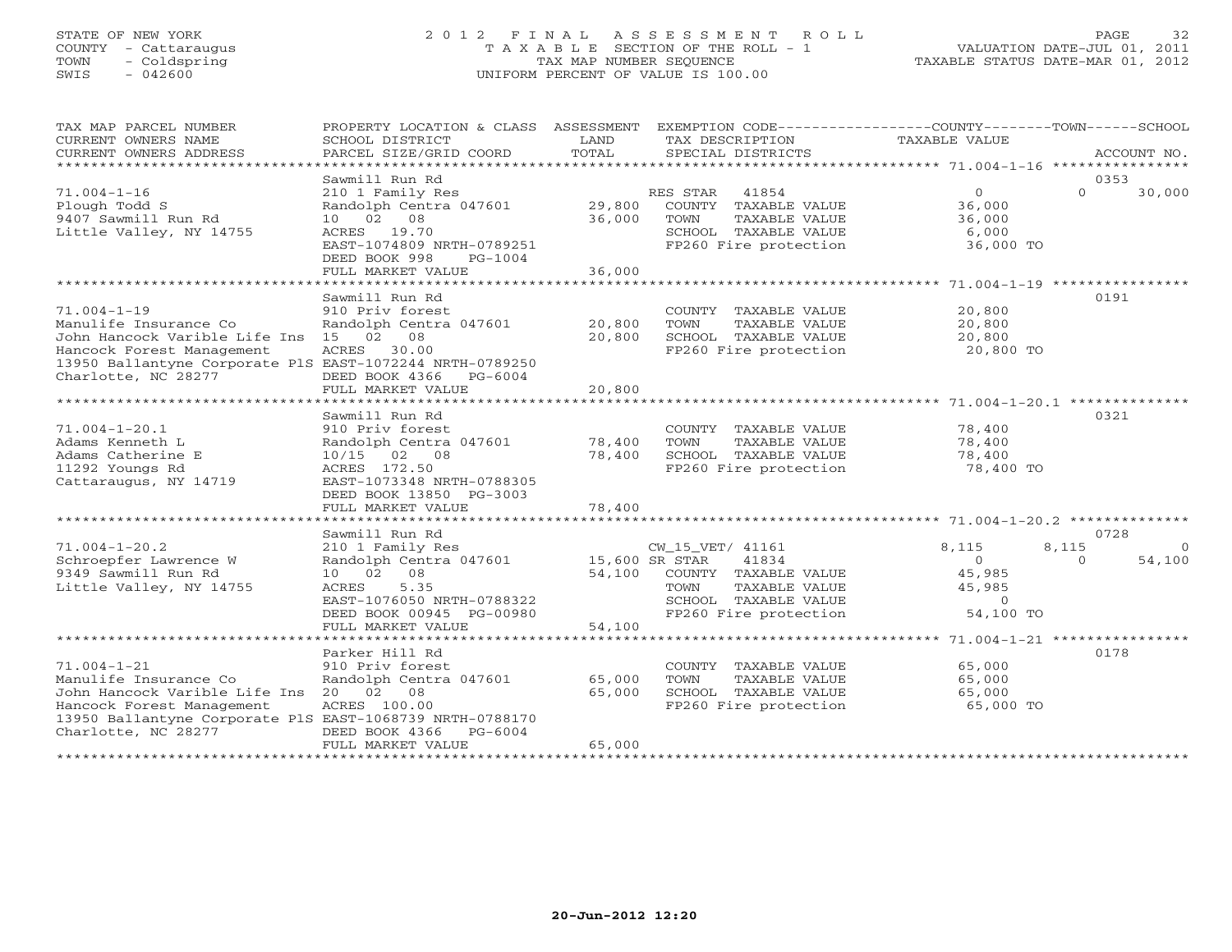# STATE OF NEW YORK 2 0 1 2 F I N A L A S S E S S M E N T R O L L PAGE 32 COUNTY - Cattaraugus T A X A B L E SECTION OF THE ROLL - 1 VALUATION DATE-JUL 01, 2011 TOWN - Coldspring TAX MAP NUMBER SEQUENCE TAXABLE STATUS DATE-MAR 01, 2012 SWIS - 042600 UNIFORM PERCENT OF VALUE IS 100.00UNIFORM PERCENT OF VALUE IS 100.00

| TAX MAP PARCEL NUMBER<br>CURRENT OWNERS NAME<br>CURRENT OWNERS ADDRESS                                                                                                                         | PROPERTY LOCATION & CLASS ASSESSMENT<br>SCHOOL DISTRICT<br>PARCEL SIZE/GRID COORD                                                                                    | LAND<br>TOTAL              | EXEMPTION CODE-----------------COUNTY-------TOWN------SCHOOL<br>TAX DESCRIPTION<br>SPECIAL DISTRICTS                                          | TAXABLE VALUE                                                                     | ACCOUNT NO.                    |
|------------------------------------------------------------------------------------------------------------------------------------------------------------------------------------------------|----------------------------------------------------------------------------------------------------------------------------------------------------------------------|----------------------------|-----------------------------------------------------------------------------------------------------------------------------------------------|-----------------------------------------------------------------------------------|--------------------------------|
|                                                                                                                                                                                                | Sawmill Run Rd                                                                                                                                                       |                            |                                                                                                                                               |                                                                                   | 0353                           |
| $71.004 - 1 - 16$<br>Plough Todd S<br>9407 Sawmill Run Rd<br>Little Valley, NY 14755                                                                                                           | 210 1 Family Res<br>Randolph Centra 047601<br>10 02 08<br>19.70<br>ACRES<br>EAST-1074809 NRTH-0789251<br>DEED BOOK 998<br>$PG-1004$<br>FULL MARKET VALUE             | 29,800<br>36,000<br>36,000 | RES STAR<br>41854<br>COUNTY<br>TAXABLE VALUE<br>TOWN<br>TAXABLE VALUE<br>SCHOOL TAXABLE VALUE<br>FP260 Fire protection                        | $\Omega$<br>36,000<br>36,000<br>6,000<br>36,000 TO                                | $\Omega$<br>30,000             |
|                                                                                                                                                                                                |                                                                                                                                                                      |                            |                                                                                                                                               | ****************** 71.004-1-19 *****************                                  |                                |
| $71.004 - 1 - 19$<br>Manulife Insurance Co<br>John Hancock Varible Life Ins 15<br>Hancock Forest Management<br>13950 Ballantyne Corporate PlS EAST-1072244 NRTH-0789250<br>Charlotte, NC 28277 | Sawmill Run Rd<br>910 Priv forest<br>Randolph Centra 047601<br>02<br>08<br>ACRES<br>30.00<br>DEED BOOK 4366<br>$PG-6004$<br>FULL MARKET VALUE                        | 20,800<br>20,800<br>20,800 | COUNTY TAXABLE VALUE<br>TOWN<br>TAXABLE VALUE<br>SCHOOL TAXABLE VALUE<br>FP260 Fire protection                                                | 20,800<br>20,800<br>20,800<br>20,800 TO                                           | 0191                           |
|                                                                                                                                                                                                | *******************                                                                                                                                                  | ********                   |                                                                                                                                               | ******************* 71.004-1-20.1 ***************                                 |                                |
| $71.004 - 1 - 20.1$<br>Adams Kenneth L<br>Adams Catherine E<br>11292 Youngs Rd<br>Cattaraugus, NY 14719                                                                                        | Sawmill Run Rd<br>910 Priv forest<br>Randolph Centra 047601<br>$10/15$ 02<br>$\overline{08}$<br>ACRES 172.50<br>EAST-1073348 NRTH-0788305<br>DEED BOOK 13850 PG-3003 | 78,400<br>78,400           | COUNTY TAXABLE VALUE<br>TOWN<br>TAXABLE VALUE<br>SCHOOL TAXABLE VALUE<br>FP260 Fire protection                                                | 78,400<br>78,400<br>78,400<br>78,400 TO                                           | 0321                           |
|                                                                                                                                                                                                | FULL MARKET VALUE                                                                                                                                                    | 78,400                     |                                                                                                                                               |                                                                                   |                                |
|                                                                                                                                                                                                | *****************                                                                                                                                                    | ********                   |                                                                                                                                               | ***************************** 71.004-1-20.2 **************                        |                                |
|                                                                                                                                                                                                | Sawmill Run Rd                                                                                                                                                       |                            |                                                                                                                                               |                                                                                   | 0728                           |
| $71.004 - 1 - 20.2$<br>Schroepfer Lawrence W<br>9349 Sawmill Run Rd<br>Little Valley, NY 14755                                                                                                 | 210 1 Family Res<br>Randolph Centra 047601<br>08<br>10 02<br>ACRES<br>5.35<br>EAST-1076050 NRTH-0788322<br>DEED BOOK 00945 PG-00980                                  | 54,100                     | CW_15_VET/ 41161<br>15,600 SR STAR<br>41834<br>COUNTY TAXABLE VALUE<br>TOWN<br>TAXABLE VALUE<br>SCHOOL TAXABLE VALUE<br>FP260 Fire protection | 8,115<br>8,115<br>$\circ$<br>45,985<br>45,985<br>$\circ$<br>54,100 TO             | $\Omega$<br>54,100<br>$\Omega$ |
|                                                                                                                                                                                                | FULL MARKET VALUE<br>******************                                                                                                                              | 54,100                     |                                                                                                                                               |                                                                                   |                                |
| $71.004 - 1 - 21$<br>Manulife Insurance Co<br>John Hancock Varible Life Ins 20<br>Hancock Forest Management<br>13950 Ballantyne Corporate PlS EAST-1068739 NRTH-0788170<br>Charlotte, NC 28277 | Parker Hill Rd<br>910 Priv forest<br>Randolph Centra 047601<br>02<br>08<br>ACRES 100.00<br>DEED BOOK 4366<br>$PG-6004$                                               | 65,000<br>65,000           | COUNTY TAXABLE VALUE<br>TOWN<br>TAXABLE VALUE<br>SCHOOL TAXABLE VALUE<br>FP260 Fire protection                                                | ********* 71.004-1-21 ****************<br>65,000<br>65,000<br>65,000<br>65,000 TO | 0178                           |
|                                                                                                                                                                                                | FULL MARKET VALUE                                                                                                                                                    | 65,000                     |                                                                                                                                               |                                                                                   |                                |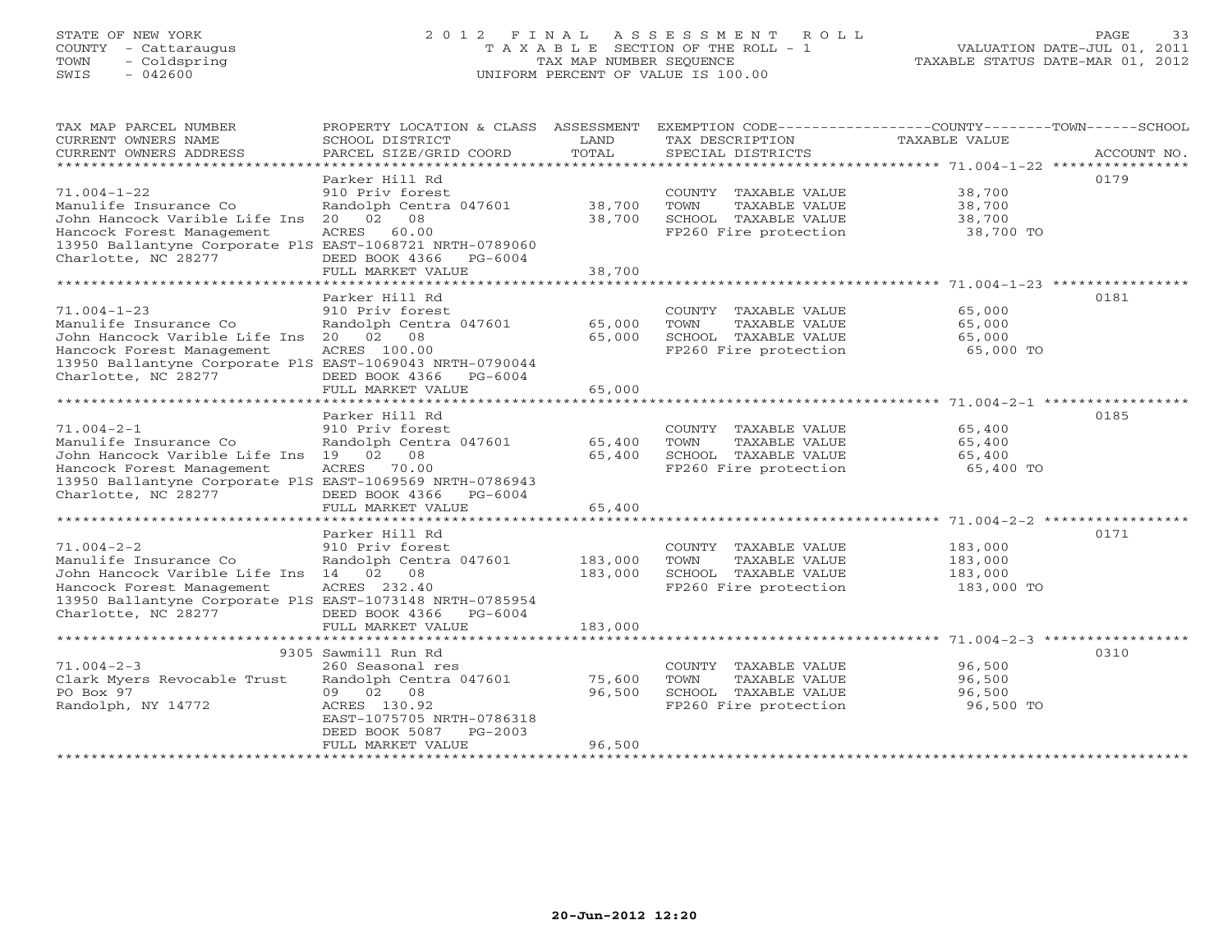# STATE OF NEW YORK 2 0 1 2 F I N A L A S S E S S M E N T R O L L PAGE 33 COUNTY - Cattaraugus T A X A B L E SECTION OF THE ROLL - 1 VALUATION DATE-JUL 01, 2011 TOWN - Coldspring TAX MAP NUMBER SEQUENCE TAXABLE STATUS DATE-MAR 01, 2012 SWIS - 042600 UNIFORM PERCENT OF VALUE IS 100.00UNIFORM PERCENT OF VALUE IS 100.00

| TAX MAP PARCEL NUMBER                                    | PROPERTY LOCATION & CLASS ASSESSMENT |         |                       |               |             |
|----------------------------------------------------------|--------------------------------------|---------|-----------------------|---------------|-------------|
| CURRENT OWNERS NAME                                      | SCHOOL DISTRICT                      | LAND    | TAX DESCRIPTION       | TAXABLE VALUE |             |
| CURRENT OWNERS ADDRESS                                   | PARCEL SIZE/GRID COORD               | TOTAL   | SPECIAL DISTRICTS     |               | ACCOUNT NO. |
|                                                          |                                      |         |                       |               |             |
|                                                          | Parker Hill Rd                       |         |                       |               | 0179        |
| $71.004 - 1 - 22$                                        | 910 Priv forest                      |         |                       | 38,700        |             |
|                                                          |                                      |         | COUNTY TAXABLE VALUE  |               |             |
| Manulife Insurance Co                                    | Randolph Centra 047601               | 38,700  | TOWN<br>TAXABLE VALUE | 38,700        |             |
| John Hancock Varible Life Ins                            | 02 08<br>20                          | 38,700  | SCHOOL TAXABLE VALUE  | 38,700        |             |
| Hancock Forest Management                                | ACRES<br>60.00                       |         | FP260 Fire protection | 38,700 TO     |             |
| 13950 Ballantyne Corporate PlS EAST-1068721 NRTH-0789060 |                                      |         |                       |               |             |
| Charlotte, NC 28277                                      | DEED BOOK 4366<br>PG-6004            |         |                       |               |             |
|                                                          | FULL MARKET VALUE                    | 38,700  |                       |               |             |
|                                                          |                                      |         |                       |               |             |
|                                                          | Parker Hill Rd                       |         |                       |               | 0181        |
|                                                          |                                      |         |                       |               |             |
| $71.004 - 1 - 23$                                        | 910 Priv forest                      |         | COUNTY TAXABLE VALUE  | 65,000        |             |
| Manulife Insurance Co                                    | Randolph Centra 047601               | 65,000  | TOWN<br>TAXABLE VALUE | 65,000        |             |
| John Hancock Varible Life Ins 20 02 08                   |                                      | 65,000  | SCHOOL TAXABLE VALUE  | 65,000        |             |
| Hancock Forest Management                                | ACRES 100.00                         |         | FP260 Fire protection | 65,000 TO     |             |
| 13950 Ballantyne Corporate PlS EAST-1069043 NRTH-0790044 |                                      |         |                       |               |             |
| Charlotte, NC 28277                                      | DEED BOOK 4366<br>$PG-6004$          |         |                       |               |             |
|                                                          | FULL MARKET VALUE                    | 65,000  |                       |               |             |
|                                                          |                                      |         |                       |               |             |
|                                                          |                                      |         |                       |               |             |
|                                                          | Parker Hill Rd                       |         |                       |               | 0185        |
| $71.004 - 2 - 1$                                         | 910 Priv forest                      |         | COUNTY TAXABLE VALUE  | 65,400        |             |
| Manulife Insurance Co                                    | Randolph Centra 047601               | 65,400  | TAXABLE VALUE<br>TOWN | 65,400        |             |
| John Hancock Varible Life Ins 19 02                      | 08                                   | 65,400  | SCHOOL TAXABLE VALUE  | 65,400        |             |
| Hancock Forest Management                                | ACRES<br>70.00                       |         | FP260 Fire protection | 65,400 TO     |             |
| 13950 Ballantyne Corporate PlS EAST-1069569 NRTH-0786943 |                                      |         |                       |               |             |
| Charlotte, NC 28277                                      | DEED BOOK 4366<br>$PG-6004$          |         |                       |               |             |
|                                                          | FULL MARKET VALUE                    | 65,400  |                       |               |             |
|                                                          |                                      |         |                       |               |             |
|                                                          |                                      |         |                       |               |             |
|                                                          | Parker Hill Rd                       |         |                       |               | 0171        |
| $71.004 - 2 - 2$                                         | 910 Priv forest                      |         | COUNTY TAXABLE VALUE  | 183,000       |             |
| Manulife Insurance Co                                    | Randolph Centra 047601               | 183,000 | TOWN<br>TAXABLE VALUE | 183,000       |             |
| John Hancock Varible Life Ins 14 02 08                   |                                      | 183,000 | SCHOOL TAXABLE VALUE  | 183,000       |             |
| Hancock Forest Management                                | ACRES 232.40                         |         | FP260 Fire protection | 183,000 TO    |             |
| 13950 Ballantyne Corporate PlS EAST-1073148 NRTH-0785954 |                                      |         |                       |               |             |
| Charlotte, NC 28277                                      | DEED BOOK 4366<br>PG-6004            |         |                       |               |             |
|                                                          | FULL MARKET VALUE                    | 183,000 |                       |               |             |
|                                                          |                                      |         |                       |               |             |
|                                                          |                                      |         |                       |               |             |
|                                                          | 9305 Sawmill Run Rd                  |         |                       |               | 0310        |
| $71.004 - 2 - 3$                                         | 260 Seasonal res                     |         | COUNTY TAXABLE VALUE  | 96,500        |             |
| Clark Myers Revocable Trust                              | Randolph Centra 047601               | 75,600  | TOWN<br>TAXABLE VALUE | 96,500        |             |
| PO Box 97                                                | 09 02 08                             | 96,500  | SCHOOL TAXABLE VALUE  | 96,500        |             |
| Randolph, NY 14772                                       | ACRES 130.92                         |         | FP260 Fire protection | 96,500 TO     |             |
|                                                          | EAST-1075705 NRTH-0786318            |         |                       |               |             |
|                                                          | DEED BOOK 5087<br>$PG-2003$          |         |                       |               |             |
|                                                          | FULL MARKET VALUE                    | 96,500  |                       |               |             |
|                                                          |                                      |         |                       |               |             |
|                                                          |                                      |         |                       |               |             |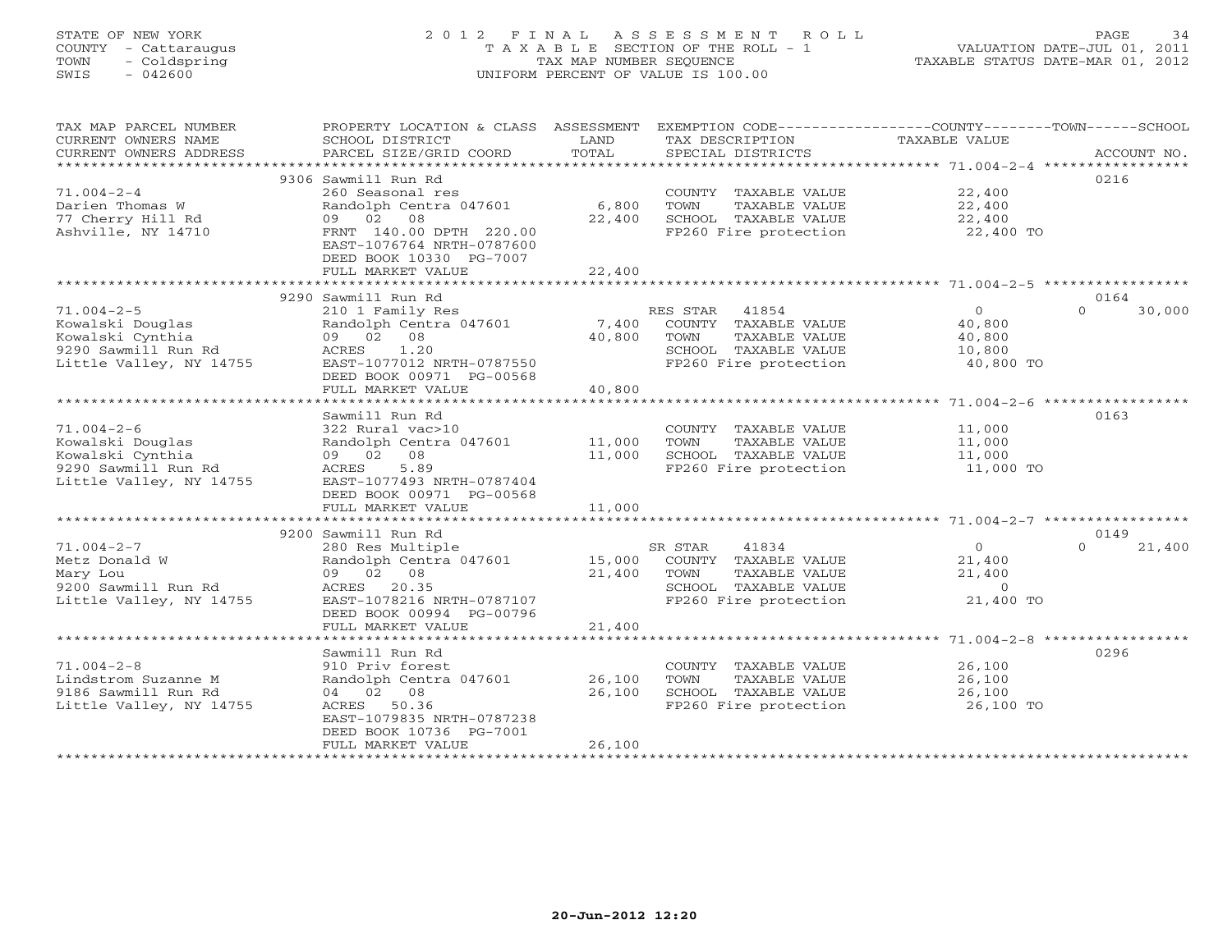# STATE OF NEW YORK 2 0 1 2 F I N A L A S S E S S M E N T R O L L PAGE 34 COUNTY - Cattaraugus T A X A B L E SECTION OF THE ROLL - 1 VALUATION DATE-JUL 01, 2011 TOWN - Coldspring TAX MAP NUMBER SEQUENCE TAXABLE STATUS DATE-MAR 01, 2012 SWIS - 042600 UNIFORM PERCENT OF VALUE IS 100.00UNIFORM PERCENT OF VALUE IS 100.00

| TAX MAP PARCEL NUMBER   | PROPERTY LOCATION & CLASS ASSESSMENT |        | EXEMPTION CODE-----------------COUNTY-------TOWN------SCHOOL |                       |                    |
|-------------------------|--------------------------------------|--------|--------------------------------------------------------------|-----------------------|--------------------|
| CURRENT OWNERS NAME     | SCHOOL DISTRICT                      | LAND   | TAX DESCRIPTION                                              | TAXABLE VALUE         |                    |
| CURRENT OWNERS ADDRESS  | PARCEL SIZE/GRID COORD               | TOTAL  | SPECIAL DISTRICTS                                            |                       | ACCOUNT NO.        |
|                         | 9306 Sawmill Run Rd                  |        |                                                              |                       | 0216               |
| $71.004 - 2 - 4$        | 260 Seasonal res                     |        | COUNTY TAXABLE VALUE                                         | 22,400                |                    |
| Darien Thomas W         | Randolph Centra 047601               | 6,800  | TOWN<br>TAXABLE VALUE                                        | 22,400                |                    |
| 77 Cherry Hill Rd       | 09 02 08                             | 22,400 | SCHOOL TAXABLE VALUE                                         | $\frac{22}{22}$ , 400 |                    |
| Ashville, NY 14710      | FRNT 140.00 DPTH 220.00              |        | FP260 Fire protection                                        | 22,400 TO             |                    |
|                         | EAST-1076764 NRTH-0787600            |        |                                                              |                       |                    |
|                         | DEED BOOK 10330 PG-7007              |        |                                                              |                       |                    |
|                         | FULL MARKET VALUE                    | 22,400 |                                                              |                       |                    |
|                         |                                      |        |                                                              |                       |                    |
|                         | 9290 Sawmill Run Rd                  |        |                                                              |                       | 0164               |
| $71.004 - 2 - 5$        | 210 1 Family Res                     |        | RES STAR 41854                                               | $\overline{0}$        | $\Omega$<br>30,000 |
| Kowalski Douglas        | Randolph Centra 047601               | 7,400  | COUNTY TAXABLE VALUE                                         | 40,800                |                    |
| Kowalski Cynthia        | 09 02 08                             | 40,800 | TOWN<br>TAXABLE VALUE                                        | 40,800                |                    |
| 9290 Sawmill Run Rd     | ACRES<br>1.20                        |        | SCHOOL TAXABLE VALUE                                         | 10,800                |                    |
| Little Valley, NY 14755 | EAST-1077012 NRTH-0787550            |        | FP260 Fire protection                                        | 40,800 TO             |                    |
|                         | DEED BOOK 00971 PG-00568             |        |                                                              |                       |                    |
|                         | FULL MARKET VALUE                    | 40,800 |                                                              |                       |                    |
|                         |                                      |        |                                                              |                       | 0163               |
| $71.004 - 2 - 6$        | Sawmill Run Rd<br>322 Rural vac>10   |        | COUNTY TAXABLE VALUE                                         | 11,000                |                    |
| Kowalski Douglas        | Randolph Centra 047601               | 11,000 | TOWN<br>TAXABLE VALUE                                        | 11,000                |                    |
| Kowalski Cynthia        | 09 02 08                             | 11,000 | SCHOOL TAXABLE VALUE                                         | 11,000                |                    |
| 9290 Sawmill Run Rd     | 5.89<br>ACRES                        |        | FP260 Fire protection                                        | 11,000 TO             |                    |
| Little Valley, NY 14755 | EAST-1077493 NRTH-0787404            |        |                                                              |                       |                    |
|                         | DEED BOOK 00971 PG-00568             |        |                                                              |                       |                    |
|                         | FULL MARKET VALUE                    | 11,000 |                                                              |                       |                    |
|                         |                                      |        |                                                              |                       |                    |
|                         | 9200 Sawmill Run Rd                  |        |                                                              |                       | 0149               |
| $71.004 - 2 - 7$        | 280 Res Multiple                     |        | SR STAR<br>41834                                             | $\overline{O}$        | $\Omega$<br>21,400 |
| Metz Donald W           | Randolph Centra 047601               | 15,000 | COUNTY TAXABLE VALUE                                         | 21,400                |                    |
| Mary Lou                | 09 02 08                             | 21,400 | TAXABLE VALUE<br>TOWN                                        | 21,400                |                    |
| 9200 Sawmill Run Rd     | ACRES 20.35                          |        | SCHOOL TAXABLE VALUE                                         | $\Omega$              |                    |
| Little Valley, NY 14755 | EAST-1078216 NRTH-0787107            |        | FP260 Fire protection                                        | 21,400 TO             |                    |
|                         | DEED BOOK 00994 PG-00796             |        |                                                              |                       |                    |
|                         | FULL MARKET VALUE                    | 21,400 |                                                              |                       |                    |
|                         | Sawmill Run Rd                       |        |                                                              |                       | 0296               |
| $71.004 - 2 - 8$        | 910 Priv forest                      |        | COUNTY TAXABLE VALUE                                         | 26,100                |                    |
| Lindstrom Suzanne M     | Randolph Centra 047601               | 26,100 | TOWN<br>TAXABLE VALUE                                        | 26,100                |                    |
| 9186 Sawmill Run Rd     | 04 02 08                             | 26,100 | SCHOOL TAXABLE VALUE                                         | 26,100                |                    |
| Little Valley, NY 14755 | ACRES 50.36                          |        | FP260 Fire protection                                        | 26,100 TO             |                    |
|                         | EAST-1079835 NRTH-0787238            |        |                                                              |                       |                    |
|                         | DEED BOOK 10736 PG-7001              |        |                                                              |                       |                    |
|                         | FULL MARKET VALUE                    | 26,100 |                                                              |                       |                    |
|                         |                                      |        |                                                              |                       |                    |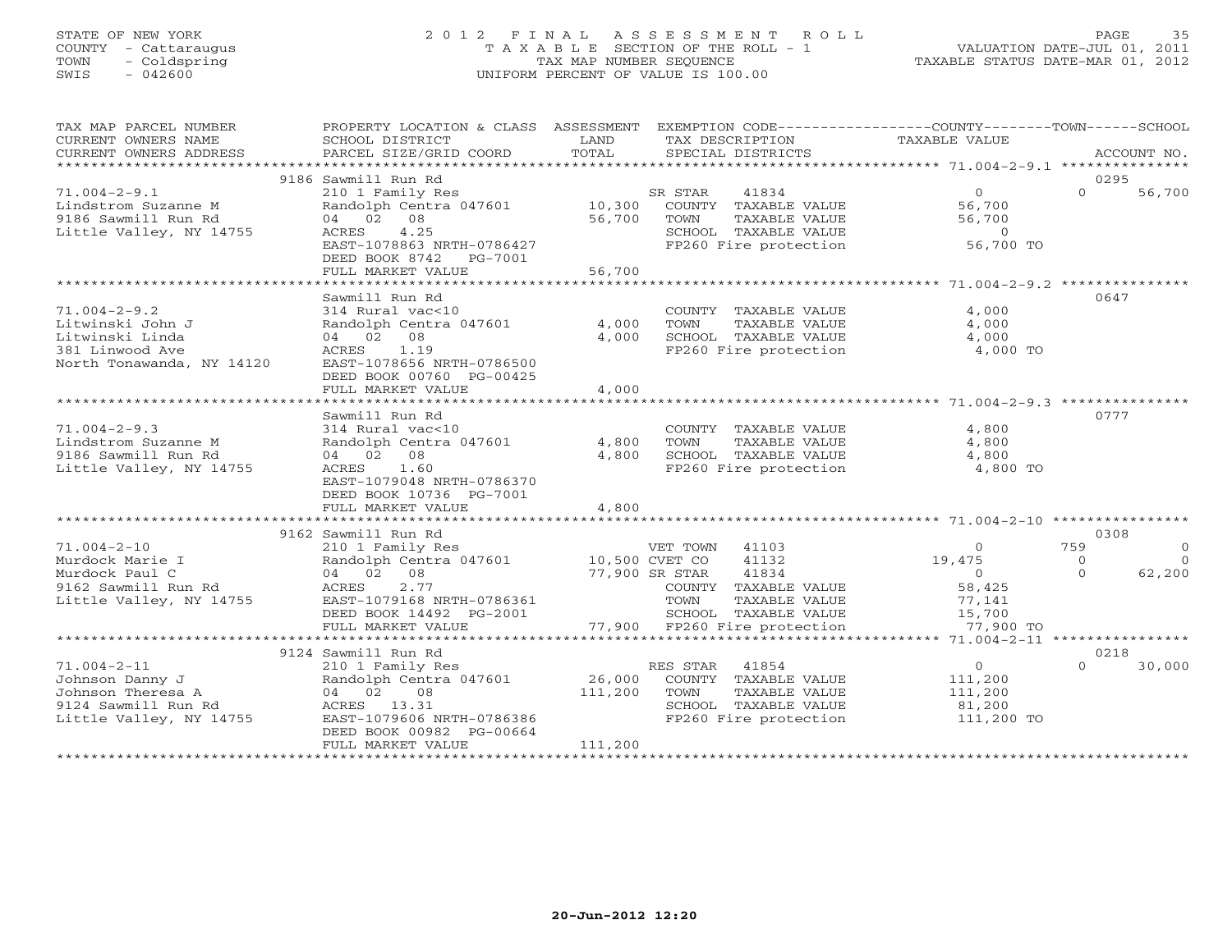# STATE OF NEW YORK 2 0 1 2 F I N A L A S S E S S M E N T R O L L PAGE 35 COUNTY - Cattaraugus T A X A B L E SECTION OF THE ROLL - 1 VALUATION DATE-JUL 01, 2011 TOWN - Coldspring TAX MAP NUMBER SEQUENCE TAXABLE STATUS DATE-MAR 01, 2012 SWIS - 042600 UNIFORM PERCENT OF VALUE IS 100.00UNIFORM PERCENT OF VALUE IS 100.00

| TAX MAP PARCEL NUMBER<br>CURRENT OWNERS NAME<br>CURRENT OWNERS ADDRESS                                      | PROPERTY LOCATION & CLASS ASSESSMENT<br>SCHOOL DISTRICT<br>PARCEL SIZE/GRID COORD                                                                                             | LAND<br>TOTAL                | EXEMPTION CODE-----------------COUNTY-------TOWN------SCHOOL<br>TAX DESCRIPTION<br>SPECIAL DISTRICTS                                                                          | TAXABLE VALUE                                                                   | ACCOUNT NO.                                                   |
|-------------------------------------------------------------------------------------------------------------|-------------------------------------------------------------------------------------------------------------------------------------------------------------------------------|------------------------------|-------------------------------------------------------------------------------------------------------------------------------------------------------------------------------|---------------------------------------------------------------------------------|---------------------------------------------------------------|
|                                                                                                             |                                                                                                                                                                               |                              |                                                                                                                                                                               |                                                                                 |                                                               |
| $71.004 - 2 - 9.1$<br>Lindstrom Suzanne M<br>9186 Sawmill Run Rd<br>Little Valley, NY 14755                 | 9186 Sawmill Run Rd<br>210 1 Family Res<br>Randolph Centra 047601<br>04 02 08<br>4.25<br>ACRES<br>EAST-1078863 NRTH-0786427<br>DEED BOOK 8742<br>PG-7001<br>FULL MARKET VALUE | 10,300<br>56,700<br>56,700   | 41834<br>SR STAR<br>COUNTY TAXABLE VALUE<br>TOWN<br>TAXABLE VALUE<br>SCHOOL TAXABLE VALUE<br>FP260 Fire protection                                                            | $\circ$<br>56,700<br>56,700<br>$\circ$<br>56,700 TO                             | 0295<br>$\Omega$<br>56,700                                    |
|                                                                                                             |                                                                                                                                                                               |                              |                                                                                                                                                                               |                                                                                 |                                                               |
| $71.004 - 2 - 9.2$<br>Litwinski John J<br>Litwinski Linda<br>381 Linwood Ave<br>North Tonawanda, NY 14120   | Sawmill Run Rd<br>314 Rural vac<10<br>Randolph Centra 047601<br>04 02 08<br>1.19<br>ACRES<br>EAST-1078656 NRTH-0786500<br>DEED BOOK 00760 PG-00425<br>FULL MARKET VALUE       | 4,000<br>4,000<br>4,000      | COUNTY TAXABLE VALUE<br>TOWN<br>TAXABLE VALUE<br>SCHOOL TAXABLE VALUE<br>FP260 Fire protection                                                                                | 4,000<br>4,000<br>4,000<br>4,000 TO                                             | 0647                                                          |
|                                                                                                             | *******************                                                                                                                                                           | * * * * * * * * * * :        |                                                                                                                                                                               | ***********************************71.004-2-9.3 ***********                     |                                                               |
| $71.004 - 2 - 9.3$<br>Lindstrom Suzanne M<br>9186 Sawmill Run Rd<br>Little Valley, NY 14755                 | Sawmill Run Rd<br>314 Rural vac<10<br>Randolph Centra 047601<br>04 02 08<br>1.60<br>ACRES<br>EAST-1079048 NRTH-0786370<br>DEED BOOK 10736 PG-7001<br>FULL MARKET VALUE        | 4,800<br>4,800<br>4,800      | COUNTY TAXABLE VALUE<br>TOWN<br>TAXABLE VALUE<br>SCHOOL TAXABLE VALUE<br>FP260 Fire protection                                                                                | 4,800<br>4,800<br>4,800<br>4,800 TO                                             | 0777                                                          |
|                                                                                                             |                                                                                                                                                                               |                              |                                                                                                                                                                               |                                                                                 |                                                               |
|                                                                                                             | 9162 Sawmill Run Rd                                                                                                                                                           |                              |                                                                                                                                                                               |                                                                                 | 0308                                                          |
| $71.004 - 2 - 10$<br>Murdock Marie I<br>Murdock Paul C<br>9162 Sawmill Run Rd<br>Little Valley, NY 14755    | 210 1 Family Res<br>Randolph Centra 047601<br>04 02 08<br>2.77<br>ACRES<br>EAST-1079168 NRTH-0786361<br>DEED BOOK 14492 PG-2001<br>FULL MARKET VALUE                          |                              | VET TOWN 41103<br>10,500 CVET CO<br>41132<br>77,900 SR STAR<br>41834<br>COUNTY TAXABLE VALUE<br>TOWN<br>TAXABLE VALUE<br>SCHOOL TAXABLE VALUE<br>77,900 FP260 Fire protection | $\Omega$<br>19,475<br>$\overline{0}$<br>58,425<br>77,141<br>15,700<br>77,900 TO | 759<br>$\Omega$<br>$\Omega$<br>$\Omega$<br>$\Omega$<br>62,200 |
|                                                                                                             |                                                                                                                                                                               |                              |                                                                                                                                                                               |                                                                                 |                                                               |
| $71.004 - 2 - 11$<br>Johnson Danny J<br>Johnson Theresa A<br>9124 Sawmill Run Rd<br>Little Valley, NY 14755 | 9124 Sawmill Run Rd<br>210 1 Family Res<br>Randolph Centra 047601<br>04 02<br>08<br>ACRES 13.31<br>EAST-1079606 NRTH-0786386<br>DEED BOOK 00982 PG-00664<br>FULL MARKET VALUE | 26,000<br>111,200<br>111,200 | RES STAR 41854<br>COUNTY TAXABLE VALUE<br>TAXABLE VALUE<br>TOWN<br>SCHOOL TAXABLE VALUE<br>FP260 Fire protection                                                              | $\overline{0}$<br>111,200<br>111,200<br>81,200<br>111,200 TO                    | 0218<br>$\cap$<br>30,000                                      |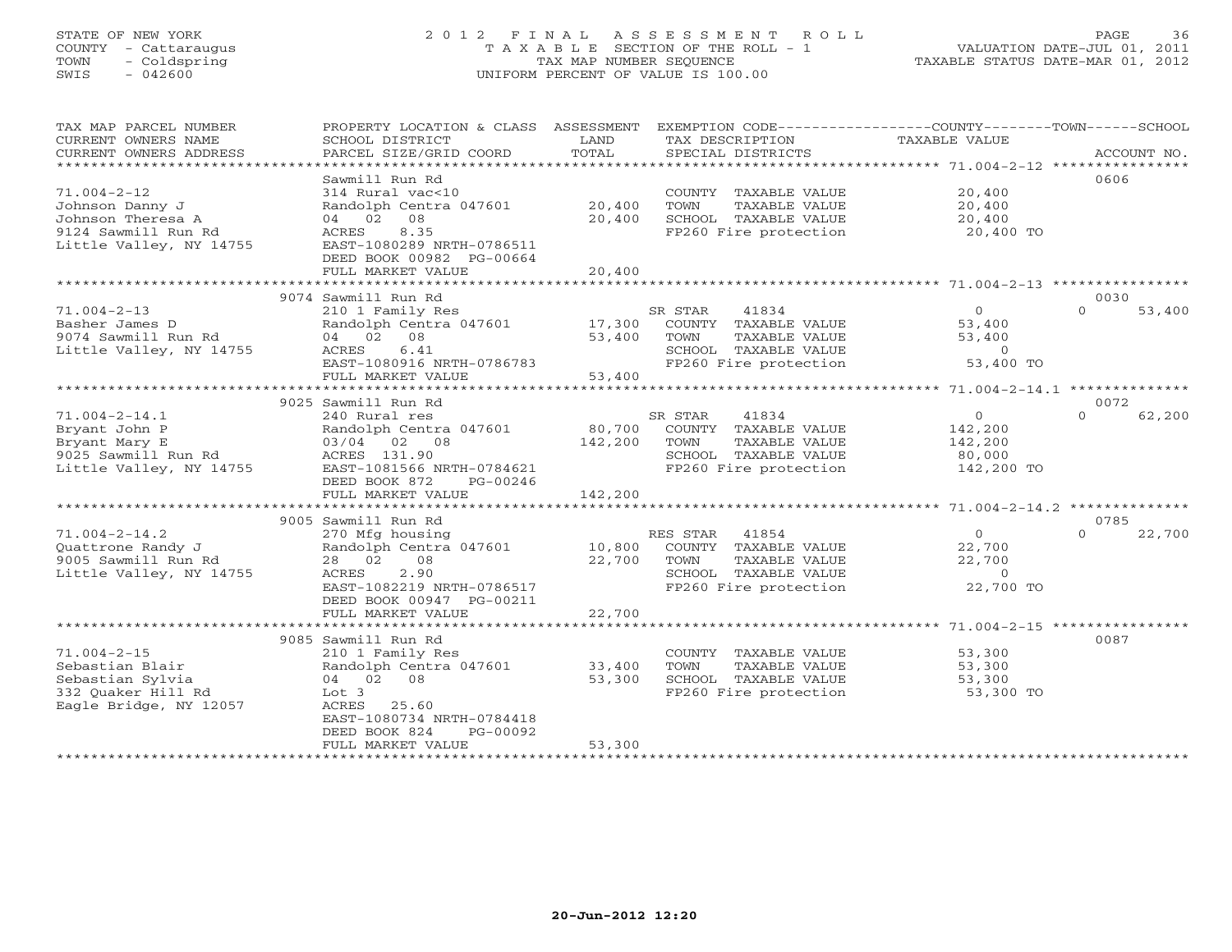# STATE OF NEW YORK 2 0 1 2 F I N A L A S S E S S M E N T R O L L PAGE 36 COUNTY - Cattaraugus T A X A B L E SECTION OF THE ROLL - 1 VALUATION DATE-JUL 01, 2011 TOWN - Coldspring TAX MAP NUMBER SEQUENCE TAXABLE STATUS DATE-MAR 01, 2012 SWIS - 042600 UNIFORM PERCENT OF VALUE IS 100.00UNIFORM PERCENT OF VALUE IS 100.00

| TAX MAP PARCEL NUMBER<br>CURRENT OWNERS NAME<br>CURRENT OWNERS ADDRESS<br>********************                          | PROPERTY LOCATION & CLASS<br>SCHOOL DISTRICT<br>PARCEL SIZE/GRID COORD                                                                                                                                | ASSESSMENT<br>LAND<br>TOTAL | EXEMPTION CODE-----------------COUNTY-------TOWN------SCHOOL<br>TAX DESCRIPTION<br>SPECIAL DISTRICTS                  | TAXABLE VALUE                                         | ACCOUNT NO.                |
|-------------------------------------------------------------------------------------------------------------------------|-------------------------------------------------------------------------------------------------------------------------------------------------------------------------------------------------------|-----------------------------|-----------------------------------------------------------------------------------------------------------------------|-------------------------------------------------------|----------------------------|
| $71.004 - 2 - 12$<br>Johnson Danny J<br>Johnson Theresa A<br>9124 Sawmill Run Rd<br>Little Valley, NY 14755             | Sawmill Run Rd<br>314 Rural vac<10<br>Randolph Centra 047601<br>08<br>04 02<br>8.35<br>ACRES<br>EAST-1080289 NRTH-0786511<br>DEED BOOK 00982 PG-00664<br>FULL MARKET VALUE                            | 20,400<br>20,400<br>20,400  | COUNTY TAXABLE VALUE<br>TOWN<br>TAXABLE VALUE<br>SCHOOL TAXABLE VALUE<br>FP260 Fire protection                        | 20,400<br>20,400<br>20,400<br>20,400 TO               | 0606                       |
|                                                                                                                         |                                                                                                                                                                                                       |                             |                                                                                                                       |                                                       |                            |
| $71.004 - 2 - 13$<br>Basher James D<br>9074 Sawmill Run Rd<br>Little Valley, NY 14755                                   | 9074 Sawmill Run Rd<br>210 1 Family Res<br>Randolph Centra 047601<br>04 02<br>08<br>6.41<br>ACRES<br>EAST-1080916 NRTH-0786783<br>FULL MARKET VALUE                                                   | 17,300<br>53,400<br>53,400  | SR STAR<br>41834<br>COUNTY TAXABLE VALUE<br>TOWN<br>TAXABLE VALUE<br>SCHOOL TAXABLE VALUE<br>FP260 Fire protection    | $\circ$<br>53,400<br>53,400<br>$\circ$<br>53,400 TO   | 0030<br>$\Omega$<br>53,400 |
| 9025 Sawmill Run Rd<br>0072                                                                                             |                                                                                                                                                                                                       |                             |                                                                                                                       |                                                       |                            |
| $71.004 - 2 - 14.1$<br>Bryant John P<br>Bryant Mary E<br>9025 Sawmill Run Rd<br>Little Valley, NY 14755                 | 240 Rural res<br>Randolph Centra 047601<br>03/04 02<br>08<br>ACRES 131.90<br>EAST-1081566 NRTH-0784621<br>DEED BOOK 872<br>PG-00246                                                                   | 80,700<br>142,200           | 41834<br>SR STAR<br>COUNTY<br>TAXABLE VALUE<br>TOWN<br>TAXABLE VALUE<br>SCHOOL TAXABLE VALUE<br>FP260 Fire protection | $\circ$<br>142,200<br>142,200<br>80,000<br>142,200 TO | $\Omega$<br>62,200         |
| FULL MARKET VALUE<br>142,200<br>* * * * * * * * * * * * * * * * * * *<br>********<br>$71.004 - 2 - 14.2$ ************** |                                                                                                                                                                                                       |                             |                                                                                                                       |                                                       |                            |
|                                                                                                                         | 9005 Sawmill Run Rd                                                                                                                                                                                   |                             |                                                                                                                       |                                                       | 0785                       |
| $71.004 - 2 - 14.2$<br>Quattrone Randy J<br>9005 Sawmill Run Rd<br>Little Valley, NY 14755                              | 270 Mfg housing<br>Randolph Centra 047601<br>28 02<br>08<br>2.90<br>ACRES<br>EAST-1082219 NRTH-0786517<br>DEED BOOK 00947 PG-00211<br>FULL MARKET VALUE                                               | 10,800<br>22,700<br>22,700  | 41854<br>RES STAR<br>COUNTY TAXABLE VALUE<br>TAXABLE VALUE<br>TOWN<br>SCHOOL TAXABLE VALUE<br>FP260 Fire protection   | $\Omega$<br>22,700<br>22,700<br>$\circ$<br>22,700 TO  | 22,700<br>$\Omega$         |
|                                                                                                                         | *********************                                                                                                                                                                                 | * * * * * * * * * * *       |                                                                                                                       | ******************** 71.004-2-15 ************         |                            |
| $71.004 - 2 - 15$<br>Sebastian Blair<br>Sebastian Sylvia<br>332 Ouaker Hill Rd<br>Eagle Bridge, NY 12057                | 9085 Sawmill Run Rd<br>210 1 Family Res<br>Randolph Centra 047601<br>04 02<br>08<br>Lot <sub>3</sub><br>ACRES<br>25.60<br>EAST-1080734 NRTH-0784418<br>DEED BOOK 824<br>PG-00092<br>FULL MARKET VALUE | 33,400<br>53,300<br>53,300  | COUNTY TAXABLE VALUE<br>TOWN<br>TAXABLE VALUE<br>SCHOOL TAXABLE VALUE<br>FP260 Fire protection                        | 53,300<br>53,300<br>53,300<br>53,300 TO               | 0087                       |
|                                                                                                                         |                                                                                                                                                                                                       |                             |                                                                                                                       |                                                       |                            |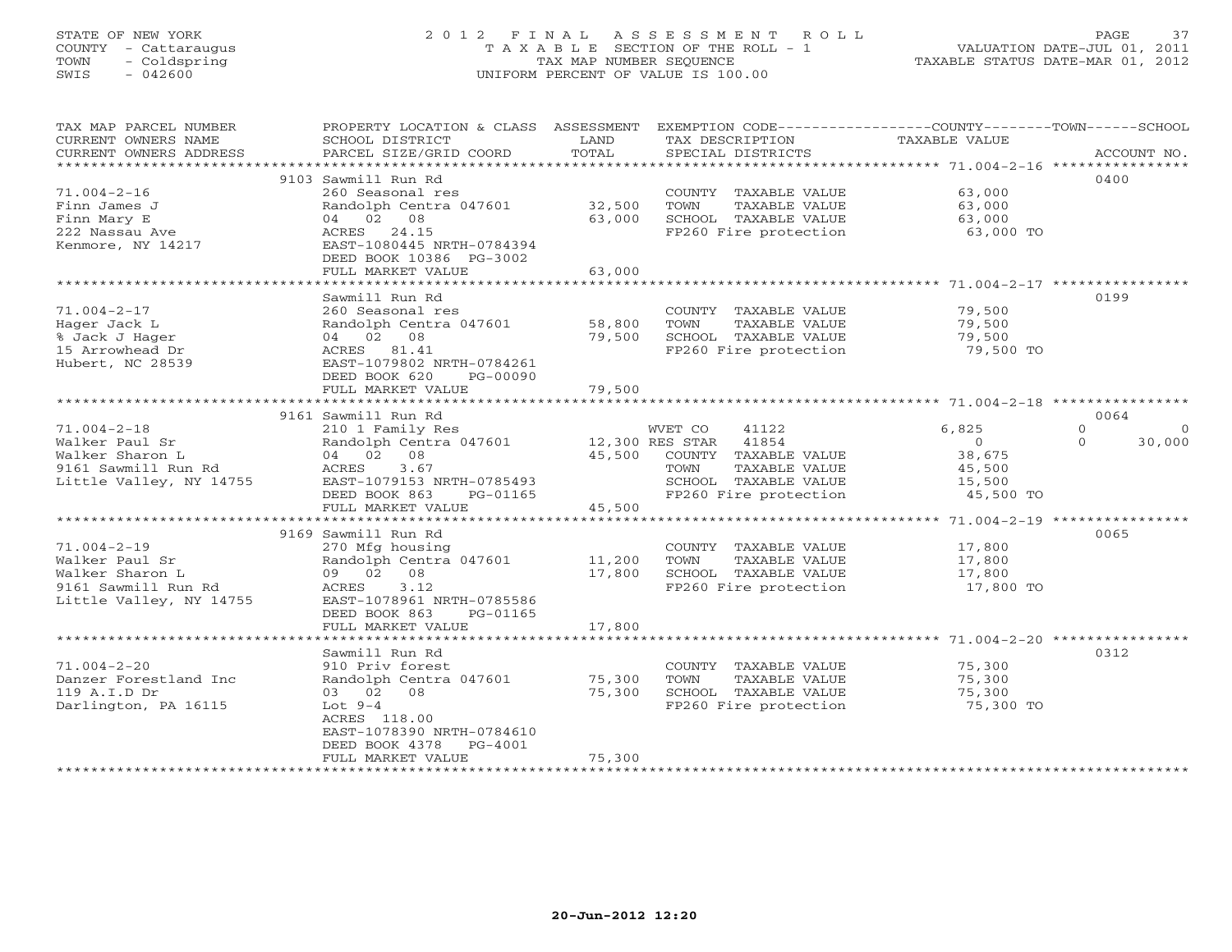# STATE OF NEW YORK 2 0 1 2 F I N A L A S S E S S M E N T R O L L PAGE 37 COUNTY - Cattaraugus T A X A B L E SECTION OF THE ROLL - 1 VALUATION DATE-JUL 01, 2011 TOWN - Coldspring TAX MAP NUMBER SEQUENCE TAXABLE STATUS DATE-MAR 01, 2012 SWIS - 042600 UNIFORM PERCENT OF VALUE IS 100.00UNIFORM PERCENT OF VALUE IS 100.00

| TAX MAP PARCEL NUMBER<br>CURRENT OWNERS NAME<br>CURRENT OWNERS ADDRESS | PROPERTY LOCATION & CLASS ASSESSMENT<br>SCHOOL DISTRICT<br>PARCEL SIZE/GRID COORD | LAND<br>TOTAL | EXEMPTION CODE-----------------COUNTY-------TOWN------SCHOOL<br>TAX DESCRIPTION<br>SPECIAL DISTRICTS | TAXABLE VALUE       | ACCOUNT NO.          |
|------------------------------------------------------------------------|-----------------------------------------------------------------------------------|---------------|------------------------------------------------------------------------------------------------------|---------------------|----------------------|
| *************************                                              |                                                                                   |               |                                                                                                      |                     |                      |
|                                                                        | 9103 Sawmill Run Rd                                                               |               |                                                                                                      |                     | 0400                 |
| $71.004 - 2 - 16$                                                      | 260 Seasonal res                                                                  |               | COUNTY TAXABLE VALUE                                                                                 | 63,000              |                      |
| Finn James J                                                           | Randolph Centra 047601                                                            | 32,500        | TOWN<br>TAXABLE VALUE                                                                                | 63,000              |                      |
| Finn Mary E                                                            | 04 02 08                                                                          | 63,000        | SCHOOL TAXABLE VALUE                                                                                 | 63,000              |                      |
| 222 Nassau Ave                                                         | ACRES 24.15                                                                       |               | FP260 Fire protection                                                                                | 63,000 TO           |                      |
| Kenmore, NY 14217                                                      | EAST-1080445 NRTH-0784394                                                         |               |                                                                                                      |                     |                      |
|                                                                        | DEED BOOK 10386 PG-3002                                                           |               |                                                                                                      |                     |                      |
|                                                                        | FULL MARKET VALUE                                                                 | 63,000        |                                                                                                      |                     |                      |
|                                                                        | Sawmill Run Rd                                                                    |               |                                                                                                      |                     | 0199                 |
| $71.004 - 2 - 17$                                                      | 260 Seasonal res                                                                  |               | COUNTY TAXABLE VALUE                                                                                 | 79,500              |                      |
| Hager Jack L                                                           | Randolph Centra 047601                                                            | 58,800        | TOWN<br>TAXABLE VALUE                                                                                | 79,500              |                      |
| % Jack J Hager                                                         | 04 02 08                                                                          | 79,500        | SCHOOL TAXABLE VALUE                                                                                 | 79,500              |                      |
| 15 Arrowhead Dr                                                        | ACRES 81.41                                                                       |               | FP260 Fire protection                                                                                | 79,500 TO           |                      |
| Hubert, NC 28539                                                       | EAST-1079802 NRTH-0784261                                                         |               |                                                                                                      |                     |                      |
|                                                                        | DEED BOOK 620<br>PG-00090                                                         |               |                                                                                                      |                     |                      |
|                                                                        | FULL MARKET VALUE                                                                 | 79,500        |                                                                                                      |                     |                      |
|                                                                        |                                                                                   |               |                                                                                                      |                     |                      |
|                                                                        | 9161 Sawmill Run Rd                                                               |               |                                                                                                      |                     | 0064                 |
| $71.004 - 2 - 18$                                                      | 210 1 Family Res                                                                  |               | WVET CO<br>41122                                                                                     | 6,825               | $\Omega$<br>$\Omega$ |
| Walker Paul Sr                                                         | Randolph Centra 047601                                                            |               | 12,300 RES STAR<br>41854                                                                             | $\Omega$            | 30,000<br>$\Omega$   |
| Walker Sharon L                                                        | 04 02 08                                                                          | 45,500        | COUNTY TAXABLE VALUE                                                                                 | 38,675              |                      |
| 9161 Sawmill Run Rd                                                    | 3.67<br>ACRES                                                                     |               | TOWN<br>TAXABLE VALUE                                                                                | 45,500              |                      |
| Little Valley, NY 14755                                                | EAST-1079153 NRTH-0785493                                                         |               | SCHOOL TAXABLE VALUE                                                                                 | 15,500              |                      |
|                                                                        | DEED BOOK 863<br>PG-01165<br>FULL MARKET VALUE                                    | 45,500        | FP260 Fire protection                                                                                | 45,500 TO           |                      |
|                                                                        |                                                                                   |               |                                                                                                      |                     |                      |
|                                                                        | 9169 Sawmill Run Rd                                                               |               |                                                                                                      |                     | 0065                 |
| $71.004 - 2 - 19$                                                      | 270 Mfg housing                                                                   |               | COUNTY TAXABLE VALUE                                                                                 | 17,800              |                      |
| Walker Paul Sr                                                         | Randolph Centra 047601                                                            | 11,200        | TAXABLE VALUE<br>TOWN                                                                                | 17,800              |                      |
| Walker Sharon L                                                        | 09 02 08                                                                          | 17,800        | SCHOOL TAXABLE VALUE                                                                                 | 17,800              |                      |
| 9161 Sawmill Run Rd                                                    | 3.12<br>ACRES                                                                     |               | FP260 Fire protection                                                                                | 17,800 TO           |                      |
| Little Valley, NY 14755                                                | EAST-1078961 NRTH-0785586                                                         |               |                                                                                                      |                     |                      |
|                                                                        | DEED BOOK 863<br>PG-01165                                                         |               |                                                                                                      |                     |                      |
|                                                                        | FULL MARKET VALUE                                                                 | 17,800        |                                                                                                      |                     |                      |
|                                                                        |                                                                                   |               |                                                                                                      |                     |                      |
|                                                                        | Sawmill Run Rd                                                                    |               |                                                                                                      |                     | 0312                 |
| $71.004 - 2 - 20$                                                      | 910 Priv forest                                                                   |               | COUNTY TAXABLE VALUE                                                                                 | 75,300              |                      |
| Danzer Forestland Inc                                                  | Randolph Centra 047601                                                            | 75,300        | TOWN<br>TAXABLE VALUE                                                                                | 75,300              |                      |
| 119 A.I.D Dr<br>Darlington, PA 16115                                   | 03 02<br>08<br>Lot $9-4$                                                          | 75,300        | SCHOOL TAXABLE VALUE<br>FP260 Fire protection                                                        | 75,300<br>75,300 TO |                      |
|                                                                        | ACRES 118.00                                                                      |               |                                                                                                      |                     |                      |
|                                                                        | EAST-1078390 NRTH-0784610                                                         |               |                                                                                                      |                     |                      |
|                                                                        | DEED BOOK 4378<br>PG-4001                                                         |               |                                                                                                      |                     |                      |
|                                                                        | FULL MARKET VALUE                                                                 | 75,300        |                                                                                                      |                     |                      |
|                                                                        | *******************                                                               |               |                                                                                                      |                     |                      |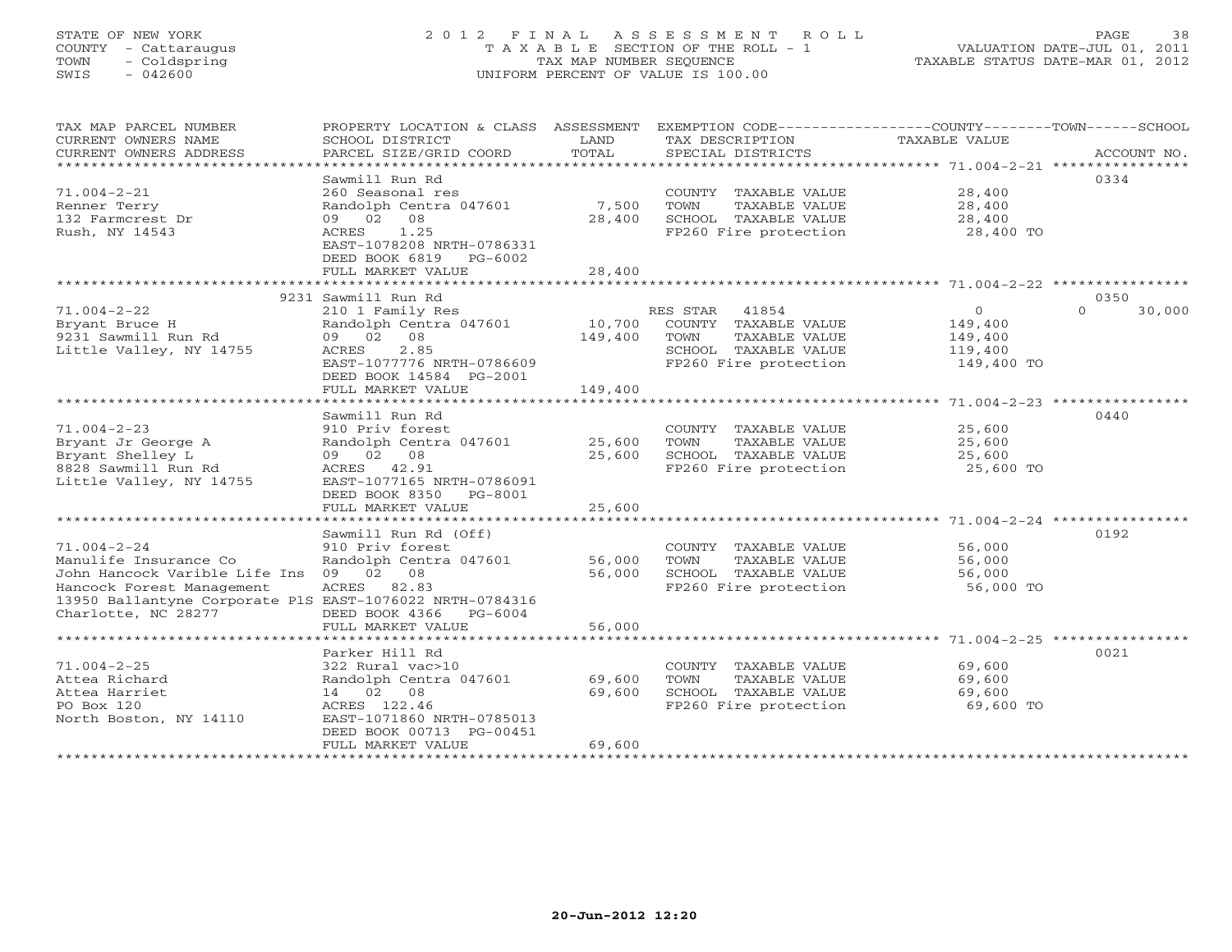# STATE OF NEW YORK 2 0 1 2 F I N A L A S S E S S M E N T R O L L PAGE 38 COUNTY - Cattaraugus T A X A B L E SECTION OF THE ROLL - 1 VALUATION DATE-JUL 01, 2011 TOWN - Coldspring TAX MAP NUMBER SEQUENCE TAXABLE STATUS DATE-MAR 01, 2012 SWIS - 042600 UNIFORM PERCENT OF VALUE IS 100.00UNIFORM PERCENT OF VALUE IS 100.00

| TAX MAP PARCEL NUMBER<br>CURRENT OWNERS NAME<br>CURRENT OWNERS ADDRESS                                                                                               | PROPERTY LOCATION & CLASS ASSESSMENT<br>SCHOOL DISTRICT<br>PARCEL SIZE/GRID COORD                                                                                      | LAND<br>TOTAL                | EXEMPTION CODE-----------------COUNTY-------TOWN------SCHOOL<br>TAX DESCRIPTION<br>SPECIAL DISTRICTS             | TAXABLE VALUE                                                 | ACCOUNT NO.        |
|----------------------------------------------------------------------------------------------------------------------------------------------------------------------|------------------------------------------------------------------------------------------------------------------------------------------------------------------------|------------------------------|------------------------------------------------------------------------------------------------------------------|---------------------------------------------------------------|--------------------|
| ************************                                                                                                                                             | Sawmill Run Rd                                                                                                                                                         |                              |                                                                                                                  |                                                               | 0334               |
| $71.004 - 2 - 21$<br>Renner Terry<br>132 Farmcrest Dr<br>Rush, NY 14543                                                                                              | 260 Seasonal res<br>Randolph Centra 047601<br>09 02 08<br>1.25<br>ACRES<br>EAST-1078208 NRTH-0786331                                                                   | 7,500<br>28,400              | COUNTY TAXABLE VALUE<br>TOWN<br>TAXABLE VALUE<br>SCHOOL TAXABLE VALUE<br>FP260 Fire protection                   | 28,400<br>28,400<br>28,400<br>28,400 TO                       |                    |
|                                                                                                                                                                      | DEED BOOK 6819<br>PG-6002<br>FULL MARKET VALUE                                                                                                                         | 28,400                       |                                                                                                                  |                                                               |                    |
|                                                                                                                                                                      | 9231 Sawmill Run Rd                                                                                                                                                    |                              |                                                                                                                  |                                                               | 0350               |
| $71.004 - 2 - 22$<br>Bryant Bruce H<br>9231 Sawmill Run Rd<br>Little Valley, NY 14755                                                                                | 210 1 Family Res<br>Randolph Centra 047601<br>09 02 08<br>2.85<br>ACRES<br>EAST-1077776 NRTH-0786609<br>DEED BOOK 14584 PG-2001<br>FULL MARKET VALUE                   | 10,700<br>149,400<br>149,400 | RES STAR 41854<br>COUNTY TAXABLE VALUE<br>TOWN<br>TAXABLE VALUE<br>SCHOOL TAXABLE VALUE<br>FP260 Fire protection | $\overline{0}$<br>149,400<br>149,400<br>119,400<br>149,400 TO | $\Omega$<br>30,000 |
|                                                                                                                                                                      | *********************<br>Sawmill Run Rd                                                                                                                                | ***************              |                                                                                                                  |                                                               | 0440               |
| $71.004 - 2 - 23$<br>Bryant Jr George A<br>Bryant Shelley L<br>8828 Sawmill Run Rd<br>Little Valley, NY 14755                                                        | 910 Priv forest<br>Randolph Centra 047601<br>09 02 08<br>ACRES 42.91<br>EAST-1077165 NRTH-0786091<br>DEED BOOK 8350 PG-8001                                            | 25,600<br>25,600             | COUNTY TAXABLE VALUE<br>TOWN<br>TAXABLE VALUE<br>SCHOOL TAXABLE VALUE<br>FP260 Fire protection                   | 25,600<br>25,600<br>25,600<br>25,600 TO                       |                    |
|                                                                                                                                                                      | FULL MARKET VALUE                                                                                                                                                      | 25,600                       |                                                                                                                  |                                                               |                    |
| $71.004 - 2 - 24$<br>Manulife Insurance Co<br>John Hancock Varible Life Ins<br>Hancock Forest Management<br>13950 Ballantyne Corporate PlS EAST-1076022 NRTH-0784316 | Sawmill Run Rd (Off)<br>910 Priv forest<br>Randolph Centra 047601<br>09 02 08<br>ACRES 82.83                                                                           | 56,000<br>56,000             | COUNTY TAXABLE VALUE<br>TOWN<br>TAXABLE VALUE<br>SCHOOL TAXABLE VALUE<br>FP260 Fire protection                   | 56,000<br>56,000<br>56,000<br>56,000 TO                       | 0192               |
| Charlotte, NC 28277                                                                                                                                                  | DEED BOOK 4366 PG-6004<br>FULL MARKET VALUE                                                                                                                            | 56,000                       |                                                                                                                  |                                                               |                    |
|                                                                                                                                                                      |                                                                                                                                                                        |                              |                                                                                                                  |                                                               |                    |
| $71.004 - 2 - 25$<br>Attea Richard<br>Attea Harriet<br>PO Box 120<br>North Boston, NY 14110                                                                          | Parker Hill Rd<br>322 Rural vac>10<br>Randolph Centra 047601<br>14 02 08<br>ACRES 122.46<br>EAST-1071860 NRTH-0785013<br>DEED BOOK 00713 PG-00451<br>FULL MARKET VALUE | 69,600<br>69,600<br>69,600   | COUNTY TAXABLE VALUE<br>TOWN<br>TAXABLE VALUE<br>SCHOOL TAXABLE VALUE<br>FP260 Fire protection                   | 69,600<br>69,600<br>69,600<br>69,600 TO                       | 0021               |
|                                                                                                                                                                      |                                                                                                                                                                        |                              |                                                                                                                  |                                                               |                    |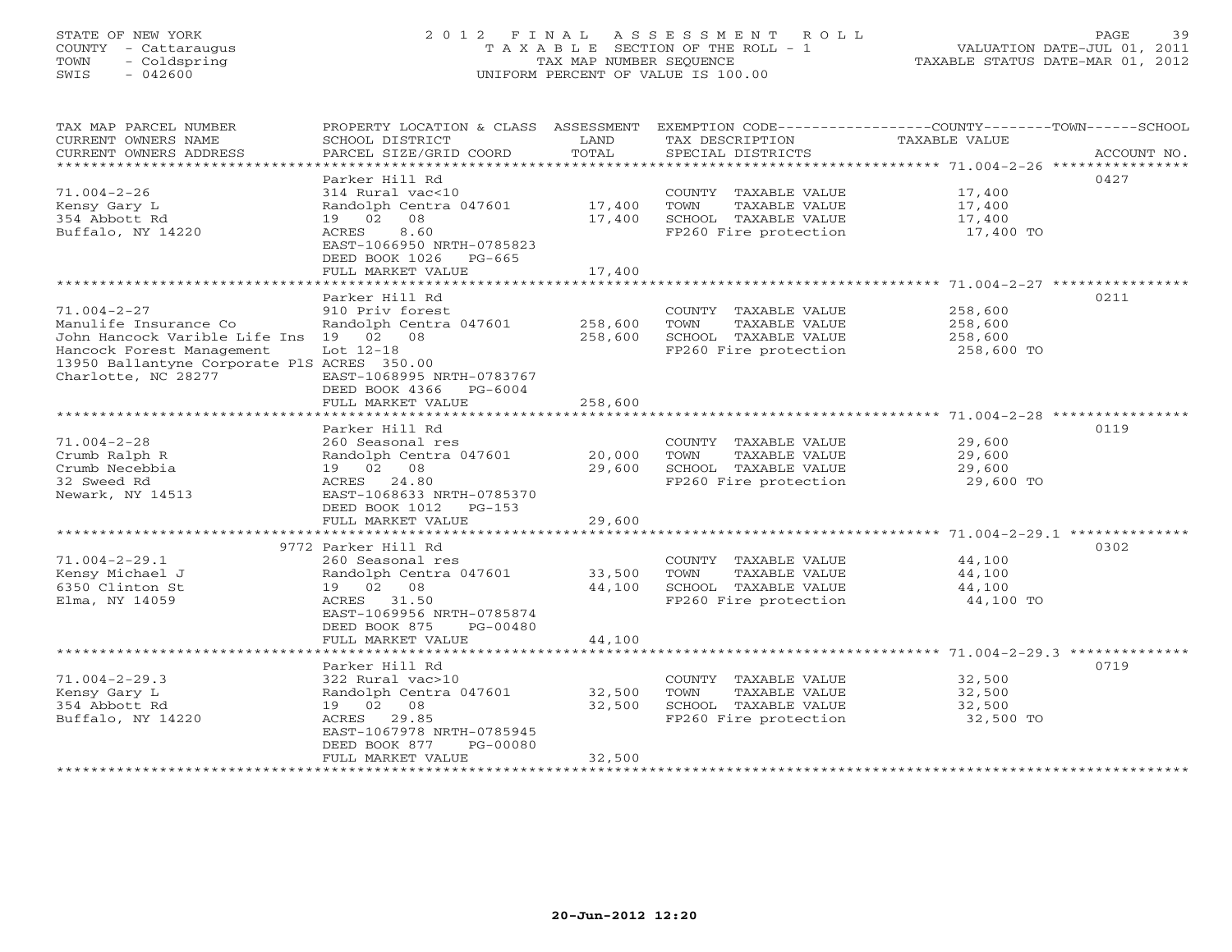# STATE OF NEW YORK 2 0 1 2 F I N A L A S S E S S M E N T R O L L PAGE 39 COUNTY - Cattaraugus T A X A B L E SECTION OF THE ROLL - 1 VALUATION DATE-JUL 01, 2011 TOWN - Coldspring TAX MAP NUMBER SEQUENCE TAXABLE STATUS DATE-MAR 01, 2012 SWIS - 042600 UNIFORM PERCENT OF VALUE IS 100.00UNIFORM PERCENT OF VALUE IS 100.00

| TAX MAP PARCEL NUMBER                       | PROPERTY LOCATION & CLASS ASSESSMENT     |                      | EXEMPTION CODE-----------------COUNTY-------TOWN------SCHOOL |                                                 |             |
|---------------------------------------------|------------------------------------------|----------------------|--------------------------------------------------------------|-------------------------------------------------|-------------|
| CURRENT OWNERS NAME                         | SCHOOL DISTRICT                          | LAND                 | TAX DESCRIPTION                                              | TAXABLE VALUE                                   |             |
| CURRENT OWNERS ADDRESS                      | PARCEL SIZE/GRID COORD                   | TOTAL                | SPECIAL DISTRICTS                                            |                                                 | ACCOUNT NO. |
| *******************                         |                                          |                      |                                                              |                                                 |             |
|                                             | Parker Hill Rd                           |                      |                                                              |                                                 | 0427        |
| $71.004 - 2 - 26$                           | 314 Rural vac<10                         |                      | COUNTY TAXABLE VALUE                                         | 17,400                                          |             |
| Kensy Gary L                                | Randolph Centra 047601                   | 17,400               | TOWN<br>TAXABLE VALUE                                        | 17,400                                          |             |
| 354 Abbott Rd                               | 08<br>19 02                              | 17,400               | SCHOOL TAXABLE VALUE                                         | 17,400                                          |             |
| Buffalo, NY 14220                           | ACRES<br>8.60                            |                      | FP260 Fire protection                                        | 17,400 TO                                       |             |
|                                             | EAST-1066950 NRTH-0785823                |                      |                                                              |                                                 |             |
|                                             | DEED BOOK 1026<br>$PG-665$               |                      |                                                              |                                                 |             |
|                                             | FULL MARKET VALUE                        | 17,400               |                                                              |                                                 |             |
|                                             |                                          |                      |                                                              |                                                 |             |
|                                             | Parker Hill Rd                           |                      |                                                              |                                                 | 0211        |
| $71.004 - 2 - 27$                           | 910 Priv forest                          |                      | COUNTY TAXABLE VALUE                                         | 258,600                                         |             |
| Manulife Insurance Co                       | Randolph Centra 047601                   | 258,600              | TOWN<br>TAXABLE VALUE                                        | 258,600                                         |             |
| John Hancock Varible Life Ins 19 02 08      |                                          | 258,600              | SCHOOL TAXABLE VALUE                                         | 258,600                                         |             |
| Hancock Forest Management                   | Lot $12-18$                              |                      | FP260 Fire protection                                        | 258,600 TO                                      |             |
| 13950 Ballantyne Corporate PlS ACRES 350.00 |                                          |                      |                                                              |                                                 |             |
| Charlotte, NC 28277                         | EAST-1068995 NRTH-0783767                |                      |                                                              |                                                 |             |
|                                             | DEED BOOK 4366<br>PG-6004                |                      |                                                              |                                                 |             |
|                                             | FULL MARKET VALUE                        | 258,600              |                                                              |                                                 |             |
|                                             |                                          |                      |                                                              |                                                 |             |
|                                             | Parker Hill Rd                           |                      |                                                              |                                                 | 0119        |
| $71.004 - 2 - 28$                           | 260 Seasonal res                         |                      | COUNTY TAXABLE VALUE                                         | 29,600                                          |             |
| Crumb Ralph R                               | Randolph Centra 047601                   | 20,000               | TOWN<br>TAXABLE VALUE                                        | 29,600                                          |             |
| Crumb Necebbia                              | 19  02  08                               | 29,600               | SCHOOL TAXABLE VALUE                                         | 29,600                                          |             |
| 32 Sweed Rd                                 | ACRES<br>24.80                           |                      | FP260 Fire protection                                        | 29,600 TO                                       |             |
| Newark, NY 14513                            | EAST-1068633 NRTH-0785370                |                      |                                                              |                                                 |             |
|                                             | DEED BOOK 1012<br>$PG-153$               |                      |                                                              |                                                 |             |
|                                             | FULL MARKET VALUE                        | 29,600<br>********** |                                                              |                                                 |             |
|                                             |                                          |                      |                                                              | *********************** 71.004-2-29.1 ********* |             |
|                                             | 9772 Parker Hill Rd                      |                      |                                                              |                                                 | 0302        |
| $71.004 - 2 - 29.1$                         | 260 Seasonal res                         |                      | COUNTY TAXABLE VALUE                                         | 44,100                                          |             |
| Kensy Michael J                             | Randolph Centra 047601                   | 33,500               | TOWN<br>TAXABLE VALUE                                        | 44,100                                          |             |
| 6350 Clinton St                             | 19 02<br>08                              | 44,100               | SCHOOL TAXABLE VALUE                                         | 44,100                                          |             |
| Elma, NY 14059                              | ACRES<br>31.50                           |                      | FP260 Fire protection                                        | 44,100 TO                                       |             |
|                                             | EAST-1069956 NRTH-0785874                |                      |                                                              |                                                 |             |
|                                             | DEED BOOK 875<br>PG-00480                |                      |                                                              |                                                 |             |
|                                             | FULL MARKET VALUE<br>******************* | 44,100               |                                                              | ********************** 71.004-2-29.3 ********   |             |
|                                             | Parker Hill Rd                           |                      |                                                              |                                                 | 0719        |
| $71.004 - 2 - 29.3$                         | 322 Rural vac>10                         |                      | COUNTY TAXABLE VALUE                                         | 32,500                                          |             |
| Kensy Gary L                                | Randolph Centra 047601                   | 32,500               | TOWN<br>TAXABLE VALUE                                        |                                                 |             |
| 354 Abbott Rd                               | 19 02 08                                 | 32,500               | SCHOOL TAXABLE VALUE                                         | 32,500<br>32,500                                |             |
| Buffalo, NY 14220                           | 29.85<br>ACRES                           |                      | FP260 Fire protection                                        | 32,500 TO                                       |             |
|                                             | EAST-1067978 NRTH-0785945                |                      |                                                              |                                                 |             |
|                                             | DEED BOOK 877<br>PG-00080                |                      |                                                              |                                                 |             |
|                                             | FULL MARKET VALUE                        | 32,500               |                                                              |                                                 |             |
|                                             | *******************                      |                      |                                                              |                                                 |             |
|                                             |                                          |                      |                                                              |                                                 |             |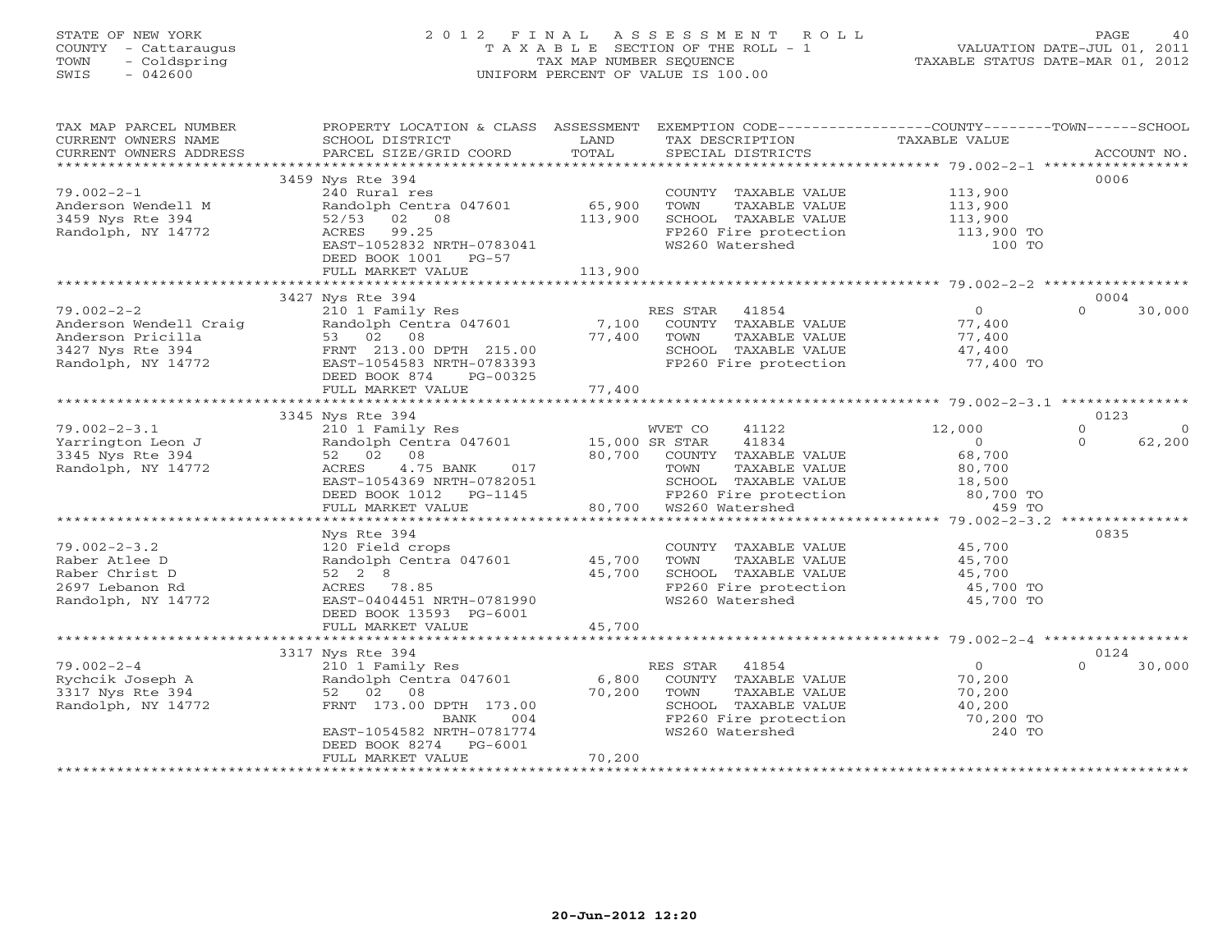# STATE OF NEW YORK 2 0 1 2 F I N A L A S S E S S M E N T R O L L PAGE 40 COUNTY - Cattaraugus T A X A B L E SECTION OF THE ROLL - 1 VALUATION DATE-JUL 01, 2011 TOWN - Coldspring TAX MAP NUMBER SEQUENCE TAXABLE STATUS DATE-MAR 01, 2012 SWIS - 042600 UNIFORM PERCENT OF VALUE IS 100.00UNIFORM PERCENT OF VALUE IS 100.00

| TAX MAP PARCEL NUMBER  | PROPERTY LOCATION & CLASS ASSESSMENT EXEMPTION CODE---------------COUNTY-------TOWN------SCHOOL |         |                                                                                                                     |                            |                      |
|------------------------|-------------------------------------------------------------------------------------------------|---------|---------------------------------------------------------------------------------------------------------------------|----------------------------|----------------------|
| CURRENT OWNERS NAME    | SCHOOL DISTRICT                                                                                 | LAND    | TAX DESCRIPTION                                                                                                     | TAXABLE VALUE              |                      |
| CURRENT OWNERS ADDRESS | PARCEL SIZE/GRID COORD                                                                          | TOTAL   | SPECIAL DISTRICTS                                                                                                   |                            | ACCOUNT NO.          |
|                        |                                                                                                 |         |                                                                                                                     |                            |                      |
|                        | 3459 Nys Rte 394                                                                                |         |                                                                                                                     |                            | 0006                 |
| $79.002 - 2 - 1$       | 240 Rural res                                                                                   |         | COUNTY TAXABLE VALUE                                                                                                | 113,900                    |                      |
| Anderson Wendell M     | Randolph Centra 047601                                                                          | 65,900  | TAXABLE VALUE<br>TOWN                                                                                               | 113,900                    |                      |
| 3459 Nys Rte 394       | 52/53 02 08                                                                                     | 113,900 |                                                                                                                     |                            |                      |
| Randolph, NY 14772     | ACRES 99.25                                                                                     |         | SCHOOL TAXABLE VALUE 113,900<br>FP260 Fire protection 113,900 TO                                                    |                            |                      |
|                        | EAST-1052832 NRTH-0783041                                                                       |         | WS260 Watershed                                                                                                     | 100 TO                     |                      |
|                        | DEED BOOK 1001 PG-57                                                                            |         |                                                                                                                     |                            |                      |
|                        | FULL MARKET VALUE                                                                               | 113,900 |                                                                                                                     |                            |                      |
|                        |                                                                                                 |         |                                                                                                                     |                            |                      |
|                        |                                                                                                 |         |                                                                                                                     |                            |                      |
|                        | 3427 Nys Rte 394                                                                                |         |                                                                                                                     |                            | 0004                 |
| $79.002 - 2 - 2$       | 210 1 Family Res                                                                                |         | RES STAR<br>41854                                                                                                   | $\overline{0}$             | $\Omega$<br>30,000   |
| Anderson Wendell Craig | Randolph Centra 047601                                                                          | 7,100   | COUNTY TAXABLE VALUE                                                                                                | 77,400                     |                      |
| Anderson Pricilla      | 53 02 08                                                                                        | 77,400  | TAXABLE VALUE<br>TOWN                                                                                               | 77,400                     |                      |
| 3427 Nys Rte 394       | FRNT 213.00 DPTH 215.00                                                                         |         | SCHOOL TAXABLE VALUE<br>FP260 Fire protection                                                                       | 47,400                     |                      |
| Randolph, NY 14772     | EAST-1054583 NRTH-0783393                                                                       |         |                                                                                                                     | 77,400 TO                  |                      |
|                        | DEED BOOK 874<br>PG-00325                                                                       |         |                                                                                                                     |                            |                      |
|                        | FULL MARKET VALUE                                                                               | 77,400  |                                                                                                                     |                            |                      |
|                        |                                                                                                 |         |                                                                                                                     |                            |                      |
|                        | 3345 Nys Rte 394                                                                                |         |                                                                                                                     |                            | 0123                 |
| $79.002 - 2 - 3.1$     | 210 1 Family Res                                                                                |         | 41122<br>WVET CO                                                                                                    | 12,000                     | $\Omega$<br>$\Omega$ |
| Yarrington Leon J      | Randolph Centra 047601 15,000 SR STAR                                                           |         | 41834                                                                                                               | $\overline{0}$             | 62,200<br>$\Omega$   |
| 3345 Nys Rte 394       | 52 02 08                                                                                        |         | 80,700 COUNTY TAXABLE VALUE                                                                                         | 68,700                     |                      |
| Randolph, NY 14772     | ACRES<br>4.75 BANK<br>017                                                                       |         | TOWN<br>TAXABLE VALUE                                                                                               | 80,700                     |                      |
|                        | EAST-1054369 NRTH-0782051                                                                       |         |                                                                                                                     |                            |                      |
|                        | DEED BOOK 1012 PG-1145                                                                          |         |                                                                                                                     |                            |                      |
|                        | FULL MARKET VALUE                                                                               |         | SCHOOL TAXABLE VALUE 18,500<br>FP260 Fire protection 180,700 TO<br>WS260 Watershed 159 TO<br>80,700 WS260 Watershed |                            |                      |
|                        |                                                                                                 |         |                                                                                                                     |                            |                      |
|                        | Nys Rte 394                                                                                     |         |                                                                                                                     |                            | 0835                 |
|                        |                                                                                                 |         |                                                                                                                     |                            |                      |
| $79.002 - 2 - 3.2$     | 120 Field crops                                                                                 |         | COUNTY TAXABLE VALUE 45,700                                                                                         |                            |                      |
| Raber Atlee D          | Randolph Centra 047601 45,700                                                                   |         | TOWN<br>TAXABLE VALUE<br>TAXABLE VALUE                                                                              | 45,700<br>45,700<br>45,700 |                      |
| Raber Christ D         | 52 2 8                                                                                          | 45,700  | SCHOOL TAXABLE VALUE                                                                                                |                            |                      |
| 2697 Lebanon Rd        | ACRES 78.85                                                                                     |         | FP260 Fire protection<br>WS260 Watershed                                                                            | 45,700 TO                  |                      |
| Randolph, NY 14772     | EAST-0404451 NRTH-0781990                                                                       |         | WS260 Watershed                                                                                                     | 45,700 TO                  |                      |
|                        | DEED BOOK 13593 PG-6001                                                                         |         |                                                                                                                     |                            |                      |
|                        | FULL MARKET VALUE                                                                               | 45,700  |                                                                                                                     |                            |                      |
|                        |                                                                                                 |         |                                                                                                                     |                            |                      |
|                        | 3317 Nys Rte 394                                                                                |         |                                                                                                                     |                            | 0124                 |
| $79.002 - 2 - 4$       | 210 1 Family Res                                                                                |         | RES STAR<br>41854                                                                                                   | $\overline{0}$             | $\Omega$<br>30,000   |
| Rychcik Joseph A       | Randolph Centra 047601                                                                          | 6,800   | COUNTY TAXABLE VALUE                                                                                                | 70,200                     |                      |
| 3317 Nys Rte 394       | 52 02<br>08                                                                                     | 70,200  | TOWN<br>TAXABLE VALUE                                                                                               | 70,200                     |                      |
| Randolph, NY 14772     | FRNT 173.00 DPTH 173.00                                                                         |         | SCHOOL TAXABLE VALUE 40,200<br>FP260 Fire protection 70,200 TO                                                      |                            |                      |
|                        | BANK<br>004                                                                                     |         |                                                                                                                     |                            |                      |
|                        | EAST-1054582 NRTH-0781774                                                                       |         | WS260 Watershed                                                                                                     | 240 TO                     |                      |
|                        | DEED BOOK 8274 PG-6001                                                                          |         |                                                                                                                     |                            |                      |
|                        | FULL MARKET VALUE                                                                               | 70,200  |                                                                                                                     |                            |                      |
|                        |                                                                                                 |         |                                                                                                                     |                            |                      |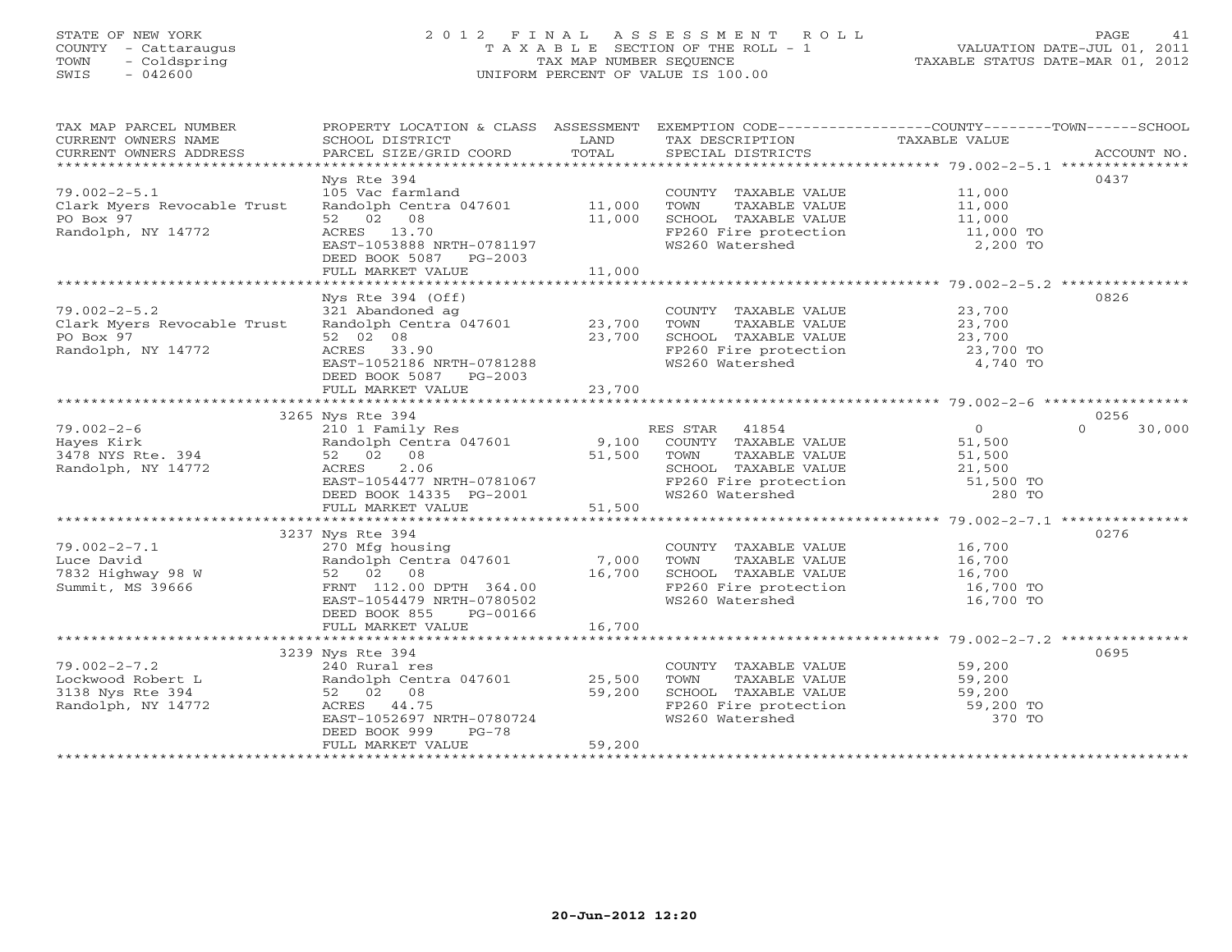# STATE OF NEW YORK 2 0 1 2 F I N A L A S S E S S M E N T R O L L PAGE 41 COUNTY - Cattaraugus T A X A B L E SECTION OF THE ROLL - 1 VALUATION DATE-JUL 01, 2011 TOWN - Coldspring TAX MAP NUMBER SEQUENCE TAXABLE STATUS DATE-MAR 01, 2012 SWIS - 042600 UNIFORM PERCENT OF VALUE IS 100.00UNIFORM PERCENT OF VALUE IS 100.00

| TAX MAP PARCEL NUMBER                                    | PROPERTY LOCATION & CLASS ASSESSMENT EXEMPTION CODE----------------COUNTY-------TOWN------SCHOOL |        |                                                                                                               |                                                             |                    |
|----------------------------------------------------------|--------------------------------------------------------------------------------------------------|--------|---------------------------------------------------------------------------------------------------------------|-------------------------------------------------------------|--------------------|
| CURRENT OWNERS NAME                                      | SCHOOL DISTRICT                                                                                  | LAND   | TAX DESCRIPTION                                                                                               | TAXABLE VALUE                                               |                    |
| CURRENT OWNERS ADDRESS<br>****************************** |                                                                                                  | TOTAL  |                                                                                                               |                                                             |                    |
|                                                          |                                                                                                  |        |                                                                                                               |                                                             | 0437               |
| $79.002 - 2 - 5.1$                                       | Nys Rte 394<br>105 Vac farmland                                                                  |        | COUNTY TAXABLE VALUE                                                                                          | 11,000                                                      |                    |
| Clark Myers Revocable Trust                              |                                                                                                  |        | TOWN<br>TAXABLE VALUE                                                                                         |                                                             |                    |
| PO Box 97                                                | Randolph Centra 047601 11,000<br>52 02 08                                                        | 11,000 | SCHOOL TAXABLE VALUE                                                                                          | 11,000<br>11,000                                            |                    |
| Randolph, NY 14772                                       | ACRES 13.70                                                                                      |        | FP260 Fire protection 11,000 TO                                                                               |                                                             |                    |
|                                                          | EAST-1053888 NRTH-0781197                                                                        |        | WS260 Watershed                                                                                               | 2,200 TO                                                    |                    |
|                                                          | DEED BOOK 5087 PG-2003                                                                           |        |                                                                                                               |                                                             |                    |
|                                                          | FULL MARKET VALUE                                                                                | 11,000 |                                                                                                               |                                                             |                    |
|                                                          |                                                                                                  |        |                                                                                                               | ***************************** 79.002-2-5.2 **************** |                    |
|                                                          | Nys Rte 394 (Off)                                                                                |        |                                                                                                               |                                                             | 0826               |
| $79.002 - 2 - 5.2$                                       |                                                                                                  |        | COUNTY TAXABLE VALUE                                                                                          | 23,700                                                      |                    |
| Clark Myers Revocable Trust                              | 321 Abandoned ag<br>Randolph Centra 047601 23,700                                                |        | TOWN<br>TAXABLE VALUE                                                                                         | 23,700                                                      |                    |
| PO Box 97                                                | 52 02 08                                                                                         | 23,700 | SCHOOL TAXABLE VALUE 23,700                                                                                   |                                                             |                    |
| Randolph, NY 14772                                       | ACRES 33.90                                                                                      |        |                                                                                                               | 23,700 TO                                                   |                    |
|                                                          | EAST-1052186 NRTH-0781288                                                                        |        | FP260 Fire protection<br>WS260 Watershed                                                                      | 4,740 TO                                                    |                    |
|                                                          | DEED BOOK 5087 PG-2003                                                                           |        |                                                                                                               |                                                             |                    |
|                                                          | FULL MARKET VALUE                                                                                | 23,700 |                                                                                                               |                                                             |                    |
|                                                          |                                                                                                  |        |                                                                                                               |                                                             |                    |
|                                                          | 3265 Nys Rte 394                                                                                 |        |                                                                                                               |                                                             | 0256               |
| $79.002 - 2 - 6$                                         | 210 1 Family Res                                                                                 |        | RES STAR 41854<br>ES STAR 41854<br>COUNTY TAXABLE VALUE<br>TOUNTY TAXABLE VALUE                               | $\overline{0}$                                              | $\Omega$<br>30,000 |
| Hayes Kirk                                               | Randolph Centra 047601 9,100                                                                     |        |                                                                                                               | 51,500                                                      |                    |
| 3478 NYS Rte. 394                                        | 52 02 08                                                                                         | 51,500 | TOWN<br>TAXABLE VALUE                                                                                         | 51,500                                                      |                    |
| Randolph, NY 14772                                       | 2.06<br>ACRES                                                                                    |        | SCHOOL TAXABLE VALUE 21,500<br>FP260 Fire protection 51,500 TO<br>280 TO                                      |                                                             |                    |
|                                                          | EAST-1054477 NRTH-0781067<br>DEED BOOK 14335 PG-2001                                             |        |                                                                                                               |                                                             |                    |
|                                                          |                                                                                                  | 51,500 | WS260 Watershed                                                                                               | 280 TO                                                      |                    |
|                                                          | FULL MARKET VALUE                                                                                |        |                                                                                                               |                                                             |                    |
|                                                          | 3237 Nys Rte 394                                                                                 |        |                                                                                                               |                                                             | 0276               |
| $79.002 - 2 - 7.1$                                       | 270 Mfg housing                                                                                  |        | COUNTY TAXABLE VALUE                                                                                          | 16,700                                                      |                    |
| Luce David                                               | Randolph Centra 047601 7,000                                                                     |        | TAXABLE VALUE<br>TOWN                                                                                         | 16,700                                                      |                    |
| 7832 Highway 98 W                                        | 52 02 08                                                                                         | 16,700 | SCHOOL TAXABLE VALUE                                                                                          |                                                             |                    |
| Summit, MS 39666                                         | FRNT 112.00 DPTH 364.00                                                                          |        | SCHOOL TAXABLE VALUE 16,700<br>FP260 Fire protection 16,700 TO                                                |                                                             |                    |
|                                                          | EAST-1054479 NRTH-0780502                                                                        |        | WS260 Watershed                                                                                               | 16,700 TO                                                   |                    |
|                                                          | DEED BOOK 855<br>PG-00166                                                                        |        |                                                                                                               |                                                             |                    |
|                                                          | FULL MARKET VALUE                                                                                | 16,700 |                                                                                                               |                                                             |                    |
|                                                          |                                                                                                  |        |                                                                                                               |                                                             |                    |
|                                                          | 3239 Nys Rte 394                                                                                 |        |                                                                                                               |                                                             | 0695               |
| $79.002 - 2 - 7.2$                                       | 240 Rural res                                                                                    |        | COUNTY TAXABLE VALUE                                                                                          | 59,200                                                      |                    |
| Lockwood Robert L                                        | Randolph Centra 047601                                                                           | 25,500 | TOWN TAXABLE VALUE<br>TOWN TAXABLE VALUE<br>SCHOOL TAXABLE VALUE<br>FP260 Fire protection 59,200 TO<br>370 TO |                                                             |                    |
| 3138 Nys Rte 394                                         | 52 02 08                                                                                         | 59,200 |                                                                                                               |                                                             |                    |
| Randolph, NY 14772                                       | ACRES 44.75                                                                                      |        |                                                                                                               |                                                             |                    |
|                                                          | EAST-1052697 NRTH-0780724                                                                        |        | WS260 Watershed                                                                                               | 370 TO                                                      |                    |
|                                                          | DEED BOOK 999<br>PG-78                                                                           |        |                                                                                                               |                                                             |                    |
| *******************                                      | FULL MARKET VALUE                                                                                | 59,200 |                                                                                                               |                                                             |                    |
|                                                          |                                                                                                  |        |                                                                                                               |                                                             |                    |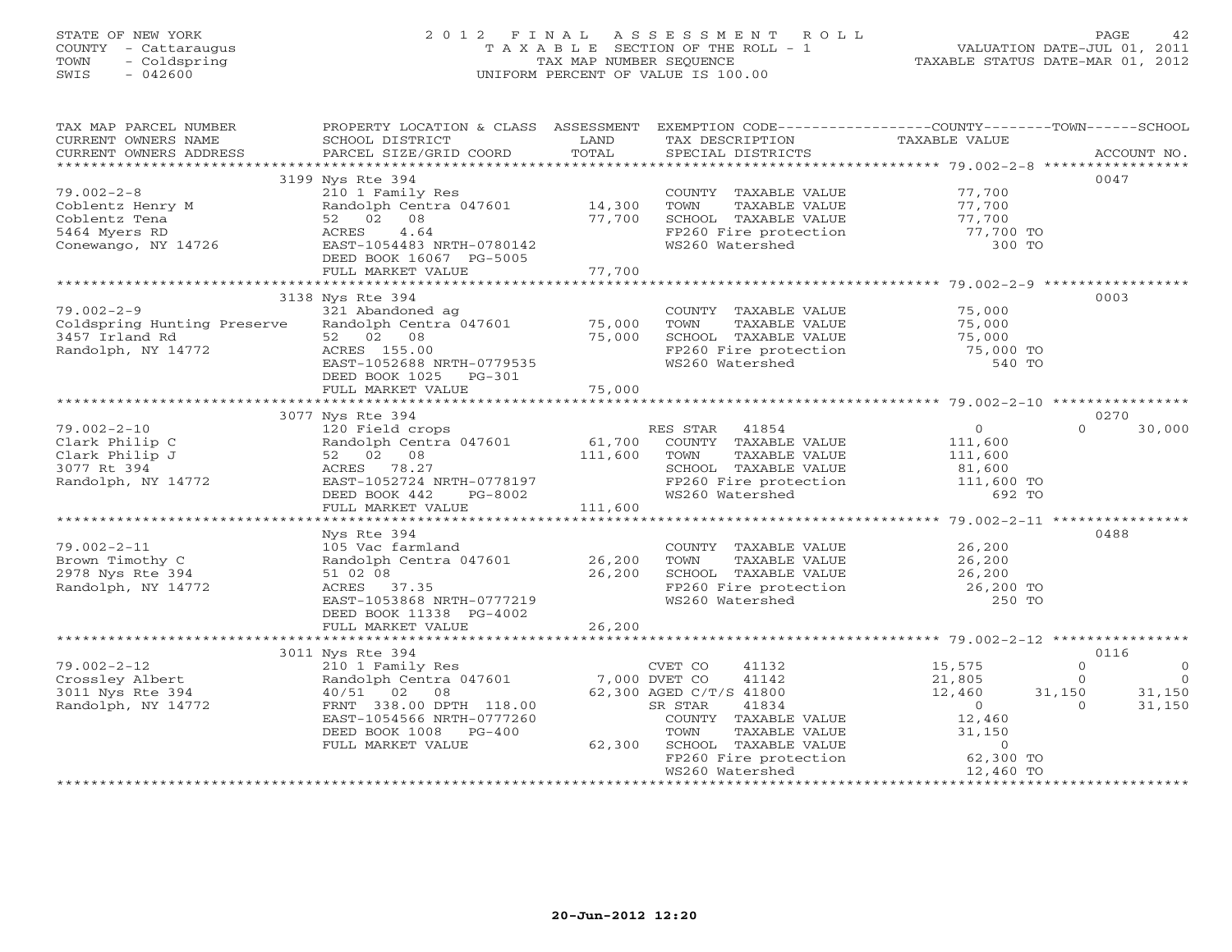# STATE OF NEW YORK 2 0 1 2 F I N A L A S S E S S M E N T R O L L PAGE 42 COUNTY - Cattaraugus T A X A B L E SECTION OF THE ROLL - 1 VALUATION DATE-JUL 01, 2011 TOWN - Coldspring TAX MAP NUMBER SEQUENCE TAXABLE STATUS DATE-MAR 01, 2012 SWIS - 042600 UNIFORM PERCENT OF VALUE IS 100.00UNIFORM PERCENT OF VALUE IS 100.00

| TAX MAP PARCEL NUMBER                            | PROPERTY LOCATION & CLASS ASSESSMENT                 |         | EXEMPTION CODE----------------COUNTY-------TOWN------SCHOOL |                     |                           |
|--------------------------------------------------|------------------------------------------------------|---------|-------------------------------------------------------------|---------------------|---------------------------|
| CURRENT OWNERS NAME                              | SCHOOL DISTRICT                                      | LAND    | TAX DESCRIPTION                                             | TAXABLE VALUE       |                           |
| CURRENT OWNERS ADDRESS<br>********************** | PARCEL SIZE/GRID COORD                               | TOTAL   | SPECIAL DISTRICTS                                           |                     | ACCOUNT NO.               |
|                                                  |                                                      |         |                                                             |                     |                           |
|                                                  | 3199 Nys Rte 394                                     |         |                                                             | 77,700              | 0047                      |
| $79.002 - 2 - 8$                                 | 210 1 Family Res                                     | 14,300  | COUNTY TAXABLE VALUE                                        |                     |                           |
| Coblentz Henry M                                 | Randolph Centra 047601<br>52 02 08                   |         | TOWN<br>TAXABLE VALUE                                       | 77,700              |                           |
| Coblentz Tena                                    |                                                      | 77,700  | SCHOOL TAXABLE VALUE                                        | 77,700              |                           |
| 5464 Myers RD                                    | 4.64<br>ACRES                                        |         | FP260 Fire protection<br>WS260 Watershed                    | 77,700 TO<br>300 TO |                           |
| Conewango, NY 14726                              | EAST-1054483 NRTH-0780142<br>DEED BOOK 16067 PG-5005 |         |                                                             |                     |                           |
|                                                  | FULL MARKET VALUE                                    | 77,700  |                                                             |                     |                           |
|                                                  |                                                      |         |                                                             |                     |                           |
|                                                  | 3138 Nys Rte 394                                     |         |                                                             |                     | 0003                      |
| $79.002 - 2 - 9$                                 | 321 Abandoned ag                                     |         | COUNTY TAXABLE VALUE                                        | 75,000              |                           |
| Coldspring Hunting Preserve                      | Randolph Centra 047601                               | 75,000  | TOWN<br>TAXABLE VALUE                                       | 75,000              |                           |
| 3457 Irland Rd                                   | 52 02 08                                             | 75,000  | SCHOOL TAXABLE VALUE                                        | 75,000              |                           |
| Randolph, NY 14772                               | ACRES 155.00                                         |         | FP260 Fire protection                                       | 75,000 TO           |                           |
|                                                  | EAST-1052688 NRTH-0779535                            |         | WS260 Watershed                                             | 540 TO              |                           |
|                                                  | DEED BOOK 1025 PG-301                                |         |                                                             |                     |                           |
|                                                  | FULL MARKET VALUE                                    | 75,000  |                                                             |                     |                           |
|                                                  |                                                      |         |                                                             |                     |                           |
|                                                  | 3077 Nys Rte 394                                     |         |                                                             |                     | 0270                      |
| $79.002 - 2 - 10$                                | 120 Field crops                                      |         | RES STAR 41854                                              | $\overline{0}$      | $\Omega$<br>30,000        |
| Clark Philip C                                   | Randolph Centra 047601                               | 61,700  | COUNTY TAXABLE VALUE                                        | 111,600             |                           |
| Clark Philip J                                   | 52 02 08                                             | 111,600 | TOWN<br>TAXABLE VALUE                                       | 111,600             |                           |
| 3077 Rt 394                                      | ACRES 78.27                                          |         | SCHOOL TAXABLE VALUE                                        | 81,600              |                           |
| Randolph, NY 14772                               | EAST-1052724 NRTH-0778197                            |         | FP260 Fire protection                                       | 111,600 TO          |                           |
|                                                  | DEED BOOK 442<br>PG-8002                             |         | WS260 Watershed                                             | 692 TO              |                           |
|                                                  | FULL MARKET VALUE                                    | 111,600 |                                                             |                     |                           |
|                                                  |                                                      |         |                                                             |                     |                           |
|                                                  | Nys Rte 394                                          |         |                                                             |                     | 0488                      |
| $79.002 - 2 - 11$                                | 105 Vac farmland                                     |         | COUNTY TAXABLE VALUE                                        | 26,200              |                           |
| Brown Timothy C                                  | Randolph Centra 047601                               | 26,200  | TAXABLE VALUE<br>TOWN                                       | 26,200              |                           |
| 2978 Nys Rte 394                                 | 51 02 08                                             | 26,200  | SCHOOL TAXABLE VALUE                                        | 26,200              |                           |
| Randolph, NY 14772                               | ACRES 37.35                                          |         | FP260 Fire protection 26,200 TO                             |                     |                           |
|                                                  | EAST-1053868 NRTH-0777219                            |         | WS260 Watershed                                             | 250 TO              |                           |
|                                                  | DEED BOOK 11338 PG-4002                              |         |                                                             |                     |                           |
|                                                  | FULL MARKET VALUE                                    | 26,200  |                                                             |                     |                           |
|                                                  | ***********************                              |         |                                                             |                     |                           |
|                                                  | 3011 Nys Rte 394                                     |         |                                                             |                     | 0116                      |
| $79.002 - 2 - 12$                                | 210 1 Family Res                                     |         | CVET CO<br>41132                                            | 15,575              | $\Omega$<br>$\circ$       |
| Crossley Albert                                  | Randolph Centra 047601                               |         | 7,000 DVET CO<br>41142                                      | 21,805              | $\circ$<br>$\overline{0}$ |
| 3011 Nys Rte 394                                 | 40/51 02<br>08                                       |         | 62,300 AGED C/T/S 41800                                     | 12,460              | 31,150<br>31,150          |
| Randolph, NY 14772                               | FRNT 338.00 DPTH 118.00                              |         | 41834<br>SR STAR                                            | $\circ$             | 31,150<br>$\Omega$        |
|                                                  | EAST-1054566 NRTH-0777260                            |         | COUNTY TAXABLE VALUE                                        | 12,460              |                           |
|                                                  | DEED BOOK 1008<br>$PG-400$                           |         | TOWN<br>TAXABLE VALUE                                       | 31,150              |                           |
|                                                  | FULL MARKET VALUE                                    | 62,300  | SCHOOL TAXABLE VALUE                                        | $\circ$             |                           |
|                                                  |                                                      |         | FP260 Fire protection                                       | $62,300$ TO         |                           |
|                                                  |                                                      |         | WS260 Watershed                                             | 12,460 TO           |                           |
|                                                  |                                                      |         |                                                             |                     |                           |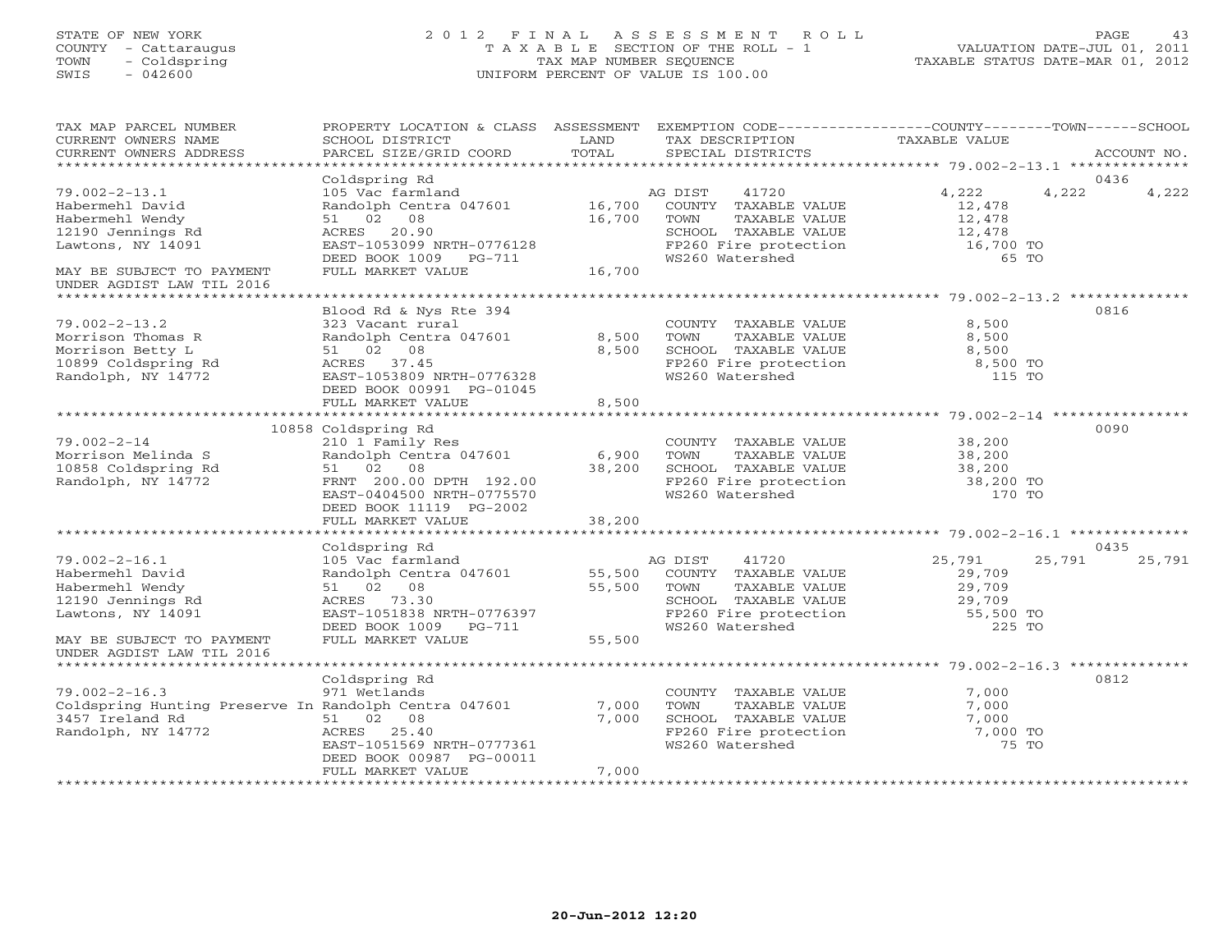# STATE OF NEW YORK 2 0 1 2 F I N A L A S S E S S M E N T R O L L PAGE 43COUNTY - Cattaraugus COUNTY - Cattaraugus T A X A B L E SECTION OF THE ROLL - 1<br>
TOWN - Coldspring TAX MAP NUMBER SEQUENCE<br>
SWIS - 042600 SWIS - 042600 UNIFORM PERCENT OF VALUE IS 100.00

TAXABLE STATUS DATE-MAR 01, 2012

| TAX MAP PARCEL NUMBER<br>CURRENT OWNERS NAME<br>CURRENT OWNERS ADDRESS                                                                              | PROPERTY LOCATION & CLASS ASSESSMENT<br>SCHOOL DISTRICT<br>PARCEL SIZE/GRID COORD                                                                                                        | LAND<br>TOTAL              | EXEMPTION CODE-----------------COUNTY-------TOWN------SCHOOL<br>TAX DESCRIPTION<br>SPECIAL DISTRICTS                                  | TAXABLE VALUE                                               | ACCOUNT NO.            |
|-----------------------------------------------------------------------------------------------------------------------------------------------------|------------------------------------------------------------------------------------------------------------------------------------------------------------------------------------------|----------------------------|---------------------------------------------------------------------------------------------------------------------------------------|-------------------------------------------------------------|------------------------|
| *************************                                                                                                                           |                                                                                                                                                                                          |                            |                                                                                                                                       |                                                             |                        |
| $79.002 - 2 - 13.1$<br>Habermehl David<br>Habermehl Wendy<br>12190 Jennings Rd<br>Lawtons, NY 14091<br>MAY BE SUBJECT TO PAYMENT                    | Coldspring Rd<br>105 Vac farmland<br>Randolph Centra 047601<br>51 02 08<br>ACRES 20.90<br>EAST-1053099 NRTH-0776128<br>DEED BOOK 1009 PG-711<br>FULL MARKET VALUE                        | 16,700<br>16,700<br>16,700 | AG DIST<br>41720<br>COUNTY TAXABLE VALUE<br>TOWN<br>TAXABLE VALUE<br>SCHOOL TAXABLE VALUE<br>FP260 Fire protection<br>WS260 Watershed | 4,222<br>12,478<br>12,478<br>12,478<br>16,700 TO<br>65 TO   | 0436<br>4,222<br>4,222 |
| UNDER AGDIST LAW TIL 2016                                                                                                                           |                                                                                                                                                                                          |                            |                                                                                                                                       |                                                             |                        |
| *************************                                                                                                                           |                                                                                                                                                                                          |                            |                                                                                                                                       |                                                             |                        |
| $79.002 - 2 - 13.2$<br>Morrison Thomas R<br>Morrison Betty L<br>10899 Coldspring Rd<br>Randolph, NY 14772                                           | Blood Rd & Nys Rte 394<br>323 Vacant rural<br>Randolph Centra 047601<br>51 02 08<br>ACRES 37.45<br>EAST-1053809 NRTH-0776328<br>DEED BOOK 00991 PG-01045                                 | 8,500<br>8,500             | COUNTY TAXABLE VALUE<br>TOWN<br>TAXABLE VALUE<br>SCHOOL TAXABLE VALUE<br>FP260 Fire protection<br>WS260 Watershed                     | 8,500<br>8,500<br>8,500<br>8,500 TO<br>115 TO               | 0816                   |
|                                                                                                                                                     | FULL MARKET VALUE                                                                                                                                                                        | 8,500<br>*********         |                                                                                                                                       |                                                             |                        |
|                                                                                                                                                     |                                                                                                                                                                                          |                            |                                                                                                                                       | ************* 79.002-2-14 *********                         |                        |
| $79.002 - 2 - 14$<br>Morrison Melinda S<br>10858 Coldspring Rd<br>Randolph, NY 14772                                                                | 10858 Coldspring Rd<br>210 1 Family Res<br>Randolph Centra 047601<br>51 02<br>08<br>FRNT 200.00 DPTH 192.00<br>EAST-0404500 NRTH-0775570<br>DEED BOOK 11119 PG-2002<br>FULL MARKET VALUE | 6,900<br>38,200<br>38,200  | COUNTY TAXABLE VALUE<br>TOWN<br>TAXABLE VALUE<br>SCHOOL TAXABLE VALUE<br>FP260 Fire protection<br>WS260 Watershed                     | 38,200<br>38,200<br>38,200<br>38,200 TO<br>170 TO           | 0090                   |
|                                                                                                                                                     |                                                                                                                                                                                          |                            |                                                                                                                                       |                                                             |                        |
|                                                                                                                                                     | Coldspring Rd                                                                                                                                                                            |                            |                                                                                                                                       |                                                             | 0435                   |
| $79.002 - 2 - 16.1$<br>Habermehl David<br>Habermehl Wendy<br>12190 Jennings Rd<br>Lawtons, NY 14091                                                 | 105 Vac farmland<br>Randolph Centra 047601<br>51 02 08<br>ACRES 73.30<br>EAST-1051838 NRTH-0776397<br>DEED BOOK 1009<br>PG-711                                                           | 55,500<br>55,500           | 41720<br>AG DIST<br>COUNTY TAXABLE VALUE<br>TOWN<br>TAXABLE VALUE<br>SCHOOL TAXABLE VALUE<br>FP260 Fire protection<br>WS260 Watershed | 25,791<br>29,709<br>29,709<br>29,709<br>55,500 TO<br>225 TO | 25,791<br>25,791       |
| MAY BE SUBJECT TO PAYMENT                                                                                                                           | FULL MARKET VALUE                                                                                                                                                                        | 55,500                     |                                                                                                                                       |                                                             |                        |
| UNDER AGDIST LAW TIL 2016                                                                                                                           |                                                                                                                                                                                          |                            |                                                                                                                                       |                                                             |                        |
| **************************<br>$79.002 - 2 - 16.3$<br>Coldspring Hunting Preserve In Randolph Centra 047601<br>3457 Ireland Rd<br>Randolph, NY 14772 | Coldspring Rd<br>971 Wetlands<br>51 02 08<br>ACRES<br>25.40<br>EAST-1051569 NRTH-0777361<br>DEED BOOK 00987 PG-00011                                                                     | 7,000<br>7,000             | COUNTY TAXABLE VALUE<br>TOWN<br>TAXABLE VALUE<br>SCHOOL TAXABLE VALUE<br>FP260 Fire protection<br>WS260 Watershed                     | 7,000<br>7,000<br>7,000<br>7,000 TO<br>75 TO                | 0812                   |
|                                                                                                                                                     | FULL MARKET VALUE                                                                                                                                                                        | 7,000                      |                                                                                                                                       |                                                             |                        |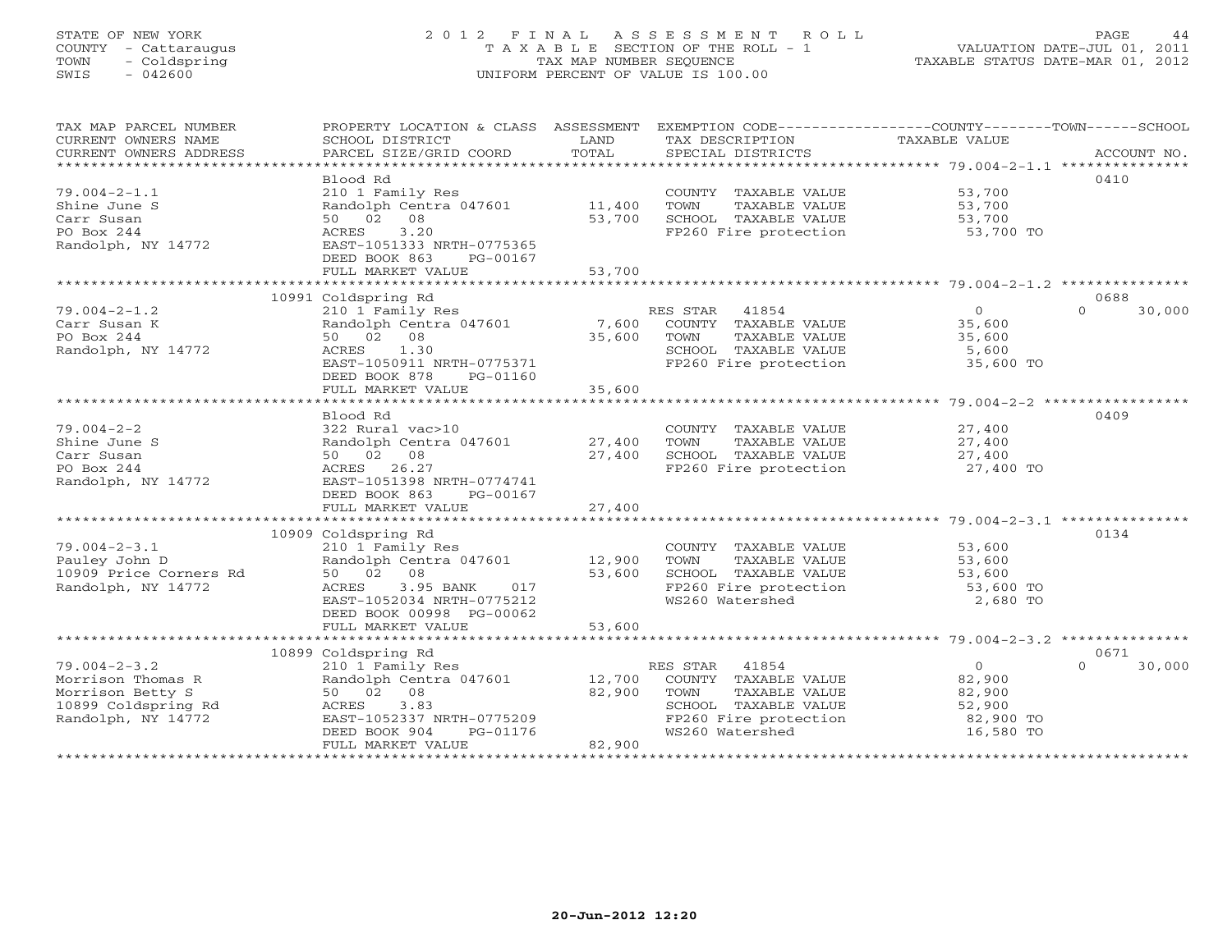## STATE OF NEW YORK 2 0 1 2 F I N A L A S S E S S M E N T R O L L PAGE 44 COUNTY - Cattaraugus T A X A B L E SECTION OF THE ROLL - 1 VALUATION DATE-JUL 01, 2011 TOWN - Coldspring TAX MAP NUMBER SEQUENCE TAXABLE STATUS DATE-MAR 01, 2012 SWIS - 042600 UNIFORM PERCENT OF VALUE IS 100.00UNIFORM PERCENT OF VALUE IS 100.00

| TAX MAP PARCEL NUMBER<br>CURRENT OWNERS NAME<br>CURRENT OWNERS ADDRESS | PROPERTY LOCATION & CLASS ASSESSMENT<br>SCHOOL DISTRICT<br>PARCEL SIZE/GRID COORD | LAND<br>TOTAL | TAX DESCRIPTION<br>SPECIAL DISTRICTS          | EXEMPTION CODE-----------------COUNTY-------TOWN------SCHOOL<br>TAXABLE VALUE<br>ACCOUNT NO. |
|------------------------------------------------------------------------|-----------------------------------------------------------------------------------|---------------|-----------------------------------------------|----------------------------------------------------------------------------------------------|
|                                                                        |                                                                                   |               |                                               |                                                                                              |
|                                                                        | Blood Rd                                                                          |               |                                               | 0410                                                                                         |
| $79.004 - 2 - 1.1$                                                     | 210 1 Family Res                                                                  |               | COUNTY TAXABLE VALUE                          | 53,700                                                                                       |
| Shine June S                                                           | Randolph Centra 047601                                                            | 11,400        | TOWN<br>TAXABLE VALUE                         | 53,700                                                                                       |
| Carr Susan<br>PO Box 244                                               | 50 02 08<br>3.20<br>ACRES                                                         | 53,700        | SCHOOL TAXABLE VALUE<br>FP260 Fire protection | 53,700<br>53,700 TO                                                                          |
| Randolph, NY 14772                                                     | EAST-1051333 NRTH-0775365                                                         |               |                                               |                                                                                              |
|                                                                        | DEED BOOK 863<br>PG-00167                                                         |               |                                               |                                                                                              |
|                                                                        | FULL MARKET VALUE                                                                 | 53,700        |                                               |                                                                                              |
|                                                                        |                                                                                   |               |                                               |                                                                                              |
|                                                                        | 10991 Coldspring Rd                                                               |               |                                               | 0688                                                                                         |
| $79.004 - 2 - 1.2$                                                     | 210 1 Family Res                                                                  |               | RES STAR 41854                                | 30,000<br>$\overline{0}$<br>$\Omega$                                                         |
| Carr Susan K                                                           | Randolph Centra 047601                                                            | 7,600         | COUNTY TAXABLE VALUE                          | 35,600                                                                                       |
| PO Box 244                                                             | 50 02 08                                                                          | 35,600        | TOWN<br>TAXABLE VALUE                         | 35,600                                                                                       |
| Randolph, NY 14772                                                     | 1.30<br>ACRES                                                                     |               | SCHOOL TAXABLE VALUE                          | 5,600                                                                                        |
|                                                                        | EAST-1050911 NRTH-0775371<br>DEED BOOK 878<br>PG-01160                            |               | FP260 Fire protection                         | 35,600 TO                                                                                    |
|                                                                        | FULL MARKET VALUE                                                                 | 35,600        |                                               |                                                                                              |
|                                                                        | ************************                                                          | ************  |                                               | . * * * * * * * * * * * * * * * * * * 79.004-2-2 * * * * * * * * * * * * *                   |
|                                                                        | Blood Rd                                                                          |               |                                               | 0409                                                                                         |
| $79.004 - 2 - 2$                                                       | 322 Rural vac>10                                                                  |               | COUNTY TAXABLE VALUE                          | 27,400                                                                                       |
| Shine June S                                                           | Randolph Centra 047601                                                            | 27,400        | TOWN<br>TAXABLE VALUE                         | 27,400                                                                                       |
| Carr Susan                                                             | 50 02 08                                                                          | 27,400        | SCHOOL TAXABLE VALUE                          | 27,400                                                                                       |
| PO Box 244                                                             | ACRES 26.27                                                                       |               | FP260 Fire protection                         | 27,400 TO                                                                                    |
| Randolph, NY 14772                                                     | EAST-1051398 NRTH-0774741                                                         |               |                                               |                                                                                              |
|                                                                        | DEED BOOK 863<br>PG-00167                                                         |               |                                               |                                                                                              |
|                                                                        | FULL MARKET VALUE                                                                 | 27,400        |                                               |                                                                                              |
|                                                                        | 10909 Coldspring Rd                                                               |               |                                               | 0134                                                                                         |
| $79.004 - 2 - 3.1$                                                     | 210 1 Family Res                                                                  |               | COUNTY TAXABLE VALUE                          | 53,600                                                                                       |
| Pauley John D                                                          | Randolph Centra 047601                                                            | 12,900        | TOWN<br>TAXABLE VALUE                         | 53,600                                                                                       |
| 10909 Price Corners Rd                                                 | 50 02 08                                                                          | 53,600        | SCHOOL TAXABLE VALUE                          | 53,600                                                                                       |
| Randolph, NY 14772                                                     | 3.95 BANK<br>ACRES<br>017                                                         |               | FP260 Fire protection                         | 53,600 TO                                                                                    |
|                                                                        | EAST-1052034 NRTH-0775212                                                         |               | WS260 Watershed                               | 2,680 TO                                                                                     |
|                                                                        | DEED BOOK 00998 PG-00062                                                          |               |                                               |                                                                                              |
|                                                                        | FULL MARKET VALUE                                                                 | 53,600        |                                               |                                                                                              |
|                                                                        |                                                                                   |               |                                               |                                                                                              |
| $79.004 - 2 - 3.2$                                                     | 10899 Coldspring Rd<br>210 1 Family Res                                           |               | RES STAR 41854                                | 0671<br>$\overline{0}$<br>$\Omega$<br>30,000                                                 |
| Morrison Thomas R                                                      | Randolph Centra 047601                                                            | 12,700        | COUNTY TAXABLE VALUE                          | 82,900                                                                                       |
| Morrison Betty S                                                       | 50 02 08                                                                          | 82,900        | TOWN<br>TAXABLE VALUE                         | 82,900                                                                                       |
| 10899 Coldspring Rd                                                    | 3.83<br>ACRES                                                                     |               | SCHOOL TAXABLE VALUE                          | 52,900                                                                                       |
| Randolph, NY 14772                                                     | EAST-1052337 NRTH-0775209                                                         |               | FP260 Fire protection                         | 82,900 TO                                                                                    |
|                                                                        | DEED BOOK 904<br>PG-01176                                                         |               | WS260 Watershed                               | 16,580 TO                                                                                    |
|                                                                        | FULL MARKET VALUE                                                                 | 82,900        |                                               |                                                                                              |
|                                                                        |                                                                                   |               |                                               |                                                                                              |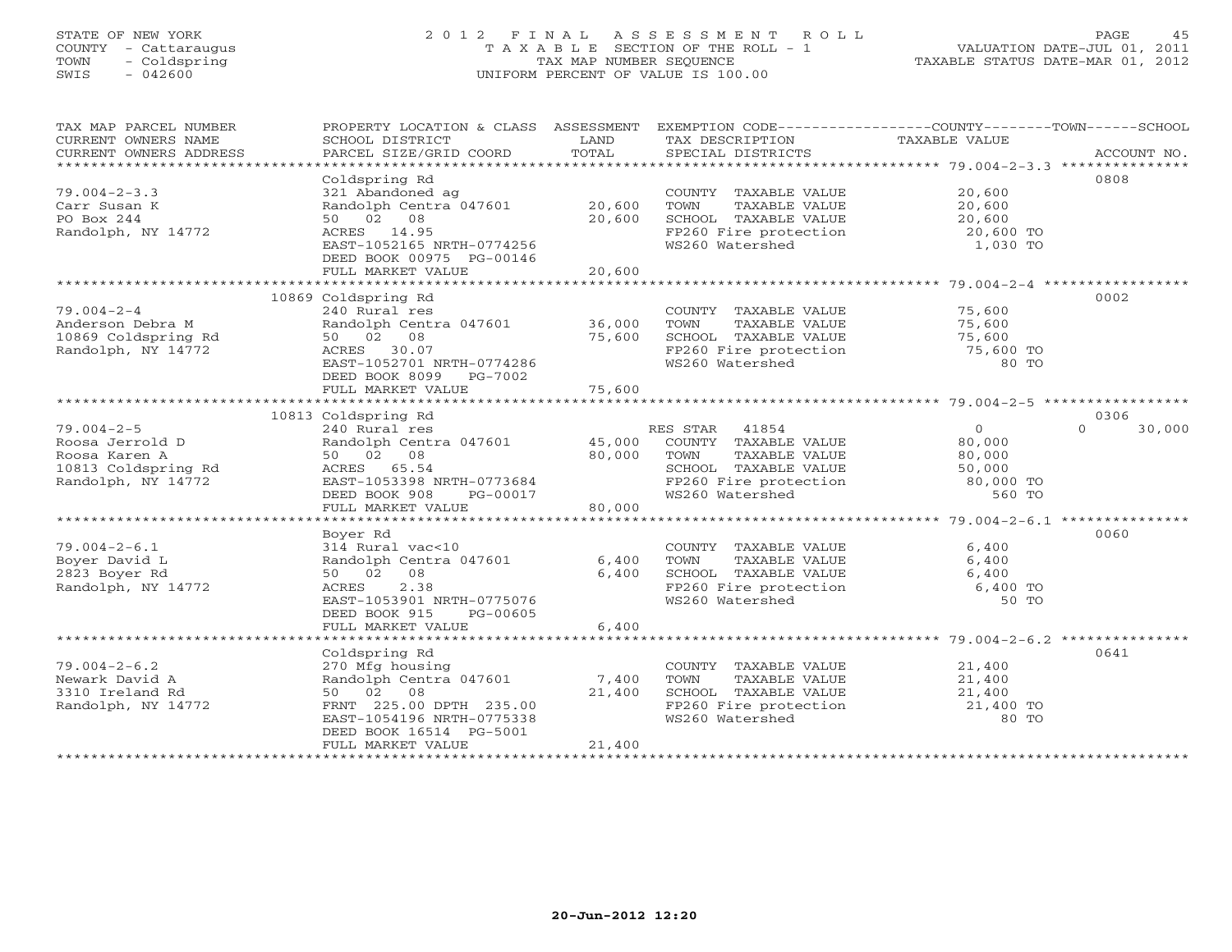# STATE OF NEW YORK 2 0 1 2 F I N A L A S S E S S M E N T R O L L PAGE 45 COUNTY - Cattaraugus T A X A B L E SECTION OF THE ROLL - 1 VALUATION DATE-JUL 01, 2011 TOWN - Coldspring TAX MAP NUMBER SEQUENCE TAXABLE STATUS DATE-MAR 01, 2012 SWIS - 042600 UNIFORM PERCENT OF VALUE IS 100.00UNIFORM PERCENT OF VALUE IS 100.00

| TAX MAP PARCEL NUMBER  | PROPERTY LOCATION & CLASS ASSESSMENT |        | EXEMPTION CODE-----------------COUNTY-------TOWN-----SCHOOL |                |                    |
|------------------------|--------------------------------------|--------|-------------------------------------------------------------|----------------|--------------------|
| CURRENT OWNERS NAME    | SCHOOL DISTRICT                      | LAND   | TAX DESCRIPTION                                             | TAXABLE VALUE  |                    |
| CURRENT OWNERS ADDRESS | PARCEL SIZE/GRID COORD               | TOTAL  | SPECIAL DISTRICTS                                           |                | ACCOUNT NO.        |
| *******************    |                                      |        |                                                             |                |                    |
|                        | Coldspring Rd                        |        |                                                             |                | 0808               |
| $79.004 - 2 - 3.3$     | 321 Abandoned ag                     |        | COUNTY TAXABLE VALUE                                        | 20,600         |                    |
| Carr Susan K           | Randolph Centra 047601               | 20,600 | TOWN<br>TAXABLE VALUE                                       | 20,600         |                    |
| PO Box 244             | 50 02 08                             | 20,600 | SCHOOL TAXABLE VALUE                                        | 20,600         |                    |
| Randolph, NY 14772     | ACRES 14.95                          |        | FP260 Fire protection<br>10060 Motorched                    | 20,600 TO      |                    |
|                        | EAST-1052165 NRTH-0774256            |        | WS260 Watershed                                             | 1,030 TO       |                    |
|                        | DEED BOOK 00975 PG-00146             |        |                                                             |                |                    |
|                        | FULL MARKET VALUE                    | 20,600 |                                                             |                |                    |
|                        |                                      |        |                                                             |                |                    |
|                        | 10869 Coldspring Rd                  |        |                                                             |                | 0002               |
| $79.004 - 2 - 4$       | 240 Rural res                        |        | COUNTY TAXABLE VALUE                                        | 75,600         |                    |
| Anderson Debra M       | Randolph Centra 047601               | 36,000 | TOWN<br>TAXABLE VALUE                                       | 75,600         |                    |
| 10869 Coldspring Rd    | 50 02 08                             | 75,600 |                                                             | 75,600         |                    |
| Randolph, NY 14772     | ACRES 30.07                          |        | SCHOOL TAXABLE VALUE<br>FP260 Fire protection               | 75,600 TO      |                    |
|                        | EAST-1052701 NRTH-0774286            |        | WS260 Watershed                                             | 80 TO          |                    |
|                        | DEED BOOK 8099 PG-7002               |        |                                                             |                |                    |
|                        | FULL MARKET VALUE                    | 75,600 |                                                             |                |                    |
|                        |                                      |        |                                                             |                |                    |
|                        | 10813 Coldspring Rd                  |        |                                                             |                | 0306               |
| $79.004 - 2 - 5$       | 240 Rural res                        |        | RES STAR 41854                                              | $\overline{0}$ | $\Omega$<br>30,000 |
|                        | Randolph Centra 047601               | 45,000 | COUNTY TAXABLE VALUE                                        |                |                    |
| Roosa Jerrold D        | 50 02 08                             | 80,000 | TOWN                                                        | 80,000         |                    |
| Roosa Karen A          |                                      |        | TAXABLE VALUE                                               | 80,000         |                    |
| 10813 Coldspring Rd    | ACRES 65.54                          |        | SCHOOL TAXABLE VALUE                                        | 50,000         |                    |
| Randolph, NY 14772     | EAST-1053398 NRTH-0773684            |        | FP260 Fire protection 80,000 TO<br>WS260 Watershed 560 TO   |                |                    |
|                        | DEED BOOK 908<br>PG-00017            |        | WS260 Watershed                                             | 560 TO         |                    |
|                        | FULL MARKET VALUE                    | 80,000 |                                                             |                |                    |
|                        |                                      |        |                                                             |                |                    |
|                        | Boyer Rd                             |        |                                                             |                | 0060               |
| $79.004 - 2 - 6.1$     | 314 Rural vac<10                     |        | COUNTY TAXABLE VALUE                                        | 6,400          |                    |
| Boyer David L          | Randolph Centra 047601               | 6,400  | TOWN<br>TAXABLE VALUE                                       | 6,400          |                    |
| 2823 Boyer Rd          | 50 02 08                             | 6,400  | SCHOOL TAXABLE VALUE                                        | 6,400          |                    |
| Randolph, NY 14772     | ACRES<br>2.38                        |        | FP260 Fire protection                                       | $6,400$ TO     |                    |
|                        | EAST-1053901 NRTH-0775076            |        | WS260 Watershed                                             | 50 TO          |                    |
|                        | DEED BOOK 915<br>PG-00605            |        |                                                             |                |                    |
|                        | FULL MARKET VALUE                    | 6,400  |                                                             |                |                    |
|                        |                                      |        |                                                             |                |                    |
|                        | Coldspring Rd                        |        |                                                             |                | 0641               |
| $79.004 - 2 - 6.2$     | 270 Mfg housing                      |        | COUNTY TAXABLE VALUE                                        | 21,400         |                    |
| Newark David A         | Randolph Centra 047601               | 7,400  | TOWN<br>TAXABLE VALUE                                       | 21,400         |                    |
| 3310 Ireland Rd        | 50 02 08                             | 21,400 | SCHOOL TAXABLE VALUE                                        | 21,400         |                    |
| Randolph, NY 14772     | FRNT 225.00 DPTH 235.00              |        | FP260 Fire protection                                       | 21,400 TO      |                    |
|                        | EAST-1054196 NRTH-0775338            |        | WS260 Watershed                                             | 80 TO          |                    |
|                        | DEED BOOK 16514 PG-5001              |        |                                                             |                |                    |
|                        | FULL MARKET VALUE                    | 21,400 |                                                             |                |                    |
|                        |                                      |        |                                                             |                |                    |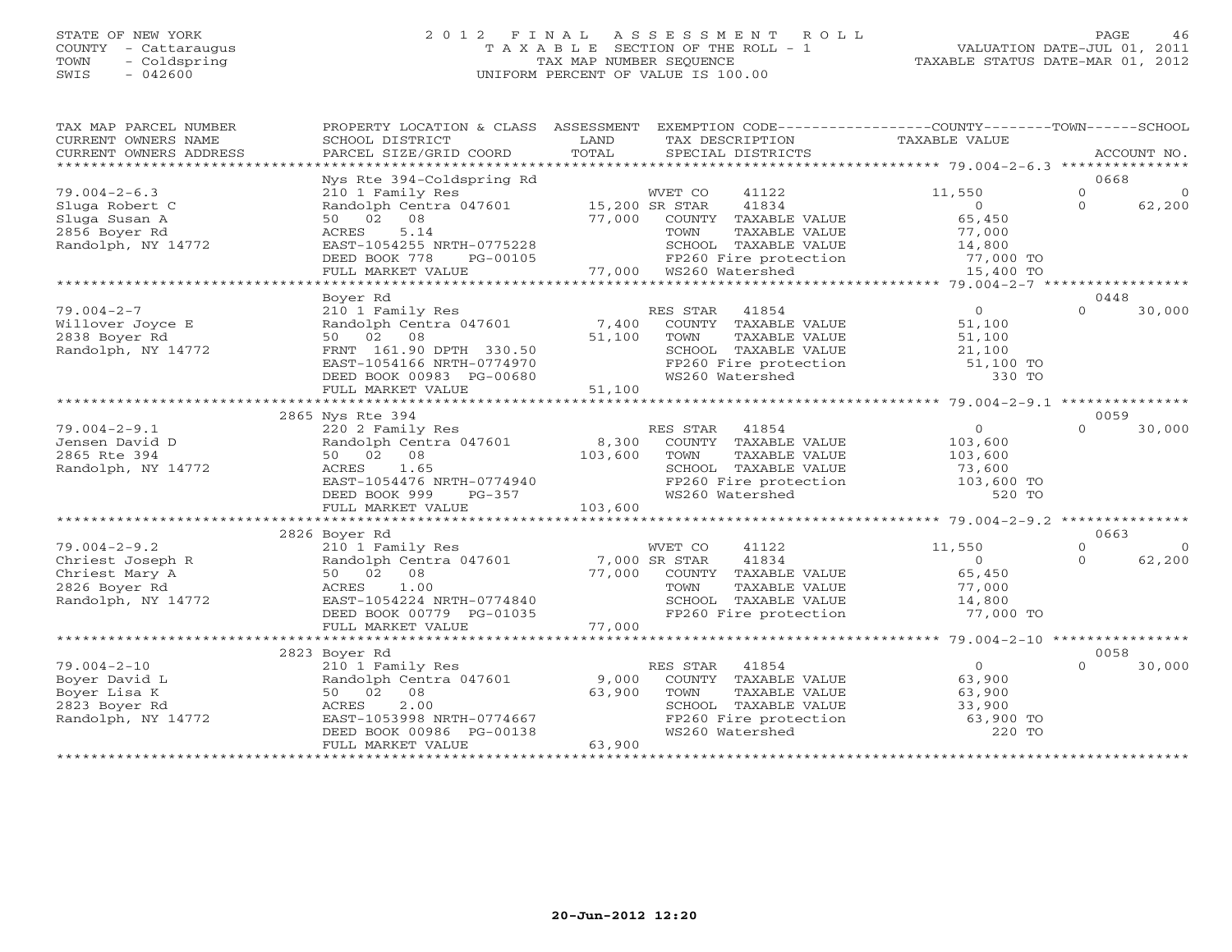#### STATE OF NEW YORK 2 0 1 2 F I N A L A S S E S S M E N T R O L L PAGE 46 COUNTY - Cattaraugus T A X A B L E SECTION OF THE ROLL - 1 VALUATION DATE-JUL 01, 2011 TOWN - Coldspring TAX MAP NUMBER SEQUENCE TAXABLE STATUS DATE-MAR 01, 2012 SWIS - 042600 UNIFORM PERCENT OF VALUE IS 100.00UNIFORM PERCENT OF VALUE IS 100.00

| TAX MAP PARCEL NUMBER<br>CURRENT OWNERS NAME<br>CURRENT OWNERS ADDRESS | PROPERTY LOCATION & CLASS ASSESSMENT<br>SCHOOL DISTRICT<br>PARCEL SIZE/GRID COORD | LAND<br>TOTAL | EXEMPTION CODE----------------COUNTY-------TOWN------SCHOOL<br>TAX DESCRIPTION<br>SPECIAL DISTRICTS | TAXABLE VALUE       |          | ACCOUNT NO. |
|------------------------------------------------------------------------|-----------------------------------------------------------------------------------|---------------|-----------------------------------------------------------------------------------------------------|---------------------|----------|-------------|
|                                                                        | Nys Rte 394-Coldspring Rd                                                         |               |                                                                                                     |                     | 0668     |             |
| $79.004 - 2 - 6.3$                                                     | 210 1 Family Res                                                                  |               | WVET CO<br>41122                                                                                    | 11,550              | $\circ$  | $\circ$     |
| Sluga Robert C                                                         | Randolph Centra 047601                                                            |               | 41834<br>15,200 SR STAR                                                                             | $\circ$             | $\Omega$ | 62,200      |
| Sluga Susan A                                                          | 50 02 08                                                                          | 77,000        | COUNTY TAXABLE VALUE                                                                                | 65,450              |          |             |
| 2856 Boyer Rd                                                          | 5.14<br>ACRES                                                                     |               | TOWN<br>TAXABLE VALUE                                                                               | 77,000              |          |             |
| Randolph, NY 14772                                                     | EAST-1054255 NRTH-0775228                                                         |               | SCHOOL TAXABLE VALUE                                                                                |                     |          |             |
|                                                                        | DEED BOOK 778<br>PG-00105                                                         |               | FP260 Fire protection                                                                               | 14,800<br>77,000 TO |          |             |
|                                                                        | FULL MARKET VALUE                                                                 | 77,000        | WS260 Watershed                                                                                     |                     |          |             |
|                                                                        |                                                                                   |               |                                                                                                     | 15,400 TO           |          |             |
|                                                                        | Boyer Rd                                                                          |               |                                                                                                     |                     | 0448     |             |
|                                                                        |                                                                                   |               |                                                                                                     | $\Omega$            | $\Omega$ |             |
| $79.004 - 2 - 7$                                                       | 210 1 Family Res                                                                  |               | RES STAR<br>41854                                                                                   |                     |          | 30,000      |
| Willover Joyce E                                                       | Randolph Centra 047601                                                            | 7,400         | COUNTY TAXABLE VALUE                                                                                | 51,100              |          |             |
| 2838 Boyer Rd                                                          | 50 02 08                                                                          | 51,100        | TOWN<br>TAXABLE VALUE                                                                               | 51,100              |          |             |
| Randolph, NY 14772                                                     | FRNT 161.90 DPTH 330.50                                                           |               | SCHOOL TAXABLE VALUE                                                                                | 21,100              |          |             |
|                                                                        | EAST-1054166 NRTH-0774970                                                         |               | FP260 Fire protection                                                                               | 51,100 TO           |          |             |
|                                                                        | DEED BOOK 00983 PG-00680                                                          |               | WS260 Watershed                                                                                     | 330 TO              |          |             |
|                                                                        | FULL MARKET VALUE                                                                 | 51,100        |                                                                                                     |                     |          |             |
|                                                                        |                                                                                   |               |                                                                                                     |                     |          |             |
|                                                                        | 2865 Nys Rte 394                                                                  |               |                                                                                                     |                     | 0059     |             |
| $79.004 - 2 - 9.1$                                                     | 220 2 Family Res                                                                  |               | RES STAR<br>41854                                                                                   | $\overline{0}$      | $\Omega$ | 30,000      |
| Jensen David D                                                         | Randolph Centra 047601                                                            | 8,300         | COUNTY TAXABLE VALUE                                                                                | 103,600             |          |             |
| 2865 Rte 394                                                           | 50 02<br>08                                                                       | 103,600       | TOWN<br>TAXABLE VALUE                                                                               | 103,600             |          |             |
| Randolph, NY 14772                                                     | 1.65<br>ACRES                                                                     |               | SCHOOL TAXABLE VALUE                                                                                | 73,600              |          |             |
|                                                                        | EAST-1054476 NRTH-0774940                                                         |               | FP260 Fire protection                                                                               | 103,600 TO          |          |             |
|                                                                        | DEED BOOK 999<br>$PG-357$                                                         |               | WS260 Watershed                                                                                     | 520 TO              |          |             |
|                                                                        | FULL MARKET VALUE                                                                 | 103,600       |                                                                                                     |                     |          |             |
|                                                                        |                                                                                   |               |                                                                                                     |                     |          |             |
|                                                                        | 2826 Boyer Rd                                                                     |               |                                                                                                     |                     | 0663     |             |
| $79.004 - 2 - 9.2$                                                     | 210 1 Family Res                                                                  |               | WVET CO<br>41122                                                                                    | 11,550              | $\Omega$ | $\Omega$    |
| Chriest Joseph R                                                       | Randolph Centra 047601                                                            |               | 41834<br>7,000 SR STAR                                                                              | $\Omega$            | $\Omega$ | 62,200      |
| Chriest Mary A                                                         | 08<br>50 02                                                                       | 77,000        | COUNTY TAXABLE VALUE                                                                                | 65,450              |          |             |
| 2826 Boyer Rd                                                          | 1.00<br>ACRES                                                                     |               | TAXABLE VALUE<br>TOWN                                                                               | 77,000              |          |             |
| Randolph, NY 14772                                                     | EAST-1054224 NRTH-0774840                                                         |               | SCHOOL TAXABLE VALUE                                                                                | 14,800              |          |             |
|                                                                        | DEED BOOK 00779 PG-01035                                                          |               | FP260 Fire protection                                                                               | 77,000 TO           |          |             |
|                                                                        | FULL MARKET VALUE                                                                 | 77,000        |                                                                                                     |                     |          |             |
|                                                                        | *************************                                                         |               |                                                                                                     |                     |          |             |
|                                                                        | 2823 Boyer Rd                                                                     |               |                                                                                                     |                     | 0058     |             |
| $79.004 - 2 - 10$                                                      | 210 1 Family Res                                                                  |               | 41854<br>RES STAR                                                                                   | $\overline{O}$      | $\Omega$ | 30,000      |
| Boyer David L                                                          | Randolph Centra 047601                                                            | 9,000         | COUNTY TAXABLE VALUE                                                                                | 63,900              |          |             |
| Boyer Lisa K                                                           | 08<br>50 02                                                                       | 63,900        | TAXABLE VALUE<br>TOWN                                                                               | 63,900              |          |             |
| 2823 Boyer Rd                                                          | 2.00<br>ACRES                                                                     |               | SCHOOL TAXABLE VALUE                                                                                | 33,900              |          |             |
| Randolph, NY 14772                                                     | EAST-1053998 NRTH-0774667                                                         |               | FP260 Fire protection                                                                               | 63,900 TO           |          |             |
|                                                                        | DEED BOOK 00986 PG-00138                                                          |               | WS260 Watershed                                                                                     | 220 TO              |          |             |
|                                                                        | FULL MARKET VALUE                                                                 | 63,900        |                                                                                                     |                     |          |             |
|                                                                        |                                                                                   |               |                                                                                                     |                     |          |             |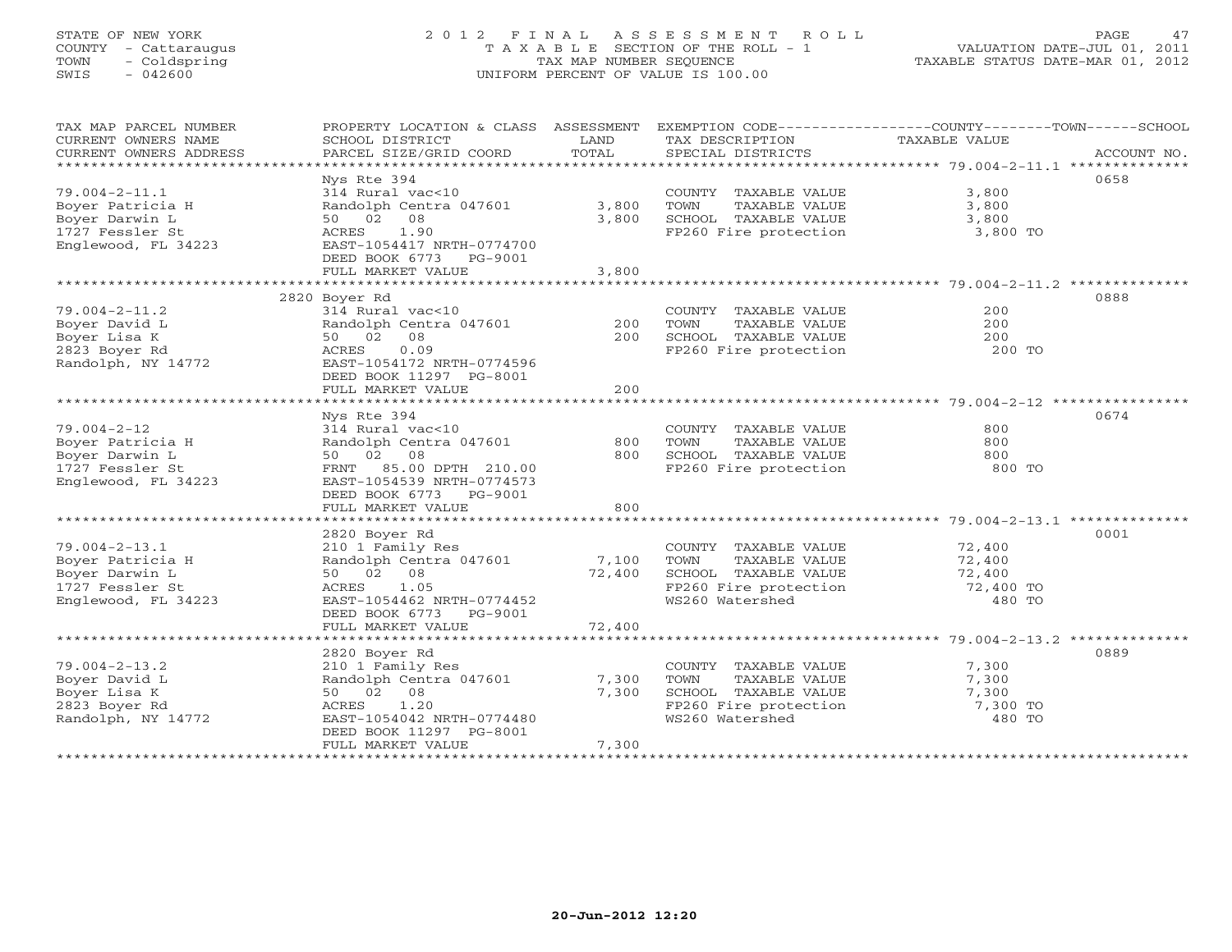# STATE OF NEW YORK 2 0 1 2 F I N A L A S S E S S M E N T R O L L PAGE 47 COUNTY - Cattaraugus T A X A B L E SECTION OF THE ROLL - 1 VALUATION DATE-JUL 01, 2011 TOWN - Coldspring TAX MAP NUMBER SEQUENCE TAXABLE STATUS DATE-MAR 01, 2012 SWIS - 042600 UNIFORM PERCENT OF VALUE IS 100.00UNIFORM PERCENT OF VALUE IS 100.00

| TAX MAP PARCEL NUMBER          | PROPERTY LOCATION & CLASS ASSESSMENT |        | EXEMPTION CODE-----------------COUNTY-------TOWN------SCHOOL   |               |             |
|--------------------------------|--------------------------------------|--------|----------------------------------------------------------------|---------------|-------------|
| CURRENT OWNERS NAME            | SCHOOL DISTRICT                      | LAND   | TAX DESCRIPTION                                                | TAXABLE VALUE |             |
| CURRENT OWNERS ADDRESS         | PARCEL SIZE/GRID COORD               | TOTAL  | SPECIAL DISTRICTS                                              |               | ACCOUNT NO. |
| ****************************** |                                      |        |                                                                |               |             |
|                                | Nys Rte 394                          |        |                                                                |               | 0658        |
| $79.004 - 2 - 11.1$            | 314 Rural vac<10                     |        | COUNTY TAXABLE VALUE                                           | 3,800         |             |
| Boyer Patricia H               | Randolph Centra 047601               | 3,800  | TOWN<br>TAXABLE VALUE                                          | 3,800         |             |
| Boyer Darwin L                 | 50 02 08                             | 3,800  | SCHOOL TAXABLE VALUE                                           | 3,800         |             |
| 1727 Fessler St                | ACRES<br>1.90                        |        | FP260 Fire protection                                          | 3,800 TO      |             |
| Englewood, FL 34223            | EAST-1054417 NRTH-0774700            |        |                                                                |               |             |
|                                | DEED BOOK 6773 PG-9001               |        |                                                                |               |             |
|                                | FULL MARKET VALUE                    | 3,800  |                                                                |               |             |
|                                |                                      |        |                                                                |               |             |
|                                | 2820 Boyer Rd                        |        |                                                                |               | 0888        |
| $79.004 - 2 - 11.2$            | 314 Rural vac<10                     |        | COUNTY TAXABLE VALUE                                           | 200           |             |
| Boyer David L                  | Randolph Centra 047601               | 200    | TOWN<br>TAXABLE VALUE                                          | 200           |             |
| Boyer Lisa K                   | 50 02 08                             | 200    | SCHOOL TAXABLE VALUE                                           | 200           |             |
| 2823 Boyer Rd                  | 0.09<br>ACRES                        |        | FP260 Fire protection                                          | 200 TO        |             |
| Randolph, NY 14772             | EAST-1054172 NRTH-0774596            |        |                                                                |               |             |
|                                | DEED BOOK 11297 PG-8001              |        |                                                                |               |             |
|                                | FULL MARKET VALUE                    | 200    |                                                                |               |             |
|                                |                                      |        |                                                                |               |             |
|                                | Nys Rte 394                          |        |                                                                |               | 0674        |
| $79.004 - 2 - 12$              | 314 Rural vac<10                     |        | COUNTY TAXABLE VALUE                                           | 800           |             |
| Boyer Patricia H               | Randolph Centra 047601               | 800    | TOWN<br>TAXABLE VALUE                                          | 800           |             |
| Boyer Darwin L                 | 50 02 08                             | 800    | SCHOOL TAXABLE VALUE                                           | 800           |             |
| 1727 Fessler St                | FRNT 85.00 DPTH 210.00               |        | FP260 Fire protection                                          | 800 TO        |             |
| Englewood, FL 34223            | EAST-1054539 NRTH-0774573            |        |                                                                |               |             |
|                                | DEED BOOK 6773 PG-9001               |        |                                                                |               |             |
|                                | FULL MARKET VALUE                    | 800    |                                                                |               |             |
|                                |                                      |        |                                                                |               |             |
|                                | 2820 Boyer Rd                        |        |                                                                |               | 0001        |
| $79.004 - 2 - 13.1$            | 210 1 Family Res                     |        | COUNTY TAXABLE VALUE                                           | 72,400        |             |
| Boyer Patricia H               | Randolph Centra 047601               | 7,100  | TOWN<br>TAXABLE VALUE                                          | 72,400        |             |
| Boyer Darwin L                 | 50 02 08                             | 72,400 | SCHOOL TAXABLE VALUE 72,400<br>FP260 Fire protection 72,400 TO |               |             |
| 1727 Fessler St                | 1.05<br>ACRES                        |        |                                                                |               |             |
| Englewood, FL 34223            | EAST-1054462 NRTH-0774452            |        | WS260 Watershed                                                | 480 TO        |             |
|                                | DEED BOOK 6773 PG-9001               |        |                                                                |               |             |
|                                | FULL MARKET VALUE                    | 72,400 |                                                                |               |             |
|                                |                                      |        |                                                                |               |             |
|                                | 2820 Boyer Rd                        |        |                                                                |               | 0889        |
| $79.004 - 2 - 13.2$            | 210 1 Family Res                     |        | COUNTY TAXABLE VALUE                                           | 7,300         |             |
| Boyer David L                  | Randolph Centra 047601               | 7,300  | TOWN<br>TAXABLE VALUE                                          | 7,300         |             |
| Boyer Lisa K                   | 50 02 08                             | 7,300  | SCHOOL TAXABLE VALUE                                           | 7,300         |             |
| 2823 Boyer Rd                  | ACRES<br>1.20                        |        | FP260 Fire protection 7,300 TO                                 |               |             |
| Randolph, NY 14772             | EAST-1054042 NRTH-0774480            |        | WS260 Watershed                                                | 480 TO        |             |
|                                | DEED BOOK 11297 PG-8001              |        |                                                                |               |             |
|                                | FULL MARKET VALUE                    | 7,300  |                                                                |               |             |
|                                |                                      |        |                                                                |               |             |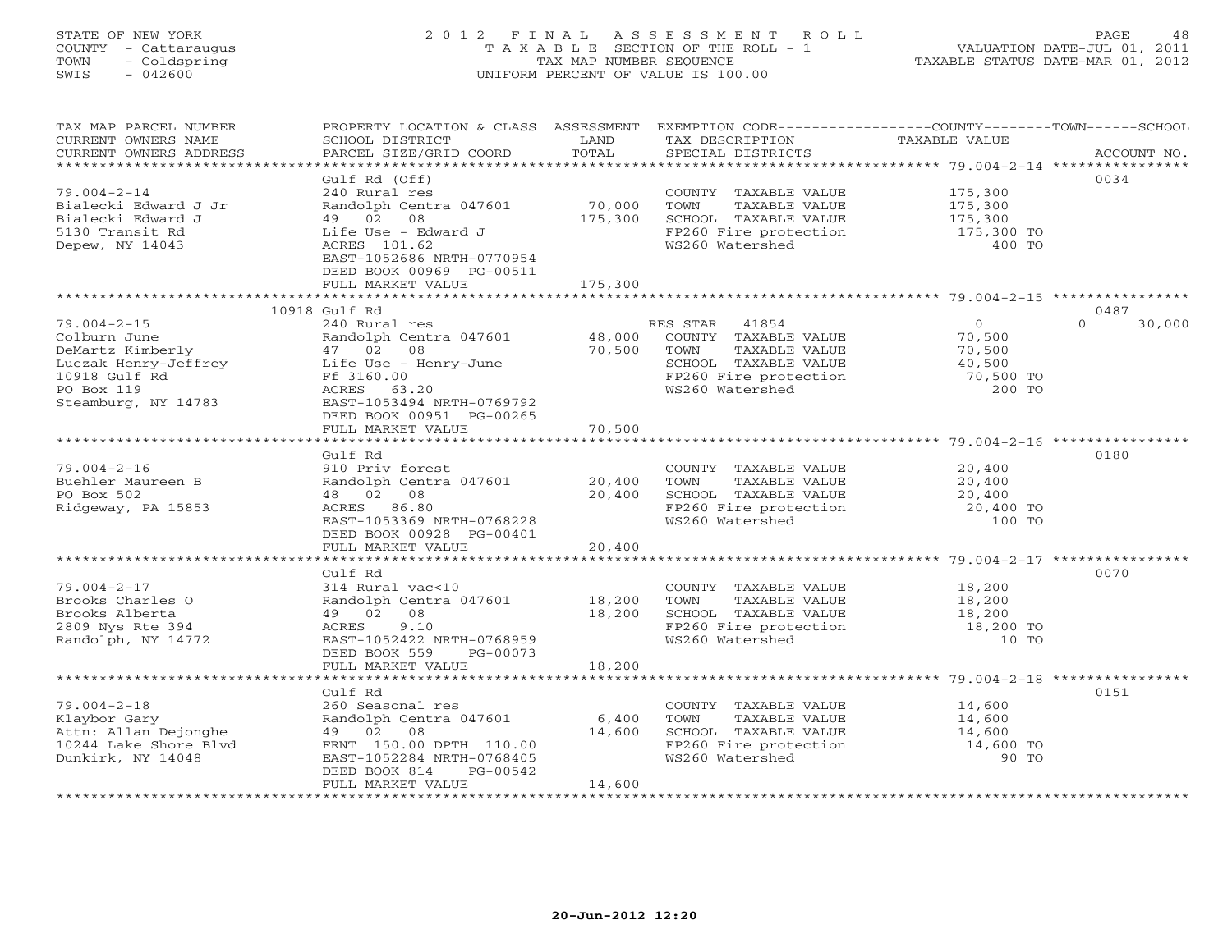# STATE OF NEW YORK 2 0 1 2 F I N A L A S S E S S M E N T R O L L PAGE 48 COUNTY - Cattaraugus T A X A B L E SECTION OF THE ROLL - 1 VALUATION DATE-JUL 01, 2011 TOWN - Coldspring TAX MAP NUMBER SEQUENCE TAXABLE STATUS DATE-MAR 01, 2012 SWIS - 042600 UNIFORM PERCENT OF VALUE IS 100.00UNIFORM PERCENT OF VALUE IS 100.00

| TAX MAP PARCEL NUMBER                                                                                                                         | PROPERTY LOCATION & CLASS ASSESSMENT EXEMPTION CODE----------------COUNTY-------TOWN------SCHOOL                                                                                                                                                                                               |             |                                                                                                            |                     |                    |
|-----------------------------------------------------------------------------------------------------------------------------------------------|------------------------------------------------------------------------------------------------------------------------------------------------------------------------------------------------------------------------------------------------------------------------------------------------|-------------|------------------------------------------------------------------------------------------------------------|---------------------|--------------------|
| CURRENT OWNERS NAME                                                                                                                           | SCHOOL DISTRICT                                                                                                                                                                                                                                                                                | LAND        | TAX DESCRIPTION                                                                                            | TAXABLE VALUE       |                    |
| CURRENT OWNERS ADDRESS                                                                                                                        | PARCEL SIZE/GRID COORD                                                                                                                                                                                                                                                                         | TOTAL       | SPECIAL DISTRICTS                                                                                          |                     | ACCOUNT NO.        |
|                                                                                                                                               |                                                                                                                                                                                                                                                                                                |             |                                                                                                            |                     |                    |
|                                                                                                                                               | Gulf Rd (Off)                                                                                                                                                                                                                                                                                  |             |                                                                                                            |                     | 0034               |
| $79.004 - 2 - 14$                                                                                                                             | 240 Rural res                                                                                                                                                                                                                                                                                  |             | COUNTY TAXABLE VALUE                                                                                       | 175,300             |                    |
| Bialecki Edward J Jr                                                                                                                          | Randolph Centra 047601 70,000                                                                                                                                                                                                                                                                  |             | TOWN<br>TAXABLE VALUE                                                                                      | 175,300<br>175,300  |                    |
| Bialecki Edward J                                                                                                                             | 49 02 08                                                                                                                                                                                                                                                                                       | 175,300     | SCHOOL TAXABLE VALUE 175,300<br>FP260 Fire protection 175,300 TO                                           |                     |                    |
| 5130 Transit Rd                                                                                                                               | Life Use - Edward J                                                                                                                                                                                                                                                                            |             |                                                                                                            |                     |                    |
| Depew, NY 14043                                                                                                                               | ACRES 101.62                                                                                                                                                                                                                                                                                   |             | WS260 Watershed                                                                                            | 400 TO              |                    |
|                                                                                                                                               | EAST-1052686 NRTH-0770954                                                                                                                                                                                                                                                                      |             |                                                                                                            |                     |                    |
|                                                                                                                                               | DEED BOOK 00969 PG-00511                                                                                                                                                                                                                                                                       |             |                                                                                                            |                     |                    |
|                                                                                                                                               | FULL MARKET VALUE                                                                                                                                                                                                                                                                              | 175,300     |                                                                                                            |                     |                    |
|                                                                                                                                               |                                                                                                                                                                                                                                                                                                |             |                                                                                                            |                     |                    |
|                                                                                                                                               | 10918 Gulf Rd                                                                                                                                                                                                                                                                                  |             |                                                                                                            |                     | 0487               |
| $79.004 - 2 - 15$                                                                                                                             | 240 Rural res                                                                                                                                                                                                                                                                                  |             | RES STAR 41854                                                                                             | $\overline{0}$      | 30,000<br>$\Omega$ |
| Colburn June                                                                                                                                  | Randolph Centra 047601 48,000 COUNTY TAXABLE VALUE                                                                                                                                                                                                                                             |             |                                                                                                            | 70,500              |                    |
| DeMartz Kimberly                                                                                                                              |                                                                                                                                                                                                                                                                                                | 70,500 TOWN | TAXABLE VALUE                                                                                              | 70,500              |                    |
| Example 19 and the USE of the USE of the USE of the USE of the USE of the USE of the USE of the USE of the USE<br>10918 Gulf Rd<br>PO Boy 110 |                                                                                                                                                                                                                                                                                                |             | SCHOOL TAXABLE VALUE 40,500<br>FP260 Fire protection 70,500 TO<br>200 TO                                   |                     |                    |
|                                                                                                                                               |                                                                                                                                                                                                                                                                                                |             |                                                                                                            |                     |                    |
| PO Box 119                                                                                                                                    | ACRES 63.20                                                                                                                                                                                                                                                                                    |             | WS260 Watershed                                                                                            | 200 TO              |                    |
| Steamburg, NY 14783                                                                                                                           | EAST-1053494 NRTH-0769792                                                                                                                                                                                                                                                                      |             |                                                                                                            |                     |                    |
|                                                                                                                                               | DEED BOOK 00951 PG-00265                                                                                                                                                                                                                                                                       |             |                                                                                                            |                     |                    |
|                                                                                                                                               | FULL MARKET VALUE                                                                                                                                                                                                                                                                              | 70,500      |                                                                                                            |                     |                    |
|                                                                                                                                               |                                                                                                                                                                                                                                                                                                |             |                                                                                                            |                     |                    |
|                                                                                                                                               | Gulf Rd                                                                                                                                                                                                                                                                                        |             |                                                                                                            |                     | 0180               |
| $79.004 - 2 - 16$                                                                                                                             | 910 Priv forest                                                                                                                                                                                                                                                                                |             | COUNTY TAXABLE VALUE 20,400                                                                                |                     |                    |
| Buehler Maureen B                                                                                                                             | $\frac{111}{111}$ $\frac{111}{111}$ $\frac{111}{111}$ $\frac{111}{111}$ $\frac{111}{111}$ $\frac{111}{111}$ $\frac{111}{111}$ $\frac{111}{111}$ $\frac{111}{111}$ $\frac{111}{111}$ $\frac{111}{111}$ $\frac{111}{111}$ $\frac{111}{111}$ $\frac{111}{111}$ $\frac{111}{111}$ $\frac{111}{111$ |             | TOWN TAXABLE VALUE                                                                                         | 20,400              |                    |
| PO Box 502                                                                                                                                    | 48  02  08                                                                                                                                                                                                                                                                                     | 20,400      |                                                                                                            |                     |                    |
| Ridgeway, PA 15853                                                                                                                            | ACRES 86.80                                                                                                                                                                                                                                                                                    |             |                                                                                                            | 20,400 TO           |                    |
|                                                                                                                                               | EAST-1053369 NRTH-0768228                                                                                                                                                                                                                                                                      |             | SCHOOL TAXABLE VALUE 1999 20,400<br>FP260 Fire protection 20,400<br>WS260 Watershed 100<br>WS260 Watershed | 100 TO              |                    |
|                                                                                                                                               |                                                                                                                                                                                                                                                                                                |             |                                                                                                            |                     |                    |
|                                                                                                                                               | DEED BOOK 00928 PG-00401                                                                                                                                                                                                                                                                       | 20,400      |                                                                                                            |                     |                    |
|                                                                                                                                               | FULL MARKET VALUE                                                                                                                                                                                                                                                                              |             |                                                                                                            |                     |                    |
|                                                                                                                                               | Gulf Rd                                                                                                                                                                                                                                                                                        |             |                                                                                                            |                     | 0070               |
| $79.004 - 2 - 17$                                                                                                                             |                                                                                                                                                                                                                                                                                                |             |                                                                                                            |                     |                    |
|                                                                                                                                               | 314 Rural vac<10<br>Randolph Centra 047601 18,200                                                                                                                                                                                                                                              |             | COUNTY TAXABLE VALUE 18,200                                                                                |                     |                    |
| Brooks Charles O                                                                                                                              |                                                                                                                                                                                                                                                                                                | 18,200      | TOWN<br>TAXABLE VALUE                                                                                      | 18,200              |                    |
| Brooks Alberta                                                                                                                                | 49 02 08<br>9.10                                                                                                                                                                                                                                                                               |             | SCHOOL TAXABLE VALUE<br>FP260 Fire protection<br>WS260 Watershed                                           | 18,200<br>18,200 TO |                    |
| 2809 Nys Rte 394                                                                                                                              | ACRES                                                                                                                                                                                                                                                                                          |             |                                                                                                            |                     |                    |
| Randolph, NY 14772                                                                                                                            | EAST-1052422 NRTH-0768959                                                                                                                                                                                                                                                                      |             |                                                                                                            | 10 TO               |                    |
|                                                                                                                                               | DEED BOOK 559 PG-00073                                                                                                                                                                                                                                                                         |             |                                                                                                            |                     |                    |
|                                                                                                                                               | FULL MARKET VALUE                                                                                                                                                                                                                                                                              | 18,200      |                                                                                                            |                     |                    |
|                                                                                                                                               |                                                                                                                                                                                                                                                                                                |             |                                                                                                            |                     |                    |
|                                                                                                                                               | Gulf Rd                                                                                                                                                                                                                                                                                        |             |                                                                                                            |                     | 0151               |
| $79.004 - 2 - 18$                                                                                                                             | 260 Seasonal res                                                                                                                                                                                                                                                                               |             | COUNTY TAXABLE VALUE 14,600                                                                                |                     |                    |
| Klaybor Gary                                                                                                                                  | Randolph Centra 047601 6,400                                                                                                                                                                                                                                                                   |             | TOWN<br>TAXABLE VALUE<br>SCHOOL TAXABLE VALUE                                                              | 14,600              |                    |
| Attn: Allan Dejonghe                                                                                                                          | 49 02 08                                                                                                                                                                                                                                                                                       | 14,600      |                                                                                                            | $\frac{1}{4}$ , 600 |                    |
| 10244 Lake Shore Blvd                                                                                                                         | FRNT 150.00 DPTH 110.00                                                                                                                                                                                                                                                                        |             | FP260 Fire protection                                                                                      | 14,600 TO           |                    |
| Dunkirk, NY 14048                                                                                                                             | EAST-1052284 NRTH-0768405                                                                                                                                                                                                                                                                      |             | WS260 Watershed                                                                                            | 90 TO               |                    |
|                                                                                                                                               | DEED BOOK 814<br>PG-00542                                                                                                                                                                                                                                                                      |             |                                                                                                            |                     |                    |
|                                                                                                                                               | FULL MARKET VALUE                                                                                                                                                                                                                                                                              | 14,600      |                                                                                                            |                     |                    |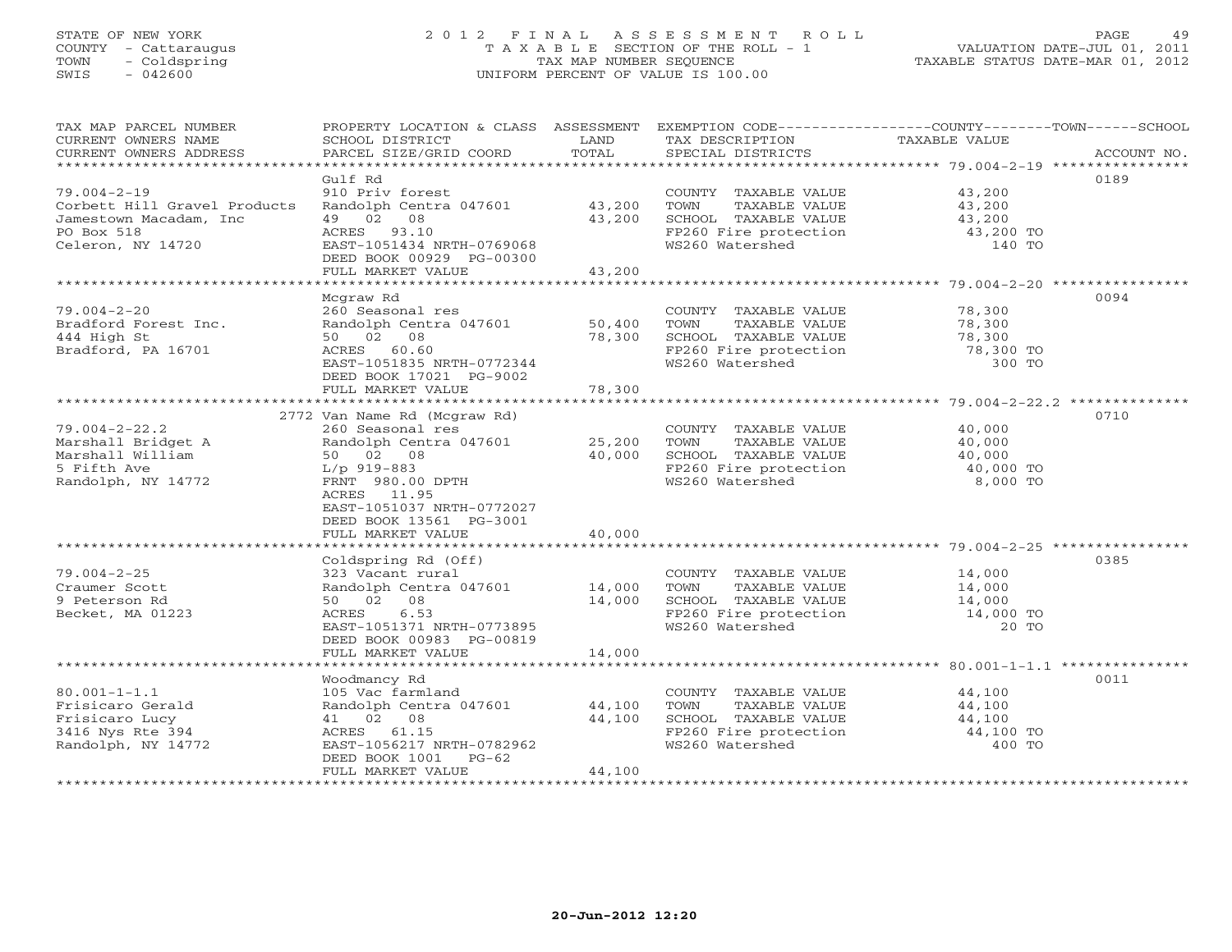## STATE OF NEW YORK 2 0 1 2 F I N A L A S S E S S M E N T R O L L PAGE 49 COUNTY - Cattaraugus T A X A B L E SECTION OF THE ROLL - 1 VALUATION DATE-JUL 01, 2011 TOWN - Coldspring TAX MAP NUMBER SEQUENCE TAXABLE STATUS DATE-MAR 01, 2012 SWIS - 042600 UNIFORM PERCENT OF VALUE IS 100.00UNIFORM PERCENT OF VALUE IS 100.00

| TAX MAP PARCEL NUMBER<br>CURRENT OWNERS NAME<br>CURRENT OWNERS ADDRESS                                             | SCHOOL DISTRICT<br>PARCEL SIZE/GRID COORD                                                                                                                                                               | LAND<br>TOTAL    | TAX DESCRIPTION<br>SPECIAL DISTRICTS                                                                                                                | PROPERTY LOCATION & CLASS ASSESSMENT EXEMPTION CODE----------------COUNTY-------TOWN------SCHOOL<br>TAXABLE VALUE<br>ACCOUNT NO. |
|--------------------------------------------------------------------------------------------------------------------|---------------------------------------------------------------------------------------------------------------------------------------------------------------------------------------------------------|------------------|-----------------------------------------------------------------------------------------------------------------------------------------------------|----------------------------------------------------------------------------------------------------------------------------------|
|                                                                                                                    |                                                                                                                                                                                                         |                  |                                                                                                                                                     |                                                                                                                                  |
| $79.004 - 2 - 19$<br>Corbett Hill Gravel Products<br>Jamestown Macadam, Inc.<br>PO Box 518                         | Gulf Rd<br>910 Priv forest<br>Randolph Centra 047601 43,200<br>49 02 08<br>ACRES 93.10                                                                                                                  | 43,200           | COUNTY TAXABLE VALUE 43,200<br>TOWN<br>TAXABLE VALUE<br>SCHOOL TAXABLE VALUE<br>FP260 Fire protection                                               | 0189<br>43,200<br>$\frac{15}{200}$<br>43,200 TO                                                                                  |
| Celeron, NY 14720                                                                                                  | EAST-1051434 NRTH-0769068<br>DEED BOOK 00929 PG-00300<br>FULL MARKET VALUE                                                                                                                              | 43,200           | WS260 Watershed                                                                                                                                     | 140 TO                                                                                                                           |
|                                                                                                                    |                                                                                                                                                                                                         |                  |                                                                                                                                                     |                                                                                                                                  |
| $79.004 - 2 - 20$<br>Bradford Forest Inc.<br>444 High St<br>Bradford, PA 16701                                     | Mcgraw Rd<br>260 Seasonal res<br>Randolph Centra 047601<br>50 02 08<br>ACRES 60.60<br>EAST-1051835 NRTH-0772344                                                                                         | 50,400<br>78,300 | COUNTY TAXABLE VALUE<br>COUNTI INNEREST VALUE<br>TOWN TAXABLE VALUE 78,300<br>SCHOOL TAXABLE VALUE 78,300<br>FP260 Fire protection 78,300 TO 300 TO | 0094<br>78,300                                                                                                                   |
|                                                                                                                    | DEED BOOK 17021 PG-9002<br>FULL MARKET VALUE                                                                                                                                                            | 78,300           |                                                                                                                                                     |                                                                                                                                  |
|                                                                                                                    |                                                                                                                                                                                                         |                  |                                                                                                                                                     |                                                                                                                                  |
| $79.004 - 2 - 22.2$<br>-------- bridget A<br>Marshall William<br>5 Fifth Arre<br>5 Fifth Ave<br>Randolph, NY 14772 | 2772 Van Name Rd (Mcgraw Rd)<br>260 Seasonal res<br>Randolph Centra 047601 25,200<br>50 02 08<br>L/p 919-883<br>FRNT 980.00 DPTH<br>ACRES 11.95<br>EAST-1051037 NRTH-0772027<br>DEED BOOK 13561 PG-3001 | 40,000           | COUNTY TAXABLE VALUE<br>TOWN<br>TAXABLE VALUE<br>SCHOOL TAXABLE VALUE<br>$FP260$ Fire protection $40,000$ TO<br>WS260 Watershed                     | 0710<br>40,000<br>40,000<br>40,000<br>8,000 TO                                                                                   |
|                                                                                                                    | FULL MARKET VALUE                                                                                                                                                                                       | 40,000           |                                                                                                                                                     |                                                                                                                                  |
| $79.004 - 2 - 25$<br>Craumer Scott<br>9 Peterson Rd<br>Becket, MA 01223                                            | Coldspring Rd (Off)<br>323 Vacant rural<br>Randolph Centra 047601 14,000<br>50 02 08<br>6.53<br>ACRES<br>EAST-1051371 NRTH-0773895<br>DEED BOOK 00983 PG-00819                                          | 14,000           | COUNTY TAXABLE VALUE<br>TOWN<br>TAXABLE VALUE<br>SCHOOL TAXABLE VALUE 14,000<br>FP260 Fire protection 14,000 TO<br>WS260 Watershed                  | 0385<br>14,000<br>14,000<br>20 TO                                                                                                |
| *************************                                                                                          | FULL MARKET VALUE                                                                                                                                                                                       | 14,000           |                                                                                                                                                     |                                                                                                                                  |
| $80.001 - 1 - 1.1$<br>Frisicaro Gerald<br>Frisicaro Lucy<br>3416 Nys Rte 394<br>Randolph, NY 14772                 | Woodmancy Rd<br>105 Vac farmland<br>Randolph Centra 047601 44,100<br>41 02 08<br>ACRES 61.15<br>EAST-1056217 NRTH-0782962<br>DEED BOOK 1001 PG-62<br>FULL MARKET VALUE                                  | 44,100<br>44,100 | COUNTY TAXABLE VALUE<br>TOWN<br>TAXABLE VALUE<br>SCHOOL TAXABLE VALUE 44,100<br>FP260 Fire protection 44,100 TO<br>WS260 Watershed                  | 0011<br>44,100<br>44,100<br>400 TO                                                                                               |
|                                                                                                                    |                                                                                                                                                                                                         |                  |                                                                                                                                                     |                                                                                                                                  |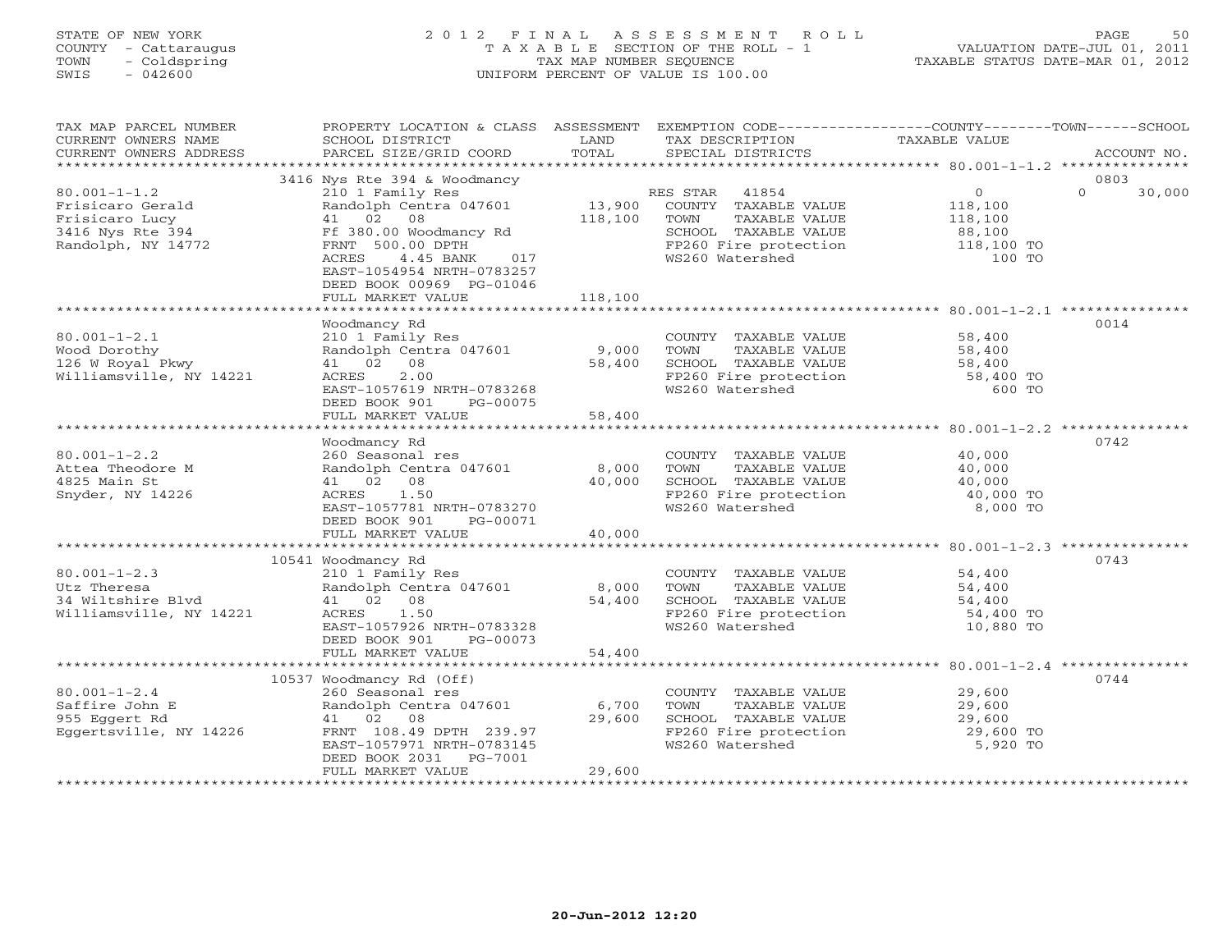### STATE OF NEW YORK 2 0 1 2 F I N A L A S S E S S M E N T R O L L PAGE 50 COUNTY - Cattaraugus T A X A B L E SECTION OF THE ROLL - 1 VALUATION DATE-JUL 01, 2011 TOWN - Coldspring TAX MAP NUMBER SEQUENCE TAXABLE STATUS DATE-MAR 01, 2012 SWIS - 042600 UNIFORM PERCENT OF VALUE IS 100.00UNIFORM PERCENT OF VALUE IS 100.00

| TAX MAP PARCEL NUMBER<br>CURRENT OWNERS NAME<br>CURRENT OWNERS ADDRESS                             | PROPERTY LOCATION & CLASS ASSESSMENT<br>SCHOOL DISTRICT<br>PARCEL SIZE/GRID COORD                                                                                                                                                                  | LAND<br>TOTAL                | EXEMPTION CODE-----------------COUNTY-------TOWN------SCHOOL<br>TAX DESCRIPTION<br>SPECIAL DISTRICTS                                | TAXABLE VALUE                                                          | ACCOUNT NO.                |
|----------------------------------------------------------------------------------------------------|----------------------------------------------------------------------------------------------------------------------------------------------------------------------------------------------------------------------------------------------------|------------------------------|-------------------------------------------------------------------------------------------------------------------------------------|------------------------------------------------------------------------|----------------------------|
|                                                                                                    |                                                                                                                                                                                                                                                    |                              |                                                                                                                                     |                                                                        |                            |
| $80.001 - 1 - 1.2$<br>Frisicaro Gerald<br>Frisicaro Lucy<br>3416 Nys Rte 394<br>Randolph, NY 14772 | 3416 Nys Rte 394 & Woodmancy<br>210 1 Family Res<br>Randolph Centra 047601<br>41 02<br>08<br>Ff 380.00 Woodmancy Rd<br>FRNT 500.00 DPTH<br>ACRES<br>4.45 BANK<br>017<br>EAST-1054954 NRTH-0783257<br>DEED BOOK 00969 PG-01046<br>FULL MARKET VALUE | 13,900<br>118,100<br>118,100 | RES STAR 41854<br>COUNTY TAXABLE VALUE<br>TAXABLE VALUE<br>TOWN<br>SCHOOL TAXABLE VALUE<br>FP260 Fire protection<br>WS260 Watershed | $\overline{O}$<br>118,100<br>118,100<br>88,100<br>118,100 TO<br>100 TO | 0803<br>$\Omega$<br>30,000 |
|                                                                                                    |                                                                                                                                                                                                                                                    |                              |                                                                                                                                     |                                                                        |                            |
| $80.001 - 1 - 2.1$<br>Wood Dorothy<br>126 W Royal Pkwy<br>Williamsville, NY 14221                  | Woodmancy Rd<br>210 1 Family Res<br>Randolph Centra 047601<br>41 02 08<br>2.00<br>ACRES<br>EAST-1057619 NRTH-0783268<br>DEED BOOK 901<br>PG-00075                                                                                                  | 9,000<br>58,400              | COUNTY TAXABLE VALUE<br>TOWN<br>TAXABLE VALUE<br>SCHOOL TAXABLE VALUE<br>FP260 Fire protection<br>WS260 Watershed                   | 58,400<br>58,400<br>58,400<br>58,400 TO<br>600 TO                      | 0014                       |
|                                                                                                    | FULL MARKET VALUE                                                                                                                                                                                                                                  | 58,400                       |                                                                                                                                     |                                                                        |                            |
| $80.001 - 1 - 2.2$<br>Attea Theodore M<br>4825 Main St<br>Snyder, NY 14226                         | Woodmancy Rd<br>260 Seasonal res<br>Randolph Centra 047601<br>41 02 08<br>ACRES<br>1.50<br>EAST-1057781 NRTH-0783270<br>DEED BOOK 901<br>PG-00071<br>FULL MARKET VALUE                                                                             | 8,000<br>40,000<br>40,000    | COUNTY TAXABLE VALUE<br>TOWN<br>TAXABLE VALUE<br>SCHOOL TAXABLE VALUE<br>FP260 Fire protection<br>WS260 Watershed                   | 40,000<br>40,000<br>40,000<br>40,000 TO<br>8,000 TO                    | 0742                       |
|                                                                                                    |                                                                                                                                                                                                                                                    |                              |                                                                                                                                     |                                                                        |                            |
| $80.001 - 1 - 2.3$<br>Utz Theresa<br>34 Wiltshire Blvd<br>Williamsville, NY 14221                  | 10541 Woodmancy Rd<br>210 1 Family Res<br>Randolph Centra 047601<br>41 02 08<br>ACRES<br>1.50<br>EAST-1057926 NRTH-0783328<br>DEED BOOK 901<br>PG-00073<br>FULL MARKET VALUE                                                                       | 8,000<br>54,400<br>54,400    | COUNTY TAXABLE VALUE<br>TAXABLE VALUE<br>TOWN<br>SCHOOL TAXABLE VALUE<br>FP260 Fire protection<br>WS260 Watershed                   | 54,400<br>54,400<br>54,400<br>54,400 TO<br>10,880 TO                   | 0743                       |
|                                                                                                    |                                                                                                                                                                                                                                                    |                              |                                                                                                                                     |                                                                        |                            |
| $80.001 - 1 - 2.4$<br>Saffire John E<br>955 Eggert Rd<br>Eggertsville, NY 14226                    | 10537 Woodmancy Rd (Off)<br>260 Seasonal res<br>Randolph Centra 047601<br>41 02<br>08<br>FRNT 108.49 DPTH 239.97<br>EAST-1057971 NRTH-0783145<br>DEED BOOK 2031<br>PG-7001<br>FULL MARKET VALUE                                                    | 6,700<br>29,600<br>29,600    | COUNTY TAXABLE VALUE<br>TOWN<br>TAXABLE VALUE<br>SCHOOL TAXABLE VALUE<br>FP260 Fire protection<br>WS260 Watershed                   | 29,600<br>29,600<br>29,600<br>29,600 TO<br>5,920 TO                    | 0744                       |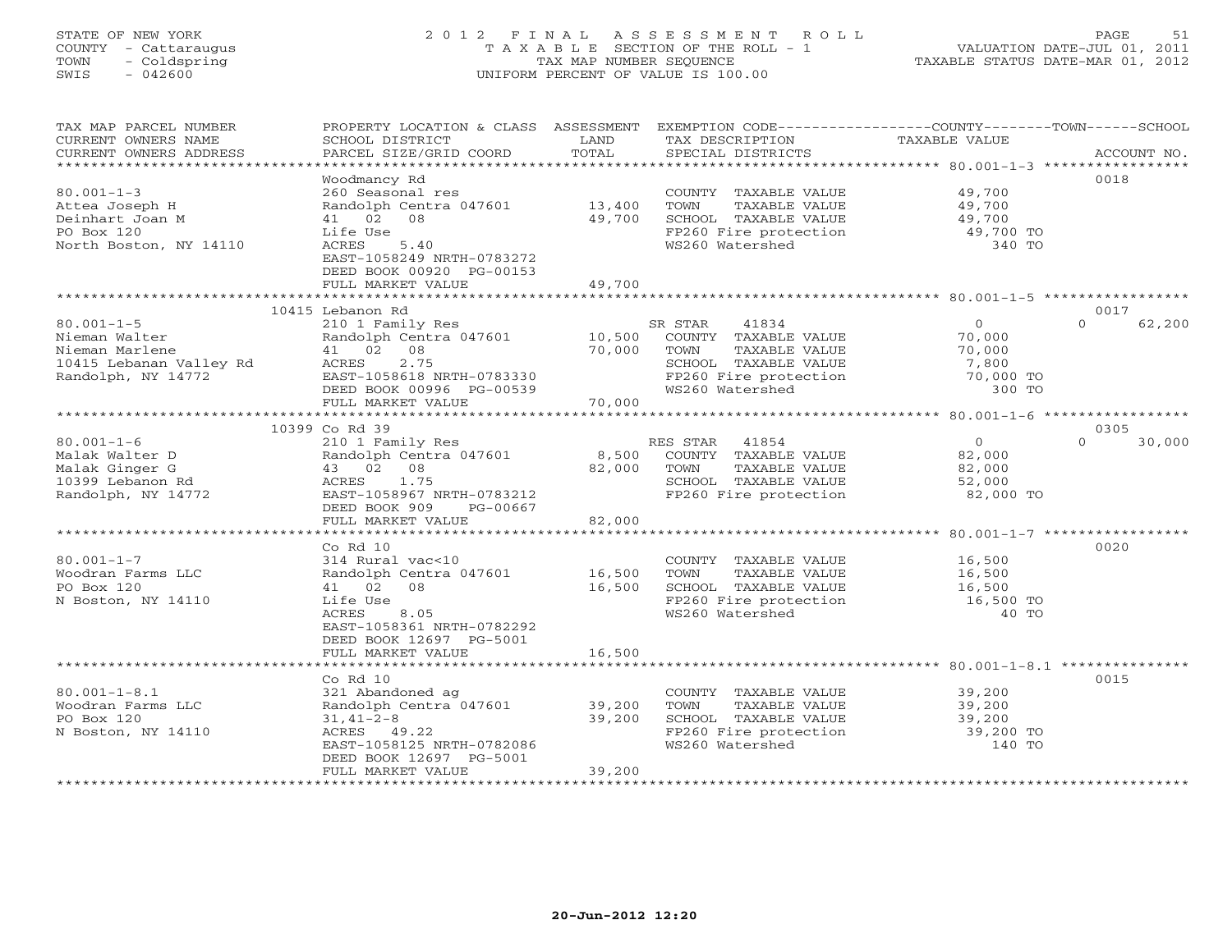# STATE OF NEW YORK 2 0 1 2 F I N A L A S S E S S M E N T R O L L PAGE 51 COUNTY - Cattaraugus T A X A B L E SECTION OF THE ROLL - 1 VALUATION DATE-JUL 01, 2011 TOWN - Coldspring TAX MAP NUMBER SEQUENCE TAXABLE STATUS DATE-MAR 01, 2012 SWIS - 042600 UNIFORM PERCENT OF VALUE IS 100.00UNIFORM PERCENT OF VALUE IS 100.00

| TAX MAP PARCEL NUMBER<br>CURRENT OWNERS NAME<br>CURRENT OWNERS ADDRESS | PROPERTY LOCATION & CLASS ASSESSMENT<br>SCHOOL DISTRICT<br>PARCEL SIZE/GRID COORD | LAND<br>TOTAL    | EXEMPTION CODE----------------COUNTY-------TOWN------SCHOOL<br>TAX DESCRIPTION<br>SPECIAL DISTRICTS | TAXABLE VALUE                                             | ACCOUNT NO.        |
|------------------------------------------------------------------------|-----------------------------------------------------------------------------------|------------------|-----------------------------------------------------------------------------------------------------|-----------------------------------------------------------|--------------------|
| *************************                                              |                                                                                   |                  |                                                                                                     |                                                           |                    |
|                                                                        | Woodmancy Rd                                                                      |                  |                                                                                                     |                                                           | 0018               |
| $80.001 - 1 - 3$                                                       | 260 Seasonal res                                                                  |                  | COUNTY TAXABLE VALUE<br>TOWN<br>TAXABLE VALUE                                                       | 49,700                                                    |                    |
| Attea Joseph H<br>Deinhart Joan M                                      | Randolph Centra 047601<br>41 02 08                                                | 13,400<br>49,700 | SCHOOL TAXABLE VALUE                                                                                | 49,700<br>49,700                                          |                    |
| PO Box 120                                                             | Life Use                                                                          |                  | FP260 Fire protection                                                                               | 49,700 TO                                                 |                    |
| North Boston, NY 14110                                                 | ACRES<br>5.40                                                                     |                  | WS260 Watershed                                                                                     | 340 TO                                                    |                    |
|                                                                        | EAST-1058249 NRTH-0783272                                                         |                  |                                                                                                     |                                                           |                    |
|                                                                        | DEED BOOK 00920 PG-00153                                                          |                  |                                                                                                     |                                                           |                    |
|                                                                        | FULL MARKET VALUE<br>*****************************                                | 49,700           |                                                                                                     | *********************************** 80.001-1-5 ********** |                    |
|                                                                        | 10415 Lebanon Rd                                                                  |                  |                                                                                                     |                                                           | 0017               |
| $80.001 - 1 - 5$                                                       | 210 1 Family Res                                                                  |                  | SR STAR<br>41834                                                                                    | $\circ$                                                   | $\Omega$<br>62,200 |
| Nieman Walter                                                          | Randolph Centra 047601                                                            | 10,500           | COUNTY TAXABLE VALUE                                                                                | 70,000                                                    |                    |
| Nieman Marlene                                                         | 41 02 08                                                                          | 70,000           | TAXABLE VALUE<br>TOWN                                                                               | 70,000                                                    |                    |
| 10415 Lebanan Valley Rd                                                | 2.75<br>ACRES                                                                     |                  | SCHOOL TAXABLE VALUE                                                                                | 7,800                                                     |                    |
| Randolph, NY 14772                                                     | EAST-1058618 NRTH-0783330                                                         |                  | FP260 Fire protection                                                                               | 70,000 TO                                                 |                    |
|                                                                        | DEED BOOK 00996 PG-00539                                                          |                  | WS260 Watershed                                                                                     | 300 TO                                                    |                    |
|                                                                        | FULL MARKET VALUE                                                                 | 70,000           |                                                                                                     |                                                           |                    |
|                                                                        | 10399 Co Rd 39                                                                    |                  |                                                                                                     |                                                           | 0305               |
| $80.001 - 1 - 6$                                                       | 210 1 Family Res                                                                  |                  | RES STAR<br>41854                                                                                   | $\overline{O}$                                            | 30,000<br>$\Omega$ |
| Malak Walter D                                                         | Randolph Centra 047601                                                            | 8,500            | COUNTY TAXABLE VALUE                                                                                | 82,000                                                    |                    |
| Malak Ginger G                                                         | 43 02 08                                                                          | 82,000           | TOWN<br>TAXABLE VALUE                                                                               | 82,000                                                    |                    |
| 10399 Lebanon Rd                                                       | 1.75<br>ACRES                                                                     |                  | SCHOOL TAXABLE VALUE                                                                                | 52,000                                                    |                    |
| Randolph, NY 14772                                                     | EAST-1058967 NRTH-0783212                                                         |                  | FP260 Fire protection                                                                               | 82,000 TO                                                 |                    |
|                                                                        | DEED BOOK 909<br>PG-00667<br>FULL MARKET VALUE                                    | 82,000           |                                                                                                     |                                                           |                    |
|                                                                        |                                                                                   |                  |                                                                                                     |                                                           |                    |
|                                                                        | Co Rd 10                                                                          |                  |                                                                                                     |                                                           | 0020               |
| $80.001 - 1 - 7$                                                       | 314 Rural vac<10                                                                  |                  | COUNTY TAXABLE VALUE                                                                                | 16,500                                                    |                    |
| Woodran Farms LLC                                                      | Randolph Centra 047601                                                            | 16,500           | TAXABLE VALUE<br>TOWN                                                                               | 16,500                                                    |                    |
| PO Box 120                                                             | 41 02<br>08                                                                       | 16,500           | SCHOOL TAXABLE VALUE                                                                                | 16,500                                                    |                    |
| N Boston, NY 14110                                                     | Life Use                                                                          |                  | FP260 Fire protection                                                                               | 16,500 TO                                                 |                    |
|                                                                        | 8.05<br><b>ACRES</b><br>EAST-1058361 NRTH-0782292                                 |                  | WS260 Watershed                                                                                     | 40 TO                                                     |                    |
|                                                                        | DEED BOOK 12697 PG-5001                                                           |                  |                                                                                                     |                                                           |                    |
|                                                                        | FULL MARKET VALUE                                                                 | 16,500           |                                                                                                     |                                                           |                    |
|                                                                        | .                                                                                 |                  |                                                                                                     | **********************************80.001-1-8.1 ********** |                    |
|                                                                        | Co Rd 10                                                                          |                  |                                                                                                     |                                                           | 0015               |
| $80.001 - 1 - 8.1$                                                     | 321 Abandoned ag                                                                  |                  | COUNTY TAXABLE VALUE                                                                                | 39,200                                                    |                    |
| Woodran Farms LLC<br>PO Box 120                                        | Randolph Centra 047601                                                            | 39,200           | TAXABLE VALUE<br>TOWN                                                                               | 39,200                                                    |                    |
| N Boston, NY 14110                                                     | $31, 41 - 2 - 8$<br>ACRES 49.22                                                   | 39,200           | SCHOOL TAXABLE VALUE<br>FP260 Fire protection                                                       | 39,200<br>39,200 TO                                       |                    |
|                                                                        | EAST-1058125 NRTH-0782086                                                         |                  | WS260 Watershed                                                                                     | 140 TO                                                    |                    |
|                                                                        | DEED BOOK 12697 PG-5001                                                           |                  |                                                                                                     |                                                           |                    |
|                                                                        | FULL MARKET VALUE                                                                 | 39,200           |                                                                                                     |                                                           |                    |
|                                                                        |                                                                                   |                  |                                                                                                     |                                                           |                    |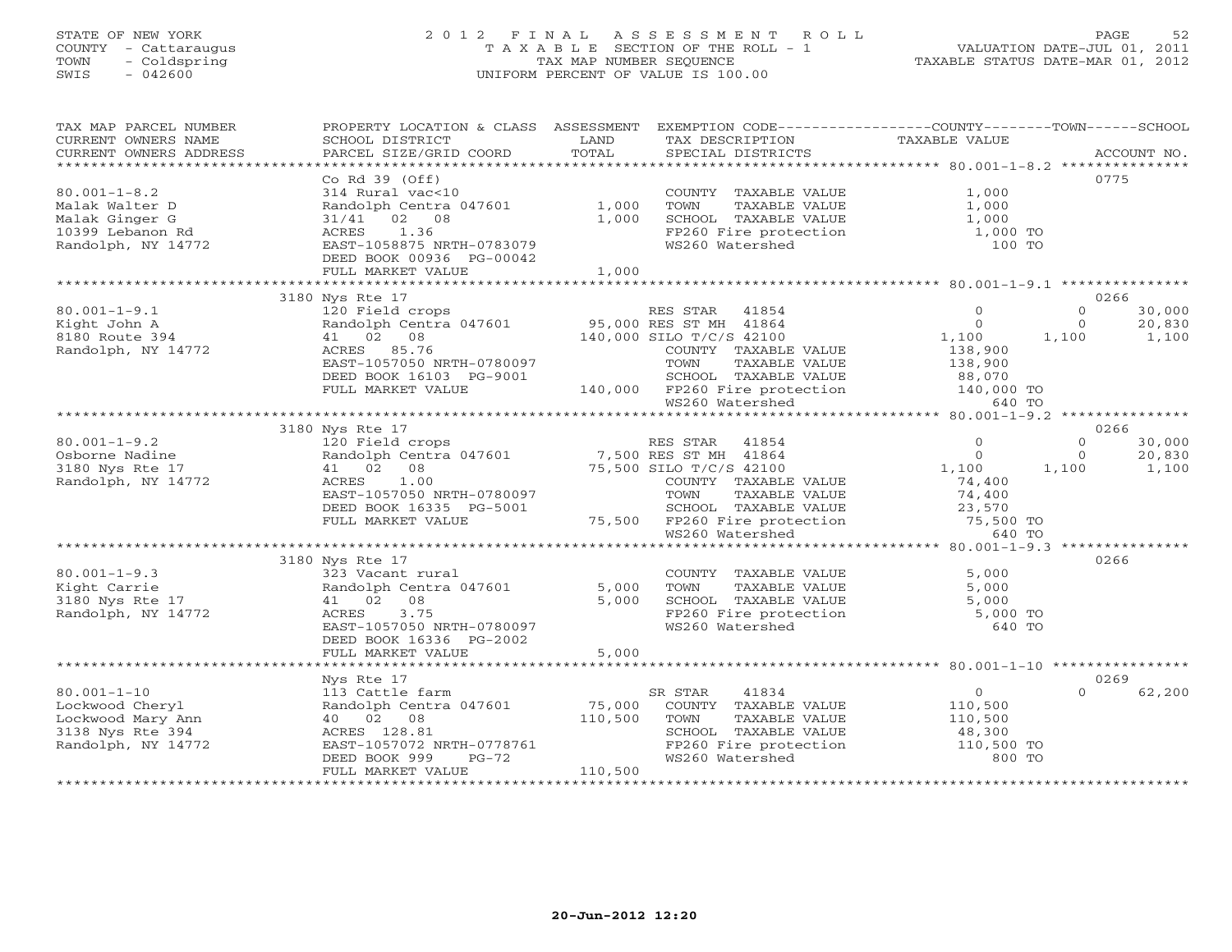## STATE OF NEW YORK 2 0 1 2 F I N A L A S S E S S M E N T R O L L PAGE 52 COUNTY - Cattaraugus T A X A B L E SECTION OF THE ROLL - 1 VALUATION DATE-JUL 01, 2011 TOWN - Coldspring TAX MAP NUMBER SEQUENCE TAXABLE STATUS DATE-MAR 01, 2012 SWIS - 042600 UNIFORM PERCENT OF VALUE IS 100.00UNIFORM PERCENT OF VALUE IS 100.00

| TAX MAP PARCEL NUMBER                                                                                                                                                                                                                                                                                                                                                                                                                                                                                                  | PROPERTY LOCATION & CLASS ASSESSMENT EXEMPTION CODE---------------COUNTY-------TOWN------SCHOOL                           |         |                                                                                                               |                |          |        |
|------------------------------------------------------------------------------------------------------------------------------------------------------------------------------------------------------------------------------------------------------------------------------------------------------------------------------------------------------------------------------------------------------------------------------------------------------------------------------------------------------------------------|---------------------------------------------------------------------------------------------------------------------------|---------|---------------------------------------------------------------------------------------------------------------|----------------|----------|--------|
| CURRENT OWNERS NAME                                                                                                                                                                                                                                                                                                                                                                                                                                                                                                    | SCHOOL DISTRICT                                                                                                           | LAND    | TAX DESCRIPTION                                                                                               | TAXABLE VALUE  |          |        |
| $\begin{minipage}{.45\textwidth} \begin{minipage}{.45\textwidth} \begin{minipage}{.45\textwidth} \begin{minipage}{.45\textwidth} \begin{minipage}{.45\textwidth} \begin{minipage}{.45\textwidth} \begin{minipage}{.45\textwidth} \begin{minipage}{.45\textwidth} \begin{minipage}{.45\textwidth} \begin{minipage}{.45\textwidth} \begin{minipage}{.45\textwidth} \begin{minipage}{.45\textwidth} \begin{minipage}{.45\textwidth} \begin{minipage}{.45\textwidth} \begin{minipage}{.45\textwidth} \begin{minipage}{.45$ |                                                                                                                           |         |                                                                                                               |                |          |        |
|                                                                                                                                                                                                                                                                                                                                                                                                                                                                                                                        | $Co$ Rd $39$ (Off)                                                                                                        |         |                                                                                                               |                |          | 0775   |
| $80.001 - 1 - 8.2$                                                                                                                                                                                                                                                                                                                                                                                                                                                                                                     | 314 Rural vac<10                                                                                                          |         | COUNTY TAXABLE VALUE                                                                                          | 1,000          |          |        |
| Malak Walter D                                                                                                                                                                                                                                                                                                                                                                                                                                                                                                         | Randolph Centra 047601                                                                                                    | 1,000   | TOWN<br>TAXABLE VALUE                                                                                         | 1,000          |          |        |
| Malak Ginger G                                                                                                                                                                                                                                                                                                                                                                                                                                                                                                         | 31/41 02 08                                                                                                               | 1,000   | SCHOOL TAXABLE VALUE                                                                                          | 1,000          |          |        |
| 10399 Lebanon Rd                                                                                                                                                                                                                                                                                                                                                                                                                                                                                                       | ACRES 1.36                                                                                                                |         |                                                                                                               | 1,000 TO       |          |        |
| Randolph, NY 14772                                                                                                                                                                                                                                                                                                                                                                                                                                                                                                     | EAST-1058875 NRTH-0783079                                                                                                 |         | FP260 Fire protection<br>WS260 Watershed<br>WS260 Watershed                                                   | 100 TO         |          |        |
|                                                                                                                                                                                                                                                                                                                                                                                                                                                                                                                        | DEED BOOK 00936 PG-00042                                                                                                  |         |                                                                                                               |                |          |        |
|                                                                                                                                                                                                                                                                                                                                                                                                                                                                                                                        | FULL MARKET VALUE                                                                                                         | 1,000   |                                                                                                               |                |          |        |
|                                                                                                                                                                                                                                                                                                                                                                                                                                                                                                                        |                                                                                                                           |         |                                                                                                               |                |          |        |
|                                                                                                                                                                                                                                                                                                                                                                                                                                                                                                                        | 3180 Nys Rte 17                                                                                                           |         |                                                                                                               |                |          | 0266   |
| $80.001 - 1 - 9.1$                                                                                                                                                                                                                                                                                                                                                                                                                                                                                                     | 120 Field crops                                                                                                           |         | RES STAR 41854                                                                                                | $\Omega$       | $\Omega$ | 30,000 |
| Kight John A                                                                                                                                                                                                                                                                                                                                                                                                                                                                                                           | Randolph Centra 047601                                                                                                    |         | 95,000 RES ST MH 41864<br>140 000 STLO T/C/S 42100                                                            | $\Omega$       | $\Omega$ | 20,830 |
| 8180 Route 394                                                                                                                                                                                                                                                                                                                                                                                                                                                                                                         | 41 02 08                                                                                                                  |         | 140,000 SILO T/C/S 42100                                                                                      | 1,100 1,100    |          | 1,100  |
| Randolph, NY 14772                                                                                                                                                                                                                                                                                                                                                                                                                                                                                                     | ACRES 85.76                                                                                                               |         | COUNTY TAXABLE VALUE                                                                                          | 138,900        |          |        |
|                                                                                                                                                                                                                                                                                                                                                                                                                                                                                                                        | EAST-1057050 NRTH-0780097                                                                                                 |         | TAXABLE VALUE<br>TOWN                                                                                         | 138,900        |          |        |
|                                                                                                                                                                                                                                                                                                                                                                                                                                                                                                                        | DEED BOOK 16103 PG-9001                                                                                                   |         |                                                                                                               |                |          |        |
|                                                                                                                                                                                                                                                                                                                                                                                                                                                                                                                        | FULL MARKET VALUE                                                                                                         |         |                                                                                                               |                |          |        |
|                                                                                                                                                                                                                                                                                                                                                                                                                                                                                                                        |                                                                                                                           |         | 9001 SCHOOL TAXABLE VALUE 88,070<br>140,000 FP260 Fire protection 140,000 TO<br>640 TO WS260 Watershed 640 TO |                |          |        |
|                                                                                                                                                                                                                                                                                                                                                                                                                                                                                                                        |                                                                                                                           |         |                                                                                                               |                |          |        |
|                                                                                                                                                                                                                                                                                                                                                                                                                                                                                                                        | 3180 Nys Rte 17                                                                                                           |         |                                                                                                               |                |          | 0266   |
| $80.001 - 1 - 9.2$                                                                                                                                                                                                                                                                                                                                                                                                                                                                                                     |                                                                                                                           |         |                                                                                                               | $\Omega$       | $\Omega$ | 30,000 |
| Osborne Nadine                                                                                                                                                                                                                                                                                                                                                                                                                                                                                                         |                                                                                                                           |         |                                                                                                               | $\bigcirc$     | $\Omega$ | 20,830 |
| 3180 Nys Rte 17                                                                                                                                                                                                                                                                                                                                                                                                                                                                                                        | 120 Field crops<br>Randolph Centra 047601 7,500 RES ST MH 41864<br>41 02 08 75,500 SILO T/C/S 42100<br>ACRES 1.00 COLORET |         |                                                                                                               | 1,100          | 1,100    | 1,100  |
| Randolph, NY 14772                                                                                                                                                                                                                                                                                                                                                                                                                                                                                                     |                                                                                                                           |         | COUNTY TAXABLE VALUE                                                                                          | 74,400         |          |        |
|                                                                                                                                                                                                                                                                                                                                                                                                                                                                                                                        | EAST-1057050 NRTH-0780097                                                                                                 |         |                                                                                                               |                |          |        |
|                                                                                                                                                                                                                                                                                                                                                                                                                                                                                                                        | DEED BOOK 16335 PG-5001                                                                                                   |         |                                                                                                               |                |          |        |
|                                                                                                                                                                                                                                                                                                                                                                                                                                                                                                                        | FULL MARKET VALUE                                                                                                         |         |                                                                                                               |                |          |        |
|                                                                                                                                                                                                                                                                                                                                                                                                                                                                                                                        |                                                                                                                           |         |                                                                                                               |                |          |        |
|                                                                                                                                                                                                                                                                                                                                                                                                                                                                                                                        |                                                                                                                           |         |                                                                                                               |                |          |        |
|                                                                                                                                                                                                                                                                                                                                                                                                                                                                                                                        | 3180 Nys Rte 17                                                                                                           |         |                                                                                                               |                |          | 0266   |
| $80.001 - 1 - 9.3$                                                                                                                                                                                                                                                                                                                                                                                                                                                                                                     | 323 Vacant rural                                                                                                          |         | COUNTY TAXABLE VALUE                                                                                          | 5,000          |          |        |
| Kight Carrie                                                                                                                                                                                                                                                                                                                                                                                                                                                                                                           | Randolph Centra 047601                                                                                                    | 5,000   | TOWN<br>TAXABLE VALUE                                                                                         | 5,000          |          |        |
| 3180 Nys Rte 17                                                                                                                                                                                                                                                                                                                                                                                                                                                                                                        | 41 02 08                                                                                                                  | 5,000   |                                                                                                               |                |          |        |
| Randolph, NY 14772                                                                                                                                                                                                                                                                                                                                                                                                                                                                                                     | 3.75<br>ACRES                                                                                                             |         | SCHOOL TAXABLE VALUE 5,000<br>FP260 Fire protection 5,000 TO<br>WS260 Watershed 640 TO<br>WS260 Watershed     | 640 TO         |          |        |
|                                                                                                                                                                                                                                                                                                                                                                                                                                                                                                                        | EAST-1057050 NRTH-0780097                                                                                                 |         |                                                                                                               |                |          |        |
|                                                                                                                                                                                                                                                                                                                                                                                                                                                                                                                        | DEED BOOK 16336 PG-2002<br>FULL MARKET VALUE                                                                              | 5,000   |                                                                                                               |                |          |        |
|                                                                                                                                                                                                                                                                                                                                                                                                                                                                                                                        |                                                                                                                           |         |                                                                                                               |                |          |        |
|                                                                                                                                                                                                                                                                                                                                                                                                                                                                                                                        | Nys Rte 17                                                                                                                |         |                                                                                                               |                |          | 0269   |
| $80.001 - 1 - 10$                                                                                                                                                                                                                                                                                                                                                                                                                                                                                                      | 113 Cattle farm                                                                                                           |         | SR STAR<br>41834                                                                                              | $\overline{0}$ | $\Omega$ | 62,200 |
| Lockwood Cheryl                                                                                                                                                                                                                                                                                                                                                                                                                                                                                                        | Randolph Centra 047601 75,000<br>40 02 08 110,500<br>ACRES 128 81                                                         |         | COUNTY TAXABLE VALUE                                                                                          | 110,500        |          |        |
| Lockwood Mary Ann                                                                                                                                                                                                                                                                                                                                                                                                                                                                                                      |                                                                                                                           |         | TOWN<br>TAXABLE VALUE                                                                                         | 110,500        |          |        |
| 3138 Nys Rte 394                                                                                                                                                                                                                                                                                                                                                                                                                                                                                                       | ACRES 128.81                                                                                                              |         |                                                                                                               |                |          |        |
| Randolph, NY 14772                                                                                                                                                                                                                                                                                                                                                                                                                                                                                                     | EAST-1057072 NRTH-0778761                                                                                                 |         | SCHOOL TAXABLE VALUE 48,300<br>FP260 Fire protection 110,500 TO                                               |                |          |        |
|                                                                                                                                                                                                                                                                                                                                                                                                                                                                                                                        | DEED BOOK 999<br>$PG-72$                                                                                                  |         | WS260 Watershed                                                                                               | 800 TO         |          |        |
|                                                                                                                                                                                                                                                                                                                                                                                                                                                                                                                        | FULL MARKET VALUE                                                                                                         | 110,500 |                                                                                                               |                |          |        |
|                                                                                                                                                                                                                                                                                                                                                                                                                                                                                                                        |                                                                                                                           |         |                                                                                                               |                |          |        |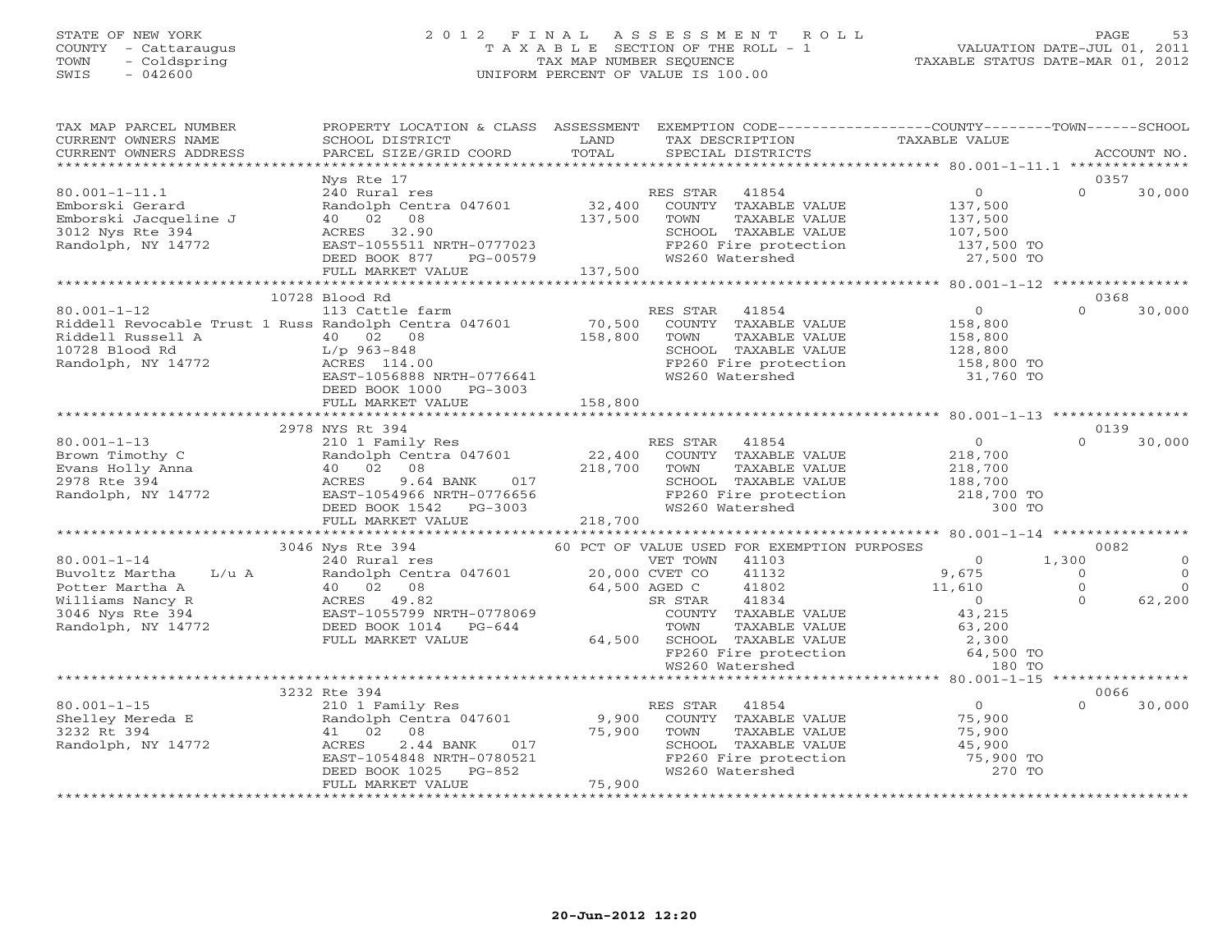### STATE OF NEW YORK 2 0 1 2 F I N A L A S S E S S M E N T R O L L PAGE 53 COUNTY - Cattaraugus T A X A B L E SECTION OF THE ROLL - 1 VALUATION DATE-JUL 01, 2011 TOWN - Coldspring TAX MAP NUMBER SEQUENCE TAXABLE STATUS DATE-MAR 01, 2012 SWIS - 042600 UNIFORM PERCENT OF VALUE IS 100.00UNIFORM PERCENT OF VALUE IS 100.00

| SCHOOL DISTRICT<br>PARCEL SIZE/GRID COORD                                                                                                                            | LAND<br>TOTAL                                                                                                                                                                               | TAX DESCRIPTION<br>SPECIAL DISTRICTS                                                                                        | TAXABLE VALUE                                                                                                                                                                                                                                                                   | ACCOUNT NO.                                                                                                                                                                                                                                                                                                                                                                                                                                                                             |
|----------------------------------------------------------------------------------------------------------------------------------------------------------------------|---------------------------------------------------------------------------------------------------------------------------------------------------------------------------------------------|-----------------------------------------------------------------------------------------------------------------------------|---------------------------------------------------------------------------------------------------------------------------------------------------------------------------------------------------------------------------------------------------------------------------------|-----------------------------------------------------------------------------------------------------------------------------------------------------------------------------------------------------------------------------------------------------------------------------------------------------------------------------------------------------------------------------------------------------------------------------------------------------------------------------------------|
|                                                                                                                                                                      |                                                                                                                                                                                             |                                                                                                                             |                                                                                                                                                                                                                                                                                 |                                                                                                                                                                                                                                                                                                                                                                                                                                                                                         |
| Nys Rte 17<br>240 Rural res<br>Randolph Centra 047601<br>40 02 08<br>ACRES 32.90<br>DEED BOOK 877 PG-00579<br>FULL MARKET VALUE                                      | 137,500                                                                                                                                                                                     | RES STAR<br>41854<br>TOWN<br>TAXABLE VALUE<br>WS260 Watershed                                                               | $\overline{0}$<br>137,500<br>137,500<br>27,500 TO                                                                                                                                                                                                                               | 0357<br>$\Omega$<br>30,000                                                                                                                                                                                                                                                                                                                                                                                                                                                              |
|                                                                                                                                                                      |                                                                                                                                                                                             |                                                                                                                             |                                                                                                                                                                                                                                                                                 |                                                                                                                                                                                                                                                                                                                                                                                                                                                                                         |
| 113 Cattle farm<br>40 02 08<br>ACRES 114.00<br>DEED BOOK 1000 PG-3003                                                                                                | 158,800                                                                                                                                                                                     | RES STAR<br>41854<br>TOWN<br>TAXABLE VALUE<br>SCHOOL TAXABLE VALUE<br>WS260 Watershed                                       | $\overline{0}$<br>158,800<br>158,800<br>128,800<br>158,800 TO<br>31,760 TO                                                                                                                                                                                                      | 0368<br>30,000<br>$\Omega$                                                                                                                                                                                                                                                                                                                                                                                                                                                              |
|                                                                                                                                                                      |                                                                                                                                                                                             |                                                                                                                             |                                                                                                                                                                                                                                                                                 |                                                                                                                                                                                                                                                                                                                                                                                                                                                                                         |
|                                                                                                                                                                      |                                                                                                                                                                                             |                                                                                                                             |                                                                                                                                                                                                                                                                                 | 0139                                                                                                                                                                                                                                                                                                                                                                                                                                                                                    |
| 210 1 Family Res<br>Randolph Centra 047601<br>40 02 08<br>ACRES<br>DEED BOOK 1542 PG-3003<br>FULL MARKET VALUE                                                       | 22,400<br>218,700                                                                                                                                                                           | RES STAR 41854<br>COUNTY TAXABLE VALUE<br>TOWN<br>TAXABLE VALUE<br>SCHOOL TAXABLE VALUE                                     | $\overline{O}$<br>218,700<br>218,700<br>188,700<br>218,700 TO<br>300 TO                                                                                                                                                                                                         | $\Omega$<br>30,000                                                                                                                                                                                                                                                                                                                                                                                                                                                                      |
|                                                                                                                                                                      |                                                                                                                                                                                             |                                                                                                                             |                                                                                                                                                                                                                                                                                 | 0082                                                                                                                                                                                                                                                                                                                                                                                                                                                                                    |
| 240 Rural res<br>40 02 08<br>ACRES 49.82<br>DEED BOOK 1014 PG-644<br>FULL MARKET VALUE                                                                               |                                                                                                                                                                                             | VET TOWN 41103<br>41132<br>41802<br>41834<br>SR STAR<br>TOWN                                                                | $\Omega$<br>9,675<br>11,610<br>$\overline{0}$<br>43,215<br>63,200<br>2,300<br>64,500 TO                                                                                                                                                                                         | 1,300<br>$\Omega$<br>$\overline{0}$<br>$\circ$<br>$\circ$<br>$\Omega$<br>$\Omega$<br>62,200                                                                                                                                                                                                                                                                                                                                                                                             |
|                                                                                                                                                                      |                                                                                                                                                                                             |                                                                                                                             |                                                                                                                                                                                                                                                                                 |                                                                                                                                                                                                                                                                                                                                                                                                                                                                                         |
|                                                                                                                                                                      |                                                                                                                                                                                             |                                                                                                                             |                                                                                                                                                                                                                                                                                 | 0066                                                                                                                                                                                                                                                                                                                                                                                                                                                                                    |
| 210 1 Family Res<br>Randolph Centra 047601<br>41 02<br>08<br>ACRES<br>2.44 BANK<br>017<br>EAST-1054848 NRTH-0780521<br>DEED BOOK 1025<br>PG-852<br>FULL MARKET VALUE | 75,900<br>75,900                                                                                                                                                                            | COUNTY TAXABLE VALUE<br>TOWN<br>TAXABLE VALUE<br>SCHOOL TAXABLE VALUE<br>FP260 Fire protection<br>WS260 Watershed           | $\overline{0}$<br>75,900<br>75,900<br>45,900<br>75,900 TO<br>270 TO                                                                                                                                                                                                             | $\Omega$<br>30,000                                                                                                                                                                                                                                                                                                                                                                                                                                                                      |
|                                                                                                                                                                      | 10728 Blood Rd<br>Riddell Russell A $10728$ Blood Rd<br>Randolph, NY 14772<br>Randolph, NY 14772<br>RCRES 114.0<br>FULL MARKET VALUE<br>2978 NYS Rt 394<br>3046 Nys Rte 394<br>3232 Rte 394 | EAST-1055511 NRTH-0777023<br>EAST-1056888 NRTH-0776641<br>158,800<br>EAST-1054966 NRTH-0776656<br>EAST-1055799 NRTH-0778069 | 32,400<br>137,500<br>Riddell Revocable Trust 1 Russ Randolph Centra 047601 70,500<br>Riddell Russell A 10 02 08 158 800<br>08<br>9.64 BANK 017<br>4966 NRTH-0776656<br>100-3003<br>218,700<br>Randolph Centra 047601 20,000 CVET CO<br>64,500 AGED C<br>RES STAR 41854<br>9,900 | PROPERTY LOCATION & CLASS ASSESSMENT EXEMPTION CODE----------------COUNTY-------TOWN------SCHOOL<br>COUNTY TAXABLE VALUE<br>SCHOOL TAXABLE VALUE $107,500$<br>FP260 Fire protection $137,500$ TO<br>27.500 TO<br>COUNTY TAXABLE VALUE<br>FP260 Fire protection<br>FP260 Fire protection<br>WS260 Watershed<br>60 PCT OF VALUE USED FOR EXEMPTION PURPOSES<br>COUNTY TAXABLE VALUE<br>TAXABLE VALUE<br>64,500 SCHOOL TAXABLE VALUE<br>FP260 Fire protection<br>WS260 Watershed<br>180 TO |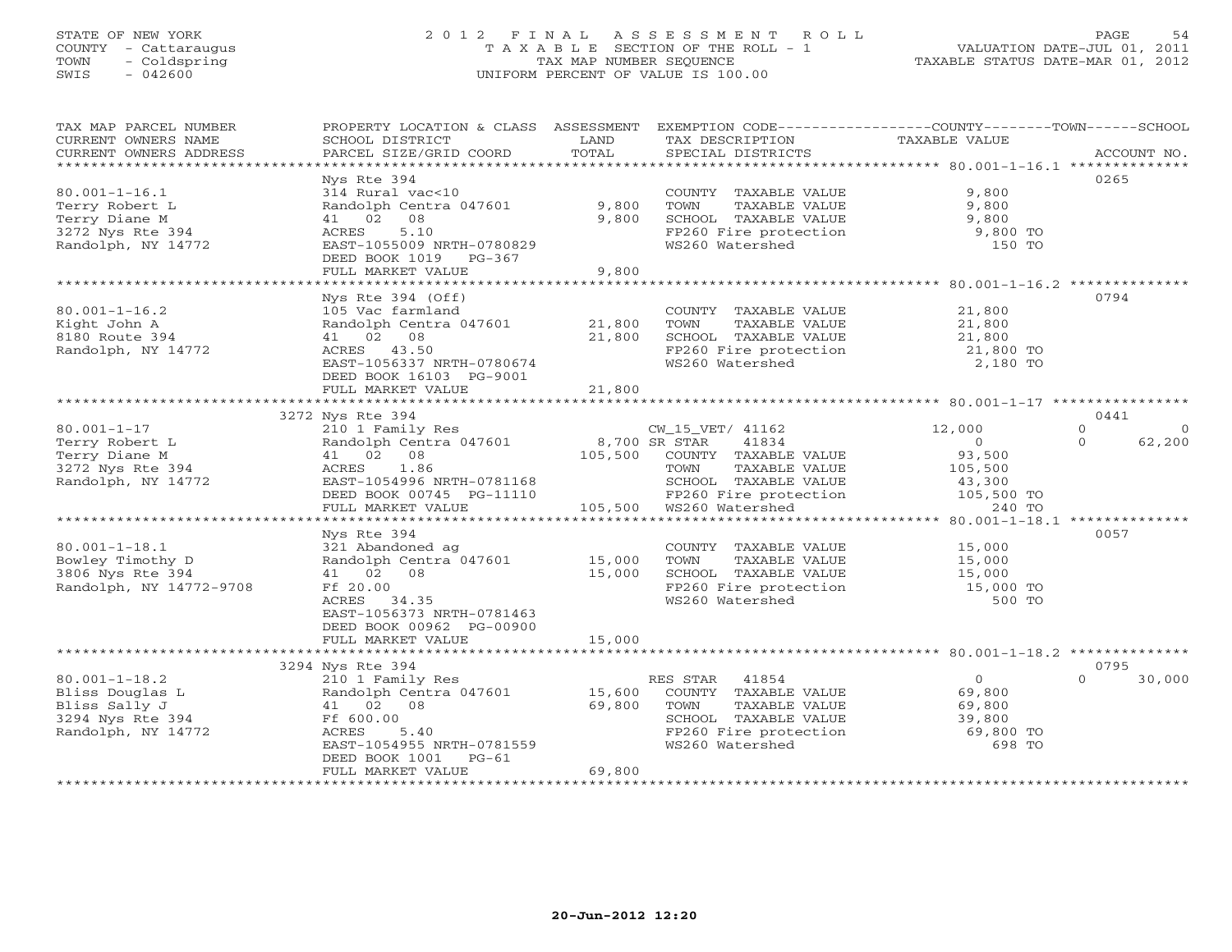## STATE OF NEW YORK 2 0 1 2 F I N A L A S S E S S M E N T R O L L PAGE 54 COUNTY - Cattaraugus T A X A B L E SECTION OF THE ROLL - 1 VALUATION DATE-JUL 01, 2011 TOWN - Coldspring TAX MAP NUMBER SEQUENCE TAXABLE STATUS DATE-MAR 01, 2012 SWIS - 042600 UNIFORM PERCENT OF VALUE IS 100.00UNIFORM PERCENT OF VALUE IS 100.00

| TAX MAP PARCEL NUMBER   | PROPERTY LOCATION & CLASS ASSESSMENT EXEMPTION CODE---------------COUNTY-------TOWN------SCHOOL |               |                                                                |                     |                    |
|-------------------------|-------------------------------------------------------------------------------------------------|---------------|----------------------------------------------------------------|---------------------|--------------------|
| CURRENT OWNERS NAME     | SCHOOL DISTRICT                                                                                 | LAND          | TAX DESCRIPTION                                                | TAXABLE VALUE       |                    |
| CURRENT OWNERS ADDRESS  | PARCEL SIZE/GRID COORD                                                                          | TOTAL         | SPECIAL DISTRICTS                                              |                     | ACCOUNT NO.        |
|                         |                                                                                                 |               |                                                                |                     |                    |
|                         | Nys Rte 394                                                                                     |               |                                                                |                     | 0265               |
| $80.001 - 1 - 16.1$     | 314 Rural vac<10                                                                                |               | COUNTY TAXABLE VALUE                                           | 9,800               |                    |
| Terry Robert L          | Randolph Centra 047601                                                                          | 9,800         |                                                                | 9,800               |                    |
|                         |                                                                                                 |               | TOWN<br>TAXABLE VALUE                                          |                     |                    |
| Terry Diane M           | 41 02 08                                                                                        | 9,800         | SCHOOL TAXABLE VALUE                                           | 9,800               |                    |
| 3272 Nys Rte 394        | ACRES<br>5.10                                                                                   |               | FP260 Fire protection                                          | $9,800$ TO          |                    |
| Randolph, NY 14772      | EAST-1055009 NRTH-0780829                                                                       |               | WS260 Watershed                                                | 150 TO              |                    |
|                         | DEED BOOK 1019 PG-367                                                                           |               |                                                                |                     |                    |
|                         | FULL MARKET VALUE                                                                               | 9,800         |                                                                |                     |                    |
|                         |                                                                                                 |               |                                                                |                     |                    |
|                         | Nys Rte $394$ (Off)                                                                             |               |                                                                |                     | 0794               |
| $80.001 - 1 - 16.2$     | 105 Vac farmland                                                                                |               | COUNTY TAXABLE VALUE                                           | 21,800              |                    |
| Kight John A            | Randolph Centra 047601 21,800                                                                   |               | TAXABLE VALUE<br>TOWN                                          | 21,800              |                    |
|                         |                                                                                                 |               |                                                                |                     |                    |
| 8180 Route 394          | 41 02 08                                                                                        | 21,800        | SCHOOL TAXABLE VALUE                                           | 21,800              |                    |
| Randolph, NY 14772      | ACRES 43.50                                                                                     |               | FP260 Fire protection<br>FP260 Fire protection                 | 21,800 TO           |                    |
|                         | EAST-1056337 NRTH-0780674                                                                       |               |                                                                | 2,180 TO            |                    |
|                         | DEED BOOK 16103 PG-9001                                                                         |               |                                                                |                     |                    |
|                         | FULL MARKET VALUE                                                                               | 21,800        |                                                                |                     |                    |
|                         |                                                                                                 |               |                                                                |                     |                    |
|                         | 3272 Nys Rte 394                                                                                |               |                                                                |                     | 0441               |
| $80.001 - 1 - 17$       | 210 1 Family Res                                                                                |               | CW_15_VET/ 41162                                               | 12,000              | $\Omega$<br>- 0    |
| Terry Robert L          | Randolph Centra 047601                                                                          | 8,700 SR STAR | 41834                                                          | $\circ$             | 62,200<br>$\Omega$ |
|                         | 41 02 08                                                                                        |               |                                                                |                     |                    |
| Terry Diane M           |                                                                                                 | 105,500       | COUNTY TAXABLE VALUE                                           | 93,500              |                    |
| 3272 Nys Rte 394        | ACRES 1.86                                                                                      |               | TAXABLE VALUE<br>TOWN                                          | 105,500             |                    |
| Randolph, NY 14772      | EAST-1054996 NRTH-0781168                                                                       |               | SCHOOL TAXABLE VALUE                                           | 43,300              |                    |
|                         | DEED BOOK 00745 PG-11110                                                                        |               | FP260 Fire protection<br>ws?60 Watershed                       | 105,500 TO          |                    |
|                         | FULL MARKET VALUE                                                                               |               |                                                                | 240 TO              |                    |
|                         |                                                                                                 |               |                                                                |                     |                    |
|                         | Nys Rte 394                                                                                     |               |                                                                |                     | 0057               |
| $80.001 - 1 - 18.1$     | 321 Abandoned ag                                                                                |               | COUNTY TAXABLE VALUE                                           | 15,000              |                    |
| Bowley Timothy D        | Randolph Centra 047601 15,000                                                                   |               | TOWN<br>TAXABLE VALUE                                          | 15,000              |                    |
| 3806 Nys Rte 394        | 41 02 08                                                                                        | 15,000        |                                                                |                     |                    |
|                         |                                                                                                 |               |                                                                |                     |                    |
| Randolph, NY 14772-9708 | Ff 20.00                                                                                        |               | SCHOOL TAXABLE VALUE 15,000<br>FP260 Fire protection 15,000 TO |                     |                    |
|                         | ACRES 34.35                                                                                     |               | WS260 Watershed                                                | 500 TO              |                    |
|                         | EAST-1056373 NRTH-0781463                                                                       |               |                                                                |                     |                    |
|                         | DEED BOOK 00962 PG-00900                                                                        |               |                                                                |                     |                    |
|                         | FULL MARKET VALUE                                                                               | 15,000        |                                                                |                     |                    |
|                         |                                                                                                 |               |                                                                |                     |                    |
|                         | 3294 Nys Rte 394                                                                                |               |                                                                |                     | 0795               |
| $80.001 - 1 - 18.2$     | 210 1 Family Res                                                                                |               | RES STAR 41854                                                 | $\overline{0}$      | 30,000<br>$\Omega$ |
| Bliss Douglas L         | Randolph Centra 047601                                                                          | 15,600        | COUNTY TAXABLE VALUE                                           | 69,800              |                    |
|                         |                                                                                                 |               |                                                                | 69,800              |                    |
| Bliss Sally J           | 41 02 08                                                                                        | 69,800        | TAXABLE VALUE<br>TOWN                                          |                     |                    |
| 3294 Nys Rte 394        | Ff 600.00                                                                                       |               | SCHOOL TAXABLE VALUE                                           | 39,800<br>69,800 TO |                    |
| Randolph, NY 14772      | ACRES<br>5.40                                                                                   |               | FP260 Fire protection                                          |                     |                    |
|                         | EAST-1054955 NRTH-0781559                                                                       |               | WS260 Watershed                                                | 698 TO              |                    |
|                         | DEED BOOK 1001<br>$PG-61$                                                                       |               |                                                                |                     |                    |
|                         | FULL MARKET VALUE                                                                               | 69,800        |                                                                |                     |                    |
|                         |                                                                                                 |               |                                                                |                     |                    |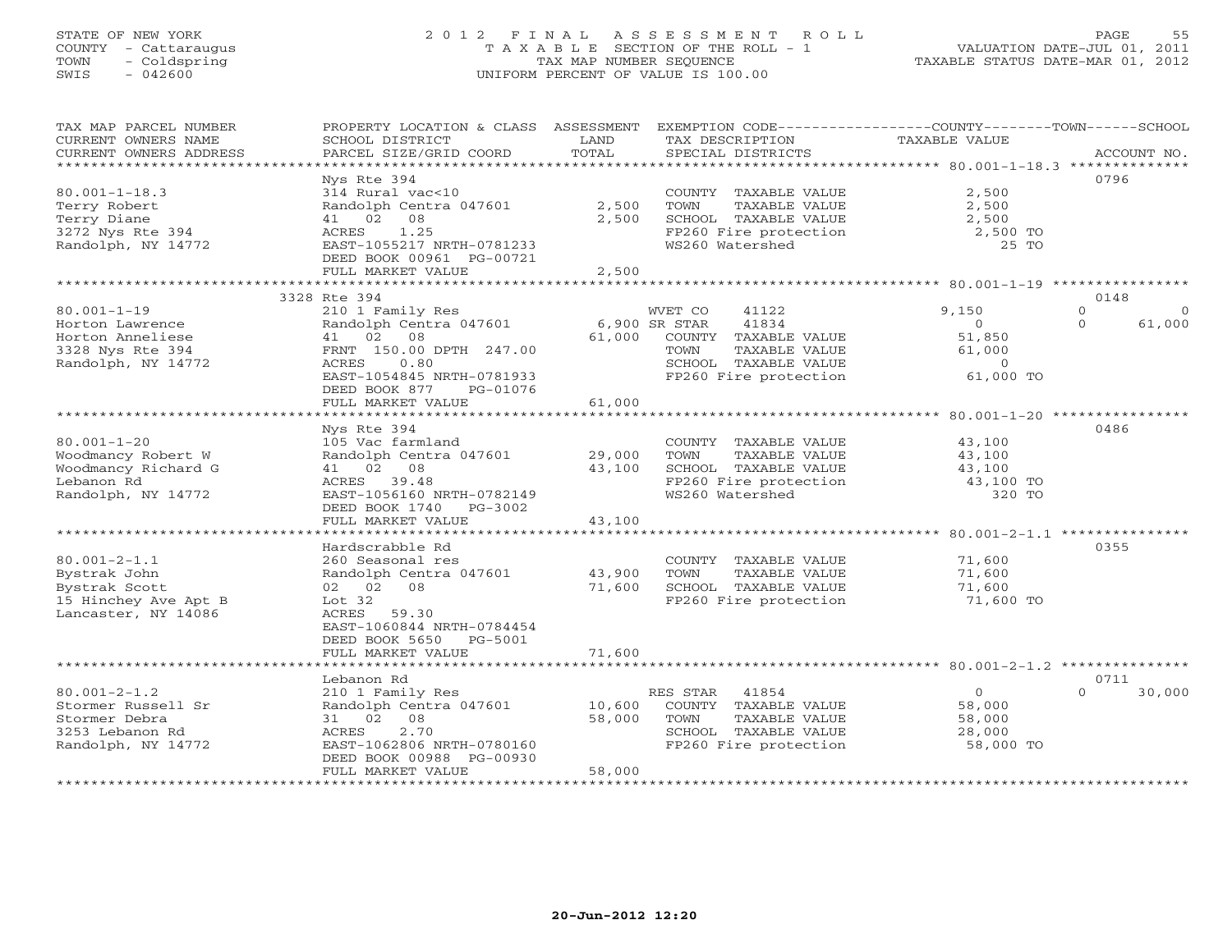## STATE OF NEW YORK 2 0 1 2 F I N A L A S S E S S M E N T R O L L PAGE 55 COUNTY - Cattaraugus T A X A B L E SECTION OF THE ROLL - 1 VALUATION DATE-JUL 01, 2011 TOWN - Coldspring TAX MAP NUMBER SEQUENCE TAXABLE STATUS DATE-MAR 01, 2012 SWIS - 042600 UNIFORM PERCENT OF VALUE IS 100.00UNIFORM PERCENT OF VALUE IS 100.00

| *************************<br>Nys Rte 394<br>0796<br>$80.001 - 1 - 18.3$<br>314 Rural vac<10<br>2,500<br>COUNTY TAXABLE VALUE<br>Terry Robert<br>Randolph Centra 047601<br>2,500<br>TOWN<br>2,500<br>TAXABLE VALUE<br>Terry Diane<br>41 02<br>08<br>2,500<br>SCHOOL TAXABLE VALUE<br>2,500<br>3272 Nys Rte 394<br>1.25<br>FP260 Fire protection<br>ACRES<br>2,500 TO<br>WS260 Watershed<br>Randolph, NY 14772<br>EAST-1055217 NRTH-0781233<br>25 TO<br>DEED BOOK 00961 PG-00721<br>FULL MARKET VALUE<br>2,500<br>3328 Rte 394<br>0148<br>$\Omega$<br>$80.001 - 1 - 19$<br>210 1 Family Res<br>WVET CO<br>41122<br>9,150<br>$\circ$<br>41834<br>Randolph Centra 047601<br>6,900 SR STAR<br>$\circ$<br>$\Omega$<br>61,000<br>Horton Lawrence<br>41 02 08<br>61,000<br>Horton Anneliese<br>COUNTY TAXABLE VALUE<br>51,850<br>FRNT 150.00 DPTH 247.00<br>3328 Nys Rte 394<br>TOWN<br>TAXABLE VALUE<br>61,000<br>Randolph, NY 14772<br>ACRES<br>0.80<br>SCHOOL TAXABLE VALUE<br>$\circ$<br>FP260 Fire protection<br>61,000 TO<br>EAST-1054845 NRTH-0781933<br>DEED BOOK 877<br>PG-01076<br>61,000<br>FULL MARKET VALUE<br>0486<br>Nys Rte 394<br>$80.001 - 1 - 20$<br>COUNTY TAXABLE VALUE<br>105 Vac farmland<br>43,100<br>Woodmancy Robert W<br>Randolph Centra 047601<br>29,000<br>TOWN<br>TAXABLE VALUE<br>43,100<br>Woodmancy Richard G<br>41 02 08<br>43,100<br>SCHOOL TAXABLE VALUE<br>43,100<br>Lebanon Rd<br>FP260 Fire protection<br>ACRES 39.48<br>43,100 TO<br>WS260 Watershed<br>Randolph, NY 14772<br>EAST-1056160 NRTH-0782149<br>320 TO<br>DEED BOOK 1740 PG-3002<br>FULL MARKET VALUE<br>43,100<br>Hardscrabble Rd<br>0355<br>$80.001 - 2 - 1.1$<br>260 Seasonal res<br>COUNTY TAXABLE VALUE<br>71,600<br>Bystrak John<br>Randolph Centra 047601<br>43,900<br>TOWN<br>TAXABLE VALUE<br>71,600<br>Bystrak Scott<br>02 02 08<br>71,600<br>SCHOOL TAXABLE VALUE<br>71,600<br>15 Hinchey Ave Apt B<br>FP260 Fire protection<br>71,600 TO<br>Lot $32$<br>Lancaster, NY 14086<br>59.30<br>ACRES<br>EAST-1060844 NRTH-0784454<br>DEED BOOK 5650<br>PG-5001<br>71,600<br>FULL MARKET VALUE<br>Lebanon Rd<br>0711<br>30,000<br>$80.001 - 2 - 1.2$<br>210 1 Family Res<br>RES STAR<br>41854<br>$\circ$<br>$\Omega$<br>Stormer Russell Sr<br>Randolph Centra 047601<br>COUNTY TAXABLE VALUE<br>10,600<br>58,000<br>58,000<br>Stormer Debra<br>31 02 08<br>TAXABLE VALUE<br>58,000<br>TOWN<br>3253 Lebanon Rd<br>2.70<br>ACRES<br>SCHOOL TAXABLE VALUE<br>28,000<br>EAST-1062806 NRTH-0780160<br>FP260 Fire protection<br>58,000 TO<br>Randolph, NY 14772<br>DEED BOOK 00988 PG-00930<br>FULL MARKET VALUE<br>58,000 | TAX MAP PARCEL NUMBER<br>CURRENT OWNERS NAME | PROPERTY LOCATION & CLASS ASSESSMENT<br>SCHOOL DISTRICT | LAND  | TAX DESCRIPTION   | EXEMPTION CODE-----------------COUNTY-------TOWN------SCHOOL<br><b>TAXABLE VALUE</b> |             |
|---------------------------------------------------------------------------------------------------------------------------------------------------------------------------------------------------------------------------------------------------------------------------------------------------------------------------------------------------------------------------------------------------------------------------------------------------------------------------------------------------------------------------------------------------------------------------------------------------------------------------------------------------------------------------------------------------------------------------------------------------------------------------------------------------------------------------------------------------------------------------------------------------------------------------------------------------------------------------------------------------------------------------------------------------------------------------------------------------------------------------------------------------------------------------------------------------------------------------------------------------------------------------------------------------------------------------------------------------------------------------------------------------------------------------------------------------------------------------------------------------------------------------------------------------------------------------------------------------------------------------------------------------------------------------------------------------------------------------------------------------------------------------------------------------------------------------------------------------------------------------------------------------------------------------------------------------------------------------------------------------------------------------------------------------------------------------------------------------------------------------------------------------------------------------------------------------------------------------------------------------------------------------------------------------------------------------------------------------------------------------------------------------------------------------------------------------------------------------------------------------------------------------------------------------------------------------------------------------------------------|----------------------------------------------|---------------------------------------------------------|-------|-------------------|--------------------------------------------------------------------------------------|-------------|
|                                                                                                                                                                                                                                                                                                                                                                                                                                                                                                                                                                                                                                                                                                                                                                                                                                                                                                                                                                                                                                                                                                                                                                                                                                                                                                                                                                                                                                                                                                                                                                                                                                                                                                                                                                                                                                                                                                                                                                                                                                                                                                                                                                                                                                                                                                                                                                                                                                                                                                                                                                                                                     | CURRENT OWNERS ADDRESS                       | PARCEL SIZE/GRID COORD                                  | TOTAL | SPECIAL DISTRICTS |                                                                                      | ACCOUNT NO. |
|                                                                                                                                                                                                                                                                                                                                                                                                                                                                                                                                                                                                                                                                                                                                                                                                                                                                                                                                                                                                                                                                                                                                                                                                                                                                                                                                                                                                                                                                                                                                                                                                                                                                                                                                                                                                                                                                                                                                                                                                                                                                                                                                                                                                                                                                                                                                                                                                                                                                                                                                                                                                                     |                                              |                                                         |       |                   |                                                                                      |             |
|                                                                                                                                                                                                                                                                                                                                                                                                                                                                                                                                                                                                                                                                                                                                                                                                                                                                                                                                                                                                                                                                                                                                                                                                                                                                                                                                                                                                                                                                                                                                                                                                                                                                                                                                                                                                                                                                                                                                                                                                                                                                                                                                                                                                                                                                                                                                                                                                                                                                                                                                                                                                                     |                                              |                                                         |       |                   |                                                                                      |             |
|                                                                                                                                                                                                                                                                                                                                                                                                                                                                                                                                                                                                                                                                                                                                                                                                                                                                                                                                                                                                                                                                                                                                                                                                                                                                                                                                                                                                                                                                                                                                                                                                                                                                                                                                                                                                                                                                                                                                                                                                                                                                                                                                                                                                                                                                                                                                                                                                                                                                                                                                                                                                                     |                                              |                                                         |       |                   |                                                                                      |             |
|                                                                                                                                                                                                                                                                                                                                                                                                                                                                                                                                                                                                                                                                                                                                                                                                                                                                                                                                                                                                                                                                                                                                                                                                                                                                                                                                                                                                                                                                                                                                                                                                                                                                                                                                                                                                                                                                                                                                                                                                                                                                                                                                                                                                                                                                                                                                                                                                                                                                                                                                                                                                                     |                                              |                                                         |       |                   |                                                                                      |             |
|                                                                                                                                                                                                                                                                                                                                                                                                                                                                                                                                                                                                                                                                                                                                                                                                                                                                                                                                                                                                                                                                                                                                                                                                                                                                                                                                                                                                                                                                                                                                                                                                                                                                                                                                                                                                                                                                                                                                                                                                                                                                                                                                                                                                                                                                                                                                                                                                                                                                                                                                                                                                                     |                                              |                                                         |       |                   |                                                                                      |             |
|                                                                                                                                                                                                                                                                                                                                                                                                                                                                                                                                                                                                                                                                                                                                                                                                                                                                                                                                                                                                                                                                                                                                                                                                                                                                                                                                                                                                                                                                                                                                                                                                                                                                                                                                                                                                                                                                                                                                                                                                                                                                                                                                                                                                                                                                                                                                                                                                                                                                                                                                                                                                                     |                                              |                                                         |       |                   |                                                                                      |             |
|                                                                                                                                                                                                                                                                                                                                                                                                                                                                                                                                                                                                                                                                                                                                                                                                                                                                                                                                                                                                                                                                                                                                                                                                                                                                                                                                                                                                                                                                                                                                                                                                                                                                                                                                                                                                                                                                                                                                                                                                                                                                                                                                                                                                                                                                                                                                                                                                                                                                                                                                                                                                                     |                                              |                                                         |       |                   |                                                                                      |             |
|                                                                                                                                                                                                                                                                                                                                                                                                                                                                                                                                                                                                                                                                                                                                                                                                                                                                                                                                                                                                                                                                                                                                                                                                                                                                                                                                                                                                                                                                                                                                                                                                                                                                                                                                                                                                                                                                                                                                                                                                                                                                                                                                                                                                                                                                                                                                                                                                                                                                                                                                                                                                                     |                                              |                                                         |       |                   |                                                                                      |             |
|                                                                                                                                                                                                                                                                                                                                                                                                                                                                                                                                                                                                                                                                                                                                                                                                                                                                                                                                                                                                                                                                                                                                                                                                                                                                                                                                                                                                                                                                                                                                                                                                                                                                                                                                                                                                                                                                                                                                                                                                                                                                                                                                                                                                                                                                                                                                                                                                                                                                                                                                                                                                                     |                                              |                                                         |       |                   |                                                                                      |             |
|                                                                                                                                                                                                                                                                                                                                                                                                                                                                                                                                                                                                                                                                                                                                                                                                                                                                                                                                                                                                                                                                                                                                                                                                                                                                                                                                                                                                                                                                                                                                                                                                                                                                                                                                                                                                                                                                                                                                                                                                                                                                                                                                                                                                                                                                                                                                                                                                                                                                                                                                                                                                                     |                                              |                                                         |       |                   |                                                                                      |             |
|                                                                                                                                                                                                                                                                                                                                                                                                                                                                                                                                                                                                                                                                                                                                                                                                                                                                                                                                                                                                                                                                                                                                                                                                                                                                                                                                                                                                                                                                                                                                                                                                                                                                                                                                                                                                                                                                                                                                                                                                                                                                                                                                                                                                                                                                                                                                                                                                                                                                                                                                                                                                                     |                                              |                                                         |       |                   |                                                                                      |             |
|                                                                                                                                                                                                                                                                                                                                                                                                                                                                                                                                                                                                                                                                                                                                                                                                                                                                                                                                                                                                                                                                                                                                                                                                                                                                                                                                                                                                                                                                                                                                                                                                                                                                                                                                                                                                                                                                                                                                                                                                                                                                                                                                                                                                                                                                                                                                                                                                                                                                                                                                                                                                                     |                                              |                                                         |       |                   |                                                                                      |             |
|                                                                                                                                                                                                                                                                                                                                                                                                                                                                                                                                                                                                                                                                                                                                                                                                                                                                                                                                                                                                                                                                                                                                                                                                                                                                                                                                                                                                                                                                                                                                                                                                                                                                                                                                                                                                                                                                                                                                                                                                                                                                                                                                                                                                                                                                                                                                                                                                                                                                                                                                                                                                                     |                                              |                                                         |       |                   |                                                                                      |             |
|                                                                                                                                                                                                                                                                                                                                                                                                                                                                                                                                                                                                                                                                                                                                                                                                                                                                                                                                                                                                                                                                                                                                                                                                                                                                                                                                                                                                                                                                                                                                                                                                                                                                                                                                                                                                                                                                                                                                                                                                                                                                                                                                                                                                                                                                                                                                                                                                                                                                                                                                                                                                                     |                                              |                                                         |       |                   |                                                                                      |             |
|                                                                                                                                                                                                                                                                                                                                                                                                                                                                                                                                                                                                                                                                                                                                                                                                                                                                                                                                                                                                                                                                                                                                                                                                                                                                                                                                                                                                                                                                                                                                                                                                                                                                                                                                                                                                                                                                                                                                                                                                                                                                                                                                                                                                                                                                                                                                                                                                                                                                                                                                                                                                                     |                                              |                                                         |       |                   |                                                                                      |             |
|                                                                                                                                                                                                                                                                                                                                                                                                                                                                                                                                                                                                                                                                                                                                                                                                                                                                                                                                                                                                                                                                                                                                                                                                                                                                                                                                                                                                                                                                                                                                                                                                                                                                                                                                                                                                                                                                                                                                                                                                                                                                                                                                                                                                                                                                                                                                                                                                                                                                                                                                                                                                                     |                                              |                                                         |       |                   |                                                                                      |             |
|                                                                                                                                                                                                                                                                                                                                                                                                                                                                                                                                                                                                                                                                                                                                                                                                                                                                                                                                                                                                                                                                                                                                                                                                                                                                                                                                                                                                                                                                                                                                                                                                                                                                                                                                                                                                                                                                                                                                                                                                                                                                                                                                                                                                                                                                                                                                                                                                                                                                                                                                                                                                                     |                                              |                                                         |       |                   |                                                                                      |             |
|                                                                                                                                                                                                                                                                                                                                                                                                                                                                                                                                                                                                                                                                                                                                                                                                                                                                                                                                                                                                                                                                                                                                                                                                                                                                                                                                                                                                                                                                                                                                                                                                                                                                                                                                                                                                                                                                                                                                                                                                                                                                                                                                                                                                                                                                                                                                                                                                                                                                                                                                                                                                                     |                                              |                                                         |       |                   |                                                                                      |             |
|                                                                                                                                                                                                                                                                                                                                                                                                                                                                                                                                                                                                                                                                                                                                                                                                                                                                                                                                                                                                                                                                                                                                                                                                                                                                                                                                                                                                                                                                                                                                                                                                                                                                                                                                                                                                                                                                                                                                                                                                                                                                                                                                                                                                                                                                                                                                                                                                                                                                                                                                                                                                                     |                                              |                                                         |       |                   |                                                                                      |             |
|                                                                                                                                                                                                                                                                                                                                                                                                                                                                                                                                                                                                                                                                                                                                                                                                                                                                                                                                                                                                                                                                                                                                                                                                                                                                                                                                                                                                                                                                                                                                                                                                                                                                                                                                                                                                                                                                                                                                                                                                                                                                                                                                                                                                                                                                                                                                                                                                                                                                                                                                                                                                                     |                                              |                                                         |       |                   |                                                                                      |             |
|                                                                                                                                                                                                                                                                                                                                                                                                                                                                                                                                                                                                                                                                                                                                                                                                                                                                                                                                                                                                                                                                                                                                                                                                                                                                                                                                                                                                                                                                                                                                                                                                                                                                                                                                                                                                                                                                                                                                                                                                                                                                                                                                                                                                                                                                                                                                                                                                                                                                                                                                                                                                                     |                                              |                                                         |       |                   |                                                                                      |             |
|                                                                                                                                                                                                                                                                                                                                                                                                                                                                                                                                                                                                                                                                                                                                                                                                                                                                                                                                                                                                                                                                                                                                                                                                                                                                                                                                                                                                                                                                                                                                                                                                                                                                                                                                                                                                                                                                                                                                                                                                                                                                                                                                                                                                                                                                                                                                                                                                                                                                                                                                                                                                                     |                                              |                                                         |       |                   |                                                                                      |             |
|                                                                                                                                                                                                                                                                                                                                                                                                                                                                                                                                                                                                                                                                                                                                                                                                                                                                                                                                                                                                                                                                                                                                                                                                                                                                                                                                                                                                                                                                                                                                                                                                                                                                                                                                                                                                                                                                                                                                                                                                                                                                                                                                                                                                                                                                                                                                                                                                                                                                                                                                                                                                                     |                                              |                                                         |       |                   |                                                                                      |             |
|                                                                                                                                                                                                                                                                                                                                                                                                                                                                                                                                                                                                                                                                                                                                                                                                                                                                                                                                                                                                                                                                                                                                                                                                                                                                                                                                                                                                                                                                                                                                                                                                                                                                                                                                                                                                                                                                                                                                                                                                                                                                                                                                                                                                                                                                                                                                                                                                                                                                                                                                                                                                                     |                                              |                                                         |       |                   |                                                                                      |             |
|                                                                                                                                                                                                                                                                                                                                                                                                                                                                                                                                                                                                                                                                                                                                                                                                                                                                                                                                                                                                                                                                                                                                                                                                                                                                                                                                                                                                                                                                                                                                                                                                                                                                                                                                                                                                                                                                                                                                                                                                                                                                                                                                                                                                                                                                                                                                                                                                                                                                                                                                                                                                                     |                                              |                                                         |       |                   |                                                                                      |             |
|                                                                                                                                                                                                                                                                                                                                                                                                                                                                                                                                                                                                                                                                                                                                                                                                                                                                                                                                                                                                                                                                                                                                                                                                                                                                                                                                                                                                                                                                                                                                                                                                                                                                                                                                                                                                                                                                                                                                                                                                                                                                                                                                                                                                                                                                                                                                                                                                                                                                                                                                                                                                                     |                                              |                                                         |       |                   |                                                                                      |             |
|                                                                                                                                                                                                                                                                                                                                                                                                                                                                                                                                                                                                                                                                                                                                                                                                                                                                                                                                                                                                                                                                                                                                                                                                                                                                                                                                                                                                                                                                                                                                                                                                                                                                                                                                                                                                                                                                                                                                                                                                                                                                                                                                                                                                                                                                                                                                                                                                                                                                                                                                                                                                                     |                                              |                                                         |       |                   |                                                                                      |             |
|                                                                                                                                                                                                                                                                                                                                                                                                                                                                                                                                                                                                                                                                                                                                                                                                                                                                                                                                                                                                                                                                                                                                                                                                                                                                                                                                                                                                                                                                                                                                                                                                                                                                                                                                                                                                                                                                                                                                                                                                                                                                                                                                                                                                                                                                                                                                                                                                                                                                                                                                                                                                                     |                                              |                                                         |       |                   |                                                                                      |             |
|                                                                                                                                                                                                                                                                                                                                                                                                                                                                                                                                                                                                                                                                                                                                                                                                                                                                                                                                                                                                                                                                                                                                                                                                                                                                                                                                                                                                                                                                                                                                                                                                                                                                                                                                                                                                                                                                                                                                                                                                                                                                                                                                                                                                                                                                                                                                                                                                                                                                                                                                                                                                                     |                                              |                                                         |       |                   |                                                                                      |             |
|                                                                                                                                                                                                                                                                                                                                                                                                                                                                                                                                                                                                                                                                                                                                                                                                                                                                                                                                                                                                                                                                                                                                                                                                                                                                                                                                                                                                                                                                                                                                                                                                                                                                                                                                                                                                                                                                                                                                                                                                                                                                                                                                                                                                                                                                                                                                                                                                                                                                                                                                                                                                                     |                                              |                                                         |       |                   |                                                                                      |             |
|                                                                                                                                                                                                                                                                                                                                                                                                                                                                                                                                                                                                                                                                                                                                                                                                                                                                                                                                                                                                                                                                                                                                                                                                                                                                                                                                                                                                                                                                                                                                                                                                                                                                                                                                                                                                                                                                                                                                                                                                                                                                                                                                                                                                                                                                                                                                                                                                                                                                                                                                                                                                                     |                                              |                                                         |       |                   |                                                                                      |             |
|                                                                                                                                                                                                                                                                                                                                                                                                                                                                                                                                                                                                                                                                                                                                                                                                                                                                                                                                                                                                                                                                                                                                                                                                                                                                                                                                                                                                                                                                                                                                                                                                                                                                                                                                                                                                                                                                                                                                                                                                                                                                                                                                                                                                                                                                                                                                                                                                                                                                                                                                                                                                                     |                                              |                                                         |       |                   |                                                                                      |             |
|                                                                                                                                                                                                                                                                                                                                                                                                                                                                                                                                                                                                                                                                                                                                                                                                                                                                                                                                                                                                                                                                                                                                                                                                                                                                                                                                                                                                                                                                                                                                                                                                                                                                                                                                                                                                                                                                                                                                                                                                                                                                                                                                                                                                                                                                                                                                                                                                                                                                                                                                                                                                                     |                                              |                                                         |       |                   |                                                                                      |             |
|                                                                                                                                                                                                                                                                                                                                                                                                                                                                                                                                                                                                                                                                                                                                                                                                                                                                                                                                                                                                                                                                                                                                                                                                                                                                                                                                                                                                                                                                                                                                                                                                                                                                                                                                                                                                                                                                                                                                                                                                                                                                                                                                                                                                                                                                                                                                                                                                                                                                                                                                                                                                                     |                                              |                                                         |       |                   |                                                                                      |             |
|                                                                                                                                                                                                                                                                                                                                                                                                                                                                                                                                                                                                                                                                                                                                                                                                                                                                                                                                                                                                                                                                                                                                                                                                                                                                                                                                                                                                                                                                                                                                                                                                                                                                                                                                                                                                                                                                                                                                                                                                                                                                                                                                                                                                                                                                                                                                                                                                                                                                                                                                                                                                                     |                                              |                                                         |       |                   |                                                                                      |             |
|                                                                                                                                                                                                                                                                                                                                                                                                                                                                                                                                                                                                                                                                                                                                                                                                                                                                                                                                                                                                                                                                                                                                                                                                                                                                                                                                                                                                                                                                                                                                                                                                                                                                                                                                                                                                                                                                                                                                                                                                                                                                                                                                                                                                                                                                                                                                                                                                                                                                                                                                                                                                                     |                                              |                                                         |       |                   |                                                                                      |             |
|                                                                                                                                                                                                                                                                                                                                                                                                                                                                                                                                                                                                                                                                                                                                                                                                                                                                                                                                                                                                                                                                                                                                                                                                                                                                                                                                                                                                                                                                                                                                                                                                                                                                                                                                                                                                                                                                                                                                                                                                                                                                                                                                                                                                                                                                                                                                                                                                                                                                                                                                                                                                                     |                                              |                                                         |       |                   |                                                                                      |             |
|                                                                                                                                                                                                                                                                                                                                                                                                                                                                                                                                                                                                                                                                                                                                                                                                                                                                                                                                                                                                                                                                                                                                                                                                                                                                                                                                                                                                                                                                                                                                                                                                                                                                                                                                                                                                                                                                                                                                                                                                                                                                                                                                                                                                                                                                                                                                                                                                                                                                                                                                                                                                                     |                                              |                                                         |       |                   |                                                                                      |             |
|                                                                                                                                                                                                                                                                                                                                                                                                                                                                                                                                                                                                                                                                                                                                                                                                                                                                                                                                                                                                                                                                                                                                                                                                                                                                                                                                                                                                                                                                                                                                                                                                                                                                                                                                                                                                                                                                                                                                                                                                                                                                                                                                                                                                                                                                                                                                                                                                                                                                                                                                                                                                                     |                                              |                                                         |       |                   |                                                                                      |             |
|                                                                                                                                                                                                                                                                                                                                                                                                                                                                                                                                                                                                                                                                                                                                                                                                                                                                                                                                                                                                                                                                                                                                                                                                                                                                                                                                                                                                                                                                                                                                                                                                                                                                                                                                                                                                                                                                                                                                                                                                                                                                                                                                                                                                                                                                                                                                                                                                                                                                                                                                                                                                                     |                                              |                                                         |       |                   |                                                                                      |             |
|                                                                                                                                                                                                                                                                                                                                                                                                                                                                                                                                                                                                                                                                                                                                                                                                                                                                                                                                                                                                                                                                                                                                                                                                                                                                                                                                                                                                                                                                                                                                                                                                                                                                                                                                                                                                                                                                                                                                                                                                                                                                                                                                                                                                                                                                                                                                                                                                                                                                                                                                                                                                                     |                                              |                                                         |       |                   |                                                                                      |             |
|                                                                                                                                                                                                                                                                                                                                                                                                                                                                                                                                                                                                                                                                                                                                                                                                                                                                                                                                                                                                                                                                                                                                                                                                                                                                                                                                                                                                                                                                                                                                                                                                                                                                                                                                                                                                                                                                                                                                                                                                                                                                                                                                                                                                                                                                                                                                                                                                                                                                                                                                                                                                                     |                                              |                                                         |       |                   |                                                                                      |             |
|                                                                                                                                                                                                                                                                                                                                                                                                                                                                                                                                                                                                                                                                                                                                                                                                                                                                                                                                                                                                                                                                                                                                                                                                                                                                                                                                                                                                                                                                                                                                                                                                                                                                                                                                                                                                                                                                                                                                                                                                                                                                                                                                                                                                                                                                                                                                                                                                                                                                                                                                                                                                                     |                                              |                                                         |       |                   |                                                                                      |             |
|                                                                                                                                                                                                                                                                                                                                                                                                                                                                                                                                                                                                                                                                                                                                                                                                                                                                                                                                                                                                                                                                                                                                                                                                                                                                                                                                                                                                                                                                                                                                                                                                                                                                                                                                                                                                                                                                                                                                                                                                                                                                                                                                                                                                                                                                                                                                                                                                                                                                                                                                                                                                                     |                                              |                                                         |       |                   |                                                                                      |             |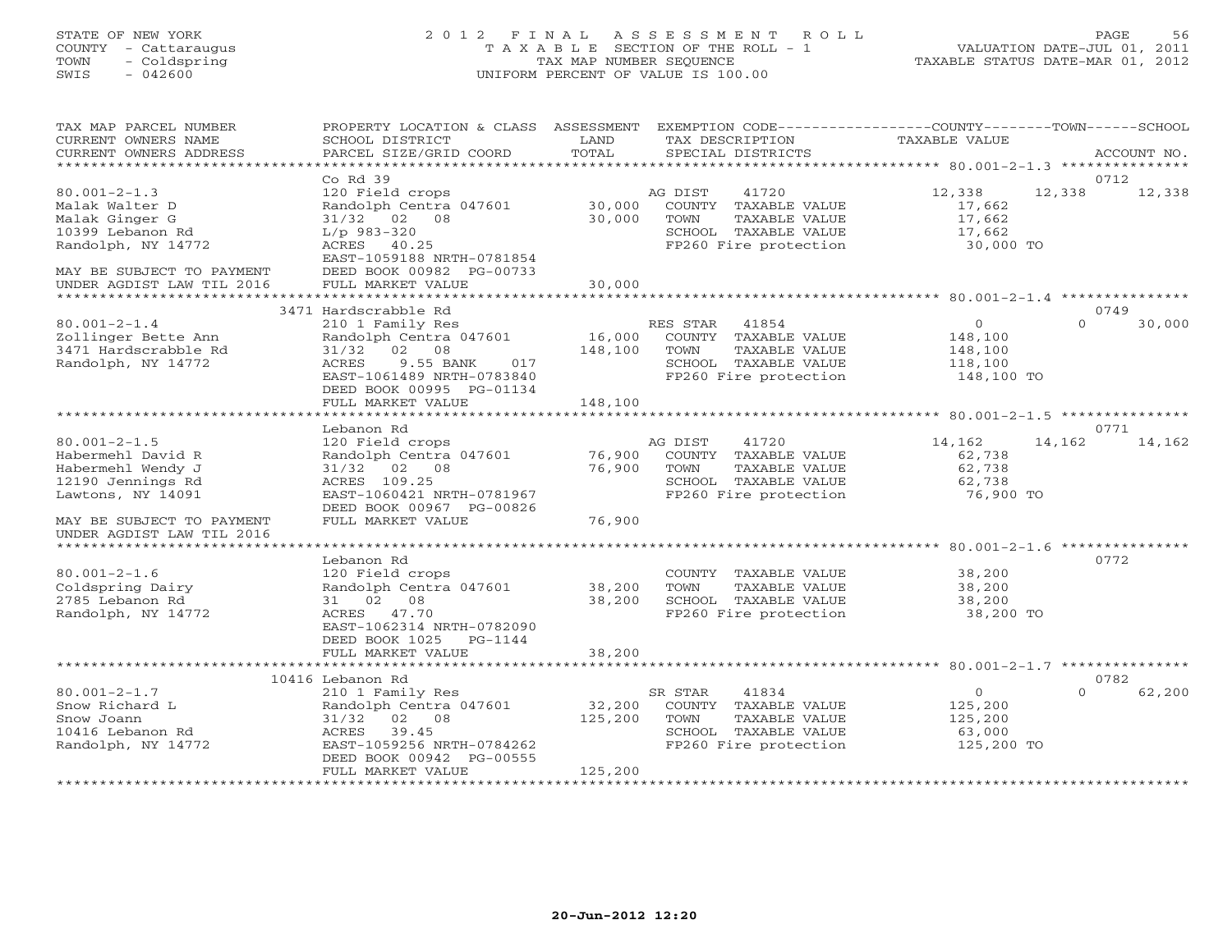## STATE OF NEW YORK 2 0 1 2 F I N A L A S S E S S M E N T R O L L PAGE 56 COUNTY - Cattaraugus T A X A B L E SECTION OF THE ROLL - 1 VALUATION DATE-JUL 01, 2011 TOWN - Coldspring TAX MAP NUMBER SEQUENCE TAXABLE STATUS DATE-MAR 01, 2012 SWIS - 042600 UNIFORM PERCENT OF VALUE IS 100.00UNIFORM PERCENT OF VALUE IS 100.00

| TAX MAP PARCEL NUMBER<br>CURRENT OWNERS NAME<br>CURRENT OWNERS ADDRESS                                                                                                            | PROPERTY LOCATION & CLASS ASSESSMENT<br>SCHOOL DISTRICT<br>PARCEL SIZE/GRID COORD                                                                                                                                       | LAND<br>TOTAL                | EXEMPTION CODE-----------------COUNTY-------TOWN------SCHOOL<br>TAX DESCRIPTION<br>SPECIAL DISTRICTS                | <b>TAXABLE VALUE</b>                                   | ACCOUNT NO.                |
|-----------------------------------------------------------------------------------------------------------------------------------------------------------------------------------|-------------------------------------------------------------------------------------------------------------------------------------------------------------------------------------------------------------------------|------------------------------|---------------------------------------------------------------------------------------------------------------------|--------------------------------------------------------|----------------------------|
| ***********************                                                                                                                                                           |                                                                                                                                                                                                                         |                              |                                                                                                                     |                                                        |                            |
| $80.001 - 2 - 1.3$<br>Malak Walter D<br>Malak Ginger G<br>10399 Lebanon Rd<br>Randolph, NY 14772<br>MAY BE SUBJECT TO PAYMENT<br>UNDER AGDIST LAW TIL 2016<br>******************* | $Co$ Rd $39$<br>120 Field crops<br>Randolph Centra 047601<br>31/32 02 08<br>$L/p$ 983-320<br>ACRES 40.25<br>EAST-1059188 NRTH-0781854<br>DEED BOOK 00982 PG-00733<br>FULL MARKET VALUE<br>***************************** | 30,000<br>30,000<br>30,000   | AG DIST<br>41720<br>COUNTY TAXABLE VALUE<br>TOWN<br>TAXABLE VALUE<br>SCHOOL TAXABLE VALUE<br>FP260 Fire protection  | 12,338<br>17,662<br>17,662<br>17,662<br>30,000 TO      | 0712<br>12,338<br>12,338   |
|                                                                                                                                                                                   | 3471 Hardscrabble Rd                                                                                                                                                                                                    |                              |                                                                                                                     |                                                        | 0749                       |
| $80.001 - 2 - 1.4$<br>Zollinger Bette Ann<br>3471 Hardscrabble Rd<br>Randolph, NY 14772                                                                                           | 210 1 Family Res<br>Randolph Centra 047601<br>02 08<br>31/32<br>9.55 BANK<br>ACRES<br>017<br>EAST-1061489 NRTH-0783840<br>DEED BOOK 00995 PG-01134<br>FULL MARKET VALUE                                                 | 16,000<br>148,100<br>148,100 | RES STAR<br>41854<br>COUNTY TAXABLE VALUE<br>TOWN<br>TAXABLE VALUE<br>SCHOOL TAXABLE VALUE<br>FP260 Fire protection | $\circ$<br>148,100<br>148,100<br>118,100<br>148,100 TO | 30,000<br>$\Omega$         |
|                                                                                                                                                                                   |                                                                                                                                                                                                                         |                              |                                                                                                                     | ******************** 80.001-2-1.5 ****************     |                            |
| $80.001 - 2 - 1.5$<br>Habermehl David R<br>Habermehl Wendy J<br>12190 Jennings Rd<br>Lawtons, NY 14091                                                                            | Lebanon Rd<br>120 Field crops<br>Randolph Centra 047601<br>$31/32$ 02 08<br>ACRES 109.25<br>EAST-1060421 NRTH-0781967                                                                                                   | 76,900<br>76,900             | 41720<br>AG DIST<br>COUNTY TAXABLE VALUE<br>TOWN<br>TAXABLE VALUE<br>SCHOOL TAXABLE VALUE<br>FP260 Fire protection  | 14,162<br>62,738<br>62,738<br>62,738<br>76,900 TO      | 0771<br>14,162<br>14,162   |
| MAY BE SUBJECT TO PAYMENT<br>UNDER AGDIST LAW TIL 2016                                                                                                                            | DEED BOOK 00967 PG-00826<br>FULL MARKET VALUE                                                                                                                                                                           | 76,900                       |                                                                                                                     |                                                        |                            |
|                                                                                                                                                                                   | Lebanon Rd                                                                                                                                                                                                              |                              |                                                                                                                     |                                                        | 0772                       |
| $80.001 - 2 - 1.6$<br>Coldspring Dairy<br>2785 Lebanon Rd<br>Randolph, NY 14772                                                                                                   | 120 Field crops<br>Randolph Centra 047601<br>31 02 08<br>ACRES 47.70<br>EAST-1062314 NRTH-0782090<br>DEED BOOK 1025<br>$PG-1144$<br>FULL MARKET VALUE                                                                   | 38,200<br>38,200<br>38,200   | COUNTY TAXABLE VALUE<br>TOWN<br>TAXABLE VALUE<br>SCHOOL TAXABLE VALUE<br>FP260 Fire protection                      | 38,200<br>38,200<br>38,200<br>38,200 TO                |                            |
|                                                                                                                                                                                   | ***************************                                                                                                                                                                                             | * * * * * * * * * * * * *    |                                                                                                                     |                                                        |                            |
| $80.001 - 2 - 1.7$<br>Snow Richard L<br>Snow Joann<br>10416 Lebanon Rd<br>Randolph, NY 14772                                                                                      | 10416 Lebanon Rd<br>210 1 Family Res<br>Randolph Centra 047601<br>31/32 02 08<br>39.45<br>ACRES<br>EAST-1059256 NRTH-0784262<br>DEED BOOK 00942 PG-00555                                                                | 32,200<br>125,200            | SR STAR<br>41834<br>COUNTY TAXABLE VALUE<br>TAXABLE VALUE<br>TOWN<br>SCHOOL TAXABLE VALUE<br>FP260 Fire protection  | $\circ$<br>125,200<br>125,200<br>63,000<br>125,200 TO  | 0782<br>62,200<br>$\Omega$ |
|                                                                                                                                                                                   | FULL MARKET VALUE                                                                                                                                                                                                       | 125,200                      |                                                                                                                     |                                                        |                            |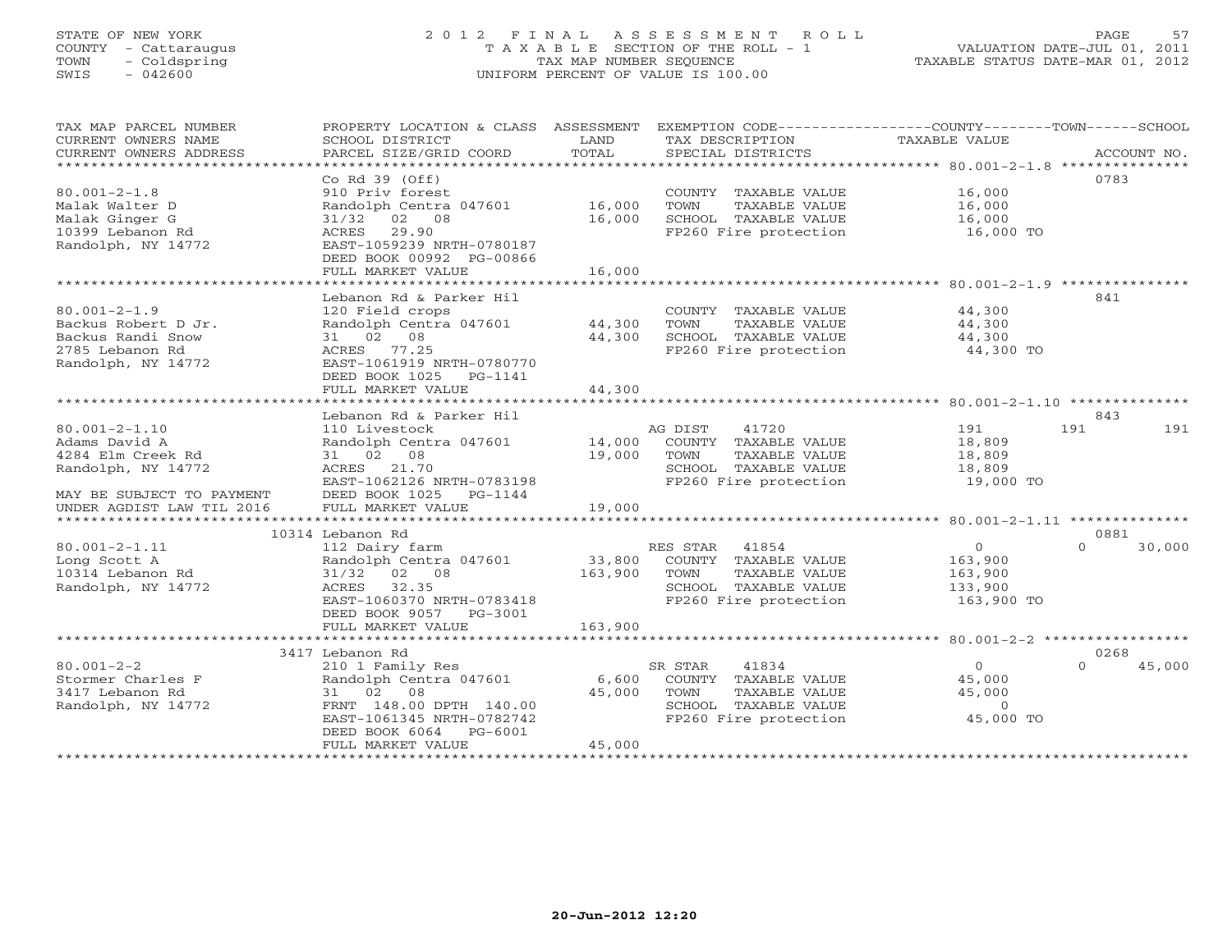# STATE OF NEW YORK 2 0 1 2 F I N A L A S S E S S M E N T R O L L PAGE 57 COUNTY - Cattaraugus T A X A B L E SECTION OF THE ROLL - 1 VALUATION DATE-JUL 01, 2011 TOWN - Coldspring TAX MAP NUMBER SEQUENCE TAXABLE STATUS DATE-MAR 01, 2012 SWIS - 042600 UNIFORM PERCENT OF VALUE IS 100.00UNIFORM PERCENT OF VALUE IS 100.00

TAX MAP PARCEL NUMBER PROPERTY LOCATION & CLASS ASSESSMENT EXEMPTION CODE----------------COUNTY-------TOWN------SCHOOL

| CURRENT OWNERS NAME       | SCHOOL DISTRICT                  | LAND         |          | TAX DESCRIPTION       | <b>TAXABLE VALUE</b>             |                    |
|---------------------------|----------------------------------|--------------|----------|-----------------------|----------------------------------|--------------------|
| CURRENT OWNERS ADDRESS    | PARCEL SIZE/GRID COORD           | TOTAL        |          | SPECIAL DISTRICTS     |                                  | ACCOUNT NO.        |
|                           |                                  |              |          |                       | ****************** 80.001-2-1.8  |                    |
|                           | Co Rd 39 (Off)                   |              |          |                       |                                  | 0783               |
| $80.001 - 2 - 1.8$        | 910 Priv forest                  |              |          | COUNTY TAXABLE VALUE  | 16,000                           |                    |
| Malak Walter D            | Randolph Centra 047601           | 16,000       | TOWN     | TAXABLE VALUE         | 16,000                           |                    |
| Malak Ginger G            | 02 08<br>31/32                   | 16,000       |          | SCHOOL TAXABLE VALUE  | 16,000                           |                    |
| 10399 Lebanon Rd          | 29.90<br>ACRES                   |              |          | FP260 Fire protection | 16,000 TO                        |                    |
| Randolph, NY 14772        | EAST-1059239 NRTH-0780187        |              |          |                       |                                  |                    |
|                           | DEED BOOK 00992 PG-00866         |              |          |                       |                                  |                    |
|                           | FULL MARKET VALUE                | 16,000       |          |                       |                                  |                    |
|                           |                                  |              |          |                       |                                  |                    |
|                           | Lebanon Rd & Parker Hil          |              |          |                       |                                  | 841                |
| $80.001 - 2 - 1.9$        | 120 Field crops                  |              |          | COUNTY TAXABLE VALUE  | 44,300                           |                    |
| Backus Robert D Jr.       | Randolph Centra 047601           | 44,300       | TOWN     | TAXABLE VALUE         | 44,300                           |                    |
| Backus Randi Snow         | 31 02 08                         | 44,300       |          | SCHOOL TAXABLE VALUE  | 44,300                           |                    |
| 2785 Lebanon Rd           | 77.25<br>ACRES                   |              |          | FP260 Fire protection | 44,300 TO                        |                    |
| Randolph, NY 14772        | EAST-1061919 NRTH-0780770        |              |          |                       |                                  |                    |
|                           | DEED BOOK 1025<br>PG-1141        |              |          |                       |                                  |                    |
|                           | FULL MARKET VALUE                | 44,300       |          |                       |                                  |                    |
|                           | ************************         |              |          |                       |                                  |                    |
|                           | Lebanon Rd & Parker Hil          |              |          |                       |                                  | 843                |
| $80.001 - 2 - 1.10$       | 110 Livestock                    |              | AG DIST  | 41720                 | 191                              | 191<br>191         |
| Adams David A             | Randolph Centra 047601           | 14,000       |          | COUNTY TAXABLE VALUE  | 18,809                           |                    |
| 4284 Elm Creek Rd         | 31 02 08                         | 19,000       | TOWN     | TAXABLE VALUE         | 18,809                           |                    |
| Randolph, NY 14772        | 21.70<br>ACRES                   |              |          | SCHOOL TAXABLE VALUE  | 18,809                           |                    |
|                           | EAST-1062126 NRTH-0783198        |              |          | FP260 Fire protection | 19,000 TO                        |                    |
| MAY BE SUBJECT TO PAYMENT | DEED BOOK 1025<br>PG-1144        |              |          |                       |                                  |                    |
| UNDER AGDIST LAW TIL 2016 | FULL MARKET VALUE                | 19,000       |          |                       |                                  |                    |
| ************************* | ******************************** |              |          |                       |                                  |                    |
|                           | 10314 Lebanon Rd                 |              |          |                       |                                  | 0881               |
| $80.001 - 2 - 1.11$       | 112 Dairy farm                   |              | RES STAR | 41854                 | $\Omega$                         | $\Omega$<br>30,000 |
| Long Scott A              | Randolph Centra 047601           | 33,800       |          | COUNTY TAXABLE VALUE  | 163,900                          |                    |
| 10314 Lebanon Rd          | 31/32<br>02 08                   | 163,900      | TOWN     | TAXABLE VALUE         | 163,900                          |                    |
| Randolph, NY 14772        | ACRES<br>32.35                   |              |          | SCHOOL TAXABLE VALUE  | 133,900                          |                    |
|                           | EAST-1060370 NRTH-0783418        |              |          | FP260 Fire protection | 163,900 TO                       |                    |
|                           | DEED BOOK 9057<br>PG-3001        |              |          |                       |                                  |                    |
|                           | FULL MARKET VALUE                | 163,900      |          |                       |                                  |                    |
|                           | ******************               | ************ |          |                       | ********************* 80.001-2-2 |                    |
|                           | 3417 Lebanon Rd                  |              |          |                       |                                  | 0268               |
| $80.001 - 2 - 2$          | 210 1 Family Res                 |              | SR STAR  | 41834                 | $\Omega$                         | 45,000<br>$\Omega$ |
| Stormer Charles F         | Randolph Centra 047601           | 6,600        |          | COUNTY TAXABLE VALUE  | 45,000                           |                    |
| 3417 Lebanon Rd           | 31 02 08                         | 45,000       | TOWN     | TAXABLE VALUE         | 45,000                           |                    |
| Randolph, NY 14772        | FRNT 148.00 DPTH 140.00          |              |          | SCHOOL TAXABLE VALUE  | $\Omega$                         |                    |
|                           | EAST-1061345 NRTH-0782742        |              |          | FP260 Fire protection | 45,000 TO                        |                    |
|                           | DEED BOOK 6064<br>PG-6001        |              |          |                       |                                  |                    |
|                           | FULL MARKET VALUE                | 45,000       |          |                       |                                  |                    |
|                           |                                  |              |          |                       |                                  |                    |
|                           |                                  |              |          |                       |                                  |                    |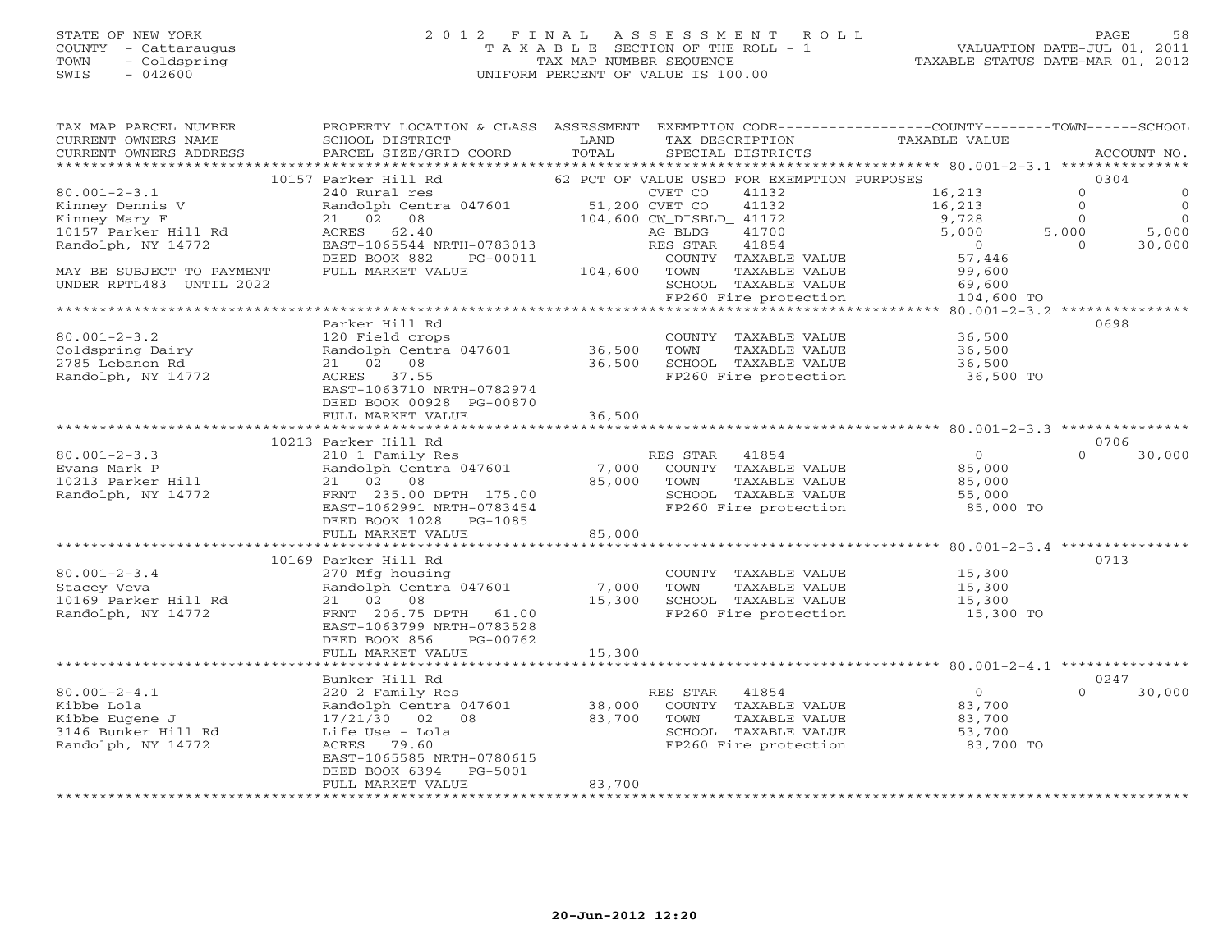#### STATE OF NEW YORK 2 0 1 2 F I N A L A S S E S S M E N T R O L L PAGE 58 COUNTY - Cattaraugus T A X A B L E SECTION OF THE ROLL - 1 VALUATION DATE-JUL 01, 2011 TOWN - Coldspring TAX MAP NUMBER SEQUENCE TAXABLE STATUS DATE-MAR 01, 2012 SWIS - 042600 UNIFORM PERCENT OF VALUE IS 100.00UNIFORM PERCENT OF VALUE IS 100.00

| TAX MAP PARCEL NUMBER<br>CURRENT OWNERS NAME | PROPERTY LOCATION & CLASS ASSESSMENT EXEMPTION CODE---------------COUNTY-------TOWN-----SCHOOL<br>SCHOOL DISTRICT | LAND                  | TAX DESCRIPTION                             | TAXABLE VALUE                                               |                            |
|----------------------------------------------|-------------------------------------------------------------------------------------------------------------------|-----------------------|---------------------------------------------|-------------------------------------------------------------|----------------------------|
| CURRENT OWNERS ADDRESS                       | PARCEL SIZE/GRID COORD                                                                                            | TOTAL                 | SPECIAL DISTRICTS                           |                                                             | ACCOUNT NO.                |
|                                              | 10157 Parker Hill Rd                                                                                              |                       | 62 PCT OF VALUE USED FOR EXEMPTION PURPOSES |                                                             | 0304                       |
| $80.001 - 2 - 3.1$                           |                                                                                                                   |                       | 41132                                       | 16,213                                                      | $\circ$<br>$\mathbf 0$     |
| Kinney Dennis V                              |                                                                                                                   |                       | 41132                                       | 16,213                                                      | $\overline{0}$<br>$\Omega$ |
| Kinney Mary F                                | 21 02 08                                                                                                          |                       | 104,600 CW_DISBLD_ 41172                    | 9,728                                                       | $\overline{0}$<br>$\Omega$ |
| 10157 Parker Hill Rd                         | ACRES 62.40                                                                                                       |                       | 41700<br>AG BLDG                            | 5,000                                                       | 5,000<br>5,000             |
| Randolph, NY 14772                           | EAST-1065544 NRTH-0783013                                                                                         |                       | RES STAR<br>41854                           | $\overline{0}$                                              | 30,000<br>$\Omega$         |
|                                              | DEED BOOK 882<br>PG-00011                                                                                         |                       | COUNTY TAXABLE VALUE                        | 57,446                                                      |                            |
| MAY BE SUBJECT TO PAYMENT                    | FULL MARKET VALUE                                                                                                 | 104,600 TOWN          | TAXABLE VALUE                               | 99,600                                                      |                            |
| UNDER RPTL483 UNTIL 2022                     |                                                                                                                   |                       | SCHOOL TAXABLE VALUE                        | 69,600                                                      |                            |
|                                              |                                                                                                                   |                       | FP260 Fire protection                       | 104,600 TO                                                  |                            |
|                                              |                                                                                                                   |                       |                                             |                                                             |                            |
|                                              | Parker Hill Rd                                                                                                    |                       |                                             |                                                             | 0698                       |
| $80.001 - 2 - 3.2$                           | 120 Field crops<br>120 Field crops<br>Randolph Centra 047601               36,500                                 |                       | COUNTY TAXABLE VALUE                        | 36,500                                                      |                            |
| Coldspring Dairy                             |                                                                                                                   |                       | TOWN<br>TAXABLE VALUE                       | 36,500                                                      |                            |
| 2785 Lebanon Rd                              | 21 02 08                                                                                                          | 36,500                | SCHOOL TAXABLE VALUE                        | 36,500                                                      |                            |
| Randolph, NY 14772                           | ACRES 37.55                                                                                                       |                       | FP260 Fire protection                       | 36,500 TO                                                   |                            |
|                                              | EAST-1063710 NRTH-0782974                                                                                         |                       |                                             |                                                             |                            |
|                                              | DEED BOOK 00928 PG-00870                                                                                          |                       |                                             |                                                             |                            |
|                                              | FULL MARKET VALUE                                                                                                 | 36,500                |                                             |                                                             |                            |
|                                              |                                                                                                                   |                       |                                             |                                                             |                            |
| $80.001 - 2 - 3.3$                           | 10213 Parker Hill Rd                                                                                              |                       | RES STAR 41854                              | $\Omega$                                                    | 0706<br>$\Omega$<br>30,000 |
| Evans Mark P                                 | 210 1 Family Res<br>Randolph Centra 047601                                                                        | 7,000                 | COUNTY TAXABLE VALUE                        | 85,000                                                      |                            |
| 10213 Parker Hill                            | 21 02 08                                                                                                          | 85,000                | TOWN<br>TAXABLE VALUE                       | 85,000                                                      |                            |
| Randolph, NY 14772                           | FRNT 235.00 DPTH 175.00                                                                                           |                       | SCHOOL TAXABLE VALUE                        | 55,000                                                      |                            |
|                                              | EAST-1062991 NRTH-0783454                                                                                         |                       | FP260 Fire protection                       | 85,000 TO                                                   |                            |
|                                              | DEED BOOK 1028 PG-1085                                                                                            |                       |                                             |                                                             |                            |
|                                              | FULL MARKET VALUE                                                                                                 | 85,000                |                                             |                                                             |                            |
|                                              |                                                                                                                   | ********************* |                                             | ******************************80.001-2-3.4 **************** |                            |
|                                              | 10169 Parker Hill Rd                                                                                              |                       |                                             |                                                             | 0713                       |
| $80.001 - 2 - 3.4$                           | 270 Mfg housing                                                                                                   |                       | COUNTY TAXABLE VALUE                        | 15,300                                                      |                            |
| Stacey Veva                                  | Randolph Centra 047601 7,000                                                                                      |                       | TOWN<br>TAXABLE VALUE                       | 15,300                                                      |                            |
| 10169 Parker Hill Rd                         | 21 02 08                                                                                                          | 15,300                | SCHOOL TAXABLE VALUE                        | 15,300                                                      |                            |
| Randolph, NY 14772                           | FRNT 206.75 DPTH 61.00                                                                                            |                       |                                             | FP260 Fire protection 15,300 TO                             |                            |
|                                              | EAST-1063799 NRTH-0783528                                                                                         |                       |                                             |                                                             |                            |
|                                              | DEED BOOK 856<br>PG-00762                                                                                         |                       |                                             |                                                             |                            |
|                                              | FULL MARKET VALUE                                                                                                 | 15,300                |                                             |                                                             |                            |
|                                              |                                                                                                                   |                       |                                             |                                                             |                            |
|                                              | Bunker Hill Rd                                                                                                    |                       |                                             |                                                             | 0247                       |
| $80.001 - 2 - 4.1$                           | 220 2 Family Res                                                                                                  |                       | RES STAR 41854                              | $\overline{0}$                                              | $\Omega$<br>30,000         |
| Kibbe Lola                                   | Randolph Centra 047601                                                                                            | 38,000                | COUNTY TAXABLE VALUE                        | 83,700                                                      |                            |
| Kibbe Eugene J                               | 17/21/30 02 08                                                                                                    | 83,700                | TOWN<br>TAXABLE VALUE                       | 83,700                                                      |                            |
| 3146 Bunker Hill Rd                          | Life Use - Lola                                                                                                   |                       | SCHOOL TAXABLE VALUE                        | 53,700                                                      |                            |
| Randolph, NY 14772                           | ACRES 79.60                                                                                                       |                       | FP260 Fire protection                       | 83,700 TO                                                   |                            |
|                                              | EAST-1065585 NRTH-0780615                                                                                         |                       |                                             |                                                             |                            |
|                                              | DEED BOOK 6394<br>PG-5001<br>FULL MARKET VALUE                                                                    | 83,700                |                                             |                                                             |                            |
|                                              |                                                                                                                   |                       |                                             |                                                             |                            |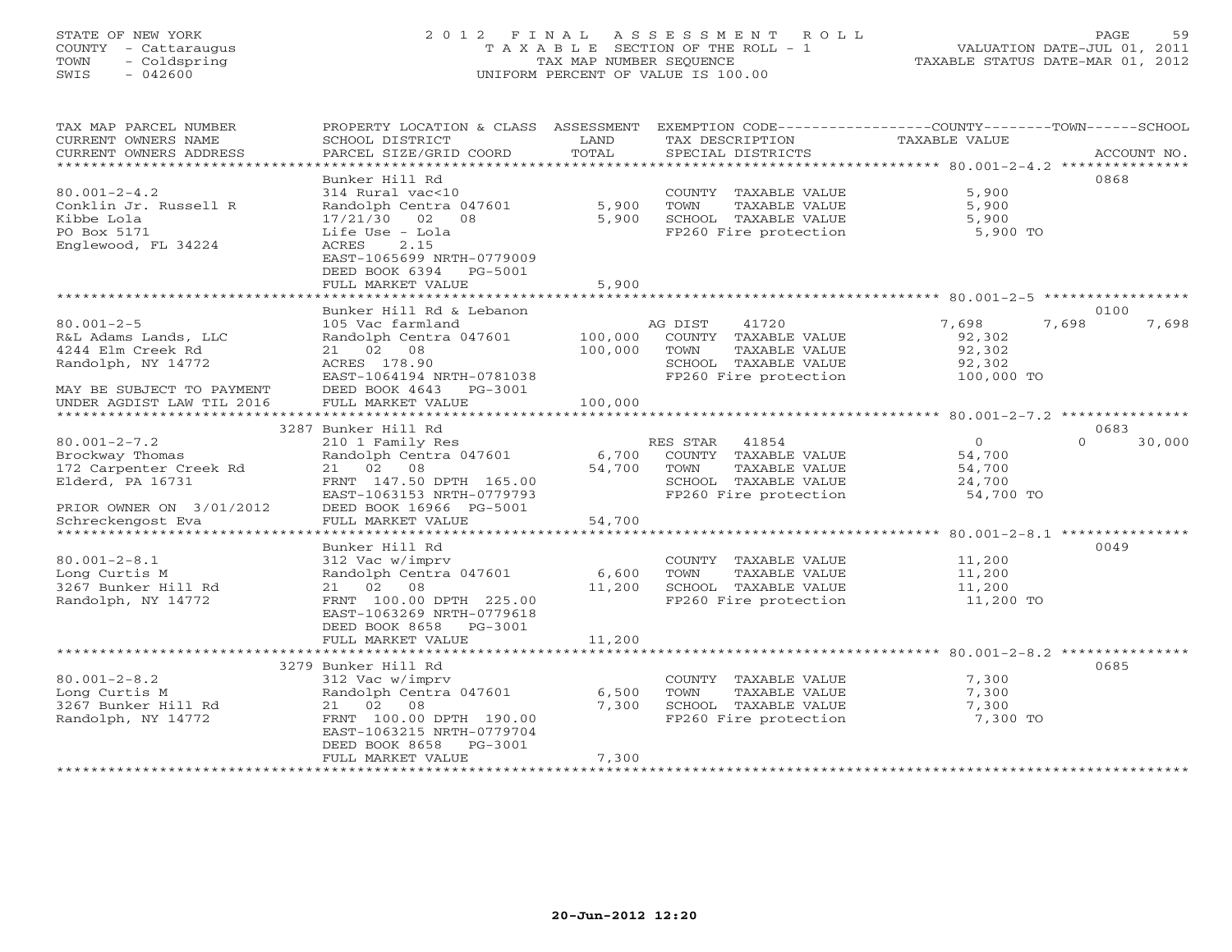# STATE OF NEW YORK 2 0 1 2 F I N A L A S S E S S M E N T R O L L PAGE 59 COUNTY - Cattaraugus T A X A B L E SECTION OF THE ROLL - 1 VALUATION DATE-JUL 01, 2011 TOWN - Coldspring TAX MAP NUMBER SEQUENCE TAXABLE STATUS DATE-MAR 01, 2012 SWIS - 042600 UNIFORM PERCENT OF VALUE IS 100.00UNIFORM PERCENT OF VALUE IS 100.00

| TAX MAP PARCEL NUMBER<br>CURRENT OWNERS NAME<br>CURRENT OWNERS ADDRESS | PROPERTY LOCATION & CLASS ASSESSMENT<br>SCHOOL DISTRICT<br>PARCEL SIZE/GRID COORD       | LAND<br>TOTAL | EXEMPTION CODE-----------------COUNTY-------TOWN------SCHOOL<br>TAX DESCRIPTION<br>SPECIAL DISTRICTS | <b>TAXABLE VALUE</b> | ACCOUNT NO.            |
|------------------------------------------------------------------------|-----------------------------------------------------------------------------------------|---------------|------------------------------------------------------------------------------------------------------|----------------------|------------------------|
| ***********************                                                |                                                                                         |               |                                                                                                      |                      |                        |
|                                                                        | Bunker Hill Rd                                                                          |               |                                                                                                      |                      | 0868                   |
| $80.001 - 2 - 4.2$                                                     | 314 Rural vac<10                                                                        |               | COUNTY TAXABLE VALUE                                                                                 | 5,900                |                        |
| Conklin Jr. Russell R                                                  | Randolph Centra 047601                                                                  | 5,900         | TOWN<br>TAXABLE VALUE                                                                                | 5,900                |                        |
| Kibbe Lola                                                             | 02<br>08<br>17/21/30                                                                    | 5,900         | SCHOOL TAXABLE VALUE                                                                                 | 5,900                |                        |
| PO Box 5171<br>Englewood, FL 34224                                     | Life Use - Lola<br>ACRES<br>2.15<br>EAST-1065699 NRTH-0779009<br>DEED BOOK 6394 PG-5001 |               | FP260 Fire protection                                                                                | 5,900 TO             |                        |
|                                                                        | FULL MARKET VALUE                                                                       | 5,900         |                                                                                                      |                      |                        |
|                                                                        |                                                                                         |               |                                                                                                      |                      |                        |
| $80.001 - 2 - 5$                                                       | Bunker Hill Rd & Lebanon<br>105 Vac farmland                                            |               | AG DIST<br>41720                                                                                     | 7,698                | 0100<br>7,698<br>7,698 |
| R&L Adams Lands, LLC                                                   | Randolph Centra 047601                                                                  | 100,000       | COUNTY TAXABLE VALUE                                                                                 | 92,302               |                        |
| 4244 Elm Creek Rd                                                      | 21 02 08                                                                                | 100,000       | TOWN<br>TAXABLE VALUE                                                                                | 92,302               |                        |
| Randolph, NY 14772                                                     | ACRES 178.90                                                                            |               | SCHOOL TAXABLE VALUE                                                                                 | 92,302               |                        |
|                                                                        | EAST-1064194 NRTH-0781038                                                               |               | FP260 Fire protection                                                                                | 100,000 TO           |                        |
| MAY BE SUBJECT TO PAYMENT<br>UNDER AGDIST LAW TIL 2016                 | DEED BOOK 4643 PG-3001<br>FULL MARKET VALUE                                             | 100,000       |                                                                                                      |                      |                        |
|                                                                        |                                                                                         |               |                                                                                                      |                      |                        |
|                                                                        | 3287 Bunker Hill Rd                                                                     |               |                                                                                                      |                      | 0683                   |
| $80.001 - 2 - 7.2$<br>Brockway Thomas                                  | 210 1 Family Res<br>Randolph Centra 047601                                              | 6,700         | RES STAR<br>41854<br>COUNTY TAXABLE VALUE                                                            | $\Omega$<br>54,700   | $\Omega$<br>30,000     |
| 172 Carpenter Creek Rd                                                 | 21 02 08                                                                                | 54,700        | TOWN<br>TAXABLE VALUE                                                                                | 54,700               |                        |
| Elderd, PA 16731                                                       | FRNT 147.50 DPTH 165.00                                                                 |               | SCHOOL TAXABLE VALUE                                                                                 | 24,700               |                        |
|                                                                        | EAST-1063153 NRTH-0779793                                                               |               | FP260 Fire protection                                                                                | 54,700 TO            |                        |
| PRIOR OWNER ON 3/01/2012                                               | DEED BOOK 16966 PG-5001                                                                 |               |                                                                                                      |                      |                        |
| Schreckengost Eva                                                      | FULL MARKET VALUE                                                                       | 54,700        |                                                                                                      |                      |                        |
|                                                                        |                                                                                         |               |                                                                                                      |                      |                        |
|                                                                        | Bunker Hill Rd                                                                          |               |                                                                                                      |                      | 0049                   |
| $80.001 - 2 - 8.1$<br>Long Curtis M                                    | 312 Vac w/imprv<br>Randolph Centra 047601                                               | 6,600         | COUNTY TAXABLE VALUE<br>TAXABLE VALUE<br>TOWN                                                        | 11,200<br>11,200     |                        |
| 3267 Bunker Hill Rd                                                    | 21 02<br>08                                                                             | 11,200        | SCHOOL TAXABLE VALUE                                                                                 | 11,200               |                        |
| Randolph, NY 14772                                                     | FRNT 100.00 DPTH 225.00                                                                 |               | FP260 Fire protection                                                                                | 11,200 TO            |                        |
|                                                                        | EAST-1063269 NRTH-0779618<br>DEED BOOK 8658 PG-3001                                     |               |                                                                                                      |                      |                        |
|                                                                        | FULL MARKET VALUE                                                                       | 11,200        |                                                                                                      |                      |                        |
|                                                                        |                                                                                         |               |                                                                                                      |                      |                        |
|                                                                        | 3279 Bunker Hill Rd                                                                     |               |                                                                                                      |                      | 0685                   |
| $80.001 - 2 - 8.2$                                                     | 312 Vac w/imprv                                                                         |               | COUNTY TAXABLE VALUE                                                                                 | 7,300                |                        |
| Long Curtis M                                                          | Randolph Centra 047601                                                                  | 6,500         | TAXABLE VALUE<br>TOWN                                                                                | 7,300                |                        |
| 3267 Bunker Hill Rd                                                    | 21 02 08                                                                                | 7,300         | SCHOOL TAXABLE VALUE                                                                                 | 7,300<br>7,300 TO    |                        |
| Randolph, NY 14772                                                     | FRNT 100.00 DPTH 190.00<br>EAST-1063215 NRTH-0779704                                    |               | FP260 Fire protection                                                                                |                      |                        |
|                                                                        | DEED BOOK 8658<br>PG-3001                                                               |               |                                                                                                      |                      |                        |
|                                                                        | FULL MARKET VALUE                                                                       | 7,300         |                                                                                                      |                      |                        |
|                                                                        |                                                                                         |               |                                                                                                      |                      |                        |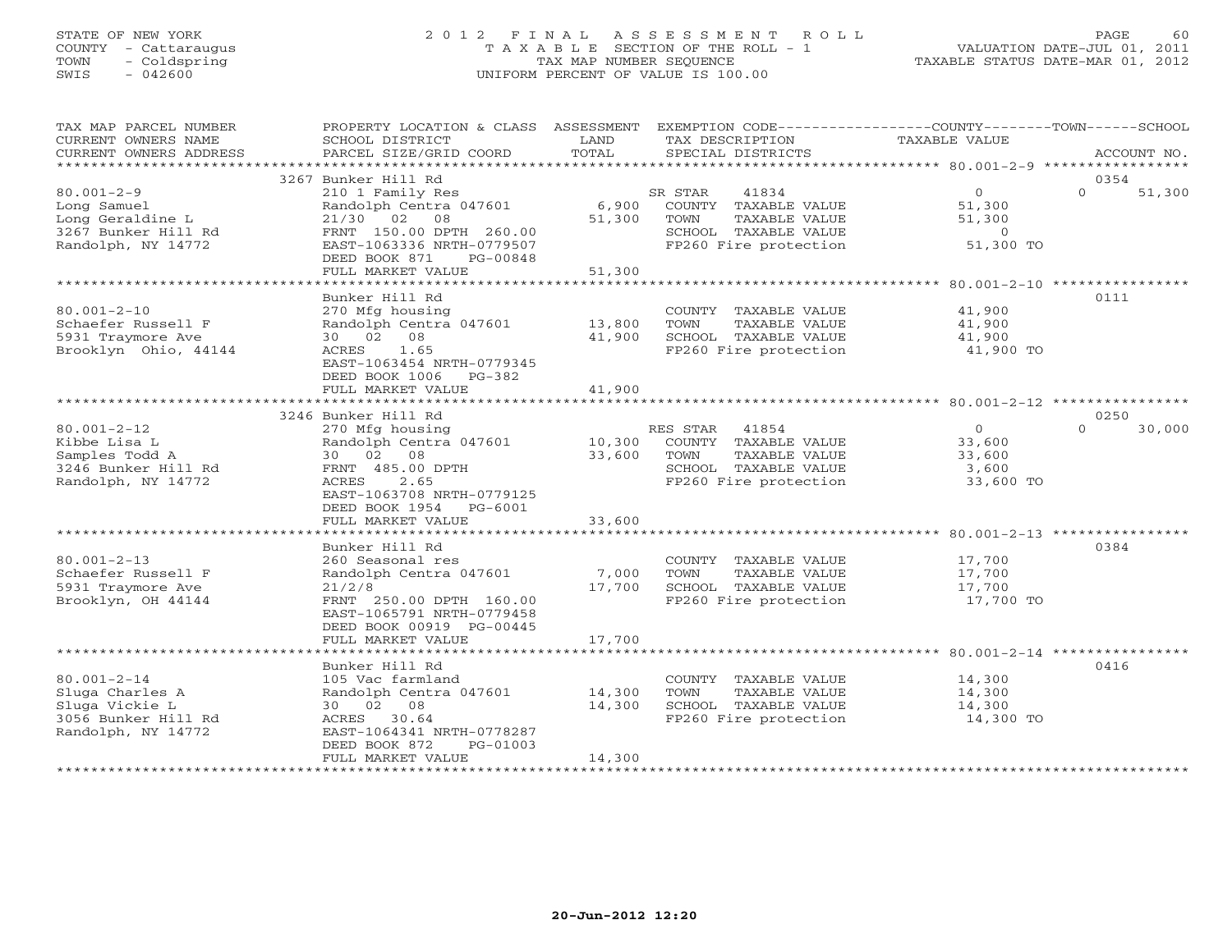# STATE OF NEW YORK 2 0 1 2 F I N A L A S S E S S M E N T R O L L PAGE 60 COUNTY - Cattaraugus T A X A B L E SECTION OF THE ROLL - 1 VALUATION DATE-JUL 01, 2011 TOWN - Coldspring TAX MAP NUMBER SEQUENCE TAXABLE STATUS DATE-MAR 01, 2012 SWIS - 042600 UNIFORM PERCENT OF VALUE IS 100.00UNIFORM PERCENT OF VALUE IS 100.00

| TAX MAP PARCEL NUMBER<br>CURRENT OWNERS NAME                                                        | PROPERTY LOCATION & CLASS ASSESSMENT<br>SCHOOL DISTRICT                                                                                                                                    | LAND                                                    | EXEMPTION CODE-----------------COUNTY-------TOWN------SCHOOL<br>TAX DESCRIPTION                                     | TAXABLE VALUE                                                     |          |             |
|-----------------------------------------------------------------------------------------------------|--------------------------------------------------------------------------------------------------------------------------------------------------------------------------------------------|---------------------------------------------------------|---------------------------------------------------------------------------------------------------------------------|-------------------------------------------------------------------|----------|-------------|
| CURRENT OWNERS ADDRESS<br>*********************                                                     | PARCEL SIZE/GRID COORD                                                                                                                                                                     | TOTAL                                                   | SPECIAL DISTRICTS                                                                                                   |                                                                   |          | ACCOUNT NO. |
|                                                                                                     | 3267 Bunker Hill Rd                                                                                                                                                                        |                                                         |                                                                                                                     |                                                                   | 0354     |             |
| $80.001 - 2 - 9$<br>Long Samuel<br>Long Geraldine L<br>3267 Bunker Hill Rd<br>Randolph, NY 14772    | 210 1 Family Res<br>Randolph Centra 047601<br>21/30 02 08<br>FRNT 150.00 DPTH 260.00<br>EAST-1063336 NRTH-0779507<br>DEED BOOK 871<br>PG-00848                                             | 6,900<br>51,300                                         | SR STAR<br>41834<br>COUNTY TAXABLE VALUE<br>TOWN<br>TAXABLE VALUE<br>SCHOOL TAXABLE VALUE<br>FP260 Fire protection  | $\overline{O}$<br>51,300<br>51,300<br>$\overline{0}$<br>51,300 TO | $\Omega$ | 51,300      |
|                                                                                                     | FULL MARKET VALUE                                                                                                                                                                          | 51,300                                                  |                                                                                                                     |                                                                   |          |             |
| $80.001 - 2 - 10$<br>Schaefer Russell F<br>5931 Traymore Ave<br>Brooklyn Ohio, 44144                | *******************<br>Bunker Hill Rd<br>270 Mfg housing<br>Randolph Centra 047601<br>30 02 08<br>ACRES 1.65<br>EAST-1063454 NRTH-0779345<br>DEED BOOK 1006<br>PG-382<br>FULL MARKET VALUE | * * * * * * * * * * * * *<br>13,800<br>41,900<br>41,900 | COUNTY TAXABLE VALUE<br>TOWN<br>TAXABLE VALUE<br>SCHOOL TAXABLE VALUE<br>FP260 Fire protection                      | 41,900<br>41,900<br>41,900<br>41,900 TO                           | 0111     |             |
|                                                                                                     | 3246 Bunker Hill Rd                                                                                                                                                                        |                                                         |                                                                                                                     |                                                                   | 0250     |             |
| $80.001 - 2 - 12$<br>Kibbe Lisa L<br>Samples Todd A<br>3246 Bunker Hill Rd<br>Randolph, NY 14772    | 270 Mfg housing<br>Randolph Centra 047601<br>30 02 08<br>FRNT 485.00 DPTH<br>2.65<br>ACRES<br>EAST-1063708 NRTH-0779125<br>DEED BOOK 1954<br>PG-6001                                       | 10,300<br>33,600                                        | RES STAR<br>41854<br>COUNTY TAXABLE VALUE<br>TOWN<br>TAXABLE VALUE<br>SCHOOL TAXABLE VALUE<br>FP260 Fire protection | $\Omega$<br>33,600<br>33,600<br>3,600<br>33,600 TO                | $\Omega$ | 30,000      |
|                                                                                                     | FULL MARKET VALUE                                                                                                                                                                          | 33,600                                                  |                                                                                                                     |                                                                   |          |             |
| $80.001 - 2 - 13$<br>Schaefer Russell F<br>5931 Traymore Ave<br>Brooklyn, OH 44144                  | Bunker Hill Rd<br>260 Seasonal res<br>Randolph Centra 047601<br>21/2/8<br>FRNT 250.00 DPTH 160.00<br>EAST-1065791 NRTH-0779458<br>DEED BOOK 00919 PG-00445                                 | 7,000<br>17,700                                         | COUNTY TAXABLE VALUE<br>TOWN<br>TAXABLE VALUE<br>SCHOOL TAXABLE VALUE<br>FP260 Fire protection                      | 17,700<br>17,700<br>17,700<br>17,700 TO                           | 0384     |             |
|                                                                                                     | FULL MARKET VALUE                                                                                                                                                                          | 17,700                                                  |                                                                                                                     |                                                                   |          |             |
| $80.001 - 2 - 14$<br>Sluga Charles A<br>Sluga Vickie L<br>3056 Bunker Hill Rd<br>Randolph, NY 14772 | Bunker Hill Rd<br>105 Vac farmland<br>Randolph Centra 047601<br>30 02 08<br>ACRES 30.64<br>EAST-1064341 NRTH-0778287<br>DEED BOOK 872<br>PG-01003<br>FULL MARKET VALUE                     | 14,300<br>14,300<br>14,300                              | COUNTY TAXABLE VALUE<br>TOWN<br>TAXABLE VALUE<br>SCHOOL TAXABLE VALUE<br>FP260 Fire protection                      | 14,300<br>14,300<br>14,300<br>14,300 TO                           | 0416     |             |
|                                                                                                     | *******************                                                                                                                                                                        |                                                         |                                                                                                                     |                                                                   |          |             |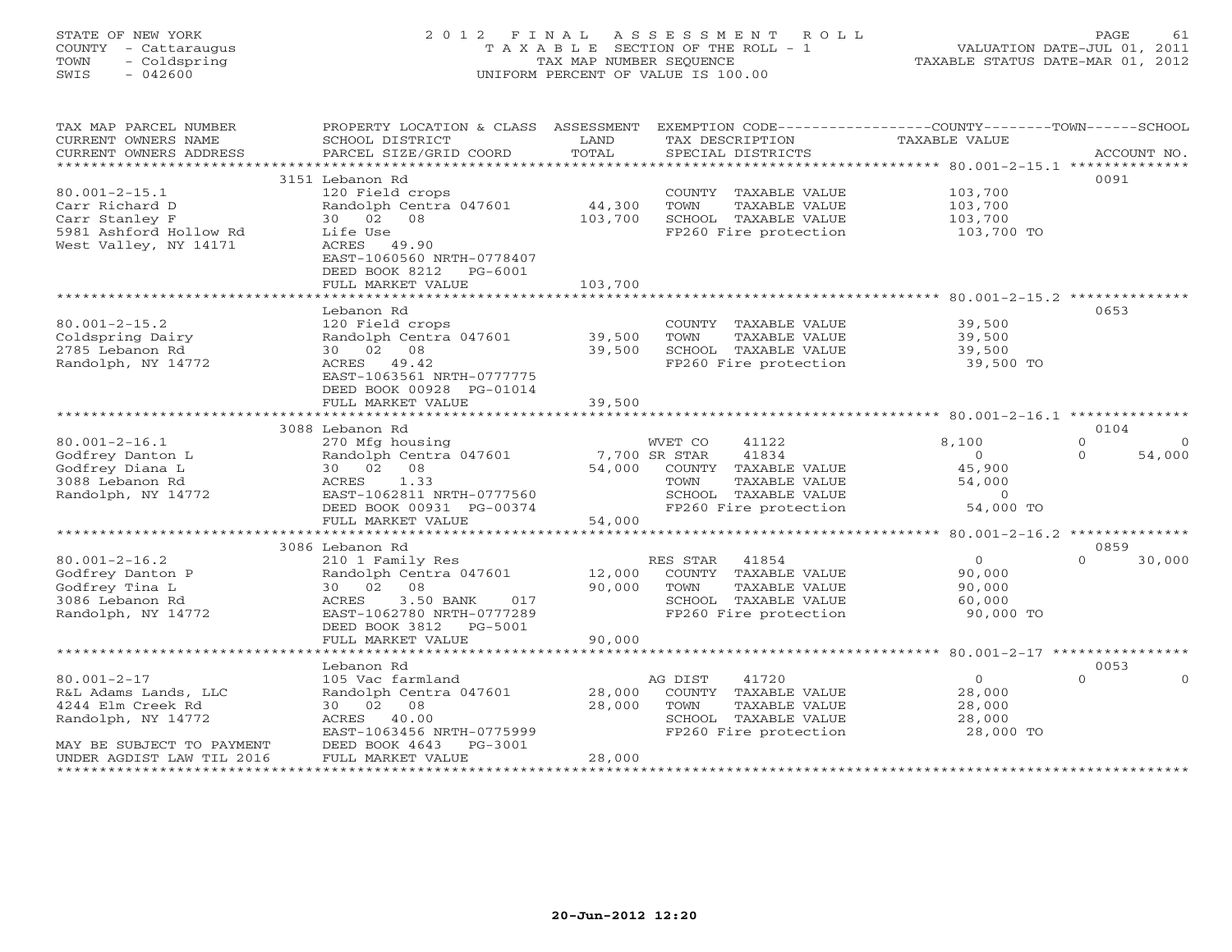# STATE OF NEW YORK 2 0 1 2 F I N A L A S S E S S M E N T R O L L PAGE 61 COUNTY - Cattaraugus T A X A B L E SECTION OF THE ROLL - 1 VALUATION DATE-JUL 01, 2011 TOWN - Coldspring TAX MAP NUMBER SEQUENCE TAXABLE STATUS DATE-MAR 01, 2012 SWIS - 042600 UNIFORM PERCENT OF VALUE IS 100.00UNIFORM PERCENT OF VALUE IS 100.00

| TAX MAP PARCEL NUMBER<br>CURRENT OWNERS NAME<br>CURRENT OWNERS ADDRESS | PROPERTY LOCATION & CLASS ASSESSMENT<br>SCHOOL DISTRICT<br>PARCEL SIZE/GRID COORD | LAND<br>TOTAL             | EXEMPTION CODE----------------COUNTY-------TOWN------SCHOOL<br>TAX DESCRIPTION<br>SPECIAL DISTRICTS | <b>TAXABLE VALUE</b>                            | ACCOUNT NO.                    |
|------------------------------------------------------------------------|-----------------------------------------------------------------------------------|---------------------------|-----------------------------------------------------------------------------------------------------|-------------------------------------------------|--------------------------------|
|                                                                        |                                                                                   |                           |                                                                                                     |                                                 |                                |
|                                                                        | 3151 Lebanon Rd                                                                   |                           |                                                                                                     |                                                 | 0091                           |
| $80.001 - 2 - 15.1$                                                    | 120 Field crops                                                                   |                           | COUNTY TAXABLE VALUE                                                                                | 103,700                                         |                                |
| Carr Richard D                                                         | Randolph Centra 047601                                                            | 44,300                    | TOWN<br>TAXABLE VALUE                                                                               | 103,700                                         |                                |
| Carr Stanley F<br>5981 Ashford Hollow Rd                               | 30 02 08<br>Life Use                                                              | 103,700                   | SCHOOL TAXABLE VALUE<br>FP260 Fire protection                                                       | 103,700<br>103,700 TO                           |                                |
| West Valley, NY 14171                                                  | ACRES 49.90<br>EAST-1060560 NRTH-0778407                                          |                           |                                                                                                     |                                                 |                                |
|                                                                        | DEED BOOK 8212 PG-6001                                                            |                           |                                                                                                     |                                                 |                                |
|                                                                        | FULL MARKET VALUE                                                                 | 103,700                   |                                                                                                     |                                                 |                                |
|                                                                        | Lebanon Rd                                                                        |                           |                                                                                                     |                                                 | 0653                           |
| $80.001 - 2 - 15.2$                                                    | 120 Field crops                                                                   |                           | COUNTY TAXABLE VALUE                                                                                | 39,500                                          |                                |
| Coldspring Dairy                                                       | Randolph Centra 047601                                                            | 39,500                    | TOWN<br>TAXABLE VALUE                                                                               | 39,500                                          |                                |
| 2785 Lebanon Rd                                                        | 30 02 08                                                                          | 39,500                    | SCHOOL TAXABLE VALUE                                                                                | 39,500                                          |                                |
| Randolph, NY 14772                                                     | ACRES 49.42                                                                       |                           | FP260 Fire protection                                                                               | 39,500 TO                                       |                                |
|                                                                        | EAST-1063561 NRTH-0777775                                                         |                           |                                                                                                     |                                                 |                                |
|                                                                        | DEED BOOK 00928 PG-01014                                                          |                           |                                                                                                     |                                                 |                                |
|                                                                        | FULL MARKET VALUE                                                                 | 39,500                    |                                                                                                     |                                                 |                                |
|                                                                        |                                                                                   |                           |                                                                                                     |                                                 |                                |
|                                                                        | 3088 Lebanon Rd                                                                   |                           |                                                                                                     |                                                 | 0104<br>$\Omega$               |
| $80.001 - 2 - 16.1$<br>Godfrey Danton L                                | 270 Mfg housing<br>Randolph Centra 047601                                         | 7,700 SR STAR             | 41122<br>WVET CO<br>41834                                                                           | 8,100<br>$\circ$                                | $\Omega$<br>$\Omega$<br>54,000 |
| Godfrey Diana L                                                        | 30 02 08                                                                          | 54,000                    | COUNTY TAXABLE VALUE                                                                                | 45,900                                          |                                |
| 3088 Lebanon Rd                                                        | ACRES<br>1.33                                                                     |                           | TOWN<br>TAXABLE VALUE                                                                               | 54,000                                          |                                |
| Randolph, NY 14772                                                     | EAST-1062811 NRTH-0777560                                                         |                           | SCHOOL TAXABLE VALUE                                                                                | $\Omega$                                        |                                |
|                                                                        | DEED BOOK 00931 PG-00374                                                          |                           | FP260 Fire protection                                                                               | 54,000 TO                                       |                                |
|                                                                        | FULL MARKET VALUE                                                                 | 54,000                    |                                                                                                     |                                                 |                                |
|                                                                        | ********************************                                                  |                           |                                                                                                     |                                                 |                                |
|                                                                        | 3086 Lebanon Rd                                                                   |                           |                                                                                                     |                                                 | 0859                           |
| $80.001 - 2 - 16.2$                                                    | 210 1 Family Res                                                                  |                           | RES STAR 41854                                                                                      | $\overline{0}$                                  | $\Omega$<br>30,000             |
| Godfrey Danton P                                                       | Randolph Centra 047601                                                            | 12,000                    | COUNTY TAXABLE VALUE                                                                                | 90,000                                          |                                |
| Godfrey Tina L<br>3086 Lebanon Rd                                      | 30 02 08<br>3.50 BANK<br>ACRES<br>017                                             | 90,000                    | TAXABLE VALUE<br>TOWN<br>SCHOOL TAXABLE VALUE                                                       | 90,000<br>60,000                                |                                |
| Randolph, NY 14772                                                     | EAST-1062780 NRTH-0777289                                                         |                           | FP260 Fire protection                                                                               | 90,000 TO                                       |                                |
|                                                                        | DEED BOOK 3812<br>PG-5001                                                         |                           |                                                                                                     |                                                 |                                |
|                                                                        | FULL MARKET VALUE                                                                 | 90,000                    |                                                                                                     |                                                 |                                |
|                                                                        | ********************                                                              | * * * * * * * * * * * * * |                                                                                                     | ****************** 80.001-2-17 **************** |                                |
|                                                                        | Lebanon Rd                                                                        |                           |                                                                                                     |                                                 | 0053                           |
| $80.001 - 2 - 17$                                                      | 105 Vac farmland                                                                  |                           | AG DIST<br>41720                                                                                    | $\Omega$                                        | $\Omega$<br>$\Omega$           |
| R&L Adams Lands, LLC                                                   | Randolph Centra 047601                                                            | 28,000                    | COUNTY TAXABLE VALUE                                                                                | 28,000                                          |                                |
| 4244 Elm Creek Rd                                                      | 30 02 08                                                                          | 28,000                    | TOWN<br>TAXABLE VALUE                                                                               | 28,000                                          |                                |
| Randolph, NY 14772                                                     | ACRES 40.00                                                                       |                           | SCHOOL TAXABLE VALUE                                                                                | 28,000                                          |                                |
| MAY BE SUBJECT TO PAYMENT                                              | EAST-1063456 NRTH-0775999<br>DEED BOOK 4643<br>PG-3001                            |                           | FP260 Fire protection                                                                               | 28,000 TO                                       |                                |
| UNDER AGDIST LAW TIL 2016                                              | FULL MARKET VALUE                                                                 | 28,000                    |                                                                                                     |                                                 |                                |
|                                                                        |                                                                                   |                           |                                                                                                     |                                                 |                                |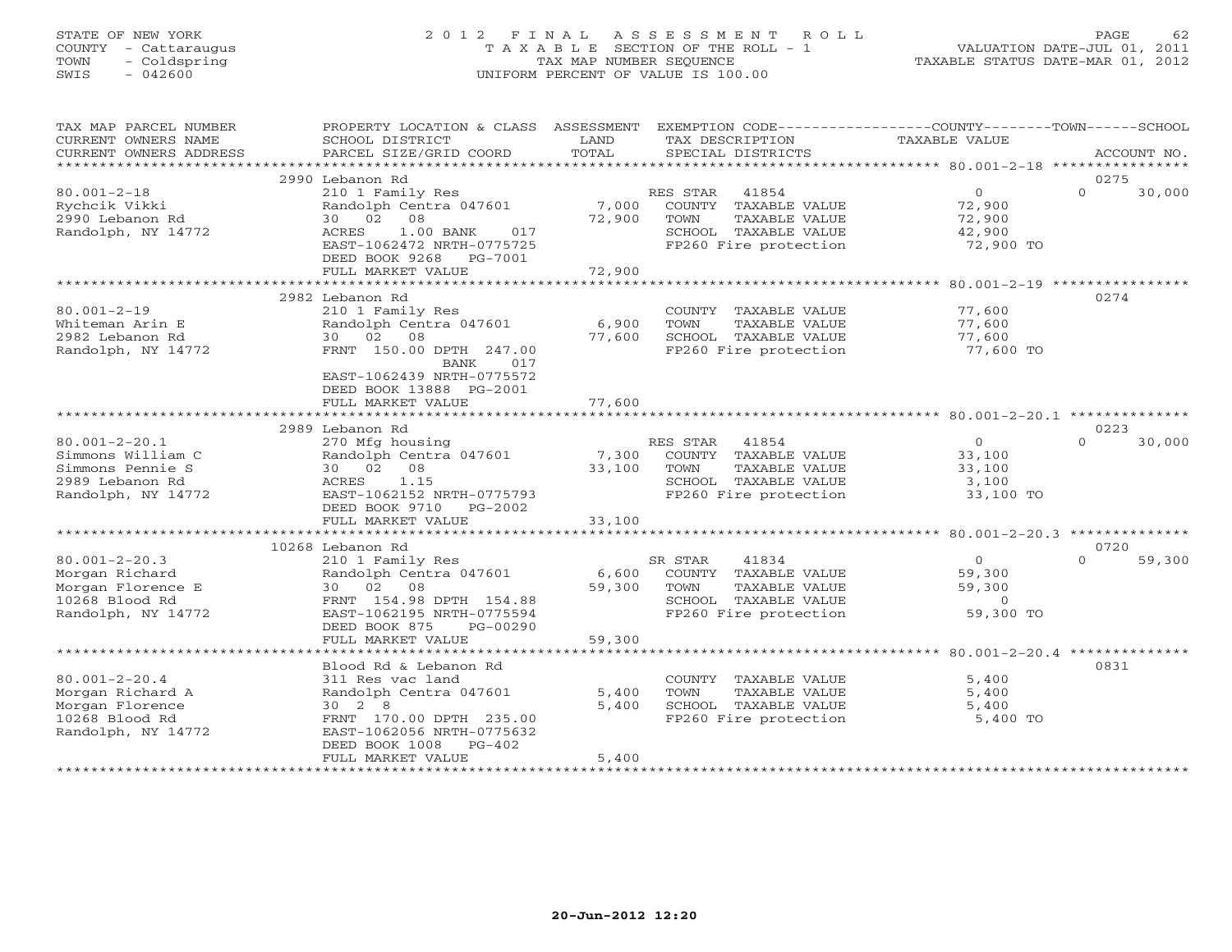# STATE OF NEW YORK 2 0 1 2 F I N A L A S S E S S M E N T R O L L PAGE 62 COUNTY - Cattaraugus T A X A B L E SECTION OF THE ROLL - 1 VALUATION DATE-JUL 01, 2011 TOWN - Coldspring TAX MAP NUMBER SEQUENCE TAXABLE STATUS DATE-MAR 01, 2012 SWIS - 042600 UNIFORM PERCENT OF VALUE IS 100.00UNIFORM PERCENT OF VALUE IS 100.00

| TAX MAP PARCEL NUMBER<br>CURRENT OWNERS NAME<br>CURRENT OWNERS ADDRESS                                | PROPERTY LOCATION & CLASS ASSESSMENT<br>SCHOOL DISTRICT<br>PARCEL SIZE/GRID COORD                                                                                                                | LAND<br>TOTAL                   | EXEMPTION CODE-----------------COUNTY-------TOWN------SCHOOL<br>TAX DESCRIPTION<br>SPECIAL DISTRICTS                | TAXABLE VALUE                                                                       | ACCOUNT NO.                |
|-------------------------------------------------------------------------------------------------------|--------------------------------------------------------------------------------------------------------------------------------------------------------------------------------------------------|---------------------------------|---------------------------------------------------------------------------------------------------------------------|-------------------------------------------------------------------------------------|----------------------------|
| ***********************                                                                               |                                                                                                                                                                                                  |                                 |                                                                                                                     |                                                                                     |                            |
| $80.001 - 2 - 18$<br>Rychcik Vikki<br>2990 Lebanon Rd<br>Randolph, NY 14772                           | 2990 Lebanon Rd<br>210 1 Family Res<br>Randolph Centra 047601<br>30 02<br>08<br>ACRES<br>1.00 BANK<br>017<br>EAST-1062472 NRTH-0775725<br>DEED BOOK 9268 PG-7001                                 | 7,000<br>72,900                 | RES STAR<br>41854<br>COUNTY TAXABLE VALUE<br>TOWN<br>TAXABLE VALUE<br>SCHOOL TAXABLE VALUE<br>FP260 Fire protection | $\overline{0}$<br>72,900<br>72,900<br>42,900<br>72,900 TO                           | 0275<br>$\Omega$<br>30,000 |
|                                                                                                       | FULL MARKET VALUE<br>***********************                                                                                                                                                     | 72,900                          |                                                                                                                     |                                                                                     |                            |
| $80.001 - 2 - 19$<br>Whiteman Arin E<br>2982 Lebanon Rd<br>Randolph, NY 14772                         | 2982 Lebanon Rd<br>210 1 Family Res<br>Randolph Centra 047601<br>30 02<br>08<br>FRNT 150.00 DPTH 247.00<br>017<br>BANK<br>EAST-1062439 NRTH-0775572<br>DEED BOOK 13888 PG-2001                   | ************<br>6,900<br>77,600 | COUNTY TAXABLE VALUE<br>TOWN<br>TAXABLE VALUE<br>SCHOOL TAXABLE VALUE<br>FP260 Fire protection                      | **************** 80.001-2-19 ***********<br>77,600<br>77,600<br>77,600<br>77,600 TO | 0274                       |
|                                                                                                       | FULL MARKET VALUE                                                                                                                                                                                | 77,600                          |                                                                                                                     |                                                                                     |                            |
|                                                                                                       | 2989 Lebanon Rd                                                                                                                                                                                  |                                 |                                                                                                                     |                                                                                     | 0223                       |
| $80.001 - 2 - 20.1$<br>Simmons William C<br>Simmons Pennie S<br>2989 Lebanon Rd<br>Randolph, NY 14772 | 270 Mfg housing<br>Randolph Centra 047601<br>30 02 08<br>ACRES<br>1.15<br>EAST-1062152 NRTH-0775793<br>DEED BOOK 9710 PG-2002<br>FULL MARKET VALUE                                               | 7,300<br>33,100<br>33,100       | RES STAR<br>41854<br>COUNTY TAXABLE VALUE<br>TOWN<br>TAXABLE VALUE<br>SCHOOL TAXABLE VALUE<br>FP260 Fire protection | $\Omega$<br>33,100<br>33,100<br>3,100<br>33,100 TO                                  | $\Omega$<br>30,000         |
|                                                                                                       |                                                                                                                                                                                                  |                                 |                                                                                                                     |                                                                                     |                            |
| $80.001 - 2 - 20.3$<br>Morgan Richard<br>Morgan Florence E<br>10268 Blood Rd<br>Randolph, NY 14772    | 10268 Lebanon Rd<br>210 1 Family Res<br>Randolph Centra 047601<br>30 02 08<br>FRNT 154.98 DPTH 154.88<br>EAST-1062195 NRTH-0775594<br>DEED BOOK 875<br>PG-00290                                  | 6,600<br>59,300                 | SR STAR<br>41834<br>COUNTY TAXABLE VALUE<br>TAXABLE VALUE<br>TOWN<br>SCHOOL TAXABLE VALUE<br>FP260 Fire protection  | $\overline{0}$<br>59,300<br>59,300<br>$\Omega$<br>59,300 TO                         | 0720<br>$\Omega$<br>59,300 |
|                                                                                                       | FULL MARKET VALUE                                                                                                                                                                                | 59,300                          |                                                                                                                     |                                                                                     |                            |
| $80.001 - 2 - 20.4$<br>Morgan Richard A<br>Morgan Florence<br>10268 Blood Rd<br>Randolph, NY 14772    | Blood Rd & Lebanon Rd<br>311 Res vac land<br>Randolph Centra 047601<br>$30 \t 2 \t 8$<br>FRNT 170.00 DPTH 235.00<br>EAST-1062056 NRTH-0775632<br>DEED BOOK 1008<br>$PG-402$<br>FULL MARKET VALUE | 5,400<br>5,400<br>5,400         | COUNTY TAXABLE VALUE<br>TOWN<br>TAXABLE VALUE<br>SCHOOL TAXABLE VALUE<br>FP260 Fire protection                      | 5,400<br>5,400<br>5,400<br>5,400 TO                                                 | 0831                       |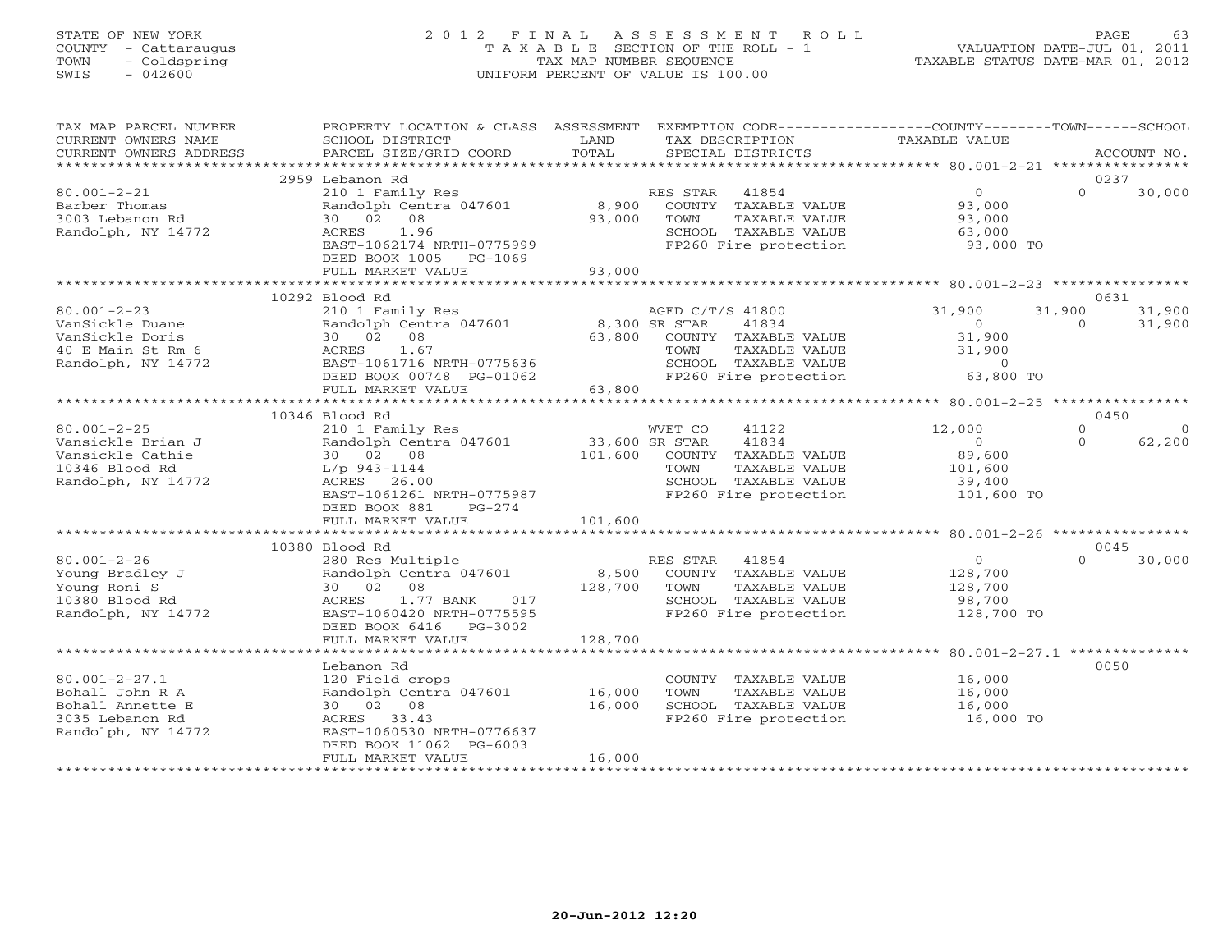# STATE OF NEW YORK 2 0 1 2 F I N A L A S S E S S M E N T R O L L PAGE 63 COUNTY - Cattaraugus T A X A B L E SECTION OF THE ROLL - 1 VALUATION DATE-JUL 01, 2011 TOWN - Coldspring TAX MAP NUMBER SEQUENCE TAXABLE STATUS DATE-MAR 01, 2012 SWIS - 042600 UNIFORM PERCENT OF VALUE IS 100.00UNIFORM PERCENT OF VALUE IS 100.00

| TAX MAP PARCEL NUMBER<br>CURRENT OWNERS NAME<br>CURRENT OWNERS ADDRESS                              | PROPERTY LOCATION & CLASS ASSESSMENT<br>SCHOOL DISTRICT<br>PARCEL SIZE/GRID COORD                                                                                                       | LAND<br>TOTAL                        | EXEMPTION CODE-----------------COUNTY-------TOWN------SCHOOL<br>TAX DESCRIPTION<br>SPECIAL DISTRICTS                        | TAXABLE VALUE                                                         |                     | ACCOUNT NO.                      |
|-----------------------------------------------------------------------------------------------------|-----------------------------------------------------------------------------------------------------------------------------------------------------------------------------------------|--------------------------------------|-----------------------------------------------------------------------------------------------------------------------------|-----------------------------------------------------------------------|---------------------|----------------------------------|
|                                                                                                     |                                                                                                                                                                                         |                                      |                                                                                                                             |                                                                       |                     |                                  |
| $80.001 - 2 - 21$<br>Barber Thomas<br>3003 Lebanon Rd<br>Randolph, NY 14772                         | 2959 Lebanon Rd<br>210 1 Family Res<br>Randolph Centra 047601<br>30 02 08<br>1.96<br>ACRES<br>EAST-1062174 NRTH-0775999<br>DEED BOOK 1005<br>PG-1069                                    | 8,900<br>93,000                      | RES STAR 41854<br>COUNTY TAXABLE VALUE<br>TOWN<br>TAXABLE VALUE<br>SCHOOL TAXABLE VALUE<br>FP260 Fire protection            | $\overline{0}$<br>93,000<br>93,000<br>63,000<br>93,000 TO             | $\Omega$            | 0237<br>30,000                   |
|                                                                                                     | FULL MARKET VALUE<br>************************                                                                                                                                           | 93,000                               |                                                                                                                             |                                                                       |                     |                                  |
| $80.001 - 2 - 23$<br>VanSickle Duane<br>VanSickle Doris<br>40 E Main St Rm 6<br>Randolph, NY 14772  | 10292 Blood Rd<br>210 1 Family Res<br>Randolph Centra 047601<br>30  02  08<br>ACRES<br>1.67<br>EAST-1061716 NRTH-0775636<br>DEED BOOK 00748 PG-01062<br>FULL MARKET VALUE               | 8,300 SR STAR<br>63,800<br>63,800    | AGED C/T/S 41800<br>41834<br>COUNTY TAXABLE VALUE<br>TAXABLE VALUE<br>TOWN<br>SCHOOL TAXABLE VALUE<br>FP260 Fire protection | 31,900<br>$\overline{0}$<br>31,900<br>31,900<br>$0$ 63,800 TO         | 31,900<br>$\Omega$  | 0631<br>31,900<br>31,900         |
|                                                                                                     |                                                                                                                                                                                         |                                      |                                                                                                                             |                                                                       |                     |                                  |
| $80.001 - 2 - 25$<br>Vansickle Brian J<br>Vansickle Cathie<br>10346 Blood Rd<br>Randolph, NY 14772  | 10346 Blood Rd<br>210 1 Family Res<br>Randolph Centra 047601<br>30 02 08<br>L/p 943-1144<br>26.00<br>ACRES<br>EAST-1061261 NRTH-0775987<br>DEED BOOK 881<br>PG-274<br>FULL MARKET VALUE | 33,600 SR STAR<br>101,600<br>101,600 | WVET CO<br>41122<br>41834<br>COUNTY TAXABLE VALUE<br>TOWN<br>TAXABLE VALUE<br>SCHOOL TAXABLE VALUE<br>FP260 Fire protection | 12,000<br>$\overline{0}$<br>89,600<br>101,600<br>39,400<br>101,600 TO | $\Omega$<br>$\circ$ | 0450<br>$\overline{0}$<br>62,200 |
|                                                                                                     |                                                                                                                                                                                         |                                      |                                                                                                                             |                                                                       |                     |                                  |
| $80.001 - 2 - 26$<br>Young Bradley J<br>Young Roni S<br>10380 Blood Rd<br>Randolph, NY 14772        | 10380 Blood Rd<br>280 Res Multiple<br>Randolph Centra 047601 8,500 COUNTY TAXABLE VALUE<br>30 02 08<br>1.77 BANK 017<br>ACRES<br>EAST-1060420 NRTH-0775595<br>DEED BOOK 6416 PG-3002    | 128,700                              | RES STAR<br>41854<br>TAXABLE VALUE<br>TOWN<br>SCHOOL TAXABLE VALUE<br>FP260 Fire protection                                 | $\overline{0}$<br>128,700<br>128,700<br>98,700<br>128,700 TO          | $\Omega$            | 0045<br>30,000                   |
|                                                                                                     | FULL MARKET VALUE                                                                                                                                                                       | 128,700                              |                                                                                                                             |                                                                       |                     |                                  |
| $80.001 - 2 - 27.1$<br>Bohall John R A<br>Bohall Annette E<br>3035 Lebanon Rd<br>Randolph, NY 14772 | Lebanon Rd<br>120 Field crops<br>Randolph Centra 047601 16,000<br>30 02 08<br>ACRES 33.43<br>EAST-1060530 NRTH-0776637<br>DEED BOOK 11062 PG-6003<br>FULL MARKET VALUE                  | 16,000<br>16,000                     | COUNTY TAXABLE VALUE<br>TAXABLE VALUE<br>TOWN<br>SCHOOL TAXABLE VALUE<br>FP260 Fire protection                              | 16,000<br>16,000<br>16,000<br>16,000 TO                               |                     | 0050                             |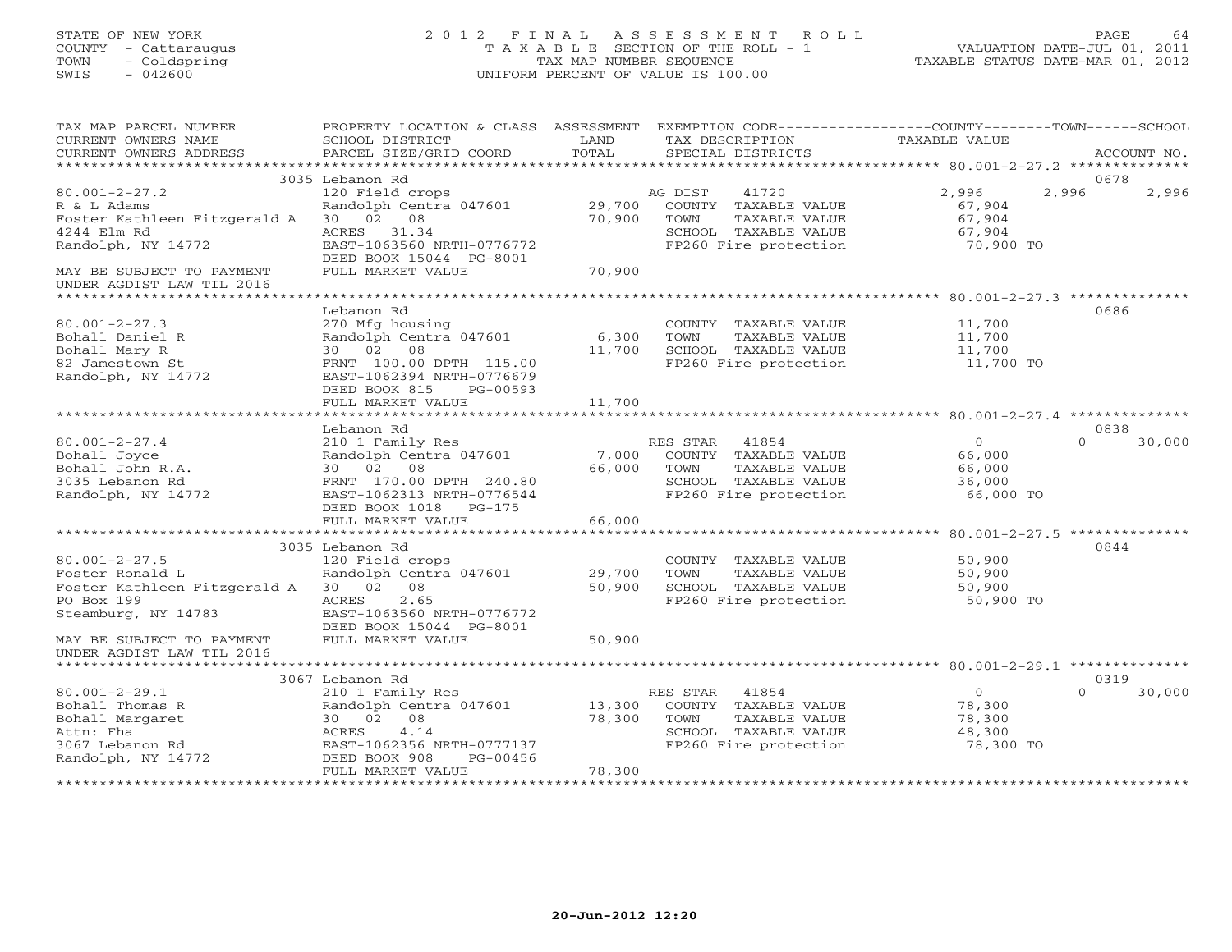## STATE OF NEW YORK 2 0 1 2 F I N A L A S S E S S M E N T R O L L PAGE 64 COUNTY - Cattaraugus T A X A B L E SECTION OF THE ROLL - 1 VALUATION DATE-JUL 01, 2011 TOWN - Coldspring TAX MAP NUMBER SEQUENCE TAXABLE STATUS DATE-MAR 01, 2012 SWIS - 042600 UNIFORM PERCENT OF VALUE IS 100.00UNIFORM PERCENT OF VALUE IS 100.00

| TAX MAP PARCEL NUMBER<br>CURRENT OWNERS NAME<br>CURRENT OWNERS ADDRESS     | PROPERTY LOCATION & CLASS ASSESSMENT<br>SCHOOL DISTRICT<br>PARCEL SIZE/GRID COORD | LAND<br>TOTAL   | EXEMPTION CODE----------------COUNTY-------TOWN-----SCHOOL<br>TAX DESCRIPTION<br>SPECIAL DISTRICTS | <b>TAXABLE VALUE</b>                    | ACCOUNT NO.            |
|----------------------------------------------------------------------------|-----------------------------------------------------------------------------------|-----------------|----------------------------------------------------------------------------------------------------|-----------------------------------------|------------------------|
|                                                                            |                                                                                   |                 |                                                                                                    |                                         |                        |
| $80.001 - 2 - 27.2$<br>R & L Adams                                         | 3035 Lebanon Rd<br>120 Field crops<br>Randolph Centra 047601                      | 29,700          | 41720<br>AG DIST<br>COUNTY TAXABLE VALUE                                                           | 2,996<br>67,904                         | 0678<br>2,996<br>2,996 |
| Foster Kathleen Fitzgerald A<br>4244 Elm Rd                                | 30 02 08<br>ACRES 31.34                                                           | 70,900          | TOWN<br>TAXABLE VALUE<br>SCHOOL TAXABLE VALUE                                                      | 67,904<br>67,904                        |                        |
| Randolph, NY 14772                                                         | EAST-1063560 NRTH-0776772<br>DEED BOOK 15044 PG-8001                              |                 | FP260 Fire protection                                                                              | 70,900 TO                               |                        |
| MAY BE SUBJECT TO PAYMENT<br>UNDER AGDIST LAW TIL 2016                     | FULL MARKET VALUE                                                                 | 70,900          |                                                                                                    |                                         |                        |
|                                                                            | Lebanon Rd                                                                        |                 |                                                                                                    |                                         | 0686                   |
| $80.001 - 2 - 27.3$<br>Bohall Daniel R<br>Bohall Mary R<br>82 Jamestown St | 270 Mfg housing<br>Randolph Centra 047601<br>30 02 08<br>FRNT 100.00 DPTH 115.00  | 6,300<br>11,700 | COUNTY TAXABLE VALUE<br>TOWN<br>TAXABLE VALUE<br>SCHOOL TAXABLE VALUE<br>FP260 Fire protection     | 11,700<br>11,700<br>11,700<br>11,700 TO |                        |
| Randolph, NY 14772                                                         | EAST-1062394 NRTH-0776679<br>DEED BOOK 815<br>PG-00593<br>FULL MARKET VALUE       | 11,700          |                                                                                                    |                                         |                        |
|                                                                            |                                                                                   |                 |                                                                                                    |                                         |                        |
|                                                                            | Lebanon Rd                                                                        |                 |                                                                                                    |                                         | 0838                   |
| $80.001 - 2 - 27.4$                                                        | 210 1 Family Res                                                                  |                 | RES STAR<br>41854                                                                                  | $\Omega$                                | 30,000<br>$\Omega$     |
| Bohall Joyce                                                               | Randolph Centra 047601                                                            | 7,000           | COUNTY TAXABLE VALUE                                                                               | 66,000                                  |                        |
| Bohall John R.A.<br>3035 Lebanon Rd                                        | 30 02 08                                                                          | 66,000          | TAXABLE VALUE<br>TOWN                                                                              | 66,000<br>36,000                        |                        |
| Randolph, NY 14772                                                         | FRNT 170.00 DPTH 240.80<br>EAST-1062313 NRTH-0776544                              |                 | SCHOOL TAXABLE VALUE<br>FP260 Fire protection                                                      | 66,000 TO                               |                        |
|                                                                            | DEED BOOK 1018 PG-175                                                             |                 |                                                                                                    |                                         |                        |
|                                                                            | FULL MARKET VALUE                                                                 | 66,000          |                                                                                                    |                                         |                        |
|                                                                            | 3035 Lebanon Rd                                                                   |                 |                                                                                                    |                                         | 0844                   |
| $80.001 - 2 - 27.5$                                                        | 120 Field crops                                                                   |                 | COUNTY TAXABLE VALUE                                                                               | 50,900                                  |                        |
| Foster Ronald L                                                            | Randolph Centra 047601                                                            | 29,700          | TAXABLE VALUE<br>TOWN                                                                              | 50,900                                  |                        |
| Foster Kathleen Fitzgerald A 30 02 08                                      |                                                                                   | 50,900          | SCHOOL TAXABLE VALUE                                                                               | 50,900                                  |                        |
| PO Box 199                                                                 | 2.65<br>ACRES                                                                     |                 | FP260 Fire protection                                                                              | 50,900 TO                               |                        |
| Steamburg, NY 14783                                                        | EAST-1063560 NRTH-0776772<br>DEED BOOK 15044 PG-8001                              |                 |                                                                                                    |                                         |                        |
| MAY BE SUBJECT TO PAYMENT<br>UNDER AGDIST LAW TIL 2016                     | FULL MARKET VALUE                                                                 | 50,900          |                                                                                                    |                                         |                        |
|                                                                            |                                                                                   |                 |                                                                                                    |                                         |                        |
|                                                                            | 3067 Lebanon Rd                                                                   |                 | 41854                                                                                              | $\circ$                                 | 0319<br>$\Omega$       |
| $80.001 - 2 - 29.1$<br>Bohall Thomas R                                     | 210 1 Family Res<br>Randolph Centra 047601                                        | 13,300          | RES STAR<br>COUNTY TAXABLE VALUE                                                                   | 78,300                                  | 30,000                 |
| Bohall Margaret                                                            | 30 02 08                                                                          | 78,300          | TOWN<br>TAXABLE VALUE                                                                              | 78,300                                  |                        |
| Attn: Fha                                                                  | 4.14<br>ACRES                                                                     |                 | SCHOOL TAXABLE VALUE                                                                               | 48,300                                  |                        |
| 3067 Lebanon Rd                                                            | EAST-1062356 NRTH-0777137                                                         |                 | FP260 Fire protection                                                                              | 78,300 TO                               |                        |
| Randolph, NY 14772                                                         | PG-00456<br>DEED BOOK 908<br>FULL MARKET VALUE                                    | 78,300          |                                                                                                    |                                         |                        |
|                                                                            |                                                                                   |                 |                                                                                                    |                                         |                        |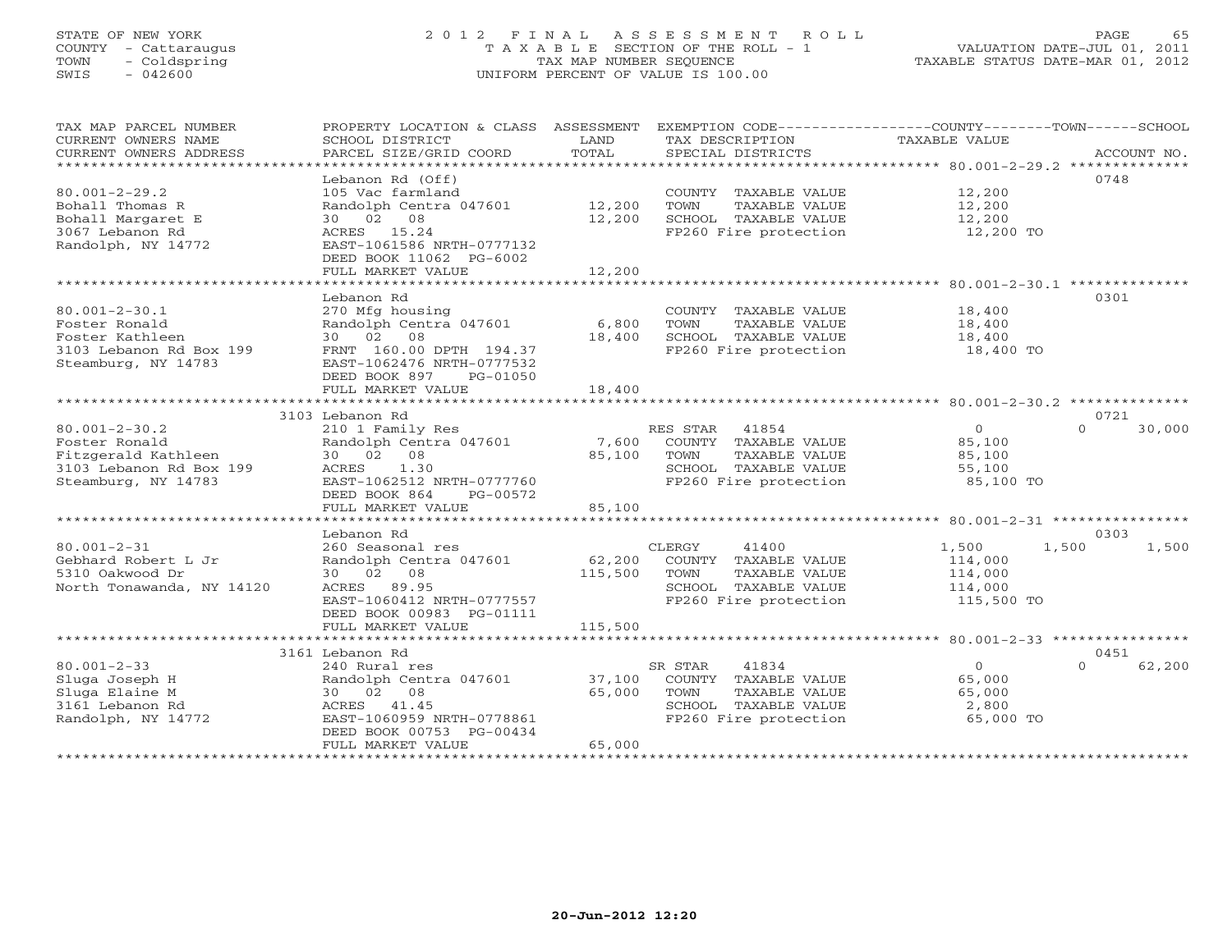## STATE OF NEW YORK 2 0 1 2 F I N A L A S S E S S M E N T R O L L PAGE 65 COUNTY - Cattaraugus T A X A B L E SECTION OF THE ROLL - 1 VALUATION DATE-JUL 01, 2011 TOWN - Coldspring TAX MAP NUMBER SEQUENCE TAXABLE STATUS DATE-MAR 01, 2012 SWIS - 042600 UNIFORM PERCENT OF VALUE IS 100.00UNIFORM PERCENT OF VALUE IS 100.00

| TAX MAP PARCEL NUMBER<br>CURRENT OWNERS NAME<br>CURRENT OWNERS ADDRESS                                        | PROPERTY LOCATION & CLASS ASSESSMENT<br>SCHOOL DISTRICT<br>PARCEL SIZE/GRID COORD                                                                                                                    | LAND<br>TOTAL              | TAX DESCRIPTION<br>SPECIAL DISTRICTS                                                                                | EXEMPTION CODE-----------------COUNTY-------TOWN------SCHOOL<br><b>TAXABLE VALUE</b> | ACCOUNT NO.                |
|---------------------------------------------------------------------------------------------------------------|------------------------------------------------------------------------------------------------------------------------------------------------------------------------------------------------------|----------------------------|---------------------------------------------------------------------------------------------------------------------|--------------------------------------------------------------------------------------|----------------------------|
| $80.001 - 2 - 29.2$<br>Bohall Thomas R<br>Bohall Margaret E<br>3067 Lebanon Rd<br>Randolph, NY 14772          | Lebanon Rd (Off)<br>105 Vac farmland<br>Randolph Centra 047601<br>30 02 08<br>ACRES 15.24<br>EAST-1061586 NRTH-0777132<br>DEED BOOK 11062 PG-6002<br>FULL MARKET VALUE                               | 12,200<br>12,200<br>12,200 | COUNTY TAXABLE VALUE<br>TOWN<br>TAXABLE VALUE<br>SCHOOL TAXABLE VALUE<br>FP260 Fire protection                      | 12,200<br>12,200<br>12,200<br>12,200 TO                                              | 0748                       |
| $80.001 - 2 - 30.1$<br>Foster Ronald<br>Foster Kathleen<br>3103 Lebanon Rd Box 199<br>Steamburg, NY 14783     | Lebanon Rd<br>270 Mfg housing<br>Randolph Centra 047601<br>30 02 08<br>FRNT 160.00 DPTH 194.37<br>EAST-1062476 NRTH-0777532<br>DEED BOOK 897<br>PG-01050<br>FULL MARKET VALUE                        | 6,800<br>18,400<br>18,400  | COUNTY TAXABLE VALUE<br>TOWN<br>TAXABLE VALUE<br>SCHOOL TAXABLE VALUE<br>FP260 Fire protection                      | 18,400<br>18,400<br>18,400<br>18,400 TO                                              | 0301                       |
|                                                                                                               | 3103 Lebanon Rd                                                                                                                                                                                      |                            |                                                                                                                     |                                                                                      | 0721                       |
| $80.001 - 2 - 30.2$<br>Foster Ronald<br>Fitzgerald Kathleen<br>3103 Lebanon Rd Box 199<br>Steamburg, NY 14783 | 210 1 Family Res<br>Randolph Centra 047601<br>30 02 08<br>1.30<br>ACRES<br>EAST-1062512 NRTH-0777760<br>DEED BOOK 864<br>PG-00572                                                                    | 7,600<br>85,100            | 41854<br>RES STAR<br>COUNTY TAXABLE VALUE<br>TAXABLE VALUE<br>TOWN<br>SCHOOL TAXABLE VALUE<br>FP260 Fire protection | $\circ$<br>85,100<br>85,100<br>55,100<br>85,100 TO                                   | $\Omega$<br>30,000         |
|                                                                                                               | FULL MARKET VALUE                                                                                                                                                                                    | 85,100                     |                                                                                                                     |                                                                                      |                            |
|                                                                                                               | ***********************                                                                                                                                                                              |                            |                                                                                                                     |                                                                                      |                            |
| $80.001 - 2 - 31$<br>Gebhard Robert L Jr<br>5310 Oakwood Dr<br>North Tonawanda, NY 14120                      | Lebanon Rd<br>260 Seasonal res<br>Randolph Centra 047601<br>30 02 08<br>ACRES 89.95<br>EAST-1060412 NRTH-0777557<br>DEED BOOK 00983 PG-01111                                                         | 62,200<br>115,500          | CLERGY<br>41400<br>COUNTY TAXABLE VALUE<br>TOWN<br>TAXABLE VALUE<br>SCHOOL TAXABLE VALUE<br>FP260 Fire protection   | 1,500<br>1,500<br>114,000<br>114,000<br>114,000<br>115,500 TO                        | 0303<br>1,500              |
|                                                                                                               | FULL MARKET VALUE                                                                                                                                                                                    | 115,500                    |                                                                                                                     |                                                                                      |                            |
|                                                                                                               |                                                                                                                                                                                                      |                            |                                                                                                                     |                                                                                      |                            |
| $80.001 - 2 - 33$<br>Sluga Joseph H<br>Sluga Elaine M<br>3161 Lebanon Rd<br>Randolph, NY 14772                | 3161 Lebanon Rd<br>240 Rural res<br>Randolph Centra 047601<br>30 02 08<br>ACRES 41.45<br>EAST-1060959 NRTH-0778861<br>DEED BOOK 00753 PG-00434<br>FULL MARKET VALUE<br>***************************** | 37,100<br>65,000<br>65,000 | SR STAR<br>41834<br>COUNTY TAXABLE VALUE<br>TOWN<br>TAXABLE VALUE<br>SCHOOL TAXABLE VALUE<br>FP260 Fire protection  | $\circ$<br>65,000<br>65,000<br>2,800<br>65,000 TO                                    | 0451<br>$\Omega$<br>62,200 |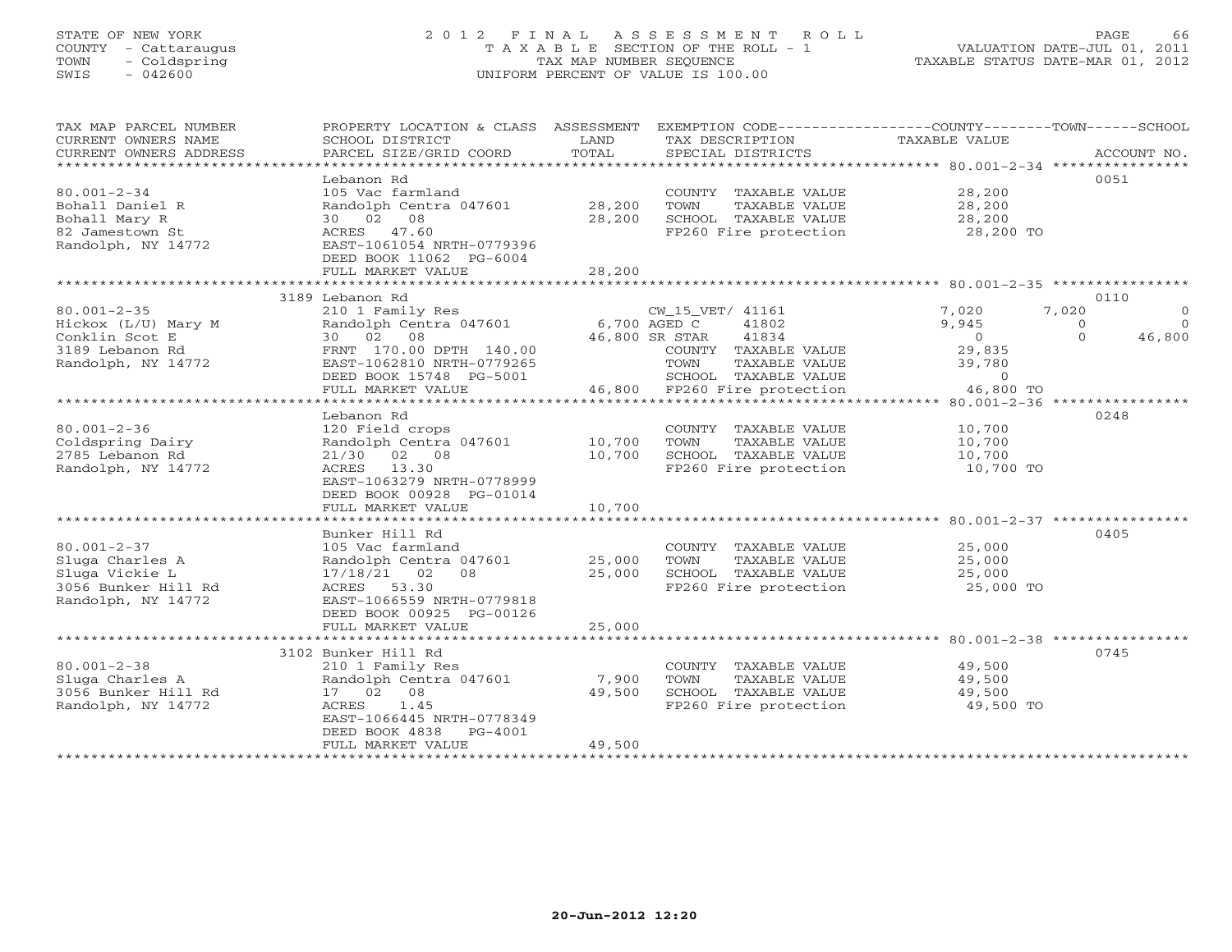# STATE OF NEW YORK 2 0 1 2 F I N A L A S S E S S M E N T R O L L PAGE 66 COUNTY - Cattaraugus T A X A B L E SECTION OF THE ROLL - 1 VALUATION DATE-JUL 01, 2011 TOWN - Coldspring TAX MAP NUMBER SEQUENCE TAXABLE STATUS DATE-MAR 01, 2012 SWIS - 042600 UNIFORM PERCENT OF VALUE IS 100.00UNIFORM PERCENT OF VALUE IS 100.00

| TAX MAP PARCEL NUMBER<br>CURRENT OWNERS NAME<br>CURRENT OWNERS ADDRESS | PROPERTY LOCATION & CLASS ASSESSMENT<br>SCHOOL DISTRICT<br>PARCEL SIZE/GRID COORD | LAND<br>TOTAL | EXEMPTION CODE----------------COUNTY-------TOWN------SCHOOL<br>TAX DESCRIPTION<br>SPECIAL DISTRICTS | TAXABLE VALUE       | ACCOUNT NO.          |
|------------------------------------------------------------------------|-----------------------------------------------------------------------------------|---------------|-----------------------------------------------------------------------------------------------------|---------------------|----------------------|
| *************************                                              |                                                                                   |               |                                                                                                     |                     |                      |
|                                                                        | Lebanon Rd                                                                        |               |                                                                                                     |                     | 0051                 |
| $80.001 - 2 - 34$                                                      | 105 Vac farmland                                                                  |               | COUNTY TAXABLE VALUE                                                                                | 28,200              |                      |
| Bohall Daniel R                                                        | Randolph Centra 047601                                                            | 28,200        | TOWN<br>TAXABLE VALUE                                                                               | 28,200              |                      |
| Bohall Mary R                                                          | 30 02 08                                                                          | 28,200        | SCHOOL TAXABLE VALUE                                                                                | 28,200              |                      |
| 82 Jamestown St                                                        | ACRES 47.60                                                                       |               | FP260 Fire protection                                                                               | 28,200 TO           |                      |
| Randolph, NY 14772                                                     | EAST-1061054 NRTH-0779396                                                         |               |                                                                                                     |                     |                      |
|                                                                        | DEED BOOK 11062 PG-6004                                                           |               |                                                                                                     |                     |                      |
|                                                                        | FULL MARKET VALUE                                                                 | 28,200        |                                                                                                     |                     |                      |
|                                                                        | 3189 Lebanon Rd                                                                   |               |                                                                                                     |                     | 0110                 |
| $80.001 - 2 - 35$                                                      | 210 1 Family Res                                                                  |               | CW_15_VET/ 41161                                                                                    | 7,020<br>7,020      | $\circ$              |
| Hickox (L/U) Mary M                                                    | Randolph Centra 047601                                                            |               | 6,700 AGED C<br>41802                                                                               | 9,945               | $\Omega$<br>$\Omega$ |
| Conklin Scot E                                                         | 30 02 08                                                                          |               | 46,800 SR STAR<br>41834                                                                             | $\overline{0}$      | $\Omega$<br>46,800   |
| 3189 Lebanon Rd                                                        | FRNT 170.00 DPTH 140.00                                                           |               | COUNTY TAXABLE VALUE                                                                                | 29,835              |                      |
| Randolph, NY 14772                                                     | EAST-1062810 NRTH-0779265                                                         |               | TOWN<br>TAXABLE VALUE                                                                               | 39,780              |                      |
|                                                                        | DEED BOOK 15748 PG-5001                                                           |               | SCHOOL TAXABLE VALUE                                                                                | $\Omega$            |                      |
|                                                                        | FULL MARKET VALUE                                                                 |               | 46,800 FP260 Fire protection                                                                        | 46,800 TO           |                      |
|                                                                        | **************************                                                        |               |                                                                                                     |                     |                      |
|                                                                        | Lebanon Rd                                                                        |               |                                                                                                     |                     | 0248                 |
| $80.001 - 2 - 36$                                                      | 120 Field crops                                                                   |               | COUNTY TAXABLE VALUE                                                                                | 10,700              |                      |
| Coldspring Dairy                                                       | Randolph Centra 047601                                                            | 10,700        | TOWN<br>TAXABLE VALUE                                                                               | 10,700              |                      |
| 2785 Lebanon Rd<br>Randolph, NY 14772                                  | 21/30 02 08<br>ACRES 13.30                                                        | 10,700        | SCHOOL TAXABLE VALUE<br>FP260 Fire protection                                                       | 10,700<br>10,700 TO |                      |
|                                                                        | EAST-1063279 NRTH-0778999                                                         |               |                                                                                                     |                     |                      |
|                                                                        | DEED BOOK 00928 PG-01014                                                          |               |                                                                                                     |                     |                      |
|                                                                        | FULL MARKET VALUE                                                                 | 10,700        |                                                                                                     |                     |                      |
|                                                                        |                                                                                   |               |                                                                                                     |                     |                      |
|                                                                        | Bunker Hill Rd                                                                    |               |                                                                                                     |                     | 0405                 |
| $80.001 - 2 - 37$                                                      | 105 Vac farmland                                                                  |               | COUNTY TAXABLE VALUE                                                                                | 25,000              |                      |
| Sluga Charles A                                                        | Randolph Centra 047601                                                            | 25,000        | TOWN<br>TAXABLE VALUE                                                                               | 25,000              |                      |
| Sluga Vickie L                                                         | 02<br>17/18/21<br>08                                                              | 25,000        | SCHOOL TAXABLE VALUE                                                                                | 25,000              |                      |
| 3056 Bunker Hill Rd                                                    | ACRES 53.30                                                                       |               | FP260 Fire protection                                                                               | 25,000 TO           |                      |
| Randolph, NY 14772                                                     | EAST-1066559 NRTH-0779818                                                         |               |                                                                                                     |                     |                      |
|                                                                        | DEED BOOK 00925 PG-00126                                                          |               |                                                                                                     |                     |                      |
|                                                                        | FULL MARKET VALUE                                                                 | 25,000        |                                                                                                     |                     |                      |
|                                                                        | 3102 Bunker Hill Rd                                                               |               |                                                                                                     |                     | 0745                 |
| $80.001 - 2 - 38$                                                      | 210 1 Family Res                                                                  |               | COUNTY TAXABLE VALUE                                                                                | 49,500              |                      |
| Sluga Charles A                                                        | Randolph Centra 047601                                                            | 7,900         | TOWN<br>TAXABLE VALUE                                                                               | 49,500              |                      |
| 3056 Bunker Hill Rd                                                    | 17 02 08                                                                          | 49,500        | SCHOOL TAXABLE VALUE                                                                                | 49,500              |                      |
| Randolph, NY 14772                                                     | ACRES<br>1.45                                                                     |               | FP260 Fire protection                                                                               | 49,500 TO           |                      |
|                                                                        | EAST-1066445 NRTH-0778349                                                         |               |                                                                                                     |                     |                      |
|                                                                        | DEED BOOK 4838<br>$PG-4001$                                                       |               |                                                                                                     |                     |                      |
|                                                                        | FULL MARKET VALUE                                                                 | 49,500        |                                                                                                     |                     |                      |
|                                                                        | * * * * * * * * * * * * * * * * * * * *                                           |               |                                                                                                     |                     |                      |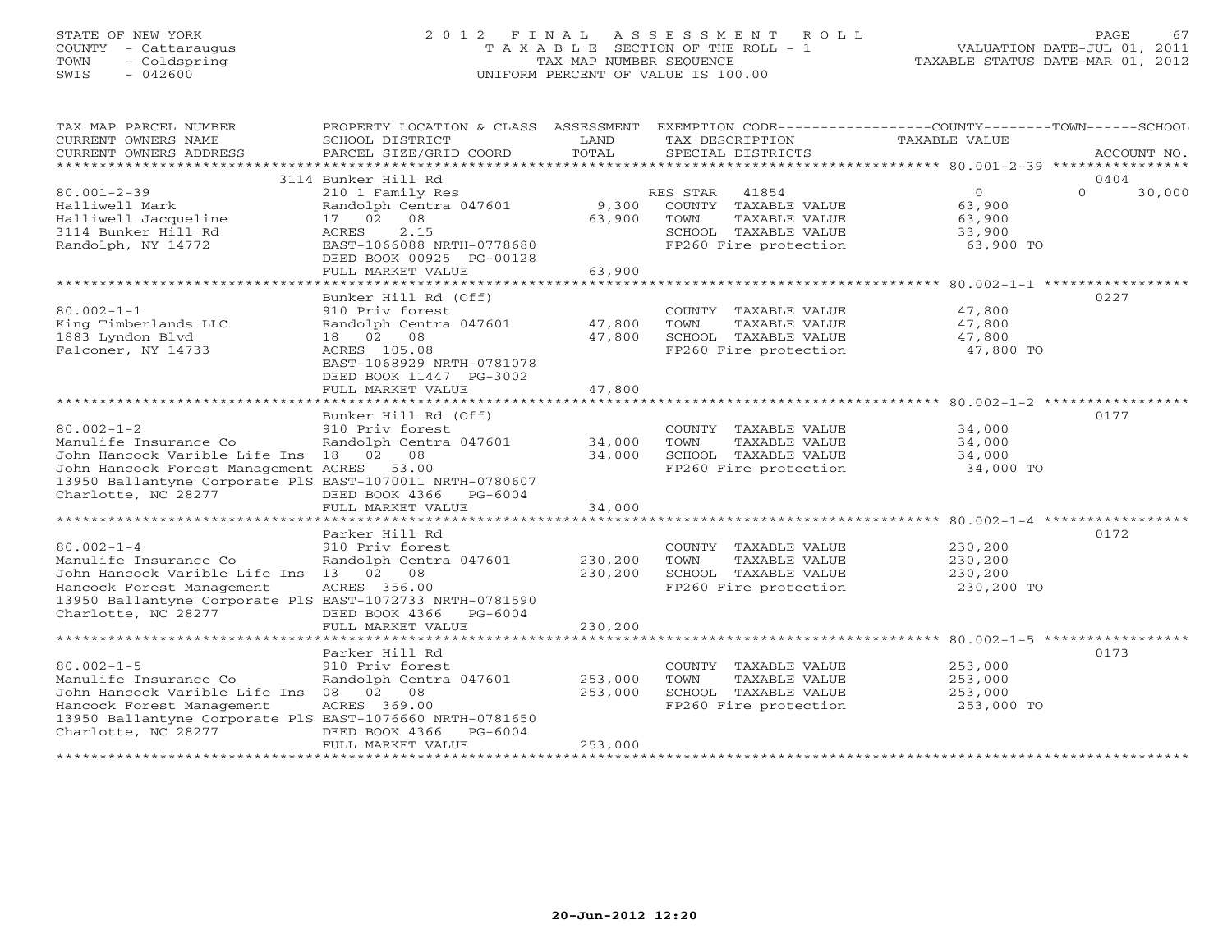# STATE OF NEW YORK 2 0 1 2 F I N A L A S S E S S M E N T R O L L PAGE 67 COUNTY - Cattaraugus T A X A B L E SECTION OF THE ROLL - 1 VALUATION DATE-JUL 01, 2011 TOWN - Coldspring TAX MAP NUMBER SEQUENCE TAXABLE STATUS DATE-MAR 01, 2012 SWIS - 042600 UNIFORM PERCENT OF VALUE IS 100.00UNIFORM PERCENT OF VALUE IS 100.00

| TAX MAP PARCEL NUMBER<br>CURRENT OWNERS NAME<br>CURRENT OWNERS ADDRESS                                                  | PROPERTY LOCATION & CLASS ASSESSMENT<br>SCHOOL DISTRICT<br>PARCEL SIZE/GRID COORD | LAND<br>TOTAL      | EXEMPTION CODE-----------------COUNTY-------TOWN------SCHOOL<br>TAX DESCRIPTION<br>SPECIAL DISTRICTS | TAXABLE VALUE                               | ACCOUNT NO.        |
|-------------------------------------------------------------------------------------------------------------------------|-----------------------------------------------------------------------------------|--------------------|------------------------------------------------------------------------------------------------------|---------------------------------------------|--------------------|
|                                                                                                                         | 3114 Bunker Hill Rd                                                               |                    |                                                                                                      |                                             | 0404               |
| $80.001 - 2 - 39$<br>Halliwell Mark<br>Halliwell Jacqueline                                                             | 210 1 Family Res<br>Randolph Centra 047601<br>17 02 08                            | 9,300<br>63,900    | RES STAR<br>41854<br>COUNTY TAXABLE VALUE<br>TOWN<br>TAXABLE VALUE                                   | $\overline{0}$<br>63,900<br>63,900          | $\Omega$<br>30,000 |
| 3114 Bunker Hill Rd<br>Randolph, NY 14772                                                                               | 2.15<br>ACRES<br>EAST-1066088 NRTH-0778680<br>DEED BOOK 00925 PG-00128            |                    | SCHOOL TAXABLE VALUE<br>FP260 Fire protection                                                        | 33,900<br>63,900 TO                         |                    |
|                                                                                                                         | FULL MARKET VALUE                                                                 | 63,900             |                                                                                                      |                                             |                    |
|                                                                                                                         | Bunker Hill Rd (Off)                                                              |                    |                                                                                                      |                                             | 0227               |
| $80.002 - 1 - 1$<br>King Timberlands LLC<br>1883 Lyndon Blvd                                                            | 910 Priv forest<br>Randolph Centra 047601<br>18 02 08                             | 47,800<br>47,800   | COUNTY TAXABLE VALUE<br>TAXABLE VALUE<br>TOWN<br>SCHOOL TAXABLE VALUE                                | 47,800<br>47,800<br>47,800                  |                    |
| Falconer, NY 14733                                                                                                      | ACRES 105.08<br>EAST-1068929 NRTH-0781078<br>DEED BOOK 11447 PG-3002              |                    | FP260 Fire protection                                                                                | 47,800 TO                                   |                    |
|                                                                                                                         | FULL MARKET VALUE                                                                 | 47,800             |                                                                                                      |                                             |                    |
|                                                                                                                         |                                                                                   |                    |                                                                                                      |                                             | 0177               |
| $80.002 - 1 - 2$                                                                                                        | Bunker Hill Rd (Off)<br>910 Priv forest                                           |                    | COUNTY TAXABLE VALUE                                                                                 | 34,000                                      |                    |
| Manulife Insurance Co                                                                                                   | Randolph Centra 047601                                                            | 34,000             | TOWN<br>TAXABLE VALUE                                                                                | 34,000                                      |                    |
| John Hancock Varible Life Ins 18 02                                                                                     | 08                                                                                | 34,000             | SCHOOL TAXABLE VALUE                                                                                 | 34,000                                      |                    |
| John Hancock Forest Management ACRES<br>13950 Ballantyne Corporate PlS EAST-1070011 NRTH-0780607<br>Charlotte, NC 28277 | 53.00<br>DEED BOOK 4366<br>PG-6004                                                |                    | FP260 Fire protection                                                                                | 34,000 TO                                   |                    |
|                                                                                                                         | FULL MARKET VALUE                                                                 | 34,000             |                                                                                                      |                                             |                    |
|                                                                                                                         | ************************                                                          | ***********        |                                                                                                      |                                             |                    |
|                                                                                                                         | Parker Hill Rd                                                                    |                    |                                                                                                      |                                             | 0172               |
| $80.002 - 1 - 4$                                                                                                        | 910 Priv forest                                                                   |                    | COUNTY TAXABLE VALUE                                                                                 | 230,200                                     |                    |
| Manulife Insurance Co<br>John Hancock Varible Life Ins                                                                  | Randolph Centra 047601<br>13 02 08                                                | 230,200<br>230,200 | TOWN<br>TAXABLE VALUE<br>SCHOOL TAXABLE VALUE                                                        | 230,200<br>230,200                          |                    |
| Hancock Forest Management<br>13950 Ballantyne Corporate PlS EAST-1072733 NRTH-0781590<br>Charlotte, NC 28277            | ACRES 356.00<br>DEED BOOK 4366 PG-6004                                            |                    | FP260 Fire protection                                                                                | 230,200 TO                                  |                    |
|                                                                                                                         | FULL MARKET VALUE                                                                 | 230,200            |                                                                                                      |                                             |                    |
|                                                                                                                         |                                                                                   |                    |                                                                                                      |                                             |                    |
|                                                                                                                         | Parker Hill Rd                                                                    |                    |                                                                                                      |                                             | 0173               |
| $80.002 - 1 - 5$<br>Manulife Insurance Co<br>John Hancock Varible Life Ins 08 02 08<br>Hancock Forest Management        | 910 Priv forest<br>Randolph Centra 047601<br>ACRES 369.00                         | 253,000<br>253,000 | COUNTY TAXABLE VALUE<br>TOWN<br>TAXABLE VALUE<br>SCHOOL TAXABLE VALUE<br>FP260 Fire protection       | 253,000<br>253,000<br>253,000<br>253,000 TO |                    |
| 13950 Ballantyne Corporate PlS EAST-1076660 NRTH-0781650<br>Charlotte, NC 28277                                         | DEED BOOK 4366<br>PG-6004<br>FULL MARKET VALUE                                    | 253,000            |                                                                                                      |                                             |                    |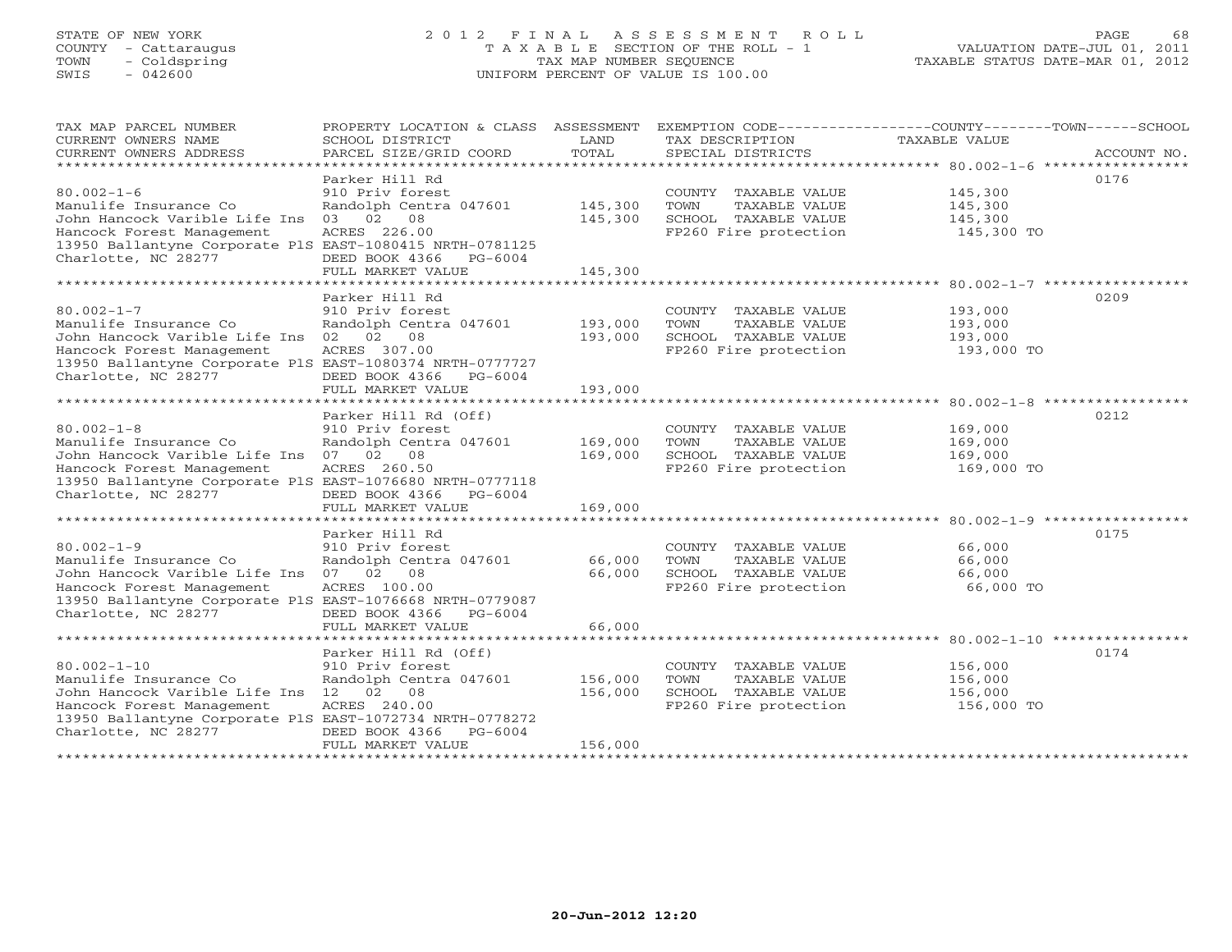# STATE OF NEW YORK 2 0 1 2 F I N A L A S S E S S M E N T R O L L PAGE 68 COUNTY - Cattaraugus T A X A B L E SECTION OF THE ROLL - 1 VALUATION DATE-JUL 01, 2011 TOWN - Coldspring TAX MAP NUMBER SEQUENCE TAXABLE STATUS DATE-MAR 01, 2012 SWIS - 042600 UNIFORM PERCENT OF VALUE IS 100.00

| TAX MAP PARCEL NUMBER<br>CURRENT OWNERS NAME<br>CURRENT OWNERS ADDRESS                                                                                                                                                         | PROPERTY LOCATION & CLASS ASSESSMENT<br>SCHOOL DISTRICT<br>PARCEL SIZE/GRID COORD                                                                                          | LAND<br>TOTAL                                 | TAX DESCRIPTION<br>SPECIAL DISTRICTS                                                           | EXEMPTION CODE-----------------COUNTY-------TOWN-----SCHOOL<br><b>TAXABLE VALUE</b><br>ACCOUNT NO. |
|--------------------------------------------------------------------------------------------------------------------------------------------------------------------------------------------------------------------------------|----------------------------------------------------------------------------------------------------------------------------------------------------------------------------|-----------------------------------------------|------------------------------------------------------------------------------------------------|----------------------------------------------------------------------------------------------------|
| $80.002 - 1 - 6$<br>Manulife Insurance Co<br>John Hancock Varible Life Ins<br>Hancock Forest Management<br>13950 Ballantyne Corporate PlS EAST-1080415 NRTH-0781125<br>Charlotte, NC 28277                                     | Parker Hill Rd<br>910 Priv forest<br>Randolph Centra 047601<br>03 02 08<br>ACRES 226.00<br>DEED BOOK 4366<br>$PG-6004$<br>FULL MARKET VALUE                                | 145,300<br>145,300<br>145,300                 | COUNTY TAXABLE VALUE<br>TOWN<br>TAXABLE VALUE<br>SCHOOL TAXABLE VALUE<br>FP260 Fire protection | 0176<br>145,300<br>145,300<br>145,300<br>145,300 TO                                                |
| $80.002 - 1 - 7$<br>Manulife Insurance Co<br>John Hancock Varible Life Ins<br>Hancock Forest Management<br>13950 Ballantyne Corporate PlS EAST-1080374 NRTH-0777727<br>Charlotte, NC 28277                                     | Parker Hill Rd<br>910 Priv forest<br>Randolph Centra 047601<br>02<br>08<br>02<br>ACRES 307.00<br>DEED BOOK 4366<br>$PG-6004$<br>FULL MARKET VALUE                          | 193,000<br>193,000<br>193,000                 | COUNTY TAXABLE VALUE<br>TOWN<br>TAXABLE VALUE<br>SCHOOL TAXABLE VALUE<br>FP260 Fire protection | 0209<br>193,000<br>193,000<br>193,000<br>193,000 TO                                                |
| $80.002 - 1 - 8$<br>Manulife Insurance Co<br>John Hancock Varible Life Ins<br>Hancock Forest Management<br>13950 Ballantyne Corporate PlS EAST-1076680 NRTH-0777118<br>Charlotte, NC 28277                                     | Parker Hill Rd (Off)<br>910 Priv forest<br>Randolph Centra 047601<br>07 02<br>08<br>ACRES 260.50<br>DEED BOOK 4366<br>PG-6004<br>FULL MARKET VALUE<br>******************** | 169,000<br>169,000<br>169,000<br>************ | COUNTY TAXABLE VALUE<br>TOWN<br>TAXABLE VALUE<br>SCHOOL TAXABLE VALUE<br>FP260 Fire protection | 0212<br>169,000<br>169,000<br>169,000<br>169,000 TO                                                |
| $80.002 - 1 - 9$<br>Manulife Insurance Co<br>John Hancock Varible Life Ins<br>Hancock Forest Management<br>13950 Ballantyne Corporate PlS EAST-1076668 NRTH-0779087<br>Charlotte, NC 28277                                     | Parker Hill Rd<br>910 Priv forest<br>Randolph Centra 047601<br>07 02 08<br>ACRES 100.00<br>DEED BOOK 4366 PG-6004<br>FULL MARKET VALUE                                     | 66,000<br>66,000<br>66,000                    | COUNTY TAXABLE VALUE<br>TOWN<br>TAXABLE VALUE<br>SCHOOL TAXABLE VALUE<br>FP260 Fire protection | 0175<br>66,000<br>66,000<br>66,000<br>66,000 TO                                                    |
| $80.002 - 1 - 10$<br>Manulife Insurance Co<br>John Hancock Varible Life Ins 12 02 08<br>Hancock Forest Management<br>13950 Ballantyne Corporate PlS EAST-1072734 NRTH-0778272<br>Charlotte, NC 28277<br>********************** | Parker Hill Rd (Off)<br>910 Priv forest<br>Randolph Centra 047601<br>ACRES 240.00<br>DEED BOOK 4366<br>PG-6004<br>FULL MARKET VALUE                                        | 156,000<br>156,000<br>156,000                 | COUNTY TAXABLE VALUE<br>TOWN<br>TAXABLE VALUE<br>SCHOOL TAXABLE VALUE<br>FP260 Fire protection | 0174<br>156,000<br>156,000<br>156,000<br>156,000 TO                                                |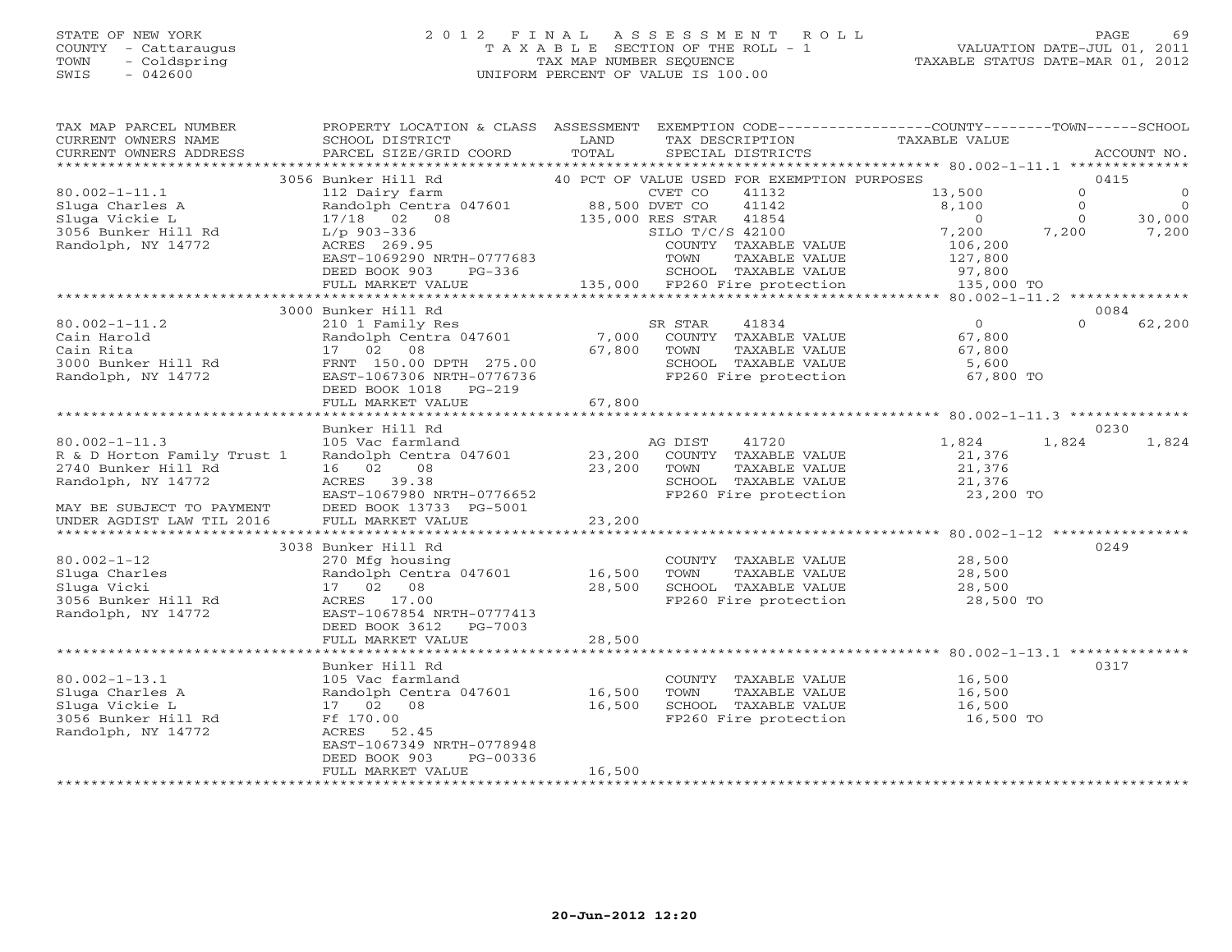#### STATE OF NEW YORK 2 0 1 2 F I N A L A S S E S S M E N T R O L L PAGE 69 COUNTY - Cattaraugus T A X A B L E SECTION OF THE ROLL - 1 VALUATION DATE-JUL 01, 2011 TOWN - Coldspring TAX MAP NUMBER SEQUENCE TAXABLE STATUS DATE-MAR 01, 2012 SWIS - 042600 UNIFORM PERCENT OF VALUE IS 100.00UNIFORM PERCENT OF VALUE IS 100.00

| PROPERTY LOCATION & CLASS ASSESSMENT EXEMPTION CODE----------------COUNTY-------TOWN------SCHOOL<br>TAX MAP PARCEL NUMBER<br>CURRENT OWNERS NAME<br>TAXABLE VALUE<br>SCHOOL DISTRICT<br>LAND<br>TAX DESCRIPTION<br>TOTAL<br>CURRENT OWNERS ADDRESS<br>PARCEL SIZE/GRID COORD<br>SPECIAL DISTRICTS | ACCOUNT NO.               |
|---------------------------------------------------------------------------------------------------------------------------------------------------------------------------------------------------------------------------------------------------------------------------------------------------|---------------------------|
| ***********************                                                                                                                                                                                                                                                                           |                           |
| 3056 Bunker Hill Rd<br>40 PCT OF VALUE USED FOR EXEMPTION PURPOSES                                                                                                                                                                                                                                | 0415                      |
| $80.002 - 1 - 11.1$<br>CVET CO<br>112 Dairy farm<br>41132<br>13,500                                                                                                                                                                                                                               | $\Omega$<br>$\Omega$      |
| Sluga Charles A<br>Randolph Centra 047601<br>88,500 DVET CO<br>41142<br>8,100                                                                                                                                                                                                                     | $\overline{0}$<br>$\circ$ |
| Sluga Vickie L<br>41854<br>$\overline{0}$<br>17/18 02 08<br>135,000 RES STAR                                                                                                                                                                                                                      | $\mathbf{0}$<br>30,000    |
| 3056 Bunker Hill Rd<br>SILO T/C/S 42100<br>7,200<br>7,200<br>$L/p$ 903-336                                                                                                                                                                                                                        | 7,200                     |
| Randolph, NY 14772<br>ACRES 269.95<br>COUNTY TAXABLE VALUE<br>106,200                                                                                                                                                                                                                             |                           |
| EAST-1069290 NRTH-0777683<br>TOWN<br>TAXABLE VALUE<br>127,800                                                                                                                                                                                                                                     |                           |
| DEED BOOK 903<br>$PG-336$<br>SCHOOL TAXABLE VALUE<br>97,800                                                                                                                                                                                                                                       |                           |
| 135,000 FP260 Fire protection<br>135,000 TO<br>FULL MARKET VALUE                                                                                                                                                                                                                                  |                           |
|                                                                                                                                                                                                                                                                                                   |                           |
| 3000 Bunker Hill Rd                                                                                                                                                                                                                                                                               | 0084                      |
| $80.002 - 1 - 11.2$<br>41834<br>$\Omega$<br>210 1 Family Res<br>SR STAR                                                                                                                                                                                                                           | $\Omega$<br>62,200        |
| Cain Harold<br>Randolph Centra 047601<br>7,000<br>COUNTY TAXABLE VALUE<br>67,800                                                                                                                                                                                                                  |                           |
| 67,800<br>Cain Rita<br>17 02<br>08<br>TOWN<br>TAXABLE VALUE<br>67,800                                                                                                                                                                                                                             |                           |
| 3000 Bunker Hill Rd<br>FRNT 150.00 DPTH 275.00<br>SCHOOL TAXABLE VALUE<br>5,600                                                                                                                                                                                                                   |                           |
| Randolph, NY 14772<br>EAST-1067306 NRTH-0776736<br>FP260 Fire protection<br>67,800 TO                                                                                                                                                                                                             |                           |
| DEED BOOK 1018<br>$PG-219$                                                                                                                                                                                                                                                                        |                           |
| 67,800<br>FULL MARKET VALUE                                                                                                                                                                                                                                                                       |                           |
|                                                                                                                                                                                                                                                                                                   | 0230                      |
| Bunker Hill Rd<br>$80.002 - 1 - 11.3$<br>41720<br>1,824<br>105 Vac farmland<br>AG DIST                                                                                                                                                                                                            | 1,824                     |
| 1,824<br>Randolph Centra 047601<br>COUNTY TAXABLE VALUE<br>R & D Horton Family Trust 1<br>23,200<br>21,376                                                                                                                                                                                        |                           |
| 2740 Bunker Hill Rd<br>16 02<br>08<br>TAXABLE VALUE<br>21,376<br>23,200<br>TOWN                                                                                                                                                                                                                   |                           |
| Randolph, NY 14772<br>ACRES 39.38<br>SCHOOL TAXABLE VALUE<br>21,376                                                                                                                                                                                                                               |                           |
| EAST-1067980 NRTH-0776652<br>23,200 TO<br>FP260 Fire protection                                                                                                                                                                                                                                   |                           |
| MAY BE SUBJECT TO PAYMENT<br>DEED BOOK 13733 PG-5001                                                                                                                                                                                                                                              |                           |
| FULL MARKET VALUE<br>23,200<br>UNDER AGDIST LAW TIL 2016                                                                                                                                                                                                                                          |                           |
| ***********************<br>*************<br>********************* 80.002-1-12 **********                                                                                                                                                                                                          |                           |
| 3038 Bunker Hill Rd                                                                                                                                                                                                                                                                               | 0249                      |
| $80.002 - 1 - 12$<br>270 Mfg housing<br>28,500<br>COUNTY TAXABLE VALUE                                                                                                                                                                                                                            |                           |
| Sluga Charles<br>Randolph Centra 047601<br>16,500<br>TOWN<br>TAXABLE VALUE<br>28,500                                                                                                                                                                                                              |                           |
| Sluga Vicki<br>17 02 08<br>28,500<br>SCHOOL TAXABLE VALUE<br>28,500                                                                                                                                                                                                                               |                           |
| 3056 Bunker Hill Rd<br>ACRES 17.00<br>FP260 Fire protection<br>28,500 TO                                                                                                                                                                                                                          |                           |
| Randolph, NY 14772<br>EAST-1067854 NRTH-0777413                                                                                                                                                                                                                                                   |                           |
| DEED BOOK 3612<br>PG-7003                                                                                                                                                                                                                                                                         |                           |
| 28,500<br>FULL MARKET VALUE                                                                                                                                                                                                                                                                       |                           |
|                                                                                                                                                                                                                                                                                                   |                           |
| Bunker Hill Rd                                                                                                                                                                                                                                                                                    | 0317                      |
| $80.002 - 1 - 13.1$<br>105 Vac farmland<br>COUNTY TAXABLE VALUE<br>16,500                                                                                                                                                                                                                         |                           |
| Sluga Charles A<br>Randolph Centra 047601<br>16,500<br>TOWN<br>TAXABLE VALUE<br>16,500                                                                                                                                                                                                            |                           |
| Sluga Vickie L<br>17 02<br>08<br>16,500<br>SCHOOL TAXABLE VALUE<br>16,500                                                                                                                                                                                                                         |                           |
| FP260 Fire protection<br>3056 Bunker Hill Rd<br>Ff 170.00<br>16,500 TO                                                                                                                                                                                                                            |                           |
| Randolph, NY 14772<br>ACRES 52.45                                                                                                                                                                                                                                                                 |                           |
| EAST-1067349 NRTH-0778948                                                                                                                                                                                                                                                                         |                           |
| DEED BOOK 903<br>PG-00336                                                                                                                                                                                                                                                                         |                           |
| 16,500<br>FULL MARKET VALUE                                                                                                                                                                                                                                                                       |                           |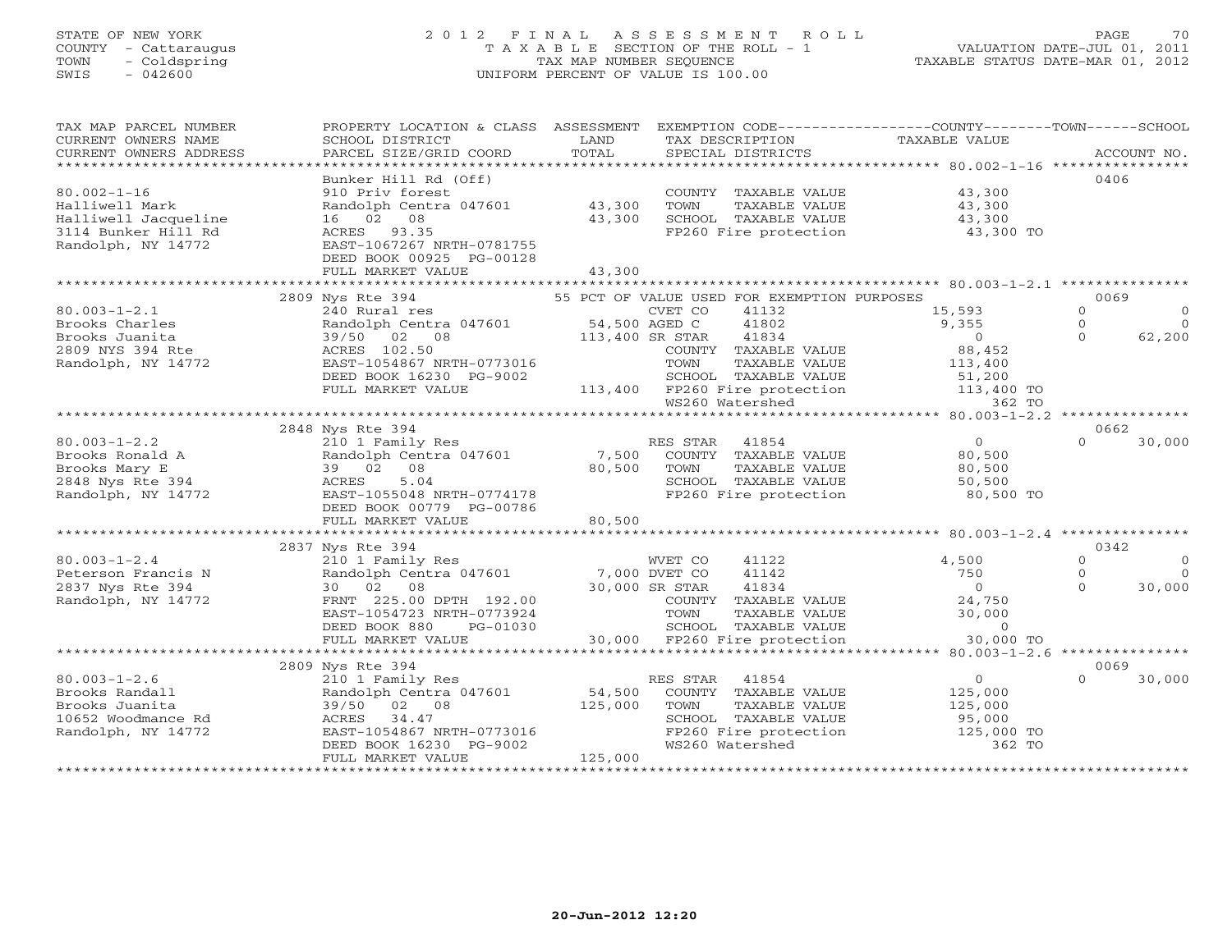## STATE OF NEW YORK 2 0 1 2 F I N A L A S S E S S M E N T R O L L PAGE 70 COUNTY - Cattaraugus T A X A B L E SECTION OF THE ROLL - 1 VALUATION DATE-JUL 01, 2011 TOWN - Coldspring TAX MAP NUMBER SEQUENCE TAXABLE STATUS DATE-MAR 01, 2012 SWIS - 042600 UNIFORM PERCENT OF VALUE IS 100.00UNIFORM PERCENT OF VALUE IS 100.00

| TAX MAP PARCEL NUMBER                                                                                                                                                                                                                                  | PROPERTY LOCATION & CLASS ASSESSMENT EXEMPTION CODE----------------COUNTY-------TOWN------SCHOOL                                                                                                                                                                                                                                                                                                                                                                                                                       |         |                                                                                                                                                                                                                                                     |                   |                |           |
|--------------------------------------------------------------------------------------------------------------------------------------------------------------------------------------------------------------------------------------------------------|------------------------------------------------------------------------------------------------------------------------------------------------------------------------------------------------------------------------------------------------------------------------------------------------------------------------------------------------------------------------------------------------------------------------------------------------------------------------------------------------------------------------|---------|-----------------------------------------------------------------------------------------------------------------------------------------------------------------------------------------------------------------------------------------------------|-------------------|----------------|-----------|
| CURRENT OWNERS NAME                                                                                                                                                                                                                                    | SCHOOL DISTRICT                                                                                                                                                                                                                                                                                                                                                                                                                                                                                                        | LAND    | TAX DESCRIPTION                                                                                                                                                                                                                                     | TAXABLE VALUE     |                |           |
|                                                                                                                                                                                                                                                        | $\begin{minipage}{.45\textwidth} \begin{minipage}{.45\textwidth} \begin{minipage}{.45\textwidth} \begin{minipage}{.45\textwidth} \begin{minipage}{.45\textwidth} \begin{minipage}{.45\textwidth} \begin{minipage}{.45\textwidth} \begin{minipage}{.45\textwidth} \begin{minipage}{.45\textwidth} \begin{minipage}{.45\textwidth} \begin{minipage}{.45\textwidth} \begin{minipage}{.45\textwidth} \begin{minipage}{.45\textwidth} \begin{minipage}{.45\textwidth} \begin{minipage}{.45\textwidth} \begin{minipage}{.45$ |         |                                                                                                                                                                                                                                                     |                   |                |           |
|                                                                                                                                                                                                                                                        |                                                                                                                                                                                                                                                                                                                                                                                                                                                                                                                        |         |                                                                                                                                                                                                                                                     |                   |                |           |
|                                                                                                                                                                                                                                                        | Bunker Hill Rd (Off)                                                                                                                                                                                                                                                                                                                                                                                                                                                                                                   |         |                                                                                                                                                                                                                                                     |                   | 0406           |           |
| $80.002 - 1 - 16$                                                                                                                                                                                                                                      | 910 Priv forest COUNT<br>Randolph Centra 047601 43,300 TOWN                                                                                                                                                                                                                                                                                                                                                                                                                                                            |         | COUNTY TAXABLE VALUE 43,300                                                                                                                                                                                                                         |                   |                |           |
| Halliwell Mark                                                                                                                                                                                                                                         |                                                                                                                                                                                                                                                                                                                                                                                                                                                                                                                        |         |                                                                                                                                                                                                                                                     |                   |                |           |
| Halliwell Jacqueline                                                                                                                                                                                                                                   | 16 02 08                                                                                                                                                                                                                                                                                                                                                                                                                                                                                                               | 43,300  |                                                                                                                                                                                                                                                     |                   |                |           |
| 3114 Bunker Hill Rd                                                                                                                                                                                                                                    | ACRES 93.35                                                                                                                                                                                                                                                                                                                                                                                                                                                                                                            |         | FP260 Fire protection 43,300 TO                                                                                                                                                                                                                     |                   |                |           |
| Randolph, NY 14772                                                                                                                                                                                                                                     | EAST-1067267 NRTH-0781755                                                                                                                                                                                                                                                                                                                                                                                                                                                                                              |         |                                                                                                                                                                                                                                                     |                   |                |           |
|                                                                                                                                                                                                                                                        | DEED BOOK 00925 PG-00128                                                                                                                                                                                                                                                                                                                                                                                                                                                                                               |         |                                                                                                                                                                                                                                                     |                   |                |           |
|                                                                                                                                                                                                                                                        | FULL MARKET VALUE                                                                                                                                                                                                                                                                                                                                                                                                                                                                                                      | 43,300  |                                                                                                                                                                                                                                                     |                   |                |           |
|                                                                                                                                                                                                                                                        |                                                                                                                                                                                                                                                                                                                                                                                                                                                                                                                        |         |                                                                                                                                                                                                                                                     |                   |                |           |
|                                                                                                                                                                                                                                                        | 2809 Nys Rte 394<br>FOR EXEMPTION 1<br>Randolph Centra 047601 (Started and DVET CO 41132<br>39/50 02 08 113,400 SR STAR 41834<br>ACRES 102.50 (STAR 41834 (COUNTY TAXABLE VALUE<br>EAST-1054867 NRTH-0773016 TOWN TAXABLE VALUE<br>DEFID ROOK 16230 PC 0000                                                                                                                                                                                                                                                            |         | 55 PCT OF VALUE USED FOR EXEMPTION PURPOSES                                                                                                                                                                                                         |                   | 0069           |           |
| 80.003-1-2.1<br>Brooks Charles<br>Brooks Juanita<br>2809 NYS 394 Rte<br>199/50 02 0<br>2809 NYS 394 Rte<br>NY 14772<br>EAST-1054867 P                                                                                                                  |                                                                                                                                                                                                                                                                                                                                                                                                                                                                                                                        |         |                                                                                                                                                                                                                                                     | 15,593            | $\Omega$       | $\circ$   |
|                                                                                                                                                                                                                                                        |                                                                                                                                                                                                                                                                                                                                                                                                                                                                                                                        |         |                                                                                                                                                                                                                                                     | $9,355$<br>0      | $\circ$        | $\Omega$  |
|                                                                                                                                                                                                                                                        |                                                                                                                                                                                                                                                                                                                                                                                                                                                                                                                        |         |                                                                                                                                                                                                                                                     |                   | $\Omega$       | 62,200    |
|                                                                                                                                                                                                                                                        |                                                                                                                                                                                                                                                                                                                                                                                                                                                                                                                        |         | COUNTY TAXABLE VALUE                                                                                                                                                                                                                                | 88,452            |                |           |
|                                                                                                                                                                                                                                                        |                                                                                                                                                                                                                                                                                                                                                                                                                                                                                                                        |         |                                                                                                                                                                                                                                                     |                   |                |           |
|                                                                                                                                                                                                                                                        |                                                                                                                                                                                                                                                                                                                                                                                                                                                                                                                        |         |                                                                                                                                                                                                                                                     |                   |                |           |
|                                                                                                                                                                                                                                                        |                                                                                                                                                                                                                                                                                                                                                                                                                                                                                                                        |         |                                                                                                                                                                                                                                                     |                   |                |           |
|                                                                                                                                                                                                                                                        | EAST-1054867 NRTH-0773016 TOWN TAXABLE VALUE 113,400<br>DEED BOOK 16230 PG-9002 113,400 SCHOOL TAXABLE VALUE 113,400<br>FULL MARKET VALUE 113,400 FP260 Fire protection 113,400 TO<br>WS260 Watershed                                                                                                                                                                                                                                                                                                                  |         |                                                                                                                                                                                                                                                     |                   |                |           |
| Brooks Ronald A<br>Brooks Ronald A<br>Brooks Mary E<br>Brooks Mary E<br>210 1 Family Res<br>Randolph Centra 047601<br>39 02 08<br>2848 Nys Rte 394<br>2848 Nys Rte 394<br>2848 Nys Rte 394<br>2848 Nys Rte 394<br>2847-1055048 NRTH-0774178<br>DEED BO |                                                                                                                                                                                                                                                                                                                                                                                                                                                                                                                        |         |                                                                                                                                                                                                                                                     |                   |                |           |
|                                                                                                                                                                                                                                                        |                                                                                                                                                                                                                                                                                                                                                                                                                                                                                                                        |         |                                                                                                                                                                                                                                                     |                   | 0662           |           |
|                                                                                                                                                                                                                                                        |                                                                                                                                                                                                                                                                                                                                                                                                                                                                                                                        |         |                                                                                                                                                                                                                                                     |                   | $\Omega$       | 30,000    |
|                                                                                                                                                                                                                                                        |                                                                                                                                                                                                                                                                                                                                                                                                                                                                                                                        |         |                                                                                                                                                                                                                                                     |                   |                |           |
|                                                                                                                                                                                                                                                        |                                                                                                                                                                                                                                                                                                                                                                                                                                                                                                                        |         |                                                                                                                                                                                                                                                     |                   |                |           |
|                                                                                                                                                                                                                                                        |                                                                                                                                                                                                                                                                                                                                                                                                                                                                                                                        |         |                                                                                                                                                                                                                                                     |                   |                |           |
|                                                                                                                                                                                                                                                        |                                                                                                                                                                                                                                                                                                                                                                                                                                                                                                                        |         | FP260 Fire protection 80,500 TO                                                                                                                                                                                                                     |                   |                |           |
|                                                                                                                                                                                                                                                        |                                                                                                                                                                                                                                                                                                                                                                                                                                                                                                                        |         |                                                                                                                                                                                                                                                     |                   |                |           |
|                                                                                                                                                                                                                                                        | FULL MARKET VALUE                                                                                                                                                                                                                                                                                                                                                                                                                                                                                                      | 80,500  |                                                                                                                                                                                                                                                     |                   |                |           |
|                                                                                                                                                                                                                                                        |                                                                                                                                                                                                                                                                                                                                                                                                                                                                                                                        |         |                                                                                                                                                                                                                                                     |                   |                |           |
|                                                                                                                                                                                                                                                        | 2837 Nys Rte 394                                                                                                                                                                                                                                                                                                                                                                                                                                                                                                       |         |                                                                                                                                                                                                                                                     |                   | 0342           |           |
| $80.003 - 1 - 2.4$                                                                                                                                                                                                                                     | 210 1 Family Res<br>Randolph Centra 047601 7,000 DVET CO<br>30 02 08 30,000 SR STAR<br>FRNT 225.00 DPTH 192.00 COUNTY                                                                                                                                                                                                                                                                                                                                                                                                  |         | WVET CO<br>41122                                                                                                                                                                                                                                    | 4,500             | $\Omega$       | $\Omega$  |
| Peterson Francis N<br>2837 Nys Rte 394                                                                                                                                                                                                                 |                                                                                                                                                                                                                                                                                                                                                                                                                                                                                                                        |         | 41142                                                                                                                                                                                                                                               | 750               | $\overline{0}$ | $\bigcap$ |
|                                                                                                                                                                                                                                                        | 30 02 08                                                                                                                                                                                                                                                                                                                                                                                                                                                                                                               |         | 41834                                                                                                                                                                                                                                               | $\overline{0}$    | $\Omega$       | 30,000    |
| Randolph, NY 14772                                                                                                                                                                                                                                     |                                                                                                                                                                                                                                                                                                                                                                                                                                                                                                                        |         |                                                                                                                                                                                                                                                     |                   |                |           |
|                                                                                                                                                                                                                                                        | EAST-1054723 NRTH-0773924                                                                                                                                                                                                                                                                                                                                                                                                                                                                                              |         |                                                                                                                                                                                                                                                     |                   |                |           |
|                                                                                                                                                                                                                                                        | DEED BOOK 880<br>PG-01030                                                                                                                                                                                                                                                                                                                                                                                                                                                                                              |         |                                                                                                                                                                                                                                                     |                   |                |           |
|                                                                                                                                                                                                                                                        | FULL MARKET VALUE                                                                                                                                                                                                                                                                                                                                                                                                                                                                                                      |         | COUNTY TAXABLE VALUE $24,750$<br>TOWN TAXABLE VALUE 30,000<br>SCHOOL TAXABLE VALUE 30,000<br>FP260 Fire protection 30,000 TO<br>%1.00 COUNTY TAXABLE VALUE<br>13924 TOWN TAXABLE VALUE<br>1030 SCHOOL TAXABLE VALUE<br>30,000 FP260 Fire protection |                   |                |           |
|                                                                                                                                                                                                                                                        |                                                                                                                                                                                                                                                                                                                                                                                                                                                                                                                        |         |                                                                                                                                                                                                                                                     |                   |                |           |
|                                                                                                                                                                                                                                                        | 2809 Nys Rte 394                                                                                                                                                                                                                                                                                                                                                                                                                                                                                                       |         |                                                                                                                                                                                                                                                     |                   | 0069           |           |
| $80.003 - 1 - 2.6$                                                                                                                                                                                                                                     | 210 1 Family Res                                                                                                                                                                                                                                                                                                                                                                                                                                                                                                       |         | RES STAR 41854                                                                                                                                                                                                                                      | $\overline{0}$    | $\Omega$       | 30,000    |
| Brooks Randall                                                                                                                                                                                                                                         | Randolph Centra 047601 54,500                                                                                                                                                                                                                                                                                                                                                                                                                                                                                          |         | COUNTY TAXABLE VALUE                                                                                                                                                                                                                                | 125,000           |                |           |
| Brooks Juanita                                                                                                                                                                                                                                         | 39/50 02 08                                                                                                                                                                                                                                                                                                                                                                                                                                                                                                            | 125,000 | TAXABLE VALUE<br>TOWN                                                                                                                                                                                                                               | 125,000<br>95,000 |                |           |
| 10652 Woodmance Rd                                                                                                                                                                                                                                     |                                                                                                                                                                                                                                                                                                                                                                                                                                                                                                                        |         |                                                                                                                                                                                                                                                     |                   |                |           |
| Randolph, NY 14772                                                                                                                                                                                                                                     |                                                                                                                                                                                                                                                                                                                                                                                                                                                                                                                        |         | TOWN TAXABLE VALUE 125,000<br>SCHOOL TAXABLE VALUE 95,000<br>FP260 Fire protection 125,000 TO<br>MS260 Matersbod 125,000 TO                                                                                                                         |                   |                |           |
|                                                                                                                                                                                                                                                        | EAST-1054867 NRTH-0773016<br>DEED BOOK 16230 PG-9002<br>FULL MARKET VALUE                                                                                                                                                                                                                                                                                                                                                                                                                                              |         | WS260 Watershed                                                                                                                                                                                                                                     | 362 TO            |                |           |
|                                                                                                                                                                                                                                                        | FULL MARKET VALUE                                                                                                                                                                                                                                                                                                                                                                                                                                                                                                      | 125,000 |                                                                                                                                                                                                                                                     |                   |                |           |
|                                                                                                                                                                                                                                                        |                                                                                                                                                                                                                                                                                                                                                                                                                                                                                                                        |         |                                                                                                                                                                                                                                                     |                   |                |           |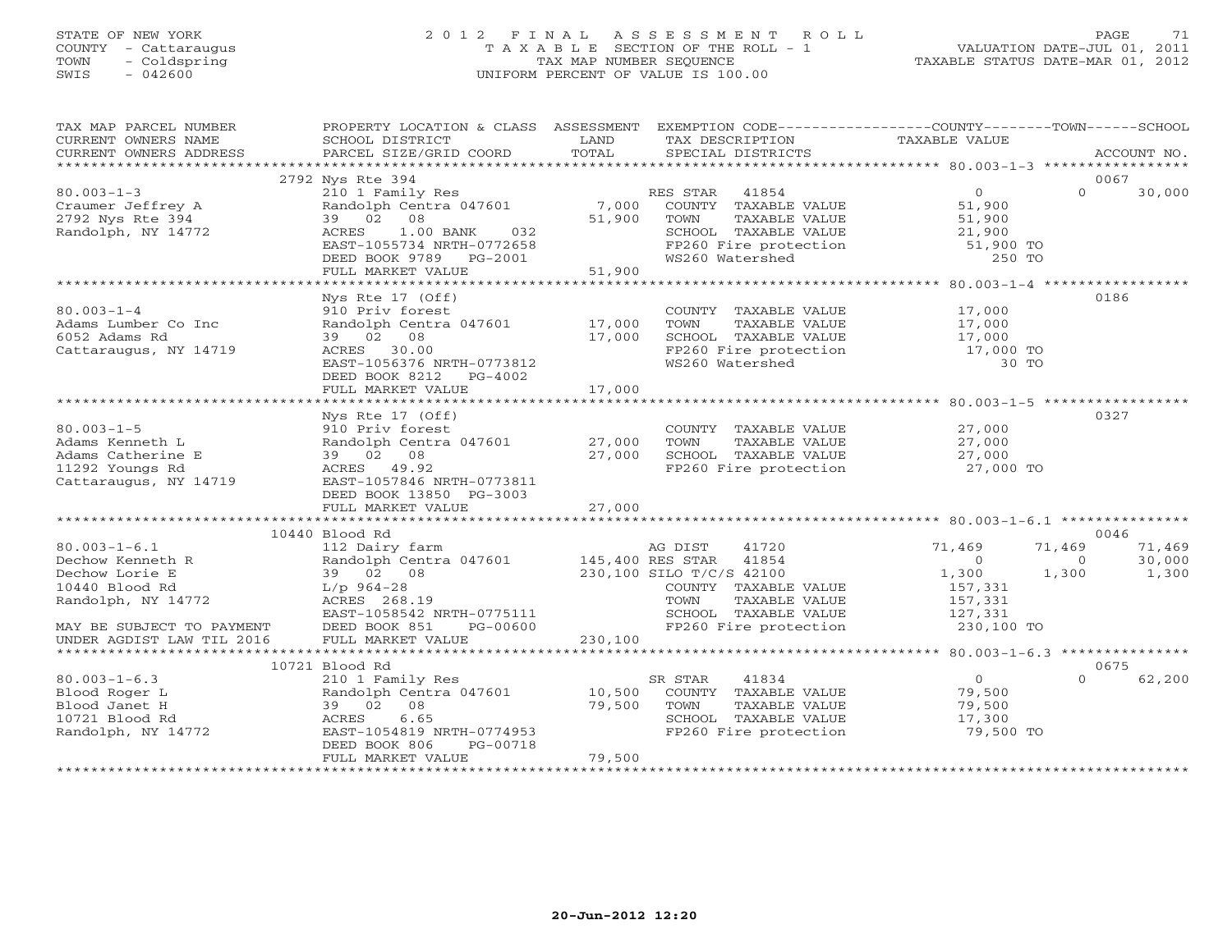## STATE OF NEW YORK 2 0 1 2 F I N A L A S S E S S M E N T R O L L PAGE 71 COUNTY - Cattaraugus T A X A B L E SECTION OF THE ROLL - 1 VALUATION DATE-JUL 01, 2011 TOWN - Coldspring TAX MAP NUMBER SEQUENCE TAXABLE STATUS DATE-MAR 01, 2012 SWIS - 042600 UNIFORM PERCENT OF VALUE IS 100.00UNIFORM PERCENT OF VALUE IS 100.00

| TAX MAP PARCEL NUMBER<br>CURRENT OWNERS NAME<br>CURRENT OWNERS ADDRESS                                                                                     | PROPERTY LOCATION & CLASS ASSESSMENT<br>SCHOOL DISTRICT<br>PARCEL SIZE/GRID COORD                                                                                                        | LAND<br>TOTAL               | EXEMPTION CODE-----------------COUNTY-------TOWN------SCHOOL<br>TAX DESCRIPTION<br>SPECIAL DISTRICTS                                                    | TAXABLE VALUE                                                                    |                             | ACCOUNT NO.               |
|------------------------------------------------------------------------------------------------------------------------------------------------------------|------------------------------------------------------------------------------------------------------------------------------------------------------------------------------------------|-----------------------------|---------------------------------------------------------------------------------------------------------------------------------------------------------|----------------------------------------------------------------------------------|-----------------------------|---------------------------|
|                                                                                                                                                            |                                                                                                                                                                                          |                             |                                                                                                                                                         |                                                                                  |                             |                           |
| $80.003 - 1 - 3$<br>Craumer Jeffrey A<br>2792 Nys Rte 394<br>Randolph, NY 14772                                                                            | 2792 Nys Rte 394<br>210 1 Family Res<br>Randolph Centra 047601<br>39 02<br>08<br>$1.00$ BANK<br>032<br>ACRES<br>EAST-1055734 NRTH-0772658<br>DEED BOOK 9789 PG-2001<br>FULL MARKET VALUE | 7,000<br>51,900<br>51,900   | RES STAR 41854<br>COUNTY TAXABLE VALUE<br>TOWN<br>TAXABLE VALUE<br>SCHOOL TAXABLE VALUE<br>FP260 Fire protection<br>WS260 Watershed                     | $\overline{0}$<br>51,900<br>51,900<br>21,900<br>51,900 TO<br>250 TO              | $\Omega$                    | 0067<br>30,000            |
|                                                                                                                                                            |                                                                                                                                                                                          |                             |                                                                                                                                                         |                                                                                  |                             |                           |
| $80.003 - 1 - 4$<br>Adams Lumber Co Inc<br>6052 Adams Rd<br>Cattaraugus, NY 14719                                                                          | Nys Rte 17 (Off)<br>910 Priv forest<br>Randolph Centra 047601<br>39 02 08<br>ACRES 30.00<br>EAST-1056376 NRTH-0773812<br>DEED BOOK 8212 PG-4002                                          | 17,000<br>17,000            | COUNTY TAXABLE VALUE<br>TOWN<br>TAXABLE VALUE<br>SCHOOL TAXABLE VALUE<br>FP260 Fire protection<br>WS260 Watershed                                       | 17,000<br>17,000<br>17,000<br>17,000 TO<br>30 TO                                 |                             | 0186                      |
|                                                                                                                                                            | FULL MARKET VALUE                                                                                                                                                                        | 17,000                      |                                                                                                                                                         |                                                                                  |                             |                           |
| $80.003 - 1 - 5$<br>Adams Kenneth L<br>Adams Catherine E<br>11292 Youngs Rd<br>Cattaraugus, NY 14719                                                       | Nys Rte 17 (Off)<br>910 Priv forest<br>Randolph Centra 047601<br>39 02 08<br>ACRES 49.92<br>EAST-1057846 NRTH-0773811<br>DEED BOOK 13850 PG-3003<br>FULL MARKET VALUE                    | 27,000<br>27,000<br>27,000  | COUNTY TAXABLE VALUE<br>TOWN<br>TAXABLE VALUE<br>SCHOOL TAXABLE VALUE<br>FP260 Fire protection                                                          | 27,000<br>27,000<br>27,000<br>27,000 TO                                          |                             | 0327                      |
|                                                                                                                                                            | 10440 Blood Rd                                                                                                                                                                           |                             |                                                                                                                                                         |                                                                                  |                             | 0046                      |
| $80.003 - 1 - 6.1$<br>Dechow Kenneth R<br>Dechow Lorie E<br>10440 Blood Rd<br>Randolph, NY 14772<br>MAY BE SUBJECT TO PAYMENT<br>UNDER AGDIST LAW TIL 2016 | 112 Dairy farm<br>Randolph Centra 047601<br>39 02 08<br>$L/p$ 964-28<br>ACRES 268.19<br>EAST-1058542 NRTH-0775111<br>DEED BOOK 851<br>PG-00600<br>FULL MARKET VALUE                      | 145,400 RES STAR<br>230,100 | AG DIST<br>41720<br>41854<br>230,100 SILO T/C/S 42100<br>COUNTY TAXABLE VALUE<br>TOWN<br>TAXABLE VALUE<br>SCHOOL TAXABLE VALUE<br>FP260 Fire protection | 71,469<br>$\overline{0}$<br>1,300<br>157,331<br>157,331<br>127,331<br>230,100 TO | 71,469<br>$\Omega$<br>1,300 | 71,469<br>30,000<br>1,300 |
|                                                                                                                                                            | 10721 Blood Rd                                                                                                                                                                           |                             |                                                                                                                                                         |                                                                                  |                             | 0675                      |
| $80.003 - 1 - 6.3$<br>Blood Roger L<br>Blood Janet H<br>10721 Blood Rd<br>Randolph, NY 14772                                                               | 210 1 Family Res<br>Randolph Centra 047601<br>39 02 08<br>6.65<br>ACRES<br>EAST-1054819 NRTH-0774953<br>PG-00718<br>DEED BOOK 806<br>FULL MARKET VALUE                                   | 10,500<br>79,500<br>79,500  | SR STAR<br>41834<br>COUNTY TAXABLE VALUE<br>TAXABLE VALUE<br>TOWN<br>SCHOOL TAXABLE VALUE<br>FP260 Fire protection                                      | $\overline{0}$<br>79,500<br>79,500<br>17,300<br>79,500 TO                        | $\Omega$                    | 62,200                    |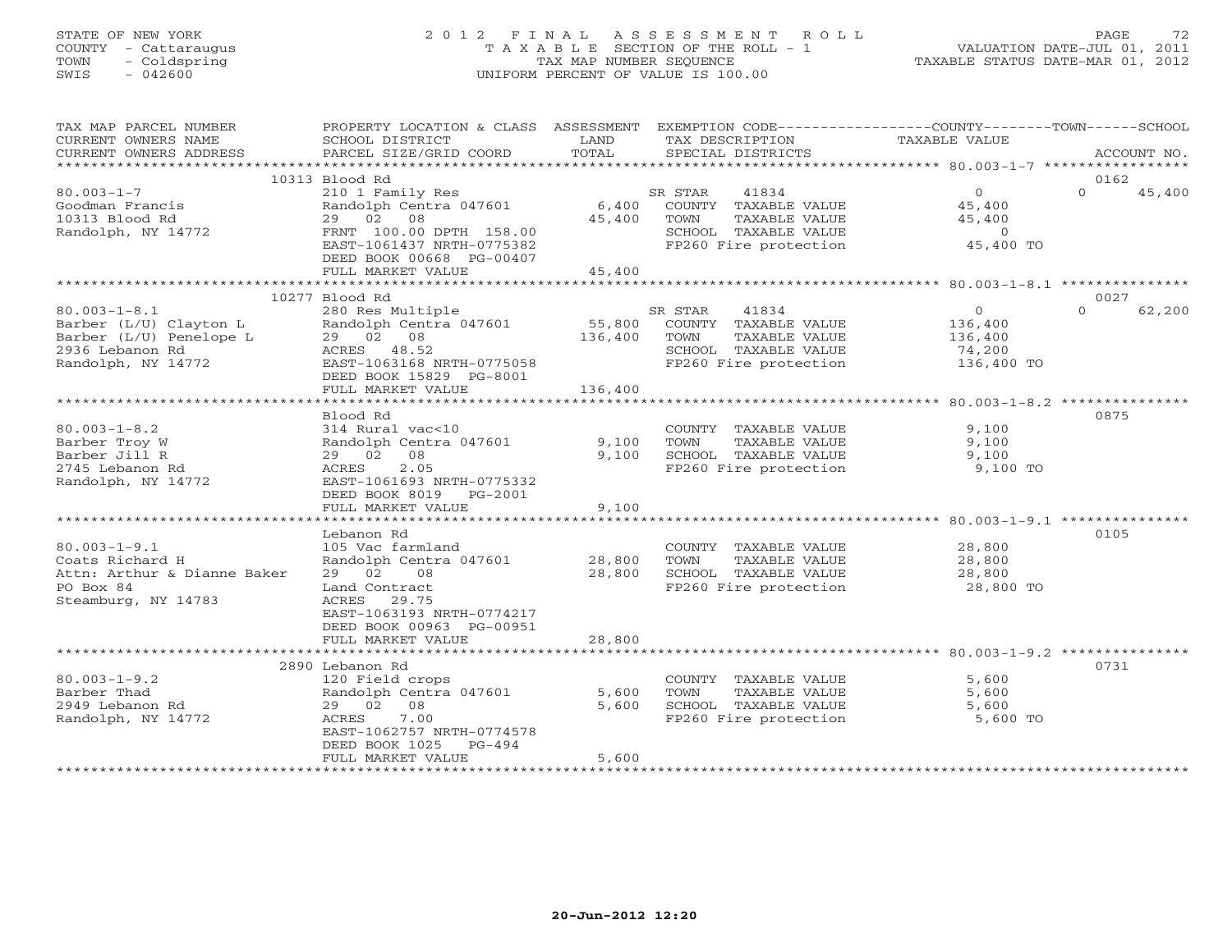## STATE OF NEW YORK 2 0 1 2 F I N A L A S S E S S M E N T R O L L PAGE 72 COUNTY - Cattaraugus T A X A B L E SECTION OF THE ROLL - 1 VALUATION DATE-JUL 01, 2011 TOWN - Coldspring TAX MAP NUMBER SEQUENCE TAXABLE STATUS DATE-MAR 01, 2012 SWIS - 042600 UNIFORM PERCENT OF VALUE IS 100.00UNIFORM PERCENT OF VALUE IS 100.00

| TAX MAP PARCEL NUMBER<br>CURRENT OWNERS NAME<br>CURRENT OWNERS ADDRESS                                           | PROPERTY LOCATION & CLASS ASSESSMENT<br>SCHOOL DISTRICT<br>PARCEL SIZE/GRID COORD                                                                                                 | LAND<br>TOTAL                | EXEMPTION CODE-----------------COUNTY-------TOWN------SCHOOL<br>TAX DESCRIPTION<br>SPECIAL DISTRICTS               | TAXABLE VALUE                                                        | ACCOUNT NO.                |
|------------------------------------------------------------------------------------------------------------------|-----------------------------------------------------------------------------------------------------------------------------------------------------------------------------------|------------------------------|--------------------------------------------------------------------------------------------------------------------|----------------------------------------------------------------------|----------------------------|
|                                                                                                                  |                                                                                                                                                                                   |                              |                                                                                                                    |                                                                      |                            |
| $80.003 - 1 - 7$<br>Goodman Francis<br>10313 Blood Rd<br>Randolph, NY 14772                                      | 10313 Blood Rd<br>210 1 Family Res<br>Randolph Centra 047601<br>29 02 08<br>FRNT 100.00 DPTH 158.00<br>EAST-1061437 NRTH-0775382<br>DEED BOOK 00668 PG-00407<br>FULL MARKET VALUE | 6,400<br>45,400<br>45,400    | 41834<br>SR STAR<br>COUNTY TAXABLE VALUE<br>TOWN<br>TAXABLE VALUE<br>SCHOOL TAXABLE VALUE<br>FP260 Fire protection | $0 \qquad \qquad$<br>45,400<br>45,400<br>$\overline{0}$<br>45,400 TO | 0162<br>$\Omega$<br>45,400 |
|                                                                                                                  |                                                                                                                                                                                   |                              |                                                                                                                    |                                                                      |                            |
| $80.003 - 1 - 8.1$<br>Barber (L/U) Clayton L<br>Barber (L/U) Penelope L<br>2936 Lebanon Rd<br>Randolph, NY 14772 | 10277 Blood Rd<br>280 Res Multiple<br>Randolph Centra 047601<br>29 02 08<br>ACRES 48.52<br>EAST-1063168 NRTH-0775058<br>DEED BOOK 15829 PG-8001<br>FULL MARKET VALUE              | 55,800<br>136,400<br>136,400 | SR STAR<br>41834<br>COUNTY TAXABLE VALUE<br>TOWN<br>TAXABLE VALUE<br>SCHOOL TAXABLE VALUE<br>FP260 Fire protection | $\circ$<br>136,400<br>136,400<br>74,200<br>136,400 TO                | 0027<br>$\Omega$<br>62,200 |
|                                                                                                                  | Blood Rd                                                                                                                                                                          |                              |                                                                                                                    |                                                                      | 0875                       |
| $80.003 - 1 - 8.2$<br>Barber Troy W<br>Barber Jill R<br>2745 Lebanon Rd<br>Randolph, NY 14772                    | 314 Rural vac<10<br>Randolph Centra 047601<br>29 02 08<br>2.05<br>ACRES<br>EAST-1061693 NRTH-0775332<br>DEED BOOK 8019 PG-2001<br>FULL MARKET VALUE                               | 9,100<br>9,100<br>9,100      | COUNTY TAXABLE VALUE<br><b>TOWN</b><br>TAXABLE VALUE<br>SCHOOL TAXABLE VALUE<br>FP260 Fire protection              | 9,100<br>9,100<br>9,100<br>9,100 TO                                  |                            |
|                                                                                                                  |                                                                                                                                                                                   |                              |                                                                                                                    |                                                                      |                            |
| $80.003 - 1 - 9.1$<br>Coats Richard H<br>Attn: Arthur & Dianne Baker<br>PO Box 84<br>Steamburg, NY 14783         | Lebanon Rd<br>105 Vac farmland<br>Randolph Centra 047601<br>29 02 08<br>Land Contract<br>ACRES 29.75<br>EAST-1063193 NRTH-0774217<br>DEED BOOK 00963 PG-00951                     | 28,800<br>28,800             | COUNTY TAXABLE VALUE<br>TAXABLE VALUE<br>TOWN<br>SCHOOL TAXABLE VALUE<br>FP260 Fire protection                     | 28,800<br>28,800<br>28,800<br>28,800 TO                              | 0105                       |
|                                                                                                                  | FULL MARKET VALUE                                                                                                                                                                 | 28,800                       |                                                                                                                    |                                                                      |                            |
|                                                                                                                  |                                                                                                                                                                                   |                              |                                                                                                                    |                                                                      |                            |
| $80.003 - 1 - 9.2$<br>Barber Thad<br>2949 Lebanon Rd<br>Randolph, NY 14772                                       | 2890 Lebanon Rd<br>120 Field crops<br>Randolph Centra 047601<br>29 02 08<br>7.00<br>ACRES<br>EAST-1062757 NRTH-0774578<br>DEED BOOK 1025<br>PG-494<br>FULL MARKET VALUE           | 5,600<br>5,600<br>5,600      | COUNTY TAXABLE VALUE<br>TOWN<br>TAXABLE VALUE<br>SCHOOL TAXABLE VALUE<br>FP260 Fire protection                     | 5,600<br>5,600<br>5,600<br>5,600 TO                                  | 0731                       |
|                                                                                                                  |                                                                                                                                                                                   |                              |                                                                                                                    |                                                                      |                            |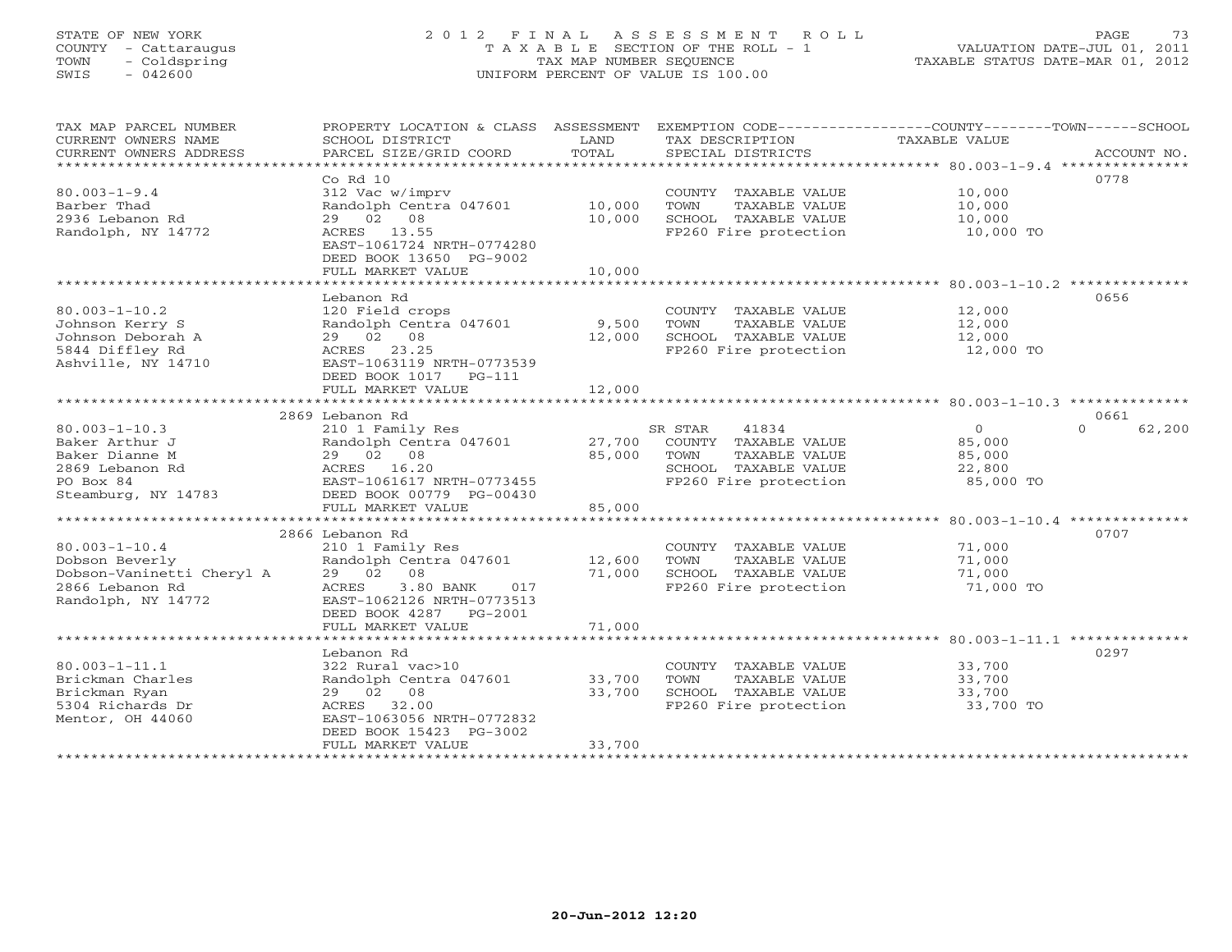# STATE OF NEW YORK 2 0 1 2 F I N A L A S S E S S M E N T R O L L PAGE 73 COUNTY - Cattaraugus T A X A B L E SECTION OF THE ROLL - 1 VALUATION DATE-JUL 01, 2011 TOWN - Coldspring TAX MAP NUMBER SEQUENCE TAXABLE STATUS DATE-MAR 01, 2012 SWIS - 042600 UNIFORM PERCENT OF VALUE IS 100.00UNIFORM PERCENT OF VALUE IS 100.00

| TAX MAP PARCEL NUMBER                           | PROPERTY LOCATION & CLASS          | ASSESSMENT       |                                       | EXEMPTION CODE-----------------COUNTY-------TOWN------SCHOOL |                    |
|-------------------------------------------------|------------------------------------|------------------|---------------------------------------|--------------------------------------------------------------|--------------------|
| CURRENT OWNERS NAME                             | SCHOOL DISTRICT                    | LAND             | TAX DESCRIPTION                       | TAXABLE VALUE                                                |                    |
| CURRENT OWNERS ADDRESS<br>********************* | PARCEL SIZE/GRID COORD             | TOTAL            | SPECIAL DISTRICTS                     |                                                              | ACCOUNT NO.        |
|                                                 | $Co$ $Rd$ $10$                     |                  |                                       |                                                              | 0778               |
| $80.003 - 1 - 9.4$                              | 312 Vac w/imprv                    |                  | COUNTY TAXABLE VALUE                  | 10,000                                                       |                    |
| Barber Thad                                     | Randolph Centra 047601             | 10,000           | TOWN<br>TAXABLE VALUE                 | 10,000                                                       |                    |
| 2936 Lebanon Rd                                 | 29 02 08                           | 10,000           | SCHOOL TAXABLE VALUE                  | 10,000                                                       |                    |
| Randolph, NY 14772                              | ACRES<br>13.55                     |                  | FP260 Fire protection                 | 10,000 TO                                                    |                    |
|                                                 | EAST-1061724 NRTH-0774280          |                  |                                       |                                                              |                    |
|                                                 | DEED BOOK 13650 PG-9002            |                  |                                       |                                                              |                    |
|                                                 | FULL MARKET VALUE                  | 10,000           |                                       |                                                              |                    |
|                                                 | *******************                | *********        |                                       |                                                              |                    |
|                                                 | Lebanon Rd                         |                  |                                       |                                                              | 0656               |
| $80.003 - 1 - 10.2$                             | 120 Field crops                    |                  | COUNTY TAXABLE VALUE                  | 12,000                                                       |                    |
| Johnson Kerry S                                 | Randolph Centra 047601             | 9,500            | TOWN<br>TAXABLE VALUE                 | 12,000                                                       |                    |
| Johnson Deborah A                               | 29 02 08                           | 12,000           | SCHOOL TAXABLE VALUE                  | 12,000                                                       |                    |
| 5844 Diffley Rd                                 | ACRES 23.25                        |                  | FP260 Fire protection                 | 12,000 TO                                                    |                    |
| Ashville, NY 14710                              | EAST-1063119 NRTH-0773539          |                  |                                       |                                                              |                    |
|                                                 | DEED BOOK 1017<br>$PG-111$         |                  |                                       |                                                              |                    |
|                                                 | FULL MARKET VALUE                  | 12,000           |                                       |                                                              |                    |
|                                                 |                                    |                  |                                       |                                                              |                    |
|                                                 | 2869 Lebanon Rd                    |                  |                                       |                                                              | 0661               |
| $80.003 - 1 - 10.3$                             | 210 1 Family Res                   |                  | 41834<br>SR STAR                      | $\circ$                                                      | $\Omega$<br>62,200 |
| Baker Arthur J                                  | Randolph Centra 047601             | 27,700           | COUNTY TAXABLE VALUE                  | 85,000                                                       |                    |
| Baker Dianne M                                  | 29 02 08                           | 85,000           | TOWN<br>TAXABLE VALUE                 | 85,000                                                       |                    |
| 2869 Lebanon Rd                                 | ACRES 16.20                        |                  | SCHOOL TAXABLE VALUE                  | 22,800                                                       |                    |
| PO Box 84                                       | EAST-1061617 NRTH-0773455          |                  | FP260 Fire protection                 | 85,000 TO                                                    |                    |
| Steamburg, NY 14783                             | DEED BOOK 00779 PG-00430           |                  |                                       |                                                              |                    |
|                                                 | FULL MARKET VALUE                  | 85,000           |                                       |                                                              |                    |
|                                                 |                                    |                  |                                       |                                                              | 0707               |
| $80.003 - 1 - 10.4$                             | 2866 Lebanon Rd                    |                  |                                       | 71,000                                                       |                    |
|                                                 | 210 1 Family Res                   |                  | COUNTY TAXABLE VALUE<br>TOWN          | 71,000                                                       |                    |
| Dobson Beverly<br>Dobson-Vaninetti Cheryl A     | Randolph Centra 047601<br>29 02 08 | 12,600<br>71,000 | TAXABLE VALUE<br>SCHOOL TAXABLE VALUE | 71,000                                                       |                    |
| 2866 Lebanon Rd                                 | ACRES<br>3.80 BANK<br>017          |                  | FP260 Fire protection                 | 71,000 TO                                                    |                    |
| Randolph, NY 14772                              | EAST-1062126 NRTH-0773513          |                  |                                       |                                                              |                    |
|                                                 | DEED BOOK 4287<br>PG-2001          |                  |                                       |                                                              |                    |
|                                                 | FULL MARKET VALUE                  | 71,000           |                                       |                                                              |                    |
|                                                 |                                    |                  |                                       |                                                              |                    |
|                                                 | Lebanon Rd                         |                  |                                       |                                                              | 0297               |
| $80.003 - 1 - 11.1$                             | 322 Rural vac>10                   |                  | COUNTY TAXABLE VALUE                  | 33,700                                                       |                    |
| Brickman Charles                                | Randolph Centra 047601             | 33,700           | TOWN<br>TAXABLE VALUE                 | 33,700                                                       |                    |
| Brickman Ryan                                   | 29 02 08                           | 33,700           | SCHOOL TAXABLE VALUE                  | 33,700                                                       |                    |
| 5304 Richards Dr                                | ACRES<br>32.00                     |                  | FP260 Fire protection                 | 33,700 TO                                                    |                    |
| Mentor, OH 44060                                | EAST-1063056 NRTH-0772832          |                  |                                       |                                                              |                    |
|                                                 | DEED BOOK 15423 PG-3002            |                  |                                       |                                                              |                    |
|                                                 | FULL MARKET VALUE                  | 33,700           |                                       |                                                              |                    |
|                                                 |                                    |                  |                                       |                                                              |                    |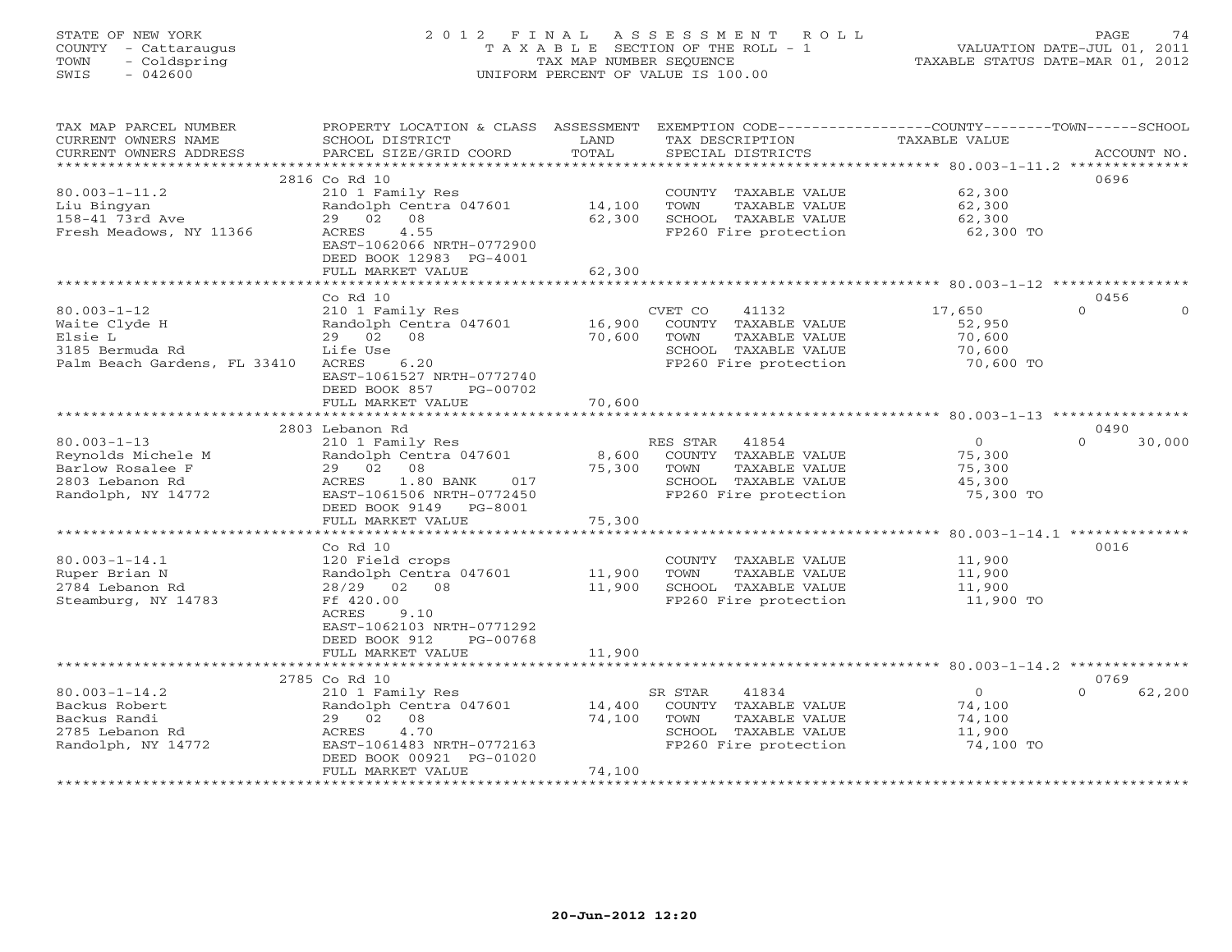# STATE OF NEW YORK 2 0 1 2 F I N A L A S S E S S M E N T R O L L PAGE 74 COUNTY - Cattaraugus T A X A B L E SECTION OF THE ROLL - 1 VALUATION DATE-JUL 01, 2011 TOWN - Coldspring TAX MAP NUMBER SEQUENCE TAXABLE STATUS DATE-MAR 01, 2012 SWIS - 042600 UNIFORM PERCENT OF VALUE IS 100.00UNIFORM PERCENT OF VALUE IS 100.00

| TAX MAP PARCEL NUMBER<br>CURRENT OWNERS NAME      | PROPERTY LOCATION & CLASS ASSESSMENT<br>SCHOOL DISTRICT | LAND                | TAX DESCRIPTION                               | EXEMPTION CODE-----------------COUNTY-------TOWN------SCHOOL<br>TAXABLE VALUE |                      |
|---------------------------------------------------|---------------------------------------------------------|---------------------|-----------------------------------------------|-------------------------------------------------------------------------------|----------------------|
| CURRENT OWNERS ADDRESS<br>*********************** | PARCEL SIZE/GRID COORD                                  | TOTAL               | SPECIAL DISTRICTS                             |                                                                               | ACCOUNT NO.          |
|                                                   | 2816 Co Rd 10                                           |                     |                                               |                                                                               | 0696                 |
| $80.003 - 1 - 11.2$                               | 210 1 Family Res                                        |                     | COUNTY TAXABLE VALUE                          | 62,300                                                                        |                      |
| Liu Bingyan                                       | Randolph Centra 047601                                  | 14,100              | TAXABLE VALUE<br>TOWN                         | 62,300                                                                        |                      |
| 158-41 73rd Ave                                   | 29 02<br>08                                             | 62,300              | SCHOOL TAXABLE VALUE                          | 62,300                                                                        |                      |
| Fresh Meadows, NY 11366                           | 4.55<br>ACRES                                           |                     | FP260 Fire protection                         | 62,300 TO                                                                     |                      |
|                                                   | EAST-1062066 NRTH-0772900                               |                     |                                               |                                                                               |                      |
|                                                   | DEED BOOK 12983 PG-4001                                 |                     |                                               |                                                                               |                      |
|                                                   | FULL MARKET VALUE                                       | 62,300              |                                               |                                                                               |                      |
|                                                   | **********************                                  |                     |                                               |                                                                               |                      |
|                                                   | Co Rd 10                                                |                     |                                               |                                                                               | 0456                 |
| $80.003 - 1 - 12$                                 | 210 1 Family Res                                        |                     | CVET CO<br>41132                              | 17,650                                                                        | $\Omega$<br>$\Omega$ |
| Waite Clyde H                                     | Randolph Centra 047601                                  | 16,900              | COUNTY TAXABLE VALUE                          | 52,950                                                                        |                      |
| Elsie L                                           | 29 02<br>08                                             | 70,600              | TOWN<br>TAXABLE VALUE                         | 70,600                                                                        |                      |
| 3185 Bermuda Rd                                   | Life Use                                                |                     | SCHOOL TAXABLE VALUE                          | 70,600                                                                        |                      |
| Palm Beach Gardens, FL 33410                      | ACRES<br>6.20                                           |                     | FP260 Fire protection                         | 70,600 TO                                                                     |                      |
|                                                   | EAST-1061527 NRTH-0772740                               |                     |                                               |                                                                               |                      |
|                                                   | DEED BOOK 857<br>PG-00702                               |                     |                                               |                                                                               |                      |
|                                                   | FULL MARKET VALUE<br>********************************   | 70,600              |                                               |                                                                               |                      |
|                                                   |                                                         |                     |                                               |                                                                               |                      |
|                                                   | 2803 Lebanon Rd                                         |                     |                                               | $\overline{0}$                                                                | 0490<br>$\Omega$     |
| $80.003 - 1 - 13$<br>Reynolds Michele M           | 210 1 Family Res<br>Randolph Centra 047601              | 8,600               | RES STAR<br>41854<br>COUNTY TAXABLE VALUE     | 75,300                                                                        | 30,000               |
| Barlow Rosalee F                                  | 29 02 08                                                | 75,300              | TOWN<br>TAXABLE VALUE                         | 75,300                                                                        |                      |
| 2803 Lebanon Rd                                   | ACRES<br>$1.80$ BANK<br>017                             |                     | SCHOOL TAXABLE VALUE                          | 45,300                                                                        |                      |
| Randolph, NY 14772                                | EAST-1061506 NRTH-0772450                               |                     | FP260 Fire protection                         | 75,300 TO                                                                     |                      |
|                                                   | DEED BOOK 9149 PG-8001                                  |                     |                                               |                                                                               |                      |
|                                                   | FULL MARKET VALUE                                       | 75,300              |                                               |                                                                               |                      |
|                                                   |                                                         |                     |                                               |                                                                               |                      |
|                                                   | Co <sub>Rd</sub> 10                                     |                     |                                               |                                                                               | 0016                 |
| $80.003 - 1 - 14.1$                               | 120 Field crops                                         |                     | COUNTY TAXABLE VALUE                          | 11,900                                                                        |                      |
| Ruper Brian N                                     | Randolph Centra 047601                                  | 11,900              | TOWN<br>TAXABLE VALUE                         | 11,900                                                                        |                      |
| 2784 Lebanon Rd                                   | 28/29<br>02 08                                          | 11,900              | SCHOOL TAXABLE VALUE                          | 11,900                                                                        |                      |
| Steamburg, NY 14783                               | Ff 420.00                                               |                     | FP260 Fire protection                         | 11,900 TO                                                                     |                      |
|                                                   | ACRES<br>9.10                                           |                     |                                               |                                                                               |                      |
|                                                   | EAST-1062103 NRTH-0771292                               |                     |                                               |                                                                               |                      |
|                                                   | DEED BOOK 912<br>PG-00768                               |                     |                                               |                                                                               |                      |
|                                                   | FULL MARKET VALUE                                       | 11,900              |                                               |                                                                               |                      |
|                                                   | *********************                                   |                     |                                               |                                                                               |                      |
|                                                   | 2785 Co Rd 10                                           |                     |                                               |                                                                               | 0769                 |
| $80.003 - 1 - 14.2$                               | 210 1 Family Res                                        |                     | 41834<br>SR STAR                              | $\overline{0}$                                                                | 62,200<br>$\Omega$   |
| Backus Robert                                     | Randolph Centra 047601                                  | 14,400              | COUNTY TAXABLE VALUE                          | 74,100                                                                        |                      |
| Backus Randi                                      | 08<br>29 02                                             | 74,100              | TAXABLE VALUE<br>TOWN                         | 74,100                                                                        |                      |
| 2785 Lebanon Rd                                   | 4.70<br>ACRES                                           |                     | SCHOOL TAXABLE VALUE<br>FP260 Fire protection | 11,900                                                                        |                      |
| Randolph, NY 14772                                | EAST-1061483 NRTH-0772163                               |                     |                                               | 74,100 TO                                                                     |                      |
|                                                   | DEED BOOK 00921 PG-01020<br>FULL MARKET VALUE           | 74,100              |                                               |                                                                               |                      |
|                                                   |                                                         | ******************* |                                               |                                                                               |                      |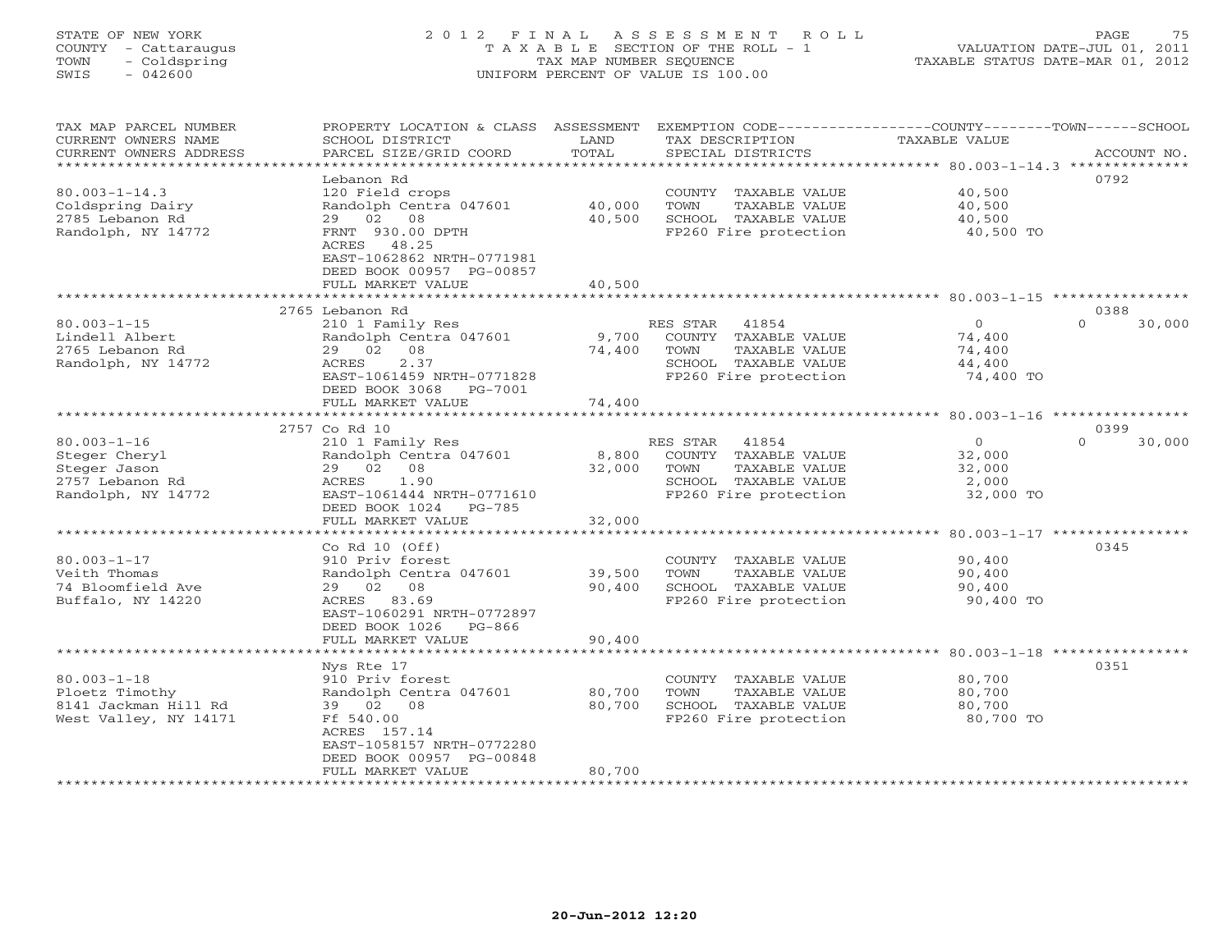# STATE OF NEW YORK 2 0 1 2 F I N A L A S S E S S M E N T R O L L PAGE 75 COUNTY - Cattaraugus T A X A B L E SECTION OF THE ROLL - 1 VALUATION DATE-JUL 01, 2011 TOWN - Coldspring TAX MAP NUMBER SEQUENCE TAXABLE STATUS DATE-MAR 01, 2012 SWIS - 042600 UNIFORM PERCENT OF VALUE IS 100.00UNIFORM PERCENT OF VALUE IS 100.00

| TAX MAP PARCEL NUMBER<br>CURRENT OWNERS NAME | PROPERTY LOCATION & CLASS ASSESSMENT<br>SCHOOL DISTRICT | LAND             | EXEMPTION CODE-----------------COUNTY-------TOWN------SCHOOL<br>TAX DESCRIPTION | <b>TAXABLE VALUE</b> |                    |
|----------------------------------------------|---------------------------------------------------------|------------------|---------------------------------------------------------------------------------|----------------------|--------------------|
| CURRENT OWNERS ADDRESS                       | PARCEL SIZE/GRID COORD                                  | TOTAL            | SPECIAL DISTRICTS                                                               |                      | ACCOUNT NO.        |
| ********************                         |                                                         |                  |                                                                                 |                      |                    |
|                                              | Lebanon Rd                                              |                  |                                                                                 |                      | 0792               |
| $80.003 - 1 - 14.3$                          | 120 Field crops                                         |                  | COUNTY TAXABLE VALUE                                                            | 40,500               |                    |
| Coldspring Dairy                             | Randolph Centra 047601                                  | 40,000<br>40,500 | TOWN<br>TAXABLE VALUE                                                           | 40,500               |                    |
| 2785 Lebanon Rd<br>Randolph, NY 14772        | 29 02 08                                                |                  | SCHOOL TAXABLE VALUE                                                            | 40,500               |                    |
|                                              | FRNT 930.00 DPTH<br>ACRES<br>48.25                      |                  | FP260 Fire protection                                                           | 40,500 TO            |                    |
|                                              | EAST-1062862 NRTH-0771981                               |                  |                                                                                 |                      |                    |
|                                              | DEED BOOK 00957 PG-00857                                |                  |                                                                                 |                      |                    |
|                                              | FULL MARKET VALUE                                       | 40,500           |                                                                                 |                      |                    |
|                                              | ***************************                             |                  |                                                                                 |                      |                    |
|                                              | 2765 Lebanon Rd                                         |                  |                                                                                 |                      | 0388               |
| $80.003 - 1 - 15$                            | 210 1 Family Res                                        |                  | RES STAR<br>41854                                                               | $\Omega$             | $\Omega$<br>30,000 |
| Lindell Albert                               | Randolph Centra 047601                                  | 9,700            | COUNTY TAXABLE VALUE                                                            | 74,400               |                    |
| 2765 Lebanon Rd                              | 29 02 08                                                | 74,400           | TOWN<br>TAXABLE VALUE                                                           | 74,400               |                    |
| Randolph, NY 14772                           | 2.37<br>ACRES                                           |                  | SCHOOL TAXABLE VALUE                                                            | 44,400               |                    |
|                                              | EAST-1061459 NRTH-0771828                               |                  | FP260 Fire protection                                                           | 74,400 TO            |                    |
|                                              | DEED BOOK 3068<br>PG-7001                               |                  |                                                                                 |                      |                    |
|                                              | FULL MARKET VALUE                                       | 74,400           |                                                                                 |                      |                    |
|                                              |                                                         |                  |                                                                                 |                      |                    |
|                                              | 2757 Co Rd 10                                           |                  |                                                                                 |                      | 0399               |
| $80.003 - 1 - 16$                            | 210 1 Family Res                                        |                  | RES STAR<br>41854                                                               | $\circ$              | $\Omega$<br>30,000 |
| Steger Cheryl                                | Randolph Centra 047601                                  | 8,800            | COUNTY TAXABLE VALUE                                                            | 32,000               |                    |
| Steger Jason                                 | 29 02 08                                                | 32,000           | TOWN<br>TAXABLE VALUE                                                           | 32,000               |                    |
| 2757 Lebanon Rd                              | 1.90<br>ACRES                                           |                  | SCHOOL TAXABLE VALUE                                                            | 2,000                |                    |
| Randolph, NY 14772                           | EAST-1061444 NRTH-0771610                               |                  | FP260 Fire protection                                                           | 32,000 TO            |                    |
|                                              | DEED BOOK 1024 PG-785                                   |                  |                                                                                 |                      |                    |
|                                              | FULL MARKET VALUE                                       | 32,000           |                                                                                 |                      |                    |
|                                              |                                                         |                  |                                                                                 |                      | 0345               |
| $80.003 - 1 - 17$                            | Co Rd $10$ (Off)<br>910 Priv forest                     |                  | COUNTY TAXABLE VALUE                                                            |                      |                    |
| Veith Thomas                                 | Randolph Centra 047601                                  | 39,500           | TOWN<br>TAXABLE VALUE                                                           | 90,400<br>90,400     |                    |
| 74 Bloomfield Ave                            | 29 02 08                                                | 90,400           | SCHOOL TAXABLE VALUE                                                            | 90,400               |                    |
| Buffalo, NY 14220                            | ACRES 83.69                                             |                  | FP260 Fire protection                                                           | 90,400 TO            |                    |
|                                              | EAST-1060291 NRTH-0772897                               |                  |                                                                                 |                      |                    |
|                                              | DEED BOOK 1026<br>PG-866                                |                  |                                                                                 |                      |                    |
|                                              | FULL MARKET VALUE                                       | 90,400           |                                                                                 |                      |                    |
|                                              |                                                         |                  |                                                                                 |                      |                    |
|                                              | Nys Rte 17                                              |                  |                                                                                 |                      | 0351               |
| $80.003 - 1 - 18$                            | 910 Priv forest                                         |                  | COUNTY TAXABLE VALUE                                                            | 80,700               |                    |
| Ploetz Timothy                               | Randolph Centra 047601                                  | 80,700           | TOWN<br>TAXABLE VALUE                                                           | 80,700               |                    |
| 8141 Jackman Hill Rd                         | 39 02 08                                                | 80,700           | SCHOOL TAXABLE VALUE                                                            | 80,700               |                    |
| West Valley, NY 14171                        | Ff 540.00                                               |                  | FP260 Fire protection                                                           | 80,700 TO            |                    |
|                                              | ACRES 157.14                                            |                  |                                                                                 |                      |                    |
|                                              | EAST-1058157 NRTH-0772280                               |                  |                                                                                 |                      |                    |
|                                              | DEED BOOK 00957 PG-00848                                |                  |                                                                                 |                      |                    |
|                                              | FULL MARKET VALUE                                       | 80,700           | *****************************                                                   |                      |                    |
|                                              | ************************                                |                  |                                                                                 |                      |                    |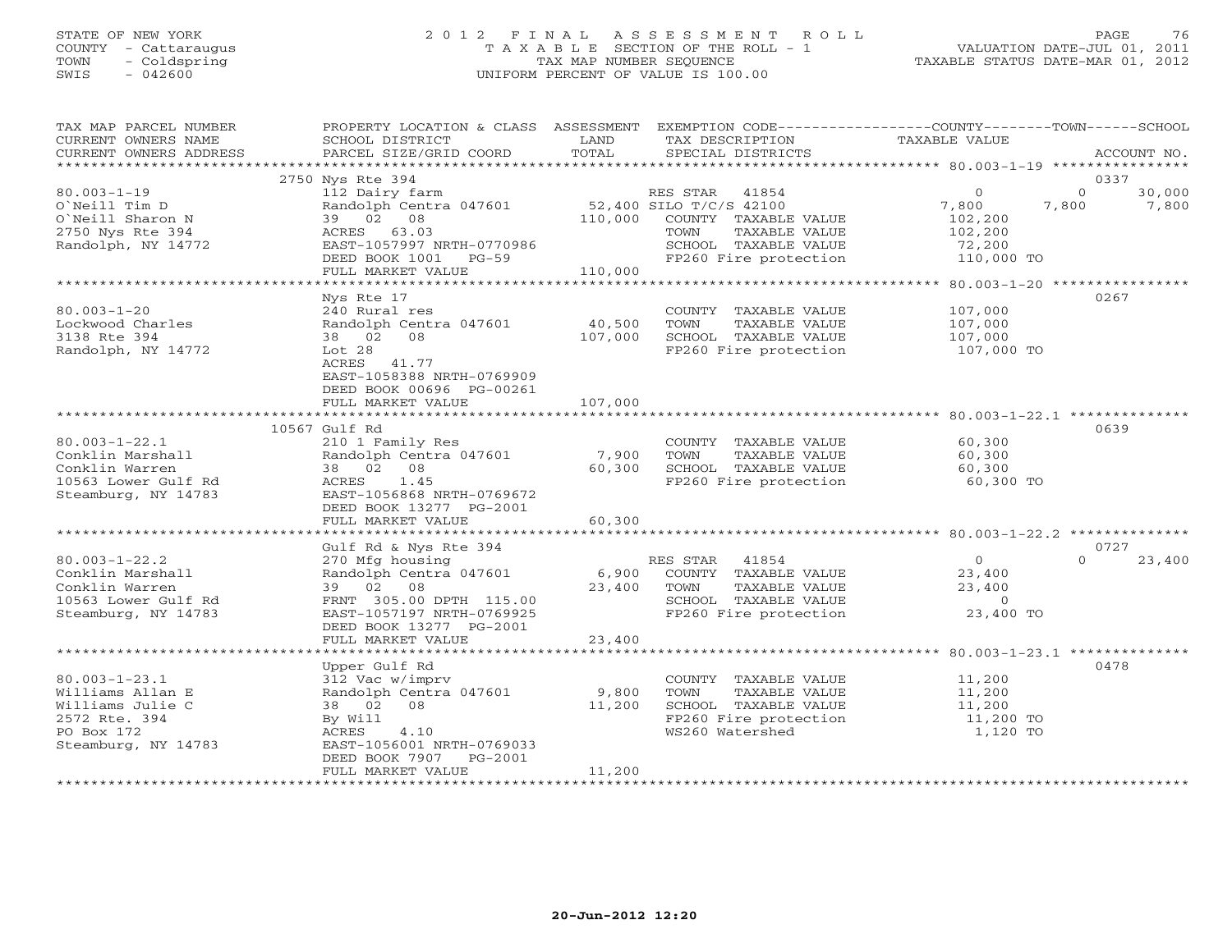# STATE OF NEW YORK 2 0 1 2 F I N A L A S S E S S M E N T R O L L PAGE 76 COUNTY - Cattaraugus T A X A B L E SECTION OF THE ROLL - 1 VALUATION DATE-JUL 01, 2011 TOWN - Coldspring TAX MAP NUMBER SEQUENCE TAXABLE STATUS DATE-MAR 01, 2012 SWIS - 042600 UNIFORM PERCENT OF VALUE IS 100.00UNIFORM PERCENT OF VALUE IS 100.00

| TAX MAP PARCEL NUMBER<br>CURRENT OWNERS NAME<br>CURRENT OWNERS ADDRESS     | PROPERTY LOCATION & CLASS ASSESSMENT<br>SCHOOL DISTRICT<br>PARCEL SIZE/GRID COORD | LAND<br>TOTAL   | EXEMPTION CODE-----------------COUNTY-------TOWN------SCHOOL<br>TAX DESCRIPTION<br>SPECIAL DISTRICTS | TAXABLE VALUE                              | ACCOUNT NO.                          |
|----------------------------------------------------------------------------|-----------------------------------------------------------------------------------|-----------------|------------------------------------------------------------------------------------------------------|--------------------------------------------|--------------------------------------|
| *******************                                                        |                                                                                   |                 |                                                                                                      |                                            | * * * * * *                          |
|                                                                            | 2750 Nys Rte 394                                                                  |                 |                                                                                                      |                                            | 0337                                 |
| $80.003 - 1 - 19$<br>O'Neill Tim D<br>O'Neill Sharon N<br>2750 Nys Rte 394 | 112 Dairy farm<br>Randolph Centra 047601<br>39 02 08<br>ACRES 63.03               | 110,000         | 41854<br>RES STAR<br>52,400 SILO T/C/S 42100<br>COUNTY TAXABLE VALUE<br>TAXABLE VALUE<br>TOWN        | $\circ$<br>7,800<br>102,200<br>102,200     | $\Omega$<br>30,000<br>7,800<br>7,800 |
| Randolph, NY 14772                                                         | EAST-1057997 NRTH-0770986                                                         |                 | SCHOOL TAXABLE VALUE                                                                                 | 72,200                                     |                                      |
|                                                                            | DEED BOOK 1001<br>PG-59                                                           |                 | FP260 Fire protection                                                                                | 110,000 TO                                 |                                      |
|                                                                            | FULL MARKET VALUE                                                                 | 110,000         |                                                                                                      |                                            |                                      |
|                                                                            |                                                                                   |                 |                                                                                                      | ************ 80.003-1-20 ***************** |                                      |
| $80.003 - 1 - 20$<br>Lockwood Charles                                      | Nys Rte 17<br>240 Rural res<br>Randolph Centra 047601                             | 40,500          | COUNTY TAXABLE VALUE<br>TAXABLE VALUE<br>TOWN                                                        | 107,000<br>107,000                         | 0267                                 |
| 3138 Rte 394                                                               | 38 02 08                                                                          | 107,000         | SCHOOL TAXABLE VALUE                                                                                 | 107,000                                    |                                      |
| Randolph, NY 14772                                                         | Lot 28<br>ACRES<br>41.77<br>EAST-1058388 NRTH-0769909<br>DEED BOOK 00696 PG-00261 |                 | FP260 Fire protection                                                                                | 107,000 TO                                 |                                      |
|                                                                            | FULL MARKET VALUE                                                                 | 107,000         |                                                                                                      |                                            |                                      |
|                                                                            |                                                                                   |                 |                                                                                                      |                                            |                                      |
|                                                                            | 10567 Gulf Rd                                                                     |                 |                                                                                                      |                                            | 0639                                 |
| $80.003 - 1 - 22.1$                                                        | 210 1 Family Res                                                                  |                 | COUNTY TAXABLE VALUE                                                                                 | 60,300                                     |                                      |
| Conklin Marshall<br>Conklin Warren                                         | Randolph Centra 047601<br>38 02 08                                                | 7,900<br>60,300 | TOWN<br>TAXABLE VALUE<br>SCHOOL TAXABLE VALUE                                                        | 60,300<br>60,300                           |                                      |
| 10563 Lower Gulf Rd                                                        | 1.45<br>ACRES                                                                     |                 | FP260 Fire protection                                                                                | 60,300 TO                                  |                                      |
| Steamburg, NY 14783                                                        | EAST-1056868 NRTH-0769672<br>DEED BOOK 13277 PG-2001                              |                 |                                                                                                      |                                            |                                      |
|                                                                            | FULL MARKET VALUE                                                                 | 60,300          |                                                                                                      |                                            |                                      |
|                                                                            | Gulf Rd & Nys Rte 394                                                             |                 |                                                                                                      |                                            | 0727                                 |
| $80.003 - 1 - 22.2$                                                        | 270 Mfg housing                                                                   |                 | 41854<br>RES STAR                                                                                    | $\circ$                                    | $\Omega$<br>23,400                   |
| Conklin Marshall                                                           | Randolph Centra 047601                                                            | 6,900           | COUNTY TAXABLE VALUE                                                                                 | 23,400                                     |                                      |
| Conklin Warren                                                             | 39 02 08                                                                          | 23,400          | TOWN<br>TAXABLE VALUE                                                                                | 23,400                                     |                                      |
| 10563 Lower Gulf Rd                                                        | FRNT 305.00 DPTH 115.00                                                           |                 | SCHOOL TAXABLE VALUE                                                                                 | $\Omega$                                   |                                      |
| Steamburg, NY 14783                                                        | EAST-1057197 NRTH-0769925<br>DEED BOOK 13277 PG-2001                              |                 | FP260 Fire protection                                                                                | 23,400 TO                                  |                                      |
|                                                                            | FULL MARKET VALUE                                                                 | 23,400          |                                                                                                      |                                            |                                      |
|                                                                            | Upper Gulf Rd                                                                     |                 |                                                                                                      |                                            | 0478                                 |
| $80.003 - 1 - 23.1$                                                        | 312 Vac w/imprv                                                                   |                 | COUNTY TAXABLE VALUE                                                                                 | 11,200                                     |                                      |
| Williams Allan E                                                           | Randolph Centra 047601                                                            | 9,800           | TOWN<br>TAXABLE VALUE                                                                                | 11,200                                     |                                      |
| Williams Julie C                                                           | 38 02<br>08                                                                       | 11,200          | SCHOOL TAXABLE VALUE                                                                                 | 11,200                                     |                                      |
| 2572 Rte. 394                                                              | By Will                                                                           |                 | FP260 Fire protection                                                                                | 11,200 TO                                  |                                      |
| PO Box 172<br>Steamburg, NY 14783                                          | ACRES<br>4.10<br>EAST-1056001 NRTH-0769033<br>DEED BOOK 7907<br>$PG-2001$         |                 | WS260 Watershed                                                                                      | 1,120 TO                                   |                                      |
|                                                                            | FULL MARKET VALUE                                                                 | 11,200          |                                                                                                      |                                            |                                      |
|                                                                            |                                                                                   |                 |                                                                                                      |                                            |                                      |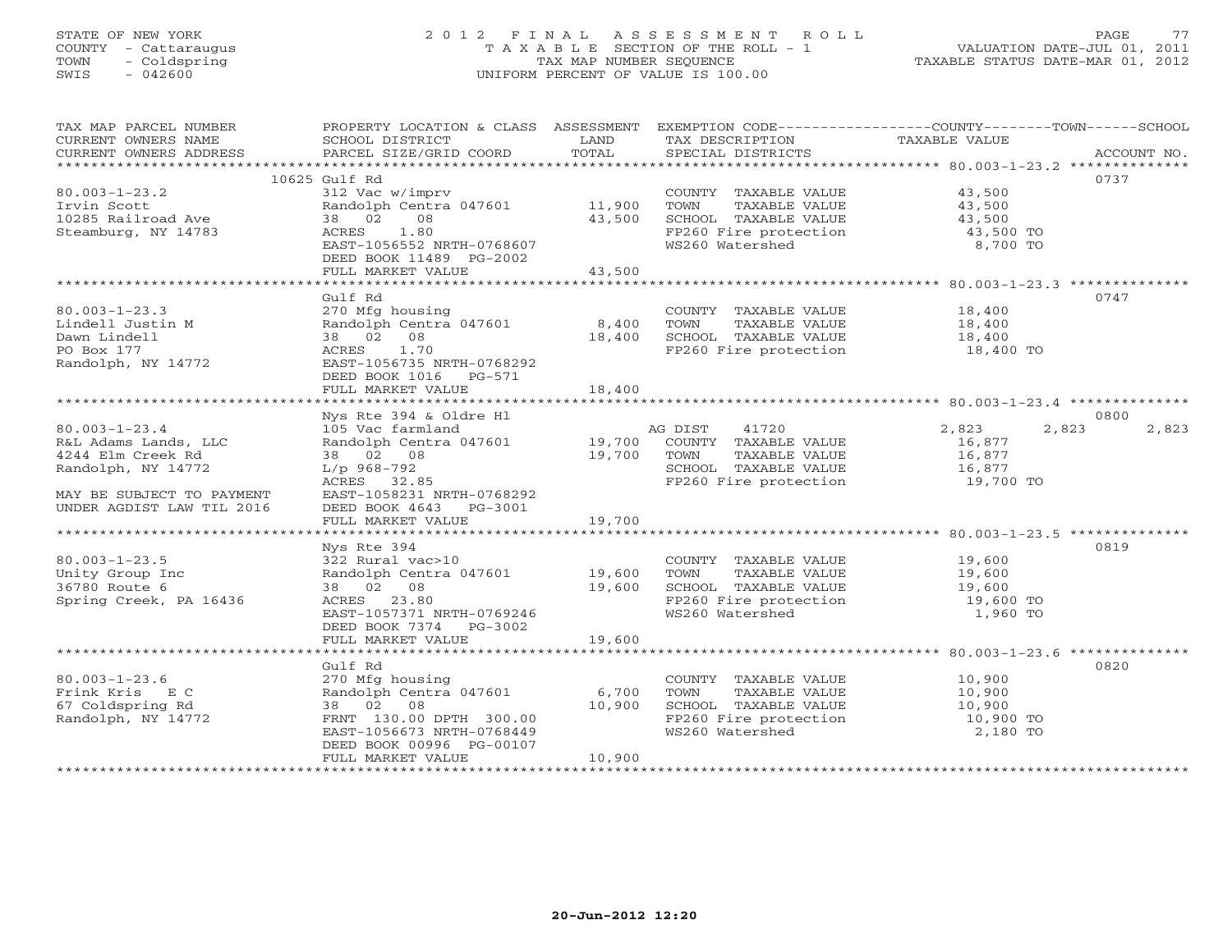# STATE OF NEW YORK 2 0 1 2 F I N A L A S S E S S M E N T R O L L PAGE 77 COUNTY - Cattaraugus T A X A B L E SECTION OF THE ROLL - 1 VALUATION DATE-JUL 01, 2011 TOWN - Coldspring TAX MAP NUMBER SEQUENCE TAXABLE STATUS DATE-MAR 01, 2012 SWIS - 042600 UNIFORM PERCENT OF VALUE IS 100.00UNIFORM PERCENT OF VALUE IS 100.00

| TAX MAP PARCEL NUMBER             | PROPERTY LOCATION & CLASS ASSESSMENT                                                                   |        | EXEMPTION CODE-----------------COUNTY-------TOWN------SCHOOL   |                  |                |
|-----------------------------------|--------------------------------------------------------------------------------------------------------|--------|----------------------------------------------------------------|------------------|----------------|
| CURRENT OWNERS NAME               | SCHOOL DISTRICT                                                                                        | LAND   | TAX DESCRIPTION                                                | TAXABLE VALUE    |                |
| CURRENT OWNERS ADDRESS            | PARCEL SIZE/GRID COORD                                                                                 | TOTAL  | SPECIAL DISTRICTS                                              |                  | ACCOUNT NO.    |
|                                   | 10625 Gulf Rd                                                                                          |        |                                                                |                  | 0737           |
| $80.003 - 1 - 23.2$               | 312 Vac w/imprv                                                                                        |        | COUNTY TAXABLE VALUE 43,500                                    |                  |                |
| Irvin Scott                       | Randolph Centra 047601 11,900                                                                          |        |                                                                |                  |                |
| Irvin Scott<br>10285 Railroad Ave | 38 02 08                                                                                               | 43,500 |                                                                |                  |                |
| Steamburg, NY 14783               | ACRES<br>1.80                                                                                          |        | FP260 Fire protection<br>WS260 Watershed                       | 43,500 TO        |                |
|                                   | EAST-1056552 NRTH-0768607                                                                              |        |                                                                | 8,700 TO         |                |
|                                   | DEED BOOK 11489 PG-2002                                                                                |        |                                                                |                  |                |
|                                   | FULL MARKET VALUE                                                                                      | 43,500 |                                                                |                  |                |
|                                   | Gulf Rd                                                                                                |        |                                                                |                  | 0747           |
| $80.003 - 1 - 23.3$               | 270 Mfg housing                                                                                        |        |                                                                |                  |                |
| Lindell Justin M                  | Randolph Centra 047601 8,400                                                                           |        | COUNTY TAXABLE VALUE 18,400<br>TOWN TAXABLE VALUE 18,400       |                  |                |
| Dawn Lindell                      | 38 02 08                                                                                               | 18,400 |                                                                |                  |                |
| PO Box 177                        | ACRES 1.70                                                                                             |        | SCHOOL TAXABLE VALUE 18,400<br>FP260 Fire protection 18,400 TO |                  |                |
| Randolph, NY 14772                | EAST-1056735 NRTH-0768292                                                                              |        |                                                                |                  |                |
|                                   | DEED BOOK 1016 PG-571                                                                                  |        |                                                                |                  |                |
|                                   | FULL MARKET VALUE                                                                                      | 18,400 |                                                                |                  |                |
|                                   | Nys Rte 394 & Oldre Hl                                                                                 |        |                                                                |                  | 0800           |
| $80.003 - 1 - 23.4$               | 105 Vac farmland                                                                                       |        | AG DIST<br>41720                                               | 2,823            | 2,823<br>2,823 |
| R&L Adams Lands, LLC              |                                                                                                        |        |                                                                |                  |                |
| 4244 Elm Creek Rd                 | resource that the central 047601 and 19,700 COUNTY TAXABLE VALUE<br>38 02 08 19,700 TOWN TAXABLE VALUE |        |                                                                | 16,877<br>16,877 |                |
| Randolph, NY 14772                | L/p 968-792                                                                                            |        |                                                                |                  |                |
|                                   | ACRES 32.85                                                                                            |        | SCHOOL TAXABLE VALUE 16,877<br>FP260 Fire protection 19,700 TO |                  |                |
| MAY BE SUBJECT TO PAYMENT         | EAST-1058231 NRTH-0768292                                                                              |        |                                                                |                  |                |
| UNDER AGDIST LAW TIL 2016         | DEED BOOK 4643 PG-3001                                                                                 |        |                                                                |                  |                |
|                                   | FULL MARKET VALUE                                                                                      | 19,700 |                                                                |                  |                |
|                                   |                                                                                                        |        |                                                                |                  | 0819           |
| $80.003 - 1 - 23.5$               | Nys Rte 394<br>322 Rural vac>10<br>Randolph Centra 047601 19,600<br>19,600<br>19,600                   |        | COUNTY TAXABLE VALUE 19,600                                    |                  |                |
| Unity Group Inc                   |                                                                                                        |        |                                                                |                  |                |
| 36780 Route 6                     |                                                                                                        |        |                                                                |                  |                |
| Spring Creek, PA 16436            | ACRES 23.80                                                                                            |        |                                                                | 19,600 TO        |                |
|                                   | EAST-1057371 NRTH-0769246                                                                              |        | FP260 Fire protection<br>WS260 Watershed                       | 1,960 TO         |                |
|                                   | DEED BOOK 7374 PG-3002                                                                                 |        |                                                                |                  |                |
|                                   | FULL MARKET VALUE                                                                                      | 19,600 |                                                                |                  |                |
|                                   |                                                                                                        |        |                                                                |                  | 0820           |
| $80.003 - 1 - 23.6$               | Gulf Rd                                                                                                |        |                                                                |                  |                |
| Frink Kris EC                     | 270 Mfg housing<br>Randolph Centra 047601 6,700                                                        |        | COUNTY TAXABLE VALUE 10,900<br>TOWN TAXABLE VALUE 10,900       |                  |                |
| 67 Coldspring Rd                  |                                                                                                        |        |                                                                |                  |                |
| Randolph, NY 14772                | 38 02 08 10,900<br>FRNT 130.00 DPTH 300.00 10,900                                                      |        | SCHOOL TAXABLE VALUE 10,900<br>FP260 Fire protection 10,900 TO |                  |                |
|                                   | EAST-1056673 NRTH-0768449                                                                              |        | WS260 Watershed                                                | 2,180 TO         |                |
|                                   | DEED BOOK 00996 PG-00107                                                                               |        |                                                                |                  |                |
|                                   | FULL MARKET VALUE                                                                                      | 10,900 |                                                                |                  |                |
|                                   |                                                                                                        |        |                                                                |                  |                |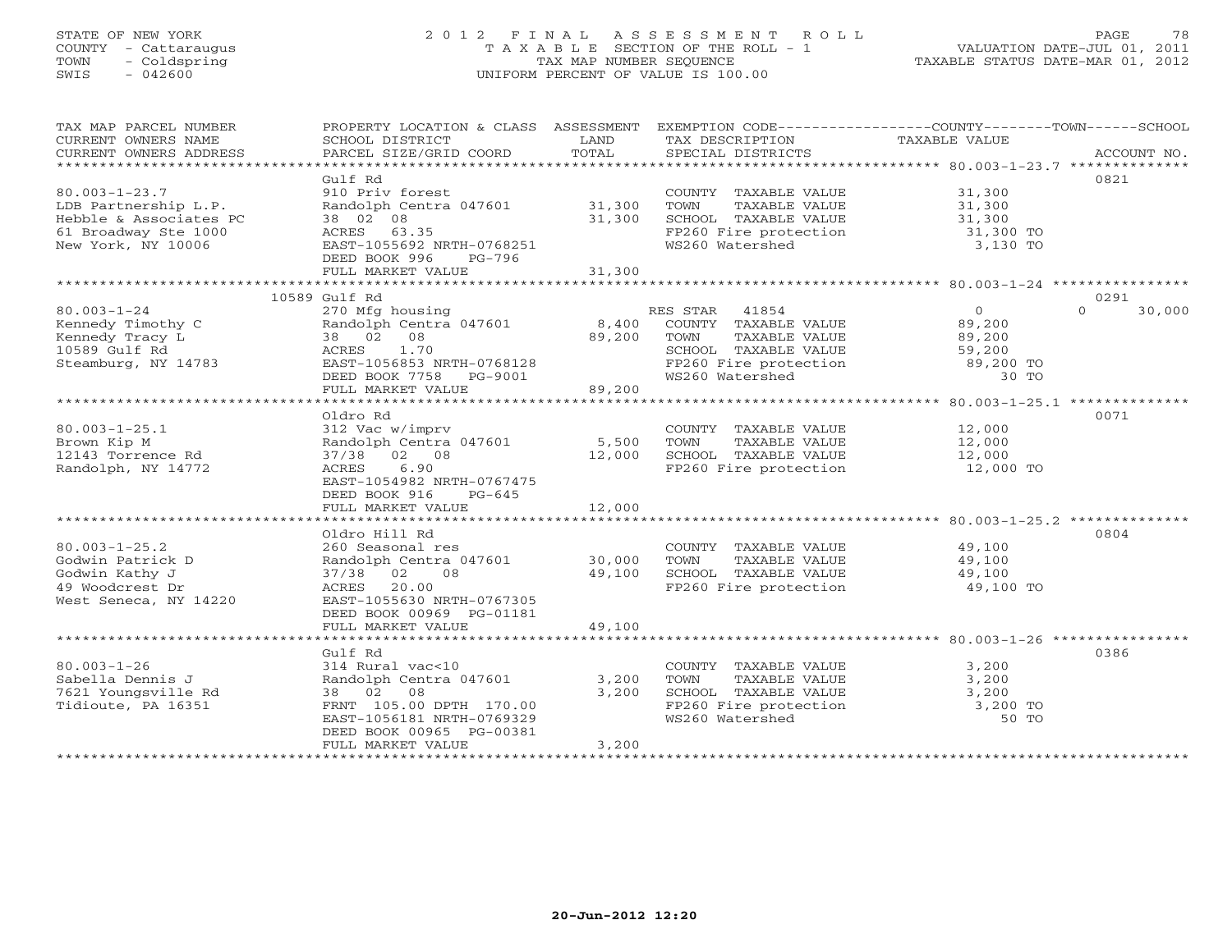# STATE OF NEW YORK 2 0 1 2 F I N A L A S S E S S M E N T R O L L PAGE 78 COUNTY - Cattaraugus T A X A B L E SECTION OF THE ROLL - 1 VALUATION DATE-JUL 01, 2011 TOWN - Coldspring TAX MAP NUMBER SEQUENCE TAXABLE STATUS DATE-MAR 01, 2012 SWIS - 042600 UNIFORM PERCENT OF VALUE IS 100.00UNIFORM PERCENT OF VALUE IS 100.00

| TAX MAP PARCEL NUMBER<br>CURRENT OWNERS NAME<br>CURRENT OWNERS ADDRESS                                              | PROPERTY LOCATION & CLASS ASSESSMENT<br>SCHOOL DISTRICT<br>PARCEL SIZE/GRID COORD                                                                                          | LAND<br>TOTAL           | TAX DESCRIPTION TAXABLE VALUE<br>SPECIAL DISTRICTS<br>SPECIAL DISTRICTS                                                                                                               | EXEMPTION CODE-----------------COUNTY-------TOWN------SCHOOL | ACCOUNT NO.                |
|---------------------------------------------------------------------------------------------------------------------|----------------------------------------------------------------------------------------------------------------------------------------------------------------------------|-------------------------|---------------------------------------------------------------------------------------------------------------------------------------------------------------------------------------|--------------------------------------------------------------|----------------------------|
| $80.003 - 1 - 23.7$<br>LDB Partnership L.P.<br>Hebble & Associates PC<br>61 Broadway Ste 1000<br>New York, NY 10006 | Gulf Rd<br>910 Priv forest<br>Randolph Centra 047601 31,300<br>38 02 08<br>ACRES 63.35<br>EAST-1055692 NRTH-0768251<br>DEED BOOK 996<br>PG-796<br>FULL MARKET VALUE        | 31,300<br>31,300        | COUNTY TAXABLE VALUE 31,300<br>TOWN<br>SCHOOL TAXABLE VALUE<br>FP260 Fire protection<br>WS260 Watershed                                                                               | TAXABLE VALUE 31,300<br>31,300<br>31,300 TO<br>3,130 TO      | 0821                       |
|                                                                                                                     |                                                                                                                                                                            |                         |                                                                                                                                                                                       |                                                              |                            |
| $80.003 - 1 - 24$<br>Kennedy Timothy C<br>Kennedy Tracy L<br>10589 Gulf Rd<br>Steamburg, NY 14783                   | 10589 Gulf Rd<br>270 Mfg housing<br>Randolph Centra 047601<br>38 02 08<br>ACRES 1.70<br>EAST-1056853 NRTH-0768128<br>DEED BOOK 7758 PG-9001<br>FULL MARKET VALUE           | 89.200<br>89,200        | RES STAR 41854<br>8,400 COUNTY TAXABLE VALUE 89,200<br>89,200 TOWN TAXABLE VALUE 89,200<br>SCHOOL TAXABLE VALUE 59,200<br>FP260 Fire protection 89,200 TO<br>WS260 Watershed 30 TO 30 | $\overline{0}$                                               | 0291<br>$\Omega$<br>30,000 |
|                                                                                                                     |                                                                                                                                                                            |                         |                                                                                                                                                                                       |                                                              |                            |
| $80.003 - 1 - 25.1$<br>Brown Kip M<br>12143 Torrence Rd<br>Randolph, NY 14772                                       | Oldro Rd<br>312 Vac w/imprv<br>Randolph Centra 047601 5,500<br>37/38 02 08<br>6.90<br>ACRES<br>EAST-1054982 NRTH-0767475<br>DEED BOOK 916<br>$PG-645$                      | 12,000                  | COUNTY TAXABLE VALUE 12,000<br>TOWN<br>TAXABLE VALUE<br>SCHOOL TAXABLE VALUE 12,000<br>FP260 Fire protection                                                                          | 12,000<br>12,000 TO                                          | 0071                       |
|                                                                                                                     | FULL MARKET VALUE                                                                                                                                                          | 12,000                  |                                                                                                                                                                                       |                                                              |                            |
| $80.003 - 1 - 25.2$<br>Godwin Patrick D<br>Godwin Kathy J<br>49 Woodcrest Dr<br>West Seneca, NY 14220               | Oldro Hill Rd<br>260 Seasonal res<br>Randolph Centra 047601 30,000<br>37/38<br>02 08<br>ACRES 20.00<br>EAST-1055630 NRTH-0767305                                           | 49,100                  | COUNTY TAXABLE VALUE<br>TOWN      TAXABLE VALUE<br>TOWN<br>SCHOOL TAXABLE VALUE<br>FP260 Fire protection                                                                              | 49,100<br>49.100<br>49,100<br>$49,100$ TO                    | 0804                       |
|                                                                                                                     | DEED BOOK 00969 PG-01181<br>FULL MARKET VALUE                                                                                                                              | 49,100                  |                                                                                                                                                                                       |                                                              |                            |
|                                                                                                                     |                                                                                                                                                                            |                         |                                                                                                                                                                                       |                                                              |                            |
| $80.003 - 1 - 26$<br>Sabella Dennis J<br>7621 Youngsville Rd<br>Tidioute, PA 16351                                  | Gulf Rd<br>314 Rural vac<10<br>Randolph Centra 047601<br>38 02 08<br>FRNT 105.00 DPTH 170.00<br>EAST-1056181 NRTH-0769329<br>DEED BOOK 00965 PG-00381<br>FULL MARKET VALUE | 3,200<br>3,200<br>3,200 | COUNTY TAXABLE VALUE<br>TOWN<br>TAXABLE VALUE<br>SCHOOL TAXABLE VALUE 3,200<br>FP260 Fire protection 3,200 TO<br>WS260 Watershed                                                      | 3,200<br>3,200<br>50 TO                                      | 0386                       |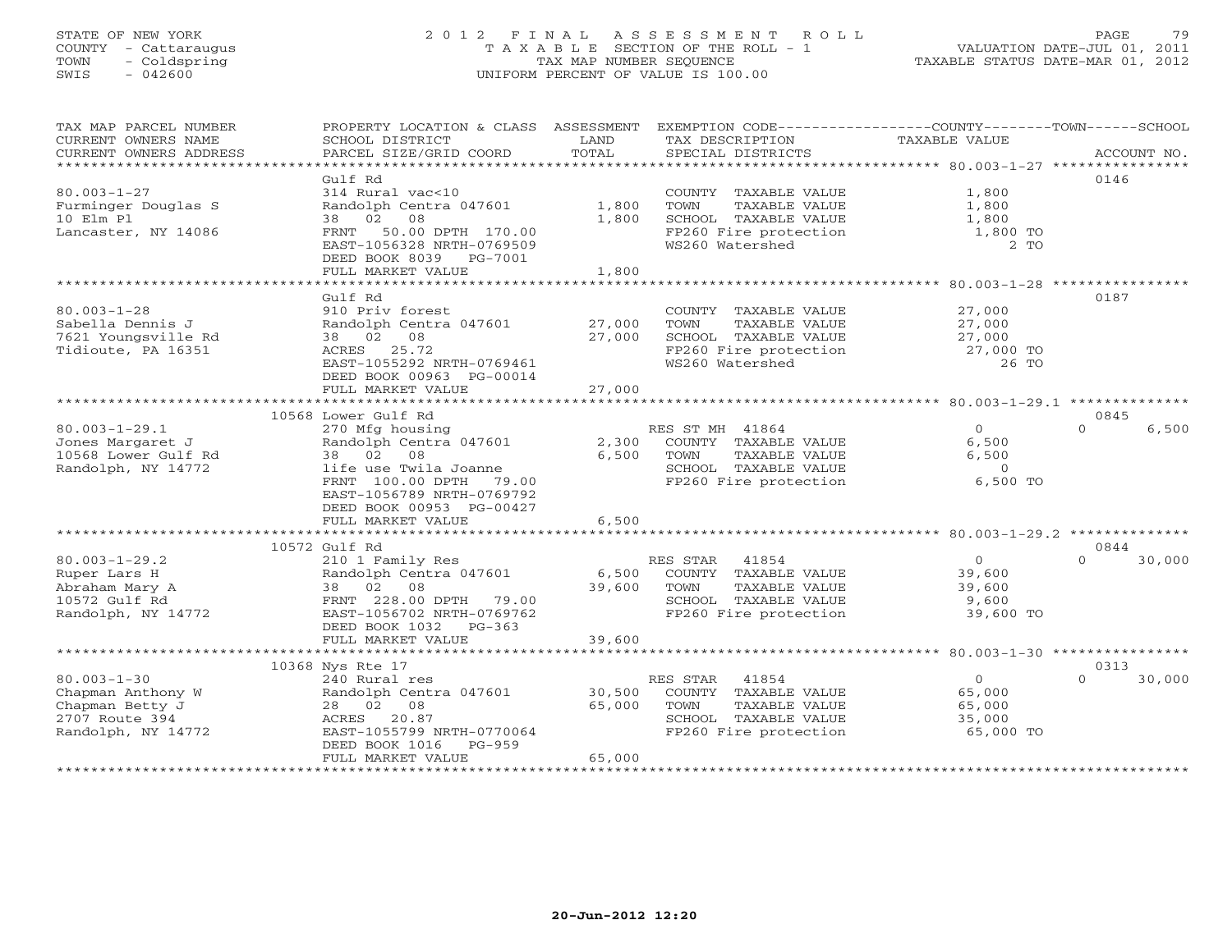# STATE OF NEW YORK 2 0 1 2 F I N A L A S S E S S M E N T R O L L PAGE 79 COUNTY - Cattaraugus T A X A B L E SECTION OF THE ROLL - 1 VALUATION DATE-JUL 01, 2011 TOWN - Coldspring TAX MAP NUMBER SEQUENCE TAXABLE STATUS DATE-MAR 01, 2012 SWIS - 042600 UNIFORM PERCENT OF VALUE IS 100.00UNIFORM PERCENT OF VALUE IS 100.00

| TAX MAP PARCEL NUMBER<br>CURRENT OWNERS NAME<br>CURRENT OWNERS ADDRESS | PROPERTY LOCATION & CLASS ASSESSMENT<br>SCHOOL DISTRICT<br>PARCEL SIZE/GRID COORD | LAND<br>TOTAL  | EXEMPTION CODE-----------------COUNTY-------TOWN------SCHOOL<br>TAX DESCRIPTION<br>SPECIAL DISTRICTS | TAXABLE VALUE                    | ACCOUNT NO.        |
|------------------------------------------------------------------------|-----------------------------------------------------------------------------------|----------------|------------------------------------------------------------------------------------------------------|----------------------------------|--------------------|
|                                                                        |                                                                                   |                |                                                                                                      |                                  |                    |
|                                                                        | Gulf Rd                                                                           |                |                                                                                                      |                                  | 0146               |
| $80.003 - 1 - 27$                                                      | 314 Rural vac<10                                                                  |                | COUNTY TAXABLE VALUE                                                                                 | 1,800                            |                    |
| Furminger Douglas S<br>10 Elm Pl                                       | Randolph Centra 047601<br>02<br>08<br>38                                          | 1,800<br>1,800 | TOWN<br>TAXABLE VALUE<br>SCHOOL TAXABLE VALUE                                                        | 1,800<br>1,800                   |                    |
| Lancaster, NY 14086                                                    | FRNT<br>50.00 DPTH 170.00                                                         |                | FP260 Fire protection                                                                                | 1,800 TO                         |                    |
|                                                                        | EAST-1056328 NRTH-0769509                                                         |                | WS260 Watershed                                                                                      | $2$ TO                           |                    |
|                                                                        | DEED BOOK 8039 PG-7001                                                            |                |                                                                                                      |                                  |                    |
|                                                                        | FULL MARKET VALUE                                                                 | 1,800          |                                                                                                      |                                  |                    |
|                                                                        |                                                                                   |                |                                                                                                      |                                  |                    |
|                                                                        | Gulf Rd                                                                           |                |                                                                                                      |                                  | 0187               |
| $80.003 - 1 - 28$                                                      | 910 Priv forest                                                                   |                | COUNTY TAXABLE VALUE                                                                                 | 27,000                           |                    |
| Sabella Dennis J                                                       | Randolph Centra 047601                                                            | 27,000         | TAXABLE VALUE<br>TOWN                                                                                | 27,000                           |                    |
| 7621 Youngsville Rd                                                    | 38 02 08                                                                          | 27,000         | SCHOOL TAXABLE VALUE                                                                                 | 27,000                           |                    |
| Tidioute, PA 16351                                                     | ACRES 25.72<br>EAST-1055292 NRTH-0769461                                          |                | FP260 Fire protection<br>WS260 Watershed                                                             | 27,000 TO<br>26 TO               |                    |
|                                                                        | DEED BOOK 00963 PG-00014                                                          |                |                                                                                                      |                                  |                    |
|                                                                        | FULL MARKET VALUE                                                                 | 27,000         |                                                                                                      |                                  |                    |
|                                                                        |                                                                                   |                |                                                                                                      |                                  |                    |
|                                                                        | 10568 Lower Gulf Rd                                                               |                |                                                                                                      |                                  | 0845               |
| $80.003 - 1 - 29.1$                                                    | 270 Mfg housing                                                                   |                | RES ST MH 41864                                                                                      | $\Omega$                         | $\cap$<br>6,500    |
| Jones Margaret J                                                       | Randolph Centra 047601                                                            | 2,300          | COUNTY TAXABLE VALUE                                                                                 | 6,500                            |                    |
| 10568 Lower Gulf Rd                                                    | 38 02 08                                                                          | 6,500          | TAXABLE VALUE<br>TOWN                                                                                | 6,500                            |                    |
| Randolph, NY 14772                                                     | life use Twila Joanne                                                             |                | SCHOOL TAXABLE VALUE                                                                                 | $\overline{O}$                   |                    |
|                                                                        | FRNT 100.00 DPTH 79.00                                                            |                | FP260 Fire protection                                                                                | 6,500 TO                         |                    |
|                                                                        | EAST-1056789 NRTH-0769792<br>DEED BOOK 00953 PG-00427                             |                |                                                                                                      |                                  |                    |
|                                                                        | FULL MARKET VALUE                                                                 | 6,500          |                                                                                                      |                                  |                    |
|                                                                        | ****************************                                                      |                |                                                                                                      |                                  |                    |
|                                                                        | 10572 Gulf Rd                                                                     |                |                                                                                                      |                                  | 0844               |
| $80.003 - 1 - 29.2$                                                    | 210 1 Family Res                                                                  |                | RES STAR 41854                                                                                       | $\Omega$                         | 30,000<br>$\Omega$ |
| Ruper Lars H                                                           | Randolph Centra 047601                                                            | 6,500          | COUNTY TAXABLE VALUE                                                                                 | 39,600                           |                    |
| Abraham Mary A                                                         | 38 02 08                                                                          | 39,600         | TOWN<br>TAXABLE VALUE                                                                                | 39,600                           |                    |
| 10572 Gulf Rd                                                          | FRNT 228.00 DPTH 79.00                                                            |                | SCHOOL TAXABLE VALUE                                                                                 | 9,600                            |                    |
| Randolph, NY 14772                                                     | EAST-1056702 NRTH-0769762                                                         |                | FP260 Fire protection                                                                                | 39,600 TO                        |                    |
|                                                                        | DEED BOOK 1032<br>PG-363<br>FULL MARKET VALUE                                     | 39,600         |                                                                                                      |                                  |                    |
|                                                                        | ****************************                                                      | ************** |                                                                                                      |                                  |                    |
|                                                                        | 10368 Nys Rte 17                                                                  |                |                                                                                                      |                                  | 0313               |
| $80.003 - 1 - 30$                                                      | 240 Rural res                                                                     |                | RES STAR<br>41854                                                                                    | 0                                | $\Omega$<br>30,000 |
| Chapman Anthony W                                                      | Randolph Centra 047601                                                            | 30,500         | COUNTY TAXABLE VALUE                                                                                 | 65,000                           |                    |
| Chapman Betty J                                                        | 28 02 08                                                                          | 65,000         | TAXABLE VALUE<br>TOWN                                                                                | 65,000                           |                    |
| 2707 Route 394                                                         | ACRES 20.87                                                                       |                | SCHOOL TAXABLE VALUE                                                                                 | 35,000                           |                    |
| Randolph, NY 14772                                                     | EAST-1055799 NRTH-0770064                                                         |                | FP260 Fire protection                                                                                | 65,000 TO                        |                    |
|                                                                        | DEED BOOK 1016<br>PG-959                                                          |                |                                                                                                      |                                  |                    |
|                                                                        | FULL MARKET VALUE                                                                 | 65,000         |                                                                                                      | ******************************** |                    |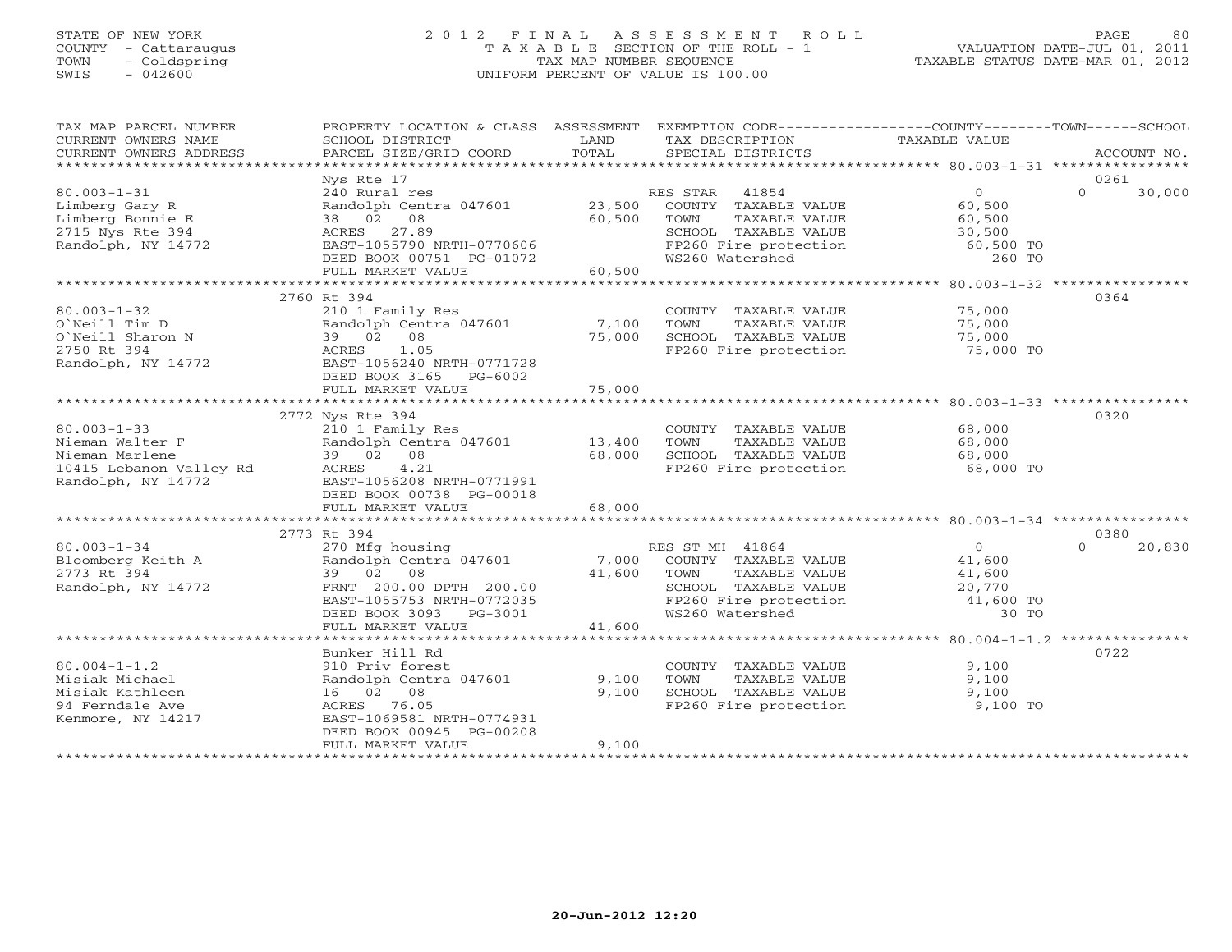# STATE OF NEW YORK 2 0 1 2 F I N A L A S S E S S M E N T R O L L PAGE 80 COUNTY - Cattaraugus T A X A B L E SECTION OF THE ROLL - 1 VALUATION DATE-JUL 01, 2011 TOWN - Coldspring TAX MAP NUMBER SEQUENCE TAXABLE STATUS DATE-MAR 01, 2012 SWIS - 042600 UNIFORM PERCENT OF VALUE IS 100.00UNIFORM PERCENT OF VALUE IS 100.00

| TAX MAP PARCEL NUMBER<br>CURRENT OWNERS NAME<br>CURRENT OWNERS ADDRESS                                  | PROPERTY LOCATION & CLASS ASSESSMENT<br>SCHOOL DISTRICT<br>PARCEL SIZE/GRID COORD                                                                                       | LAND<br>TOTAL             | EXEMPTION CODE-----------------COUNTY-------TOWN------SCHOOL<br>TAX DESCRIPTION<br>SPECIAL DISTRICTS                                   | TAXABLE VALUE                                                | ACCOUNT NO.                |
|---------------------------------------------------------------------------------------------------------|-------------------------------------------------------------------------------------------------------------------------------------------------------------------------|---------------------------|----------------------------------------------------------------------------------------------------------------------------------------|--------------------------------------------------------------|----------------------------|
| $80.003 - 1 - 31$<br>Limberg Gary R<br>Limberg Bonnie E<br>2715 Nys Rte 394<br>Randolph, NY 14772       | Nys Rte 17<br>240 Rural res<br>Randolph Centra 047601<br>38 02 08<br>ACRES 27.89<br>EAST-1055790 NRTH-0770606<br>DEED BOOK 00751 PG-01072                               | 23,500<br>60,500          | 41854<br>RES STAR<br>COUNTY TAXABLE VALUE<br>TOWN<br>TAXABLE VALUE<br>SCHOOL TAXABLE VALUE<br>FP260 Fire protection<br>WS260 Watershed | $\circ$<br>60,500<br>60,500<br>30,500<br>60,500 TO<br>260 TO | 0261<br>$\Omega$<br>30,000 |
|                                                                                                         | FULL MARKET VALUE                                                                                                                                                       | 60,500                    |                                                                                                                                        |                                                              |                            |
| $80.003 - 1 - 32$<br>O'Neill Tim D<br>O`Neill Sharon N<br>2750 Rt 394<br>Randolph, NY 14772             | 2760 Rt 394<br>210 1 Family Res<br>Randolph Centra 047601<br>39 02 08<br>1.05<br>ACRES<br>EAST-1056240 NRTH-0771728<br>DEED BOOK 3165<br>$PG-6002$<br>FULL MARKET VALUE | 7,100<br>75,000<br>75,000 | COUNTY TAXABLE VALUE<br>TOWN<br>TAXABLE VALUE<br>SCHOOL TAXABLE VALUE<br>FP260 Fire protection                                         | 75,000<br>75,000<br>75,000<br>75,000 TO                      | 0364                       |
|                                                                                                         |                                                                                                                                                                         |                           |                                                                                                                                        |                                                              |                            |
| $80.003 - 1 - 33$<br>Nieman Walter F<br>Nieman Marlene<br>10415 Lebanon Valley Rd<br>Randolph, NY 14772 | 2772 Nys Rte 394<br>210 1 Family Res<br>Randolph Centra 047601<br>39 02 08<br>4.21<br>ACRES<br>EAST-1056208 NRTH-0771991<br>DEED BOOK 00738 PG-00018                    | 13,400<br>68,000          | COUNTY TAXABLE VALUE<br>TAXABLE VALUE<br>TOWN<br>SCHOOL TAXABLE VALUE<br>FP260 Fire protection                                         | 68,000<br>68,000<br>68,000<br>68,000 TO                      | 0320                       |
|                                                                                                         | FULL MARKET VALUE                                                                                                                                                       | 68,000                    |                                                                                                                                        |                                                              |                            |
|                                                                                                         |                                                                                                                                                                         |                           |                                                                                                                                        |                                                              |                            |
| $80.003 - 1 - 34$<br>Bloomberg Keith A<br>2773 Rt 394<br>Randolph, NY 14772                             | 2773 Rt 394<br>270 Mfg housing<br>Randolph Centra 047601<br>39 02<br>08<br>FRNT 200.00 DPTH 200.00<br>EAST-1055753 NRTH-0772035<br>DEED BOOK 3093<br>PG-3001            | 7,000<br>41,600           | RES ST MH 41864<br>COUNTY TAXABLE VALUE<br>TAXABLE VALUE<br>TOWN<br>SCHOOL TAXABLE VALUE<br>FP260 Fire protection<br>WS260 Watershed   | $\Omega$<br>41,600<br>41,600<br>20,770<br>41,600 TO<br>30 TO | 0380<br>20,830<br>$\Omega$ |
|                                                                                                         | FULL MARKET VALUE                                                                                                                                                       | 41,600                    |                                                                                                                                        |                                                              |                            |
| $80.004 - 1 - 1.2$<br>Misiak Michael<br>Misiak Kathleen<br>94 Ferndale Ave<br>Kenmore, NY 14217         | Bunker Hill Rd<br>910 Priv forest<br>Randolph Centra 047601<br>16 02 08<br>ACRES<br>76.05<br>EAST-1069581 NRTH-0774931<br>DEED BOOK 00945 PG-00208<br>FULL MARKET VALUE | 9,100<br>9,100<br>9,100   | COUNTY TAXABLE VALUE<br>TOWN<br>TAXABLE VALUE<br>SCHOOL TAXABLE VALUE<br>FP260 Fire protection                                         | 9,100<br>9,100<br>9,100<br>9,100 TO                          | 0722                       |
|                                                                                                         |                                                                                                                                                                         |                           |                                                                                                                                        |                                                              |                            |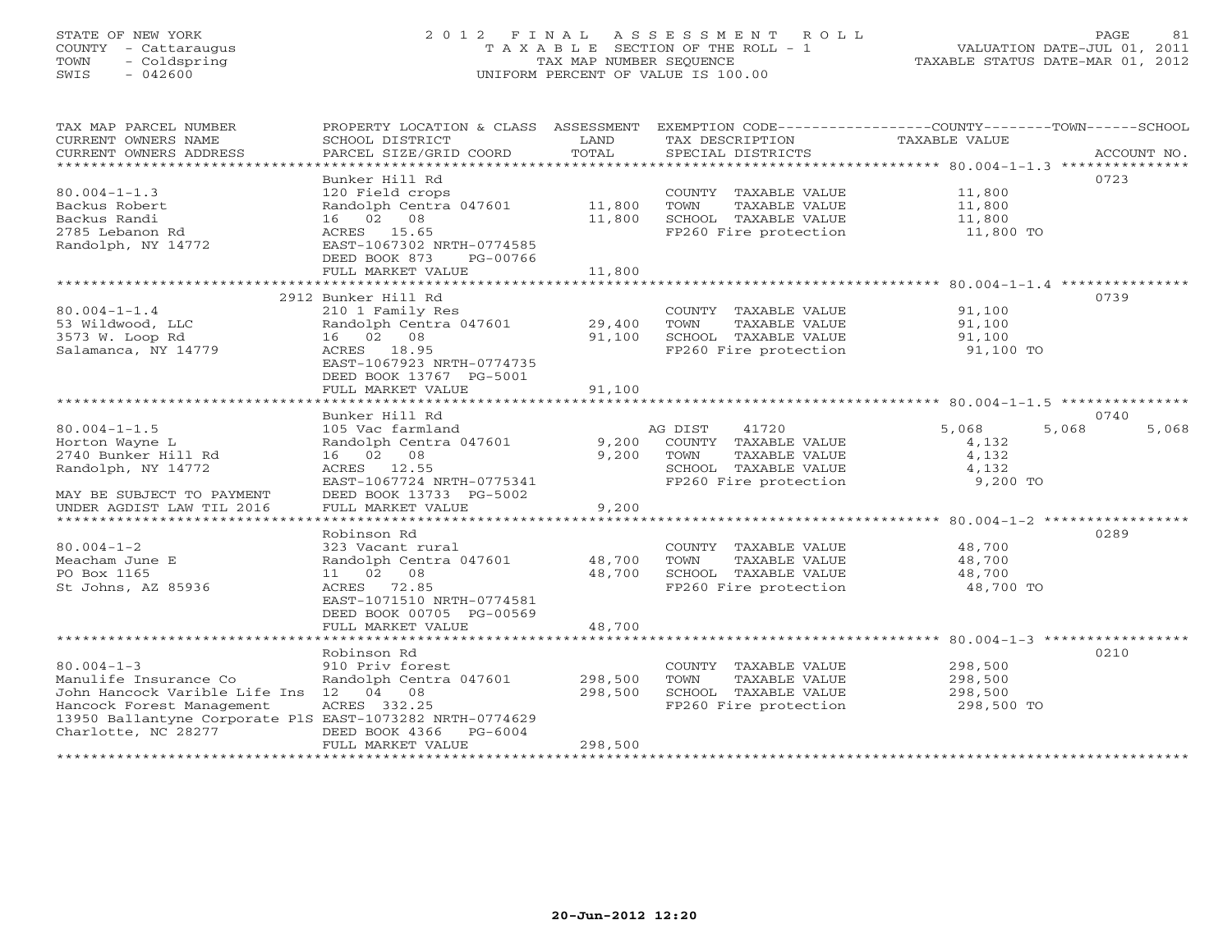# STATE OF NEW YORK 2 0 1 2 F I N A L A S S E S S M E N T R O L L PAGE 81 COUNTY - Cattaraugus T A X A B L E SECTION OF THE ROLL - 1 VALUATION DATE-JUL 01, 2011 TOWN - Coldspring TAX MAP NUMBER SEQUENCE TAXABLE STATUS DATE-MAR 01, 2012 SWIS - 042600 UNIFORM PERCENT OF VALUE IS 100.00UNIFORM PERCENT OF VALUE IS 100.00

| TAX MAP PARCEL NUMBER                                    | PROPERTY LOCATION & CLASS ASSESSMENT |         | EXEMPTION CODE-----------------COUNTY-------TOWN------SCHOOL |                  |                |
|----------------------------------------------------------|--------------------------------------|---------|--------------------------------------------------------------|------------------|----------------|
| CURRENT OWNERS NAME                                      | SCHOOL DISTRICT                      | LAND    | TAX DESCRIPTION                                              | TAXABLE VALUE    |                |
| CURRENT OWNERS ADDRESS                                   | PARCEL SIZE/GRID COORD               | TOTAL   | SPECIAL DISTRICTS                                            |                  | ACCOUNT NO.    |
| **********************                                   |                                      |         |                                                              |                  |                |
|                                                          | Bunker Hill Rd                       |         |                                                              |                  | 0723           |
| $80.004 - 1 - 1.3$                                       | 120 Field crops                      |         | COUNTY TAXABLE VALUE                                         | 11,800           |                |
| Backus Robert                                            | Randolph Centra 047601               | 11,800  | TOWN<br>TAXABLE VALUE                                        | 11,800           |                |
| Backus Randi                                             | 16 02 08                             | 11,800  | SCHOOL TAXABLE VALUE                                         | 11,800           |                |
| 2785 Lebanon Rd                                          | ACRES 15.65                          |         | FP260 Fire protection                                        | 11,800 TO        |                |
| Randolph, NY 14772                                       | EAST-1067302 NRTH-0774585            |         |                                                              |                  |                |
|                                                          | DEED BOOK 873<br>PG-00766            |         |                                                              |                  |                |
|                                                          | FULL MARKET VALUE                    | 11,800  |                                                              |                  |                |
|                                                          |                                      |         |                                                              |                  |                |
|                                                          | 2912 Bunker Hill Rd                  |         |                                                              |                  | 0739           |
| $80.004 - 1 - 1.4$                                       | 210 1 Family Res                     |         | COUNTY TAXABLE VALUE                                         | 91,100           |                |
| 53 Wildwood, LLC                                         | Randolph Centra 047601               | 29,400  | TOWN<br>TAXABLE VALUE                                        | 91,100           |                |
| 3573 W. Loop Rd                                          | 16 02 08                             | 91,100  | SCHOOL TAXABLE VALUE                                         | 91,100           |                |
| Salamanca, NY 14779                                      | ACRES 18.95                          |         | FP260 Fire protection                                        | 91,100 TO        |                |
|                                                          | EAST-1067923 NRTH-0774735            |         |                                                              |                  |                |
|                                                          | DEED BOOK 13767 PG-5001              |         |                                                              |                  |                |
|                                                          | FULL MARKET VALUE                    | 91,100  |                                                              |                  |                |
|                                                          |                                      |         |                                                              |                  |                |
|                                                          | Bunker Hill Rd                       |         |                                                              |                  | 0740           |
| $80.004 - 1 - 1.5$                                       | 105 Vac farmland                     |         | AG DIST<br>41720                                             | 5,068            | 5,068<br>5,068 |
| Horton Wayne L                                           | Randolph Centra 047601               | 9,200   | COUNTY TAXABLE VALUE                                         | 4,132            |                |
| 2740 Bunker Hill Rd                                      | 16 02 08                             | 9,200   | TOWN<br>TAXABLE VALUE                                        | 4,132            |                |
| Randolph, NY 14772                                       | ACRES 12.55                          |         | SCHOOL TAXABLE VALUE                                         | 4,132            |                |
|                                                          | EAST-1067724 NRTH-0775341            |         | FP260 Fire protection                                        | 9,200 TO         |                |
| MAY BE SUBJECT TO PAYMENT                                | DEED BOOK 13733 PG-5002              |         |                                                              |                  |                |
| UNDER AGDIST LAW TIL 2016                                | FULL MARKET VALUE                    | 9,200   |                                                              |                  |                |
|                                                          |                                      |         |                                                              |                  | 0289           |
| $80.004 - 1 - 2$                                         | Robinson Rd                          |         |                                                              | 48,700           |                |
| Meacham June E                                           | 323 Vacant rural                     | 48,700  | COUNTY TAXABLE VALUE<br>TOWN                                 |                  |                |
| PO Box 1165                                              | Randolph Centra 047601<br>11 02 08   | 48,700  | TAXABLE VALUE<br>SCHOOL TAXABLE VALUE                        | 48,700<br>48,700 |                |
| St Johns, AZ 85936                                       | ACRES 72.85                          |         | FP260 Fire protection                                        | 48,700 TO        |                |
|                                                          | EAST-1071510 NRTH-0774581            |         |                                                              |                  |                |
|                                                          | DEED BOOK 00705 PG-00569             |         |                                                              |                  |                |
|                                                          | FULL MARKET VALUE                    | 48,700  |                                                              |                  |                |
|                                                          |                                      |         |                                                              |                  |                |
|                                                          | Robinson Rd                          |         |                                                              |                  | 0210           |
| $80.004 - 1 - 3$                                         | 910 Priv forest                      |         | COUNTY TAXABLE VALUE                                         | 298,500          |                |
| Manulife Insurance Co                                    | Randolph Centra 047601               | 298,500 | TOWN<br>TAXABLE VALUE                                        | 298,500          |                |
| John Hancock Varible Life Ins 12 04 08                   |                                      | 298,500 | SCHOOL TAXABLE VALUE                                         | 298,500          |                |
| Hancock Forest Management                                | ACRES 332.25                         |         | FP260 Fire protection                                        | 298,500 TO       |                |
| 13950 Ballantyne Corporate PlS EAST-1073282 NRTH-0774629 |                                      |         |                                                              |                  |                |
| Charlotte, NC 28277                                      | DEED BOOK 4366<br>PG-6004            |         |                                                              |                  |                |
|                                                          | FULL MARKET VALUE                    | 298,500 |                                                              |                  |                |
|                                                          | *************************            |         |                                                              |                  |                |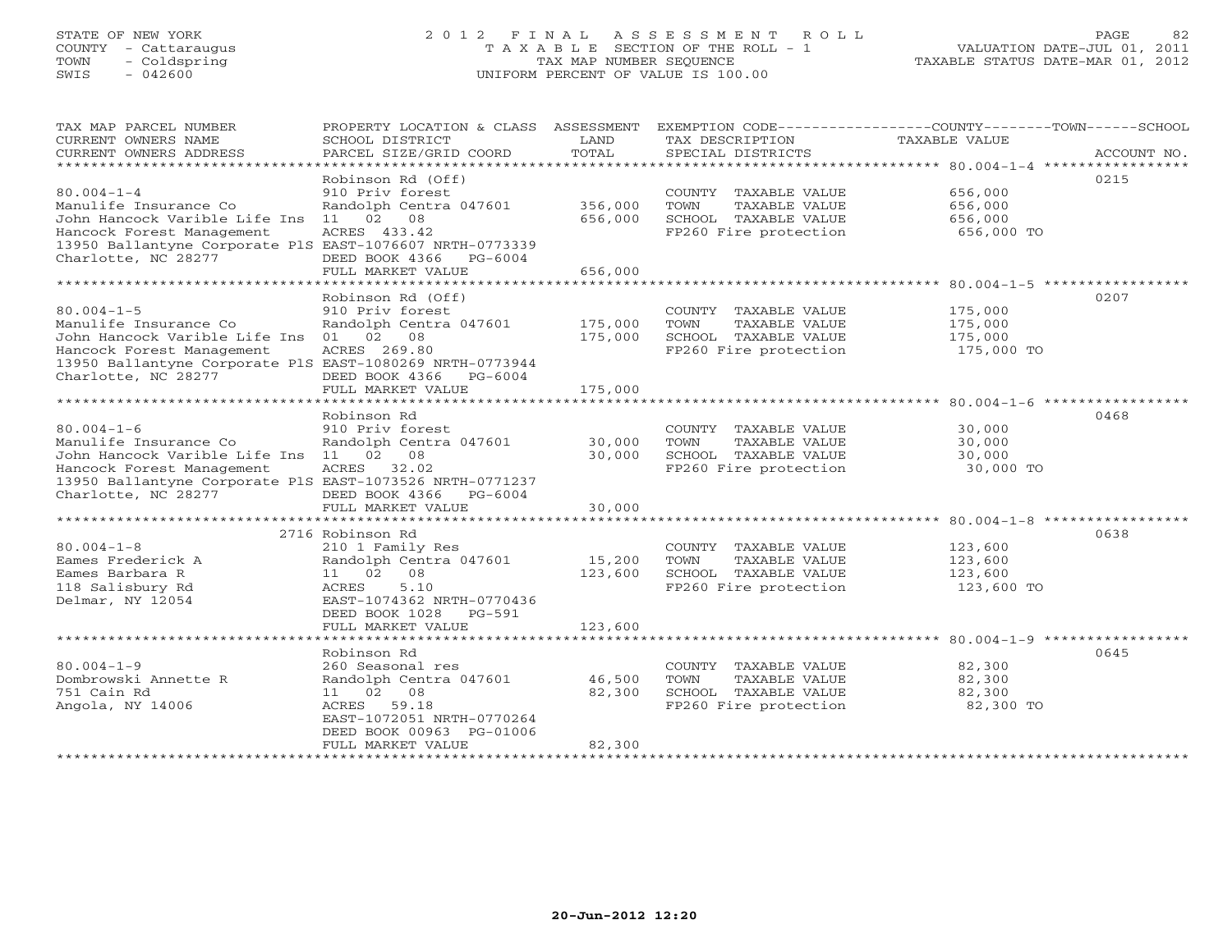# STATE OF NEW YORK 2 0 1 2 F I N A L A S S E S S M E N T R O L L PAGE 82 COUNTY - Cattaraugus T A X A B L E SECTION OF THE ROLL - 1 VALUATION DATE-JUL 01, 2011 TOWN - Coldspring TAX MAP NUMBER SEQUENCE TAXABLE STATUS DATE-MAR 01, 2012 SWIS - 042600 UNIFORM PERCENT OF VALUE IS 100.00UNIFORM PERCENT OF VALUE IS 100.00

| TAX MAP PARCEL NUMBER                                    | PROPERTY LOCATION & CLASS                | ASSESSMENT           | EXEMPTION CODE-----------------COUNTY-------TOWN------SCHOOL |                                              |             |
|----------------------------------------------------------|------------------------------------------|----------------------|--------------------------------------------------------------|----------------------------------------------|-------------|
| CURRENT OWNERS NAME                                      | SCHOOL DISTRICT                          | LAND                 | TAX DESCRIPTION                                              | TAXABLE VALUE                                |             |
| CURRENT OWNERS ADDRESS<br>********************           | PARCEL SIZE/GRID COORD                   | TOTAL<br>*********** | SPECIAL DISTRICTS                                            |                                              | ACCOUNT NO. |
|                                                          | Robinson Rd (Off)                        |                      |                                                              |                                              | 0215        |
| $80.004 - 1 - 4$                                         | 910 Priv forest                          |                      | COUNTY TAXABLE VALUE                                         | 656,000                                      |             |
| Manulife Insurance Co                                    | Randolph Centra 047601                   | 356,000              | TOWN<br>TAXABLE VALUE                                        | 656,000                                      |             |
| John Hancock Varible Life Ins                            | 02<br>08<br>11                           | 656,000              | SCHOOL TAXABLE VALUE                                         | 656,000                                      |             |
| Hancock Forest Management                                | ACRES 433.42                             |                      | FP260 Fire protection                                        | 656,000 TO                                   |             |
| 13950 Ballantyne Corporate PlS EAST-1076607 NRTH-0773339 |                                          |                      |                                                              |                                              |             |
| Charlotte, NC 28277                                      | DEED BOOK 4366<br>$PG-6004$              |                      |                                                              |                                              |             |
|                                                          | FULL MARKET VALUE                        | 656,000              |                                                              |                                              |             |
|                                                          | * * * * * * * * * * * * * * * * *        | ********             |                                                              | $*******************80.004-1-5*************$ |             |
|                                                          | Robinson Rd (Off)                        |                      |                                                              |                                              | 0207        |
| $80.004 - 1 - 5$                                         | 910 Priv forest                          |                      | COUNTY TAXABLE VALUE                                         | 175,000                                      |             |
| Manulife Insurance Co                                    | Randolph Centra 047601                   | 175,000              | TOWN<br>TAXABLE VALUE                                        | 175,000                                      |             |
| John Hancock Varible Life Ins                            | 02<br>08<br>01                           | 175,000              | SCHOOL TAXABLE VALUE                                         | 175,000                                      |             |
| Hancock Forest Management                                | ACRES 269.80                             |                      | FP260 Fire protection                                        | 175,000 TO                                   |             |
| 13950 Ballantyne Corporate PlS EAST-1080269 NRTH-0773944 |                                          |                      |                                                              |                                              |             |
| Charlotte, NC 28277                                      | DEED BOOK 4366<br>PG-6004                |                      |                                                              |                                              |             |
|                                                          | FULL MARKET VALUE<br>******************* | 175,000              |                                                              |                                              |             |
|                                                          | Robinson Rd                              |                      |                                                              |                                              | 0468        |
| $80.004 - 1 - 6$                                         | 910 Priv forest                          |                      | COUNTY TAXABLE VALUE                                         | 30,000                                       |             |
| Manulife Insurance Co                                    | Randolph Centra 047601                   | 30,000               | TOWN<br>TAXABLE VALUE                                        | 30,000                                       |             |
| John Hancock Varible Life Ins 11 02 08                   |                                          | 30,000               | SCHOOL TAXABLE VALUE                                         | 30,000                                       |             |
| Hancock Forest Management                                | 32.02<br>ACRES                           |                      | FP260 Fire protection                                        | 30,000 TO                                    |             |
| 13950 Ballantyne Corporate PlS EAST-1073526 NRTH-0771237 |                                          |                      |                                                              |                                              |             |
| Charlotte, NC 28277                                      | DEED BOOK 4366<br>$PG-6004$              |                      |                                                              |                                              |             |
|                                                          | FULL MARKET VALUE                        | 30,000               |                                                              |                                              |             |
|                                                          | ***********************                  |                      |                                                              |                                              |             |
|                                                          | 2716 Robinson Rd                         |                      |                                                              |                                              | 0638        |
| $80.004 - 1 - 8$                                         | 210 1 Family Res                         |                      | COUNTY TAXABLE VALUE                                         | 123,600                                      |             |
| Eames Frederick A                                        | Randolph Centra 047601                   | 15,200               | TOWN<br>TAXABLE VALUE                                        | 123,600                                      |             |
| Eames Barbara R                                          | 11 02 08                                 | 123,600              | SCHOOL TAXABLE VALUE                                         | 123,600                                      |             |
| 118 Salisbury Rd                                         | ACRES<br>5.10                            |                      | FP260 Fire protection                                        | 123,600 TO                                   |             |
| Delmar, NY 12054                                         | EAST-1074362 NRTH-0770436                |                      |                                                              |                                              |             |
|                                                          | DEED BOOK 1028<br>PG-591                 | 123,600              |                                                              |                                              |             |
|                                                          | FULL MARKET VALUE                        |                      |                                                              |                                              |             |
|                                                          | Robinson Rd                              |                      |                                                              |                                              | 0645        |
| $80.004 - 1 - 9$                                         | 260 Seasonal res                         |                      | COUNTY TAXABLE VALUE                                         | 82,300                                       |             |
| Dombrowski Annette R                                     | Randolph Centra 047601                   | 46,500               | TOWN<br>TAXABLE VALUE                                        | 82,300                                       |             |
| 751 Cain Rd                                              | 11 02 08                                 | 82,300               | SCHOOL TAXABLE VALUE                                         | 82,300                                       |             |
| Angola, NY 14006                                         | 59.18<br>ACRES                           |                      | FP260 Fire protection                                        | 82,300 TO                                    |             |
|                                                          | EAST-1072051 NRTH-0770264                |                      |                                                              |                                              |             |
|                                                          | DEED BOOK 00963 PG-01006                 |                      |                                                              |                                              |             |
|                                                          | FULL MARKET VALUE                        | 82,300               |                                                              |                                              |             |
|                                                          | *******************                      |                      |                                                              |                                              |             |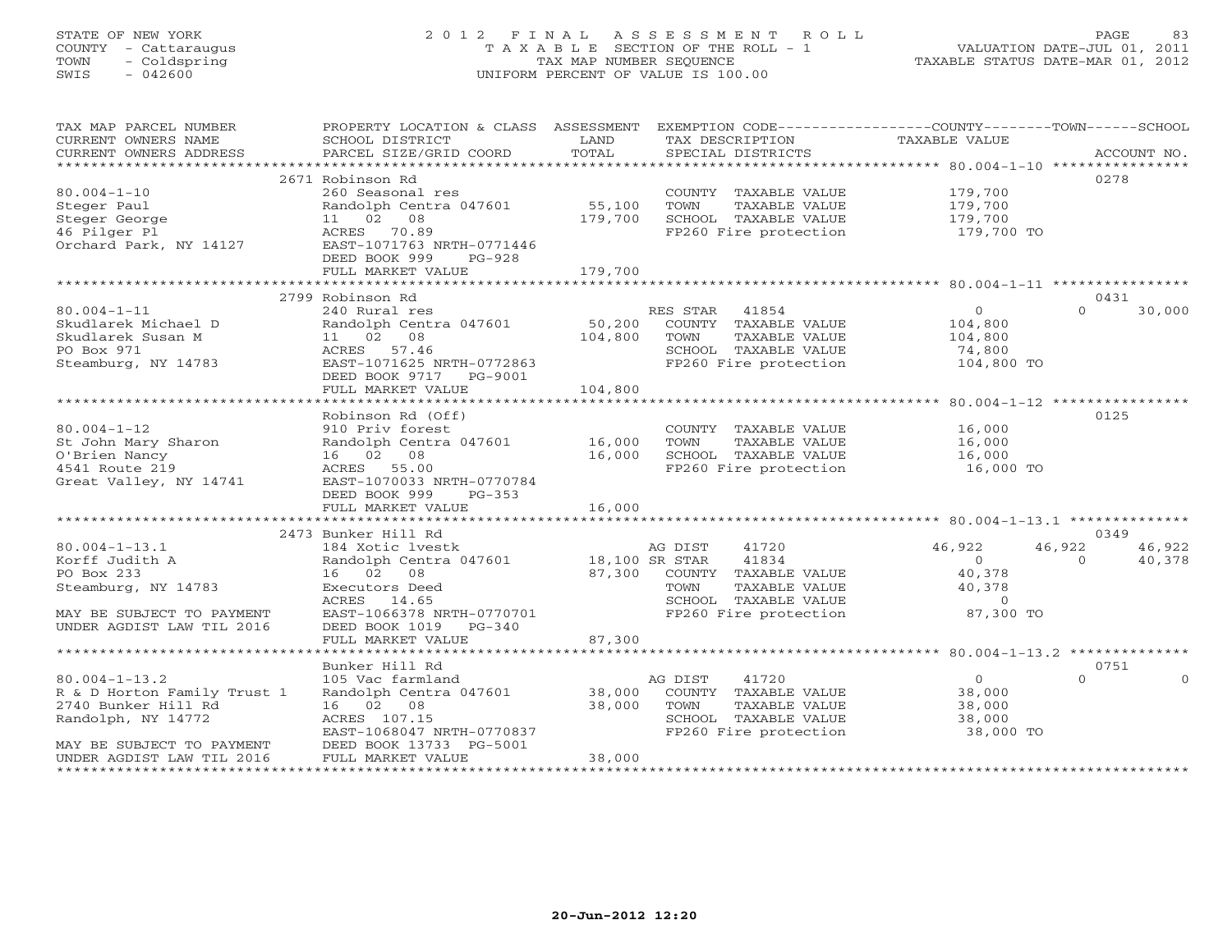# STATE OF NEW YORK 2 0 1 2 F I N A L A S S E S S M E N T R O L L PAGE 83 COUNTY - Cattaraugus T A X A B L E SECTION OF THE ROLL - 1 VALUATION DATE-JUL 01, 2011 TOWN - Coldspring TAX MAP NUMBER SEQUENCE TAXABLE STATUS DATE-MAR 01, 2012 SWIS - 042600 UNIFORM PERCENT OF VALUE IS 100.00UNIFORM PERCENT OF VALUE IS 100.00

| 0278<br>2671 Robinson Rd<br>$80.004 - 1 - 10$<br>260 Seasonal res<br>COUNTY TAXABLE VALUE<br>179,700<br>Steger Paul<br>Randolph Centra 047601<br>55,100<br>TOWN<br>TAXABLE VALUE<br>179,700<br>Steger George<br>11 02 08<br>179,700<br>SCHOOL TAXABLE VALUE<br>179,700<br>46 Pilger Pl<br>FP260 Fire protection<br>ACRES 70.89<br>179,700 TO<br>Orchard Park, NY 14127<br>EAST-1071763 NRTH-0771446<br>DEED BOOK 999<br>PG-928<br>179,700<br>FULL MARKET VALUE<br>2799 Robinson Rd<br>0431<br>$80.004 - 1 - 11$<br>240 Rural res<br>RES STAR<br>41854<br>$\overline{0}$<br>30,000<br>$\Omega$<br>50,200<br>Skudlarek Michael D<br>Randolph Centra 047601<br>COUNTY TAXABLE VALUE<br>104,800<br>Skudlarek Susan M<br>11 02 08<br>104,800<br>TOWN<br>TAXABLE VALUE<br>104,800<br>PO Box 971<br>ACRES 57.46<br>SCHOOL TAXABLE VALUE<br>74,800<br>FP260 Fire protection<br>Steamburg, NY 14783<br>EAST-1071625 NRTH-0772863<br>104,800 TO<br>DEED BOOK 9717 PG-9001<br>104,800<br>FULL MARKET VALUE<br>Robinson Rd (Off)<br>0125<br>$80.004 - 1 - 12$<br>16,000<br>910 Priv forest<br>COUNTY TAXABLE VALUE<br>Randolph Centra 047601<br>St John Mary Sharon<br>16,000<br>TOWN<br>TAXABLE VALUE<br>16,000<br>O'Brien Nancy<br>16,000<br>SCHOOL TAXABLE VALUE<br>16,000<br>16 02 08<br>4541 Route 219<br>FP260 Fire protection<br>ACRES 55.00<br>16,000 TO<br>Great Valley, NY 14741<br>EAST-1070033 NRTH-0770784<br>DEED BOOK 999<br>$PG-353$<br>16,000<br>FULL MARKET VALUE<br>2473 Bunker Hill Rd<br>0349<br>$80.004 - 1 - 13.1$<br>41720<br>46,922<br>46,922<br>184 Xotic lvestk<br>AG DIST<br>46,922<br>41834<br>Korff Judith A<br>Randolph Centra 047601<br>18,100 SR STAR<br>$\Omega$<br>40,378<br>$\Omega$<br>87,300 COUNTY TAXABLE VALUE<br>PO Box 233<br>16 02 08<br>40,378<br>Steamburg, NY 14783<br>TOWN<br>TAXABLE VALUE<br>40,378<br>Executors Deed<br>ACRES 14.65<br>SCHOOL TAXABLE VALUE<br>$\Omega$<br>EAST-1066378 NRTH-0770701<br>FP260 Fire protection<br>87,300 TO<br>MAY BE SUBJECT TO PAYMENT<br>UNDER AGDIST LAW TIL 2016<br>DEED BOOK 1019 PG-340<br>87,300<br>FULL MARKET VALUE<br>Bunker Hill Rd<br>0751<br>$80.004 - 1 - 13.2$<br>$\overline{0}$<br>$\Omega$<br>105 Vac farmland<br>AG DIST<br>41720<br>$\Omega$<br>R & D Horton Family Trust 1<br>Randolph Centra 047601<br>38,000<br>COUNTY TAXABLE VALUE<br>38,000<br>16 02 08<br>38,000<br>TAXABLE VALUE<br>38,000<br>2740 Bunker Hill Rd<br>TOWN<br>ACRES 107.15<br>SCHOOL TAXABLE VALUE<br>Randolph, NY 14772<br>38,000<br>FP260 Fire protection<br>EAST-1068047 NRTH-0770837<br>38,000 TO<br>MAY BE SUBJECT TO PAYMENT<br>DEED BOOK 13733 PG-5001<br>UNDER AGDIST LAW TIL 2016<br>FULL MARKET VALUE<br>38,000 | TAX MAP PARCEL NUMBER<br>CURRENT OWNERS NAME<br>CURRENT OWNERS ADDRESS | PROPERTY LOCATION & CLASS ASSESSMENT<br>SCHOOL DISTRICT<br>PARCEL SIZE/GRID COORD | LAND<br>TOTAL | EXEMPTION CODE----------------COUNTY-------TOWN------SCHOOL<br>TAX DESCRIPTION<br>SPECIAL DISTRICTS | TAXABLE VALUE | ACCOUNT NO. |
|--------------------------------------------------------------------------------------------------------------------------------------------------------------------------------------------------------------------------------------------------------------------------------------------------------------------------------------------------------------------------------------------------------------------------------------------------------------------------------------------------------------------------------------------------------------------------------------------------------------------------------------------------------------------------------------------------------------------------------------------------------------------------------------------------------------------------------------------------------------------------------------------------------------------------------------------------------------------------------------------------------------------------------------------------------------------------------------------------------------------------------------------------------------------------------------------------------------------------------------------------------------------------------------------------------------------------------------------------------------------------------------------------------------------------------------------------------------------------------------------------------------------------------------------------------------------------------------------------------------------------------------------------------------------------------------------------------------------------------------------------------------------------------------------------------------------------------------------------------------------------------------------------------------------------------------------------------------------------------------------------------------------------------------------------------------------------------------------------------------------------------------------------------------------------------------------------------------------------------------------------------------------------------------------------------------------------------------------------------------------------------------------------------------------------------------------------------------------------------------------------------------------------------------------------------------------------------------------------------------------------------------------------------------------------------------------|------------------------------------------------------------------------|-----------------------------------------------------------------------------------|---------------|-----------------------------------------------------------------------------------------------------|---------------|-------------|
|                                                                                                                                                                                                                                                                                                                                                                                                                                                                                                                                                                                                                                                                                                                                                                                                                                                                                                                                                                                                                                                                                                                                                                                                                                                                                                                                                                                                                                                                                                                                                                                                                                                                                                                                                                                                                                                                                                                                                                                                                                                                                                                                                                                                                                                                                                                                                                                                                                                                                                                                                                                                                                                                                            |                                                                        |                                                                                   |               |                                                                                                     |               |             |
|                                                                                                                                                                                                                                                                                                                                                                                                                                                                                                                                                                                                                                                                                                                                                                                                                                                                                                                                                                                                                                                                                                                                                                                                                                                                                                                                                                                                                                                                                                                                                                                                                                                                                                                                                                                                                                                                                                                                                                                                                                                                                                                                                                                                                                                                                                                                                                                                                                                                                                                                                                                                                                                                                            |                                                                        |                                                                                   |               |                                                                                                     |               |             |
|                                                                                                                                                                                                                                                                                                                                                                                                                                                                                                                                                                                                                                                                                                                                                                                                                                                                                                                                                                                                                                                                                                                                                                                                                                                                                                                                                                                                                                                                                                                                                                                                                                                                                                                                                                                                                                                                                                                                                                                                                                                                                                                                                                                                                                                                                                                                                                                                                                                                                                                                                                                                                                                                                            |                                                                        |                                                                                   |               |                                                                                                     |               |             |
|                                                                                                                                                                                                                                                                                                                                                                                                                                                                                                                                                                                                                                                                                                                                                                                                                                                                                                                                                                                                                                                                                                                                                                                                                                                                                                                                                                                                                                                                                                                                                                                                                                                                                                                                                                                                                                                                                                                                                                                                                                                                                                                                                                                                                                                                                                                                                                                                                                                                                                                                                                                                                                                                                            |                                                                        |                                                                                   |               |                                                                                                     |               |             |
|                                                                                                                                                                                                                                                                                                                                                                                                                                                                                                                                                                                                                                                                                                                                                                                                                                                                                                                                                                                                                                                                                                                                                                                                                                                                                                                                                                                                                                                                                                                                                                                                                                                                                                                                                                                                                                                                                                                                                                                                                                                                                                                                                                                                                                                                                                                                                                                                                                                                                                                                                                                                                                                                                            |                                                                        |                                                                                   |               |                                                                                                     |               |             |
|                                                                                                                                                                                                                                                                                                                                                                                                                                                                                                                                                                                                                                                                                                                                                                                                                                                                                                                                                                                                                                                                                                                                                                                                                                                                                                                                                                                                                                                                                                                                                                                                                                                                                                                                                                                                                                                                                                                                                                                                                                                                                                                                                                                                                                                                                                                                                                                                                                                                                                                                                                                                                                                                                            |                                                                        |                                                                                   |               |                                                                                                     |               |             |
|                                                                                                                                                                                                                                                                                                                                                                                                                                                                                                                                                                                                                                                                                                                                                                                                                                                                                                                                                                                                                                                                                                                                                                                                                                                                                                                                                                                                                                                                                                                                                                                                                                                                                                                                                                                                                                                                                                                                                                                                                                                                                                                                                                                                                                                                                                                                                                                                                                                                                                                                                                                                                                                                                            |                                                                        |                                                                                   |               |                                                                                                     |               |             |
|                                                                                                                                                                                                                                                                                                                                                                                                                                                                                                                                                                                                                                                                                                                                                                                                                                                                                                                                                                                                                                                                                                                                                                                                                                                                                                                                                                                                                                                                                                                                                                                                                                                                                                                                                                                                                                                                                                                                                                                                                                                                                                                                                                                                                                                                                                                                                                                                                                                                                                                                                                                                                                                                                            |                                                                        |                                                                                   |               |                                                                                                     |               |             |
|                                                                                                                                                                                                                                                                                                                                                                                                                                                                                                                                                                                                                                                                                                                                                                                                                                                                                                                                                                                                                                                                                                                                                                                                                                                                                                                                                                                                                                                                                                                                                                                                                                                                                                                                                                                                                                                                                                                                                                                                                                                                                                                                                                                                                                                                                                                                                                                                                                                                                                                                                                                                                                                                                            |                                                                        |                                                                                   |               |                                                                                                     |               |             |
|                                                                                                                                                                                                                                                                                                                                                                                                                                                                                                                                                                                                                                                                                                                                                                                                                                                                                                                                                                                                                                                                                                                                                                                                                                                                                                                                                                                                                                                                                                                                                                                                                                                                                                                                                                                                                                                                                                                                                                                                                                                                                                                                                                                                                                                                                                                                                                                                                                                                                                                                                                                                                                                                                            |                                                                        |                                                                                   |               |                                                                                                     |               |             |
|                                                                                                                                                                                                                                                                                                                                                                                                                                                                                                                                                                                                                                                                                                                                                                                                                                                                                                                                                                                                                                                                                                                                                                                                                                                                                                                                                                                                                                                                                                                                                                                                                                                                                                                                                                                                                                                                                                                                                                                                                                                                                                                                                                                                                                                                                                                                                                                                                                                                                                                                                                                                                                                                                            |                                                                        |                                                                                   |               |                                                                                                     |               |             |
|                                                                                                                                                                                                                                                                                                                                                                                                                                                                                                                                                                                                                                                                                                                                                                                                                                                                                                                                                                                                                                                                                                                                                                                                                                                                                                                                                                                                                                                                                                                                                                                                                                                                                                                                                                                                                                                                                                                                                                                                                                                                                                                                                                                                                                                                                                                                                                                                                                                                                                                                                                                                                                                                                            |                                                                        |                                                                                   |               |                                                                                                     |               |             |
|                                                                                                                                                                                                                                                                                                                                                                                                                                                                                                                                                                                                                                                                                                                                                                                                                                                                                                                                                                                                                                                                                                                                                                                                                                                                                                                                                                                                                                                                                                                                                                                                                                                                                                                                                                                                                                                                                                                                                                                                                                                                                                                                                                                                                                                                                                                                                                                                                                                                                                                                                                                                                                                                                            |                                                                        |                                                                                   |               |                                                                                                     |               |             |
|                                                                                                                                                                                                                                                                                                                                                                                                                                                                                                                                                                                                                                                                                                                                                                                                                                                                                                                                                                                                                                                                                                                                                                                                                                                                                                                                                                                                                                                                                                                                                                                                                                                                                                                                                                                                                                                                                                                                                                                                                                                                                                                                                                                                                                                                                                                                                                                                                                                                                                                                                                                                                                                                                            |                                                                        |                                                                                   |               |                                                                                                     |               |             |
|                                                                                                                                                                                                                                                                                                                                                                                                                                                                                                                                                                                                                                                                                                                                                                                                                                                                                                                                                                                                                                                                                                                                                                                                                                                                                                                                                                                                                                                                                                                                                                                                                                                                                                                                                                                                                                                                                                                                                                                                                                                                                                                                                                                                                                                                                                                                                                                                                                                                                                                                                                                                                                                                                            |                                                                        |                                                                                   |               |                                                                                                     |               |             |
|                                                                                                                                                                                                                                                                                                                                                                                                                                                                                                                                                                                                                                                                                                                                                                                                                                                                                                                                                                                                                                                                                                                                                                                                                                                                                                                                                                                                                                                                                                                                                                                                                                                                                                                                                                                                                                                                                                                                                                                                                                                                                                                                                                                                                                                                                                                                                                                                                                                                                                                                                                                                                                                                                            |                                                                        |                                                                                   |               |                                                                                                     |               |             |
|                                                                                                                                                                                                                                                                                                                                                                                                                                                                                                                                                                                                                                                                                                                                                                                                                                                                                                                                                                                                                                                                                                                                                                                                                                                                                                                                                                                                                                                                                                                                                                                                                                                                                                                                                                                                                                                                                                                                                                                                                                                                                                                                                                                                                                                                                                                                                                                                                                                                                                                                                                                                                                                                                            |                                                                        |                                                                                   |               |                                                                                                     |               |             |
|                                                                                                                                                                                                                                                                                                                                                                                                                                                                                                                                                                                                                                                                                                                                                                                                                                                                                                                                                                                                                                                                                                                                                                                                                                                                                                                                                                                                                                                                                                                                                                                                                                                                                                                                                                                                                                                                                                                                                                                                                                                                                                                                                                                                                                                                                                                                                                                                                                                                                                                                                                                                                                                                                            |                                                                        |                                                                                   |               |                                                                                                     |               |             |
|                                                                                                                                                                                                                                                                                                                                                                                                                                                                                                                                                                                                                                                                                                                                                                                                                                                                                                                                                                                                                                                                                                                                                                                                                                                                                                                                                                                                                                                                                                                                                                                                                                                                                                                                                                                                                                                                                                                                                                                                                                                                                                                                                                                                                                                                                                                                                                                                                                                                                                                                                                                                                                                                                            |                                                                        |                                                                                   |               |                                                                                                     |               |             |
|                                                                                                                                                                                                                                                                                                                                                                                                                                                                                                                                                                                                                                                                                                                                                                                                                                                                                                                                                                                                                                                                                                                                                                                                                                                                                                                                                                                                                                                                                                                                                                                                                                                                                                                                                                                                                                                                                                                                                                                                                                                                                                                                                                                                                                                                                                                                                                                                                                                                                                                                                                                                                                                                                            |                                                                        |                                                                                   |               |                                                                                                     |               |             |
|                                                                                                                                                                                                                                                                                                                                                                                                                                                                                                                                                                                                                                                                                                                                                                                                                                                                                                                                                                                                                                                                                                                                                                                                                                                                                                                                                                                                                                                                                                                                                                                                                                                                                                                                                                                                                                                                                                                                                                                                                                                                                                                                                                                                                                                                                                                                                                                                                                                                                                                                                                                                                                                                                            |                                                                        |                                                                                   |               |                                                                                                     |               |             |
|                                                                                                                                                                                                                                                                                                                                                                                                                                                                                                                                                                                                                                                                                                                                                                                                                                                                                                                                                                                                                                                                                                                                                                                                                                                                                                                                                                                                                                                                                                                                                                                                                                                                                                                                                                                                                                                                                                                                                                                                                                                                                                                                                                                                                                                                                                                                                                                                                                                                                                                                                                                                                                                                                            |                                                                        |                                                                                   |               |                                                                                                     |               |             |
|                                                                                                                                                                                                                                                                                                                                                                                                                                                                                                                                                                                                                                                                                                                                                                                                                                                                                                                                                                                                                                                                                                                                                                                                                                                                                                                                                                                                                                                                                                                                                                                                                                                                                                                                                                                                                                                                                                                                                                                                                                                                                                                                                                                                                                                                                                                                                                                                                                                                                                                                                                                                                                                                                            |                                                                        |                                                                                   |               |                                                                                                     |               |             |
|                                                                                                                                                                                                                                                                                                                                                                                                                                                                                                                                                                                                                                                                                                                                                                                                                                                                                                                                                                                                                                                                                                                                                                                                                                                                                                                                                                                                                                                                                                                                                                                                                                                                                                                                                                                                                                                                                                                                                                                                                                                                                                                                                                                                                                                                                                                                                                                                                                                                                                                                                                                                                                                                                            |                                                                        |                                                                                   |               |                                                                                                     |               |             |
|                                                                                                                                                                                                                                                                                                                                                                                                                                                                                                                                                                                                                                                                                                                                                                                                                                                                                                                                                                                                                                                                                                                                                                                                                                                                                                                                                                                                                                                                                                                                                                                                                                                                                                                                                                                                                                                                                                                                                                                                                                                                                                                                                                                                                                                                                                                                                                                                                                                                                                                                                                                                                                                                                            |                                                                        |                                                                                   |               |                                                                                                     |               |             |
|                                                                                                                                                                                                                                                                                                                                                                                                                                                                                                                                                                                                                                                                                                                                                                                                                                                                                                                                                                                                                                                                                                                                                                                                                                                                                                                                                                                                                                                                                                                                                                                                                                                                                                                                                                                                                                                                                                                                                                                                                                                                                                                                                                                                                                                                                                                                                                                                                                                                                                                                                                                                                                                                                            |                                                                        |                                                                                   |               |                                                                                                     |               |             |
|                                                                                                                                                                                                                                                                                                                                                                                                                                                                                                                                                                                                                                                                                                                                                                                                                                                                                                                                                                                                                                                                                                                                                                                                                                                                                                                                                                                                                                                                                                                                                                                                                                                                                                                                                                                                                                                                                                                                                                                                                                                                                                                                                                                                                                                                                                                                                                                                                                                                                                                                                                                                                                                                                            |                                                                        |                                                                                   |               |                                                                                                     |               |             |
|                                                                                                                                                                                                                                                                                                                                                                                                                                                                                                                                                                                                                                                                                                                                                                                                                                                                                                                                                                                                                                                                                                                                                                                                                                                                                                                                                                                                                                                                                                                                                                                                                                                                                                                                                                                                                                                                                                                                                                                                                                                                                                                                                                                                                                                                                                                                                                                                                                                                                                                                                                                                                                                                                            |                                                                        |                                                                                   |               |                                                                                                     |               |             |
|                                                                                                                                                                                                                                                                                                                                                                                                                                                                                                                                                                                                                                                                                                                                                                                                                                                                                                                                                                                                                                                                                                                                                                                                                                                                                                                                                                                                                                                                                                                                                                                                                                                                                                                                                                                                                                                                                                                                                                                                                                                                                                                                                                                                                                                                                                                                                                                                                                                                                                                                                                                                                                                                                            |                                                                        |                                                                                   |               |                                                                                                     |               |             |
|                                                                                                                                                                                                                                                                                                                                                                                                                                                                                                                                                                                                                                                                                                                                                                                                                                                                                                                                                                                                                                                                                                                                                                                                                                                                                                                                                                                                                                                                                                                                                                                                                                                                                                                                                                                                                                                                                                                                                                                                                                                                                                                                                                                                                                                                                                                                                                                                                                                                                                                                                                                                                                                                                            |                                                                        |                                                                                   |               |                                                                                                     |               |             |
|                                                                                                                                                                                                                                                                                                                                                                                                                                                                                                                                                                                                                                                                                                                                                                                                                                                                                                                                                                                                                                                                                                                                                                                                                                                                                                                                                                                                                                                                                                                                                                                                                                                                                                                                                                                                                                                                                                                                                                                                                                                                                                                                                                                                                                                                                                                                                                                                                                                                                                                                                                                                                                                                                            |                                                                        |                                                                                   |               |                                                                                                     |               |             |
|                                                                                                                                                                                                                                                                                                                                                                                                                                                                                                                                                                                                                                                                                                                                                                                                                                                                                                                                                                                                                                                                                                                                                                                                                                                                                                                                                                                                                                                                                                                                                                                                                                                                                                                                                                                                                                                                                                                                                                                                                                                                                                                                                                                                                                                                                                                                                                                                                                                                                                                                                                                                                                                                                            |                                                                        |                                                                                   |               |                                                                                                     |               |             |
|                                                                                                                                                                                                                                                                                                                                                                                                                                                                                                                                                                                                                                                                                                                                                                                                                                                                                                                                                                                                                                                                                                                                                                                                                                                                                                                                                                                                                                                                                                                                                                                                                                                                                                                                                                                                                                                                                                                                                                                                                                                                                                                                                                                                                                                                                                                                                                                                                                                                                                                                                                                                                                                                                            |                                                                        |                                                                                   |               |                                                                                                     |               |             |
|                                                                                                                                                                                                                                                                                                                                                                                                                                                                                                                                                                                                                                                                                                                                                                                                                                                                                                                                                                                                                                                                                                                                                                                                                                                                                                                                                                                                                                                                                                                                                                                                                                                                                                                                                                                                                                                                                                                                                                                                                                                                                                                                                                                                                                                                                                                                                                                                                                                                                                                                                                                                                                                                                            |                                                                        |                                                                                   |               |                                                                                                     |               |             |
|                                                                                                                                                                                                                                                                                                                                                                                                                                                                                                                                                                                                                                                                                                                                                                                                                                                                                                                                                                                                                                                                                                                                                                                                                                                                                                                                                                                                                                                                                                                                                                                                                                                                                                                                                                                                                                                                                                                                                                                                                                                                                                                                                                                                                                                                                                                                                                                                                                                                                                                                                                                                                                                                                            |                                                                        |                                                                                   |               |                                                                                                     |               |             |
|                                                                                                                                                                                                                                                                                                                                                                                                                                                                                                                                                                                                                                                                                                                                                                                                                                                                                                                                                                                                                                                                                                                                                                                                                                                                                                                                                                                                                                                                                                                                                                                                                                                                                                                                                                                                                                                                                                                                                                                                                                                                                                                                                                                                                                                                                                                                                                                                                                                                                                                                                                                                                                                                                            |                                                                        |                                                                                   |               |                                                                                                     |               |             |
|                                                                                                                                                                                                                                                                                                                                                                                                                                                                                                                                                                                                                                                                                                                                                                                                                                                                                                                                                                                                                                                                                                                                                                                                                                                                                                                                                                                                                                                                                                                                                                                                                                                                                                                                                                                                                                                                                                                                                                                                                                                                                                                                                                                                                                                                                                                                                                                                                                                                                                                                                                                                                                                                                            |                                                                        |                                                                                   |               |                                                                                                     |               |             |
|                                                                                                                                                                                                                                                                                                                                                                                                                                                                                                                                                                                                                                                                                                                                                                                                                                                                                                                                                                                                                                                                                                                                                                                                                                                                                                                                                                                                                                                                                                                                                                                                                                                                                                                                                                                                                                                                                                                                                                                                                                                                                                                                                                                                                                                                                                                                                                                                                                                                                                                                                                                                                                                                                            |                                                                        |                                                                                   |               |                                                                                                     |               |             |
|                                                                                                                                                                                                                                                                                                                                                                                                                                                                                                                                                                                                                                                                                                                                                                                                                                                                                                                                                                                                                                                                                                                                                                                                                                                                                                                                                                                                                                                                                                                                                                                                                                                                                                                                                                                                                                                                                                                                                                                                                                                                                                                                                                                                                                                                                                                                                                                                                                                                                                                                                                                                                                                                                            |                                                                        |                                                                                   |               |                                                                                                     |               |             |
|                                                                                                                                                                                                                                                                                                                                                                                                                                                                                                                                                                                                                                                                                                                                                                                                                                                                                                                                                                                                                                                                                                                                                                                                                                                                                                                                                                                                                                                                                                                                                                                                                                                                                                                                                                                                                                                                                                                                                                                                                                                                                                                                                                                                                                                                                                                                                                                                                                                                                                                                                                                                                                                                                            |                                                                        |                                                                                   |               |                                                                                                     |               |             |
|                                                                                                                                                                                                                                                                                                                                                                                                                                                                                                                                                                                                                                                                                                                                                                                                                                                                                                                                                                                                                                                                                                                                                                                                                                                                                                                                                                                                                                                                                                                                                                                                                                                                                                                                                                                                                                                                                                                                                                                                                                                                                                                                                                                                                                                                                                                                                                                                                                                                                                                                                                                                                                                                                            |                                                                        |                                                                                   |               |                                                                                                     |               |             |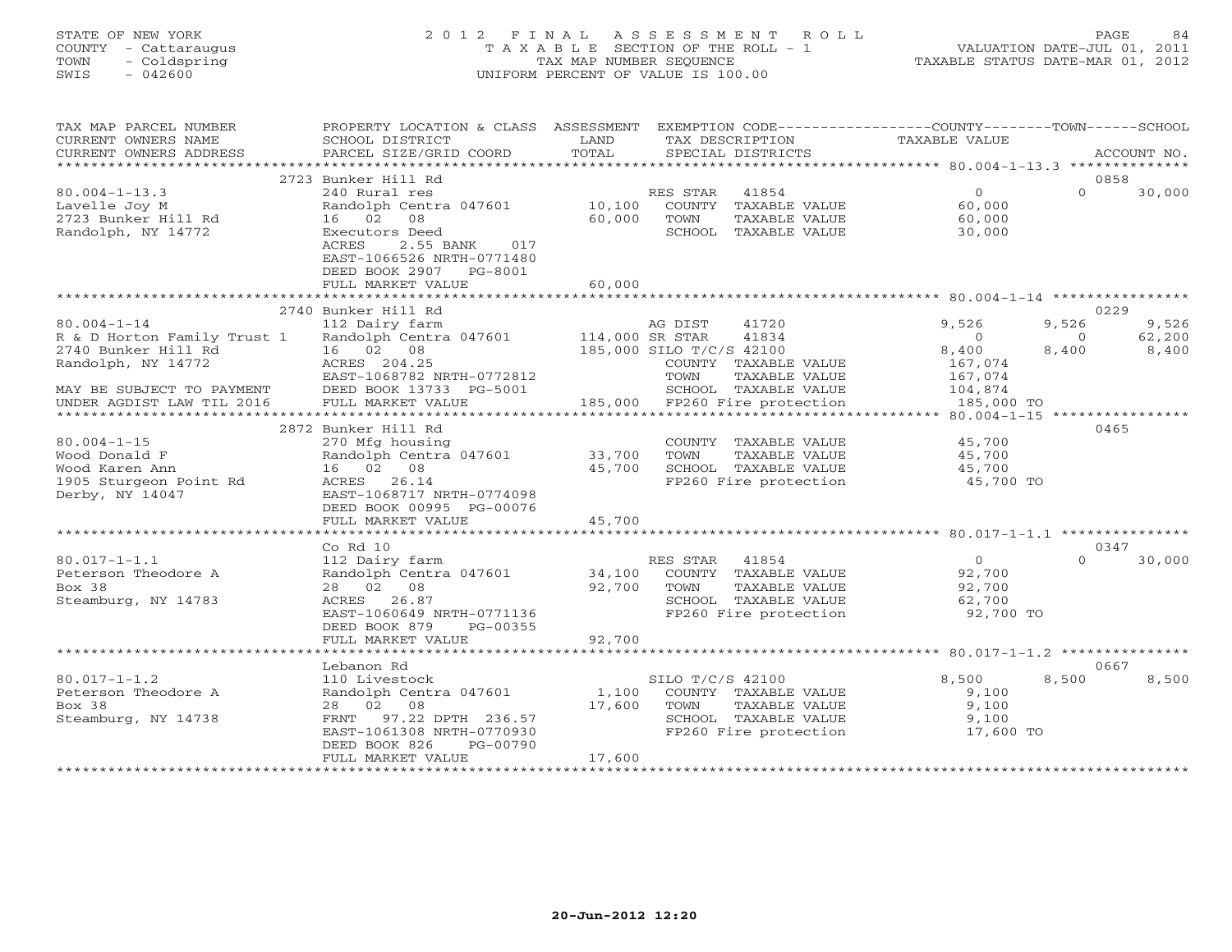# STATE OF NEW YORK 2 0 1 2 F I N A L A S S E S S M E N T R O L L PAGE 84 COUNTY - Cattaraugus T A X A B L E SECTION OF THE ROLL - 1 VALUATION DATE-JUL 01, 2011 TOWN - Coldspring TAX MAP NUMBER SEQUENCE TAXABLE STATUS DATE-MAR 01, 2012 SWIS - 042600 UNIFORM PERCENT OF VALUE IS 100.00UNIFORM PERCENT OF VALUE IS 100.00

| TAX MAP PARCEL NUMBER<br>CURRENT OWNERS NAME<br>CURRENT OWNERS ADDRESS                                                                                  | PROPERTY LOCATION & CLASS ASSESSMENT<br>SCHOOL DISTRICT<br>PARCEL SIZE/GRID COORD                                                                                        | LAND<br>TOTAL              | EXEMPTION CODE-----------------COUNTY-------TOWN------SCHOOL<br>TAX DESCRIPTION<br>SPECIAL DISTRICTS                                                            | TAXABLE VALUE                                                                                                           | ACCOUNT NO.                                                   |
|---------------------------------------------------------------------------------------------------------------------------------------------------------|--------------------------------------------------------------------------------------------------------------------------------------------------------------------------|----------------------------|-----------------------------------------------------------------------------------------------------------------------------------------------------------------|-------------------------------------------------------------------------------------------------------------------------|---------------------------------------------------------------|
|                                                                                                                                                         |                                                                                                                                                                          |                            |                                                                                                                                                                 |                                                                                                                         |                                                               |
|                                                                                                                                                         | 2723 Bunker Hill Rd                                                                                                                                                      |                            |                                                                                                                                                                 |                                                                                                                         | 0858                                                          |
| $80.004 - 1 - 13.3$<br>Lavelle Joy M<br>2723 Bunker Hill Rd<br>Randolph, NY 14772                                                                       | 240 Rural res<br>Randolph Centra 047601<br>16 02<br>08<br>Executors Deed<br>2.55 BANK<br>ACRES<br>017<br>EAST-1066526 NRTH-0771480<br>DEED BOOK 2907<br>PG-8001          | 10,100<br>60,000           | 41854<br>RES STAR<br>COUNTY TAXABLE VALUE<br>TOWN<br>TAXABLE VALUE<br>SCHOOL TAXABLE VALUE                                                                      | $\overline{0}$<br>60,000<br>60,000<br>30,000                                                                            | $\Omega$<br>30,000                                            |
|                                                                                                                                                         | FULL MARKET VALUE                                                                                                                                                        | 60,000                     |                                                                                                                                                                 |                                                                                                                         |                                                               |
|                                                                                                                                                         |                                                                                                                                                                          |                            |                                                                                                                                                                 |                                                                                                                         |                                                               |
| $80.004 - 1 - 14$<br>R & D Horton Family Trust 1<br>2740 Bunker Hill Rd<br>Randolph, NY 14772<br>MAY BE SUBJECT TO PAYMENT<br>UNDER AGDIST LAW TIL 2016 | 2740 Bunker Hill Rd<br>112 Dairy farm<br>Randolph Centra 047601<br>16 02 08<br>ACRES 204.25<br>EAST-1068782 NRTH-0772812<br>DEED BOOK 13733 PG-5001<br>FULL MARKET VALUE | 114,000 SR STAR            | 41720<br>AG DIST<br>41834<br>185,000 SILO T/C/S 42100<br>COUNTY TAXABLE VALUE<br>TOWN<br>TAXABLE VALUE<br>SCHOOL TAXABLE VALUE<br>185,000 FP260 Fire protection | 9,526<br>$\overline{0}$<br>8,400<br>167,074<br>167,074<br>104,874<br>185,000 TO<br>******* 80.004-1-15 **************** | 0229<br>9,526<br>9,526<br>62,200<br>$\circ$<br>8,400<br>8,400 |
|                                                                                                                                                         | 2872 Bunker Hill Rd                                                                                                                                                      |                            |                                                                                                                                                                 |                                                                                                                         | 0465                                                          |
| $80.004 - 1 - 15$<br>Wood Donald F<br>Wood Karen Ann<br>1905 Sturgeon Point Rd<br>Derby, NY 14047                                                       | 270 Mfg housing<br>Randolph Centra 047601<br>16 02 08<br>ACRES 26.14<br>EAST-1068717 NRTH-0774098<br>DEED BOOK 00995 PG-00076                                            | 33,700<br>45,700           | COUNTY TAXABLE VALUE<br>TOWN<br>TAXABLE VALUE<br>SCHOOL TAXABLE VALUE<br>FP260 Fire protection                                                                  | 45,700<br>45,700<br>45,700<br>45,700 TO                                                                                 |                                                               |
|                                                                                                                                                         | FULL MARKET VALUE                                                                                                                                                        | 45,700                     |                                                                                                                                                                 |                                                                                                                         |                                                               |
|                                                                                                                                                         | Co Rd 10                                                                                                                                                                 |                            |                                                                                                                                                                 |                                                                                                                         | 0347                                                          |
| $80.017 - 1 - 1.1$<br>Peterson Theodore A<br>Box 38<br>Steamburg, NY 14783                                                                              | 112 Dairy farm<br>Randolph Centra 047601<br>28 02 08<br>ACRES<br>26.87<br>EAST-1060649 NRTH-0771136<br>DEED BOOK 879<br>PG-00355<br>FULL MARKET VALUE                    | 34,100<br>92,700<br>92,700 | RES STAR<br>41854<br>COUNTY TAXABLE VALUE<br>TOWN<br>TAXABLE VALUE<br>SCHOOL TAXABLE VALUE<br>FP260 Fire protection                                             | $\overline{O}$<br>92,700<br>92,700<br>62,700<br>92,700 TO                                                               | $\Omega$<br>30,000                                            |
|                                                                                                                                                         | * * * * * * * * * * * * * * * * * * * *                                                                                                                                  | *********                  |                                                                                                                                                                 | *********** 80.017-1-1.2 ****************                                                                               |                                                               |
|                                                                                                                                                         | Lebanon Rd                                                                                                                                                               |                            |                                                                                                                                                                 |                                                                                                                         | 0667                                                          |
| $80.017 - 1 - 1.2$<br>Peterson Theodore A<br>Box 38<br>Steamburg, NY 14738                                                                              | 110 Livestock<br>Randolph Centra 047601<br>28 02 08<br>97.22 DPTH 236.57<br>FRNT<br>EAST-1061308 NRTH-0770930<br>DEED BOOK 826<br>PG-00790<br>FULL MARKET VALUE          | 1,100<br>17,600<br>17,600  | SILO T/C/S 42100<br>COUNTY TAXABLE VALUE<br>TOWN<br>TAXABLE VALUE<br>SCHOOL TAXABLE VALUE<br>FP260 Fire protection                                              | 8,500<br>9,100<br>9,100<br>9,100<br>17,600 TO                                                                           | 8,500<br>8,500                                                |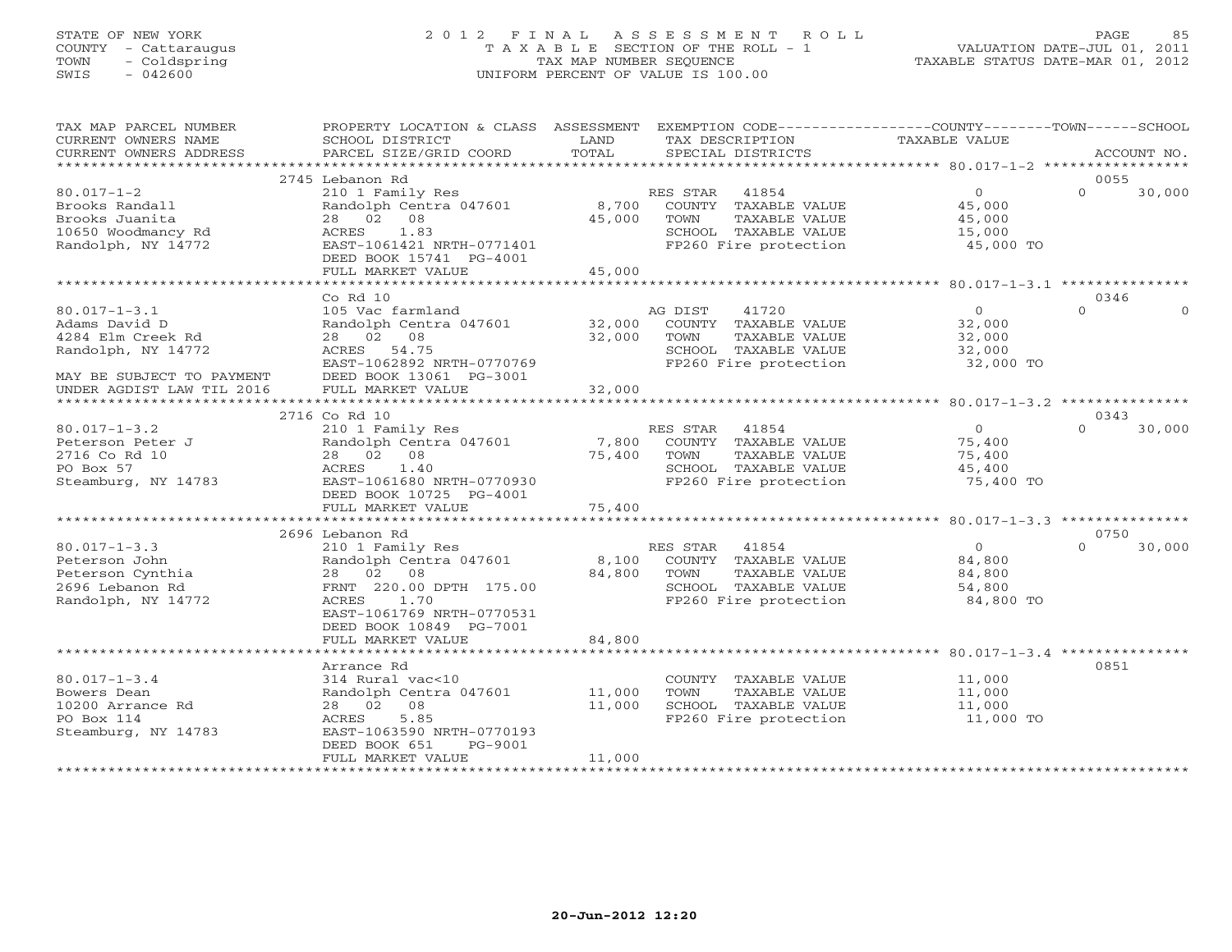# STATE OF NEW YORK 2 0 1 2 F I N A L A S S E S S M E N T R O L L PAGE 85 COUNTY - Cattaraugus T A X A B L E SECTION OF THE ROLL - 1 VALUATION DATE-JUL 01, 2011 TOWN - Coldspring TAX MAP NUMBER SEQUENCE TAXABLE STATUS DATE-MAR 01, 2012 SWIS - 042600 UNIFORM PERCENT OF VALUE IS 100.00UNIFORM PERCENT OF VALUE IS 100.00

| TAX MAP PARCEL NUMBER<br>CURRENT OWNERS NAME                                                                | PROPERTY LOCATION & CLASS ASSESSMENT<br>SCHOOL DISTRICT                                                                                                    | LAND                      | EXEMPTION CODE-----------------COUNTY-------TOWN------SCHOOL<br>TAX DESCRIPTION                                     | <b>TAXABLE VALUE</b>                                      |                            |
|-------------------------------------------------------------------------------------------------------------|------------------------------------------------------------------------------------------------------------------------------------------------------------|---------------------------|---------------------------------------------------------------------------------------------------------------------|-----------------------------------------------------------|----------------------------|
| CURRENT OWNERS ADDRESS                                                                                      | PARCEL SIZE/GRID COORD                                                                                                                                     | TOTAL                     | SPECIAL DISTRICTS                                                                                                   |                                                           | ACCOUNT NO.                |
|                                                                                                             | 2745 Lebanon Rd                                                                                                                                            |                           |                                                                                                                     |                                                           | 0055                       |
| $80.017 - 1 - 2$<br>Brooks Randall<br>Brooks Juanita<br>10650 Woodmancy Rd<br>Randolph, NY 14772            | 210 1 Family Res<br>Randolph Centra 047601<br>28 02 08<br>1.83<br>ACRES<br>EAST-1061421 NRTH-0771401<br>DEED BOOK 15741 PG-4001                            | 8,700<br>45,000           | 41854<br>RES STAR<br>COUNTY TAXABLE VALUE<br>TOWN<br>TAXABLE VALUE<br>SCHOOL TAXABLE VALUE<br>FP260 Fire protection | $\overline{0}$<br>45,000<br>45,000<br>15,000<br>45,000 TO | $\Omega$<br>30,000         |
|                                                                                                             | FULL MARKET VALUE                                                                                                                                          | 45,000                    |                                                                                                                     |                                                           |                            |
|                                                                                                             | Co Rd 10                                                                                                                                                   |                           |                                                                                                                     |                                                           | 0346                       |
| $80.017 - 1 - 3.1$<br>Adams David D<br>4284 Elm Creek Rd<br>Randolph, NY 14772<br>MAY BE SUBJECT TO PAYMENT | 105 Vac farmland<br>Randolph Centra 047601<br>28 02 08<br>ACRES 54.75<br>EAST-1062892 NRTH-0770769<br>DEED BOOK 13061 PG-3001                              | 32,000<br>32,000          | AG DIST<br>41720<br>COUNTY TAXABLE VALUE<br>TOWN<br>TAXABLE VALUE<br>SCHOOL TAXABLE VALUE<br>FP260 Fire protection  | $\circ$<br>32,000<br>32,000<br>32,000<br>32,000 TO        | $\Omega$<br>$\Omega$       |
| UNDER AGDIST LAW TIL 2016                                                                                   | FULL MARKET VALUE                                                                                                                                          | 32,000                    |                                                                                                                     |                                                           |                            |
|                                                                                                             |                                                                                                                                                            |                           |                                                                                                                     |                                                           |                            |
| $80.017 - 1 - 3.2$                                                                                          | 2716 Co Rd 10<br>210 1 Family Res                                                                                                                          |                           | 41854                                                                                                               | $\Omega$                                                  | 0343<br>$\Omega$<br>30,000 |
| Peterson Peter J<br>2716 Co Rd 10<br>PO Box 57<br>Steamburg, NY 14783                                       | Randolph Centra 047601<br>28 02 08<br>ACRES<br>1.40<br>EAST-1061680 NRTH-0770930<br>DEED BOOK 10725 PG-4001<br>FULL MARKET VALUE                           | 7,800<br>75,400<br>75,400 | RES STAR<br>COUNTY TAXABLE VALUE<br>TOWN<br>TAXABLE VALUE<br>SCHOOL TAXABLE VALUE<br>FP260 Fire protection          | 75,400<br>75,400<br>45,400<br>75,400 TO                   |                            |
|                                                                                                             |                                                                                                                                                            |                           |                                                                                                                     |                                                           |                            |
|                                                                                                             | 2696 Lebanon Rd                                                                                                                                            |                           |                                                                                                                     |                                                           | 0750                       |
| $80.017 - 1 - 3.3$<br>Peterson John<br>Peterson Cynthia<br>2696 Lebanon Rd<br>Randolph, NY 14772            | 210 1 Family Res<br>Randolph Centra 047601<br>28 02 08<br>FRNT 220.00 DPTH 175.00<br>ACRES<br>1.70<br>EAST-1061769 NRTH-0770531<br>DEED BOOK 10849 PG-7001 | 8,100<br>84,800           | RES STAR<br>41854<br>COUNTY TAXABLE VALUE<br>TOWN<br>TAXABLE VALUE<br>SCHOOL TAXABLE VALUE<br>FP260 Fire protection | $\circ$<br>84,800<br>84,800<br>54,800<br>84,800 TO        | $\Omega$<br>30,000         |
|                                                                                                             | FULL MARKET VALUE                                                                                                                                          | 84,800                    |                                                                                                                     |                                                           |                            |
|                                                                                                             | Arrance Rd                                                                                                                                                 |                           |                                                                                                                     |                                                           | 0851                       |
| $80.017 - 1 - 3.4$<br>Bowers Dean<br>10200 Arrance Rd<br>PO Box 114<br>Steamburg, NY 14783                  | 314 Rural vac<10<br>Randolph Centra 047601<br>28 02 08<br>5.85<br>ACRES<br>EAST-1063590 NRTH-0770193<br>DEED BOOK 651<br>PG-9001                           | 11,000<br>11,000          | COUNTY TAXABLE VALUE<br>TAXABLE VALUE<br>TOWN<br>SCHOOL TAXABLE VALUE<br>FP260 Fire protection                      | 11,000<br>11,000<br>11,000<br>11,000 TO                   |                            |
|                                                                                                             | FULL MARKET VALUE                                                                                                                                          | 11,000                    |                                                                                                                     |                                                           |                            |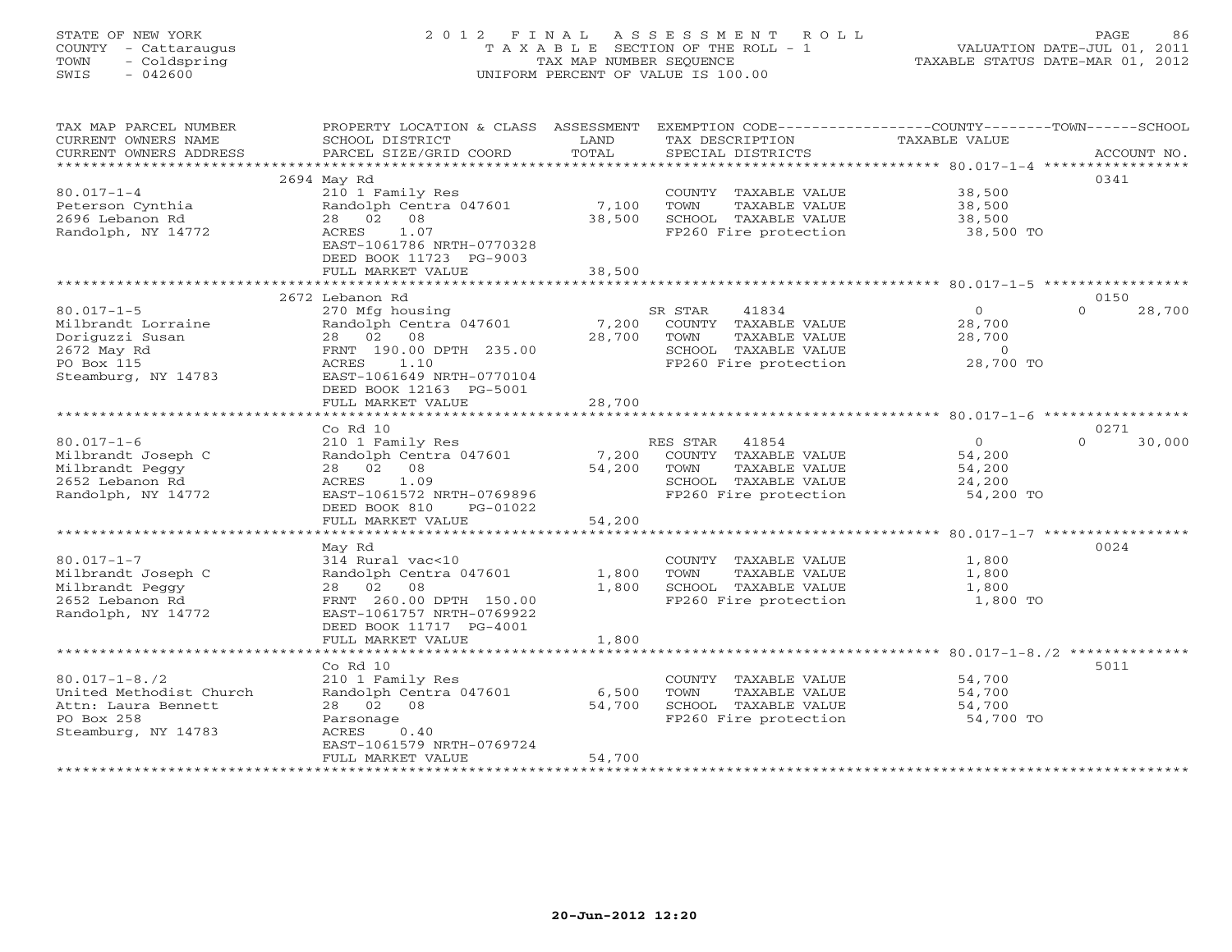# STATE OF NEW YORK 2 0 1 2 F I N A L A S S E S S M E N T R O L L PAGE 86 COUNTY - Cattaraugus T A X A B L E SECTION OF THE ROLL - 1 VALUATION DATE-JUL 01, 2011 TOWN - Coldspring TAX MAP NUMBER SEQUENCE TAXABLE STATUS DATE-MAR 01, 2012 SWIS - 042600 UNIFORM PERCENT OF VALUE IS 100.00UNIFORM PERCENT OF VALUE IS 100.00

| TAX MAP PARCEL NUMBER   | PROPERTY LOCATION & CLASS ASSESSMENT |        | EXEMPTION CODE-----------------COUNTY-------TOWN------SCHOOL |                |                    |
|-------------------------|--------------------------------------|--------|--------------------------------------------------------------|----------------|--------------------|
| CURRENT OWNERS NAME     | SCHOOL DISTRICT                      | LAND   | TAX DESCRIPTION                                              | TAXABLE VALUE  |                    |
| CURRENT OWNERS ADDRESS  | PARCEL SIZE/GRID COORD               | TOTAL  | SPECIAL DISTRICTS                                            |                | ACCOUNT NO.        |
| *********************** | *****************************        |        |                                                              |                |                    |
|                         | 2694 May Rd                          |        |                                                              |                | 0341               |
| $80.017 - 1 - 4$        | 210 1 Family Res                     |        | COUNTY TAXABLE VALUE                                         | 38,500         |                    |
| Peterson Cynthia        | Randolph Centra 047601               | 7,100  | TOWN<br>TAXABLE VALUE                                        | 38,500         |                    |
| 2696 Lebanon Rd         | 28  02  08                           | 38,500 | SCHOOL TAXABLE VALUE                                         | 38,500         |                    |
| Randolph, NY 14772      | 1.07<br>ACRES                        |        | FP260 Fire protection                                        | 38,500 TO      |                    |
|                         | EAST-1061786 NRTH-0770328            |        |                                                              |                |                    |
|                         | DEED BOOK 11723 PG-9003              |        |                                                              |                |                    |
|                         | FULL MARKET VALUE                    | 38,500 |                                                              |                |                    |
|                         |                                      |        |                                                              |                |                    |
|                         | 2672 Lebanon Rd                      |        |                                                              |                | 0150               |
| $80.017 - 1 - 5$        | 270 Mfg housing                      |        | SR STAR<br>41834                                             | $\circ$        | $\Omega$<br>28,700 |
| Milbrandt Lorraine      | Randolph Centra 047601               | 7,200  | COUNTY TAXABLE VALUE                                         | 28,700         |                    |
| Doriguzzi Susan         | 28 02 08                             | 28,700 | TOWN<br>TAXABLE VALUE                                        | 28,700         |                    |
| 2672 May Rd             | FRNT 190.00 DPTH 235.00              |        | SCHOOL TAXABLE VALUE                                         | $\overline{0}$ |                    |
| PO Box 115              | ACRES<br>1.10                        |        | FP260 Fire protection                                        | 28,700 TO      |                    |
| Steamburg, NY 14783     | EAST-1061649 NRTH-0770104            |        |                                                              |                |                    |
|                         | DEED BOOK 12163 PG-5001              |        |                                                              |                |                    |
|                         | FULL MARKET VALUE                    | 28,700 |                                                              |                |                    |
|                         |                                      |        |                                                              |                |                    |
|                         | Co Rd 10                             |        |                                                              |                | 0271               |
| $80.017 - 1 - 6$        | 210 1 Family Res                     |        | RES STAR 41854                                               | $\Omega$       | $\Omega$<br>30,000 |
| Milbrandt Joseph C      | Randolph Centra 047601               | 7,200  | COUNTY TAXABLE VALUE                                         | 54,200         |                    |
| Milbrandt Peggy         | 28 02 08                             | 54,200 | TOWN<br>TAXABLE VALUE                                        | 54,200         |                    |
| 2652 Lebanon Rd         | 1.09<br>ACRES                        |        | SCHOOL TAXABLE VALUE                                         | 24,200         |                    |
| Randolph, NY 14772      | EAST-1061572 NRTH-0769896            |        | FP260 Fire protection                                        | 54,200 TO      |                    |
|                         | DEED BOOK 810<br>PG-01022            |        |                                                              |                |                    |
|                         | FULL MARKET VALUE                    | 54,200 |                                                              |                |                    |
|                         |                                      |        |                                                              |                |                    |
|                         | May Rd                               |        |                                                              |                | 0024               |
| $80.017 - 1 - 7$        | 314 Rural vac<10                     |        | COUNTY TAXABLE VALUE                                         | 1,800          |                    |
| Milbrandt Joseph C      | Randolph Centra 047601               | 1,800  | TOWN<br>TAXABLE VALUE                                        | 1,800          |                    |
| Milbrandt Peggy         | 28 02 08                             | 1,800  | SCHOOL TAXABLE VALUE                                         | 1,800          |                    |
| 2652 Lebanon Rd         | FRNT 260.00 DPTH 150.00              |        | FP260 Fire protection                                        | 1,800 TO       |                    |
| Randolph, NY 14772      | EAST-1061757 NRTH-0769922            |        |                                                              |                |                    |
|                         | DEED BOOK 11717 PG-4001              |        |                                                              |                |                    |
|                         | FULL MARKET VALUE                    | 1,800  |                                                              |                |                    |
|                         | ************************             |        |                                                              |                |                    |
|                         | Co Rd 10                             |        |                                                              |                | 5011               |
| $80.017 - 1 - 8.72$     | 210 1 Family Res                     |        | COUNTY TAXABLE VALUE                                         | 54,700         |                    |
| United Methodist Church | Randolph Centra 047601               | 6,500  | TOWN<br>TAXABLE VALUE                                        | 54,700         |                    |
| Attn: Laura Bennett     | 28 02 08                             | 54,700 | SCHOOL TAXABLE VALUE                                         | 54,700         |                    |
| PO Box 258              | Parsonage                            |        | FP260 Fire protection                                        | 54,700 TO      |                    |
| Steamburg, NY 14783     | ACRES<br>0.40                        |        |                                                              |                |                    |
|                         | EAST-1061579 NRTH-0769724            |        |                                                              |                |                    |
|                         | FULL MARKET VALUE                    | 54,700 |                                                              |                |                    |
|                         |                                      |        |                                                              |                |                    |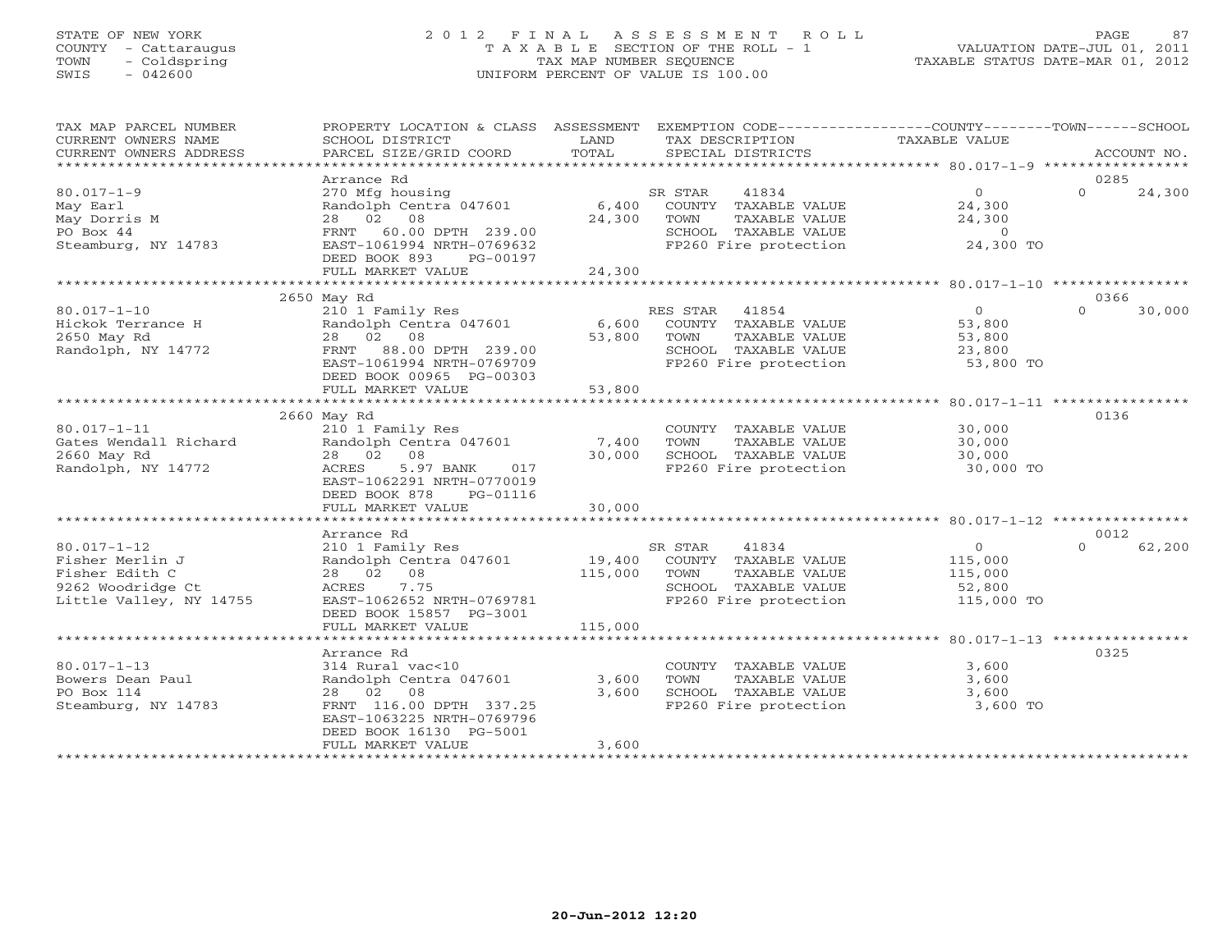## STATE OF NEW YORK 2 0 1 2 F I N A L A S S E S S M E N T R O L L PAGE 87 COUNTY - Cattaraugus T A X A B L E SECTION OF THE ROLL - 1 VALUATION DATE-JUL 01, 2011 TOWN - Coldspring TAX MAP NUMBER SEQUENCE TAXABLE STATUS DATE-MAR 01, 2012 SWIS - 042600 UNIFORM PERCENT OF VALUE IS 100.00UNIFORM PERCENT OF VALUE IS 100.00

| SCHOOL DISTRICT<br>PARCEL SIZE/GRID COORD                                                                                                                      | LAND<br>TOTAL                                                                                      | TAX DESCRIPTION<br>SPECIAL DISTRICTS                                                                               | TAXABLE VALUE                                                                                       | ACCOUNT NO.                                                                                                                 |
|----------------------------------------------------------------------------------------------------------------------------------------------------------------|----------------------------------------------------------------------------------------------------|--------------------------------------------------------------------------------------------------------------------|-----------------------------------------------------------------------------------------------------|-----------------------------------------------------------------------------------------------------------------------------|
|                                                                                                                                                                |                                                                                                    |                                                                                                                    |                                                                                                     | 0285                                                                                                                        |
| 270 Mfg housing<br>Randolph Centra 047601<br>28 02 08<br>FRNT 60.00 DPTH 239.00<br>EAST-1061994 NRTH-0769632<br>DEED BOOK 893<br>PG-00197<br>FULL MARKET VALUE | 24,300                                                                                             | SR STAR<br>41834<br>COUNTY TAXABLE VALUE<br>TOWN<br>TAXABLE VALUE<br>SCHOOL TAXABLE VALUE<br>FP260 Fire protection | $\overline{0}$<br>24,300<br>24,300<br>$\overline{0}$<br>24,300 TO                                   | $\Omega$<br>24,300                                                                                                          |
|                                                                                                                                                                |                                                                                                    |                                                                                                                    |                                                                                                     | 0366                                                                                                                        |
| 210 1 Family Res<br>Randolph Centra 047601<br>28 02 08<br>88.00 DPTH 239.00<br>FRNT<br>EAST-1061994 NRTH-0769709<br>DEED BOOK 00965 PG-00303                   | 53,800                                                                                             | RES STAR 41854<br>COUNTY TAXABLE VALUE<br>TAXABLE VALUE<br>TOWN<br>SCHOOL TAXABLE VALUE                            | $\overline{0}$<br>53,800<br>53,800<br>23,800<br>53,800 TO                                           | 30,000<br>$\Omega$                                                                                                          |
|                                                                                                                                                                |                                                                                                    |                                                                                                                    |                                                                                                     |                                                                                                                             |
| 2660 May Rd<br>210 1 Family Res<br>Randolph Centra 047601<br>28 02 08<br>5.97 BANK<br>ACRES<br>017<br>EAST-1062291 NRTH-0770019<br>DEED BOOK 878<br>PG-01116   | 30,000                                                                                             | COUNTY TAXABLE VALUE<br>TOWN<br>TAXABLE VALUE<br>SCHOOL TAXABLE VALUE<br>FP260 Fire protection                     | 30,000<br>30,000<br>30,000<br>30,000 TO                                                             | 0136                                                                                                                        |
| FULL MARKET VALUE                                                                                                                                              | 30,000                                                                                             |                                                                                                                    |                                                                                                     |                                                                                                                             |
|                                                                                                                                                                |                                                                                                    |                                                                                                                    |                                                                                                     |                                                                                                                             |
| 210 1 Family Res<br>Randolph Centra 047601<br>28 02 08<br>ACRES<br>7.75<br>EAST-1062652 NRTH-0769781<br>DEED BOOK 15857 PG-3001                                | 115,000                                                                                            | 41834<br>SR STAR<br>COUNTY TAXABLE VALUE<br>TOWN<br>TAXABLE VALUE<br>SCHOOL TAXABLE VALUE<br>FP260 Fire protection | $\overline{0}$<br>115,000<br>115,000<br>52,800                                                      | 0012<br>62,200<br>$\cap$                                                                                                    |
| FULL MARKET VALUE                                                                                                                                              | 115,000                                                                                            |                                                                                                                    |                                                                                                     |                                                                                                                             |
| Arrance Rd<br>314 Rural vac<10<br>28 02 08<br>FRNT 116.00 DPTH 337.25<br>EAST-1063225 NRTH-0769796<br>DEED BOOK 16130 PG-5001<br>FULL MARKET VALUE             | 3,600<br>3,600<br>3,600                                                                            | TOWN<br>TAXABLE VALUE<br>SCHOOL TAXABLE VALUE<br>FP260 Fire protection                                             | 3,600<br>3,600<br>3,600<br>3,600 TO                                                                 | 0325                                                                                                                        |
|                                                                                                                                                                | Arrance Rd<br>**********************************<br>2650 May Rd<br>FULL MARKET VALUE<br>Arrance Rd | 53,800<br>Randolph Centra 047601                                                                                   | PROPERTY LOCATION & CLASS ASSESSMENT<br>6,400<br>24,300<br>6,600<br>************<br>7,400<br>19,400 | EXEMPTION CODE-----------------COUNTY-------TOWN------SCHOOL<br>FP260 Fire protection<br>115,000 TO<br>COUNTY TAXABLE VALUE |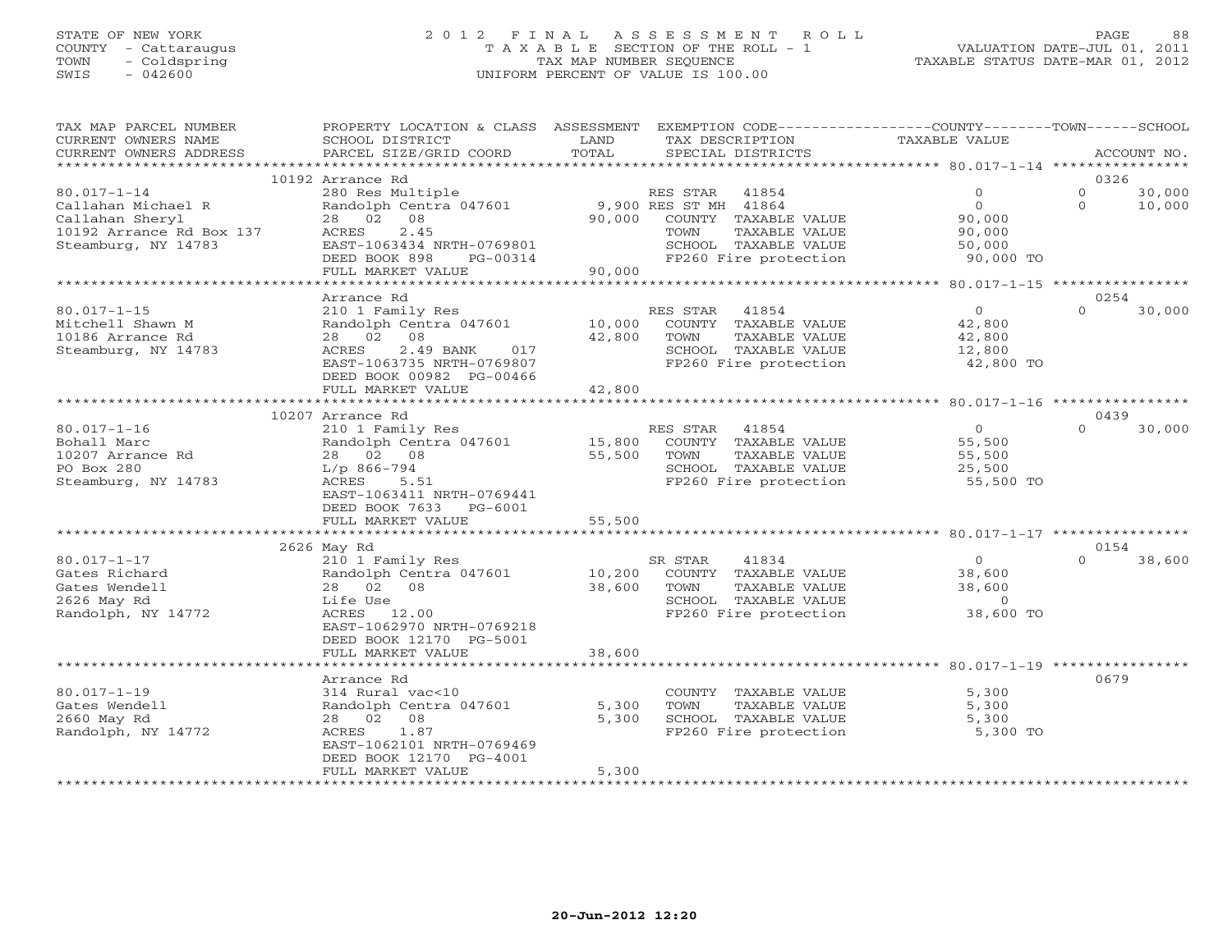## STATE OF NEW YORK 2 0 1 2 F I N A L A S S E S S M E N T R O L L PAGE 88 COUNTY - Cattaraugus T A X A B L E SECTION OF THE ROLL - 1 VALUATION DATE-JUL 01, 2011 TOWN - Coldspring TAX MAP NUMBER SEQUENCE TAXABLE STATUS DATE-MAR 01, 2012 SWIS - 042600 UNIFORM PERCENT OF VALUE IS 100.00UNIFORM PERCENT OF VALUE IS 100.00

| CURRENT OWNERS NAME<br>SCHOOL DISTRICT<br>LAND<br>TAX DESCRIPTION<br><b>TAXABLE VALUE</b><br>TOTAL<br>CURRENT OWNERS ADDRESS<br>PARCEL SIZE/GRID COORD<br>SPECIAL DISTRICTS<br>ACCOUNT NO.<br>10192 Arrance Rd<br>0326<br>$80.017 - 1 - 14$<br>280 Res Multiple<br>30,000<br>RES STAR<br>41854<br>$\mathbf{0}$<br>$\Omega$<br>9,900 RES ST MH 41864<br>$\overline{0}$<br>Randolph Centra 047601<br>$\Omega$<br>10,000<br>Callahan Michael R<br>Callahan Sheryl<br>08<br>90,000<br>COUNTY TAXABLE VALUE<br>28 02<br>90,000<br>10192 Arrance Rd Box 137<br>2.45<br>ACRES<br>TOWN<br>TAXABLE VALUE<br>90,000<br>Steamburg, NY 14783<br>EAST-1063434 NRTH-0769801<br>SCHOOL TAXABLE VALUE<br>50,000<br>DEED BOOK 898<br>FP260 Fire protection<br>PG-00314<br>90,000 TO<br>FULL MARKET VALUE<br>90,000<br>Arrance Rd<br>0254<br>$80.017 - 1 - 15$<br>210 1 Family Res<br>$\overline{O}$<br>$\Omega$<br>30,000<br>RES STAR 41854<br>Mitchell Shawn M<br>Randolph Centra 047601<br>10,000<br>COUNTY TAXABLE VALUE<br>42,800<br>10186 Arrance Rd<br>28 02 08<br>42,800<br>TAXABLE VALUE<br>TOWN<br>42,800<br>Steamburg, NY 14783<br>2.49 BANK<br>SCHOOL TAXABLE VALUE<br>ACRES<br>017<br>12,800<br>EAST-1063735 NRTH-0769807<br>FP260 Fire protection<br>42,800 TO<br>DEED BOOK 00982 PG-00466<br>42,800<br>FULL MARKET VALUE<br>10207 Arrance Rd<br>0439<br>$\Omega$<br>30,000<br>$80.017 - 1 - 16$<br>210 1 Family Res<br>RES STAR 41854<br>$\Omega$<br>55,500<br>Bohall Marc<br>Randolph Centra 047601<br>15,800<br>COUNTY TAXABLE VALUE<br>10207 Arrance Rd<br>28 02 08<br>55,500<br>TOWN<br>TAXABLE VALUE<br>55,500<br>PO Box 280<br>$L/p$ 866-794<br>SCHOOL TAXABLE VALUE<br>25,500<br>Steamburg, NY 14783<br>ACRES<br>5.51<br>FP260 Fire protection<br>55,500 TO<br>EAST-1063411 NRTH-0769441<br>DEED BOOK 7633 PG-6001<br>FULL MARKET VALUE<br>55,500<br>2626 May Rd<br>0154<br>$80.017 - 1 - 17$<br>$\Omega$<br>210 1 Family Res<br>SR STAR<br>41834<br>$\circ$<br>38,600<br>Gates Richard<br>Randolph Centra 047601<br>10,200<br>COUNTY TAXABLE VALUE<br>38,600<br>Gates Wendell<br>28 02 08<br>38,600<br>38,600<br>TOWN<br>TAXABLE VALUE<br>Life Use<br>SCHOOL TAXABLE VALUE<br>2626 May Rd<br>$\overline{0}$<br>Randolph, NY 14772<br>ACRES 12.00<br>FP260 Fire protection<br>38,600 TO<br>EAST-1062970 NRTH-0769218<br>DEED BOOK 12170 PG-5001 |
|-----------------------------------------------------------------------------------------------------------------------------------------------------------------------------------------------------------------------------------------------------------------------------------------------------------------------------------------------------------------------------------------------------------------------------------------------------------------------------------------------------------------------------------------------------------------------------------------------------------------------------------------------------------------------------------------------------------------------------------------------------------------------------------------------------------------------------------------------------------------------------------------------------------------------------------------------------------------------------------------------------------------------------------------------------------------------------------------------------------------------------------------------------------------------------------------------------------------------------------------------------------------------------------------------------------------------------------------------------------------------------------------------------------------------------------------------------------------------------------------------------------------------------------------------------------------------------------------------------------------------------------------------------------------------------------------------------------------------------------------------------------------------------------------------------------------------------------------------------------------------------------------------------------------------------------------------------------------------------------------------------------------------------------------------------------------------------------------------------------------------------------------------------------------------------------------------------------------------------------------------------------------------------------------------------------------------------------------------------|
|                                                                                                                                                                                                                                                                                                                                                                                                                                                                                                                                                                                                                                                                                                                                                                                                                                                                                                                                                                                                                                                                                                                                                                                                                                                                                                                                                                                                                                                                                                                                                                                                                                                                                                                                                                                                                                                                                                                                                                                                                                                                                                                                                                                                                                                                                                                                                     |
|                                                                                                                                                                                                                                                                                                                                                                                                                                                                                                                                                                                                                                                                                                                                                                                                                                                                                                                                                                                                                                                                                                                                                                                                                                                                                                                                                                                                                                                                                                                                                                                                                                                                                                                                                                                                                                                                                                                                                                                                                                                                                                                                                                                                                                                                                                                                                     |
|                                                                                                                                                                                                                                                                                                                                                                                                                                                                                                                                                                                                                                                                                                                                                                                                                                                                                                                                                                                                                                                                                                                                                                                                                                                                                                                                                                                                                                                                                                                                                                                                                                                                                                                                                                                                                                                                                                                                                                                                                                                                                                                                                                                                                                                                                                                                                     |
|                                                                                                                                                                                                                                                                                                                                                                                                                                                                                                                                                                                                                                                                                                                                                                                                                                                                                                                                                                                                                                                                                                                                                                                                                                                                                                                                                                                                                                                                                                                                                                                                                                                                                                                                                                                                                                                                                                                                                                                                                                                                                                                                                                                                                                                                                                                                                     |
|                                                                                                                                                                                                                                                                                                                                                                                                                                                                                                                                                                                                                                                                                                                                                                                                                                                                                                                                                                                                                                                                                                                                                                                                                                                                                                                                                                                                                                                                                                                                                                                                                                                                                                                                                                                                                                                                                                                                                                                                                                                                                                                                                                                                                                                                                                                                                     |
|                                                                                                                                                                                                                                                                                                                                                                                                                                                                                                                                                                                                                                                                                                                                                                                                                                                                                                                                                                                                                                                                                                                                                                                                                                                                                                                                                                                                                                                                                                                                                                                                                                                                                                                                                                                                                                                                                                                                                                                                                                                                                                                                                                                                                                                                                                                                                     |
|                                                                                                                                                                                                                                                                                                                                                                                                                                                                                                                                                                                                                                                                                                                                                                                                                                                                                                                                                                                                                                                                                                                                                                                                                                                                                                                                                                                                                                                                                                                                                                                                                                                                                                                                                                                                                                                                                                                                                                                                                                                                                                                                                                                                                                                                                                                                                     |
|                                                                                                                                                                                                                                                                                                                                                                                                                                                                                                                                                                                                                                                                                                                                                                                                                                                                                                                                                                                                                                                                                                                                                                                                                                                                                                                                                                                                                                                                                                                                                                                                                                                                                                                                                                                                                                                                                                                                                                                                                                                                                                                                                                                                                                                                                                                                                     |
|                                                                                                                                                                                                                                                                                                                                                                                                                                                                                                                                                                                                                                                                                                                                                                                                                                                                                                                                                                                                                                                                                                                                                                                                                                                                                                                                                                                                                                                                                                                                                                                                                                                                                                                                                                                                                                                                                                                                                                                                                                                                                                                                                                                                                                                                                                                                                     |
|                                                                                                                                                                                                                                                                                                                                                                                                                                                                                                                                                                                                                                                                                                                                                                                                                                                                                                                                                                                                                                                                                                                                                                                                                                                                                                                                                                                                                                                                                                                                                                                                                                                                                                                                                                                                                                                                                                                                                                                                                                                                                                                                                                                                                                                                                                                                                     |
|                                                                                                                                                                                                                                                                                                                                                                                                                                                                                                                                                                                                                                                                                                                                                                                                                                                                                                                                                                                                                                                                                                                                                                                                                                                                                                                                                                                                                                                                                                                                                                                                                                                                                                                                                                                                                                                                                                                                                                                                                                                                                                                                                                                                                                                                                                                                                     |
|                                                                                                                                                                                                                                                                                                                                                                                                                                                                                                                                                                                                                                                                                                                                                                                                                                                                                                                                                                                                                                                                                                                                                                                                                                                                                                                                                                                                                                                                                                                                                                                                                                                                                                                                                                                                                                                                                                                                                                                                                                                                                                                                                                                                                                                                                                                                                     |
|                                                                                                                                                                                                                                                                                                                                                                                                                                                                                                                                                                                                                                                                                                                                                                                                                                                                                                                                                                                                                                                                                                                                                                                                                                                                                                                                                                                                                                                                                                                                                                                                                                                                                                                                                                                                                                                                                                                                                                                                                                                                                                                                                                                                                                                                                                                                                     |
|                                                                                                                                                                                                                                                                                                                                                                                                                                                                                                                                                                                                                                                                                                                                                                                                                                                                                                                                                                                                                                                                                                                                                                                                                                                                                                                                                                                                                                                                                                                                                                                                                                                                                                                                                                                                                                                                                                                                                                                                                                                                                                                                                                                                                                                                                                                                                     |
|                                                                                                                                                                                                                                                                                                                                                                                                                                                                                                                                                                                                                                                                                                                                                                                                                                                                                                                                                                                                                                                                                                                                                                                                                                                                                                                                                                                                                                                                                                                                                                                                                                                                                                                                                                                                                                                                                                                                                                                                                                                                                                                                                                                                                                                                                                                                                     |
|                                                                                                                                                                                                                                                                                                                                                                                                                                                                                                                                                                                                                                                                                                                                                                                                                                                                                                                                                                                                                                                                                                                                                                                                                                                                                                                                                                                                                                                                                                                                                                                                                                                                                                                                                                                                                                                                                                                                                                                                                                                                                                                                                                                                                                                                                                                                                     |
|                                                                                                                                                                                                                                                                                                                                                                                                                                                                                                                                                                                                                                                                                                                                                                                                                                                                                                                                                                                                                                                                                                                                                                                                                                                                                                                                                                                                                                                                                                                                                                                                                                                                                                                                                                                                                                                                                                                                                                                                                                                                                                                                                                                                                                                                                                                                                     |
|                                                                                                                                                                                                                                                                                                                                                                                                                                                                                                                                                                                                                                                                                                                                                                                                                                                                                                                                                                                                                                                                                                                                                                                                                                                                                                                                                                                                                                                                                                                                                                                                                                                                                                                                                                                                                                                                                                                                                                                                                                                                                                                                                                                                                                                                                                                                                     |
|                                                                                                                                                                                                                                                                                                                                                                                                                                                                                                                                                                                                                                                                                                                                                                                                                                                                                                                                                                                                                                                                                                                                                                                                                                                                                                                                                                                                                                                                                                                                                                                                                                                                                                                                                                                                                                                                                                                                                                                                                                                                                                                                                                                                                                                                                                                                                     |
|                                                                                                                                                                                                                                                                                                                                                                                                                                                                                                                                                                                                                                                                                                                                                                                                                                                                                                                                                                                                                                                                                                                                                                                                                                                                                                                                                                                                                                                                                                                                                                                                                                                                                                                                                                                                                                                                                                                                                                                                                                                                                                                                                                                                                                                                                                                                                     |
|                                                                                                                                                                                                                                                                                                                                                                                                                                                                                                                                                                                                                                                                                                                                                                                                                                                                                                                                                                                                                                                                                                                                                                                                                                                                                                                                                                                                                                                                                                                                                                                                                                                                                                                                                                                                                                                                                                                                                                                                                                                                                                                                                                                                                                                                                                                                                     |
|                                                                                                                                                                                                                                                                                                                                                                                                                                                                                                                                                                                                                                                                                                                                                                                                                                                                                                                                                                                                                                                                                                                                                                                                                                                                                                                                                                                                                                                                                                                                                                                                                                                                                                                                                                                                                                                                                                                                                                                                                                                                                                                                                                                                                                                                                                                                                     |
|                                                                                                                                                                                                                                                                                                                                                                                                                                                                                                                                                                                                                                                                                                                                                                                                                                                                                                                                                                                                                                                                                                                                                                                                                                                                                                                                                                                                                                                                                                                                                                                                                                                                                                                                                                                                                                                                                                                                                                                                                                                                                                                                                                                                                                                                                                                                                     |
|                                                                                                                                                                                                                                                                                                                                                                                                                                                                                                                                                                                                                                                                                                                                                                                                                                                                                                                                                                                                                                                                                                                                                                                                                                                                                                                                                                                                                                                                                                                                                                                                                                                                                                                                                                                                                                                                                                                                                                                                                                                                                                                                                                                                                                                                                                                                                     |
|                                                                                                                                                                                                                                                                                                                                                                                                                                                                                                                                                                                                                                                                                                                                                                                                                                                                                                                                                                                                                                                                                                                                                                                                                                                                                                                                                                                                                                                                                                                                                                                                                                                                                                                                                                                                                                                                                                                                                                                                                                                                                                                                                                                                                                                                                                                                                     |
|                                                                                                                                                                                                                                                                                                                                                                                                                                                                                                                                                                                                                                                                                                                                                                                                                                                                                                                                                                                                                                                                                                                                                                                                                                                                                                                                                                                                                                                                                                                                                                                                                                                                                                                                                                                                                                                                                                                                                                                                                                                                                                                                                                                                                                                                                                                                                     |
|                                                                                                                                                                                                                                                                                                                                                                                                                                                                                                                                                                                                                                                                                                                                                                                                                                                                                                                                                                                                                                                                                                                                                                                                                                                                                                                                                                                                                                                                                                                                                                                                                                                                                                                                                                                                                                                                                                                                                                                                                                                                                                                                                                                                                                                                                                                                                     |
|                                                                                                                                                                                                                                                                                                                                                                                                                                                                                                                                                                                                                                                                                                                                                                                                                                                                                                                                                                                                                                                                                                                                                                                                                                                                                                                                                                                                                                                                                                                                                                                                                                                                                                                                                                                                                                                                                                                                                                                                                                                                                                                                                                                                                                                                                                                                                     |
|                                                                                                                                                                                                                                                                                                                                                                                                                                                                                                                                                                                                                                                                                                                                                                                                                                                                                                                                                                                                                                                                                                                                                                                                                                                                                                                                                                                                                                                                                                                                                                                                                                                                                                                                                                                                                                                                                                                                                                                                                                                                                                                                                                                                                                                                                                                                                     |
|                                                                                                                                                                                                                                                                                                                                                                                                                                                                                                                                                                                                                                                                                                                                                                                                                                                                                                                                                                                                                                                                                                                                                                                                                                                                                                                                                                                                                                                                                                                                                                                                                                                                                                                                                                                                                                                                                                                                                                                                                                                                                                                                                                                                                                                                                                                                                     |
|                                                                                                                                                                                                                                                                                                                                                                                                                                                                                                                                                                                                                                                                                                                                                                                                                                                                                                                                                                                                                                                                                                                                                                                                                                                                                                                                                                                                                                                                                                                                                                                                                                                                                                                                                                                                                                                                                                                                                                                                                                                                                                                                                                                                                                                                                                                                                     |
|                                                                                                                                                                                                                                                                                                                                                                                                                                                                                                                                                                                                                                                                                                                                                                                                                                                                                                                                                                                                                                                                                                                                                                                                                                                                                                                                                                                                                                                                                                                                                                                                                                                                                                                                                                                                                                                                                                                                                                                                                                                                                                                                                                                                                                                                                                                                                     |
|                                                                                                                                                                                                                                                                                                                                                                                                                                                                                                                                                                                                                                                                                                                                                                                                                                                                                                                                                                                                                                                                                                                                                                                                                                                                                                                                                                                                                                                                                                                                                                                                                                                                                                                                                                                                                                                                                                                                                                                                                                                                                                                                                                                                                                                                                                                                                     |
|                                                                                                                                                                                                                                                                                                                                                                                                                                                                                                                                                                                                                                                                                                                                                                                                                                                                                                                                                                                                                                                                                                                                                                                                                                                                                                                                                                                                                                                                                                                                                                                                                                                                                                                                                                                                                                                                                                                                                                                                                                                                                                                                                                                                                                                                                                                                                     |
|                                                                                                                                                                                                                                                                                                                                                                                                                                                                                                                                                                                                                                                                                                                                                                                                                                                                                                                                                                                                                                                                                                                                                                                                                                                                                                                                                                                                                                                                                                                                                                                                                                                                                                                                                                                                                                                                                                                                                                                                                                                                                                                                                                                                                                                                                                                                                     |
|                                                                                                                                                                                                                                                                                                                                                                                                                                                                                                                                                                                                                                                                                                                                                                                                                                                                                                                                                                                                                                                                                                                                                                                                                                                                                                                                                                                                                                                                                                                                                                                                                                                                                                                                                                                                                                                                                                                                                                                                                                                                                                                                                                                                                                                                                                                                                     |
|                                                                                                                                                                                                                                                                                                                                                                                                                                                                                                                                                                                                                                                                                                                                                                                                                                                                                                                                                                                                                                                                                                                                                                                                                                                                                                                                                                                                                                                                                                                                                                                                                                                                                                                                                                                                                                                                                                                                                                                                                                                                                                                                                                                                                                                                                                                                                     |
| FULL MARKET VALUE<br>38,600                                                                                                                                                                                                                                                                                                                                                                                                                                                                                                                                                                                                                                                                                                                                                                                                                                                                                                                                                                                                                                                                                                                                                                                                                                                                                                                                                                                                                                                                                                                                                                                                                                                                                                                                                                                                                                                                                                                                                                                                                                                                                                                                                                                                                                                                                                                         |
| *******************<br>**************                                                                                                                                                                                                                                                                                                                                                                                                                                                                                                                                                                                                                                                                                                                                                                                                                                                                                                                                                                                                                                                                                                                                                                                                                                                                                                                                                                                                                                                                                                                                                                                                                                                                                                                                                                                                                                                                                                                                                                                                                                                                                                                                                                                                                                                                                                               |
| 0679<br>Arrance Rd                                                                                                                                                                                                                                                                                                                                                                                                                                                                                                                                                                                                                                                                                                                                                                                                                                                                                                                                                                                                                                                                                                                                                                                                                                                                                                                                                                                                                                                                                                                                                                                                                                                                                                                                                                                                                                                                                                                                                                                                                                                                                                                                                                                                                                                                                                                                  |
| $80.017 - 1 - 19$<br>314 Rural vac<10<br>COUNTY TAXABLE VALUE<br>5,300                                                                                                                                                                                                                                                                                                                                                                                                                                                                                                                                                                                                                                                                                                                                                                                                                                                                                                                                                                                                                                                                                                                                                                                                                                                                                                                                                                                                                                                                                                                                                                                                                                                                                                                                                                                                                                                                                                                                                                                                                                                                                                                                                                                                                                                                              |
| Randolph Centra 047601<br>5,300<br>TOWN<br>TAXABLE VALUE<br>5,300<br>Gates Wendell                                                                                                                                                                                                                                                                                                                                                                                                                                                                                                                                                                                                                                                                                                                                                                                                                                                                                                                                                                                                                                                                                                                                                                                                                                                                                                                                                                                                                                                                                                                                                                                                                                                                                                                                                                                                                                                                                                                                                                                                                                                                                                                                                                                                                                                                  |
| 28 02 08<br>5,300<br>SCHOOL TAXABLE VALUE<br>2660 May Rd<br>5,300                                                                                                                                                                                                                                                                                                                                                                                                                                                                                                                                                                                                                                                                                                                                                                                                                                                                                                                                                                                                                                                                                                                                                                                                                                                                                                                                                                                                                                                                                                                                                                                                                                                                                                                                                                                                                                                                                                                                                                                                                                                                                                                                                                                                                                                                                   |
|                                                                                                                                                                                                                                                                                                                                                                                                                                                                                                                                                                                                                                                                                                                                                                                                                                                                                                                                                                                                                                                                                                                                                                                                                                                                                                                                                                                                                                                                                                                                                                                                                                                                                                                                                                                                                                                                                                                                                                                                                                                                                                                                                                                                                                                                                                                                                     |
| Randolph, NY 14772<br>1.87<br>FP260 Fire protection<br>5,300 TO<br>ACRES                                                                                                                                                                                                                                                                                                                                                                                                                                                                                                                                                                                                                                                                                                                                                                                                                                                                                                                                                                                                                                                                                                                                                                                                                                                                                                                                                                                                                                                                                                                                                                                                                                                                                                                                                                                                                                                                                                                                                                                                                                                                                                                                                                                                                                                                            |
| EAST-1062101 NRTH-0769469                                                                                                                                                                                                                                                                                                                                                                                                                                                                                                                                                                                                                                                                                                                                                                                                                                                                                                                                                                                                                                                                                                                                                                                                                                                                                                                                                                                                                                                                                                                                                                                                                                                                                                                                                                                                                                                                                                                                                                                                                                                                                                                                                                                                                                                                                                                           |
| DEED BOOK 12170 PG-4001<br>FULL MARKET VALUE<br>5,300                                                                                                                                                                                                                                                                                                                                                                                                                                                                                                                                                                                                                                                                                                                                                                                                                                                                                                                                                                                                                                                                                                                                                                                                                                                                                                                                                                                                                                                                                                                                                                                                                                                                                                                                                                                                                                                                                                                                                                                                                                                                                                                                                                                                                                                                                               |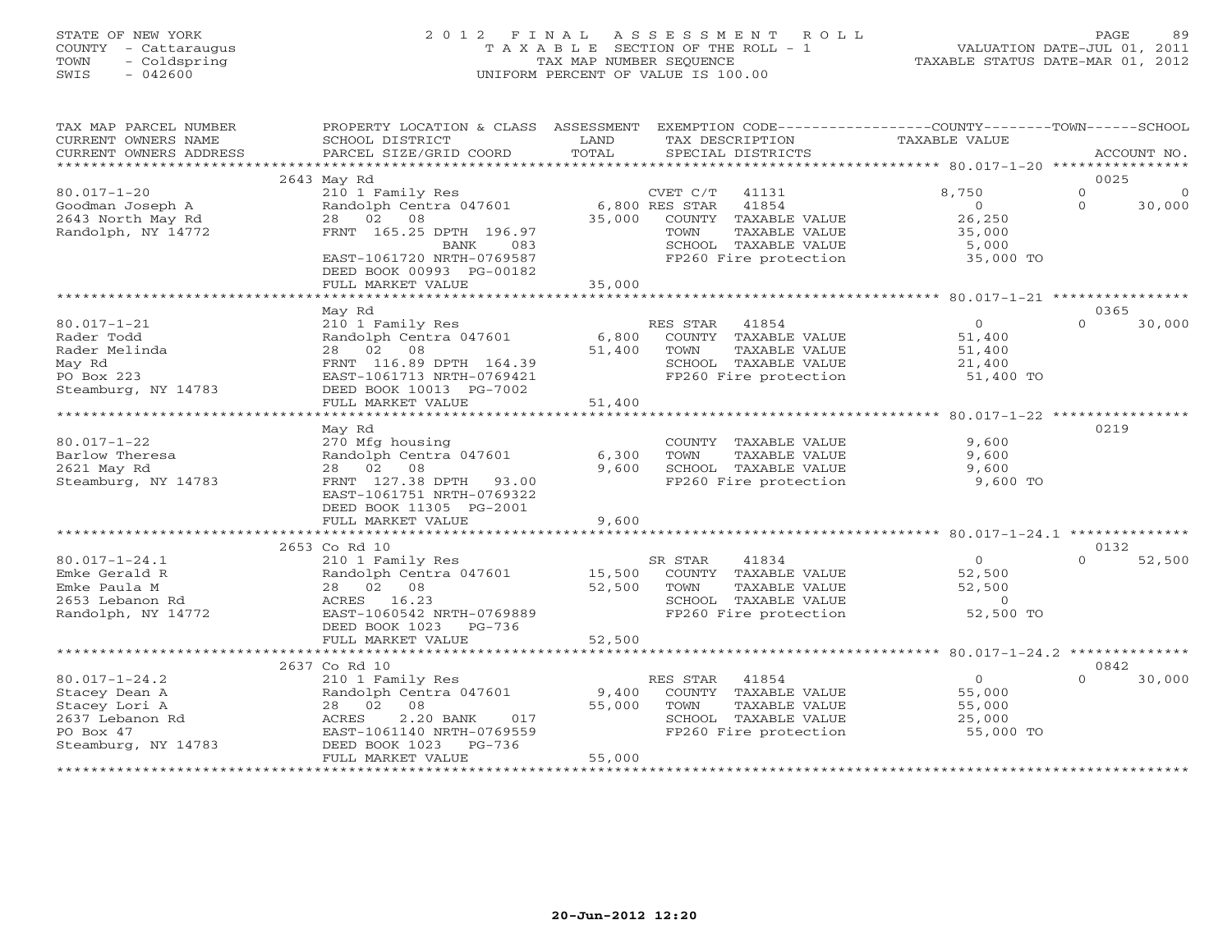# STATE OF NEW YORK 2 0 1 2 F I N A L A S S E S S M E N T R O L L PAGE 89 COUNTY - Cattaraugus T A X A B L E SECTION OF THE ROLL - 1 VALUATION DATE-JUL 01, 2011 TOWN - Coldspring TAX MAP NUMBER SEQUENCE TAXABLE STATUS DATE-MAR 01, 2012 SWIS - 042600 UNIFORM PERCENT OF VALUE IS 100.00UNIFORM PERCENT OF VALUE IS 100.00

| TAX MAP PARCEL NUMBER   | PROPERTY LOCATION & CLASS ASSESSMENT |                |                         | EXEMPTION CODE-----------------COUNTY-------TOWN------SCHOOL |                     |
|-------------------------|--------------------------------------|----------------|-------------------------|--------------------------------------------------------------|---------------------|
| CURRENT OWNERS NAME     | SCHOOL DISTRICT                      | LAND           | TAX DESCRIPTION         | TAXABLE VALUE                                                |                     |
| CURRENT OWNERS ADDRESS  | PARCEL SIZE/GRID COORD               | TOTAL          | SPECIAL DISTRICTS       |                                                              | ACCOUNT NO.         |
| *********************** |                                      |                |                         |                                                              |                     |
|                         | 2643 May Rd                          |                |                         |                                                              | 0025                |
| $80.017 - 1 - 20$       | 210 1 Family Res                     |                | CVET C/T<br>41131       | 8,750                                                        | $\circ$<br>$\Omega$ |
| Goodman Joseph A        | Randolph Centra 047601               |                | 6,800 RES STAR<br>41854 | $\Omega$                                                     | $\Omega$<br>30,000  |
| 2643 North May Rd       | 28 02 08                             | 35,000         | COUNTY TAXABLE VALUE    | 26,250                                                       |                     |
| Randolph, NY 14772      | FRNT 165.25 DPTH 196.97              |                | TOWN<br>TAXABLE VALUE   | 35,000                                                       |                     |
|                         | 083<br>BANK                          |                | SCHOOL TAXABLE VALUE    | 5,000                                                        |                     |
|                         | EAST-1061720 NRTH-0769587            |                | FP260 Fire protection   | 35,000 TO                                                    |                     |
|                         | DEED BOOK 00993 PG-00182             |                |                         |                                                              |                     |
|                         | FULL MARKET VALUE                    | 35,000         |                         |                                                              |                     |
|                         | ****************************         | ************** |                         |                                                              |                     |
|                         | May Rd                               |                |                         |                                                              | 0365                |
| $80.017 - 1 - 21$       | 210 1 Family Res                     |                | RES STAR<br>41854       | $\overline{0}$                                               | $\Omega$<br>30,000  |
| Rader Todd              | Randolph Centra 047601               | 6,800          | COUNTY TAXABLE VALUE    | 51,400                                                       |                     |
| Rader Melinda           | 28 02 08                             | 51,400         | TOWN<br>TAXABLE VALUE   |                                                              |                     |
|                         | FRNT 116.89 DPTH 164.39              |                | SCHOOL TAXABLE VALUE    | 51,400<br>21,400                                             |                     |
| May Rd                  |                                      |                |                         |                                                              |                     |
| PO Box 223              | EAST-1061713 NRTH-0769421            |                | FP260 Fire protection   | 51,400 TO                                                    |                     |
| Steamburg, NY 14783     | DEED BOOK 10013 PG-7002              |                |                         |                                                              |                     |
|                         | FULL MARKET VALUE                    | 51,400         |                         |                                                              |                     |
|                         |                                      |                |                         |                                                              |                     |
|                         | May Rd                               |                |                         |                                                              | 0219                |
| $80.017 - 1 - 22$       | 270 Mfg housing                      |                | COUNTY TAXABLE VALUE    | 9,600                                                        |                     |
| Barlow Theresa          | Randolph Centra 047601               | 6,300          | TAXABLE VALUE<br>TOWN   | 9,600                                                        |                     |
| 2621 May Rd             | 28  02  08                           | 9,600          | SCHOOL TAXABLE VALUE    | 9,600                                                        |                     |
| Steamburg, NY 14783     | FRNT 127.38 DPTH<br>93.00            |                | FP260 Fire protection   | 9,600 TO                                                     |                     |
|                         | EAST-1061751 NRTH-0769322            |                |                         |                                                              |                     |
|                         | DEED BOOK 11305 PG-2001              |                |                         |                                                              |                     |
|                         | FULL MARKET VALUE                    | 9,600          |                         |                                                              |                     |
|                         |                                      |                |                         |                                                              |                     |
|                         | 2653 Co Rd 10                        |                |                         |                                                              | 0132                |
| $80.017 - 1 - 24.1$     | 210 1 Family Res                     |                | SR STAR<br>41834        | 0                                                            | $\cap$<br>52,500    |
| Emke Gerald R           | Randolph Centra 047601               | 15,500         | COUNTY TAXABLE VALUE    | 52,500                                                       |                     |
| Emke Paula M            | 28  02  08                           | 52,500         | TAXABLE VALUE<br>TOWN   | 52,500                                                       |                     |
| 2653 Lebanon Rd         | ACRES 16.23                          |                | SCHOOL TAXABLE VALUE    | $\Omega$                                                     |                     |
| Randolph, NY 14772      | EAST-1060542 NRTH-0769889            |                | FP260 Fire protection   | 52,500 TO                                                    |                     |
|                         | DEED BOOK 1023<br>PG-736             |                |                         |                                                              |                     |
|                         | FULL MARKET VALUE                    | 52,500         |                         |                                                              |                     |
|                         |                                      |                |                         |                                                              |                     |
|                         | 2637 Co Rd 10                        |                |                         |                                                              | 0842                |
| $80.017 - 1 - 24.2$     | 210 1 Family Res                     |                | RES STAR<br>41854       | $\overline{0}$                                               | $\Omega$<br>30,000  |
| Stacey Dean A           | Randolph Centra 047601               | 9,400          | COUNTY TAXABLE VALUE    | 55,000                                                       |                     |
| Stacey Lori A           | 28  02  08                           | 55,000         | TOWN<br>TAXABLE VALUE   | 55,000                                                       |                     |
| 2637 Lebanon Rd         | 2.20 BANK<br>017<br>ACRES            |                | SCHOOL TAXABLE VALUE    | 25,000                                                       |                     |
| PO Box 47               | EAST-1061140 NRTH-0769559            |                | FP260 Fire protection   | 55,000 TO                                                    |                     |
| Steamburg, NY 14783     | DEED BOOK 1023<br>PG-736             |                |                         |                                                              |                     |
|                         | FULL MARKET VALUE                    | 55,000         |                         |                                                              |                     |
|                         |                                      |                |                         |                                                              |                     |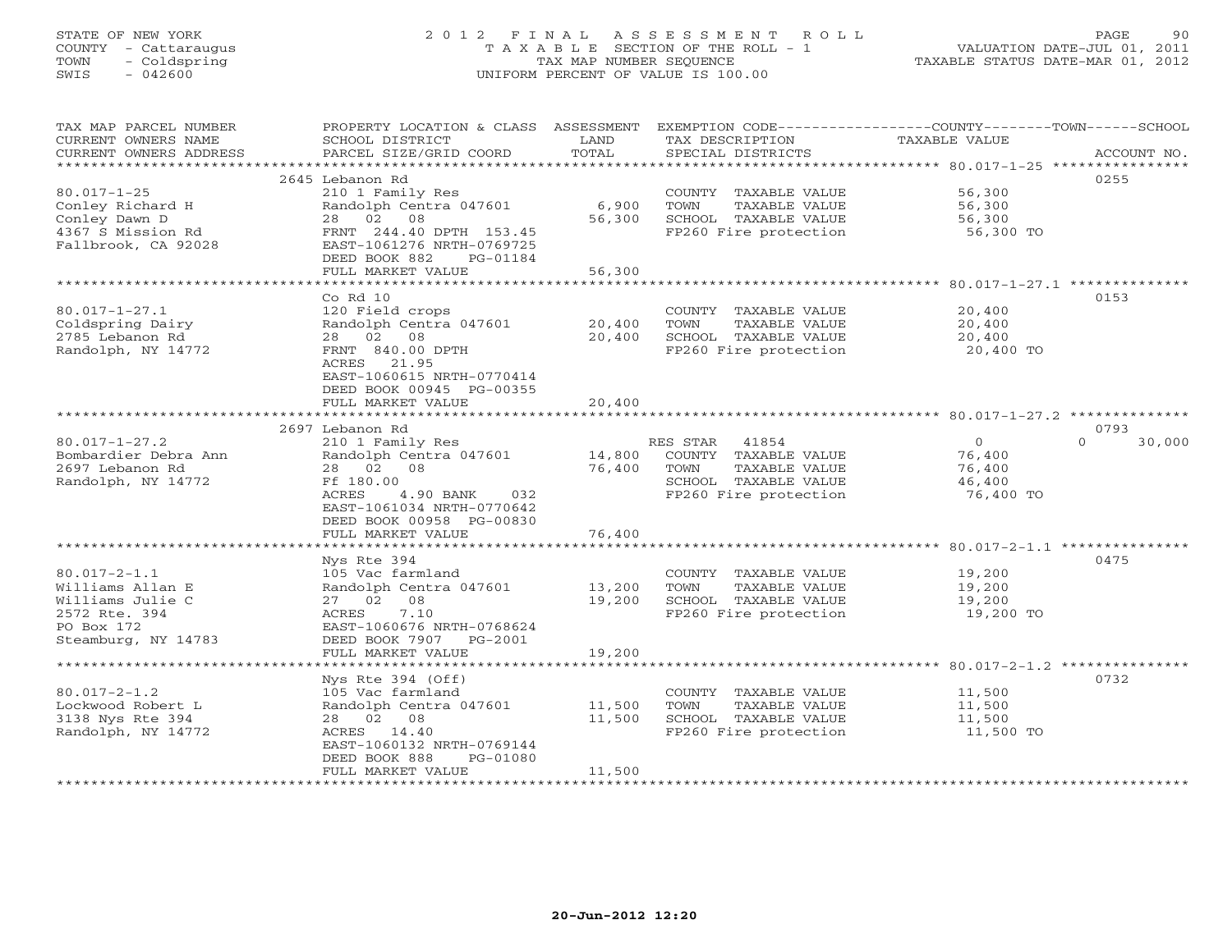# STATE OF NEW YORK 2 0 1 2 F I N A L A S S E S S M E N T R O L L PAGE 90 COUNTY - Cattaraugus T A X A B L E SECTION OF THE ROLL - 1 VALUATION DATE-JUL 01, 2011 TOWN - Coldspring TAX MAP NUMBER SEQUENCE TAXABLE STATUS DATE-MAR 01, 2012 SWIS - 042600 UNIFORM PERCENT OF VALUE IS 100.00UNIFORM PERCENT OF VALUE IS 100.00

| TAX MAP PARCEL NUMBER<br>CURRENT OWNERS NAME                                                                     | PROPERTY LOCATION & CLASS ASSESSMENT<br>SCHOOL DISTRICT                                                                                             | LAND                       | EXEMPTION CODE----------------COUNTY-------TOWN------SCHOOL<br>TAX DESCRIPTION                 | <b>TAXABLE VALUE</b>                                |                    |
|------------------------------------------------------------------------------------------------------------------|-----------------------------------------------------------------------------------------------------------------------------------------------------|----------------------------|------------------------------------------------------------------------------------------------|-----------------------------------------------------|--------------------|
| CURRENT OWNERS ADDRESS<br>*******************                                                                    | PARCEL SIZE/GRID COORD                                                                                                                              | TOTAL                      | SPECIAL DISTRICTS                                                                              |                                                     | ACCOUNT NO.        |
|                                                                                                                  | 2645 Lebanon Rd                                                                                                                                     |                            |                                                                                                |                                                     | 0255               |
| $80.017 - 1 - 25$<br>Conley Richard H<br>Conley Dawn D                                                           | 210 1 Family Res<br>Randolph Centra 047601<br>28  02  08                                                                                            | 6,900<br>56,300            | COUNTY TAXABLE VALUE<br>TOWN<br>TAXABLE VALUE<br>SCHOOL TAXABLE VALUE                          | 56,300<br>56,300<br>56,300                          |                    |
| 4367 S Mission Rd<br>Fallbrook, CA 92028                                                                         | FRNT 244.40 DPTH 153.45<br>EAST-1061276 NRTH-0769725<br>DEED BOOK 882<br>PG-01184                                                                   |                            | FP260 Fire protection                                                                          | 56,300 TO                                           |                    |
|                                                                                                                  | FULL MARKET VALUE<br>********************                                                                                                           | 56,300                     |                                                                                                |                                                     |                    |
|                                                                                                                  | $Co$ $Rd$ $10$                                                                                                                                      |                            |                                                                                                |                                                     | 0153               |
| $80.017 - 1 - 27.1$<br>Coldspring Dairy<br>2785 Lebanon Rd<br>Randolph, NY 14772                                 | 120 Field crops<br>Randolph Centra 047601<br>28 02 08<br>FRNT 840.00 DPTH<br>ACRES 21.95<br>EAST-1060615 NRTH-0770414<br>DEED BOOK 00945 PG-00355   | 20,400<br>20,400           | COUNTY TAXABLE VALUE<br>TOWN<br>TAXABLE VALUE<br>SCHOOL TAXABLE VALUE<br>FP260 Fire protection | 20,400<br>20,400<br>20,400<br>20,400 TO             |                    |
|                                                                                                                  | FULL MARKET VALUE                                                                                                                                   | 20,400                     |                                                                                                |                                                     |                    |
|                                                                                                                  | 2697 Lebanon Rd                                                                                                                                     |                            |                                                                                                |                                                     | 0793               |
| $80.017 - 1 - 27.2$                                                                                              | 210 1 Family Res                                                                                                                                    |                            | 41854<br>RES STAR                                                                              | $\Omega$                                            | 30,000<br>$\Omega$ |
| Bombardier Debra Ann<br>2697 Lebanon Rd<br>Randolph, NY 14772                                                    | Randolph Centra 047601<br>28 02 08<br>Ff 180.00<br>4.90 BANK<br>ACRES<br>032<br>EAST-1061034 NRTH-0770642<br>DEED BOOK 00958 PG-00830               | 14,800<br>76,400           | COUNTY TAXABLE VALUE<br>TOWN<br>TAXABLE VALUE<br>SCHOOL TAXABLE VALUE<br>FP260 Fire protection | 76,400<br>76,400<br>46,400<br>76,400 TO             |                    |
|                                                                                                                  | FULL MARKET VALUE                                                                                                                                   | 76,400                     |                                                                                                |                                                     |                    |
|                                                                                                                  | Nys Rte 394                                                                                                                                         |                            |                                                                                                |                                                     | 0475               |
| $80.017 - 2 - 1.1$<br>Williams Allan E<br>Williams Julie C<br>2572 Rte. 394<br>PO Box 172<br>Steamburg, NY 14783 | 105 Vac farmland<br>Randolph Centra 047601<br>27 02 08<br>7.10<br>ACRES<br>EAST-1060676 NRTH-0768624<br>DEED BOOK 7907 PG-2001<br>FULL MARKET VALUE | 13,200<br>19,200<br>19,200 | COUNTY TAXABLE VALUE<br>TOWN<br>TAXABLE VALUE<br>SCHOOL TAXABLE VALUE<br>FP260 Fire protection | 19,200<br>19,200<br>19,200<br>19,200 TO             |                    |
|                                                                                                                  |                                                                                                                                                     | ********                   |                                                                                                | ********************* 80.017-2-1.2 **************** |                    |
| $80.017 - 2 - 1.2$<br>Lockwood Robert L                                                                          | Nys Rte 394 (Off)<br>105 Vac farmland<br>Randolph Centra 047601                                                                                     | 11,500                     | COUNTY TAXABLE VALUE<br>TOWN<br>TAXABLE VALUE                                                  | 11,500<br>11,500                                    | 0732               |
| 3138 Nys Rte 394<br>Randolph, NY 14772                                                                           | 28 02 08<br>ACRES 14.40<br>EAST-1060132 NRTH-0769144<br>DEED BOOK 888<br>PG-01080                                                                   | 11,500                     | SCHOOL TAXABLE VALUE<br>FP260 Fire protection                                                  | 11,500<br>11,500 TO                                 |                    |
|                                                                                                                  | FULL MARKET VALUE                                                                                                                                   | 11,500                     |                                                                                                |                                                     |                    |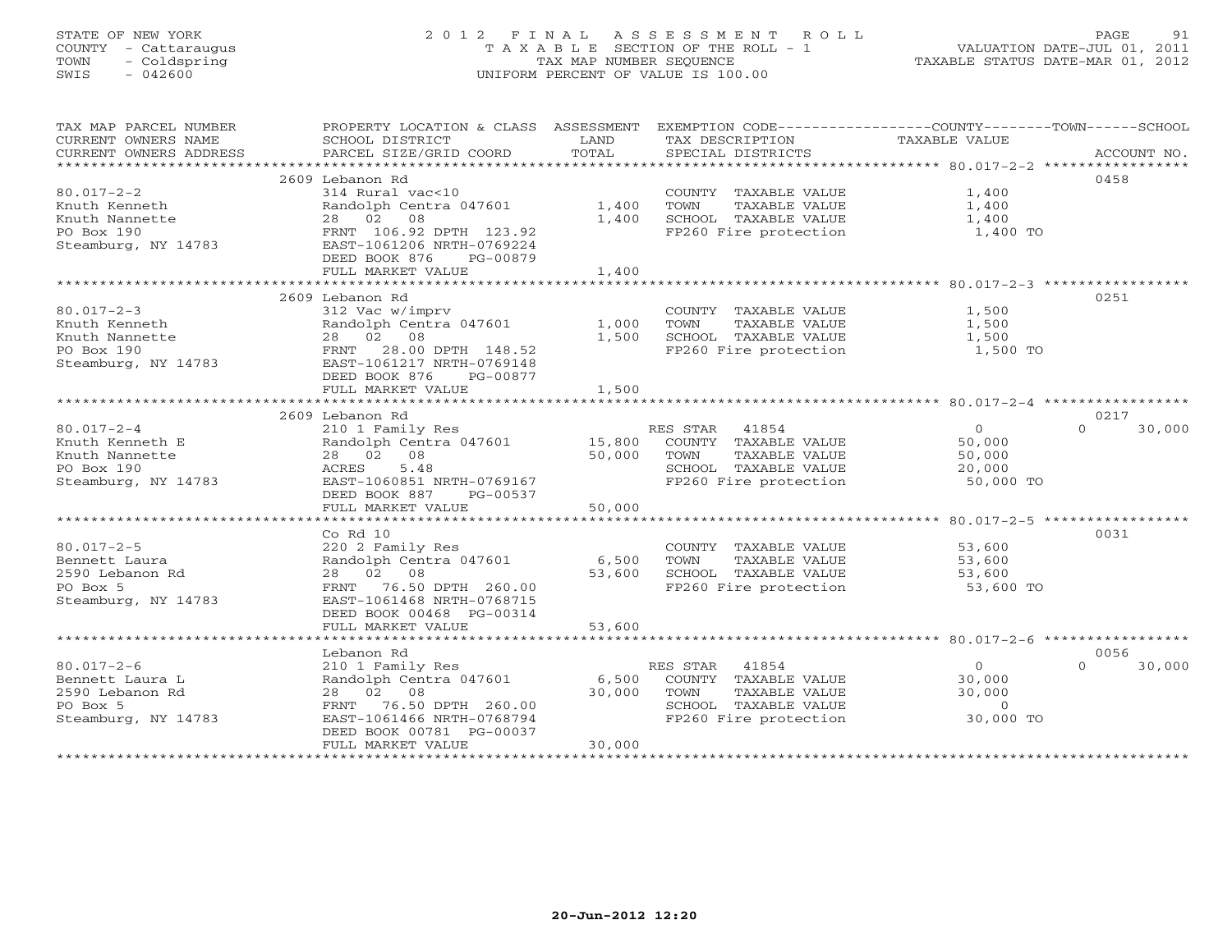# STATE OF NEW YORK 2 0 1 2 F I N A L A S S E S S M E N T R O L L PAGE 91 COUNTY - Cattaraugus T A X A B L E SECTION OF THE ROLL - 1 VALUATION DATE-JUL 01, 2011 TOWN - Coldspring TAX MAP NUMBER SEQUENCE TAXABLE STATUS DATE-MAR 01, 2012 SWIS - 042600 UNIFORM PERCENT OF VALUE IS 100.00UNIFORM PERCENT OF VALUE IS 100.00

| TAX MAP PARCEL NUMBER           | PROPERTY LOCATION & CLASS ASSESSMENT EXEMPTION CODE---------------COUNTY-------TOWN------SCHOOL |        |                                               |                |                    |
|---------------------------------|-------------------------------------------------------------------------------------------------|--------|-----------------------------------------------|----------------|--------------------|
| CURRENT OWNERS NAME             | SCHOOL DISTRICT                                                                                 | LAND   | TAX DESCRIPTION                               | TAXABLE VALUE  |                    |
| CURRENT OWNERS ADDRESS          | PARCEL SIZE/GRID COORD                                                                          | TOTAL  |                                               |                |                    |
|                                 |                                                                                                 |        |                                               |                |                    |
|                                 | 2609 Lebanon Rd                                                                                 |        |                                               |                | 0458               |
| $80.017 - 2 - 2$                | 314 Rural vac<10                                                                                |        | COUNTY TAXABLE VALUE                          | 1,400          |                    |
| Knuth Kenneth                   | Randolph Centra 047601                                                                          | 1,400  | TOWN<br>TAXABLE VALUE                         | 1,400          |                    |
| Knuth Nannette                  | 28 02 08                                                                                        | 1,400  | SCHOOL TAXABLE VALUE                          | 1,400          |                    |
| PO Box 190                      | FRNT 106.92 DPTH 123.92                                                                         |        | FP260 Fire protection 1,400 TO                |                |                    |
| Steamburg, NY 14783             | EAST-1061206 NRTH-0769224                                                                       |        |                                               |                |                    |
|                                 | DEED BOOK 876<br>PG-00879                                                                       |        |                                               |                |                    |
|                                 | FULL MARKET VALUE                                                                               | 1,400  |                                               |                |                    |
|                                 |                                                                                                 |        |                                               |                |                    |
| $80.017 - 2 - 3$                | 2609 Lebanon Rd                                                                                 |        |                                               | 1,500          | 0251               |
|                                 | 312 Vac w/imprv<br>Randolph Centra 047601                                                       | 1,000  | COUNTY TAXABLE VALUE<br>TOWN                  | 1,500          |                    |
| Knuth Kenneth<br>Knuth Nannette | 28 02 08                                                                                        | 1,500  | TAXABLE VALUE<br>SCHOOL TAXABLE VALUE         | 1,500          |                    |
| PO Box 190                      | FRNT 28.00 DPTH 148.52                                                                          |        | FP260 Fire protection                         | 1,500 TO       |                    |
| Steamburg, NY 14783             | EAST-1061217 NRTH-0769148                                                                       |        |                                               |                |                    |
|                                 | DEED BOOK 876<br>PG-00877                                                                       |        |                                               |                |                    |
|                                 | FULL MARKET VALUE                                                                               | 1,500  |                                               |                |                    |
|                                 |                                                                                                 |        |                                               |                |                    |
|                                 | 2609 Lebanon Rd                                                                                 |        |                                               |                | 0217               |
| $80.017 - 2 - 4$                | 210 1 Family Res                                                                                |        | RES STAR 41854                                | $\overline{0}$ | 30,000<br>$\Omega$ |
| Knuth Kenneth E                 | Randolph Centra 047601 15,800                                                                   |        | COUNTY TAXABLE VALUE                          | 50,000         |                    |
| Knuth Nannette                  | 28 02 08                                                                                        | 50,000 | TAXABLE VALUE<br>TOWN                         | 50,000         |                    |
| PO Box 190                      | 5.48<br>ACRES                                                                                   |        | SCHOOL TAXABLE VALUE                          | 20,000         |                    |
| Steamburg, NY 14783             | EAST-1060851 NRTH-0769167                                                                       |        | FP260 Fire protection 50,000 TO               |                |                    |
|                                 | DEED BOOK 887 PG-00537                                                                          |        |                                               |                |                    |
|                                 | FULL MARKET VALUE                                                                               | 50,000 |                                               |                |                    |
|                                 |                                                                                                 |        |                                               |                |                    |
|                                 | $Co$ Rd $10$                                                                                    |        |                                               |                | 0031               |
| $80.017 - 2 - 5$                | 220 2 Family Res                                                                                |        | COUNTY TAXABLE VALUE                          | 53,600         |                    |
| Bennett Laura                   | Randolph Centra 047601 6,500                                                                    |        | TOWN<br>TAXABLE VALUE                         | 53,600         |                    |
| 2590 Lebanon Rd                 | 28 02 08                                                                                        | 53,600 | SCHOOL TAXABLE VALUE<br>FP260 Fire protection | 53,600         |                    |
| PO Box 5                        | FRNT 76.50 DPTH 260.00                                                                          |        |                                               | 53,600 TO      |                    |
| Steamburg, NY 14783             | EAST-1061468 NRTH-0768715                                                                       |        |                                               |                |                    |
|                                 | DEED BOOK 00468 PG-00314                                                                        |        |                                               |                |                    |
|                                 | FULL MARKET VALUE                                                                               | 53,600 |                                               |                |                    |
|                                 |                                                                                                 |        |                                               |                |                    |
|                                 | Lebanon Rd                                                                                      |        |                                               |                | 0056               |
| $80.017 - 2 - 6$                | 210 1 Family Res                                                                                |        | RES STAR 41854                                | $\overline{0}$ | $\Omega$<br>30,000 |
| Bennett Laura L                 | Randolph Centra 047601 6,500                                                                    |        | COUNTY TAXABLE VALUE                          | 30,000         |                    |
| 2590 Lebanon Rd                 | 28 02 08                                                                                        | 30,000 | TOWN<br>TAXABLE VALUE                         | 30,000         |                    |
| PO Box 5                        | FRNT 76.50 DPTH 260.00                                                                          |        | SCHOOL TAXABLE VALUE                          | $\overline{0}$ |                    |
| Steamburg, NY 14783             | EAST-1061466 NRTH-0768794                                                                       |        | FP260 Fire protection                         | 30,000 TO      |                    |
|                                 | DEED BOOK 00781 PG-00037                                                                        | 30,000 |                                               |                |                    |
|                                 | FULL MARKET VALUE                                                                               |        |                                               |                |                    |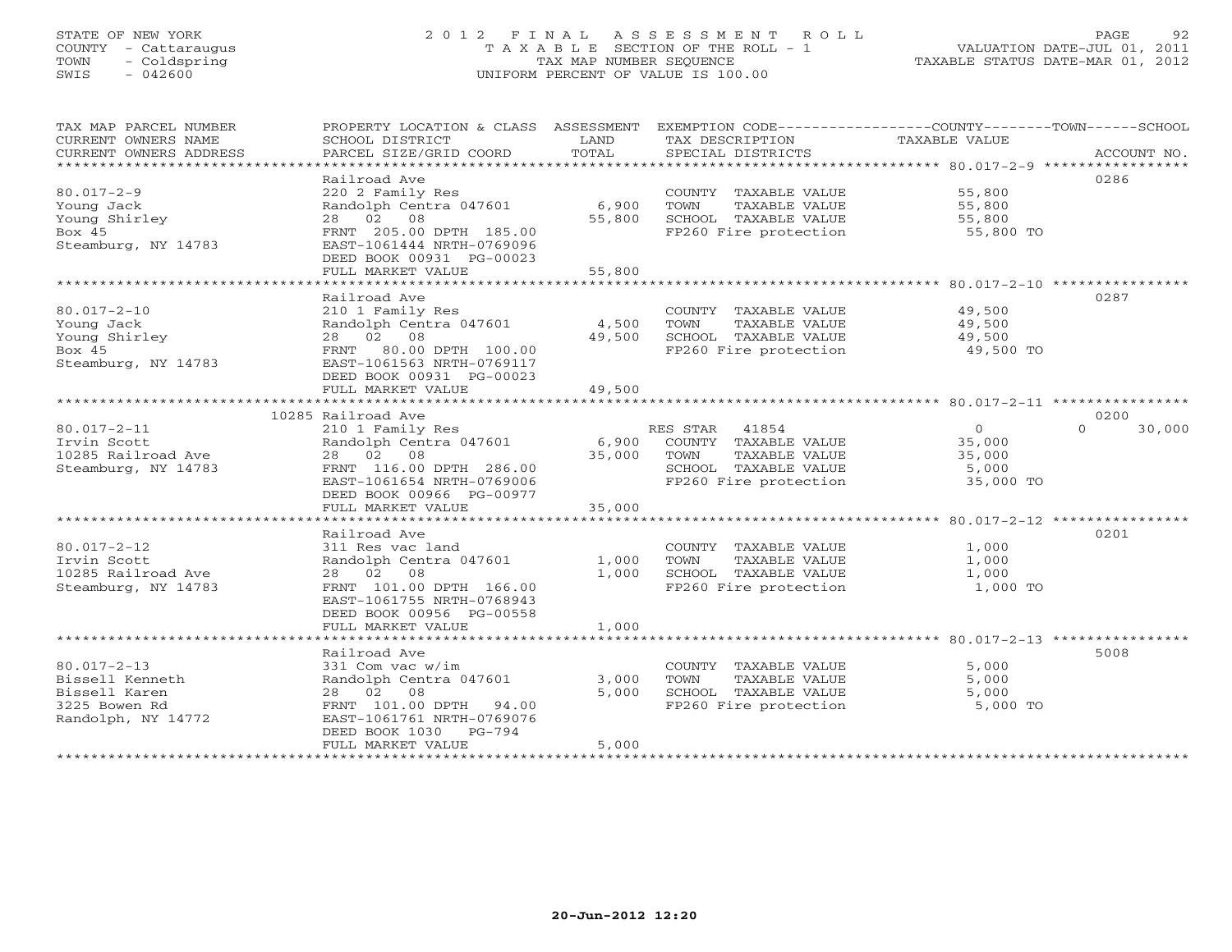# STATE OF NEW YORK 2 0 1 2 F I N A L A S S E S S M E N T R O L L PAGE 92 COUNTY - Cattaraugus T A X A B L E SECTION OF THE ROLL - 1 VALUATION DATE-JUL 01, 2011 TOWN - Coldspring TAX MAP NUMBER SEQUENCE TAXABLE STATUS DATE-MAR 01, 2012 SWIS - 042600 UNIFORM PERCENT OF VALUE IS 100.00UNIFORM PERCENT OF VALUE IS 100.00

| 0286<br>Railroad Ave<br>220 2 Family Res<br>$80.017 - 2 - 9$<br>COUNTY TAXABLE VALUE<br>55,800<br>Young Jack<br>Randolph Centra 047601<br>6,900<br>TOWN<br>TAXABLE VALUE<br>55,800<br>Young Shirley<br>28 02 08<br>55,800<br>SCHOOL TAXABLE VALUE<br>55,800<br>Box 45<br>FRNT 205.00 DPTH 185.00<br>FP260 Fire protection<br>55,800 TO<br>Steamburg, NY 14783<br>EAST-1061444 NRTH-0769096<br>DEED BOOK 00931 PG-00023<br>55,800<br>FULL MARKET VALUE<br>0287<br>Railroad Ave<br>$80.017 - 2 - 10$<br>210 1 Family Res<br>COUNTY TAXABLE VALUE<br>49,500<br>Young Jack<br>Randolph Centra 047601<br>4,500<br>TOWN<br>TAXABLE VALUE<br>49,500<br>Young Shirley<br>28 02 08<br>49,500<br>SCHOOL TAXABLE VALUE<br>49,500<br>Bo $\times$ 45<br>FRNT 80.00 DPTH 100.00<br>FP260 Fire protection<br>49,500 TO<br>Steamburg, NY 14783<br>EAST-1061563 NRTH-0769117<br>DEED BOOK 00931 PG-00023<br>FULL MARKET VALUE<br>49,500<br>10285 Railroad Ave<br>0200 | EXEMPTION CODE-----------------COUNTY-------TOWN------SCHOOL<br>ACCOUNT NO. |
|------------------------------------------------------------------------------------------------------------------------------------------------------------------------------------------------------------------------------------------------------------------------------------------------------------------------------------------------------------------------------------------------------------------------------------------------------------------------------------------------------------------------------------------------------------------------------------------------------------------------------------------------------------------------------------------------------------------------------------------------------------------------------------------------------------------------------------------------------------------------------------------------------------------------------------------------------|-----------------------------------------------------------------------------|
|                                                                                                                                                                                                                                                                                                                                                                                                                                                                                                                                                                                                                                                                                                                                                                                                                                                                                                                                                      |                                                                             |
|                                                                                                                                                                                                                                                                                                                                                                                                                                                                                                                                                                                                                                                                                                                                                                                                                                                                                                                                                      |                                                                             |
|                                                                                                                                                                                                                                                                                                                                                                                                                                                                                                                                                                                                                                                                                                                                                                                                                                                                                                                                                      |                                                                             |
| $80.017 - 2 - 11$<br>210 1 Family Res<br>RES STAR 41854<br>$\overline{0}$<br>$\Omega$<br>COUNTY TAXABLE VALUE<br>Irvin Scott<br>Randolph Centra 047601<br>6,900<br>35,000<br>10285 Railroad Ave<br>28 02 08<br>35,000<br>TOWN<br>TAXABLE VALUE<br>35,000<br>Steamburg, NY 14783<br>SCHOOL TAXABLE VALUE<br>FRNT 116.00 DPTH 286.00<br>5,000<br>EAST-1061654 NRTH-0769006<br>FP260 Fire protection<br>35,000 TO<br>DEED BOOK 00966 PG-00977                                                                                                                                                                                                                                                                                                                                                                                                                                                                                                           | 30,000                                                                      |
| FULL MARKET VALUE<br>35,000                                                                                                                                                                                                                                                                                                                                                                                                                                                                                                                                                                                                                                                                                                                                                                                                                                                                                                                          |                                                                             |
| ***************************<br>0201<br>Railroad Ave<br>$80.017 - 2 - 12$<br>311 Res vac land<br>1,000<br>COUNTY TAXABLE VALUE<br>Irvin Scott<br>Randolph Centra 047601<br>1,000<br>TOWN<br>TAXABLE VALUE<br>1,000<br>10285 Railroad Ave<br>28 02<br>08<br>1,000<br>SCHOOL TAXABLE VALUE<br>1,000<br>Steamburg, NY 14783<br>FRNT 101.00 DPTH 166.00<br>FP260 Fire protection<br>1,000 TO<br>EAST-1061755 NRTH-0768943<br>DEED BOOK 00956 PG-00558                                                                                                                                                                                                                                                                                                                                                                                                                                                                                                     |                                                                             |
| FULL MARKET VALUE<br>1,000                                                                                                                                                                                                                                                                                                                                                                                                                                                                                                                                                                                                                                                                                                                                                                                                                                                                                                                           |                                                                             |
| 5008<br>Railroad Ave<br>$80.017 - 2 - 13$<br>331 Com vac w/im<br>5,000<br>COUNTY TAXABLE VALUE<br>Bissell Kenneth<br>Randolph Centra 047601<br>3,000<br>TOWN<br>TAXABLE VALUE<br>5,000<br>Bissell Karen<br>08<br>SCHOOL TAXABLE VALUE<br>28 02<br>5,000<br>5,000<br>3225 Bowen Rd<br>FRNT 101.00 DPTH<br>FP260 Fire protection<br>5,000 TO<br>94.00<br>Randolph, NY 14772<br>EAST-1061761 NRTH-0769076<br>DEED BOOK 1030<br>PG-794<br>FULL MARKET VALUE<br>5,000                                                                                                                                                                                                                                                                                                                                                                                                                                                                                     |                                                                             |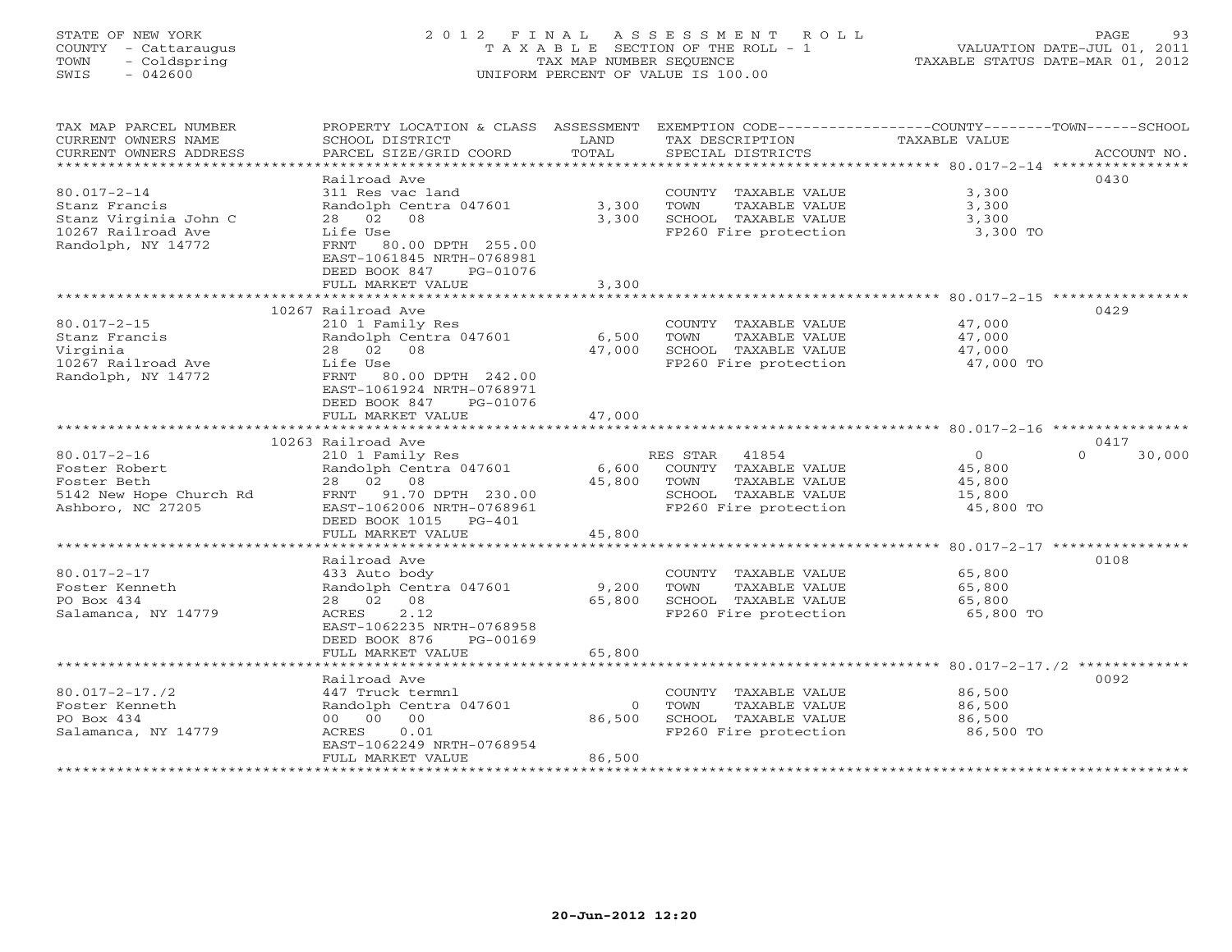# STATE OF NEW YORK 2 0 1 2 F I N A L A S S E S S M E N T R O L L PAGE 93 COUNTY - Cattaraugus T A X A B L E SECTION OF THE ROLL - 1 VALUATION DATE-JUL 01, 2011 TOWN - Coldspring TAX MAP NUMBER SEQUENCE TAXABLE STATUS DATE-MAR 01, 2012 SWIS - 042600 UNIFORM PERCENT OF VALUE IS 100.00UNIFORM PERCENT OF VALUE IS 100.00

| TAX MAP PARCEL NUMBER<br>CURRENT OWNERS NAME<br>CURRENT OWNERS ADDRESS | PROPERTY LOCATION & CLASS ASSESSMENT<br>SCHOOL DISTRICT<br>PARCEL SIZE/GRID COORD                                    | LAND<br>TOTAL      | EXEMPTION CODE-----------------COUNTY-------TOWN------SCHOOL<br>TAX DESCRIPTION<br>SPECIAL DISTRICTS | <b>TAXABLE VALUE</b> | ACCOUNT NO.                               |
|------------------------------------------------------------------------|----------------------------------------------------------------------------------------------------------------------|--------------------|------------------------------------------------------------------------------------------------------|----------------------|-------------------------------------------|
| ************************                                               |                                                                                                                      |                    |                                                                                                      |                      |                                           |
|                                                                        | Railroad Ave                                                                                                         |                    |                                                                                                      |                      | 0430                                      |
| $80.017 - 2 - 14$                                                      | 311 Res vac land                                                                                                     |                    | COUNTY TAXABLE VALUE                                                                                 | 3,300                |                                           |
| Stanz Francis                                                          | Randolph Centra 047601                                                                                               | 3,300              | TOWN<br>TAXABLE VALUE                                                                                | 3,300                |                                           |
| Stanz Virginia John C                                                  | 28 02<br>08                                                                                                          | 3,300              | SCHOOL TAXABLE VALUE                                                                                 | 3,300                |                                           |
| 10267 Railroad Ave<br>Randolph, NY 14772                               | Life Use<br>80.00 DPTH 255.00<br>FRNT<br>EAST-1061845 NRTH-0768981<br>DEED BOOK 847<br>PG-01076<br>FULL MARKET VALUE | 3,300              | FP260 Fire protection                                                                                | 3,300 TO             |                                           |
|                                                                        | ************************                                                                                             |                    |                                                                                                      |                      |                                           |
|                                                                        | 10267 Railroad Ave                                                                                                   |                    |                                                                                                      |                      | 0429                                      |
| $80.017 - 2 - 15$                                                      | 210 1 Family Res                                                                                                     |                    | COUNTY TAXABLE VALUE                                                                                 | 47,000               |                                           |
| Stanz Francis                                                          | Randolph Centra 047601                                                                                               | 6,500              | TOWN<br>TAXABLE VALUE                                                                                | 47,000               |                                           |
| Virginia                                                               | 28 02 08                                                                                                             | 47,000             | SCHOOL TAXABLE VALUE                                                                                 | 47,000               |                                           |
| 10267 Railroad Ave                                                     | Life Use                                                                                                             |                    | FP260 Fire protection                                                                                | 47,000 TO            |                                           |
| Randolph, NY 14772                                                     | FRNT<br>80.00 DPTH 242.00<br>EAST-1061924 NRTH-0768971<br>DEED BOOK 847<br>PG-01076                                  | 47,000             |                                                                                                      |                      |                                           |
|                                                                        | FULL MARKET VALUE                                                                                                    |                    |                                                                                                      |                      |                                           |
|                                                                        | 10263 Railroad Ave                                                                                                   |                    |                                                                                                      |                      | 0417                                      |
| $80.017 - 2 - 16$                                                      | 210 1 Family Res                                                                                                     |                    | RES STAR 41854                                                                                       | $\overline{O}$       | $\Omega$<br>30,000                        |
| Foster Robert                                                          | Randolph Centra 047601                                                                                               | 6,600              | COUNTY TAXABLE VALUE                                                                                 | 45,800               |                                           |
| Foster Beth                                                            | 28 02 08                                                                                                             | 45,800             | TOWN<br>TAXABLE VALUE                                                                                | 45,800               |                                           |
| 5142 New Hope Church Rd                                                | FRNT 91.70 DPTH 230.00                                                                                               |                    | SCHOOL TAXABLE VALUE                                                                                 | 15,800               |                                           |
| Ashboro, NC 27205                                                      | EAST-1062006 NRTH-0768961<br>DEED BOOK 1015<br>$PG-401$                                                              |                    | FP260 Fire protection                                                                                | 45,800 TO            |                                           |
|                                                                        | FULL MARKET VALUE<br>******************                                                                              | 45,800<br>******** |                                                                                                      |                      |                                           |
|                                                                        |                                                                                                                      |                    |                                                                                                      |                      | $80.017 - 2 - 17$ ***************<br>0108 |
| $80.017 - 2 - 17$                                                      | Railroad Ave<br>433 Auto body                                                                                        |                    | COUNTY TAXABLE VALUE                                                                                 | 65,800               |                                           |
| Foster Kenneth                                                         | Randolph Centra 047601                                                                                               | 9,200              | TOWN<br>TAXABLE VALUE                                                                                | 65,800               |                                           |
| PO Box 434                                                             | 08<br>28 02                                                                                                          | 65,800             | SCHOOL TAXABLE VALUE                                                                                 | 65,800               |                                           |
| Salamanca, NY 14779                                                    | 2.12<br>ACRES                                                                                                        |                    | FP260 Fire protection                                                                                | 65,800 TO            |                                           |
|                                                                        | EAST-1062235 NRTH-0768958                                                                                            |                    |                                                                                                      |                      |                                           |
|                                                                        | DEED BOOK 876<br>PG-00169                                                                                            |                    |                                                                                                      |                      |                                           |
|                                                                        | FULL MARKET VALUE                                                                                                    | 65,800             |                                                                                                      |                      |                                           |
|                                                                        | *******************                                                                                                  |                    | ******************************** 80.017-2-17./2 ********                                             |                      |                                           |
|                                                                        | Railroad Ave                                                                                                         |                    |                                                                                                      |                      | 0092                                      |
| $80.017 - 2 - 17.72$                                                   | 447 Truck termnl                                                                                                     |                    | COUNTY TAXABLE VALUE                                                                                 | 86,500               |                                           |
| Foster Kenneth                                                         | Randolph Centra 047601                                                                                               | $\mathbf{0}$       | TOWN<br>TAXABLE VALUE                                                                                | 86,500               |                                           |
| PO Box 434                                                             | 00 00 00                                                                                                             | 86,500             | SCHOOL TAXABLE VALUE                                                                                 | 86,500               |                                           |
| Salamanca, NY 14779                                                    | ACRES<br>0.01<br>EAST-1062249 NRTH-0768954                                                                           |                    | FP260 Fire protection                                                                                | 86,500 TO            |                                           |
| ********************                                                   | FULL MARKET VALUE                                                                                                    | 86,500             |                                                                                                      |                      |                                           |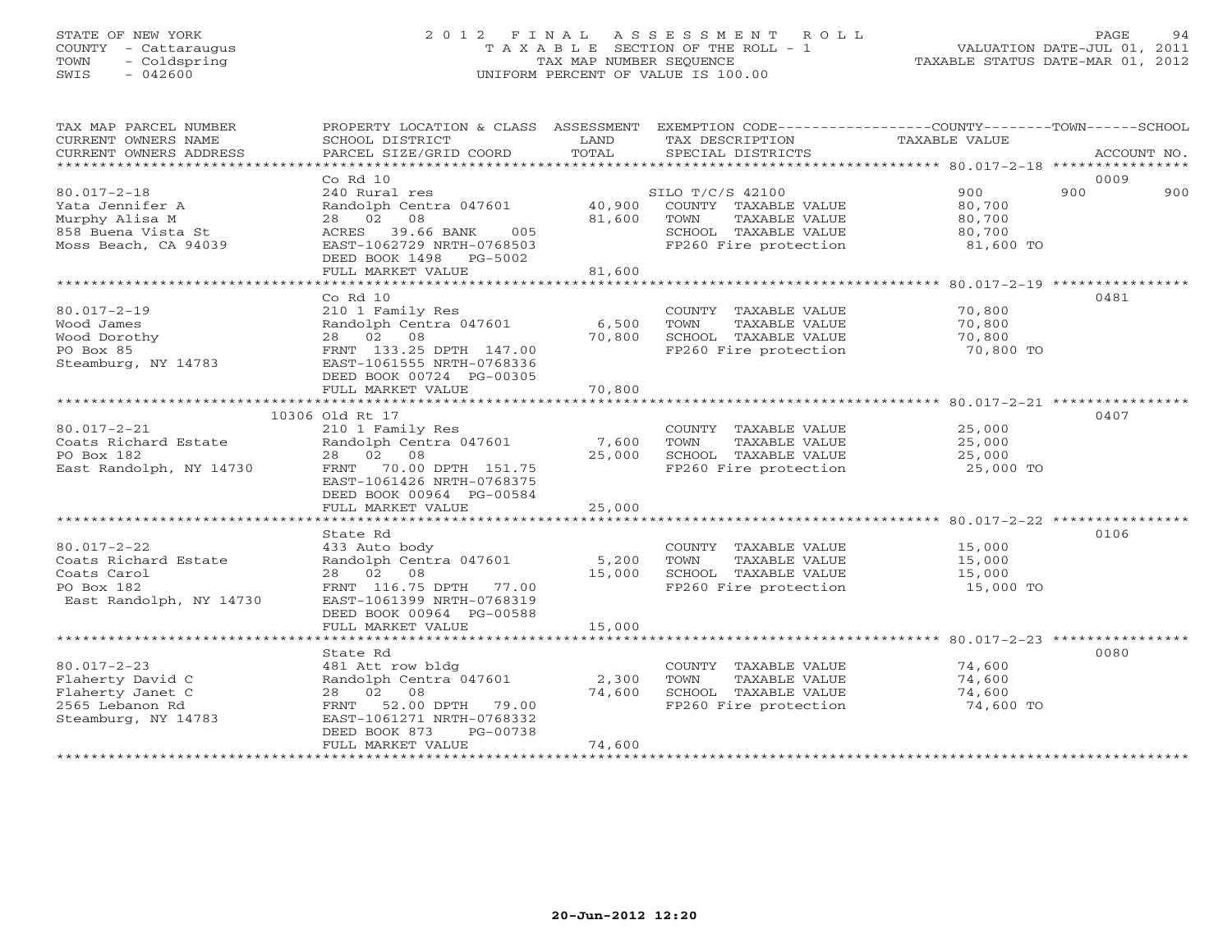# STATE OF NEW YORK 2 0 1 2 F I N A L A S S E S S M E N T R O L L PAGE 94 COUNTY - Cattaraugus T A X A B L E SECTION OF THE ROLL - 1 VALUATION DATE-JUL 01, 2011 TOWN - Coldspring TAX MAP NUMBER SEQUENCE TAXABLE STATUS DATE-MAR 01, 2012 SWIS - 042600 UNIFORM PERCENT OF VALUE IS 100.00

| TAX MAP PARCEL NUMBER<br>CURRENT OWNERS NAME<br>CURRENT OWNERS ADDRESS                               | PROPERTY LOCATION & CLASS ASSESSMENT<br>SCHOOL DISTRICT<br>PARCEL SIZE/GRID COORD                                                                                 | LAND<br>TOTAL              | EXEMPTION CODE-----------------COUNTY-------TOWN-----SCHOOL<br>TAX DESCRIPTION<br>SPECIAL DISTRICTS                | TAXABLE VALUE                                  | ACCOUNT NO. |
|------------------------------------------------------------------------------------------------------|-------------------------------------------------------------------------------------------------------------------------------------------------------------------|----------------------------|--------------------------------------------------------------------------------------------------------------------|------------------------------------------------|-------------|
|                                                                                                      | Co Rd 10                                                                                                                                                          |                            |                                                                                                                    |                                                | 0009        |
| $80.017 - 2 - 18$<br>Yata Jennifer A<br>Murphy Alisa M<br>858 Buena Vista St<br>Moss Beach, CA 94039 | 240 Rural res<br>Randolph Centra 047601<br>28 02 08<br>39.66 BANK<br>005<br>ACRES<br>EAST-1062729 NRTH-0768503<br>DEED BOOK 1498 PG-5002<br>FULL MARKET VALUE     | 40,900<br>81,600<br>81,600 | SILO T/C/S 42100<br>COUNTY TAXABLE VALUE<br>TOWN<br>TAXABLE VALUE<br>SCHOOL TAXABLE VALUE<br>FP260 Fire protection | 900<br>80,700<br>80,700<br>80,700<br>81,600 TO | 900<br>900  |
|                                                                                                      |                                                                                                                                                                   |                            |                                                                                                                    |                                                |             |
| $80.017 - 2 - 19$<br>Wood James<br>Wood Dorothy<br>PO Box 85<br>Steamburg, NY 14783                  | Co <sub>Rd</sub> 10<br>210 1 Family Res<br>Randolph Centra 047601<br>28 02 08<br>FRNT 133.25 DPTH 147.00<br>EAST-1061555 NRTH-0768336<br>DEED BOOK 00724 PG-00305 | 6,500<br>70,800            | COUNTY TAXABLE VALUE<br>TOWN<br>TAXABLE VALUE<br>SCHOOL TAXABLE VALUE<br>FP260 Fire protection                     | 70,800<br>70,800<br>70,800<br>70,800 TO        | 0481        |
|                                                                                                      | FULL MARKET VALUE                                                                                                                                                 | 70,800                     |                                                                                                                    |                                                |             |
|                                                                                                      |                                                                                                                                                                   |                            |                                                                                                                    |                                                |             |
| $80.017 - 2 - 21$                                                                                    | 10306 Old Rt 17                                                                                                                                                   |                            |                                                                                                                    | 25,000                                         | 0407        |
| Coats Richard Estate                                                                                 | 210 1 Family Res<br>Randolph Centra 047601                                                                                                                        | 7,600                      | COUNTY TAXABLE VALUE<br>TOWN<br>TAXABLE VALUE                                                                      | 25,000                                         |             |
| PO Box 182                                                                                           | 28 02 08                                                                                                                                                          | 25,000                     | SCHOOL TAXABLE VALUE                                                                                               | 25,000                                         |             |
| East Randolph, NY 14730                                                                              | FRNT 70.00 DPTH 151.75<br>EAST-1061426 NRTH-0768375<br>DEED BOOK 00964 PG-00584                                                                                   |                            | FP260 Fire protection                                                                                              | 25,000 TO                                      |             |
|                                                                                                      | FULL MARKET VALUE                                                                                                                                                 | 25,000                     |                                                                                                                    |                                                |             |
|                                                                                                      |                                                                                                                                                                   |                            |                                                                                                                    |                                                |             |
|                                                                                                      | State Rd                                                                                                                                                          |                            |                                                                                                                    |                                                | 0106        |
| $80.017 - 2 - 22$                                                                                    | 433 Auto body                                                                                                                                                     |                            | COUNTY TAXABLE VALUE                                                                                               | 15,000                                         |             |
| Coats Richard Estate<br>Coats Carol                                                                  | Randolph Centra 047601<br>28 02<br>08                                                                                                                             | 5,200<br>15,000            | TOWN<br>TAXABLE VALUE<br>SCHOOL TAXABLE VALUE                                                                      | 15,000                                         |             |
| PO Box 182                                                                                           | FRNT 116.75 DPTH 77.00                                                                                                                                            |                            | FP260 Fire protection                                                                                              | 15,000<br>15,000 TO                            |             |
| East Randolph, NY 14730                                                                              | EAST-1061399 NRTH-0768319<br>DEED BOOK 00964 PG-00588<br>FULL MARKET VALUE                                                                                        | 15,000                     |                                                                                                                    |                                                |             |
|                                                                                                      |                                                                                                                                                                   |                            |                                                                                                                    |                                                |             |
|                                                                                                      | State Rd                                                                                                                                                          |                            |                                                                                                                    |                                                | 0080        |
| $80.017 - 2 - 23$                                                                                    | 481 Att row bldg                                                                                                                                                  |                            | COUNTY TAXABLE VALUE                                                                                               | 74,600                                         |             |
| Flaherty David C                                                                                     | Randolph Centra 047601                                                                                                                                            | 2,300                      | TOWN<br>TAXABLE VALUE                                                                                              | 74,600                                         |             |
| Flaherty Janet C                                                                                     | 28  02  08                                                                                                                                                        | 74,600                     | SCHOOL TAXABLE VALUE                                                                                               | 74,600                                         |             |
| 2565 Lebanon Rd<br>Steamburg, NY 14783                                                               | 52.00 DPTH 79.00<br>FRNT<br>EAST-1061271 NRTH-0768332<br>DEED BOOK 873<br>PG-00738                                                                                |                            | FP260 Fire protection                                                                                              | 74,600 TO                                      |             |
|                                                                                                      | FULL MARKET VALUE                                                                                                                                                 | 74,600                     |                                                                                                                    |                                                |             |
|                                                                                                      |                                                                                                                                                                   |                            |                                                                                                                    |                                                |             |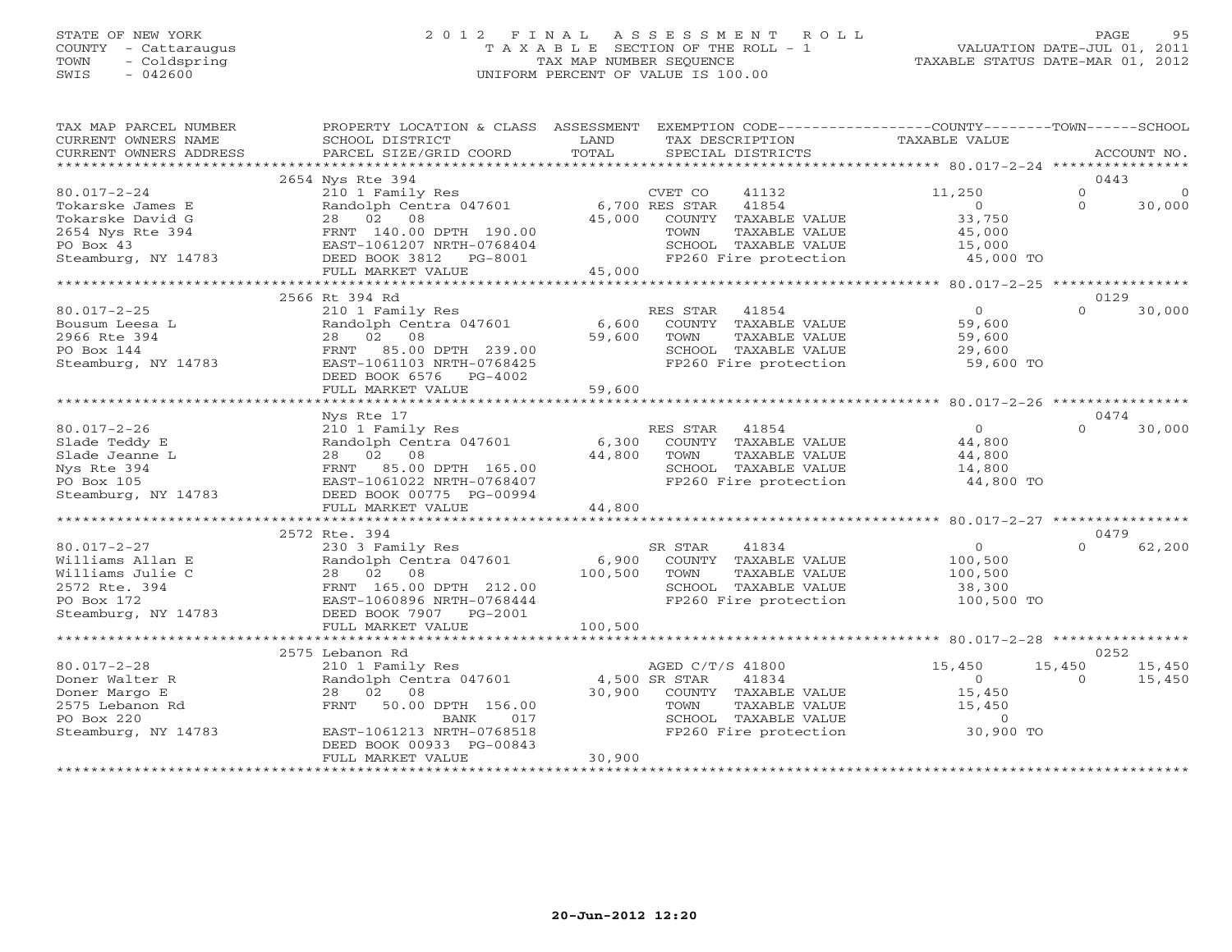## STATE OF NEW YORK 2 0 1 2 F I N A L A S S E S S M E N T R O L L PAGE 95 COUNTY - Cattaraugus T A X A B L E SECTION OF THE ROLL - 1 VALUATION DATE-JUL 01, 2011 TOWN - Coldspring TAX MAP NUMBER SEQUENCE TAXABLE STATUS DATE-MAR 01, 2012 SWIS - 042600 UNIFORM PERCENT OF VALUE IS 100.00UNIFORM PERCENT OF VALUE IS 100.00

| TAX MAP PARCEL NUMBER<br>CURRENT OWNERS NAME<br>CURRENT OWNERS ADDRESS | PROPERTY LOCATION & CLASS ASSESSMENT<br>SCHOOL DISTRICT<br>PARCEL SIZE/GRID COORD | LAND<br>TAX DESCRIPTION<br>TOTAL<br>SPECIAL DISTRICTS    | EXEMPTION CODE-----------------COUNTY-------TOWN------SCHOOL<br>TAXABLE VALUE<br>ACCOUNT NO. |
|------------------------------------------------------------------------|-----------------------------------------------------------------------------------|----------------------------------------------------------|----------------------------------------------------------------------------------------------|
|                                                                        |                                                                                   |                                                          |                                                                                              |
|                                                                        | 2654 Nys Rte 394                                                                  |                                                          | 0443                                                                                         |
| $80.017 - 2 - 24$                                                      | 210 1 Family Res                                                                  | CVET CO<br>41132                                         | $\Omega$<br>11,250<br>$\Omega$                                                               |
| Tokarske James E                                                       | Randolph Centra 047601                                                            | 6,700 RES STAR<br>41854                                  | $\Omega$<br>$\Omega$<br>30,000                                                               |
| Tokarske David G                                                       | 28 02 08                                                                          | 45,000<br>COUNTY TAXABLE VALUE                           | 33,750                                                                                       |
| 2654 Nys Rte 394                                                       | FRNT 140.00 DPTH 190.00                                                           | TAXABLE VALUE<br>TOWN                                    | 45,000                                                                                       |
| PO Box 43                                                              | EAST-1061207 NRTH-0768404                                                         | SCHOOL TAXABLE VALUE                                     | 15,000                                                                                       |
| Steamburg, NY 14783                                                    | DEED BOOK 3812 PG-8001                                                            | FP260 Fire protection                                    | 45,000 TO                                                                                    |
|                                                                        | FULL MARKET VALUE                                                                 | 45,000                                                   |                                                                                              |
|                                                                        | 2566 Rt 394 Rd                                                                    |                                                          | 0129                                                                                         |
| $80.017 - 2 - 25$                                                      | 210 1 Family Res                                                                  | RES STAR<br>41854                                        | $\overline{0}$<br>$\Omega$<br>30,000                                                         |
| Bousum Leesa L                                                         | Randolph Centra 047601                                                            | 6,600<br>COUNTY TAXABLE VALUE                            | 59,600                                                                                       |
| 2966 Rte 394                                                           | 02<br>28<br>08                                                                    | 59,600<br>TOWN<br>TAXABLE VALUE                          | 59,600                                                                                       |
| PO Box 144                                                             | FRNT 85.00 DPTH 239.00                                                            | SCHOOL TAXABLE VALUE                                     | 29,600                                                                                       |
| Steamburg, NY 14783                                                    | EAST-1061103 NRTH-0768425                                                         | FP260 Fire protection                                    | 59,600 TO                                                                                    |
|                                                                        | DEED BOOK 6576 PG-4002                                                            |                                                          |                                                                                              |
|                                                                        | FULL MARKET VALUE                                                                 | 59,600                                                   |                                                                                              |
|                                                                        |                                                                                   |                                                          |                                                                                              |
|                                                                        | Nys Rte 17                                                                        |                                                          | 0474                                                                                         |
| $80.017 - 2 - 26$                                                      | 210 1 Family Res                                                                  | RES STAR 41854                                           | $\Omega$<br>$\cap$<br>30,000                                                                 |
| Slade Teddy E                                                          | Randolph Centra 047601                                                            | 6,300<br>COUNTY TAXABLE VALUE                            | 44,800                                                                                       |
| Slade Jeanne L                                                         | 28 02 08                                                                          | 44,800<br>TOWN<br>TAXABLE VALUE                          | 44,800                                                                                       |
| Nys Rte 394                                                            | FRNT<br>85.00 DPTH 165.00                                                         | SCHOOL TAXABLE VALUE                                     | 14,800                                                                                       |
| PO Box 105                                                             | EAST-1061022 NRTH-0768407                                                         | FP260 Fire protection                                    | 44,800 TO                                                                                    |
| Steamburg, NY 14783                                                    | DEED BOOK 00775 PG-00994                                                          |                                                          |                                                                                              |
|                                                                        | FULL MARKET VALUE                                                                 | 44,800                                                   |                                                                                              |
|                                                                        |                                                                                   |                                                          |                                                                                              |
|                                                                        | 2572 Rte. 394                                                                     |                                                          | 0479                                                                                         |
| $80.017 - 2 - 27$                                                      | 230 3 Family Res                                                                  | SR STAR<br>41834                                         | $\overline{O}$<br>62,200<br>$\Omega$                                                         |
| Williams Allan E                                                       | Randolph Centra 047601                                                            | 6,900<br>COUNTY TAXABLE VALUE                            | 100,500                                                                                      |
| Williams Julie C<br>2572 Rte. 394                                      | 28 02<br>08<br>FRNT 165.00 DPTH 212.00                                            | 100,500<br>TOWN<br>TAXABLE VALUE<br>SCHOOL TAXABLE VALUE | 100,500<br>38,300                                                                            |
| PO Box 172                                                             | EAST-1060896 NRTH-0768444                                                         | FP260 Fire protection                                    | 100,500 TO                                                                                   |
| Steamburg, NY 14783                                                    | DEED BOOK 7907 PG-2001                                                            |                                                          |                                                                                              |
|                                                                        | FULL MARKET VALUE                                                                 | 100,500                                                  |                                                                                              |
|                                                                        |                                                                                   |                                                          |                                                                                              |
|                                                                        | 2575 Lebanon Rd                                                                   |                                                          | 0252                                                                                         |
| $80.017 - 2 - 28$                                                      | 210 1 Family Res                                                                  | AGED C/T/S 41800                                         | 15,450<br>15,450<br>15,450                                                                   |
| Doner Walter R                                                         | Randolph Centra 047601                                                            | 4,500 SR STAR<br>41834                                   | $0 \qquad \qquad$<br>15,450<br>$\Omega$                                                      |
| Doner Margo E                                                          | 28 02 08                                                                          | 30,900 COUNTY TAXABLE VALUE                              | 15,450                                                                                       |
| 2575 Lebanon Rd                                                        | FRNT<br>50.00 DPTH 156.00                                                         | TOWN<br>TAXABLE VALUE                                    | 15,450                                                                                       |
| PO Box 220                                                             | 017<br>BANK                                                                       | SCHOOL TAXABLE VALUE                                     | $\overline{0}$                                                                               |
| Steamburg, NY 14783                                                    | EAST-1061213 NRTH-0768518                                                         | FP260 Fire protection                                    | 30,900 TO                                                                                    |
|                                                                        | DEED BOOK 00933 PG-00843                                                          |                                                          |                                                                                              |
|                                                                        | FULL MARKET VALUE                                                                 | 30,900                                                   |                                                                                              |
|                                                                        |                                                                                   |                                                          |                                                                                              |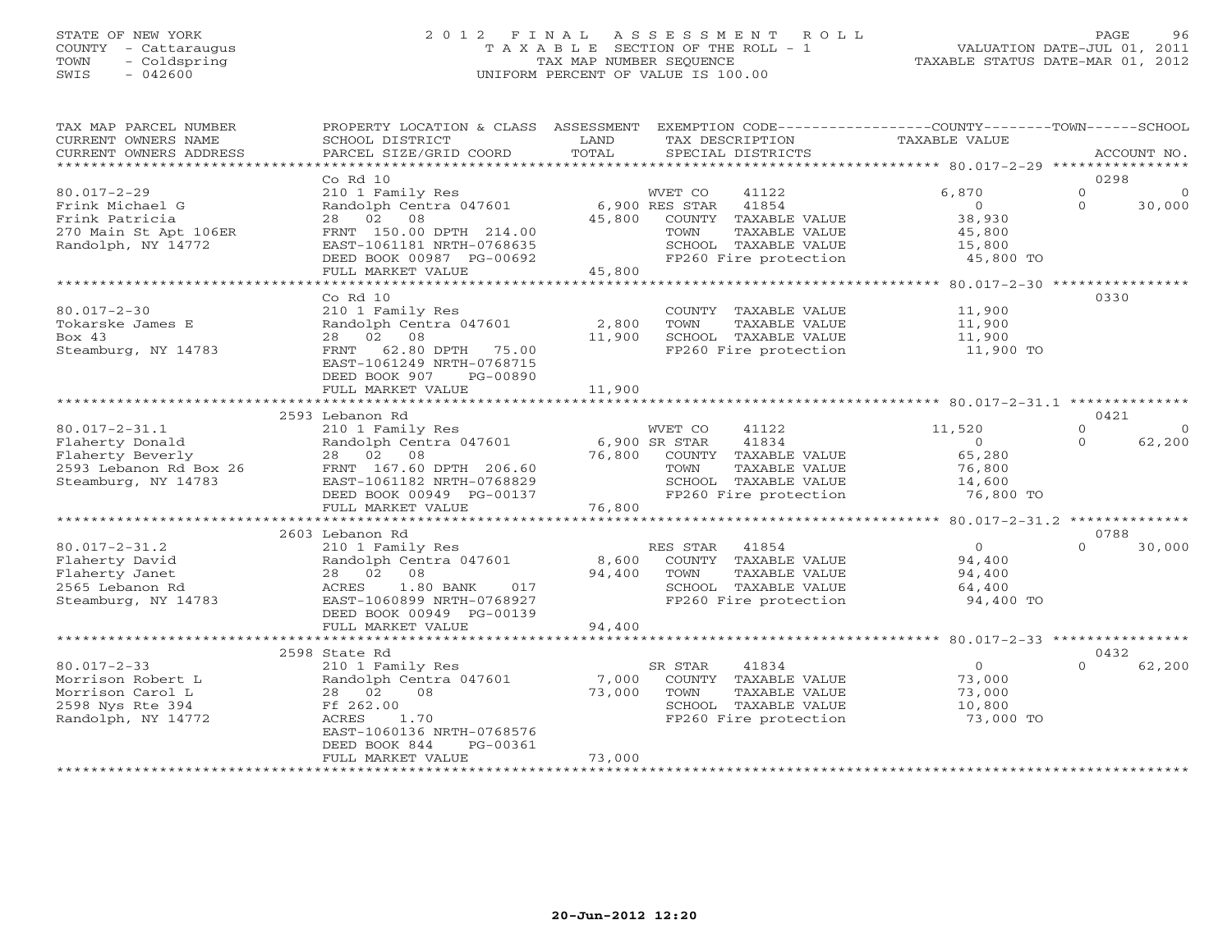## STATE OF NEW YORK 2 0 1 2 F I N A L A S S E S S M E N T R O L L PAGE 96 COUNTY - Cattaraugus T A X A B L E SECTION OF THE ROLL - 1 VALUATION DATE-JUL 01, 2011 TOWN - Coldspring TAX MAP NUMBER SEQUENCE TAXABLE STATUS DATE-MAR 01, 2012 SWIS - 042600 UNIFORM PERCENT OF VALUE IS 100.00UNIFORM PERCENT OF VALUE IS 100.00

| *************************<br>0298<br>$Co$ $Rd$ $10$<br>6,870<br>$\Omega$<br>$80.017 - 2 - 29$<br>41122<br>210 1 Family Res<br>WVET CO<br>$\Omega$<br>Randolph Centra 047601<br>6,900 RES STAR<br>41854<br>$\overline{0}$<br>$\Omega$<br>30,000<br>Frink Michael G<br>38,930<br>28 02 08<br>45,800<br>COUNTY TAXABLE VALUE<br>Frink Patricia<br>270 Main St Apt 106ER<br>FRNT 150.00 DPTH 214.00<br>TOWN<br>TAXABLE VALUE<br>45,800<br>Randolph, NY 14772<br>EAST-1061181 NRTH-0768635<br>SCHOOL TAXABLE VALUE<br>15,800<br>FP260 Fire protection<br>DEED BOOK 00987 PG-00692<br>45,800 TO<br>45,800<br>FULL MARKET VALUE<br>*******************************<br>0330<br>Co Rd 10<br>$80.017 - 2 - 30$<br>210 1 Family Res<br>11,900<br>COUNTY TAXABLE VALUE<br>2,800<br>Tokarske James E<br>Randolph Centra 047601<br>11,900<br>TOWN<br>TAXABLE VALUE<br>Bo $\times$ 43<br>02 08<br>11,900<br>SCHOOL TAXABLE VALUE<br>28<br>11,900<br>Steamburg, NY 14783<br>62.80 DPTH 75.00<br>FP260 Fire protection<br>11,900 TO<br>FRNT<br>EAST-1061249 NRTH-0768715<br>DEED BOOK 907<br>PG-00890<br>FULL MARKET VALUE<br>11,900<br>2593 Lebanon Rd<br>0421<br>$\mathbf{0}$<br>$80.017 - 2 - 31.1$<br>210 1 Family Res<br>WVET CO<br>41122<br>11,520<br>$\Omega$<br>Randolph Centra 047601<br>6,900 SR STAR<br>41834<br>$\Omega$<br>62,200<br>Flaherty Donald<br>$\Omega$<br>65,280<br>Flaherty Beverly<br>28 02 08<br>76,800<br>COUNTY TAXABLE VALUE<br>2593 Lebanon Rd Box 26<br>FRNT 167.60 DPTH 206.60<br>76,800<br>TOWN<br>TAXABLE VALUE<br>Steamburg, NY 14783<br>EAST-1061182 NRTH-0768829<br>SCHOOL TAXABLE VALUE<br>14,600<br>DEED BOOK 00949 PG-00137<br>FP260 Fire protection<br>76,800 TO<br>76,800<br>FULL MARKET VALUE<br>0788<br>2603 Lebanon Rd<br>$\overline{O}$<br>$80.017 - 2 - 31.2$<br>210 1 Family Res<br>RES STAR 41854<br>$\Omega$<br>30,000<br>Flaherty David<br>Randolph Centra 047601<br>8,600<br>COUNTY TAXABLE VALUE<br>94,400<br>28 02 08<br>94,400<br>Flaherty Janet<br>TOWN<br>TAXABLE VALUE<br>94,400<br>2565 Lebanon Rd<br>1.80 BANK<br>017<br>SCHOOL TAXABLE VALUE<br>64,400<br>ACRES<br>Steamburg, NY 14783<br>EAST-1060899 NRTH-0768927<br>FP260 Fire protection<br>94,400 TO<br>DEED BOOK 00949 PG-00139<br>94,400<br>FULL MARKET VALUE<br>2598 State Rd<br>0432<br>$\cap$<br>62,200<br>$80.017 - 2 - 33$<br>41834<br>$\overline{0}$<br>210 1 Family Res<br>SR STAR<br>Morrison Robert L<br>Randolph Centra 047601<br>7,000<br>COUNTY TAXABLE VALUE<br>73,000<br>Morrison Carol L<br>28 02<br>08<br>73,000<br>TOWN<br>TAXABLE VALUE<br>73,000<br>2598 Nys Rte 394<br>SCHOOL TAXABLE VALUE<br>Ff 262.00<br>10,800<br>Randolph, NY 14772<br>FP260 Fire protection<br>73,000 TO<br>ACRES<br>1.70<br>EAST-1060136 NRTH-0768576<br>DEED BOOK 844<br>PG-00361<br>73,000<br>FULL MARKET VALUE<br>******************** | TAX MAP PARCEL NUMBER<br>CURRENT OWNERS NAME<br>CURRENT OWNERS ADDRESS | PROPERTY LOCATION & CLASS ASSESSMENT<br>SCHOOL DISTRICT<br>PARCEL SIZE/GRID COORD | LAND<br>TOTAL | EXEMPTION CODE-----------------COUNTY-------TOWN------SCHOOL<br>TAX DESCRIPTION<br>SPECIAL DISTRICTS | TAXABLE VALUE | ACCOUNT NO. |
|-----------------------------------------------------------------------------------------------------------------------------------------------------------------------------------------------------------------------------------------------------------------------------------------------------------------------------------------------------------------------------------------------------------------------------------------------------------------------------------------------------------------------------------------------------------------------------------------------------------------------------------------------------------------------------------------------------------------------------------------------------------------------------------------------------------------------------------------------------------------------------------------------------------------------------------------------------------------------------------------------------------------------------------------------------------------------------------------------------------------------------------------------------------------------------------------------------------------------------------------------------------------------------------------------------------------------------------------------------------------------------------------------------------------------------------------------------------------------------------------------------------------------------------------------------------------------------------------------------------------------------------------------------------------------------------------------------------------------------------------------------------------------------------------------------------------------------------------------------------------------------------------------------------------------------------------------------------------------------------------------------------------------------------------------------------------------------------------------------------------------------------------------------------------------------------------------------------------------------------------------------------------------------------------------------------------------------------------------------------------------------------------------------------------------------------------------------------------------------------------------------------------------------------------------------------------------------------------------------------------------------------------------------------------------------------------------------------------------------------------------------------------------------------------------------------------------------------------|------------------------------------------------------------------------|-----------------------------------------------------------------------------------|---------------|------------------------------------------------------------------------------------------------------|---------------|-------------|
|                                                                                                                                                                                                                                                                                                                                                                                                                                                                                                                                                                                                                                                                                                                                                                                                                                                                                                                                                                                                                                                                                                                                                                                                                                                                                                                                                                                                                                                                                                                                                                                                                                                                                                                                                                                                                                                                                                                                                                                                                                                                                                                                                                                                                                                                                                                                                                                                                                                                                                                                                                                                                                                                                                                                                                                                                                         |                                                                        |                                                                                   |               |                                                                                                      |               |             |
|                                                                                                                                                                                                                                                                                                                                                                                                                                                                                                                                                                                                                                                                                                                                                                                                                                                                                                                                                                                                                                                                                                                                                                                                                                                                                                                                                                                                                                                                                                                                                                                                                                                                                                                                                                                                                                                                                                                                                                                                                                                                                                                                                                                                                                                                                                                                                                                                                                                                                                                                                                                                                                                                                                                                                                                                                                         |                                                                        |                                                                                   |               |                                                                                                      |               |             |
|                                                                                                                                                                                                                                                                                                                                                                                                                                                                                                                                                                                                                                                                                                                                                                                                                                                                                                                                                                                                                                                                                                                                                                                                                                                                                                                                                                                                                                                                                                                                                                                                                                                                                                                                                                                                                                                                                                                                                                                                                                                                                                                                                                                                                                                                                                                                                                                                                                                                                                                                                                                                                                                                                                                                                                                                                                         |                                                                        |                                                                                   |               |                                                                                                      |               |             |
|                                                                                                                                                                                                                                                                                                                                                                                                                                                                                                                                                                                                                                                                                                                                                                                                                                                                                                                                                                                                                                                                                                                                                                                                                                                                                                                                                                                                                                                                                                                                                                                                                                                                                                                                                                                                                                                                                                                                                                                                                                                                                                                                                                                                                                                                                                                                                                                                                                                                                                                                                                                                                                                                                                                                                                                                                                         |                                                                        |                                                                                   |               |                                                                                                      |               |             |
|                                                                                                                                                                                                                                                                                                                                                                                                                                                                                                                                                                                                                                                                                                                                                                                                                                                                                                                                                                                                                                                                                                                                                                                                                                                                                                                                                                                                                                                                                                                                                                                                                                                                                                                                                                                                                                                                                                                                                                                                                                                                                                                                                                                                                                                                                                                                                                                                                                                                                                                                                                                                                                                                                                                                                                                                                                         |                                                                        |                                                                                   |               |                                                                                                      |               |             |
|                                                                                                                                                                                                                                                                                                                                                                                                                                                                                                                                                                                                                                                                                                                                                                                                                                                                                                                                                                                                                                                                                                                                                                                                                                                                                                                                                                                                                                                                                                                                                                                                                                                                                                                                                                                                                                                                                                                                                                                                                                                                                                                                                                                                                                                                                                                                                                                                                                                                                                                                                                                                                                                                                                                                                                                                                                         |                                                                        |                                                                                   |               |                                                                                                      |               |             |
|                                                                                                                                                                                                                                                                                                                                                                                                                                                                                                                                                                                                                                                                                                                                                                                                                                                                                                                                                                                                                                                                                                                                                                                                                                                                                                                                                                                                                                                                                                                                                                                                                                                                                                                                                                                                                                                                                                                                                                                                                                                                                                                                                                                                                                                                                                                                                                                                                                                                                                                                                                                                                                                                                                                                                                                                                                         |                                                                        |                                                                                   |               |                                                                                                      |               |             |
|                                                                                                                                                                                                                                                                                                                                                                                                                                                                                                                                                                                                                                                                                                                                                                                                                                                                                                                                                                                                                                                                                                                                                                                                                                                                                                                                                                                                                                                                                                                                                                                                                                                                                                                                                                                                                                                                                                                                                                                                                                                                                                                                                                                                                                                                                                                                                                                                                                                                                                                                                                                                                                                                                                                                                                                                                                         |                                                                        |                                                                                   |               |                                                                                                      |               |             |
|                                                                                                                                                                                                                                                                                                                                                                                                                                                                                                                                                                                                                                                                                                                                                                                                                                                                                                                                                                                                                                                                                                                                                                                                                                                                                                                                                                                                                                                                                                                                                                                                                                                                                                                                                                                                                                                                                                                                                                                                                                                                                                                                                                                                                                                                                                                                                                                                                                                                                                                                                                                                                                                                                                                                                                                                                                         |                                                                        |                                                                                   |               |                                                                                                      |               |             |
|                                                                                                                                                                                                                                                                                                                                                                                                                                                                                                                                                                                                                                                                                                                                                                                                                                                                                                                                                                                                                                                                                                                                                                                                                                                                                                                                                                                                                                                                                                                                                                                                                                                                                                                                                                                                                                                                                                                                                                                                                                                                                                                                                                                                                                                                                                                                                                                                                                                                                                                                                                                                                                                                                                                                                                                                                                         |                                                                        |                                                                                   |               |                                                                                                      |               |             |
|                                                                                                                                                                                                                                                                                                                                                                                                                                                                                                                                                                                                                                                                                                                                                                                                                                                                                                                                                                                                                                                                                                                                                                                                                                                                                                                                                                                                                                                                                                                                                                                                                                                                                                                                                                                                                                                                                                                                                                                                                                                                                                                                                                                                                                                                                                                                                                                                                                                                                                                                                                                                                                                                                                                                                                                                                                         |                                                                        |                                                                                   |               |                                                                                                      |               |             |
|                                                                                                                                                                                                                                                                                                                                                                                                                                                                                                                                                                                                                                                                                                                                                                                                                                                                                                                                                                                                                                                                                                                                                                                                                                                                                                                                                                                                                                                                                                                                                                                                                                                                                                                                                                                                                                                                                                                                                                                                                                                                                                                                                                                                                                                                                                                                                                                                                                                                                                                                                                                                                                                                                                                                                                                                                                         |                                                                        |                                                                                   |               |                                                                                                      |               |             |
|                                                                                                                                                                                                                                                                                                                                                                                                                                                                                                                                                                                                                                                                                                                                                                                                                                                                                                                                                                                                                                                                                                                                                                                                                                                                                                                                                                                                                                                                                                                                                                                                                                                                                                                                                                                                                                                                                                                                                                                                                                                                                                                                                                                                                                                                                                                                                                                                                                                                                                                                                                                                                                                                                                                                                                                                                                         |                                                                        |                                                                                   |               |                                                                                                      |               |             |
|                                                                                                                                                                                                                                                                                                                                                                                                                                                                                                                                                                                                                                                                                                                                                                                                                                                                                                                                                                                                                                                                                                                                                                                                                                                                                                                                                                                                                                                                                                                                                                                                                                                                                                                                                                                                                                                                                                                                                                                                                                                                                                                                                                                                                                                                                                                                                                                                                                                                                                                                                                                                                                                                                                                                                                                                                                         |                                                                        |                                                                                   |               |                                                                                                      |               |             |
|                                                                                                                                                                                                                                                                                                                                                                                                                                                                                                                                                                                                                                                                                                                                                                                                                                                                                                                                                                                                                                                                                                                                                                                                                                                                                                                                                                                                                                                                                                                                                                                                                                                                                                                                                                                                                                                                                                                                                                                                                                                                                                                                                                                                                                                                                                                                                                                                                                                                                                                                                                                                                                                                                                                                                                                                                                         |                                                                        |                                                                                   |               |                                                                                                      |               |             |
|                                                                                                                                                                                                                                                                                                                                                                                                                                                                                                                                                                                                                                                                                                                                                                                                                                                                                                                                                                                                                                                                                                                                                                                                                                                                                                                                                                                                                                                                                                                                                                                                                                                                                                                                                                                                                                                                                                                                                                                                                                                                                                                                                                                                                                                                                                                                                                                                                                                                                                                                                                                                                                                                                                                                                                                                                                         |                                                                        |                                                                                   |               |                                                                                                      |               |             |
|                                                                                                                                                                                                                                                                                                                                                                                                                                                                                                                                                                                                                                                                                                                                                                                                                                                                                                                                                                                                                                                                                                                                                                                                                                                                                                                                                                                                                                                                                                                                                                                                                                                                                                                                                                                                                                                                                                                                                                                                                                                                                                                                                                                                                                                                                                                                                                                                                                                                                                                                                                                                                                                                                                                                                                                                                                         |                                                                        |                                                                                   |               |                                                                                                      |               |             |
|                                                                                                                                                                                                                                                                                                                                                                                                                                                                                                                                                                                                                                                                                                                                                                                                                                                                                                                                                                                                                                                                                                                                                                                                                                                                                                                                                                                                                                                                                                                                                                                                                                                                                                                                                                                                                                                                                                                                                                                                                                                                                                                                                                                                                                                                                                                                                                                                                                                                                                                                                                                                                                                                                                                                                                                                                                         |                                                                        |                                                                                   |               |                                                                                                      |               |             |
|                                                                                                                                                                                                                                                                                                                                                                                                                                                                                                                                                                                                                                                                                                                                                                                                                                                                                                                                                                                                                                                                                                                                                                                                                                                                                                                                                                                                                                                                                                                                                                                                                                                                                                                                                                                                                                                                                                                                                                                                                                                                                                                                                                                                                                                                                                                                                                                                                                                                                                                                                                                                                                                                                                                                                                                                                                         |                                                                        |                                                                                   |               |                                                                                                      |               |             |
|                                                                                                                                                                                                                                                                                                                                                                                                                                                                                                                                                                                                                                                                                                                                                                                                                                                                                                                                                                                                                                                                                                                                                                                                                                                                                                                                                                                                                                                                                                                                                                                                                                                                                                                                                                                                                                                                                                                                                                                                                                                                                                                                                                                                                                                                                                                                                                                                                                                                                                                                                                                                                                                                                                                                                                                                                                         |                                                                        |                                                                                   |               |                                                                                                      |               |             |
|                                                                                                                                                                                                                                                                                                                                                                                                                                                                                                                                                                                                                                                                                                                                                                                                                                                                                                                                                                                                                                                                                                                                                                                                                                                                                                                                                                                                                                                                                                                                                                                                                                                                                                                                                                                                                                                                                                                                                                                                                                                                                                                                                                                                                                                                                                                                                                                                                                                                                                                                                                                                                                                                                                                                                                                                                                         |                                                                        |                                                                                   |               |                                                                                                      |               |             |
|                                                                                                                                                                                                                                                                                                                                                                                                                                                                                                                                                                                                                                                                                                                                                                                                                                                                                                                                                                                                                                                                                                                                                                                                                                                                                                                                                                                                                                                                                                                                                                                                                                                                                                                                                                                                                                                                                                                                                                                                                                                                                                                                                                                                                                                                                                                                                                                                                                                                                                                                                                                                                                                                                                                                                                                                                                         |                                                                        |                                                                                   |               |                                                                                                      |               |             |
|                                                                                                                                                                                                                                                                                                                                                                                                                                                                                                                                                                                                                                                                                                                                                                                                                                                                                                                                                                                                                                                                                                                                                                                                                                                                                                                                                                                                                                                                                                                                                                                                                                                                                                                                                                                                                                                                                                                                                                                                                                                                                                                                                                                                                                                                                                                                                                                                                                                                                                                                                                                                                                                                                                                                                                                                                                         |                                                                        |                                                                                   |               |                                                                                                      |               |             |
|                                                                                                                                                                                                                                                                                                                                                                                                                                                                                                                                                                                                                                                                                                                                                                                                                                                                                                                                                                                                                                                                                                                                                                                                                                                                                                                                                                                                                                                                                                                                                                                                                                                                                                                                                                                                                                                                                                                                                                                                                                                                                                                                                                                                                                                                                                                                                                                                                                                                                                                                                                                                                                                                                                                                                                                                                                         |                                                                        |                                                                                   |               |                                                                                                      |               |             |
|                                                                                                                                                                                                                                                                                                                                                                                                                                                                                                                                                                                                                                                                                                                                                                                                                                                                                                                                                                                                                                                                                                                                                                                                                                                                                                                                                                                                                                                                                                                                                                                                                                                                                                                                                                                                                                                                                                                                                                                                                                                                                                                                                                                                                                                                                                                                                                                                                                                                                                                                                                                                                                                                                                                                                                                                                                         |                                                                        |                                                                                   |               |                                                                                                      |               |             |
|                                                                                                                                                                                                                                                                                                                                                                                                                                                                                                                                                                                                                                                                                                                                                                                                                                                                                                                                                                                                                                                                                                                                                                                                                                                                                                                                                                                                                                                                                                                                                                                                                                                                                                                                                                                                                                                                                                                                                                                                                                                                                                                                                                                                                                                                                                                                                                                                                                                                                                                                                                                                                                                                                                                                                                                                                                         |                                                                        |                                                                                   |               |                                                                                                      |               |             |
|                                                                                                                                                                                                                                                                                                                                                                                                                                                                                                                                                                                                                                                                                                                                                                                                                                                                                                                                                                                                                                                                                                                                                                                                                                                                                                                                                                                                                                                                                                                                                                                                                                                                                                                                                                                                                                                                                                                                                                                                                                                                                                                                                                                                                                                                                                                                                                                                                                                                                                                                                                                                                                                                                                                                                                                                                                         |                                                                        |                                                                                   |               |                                                                                                      |               |             |
|                                                                                                                                                                                                                                                                                                                                                                                                                                                                                                                                                                                                                                                                                                                                                                                                                                                                                                                                                                                                                                                                                                                                                                                                                                                                                                                                                                                                                                                                                                                                                                                                                                                                                                                                                                                                                                                                                                                                                                                                                                                                                                                                                                                                                                                                                                                                                                                                                                                                                                                                                                                                                                                                                                                                                                                                                                         |                                                                        |                                                                                   |               |                                                                                                      |               |             |
|                                                                                                                                                                                                                                                                                                                                                                                                                                                                                                                                                                                                                                                                                                                                                                                                                                                                                                                                                                                                                                                                                                                                                                                                                                                                                                                                                                                                                                                                                                                                                                                                                                                                                                                                                                                                                                                                                                                                                                                                                                                                                                                                                                                                                                                                                                                                                                                                                                                                                                                                                                                                                                                                                                                                                                                                                                         |                                                                        |                                                                                   |               |                                                                                                      |               |             |
|                                                                                                                                                                                                                                                                                                                                                                                                                                                                                                                                                                                                                                                                                                                                                                                                                                                                                                                                                                                                                                                                                                                                                                                                                                                                                                                                                                                                                                                                                                                                                                                                                                                                                                                                                                                                                                                                                                                                                                                                                                                                                                                                                                                                                                                                                                                                                                                                                                                                                                                                                                                                                                                                                                                                                                                                                                         |                                                                        |                                                                                   |               |                                                                                                      |               |             |
|                                                                                                                                                                                                                                                                                                                                                                                                                                                                                                                                                                                                                                                                                                                                                                                                                                                                                                                                                                                                                                                                                                                                                                                                                                                                                                                                                                                                                                                                                                                                                                                                                                                                                                                                                                                                                                                                                                                                                                                                                                                                                                                                                                                                                                                                                                                                                                                                                                                                                                                                                                                                                                                                                                                                                                                                                                         |                                                                        |                                                                                   |               |                                                                                                      |               |             |
|                                                                                                                                                                                                                                                                                                                                                                                                                                                                                                                                                                                                                                                                                                                                                                                                                                                                                                                                                                                                                                                                                                                                                                                                                                                                                                                                                                                                                                                                                                                                                                                                                                                                                                                                                                                                                                                                                                                                                                                                                                                                                                                                                                                                                                                                                                                                                                                                                                                                                                                                                                                                                                                                                                                                                                                                                                         |                                                                        |                                                                                   |               |                                                                                                      |               |             |
|                                                                                                                                                                                                                                                                                                                                                                                                                                                                                                                                                                                                                                                                                                                                                                                                                                                                                                                                                                                                                                                                                                                                                                                                                                                                                                                                                                                                                                                                                                                                                                                                                                                                                                                                                                                                                                                                                                                                                                                                                                                                                                                                                                                                                                                                                                                                                                                                                                                                                                                                                                                                                                                                                                                                                                                                                                         |                                                                        |                                                                                   |               |                                                                                                      |               |             |
|                                                                                                                                                                                                                                                                                                                                                                                                                                                                                                                                                                                                                                                                                                                                                                                                                                                                                                                                                                                                                                                                                                                                                                                                                                                                                                                                                                                                                                                                                                                                                                                                                                                                                                                                                                                                                                                                                                                                                                                                                                                                                                                                                                                                                                                                                                                                                                                                                                                                                                                                                                                                                                                                                                                                                                                                                                         |                                                                        |                                                                                   |               |                                                                                                      |               |             |
|                                                                                                                                                                                                                                                                                                                                                                                                                                                                                                                                                                                                                                                                                                                                                                                                                                                                                                                                                                                                                                                                                                                                                                                                                                                                                                                                                                                                                                                                                                                                                                                                                                                                                                                                                                                                                                                                                                                                                                                                                                                                                                                                                                                                                                                                                                                                                                                                                                                                                                                                                                                                                                                                                                                                                                                                                                         |                                                                        |                                                                                   |               |                                                                                                      |               |             |
|                                                                                                                                                                                                                                                                                                                                                                                                                                                                                                                                                                                                                                                                                                                                                                                                                                                                                                                                                                                                                                                                                                                                                                                                                                                                                                                                                                                                                                                                                                                                                                                                                                                                                                                                                                                                                                                                                                                                                                                                                                                                                                                                                                                                                                                                                                                                                                                                                                                                                                                                                                                                                                                                                                                                                                                                                                         |                                                                        |                                                                                   |               |                                                                                                      |               |             |
|                                                                                                                                                                                                                                                                                                                                                                                                                                                                                                                                                                                                                                                                                                                                                                                                                                                                                                                                                                                                                                                                                                                                                                                                                                                                                                                                                                                                                                                                                                                                                                                                                                                                                                                                                                                                                                                                                                                                                                                                                                                                                                                                                                                                                                                                                                                                                                                                                                                                                                                                                                                                                                                                                                                                                                                                                                         |                                                                        |                                                                                   |               |                                                                                                      |               |             |
|                                                                                                                                                                                                                                                                                                                                                                                                                                                                                                                                                                                                                                                                                                                                                                                                                                                                                                                                                                                                                                                                                                                                                                                                                                                                                                                                                                                                                                                                                                                                                                                                                                                                                                                                                                                                                                                                                                                                                                                                                                                                                                                                                                                                                                                                                                                                                                                                                                                                                                                                                                                                                                                                                                                                                                                                                                         |                                                                        |                                                                                   |               |                                                                                                      |               |             |
|                                                                                                                                                                                                                                                                                                                                                                                                                                                                                                                                                                                                                                                                                                                                                                                                                                                                                                                                                                                                                                                                                                                                                                                                                                                                                                                                                                                                                                                                                                                                                                                                                                                                                                                                                                                                                                                                                                                                                                                                                                                                                                                                                                                                                                                                                                                                                                                                                                                                                                                                                                                                                                                                                                                                                                                                                                         |                                                                        |                                                                                   |               |                                                                                                      |               |             |
|                                                                                                                                                                                                                                                                                                                                                                                                                                                                                                                                                                                                                                                                                                                                                                                                                                                                                                                                                                                                                                                                                                                                                                                                                                                                                                                                                                                                                                                                                                                                                                                                                                                                                                                                                                                                                                                                                                                                                                                                                                                                                                                                                                                                                                                                                                                                                                                                                                                                                                                                                                                                                                                                                                                                                                                                                                         |                                                                        |                                                                                   |               |                                                                                                      |               |             |
|                                                                                                                                                                                                                                                                                                                                                                                                                                                                                                                                                                                                                                                                                                                                                                                                                                                                                                                                                                                                                                                                                                                                                                                                                                                                                                                                                                                                                                                                                                                                                                                                                                                                                                                                                                                                                                                                                                                                                                                                                                                                                                                                                                                                                                                                                                                                                                                                                                                                                                                                                                                                                                                                                                                                                                                                                                         |                                                                        |                                                                                   |               |                                                                                                      |               |             |
|                                                                                                                                                                                                                                                                                                                                                                                                                                                                                                                                                                                                                                                                                                                                                                                                                                                                                                                                                                                                                                                                                                                                                                                                                                                                                                                                                                                                                                                                                                                                                                                                                                                                                                                                                                                                                                                                                                                                                                                                                                                                                                                                                                                                                                                                                                                                                                                                                                                                                                                                                                                                                                                                                                                                                                                                                                         |                                                                        |                                                                                   |               |                                                                                                      |               |             |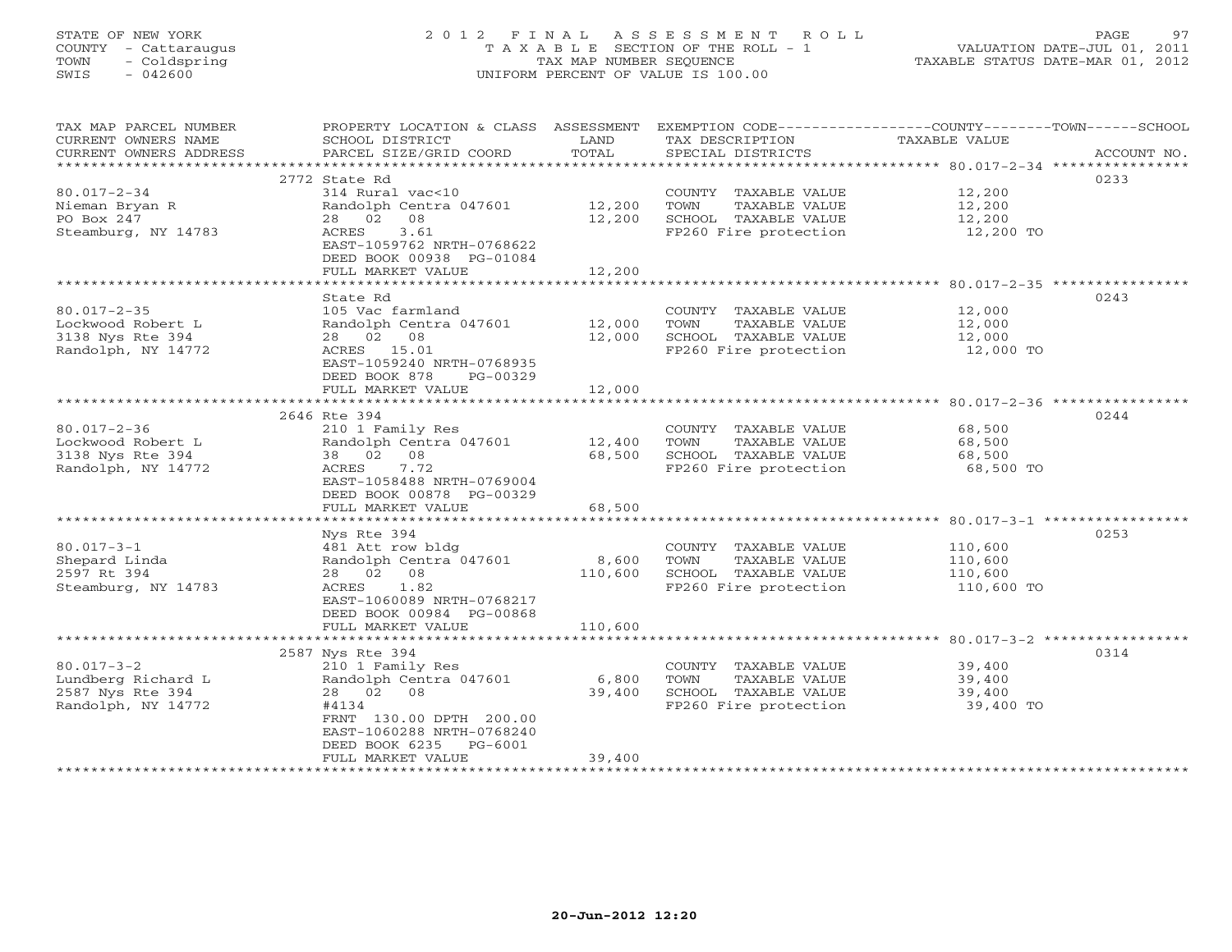# STATE OF NEW YORK 2 0 1 2 F I N A L A S S E S S M E N T R O L L PAGE 97 COUNTY - Cattaraugus T A X A B L E SECTION OF THE ROLL - 1 VALUATION DATE-JUL 01, 2011 TOWN - Coldspring TAX MAP NUMBER SEQUENCE TAXABLE STATUS DATE-MAR 01, 2012 SWIS - 042600 UNIFORM PERCENT OF VALUE IS 100.00UNIFORM PERCENT OF VALUE IS 100.00

| CURRENT OWNERS NAME<br>SCHOOL DISTRICT<br>LAND<br>TAX DESCRIPTION<br>TAXABLE VALUE<br>TOTAL<br>PARCEL SIZE/GRID COORD<br>CURRENT OWNERS ADDRESS<br>SPECIAL DISTRICTS<br>ACCOUNT NO.<br>********************<br>0233<br>2772 State Rd<br>$80.017 - 2 - 34$<br>314 Rural vac<10<br>12,200<br>COUNTY TAXABLE VALUE<br>Randolph Centra 047601<br>12,200<br>12,200<br>Nieman Bryan R<br>TOWN<br>TAXABLE VALUE<br>PO Box 247<br>28 02<br>08<br>12,200<br>SCHOOL TAXABLE VALUE<br>12,200<br>Steamburg, NY 14783<br>ACRES<br>3.61<br>FP260 Fire protection<br>12,200 TO<br>EAST-1059762 NRTH-0768622<br>DEED BOOK 00938 PG-01084<br>12,200<br>FULL MARKET VALUE<br>0243<br>State Rd<br>$80.017 - 2 - 35$<br>105 Vac farmland<br>COUNTY TAXABLE VALUE<br>12,000<br>Lockwood Robert L<br>Randolph Centra 047601<br>12,000<br>TOWN<br>TAXABLE VALUE<br>12,000<br>12,000<br>SCHOOL TAXABLE VALUE<br>3138 Nys Rte 394<br>28 02 08<br>12,000<br>Randolph, NY 14772<br>ACRES 15.01<br>FP260 Fire protection<br>12,000 TO<br>EAST-1059240 NRTH-0768935<br>DEED BOOK 878<br>PG-00329<br>12,000<br>FULL MARKET VALUE<br>0244<br>2646 Rte 394<br>$80.017 - 2 - 36$<br>210 1 Family Res<br>COUNTY TAXABLE VALUE<br>68,500<br>Lockwood Robert L<br>Randolph Centra 047601<br>12,400<br>TOWN<br>TAXABLE VALUE<br>68,500<br>3138 Nys Rte 394<br>38 02 08<br>68,500<br>SCHOOL TAXABLE VALUE<br>68,500<br>7.72<br>FP260 Fire protection<br>Randolph, NY 14772<br>ACRES<br>68,500 TO<br>EAST-1058488 NRTH-0769004<br>DEED BOOK 00878 PG-00329<br>FULL MARKET VALUE<br>68,500<br>0253<br>Nys Rte 394<br>$80.017 - 3 - 1$<br>481 Att row bldg<br>COUNTY TAXABLE VALUE<br>110,600<br>Shepard Linda<br>Randolph Centra 047601<br>8,600<br>TOWN<br>TAXABLE VALUE<br>110,600<br>2597 Rt 394<br>SCHOOL TAXABLE VALUE<br>28 02 08<br>110,600<br>110,600<br>FP260 Fire protection<br>Steamburg, NY 14783<br>ACRES<br>1.82<br>110,600 TO<br>EAST-1060089 NRTH-0768217<br>DEED BOOK 00984 PG-00868<br>FULL MARKET VALUE<br>110,600<br>0314<br>2587 Nys Rte 394<br>$80.017 - 3 - 2$<br>210 1 Family Res<br>COUNTY TAXABLE VALUE<br>39,400<br>Lundberg Richard L<br>Randolph Centra 047601<br>6,800<br>TOWN<br>TAXABLE VALUE<br>39,400<br>2587 Nys Rte 394<br>28  02  08<br>39,400<br>SCHOOL TAXABLE VALUE<br>39,400<br>Randolph, NY 14772<br>#4134<br>FP260 Fire protection<br>39,400 TO<br>FRNT 130.00 DPTH 200.00<br>EAST-1060288 NRTH-0768240<br>DEED BOOK 6235 PG-6001<br>39,400<br>FULL MARKET VALUE | TAX MAP PARCEL NUMBER | PROPERTY LOCATION & CLASS ASSESSMENT | EXEMPTION CODE-----------------COUNTY-------TOWN------SCHOOL |  |
|---------------------------------------------------------------------------------------------------------------------------------------------------------------------------------------------------------------------------------------------------------------------------------------------------------------------------------------------------------------------------------------------------------------------------------------------------------------------------------------------------------------------------------------------------------------------------------------------------------------------------------------------------------------------------------------------------------------------------------------------------------------------------------------------------------------------------------------------------------------------------------------------------------------------------------------------------------------------------------------------------------------------------------------------------------------------------------------------------------------------------------------------------------------------------------------------------------------------------------------------------------------------------------------------------------------------------------------------------------------------------------------------------------------------------------------------------------------------------------------------------------------------------------------------------------------------------------------------------------------------------------------------------------------------------------------------------------------------------------------------------------------------------------------------------------------------------------------------------------------------------------------------------------------------------------------------------------------------------------------------------------------------------------------------------------------------------------------------------------------------------------------------------------------------------------------------------------------------------------------------------------------------------------------------------------------------------------------------------------------------------------------------------------------------------------------------------------------------|-----------------------|--------------------------------------|--------------------------------------------------------------|--|
|                                                                                                                                                                                                                                                                                                                                                                                                                                                                                                                                                                                                                                                                                                                                                                                                                                                                                                                                                                                                                                                                                                                                                                                                                                                                                                                                                                                                                                                                                                                                                                                                                                                                                                                                                                                                                                                                                                                                                                                                                                                                                                                                                                                                                                                                                                                                                                                                                                                                     |                       |                                      |                                                              |  |
|                                                                                                                                                                                                                                                                                                                                                                                                                                                                                                                                                                                                                                                                                                                                                                                                                                                                                                                                                                                                                                                                                                                                                                                                                                                                                                                                                                                                                                                                                                                                                                                                                                                                                                                                                                                                                                                                                                                                                                                                                                                                                                                                                                                                                                                                                                                                                                                                                                                                     |                       |                                      |                                                              |  |
|                                                                                                                                                                                                                                                                                                                                                                                                                                                                                                                                                                                                                                                                                                                                                                                                                                                                                                                                                                                                                                                                                                                                                                                                                                                                                                                                                                                                                                                                                                                                                                                                                                                                                                                                                                                                                                                                                                                                                                                                                                                                                                                                                                                                                                                                                                                                                                                                                                                                     |                       |                                      |                                                              |  |
|                                                                                                                                                                                                                                                                                                                                                                                                                                                                                                                                                                                                                                                                                                                                                                                                                                                                                                                                                                                                                                                                                                                                                                                                                                                                                                                                                                                                                                                                                                                                                                                                                                                                                                                                                                                                                                                                                                                                                                                                                                                                                                                                                                                                                                                                                                                                                                                                                                                                     |                       |                                      |                                                              |  |
|                                                                                                                                                                                                                                                                                                                                                                                                                                                                                                                                                                                                                                                                                                                                                                                                                                                                                                                                                                                                                                                                                                                                                                                                                                                                                                                                                                                                                                                                                                                                                                                                                                                                                                                                                                                                                                                                                                                                                                                                                                                                                                                                                                                                                                                                                                                                                                                                                                                                     |                       |                                      |                                                              |  |
|                                                                                                                                                                                                                                                                                                                                                                                                                                                                                                                                                                                                                                                                                                                                                                                                                                                                                                                                                                                                                                                                                                                                                                                                                                                                                                                                                                                                                                                                                                                                                                                                                                                                                                                                                                                                                                                                                                                                                                                                                                                                                                                                                                                                                                                                                                                                                                                                                                                                     |                       |                                      |                                                              |  |
|                                                                                                                                                                                                                                                                                                                                                                                                                                                                                                                                                                                                                                                                                                                                                                                                                                                                                                                                                                                                                                                                                                                                                                                                                                                                                                                                                                                                                                                                                                                                                                                                                                                                                                                                                                                                                                                                                                                                                                                                                                                                                                                                                                                                                                                                                                                                                                                                                                                                     |                       |                                      |                                                              |  |
|                                                                                                                                                                                                                                                                                                                                                                                                                                                                                                                                                                                                                                                                                                                                                                                                                                                                                                                                                                                                                                                                                                                                                                                                                                                                                                                                                                                                                                                                                                                                                                                                                                                                                                                                                                                                                                                                                                                                                                                                                                                                                                                                                                                                                                                                                                                                                                                                                                                                     |                       |                                      |                                                              |  |
|                                                                                                                                                                                                                                                                                                                                                                                                                                                                                                                                                                                                                                                                                                                                                                                                                                                                                                                                                                                                                                                                                                                                                                                                                                                                                                                                                                                                                                                                                                                                                                                                                                                                                                                                                                                                                                                                                                                                                                                                                                                                                                                                                                                                                                                                                                                                                                                                                                                                     |                       |                                      |                                                              |  |
|                                                                                                                                                                                                                                                                                                                                                                                                                                                                                                                                                                                                                                                                                                                                                                                                                                                                                                                                                                                                                                                                                                                                                                                                                                                                                                                                                                                                                                                                                                                                                                                                                                                                                                                                                                                                                                                                                                                                                                                                                                                                                                                                                                                                                                                                                                                                                                                                                                                                     |                       |                                      |                                                              |  |
|                                                                                                                                                                                                                                                                                                                                                                                                                                                                                                                                                                                                                                                                                                                                                                                                                                                                                                                                                                                                                                                                                                                                                                                                                                                                                                                                                                                                                                                                                                                                                                                                                                                                                                                                                                                                                                                                                                                                                                                                                                                                                                                                                                                                                                                                                                                                                                                                                                                                     |                       |                                      |                                                              |  |
|                                                                                                                                                                                                                                                                                                                                                                                                                                                                                                                                                                                                                                                                                                                                                                                                                                                                                                                                                                                                                                                                                                                                                                                                                                                                                                                                                                                                                                                                                                                                                                                                                                                                                                                                                                                                                                                                                                                                                                                                                                                                                                                                                                                                                                                                                                                                                                                                                                                                     |                       |                                      |                                                              |  |
|                                                                                                                                                                                                                                                                                                                                                                                                                                                                                                                                                                                                                                                                                                                                                                                                                                                                                                                                                                                                                                                                                                                                                                                                                                                                                                                                                                                                                                                                                                                                                                                                                                                                                                                                                                                                                                                                                                                                                                                                                                                                                                                                                                                                                                                                                                                                                                                                                                                                     |                       |                                      |                                                              |  |
|                                                                                                                                                                                                                                                                                                                                                                                                                                                                                                                                                                                                                                                                                                                                                                                                                                                                                                                                                                                                                                                                                                                                                                                                                                                                                                                                                                                                                                                                                                                                                                                                                                                                                                                                                                                                                                                                                                                                                                                                                                                                                                                                                                                                                                                                                                                                                                                                                                                                     |                       |                                      |                                                              |  |
|                                                                                                                                                                                                                                                                                                                                                                                                                                                                                                                                                                                                                                                                                                                                                                                                                                                                                                                                                                                                                                                                                                                                                                                                                                                                                                                                                                                                                                                                                                                                                                                                                                                                                                                                                                                                                                                                                                                                                                                                                                                                                                                                                                                                                                                                                                                                                                                                                                                                     |                       |                                      |                                                              |  |
|                                                                                                                                                                                                                                                                                                                                                                                                                                                                                                                                                                                                                                                                                                                                                                                                                                                                                                                                                                                                                                                                                                                                                                                                                                                                                                                                                                                                                                                                                                                                                                                                                                                                                                                                                                                                                                                                                                                                                                                                                                                                                                                                                                                                                                                                                                                                                                                                                                                                     |                       |                                      |                                                              |  |
|                                                                                                                                                                                                                                                                                                                                                                                                                                                                                                                                                                                                                                                                                                                                                                                                                                                                                                                                                                                                                                                                                                                                                                                                                                                                                                                                                                                                                                                                                                                                                                                                                                                                                                                                                                                                                                                                                                                                                                                                                                                                                                                                                                                                                                                                                                                                                                                                                                                                     |                       |                                      |                                                              |  |
|                                                                                                                                                                                                                                                                                                                                                                                                                                                                                                                                                                                                                                                                                                                                                                                                                                                                                                                                                                                                                                                                                                                                                                                                                                                                                                                                                                                                                                                                                                                                                                                                                                                                                                                                                                                                                                                                                                                                                                                                                                                                                                                                                                                                                                                                                                                                                                                                                                                                     |                       |                                      |                                                              |  |
|                                                                                                                                                                                                                                                                                                                                                                                                                                                                                                                                                                                                                                                                                                                                                                                                                                                                                                                                                                                                                                                                                                                                                                                                                                                                                                                                                                                                                                                                                                                                                                                                                                                                                                                                                                                                                                                                                                                                                                                                                                                                                                                                                                                                                                                                                                                                                                                                                                                                     |                       |                                      |                                                              |  |
|                                                                                                                                                                                                                                                                                                                                                                                                                                                                                                                                                                                                                                                                                                                                                                                                                                                                                                                                                                                                                                                                                                                                                                                                                                                                                                                                                                                                                                                                                                                                                                                                                                                                                                                                                                                                                                                                                                                                                                                                                                                                                                                                                                                                                                                                                                                                                                                                                                                                     |                       |                                      |                                                              |  |
|                                                                                                                                                                                                                                                                                                                                                                                                                                                                                                                                                                                                                                                                                                                                                                                                                                                                                                                                                                                                                                                                                                                                                                                                                                                                                                                                                                                                                                                                                                                                                                                                                                                                                                                                                                                                                                                                                                                                                                                                                                                                                                                                                                                                                                                                                                                                                                                                                                                                     |                       |                                      |                                                              |  |
|                                                                                                                                                                                                                                                                                                                                                                                                                                                                                                                                                                                                                                                                                                                                                                                                                                                                                                                                                                                                                                                                                                                                                                                                                                                                                                                                                                                                                                                                                                                                                                                                                                                                                                                                                                                                                                                                                                                                                                                                                                                                                                                                                                                                                                                                                                                                                                                                                                                                     |                       |                                      |                                                              |  |
|                                                                                                                                                                                                                                                                                                                                                                                                                                                                                                                                                                                                                                                                                                                                                                                                                                                                                                                                                                                                                                                                                                                                                                                                                                                                                                                                                                                                                                                                                                                                                                                                                                                                                                                                                                                                                                                                                                                                                                                                                                                                                                                                                                                                                                                                                                                                                                                                                                                                     |                       |                                      |                                                              |  |
|                                                                                                                                                                                                                                                                                                                                                                                                                                                                                                                                                                                                                                                                                                                                                                                                                                                                                                                                                                                                                                                                                                                                                                                                                                                                                                                                                                                                                                                                                                                                                                                                                                                                                                                                                                                                                                                                                                                                                                                                                                                                                                                                                                                                                                                                                                                                                                                                                                                                     |                       |                                      |                                                              |  |
|                                                                                                                                                                                                                                                                                                                                                                                                                                                                                                                                                                                                                                                                                                                                                                                                                                                                                                                                                                                                                                                                                                                                                                                                                                                                                                                                                                                                                                                                                                                                                                                                                                                                                                                                                                                                                                                                                                                                                                                                                                                                                                                                                                                                                                                                                                                                                                                                                                                                     |                       |                                      |                                                              |  |
|                                                                                                                                                                                                                                                                                                                                                                                                                                                                                                                                                                                                                                                                                                                                                                                                                                                                                                                                                                                                                                                                                                                                                                                                                                                                                                                                                                                                                                                                                                                                                                                                                                                                                                                                                                                                                                                                                                                                                                                                                                                                                                                                                                                                                                                                                                                                                                                                                                                                     |                       |                                      |                                                              |  |
|                                                                                                                                                                                                                                                                                                                                                                                                                                                                                                                                                                                                                                                                                                                                                                                                                                                                                                                                                                                                                                                                                                                                                                                                                                                                                                                                                                                                                                                                                                                                                                                                                                                                                                                                                                                                                                                                                                                                                                                                                                                                                                                                                                                                                                                                                                                                                                                                                                                                     |                       |                                      |                                                              |  |
|                                                                                                                                                                                                                                                                                                                                                                                                                                                                                                                                                                                                                                                                                                                                                                                                                                                                                                                                                                                                                                                                                                                                                                                                                                                                                                                                                                                                                                                                                                                                                                                                                                                                                                                                                                                                                                                                                                                                                                                                                                                                                                                                                                                                                                                                                                                                                                                                                                                                     |                       |                                      |                                                              |  |
|                                                                                                                                                                                                                                                                                                                                                                                                                                                                                                                                                                                                                                                                                                                                                                                                                                                                                                                                                                                                                                                                                                                                                                                                                                                                                                                                                                                                                                                                                                                                                                                                                                                                                                                                                                                                                                                                                                                                                                                                                                                                                                                                                                                                                                                                                                                                                                                                                                                                     |                       |                                      |                                                              |  |
|                                                                                                                                                                                                                                                                                                                                                                                                                                                                                                                                                                                                                                                                                                                                                                                                                                                                                                                                                                                                                                                                                                                                                                                                                                                                                                                                                                                                                                                                                                                                                                                                                                                                                                                                                                                                                                                                                                                                                                                                                                                                                                                                                                                                                                                                                                                                                                                                                                                                     |                       |                                      |                                                              |  |
|                                                                                                                                                                                                                                                                                                                                                                                                                                                                                                                                                                                                                                                                                                                                                                                                                                                                                                                                                                                                                                                                                                                                                                                                                                                                                                                                                                                                                                                                                                                                                                                                                                                                                                                                                                                                                                                                                                                                                                                                                                                                                                                                                                                                                                                                                                                                                                                                                                                                     |                       |                                      |                                                              |  |
|                                                                                                                                                                                                                                                                                                                                                                                                                                                                                                                                                                                                                                                                                                                                                                                                                                                                                                                                                                                                                                                                                                                                                                                                                                                                                                                                                                                                                                                                                                                                                                                                                                                                                                                                                                                                                                                                                                                                                                                                                                                                                                                                                                                                                                                                                                                                                                                                                                                                     |                       |                                      |                                                              |  |
|                                                                                                                                                                                                                                                                                                                                                                                                                                                                                                                                                                                                                                                                                                                                                                                                                                                                                                                                                                                                                                                                                                                                                                                                                                                                                                                                                                                                                                                                                                                                                                                                                                                                                                                                                                                                                                                                                                                                                                                                                                                                                                                                                                                                                                                                                                                                                                                                                                                                     |                       |                                      |                                                              |  |
|                                                                                                                                                                                                                                                                                                                                                                                                                                                                                                                                                                                                                                                                                                                                                                                                                                                                                                                                                                                                                                                                                                                                                                                                                                                                                                                                                                                                                                                                                                                                                                                                                                                                                                                                                                                                                                                                                                                                                                                                                                                                                                                                                                                                                                                                                                                                                                                                                                                                     |                       |                                      |                                                              |  |
|                                                                                                                                                                                                                                                                                                                                                                                                                                                                                                                                                                                                                                                                                                                                                                                                                                                                                                                                                                                                                                                                                                                                                                                                                                                                                                                                                                                                                                                                                                                                                                                                                                                                                                                                                                                                                                                                                                                                                                                                                                                                                                                                                                                                                                                                                                                                                                                                                                                                     |                       |                                      |                                                              |  |
|                                                                                                                                                                                                                                                                                                                                                                                                                                                                                                                                                                                                                                                                                                                                                                                                                                                                                                                                                                                                                                                                                                                                                                                                                                                                                                                                                                                                                                                                                                                                                                                                                                                                                                                                                                                                                                                                                                                                                                                                                                                                                                                                                                                                                                                                                                                                                                                                                                                                     |                       |                                      |                                                              |  |
|                                                                                                                                                                                                                                                                                                                                                                                                                                                                                                                                                                                                                                                                                                                                                                                                                                                                                                                                                                                                                                                                                                                                                                                                                                                                                                                                                                                                                                                                                                                                                                                                                                                                                                                                                                                                                                                                                                                                                                                                                                                                                                                                                                                                                                                                                                                                                                                                                                                                     |                       |                                      |                                                              |  |
|                                                                                                                                                                                                                                                                                                                                                                                                                                                                                                                                                                                                                                                                                                                                                                                                                                                                                                                                                                                                                                                                                                                                                                                                                                                                                                                                                                                                                                                                                                                                                                                                                                                                                                                                                                                                                                                                                                                                                                                                                                                                                                                                                                                                                                                                                                                                                                                                                                                                     |                       |                                      |                                                              |  |
|                                                                                                                                                                                                                                                                                                                                                                                                                                                                                                                                                                                                                                                                                                                                                                                                                                                                                                                                                                                                                                                                                                                                                                                                                                                                                                                                                                                                                                                                                                                                                                                                                                                                                                                                                                                                                                                                                                                                                                                                                                                                                                                                                                                                                                                                                                                                                                                                                                                                     |                       |                                      |                                                              |  |
|                                                                                                                                                                                                                                                                                                                                                                                                                                                                                                                                                                                                                                                                                                                                                                                                                                                                                                                                                                                                                                                                                                                                                                                                                                                                                                                                                                                                                                                                                                                                                                                                                                                                                                                                                                                                                                                                                                                                                                                                                                                                                                                                                                                                                                                                                                                                                                                                                                                                     |                       |                                      |                                                              |  |
|                                                                                                                                                                                                                                                                                                                                                                                                                                                                                                                                                                                                                                                                                                                                                                                                                                                                                                                                                                                                                                                                                                                                                                                                                                                                                                                                                                                                                                                                                                                                                                                                                                                                                                                                                                                                                                                                                                                                                                                                                                                                                                                                                                                                                                                                                                                                                                                                                                                                     |                       |                                      |                                                              |  |
|                                                                                                                                                                                                                                                                                                                                                                                                                                                                                                                                                                                                                                                                                                                                                                                                                                                                                                                                                                                                                                                                                                                                                                                                                                                                                                                                                                                                                                                                                                                                                                                                                                                                                                                                                                                                                                                                                                                                                                                                                                                                                                                                                                                                                                                                                                                                                                                                                                                                     |                       |                                      |                                                              |  |
|                                                                                                                                                                                                                                                                                                                                                                                                                                                                                                                                                                                                                                                                                                                                                                                                                                                                                                                                                                                                                                                                                                                                                                                                                                                                                                                                                                                                                                                                                                                                                                                                                                                                                                                                                                                                                                                                                                                                                                                                                                                                                                                                                                                                                                                                                                                                                                                                                                                                     |                       |                                      |                                                              |  |
|                                                                                                                                                                                                                                                                                                                                                                                                                                                                                                                                                                                                                                                                                                                                                                                                                                                                                                                                                                                                                                                                                                                                                                                                                                                                                                                                                                                                                                                                                                                                                                                                                                                                                                                                                                                                                                                                                                                                                                                                                                                                                                                                                                                                                                                                                                                                                                                                                                                                     |                       |                                      |                                                              |  |
|                                                                                                                                                                                                                                                                                                                                                                                                                                                                                                                                                                                                                                                                                                                                                                                                                                                                                                                                                                                                                                                                                                                                                                                                                                                                                                                                                                                                                                                                                                                                                                                                                                                                                                                                                                                                                                                                                                                                                                                                                                                                                                                                                                                                                                                                                                                                                                                                                                                                     |                       |                                      |                                                              |  |
|                                                                                                                                                                                                                                                                                                                                                                                                                                                                                                                                                                                                                                                                                                                                                                                                                                                                                                                                                                                                                                                                                                                                                                                                                                                                                                                                                                                                                                                                                                                                                                                                                                                                                                                                                                                                                                                                                                                                                                                                                                                                                                                                                                                                                                                                                                                                                                                                                                                                     |                       |                                      |                                                              |  |
|                                                                                                                                                                                                                                                                                                                                                                                                                                                                                                                                                                                                                                                                                                                                                                                                                                                                                                                                                                                                                                                                                                                                                                                                                                                                                                                                                                                                                                                                                                                                                                                                                                                                                                                                                                                                                                                                                                                                                                                                                                                                                                                                                                                                                                                                                                                                                                                                                                                                     |                       |                                      |                                                              |  |
|                                                                                                                                                                                                                                                                                                                                                                                                                                                                                                                                                                                                                                                                                                                                                                                                                                                                                                                                                                                                                                                                                                                                                                                                                                                                                                                                                                                                                                                                                                                                                                                                                                                                                                                                                                                                                                                                                                                                                                                                                                                                                                                                                                                                                                                                                                                                                                                                                                                                     |                       |                                      |                                                              |  |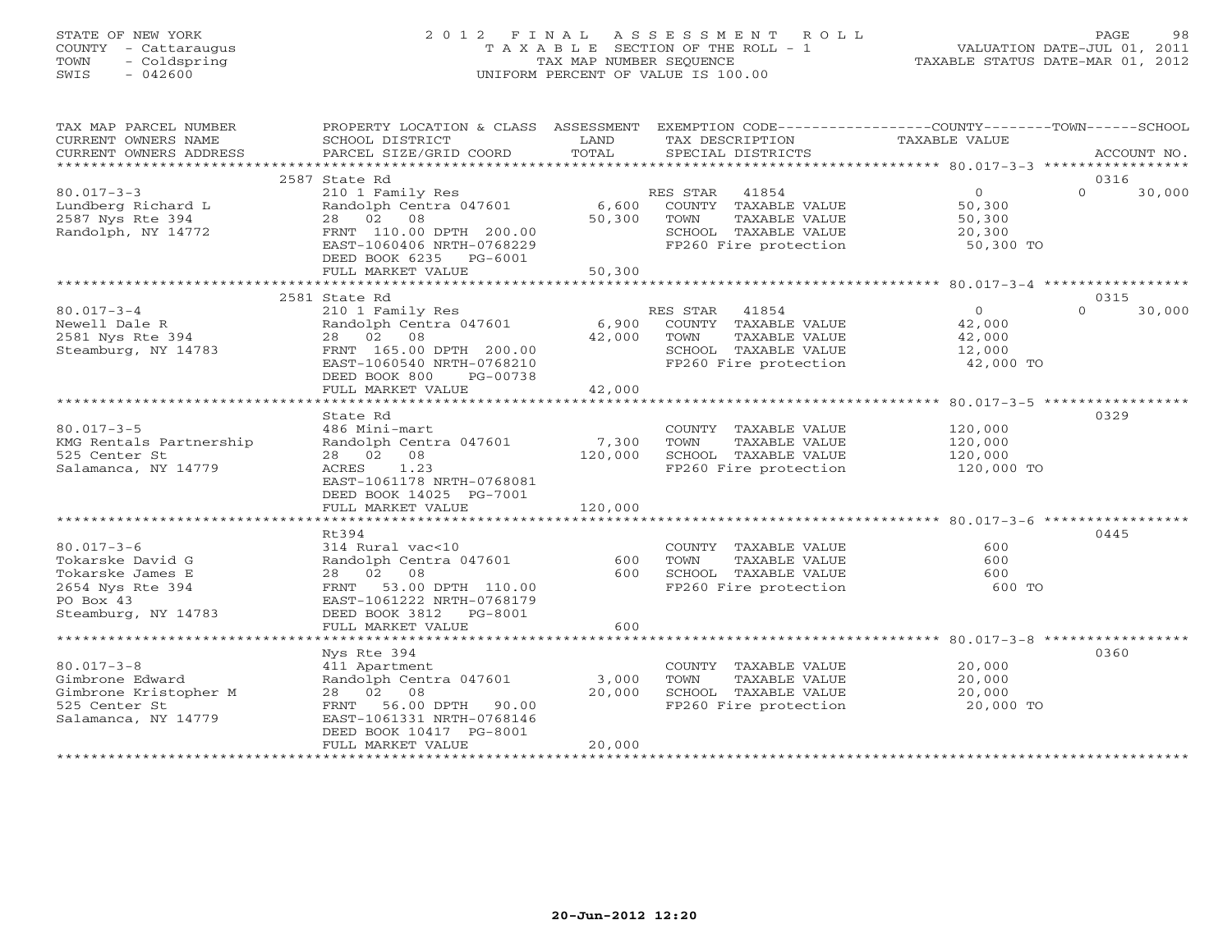# STATE OF NEW YORK 2 0 1 2 F I N A L A S S E S S M E N T R O L L PAGE 98 COUNTY - Cattaraugus T A X A B L E SECTION OF THE ROLL - 1 VALUATION DATE-JUL 01, 2011 TOWN - Coldspring TAX MAP NUMBER SEQUENCE TAXABLE STATUS DATE-MAR 01, 2012 SWIS - 042600 UNIFORM PERCENT OF VALUE IS 100.00UNIFORM PERCENT OF VALUE IS 100.00

| TAX MAP PARCEL NUMBER   | PROPERTY LOCATION & CLASS ASSESSMENT EXEMPTION CODE---------------COUNTY-------TOWN------SCHOOL |             |                                                                                        |                       |                    |
|-------------------------|-------------------------------------------------------------------------------------------------|-------------|----------------------------------------------------------------------------------------|-----------------------|--------------------|
| CURRENT OWNERS NAME     | SCHOOL DISTRICT                                                                                 | LAND        | TAX DESCRIPTION                                                                        | TAXABLE VALUE         |                    |
| CURRENT OWNERS ADDRESS  | PARCEL SIZE/GRID COORD                                                                          | TOTAL       | SPECIAL DISTRICTS                                                                      |                       | ACCOUNT NO.        |
|                         |                                                                                                 |             |                                                                                        |                       |                    |
|                         | 2587 State Rd                                                                                   |             |                                                                                        |                       | 0316               |
| $80.017 - 3 - 3$        | 210 1 Family Res                                                                                |             | RES STAR 41854                                                                         | $\Omega$              | $\Omega$<br>30,000 |
| Lundberg Richard L      | Randolph Centra 047601 6,600 COUNTY TAXABLE VALUE                                               |             |                                                                                        | 50,300                |                    |
| 2587 Nys Rte 394        | 28 02 08                                                                                        | 50,300 TOWN | TAXABLE VALUE                                                                          |                       |                    |
| Randolph, NY 14772      | FRNT 110.00 DPTH 200.00                                                                         |             |                                                                                        | 50,300<br>20,300      |                    |
|                         | EAST-1060406 NRTH-0768229                                                                       |             | SCHOOL TAXABLE VALUE $20,300$<br>FP260 Fire protection 50,300 TO                       |                       |                    |
|                         |                                                                                                 |             |                                                                                        |                       |                    |
|                         | DEED BOOK 6235 PG-6001                                                                          |             |                                                                                        |                       |                    |
|                         | FULL MARKET VALUE                                                                               | 50,300      |                                                                                        |                       |                    |
|                         |                                                                                                 |             |                                                                                        |                       |                    |
|                         | 2581 State Rd                                                                                   |             |                                                                                        |                       | 0315               |
| $80.017 - 3 - 4$        | 210 1 Family Res                                                                                |             | RES STAR 41854                                                                         | $\overline{0}$        | $\Omega$<br>30,000 |
| Newell Dale R           | Randolph Centra 047601 6,900 COUNTY TAXABLE VALUE                                               |             |                                                                                        | 42,000                |                    |
| 2581 Nys Rte 394        | 28 02 08                                                                                        | 42,000 TOWN | TAXABLE VALUE                                                                          |                       |                    |
| Steamburg, NY 14783     | FRNT 165.00 DPTH 200.00                                                                         |             | SCHOOL TAXABLE VALUE 12,000<br>FP260 Fire protection 42,000 TO                         | 42,000<br>12,000      |                    |
|                         | EAST-1060540 NRTH-0768210                                                                       |             |                                                                                        |                       |                    |
|                         | DEED BOOK 800<br>PG-00738                                                                       |             |                                                                                        |                       |                    |
|                         | FULL MARKET VALUE                                                                               | 42,000      |                                                                                        |                       |                    |
|                         |                                                                                                 |             |                                                                                        |                       |                    |
|                         | State Rd                                                                                        |             |                                                                                        |                       | 0329               |
| $80.017 - 3 - 5$        | 486 Mini-mart                                                                                   |             | COUNTY TAXABLE VALUE                                                                   | 120,000               |                    |
|                         | Randolph Centra 047601 7,300                                                                    |             |                                                                                        | 120,000               |                    |
| KMG Rentals Partnership |                                                                                                 |             | TOWN<br>TAXABLE VALUE                                                                  |                       |                    |
| 525 Center St           | 28 02 08                                                                                        | 120,000     | SCHOOL TAXABLE VALUE<br>FP260 Fire protection                                          | 120,000<br>120,000 TO |                    |
| Salamanca, NY 14779     | ACRES 1.23                                                                                      |             |                                                                                        |                       |                    |
|                         | EAST-1061178 NRTH-0768081                                                                       |             |                                                                                        |                       |                    |
|                         | DEED BOOK 14025 PG-7001                                                                         |             |                                                                                        |                       |                    |
|                         |                                                                                                 |             |                                                                                        |                       |                    |
|                         |                                                                                                 |             |                                                                                        |                       |                    |
|                         | Rt394                                                                                           |             |                                                                                        |                       | 0445               |
| $80.017 - 3 - 6$        | 314 Rural vac<10                                                                                |             | COUNTY TAXABLE VALUE                                                                   | 600                   |                    |
| Tokarske David G        | Randolph Centra 047601                                                                          | 600         | TOWN<br>TAXABLE VALUE                                                                  | 600                   |                    |
| Tokarske James E        | 28 02 08                                                                                        | 600         | SCHOOL TAXABLE VALUE                                                                   | 600                   |                    |
| 2654 Nys Rte 394        | FRNT 53.00 DPTH 110.00                                                                          |             | FP260 Fire protection                                                                  | 600 TO                |                    |
| PO Box 43               | EAST-1061222 NRTH-0768179                                                                       |             |                                                                                        |                       |                    |
| Steamburg, NY 14783     | DEED BOOK 3812 PG-8001                                                                          |             |                                                                                        |                       |                    |
|                         | FULL MARKET VALUE                                                                               | 600         |                                                                                        |                       |                    |
|                         |                                                                                                 |             |                                                                                        |                       |                    |
|                         |                                                                                                 |             |                                                                                        |                       |                    |
|                         | Nys Rte 394                                                                                     |             |                                                                                        |                       | 0360               |
| $80.017 - 3 - 8$        | 411 Apartment                                                                                   |             | COUNTY TAXABLE VALUE                                                                   | 20,000                |                    |
| Gimbrone Edward         | Randolph Centra 047601 3,000                                                                    |             | TOWN<br>TOWN TAAADDD<br>SCHOOL TAXABLE VALUE 20,000 TO<br>All the protection 20,000 TO | TAXABLE VALUE 20,000  |                    |
| Gimbrone Kristopher M   | 28 02 08                                                                                        | 20,000      |                                                                                        |                       |                    |
| 525 Center St           | FRNT 56.00 DPTH 90.00                                                                           |             |                                                                                        |                       |                    |
| Salamanca, NY 14779     | EAST-1061331 NRTH-0768146                                                                       |             |                                                                                        |                       |                    |
|                         | DEED BOOK 10417 PG-8001                                                                         |             |                                                                                        |                       |                    |
|                         | FULL MARKET VALUE                                                                               | 20,000      |                                                                                        |                       |                    |
|                         |                                                                                                 |             |                                                                                        |                       |                    |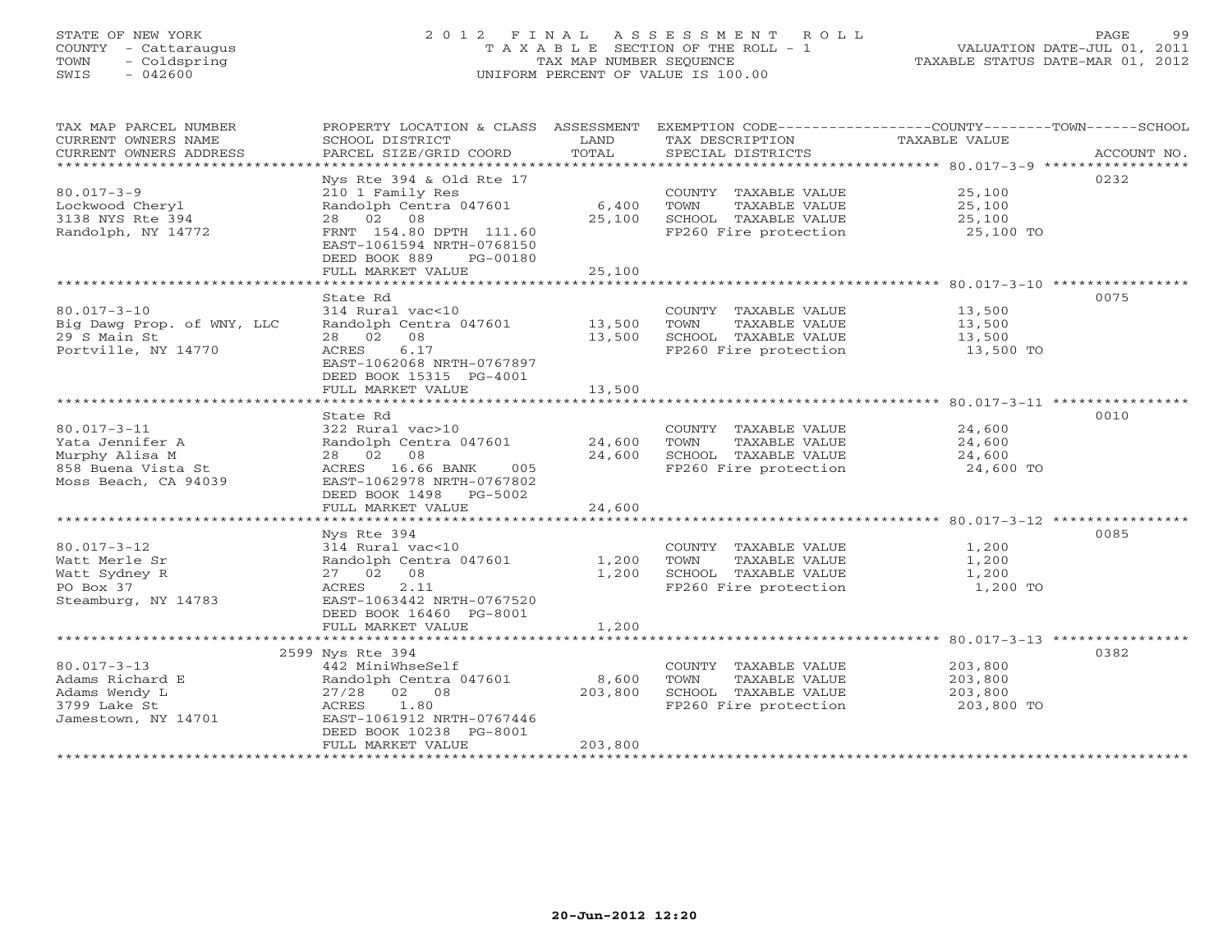# STATE OF NEW YORK 2 0 1 2 F I N A L A S S E S S M E N T R O L L PAGE 99 COUNTY - Cattaraugus T A X A B L E SECTION OF THE ROLL - 1 VALUATION DATE-JUL 01, 2011 TOWN - Coldspring TAX MAP NUMBER SEQUENCE TAXABLE STATUS DATE-MAR 01, 2012 SWIS - 042600 UNIFORM PERCENT OF VALUE IS 100.00UNIFORM PERCENT OF VALUE IS 100.00

| TAX MAP PARCEL NUMBER<br>CURRENT OWNERS NAME<br>CURRENT OWNERS ADDRESS                               | PROPERTY LOCATION & CLASS ASSESSMENT<br>SCHOOL DISTRICT<br>PARCEL SIZE/GRID COORD                                                                                                             | LAND<br>TOTAL                              | TAX DESCRIPTION<br>SPECIAL DISTRICTS                                                           | EXEMPTION CODE-----------------COUNTY-------TOWN------SCHOOL<br>TAXABLE VALUE<br>ACCOUNT NO.            |
|------------------------------------------------------------------------------------------------------|-----------------------------------------------------------------------------------------------------------------------------------------------------------------------------------------------|--------------------------------------------|------------------------------------------------------------------------------------------------|---------------------------------------------------------------------------------------------------------|
| $80.017 - 3 - 9$<br>Lockwood Cheryl<br>3138 NYS Rte 394<br>Randolph, NY 14772                        | Nys Rte 394 & Old Rte 17<br>210 1 Family Res<br>Randolph Centra 047601<br>28  02  08<br>FRNT 154.80 DPTH 111.60<br>EAST-1061594 NRTH-0768150<br>DEED BOOK 889<br>PG-00180                     | 6,400<br>25,100                            | COUNTY TAXABLE VALUE<br>TOWN<br>TAXABLE VALUE<br>SCHOOL TAXABLE VALUE<br>FP260 Fire protection | 0232<br>25,100<br>25,100<br>25,100<br>25,100 TO                                                         |
|                                                                                                      | FULL MARKET VALUE                                                                                                                                                                             | 25,100                                     |                                                                                                |                                                                                                         |
| $80.017 - 3 - 10$<br>Big Dawg Prop. of WNY, LLC<br>29 S Main St<br>Portville, NY 14770               | *************************<br>State Rd<br>314 Rural vac<10<br>Randolph Centra 047601<br>28 02 08<br>6.17<br>ACRES<br>EAST-1062068 NRTH-0767897<br>DEED BOOK 15315 PG-4001<br>FULL MARKET VALUE | ************<br>13,500<br>13,500<br>13,500 | COUNTY TAXABLE VALUE<br>TOWN<br>TAXABLE VALUE<br>SCHOOL TAXABLE VALUE<br>FP260 Fire protection | ********************** 80.017-3-10 *****************<br>0075<br>13,500<br>13,500<br>13,500<br>13,500 TO |
|                                                                                                      | ******************                                                                                                                                                                            | **********                                 |                                                                                                | ************************** 80.017-3-11 ***********                                                      |
| $80.017 - 3 - 11$<br>Yata Jennifer A<br>Murphy Alisa M<br>858 Buena Vista St<br>Moss Beach, CA 94039 | State Rd<br>322 Rural vac>10<br>Randolph Centra 047601<br>28 02 08<br>ACRES 16.66 BANK<br>005<br>EAST-1062978 NRTH-0767802<br>DEED BOOK 1498<br>PG-5002                                       | 24,600<br>24,600                           | COUNTY TAXABLE VALUE<br>TOWN<br>TAXABLE VALUE<br>SCHOOL TAXABLE VALUE<br>FP260 Fire protection | 0010<br>24,600<br>24,600<br>24,600<br>24,600 TO                                                         |
|                                                                                                      | FULL MARKET VALUE                                                                                                                                                                             | 24,600                                     |                                                                                                |                                                                                                         |
|                                                                                                      | ************************                                                                                                                                                                      |                                            |                                                                                                |                                                                                                         |
| $80.017 - 3 - 12$<br>Watt Merle Sr<br>Watt Sydney R<br>PO Box 37<br>Steamburg, NY 14783              | Nys Rte 394<br>314 Rural vac<10<br>Randolph Centra 047601<br>27 02 08<br>2.11<br>ACRES<br>EAST-1063442 NRTH-0767520<br>DEED BOOK 16460 PG-8001                                                | 1,200<br>1,200                             | COUNTY TAXABLE VALUE<br>TOWN<br>TAXABLE VALUE<br>SCHOOL TAXABLE VALUE<br>FP260 Fire protection | 0085<br>1,200<br>1,200<br>1,200<br>1,200 TO                                                             |
|                                                                                                      | FULL MARKET VALUE                                                                                                                                                                             | 1,200                                      |                                                                                                |                                                                                                         |
| $80.017 - 3 - 13$<br>Adams Richard E<br>Adams Wendy L<br>3799 Lake St<br>Jamestown, NY 14701         | 2599 Nys Rte 394<br>442 MiniWhseSelf<br>Randolph Centra 047601<br>27/28 02 08<br>ACRES<br>1.80<br>EAST-1061912 NRTH-0767446<br>DEED BOOK 10238 PG-8001<br>FULL MARKET VALUE                   | 8,600<br>203,800<br>203,800                | COUNTY TAXABLE VALUE<br>TOWN<br>TAXABLE VALUE<br>SCHOOL TAXABLE VALUE<br>FP260 Fire protection | 0382<br>203,800<br>203,800<br>203,800<br>203,800 TO                                                     |
|                                                                                                      | ************************                                                                                                                                                                      | ****************                           |                                                                                                |                                                                                                         |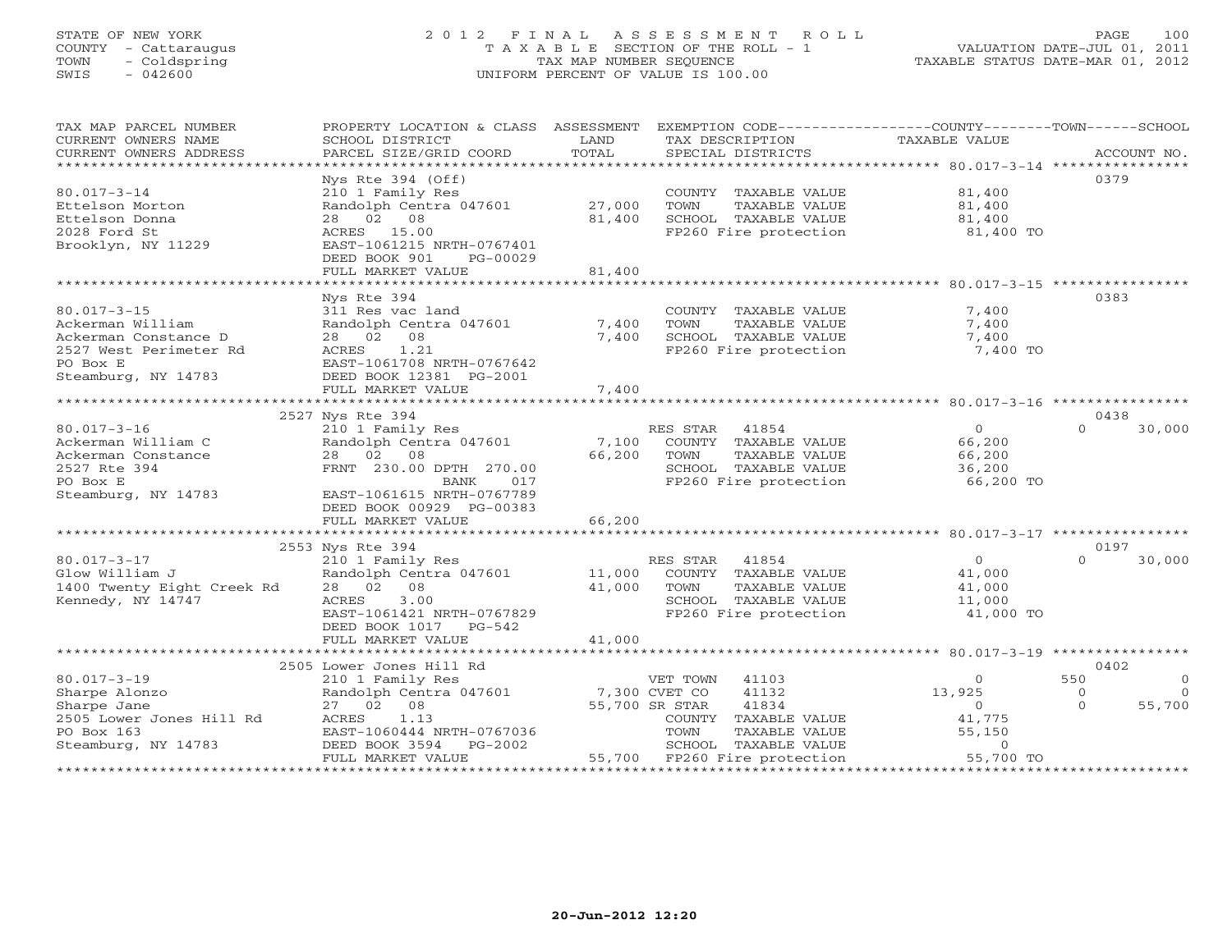# STATE OF NEW YORK 2 0 1 2 F I N A L A S S E S S M E N T R O L L PAGE 100 COUNTY - Cattaraugus T A X A B L E SECTION OF THE ROLL - 1 VALUATION DATE-JUL 01, 2011 TOWN - Coldspring TAX MAP NUMBER SEQUENCE TAXABLE STATUS DATE-MAR 01, 2012 SWIS - 042600 UNIFORM PERCENT OF VALUE IS 100.00UNIFORM PERCENT OF VALUE IS 100.00

| TAX MAP PARCEL NUMBER      | PROPERTY LOCATION & CLASS ASSESSMENT |                 | EXEMPTION CODE-----------------COUNTY-------TOWN------SCHOOL |                |                     |
|----------------------------|--------------------------------------|-----------------|--------------------------------------------------------------|----------------|---------------------|
| CURRENT OWNERS NAME        | SCHOOL DISTRICT                      | LAND            | TAX DESCRIPTION                                              | TAXABLE VALUE  |                     |
| CURRENT OWNERS ADDRESS     | PARCEL SIZE/GRID COORD               | TOTAL           | SPECIAL DISTRICTS                                            |                | ACCOUNT NO.         |
|                            |                                      | *************** |                                                              |                |                     |
|                            | Nys Rte $394$ (Off)                  |                 |                                                              |                | 0379                |
| $80.017 - 3 - 14$          | 210 1 Family Res                     |                 | COUNTY TAXABLE VALUE                                         | 81,400         |                     |
| Ettelson Morton            | Randolph Centra 047601               | 27,000          | TOWN<br>TAXABLE VALUE                                        | 81,400         |                     |
| Ettelson Donna             | 28 02<br>08                          | 81,400          | SCHOOL TAXABLE VALUE                                         | 81,400         |                     |
| 2028 Ford St               | ACRES 15.00                          |                 | FP260 Fire protection                                        | 81,400 TO      |                     |
| Brooklyn, NY 11229         | EAST-1061215 NRTH-0767401            |                 |                                                              |                |                     |
|                            | DEED BOOK 901<br>PG-00029            |                 |                                                              |                |                     |
|                            | FULL MARKET VALUE                    | 81,400          |                                                              |                |                     |
|                            |                                      |                 |                                                              |                |                     |
|                            | Nys Rte 394                          |                 |                                                              |                | 0383                |
| $80.017 - 3 - 15$          | 311 Res vac land                     |                 | COUNTY TAXABLE VALUE                                         | 7,400          |                     |
| Ackerman William           | Randolph Centra 047601               | 7,400           | TOWN<br>TAXABLE VALUE                                        | 7,400          |                     |
| Ackerman Constance D       | 28 02 08                             | 7,400           | SCHOOL TAXABLE VALUE                                         | 7,400          |                     |
|                            |                                      |                 |                                                              |                |                     |
| 2527 West Perimeter Rd     | ACRES<br>1.21                        |                 | FP260 Fire protection                                        | 7,400 TO       |                     |
| PO Box E                   | EAST-1061708 NRTH-0767642            |                 |                                                              |                |                     |
| Steamburg, NY 14783        | DEED BOOK 12381 PG-2001              |                 |                                                              |                |                     |
|                            | FULL MARKET VALUE                    | 7,400           |                                                              |                |                     |
|                            |                                      |                 |                                                              |                |                     |
|                            | 2527 Nys Rte 394                     |                 |                                                              |                | 0438                |
| $80.017 - 3 - 16$          | 210 1 Family Res                     |                 | RES STAR<br>41854                                            | $\circ$        | $\Omega$<br>30,000  |
| Ackerman William C         | Randolph Centra 047601               | 7,100           | COUNTY TAXABLE VALUE                                         | 66,200         |                     |
| Ackerman Constance         | 28 02 08                             | 66,200          | TOWN<br>TAXABLE VALUE                                        | 66,200         |                     |
| 2527 Rte 394               | FRNT 230.00 DPTH 270.00              |                 | SCHOOL TAXABLE VALUE                                         | 36,200         |                     |
| PO Box E                   | BANK<br>017                          |                 | FP260 Fire protection                                        | 66,200 TO      |                     |
| Steamburg, NY 14783        | EAST-1061615 NRTH-0767789            |                 |                                                              |                |                     |
|                            | DEED BOOK 00929 PG-00383             |                 |                                                              |                |                     |
|                            | FULL MARKET VALUE                    | 66,200          |                                                              |                |                     |
|                            |                                      |                 |                                                              |                |                     |
|                            | 2553 Nys Rte 394                     |                 |                                                              |                | 0197                |
| $80.017 - 3 - 17$          | 210 1 Family Res                     |                 | RES STAR<br>41854                                            | $\overline{0}$ | $\Omega$<br>30,000  |
| Glow William J             | Randolph Centra 047601               | 11,000          | COUNTY TAXABLE VALUE                                         | 41,000         |                     |
| 1400 Twenty Eight Creek Rd | 28 02<br>08                          | 41,000          | TAXABLE VALUE<br>TOWN                                        | 41,000         |                     |
| Kennedy, NY 14747          | ACRES<br>3.00                        |                 | SCHOOL TAXABLE VALUE                                         | 11,000         |                     |
|                            | EAST-1061421 NRTH-0767829            |                 | FP260 Fire protection                                        | 41,000 TO      |                     |
|                            | DEED BOOK 1017 PG-542                |                 |                                                              |                |                     |
|                            | FULL MARKET VALUE                    | 41,000          |                                                              |                |                     |
|                            |                                      |                 |                                                              |                |                     |
|                            | 2505 Lower Jones Hill Rd             |                 |                                                              |                | 0402                |
| $80.017 - 3 - 19$          | 210 1 Family Res                     |                 | VET TOWN<br>41103                                            | $\circ$        | 550<br>$\circ$      |
| Sharpe Alonzo              | Randolph Centra 047601               | 7,300 CVET CO   | 41132                                                        | 13,925         | $\circ$<br>$\Omega$ |
| Sharpe Jane                | 27 02 08                             |                 | 41834<br>55,700 SR STAR                                      | $\circ$        | 55,700<br>$\Omega$  |
| 2505 Lower Jones Hill Rd   | 1.13<br>ACRES                        |                 | COUNTY TAXABLE VALUE                                         | 41,775         |                     |
| PO Box 163                 | EAST-1060444 NRTH-0767036            |                 | TOWN<br>TAXABLE VALUE                                        | 55,150         |                     |
| Steamburg, NY 14783        | DEED BOOK 3594<br>PG-2002            |                 | SCHOOL TAXABLE VALUE                                         | $\circ$        |                     |
|                            | FULL MARKET VALUE                    |                 | 55,700 FP260 Fire protection                                 | 55,700 TO      |                     |
|                            |                                      |                 | *******************************                              |                |                     |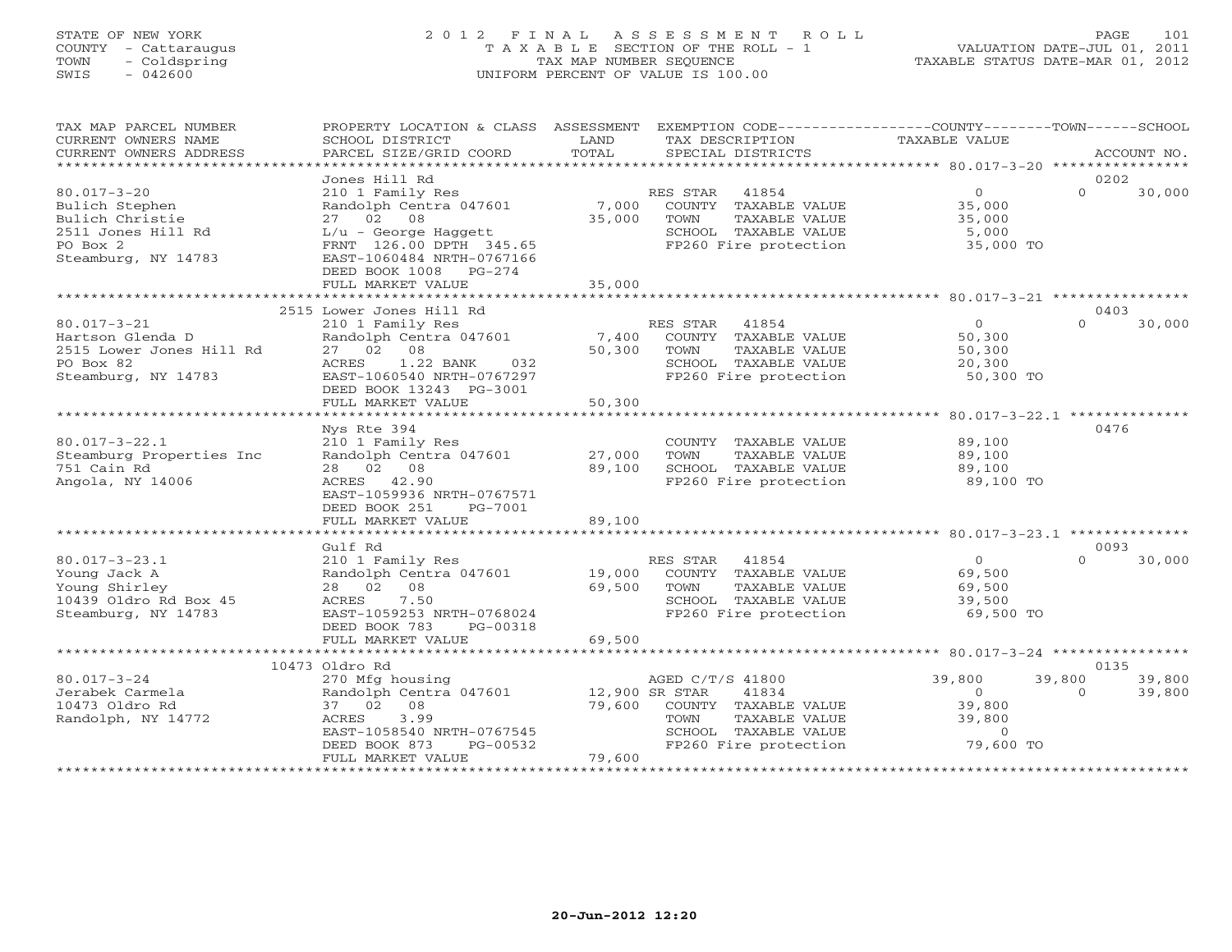## STATE OF NEW YORK 2 0 1 2 F I N A L A S S E S S M E N T R O L L PAGE 101 COUNTY - Cattaraugus T A X A B L E SECTION OF THE ROLL - 1 VALUATION DATE-JUL 01, 2011 TOWN - Coldspring TAX MAP NUMBER SEQUENCE TAXABLE STATUS DATE-MAR 01, 2012 SWIS - 042600 UNIFORM PERCENT OF VALUE IS 100.00UNIFORM PERCENT OF VALUE IS 100.00

| TAX MAP PARCEL NUMBER<br>CURRENT OWNERS NAME                                                                    | PROPERTY LOCATION & CLASS ASSESSMENT<br>SCHOOL DISTRICT                                                                                                                                         | LAND                               | EXEMPTION CODE-----------------COUNTY-------TOWN------SCHOOL<br>TAX DESCRIPTION                                             | <b>TAXABLE VALUE</b>                                          |                                        |
|-----------------------------------------------------------------------------------------------------------------|-------------------------------------------------------------------------------------------------------------------------------------------------------------------------------------------------|------------------------------------|-----------------------------------------------------------------------------------------------------------------------------|---------------------------------------------------------------|----------------------------------------|
| CURRENT OWNERS ADDRESS<br>**********************                                                                | PARCEL SIZE/GRID COORD                                                                                                                                                                          | TOTAL                              | SPECIAL DISTRICTS                                                                                                           |                                                               | ACCOUNT NO.                            |
|                                                                                                                 | Jones Hill Rd                                                                                                                                                                                   |                                    |                                                                                                                             |                                                               | 0202                                   |
| $80.017 - 3 - 20$<br>Bulich Stephen<br>Bulich Christie<br>2511 Jones Hill Rd<br>PO Box 2<br>Steamburg, NY 14783 | 210 1 Family Res<br>Randolph Centra 047601<br>27 02<br>08<br>$L/u$ - George Haggett<br>FRNT 126.00 DPTH 345.65<br>EAST-1060484 NRTH-0767166<br>DEED BOOK 1008<br>$PG-274$                       | 7,000<br>35,000                    | RES STAR<br>41854<br>COUNTY TAXABLE VALUE<br>TOWN<br>TAXABLE VALUE<br>SCHOOL TAXABLE VALUE<br>FP260 Fire protection         | $\circ$<br>35,000<br>35,000<br>5,000<br>35,000 TO             | $\Omega$<br>30,000                     |
|                                                                                                                 | FULL MARKET VALUE                                                                                                                                                                               | 35,000                             |                                                                                                                             |                                                               |                                        |
|                                                                                                                 |                                                                                                                                                                                                 |                                    |                                                                                                                             |                                                               |                                        |
| $80.017 - 3 - 21$<br>Hartson Glenda D<br>2515 Lower Jones Hill Rd<br>PO Box 82<br>Steamburg, NY 14783           | 2515 Lower Jones Hill Rd<br>210 1 Family Res<br>Randolph Centra 047601<br>08<br>27 02<br>1.22 BANK<br>ACRES<br>032<br>EAST-1060540 NRTH-0767297<br>DEED BOOK 13243 PG-3001<br>FULL MARKET VALUE | 7,400<br>50,300<br>50,300          | RES STAR<br>41854<br>COUNTY TAXABLE VALUE<br>TOWN<br>TAXABLE VALUE<br>SCHOOL TAXABLE VALUE<br>FP260 Fire protection         | $\circ$<br>50,300<br>50,300<br>20,300<br>50,300 TO            | 0403<br>$\Omega$<br>30,000             |
|                                                                                                                 |                                                                                                                                                                                                 | ********************               |                                                                                                                             | ************************* 80.017-3-22.1 **************        |                                        |
| $80.017 - 3 - 22.1$<br>Steamburg Properties Inc<br>751 Cain Rd<br>Angola, NY 14006                              | Nys Rte 394<br>210 1 Family Res<br>Randolph Centra 047601<br>28 02 08<br>ACRES 42.90<br>EAST-1059936 NRTH-0767571<br>DEED BOOK 251<br>PG-7001<br>FULL MARKET VALUE                              | 27,000<br>89,100<br>89,100         | COUNTY TAXABLE VALUE<br>TAXABLE VALUE<br>TOWN<br>SCHOOL TAXABLE VALUE<br>FP260 Fire protection                              | 89,100<br>89,100<br>89,100<br>89,100 TO                       | 0476                                   |
|                                                                                                                 | ********************                                                                                                                                                                            |                                    |                                                                                                                             |                                                               |                                        |
| $80.017 - 3 - 23.1$<br>Young Jack A<br>Young Shirley<br>10439 Oldro Rd Box 45<br>Steamburg, NY 14783            | Gulf Rd<br>210 1 Family Res<br>Randolph Centra 047601<br>28 02<br>08<br>ACRES<br>7.50<br>EAST-1059253 NRTH-0768024<br>DEED BOOK 783<br>PG-00318                                                 | 19,000<br>69,500                   | RES STAR<br>41854<br>COUNTY TAXABLE VALUE<br>TAXABLE VALUE<br>TOWN<br>SCHOOL TAXABLE VALUE<br>FP260 Fire protection         | $\circ$<br>69,500<br>69,500<br>39,500<br>69,500 TO            | 0093<br>$\Omega$<br>30,000             |
|                                                                                                                 | FULL MARKET VALUE                                                                                                                                                                               | 69,500                             |                                                                                                                             |                                                               |                                        |
|                                                                                                                 | ************************<br>10473 Oldro Rd                                                                                                                                                      |                                    |                                                                                                                             |                                                               | 0135                                   |
| $80.017 - 3 - 24$<br>Jerabek Carmela<br>10473 Oldro Rd<br>Randolph, NY 14772                                    | 270 Mfg housing<br>Randolph Centra 047601<br>37 02<br>08<br>ACRES<br>3.99<br>EAST-1058540 NRTH-0767545<br>DEED BOOK 873<br>PG-00532<br>FULL MARKET VALUE                                        | 12,900 SR STAR<br>79,600<br>79,600 | AGED C/T/S 41800<br>41834<br>COUNTY TAXABLE VALUE<br>TOWN<br>TAXABLE VALUE<br>SCHOOL TAXABLE VALUE<br>FP260 Fire protection | 39,800<br>$\circ$<br>39,800<br>39,800<br>$\circ$<br>79,600 TO | 39,800<br>39,800<br>$\Omega$<br>39,800 |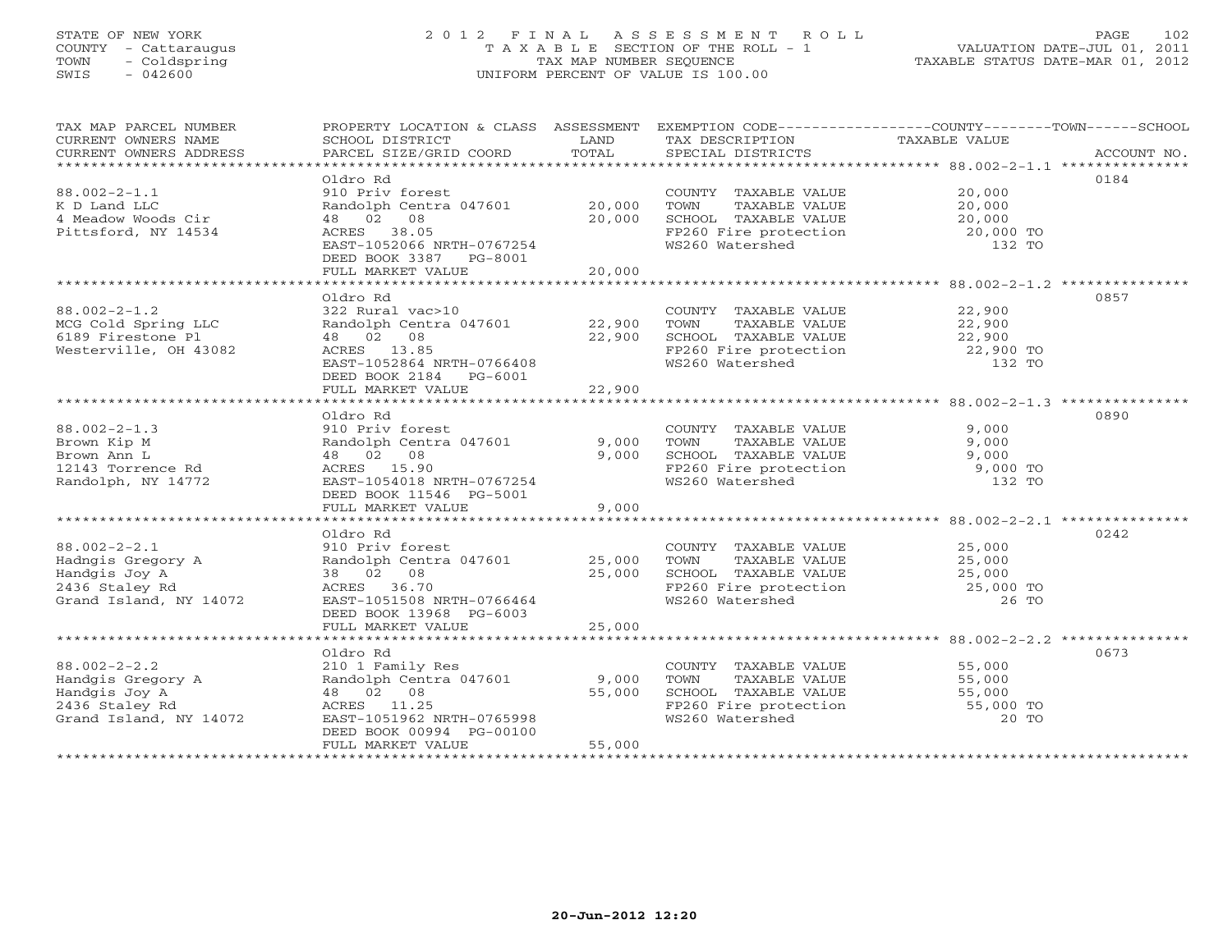## STATE OF NEW YORK 2 0 1 2 F I N A L A S S E S S M E N T R O L L PAGE 102 COUNTY - Cattaraugus T A X A B L E SECTION OF THE ROLL - 1 VALUATION DATE-JUL 01, 2011 TOWN - Coldspring TAX MAP NUMBER SEQUENCE TAXABLE STATUS DATE-MAR 01, 2012 SWIS - 042600 UNIFORM PERCENT OF VALUE IS 100.00UNIFORM PERCENT OF VALUE IS 100.00

| TAX MAP PARCEL NUMBER<br>CURRENT OWNERS NAME<br>CURRENT OWNERS ADDRESS                                                | SCHOOL DISTRICT<br>PARCEL SIZE/GRID COORD                                                                                                                             | LAND<br>TOTAL    | TAX DESCRIPTION<br>SPECIAL DISTRICTS                                                                                                                | PROPERTY LOCATION & CLASS ASSESSMENT EXEMPTION CODE---------------COUNTY-------TOWN------SCHOOL<br>TAXABLE VALUE<br>ACCOUNT NO. |
|-----------------------------------------------------------------------------------------------------------------------|-----------------------------------------------------------------------------------------------------------------------------------------------------------------------|------------------|-----------------------------------------------------------------------------------------------------------------------------------------------------|---------------------------------------------------------------------------------------------------------------------------------|
| $88.002 - 2 - 1.1$<br>K D Land LLC<br>4 Meadow Woods Cir<br>Pittsford, NY 14534                                       | Oldro Rd<br>910 Priv forest<br>Randolph Centra 047601 20,000<br>48 02 08<br>ACRES 38.05<br>EAST-1052066 NRTH-0767254<br>DEED BOOK 3387 PG-8001<br>FULL MARKET VALUE   | 20,000<br>20,000 | COUNTY TAXABLE VALUE<br>TAXABLE VALUE<br>TOWN<br>SCHOOL TAXABLE VALUE<br>SCHOOL TAXABLE VALUE<br>FP260 Fire protection<br>WS260 Watershed           | 0184<br>20,000<br>20,000<br>20,000<br>20,000 TO<br>132 TO                                                                       |
|                                                                                                                       | Oldro Rd                                                                                                                                                              |                  |                                                                                                                                                     | 0857                                                                                                                            |
| $88.002 - 2 - 1.2$<br>MCG Cold Spring LLC<br>6189 Firestone Pl<br>Westerville, OH 43082                               | 322 Rural vac>10<br>Randolph Centra 047601 22,900<br>48 02 08<br>ACRES 13.85<br>EAST-1052864 NRTH-0766408<br>DEED BOOK 2184 PG-6001                                   | 22,900           | COUNTY TAXABLE VALUE 22,900<br>TOWN<br>TAXABLE VALUE<br>SCHOOL TAXABLE VALUE 22,900<br>FP260 Fire protection 22,900 TO<br>132 TO<br>WS260 Watershed | $22,900$<br>$22,900$<br>132 TO                                                                                                  |
|                                                                                                                       | FULL MARKET VALUE                                                                                                                                                     | 22,900           |                                                                                                                                                     |                                                                                                                                 |
| $88.002 - 2 - 1.3$<br>Brown Kip M<br>Brown Ann L<br>12143 Torrence Rd<br>Randolph, NY 14772                           | Oldro Rd<br>910 Priv forest<br>Randolph Centra 047601<br>48 02 08<br>ACRES 15.90<br>EAST-1054018 NRTH-0767254<br>DEED BOOK 11546 PG-5001                              | 9,000<br>9,000   | COUNTY TAXABLE VALUE<br>TOWN<br>TAXABLE VALUE<br>SCHOOL TAXABLE VALUE 9,000<br>SCHOOL TAAADDE WALLET<br>FP260 Fire protection<br>WS260 Watershed    | 0890<br>9,000<br>9,000<br>9,000 TO<br>132 TO                                                                                    |
|                                                                                                                       | FULL MARKET VALUE                                                                                                                                                     | 9,000            |                                                                                                                                                     |                                                                                                                                 |
| $88.002 - 2 - 2.1$<br>Hadngis Gregory A<br>Handgis Jov A<br>Handgis Joy A<br>2436 Staley Rd<br>Grand Island, NY 14072 | Oldro Rd<br>910 Priv forest<br>Randolph Centra 047601 25,000<br>38 02 08<br>ACRES 36.70<br>EAST-1051508 NRTH-0766464<br>DEED BOOK 13968 PG-6003                       | 25,000           | COUNTY TAXABLE VALUE<br>TOWN<br>TAXABLE VALUE<br>SCHOOL TAXABLE VALUE $25,000$<br>FP260 Fire protection $25,000$ TO<br>WS260 Watershed $26$ TO      | 0242<br>25,000<br>25,000                                                                                                        |
|                                                                                                                       | FULL MARKET VALUE                                                                                                                                                     | 25,000           |                                                                                                                                                     |                                                                                                                                 |
| $88.002 - 2 - 2.2$<br>Handgis Gregory A<br>Handgis Joy A<br>2436 Staley Rd<br>Grand Island, NY 14072                  | Oldro Rd<br>210 1 Family Res<br>Randolph Centra 047601 9,000<br>48 02 08<br>ACRES 11.25<br>EAST-1051962 NRTH-0765998<br>DEED BOOK 00994 PG-00100<br>FULL MARKET VALUE | 55,000<br>55,000 | COUNTY TAXABLE VALUE<br>TAXABLE VALUE<br>TOWN<br>SCHOOL TAXABLE VALUE 55,000<br>FP260 Fire protection 55,000 TO<br>WS260 Watershed                  | 0673<br>55,000<br>55,000<br>$20$ TO                                                                                             |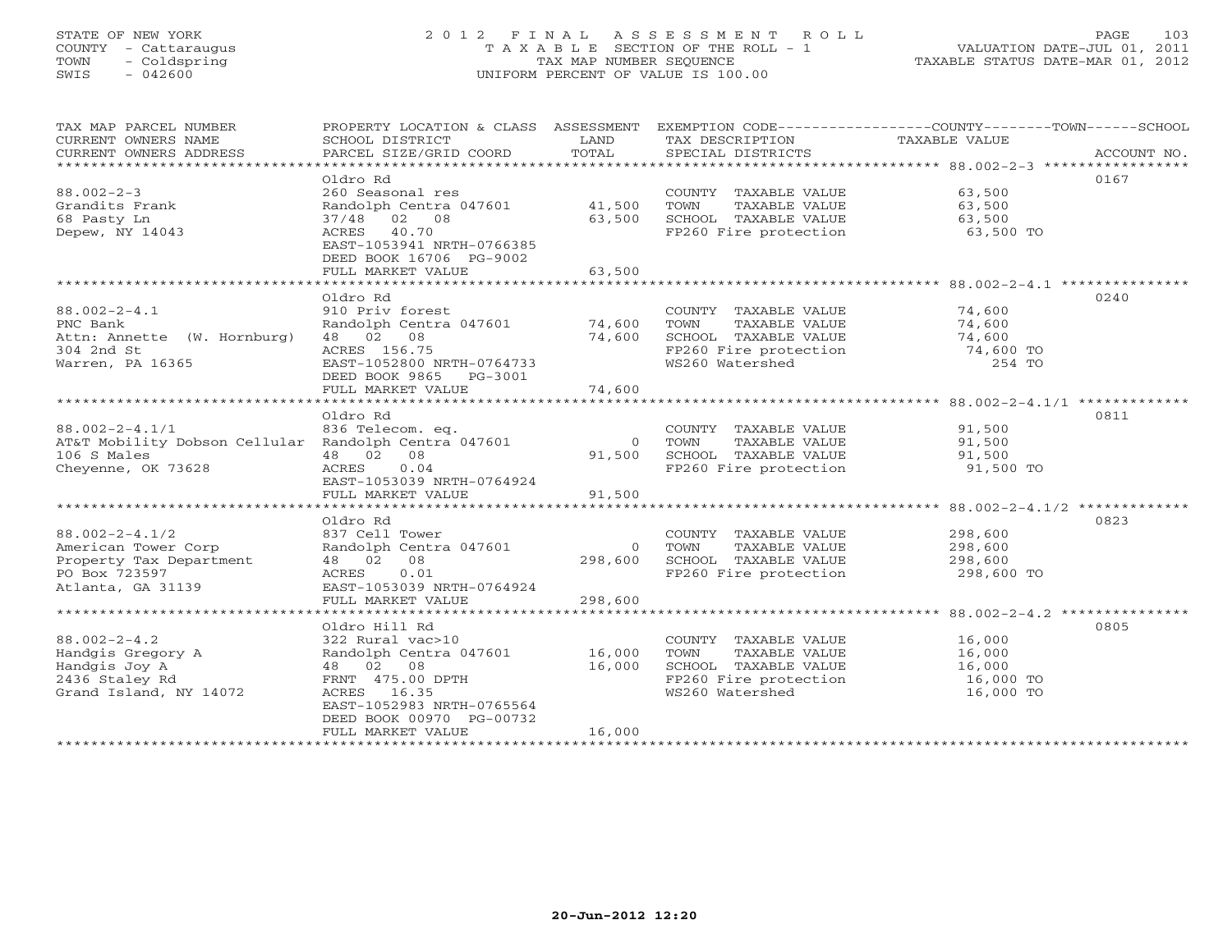# STATE OF NEW YORK 2 0 1 2 F I N A L A S S E S S M E N T R O L L PAGE 103 COUNTY - Cattaraugus T A X A B L E SECTION OF THE ROLL - 1 VALUATION DATE-JUL 01, 2011 TOWN - Coldspring TAX MAP NUMBER SEQUENCE TAXABLE STATUS DATE-MAR 01, 2012 SWIS - 042600 UNIFORM PERCENT OF VALUE IS 100.00UNIFORM PERCENT OF VALUE IS 100.00

| TAX MAP PARCEL NUMBER<br>CURRENT OWNERS NAME<br>CURRENT OWNERS ADDRESS | SCHOOL DISTRICT<br>PARCEL SIZE/GRID COORD            | LAND<br>TOTAL | TAX DESCRIPTION<br>SPECIAL DISTRICTS | PROPERTY LOCATION & CLASS ASSESSMENT EXEMPTION CODE----------------COUNTY-------TOWN------SCHOOL<br>TAXABLE VALUE<br>ACCOUNT NO. |
|------------------------------------------------------------------------|------------------------------------------------------|---------------|--------------------------------------|----------------------------------------------------------------------------------------------------------------------------------|
|                                                                        |                                                      |               |                                      |                                                                                                                                  |
|                                                                        | Oldro Rd                                             |               |                                      | 0167                                                                                                                             |
| $88.002 - 2 - 3$                                                       | 260 Seasonal res                                     |               | COUNTY TAXABLE VALUE                 | 63,500                                                                                                                           |
| Grandits Frank                                                         | Randolph Centra 047601                               | 41,500        | TOWN<br>TAXABLE VALUE                | 63,500                                                                                                                           |
| 68 Pasty Ln                                                            | 37/48 02 08                                          | 63,500        | SCHOOL TAXABLE VALUE                 | 63,500                                                                                                                           |
| Depew, NY 14043                                                        | ACRES 40.70                                          |               | FP260 Fire protection                | 63,500 TO                                                                                                                        |
|                                                                        | EAST-1053941 NRTH-0766385<br>DEED BOOK 16706 PG-9002 |               |                                      |                                                                                                                                  |
|                                                                        | FULL MARKET VALUE                                    | 63,500        |                                      |                                                                                                                                  |
|                                                                        |                                                      |               |                                      |                                                                                                                                  |
|                                                                        | Oldro Rd                                             |               |                                      | 0240                                                                                                                             |
| $88.002 - 2 - 4.1$                                                     | 910 Priv forest                                      |               | COUNTY TAXABLE VALUE                 | 74,600                                                                                                                           |
|                                                                        |                                                      |               |                                      | 74,600                                                                                                                           |
| PNC Bank                                                               | Randolph Centra 047601                               | 74,600        | TOWN<br>TAXABLE VALUE                |                                                                                                                                  |
| Attn: Annette (W. Hornburg)                                            | 48 02 08                                             | 74,600        | SCHOOL TAXABLE VALUE                 | 74,600                                                                                                                           |
| 304 2nd St                                                             | ACRES 156.75                                         |               | FP260 Fire protection                | 74,600 TO                                                                                                                        |
| Warren, PA 16365                                                       | EAST-1052800 NRTH-0764733                            |               | WS260 Watershed                      | 254 TO                                                                                                                           |
|                                                                        | DEED BOOK 9865 PG-3001                               |               |                                      |                                                                                                                                  |
|                                                                        | FULL MARKET VALUE                                    | 74,600        |                                      |                                                                                                                                  |
|                                                                        |                                                      |               |                                      |                                                                                                                                  |
|                                                                        | Oldro Rd                                             |               |                                      | 0811                                                                                                                             |
| $88.002 - 2 - 4.1/1$                                                   | 836 Telecom. eq.                                     |               | COUNTY TAXABLE VALUE                 | 91,500                                                                                                                           |
| AT&T Mobility Dobson Cellular Randolph Centra 047601                   |                                                      | $\Omega$      | TAXABLE VALUE<br>TOWN                | 91,500                                                                                                                           |
| 106 S Males                                                            | 48 02<br>08                                          | 91,500        | SCHOOL TAXABLE VALUE                 | 91,500                                                                                                                           |
| Cheyenne, OK 73628                                                     | 0.04<br>ACRES                                        |               | FP260 Fire protection                | 91,500 TO                                                                                                                        |
|                                                                        | EAST-1053039 NRTH-0764924                            |               |                                      |                                                                                                                                  |
|                                                                        | FULL MARKET VALUE                                    | 91,500        |                                      |                                                                                                                                  |
|                                                                        |                                                      |               |                                      |                                                                                                                                  |
|                                                                        | Oldro Rd                                             |               |                                      | 0823                                                                                                                             |
| $88.002 - 2 - 4.1/2$                                                   | 837 Cell Tower                                       |               | COUNTY TAXABLE VALUE                 | 298,600                                                                                                                          |
| American Tower Corp                                                    | Randolph Centra 047601                               | $\Omega$      | TAXABLE VALUE<br>TOWN                | 298,600                                                                                                                          |
| Property Tax Department                                                | 48 02 08                                             | 298,600       | SCHOOL TAXABLE VALUE                 | 298,600                                                                                                                          |
| PO Box 723597                                                          | ACRES<br>0.01                                        |               | FP260 Fire protection                | 298,600 TO                                                                                                                       |
| Atlanta, GA 31139                                                      | EAST-1053039 NRTH-0764924                            |               |                                      |                                                                                                                                  |
|                                                                        | FULL MARKET VALUE                                    | 298,600       |                                      |                                                                                                                                  |
|                                                                        | ***********************************                  | ***********   |                                      | ******************** 88.002-2-4.2 ****************                                                                               |
|                                                                        | Oldro Hill Rd                                        |               |                                      | 0805                                                                                                                             |
| $88.002 - 2 - 4.2$                                                     | 322 Rural vac>10                                     |               | COUNTY TAXABLE VALUE                 | 16,000                                                                                                                           |
| Handgis Gregory A                                                      | Randolph Centra 047601                               | 16,000        | TOWN<br>TAXABLE VALUE                | 16,000                                                                                                                           |
| Handgis Joy A                                                          | 48 02 08                                             | 16,000        | SCHOOL TAXABLE VALUE                 | 16,000                                                                                                                           |
| 2436 Staley Rd                                                         | FRNT 475.00 DPTH                                     |               | FP260 Fire protection                | 16,000 TO                                                                                                                        |
| Grand Island, NY 14072                                                 | ACRES 16.35                                          |               | WS260 Watershed                      | 16,000 TO                                                                                                                        |
|                                                                        | EAST-1052983 NRTH-0765564                            |               |                                      |                                                                                                                                  |
|                                                                        |                                                      |               |                                      |                                                                                                                                  |
|                                                                        | DEED BOOK 00970 PG-00732                             | 16,000        |                                      |                                                                                                                                  |
|                                                                        | FULL MARKET VALUE                                    |               |                                      |                                                                                                                                  |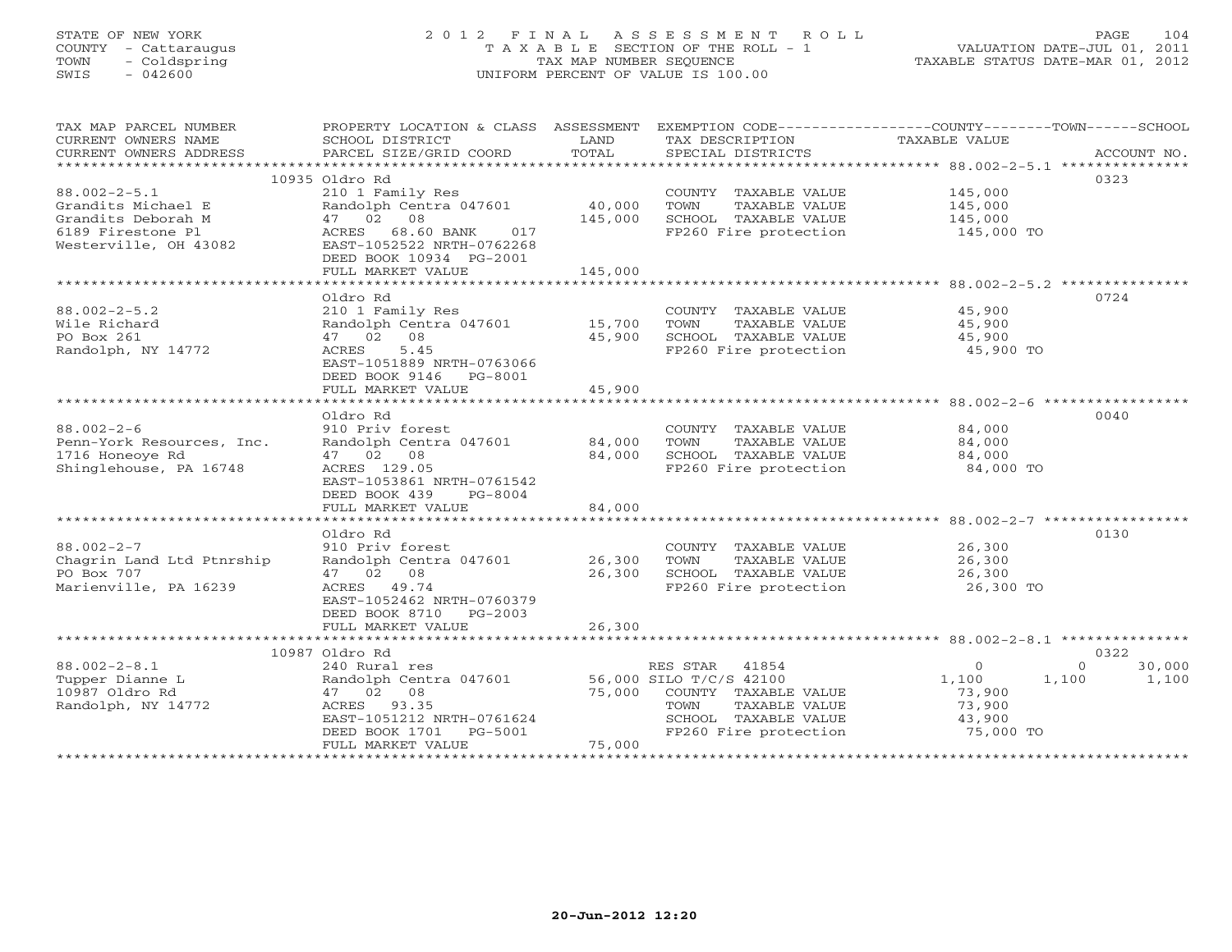# STATE OF NEW YORK 2 0 1 2 F I N A L A S S E S S M E N T R O L L PAGE 104 COUNTY - Cattaraugus T A X A B L E SECTION OF THE ROLL - 1 VALUATION DATE-JUL 01, 2011 TOWN - Coldspring TAX MAP NUMBER SEQUENCE TAXABLE STATUS DATE-MAR 01, 2012 SWIS - 042600 UNIFORM PERCENT OF VALUE IS 100.00UNIFORM PERCENT OF VALUE IS 100.00

| TAX MAP PARCEL NUMBER                   | PROPERTY LOCATION & CLASS ASSESSMENT EXEMPTION CODE---------------COUNTY-------TOWN-----SCHOOL |                          |                                               |                  |                    |
|-----------------------------------------|------------------------------------------------------------------------------------------------|--------------------------|-----------------------------------------------|------------------|--------------------|
| CURRENT OWNERS NAME                     | SCHOOL DISTRICT                                                                                | LAND                     | TAX DESCRIPTION                               | TAXABLE VALUE    |                    |
| CURRENT OWNERS ADDRESS                  | PARCEL SIZE/GRID COORD                                                                         | TOTAL                    | SPECIAL DISTRICTS                             |                  | ACCOUNT NO.        |
|                                         |                                                                                                |                          |                                               |                  |                    |
|                                         | 10935 Oldro Rd                                                                                 |                          |                                               |                  | 0323               |
| $88.002 - 2 - 5.1$                      | 210 1 Family Res                                                                               |                          | COUNTY TAXABLE VALUE                          | 145,000          |                    |
| Grandits Michael E                      | Randolph Centra 047601                                                                         | 40,000                   | TOWN<br>TAXABLE VALUE                         | 145,000          |                    |
| Grandits Deborah M                      | 47 02 08                                                                                       | 145,000                  | SCHOOL TAXABLE VALUE                          | 145,000          |                    |
| 6189 Firestone Pl                       | 68.60 BANK<br>ACRES<br>017                                                                     |                          | FP260 Fire protection                         | 145,000 TO       |                    |
| Westerville, OH 43082                   | EAST-1052522 NRTH-0762268                                                                      |                          |                                               |                  |                    |
|                                         | DEED BOOK 10934 PG-2001                                                                        |                          |                                               |                  |                    |
|                                         | FULL MARKET VALUE                                                                              | 145,000<br>************* |                                               |                  |                    |
|                                         | *************************                                                                      |                          |                                               |                  |                    |
|                                         | Oldro Rd                                                                                       |                          |                                               |                  | 0724               |
| $88.002 - 2 - 5.2$                      | 210 1 Family Res                                                                               |                          | COUNTY TAXABLE VALUE                          | 45,900           |                    |
| Wile Richard                            | Randolph Centra 047601                                                                         | 15,700                   | TOWN<br>TAXABLE VALUE                         | 45,900           |                    |
| PO Box 261                              | 47 02 08                                                                                       | 45,900                   | SCHOOL TAXABLE VALUE                          | 45,900           |                    |
| Randolph, NY 14772                      | 5.45<br>ACRES                                                                                  |                          | FP260 Fire protection                         | 45,900 TO        |                    |
|                                         | EAST-1051889 NRTH-0763066                                                                      |                          |                                               |                  |                    |
|                                         | DEED BOOK 9146 PG-8001                                                                         |                          |                                               |                  |                    |
|                                         | FULL MARKET VALUE                                                                              | 45,900                   |                                               |                  |                    |
|                                         |                                                                                                |                          |                                               |                  |                    |
|                                         | Oldro Rd                                                                                       |                          |                                               |                  | 0040               |
| $88.002 - 2 - 6$                        | 910 Priv forest                                                                                |                          | COUNTY TAXABLE VALUE                          | 84,000           |                    |
| Penn-York Resources, Inc.               | Randolph Centra 047601                                                                         | 84,000                   | TOWN<br>TAXABLE VALUE                         | 84,000           |                    |
| 1716 Honeoye Rd                         | 47 02 08                                                                                       | 84,000                   | SCHOOL TAXABLE VALUE                          | 84,000           |                    |
| Shinglehouse, PA 16748                  | ACRES 129.05                                                                                   |                          | FP260 Fire protection                         | 84,000 TO        |                    |
|                                         | EAST-1053861 NRTH-0761542                                                                      |                          |                                               |                  |                    |
|                                         | DEED BOOK 439<br>PG-8004                                                                       |                          |                                               |                  |                    |
|                                         | FULL MARKET VALUE                                                                              | 84,000                   |                                               |                  |                    |
|                                         |                                                                                                |                          |                                               |                  | 0130               |
| $88.002 - 2 - 7$                        | Oldro Rd<br>910 Priv forest                                                                    |                          |                                               | 26,300           |                    |
|                                         |                                                                                                |                          | COUNTY TAXABLE VALUE                          |                  |                    |
| Chagrin Land Ltd Ptnrship<br>PO Box 707 | Randolph Centra 047601                                                                         | 26,300<br>26,300         | TAXABLE VALUE<br>TOWN<br>SCHOOL TAXABLE VALUE | 26,300<br>26,300 |                    |
| Marienville, PA 16239                   | 47 02 08                                                                                       |                          | FP260 Fire protection                         |                  |                    |
|                                         | ACRES 49.74                                                                                    |                          |                                               | 26,300 TO        |                    |
|                                         | EAST-1052462 NRTH-0760379                                                                      |                          |                                               |                  |                    |
|                                         | DEED BOOK 8710 PG-2003<br>FULL MARKET VALUE                                                    | 26,300                   |                                               |                  |                    |
|                                         |                                                                                                |                          |                                               |                  |                    |
|                                         | 10987 Oldro Rd                                                                                 |                          |                                               |                  | 0322               |
| $88.002 - 2 - 8.1$                      | 240 Rural res                                                                                  |                          | RES STAR 41854                                | $\Omega$         | $\Omega$<br>30,000 |
| Tupper Dianne L                         |                                                                                                |                          | 56,000 SILO T/C/S 42100                       |                  |                    |
| 10987 Oldro Rd                          | Randolph Centra 047601<br>47 02 08                                                             | 75,000                   | COUNTY TAXABLE VALUE                          | 1,100<br>73,900  | 1,100<br>1,100     |
|                                         | ACRES 93.35                                                                                    |                          | TAXABLE VALUE<br>TOWN                         |                  |                    |
| Randolph, NY 14772                      | EAST-1051212 NRTH-0761624                                                                      |                          | SCHOOL TAXABLE VALUE                          | 73,900<br>43,900 |                    |
|                                         | DEED BOOK 1701<br>PG-5001                                                                      |                          | FP260 Fire protection                         | 75,000 TO        |                    |
|                                         | FULL MARKET VALUE                                                                              | 75,000                   |                                               |                  |                    |
|                                         |                                                                                                |                          |                                               |                  |                    |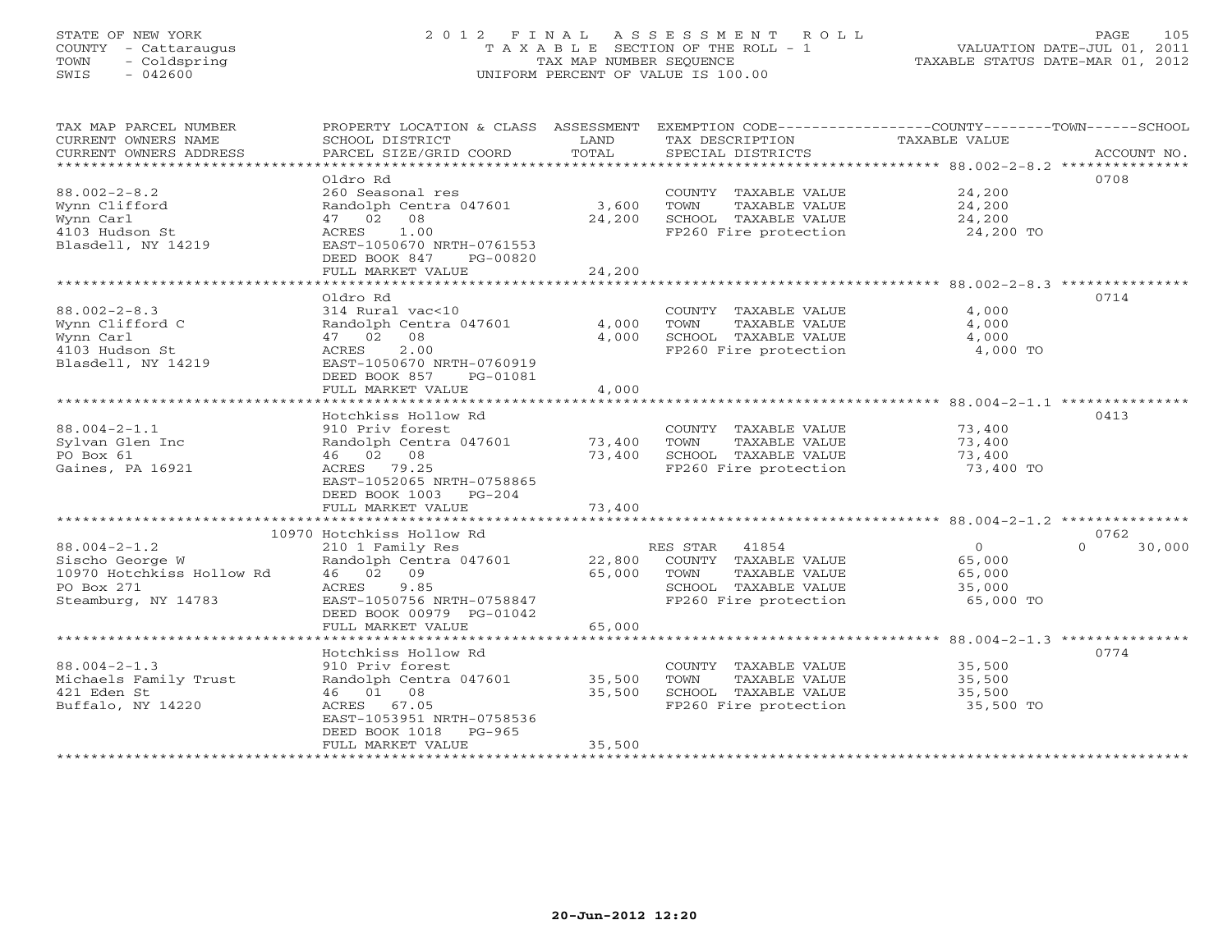# STATE OF NEW YORK 2 0 1 2 F I N A L A S S E S S M E N T R O L L PAGE 105 COUNTY - Cattaraugus T A X A B L E SECTION OF THE ROLL - 1 VALUATION DATE-JUL 01, 2011 TOWN - Coldspring TAX MAP NUMBER SEQUENCE TAXABLE STATUS DATE-MAR 01, 2012 SWIS - 042600 UNIFORM PERCENT OF VALUE IS 100.00

| TAX MAP PARCEL NUMBER<br>CURRENT OWNERS NAME<br>CURRENT OWNERS ADDRESS<br>*************************     | PROPERTY LOCATION & CLASS ASSESSMENT EXEMPTION CODE---------------COUNTY-------TOWN------SCHOOL<br>SCHOOL DISTRICT<br>PARCEL SIZE/GRID COORD                                                        | LAND<br>TOTAL                                         | TAX DESCRIPTION<br>SPECIAL DISTRICTS                                                                             | TAXABLE VALUE                                       | ACCOUNT NO.        |
|---------------------------------------------------------------------------------------------------------|-----------------------------------------------------------------------------------------------------------------------------------------------------------------------------------------------------|-------------------------------------------------------|------------------------------------------------------------------------------------------------------------------|-----------------------------------------------------|--------------------|
| $88.002 - 2 - 8.2$<br>Wynn Clifford<br>Wynn Carl<br>4103 Hudson St<br>Blasdell, NY 14219                | Oldro Rd<br>260 Seasonal res<br>Randolph Centra 047601<br>47 02 08<br>1.00<br>ACRES<br>EAST-1050670 NRTH-0761553<br>DEED BOOK 847<br>PG-00820<br>FULL MARKET VALUE                                  | 3,600<br>24,200<br>24,200                             | COUNTY TAXABLE VALUE<br>TOWN<br>TAXABLE VALUE<br>SCHOOL TAXABLE VALUE<br>FP260 Fire protection                   | 24,200<br>24,200<br>24,200<br>24,200 TO             | 0708               |
|                                                                                                         |                                                                                                                                                                                                     |                                                       |                                                                                                                  |                                                     |                    |
| $88.002 - 2 - 8.3$<br>Wynn Clifford C<br>Wynn Carl<br>4103 Hudson St<br>Blasdell, NY 14219              | Oldro Rd<br>314 Rural vac<10<br>Randolph Centra 047601<br>47 02 08<br>2.00<br>ACRES<br>EAST-1050670 NRTH-0760919<br>DEED BOOK 857<br>PG-01081<br>FULL MARKET VALUE                                  | 4,000<br>4,000<br>4,000                               | COUNTY TAXABLE VALUE<br>TOWN<br>TAXABLE VALUE<br>SCHOOL TAXABLE VALUE<br>FP260 Fire protection                   | 4,000<br>4,000<br>4,000<br>4,000 TO                 | 0714               |
|                                                                                                         |                                                                                                                                                                                                     |                                                       |                                                                                                                  |                                                     |                    |
| $88.004 - 2 - 1.1$<br>Sylvan Glen Inc<br>PO Box 61<br>Gaines, PA 16921                                  | Hotchkiss Hollow Rd<br>910 Priv forest<br>Randolph Centra 047601<br>46 02 08<br>ACRES 79.25<br>EAST-1052065 NRTH-0758865<br>DEED BOOK 1003 PG-204<br>FULL MARKET VALUE<br>************************* | 73,400<br>73,400<br>73,400<br>* * * * * * * * * * * * | COUNTY TAXABLE VALUE<br>TOWN<br>TAXABLE VALUE<br>SCHOOL TAXABLE VALUE<br>FP260 Fire protection                   | 73,400<br>73,400<br>73,400<br>73,400 TO             | 0413               |
|                                                                                                         | 10970 Hotchkiss Hollow Rd                                                                                                                                                                           |                                                       |                                                                                                                  |                                                     | 0762               |
| $88.004 - 2 - 1.2$<br>Sischo George W<br>10970 Hotchkiss Hollow Rd<br>PO Box 271<br>Steamburg, NY 14783 | 210 1 Family Res<br>Randolph Centra 047601<br>46 02 09<br>9.85<br>ACRES<br>EAST-1050756 NRTH-0758847<br>DEED BOOK 00979 PG-01042                                                                    | 22,800<br>65,000                                      | RES STAR 41854<br>COUNTY TAXABLE VALUE<br>TAXABLE VALUE<br>TOWN<br>SCHOOL TAXABLE VALUE<br>FP260 Fire protection | $\Omega$<br>65,000<br>65,000<br>35,000<br>65,000 TO | $\Omega$<br>30,000 |
|                                                                                                         | FULL MARKET VALUE                                                                                                                                                                                   | 65,000                                                |                                                                                                                  |                                                     |                    |
| $88.004 - 2 - 1.3$<br>Michaels Family Trust<br>421 Eden St<br>Buffalo, NY 14220                         | Hotchkiss Hollow Rd<br>910 Priv forest<br>Randolph Centra 047601<br>46 01 08<br>ACRES 67.05<br>EAST-1053951 NRTH-0758536<br>DEED BOOK 1018<br>PG-965                                                | 35,500<br>35,500                                      | COUNTY TAXABLE VALUE<br>TOWN<br>TAXABLE VALUE<br>SCHOOL TAXABLE VALUE<br>FP260 Fire protection                   | 35,500<br>35,500<br>35,500<br>35,500 TO             | 0774               |
|                                                                                                         | FULL MARKET VALUE                                                                                                                                                                                   | 35,500                                                |                                                                                                                  |                                                     |                    |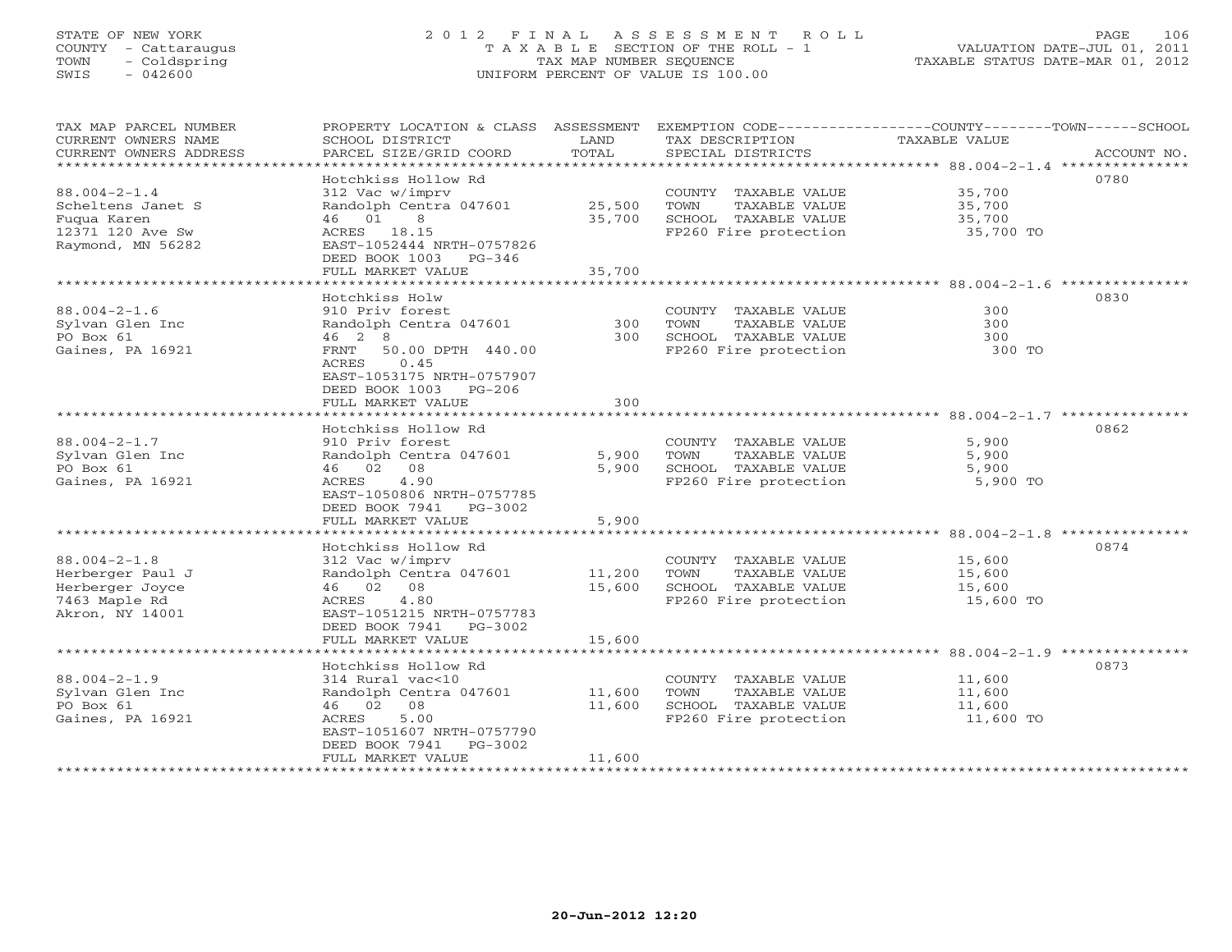# STATE OF NEW YORK 2 0 1 2 F I N A L A S S E S S M E N T R O L L PAGE 106 COUNTY - Cattaraugus T A X A B L E SECTION OF THE ROLL - 1 VALUATION DATE-JUL 01, 2011 TOWN - Coldspring TAX MAP NUMBER SEQUENCE TAXABLE STATUS DATE-MAR 01, 2012 SWIS - 042600 UNIFORM PERCENT OF VALUE IS 100.00UNIFORM PERCENT OF VALUE IS 100.00

| TAX MAP PARCEL NUMBER<br>CURRENT OWNERS NAME<br>CURRENT OWNERS ADDRESS | PROPERTY LOCATION & CLASS ASSESSMENT<br>SCHOOL DISTRICT<br>PARCEL SIZE/GRID COORD | LAND<br>TOTAL | EXEMPTION CODE-----------------COUNTY-------TOWN-----SCHOOL<br>TAX DESCRIPTION<br>SPECIAL DISTRICTS | TAXABLE VALUE       | ACCOUNT NO. |
|------------------------------------------------------------------------|-----------------------------------------------------------------------------------|---------------|-----------------------------------------------------------------------------------------------------|---------------------|-------------|
| ***********************                                                |                                                                                   |               |                                                                                                     |                     |             |
|                                                                        | Hotchkiss Hollow Rd                                                               |               |                                                                                                     |                     | 0780        |
| $88.004 - 2 - 1.4$                                                     | 312 Vac w/imprv                                                                   |               | COUNTY TAXABLE VALUE                                                                                | 35,700              |             |
| Scheltens Janet S                                                      | Randolph Centra 047601                                                            | 25,500        | TOWN<br>TAXABLE VALUE                                                                               | 35,700              |             |
| Fugua Karen                                                            | 46 01<br>8                                                                        | 35,700        | SCHOOL TAXABLE VALUE                                                                                | 35,700              |             |
| 12371 120 Ave Sw                                                       | ACRES 18.15                                                                       |               | FP260 Fire protection                                                                               | 35,700 TO           |             |
| Raymond, MN 56282                                                      | EAST-1052444 NRTH-0757826                                                         |               |                                                                                                     |                     |             |
|                                                                        | DEED BOOK 1003 PG-346                                                             |               |                                                                                                     |                     |             |
|                                                                        | FULL MARKET VALUE<br>************************                                     | 35,700        |                                                                                                     |                     |             |
|                                                                        | Hotchkiss Holw                                                                    |               |                                                                                                     |                     | 0830        |
| $88.004 - 2 - 1.6$                                                     | 910 Priv forest                                                                   |               | COUNTY TAXABLE VALUE                                                                                | 300                 |             |
| Sylvan Glen Inc                                                        | Randolph Centra 047601                                                            | 300           | TAXABLE VALUE<br>TOWN                                                                               | 300                 |             |
| PO Box 61                                                              | 46 2 8                                                                            | 300           | SCHOOL TAXABLE VALUE                                                                                | 300                 |             |
| Gaines, PA 16921                                                       | 50.00 DPTH 440.00<br>FRNT                                                         |               | FP260 Fire protection                                                                               | 300 TO              |             |
|                                                                        | ACRES<br>0.45                                                                     |               |                                                                                                     |                     |             |
|                                                                        | EAST-1053175 NRTH-0757907                                                         |               |                                                                                                     |                     |             |
|                                                                        | DEED BOOK 1003<br>PG-206                                                          |               |                                                                                                     |                     |             |
|                                                                        | FULL MARKET VALUE                                                                 | 300           |                                                                                                     |                     |             |
|                                                                        |                                                                                   |               |                                                                                                     |                     |             |
|                                                                        | Hotchkiss Hollow Rd                                                               |               |                                                                                                     |                     | 0862        |
| $88.004 - 2 - 1.7$<br>Sylvan Glen Inc                                  | 910 Priv forest<br>Randolph Centra 047601                                         | 5,900         | COUNTY TAXABLE VALUE<br>TAXABLE VALUE<br>TOWN                                                       | 5,900<br>5,900      |             |
| PO Box 61                                                              | 46 02 08                                                                          | 5,900         | SCHOOL TAXABLE VALUE                                                                                | 5,900               |             |
| Gaines, PA 16921                                                       | 4.90<br>ACRES                                                                     |               | FP260 Fire protection                                                                               | 5,900 TO            |             |
|                                                                        | EAST-1050806 NRTH-0757785                                                         |               |                                                                                                     |                     |             |
|                                                                        | DEED BOOK 7941 PG-3002                                                            |               |                                                                                                     |                     |             |
|                                                                        | FULL MARKET VALUE                                                                 | 5,900         |                                                                                                     |                     |             |
|                                                                        |                                                                                   |               |                                                                                                     |                     |             |
|                                                                        | Hotchkiss Hollow Rd                                                               |               |                                                                                                     |                     | 0874        |
| $88.004 - 2 - 1.8$                                                     | 312 Vac w/imprv                                                                   |               | COUNTY TAXABLE VALUE                                                                                | 15,600              |             |
| Herberger Paul J                                                       | Randolph Centra 047601                                                            | 11,200        | TAXABLE VALUE<br>TOWN                                                                               | 15,600              |             |
| Herberger Joyce<br>7463 Maple Rd                                       | 46 02 08<br>ACRES<br>4.80                                                         | 15,600        | SCHOOL TAXABLE VALUE<br>FP260 Fire protection                                                       | 15,600<br>15,600 TO |             |
| Akron, NY 14001                                                        | EAST-1051215 NRTH-0757783                                                         |               |                                                                                                     |                     |             |
|                                                                        | DEED BOOK 7941 PG-3002                                                            |               |                                                                                                     |                     |             |
|                                                                        | FULL MARKET VALUE                                                                 | 15,600        |                                                                                                     |                     |             |
|                                                                        |                                                                                   |               |                                                                                                     |                     |             |
|                                                                        | Hotchkiss Hollow Rd                                                               |               |                                                                                                     |                     | 0873        |
| $88.004 - 2 - 1.9$                                                     | 314 Rural vac<10                                                                  |               | COUNTY TAXABLE VALUE                                                                                | 11,600              |             |
| Sylvan Glen Inc                                                        | Randolph Centra 047601                                                            | 11,600        | TOWN<br>TAXABLE VALUE                                                                               | 11,600              |             |
| PO Box 61                                                              | 46 02 08                                                                          | 11,600        | SCHOOL TAXABLE VALUE                                                                                | 11,600              |             |
| Gaines, PA 16921                                                       | 5.00<br>ACRES                                                                     |               | FP260 Fire protection                                                                               | 11,600 TO           |             |
|                                                                        | EAST-1051607 NRTH-0757790<br>DEED BOOK 7941<br>PG-3002                            |               |                                                                                                     |                     |             |
|                                                                        | FULL MARKET VALUE                                                                 | 11,600        |                                                                                                     |                     |             |
|                                                                        | ********************                                                              |               |                                                                                                     |                     |             |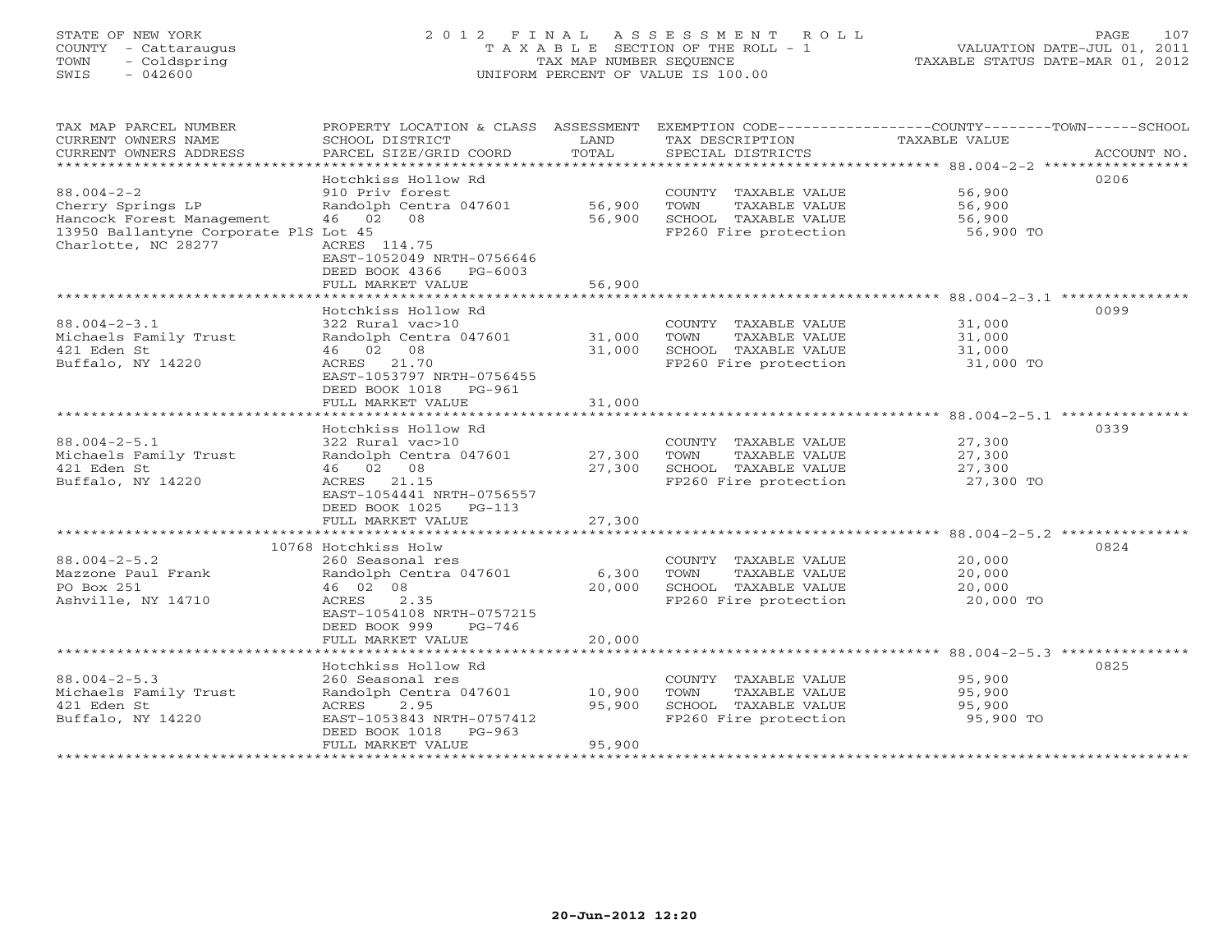# STATE OF NEW YORK 2 0 1 2 F I N A L A S S E S S M E N T R O L L PAGE 107 COUNTY - Cattaraugus T A X A B L E SECTION OF THE ROLL - 1 VALUATION DATE-JUL 01, 2011 TOWN - Coldspring TAX MAP NUMBER SEQUENCE TAXABLE STATUS DATE-MAR 01, 2012 SWIS - 042600 UNIFORM PERCENT OF VALUE IS 100.00UNIFORM PERCENT OF VALUE IS 100.00

| TAX MAP PARCEL NUMBER                 |                               |        |                                 | PROPERTY LOCATION & CLASS ASSESSMENT EXEMPTION CODE---------------COUNTY-------TOWN-----SCHOOL |
|---------------------------------------|-------------------------------|--------|---------------------------------|------------------------------------------------------------------------------------------------|
| CURRENT OWNERS NAME                   | SCHOOL DISTRICT               | LAND   | TAX DESCRIPTION                 | TAXABLE VALUE                                                                                  |
| CURRENT OWNERS ADDRESS                | PARCEL SIZE/GRID COORD        | TOTAL  | SPECIAL DISTRICTS               | ACCOUNT NO.                                                                                    |
|                                       |                               |        |                                 |                                                                                                |
|                                       | Hotchkiss Hollow Rd           |        |                                 | 0206                                                                                           |
| $88.004 - 2 - 2$                      | 910 Priv forest               |        | COUNTY TAXABLE VALUE            | 56,900                                                                                         |
| Cherry Springs LP                     | Randolph Centra 047601 56,900 |        | TOWN<br>TAXABLE VALUE           | 56,900                                                                                         |
| Hancock Forest Management             | 46 02 08                      | 56,900 | SCHOOL TAXABLE VALUE 56,900     |                                                                                                |
| 13950 Ballantyne Corporate PlS Lot 45 |                               |        | FP260 Fire protection           | 56,900 TO                                                                                      |
| Charlotte, NC 28277                   | ACRES 114.75                  |        |                                 |                                                                                                |
|                                       | EAST-1052049 NRTH-0756646     |        |                                 |                                                                                                |
|                                       | DEED BOOK 4366 PG-6003        |        |                                 |                                                                                                |
|                                       |                               |        |                                 |                                                                                                |
|                                       | FULL MARKET VALUE             | 56,900 |                                 |                                                                                                |
|                                       |                               |        |                                 |                                                                                                |
|                                       | Hotchkiss Hollow Rd           |        |                                 | 0099                                                                                           |
| $88.004 - 2 - 3.1$                    | 322 Rural vac>10              |        | COUNTY TAXABLE VALUE            | 31,000                                                                                         |
| Michaels Family Trust                 | Randolph Centra 047601 31,000 |        | TOWN<br>TAXABLE VALUE           | 31,000                                                                                         |
| 421 Eden St                           | 46 02 08                      | 31,000 | SCHOOL TAXABLE VALUE            | 31,000                                                                                         |
| Buffalo, NY 14220                     | ACRES 21.70                   |        | FP260 Fire protection 31,000 TO |                                                                                                |
|                                       | EAST-1053797 NRTH-0756455     |        |                                 |                                                                                                |
|                                       | DEED BOOK 1018 PG-961         |        |                                 |                                                                                                |
|                                       | FULL MARKET VALUE             | 31,000 |                                 |                                                                                                |
|                                       |                               |        |                                 |                                                                                                |
|                                       | Hotchkiss Hollow Rd           |        |                                 | 0339                                                                                           |
| $88.004 - 2 - 5.1$                    | 322 Rural vac>10              |        | COUNTY TAXABLE VALUE            | 27,300                                                                                         |
| Michaels Family Trust                 | Randolph Centra 047601 27,300 |        | TAXABLE VALUE<br>TOWN           | 27,300                                                                                         |
| 421 Eden St                           | 46 02 08                      | 27,300 | SCHOOL TAXABLE VALUE            | 27,300                                                                                         |
| Buffalo, NY 14220                     | ACRES 21.15                   |        | FP260 Fire protection           | 27,300 TO                                                                                      |
|                                       | EAST-1054441 NRTH-0756557     |        |                                 |                                                                                                |
|                                       | DEED BOOK 1025 PG-113         |        |                                 |                                                                                                |
|                                       | FULL MARKET VALUE             | 27,300 |                                 |                                                                                                |
|                                       |                               |        |                                 |                                                                                                |
|                                       | 10768 Hotchkiss Holw          |        |                                 | 0824                                                                                           |
| $88.004 - 2 - 5.2$                    | 260 Seasonal res              |        | COUNTY TAXABLE VALUE            | 20,000                                                                                         |
| Mazzone Paul Frank                    | Randolph Centra 047601        | 6,300  | TOWN<br>TAXABLE VALUE           | 20,000                                                                                         |
| PO Box 251                            | 46 02 08                      | 20,000 | SCHOOL TAXABLE VALUE            | 20,000                                                                                         |
| Ashville, NY 14710                    | ACRES<br>2.35                 |        | FP260 Fire protection           | 20,000 TO                                                                                      |
|                                       | EAST-1054108 NRTH-0757215     |        |                                 |                                                                                                |
|                                       | DEED BOOK 999<br>$PG-746$     |        |                                 |                                                                                                |
|                                       | FULL MARKET VALUE             | 20,000 |                                 |                                                                                                |
|                                       |                               |        |                                 |                                                                                                |
|                                       |                               |        |                                 |                                                                                                |
|                                       | Hotchkiss Hollow Rd           |        |                                 | 0825                                                                                           |
| $88.004 - 2 - 5.3$                    | 260 Seasonal res              |        | COUNTY TAXABLE VALUE            | 95,900<br>95,900                                                                               |
| Michaels Family Trust                 | Randolph Centra 047601 10,900 |        | TOWN<br>TAXABLE VALUE           |                                                                                                |
| 421 Eden St                           | ACRES<br>2.95                 | 95,900 | SCHOOL TAXABLE VALUE            | 95,900                                                                                         |
| Buffalo, NY 14220                     | EAST-1053843 NRTH-0757412     |        | FP260 Fire protection           | 95,900 TO                                                                                      |
|                                       | DEED BOOK 1018 PG-963         |        |                                 |                                                                                                |
|                                       | FULL MARKET VALUE             | 95,900 |                                 |                                                                                                |
|                                       |                               |        |                                 |                                                                                                |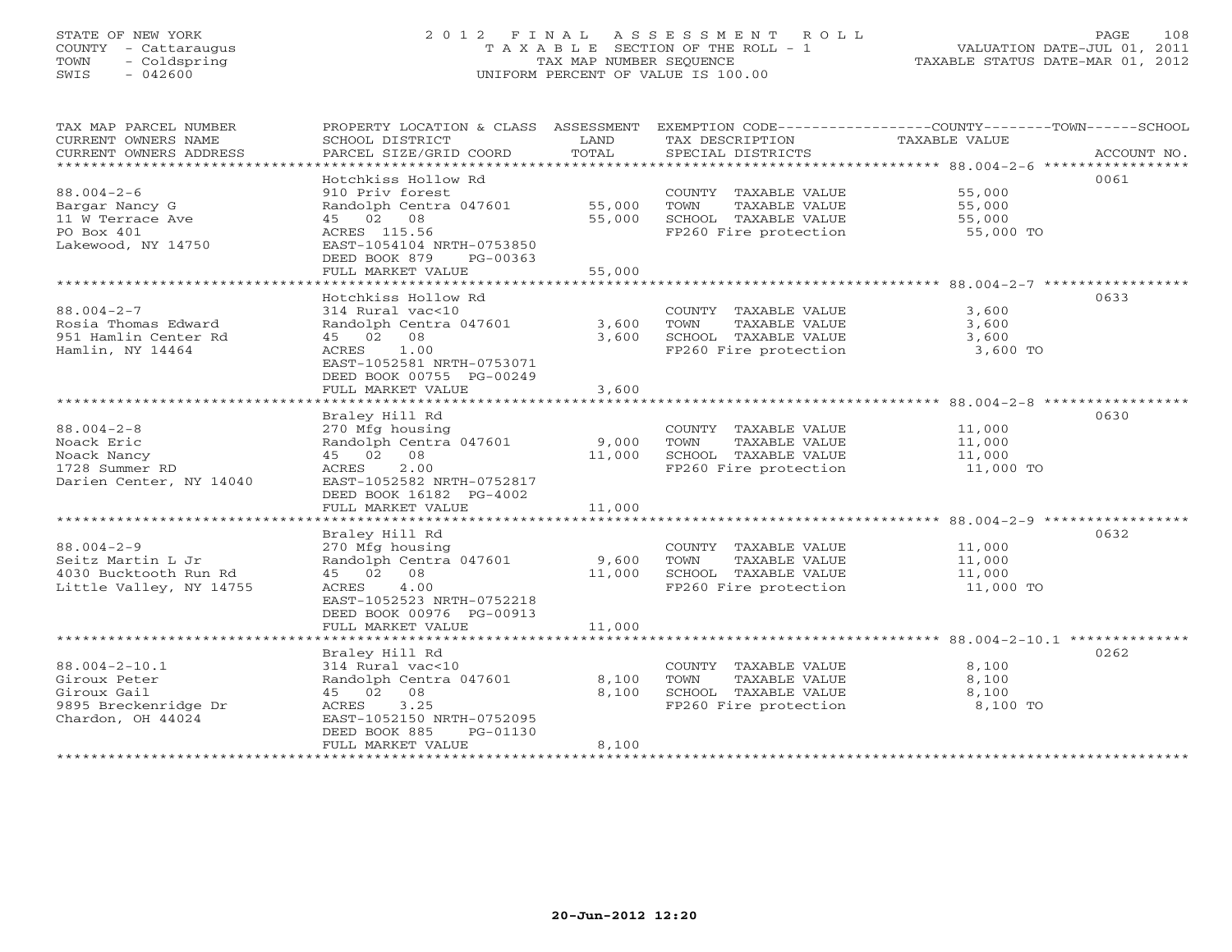# STATE OF NEW YORK 2 0 1 2 F I N A L A S S E S S M E N T R O L L PAGE 108 COUNTY - Cattaraugus T A X A B L E SECTION OF THE ROLL - 1 VALUATION DATE-JUL 01, 2011 TOWN - Coldspring TAX MAP NUMBER SEQUENCE TAXABLE STATUS DATE-MAR 01, 2012 SWIS - 042600 UNIFORM PERCENT OF VALUE IS 100.00UNIFORM PERCENT OF VALUE IS 100.00

| TAX MAP PARCEL NUMBER<br>CURRENT OWNERS NAME<br>CURRENT OWNERS ADDRESS                          | PROPERTY LOCATION & CLASS ASSESSMENT<br>SCHOOL DISTRICT<br>PARCEL SIZE/GRID COORD                                                                                                                         | LAND<br>TOTAL                          | TAX DESCRIPTION<br>SPECIAL DISTRICTS                                                           | EXEMPTION CODE-----------------COUNTY-------TOWN------SCHOOL<br><b>TAXABLE VALUE</b><br>ACCOUNT NO. |
|-------------------------------------------------------------------------------------------------|-----------------------------------------------------------------------------------------------------------------------------------------------------------------------------------------------------------|----------------------------------------|------------------------------------------------------------------------------------------------|-----------------------------------------------------------------------------------------------------|
| $88.004 - 2 - 6$<br>Bargar Nancy G<br>11 W Terrace Ave<br>PO Box 401<br>Lakewood, NY 14750      | Hotchkiss Hollow Rd<br>910 Priv forest<br>Randolph Centra 047601<br>45 02 08<br>ACRES 115.56<br>EAST-1054104 NRTH-0753850<br>DEED BOOK 879<br>$PG-00363$<br>FULL MARKET VALUE                             | 55,000<br>55,000<br>55,000             | COUNTY TAXABLE VALUE<br>TOWN<br>TAXABLE VALUE<br>SCHOOL TAXABLE VALUE<br>FP260 Fire protection | 0061<br>55,000<br>55,000<br>55,000<br>55,000 TO                                                     |
| $88.004 - 2 - 7$<br>Rosia Thomas Edward<br>951 Hamlin Center Rd<br>Hamlin, NY 14464             | Hotchkiss Hollow Rd<br>314 Rural vac<10<br>Randolph Centra 047601<br>45 02 08<br>ACRES<br>1.00<br>EAST-1052581 NRTH-0753071<br>DEED BOOK 00755 PG-00249<br>FULL MARKET VALUE<br>************************  | 3,600<br>3,600<br>3,600<br>*********** | COUNTY TAXABLE VALUE<br>TOWN<br>TAXABLE VALUE<br>SCHOOL TAXABLE VALUE<br>FP260 Fire protection | 0633<br>3,600<br>3,600<br>3,600<br>3,600 TO<br>***************** 88.004-2-8 ************            |
| $88.004 - 2 - 8$<br>Noack Eric<br>Noack Nancy<br>1728 Summer RD<br>Darien Center, NY 14040      | Braley Hill Rd<br>270 Mfg housing<br>Randolph Centra 047601<br>08<br>45 02<br>2.00<br>ACRES<br>EAST-1052582 NRTH-0752817<br>DEED BOOK 16182 PG-4002<br>FULL MARKET VALUE                                  | 9,000<br>11,000<br>11,000              | COUNTY TAXABLE VALUE<br>TOWN<br>TAXABLE VALUE<br>SCHOOL TAXABLE VALUE<br>FP260 Fire protection | 0630<br>11,000<br>11,000<br>11,000<br>11,000 TO                                                     |
| $88.004 - 2 - 9$<br>Seitz Martin L Jr<br>4030 Bucktooth Run Rd<br>Little Valley, NY 14755       | ********************<br>Braley Hill Rd<br>270 Mfg housing<br>Randolph Centra 047601<br>45 02 08<br>4.00<br>ACRES<br>EAST-1052523 NRTH-0752218<br>DEED BOOK 00976 PG-00913<br>FULL MARKET VALUE            | 9,600<br>11,000<br>11,000              | COUNTY TAXABLE VALUE<br>TOWN<br>TAXABLE VALUE<br>SCHOOL TAXABLE VALUE<br>FP260 Fire protection | 0632<br>11,000<br>11,000<br>11,000<br>11,000 TO                                                     |
| $88.004 - 2 - 10.1$<br>Giroux Peter<br>Giroux Gail<br>9895 Breckenridge Dr<br>Chardon, OH 44024 | Braley Hill Rd<br>314 Rural vac<10<br>Randolph Centra 047601<br>45 02 08<br>ACRES<br>3.25<br>EAST-1052150 NRTH-0752095<br>DEED BOOK 885<br>PG-01130<br>FULL MARKET VALUE<br>***************************** | 8,100<br>8,100<br>8,100                | COUNTY TAXABLE VALUE<br>TOWN<br>TAXABLE VALUE<br>SCHOOL TAXABLE VALUE<br>FP260 Fire protection | 0262<br>8,100<br>8,100<br>8,100<br>8,100 TO                                                         |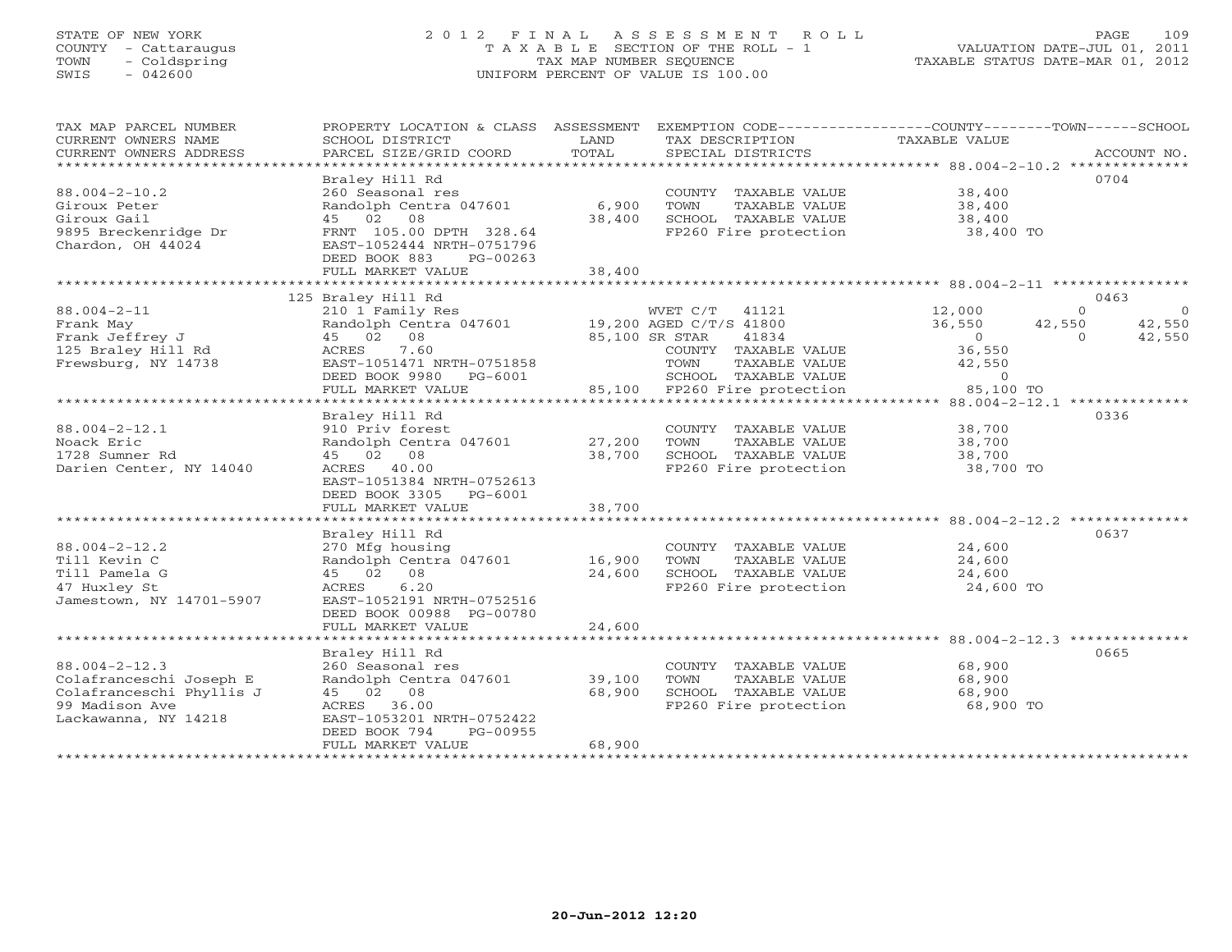# STATE OF NEW YORK 2 0 1 2 F I N A L A S S E S S M E N T R O L L PAGE 109 COUNTY - Cattaraugus T A X A B L E SECTION OF THE ROLL - 1 VALUATION DATE-JUL 01, 2011 TOWN - Coldspring TAX MAP NUMBER SEQUENCE TAXABLE STATUS DATE-MAR 01, 2012 SWIS - 042600 UNIFORM PERCENT OF VALUE IS 100.00UNIFORM PERCENT OF VALUE IS 100.00

| TAX MAP PARCEL NUMBER<br>CURRENT OWNERS NAME<br>CURRENT OWNERS ADDRESS<br>**********************                     | PROPERTY LOCATION & CLASS ASSESSMENT<br>SCHOOL DISTRICT<br>PARCEL SIZE/GRID COORD                                                                                                    | LAND<br>TOTAL              | EXEMPTION CODE-----------------COUNTY-------TOWN-----SCHOOL<br>TAX DESCRIPTION<br>SPECIAL DISTRICTS                                                                       | <b>TAXABLE VALUE</b>                                                     | ACCOUNT NO.                                                          |
|----------------------------------------------------------------------------------------------------------------------|--------------------------------------------------------------------------------------------------------------------------------------------------------------------------------------|----------------------------|---------------------------------------------------------------------------------------------------------------------------------------------------------------------------|--------------------------------------------------------------------------|----------------------------------------------------------------------|
| $88.004 - 2 - 10.2$<br>Giroux Peter<br>Giroux Gail<br>9895 Breckenridge Dr<br>Chardon, OH 44024                      | Braley Hill Rd<br>260 Seasonal res<br>Randolph Centra 047601<br>45 02 08<br>FRNT 105.00 DPTH 328.64<br>EAST-1052444 NRTH-0751796<br>DEED BOOK 883<br>$PG-00263$<br>FULL MARKET VALUE | 6,900<br>38,400<br>38,400  | COUNTY TAXABLE VALUE<br>TOWN<br>TAXABLE VALUE<br>SCHOOL TAXABLE VALUE<br>FP260 Fire protection                                                                            | 38,400<br>38,400<br>38,400<br>38,400 TO                                  | 0704                                                                 |
|                                                                                                                      | 125 Braley Hill Rd                                                                                                                                                                   |                            |                                                                                                                                                                           |                                                                          | 0463                                                                 |
| $88.004 - 2 - 11$<br>Frank May<br>Frank Jeffrey J<br>125 Braley Hill Rd<br>Frewsburg, NY 14738                       | 210 1 Family Res<br>Randolph Centra 047601<br>45 02<br>08<br>7.60<br>ACRES<br>EAST-1051471 NRTH-0751858<br>DEED BOOK 9980<br>$PG-6001$<br>FULL MARKET VALUE                          | 85,100                     | WVET C/T<br>41121<br>19,200 AGED C/T/S 41800<br>85,100 SR STAR<br>41834<br>COUNTY TAXABLE VALUE<br>TOWN<br>TAXABLE VALUE<br>SCHOOL TAXABLE VALUE<br>FP260 Fire protection | 12,000<br>36,550<br>$\circ$<br>36,550<br>42,550<br>$\Omega$<br>85,100 TO | $\Omega$<br>$\overline{0}$<br>42,550<br>42,550<br>42,550<br>$\Omega$ |
|                                                                                                                      |                                                                                                                                                                                      |                            |                                                                                                                                                                           |                                                                          |                                                                      |
| $88.004 - 2 - 12.1$<br>Noack Eric<br>1728 Sumner Rd<br>Darien Center, NY 14040                                       | Braley Hill Rd<br>910 Priv forest<br>Randolph Centra 047601<br>08<br>45 02<br>ACRES 40.00<br>EAST-1051384 NRTH-0752613<br>DEED BOOK 3305<br>PG-6001                                  | 27,200<br>38,700           | COUNTY TAXABLE VALUE<br>TOWN<br>TAXABLE VALUE<br>SCHOOL TAXABLE VALUE<br>FP260 Fire protection                                                                            | 38,700<br>38,700<br>38,700<br>38,700 TO                                  | 0336                                                                 |
|                                                                                                                      | FULL MARKET VALUE                                                                                                                                                                    | 38,700                     |                                                                                                                                                                           |                                                                          |                                                                      |
| $88.004 - 2 - 12.2$<br>Till Kevin C<br>Till Pamela G<br>47 Huxley St<br>Jamestown, NY 14701-5907                     | Braley Hill Rd<br>270 Mfg housing<br>Randolph Centra 047601<br>45 02<br>08<br>6.20<br>ACRES<br>EAST-1052191 NRTH-0752516<br>DEED BOOK 00988 PG-00780                                 | 16,900<br>24,600           | COUNTY TAXABLE VALUE<br>TOWN<br>TAXABLE VALUE<br>SCHOOL TAXABLE VALUE<br>FP260 Fire protection                                                                            | 24,600<br>24,600<br>24,600<br>24,600 TO                                  | 0637                                                                 |
|                                                                                                                      | FULL MARKET VALUE                                                                                                                                                                    | 24,600                     |                                                                                                                                                                           |                                                                          |                                                                      |
| $88.004 - 2 - 12.3$<br>Colafranceschi Joseph E<br>Colafranceschi Phyllis J<br>99 Madison Ave<br>Lackawanna, NY 14218 | Braley Hill Rd<br>260 Seasonal res<br>Randolph Centra 047601<br>45 02 08<br>36.00<br>ACRES<br>EAST-1053201 NRTH-0752422<br>DEED BOOK 794<br>PG-00955<br>FULL MARKET VALUE            | 39,100<br>68,900<br>68,900 | COUNTY TAXABLE VALUE<br>TOWN<br>TAXABLE VALUE<br>SCHOOL TAXABLE VALUE<br>FP260 Fire protection                                                                            | 68,900<br>68,900<br>68,900<br>68,900 TO                                  | 0665                                                                 |
| *****************                                                                                                    |                                                                                                                                                                                      |                            |                                                                                                                                                                           |                                                                          |                                                                      |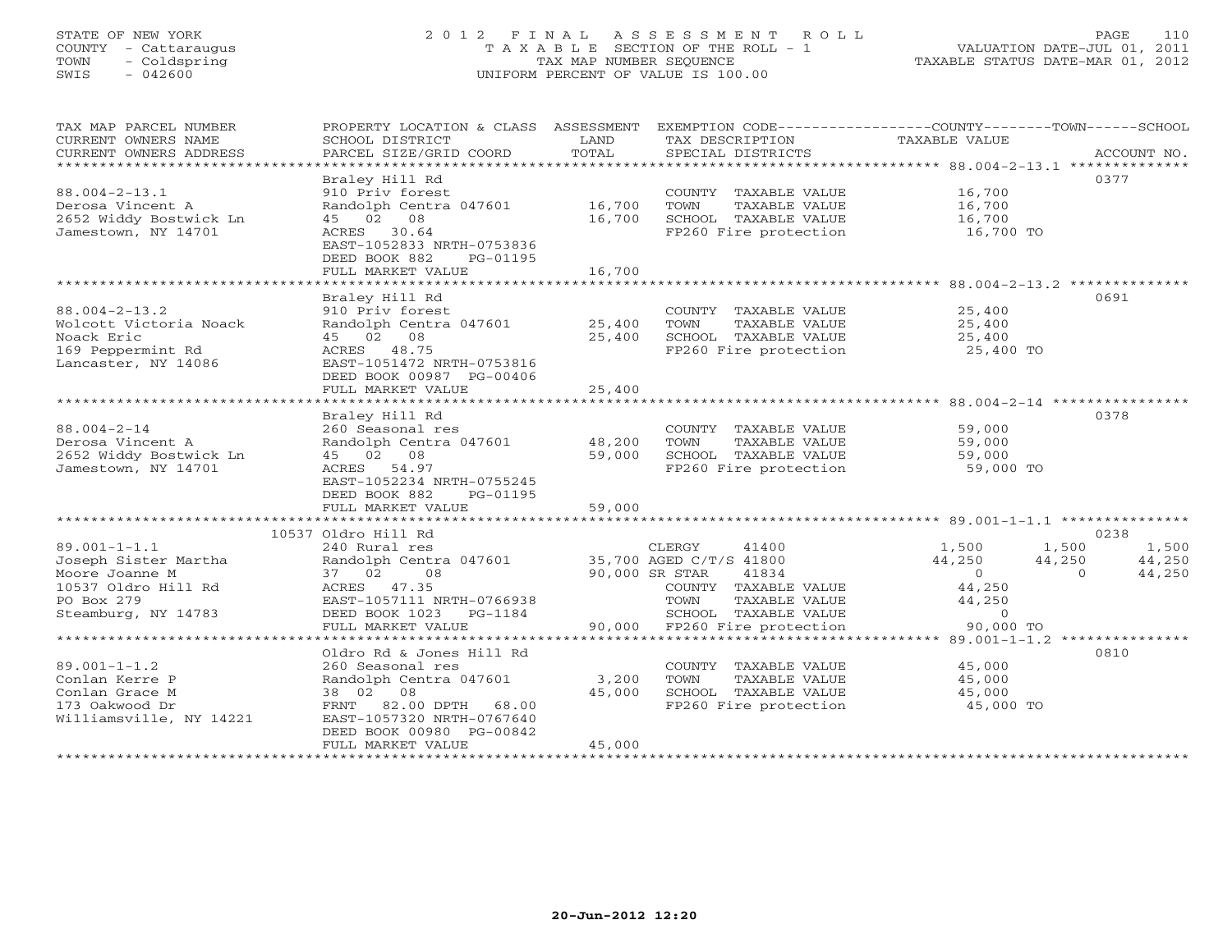# STATE OF NEW YORK 2 0 1 2 F I N A L A S S E S S M E N T R O L L PAGE 110 COUNTY - Cattaraugus T A X A B L E SECTION OF THE ROLL - 1 VALUATION DATE-JUL 01, 2011 TOWN - Coldspring TAX MAP NUMBER SEQUENCE TAXABLE STATUS DATE-MAR 01, 2012 SWIS - 042600 UNIFORM PERCENT OF VALUE IS 100.00UNIFORM PERCENT OF VALUE IS 100.00

| TAX MAP PARCEL NUMBER<br>CURRENT OWNERS NAME<br>CURRENT OWNERS ADDRESS<br>*************************                      | PROPERTY LOCATION & CLASS ASSESSMENT<br>SCHOOL DISTRICT<br>PARCEL SIZE/GRID COORD                                                                                      | LAND<br>TOTAL              | EXEMPTION CODE-----------------COUNTY-------TOWN------SCHOOL<br>TAX DESCRIPTION<br>SPECIAL DISTRICTS                                                         | TAXABLE VALUE                                                                 |                             | ACCOUNT NO.               |
|--------------------------------------------------------------------------------------------------------------------------|------------------------------------------------------------------------------------------------------------------------------------------------------------------------|----------------------------|--------------------------------------------------------------------------------------------------------------------------------------------------------------|-------------------------------------------------------------------------------|-----------------------------|---------------------------|
| $88.004 - 2 - 13.1$<br>Derosa Vincent A<br>2652 Widdy Bostwick Ln<br>Jamestown, NY 14701                                 | Braley Hill Rd<br>910 Priv forest<br>Randolph Centra 047601<br>45 02 08<br>ACRES 30.64<br>EAST-1052833 NRTH-0753836<br>DEED BOOK 882<br>PG-01195<br>FULL MARKET VALUE  | 16,700<br>16,700<br>16,700 | COUNTY TAXABLE VALUE<br>TOWN<br>TAXABLE VALUE<br>SCHOOL TAXABLE VALUE<br>FP260 Fire protection                                                               | 16,700<br>16,700<br>16,700<br>16,700 TO                                       | 0377                        |                           |
|                                                                                                                          | * * * * * * * * * * * * *                                                                                                                                              |                            |                                                                                                                                                              |                                                                               |                             |                           |
| $88.004 - 2 - 13.2$<br>Wolcott Victoria Noack<br>Noack Eric<br>169 Peppermint Rd<br>Lancaster, NY 14086                  | Braley Hill Rd<br>910 Priv forest<br>Randolph Centra 047601<br>45 02 08<br>ACRES 48.75<br>EAST-1051472 NRTH-0753816<br>DEED BOOK 00987 PG-00406                        | 25,400<br>25,400           | COUNTY TAXABLE VALUE<br>TOWN<br>TAXABLE VALUE<br>SCHOOL TAXABLE VALUE<br>FP260 Fire protection                                                               | 25,400<br>25,400<br>25,400<br>25,400 TO                                       | 0691                        |                           |
|                                                                                                                          | FULL MARKET VALUE                                                                                                                                                      | 25,400                     |                                                                                                                                                              |                                                                               |                             |                           |
| $88.004 - 2 - 14$<br>Derosa Vincent A<br>2652 Widdy Bostwick Ln<br>Jamestown, NY 14701                                   | Braley Hill Rd<br>260 Seasonal res<br>Randolph Centra 047601<br>45 02 08<br>ACRES 54.97<br>EAST-1052234 NRTH-0755245<br>DEED BOOK 882<br>PG-01195<br>FULL MARKET VALUE | 48,200<br>59,000<br>59,000 | COUNTY TAXABLE VALUE<br>TOWN<br>TAXABLE VALUE<br>SCHOOL TAXABLE VALUE<br>FP260 Fire protection                                                               | 59,000<br>59,000<br>59,000<br>59,000 TO                                       | 0378                        |                           |
| *********************                                                                                                    | ****************************<br>10537 Oldro Hill Rd                                                                                                                    | **************             |                                                                                                                                                              |                                                                               | 0238                        |                           |
| $89.001 - 1 - 1.1$<br>Joseph Sister Martha<br>Moore Joanne M<br>10537 Oldro Hill Rd<br>PO Box 279<br>Steamburg, NY 14783 | 240 Rural res<br>Randolph Centra 047601<br>37 02 08<br>ACRES 47.35<br>EAST-1057111 NRTH-0766938<br>DEED BOOK 1023 PG-1184<br>FULL MARKET VALUE                         | 90,000 SR STAR             | CLERGY<br>41400<br>35,700 AGED C/T/S 41800<br>41834<br>COUNTY TAXABLE VALUE<br>TOWN<br>TAXABLE VALUE<br>SCHOOL TAXABLE VALUE<br>90,000 FP260 Fire protection | 1,500<br>44,250<br>$\overline{0}$<br>44,250<br>44,250<br>$\circ$<br>90,000 TO | 1,500<br>44,250<br>$\Omega$ | 1,500<br>44,250<br>44,250 |
|                                                                                                                          |                                                                                                                                                                        |                            |                                                                                                                                                              |                                                                               |                             |                           |
| $89.001 - 1 - 1.2$<br>Conlan Kerre P<br>Conlan Grace M<br>173 Oakwood Dr<br>Williamsville, NY 14221                      | Oldro Rd & Jones Hill Rd<br>260 Seasonal res<br>Randolph Centra 047601<br>38 02 08<br>FRNT 82.00 DPTH 68.00<br>EAST-1057320 NRTH-0767640<br>DEED BOOK 00980 PG-00842   | 3,200<br>45,000            | COUNTY TAXABLE VALUE<br>TOWN<br>TAXABLE VALUE<br>SCHOOL TAXABLE VALUE<br>FP260 Fire protection                                                               | 45,000<br>45,000<br>45,000<br>45,000 TO                                       | 0810                        |                           |
| *******************                                                                                                      | FULL MARKET VALUE                                                                                                                                                      | 45,000                     |                                                                                                                                                              |                                                                               |                             |                           |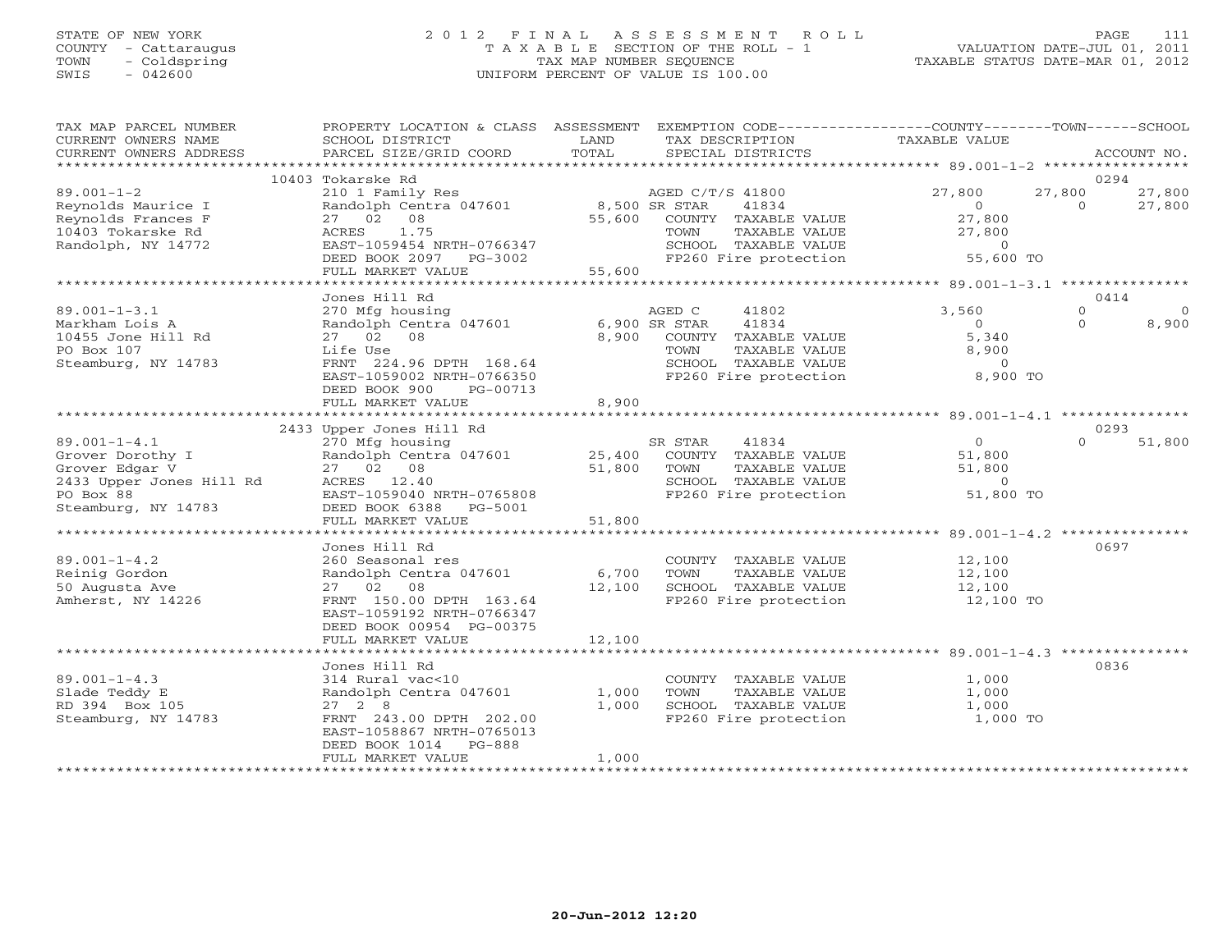# STATE OF NEW YORK 2 0 1 2 F I N A L A S S E S S M E N T R O L L PAGE 111 COUNTY - Cattaraugus T A X A B L E SECTION OF THE ROLL - 1 VALUATION DATE-JUL 01, 2011 TOWN - Coldspring TAX MAP NUMBER SEQUENCE TAXABLE STATUS DATE-MAR 01, 2012 SWIS - 042600 UNIFORM PERCENT OF VALUE IS 100.00UNIFORM PERCENT OF VALUE IS 100.00

| TAX MAP PARCEL NUMBER<br>CURRENT OWNERS NAME<br>CURRENT OWNERS ADDRESS<br>******************* | PROPERTY LOCATION & CLASS ASSESSMENT<br>SCHOOL DISTRICT<br>PARCEL SIZE/GRID COORD | LAND<br>TOTAL | EXEMPTION CODE-----------------COUNTY-------TOWN------SCHOOL<br>TAX DESCRIPTION<br>SPECIAL DISTRICTS | TAXABLE VALUE                                | ACCOUNT NO.              |
|-----------------------------------------------------------------------------------------------|-----------------------------------------------------------------------------------|---------------|------------------------------------------------------------------------------------------------------|----------------------------------------------|--------------------------|
|                                                                                               |                                                                                   |               |                                                                                                      |                                              |                          |
| $89.001 - 1 - 2$                                                                              | 10403 Tokarske Rd                                                                 |               |                                                                                                      | 27,800                                       | 0294<br>27,800<br>27,800 |
| Reynolds Maurice I                                                                            | 210 1 Family Res<br>Randolph Centra 047601                                        |               | AGED C/T/S 41800<br>8,500 SR STAR<br>41834                                                           | $\overline{0}$                               | $\Omega$<br>27,800       |
| Reynolds Frances F                                                                            | 27 02 08                                                                          | 55,600        | COUNTY TAXABLE VALUE                                                                                 | 27,800                                       |                          |
| 10403 Tokarske Rd                                                                             | ACRES<br>1.75                                                                     |               | TOWN<br>TAXABLE VALUE                                                                                | 27,800                                       |                          |
| Randolph, NY 14772                                                                            | EAST-1059454 NRTH-0766347                                                         |               | SCHOOL TAXABLE VALUE                                                                                 | $\overline{O}$                               |                          |
|                                                                                               | DEED BOOK 2097 PG-3002                                                            |               | FP260 Fire protection                                                                                | 55,600 TO                                    |                          |
|                                                                                               | FULL MARKET VALUE                                                                 | 55,600        |                                                                                                      |                                              |                          |
|                                                                                               | ************************                                                          | ************* |                                                                                                      | ************** 89.001-1-3.1 **************** |                          |
|                                                                                               | Jones Hill Rd                                                                     |               |                                                                                                      |                                              | 0414                     |
| $89.001 - 1 - 3.1$                                                                            | 270 Mfg housing                                                                   |               | AGED C<br>41802                                                                                      | 3,560                                        | $\mathbf{0}$<br>$\circ$  |
| Markham Lois A                                                                                | Randolph Centra 047601                                                            |               | 6,900 SR STAR<br>41834                                                                               | $\Omega$                                     | 8,900<br>$\Omega$        |
| 10455 Jone Hill Rd                                                                            | 27 02 08                                                                          | 8,900         | COUNTY TAXABLE VALUE                                                                                 | 5,340                                        |                          |
| PO Box 107                                                                                    | Life Use                                                                          |               | TAXABLE VALUE<br>TOWN                                                                                | 8,900                                        |                          |
| Steamburg, NY 14783                                                                           | FRNT 224.96 DPTH 168.64                                                           |               | SCHOOL TAXABLE VALUE<br>FP260 Fire protection                                                        | $\overline{O}$<br>8,900 TO                   |                          |
|                                                                                               | EAST-1059002 NRTH-0766350<br>DEED BOOK 900<br>PG-00713                            |               |                                                                                                      |                                              |                          |
|                                                                                               | FULL MARKET VALUE                                                                 | 8,900         |                                                                                                      |                                              |                          |
|                                                                                               |                                                                                   |               |                                                                                                      |                                              |                          |
|                                                                                               | 2433 Upper Jones Hill Rd                                                          |               |                                                                                                      |                                              | 0293                     |
| $89.001 - 1 - 4.1$                                                                            | 270 Mfg housing                                                                   |               | 41834<br>SR STAR                                                                                     | $\overline{O}$                               | $\Omega$<br>51,800       |
| Grover Dorothy I                                                                              | Randolph Centra 047601                                                            | 25,400        | COUNTY TAXABLE VALUE                                                                                 | 51,800                                       |                          |
| Grover Edgar V                                                                                | 27 02 08                                                                          | 51,800        | TOWN<br>TAXABLE VALUE                                                                                | 51,800                                       |                          |
| 2433 Upper Jones Hill Rd                                                                      | ACRES 12.40                                                                       |               | SCHOOL TAXABLE VALUE                                                                                 | $\overline{0}$                               |                          |
| PO Box 88                                                                                     | EAST-1059040 NRTH-0765808                                                         |               | FP260 Fire protection                                                                                | 51,800 TO                                    |                          |
| Steamburg, NY 14783                                                                           | DEED BOOK 6388<br>PG-5001                                                         |               |                                                                                                      |                                              |                          |
|                                                                                               | FULL MARKET VALUE                                                                 | 51,800        |                                                                                                      |                                              |                          |
|                                                                                               | Jones Hill Rd                                                                     |               |                                                                                                      |                                              | 0697                     |
| $89.001 - 1 - 4.2$                                                                            | 260 Seasonal res                                                                  |               | COUNTY TAXABLE VALUE                                                                                 | 12,100                                       |                          |
| Reinig Gordon                                                                                 | Randolph Centra 047601                                                            | 6,700         | TOWN<br>TAXABLE VALUE                                                                                | 12,100                                       |                          |
| 50 Augusta Ave                                                                                | 27 02 08                                                                          | 12,100        | SCHOOL TAXABLE VALUE                                                                                 | 12,100                                       |                          |
| Amherst, NY 14226                                                                             | FRNT 150.00 DPTH 163.64                                                           |               | FP260 Fire protection                                                                                | 12,100 TO                                    |                          |
|                                                                                               | EAST-1059192 NRTH-0766347                                                         |               |                                                                                                      |                                              |                          |
|                                                                                               | DEED BOOK 00954 PG-00375                                                          |               |                                                                                                      |                                              |                          |
|                                                                                               | FULL MARKET VALUE                                                                 | 12,100        |                                                                                                      |                                              |                          |
|                                                                                               |                                                                                   |               |                                                                                                      |                                              |                          |
|                                                                                               | Jones Hill Rd                                                                     |               |                                                                                                      |                                              | 0836                     |
| $89.001 - 1 - 4.3$                                                                            | 314 Rural vac<10                                                                  |               | COUNTY TAXABLE VALUE                                                                                 | 1,000                                        |                          |
| Slade Teddy E                                                                                 | Randolph Centra 047601                                                            | 1,000         | TOWN<br>TAXABLE VALUE                                                                                | 1,000                                        |                          |
| RD 394 Box 105<br>Steamburg, NY 14783                                                         | $27 \quad 2 \quad 8$<br>FRNT 243.00 DPTH 202.00                                   | 1,000         | SCHOOL TAXABLE VALUE<br>FP260 Fire protection                                                        | 1,000<br>1,000 TO                            |                          |
|                                                                                               | EAST-1058867 NRTH-0765013                                                         |               |                                                                                                      |                                              |                          |
|                                                                                               | DEED BOOK 1014<br>PG-888                                                          |               |                                                                                                      |                                              |                          |
|                                                                                               | FULL MARKET VALUE                                                                 | 1,000         |                                                                                                      |                                              |                          |
|                                                                                               |                                                                                   |               |                                                                                                      |                                              |                          |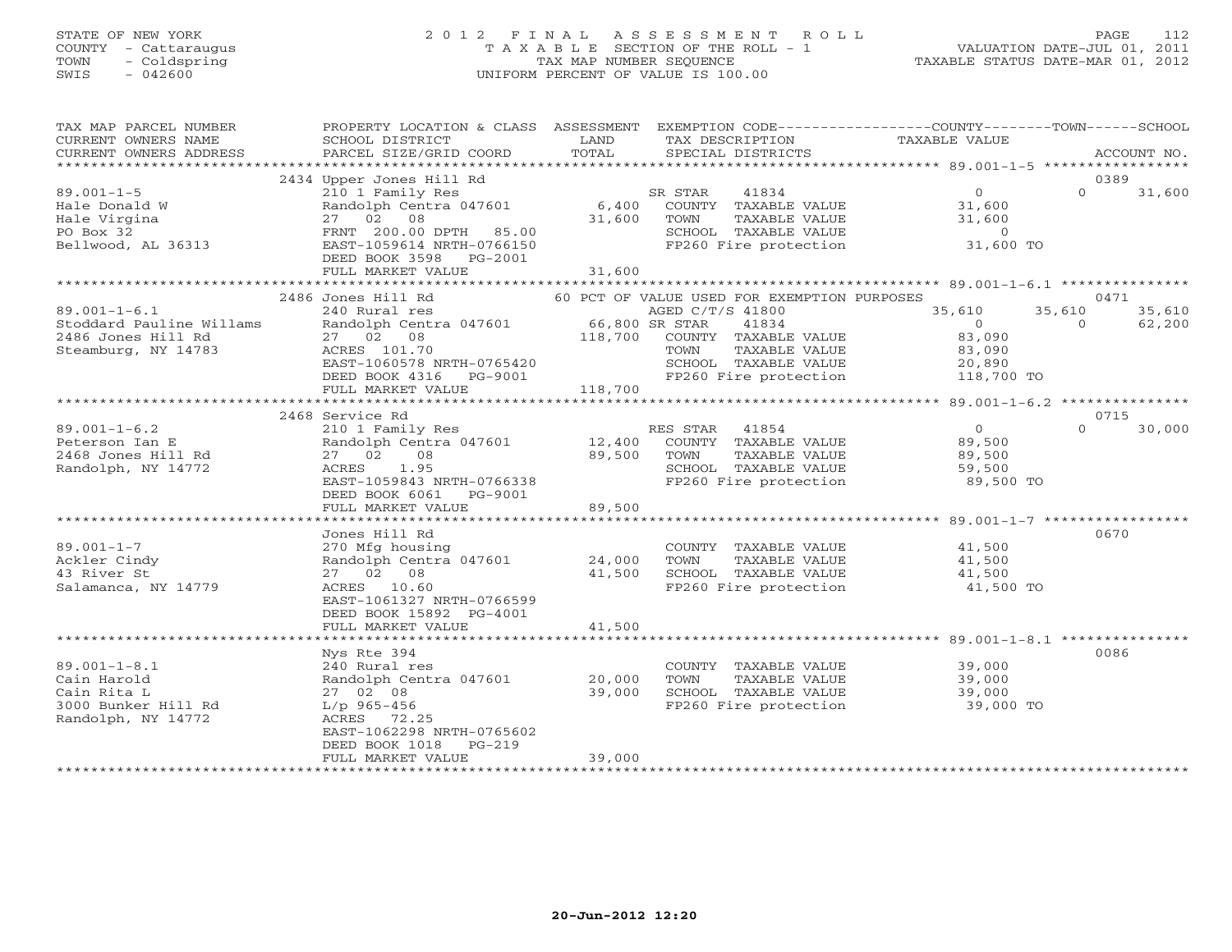# STATE OF NEW YORK 2 0 1 2 F I N A L A S S E S S M E N T R O L L PAGE 112 COUNTY - Cattaraugus T A X A B L E SECTION OF THE ROLL - 1 VALUATION DATE-JUL 01, 2011 TOWN - Coldspring TAX MAP NUMBER SEQUENCE TAXABLE STATUS DATE-MAR 01, 2012 SWIS - 042600 UNIFORM PERCENT OF VALUE IS 100.00UNIFORM PERCENT OF VALUE IS 100.00

| TAX MAP PARCEL NUMBER<br>CURRENT OWNERS NAME                                                  | PROPERTY LOCATION & CLASS ASSESSMENT<br>SCHOOL DISTRICT                                                                                                                       | LAND             | EXEMPTION CODE-----------------COUNTY-------TOWN------SCHOOL<br>TAX DESCRIPTION                                                                                                                        | TAXABLE VALUE                                |                            |                  |
|-----------------------------------------------------------------------------------------------|-------------------------------------------------------------------------------------------------------------------------------------------------------------------------------|------------------|--------------------------------------------------------------------------------------------------------------------------------------------------------------------------------------------------------|----------------------------------------------|----------------------------|------------------|
| CURRENT OWNERS ADDRESS                                                                        | PARCEL SIZE/GRID COORD                                                                                                                                                        | TOTAL            | SPECIAL DISTRICTS                                                                                                                                                                                      |                                              |                            | ACCOUNT NO.      |
|                                                                                               | 2434 Upper Jones Hill Rd                                                                                                                                                      |                  |                                                                                                                                                                                                        |                                              | 0389                       |                  |
| $89.001 - 1 - 5$<br>Hale Donald W<br>Hale Virgina<br>PO Box 32<br>Bellwood, AL 36313          | 210 1 Family Res<br>Randolph Centra 047601<br>27 02 08<br>FRNT 200.00 DPTH 85.00<br>EAST-1059614 NRTH-0766150<br>DEED BOOK 3598 PG-2001                                       | 31,600           | SR STAR<br>41834<br>6,400 COUNTY TAXABLE VALUE<br>TOWN<br>TAXABLE VALUE                                                                                                                                | $\overline{0}$<br>31,600<br>31,600           | $\Omega$                   | 31,600           |
|                                                                                               | FULL MARKET VALUE                                                                                                                                                             | 31,600           |                                                                                                                                                                                                        |                                              |                            |                  |
|                                                                                               |                                                                                                                                                                               |                  |                                                                                                                                                                                                        |                                              |                            |                  |
| $89.001 - 1 - 6.1$<br>Stoddard Pauline Willams<br>2486 Jones Hill Rd<br>Steamburg, NY 14783   | 2486 Jones Hill Rd<br>240 Rural res<br>Randolph Centra 047601<br>27 02 08<br>ACRES 101.70<br>EAST-1060578 NRTH-0765420<br>DEED BOOK 4316 PG-9001<br>FULL MARKET VALUE 118,700 | $66,800$ SR STAR | 60 PCT OF VALUE USED FOR EXEMPTION PURPOSES<br>AGED C/T/S 41800<br>41834<br>118,700 COUNTY TAXABLE VALUE<br>TAXABLE VALUE<br>TOWN<br>SCHOOL TAXABLE VALUE $20,890$<br>FP260 Fire protection 118,700 TO | 35,610<br>$\overline{0}$<br>83,090<br>83,090 | 0471<br>35,610<br>$\Omega$ | 35,610<br>62,200 |
|                                                                                               |                                                                                                                                                                               |                  |                                                                                                                                                                                                        |                                              |                            |                  |
|                                                                                               | 2468 Service Rd                                                                                                                                                               |                  |                                                                                                                                                                                                        |                                              | 0715                       |                  |
| $89.001 - 1 - 6.2$<br>Peterson Ian E<br>2468 Jones Hill Rd<br>Randolph, NY 14772              | 210 1 Family Res<br>Randolph Centra 047601 12,400<br>27 02 08<br>ACRES 1.95<br>EAST-1059843 NRTH-0766338<br>DEED BOOK 6061 PG-9001<br>FULL MARKET VALUE                       | 89,500<br>89,500 | 41854<br>RES STAR<br>COUNTY TAXABLE VALUE<br>TOWN<br>TAXABLE VALUE<br>SCHOOL TAXABLE VALUE<br>FP260 Fire protection                                                                                    | 0<br>89,500<br>89,500<br>59,500<br>89,500 TO | $\Omega$                   | 30,000           |
|                                                                                               |                                                                                                                                                                               |                  |                                                                                                                                                                                                        |                                              |                            |                  |
| $89.001 - 1 - 7$<br>Ackler Cindy<br>43 River St<br>Salamanca, NY 14779                        | Jones Hill Rd<br>270 Mfg housing<br>Randolph Centra 047601 24,000<br>27 02 08<br>ACRES 10.60<br>EAST-1061327 NRTH-0766599<br>DEED BOOK 15892 PG-4001<br>FULL MARKET VALUE     | 41,500<br>41,500 | COUNTY TAXABLE VALUE<br>TOWN<br>TAXABLE VALUE<br>SCHOOL TAXABLE VALUE<br>FP260 Fire protection                                                                                                         | 41,500<br>41,500<br>41,500<br>41,500 TO      | 0670                       |                  |
|                                                                                               | ***********************                                                                                                                                                       | *************    |                                                                                                                                                                                                        |                                              |                            |                  |
| $89.001 - 1 - 8.1$<br>Cain Harold<br>Cain Rita L<br>3000 Bunker Hill Rd<br>Randolph, NY 14772 | Nys Rte 394<br>240 Rural res<br>Randolph Centra 047601<br>27 02 08<br>L/p 965-456<br>ACRES 72.25<br>EAST-1062298 NRTH-0765602<br>$PG-219$<br>DEED BOOK 1018                   | 20,000<br>39,000 | COUNTY TAXABLE VALUE<br>TOWN<br>TAXABLE VALUE<br>SCHOOL TAXABLE VALUE<br>FP260 Fire protection                                                                                                         | 39,000<br>39,000<br>39,000<br>39,000 TO      | 0086                       |                  |
|                                                                                               | FULL MARKET VALUE                                                                                                                                                             | 39,000           |                                                                                                                                                                                                        |                                              |                            |                  |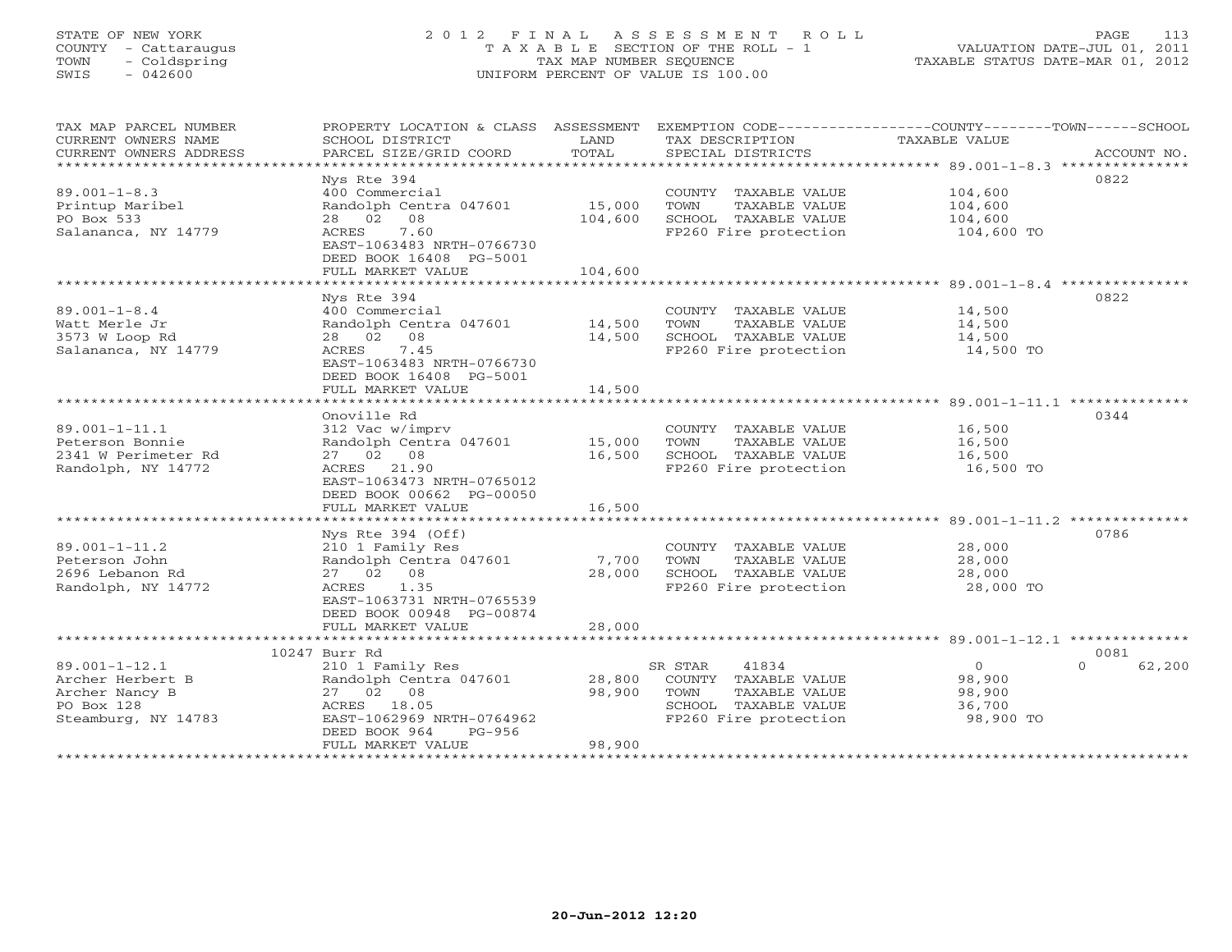# STATE OF NEW YORK 2 0 1 2 F I N A L A S S E S S M E N T R O L L PAGE 113 COUNTY - Cattaraugus T A X A B L E SECTION OF THE ROLL - 1 VALUATION DATE-JUL 01, 2011 TOWN - Coldspring TAX MAP NUMBER SEQUENCE TAXABLE STATUS DATE-MAR 01, 2012 SWIS - 042600 UNIFORM PERCENT OF VALUE IS 100.00UNIFORM PERCENT OF VALUE IS 100.00

| TAX MAP PARCEL NUMBER<br>CURRENT OWNERS NAME<br>CURRENT OWNERS ADDRESS<br>************************* | PROPERTY LOCATION & CLASS ASSESSMENT<br>SCHOOL DISTRICT<br>PARCEL SIZE/GRID COORD                                                                                                                               | LAND<br>TOTAL                | TAX DESCRIPTION<br>SPECIAL DISTRICTS                                                                               | EXEMPTION CODE-----------------COUNTY-------TOWN------SCHOOL<br>TAXABLE VALUE<br>ACCOUNT NO. |
|-----------------------------------------------------------------------------------------------------|-----------------------------------------------------------------------------------------------------------------------------------------------------------------------------------------------------------------|------------------------------|--------------------------------------------------------------------------------------------------------------------|----------------------------------------------------------------------------------------------|
| $89.001 - 1 - 8.3$<br>Printup Maribel<br>PO Box 533<br>Salananca, NY 14779                          | Nys Rte 394<br>400 Commercial<br>Randolph Centra 047601<br>28 02 08<br>ACRES<br>7.60<br>EAST-1063483 NRTH-0766730<br>DEED BOOK 16408 PG-5001<br>FULL MARKET VALUE                                               | 15,000<br>104,600<br>104,600 | COUNTY TAXABLE VALUE<br>TAXABLE VALUE<br>TOWN<br>SCHOOL TAXABLE VALUE<br>FP260 Fire protection                     | 0822<br>104,600<br>104,600<br>104,600<br>104,600 TO                                          |
| $89.001 - 1 - 8.4$<br>Watt Merle Jr<br>3573 W Loop Rd<br>Salananca, NY 14779                        | Nys Rte 394<br>400 Commercial<br>Randolph Centra 047601<br>28 02<br>08<br>ACRES<br>7.45<br>EAST-1063483 NRTH-0766730<br>DEED BOOK 16408 PG-5001<br>FULL MARKET VALUE                                            | 14,500<br>14,500<br>14,500   | COUNTY TAXABLE VALUE<br>TOWN<br>TAXABLE VALUE<br>SCHOOL TAXABLE VALUE<br>FP260 Fire protection                     | 0822<br>14,500<br>14,500<br>14,500<br>14,500 TO                                              |
| $89.001 - 1 - 11.1$<br>Peterson Bonnie<br>2341 W Perimeter Rd<br>Randolph, NY 14772                 | Onoville Rd<br>312 Vac w/imprv<br>Randolph Centra 047601<br>27 02 08<br>ACRES 21.90<br>EAST-1063473 NRTH-0765012<br>DEED BOOK 00662 PG-00050<br>FULL MARKET VALUE                                               | 15,000<br>16,500<br>16,500   | COUNTY TAXABLE VALUE<br>TOWN<br>TAXABLE VALUE<br>SCHOOL TAXABLE VALUE<br>FP260 Fire protection                     | 0344<br>16,500<br>16,500<br>16,500<br>16,500 TO                                              |
| $89.001 - 1 - 11.2$<br>Peterson John<br>2696 Lebanon Rd<br>Randolph, NY 14772                       | Nys Rte 394 (Off)<br>210 1 Family Res<br>Randolph Centra 047601<br>27 02 08<br>ACRES<br>1.35<br>EAST-1063731 NRTH-0765539<br>DEED BOOK 00948 PG-00874<br>FULL MARKET VALUE                                      | 7,700<br>28,000<br>28,000    | COUNTY TAXABLE VALUE<br>TAXABLE VALUE<br>TOWN<br>SCHOOL TAXABLE VALUE<br>FP260 Fire protection                     | 0786<br>28,000<br>28,000<br>28,000<br>28,000 TO                                              |
| $89.001 - 1 - 12.1$<br>Archer Herbert B<br>Archer Nancy B<br>PO Box 128<br>Steamburg, NY 14783      | 10247 Burr Rd<br>210 1 Family Res<br>Randolph Centra 047601<br>27 02 08<br>ACRES 18.05<br>EAST-1062969 NRTH-0764962<br>DEED BOOK 964<br>$PG-956$<br>FULL MARKET VALUE<br>************************************** | 28,800<br>98,900<br>98,900   | SR STAR<br>41834<br>COUNTY TAXABLE VALUE<br>TOWN<br>TAXABLE VALUE<br>SCHOOL TAXABLE VALUE<br>FP260 Fire protection | 0081<br>$\circ$<br>$\Omega$<br>62,200<br>98,900<br>98,900<br>36,700<br>98,900 TO             |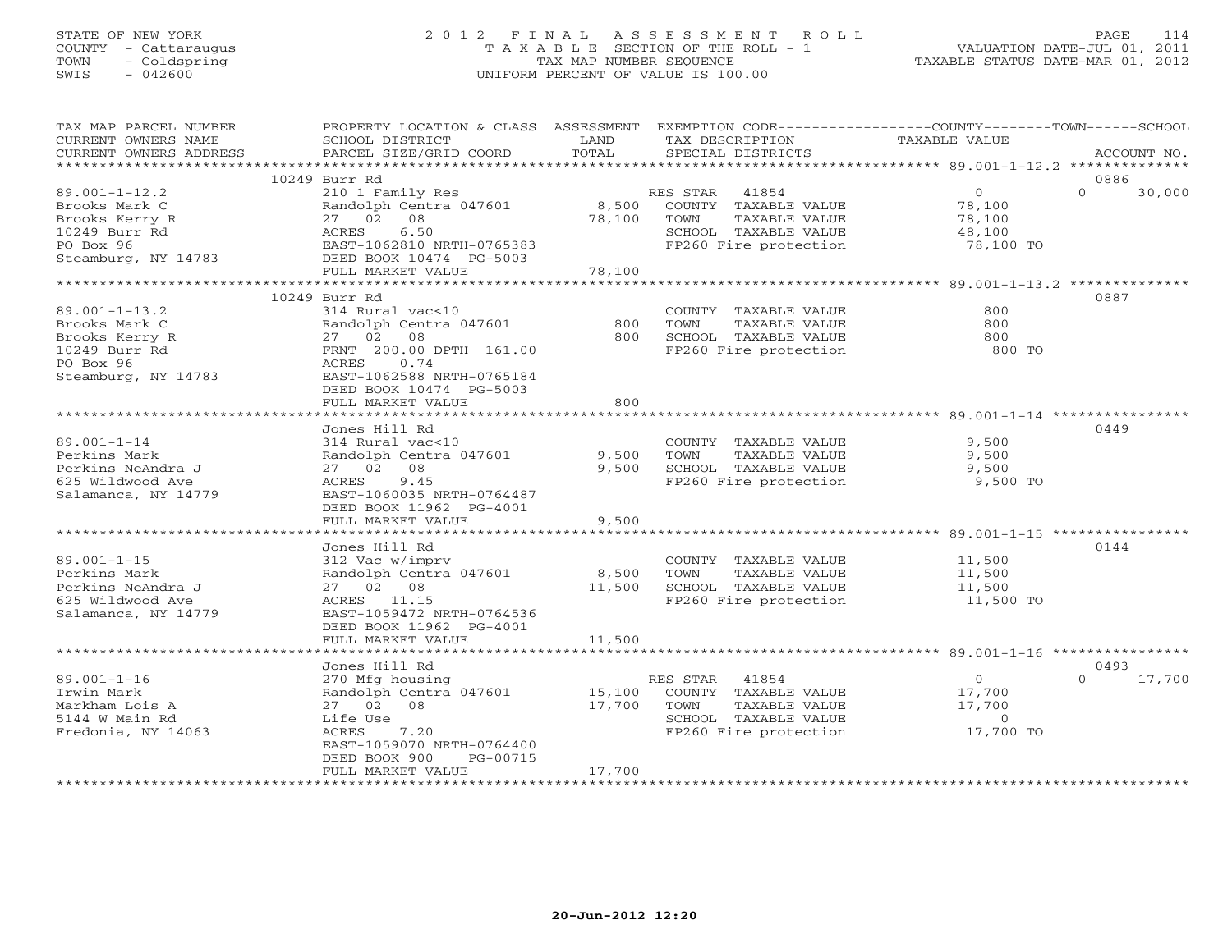# STATE OF NEW YORK 2 0 1 2 F I N A L A S S E S S M E N T R O L L PAGE 114 COUNTY - Cattaraugus T A X A B L E SECTION OF THE ROLL - 1 VALUATION DATE-JUL 01, 2011 TOWN - Coldspring TAX MAP NUMBER SEQUENCE TAXABLE STATUS DATE-MAR 01, 2012 SWIS - 042600 UNIFORM PERCENT OF VALUE IS 100.00UNIFORM PERCENT OF VALUE IS 100.00

| TAX MAP PARCEL NUMBER<br>CURRENT OWNERS NAME<br>CURRENT OWNERS ADDRESS                            | PROPERTY LOCATION & CLASS ASSESSMENT<br>SCHOOL DISTRICT<br>PARCEL SIZE/GRID COORD                                                                                 | LAND<br>TOTAL              | EXEMPTION CODE----------------COUNTY-------TOWN------SCHOOL<br>TAX DESCRIPTION<br>SPECIAL DISTRICTS              | <b>TAXABLE VALUE</b>                                        |          | ACCOUNT NO. |
|---------------------------------------------------------------------------------------------------|-------------------------------------------------------------------------------------------------------------------------------------------------------------------|----------------------------|------------------------------------------------------------------------------------------------------------------|-------------------------------------------------------------|----------|-------------|
| *************************                                                                         |                                                                                                                                                                   |                            |                                                                                                                  |                                                             |          |             |
|                                                                                                   | 10249 Burr Rd                                                                                                                                                     |                            |                                                                                                                  |                                                             | 0886     |             |
| $89.001 - 1 - 12.2$<br>Brooks Mark C<br>Brooks Kerry R<br>10249 Burr Rd                           | 210 1 Family Res<br>Randolph Centra 047601<br>27 02 08<br>6.50<br>ACRES                                                                                           | 78,100                     | RES STAR<br>41854<br>8,500 COUNTY TAXABLE VALUE<br>TOWN<br>TAXABLE VALUE<br>SCHOOL TAXABLE VALUE                 | $\overline{0}$<br>78,100<br>78,100<br>48,100                | $\Omega$ | 30,000      |
| PO Box 96                                                                                         | EAST-1062810 NRTH-0765383                                                                                                                                         |                            | FP260 Fire protection                                                                                            | 78,100 TO                                                   |          |             |
| Steamburg, NY 14783                                                                               | DEED BOOK 10474 PG-5003<br>FULL MARKET VALUE                                                                                                                      | 78,100                     |                                                                                                                  |                                                             |          |             |
|                                                                                                   | ***************************                                                                                                                                       |                            |                                                                                                                  |                                                             |          |             |
|                                                                                                   | 10249 Burr Rd                                                                                                                                                     |                            |                                                                                                                  |                                                             | 0887     |             |
| $89.001 - 1 - 13.2$<br>Brooks Mark C<br>Brooks Kerry R<br>10249 Burr Rd                           | 314 Rural vac<10<br>Randolph Centra 047601<br>27 02 08<br>FRNT 200.00 DPTH 161.00                                                                                 | 800<br>800                 | COUNTY TAXABLE VALUE<br>TOWN<br>TAXABLE VALUE<br>SCHOOL TAXABLE VALUE<br>FP260 Fire protection                   | 800<br>800<br>800<br>800 TO                                 |          |             |
| PO Box 96<br>Steamburg, NY 14783                                                                  | ACRES<br>0.74<br>EAST-1062588 NRTH-0765184<br>DEED BOOK 10474 PG-5003<br>FULL MARKET VALUE                                                                        | 800                        |                                                                                                                  |                                                             |          |             |
|                                                                                                   |                                                                                                                                                                   |                            |                                                                                                                  |                                                             |          |             |
| $89.001 - 1 - 14$<br>Perkins Mark<br>Perkins NeAndra J<br>625 Wildwood Ave<br>Salamanca, NY 14779 | Jones Hill Rd<br>314 Rural vac<10<br>Randolph Centra 047601<br>27 02 08<br>ACRES<br>9.45<br>EAST-1060035 NRTH-0764487<br>DEED BOOK 11962 PG-4001                  | 9,500<br>9,500             | COUNTY TAXABLE VALUE<br>TOWN<br>TAXABLE VALUE<br>SCHOOL TAXABLE VALUE<br>FP260 Fire protection                   | 9,500<br>9,500<br>9,500<br>9,500 TO                         | 0449     |             |
|                                                                                                   | FULL MARKET VALUE                                                                                                                                                 | 9,500                      |                                                                                                                  |                                                             |          |             |
|                                                                                                   | Jones Hill Rd                                                                                                                                                     |                            |                                                                                                                  |                                                             | 0144     |             |
| $89.001 - 1 - 15$<br>Perkins Mark<br>Perkins NeAndra J<br>625 Wildwood Ave<br>Salamanca, NY 14779 | 312 Vac w/imprv<br>Randolph Centra 047601<br>27 02 08<br>ACRES 11.15<br>EAST-1059472 NRTH-0764536<br>DEED BOOK 11962 PG-4001                                      | 8,500<br>11,500            | COUNTY TAXABLE VALUE<br>TOWN<br>TAXABLE VALUE<br>SCHOOL TAXABLE VALUE<br>FP260 Fire protection                   | 11,500<br>11,500<br>11,500<br>11,500 TO                     |          |             |
|                                                                                                   | FULL MARKET VALUE                                                                                                                                                 | 11,500                     |                                                                                                                  |                                                             |          |             |
|                                                                                                   | Jones Hill Rd                                                                                                                                                     |                            |                                                                                                                  |                                                             | 0493     |             |
| $89.001 - 1 - 16$<br>Irwin Mark<br>Markham Lois A<br>5144 W Main Rd<br>Fredonia, NY 14063         | 270 Mfg housing<br>Randolph Centra 047601<br>27 02 08<br>Life Use<br>ACRES<br>7.20<br>EAST-1059070 NRTH-0764400<br>DEED BOOK 900<br>PG-00715<br>FULL MARKET VALUE | 15,100<br>17,700<br>17,700 | RES STAR 41854<br>COUNTY TAXABLE VALUE<br>TOWN<br>TAXABLE VALUE<br>SCHOOL TAXABLE VALUE<br>FP260 Fire protection | $\overline{0}$<br>17,700<br>17,700<br>$\Omega$<br>17,700 TO | $\Omega$ | 17,700      |
|                                                                                                   |                                                                                                                                                                   |                            |                                                                                                                  |                                                             |          |             |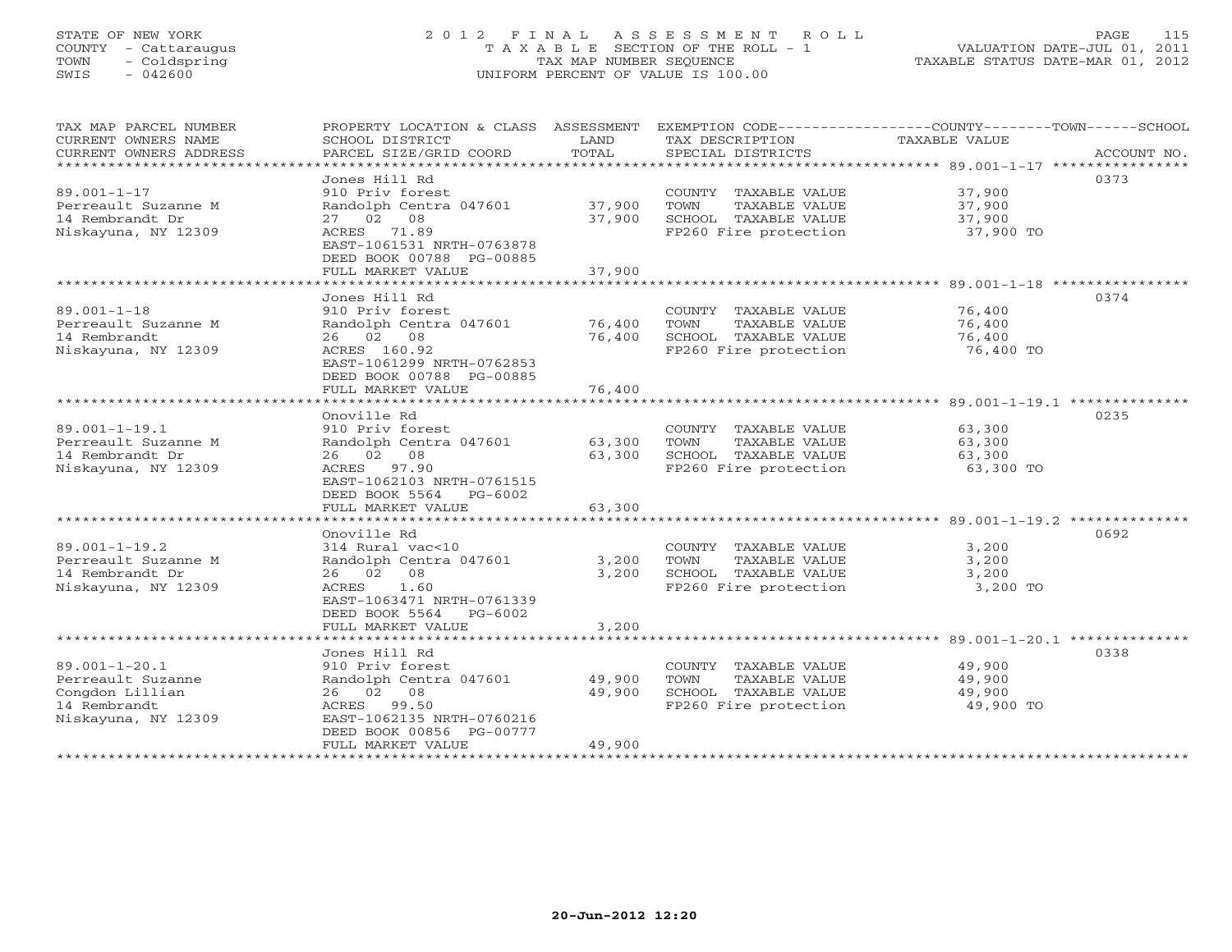# STATE OF NEW YORK 2 0 1 2 F I N A L A S S E S S M E N T R O L L PAGE 115 COUNTY - Cattaraugus T A X A B L E SECTION OF THE ROLL - 1 VALUATION DATE-JUL 01, 2011 TOWN - Coldspring TAX MAP NUMBER SEQUENCE TAXABLE STATUS DATE-MAR 01, 2012 SWIS - 042600 UNIFORM PERCENT OF VALUE IS 100.00UNIFORM PERCENT OF VALUE IS 100.00

| TAX MAP PARCEL NUMBER<br>CURRENT OWNERS NAME<br>CURRENT OWNERS ADDRESS<br>**********************   | PROPERTY LOCATION & CLASS ASSESSMENT<br>SCHOOL DISTRICT<br>PARCEL SIZE/GRID COORD                                                                                                                                                             | LAND<br>TOTAL                               | TAX DESCRIPTION<br>SPECIAL DISTRICTS                                                                                     | EXEMPTION CODE-----------------COUNTY-------TOWN------SCHOOL<br><b>TAXABLE VALUE</b><br>ACCOUNT NO.                   |
|----------------------------------------------------------------------------------------------------|-----------------------------------------------------------------------------------------------------------------------------------------------------------------------------------------------------------------------------------------------|---------------------------------------------|--------------------------------------------------------------------------------------------------------------------------|-----------------------------------------------------------------------------------------------------------------------|
| $89.001 - 1 - 17$<br>Perreault Suzanne M<br>14 Rembrandt Dr<br>Niskayuna, NY 12309                 | Jones Hill Rd<br>910 Priv forest<br>Randolph Centra 047601<br>27 02 08<br>71.89<br>ACRES<br>EAST-1061531 NRTH-0763878<br>DEED BOOK 00788 PG-00885<br>FULL MARKET VALUE<br>****************                                                    | 37,900<br>37,900<br>37,900                  | COUNTY TAXABLE VALUE<br>TAXABLE VALUE<br>TOWN<br>SCHOOL TAXABLE VALUE<br>FP260 Fire protection<br>********************** | 0373<br>37,900<br>37,900<br>37,900<br>37,900 TO                                                                       |
| $89.001 - 1 - 18$<br>Perreault Suzanne M<br>14 Rembrandt<br>Niskayuna, NY 12309                    | Jones Hill Rd<br>910 Priv forest<br>Randolph Centra 047601<br>26 02<br>08<br>ACRES 160.92<br>EAST-1061299 NRTH-0762853<br>DEED BOOK 00788 PG-00885<br>FULL MARKET VALUE<br>.                                                                  | 76,400<br>76,400<br>76,400                  | COUNTY TAXABLE VALUE<br>TOWN<br>TAXABLE VALUE<br>SCHOOL TAXABLE VALUE<br>FP260 Fire protection                           | $89.001 - 1 - 18$ ****************<br>0374<br>76,400<br>76,400<br>76,400<br>76,400 TO<br>$89.001 - 1 - 19.1$ ******** |
| $89.001 - 1 - 19.1$<br>Perreault Suzanne M<br>14 Rembrandt Dr<br>Niskayuna, NY 12309               | Onoville Rd<br>910 Priv forest<br>Randolph Centra 047601<br>08<br>26 02<br>ACRES 97.90<br>EAST-1062103 NRTH-0761515<br>DEED BOOK 5564<br>$PG-6002$<br>FULL MARKET VALUE                                                                       | 63,300<br>63,300<br>63,300                  | COUNTY TAXABLE VALUE<br>TOWN<br>TAXABLE VALUE<br>SCHOOL TAXABLE VALUE<br>FP260 Fire protection                           | 0235<br>63,300<br>63,300<br>63,300<br>63,300 TO                                                                       |
| $89.001 - 1 - 19.2$<br>Perreault Suzanne M<br>14 Rembrandt Dr<br>Niskayuna, NY 12309               | *******************<br>Onoville Rd<br>314 Rural vac<10<br>Randolph Centra 047601<br>26 02<br>08<br>1.60<br>ACRES<br>EAST-1063471 NRTH-0761339<br>DEED BOOK 5564<br>$PG-6002$<br>FULL MARKET VALUE                                             | 3,200<br>3,200<br>3,200                     | COUNTY TAXABLE VALUE<br>TOWN<br>TAXABLE VALUE<br>SCHOOL TAXABLE VALUE<br>FP260 Fire protection                           | 0692<br>3,200<br>3,200<br>3,200<br>3,200 TO                                                                           |
| $89.001 - 1 - 20.1$<br>Perreault Suzanne<br>Congdon Lillian<br>14 Rembrandt<br>Niskayuna, NY 12309 | *************************<br>Jones Hill Rd<br>910 Priv forest<br>Randolph Centra 047601<br>08<br>26 02<br>ACRES<br>99.50<br>EAST-1062135 NRTH-0760216<br>DEED BOOK 00856 PG-00777<br>FULL MARKET VALUE<br>* * * * * * * * * * * * * * * * * * | *************<br>49,900<br>49,900<br>49,900 | COUNTY TAXABLE VALUE<br>TAXABLE VALUE<br>TOWN<br>SCHOOL TAXABLE VALUE<br>FP260 Fire protection                           | ******************************* 89.001-1-20.1 ********<br>0338<br>49,900<br>49,900<br>49,900<br>49,900 TO             |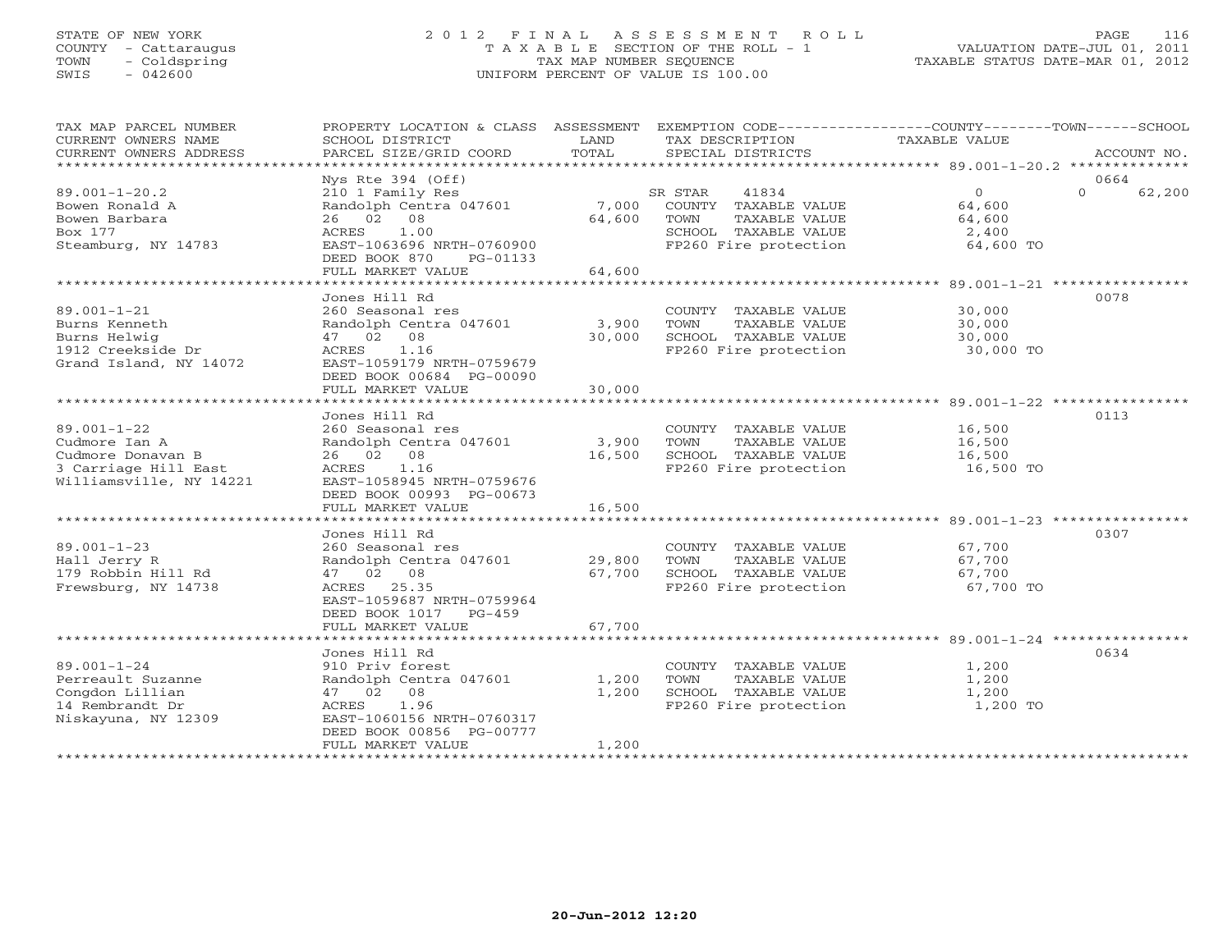# STATE OF NEW YORK 2 0 1 2 F I N A L A S S E S S M E N T R O L L PAGE 116 COUNTY - Cattaraugus T A X A B L E SECTION OF THE ROLL - 1 VALUATION DATE-JUL 01, 2011 TOWN - Coldspring TAX MAP NUMBER SEQUENCE TAXABLE STATUS DATE-MAR 01, 2012 SWIS - 042600 UNIFORM PERCENT OF VALUE IS 100.00UNIFORM PERCENT OF VALUE IS 100.00

| TAX MAP PARCEL NUMBER<br>CURRENT OWNERS NAME<br>CURRENT OWNERS ADDRESS                                                     | PROPERTY LOCATION & CLASS ASSESSMENT<br>SCHOOL DISTRICT<br>PARCEL SIZE/GRID COORD                                                                                                                                 | LAND<br>TOTAL                                      | TAX DESCRIPTION<br>SPECIAL DISTRICTS                                                                               | EXEMPTION CODE-----------------COUNTY-------TOWN------SCHOOL<br><b>TAXABLE VALUE</b><br>ACCOUNT NO. |
|----------------------------------------------------------------------------------------------------------------------------|-------------------------------------------------------------------------------------------------------------------------------------------------------------------------------------------------------------------|----------------------------------------------------|--------------------------------------------------------------------------------------------------------------------|-----------------------------------------------------------------------------------------------------|
| $89.001 - 1 - 20.2$<br>Bowen Ronald A<br>Bowen Barbara<br>Box 177<br>Steamburg, NY 14783                                   | $Nys$ Rte 394 (Off)<br>210 1 Family Res<br>Randolph Centra 047601<br>26 02 08<br>1.00<br>ACRES<br>EAST-1063696 NRTH-0760900<br>DEED BOOK 870<br>PG-01133<br>FULL MARKET VALUE                                     | 7,000<br>64,600<br>64,600                          | SR STAR<br>41834<br>COUNTY TAXABLE VALUE<br>TOWN<br>TAXABLE VALUE<br>SCHOOL TAXABLE VALUE<br>FP260 Fire protection | 0664<br>$\circ$<br>$\Omega$<br>62,200<br>64,600<br>64,600<br>2,400<br>64,600 TO                     |
| $89.001 - 1 - 21$<br>Burns Kenneth<br>Burns Helwig<br>1912 Creekside Dr<br>Grand Island, NY 14072                          | Jones Hill Rd<br>260 Seasonal res<br>Randolph Centra 047601<br>47 02 08<br>1.16<br>ACRES<br>EAST-1059179 NRTH-0759679<br>DEED BOOK 00684 PG-00090<br>FULL MARKET VALUE<br>*********************                   | 3,900<br>30,000<br>30,000<br>**************        | COUNTY TAXABLE VALUE<br>TAXABLE VALUE<br>TOWN<br>SCHOOL TAXABLE VALUE<br>FP260 Fire protection                     | 0078<br>30,000<br>30,000<br>30,000<br>30,000 TO                                                     |
| $89.001 - 1 - 22$<br>Cudmore Ian A<br>Cudmore Donavan B<br>3 Carriage Hill East<br>Williamsville, NY 14221                 | Jones Hill Rd<br>260 Seasonal res<br>Randolph Centra 047601<br>26 02 08<br>ACRES<br>1.16<br>EAST-1058945 NRTH-0759676<br>DEED BOOK 00993 PG-00673<br>FULL MARKET VALUE<br>* * * * * * * * * * * * * * * * * * * * | 3,900<br>16,500<br>16,500<br>* * * * * * * * * * * | COUNTY TAXABLE VALUE<br>TOWN<br>TAXABLE VALUE<br>SCHOOL TAXABLE VALUE<br>FP260 Fire protection                     | 0113<br>16,500<br>16,500<br>16,500<br>16,500 TO                                                     |
| $89.001 - 1 - 23$<br>Hall Jerry R<br>179 Robbin Hill Rd<br>Frewsburg, NY 14738                                             | Jones Hill Rd<br>260 Seasonal res<br>Randolph Centra 047601<br>47 02 08<br>ACRES 25.35<br>EAST-1059687 NRTH-0759964<br>DEED BOOK 1017<br>$PG-459$<br>FULL MARKET VALUE<br>*****************************           | 29,800<br>67,700<br>67,700                         | COUNTY TAXABLE VALUE<br>TOWN<br>TAXABLE VALUE<br>SCHOOL TAXABLE VALUE<br>FP260 Fire protection                     | 0307<br>67,700<br>67,700<br>67,700<br>67,700 TO                                                     |
| $89.001 - 1 - 24$<br>Perreault Suzanne<br>Congdon Lillian<br>14 Rembrandt Dr<br>Niskayuna, NY 12309<br>******************* | Jones Hill Rd<br>910 Priv forest<br>Randolph Centra 047601<br>47 02 08<br>1.96<br>ACRES<br>EAST-1060156 NRTH-0760317<br>DEED BOOK 00856 PG-00777<br>FULL MARKET VALUE                                             | 1,200<br>1,200<br>1,200                            | COUNTY TAXABLE VALUE<br>TOWN<br>TAXABLE VALUE<br>SCHOOL TAXABLE VALUE<br>FP260 Fire protection                     | 0634<br>1,200<br>1,200<br>1,200<br>1,200 TO                                                         |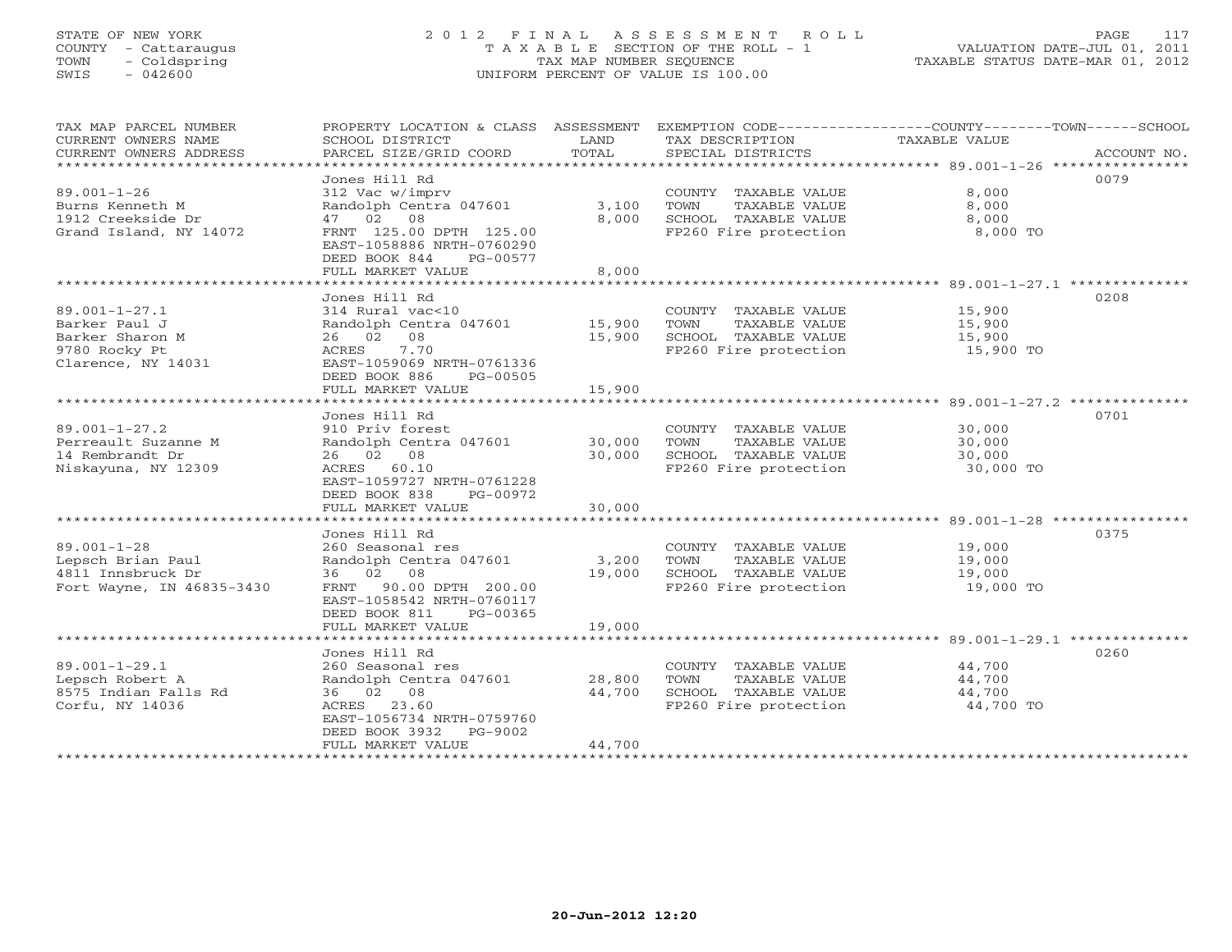# STATE OF NEW YORK 2 0 1 2 F I N A L A S S E S S M E N T R O L L PAGE 117 COUNTY - Cattaraugus T A X A B L E SECTION OF THE ROLL - 1 VALUATION DATE-JUL 01, 2011 TOWN - Coldspring TAX MAP NUMBER SEQUENCE TAXABLE STATUS DATE-MAR 01, 2012 SWIS - 042600 UNIFORM PERCENT OF VALUE IS 100.00UNIFORM PERCENT OF VALUE IS 100.00

| TAX MAP PARCEL NUMBER<br>CURRENT OWNERS NAME   | PROPERTY LOCATION & CLASS ASSESSMENT<br>SCHOOL DISTRICT                           | LAND                  | TAX DESCRIPTION       | EXEMPTION CODE-----------------COUNTY-------TOWN------SCHOOL<br>TAXABLE VALUE |
|------------------------------------------------|-----------------------------------------------------------------------------------|-----------------------|-----------------------|-------------------------------------------------------------------------------|
| CURRENT OWNERS ADDRESS<br>******************** | PARCEL SIZE/GRID COORD                                                            | TOTAL                 | SPECIAL DISTRICTS     | ACCOUNT NO.                                                                   |
|                                                | Jones Hill Rd                                                                     |                       |                       | 0079                                                                          |
| $89.001 - 1 - 26$                              | 312 Vac w/imprv                                                                   |                       | COUNTY TAXABLE VALUE  | 8,000                                                                         |
| Burns Kenneth M                                | Randolph Centra 047601                                                            | 3,100                 | TOWN<br>TAXABLE VALUE | 8,000                                                                         |
| 1912 Creekside Dr                              | 47 02 08                                                                          | 8,000                 | SCHOOL TAXABLE VALUE  | 8,000                                                                         |
| Grand Island, NY 14072                         | FRNT 125.00 DPTH 125.00<br>EAST-1058886 NRTH-0760290<br>DEED BOOK 844<br>PG-00577 |                       | FP260 Fire protection | 8,000 TO                                                                      |
|                                                | FULL MARKET VALUE                                                                 | 8,000                 |                       |                                                                               |
|                                                | ******************************                                                    |                       |                       |                                                                               |
|                                                | Jones Hill Rd                                                                     |                       |                       | 0208                                                                          |
| $89.001 - 1 - 27.1$                            | 314 Rural vac<10                                                                  |                       | COUNTY TAXABLE VALUE  | 15,900                                                                        |
| Barker Paul J                                  | Randolph Centra 047601                                                            | 15,900                | TOWN<br>TAXABLE VALUE | 15,900                                                                        |
| Barker Sharon M                                | 26 02<br>08                                                                       | 15,900                | SCHOOL TAXABLE VALUE  | 15,900                                                                        |
| 9780 Rocky Pt<br>Clarence, NY 14031            | ACRES<br>7.70<br>EAST-1059069 NRTH-0761336<br>DEED BOOK 886<br>PG-00505           |                       | FP260 Fire protection | 15,900 TO                                                                     |
|                                                | FULL MARKET VALUE<br>************************                                     | 15,900<br>*********** |                       |                                                                               |
|                                                |                                                                                   |                       |                       |                                                                               |
|                                                | Jones Hill Rd                                                                     |                       |                       | 0701                                                                          |
| $89.001 - 1 - 27.2$                            | 910 Priv forest                                                                   |                       | COUNTY TAXABLE VALUE  | 30,000                                                                        |
| Perreault Suzanne M                            | Randolph Centra 047601                                                            | 30,000                | TOWN<br>TAXABLE VALUE | 30,000                                                                        |
| 14 Rembrandt Dr                                | 26 02 08                                                                          | 30,000                | SCHOOL TAXABLE VALUE  | 30,000                                                                        |
| Niskayuna, NY 12309                            | ACRES 60.10                                                                       |                       | FP260 Fire protection | 30,000 TO                                                                     |
|                                                | EAST-1059727 NRTH-0761228<br>PG-00972                                             |                       |                       |                                                                               |
|                                                | DEED BOOK 838<br>FULL MARKET VALUE                                                | 30,000                |                       |                                                                               |
|                                                |                                                                                   |                       |                       |                                                                               |
|                                                | Jones Hill Rd                                                                     |                       |                       | 0375                                                                          |
| $89.001 - 1 - 28$                              | 260 Seasonal res                                                                  |                       | COUNTY TAXABLE VALUE  | 19,000                                                                        |
| Lepsch Brian Paul                              | Randolph Centra 047601                                                            | 3,200                 | TAXABLE VALUE<br>TOWN | 19,000                                                                        |
| 4811 Innsbruck Dr                              | 36 02 08                                                                          | 19,000                | SCHOOL TAXABLE VALUE  | 19,000                                                                        |
| Fort Wayne, IN 46835-3430                      | 90.00 DPTH 200.00<br>FRNT                                                         |                       | FP260 Fire protection | 19,000 TO                                                                     |
|                                                | EAST-1058542 NRTH-0760117                                                         |                       |                       |                                                                               |
|                                                | DEED BOOK 811<br>PG-00365                                                         |                       |                       |                                                                               |
|                                                | FULL MARKET VALUE                                                                 | 19,000                |                       |                                                                               |
|                                                |                                                                                   |                       |                       |                                                                               |
|                                                | Jones Hill Rd                                                                     |                       |                       | 0260                                                                          |
| $89.001 - 1 - 29.1$                            | 260 Seasonal res                                                                  |                       | COUNTY TAXABLE VALUE  | 44,700                                                                        |
| Lepsch Robert A                                | Randolph Centra 047601                                                            | 28,800                | TOWN<br>TAXABLE VALUE | 44,700                                                                        |
| 8575 Indian Falls Rd                           | 36 02 08                                                                          | 44,700                | SCHOOL TAXABLE VALUE  | 44,700                                                                        |
| Corfu, NY 14036                                | ACRES<br>23.60                                                                    |                       | FP260 Fire protection | 44,700 TO                                                                     |
|                                                | EAST-1056734 NRTH-0759760                                                         |                       |                       |                                                                               |
|                                                | DEED BOOK 3932<br>PG-9002                                                         |                       |                       |                                                                               |
|                                                | FULL MARKET VALUE                                                                 | 44,700                |                       |                                                                               |
|                                                |                                                                                   |                       |                       |                                                                               |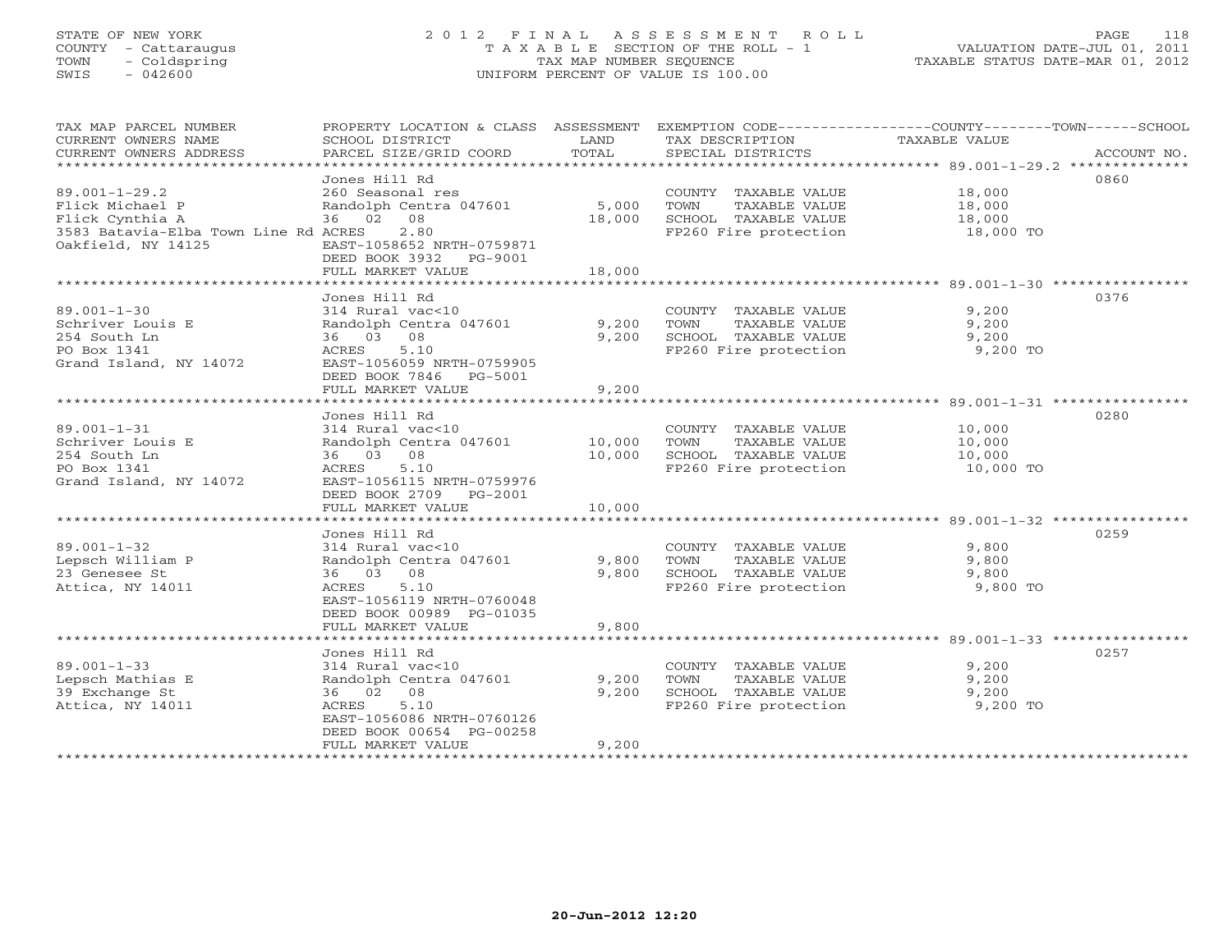# STATE OF NEW YORK 2 0 1 2 F I N A L A S S E S S M E N T R O L L PAGE 118 COUNTY - Cattaraugus T A X A B L E SECTION OF THE ROLL - 1 VALUATION DATE-JUL 01, 2011 TOWN - Coldspring TAX MAP NUMBER SEQUENCE TAXABLE STATUS DATE-MAR 01, 2012 SWIS - 042600 UNIFORM PERCENT OF VALUE IS 100.00UNIFORM PERCENT OF VALUE IS 100.00

| TAX MAP PARCEL NUMBER<br>CURRENT OWNERS NAME<br>CURRENT OWNERS ADDRESS                                                  | PROPERTY LOCATION & CLASS ASSESSMENT<br>SCHOOL DISTRICT<br>PARCEL SIZE/GRID COORD                                                                                       | LAND<br>TOTAL             | TAX DESCRIPTION<br>SPECIAL DISTRICTS                                                           | EXEMPTION CODE-----------------COUNTY-------TOWN------SCHOOL<br><b>TAXABLE VALUE</b><br>ACCOUNT NO. |
|-------------------------------------------------------------------------------------------------------------------------|-------------------------------------------------------------------------------------------------------------------------------------------------------------------------|---------------------------|------------------------------------------------------------------------------------------------|-----------------------------------------------------------------------------------------------------|
| $89.001 - 1 - 29.2$<br>Flick Michael P<br>Flick Cynthia A<br>3583 Batavia-Elba Town Line Rd ACRES<br>Oakfield, NY 14125 | Jones Hill Rd<br>260 Seasonal res<br>Randolph Centra 047601<br>36 02 08<br>2.80<br>EAST-1058652 NRTH-0759871<br>DEED BOOK 3932<br>PG-9001<br>FULL MARKET VALUE          | 5,000<br>18,000<br>18,000 | COUNTY TAXABLE VALUE<br>TOWN<br>TAXABLE VALUE<br>SCHOOL TAXABLE VALUE<br>FP260 Fire protection | 0860<br>18,000<br>18,000<br>18,000<br>18,000 TO                                                     |
| $89.001 - 1 - 30$<br>Schriver Louis E<br>254 South Ln<br>PO Box 1341<br>Grand Island, NY 14072                          | Jones Hill Rd<br>314 Rural vac<10<br>Randolph Centra 047601<br>36 03 08<br>5.10<br>ACRES<br>EAST-1056059 NRTH-0759905<br>DEED BOOK 7846<br>PG-5001<br>FULL MARKET VALUE | 9,200<br>9,200<br>9,200   | COUNTY TAXABLE VALUE<br>TOWN<br>TAXABLE VALUE<br>SCHOOL TAXABLE VALUE<br>FP260 Fire protection | 0376<br>9,200<br>9,200<br>9,200<br>9,200 TO                                                         |
| $89.001 - 1 - 31$<br>Schriver Louis E<br>254 South Ln<br>PO Box 1341<br>Grand Island, NY 14072                          | Jones Hill Rd<br>314 Rural vac<10<br>Randolph Centra 047601<br>36 03<br>08<br>ACRES<br>5.10<br>EAST-1056115 NRTH-0759976<br>DEED BOOK 2709<br>PG-2001                   | 10,000<br>10,000          | COUNTY TAXABLE VALUE<br>TOWN<br>TAXABLE VALUE<br>SCHOOL TAXABLE VALUE<br>FP260 Fire protection | 0280<br>10,000<br>10,000<br>10,000<br>10,000 TO                                                     |
|                                                                                                                         | FULL MARKET VALUE                                                                                                                                                       | 10,000                    |                                                                                                |                                                                                                     |
| $89.001 - 1 - 32$<br>Lepsch William P<br>23 Genesee St<br>Attica, NY 14011                                              | Jones Hill Rd<br>314 Rural vac<10<br>Randolph Centra 047601<br>36 03 08<br>5.10<br>ACRES<br>EAST-1056119 NRTH-0760048<br>DEED BOOK 00989 PG-01035<br>FULL MARKET VALUE  | 9,800<br>9,800<br>9,800   | COUNTY TAXABLE VALUE<br>TOWN<br>TAXABLE VALUE<br>SCHOOL TAXABLE VALUE<br>FP260 Fire protection | 0259<br>9,800<br>9,800<br>9,800<br>9,800 TO                                                         |
|                                                                                                                         |                                                                                                                                                                         |                           |                                                                                                |                                                                                                     |
| $89.001 - 1 - 33$<br>Lepsch Mathias E<br>39 Exchange St<br>Attica, NY 14011<br>***********************                  | Jones Hill Rd<br>314 Rural vac<10<br>Randolph Centra 047601<br>36 02 08<br>5.10<br>ACRES<br>EAST-1056086 NRTH-0760126<br>DEED BOOK 00654 PG-00258<br>FULL MARKET VALUE  | 9,200<br>9,200<br>9,200   | COUNTY TAXABLE VALUE<br>TOWN<br>TAXABLE VALUE<br>SCHOOL TAXABLE VALUE<br>FP260 Fire protection | 0257<br>9,200<br>9,200<br>9,200<br>9,200 TO                                                         |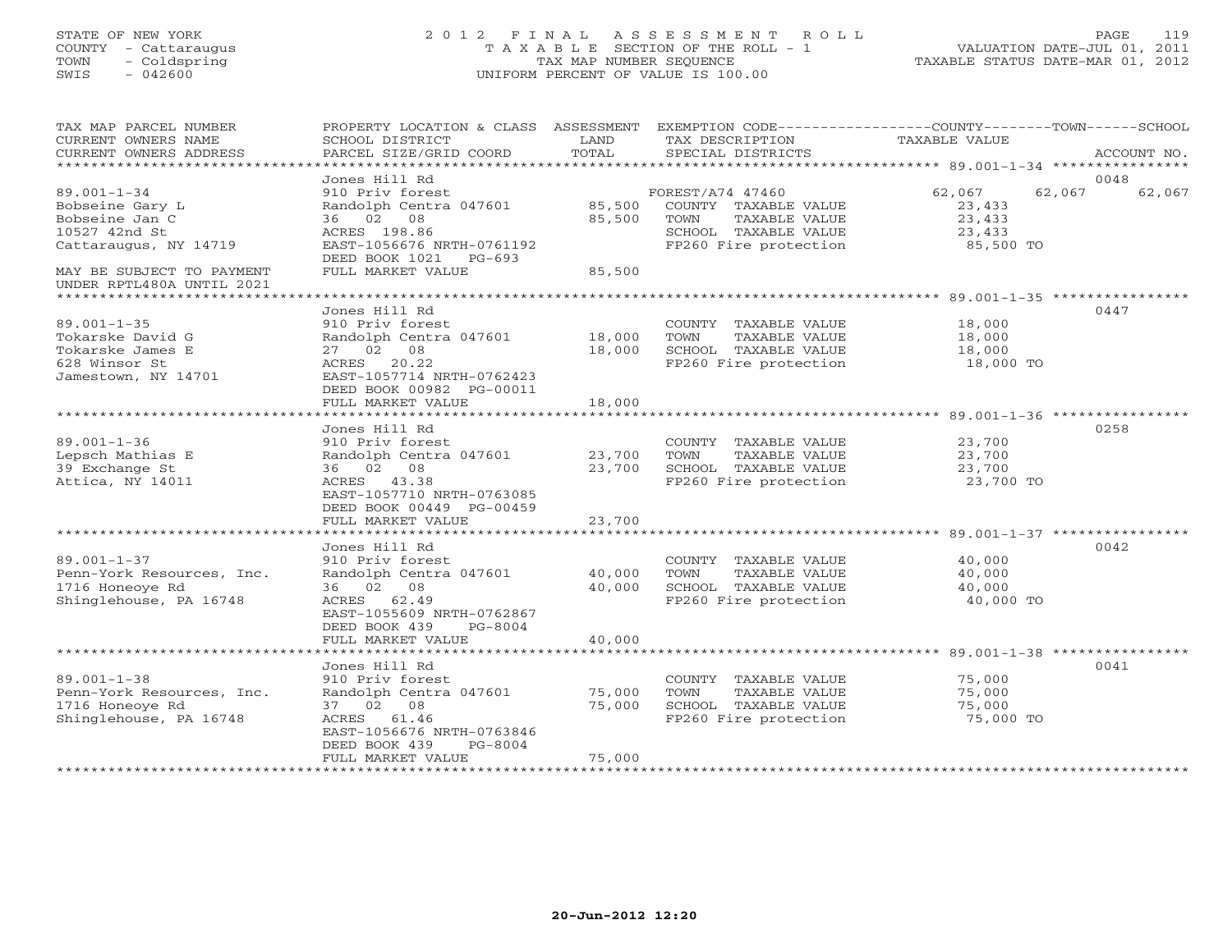# STATE OF NEW YORK 2 0 1 2 F I N A L A S S E S S M E N T R O L L PAGE 119 COUNTY - Cattaraugus T A X A B L E SECTION OF THE ROLL - 1 VALUATION DATE-JUL 01, 2011 TOWN - Coldspring TAX MAP NUMBER SEQUENCE TAXABLE STATUS DATE-MAR 01, 2012 SWIS - 042600 UNIFORM PERCENT OF VALUE IS 100.00UNIFORM PERCENT OF VALUE IS 100.00

| TAX MAP PARCEL NUMBER<br>CURRENT OWNERS NAME<br>CURRENT OWNERS ADDRESS                            | PROPERTY LOCATION & CLASS ASSESSMENT<br>SCHOOL DISTRICT<br>PARCEL SIZE/GRID COORD                                                                                     | LAND<br>TOTAL              | EXEMPTION CODE-----------------COUNTY-------TOWN------SCHOOL<br>TAX DESCRIPTION<br>SPECIAL DISTRICTS               | <b>TAXABLE VALUE</b>                              | ACCOUNT NO.              |
|---------------------------------------------------------------------------------------------------|-----------------------------------------------------------------------------------------------------------------------------------------------------------------------|----------------------------|--------------------------------------------------------------------------------------------------------------------|---------------------------------------------------|--------------------------|
| *************************                                                                         |                                                                                                                                                                       |                            |                                                                                                                    |                                                   |                          |
| $89.001 - 1 - 34$<br>Bobseine Gary L<br>Bobseine Jan C<br>10527 42nd St<br>Cattaraugus, NY 14719  | Jones Hill Rd<br>910 Priv forest<br>Randolph Centra 047601<br>36 02 08<br>ACRES 198.86<br>EAST-1056676 NRTH-0761192<br>DEED BOOK 1021 PG-693                          | 85,500<br>85,500           | FOREST/A74 47460<br>COUNTY TAXABLE VALUE<br>TOWN<br>TAXABLE VALUE<br>SCHOOL TAXABLE VALUE<br>FP260 Fire protection | 62,067<br>23,433<br>23,433<br>23,433<br>85,500 TO | 0048<br>62,067<br>62,067 |
| MAY BE SUBJECT TO PAYMENT<br>UNDER RPTL480A UNTIL 2021                                            | FULL MARKET VALUE                                                                                                                                                     | 85,500                     |                                                                                                                    |                                                   |                          |
| $89.001 - 1 - 35$<br>Tokarske David G<br>Tokarske James E<br>628 Winsor St<br>Jamestown, NY 14701 | Jones Hill Rd<br>910 Priv forest<br>Randolph Centra 047601<br>27 02 08<br>ACRES 20.22<br>EAST-1057714 NRTH-0762423<br>DEED BOOK 00982 PG-00011                        | 18,000<br>18,000           | COUNTY TAXABLE VALUE<br>TAXABLE VALUE<br>TOWN<br>SCHOOL TAXABLE VALUE<br>FP260 Fire protection                     | 18,000<br>18,000<br>18,000<br>18,000 TO           | 0447                     |
|                                                                                                   | FULL MARKET VALUE                                                                                                                                                     | 18,000                     |                                                                                                                    |                                                   |                          |
| $89.001 - 1 - 36$<br>Lepsch Mathias E<br>39 Exchange St<br>Attica, NY 14011                       | Jones Hill Rd<br>910 Priv forest<br>Randolph Centra 047601<br>36 02 08<br>ACRES 43.38<br>EAST-1057710 NRTH-0763085<br>DEED BOOK 00449 PG-00459<br>FULL MARKET VALUE   | 23,700<br>23,700<br>23,700 | COUNTY TAXABLE VALUE<br>TOWN<br>TAXABLE VALUE<br>SCHOOL TAXABLE VALUE<br>FP260 Fire protection                     | 23,700<br>23,700<br>23,700<br>23,700 TO           | 0258                     |
|                                                                                                   | *****************************                                                                                                                                         |                            |                                                                                                                    |                                                   |                          |
| $89.001 - 1 - 37$<br>Penn-York Resources, Inc.<br>1716 Honeoye Rd<br>Shinglehouse, PA 16748       | Jones Hill Rd<br>910 Priv forest<br>Randolph Centra 047601<br>36 02 08<br>ACRES 62.49<br>EAST-1055609 NRTH-0762867<br>DEED BOOK 439<br>PG-8004<br>FULL MARKET VALUE   | 40,000<br>40,000<br>40,000 | COUNTY TAXABLE VALUE<br>TOWN<br>TAXABLE VALUE<br>SCHOOL TAXABLE VALUE<br>FP260 Fire protection                     | 40,000<br>40,000<br>40,000<br>40,000 TO           | 0042                     |
|                                                                                                   |                                                                                                                                                                       |                            |                                                                                                                    |                                                   |                          |
| $89.001 - 1 - 38$<br>Penn-York Resources, Inc.<br>1716 Honeoye Rd<br>Shinglehouse, PA 16748       | Jones Hill Rd<br>910 Priv forest<br>Randolph Centra 047601<br>37 02 08<br>ACRES 61.46<br>EAST-1056676 NRTH-0763846<br>DEED BOOK 439<br>$PG-8004$<br>FULL MARKET VALUE | 75,000<br>75,000<br>75,000 | COUNTY TAXABLE VALUE<br>TOWN<br>TAXABLE VALUE<br>SCHOOL TAXABLE VALUE<br>FP260 Fire protection                     | 75,000<br>75,000<br>75,000<br>75,000 TO           | 0041                     |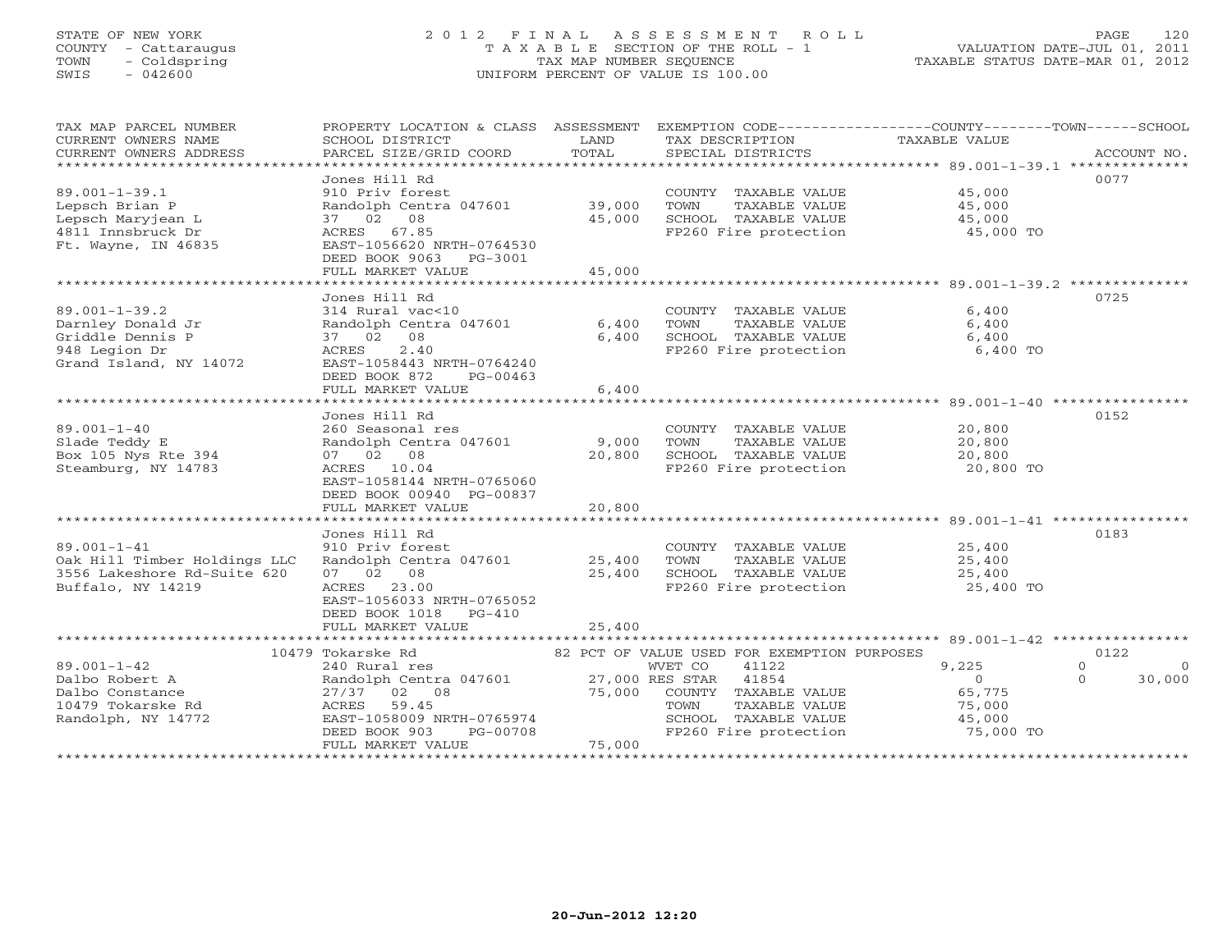# STATE OF NEW YORK 2 0 1 2 F I N A L A S S E S S M E N T R O L L PAGE 120 COUNTY - Cattaraugus T A X A B L E SECTION OF THE ROLL - 1 VALUATION DATE-JUL 01, 2011 TOWN - Coldspring TAX MAP NUMBER SEQUENCE TAXABLE STATUS DATE-MAR 01, 2012 SWIS - 042600 UNIFORM PERCENT OF VALUE IS 100.00UNIFORM PERCENT OF VALUE IS 100.00

| TAX MAP PARCEL NUMBER<br>CURRENT OWNERS NAME<br>CURRENT OWNERS ADDRESS                                  | SCHOOL DISTRICT<br>PARCEL SIZE/GRID COORD                                                                                                                            | LAND<br>TOTAL              | TAX DESCRIPTION<br>SPECIAL DISTRICTS                                                                                                                                                       | PROPERTY LOCATION & CLASS ASSESSMENT EXEMPTION CODE---------------COUNTY-------TOWN------SCHOOL<br>TAXABLE VALUE<br>ACCOUNT NO. |
|---------------------------------------------------------------------------------------------------------|----------------------------------------------------------------------------------------------------------------------------------------------------------------------|----------------------------|--------------------------------------------------------------------------------------------------------------------------------------------------------------------------------------------|---------------------------------------------------------------------------------------------------------------------------------|
| $89.001 - 1 - 39.1$<br>Lepsch Brian P<br>Lepsch Maryjean L<br>4811 Innsbruck Dr<br>Ft. Wayne, IN 46835  | Jones Hill Rd<br>910 Priv forest<br>Randolph Centra 047601<br>37 02 08<br>ACRES 67.85<br>EAST-1056620 NRTH-0764530<br>DEED BOOK 9063<br>PG-3001<br>FULL MARKET VALUE | 39,000<br>45,000<br>45,000 | COUNTY TAXABLE VALUE<br>TOWN<br>TAXABLE VALUE<br>SCHOOL TAXABLE VALUE<br>FP260 Fire protection                                                                                             | 0077<br>45,000<br>45,000<br>45,000<br>45,000 TO                                                                                 |
|                                                                                                         | Jones Hill Rd                                                                                                                                                        |                            |                                                                                                                                                                                            | 0725                                                                                                                            |
| $89.001 - 1 - 39.2$<br>Darnley Donald Jr<br>Griddle Dennis P<br>948 Legion Dr<br>Grand Island, NY 14072 | 314 Rural vac<10<br>Randolph Centra 047601<br>37 02 08<br>2.40<br>ACRES<br>EAST-1058443 NRTH-0764240<br>DEED BOOK 872<br>PG-00463<br>FULL MARKET VALUE               | 6,400<br>6,400<br>6,400    | COUNTY TAXABLE VALUE<br>TOWN<br>TAXABLE VALUE<br>SCHOOL TAXABLE VALUE<br>FP260 Fire protection                                                                                             | 6,400<br>6,400<br>6,400<br>6,400 TO                                                                                             |
|                                                                                                         | *******************************                                                                                                                                      | *************              |                                                                                                                                                                                            |                                                                                                                                 |
| $89.001 - 1 - 40$<br>Slade Teddy E<br>Box 105 Nys Rte 394<br>Steamburg, NY 14783                        | Jones Hill Rd<br>260 Seasonal res<br>Randolph Centra 047601<br>07 02 08<br>ACRES 10.04<br>EAST-1058144 NRTH-0765060<br>DEED BOOK 00940 PG-00837<br>FULL MARKET VALUE | 9,000<br>20,800<br>20,800  | COUNTY TAXABLE VALUE<br>TOWN<br>TAXABLE VALUE<br>SCHOOL TAXABLE VALUE<br>FP260 Fire protection                                                                                             | 0152<br>20,800<br>20,800<br>20,800<br>20,800 TO                                                                                 |
|                                                                                                         | ***********************                                                                                                                                              | **********                 |                                                                                                                                                                                            |                                                                                                                                 |
| $89.001 - 1 - 41$<br>Oak Hill Timber Holdings LLC<br>3556 Lakeshore Rd-Suite 620<br>Buffalo, NY 14219   | Jones Hill Rd<br>910 Priv forest<br>Randolph Centra 047601<br>07 02 08<br>23.00<br>ACRES<br>EAST-1056033 NRTH-0765052<br>DEED BOOK 1018 PG-410                       | 25,400<br>25,400           | COUNTY TAXABLE VALUE<br>TOWN<br>TAXABLE VALUE<br>SCHOOL TAXABLE VALUE<br>FP260 Fire protection                                                                                             | 0183<br>25,400<br>25,400<br>25,400<br>25,400 TO                                                                                 |
|                                                                                                         | FULL MARKET VALUE                                                                                                                                                    | 25,400                     |                                                                                                                                                                                            |                                                                                                                                 |
| $89.001 - 1 - 42$<br>Dalbo Robert A<br>Dalbo Constance<br>10479 Tokarske Rd<br>Randolph, NY 14772       | 10479 Tokarske Rd<br>240 Rural res<br>Randolph Centra 047601<br>27/37 02 08<br>59.45<br>ACRES<br>EAST-1058009 NRTH-0765974<br>DEED BOOK 903<br>PG-00708              | 75,000                     | 82 PCT OF VALUE USED FOR EXEMPTION PURPOSES<br>WVET CO<br>41122<br>27,000 RES STAR 41854<br>COUNTY TAXABLE VALUE<br>TOWN<br>TAXABLE VALUE<br>SCHOOL TAXABLE VALUE<br>FP260 Fire protection | 0122<br>9,225<br>$\Omega$<br>$\Omega$<br>$\Omega$<br>30,000<br>$\Omega$<br>65,775<br>75,000<br>45,000<br>75,000 TO              |
|                                                                                                         | FULL MARKET VALUE                                                                                                                                                    | 75,000                     |                                                                                                                                                                                            |                                                                                                                                 |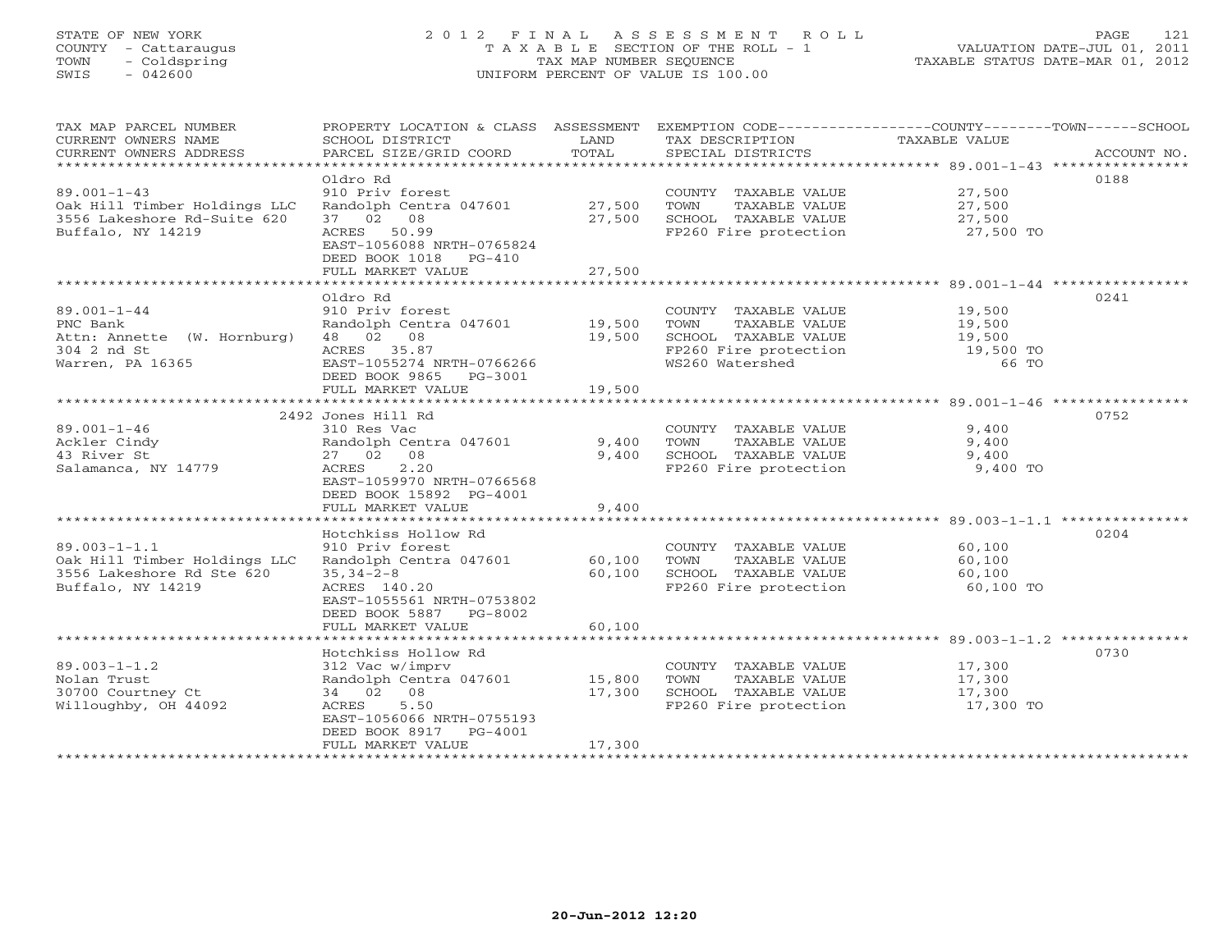# STATE OF NEW YORK 2 0 1 2 F I N A L A S S E S S M E N T R O L L PAGE 121 COUNTY - Cattaraugus T A X A B L E SECTION OF THE ROLL - 1 VALUATION DATE-JUL 01, 2011 TOWN - Coldspring TAX MAP NUMBER SEQUENCE TAXABLE STATUS DATE-MAR 01, 2012 SWIS - 042600 UNIFORM PERCENT OF VALUE IS 100.00UNIFORM PERCENT OF VALUE IS 100.00

| TAX MAP PARCEL NUMBER<br>CURRENT OWNERS NAME<br>CURRENT OWNERS ADDRESS | PROPERTY LOCATION & CLASS ASSESSMENT<br>SCHOOL DISTRICT<br>PARCEL SIZE/GRID COORD | LAND<br>TOTAL | TAX DESCRIPTION<br>SPECIAL DISTRICTS | EXEMPTION CODE-----------------COUNTY-------TOWN------SCHOOL<br>TAXABLE VALUE<br>ACCOUNT NO. |
|------------------------------------------------------------------------|-----------------------------------------------------------------------------------|---------------|--------------------------------------|----------------------------------------------------------------------------------------------|
|                                                                        |                                                                                   |               |                                      |                                                                                              |
|                                                                        | Oldro Rd                                                                          |               |                                      | 0188                                                                                         |
| $89.001 - 1 - 43$                                                      | 910 Priv forest                                                                   |               | COUNTY TAXABLE VALUE                 | 27,500                                                                                       |
| Oak Hill Timber Holdings LLC                                           | Randolph Centra 047601                                                            | 27,500        | TOWN<br>TAXABLE VALUE                | 27,500                                                                                       |
| 3556 Lakeshore Rd-Suite 620                                            | 37 02 08                                                                          | 27,500        | SCHOOL TAXABLE VALUE                 | 27,500                                                                                       |
| Buffalo, NY 14219                                                      | 50.99<br>ACRES                                                                    |               | FP260 Fire protection                | 27,500 TO                                                                                    |
|                                                                        | EAST-1056088 NRTH-0765824                                                         |               |                                      |                                                                                              |
|                                                                        | DEED BOOK 1018<br>$PG-410$<br>FULL MARKET VALUE                                   | 27,500        |                                      |                                                                                              |
|                                                                        |                                                                                   |               |                                      |                                                                                              |
|                                                                        | Oldro Rd                                                                          |               |                                      | 0241                                                                                         |
| $89.001 - 1 - 44$                                                      | 910 Priv forest                                                                   |               | COUNTY TAXABLE VALUE                 | 19,500                                                                                       |
| PNC Bank                                                               | Randolph Centra 047601                                                            | 19,500        | TAXABLE VALUE<br>TOWN                | 19,500                                                                                       |
| Attn: Annette (W. Hornburg)                                            | 48 02 08                                                                          | 19,500        | SCHOOL TAXABLE VALUE                 | 19,500                                                                                       |
| 304 2 nd St                                                            | ACRES 35.87                                                                       |               | FP260 Fire protection                | 19,500 TO                                                                                    |
| Warren, PA 16365                                                       | EAST-1055274 NRTH-0766266                                                         |               | WS260 Watershed                      | 66 TO                                                                                        |
|                                                                        | DEED BOOK 9865 PG-3001                                                            |               |                                      |                                                                                              |
|                                                                        | FULL MARKET VALUE                                                                 | 19,500        |                                      |                                                                                              |
|                                                                        |                                                                                   |               |                                      |                                                                                              |
|                                                                        | 2492 Jones Hill Rd                                                                |               |                                      | 0752                                                                                         |
| $89.001 - 1 - 46$                                                      | 310 Res Vac                                                                       |               | COUNTY TAXABLE VALUE                 | 9,400                                                                                        |
| Ackler Cindy                                                           | Randolph Centra 047601                                                            | 9,400         | TOWN<br>TAXABLE VALUE                | 9,400                                                                                        |
| 43 River St                                                            | 27 02 08                                                                          | 9,400         | SCHOOL TAXABLE VALUE                 | 9,400                                                                                        |
| Salamanca, NY 14779                                                    | 2.20<br>ACRES                                                                     |               | FP260 Fire protection                | 9,400 TO                                                                                     |
|                                                                        | EAST-1059970 NRTH-0766568                                                         |               |                                      |                                                                                              |
|                                                                        | DEED BOOK 15892 PG-4001                                                           |               |                                      |                                                                                              |
|                                                                        | FULL MARKET VALUE                                                                 | 9,400         |                                      |                                                                                              |
|                                                                        |                                                                                   |               |                                      |                                                                                              |
|                                                                        | Hotchkiss Hollow Rd                                                               |               |                                      | 0204                                                                                         |
| $89.003 - 1 - 1.1$                                                     | 910 Priv forest                                                                   |               | COUNTY TAXABLE VALUE                 | 60,100                                                                                       |
| Oak Hill Timber Holdings LLC                                           | Randolph Centra 047601                                                            | 60,100        | TOWN<br>TAXABLE VALUE                | 60,100                                                                                       |
| 3556 Lakeshore Rd Ste 620                                              | $35, 34 - 2 - 8$                                                                  | 60,100        | SCHOOL TAXABLE VALUE                 | 60,100                                                                                       |
| Buffalo, NY 14219                                                      | ACRES 140.20                                                                      |               | FP260 Fire protection                | 60,100 TO                                                                                    |
|                                                                        | EAST-1055561 NRTH-0753802                                                         |               |                                      |                                                                                              |
|                                                                        | DEED BOOK 5887 PG-8002                                                            |               |                                      |                                                                                              |
|                                                                        | FULL MARKET VALUE                                                                 | 60,100        |                                      |                                                                                              |
|                                                                        |                                                                                   |               |                                      |                                                                                              |
|                                                                        | Hotchkiss Hollow Rd                                                               |               |                                      | 0730                                                                                         |
| $89.003 - 1 - 1.2$                                                     | 312 Vac w/imprv                                                                   |               | COUNTY TAXABLE VALUE                 | 17,300                                                                                       |
| Nolan Trust                                                            | Randolph Centra 047601 15,800                                                     |               | TOWN<br>TAXABLE VALUE                | 17,300                                                                                       |
| 30700 Courtney Ct                                                      | 34 02 08                                                                          | 17,300        | SCHOOL TAXABLE VALUE                 | 17,300                                                                                       |
| Willoughby, OH 44092                                                   | 5.50<br>ACRES                                                                     |               | FP260 Fire protection                | 17,300 TO                                                                                    |
|                                                                        | EAST-1056066 NRTH-0755193                                                         |               |                                      |                                                                                              |
|                                                                        | DEED BOOK 8917<br>$PG-4001$                                                       |               |                                      |                                                                                              |
| *******************                                                    | FULL MARKET VALUE                                                                 | 17,300        |                                      |                                                                                              |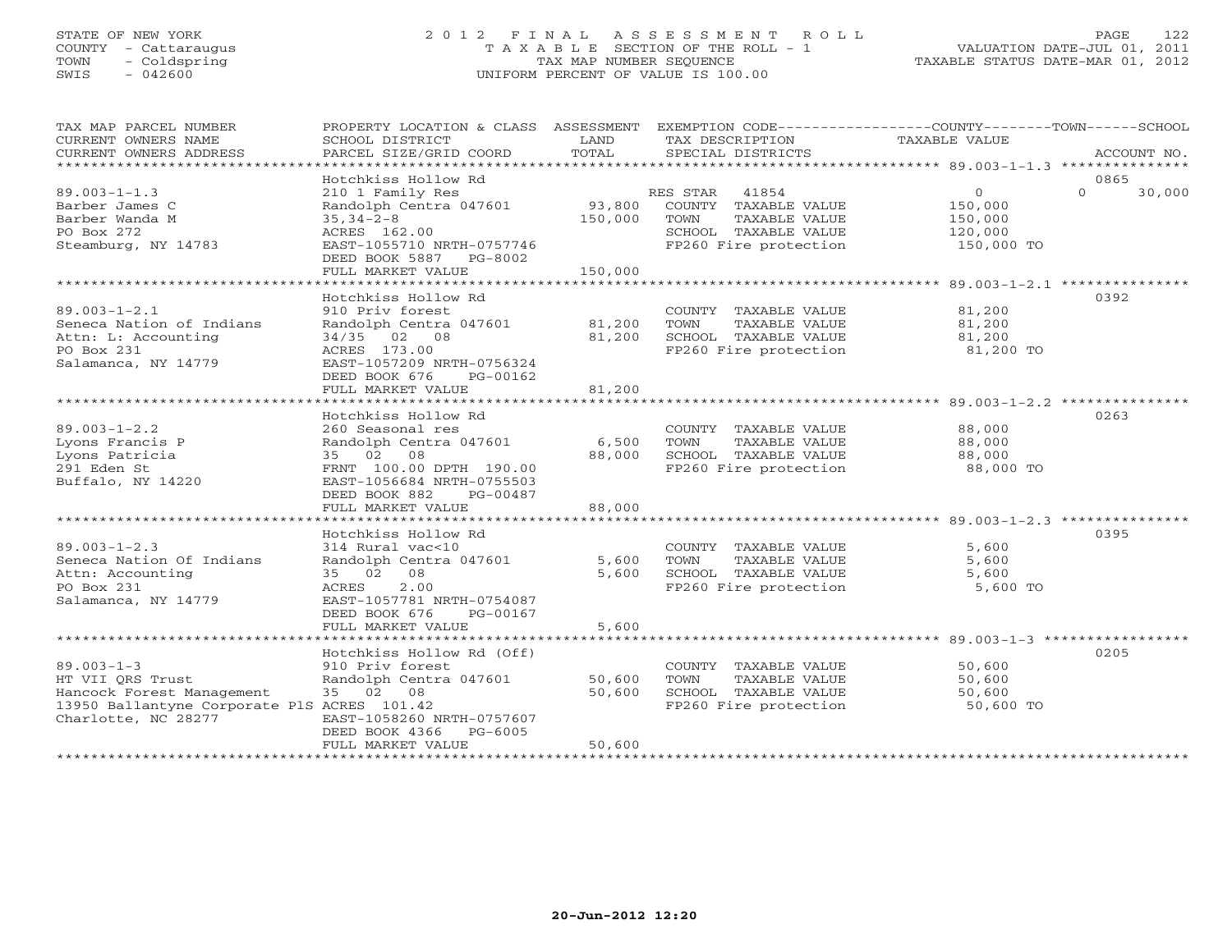# STATE OF NEW YORK 2 0 1 2 F I N A L A S S E S S M E N T R O L L PAGE 122 COUNTY - Cattaraugus T A X A B L E SECTION OF THE ROLL - 1 VALUATION DATE-JUL 01, 2011 TOWN - Coldspring TAX MAP NUMBER SEQUENCE TAXABLE STATUS DATE-MAR 01, 2012 SWIS - 042600 UNIFORM PERCENT OF VALUE IS 100.00UNIFORM PERCENT OF VALUE IS 100.00

| TAX MAP PARCEL NUMBER<br>CURRENT OWNERS NAME<br>CURRENT OWNERS ADDRESS<br>*************************                                     | PROPERTY LOCATION & CLASS ASSESSMENT<br>SCHOOL DISTRICT<br>PARCEL SIZE/GRID COORD                                                                                                          | LAND<br>TOTAL                | TAX DESCRIPTION<br>SPECIAL DISTRICTS                                                                                | EXEMPTION CODE-----------------COUNTY-------TOWN------SCHOOL<br>TAXABLE VALUE<br>ACCOUNT NO. |
|-----------------------------------------------------------------------------------------------------------------------------------------|--------------------------------------------------------------------------------------------------------------------------------------------------------------------------------------------|------------------------------|---------------------------------------------------------------------------------------------------------------------|----------------------------------------------------------------------------------------------|
| $89.003 - 1 - 1.3$<br>Barber James C<br>Barber Wanda M<br>PO Box 272<br>Steamburg, NY 14783                                             | Hotchkiss Hollow Rd<br>210 1 Family Res<br>Randolph Centra 047601<br>$35, 34 - 2 - 8$<br>ACRES 162.00<br>EAST-1055710 NRTH-0757746<br>DEED BOOK 5887 PG-8002<br>FULL MARKET VALUE          | 93,800<br>150,000<br>150,000 | RES STAR<br>41854<br>COUNTY TAXABLE VALUE<br>TOWN<br>TAXABLE VALUE<br>SCHOOL TAXABLE VALUE<br>FP260 Fire protection | 0865<br>$\circ$<br>$\Omega$<br>30,000<br>150,000<br>150,000<br>120,000<br>150,000 TO         |
| $89.003 - 1 - 2.1$<br>Seneca Nation of Indians<br>Attn: L: Accounting<br>PO Box 231<br>Salamanca, NY 14779                              | Hotchkiss Hollow Rd<br>910 Priv forest<br>Randolph Centra 047601<br>34/35 02 08<br>ACRES 173.00<br>EAST-1057209 NRTH-0756324<br>DEED BOOK 676<br>PG-00162<br>FULL MARKET VALUE             | 81,200<br>81,200<br>81,200   | COUNTY TAXABLE VALUE<br>TOWN<br>TAXABLE VALUE<br>SCHOOL TAXABLE VALUE<br>FP260 Fire protection                      | 0392<br>81,200<br>81,200<br>81,200<br>81,200 TO                                              |
| $89.003 - 1 - 2.2$<br>Lyons Francis P<br>Lyons Patricia<br>291 Eden St<br>Buffalo, NY 14220                                             | Hotchkiss Hollow Rd<br>260 Seasonal res<br>Randolph Centra 047601<br>35 02<br>08<br>FRNT 100.00 DPTH 190.00<br>EAST-1056684 NRTH-0755503<br>DEED BOOK 882<br>PG-00487<br>FULL MARKET VALUE | 6,500<br>88,000<br>88,000    | COUNTY TAXABLE VALUE<br>TOWN<br>TAXABLE VALUE<br>SCHOOL TAXABLE VALUE<br>FP260 Fire protection                      | 0263<br>88,000<br>88,000<br>88,000<br>88,000 TO                                              |
| $89.003 - 1 - 2.3$<br>Seneca Nation Of Indians<br>Attn: Accounting<br>PO Box 231<br>Salamanca, NY 14779                                 | Hotchkiss Hollow Rd<br>314 Rural vac<10<br>Randolph Centra 047601<br>35 02<br>08<br>2.00<br>ACRES<br>EAST-1057781 NRTH-0754087<br>DEED BOOK 676<br>PG-00167<br>FULL MARKET VALUE           | 5,600<br>5,600<br>5,600      | COUNTY TAXABLE VALUE<br>TOWN<br>TAXABLE VALUE<br>SCHOOL TAXABLE VALUE<br>FP260 Fire protection                      | 0395<br>5,600<br>5,600<br>5,600<br>5,600 TO                                                  |
| $89.003 - 1 - 3$<br>HT VII ORS Trust<br>Hancock Forest Management<br>13950 Ballantyne Corporate PlS ACRES 101.42<br>Charlotte, NC 28277 | Hotchkiss Hollow Rd (Off)<br>910 Priv forest<br>Randolph Centra 047601<br>35 02 08<br>EAST-1058260 NRTH-0757607<br>DEED BOOK 4366<br>$PG-6005$<br>FULL MARKET VALUE                        | 50,600<br>50,600<br>50,600   | COUNTY TAXABLE VALUE<br>TOWN<br>TAXABLE VALUE<br>SCHOOL TAXABLE VALUE<br>FP260 Fire protection                      | 0205<br>50,600<br>50,600<br>50,600<br>50,600 TO                                              |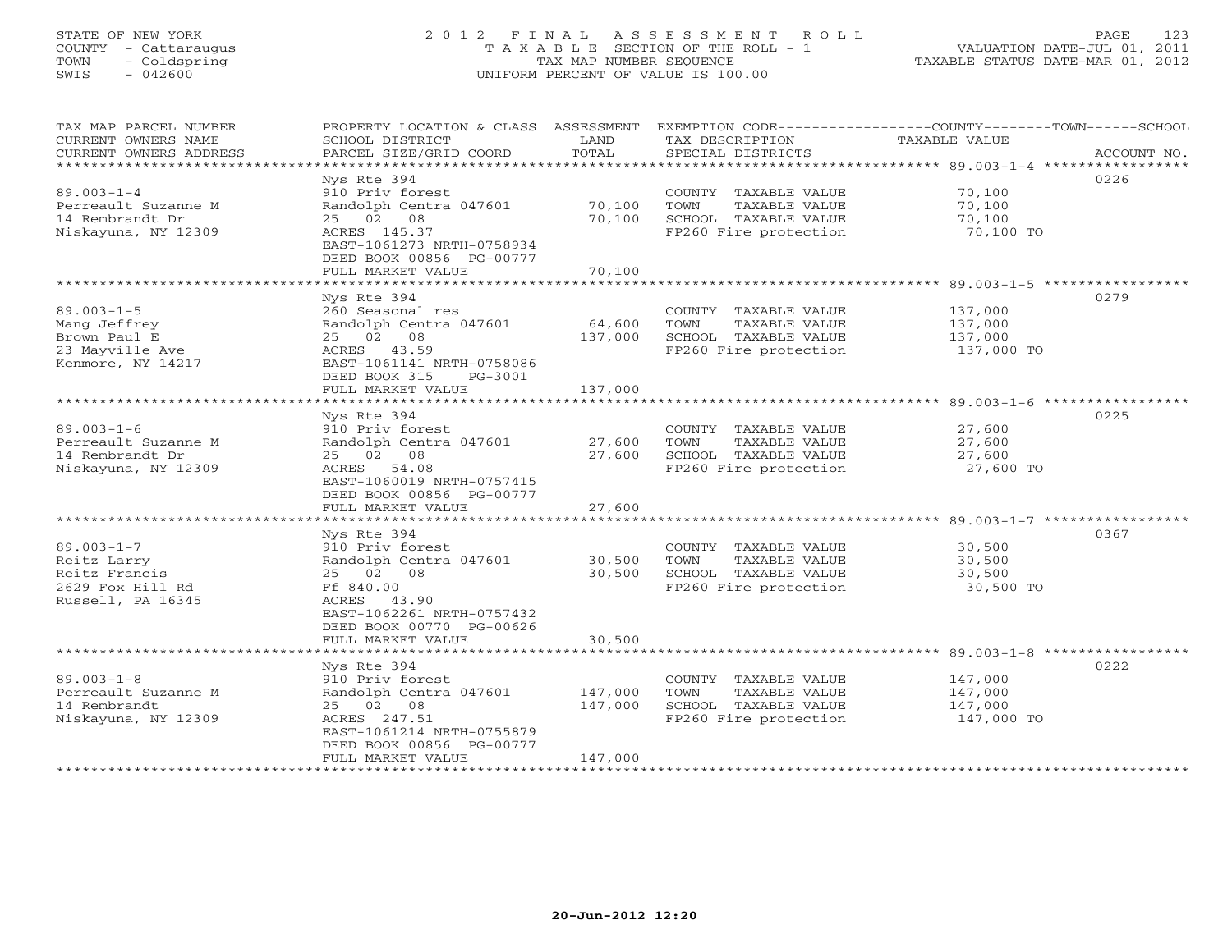# STATE OF NEW YORK 2 0 1 2 F I N A L A S S E S S M E N T R O L L PAGE 123 COUNTY - Cattaraugus T A X A B L E SECTION OF THE ROLL - 1 VALUATION DATE-JUL 01, 2011 TOWN - Coldspring TAX MAP NUMBER SEQUENCE TAXABLE STATUS DATE-MAR 01, 2012 SWIS - 042600 UNIFORM PERCENT OF VALUE IS 100.00UNIFORM PERCENT OF VALUE IS 100.00

| TAX MAP PARCEL NUMBER<br>CURRENT OWNERS NAME<br>CURRENT OWNERS ADDRESS<br>************************* | PROPERTY LOCATION & CLASS ASSESSMENT<br>SCHOOL DISTRICT<br>PARCEL SIZE/GRID COORD                                                                                 | LAND<br>TOTAL              | TAX DESCRIPTION<br>SPECIAL DISTRICTS                                                           | EXEMPTION CODE-----------------COUNTY-------TOWN-----SCHOOL<br><b>TAXABLE VALUE</b><br>ACCOUNT NO. |
|-----------------------------------------------------------------------------------------------------|-------------------------------------------------------------------------------------------------------------------------------------------------------------------|----------------------------|------------------------------------------------------------------------------------------------|----------------------------------------------------------------------------------------------------|
| $89.003 - 1 - 4$<br>Perreault Suzanne M<br>14 Rembrandt Dr<br>Niskayuna, NY 12309                   | Nys Rte 394<br>910 Priv forest<br>Randolph Centra 047601<br>25 02 08<br>ACRES 145.37                                                                              | 70,100<br>70,100           | COUNTY TAXABLE VALUE<br>TOWN<br>TAXABLE VALUE<br>SCHOOL TAXABLE VALUE<br>FP260 Fire protection | 0226<br>70,100<br>70,100<br>70,100<br>70,100 TO                                                    |
|                                                                                                     | EAST-1061273 NRTH-0758934<br>DEED BOOK 00856 PG-00777<br>FULL MARKET VALUE                                                                                        | 70,100                     |                                                                                                |                                                                                                    |
|                                                                                                     | Nys Rte 394                                                                                                                                                       |                            |                                                                                                | 0279                                                                                               |
| $89.003 - 1 - 5$<br>Mang Jeffrey<br>Brown Paul E<br>23 Mayville Ave<br>Kenmore, NY 14217            | 260 Seasonal res<br>Randolph Centra 047601<br>25 02 08<br>ACRES 43.59<br>EAST-1061141 NRTH-0758086<br>DEED BOOK 315<br>PG-3001                                    | 64,600<br>137,000          | COUNTY TAXABLE VALUE<br>TAXABLE VALUE<br>TOWN<br>SCHOOL TAXABLE VALUE<br>FP260 Fire protection | 137,000<br>137,000<br>137,000<br>137,000 TO                                                        |
|                                                                                                     | FULL MARKET VALUE                                                                                                                                                 | 137,000                    |                                                                                                |                                                                                                    |
|                                                                                                     |                                                                                                                                                                   |                            |                                                                                                |                                                                                                    |
| $89.003 - 1 - 6$<br>Perreault Suzanne M<br>14 Rembrandt Dr<br>Niskayuna, NY 12309                   | Nys Rte 394<br>910 Priv forest<br>Randolph Centra 047601<br>25 02 08<br>ACRES 54.08<br>EAST-1060019 NRTH-0757415<br>DEED BOOK 00856 PG-00777<br>FULL MARKET VALUE | 27,600<br>27,600<br>27,600 | COUNTY TAXABLE VALUE<br>TOWN<br>TAXABLE VALUE<br>SCHOOL TAXABLE VALUE<br>FP260 Fire protection | 0225<br>27,600<br>27,600<br>27,600<br>27,600 TO                                                    |
|                                                                                                     |                                                                                                                                                                   |                            |                                                                                                |                                                                                                    |
| $89.003 - 1 - 7$<br>Reitz Larry<br>Reitz Francis<br>2629 Fox Hill Rd<br>Russell, PA 16345           | Nys Rte 394<br>910 Priv forest<br>Randolph Centra 047601<br>25 02 08<br>Ff 840.00<br>ACRES 43.90<br>EAST-1062261 NRTH-0757432<br>DEED BOOK 00770 PG-00626         | 30,500<br>30,500           | COUNTY TAXABLE VALUE<br>TAXABLE VALUE<br>TOWN<br>SCHOOL TAXABLE VALUE<br>FP260 Fire protection | 0367<br>30,500<br>30,500<br>30,500<br>30,500 TO                                                    |
|                                                                                                     | FULL MARKET VALUE                                                                                                                                                 | 30,500                     |                                                                                                |                                                                                                    |
|                                                                                                     |                                                                                                                                                                   |                            |                                                                                                |                                                                                                    |
| $89.003 - 1 - 8$<br>Perreault Suzanne M<br>14 Rembrandt<br>Niskayuna, NY 12309                      | Nys Rte 394<br>910 Priv forest<br>Randolph Centra 047601<br>25 02 08<br>ACRES 247.51<br>EAST-1061214 NRTH-0755879<br>DEED BOOK 00856 PG-00777                     | 147,000<br>147,000         | COUNTY TAXABLE VALUE<br>TOWN<br>TAXABLE VALUE<br>SCHOOL TAXABLE VALUE<br>FP260 Fire protection | 0222<br>147,000<br>147,000<br>147,000<br>147,000 TO                                                |
|                                                                                                     | FULL MARKET VALUE                                                                                                                                                 | 147,000                    | ********************************                                                               |                                                                                                    |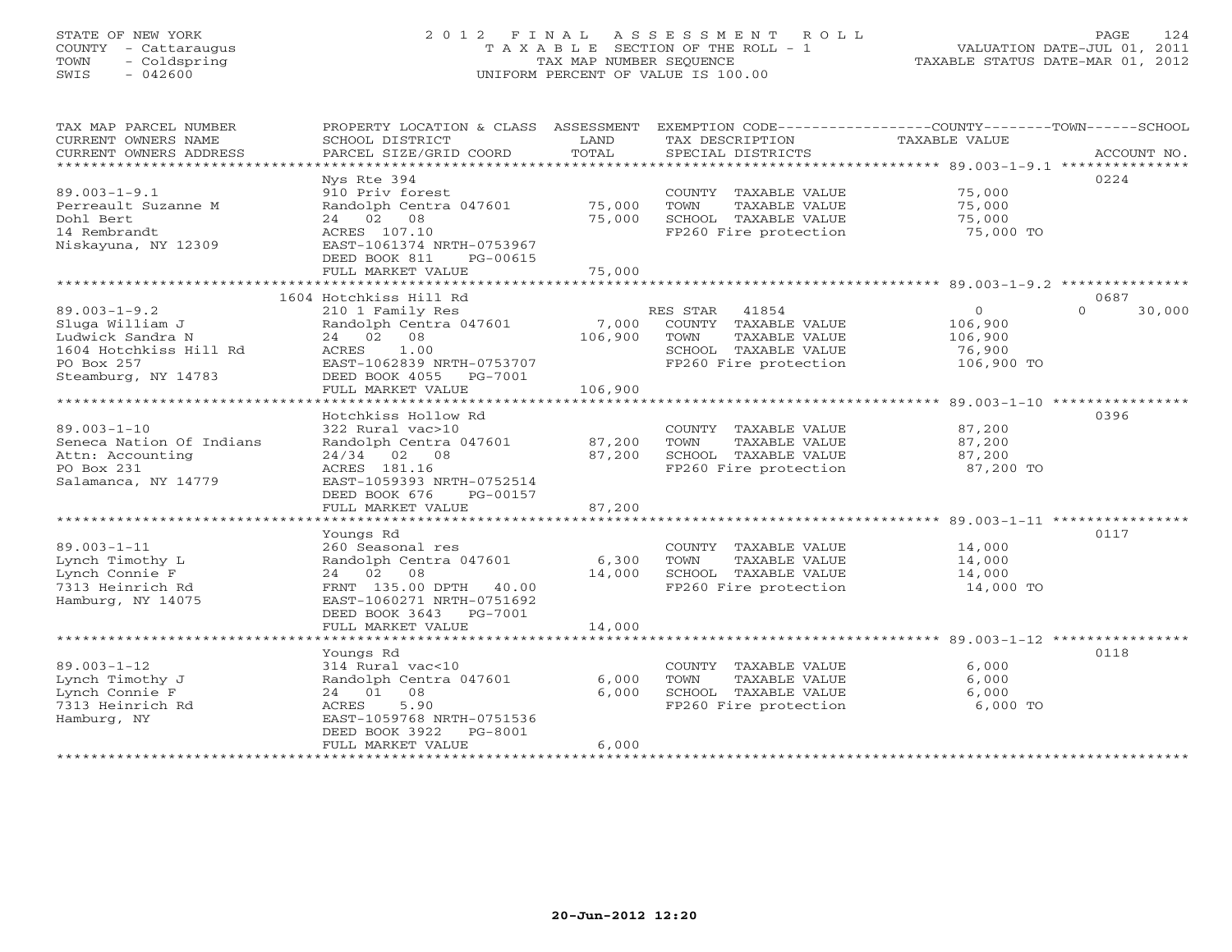# STATE OF NEW YORK 2 0 1 2 F I N A L A S S E S S M E N T R O L L PAGE 124 COUNTY - Cattaraugus T A X A B L E SECTION OF THE ROLL - 1 VALUATION DATE-JUL 01, 2011 TOWN - Coldspring TAX MAP NUMBER SEQUENCE TAXABLE STATUS DATE-MAR 01, 2012 SWIS - 042600 UNIFORM PERCENT OF VALUE IS 100.00UNIFORM PERCENT OF VALUE IS 100.00

| TAX MAP PARCEL NUMBER<br>CURRENT OWNERS NAME<br>CURRENT OWNERS ADDRESS<br>************************                       | PROPERTY LOCATION & CLASS ASSESSMENT<br>SCHOOL DISTRICT<br>PARCEL SIZE/GRID COORD                                                                                      | LAND<br>TOTAL               | TAX DESCRIPTION<br>SPECIAL DISTRICTS                                                                                | EXEMPTION CODE-----------------COUNTY-------TOWN------SCHOOL<br><b>TAXABLE VALUE</b> | ACCOUNT NO.        |
|--------------------------------------------------------------------------------------------------------------------------|------------------------------------------------------------------------------------------------------------------------------------------------------------------------|-----------------------------|---------------------------------------------------------------------------------------------------------------------|--------------------------------------------------------------------------------------|--------------------|
| $89.003 - 1 - 9.1$<br>Perreault Suzanne M<br>Dohl Bert<br>14 Rembrandt<br>Niskayuna, NY 12309                            | Nys Rte 394<br>910 Priv forest<br>Randolph Centra 047601<br>24 02 08<br>ACRES 107.10<br>EAST-1061374 NRTH-0753967<br>DEED BOOK 811<br>PG-00615<br>FULL MARKET VALUE    | 75,000<br>75,000<br>75,000  | COUNTY TAXABLE VALUE<br>TOWN<br>TAXABLE VALUE<br>SCHOOL TAXABLE VALUE<br>FP260 Fire protection                      | 75,000<br>75,000<br>75,000<br>75,000 TO                                              | 0224               |
|                                                                                                                          | 1604 Hotchkiss Hill Rd                                                                                                                                                 |                             |                                                                                                                     |                                                                                      | 0687               |
| $89.003 - 1 - 9.2$<br>Sluga William J<br>Ludwick Sandra N<br>1604 Hotchkiss Hill Rd<br>PO Box 257<br>Steamburg, NY 14783 | 210 1 Family Res<br>Randolph Centra 047601<br>24 02<br>08<br>ACRES<br>1.00<br>EAST-1062839 NRTH-0753707<br>DEED BOOK 4055<br>PG-7001<br>FULL MARKET VALUE              | 7,000<br>106,900<br>106,900 | 41854<br>RES STAR<br>COUNTY TAXABLE VALUE<br>TOWN<br>TAXABLE VALUE<br>SCHOOL TAXABLE VALUE<br>FP260 Fire protection | $\circ$<br>106,900<br>106,900<br>76,900<br>106,900 TO                                | $\Omega$<br>30,000 |
|                                                                                                                          | Hotchkiss Hollow Rd                                                                                                                                                    |                             |                                                                                                                     | ************************ 89.003-1-10 *****************                               | 0396               |
| $89.003 - 1 - 10$<br>Seneca Nation Of Indians<br>Attn: Accounting<br>PO Box 231<br>Salamanca, NY 14779                   | 322 Rural vac>10<br>Randolph Centra 047601<br>24/34 02 08<br>ACRES 181.16<br>EAST-1059393 NRTH-0752514<br>DEED BOOK 676<br>PG-00157                                    | 87,200<br>87,200            | COUNTY TAXABLE VALUE<br>TOWN<br>TAXABLE VALUE<br>SCHOOL TAXABLE VALUE<br>FP260 Fire protection                      | 87,200<br>87,200<br>87,200<br>87,200 TO                                              |                    |
|                                                                                                                          | FULL MARKET VALUE                                                                                                                                                      | 87,200                      |                                                                                                                     |                                                                                      |                    |
| $89.003 - 1 - 11$<br>Lynch Timothy L<br>Lynch Connie F<br>7313 Heinrich Rd<br>Hamburg, NY 14075                          | Youngs Rd<br>260 Seasonal res<br>Randolph Centra 047601<br>24 02<br>08<br>FRNT 135.00 DPTH 40.00<br>EAST-1060271 NRTH-0751692<br>DEED BOOK 3643<br>PG-7001             | 6,300<br>14,000             | COUNTY TAXABLE VALUE<br>TOWN<br>TAXABLE VALUE<br>SCHOOL TAXABLE VALUE<br>FP260 Fire protection                      | 14,000<br>14,000<br>14,000<br>14,000 TO                                              | 0117               |
|                                                                                                                          | FULL MARKET VALUE                                                                                                                                                      | 14,000                      |                                                                                                                     |                                                                                      |                    |
| $89.003 - 1 - 12$<br>Lynch Timothy J<br>Lynch Connie F<br>7313 Heinrich Rd<br>Hamburg, NY                                | Youngs Rd<br>314 Rural vac<10<br>Randolph Centra 047601<br>08<br>24 01<br>5.90<br>ACRES<br>EAST-1059768 NRTH-0751536<br>DEED BOOK 3922<br>PG-8001<br>FULL MARKET VALUE | 6,000<br>6,000<br>6,000     | COUNTY TAXABLE VALUE<br>TOWN<br>TAXABLE VALUE<br>SCHOOL TAXABLE VALUE<br>FP260 Fire protection                      | 6,000<br>6,000<br>6,000<br>6,000 TO                                                  | 0118               |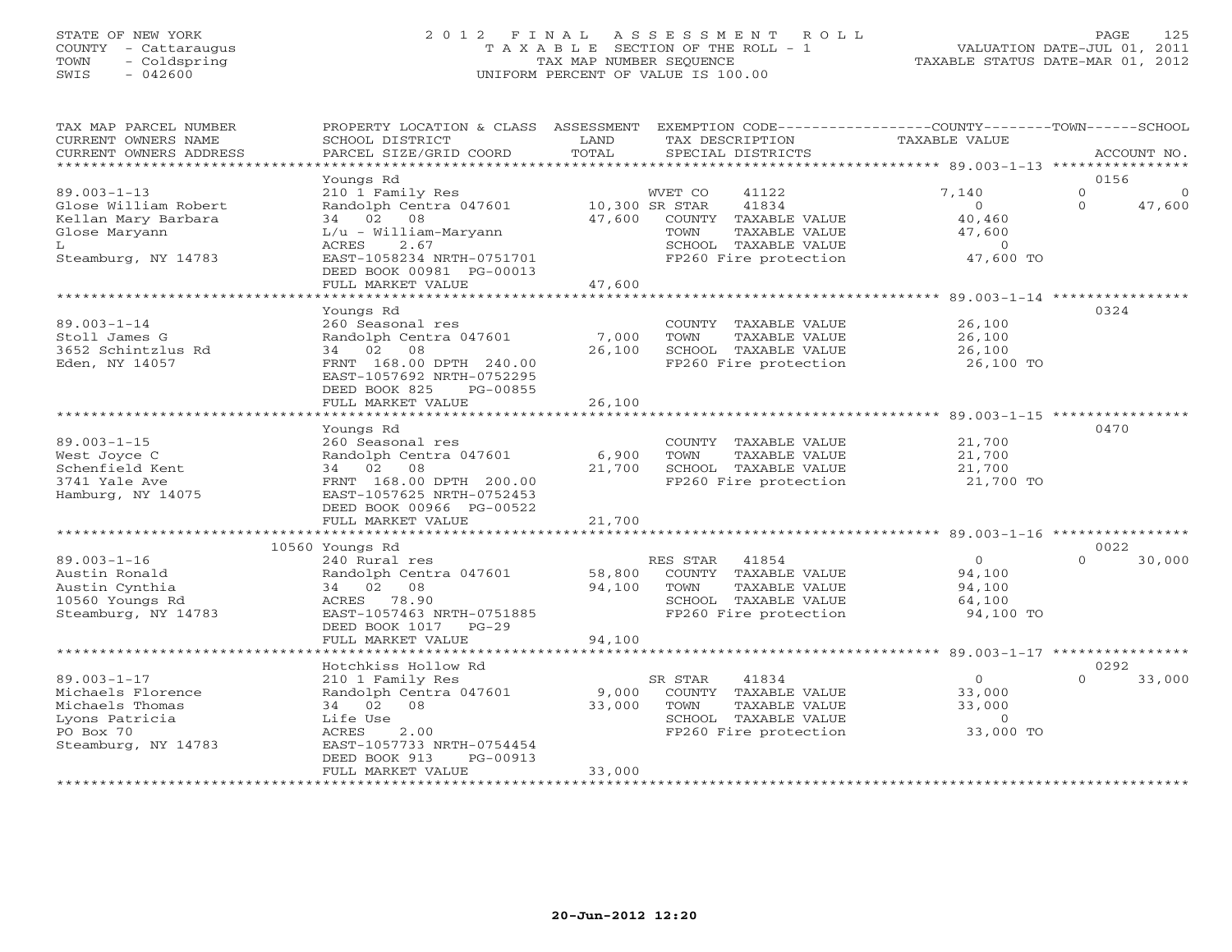# STATE OF NEW YORK 2 0 1 2 F I N A L A S S E S S M E N T R O L L PAGE 125 COUNTY - Cattaraugus T A X A B L E SECTION OF THE ROLL - 1 VALUATION DATE-JUL 01, 2011 TOWN - Coldspring TAX MAP NUMBER SEQUENCE TAXABLE STATUS DATE-MAR 01, 2012 SWIS - 042600 UNIFORM PERCENT OF VALUE IS 100.00UNIFORM PERCENT OF VALUE IS 100.00

| TAX MAP PARCEL NUMBER                           | PROPERTY LOCATION & CLASS ASSESSMENT     |                | EXEMPTION CODE-----------------COUNTY-------TOWN------SCHOOL |                                             |                              |
|-------------------------------------------------|------------------------------------------|----------------|--------------------------------------------------------------|---------------------------------------------|------------------------------|
| CURRENT OWNERS NAME                             | SCHOOL DISTRICT                          | LAND           | TAX DESCRIPTION                                              | TAXABLE VALUE                               |                              |
| CURRENT OWNERS ADDRESS<br>********************* | PARCEL SIZE/GRID COORD                   | TOTAL          | SPECIAL DISTRICTS                                            |                                             | ACCOUNT NO.                  |
|                                                 |                                          |                |                                                              |                                             |                              |
|                                                 | Youngs Rd                                |                |                                                              |                                             | 0156<br>$\Omega$<br>$\Omega$ |
| $89.003 - 1 - 13$                               | 210 1 Family Res                         |                | WVET CO<br>41122                                             | 7,140                                       | $\Omega$                     |
| Glose William Robert                            | Randolph Centra 047601                   | 10,300 SR STAR | 41834                                                        | $\Omega$                                    | 47,600                       |
| Kellan Mary Barbara                             | 34 02<br>08                              | 47,600         | COUNTY TAXABLE VALUE<br>TOWN                                 | 40,460                                      |                              |
| Glose Maryann<br>L                              | $L/u - William-Maryann$<br>2.67<br>ACRES |                | TAXABLE VALUE<br>SCHOOL TAXABLE VALUE                        | 47,600<br>$\overline{O}$                    |                              |
| Steamburg, NY 14783                             | EAST-1058234 NRTH-0751701                |                | FP260 Fire protection                                        | 47,600 TO                                   |                              |
|                                                 | DEED BOOK 00981 PG-00013                 |                |                                                              |                                             |                              |
|                                                 | FULL MARKET VALUE                        | 47,600         |                                                              |                                             |                              |
|                                                 | *****************************            |                |                                                              |                                             |                              |
|                                                 | Youngs Rd                                |                |                                                              |                                             | 0324                         |
| $89.003 - 1 - 14$                               | 260 Seasonal res                         |                | COUNTY TAXABLE VALUE                                         | 26,100                                      |                              |
| Stoll James G                                   | Randolph Centra 047601                   | 7,000          | TOWN<br>TAXABLE VALUE                                        | 26,100                                      |                              |
| 3652 Schintzlus Rd                              | 34 02 08                                 | 26,100         | SCHOOL TAXABLE VALUE                                         | 26,100                                      |                              |
| Eden, NY 14057                                  | FRNT 168.00 DPTH 240.00                  |                | FP260 Fire protection                                        | 26,100 TO                                   |                              |
|                                                 | EAST-1057692 NRTH-0752295                |                |                                                              |                                             |                              |
|                                                 | DEED BOOK 825<br>PG-00855                |                |                                                              |                                             |                              |
|                                                 | FULL MARKET VALUE                        | 26,100         |                                                              |                                             |                              |
|                                                 | * * * * * * * * * * * * * * * * * *      |                |                                                              | ********************* 89.003-1-15 ********* |                              |
|                                                 | Youngs Rd                                |                |                                                              |                                             | 0470                         |
| $89.003 - 1 - 15$                               | 260 Seasonal res                         |                | COUNTY TAXABLE VALUE                                         | 21,700                                      |                              |
| West Joyce C                                    | Randolph Centra 047601                   | 6,900          | TOWN<br>TAXABLE VALUE                                        | 21,700                                      |                              |
| Schenfield Kent                                 | 34 02 08                                 | 21,700         | SCHOOL TAXABLE VALUE                                         | 21,700                                      |                              |
| 3741 Yale Ave                                   | FRNT 168.00 DPTH 200.00                  |                | FP260 Fire protection                                        | 21,700 TO                                   |                              |
| Hamburg, NY 14075                               | EAST-1057625 NRTH-0752453                |                |                                                              |                                             |                              |
|                                                 | DEED BOOK 00966 PG-00522                 |                |                                                              |                                             |                              |
|                                                 | FULL MARKET VALUE                        | 21,700         |                                                              |                                             |                              |
|                                                 |                                          |                |                                                              |                                             |                              |
| $89.003 - 1 - 16$                               | 10560 Youngs Rd<br>240 Rural res         |                |                                                              | $\circ$                                     | 0022<br>$\Omega$<br>30,000   |
| Austin Ronald                                   | Randolph Centra 047601                   | 58,800         | RES STAR<br>41854<br>COUNTY TAXABLE VALUE                    | 94,100                                      |                              |
| Austin Cynthia                                  | 34 02 08                                 | 94,100         | TOWN<br>TAXABLE VALUE                                        | 94,100                                      |                              |
| 10560 Youngs Rd                                 | ACRES 78.90                              |                | SCHOOL TAXABLE VALUE                                         | 64,100                                      |                              |
| Steamburg, NY 14783                             | EAST-1057463 NRTH-0751885                |                | FP260 Fire protection                                        | 94,100 TO                                   |                              |
|                                                 | DEED BOOK 1017<br>$PG-29$                |                |                                                              |                                             |                              |
|                                                 | FULL MARKET VALUE                        | 94,100         |                                                              |                                             |                              |
|                                                 |                                          |                |                                                              |                                             |                              |
|                                                 | Hotchkiss Hollow Rd                      |                |                                                              |                                             | 0292                         |
| $89.003 - 1 - 17$                               | 210 1 Family Res                         |                | SR STAR<br>41834                                             | $\overline{0}$                              | $\Omega$<br>33,000           |
| Michaels Florence                               | Randolph Centra 047601                   | 9,000          | COUNTY TAXABLE VALUE                                         | 33,000                                      |                              |
| Michaels Thomas                                 | 34 02<br>08                              | 33,000         | TOWN<br>TAXABLE VALUE                                        | 33,000                                      |                              |
| Lyons Patricia                                  | Life Use                                 |                | SCHOOL TAXABLE VALUE                                         | $\circ$                                     |                              |
| PO Box 70                                       | 2.00<br>ACRES                            |                | FP260 Fire protection                                        | 33,000 TO                                   |                              |
| Steamburg, NY 14783                             | EAST-1057733 NRTH-0754454                |                |                                                              |                                             |                              |
|                                                 | PG-00913<br>DEED BOOK 913                |                |                                                              |                                             |                              |
|                                                 | FULL MARKET VALUE                        | 33,000         |                                                              |                                             |                              |
|                                                 |                                          |                |                                                              |                                             |                              |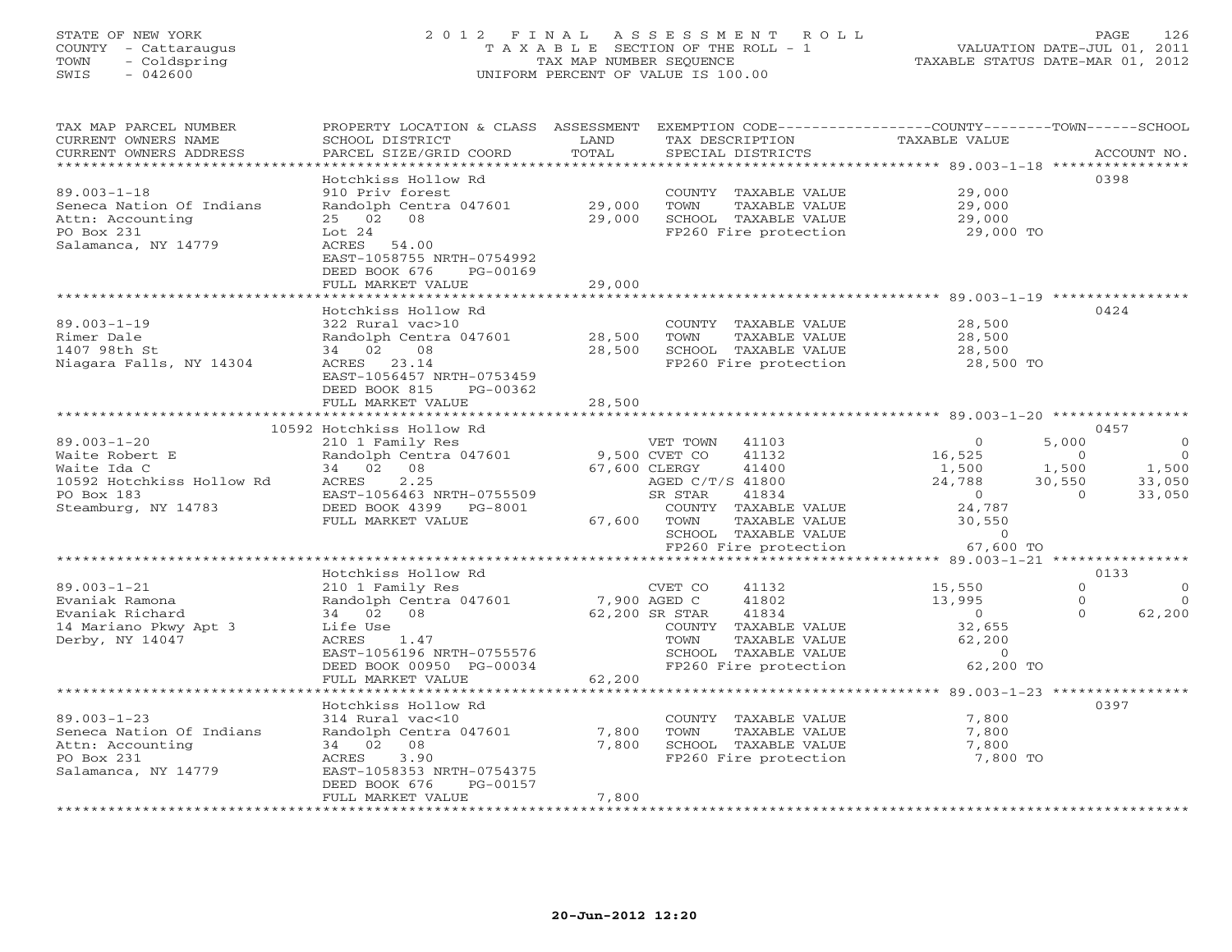# STATE OF NEW YORK 2 0 1 2 F I N A L A S S E S S M E N T R O L L PAGE 126 COUNTY - Cattaraugus T A X A B L E SECTION OF THE ROLL - 1 VALUATION DATE-JUL 01, 2011 TOWN - Coldspring TAX MAP NUMBER SEQUENCE TAXABLE STATUS DATE-MAR 01, 2012 SWIS - 042600 UNIFORM PERCENT OF VALUE IS 100.00UNIFORM PERCENT OF VALUE IS 100.00

| TAX MAP PARCEL NUMBER<br>CURRENT OWNERS NAME                      | PROPERTY LOCATION & CLASS ASSESSMENT<br>SCHOOL DISTRICT | LAND             | EXEMPTION CODE-----------------COUNTY-------TOWN------SCHOOL<br>TAX DESCRIPTION | <b>TAXABLE VALUE</b>        |                           |
|-------------------------------------------------------------------|---------------------------------------------------------|------------------|---------------------------------------------------------------------------------|-----------------------------|---------------------------|
| CURRENT OWNERS ADDRESS<br>* * * * * * * * * * * * * * * * * * * * | PARCEL SIZE/GRID COORD                                  | TOTAL            | SPECIAL DISTRICTS                                                               |                             | ACCOUNT NO.               |
|                                                                   |                                                         |                  |                                                                                 |                             |                           |
|                                                                   | Hotchkiss Hollow Rd<br>910 Priv forest                  |                  |                                                                                 |                             | 0398                      |
| $89.003 - 1 - 18$                                                 |                                                         |                  | COUNTY TAXABLE VALUE                                                            | 29,000                      |                           |
| Seneca Nation Of Indians<br>Attn: Accounting                      | Randolph Centra 047601<br>25 02 08                      | 29,000<br>29,000 | TOWN<br>TAXABLE VALUE                                                           | 29,000<br>29,000            |                           |
| PO Box 231                                                        | Lot 24                                                  |                  | SCHOOL TAXABLE VALUE                                                            | 29,000 TO                   |                           |
| Salamanca, NY 14779                                               | 54.00<br>ACRES                                          |                  | FP260 Fire protection                                                           |                             |                           |
|                                                                   | EAST-1058755 NRTH-0754992                               |                  |                                                                                 |                             |                           |
|                                                                   | DEED BOOK 676<br>PG-00169                               |                  |                                                                                 |                             |                           |
|                                                                   | FULL MARKET VALUE                                       | 29,000           |                                                                                 |                             |                           |
|                                                                   |                                                         | * * * * * * * *  |                                                                                 | $89.003 - 1 - 19$ ********* |                           |
|                                                                   | Hotchkiss Hollow Rd                                     |                  |                                                                                 |                             | 0424                      |
| $89.003 - 1 - 19$                                                 | 322 Rural vac>10                                        |                  | COUNTY TAXABLE VALUE                                                            | 28,500                      |                           |
| Rimer Dale                                                        | Randolph Centra 047601                                  | 28,500           | TAXABLE VALUE<br>TOWN                                                           | 28,500                      |                           |
| 1407 98th St                                                      | 34 02<br>08                                             | 28,500           | SCHOOL TAXABLE VALUE                                                            | 28,500                      |                           |
| Niagara Falls, NY 14304                                           | ACRES 23.14                                             |                  | FP260 Fire protection                                                           | 28,500 TO                   |                           |
|                                                                   | EAST-1056457 NRTH-0753459                               |                  |                                                                                 |                             |                           |
|                                                                   | DEED BOOK 815<br>PG-00362                               |                  |                                                                                 |                             |                           |
|                                                                   | FULL MARKET VALUE                                       | 28,500           |                                                                                 |                             |                           |
|                                                                   | *******************                                     |                  |                                                                                 |                             |                           |
|                                                                   | 10592 Hotchkiss Hollow Rd                               |                  |                                                                                 |                             | 0457                      |
| $89.003 - 1 - 20$                                                 | 210 1 Family Res                                        |                  | VET TOWN 41103                                                                  | $\Omega$                    | 5,000<br>$\circ$          |
| Waite Robert E                                                    | Randolph Centra 047601                                  | 9,500 CVET CO    | 41132                                                                           | 16,525                      | $\overline{0}$<br>$\circ$ |
| Waite Ida C                                                       | 34 02<br>08                                             |                  | 67,600 CLERGY<br>41400                                                          | 1,500                       | 1,500<br>1,500            |
| 10592 Hotchkiss Hollow Rd                                         | 2.25<br>ACRES                                           |                  | AGED C/T/S 41800                                                                | 24,788                      | 30,550<br>33,050          |
| PO Box 183                                                        | EAST-1056463 NRTH-0755509                               |                  | SR STAR<br>41834                                                                | $\overline{0}$              | $\Omega$<br>33,050        |
| Steamburg, NY 14783                                               | DEED BOOK 4399 PG-8001                                  |                  | COUNTY TAXABLE VALUE                                                            | 24,787                      |                           |
|                                                                   | FULL MARKET VALUE                                       | 67,600           | TOWN<br>TAXABLE VALUE                                                           | 30,550                      |                           |
|                                                                   |                                                         |                  | SCHOOL TAXABLE VALUE                                                            | $\overline{0}$              |                           |
|                                                                   |                                                         |                  | FP260 Fire protection                                                           | 67,600 TO                   |                           |
|                                                                   |                                                         |                  |                                                                                 |                             |                           |
|                                                                   | Hotchkiss Hollow Rd                                     |                  |                                                                                 |                             | 0133                      |
| $89.003 - 1 - 21$                                                 | 210 1 Family Res                                        |                  | CVET CO<br>41132                                                                | 15,550                      | $\Omega$<br>$\Omega$      |
| Evaniak Ramona                                                    | Randolph Centra 047601                                  |                  | 7,900 AGED C<br>41802                                                           | 13,995                      | $\circ$<br>$\Omega$       |
| Evaniak Richard                                                   | 34 02 08                                                |                  | 41834<br>62,200 SR STAR                                                         | $\overline{0}$              | 62,200<br>$\Omega$        |
| 14 Mariano Pkwy Apt 3                                             | Life Use                                                |                  | COUNTY TAXABLE VALUE                                                            | 32,655                      |                           |
| Derby, NY 14047                                                   | ACRES<br>1.47                                           |                  | TOWN<br>TAXABLE VALUE                                                           | 62,200                      |                           |
|                                                                   | EAST-1056196 NRTH-0755576                               |                  | SCHOOL TAXABLE VALUE                                                            | $\Omega$                    |                           |
|                                                                   | DEED BOOK 00950 PG-00034                                |                  | FP260 Fire protection                                                           | 62,200 TO                   |                           |
|                                                                   | FULL MARKET VALUE                                       | 62,200           |                                                                                 |                             |                           |
|                                                                   |                                                         |                  |                                                                                 |                             |                           |
|                                                                   | Hotchkiss Hollow Rd                                     |                  |                                                                                 |                             | 0397                      |
| $89.003 - 1 - 23$                                                 | 314 Rural vac<10                                        |                  | COUNTY TAXABLE VALUE                                                            | 7,800                       |                           |
| Seneca Nation Of Indians                                          | Randolph Centra 047601<br>34 02<br>08                   | 7,800<br>7,800   | TOWN<br>TAXABLE VALUE<br>SCHOOL TAXABLE VALUE                                   | 7,800<br>7,800              |                           |
| Attn: Accounting<br>PO Box 231                                    | ACRES<br>3.90                                           |                  | FP260 Fire protection                                                           | 7,800 TO                    |                           |
| Salamanca, NY 14779                                               | EAST-1058353 NRTH-0754375                               |                  |                                                                                 |                             |                           |
|                                                                   | DEED BOOK 676<br>PG-00157                               |                  |                                                                                 |                             |                           |
|                                                                   | FULL MARKET VALUE                                       | 7,800            |                                                                                 |                             |                           |
|                                                                   |                                                         |                  |                                                                                 |                             |                           |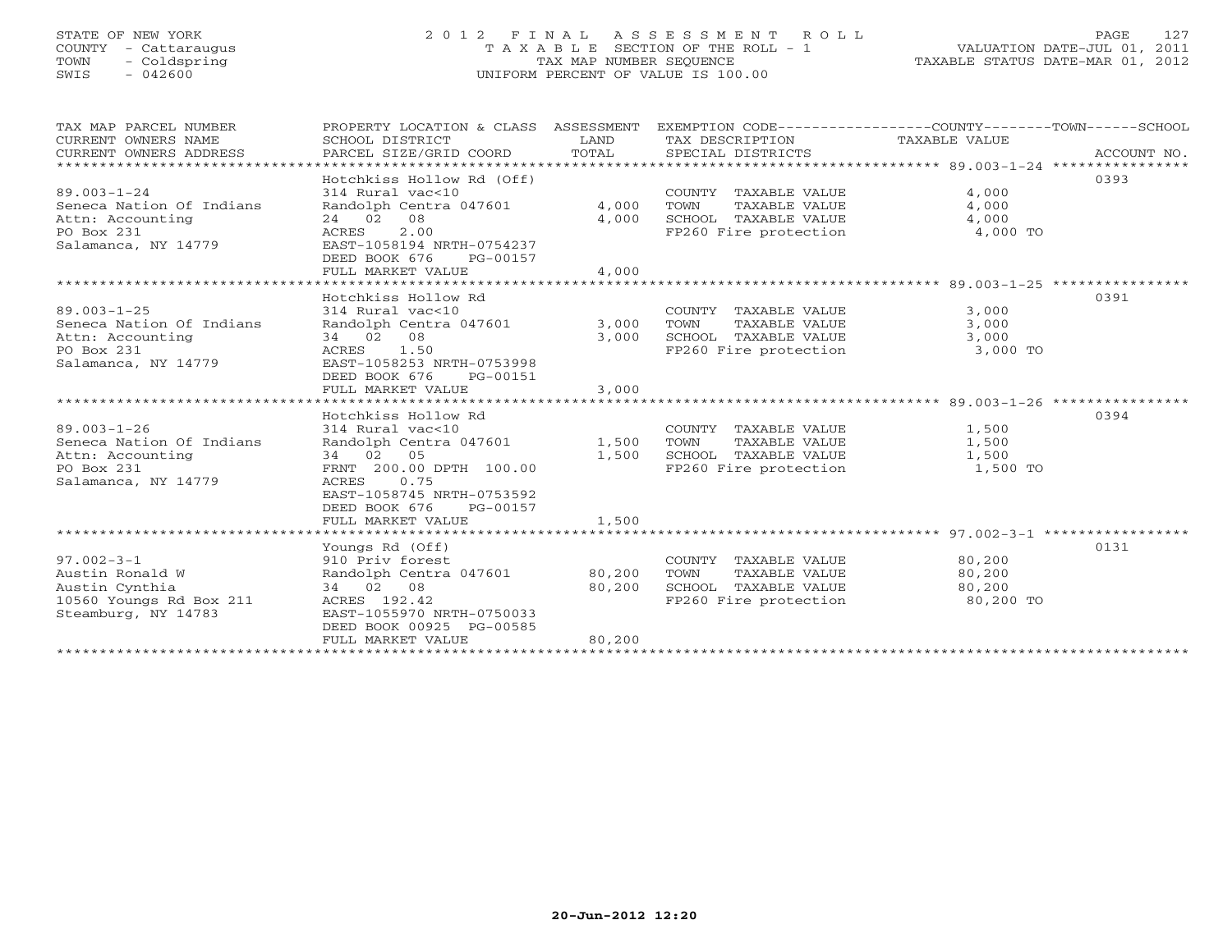# STATE OF NEW YORK 2 0 1 2 F I N A L A S S E S S M E N T R O L L PAGE 127 COUNTY - Cattaraugus T A X A B L E SECTION OF THE ROLL - 1 VALUATION DATE-JUL 01, 2011 TOWN - Coldspring TAX MAP NUMBER SEQUENCE TAXABLE STATUS DATE-MAR 01, 2012 SWIS - 042600 UNIFORM PERCENT OF VALUE IS 100.00UNIFORM PERCENT OF VALUE IS 100.00

| TAX MAP PARCEL NUMBER<br>CURRENT OWNERS NAME<br>CURRENT OWNERS ADDRESS<br>******************            | PROPERTY LOCATION & CLASS ASSESSMENT<br>SCHOOL DISTRICT<br>PARCEL SIZE/GRID COORD                                                                                                                        | LAND<br>TOTAL           | EXEMPTION CODE-----------------COUNTY-------TOWN------SCHOOL<br>TAX DESCRIPTION<br>SPECIAL DISTRICTS | TAXABLE VALUE                                    | ACCOUNT NO. |
|---------------------------------------------------------------------------------------------------------|----------------------------------------------------------------------------------------------------------------------------------------------------------------------------------------------------------|-------------------------|------------------------------------------------------------------------------------------------------|--------------------------------------------------|-------------|
| $89.003 - 1 - 24$<br>Seneca Nation Of Indians<br>Attn: Accounting<br>PO Box 231<br>Salamanca, NY 14779  | Hotchkiss Hollow Rd (Off)<br>314 Rural vac<10<br>Randolph Centra 047601<br>24 02 08<br>2.00<br>ACRES<br>EAST-1058194 NRTH-0754237<br>DEED BOOK 676<br>PG-00157<br>FULL MARKET VALUE                      | 4,000<br>4,000<br>4,000 | COUNTY TAXABLE VALUE<br>TOWN<br>TAXABLE VALUE<br>SCHOOL TAXABLE VALUE<br>FP260 Fire protection       | 4,000<br>4,000<br>4,000<br>4,000 TO              | 0393        |
|                                                                                                         |                                                                                                                                                                                                          |                         |                                                                                                      | ****************** 89.003-1-25 ***************** |             |
| $89.003 - 1 - 25$<br>Seneca Nation Of Indians<br>Attn: Accounting<br>PO Box 231<br>Salamanca, NY 14779  | Hotchkiss Hollow Rd<br>314 Rural vac<10<br>Randolph Centra 047601<br>34 02 08<br>ACRES 1.50<br>EAST-1058253 NRTH-0753998<br>DEED BOOK 676<br>PG-00151<br>FULL MARKET VALUE                               | 3,000<br>3,000<br>3,000 | COUNTY TAXABLE VALUE<br>TAXABLE VALUE<br>TOWN<br>SCHOOL TAXABLE VALUE<br>FP260 Fire protection       | 3,000<br>3,000<br>3,000<br>3,000 TO              | 0391        |
|                                                                                                         |                                                                                                                                                                                                          |                         |                                                                                                      |                                                  |             |
| $89.003 - 1 - 26$<br>Seneca Nation Of Indians<br>Attn: Accounting<br>PO Box 231<br>Salamanca, NY 14779  | Hotchkiss Hollow Rd<br>314 Rural vac<10<br>Randolph Centra 047601<br>34 02 05<br>FRNT 200.00 DPTH 100.00<br>0.75<br>ACRES<br>EAST-1058745 NRTH-0753592<br>DEED BOOK 676<br>PG-00157<br>FULL MARKET VALUE | 1,500<br>1,500          | COUNTY TAXABLE VALUE<br>TOWN<br>TAXABLE VALUE<br>SCHOOL TAXABLE VALUE<br>FP260 Fire protection       | 1,500<br>1,500<br>1,500<br>1,500 TO              | 0394        |
|                                                                                                         |                                                                                                                                                                                                          | 1,500                   |                                                                                                      |                                                  |             |
| $97.002 - 3 - 1$<br>Austin Ronald W<br>Austin Cynthia<br>10560 Youngs Rd Box 211<br>Steamburg, NY 14783 | Youngs Rd (Off)<br>910 Priv forest<br>Randolph Centra 047601<br>34 02 08<br>ACRES 192.42<br>EAST-1055970 NRTH-0750033<br>DEED BOOK 00925 PG-00585                                                        | 80,200<br>80,200        | COUNTY TAXABLE VALUE<br>TOWN<br>TAXABLE VALUE<br>SCHOOL TAXABLE VALUE<br>FP260 Fire protection       | 80,200<br>80,200<br>80,200<br>80,200 TO          | 0131        |
|                                                                                                         | FULL MARKET VALUE                                                                                                                                                                                        | 80,200                  |                                                                                                      |                                                  |             |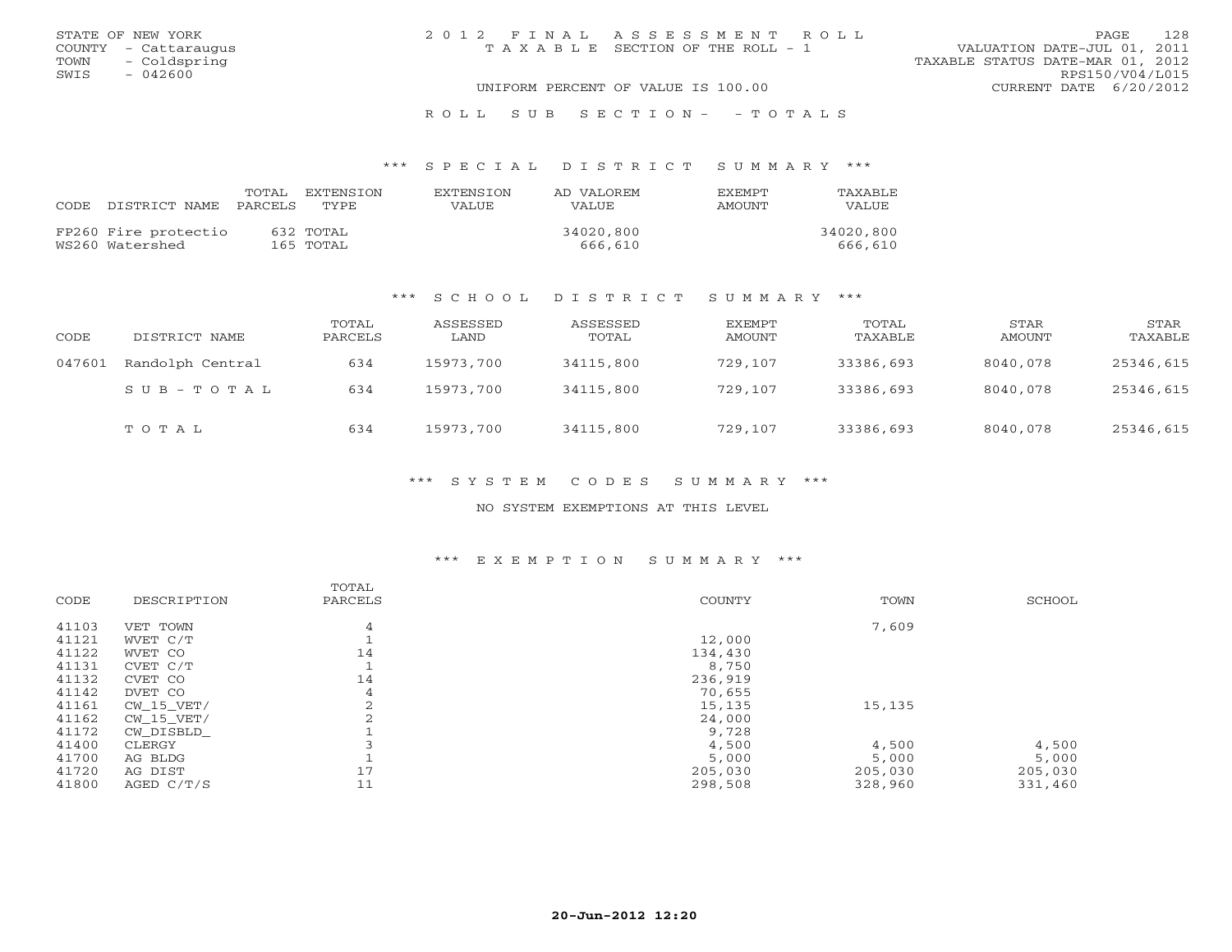| STATE OF NEW YORK    | 2012 FINAL ASSESSMENT ROLL         |                                  | 128<br>PAGE.    |
|----------------------|------------------------------------|----------------------------------|-----------------|
| COUNTY - Cattaraugus | TAXABLE SECTION OF THE ROLL - 1    | VALUATION DATE-JUL 01, 2011      |                 |
| TOWN - Coldspring    |                                    | TAXABLE STATUS DATE-MAR 01, 2012 |                 |
| SWIS<br>- 042600     |                                    |                                  | RPS150/V04/L015 |
|                      | UNIFORM PERCENT OF VALUE IS 100.00 | CURRENT DATE 6/20/2012           |                 |
|                      |                                    |                                  |                 |

R O L L S U B S E C T I O N - - T O T A L S

#### \*\*\* S P E C I A L D I S T R I C T S U M M A R Y \*\*\*

| CODE DISTRICT NAME PARCELS              | TOTAL | EXTENSTON<br>TYPE.     | <b>EXTENSION</b><br>VALUE | AD VALOREM<br>VALUE  | EXEMPT<br>AMOUNT | TAXABLE<br>VALUE.    |
|-----------------------------------------|-------|------------------------|---------------------------|----------------------|------------------|----------------------|
| FP260 Fire protectio<br>WS260 Watershed |       | 632 TOTAL<br>165 TOTAL |                           | 34020,800<br>666,610 |                  | 34020,800<br>666,610 |

#### \*\*\* S C H O O L D I S T R I C T S U M M A R Y \*\*\*

| CODE   | DISTRICT NAME    | TOTAL<br>PARCELS | ASSESSED<br>LAND | ASSESSED<br>TOTAL | EXEMPT<br>AMOUNT | TOTAL<br>TAXABLE | STAR<br>AMOUNT | STAR<br>TAXABLE |
|--------|------------------|------------------|------------------|-------------------|------------------|------------------|----------------|-----------------|
| 047601 | Randolph Central | 634              | 15973,700        | 34115,800         | 729,107          | 33386,693        | 8040,078       | 25346,615       |
|        | SUB-TOTAL        | 634              | 15973,700        | 34115,800         | 729,107          | 33386,693        | 8040,078       | 25346,615       |
|        | TOTAL            | 634              | 15973,700        | 34115,800         | 729,107          | 33386,693        | 8040,078       | 25346,615       |

\*\*\* S Y S T E M C O D E S S U M M A R Y \*\*\*

NO SYSTEM EXEMPTIONS AT THIS LEVEL

### \*\*\* E X E M P T I O N S U M M A R Y \*\*\*

|       |              | TOTAL   |         |         |         |
|-------|--------------|---------|---------|---------|---------|
| CODE  | DESCRIPTION  | PARCELS | COUNTY  | TOWN    | SCHOOL  |
| 41103 | VET TOWN     | 4       |         | 7,609   |         |
| 41121 | WVET C/T     |         | 12,000  |         |         |
| 41122 | WVET CO      | 14      | 134,430 |         |         |
| 41131 | CVET C/T     |         | 8,750   |         |         |
| 41132 | CVET CO      | 14      | 236,919 |         |         |
| 41142 | DVET CO      | 4       | 70,655  |         |         |
| 41161 | CW 15 VET/   | 2       | 15,135  | 15,135  |         |
| 41162 | $CW_15_VET/$ |         | 24,000  |         |         |
| 41172 | CW_DISBLD_   |         | 9,728   |         |         |
| 41400 | CLERGY       |         | 4,500   | 4,500   | 4,500   |
| 41700 | AG BLDG      |         | 5,000   | 5,000   | 5,000   |
| 41720 | AG DIST      | 17      | 205,030 | 205,030 | 205,030 |
| 41800 | AGED $C/T/S$ | 11      | 298,508 | 328,960 | 331,460 |
|       |              |         |         |         |         |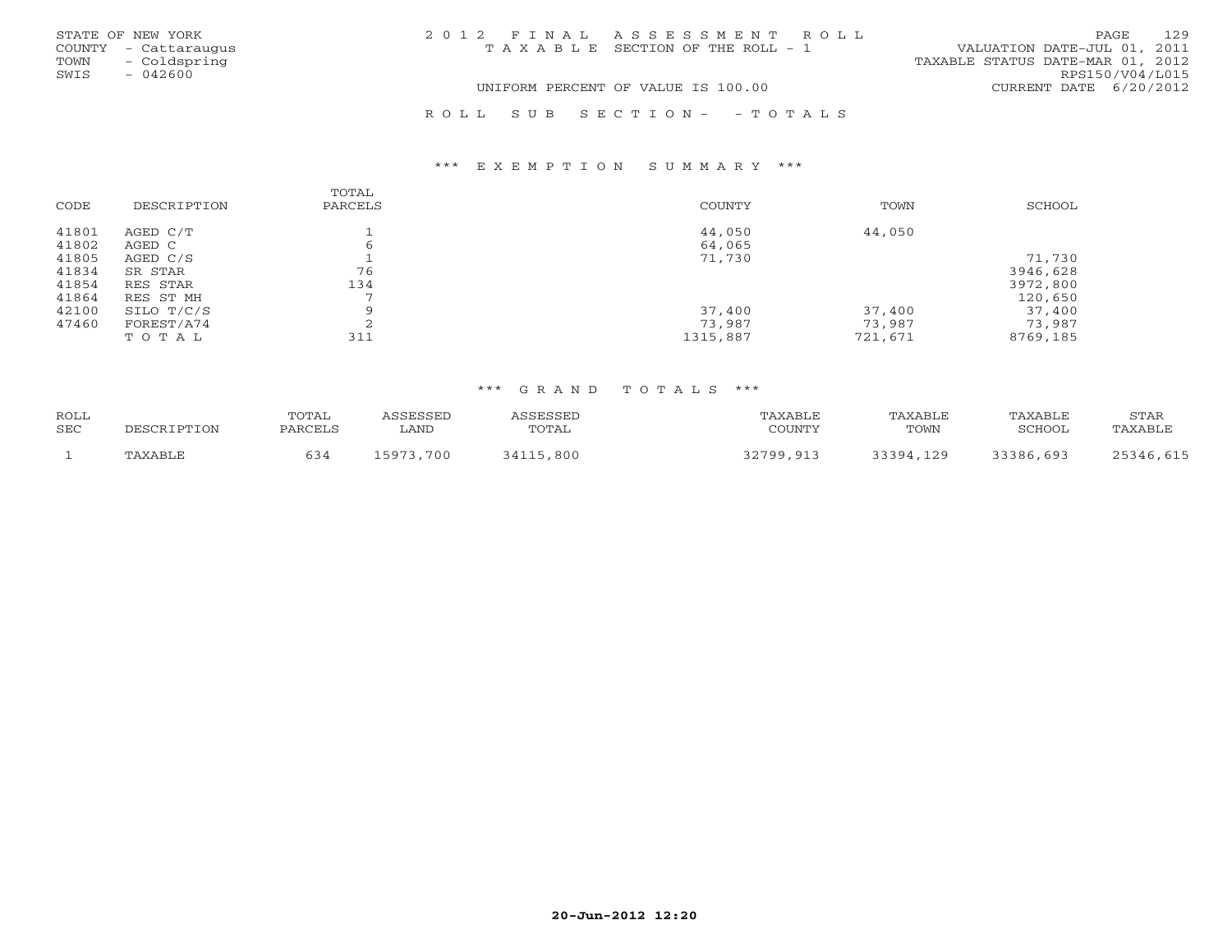|      | STATE OF NEW YORK    | 2012 FINAL ASSESSMENT ROLL            |                                  | PAGE | 129 |
|------|----------------------|---------------------------------------|----------------------------------|------|-----|
|      | COUNTY - Cattaraugus | T A X A B L E SECTION OF THE ROLL - 1 | VALUATION DATE-JUL 01, 2011      |      |     |
| TOWN | - Coldspring         |                                       | TAXABLE STATUS DATE-MAR 01, 2012 |      |     |
| SWIS | $-042600$            |                                       | RPS150/V04/L015                  |      |     |
|      |                      | UNIFORM PERCENT OF VALUE IS 100.00    | CURRENT DATE 6/20/2012           |      |     |
|      |                      |                                       |                                  |      |     |

#### \*\*\* E X E M P T I O N S U M M A R Y \*\*\*

|       |             | TOTAL          |          |         |          |
|-------|-------------|----------------|----------|---------|----------|
| CODE  | DESCRIPTION | PARCELS        | COUNTY   | TOWN    | SCHOOL   |
| 41801 | AGED C/T    |                | 44,050   | 44,050  |          |
| 41802 | AGED C      | 6              | 64,065   |         |          |
| 41805 | AGED C/S    |                | 71,730   |         | 71,730   |
| 41834 | SR STAR     | 76             |          |         | 3946,628 |
| 41854 | RES STAR    | 134            |          |         | 3972,800 |
| 41864 | RES ST MH   | $\blacksquare$ |          |         | 120,650  |
| 42100 | SILO T/C/S  | Q              | 37,400   | 37,400  | 37,400   |
| 47460 | FOREST/A74  | $\bigcap$      | 73,987   | 73,987  | 73,987   |
|       | TOTAL       | 311            | 1315,887 | 721,671 | 8769,185 |

R O L L S U B S E C T I O N - - T O T A L S

| ROLL |             | <b>TOTAL</b> | <i>\SSESSED</i> | ASSESSED      | TAXABLE   | TAXABLE   | TAXABLE   | STAR      |
|------|-------------|--------------|-----------------|---------------|-----------|-----------|-----------|-----------|
| SEC  | DESCRIPTION | PARCELS      | LAND            | TOTAL         | COUNTY    | TOWN      | SCHOOL    | "AXABLE   |
|      | TAXABLE     | 634          | 15973,700       | 34115<br>.800 | 32799,913 | 33391 129 | 33386,693 | 25346,615 |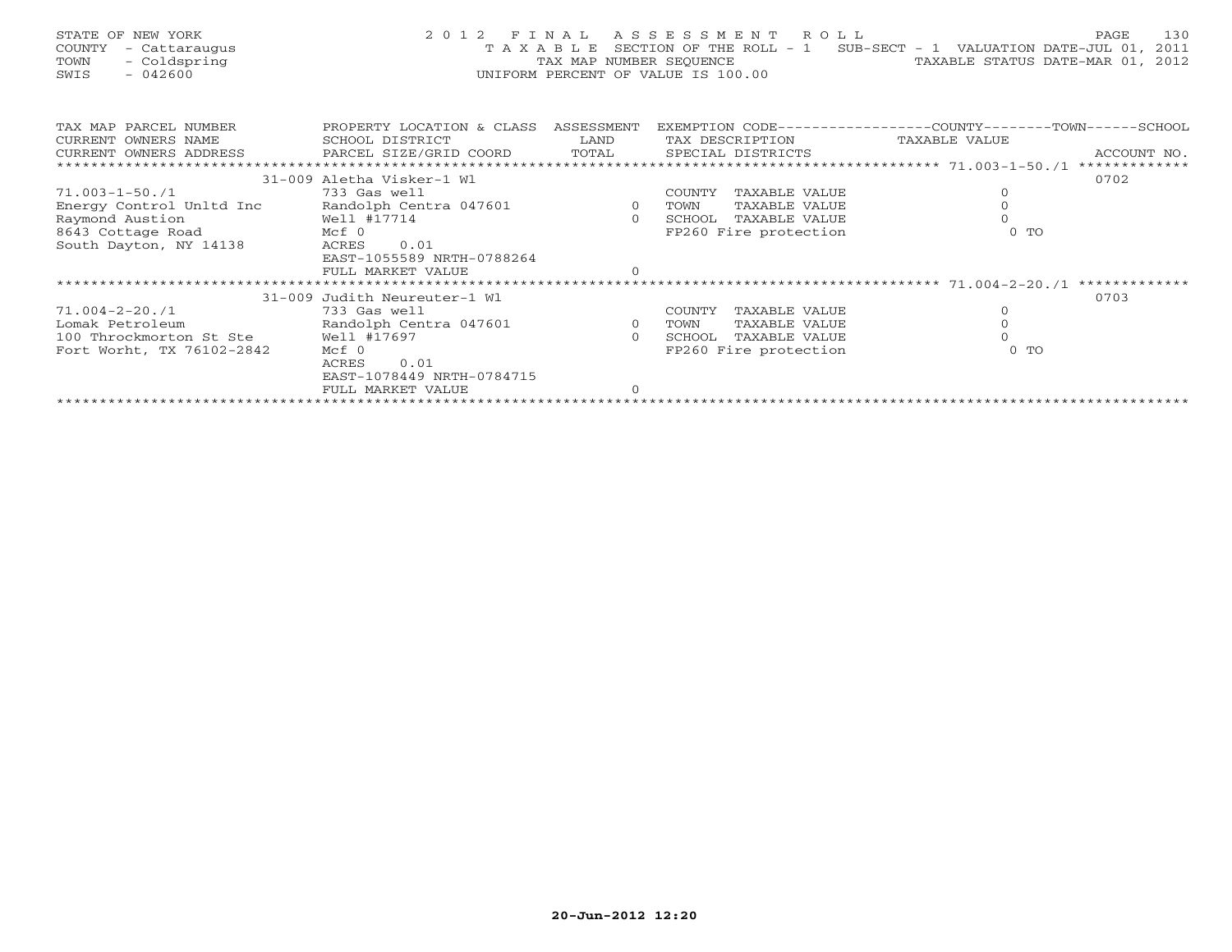| STATE OF NEW YORK<br>- Cattaraugus<br>COUNTY<br>- Coldspring<br>TOWN<br>SWIS<br>- 042600 | 2 0 1 2                                      |                    | FINAL ASSESSMENT ROLL<br>TAX MAP NUMBER SEOUENCE<br>UNIFORM PERCENT OF VALUE IS 100.00 | T A X A B L E SECTION OF THE ROLL - 1 SUB-SECT - 1 VALUATION DATE-JUL 01, 2011 | 130<br>PAGE<br>TAXABLE STATUS DATE-MAR 01, 2012 |
|------------------------------------------------------------------------------------------|----------------------------------------------|--------------------|----------------------------------------------------------------------------------------|--------------------------------------------------------------------------------|-------------------------------------------------|
| TAX MAP PARCEL NUMBER<br>CURRENT OWNERS NAME                                             | PROPERTY LOCATION & CLASS<br>SCHOOL DISTRICT | ASSESSMENT<br>LAND | EXEMPTION CODE--<br>TAX DESCRIPTION                                                    | $-COLUTIONTY---$<br>TAXABLE VALUE                                              | $-$ TOMN $-$<br>$-$ SCHOOL                      |
| CURRENT OWNERS ADDRESS                                                                   | PARCEL SIZE/GRID COORD                       | TOTAL              | SPECIAL DISTRICTS                                                                      |                                                                                | ACCOUNT NO.                                     |
|                                                                                          |                                              |                    |                                                                                        |                                                                                |                                                 |

|                           |                              |        |                       |        | * * * * * * * * * * * * * |
|---------------------------|------------------------------|--------|-----------------------|--------|---------------------------|
|                           | 31-009 Aletha Visker-1 Wl    |        |                       |        | 0702                      |
| 71.003-1-50./1            | 733 Gas well                 | COUNTY | TAXABLE VALUE         |        |                           |
| Energy Control Unltd Inc  | Randolph Centra 047601       | TOWN   | TAXABLE VALUE         |        |                           |
| Raymond Austion           | Well #17714                  | SCHOOL | TAXABLE VALUE         |        |                           |
| 8643 Cottage Road         | Mcf 0                        |        | FP260 Fire protection | $0$ TO |                           |
| South Dayton, NY 14138    | 0.01<br>ACRES                |        |                       |        |                           |
|                           | EAST-1055589 NRTH-0788264    |        |                       |        |                           |
|                           | FULL MARKET VALUE            |        |                       |        |                           |
|                           |                              |        |                       |        | *************             |
|                           | 31-009 Judith Neureuter-1 Wl |        |                       |        | 0703                      |
| 71.004-2-20./1            | 733 Gas well                 | COUNTY | TAXABLE VALUE         |        |                           |
| Lomak Petroleum           | Randolph Centra 047601       | TOWN   | TAXABLE VALUE         |        |                           |
| 100 Throckmorton St Ste   | Well #17697                  | SCHOOL | TAXABLE VALUE         |        |                           |
| Fort Worht, TX 76102-2842 | Mcf 0                        |        | FP260 Fire protection | $0$ TO |                           |
|                           |                              |        |                       |        |                           |
|                           | 0.01<br>ACRES                |        |                       |        |                           |
|                           | EAST-1078449 NRTH-0784715    |        |                       |        |                           |
|                           | FULL MARKET VALUE            |        |                       |        |                           |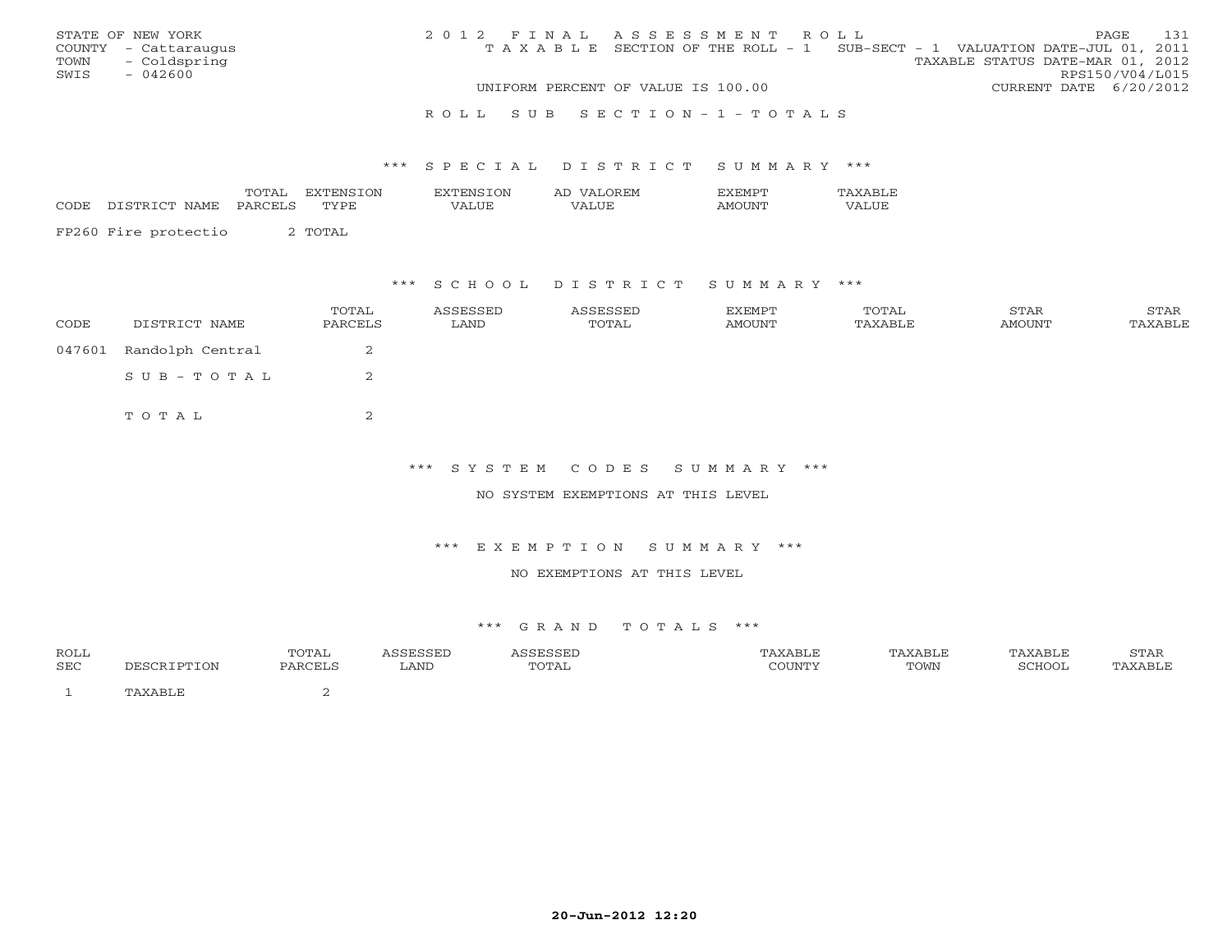|      | STATE OF NEW YORK    | 2012 FINAL ASSESSMENT ROLL |                                                                                |                                  |                        | PAGE. | 131 |
|------|----------------------|----------------------------|--------------------------------------------------------------------------------|----------------------------------|------------------------|-------|-----|
|      | COUNTY - Cattaraugus |                            | T A X A B L E SECTION OF THE ROLL - 1 SUB-SECT - 1 VALUATION DATE-JUL 01, 2011 |                                  |                        |       |     |
|      | TOWN - Coldspring    |                            |                                                                                | TAXABLE STATUS DATE-MAR 01, 2012 |                        |       |     |
| SWIS | - 042600             |                            |                                                                                |                                  | RPS150/V04/L015        |       |     |
|      |                      |                            | UNIFORM PERCENT OF VALUE IS 100.00                                             |                                  | CURRENT DATE 6/20/2012 |       |     |
|      |                      |                            |                                                                                |                                  |                        |       |     |

#### R O L L S U B S E C T I O N - 1 - T O T A L S

#### \*\*\* S P E C I A L D I S T R I C T S U M M A R Y \*\*\*

|      |                          | TOTA.<br>----- | ON<br>78TENS | .ON        | AL                | .              |                           |
|------|--------------------------|----------------|--------------|------------|-------------------|----------------|---------------------------|
| CODE | NAME.<br>r∩m<br>. . UTTD | DADCET         | TVPE<br>---- | $\sqrt{ }$ | LUE<br>$\sqrt{ }$ | . IN!<br>′∖ M⊾ | LUE<br>$\cdot$ $\wedge$ . |
|      |                          |                |              |            |                   |                |                           |

FP260 Fire protectio 2 TOTAL

### \*\*\* S C H O O L D I S T R I C T S U M M A R Y \*\*\*

| CODE   | DISTRICT NAME    | TOTAL<br>PARCELS | ASSESSED<br>LAND | ASSESSED<br>TOTAL | EXEMPT<br>AMOUNT | TOTAL<br>TAXABLE | STAR<br>AMOUNT | STAR<br>TAXABLE |
|--------|------------------|------------------|------------------|-------------------|------------------|------------------|----------------|-----------------|
| 047601 | Randolph Central | ∠                |                  |                   |                  |                  |                |                 |
|        | SUB-TOTAL        | ▵                |                  |                   |                  |                  |                |                 |
|        | TOTAL            |                  |                  |                   |                  |                  |                |                 |

### \*\*\* S Y S T E M C O D E S S U M M A R Y \*\*\*

#### NO SYSTEM EXEMPTIONS AT THIS LEVEL

#### \*\*\* E X E M P T I O N S U M M A R Y \*\*\*

#### NO EXEMPTIONS AT THIS LEVEL

| <b>ROLL</b><br>SEC | TOTAL<br><b>DARCELS</b> | LAND | TOTAL | 'ABL.<br>$C$ $\cap$ TINT $\mathsf{m}$ | <b><i>NABLE</i></b><br>TOWN | $\cap$ $\cap$ | $C$ m $\lambda$ D<br>5 I AR |
|--------------------|-------------------------|------|-------|---------------------------------------|-----------------------------|---------------|-----------------------------|
|                    |                         |      |       |                                       |                             |               |                             |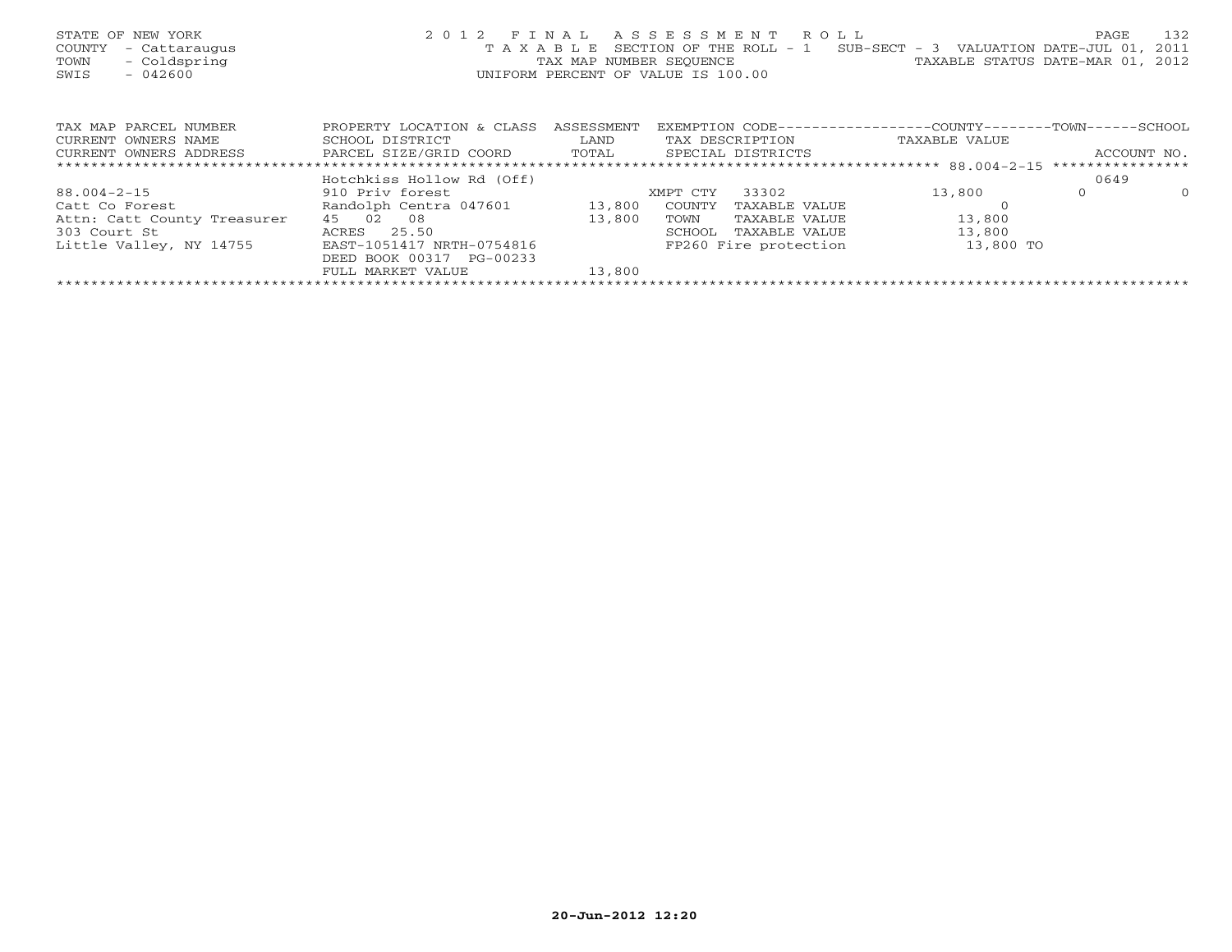| STATE OF NEW YORK<br>COUNTY<br>- Cattaraugus<br>- Coldspring<br>TOWN<br>- 042600<br>SWIS |                               |            | 2012 FINAL ASSESSMENT ROLL<br>T A X A B L E SECTION OF THE ROLL - 1<br>TAX MAP NUMBER SEQUENCE TAN TAXABLE STATUS DATE-MAR 01, 2012<br>UNIFORM PERCENT OF VALUE IS 100.00 | SUB-SECT - 3 VALUATION DATE-JUL 01, 2011 | 132<br>PAGE         |
|------------------------------------------------------------------------------------------|-------------------------------|------------|---------------------------------------------------------------------------------------------------------------------------------------------------------------------------|------------------------------------------|---------------------|
| TAX MAP PARCEL NUMBER                                                                    | PROPERTY LOCATION & CLASS     | ASSESSMENT | EXEMPTION CODE----------------COUNTY-------TOWN------SCHOOL                                                                                                               |                                          |                     |
| CURRENT OWNERS NAME                                                                      | SCHOOL DISTRICT               | LAND       | TAX DESCRIPTION                                                                                                                                                           | TAXABLE VALUE                            |                     |
| CURRENT OWNERS ADDRESS                                                                   | PARCEL SIZE/GRID COORD        |            | TOTAL SPECIAL DISTRICTS                                                                                                                                                   |                                          | ACCOUNT NO.         |
|                                                                                          |                               |            |                                                                                                                                                                           |                                          |                     |
|                                                                                          | Hotchkiss Hollow Rd (Off)     |            |                                                                                                                                                                           |                                          | 0649                |
| $88.004 - 2 - 15$                                                                        | 910 Priv forest               |            | 33302<br>XMPT CTY                                                                                                                                                         | 13,800                                   | $\Omega$<br>$\circ$ |
| Catt Co Forest                                                                           | Randolph Centra 047601 13,800 |            | COUNTY<br>TAXABLE VALUE                                                                                                                                                   |                                          |                     |
| Attn: Catt County Treasurer                                                              | 45 02 08                      | 13,800     | TOWN<br>TAXABLE VALUE                                                                                                                                                     | 13,800                                   |                     |
| 303 Court St                                                                             | ACRES 25.50                   |            | TAXABLE VALUE<br>SCHOOL                                                                                                                                                   | 13,800                                   |                     |
| Little Valley, NY 14755                                                                  | EAST-1051417 NRTH-0754816     |            | FP260 Fire protection                                                                                                                                                     | 13,800 TO                                |                     |
|                                                                                          | DEED BOOK 00317 PG-00233      |            |                                                                                                                                                                           |                                          |                     |
|                                                                                          | FULL MARKET VALUE             | 13,800     |                                                                                                                                                                           |                                          |                     |
|                                                                                          |                               |            |                                                                                                                                                                           |                                          |                     |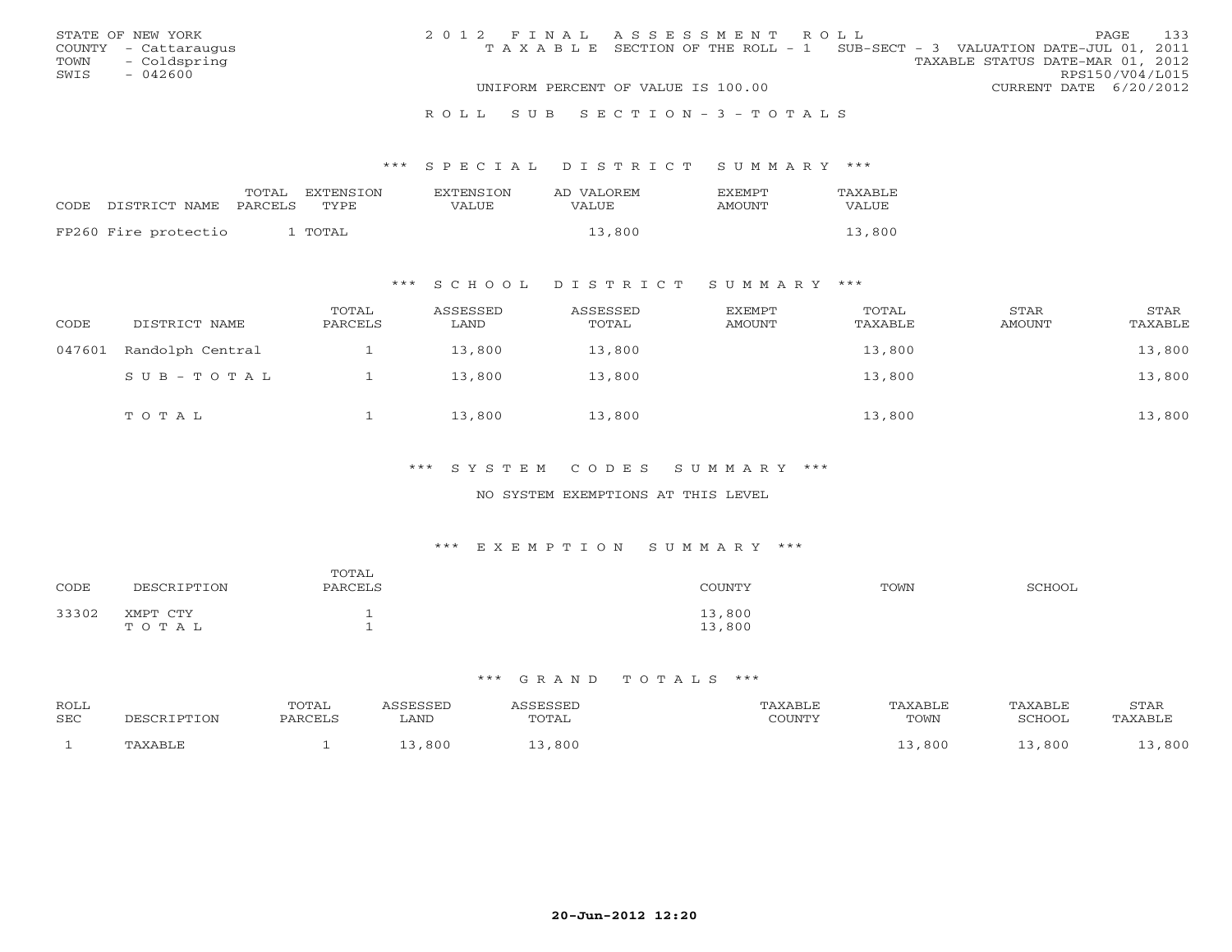|      | STATE OF NEW YORK    | 2012 FINAL ASSESSMENT ROLL |                                                                                |  |                                  |                        | <b>PAGE</b> | 133 |
|------|----------------------|----------------------------|--------------------------------------------------------------------------------|--|----------------------------------|------------------------|-------------|-----|
|      | COUNTY - Cattaraugus |                            | T A X A B L E SECTION OF THE ROLL - 1 SUB-SECT - 3 VALUATION DATE-JUL 01, 2011 |  |                                  |                        |             |     |
| TOWN | - Coldspring         |                            |                                                                                |  | TAXABLE STATUS DATE-MAR 01, 2012 |                        |             |     |
| SWIS | $-042600$            |                            |                                                                                |  |                                  | RPS150/V04/L015        |             |     |
|      |                      |                            | UNIFORM PERCENT OF VALUE IS 100.00                                             |  |                                  | CURRENT DATE 6/20/2012 |             |     |
|      |                      |                            |                                                                                |  |                                  |                        |             |     |

#### R O L L S U B S E C T I O N - 3 - T O T A L S

#### \*\*\* S P E C I A L D I S T R I C T S U M M A R Y \*\*\*

|                      | TOTAL   | EXTENSION | <b>EXTENSION</b> | AD VALOREM | <b>EXEMPT</b> | TAXABLE      |
|----------------------|---------|-----------|------------------|------------|---------------|--------------|
| CODE DISTRICT NAME   | PARCELS | TYPE.     | VALUE            | VALUE      | AMOUNT        | <b>VALUE</b> |
| FP260 Fire protectio |         | TOTAL     |                  | 13,800     |               | 13,800       |
|                      |         |           |                  |            |               |              |

### \*\*\* S C H O O L D I S T R I C T S U M M A R Y \*\*\*

| CODE   | DISTRICT NAME    | TOTAL<br>PARCELS | ASSESSED<br>LAND | ASSESSED<br>TOTAL | EXEMPT<br>AMOUNT | TOTAL<br>TAXABLE | STAR<br><b>AMOUNT</b> | STAR<br>TAXABLE |
|--------|------------------|------------------|------------------|-------------------|------------------|------------------|-----------------------|-----------------|
| 047601 | Randolph Central |                  | 13,800           | 13,800            |                  | 13,800           |                       | 13,800          |
|        | SUB-TOTAL        |                  | 13,800           | 13,800            |                  | 13,800           |                       | 13,800          |
|        | TOTAL            |                  | 13,800           | 13,800            |                  | 13,800           |                       | 13,800          |

### \*\*\* S Y S T E M C O D E S S U M M A R Y \*\*\*

#### NO SYSTEM EXEMPTIONS AT THIS LEVEL

#### \*\*\* E X E M P T I O N S U M M A R Y \*\*\*

| CODE  | DESCRIPTION       | TOTAL<br>PARCELS | COUNTY           | TOWN | SCHOOL |
|-------|-------------------|------------------|------------------|------|--------|
| 33302 | XMPT CTY<br>TOTAL |                  | 13,800<br>13,800 |      |        |

| ROLL<br>SEC | CRIPTION              | POTAL<br><b>PARCEL:</b> | ASSESSED<br>LAND | SSESSED<br>TOTAL | 'AXABLE<br>$\gamma$ $\cap$ the true $\gamma$<br>JUUINI. | TAXABLE<br>TOWN | TAXABLE<br>SCHOOL | <b>STAR</b><br>. AXABLF |
|-------------|-----------------------|-------------------------|------------------|------------------|---------------------------------------------------------|-----------------|-------------------|-------------------------|
|             | <b><i>PAXABLF</i></b> |                         | 800              | ,800             |                                                         | .800            | 800               | , 800                   |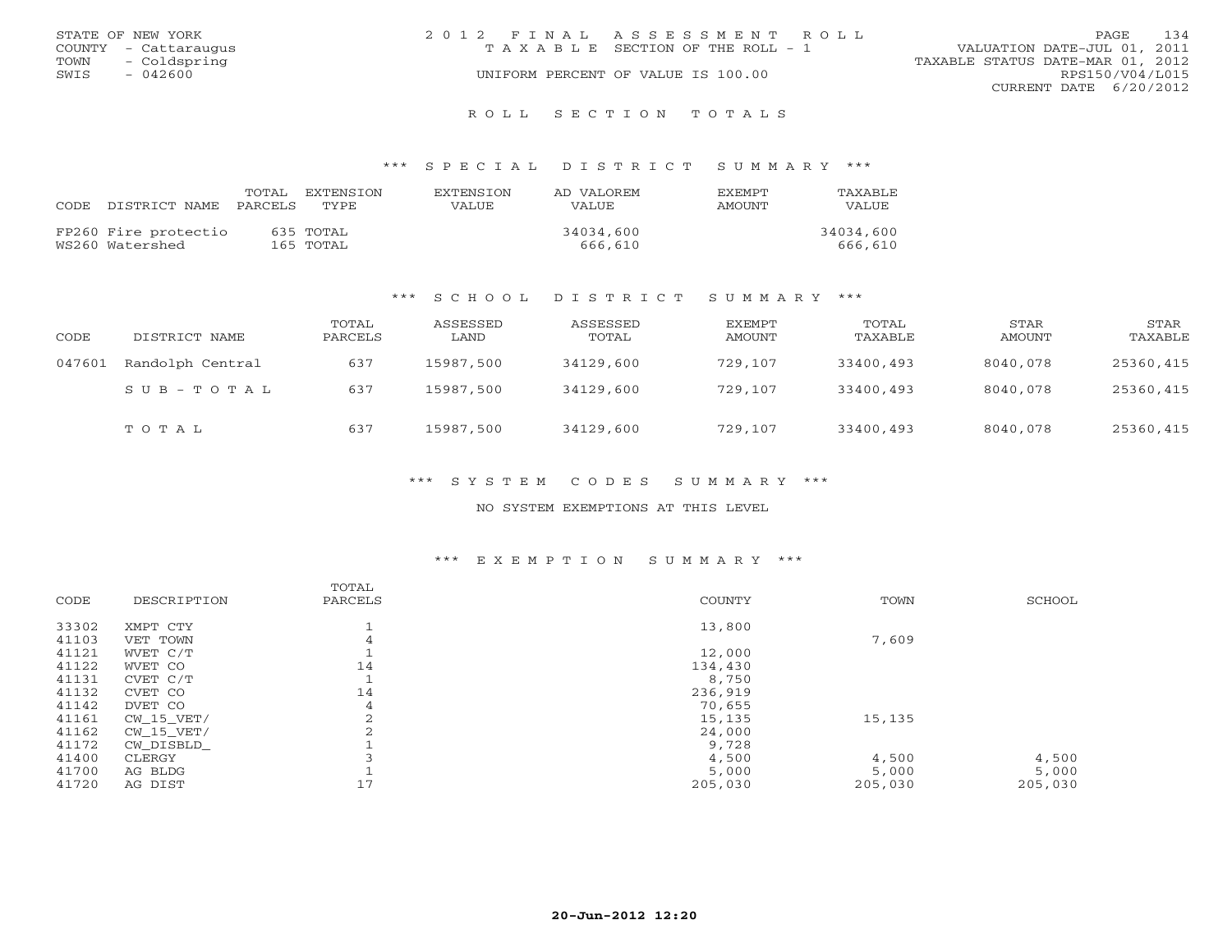|      | STATE OF NEW YORK    | 2012 FINAL ASSESSMENT ROLL |                                    |                                  | PAGE.           | 134 |
|------|----------------------|----------------------------|------------------------------------|----------------------------------|-----------------|-----|
|      | COUNTY - Cattaraugus |                            | TAXABLE SECTION OF THE ROLL - 1    | VALUATION DATE-JUL 01, 2011      |                 |     |
|      | TOWN - Coldspring    |                            |                                    | TAXABLE STATUS DATE-MAR 01, 2012 |                 |     |
| SWIS | $-042600$            |                            | UNIFORM PERCENT OF VALUE IS 100.00 |                                  | RPS150/V04/L015 |     |
|      |                      |                            |                                    | CURRENT DATE 6/20/2012           |                 |     |
|      |                      |                            |                                    |                                  |                 |     |

R O L L S E C T I O N T O T A L S

#### \*\*\* S P E C I A L D I S T R I C T S U M M A R Y \*\*\*

| CODE. | DISTRICT NAME                           | TOTAL<br>PARCELS TYPE | <b>FXTENSTON</b>       | EXTENSTON<br>VALUE. | AD VALOREM<br>VALUE. | <b>FXFMPT</b><br>AMOUNT | TAXABLE<br>VALUE     |
|-------|-----------------------------------------|-----------------------|------------------------|---------------------|----------------------|-------------------------|----------------------|
|       | FP260 Fire protectio<br>WS260 Watershed |                       | 635 TOTAL<br>165 TOTAL |                     | 34034,600<br>666,610 |                         | 34034,600<br>666,610 |

#### \*\*\* S C H O O L D I S T R I C T S U M M A R Y \*\*\*

| CODE   | DISTRICT NAME    | TOTAL<br>PARCELS | ASSESSED<br>LAND | ASSESSED<br>TOTAL | EXEMPT<br>AMOUNT | TOTAL<br>TAXABLE | STAR<br>AMOUNT | STAR<br>TAXABLE |
|--------|------------------|------------------|------------------|-------------------|------------------|------------------|----------------|-----------------|
| 047601 | Randolph Central | 637              | 15987,500        | 34129,600         | 729,107          | 33400,493        | 8040,078       | 25360,415       |
|        | SUB-TOTAL        | 637              | 15987,500        | 34129,600         | 729,107          | 33400,493        | 8040,078       | 25360,415       |
|        | TOTAL            | 637              | 15987,500        | 34129,600         | 729,107          | 33400,493        | 8040,078       | 25360,415       |

\*\*\* S Y S T E M C O D E S S U M M A R Y \*\*\*

NO SYSTEM EXEMPTIONS AT THIS LEVEL

### \*\*\* E X E M P T I O N S U M M A R Y \*\*\*

|       |              | TOTAL          |               |         |         |
|-------|--------------|----------------|---------------|---------|---------|
| CODE  | DESCRIPTION  | PARCELS        | <b>COUNTY</b> | TOWN    | SCHOOL  |
| 33302 | XMPT CTY     |                | 13,800        |         |         |
| 41103 | VET TOWN     | 4              |               | 7,609   |         |
| 41121 | WVET C/T     |                | 12,000        |         |         |
| 41122 | WVET CO      | 14             | 134,430       |         |         |
| 41131 | CVET C/T     |                | 8,750         |         |         |
| 41132 | CVET CO      | 14             | 236,919       |         |         |
| 41142 | DVET CO      | 4              | 70,655        |         |         |
| 41161 | $CW_15_VET/$ | $\overline{2}$ | 15,135        | 15,135  |         |
| 41162 | $CW_15_VET/$ |                | 24,000        |         |         |
| 41172 | CW DISBLD    |                | 9,728         |         |         |
| 41400 | CLERGY       |                | 4,500         | 4,500   | 4,500   |
| 41700 | AG BLDG      |                | 5,000         | 5,000   | 5,000   |
| 41720 | AG DIST      | 17             | 205,030       | 205,030 | 205,030 |
|       |              |                |               |         |         |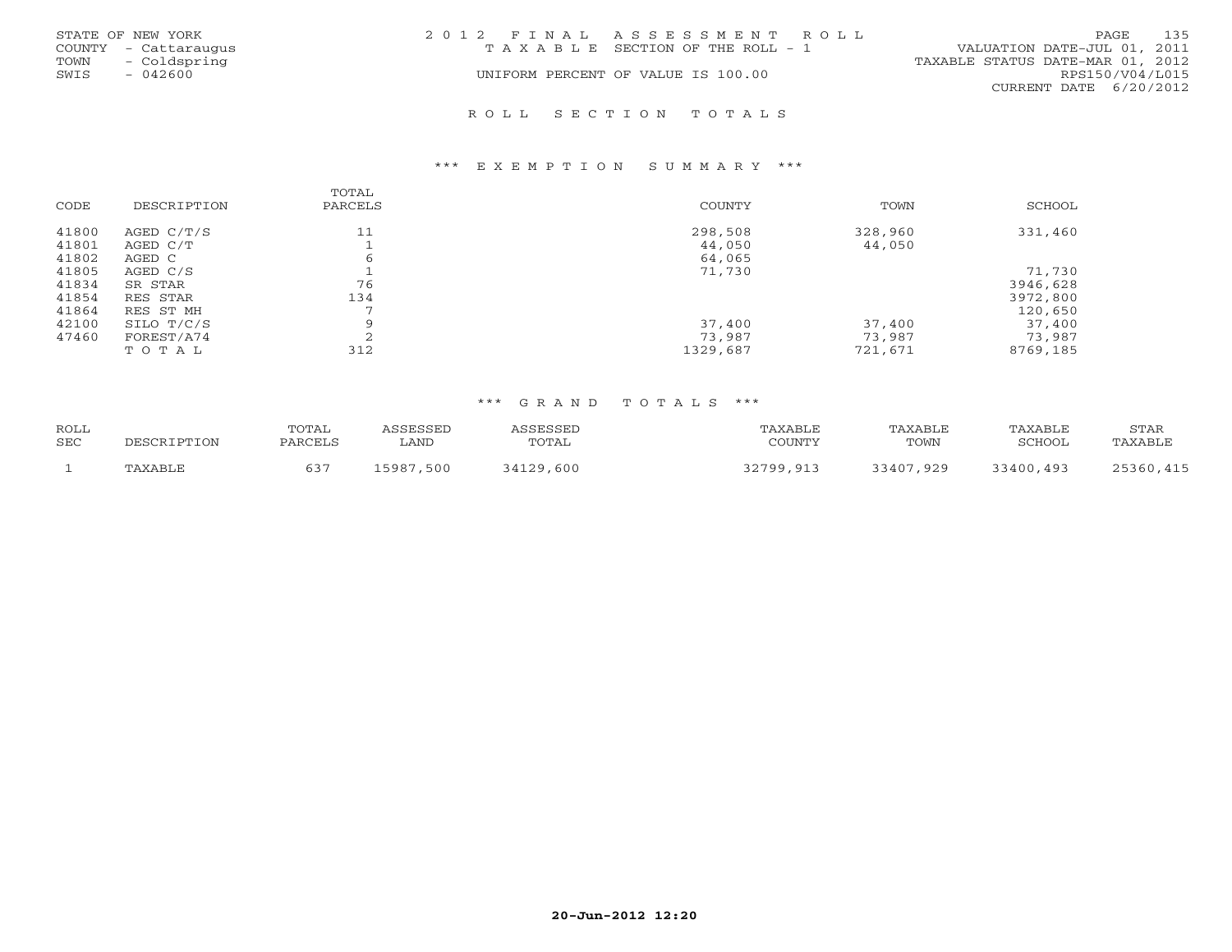| STATE OF NEW YORK<br>COUNTY - Cattaraugus<br>- Coldspring<br>TOWN<br>SWIS<br>$-042600$ | 2012 FINAL ASSESSMENT ROLL<br>T A X A B L E SECTION OF THE ROLL - 1<br>UNIFORM PERCENT OF VALUE IS 100.00 | 135<br>PAGE.<br>VALUATION DATE-JUL 01, 2011<br>TAXABLE STATUS DATE-MAR 01, 2012<br>RPS150/V04/L015<br>CURRENT DATE 6/20/2012 |
|----------------------------------------------------------------------------------------|-----------------------------------------------------------------------------------------------------------|------------------------------------------------------------------------------------------------------------------------------|
|                                                                                        | ROLL SECTION TOTALS                                                                                       |                                                                                                                              |

#### \*\*\* E X E M P T I O N S U M M A R Y \*\*\*

| CODE                             | DESCRIPTION                                  | TOTAL<br>PARCELS    | COUNTY                       | TOWN                        | SCHOOL                                    |
|----------------------------------|----------------------------------------------|---------------------|------------------------------|-----------------------------|-------------------------------------------|
| 41800<br>41801<br>41802          | AGED C/T/S<br>AGED C/T<br>AGED C             | 11<br>6             | 298,508<br>44,050<br>64,065  | 328,960<br>44,050           | 331,460                                   |
| 41805<br>41834<br>41854<br>41864 | AGED C/S<br>SR STAR<br>RES STAR<br>RES ST MH | 76<br>134           | 71,730                       |                             | 71,730<br>3946,628<br>3972,800<br>120,650 |
| 42100<br>47460                   | SILO T/C/S<br>FOREST/A74<br>TOTAL            | $\mathsf{Q}$<br>312 | 37,400<br>73,987<br>1329,687 | 37,400<br>73,987<br>721,671 | 37,400<br>73,987<br>8769,185              |

| <b>ROLL</b> |      | TOTAL |                |            |           |               |                         | STAR                   |
|-------------|------|-------|----------------|------------|-----------|---------------|-------------------------|------------------------|
| SEC         | ים ר |       | LAND           | TOTAL      | CCTINTM12 | TOWN          | SURVOL.                 | $\triangle$ BT $\cdot$ |
|             |      |       | , Q Q T<br>50C | 600<br>റ റ | 700.      | റാ<br>つ A A ワ | $\Delta$ Q<br>C 7 7 0 7 |                        |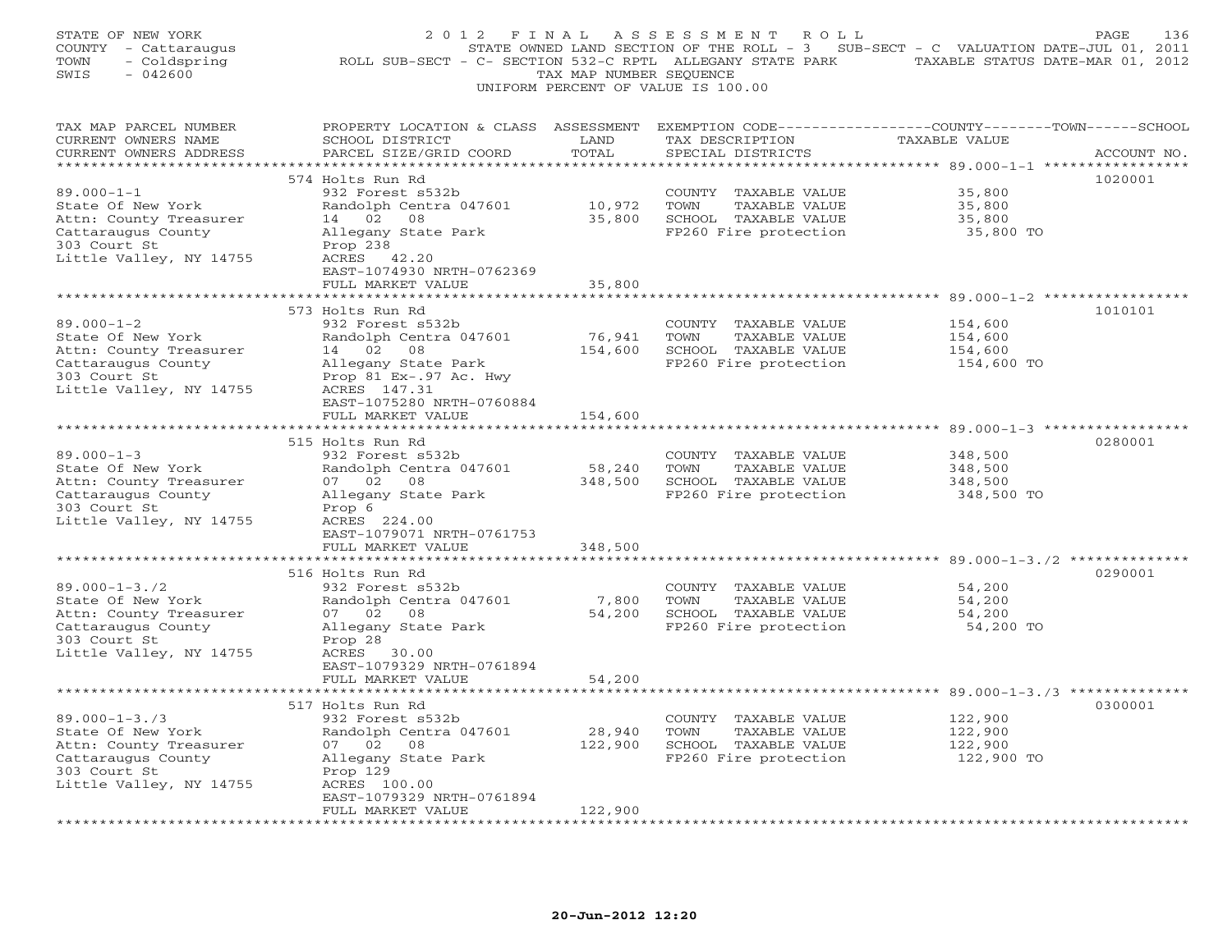| STATE OF NEW YORK<br>COUNTY - Cattaraugus<br>- Coldspring<br>TOWN<br>SWIS<br>$-042600$                                           | 2012 FINAL<br>ROLL SUB-SECT - C- SECTION 532-C RPTL ALLEGANY STATE PARK TAXABLE STATUS DATE-MAR 01, 2012                | TAX MAP NUMBER SEQUENCE | A S S E S S M E N T<br>R O L L<br>STATE OWNED LAND SECTION OF THE ROLL - 3 SUB-SECT - C VALUATION DATE-JUL 01, 2011<br>UNIFORM PERCENT OF VALUE IS 100.00 |                                                                               | PAGE<br>136 |
|----------------------------------------------------------------------------------------------------------------------------------|-------------------------------------------------------------------------------------------------------------------------|-------------------------|-----------------------------------------------------------------------------------------------------------------------------------------------------------|-------------------------------------------------------------------------------|-------------|
| TAX MAP PARCEL NUMBER<br>CURRENT OWNERS NAME<br>CURRENT OWNERS ADDRESS<br>***********************                                | PROPERTY LOCATION & CLASS ASSESSMENT<br>SCHOOL DISTRICT<br>PARCEL SIZE/GRID COORD<br>******************************     | LAND<br>TOTAL           | TAX DESCRIPTION<br>SPECIAL DISTRICTS                                                                                                                      | EXEMPTION CODE-----------------COUNTY-------TOWN------SCHOOL<br>TAXABLE VALUE | ACCOUNT NO. |
| $89.000 - 1 - 1$<br>State Of New York<br>Attn: County Treasurer                                                                  | 574 Holts Run Rd<br>932 Forest s532b<br>Randolph Centra 047601<br>14 02<br>08                                           | 10,972<br>35,800        | COUNTY TAXABLE VALUE<br>TOWN<br>TAXABLE VALUE<br>SCHOOL TAXABLE VALUE                                                                                     | 35,800<br>35,800<br>35,800                                                    | 1020001     |
| Cattaraugus County<br>303 Court St<br>Little Valley, NY 14755                                                                    | Allegany State Park<br>Prop 238<br>ACRES 42.20<br>EAST-1074930 NRTH-0762369                                             |                         | FP260 Fire protection                                                                                                                                     | 35,800 TO                                                                     |             |
|                                                                                                                                  | FULL MARKET VALUE                                                                                                       | 35,800                  |                                                                                                                                                           | ******** 89.000-1-2 **************                                            |             |
|                                                                                                                                  | 573 Holts Run Rd                                                                                                        |                         |                                                                                                                                                           |                                                                               | 1010101     |
| $89.000 - 1 - 2$<br>State Of New York<br>Attn: County Treasurer<br>Cattaraugus County<br>303 Court St<br>Little Valley, NY 14755 | 932 Forest s532b<br>Randolph Centra 047601<br>14 02 08<br>Allegany State Park<br>Prop 81 Ex-.97 Ac. Hwy<br>ACRES 147.31 | 76,941                  | COUNTY TAXABLE VALUE<br>TOWN<br>TAXABLE VALUE<br>154,600 SCHOOL TAXABLE VALUE<br>FP260 Fire protection                                                    | 154,600<br>154,600<br>154,600<br>154,600 TO                                   |             |
|                                                                                                                                  | EAST-1075280 NRTH-0760884                                                                                               |                         |                                                                                                                                                           |                                                                               |             |
| **********************                                                                                                           | FULL MARKET VALUE<br>****************************                                                                       | 154,600                 |                                                                                                                                                           |                                                                               |             |
|                                                                                                                                  | 515 Holts Run Rd                                                                                                        |                         |                                                                                                                                                           |                                                                               | 0280001     |
| $89.000 - 1 - 3$<br>State Of New York                                                                                            | 932 Forest s532b<br>Randolph Centra 047601                                                                              | 58,240                  | COUNTY TAXABLE VALUE<br>TOWN<br>TAXABLE VALUE                                                                                                             | 348,500<br>348,500                                                            |             |
| Attn: County Treasurer                                                                                                           | 07 02 08                                                                                                                | 348,500                 | SCHOOL TAXABLE VALUE                                                                                                                                      | 348,500                                                                       |             |
| Cattaraugus County<br>303 Court St<br>Little Valley, NY 14755                                                                    | Allegany State Park<br>Prop 6<br>ACRES 224.00                                                                           |                         | FP260 Fire protection                                                                                                                                     | 348,500 TO                                                                    |             |
|                                                                                                                                  | EAST-1079071 NRTH-0761753<br>FULL MARKET VALUE                                                                          | 348,500                 |                                                                                                                                                           |                                                                               |             |
|                                                                                                                                  | * * * * * * * * * * * * * *                                                                                             | *************           |                                                                                                                                                           |                                                                               |             |
|                                                                                                                                  | 516 Holts Run Rd                                                                                                        |                         |                                                                                                                                                           |                                                                               | 0290001     |
| $89.000 - 1 - 3.72$<br>State Of New York                                                                                         | 932 Forest s532b<br>Randolph Centra 047601                                                                              | 7,800                   | COUNTY TAXABLE VALUE<br>TOWN<br>TAXABLE VALUE                                                                                                             | 54,200<br>54,200                                                              |             |
| Attn: County Treasurer                                                                                                           | 07 02<br>08                                                                                                             |                         | 54,200 SCHOOL TAXABLE VALUE                                                                                                                               | 54,200                                                                        |             |
| Cattaraugus County                                                                                                               | Allegany State Park                                                                                                     |                         | FP260 Fire protection                                                                                                                                     | 54,200 TO                                                                     |             |
| 303 Court St<br>Little Valley, NY 14755                                                                                          | Prop 28<br>ACRES 30.00<br>EAST-1079329 NRTH-0761894<br>FULL MARKET VALUE                                                | 54,200                  |                                                                                                                                                           |                                                                               |             |
|                                                                                                                                  |                                                                                                                         |                         |                                                                                                                                                           |                                                                               |             |
|                                                                                                                                  | 517 Holts Run Rd                                                                                                        |                         |                                                                                                                                                           |                                                                               | 0300001     |
| $89.000 - 1 - 3.73$                                                                                                              | 932 Forest s532b                                                                                                        |                         | COUNTY TAXABLE VALUE                                                                                                                                      | 122,900                                                                       |             |
| State Of New York<br>Attn: County Treasurer                                                                                      | Randolph Centra 047601<br>07 02 08                                                                                      | 28,940<br>122,900       | TOWN<br>TAXABLE VALUE<br>SCHOOL TAXABLE VALUE                                                                                                             | 122,900<br>122,900                                                            |             |
| Cattaraugus County                                                                                                               | Allegany State Park                                                                                                     |                         | FP260 Fire protection                                                                                                                                     | 122,900 TO                                                                    |             |
| 303 Court St                                                                                                                     | Prop 129                                                                                                                |                         |                                                                                                                                                           |                                                                               |             |
| Little Valley, NY 14755                                                                                                          | ACRES 100.00<br>EAST-1079329 NRTH-0761894<br>FULL MARKET VALUE                                                          | 122,900                 |                                                                                                                                                           |                                                                               |             |
|                                                                                                                                  |                                                                                                                         | + + + + + + + + + +     |                                                                                                                                                           |                                                                               |             |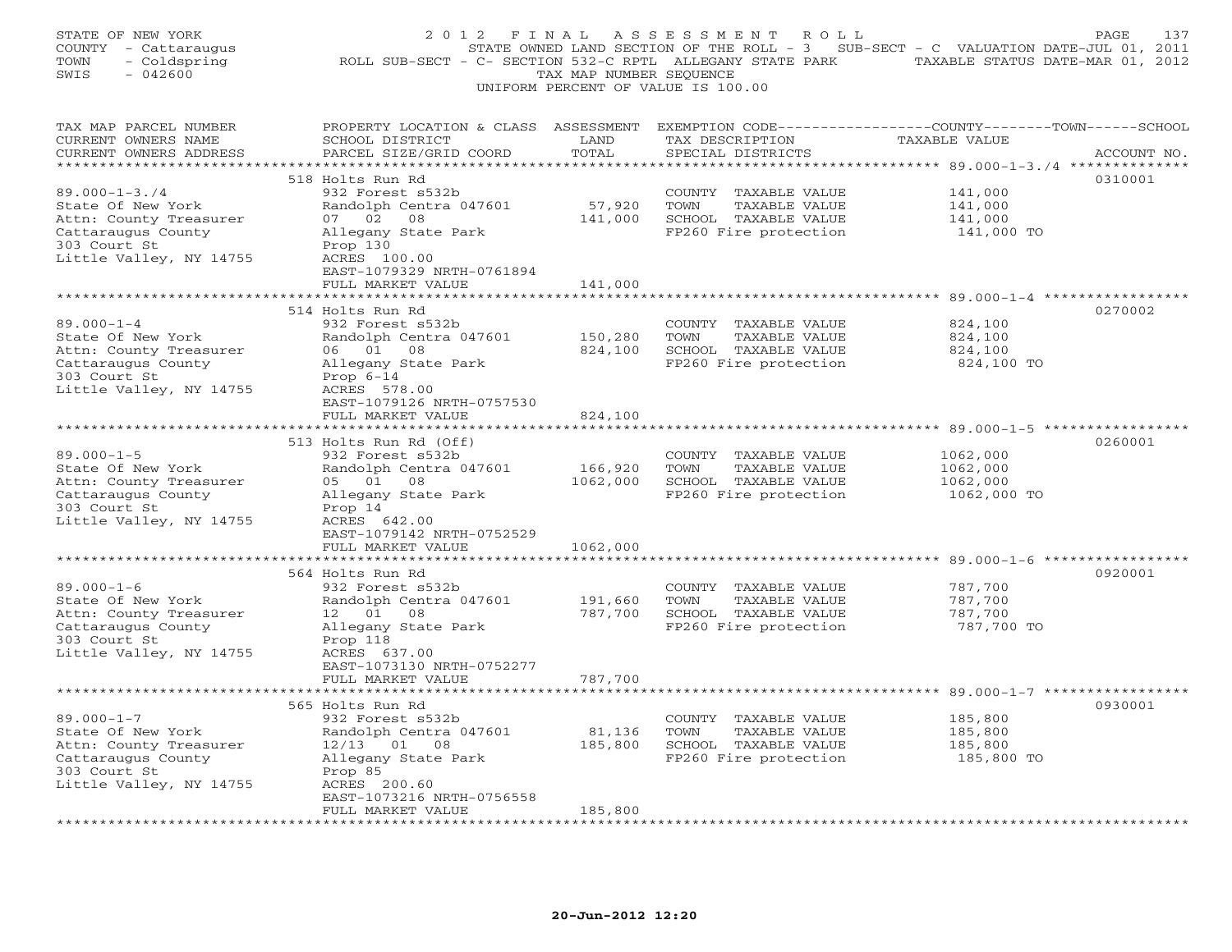| STATE OF NEW YORK<br>COUNTY - Cattaraugus<br>- Coldspring<br>TOWN<br>SWIS<br>$-042600$                                                                         | 2012 FINAL<br>ROLL SUB-SECT - C- SECTION 532-C RPTL ALLEGANY STATE PARK TAXABLE STATUS DATE-MAR 01, 2012                                                                                                              | TAX MAP NUMBER SEQUENCE      | A S S E S S M E N T<br>ROLL<br>STATE OWNED LAND SECTION OF THE ROLL - 3 SUB-SECT - C VALUATION DATE-JUL 01, 2011<br>UNIFORM PERCENT OF VALUE IS 100.00 |                                                 | 137<br>PAGE |
|----------------------------------------------------------------------------------------------------------------------------------------------------------------|-----------------------------------------------------------------------------------------------------------------------------------------------------------------------------------------------------------------------|------------------------------|--------------------------------------------------------------------------------------------------------------------------------------------------------|-------------------------------------------------|-------------|
| TAX MAP PARCEL NUMBER<br>CURRENT OWNERS NAME<br>CURRENT OWNERS ADDRESS                                                                                         | PROPERTY LOCATION & CLASS ASSESSMENT EXEMPTION CODE----------------COUNTY-------TOWN------SCHOOL<br>SCHOOL DISTRICT<br>PARCEL SIZE/GRID COORD                                                                         | LAND<br>TOTAL                | TAX DESCRIPTION<br>SPECIAL DISTRICTS                                                                                                                   | TAXABLE VALUE                                   | ACCOUNT NO. |
| ***********************<br>$89.000 - 1 - 3.74$<br>State Of New York<br>Attn: County Treasurer<br>Cattaraugus County<br>303 Court St<br>Little Valley, NY 14755 | *******************************<br>518 Holts Run Rd<br>932 Forest s532b<br>Randolph Centra 047601<br>07 02<br>08<br>Allegany State Park<br>Prop 130<br>ACRES 100.00<br>EAST-1079329 NRTH-0761894<br>FULL MARKET VALUE | 57,920<br>141,000<br>141,000 | COUNTY TAXABLE VALUE<br>TOWN<br>TAXABLE VALUE<br>SCHOOL TAXABLE VALUE<br>FP260 Fire protection                                                         | 141,000<br>141,000<br>141,000<br>141,000 TO     | 0310001     |
|                                                                                                                                                                |                                                                                                                                                                                                                       |                              |                                                                                                                                                        | ***** 89.000-1-4 ***************                |             |
| $89.000 - 1 - 4$<br>State Of New York<br>Attn: County Treasurer<br>Cattaraugus County<br>303 Court St<br>Little Valley, NY 14755                               | 514 Holts Run Rd<br>932 Forest s532b<br>Randolph Centra 047601<br>06 01 08<br>Allegany State Park<br>Prop $6-14$<br>ACRES 578.00                                                                                      | 150,280<br>824,100           | COUNTY TAXABLE VALUE<br>TOWN<br>TAXABLE VALUE<br>SCHOOL TAXABLE VALUE<br>FP260 Fire protection                                                         | 824,100<br>824,100<br>824,100<br>824,100 TO     | 0270002     |
|                                                                                                                                                                | EAST-1079126 NRTH-0757530<br>FULL MARKET VALUE                                                                                                                                                                        | 824,100                      |                                                                                                                                                        |                                                 |             |
| *********************                                                                                                                                          |                                                                                                                                                                                                                       |                              |                                                                                                                                                        |                                                 |             |
| $89.000 - 1 - 5$<br>State Of New York<br>Attn: County Treasurer<br>Cattaraugus County<br>303 Court St<br>Little Valley, NY 14755                               | 513 Holts Run Rd (Off)<br>932 Forest s532b<br>Randolph Centra 047601<br>05 01 08<br>Allegany State Park<br>Prop 14<br>ACRES 642.00                                                                                    | 166,920<br>1062,000          | COUNTY TAXABLE VALUE<br>TOWN<br>TAXABLE VALUE<br>SCHOOL TAXABLE VALUE<br>FP260 Fire protection                                                         | 1062,000<br>1062,000<br>1062,000<br>1062,000 TO | 0260001     |
|                                                                                                                                                                | EAST-1079142 NRTH-0752529<br>FULL MARKET VALUE                                                                                                                                                                        | 1062,000                     |                                                                                                                                                        |                                                 |             |
|                                                                                                                                                                | 564 Holts Run Rd                                                                                                                                                                                                      |                              |                                                                                                                                                        |                                                 | 0920001     |
| $89.000 - 1 - 6$<br>State Of New York<br>Attn: County Treasurer<br>Cattaraugus County<br>303 Court St<br>Little Valley, NY 14755                               | 932 Forest s532b<br>Randolph Centra 047601<br>12 01<br>08<br>Allegany State Park<br>Prop 118<br>ACRES 637.00<br>EAST-1073130 NRTH-0752277                                                                             | 191,660<br>787,700           | COUNTY TAXABLE VALUE<br>TOWN<br>TAXABLE VALUE<br>SCHOOL TAXABLE VALUE<br>FP260 Fire protection                                                         | 787,700<br>787,700<br>787,700<br>787,700 TO     |             |
|                                                                                                                                                                | FULL MARKET VALUE                                                                                                                                                                                                     | 787,700                      |                                                                                                                                                        |                                                 |             |
| $89.000 - 1 - 7$<br>State Of New York<br>Attn: County Treasurer<br>Cattaraugus County<br>303 Court St<br>Little Valley, NY 14755                               | 565 Holts Run Rd<br>932 Forest s532b<br>Randolph Centra 047601<br>$12/13$ 01 08<br>Allegany State Park<br>Prop 85<br>ACRES 200.60<br>EAST-1073216 NRTH-0756558<br>FULL MARKET VALUE                                   | 81,136<br>185,800<br>185,800 | COUNTY TAXABLE VALUE<br>TOWN<br>TAXABLE VALUE<br>SCHOOL TAXABLE VALUE<br>FP260 Fire protection                                                         | 185,800<br>185,800<br>185,800<br>185,800 TO     | 0930001     |
|                                                                                                                                                                |                                                                                                                                                                                                                       |                              |                                                                                                                                                        |                                                 |             |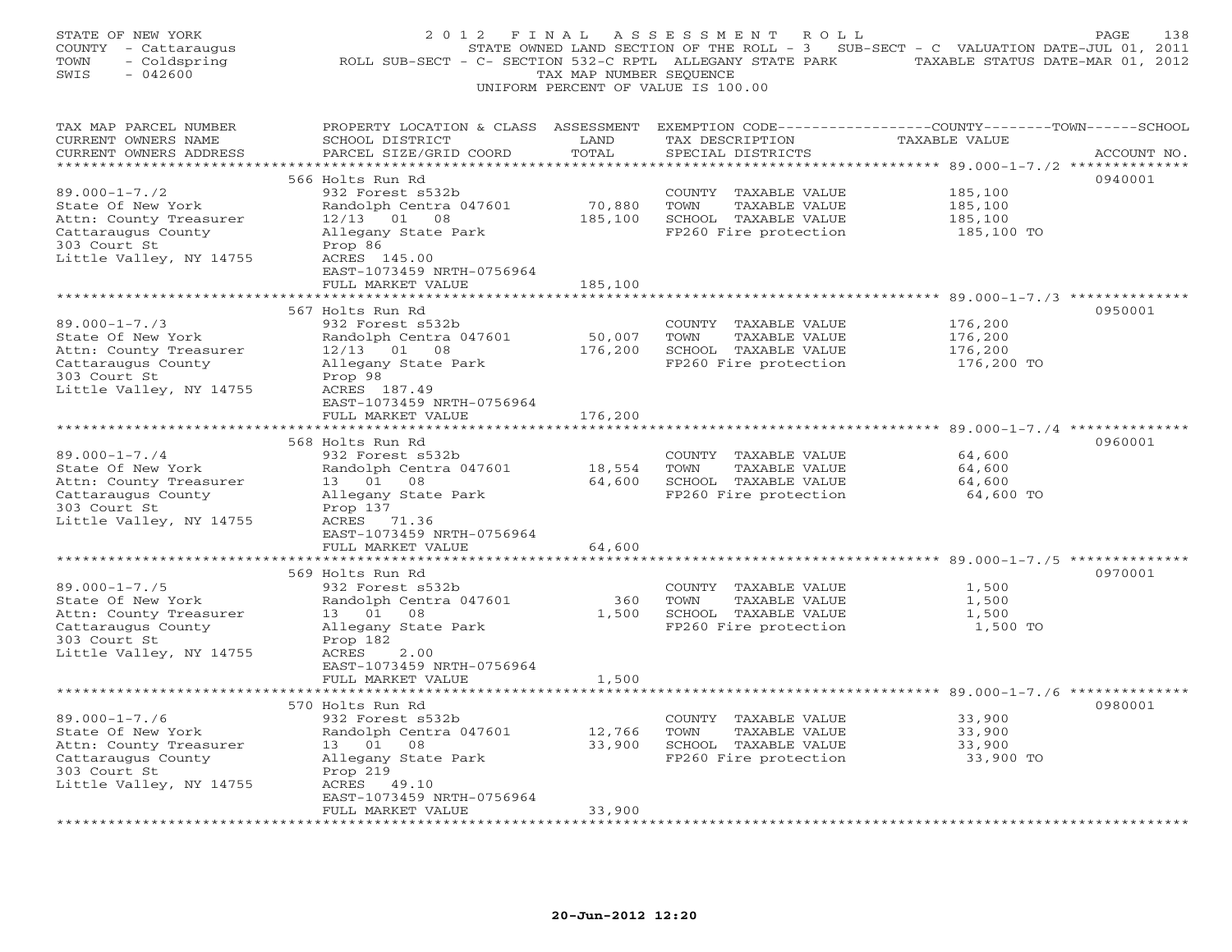| STATE OF NEW YORK<br>COUNTY - Cattaraugus<br>TOWN<br>- Coldspring<br>SWIS<br>$-042600$                                                                        | 2012 FINAL<br>ROLL SUB-SECT - C- SECTION 532-C RPTL ALLEGANY STATE PARK TAXABLE STATUS DATE-MAR 01, 2012                                                                            | TAX MAP NUMBER SEQUENCE      | A S S E S S M E N T A O L L<br>UNIFORM PERCENT OF VALUE IS 100.00                              | STATE OWNED LAND SECTION OF THE ROLL - 3 SUB-SECT - C VALUATION DATE-JUL 01, 2011 | PAGE<br>138 |
|---------------------------------------------------------------------------------------------------------------------------------------------------------------|-------------------------------------------------------------------------------------------------------------------------------------------------------------------------------------|------------------------------|------------------------------------------------------------------------------------------------|-----------------------------------------------------------------------------------|-------------|
| TAX MAP PARCEL NUMBER<br>CURRENT OWNERS NAME<br>CURRENT OWNERS ADDRESS                                                                                        | PROPERTY LOCATION & CLASS ASSESSMENT EXEMPTION CODE---------------COUNTY-------TOWN-----SCHOOL<br>SCHOOL DISTRICT<br>PARCEL SIZE/GRID COORD                                         | LAND<br>TOTAL                | TAX DESCRIPTION<br>SPECIAL DISTRICTS                                                           | <b>TAXABLE VALUE</b>                                                              | ACCOUNT NO. |
| $89.000 - 1 - 7.72$<br>State Of New York<br>Attn: County Treasurer<br>Cattaraugus County<br>303 Court St<br>Little Valley, NY 14755                           | 566 Holts Run Rd<br>932 Forest s532b<br>Randolph Centra 047601<br>$12/13$ 01 08<br>Allegany State Park<br>Prop 86<br>ACRES 145.00<br>EAST-1073459 NRTH-0756964<br>FULL MARKET VALUE | 70,880<br>185,100<br>185,100 | COUNTY TAXABLE VALUE<br>TOWN<br>TAXABLE VALUE<br>SCHOOL TAXABLE VALUE<br>FP260 Fire protection | 185,100<br>185,100<br>185,100<br>185,100 TO                                       | 0940001     |
|                                                                                                                                                               |                                                                                                                                                                                     |                              |                                                                                                | ********************** 89.000-1-7./3 ************                                 |             |
| $89.000 - 1 - 7.73$<br>State Of New York<br>Attn: County Treasurer<br>Cattaraugus County<br>303 Court St<br>Little Valley, NY 14755                           | 567 Holts Run Rd<br>932 Forest s532b<br>Randolph Centra 047601<br>$12/13$ 01 08<br>Allegany State Park<br>Prop 98<br>ACRES 187.49                                                   | 50,007<br>176,200            | COUNTY TAXABLE VALUE<br>TOWN<br>TAXABLE VALUE<br>SCHOOL TAXABLE VALUE<br>FP260 Fire protection | 176,200<br>176,200<br>176,200<br>176,200 TO                                       | 0950001     |
|                                                                                                                                                               | EAST-1073459 NRTH-0756964<br>FULL MARKET VALUE                                                                                                                                      | 176,200                      |                                                                                                |                                                                                   |             |
| **********************<br>$89.000 - 1 - 7.74$<br>State Of New York<br>Attn: County Treasurer<br>Cattaraugus County<br>303 Court St<br>Little Valley, NY 14755 | 568 Holts Run Rd<br>932 Forest s532b<br>Randolph Centra 047601<br>13  01  08<br>Allegany State Park<br>Prop 137<br>ACRES 71.36                                                      | 18,554<br>64,600             | COUNTY TAXABLE VALUE<br>TOWN<br>TAXABLE VALUE<br>SCHOOL TAXABLE VALUE<br>FP260 Fire protection | 64,600<br>64,600<br>64,600<br>64,600 TO                                           | 0960001     |
|                                                                                                                                                               | EAST-1073459 NRTH-0756964<br>FULL MARKET VALUE<br>* * * * * * * * * * * * * * * * * * * *                                                                                           | 64,600<br>**************     |                                                                                                |                                                                                   |             |
| $89.000 - 1 - 7.75$<br>State Of New York<br>Attn: County Treasurer<br>Cattaraugus County<br>303 Court St<br>Little Valley, NY 14755                           | 569 Holts Run Rd<br>932 Forest s532b<br>Randolph Centra 047601<br>08<br>13 01<br>Allegany State Park<br>Prop 182<br>ACRES<br>2.00<br>EAST-1073459 NRTH-0756964<br>FULL MARKET VALUE | 360<br>1,500<br>1,500        | COUNTY TAXABLE VALUE<br>TOWN<br>TAXABLE VALUE<br>SCHOOL TAXABLE VALUE<br>FP260 Fire protection | 1,500<br>1,500<br>1,500<br>1,500 TO                                               | 0970001     |
|                                                                                                                                                               | 570 Holts Run Rd                                                                                                                                                                    |                              |                                                                                                |                                                                                   | 0980001     |
| $89.000 - 1 - 7.76$<br>State Of New York<br>Attn: County Treasurer<br>Cattaraugus County<br>303 Court St<br>Little Valley, NY 14755                           | 932 Forest s532b<br>Randolph Centra 047601<br>13  01  08<br>Allegany State Park<br>Prop 219<br>ACRES 49.10<br>EAST-1073459 NRTH-0756964                                             | 12,766<br>33,900             | COUNTY TAXABLE VALUE<br>TOWN<br>TAXABLE VALUE<br>SCHOOL TAXABLE VALUE<br>FP260 Fire protection | 33,900<br>33,900<br>33,900<br>33,900 TO                                           |             |
|                                                                                                                                                               | FULL MARKET VALUE                                                                                                                                                                   | 33,900                       |                                                                                                |                                                                                   |             |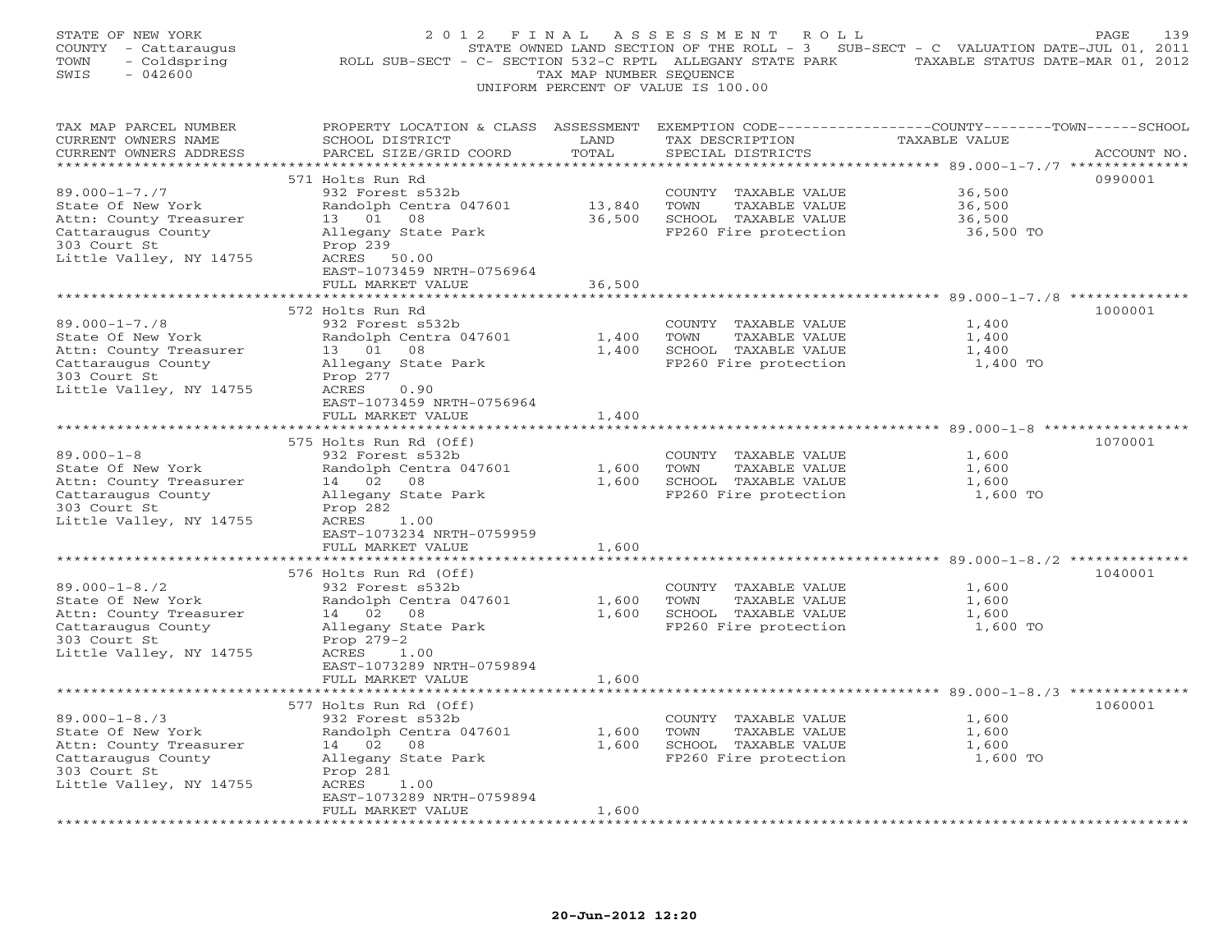| STATE OF NEW YORK<br>COUNTY - Cattaraugus<br>TOWN<br>- Coldspring<br>SWIS<br>$-042600$                                              | ROLL SUB-SECT - C- SECTION 532-C RPTL ALLEGANY STATE PARK TAXABLE STATUS DATE-MAR 01, 2012                                                  | TAX MAP NUMBER SEQUENCE | 2012 FINAL ASSESSMENT ROLL<br>STATE OWNED LAND SECTION OF THE ROLL - 3 SUB-SECT - C VALUATION DATE-JUL 01, 2011<br>UNIFORM PERCENT OF VALUE IS 100.00 |                                         | PAGE<br>139 |
|-------------------------------------------------------------------------------------------------------------------------------------|---------------------------------------------------------------------------------------------------------------------------------------------|-------------------------|-------------------------------------------------------------------------------------------------------------------------------------------------------|-----------------------------------------|-------------|
| TAX MAP PARCEL NUMBER<br>CURRENT OWNERS NAME<br>CURRENT OWNERS ADDRESS                                                              | PROPERTY LOCATION & CLASS ASSESSMENT EXEMPTION CODE---------------COUNTY-------TOWN-----SCHOOL<br>SCHOOL DISTRICT<br>PARCEL SIZE/GRID COORD | LAND<br>TOTAL           | TAX DESCRIPTION<br>SPECIAL DISTRICTS                                                                                                                  | <b>TAXABLE VALUE</b>                    | ACCOUNT NO. |
|                                                                                                                                     | 571 Holts Run Rd                                                                                                                            |                         |                                                                                                                                                       |                                         | 0990001     |
| $89.000 - 1 - 7.77$<br>State Of New York<br>Attn: County Treasurer<br>Cattaraugus County<br>303 Court St                            | 932 Forest s532b<br>Randolph Centra 047601<br>13 01 08<br>Allegany State Park<br>Prop 239                                                   | 13,840<br>36,500        | COUNTY TAXABLE VALUE<br>TOWN<br>TAXABLE VALUE<br>SCHOOL TAXABLE VALUE<br>FP260 Fire protection                                                        | 36,500<br>36,500<br>36,500<br>36,500 TO |             |
| Little Valley, NY 14755                                                                                                             | ACRES 50.00<br>EAST-1073459 NRTH-0756964                                                                                                    |                         |                                                                                                                                                       |                                         |             |
|                                                                                                                                     | FULL MARKET VALUE                                                                                                                           | 36,500                  |                                                                                                                                                       |                                         |             |
|                                                                                                                                     | ***************************                                                                                                                 |                         |                                                                                                                                                       |                                         |             |
| $89.000 - 1 - 7.78$<br>State Of New York<br>Attn: County Treasurer<br>Cattaraugus County<br>303 Court St                            | 572 Holts Run Rd<br>932 Forest s532b<br>Randolph Centra 047601<br>13  01  08<br>Allegany State Park<br>Prop 277                             | 1,400<br>1,400          | COUNTY TAXABLE VALUE<br>TOWN<br>TAXABLE VALUE<br>SCHOOL TAXABLE VALUE<br>FP260 Fire protection                                                        | 1,400<br>1,400<br>1,400<br>1,400 TO     | 1000001     |
| Little Valley, NY 14755                                                                                                             | ACRES<br>0.90<br>EAST-1073459 NRTH-0756964<br>FULL MARKET VALUE                                                                             | 1,400                   |                                                                                                                                                       |                                         |             |
|                                                                                                                                     | 575 Holts Run Rd (Off)                                                                                                                      |                         |                                                                                                                                                       |                                         | 1070001     |
| $89.000 - 1 - 8$<br>State Of New York<br>Attn: County Treasurer<br>Cattaraugus County<br>303 Court St<br>Little Valley, NY 14755    | 932 Forest s532b<br>Randolph Centra 047601<br>14 02 08<br>Allegany State Park<br>Prop 282<br>ACRES<br>1.00                                  | 1,600                   | COUNTY TAXABLE VALUE<br>TOWN<br>TAXABLE VALUE<br>1,600 SCHOOL TAXABLE VALUE<br>FP260 Fire protection                                                  | 1,600<br>1,600<br>1,600<br>1,600 TO     |             |
|                                                                                                                                     | EAST-1073234 NRTH-0759959                                                                                                                   |                         |                                                                                                                                                       |                                         |             |
|                                                                                                                                     | FULL MARKET VALUE<br>***********************                                                                                                | 1,600                   |                                                                                                                                                       |                                         |             |
| $89.000 - 1 - 8.72$<br>State Of New York<br>Attn: County Treasurer<br>Cattaraugus County                                            | 576 Holts Run Rd (Off)<br>932 Forest s532b<br>Randolph Centra 047601<br>14 02<br>08<br>Allegany State Park                                  | 1,600<br>1,600          | COUNTY TAXABLE VALUE<br>TOWN<br>TAXABLE VALUE<br>SCHOOL TAXABLE VALUE<br>FP260 Fire protection                                                        | 1,600<br>1,600<br>1,600<br>1,600 TO     | 1040001     |
| 303 Court St<br>Little Valley, NY 14755                                                                                             | Prop 279-2<br>ACRES 1.00<br>EAST-1073289 NRTH-0759894<br>FULL MARKET VALUE                                                                  | 1,600                   |                                                                                                                                                       |                                         |             |
|                                                                                                                                     | 577 Holts Run Rd (Off)                                                                                                                      |                         |                                                                                                                                                       |                                         | 1060001     |
| $89.000 - 1 - 8.73$<br>State Of New York<br>Attn: County Treasurer<br>Cattaraugus County<br>303 Court St<br>Little Valley, NY 14755 | 932 Forest s532b<br>Randolph Centra 047601<br>14 02 08<br>Allegany State Park<br>Prop 281<br>ACRES<br>1.00                                  | 1,600<br>1,600          | COUNTY TAXABLE VALUE<br>TOWN<br>TAXABLE VALUE<br>SCHOOL TAXABLE VALUE<br>FP260 Fire protection                                                        | 1,600<br>1,600<br>1,600<br>1,600 TO     |             |
|                                                                                                                                     | EAST-1073289 NRTH-0759894<br>FULL MARKET VALUE                                                                                              | 1,600                   |                                                                                                                                                       |                                         |             |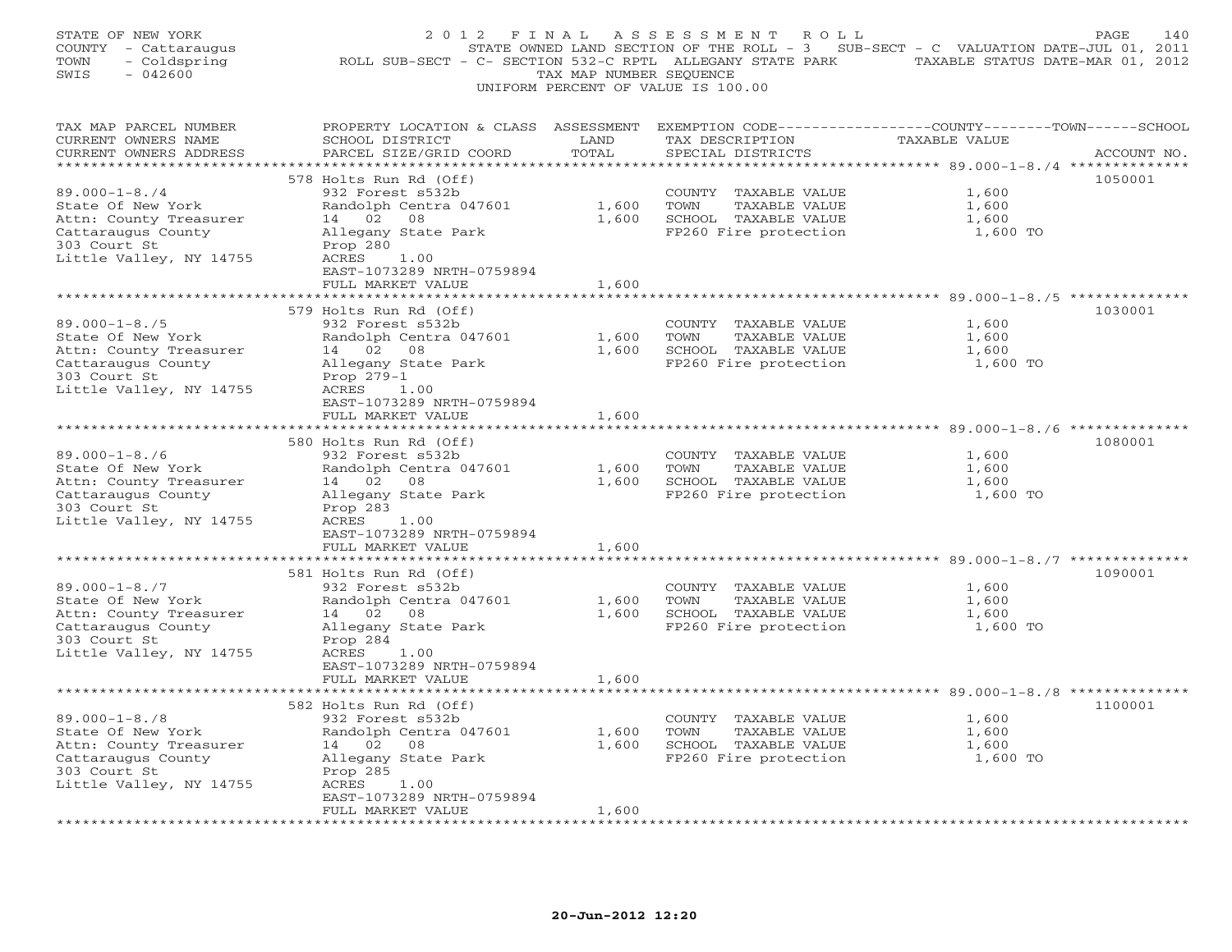| STATE OF NEW YORK<br>COUNTY - Cattaraugus<br>TOWN<br>- Coldspring<br>$-042600$<br>SWIS                                              | 2012 FINAL<br>ROLL SUB-SECT - C- SECTION 532-C RPTL ALLEGANY STATE PARK                                                                                                                   | TAX MAP NUMBER SEQUENCE          | A S S E S S M E N T<br>R O L L<br>UNIFORM PERCENT OF VALUE IS 100.00                           | STATE OWNED LAND SECTION OF THE ROLL - 3 SUB-SECT - C VALUATION DATE-JUL 01, 2011<br>TAXABLE STATUS DATE-MAR 01, 2012 | PAGE<br>140 |
|-------------------------------------------------------------------------------------------------------------------------------------|-------------------------------------------------------------------------------------------------------------------------------------------------------------------------------------------|----------------------------------|------------------------------------------------------------------------------------------------|-----------------------------------------------------------------------------------------------------------------------|-------------|
| TAX MAP PARCEL NUMBER<br>CURRENT OWNERS NAME<br>CURRENT OWNERS ADDRESS<br>**********************                                    | PROPERTY LOCATION & CLASS ASSESSMENT EXEMPTION CODE---------------COUNTY-------TOWN------SCHOOL<br>SCHOOL DISTRICT<br>PARCEL SIZE/GRID COORD                                              | LAND<br>TOTAL                    | TAX DESCRIPTION<br>SPECIAL DISTRICTS                                                           | TAXABLE VALUE                                                                                                         | ACCOUNT NO. |
| $89.000 - 1 - 8.74$<br>State Of New York<br>Attn: County Treasurer<br>Cattaraugus County<br>303 Court St<br>Little Valley, NY 14755 | 578 Holts Run Rd (Off)<br>932 Forest s532b<br>Randolph Centra 047601<br>14 02<br>08<br>Allegany State Park<br>Prop 280<br>ACRES<br>1.00<br>EAST-1073289 NRTH-0759894<br>FULL MARKET VALUE | 1,600<br>1,600<br>1,600          | COUNTY TAXABLE VALUE<br>TOWN<br>TAXABLE VALUE<br>SCHOOL TAXABLE VALUE<br>FP260 Fire protection | 1,600<br>1,600<br>1,600<br>1,600 TO                                                                                   | 1050001     |
|                                                                                                                                     |                                                                                                                                                                                           |                                  |                                                                                                |                                                                                                                       |             |
| $89.000 - 1 - 8.75$<br>State Of New York<br>Attn: County Treasurer<br>Cattaraugus County<br>303 Court St<br>Little Valley, NY 14755 | 579 Holts Run Rd (Off)<br>932 Forest s532b<br>Randolph Centra 047601<br>14 02 08<br>Allegany State Park<br>Prop 279-1<br>ACRES 1.00                                                       | 1,600<br>1,600                   | COUNTY TAXABLE VALUE<br>TOWN<br>TAXABLE VALUE<br>SCHOOL TAXABLE VALUE<br>FP260 Fire protection | 1,600<br>1,600<br>1,600<br>1,600 TO                                                                                   | 1030001     |
|                                                                                                                                     | EAST-1073289 NRTH-0759894<br>FULL MARKET VALUE<br>*******************                                                                                                                     | 1,600<br>* * * * * * * * * * * * |                                                                                                |                                                                                                                       |             |
| $89.000 - 1 - 8.76$<br>State Of New York<br>Attn: County Treasurer<br>Cattaraugus County<br>303 Court St<br>Little Valley, NY 14755 | 580 Holts Run Rd (Off)<br>932 Forest s532b<br>Randolph Centra 047601<br>14 02<br>08<br>Allegany State Park<br>Prop 283<br>ACRES<br>1.00                                                   | 1,600<br>1,600                   | COUNTY TAXABLE VALUE<br>TOWN<br>TAXABLE VALUE<br>SCHOOL TAXABLE VALUE<br>FP260 Fire protection | 1,600<br>1,600<br>1,600<br>1,600 TO                                                                                   | 1080001     |
|                                                                                                                                     | EAST-1073289 NRTH-0759894<br>FULL MARKET VALUE                                                                                                                                            | 1,600                            |                                                                                                |                                                                                                                       |             |
| $89.000 - 1 - 8.77$<br>State Of New York<br>Attn: County Treasurer<br>Cattaraugus County<br>303 Court St<br>Little Valley, NY 14755 | 581 Holts Run Rd (Off)<br>932 Forest s532b<br>Randolph Centra 047601<br>14 02<br>08<br>Allegany State Park<br>Prop 284<br>ACRES 1.00<br>EAST-1073289 NRTH-0759894                         | 1,600<br>1,600                   | COUNTY TAXABLE VALUE<br>TOWN<br>TAXABLE VALUE<br>SCHOOL TAXABLE VALUE<br>FP260 Fire protection | 1,600<br>1,600<br>1,600<br>1,600 TO                                                                                   | 1090001     |
|                                                                                                                                     | FULL MARKET VALUE                                                                                                                                                                         | 1,600                            |                                                                                                |                                                                                                                       |             |
| $89.000 - 1 - 8.78$<br>State Of New York<br>Attn: County Treasurer<br>Cattaraugus County<br>303 Court St<br>Little Valley, NY 14755 | 582 Holts Run Rd (Off)<br>932 Forest s532b<br>Randolph Centra 047601<br>14 02<br>08<br>Allegany State Park<br>Prop 285<br>ACRES<br>1.00                                                   | 1,600<br>1,600                   | COUNTY TAXABLE VALUE<br>TOWN<br>TAXABLE VALUE<br>SCHOOL TAXABLE VALUE<br>FP260 Fire protection | 1,600<br>1,600<br>1,600<br>1,600 TO                                                                                   | 1100001     |
|                                                                                                                                     | EAST-1073289 NRTH-0759894<br>FULL MARKET VALUE                                                                                                                                            | 1,600                            |                                                                                                |                                                                                                                       |             |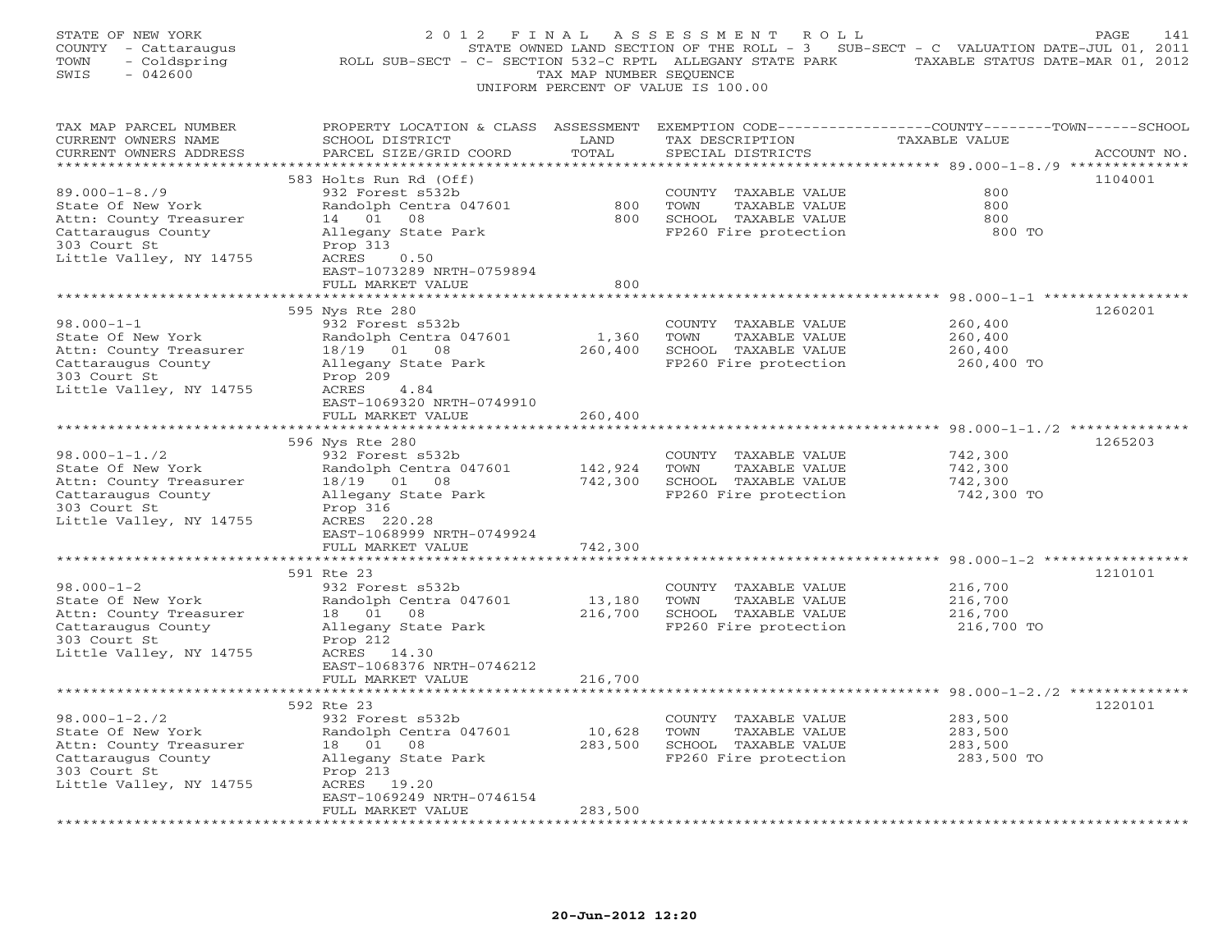| STATE OF NEW YORK<br>COUNTY - Cattaraugus<br>- Coldspring<br>TOWN<br>$-042600$<br>SWIS                                              | 2012 FINAL<br>ROLL SUB-SECT - C- SECTION 532-C RPTL ALLEGANY STATE PARK                                                                                              | TAX MAP NUMBER SEQUENCE    | ASSESSMENT<br>R O L L<br>UNIFORM PERCENT OF VALUE IS 100.00                                    | STATE OWNED LAND SECTION OF THE ROLL - 3 SUB-SECT - C VALUATION DATE-JUL 01, 2011<br>TAXABLE STATUS DATE-MAR 01, 2012 | PAGE<br>141 |
|-------------------------------------------------------------------------------------------------------------------------------------|----------------------------------------------------------------------------------------------------------------------------------------------------------------------|----------------------------|------------------------------------------------------------------------------------------------|-----------------------------------------------------------------------------------------------------------------------|-------------|
| TAX MAP PARCEL NUMBER<br>CURRENT OWNERS NAME<br>CURRENT OWNERS ADDRESS<br>***********************                                   | SCHOOL DISTRICT<br>PARCEL SIZE/GRID COORD<br>****************************                                                                                            | LAND<br>TOTAL              | TAX DESCRIPTION<br>SPECIAL DISTRICTS                                                           | PROPERTY LOCATION & CLASS ASSESSMENT EXEMPTION CODE----------------COUNTY-------TOWN------SCHOOL<br>TAXABLE VALUE     | ACCOUNT NO. |
| $89.000 - 1 - 8.79$<br>State Of New York<br>Attn: County Treasurer<br>Cattaraugus County<br>303 Court St<br>Little Valley, NY 14755 | 583 Holts Run Rd (Off)<br>932 Forest s532b<br>Randolph Centra 047601<br>14 01<br>08<br>Allegany State Park<br>Prop 313<br>ACRES<br>0.50<br>EAST-1073289 NRTH-0759894 | 800<br>800                 | COUNTY TAXABLE VALUE<br>TOWN<br>TAXABLE VALUE<br>SCHOOL TAXABLE VALUE<br>FP260 Fire protection | 800<br>800<br>800<br>800 TO                                                                                           | 1104001     |
|                                                                                                                                     | FULL MARKET VALUE                                                                                                                                                    | 800                        |                                                                                                |                                                                                                                       |             |
| $98.000 - 1 - 1$<br>State Of New York<br>Attn: County Treasurer<br>Cattaraugus County<br>303 Court St<br>Little Valley, NY 14755    | *******************<br>595 Nys Rte 280<br>932 Forest s532b<br>Randolph Centra 047601<br>18/19 01 08<br>Allegany State Park<br>Prop 209<br>4.84<br>ACRES              | 1,360<br>260,400           | COUNTY TAXABLE VALUE<br>TOWN<br>TAXABLE VALUE<br>SCHOOL TAXABLE VALUE<br>FP260 Fire protection | ****************** 98.000-1-1 ***************<br>260,400<br>260,400<br>260,400<br>260,400 TO                          | 1260201     |
|                                                                                                                                     | EAST-1069320 NRTH-0749910<br>FULL MARKET VALUE<br>*******************                                                                                                | 260,400<br>*************   |                                                                                                | *************** 98.000-1-1./2 *************                                                                           |             |
| $98.000 - 1 - 1.72$<br>State Of New York<br>Attn: County Treasurer<br>Cattaraugus County<br>303 Court St<br>Little Valley, NY 14755 | 596 Nys Rte 280<br>932 Forest s532b<br>Randolph Centra 047601<br>18/19 01 08<br>Allegany State Park<br>Prop 316<br>ACRES 220.28                                      | 142,924<br>742,300         | COUNTY TAXABLE VALUE<br>TOWN<br>TAXABLE VALUE<br>SCHOOL TAXABLE VALUE<br>FP260 Fire protection | 742,300<br>742,300<br>742,300<br>742,300 TO                                                                           | 1265203     |
|                                                                                                                                     | EAST-1068999 NRTH-0749924<br>FULL MARKET VALUE<br>*********                                                                                                          | 742,300<br>* * * * * * * * |                                                                                                | ************** 98.000-1-2 *****                                                                                       |             |
| $98.000 - 1 - 2$<br>State Of New York<br>Attn: County Treasurer<br>Cattaraugus County<br>303 Court St<br>Little Valley, NY 14755    | 591 Rte 23<br>932 Forest s532b<br>Randolph Centra 047601<br>18 01<br>08<br>Allegany State Park<br>Prop 212<br>ACRES 14.30<br>EAST-1068376 NRTH-0746212               | 13,180<br>216,700          | COUNTY TAXABLE VALUE<br>TOWN<br>TAXABLE VALUE<br>SCHOOL TAXABLE VALUE<br>FP260 Fire protection | 216,700<br>216,700<br>216,700<br>216,700 TO                                                                           | 1210101     |
|                                                                                                                                     | FULL MARKET VALUE<br>***************************                                                                                                                     | 216,700                    |                                                                                                |                                                                                                                       |             |
| $98.000 - 1 - 2.72$<br>State Of New York<br>Attn: County Treasurer<br>Cattaraugus County<br>303 Court St<br>Little Valley, NY 14755 | 592 Rte 23<br>932 Forest s532b<br>Randolph Centra 047601<br>18 01<br>08<br>Allegany State Park<br>Prop 213<br>ACRES 19.20<br>EAST-1069249 NRTH-0746154               | 10,628<br>283,500          | COUNTY TAXABLE VALUE<br>TAXABLE VALUE<br>TOWN<br>SCHOOL TAXABLE VALUE<br>FP260 Fire protection | 283,500<br>283,500<br>283,500<br>283,500 TO                                                                           | 1220101     |
|                                                                                                                                     | FULL MARKET VALUE                                                                                                                                                    | 283,500                    |                                                                                                |                                                                                                                       |             |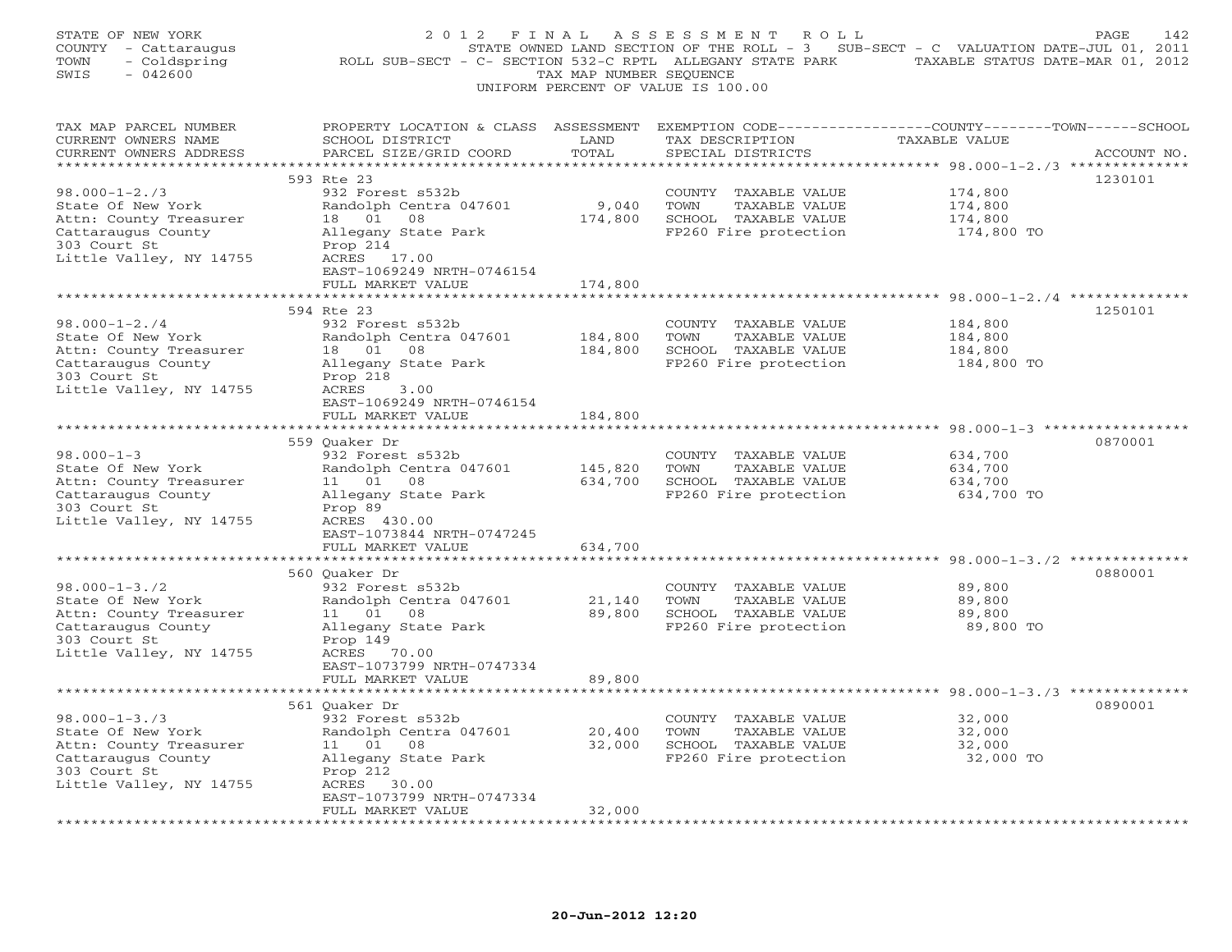| STATE OF NEW YORK<br>COUNTY - Cattaraugus<br>TOWN<br>- Coldspring<br>$-042600$<br>SWIS                                              | ROLL SUB-SECT - C- SECTION 532-C RPTL ALLEGANY STATE PARK TAXABLE STATUS DATE-MAR 01, 2012                                                            | TAX MAP NUMBER SEQUENCE | 2012 FINAL ASSESSMENT<br>ROLL<br>STATE OWNED LAND SECTION OF THE ROLL - 3 SUB-SECT - C VALUATION DATE-JUL 01, 2011<br>UNIFORM PERCENT OF VALUE IS 100.00 |                                                                              | PAGE<br>142 |
|-------------------------------------------------------------------------------------------------------------------------------------|-------------------------------------------------------------------------------------------------------------------------------------------------------|-------------------------|----------------------------------------------------------------------------------------------------------------------------------------------------------|------------------------------------------------------------------------------|-------------|
| TAX MAP PARCEL NUMBER<br>CURRENT OWNERS NAME<br>CURRENT OWNERS ADDRESS                                                              | PROPERTY LOCATION & CLASS ASSESSMENT EXEMPTION CODE---------------COUNTY-------TOWN------SCHOOL<br>SCHOOL DISTRICT<br>PARCEL SIZE/GRID COORD          | LAND<br>TOTAL           | TAX DESCRIPTION<br>SPECIAL DISTRICTS                                                                                                                     | TAXABLE VALUE                                                                | ACCOUNT NO. |
|                                                                                                                                     |                                                                                                                                                       |                         |                                                                                                                                                          |                                                                              |             |
| $98.000 - 1 - 2.73$<br>State Of New York<br>Attn: County Treasurer<br>Cattaraugus County<br>303 Court St<br>Little Valley, NY 14755 | 593 Rte 23<br>932 Forest s532b<br>Randolph Centra 047601<br>18  01  08<br>Allegany State Park<br>Prop 214<br>ACRES 17.00<br>EAST-1069249 NRTH-0746154 | 9,040<br>174,800        | COUNTY TAXABLE VALUE<br>TOWN<br>TAXABLE VALUE<br>SCHOOL TAXABLE VALUE<br>FP260 Fire protection                                                           | 174,800<br>174,800<br>174,800<br>174,800 TO                                  | 1230101     |
|                                                                                                                                     | FULL MARKET VALUE                                                                                                                                     | 174,800                 |                                                                                                                                                          |                                                                              |             |
| $98.000 - 1 - 2.74$                                                                                                                 | 594 Rte 23<br>932 Forest s532b                                                                                                                        | *************           | COUNTY TAXABLE VALUE                                                                                                                                     | ************************************ 98.000-1-2./4 **************<br>184,800 | 1250101     |
| State Of New York<br>Attn: County Treasurer<br>Cattaraugus County<br>303 Court St<br>Little Valley, NY 14755                        | Randolph Centra 047601<br>18  01  08<br>Allegany State Park<br>Prop 218<br>ACRES<br>3.00<br>EAST-1069249 NRTH-0746154                                 | 184,800<br>184,800      | TOWN<br>TAXABLE VALUE<br>SCHOOL TAXABLE VALUE<br>FP260 Fire protection                                                                                   | 184,800<br>184,800<br>184,800 TO                                             |             |
|                                                                                                                                     | FULL MARKET VALUE                                                                                                                                     | 184,800                 |                                                                                                                                                          |                                                                              |             |
| $98.000 - 1 - 3$                                                                                                                    | 559 Ouaker Dr<br>932 Forest s532b                                                                                                                     |                         | COUNTY TAXABLE VALUE                                                                                                                                     | 634,700                                                                      | 0870001     |
| State Of New York<br>Attn: County Treasurer<br>Cattaraugus County<br>303 Court St<br>Little Valley, NY 14755                        | Randolph Centra 047601<br>11  01  08<br>Allegany State Park<br>Prop 89<br>ACRES 430.00                                                                | 145,820<br>634,700      | TOWN<br>TAXABLE VALUE<br>SCHOOL TAXABLE VALUE<br>FP260 Fire protection                                                                                   | 634,700<br>634,700<br>634,700 TO                                             |             |
|                                                                                                                                     | EAST-1073844 NRTH-0747245<br>FULL MARKET VALUE                                                                                                        | 634,700                 |                                                                                                                                                          |                                                                              |             |
|                                                                                                                                     | * * * * * * * * * * * * * * * * * * * *<br>560 Ouaker Dr                                                                                              | *****************       |                                                                                                                                                          |                                                                              | 0880001     |
| $98.000 - 1 - 3.72$<br>State Of New York<br>Attn: County Treasurer<br>Cattaraugus County<br>303 Court St<br>Little Valley, NY 14755 | 932 Forest s532b<br>Randolph Centra 047601<br>11 01<br>08<br>Allegany State Park<br>Prop 149<br>ACRES 70.00<br>EAST-1073799 NRTH-0747334              | 21,140<br>89,800        | COUNTY TAXABLE VALUE<br>TOWN<br>TAXABLE VALUE<br>SCHOOL TAXABLE VALUE<br>FP260 Fire protection                                                           | 89,800<br>89,800<br>89,800<br>89,800 TO                                      |             |
|                                                                                                                                     | FULL MARKET VALUE                                                                                                                                     | 89,800                  |                                                                                                                                                          |                                                                              |             |
|                                                                                                                                     | 561 Quaker Dr                                                                                                                                         |                         |                                                                                                                                                          |                                                                              | 0890001     |
| $98.000 - 1 - 3.73$<br>State Of New York<br>Attn: County Treasurer<br>Cattaraugus County<br>303 Court St                            | 932 Forest s532b<br>Randolph Centra 047601<br>11 01 08<br>Allegany State Park<br>Prop 212                                                             | 20,400<br>32,000        | COUNTY TAXABLE VALUE<br>TOWN<br>TAXABLE VALUE<br>SCHOOL TAXABLE VALUE<br>FP260 Fire protection                                                           | 32,000<br>32,000<br>32,000<br>32,000 TO                                      |             |
| Little Valley, NY 14755<br>+ + + + + + + + + + + + +                                                                                | ACRES 30.00<br>EAST-1073799 NRTH-0747334<br>FULL MARKET VALUE                                                                                         | 32,000                  |                                                                                                                                                          |                                                                              |             |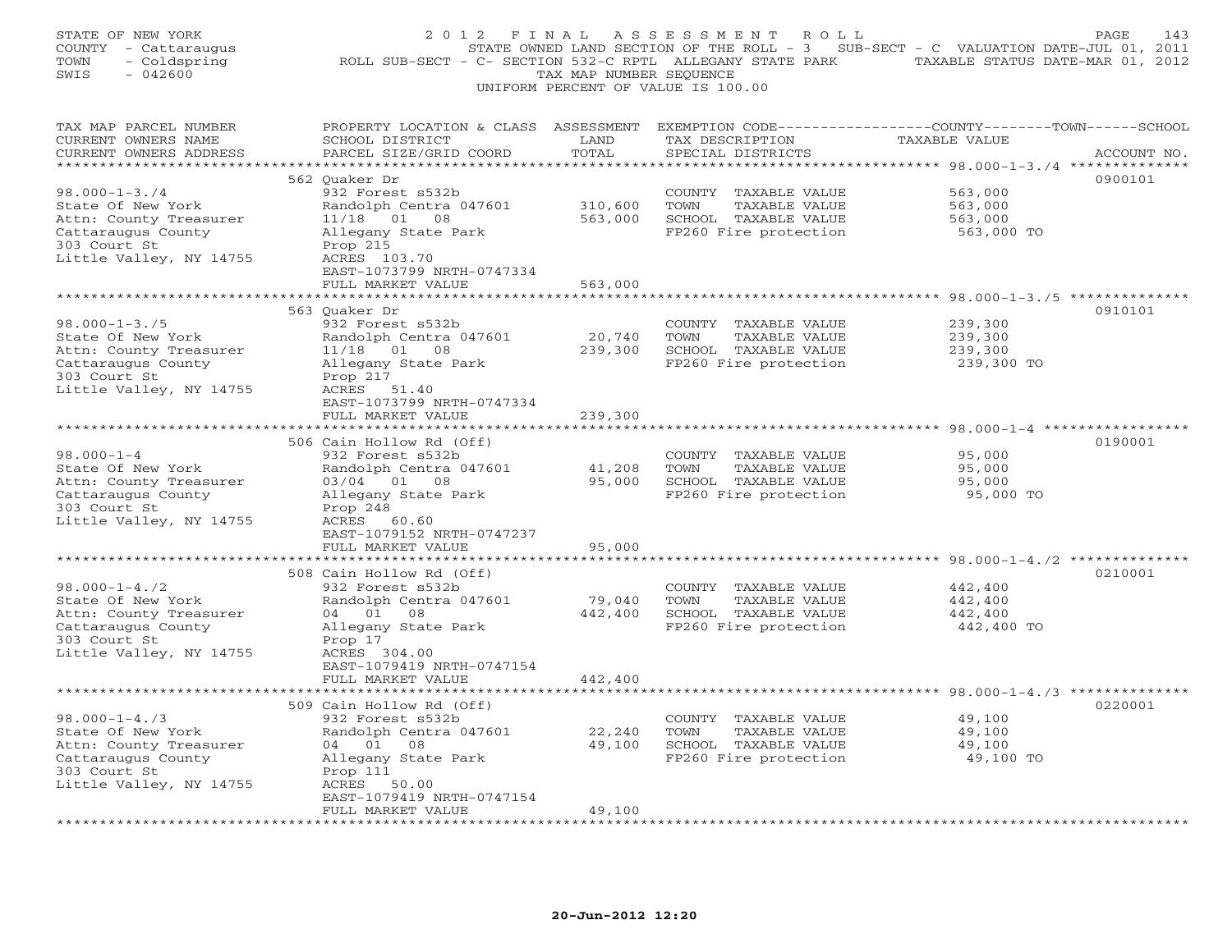| TAX MAP PARCEL NUMBER<br>PROPERTY LOCATION & CLASS ASSESSMENT EXEMPTION CODE---------------COUNTY-------TOWN------SCHOOL<br>CURRENT OWNERS NAME<br>SCHOOL DISTRICT<br>TAX DESCRIPTION<br>TAXABLE VALUE<br>LAND<br>PARCEL SIZE/GRID COORD<br>TOTAL<br>CURRENT OWNERS ADDRESS<br>SPECIAL DISTRICTS<br>ACCOUNT NO.<br>562 Quaker Dr<br>0900101<br>$98.000 - 1 - 3.74$<br>932 Forest s532b<br>563,000<br>COUNTY<br>TAXABLE VALUE<br>State Of New York<br>Randolph Centra 047601<br>310,600<br>$\operatorname{TOWN}$<br>TAXABLE VALUE<br>563,000<br>Attn: County Treasurer<br>$11/18$ 01 08<br>563,000<br>SCHOOL TAXABLE VALUE<br>563,000<br>Cattaraugus County<br>Allegany State Park<br>FP260 Fire protection<br>563,000 TO<br>303 Court St<br>Prop 215<br>Little Valley, NY 14755<br>ACRES 103.70<br>EAST-1073799 NRTH-0747334<br>563,000<br>FULL MARKET VALUE<br>*************************<br>******************************** 98.000-1-3./5 **************<br>563 Ouaker Dr<br>0910101<br>$98.000 - 1 - 3.75$<br>239,300<br>932 Forest s532b<br>COUNTY TAXABLE VALUE<br>State Of New York<br>20,740<br>239,300<br>Randolph Centra 047601<br>TOWN<br>TAXABLE VALUE<br>Attn: County Treasurer<br>$11/18$ 01 08<br>239,300<br>SCHOOL TAXABLE VALUE<br>239,300<br>Cattaraugus County<br>Allegany State Park<br>FP260 Fire protection<br>239,300 TO<br>303 Court St<br>Prop 217<br>ACRES 51.40<br>EAST-1073799 NRTH-0747334<br>FULL MARKET VALUE<br>239,300<br>**********************<br>506 Cain Hollow Rd (Off)<br>0190001<br>$98.000 - 1 - 4$<br>932 Forest s532b<br>95,000<br>COUNTY TAXABLE VALUE<br>State Of New York<br>41,208<br>95,000<br>Randolph Centra 047601<br>TOWN<br>TAXABLE VALUE<br>Attn: County Treasurer<br>03/04 01 08<br>95,000<br>SCHOOL TAXABLE VALUE<br>95,000<br>Cattaraugus County<br>Allegany State Park<br>FP260 Fire protection<br>95,000 TO<br>303 Court St<br>Prop 248<br>Little Valley, NY 14755<br>ACRES 60.60<br>EAST-1079152 NRTH-0747237<br>FULL MARKET VALUE<br>95,000<br>****************<br>0210001<br>508 Cain Hollow Rd (Off)<br>$98.000 - 1 - 4.72$<br>932 Forest s532b<br>442,400<br>COUNTY TAXABLE VALUE<br>State Of New York<br>Randolph Centra 047601<br>79,040<br>442,400<br>TOWN<br>TAXABLE VALUE<br>Attn: County Treasurer<br>442,400<br>SCHOOL TAXABLE VALUE<br>442,400<br>04 01<br>08<br>Cattaraugus County<br>FP260 Fire protection<br>442,400 TO<br>Allegany State Park<br>303 Court St<br>Prop 17<br>ACRES 304.00<br>EAST-1079419 NRTH-0747154<br>FULL MARKET VALUE<br>442,400<br>509 Cain Hollow Rd (Off)<br>0220001<br>$98.000 - 1 - 4.73$<br>932 Forest s532b<br>49,100<br>COUNTY TAXABLE VALUE<br>22,240<br>State Of New York<br>Randolph Centra 047601<br>TAXABLE VALUE<br>49,100<br>TOWN<br>Attn: County Treasurer<br>04 01<br>08<br>49,100<br>SCHOOL TAXABLE VALUE<br>49,100<br>Cattaraugus County<br>Allegany State Park<br>FP260 Fire protection<br>49,100 TO<br>303 Court St<br>Prop 111<br>Little Valley, NY 14755<br>ACRES<br>50.00 | STATE OF NEW YORK<br>COUNTY - Cattaraugus<br>- Coldspring<br>TOWN<br>$-042600$<br>SWIS | 2 0 1 2<br>F I N A L<br>ROLL SUB-SECT - C- SECTION 532-C RPTL ALLEGANY STATE PARK | TAX MAP NUMBER SEQUENCE | ASSESSMENT<br>R O L L<br>STATE OWNED LAND SECTION OF THE ROLL - 3 SUB-SECT - C VALUATION DATE-JUL 01, 2011<br>UNIFORM PERCENT OF VALUE IS 100.00 | TAXABLE STATUS DATE-MAR 01, 2012 | PAGE<br>143 |
|---------------------------------------------------------------------------------------------------------------------------------------------------------------------------------------------------------------------------------------------------------------------------------------------------------------------------------------------------------------------------------------------------------------------------------------------------------------------------------------------------------------------------------------------------------------------------------------------------------------------------------------------------------------------------------------------------------------------------------------------------------------------------------------------------------------------------------------------------------------------------------------------------------------------------------------------------------------------------------------------------------------------------------------------------------------------------------------------------------------------------------------------------------------------------------------------------------------------------------------------------------------------------------------------------------------------------------------------------------------------------------------------------------------------------------------------------------------------------------------------------------------------------------------------------------------------------------------------------------------------------------------------------------------------------------------------------------------------------------------------------------------------------------------------------------------------------------------------------------------------------------------------------------------------------------------------------------------------------------------------------------------------------------------------------------------------------------------------------------------------------------------------------------------------------------------------------------------------------------------------------------------------------------------------------------------------------------------------------------------------------------------------------------------------------------------------------------------------------------------------------------------------------------------------------------------------------------------------------------------------------------------------------------------------------------------------------------------------------------------------------------------------------------------------------------------------------------------------------------------------------------------------------------------------------------------------------------------------------------------------------|----------------------------------------------------------------------------------------|-----------------------------------------------------------------------------------|-------------------------|--------------------------------------------------------------------------------------------------------------------------------------------------|----------------------------------|-------------|
|                                                                                                                                                                                                                                                                                                                                                                                                                                                                                                                                                                                                                                                                                                                                                                                                                                                                                                                                                                                                                                                                                                                                                                                                                                                                                                                                                                                                                                                                                                                                                                                                                                                                                                                                                                                                                                                                                                                                                                                                                                                                                                                                                                                                                                                                                                                                                                                                                                                                                                                                                                                                                                                                                                                                                                                                                                                                                                                                                                                                   |                                                                                        |                                                                                   |                         |                                                                                                                                                  |                                  |             |
|                                                                                                                                                                                                                                                                                                                                                                                                                                                                                                                                                                                                                                                                                                                                                                                                                                                                                                                                                                                                                                                                                                                                                                                                                                                                                                                                                                                                                                                                                                                                                                                                                                                                                                                                                                                                                                                                                                                                                                                                                                                                                                                                                                                                                                                                                                                                                                                                                                                                                                                                                                                                                                                                                                                                                                                                                                                                                                                                                                                                   |                                                                                        |                                                                                   |                         |                                                                                                                                                  |                                  |             |
|                                                                                                                                                                                                                                                                                                                                                                                                                                                                                                                                                                                                                                                                                                                                                                                                                                                                                                                                                                                                                                                                                                                                                                                                                                                                                                                                                                                                                                                                                                                                                                                                                                                                                                                                                                                                                                                                                                                                                                                                                                                                                                                                                                                                                                                                                                                                                                                                                                                                                                                                                                                                                                                                                                                                                                                                                                                                                                                                                                                                   |                                                                                        |                                                                                   |                         |                                                                                                                                                  |                                  |             |
|                                                                                                                                                                                                                                                                                                                                                                                                                                                                                                                                                                                                                                                                                                                                                                                                                                                                                                                                                                                                                                                                                                                                                                                                                                                                                                                                                                                                                                                                                                                                                                                                                                                                                                                                                                                                                                                                                                                                                                                                                                                                                                                                                                                                                                                                                                                                                                                                                                                                                                                                                                                                                                                                                                                                                                                                                                                                                                                                                                                                   |                                                                                        |                                                                                   |                         |                                                                                                                                                  |                                  |             |
|                                                                                                                                                                                                                                                                                                                                                                                                                                                                                                                                                                                                                                                                                                                                                                                                                                                                                                                                                                                                                                                                                                                                                                                                                                                                                                                                                                                                                                                                                                                                                                                                                                                                                                                                                                                                                                                                                                                                                                                                                                                                                                                                                                                                                                                                                                                                                                                                                                                                                                                                                                                                                                                                                                                                                                                                                                                                                                                                                                                                   |                                                                                        |                                                                                   |                         |                                                                                                                                                  |                                  |             |
|                                                                                                                                                                                                                                                                                                                                                                                                                                                                                                                                                                                                                                                                                                                                                                                                                                                                                                                                                                                                                                                                                                                                                                                                                                                                                                                                                                                                                                                                                                                                                                                                                                                                                                                                                                                                                                                                                                                                                                                                                                                                                                                                                                                                                                                                                                                                                                                                                                                                                                                                                                                                                                                                                                                                                                                                                                                                                                                                                                                                   |                                                                                        |                                                                                   |                         |                                                                                                                                                  |                                  |             |
|                                                                                                                                                                                                                                                                                                                                                                                                                                                                                                                                                                                                                                                                                                                                                                                                                                                                                                                                                                                                                                                                                                                                                                                                                                                                                                                                                                                                                                                                                                                                                                                                                                                                                                                                                                                                                                                                                                                                                                                                                                                                                                                                                                                                                                                                                                                                                                                                                                                                                                                                                                                                                                                                                                                                                                                                                                                                                                                                                                                                   |                                                                                        |                                                                                   |                         |                                                                                                                                                  |                                  |             |
|                                                                                                                                                                                                                                                                                                                                                                                                                                                                                                                                                                                                                                                                                                                                                                                                                                                                                                                                                                                                                                                                                                                                                                                                                                                                                                                                                                                                                                                                                                                                                                                                                                                                                                                                                                                                                                                                                                                                                                                                                                                                                                                                                                                                                                                                                                                                                                                                                                                                                                                                                                                                                                                                                                                                                                                                                                                                                                                                                                                                   |                                                                                        |                                                                                   |                         |                                                                                                                                                  |                                  |             |
|                                                                                                                                                                                                                                                                                                                                                                                                                                                                                                                                                                                                                                                                                                                                                                                                                                                                                                                                                                                                                                                                                                                                                                                                                                                                                                                                                                                                                                                                                                                                                                                                                                                                                                                                                                                                                                                                                                                                                                                                                                                                                                                                                                                                                                                                                                                                                                                                                                                                                                                                                                                                                                                                                                                                                                                                                                                                                                                                                                                                   |                                                                                        |                                                                                   |                         |                                                                                                                                                  |                                  |             |
|                                                                                                                                                                                                                                                                                                                                                                                                                                                                                                                                                                                                                                                                                                                                                                                                                                                                                                                                                                                                                                                                                                                                                                                                                                                                                                                                                                                                                                                                                                                                                                                                                                                                                                                                                                                                                                                                                                                                                                                                                                                                                                                                                                                                                                                                                                                                                                                                                                                                                                                                                                                                                                                                                                                                                                                                                                                                                                                                                                                                   |                                                                                        |                                                                                   |                         |                                                                                                                                                  |                                  |             |
|                                                                                                                                                                                                                                                                                                                                                                                                                                                                                                                                                                                                                                                                                                                                                                                                                                                                                                                                                                                                                                                                                                                                                                                                                                                                                                                                                                                                                                                                                                                                                                                                                                                                                                                                                                                                                                                                                                                                                                                                                                                                                                                                                                                                                                                                                                                                                                                                                                                                                                                                                                                                                                                                                                                                                                                                                                                                                                                                                                                                   |                                                                                        |                                                                                   |                         |                                                                                                                                                  |                                  |             |
|                                                                                                                                                                                                                                                                                                                                                                                                                                                                                                                                                                                                                                                                                                                                                                                                                                                                                                                                                                                                                                                                                                                                                                                                                                                                                                                                                                                                                                                                                                                                                                                                                                                                                                                                                                                                                                                                                                                                                                                                                                                                                                                                                                                                                                                                                                                                                                                                                                                                                                                                                                                                                                                                                                                                                                                                                                                                                                                                                                                                   |                                                                                        |                                                                                   |                         |                                                                                                                                                  |                                  |             |
|                                                                                                                                                                                                                                                                                                                                                                                                                                                                                                                                                                                                                                                                                                                                                                                                                                                                                                                                                                                                                                                                                                                                                                                                                                                                                                                                                                                                                                                                                                                                                                                                                                                                                                                                                                                                                                                                                                                                                                                                                                                                                                                                                                                                                                                                                                                                                                                                                                                                                                                                                                                                                                                                                                                                                                                                                                                                                                                                                                                                   |                                                                                        |                                                                                   |                         |                                                                                                                                                  |                                  |             |
|                                                                                                                                                                                                                                                                                                                                                                                                                                                                                                                                                                                                                                                                                                                                                                                                                                                                                                                                                                                                                                                                                                                                                                                                                                                                                                                                                                                                                                                                                                                                                                                                                                                                                                                                                                                                                                                                                                                                                                                                                                                                                                                                                                                                                                                                                                                                                                                                                                                                                                                                                                                                                                                                                                                                                                                                                                                                                                                                                                                                   |                                                                                        |                                                                                   |                         |                                                                                                                                                  |                                  |             |
|                                                                                                                                                                                                                                                                                                                                                                                                                                                                                                                                                                                                                                                                                                                                                                                                                                                                                                                                                                                                                                                                                                                                                                                                                                                                                                                                                                                                                                                                                                                                                                                                                                                                                                                                                                                                                                                                                                                                                                                                                                                                                                                                                                                                                                                                                                                                                                                                                                                                                                                                                                                                                                                                                                                                                                                                                                                                                                                                                                                                   |                                                                                        |                                                                                   |                         |                                                                                                                                                  |                                  |             |
|                                                                                                                                                                                                                                                                                                                                                                                                                                                                                                                                                                                                                                                                                                                                                                                                                                                                                                                                                                                                                                                                                                                                                                                                                                                                                                                                                                                                                                                                                                                                                                                                                                                                                                                                                                                                                                                                                                                                                                                                                                                                                                                                                                                                                                                                                                                                                                                                                                                                                                                                                                                                                                                                                                                                                                                                                                                                                                                                                                                                   | Little Valley, NY 14755                                                                |                                                                                   |                         |                                                                                                                                                  |                                  |             |
|                                                                                                                                                                                                                                                                                                                                                                                                                                                                                                                                                                                                                                                                                                                                                                                                                                                                                                                                                                                                                                                                                                                                                                                                                                                                                                                                                                                                                                                                                                                                                                                                                                                                                                                                                                                                                                                                                                                                                                                                                                                                                                                                                                                                                                                                                                                                                                                                                                                                                                                                                                                                                                                                                                                                                                                                                                                                                                                                                                                                   |                                                                                        |                                                                                   |                         |                                                                                                                                                  |                                  |             |
|                                                                                                                                                                                                                                                                                                                                                                                                                                                                                                                                                                                                                                                                                                                                                                                                                                                                                                                                                                                                                                                                                                                                                                                                                                                                                                                                                                                                                                                                                                                                                                                                                                                                                                                                                                                                                                                                                                                                                                                                                                                                                                                                                                                                                                                                                                                                                                                                                                                                                                                                                                                                                                                                                                                                                                                                                                                                                                                                                                                                   |                                                                                        |                                                                                   |                         |                                                                                                                                                  |                                  |             |
|                                                                                                                                                                                                                                                                                                                                                                                                                                                                                                                                                                                                                                                                                                                                                                                                                                                                                                                                                                                                                                                                                                                                                                                                                                                                                                                                                                                                                                                                                                                                                                                                                                                                                                                                                                                                                                                                                                                                                                                                                                                                                                                                                                                                                                                                                                                                                                                                                                                                                                                                                                                                                                                                                                                                                                                                                                                                                                                                                                                                   |                                                                                        |                                                                                   |                         |                                                                                                                                                  |                                  |             |
|                                                                                                                                                                                                                                                                                                                                                                                                                                                                                                                                                                                                                                                                                                                                                                                                                                                                                                                                                                                                                                                                                                                                                                                                                                                                                                                                                                                                                                                                                                                                                                                                                                                                                                                                                                                                                                                                                                                                                                                                                                                                                                                                                                                                                                                                                                                                                                                                                                                                                                                                                                                                                                                                                                                                                                                                                                                                                                                                                                                                   |                                                                                        |                                                                                   |                         |                                                                                                                                                  |                                  |             |
|                                                                                                                                                                                                                                                                                                                                                                                                                                                                                                                                                                                                                                                                                                                                                                                                                                                                                                                                                                                                                                                                                                                                                                                                                                                                                                                                                                                                                                                                                                                                                                                                                                                                                                                                                                                                                                                                                                                                                                                                                                                                                                                                                                                                                                                                                                                                                                                                                                                                                                                                                                                                                                                                                                                                                                                                                                                                                                                                                                                                   |                                                                                        |                                                                                   |                         |                                                                                                                                                  |                                  |             |
|                                                                                                                                                                                                                                                                                                                                                                                                                                                                                                                                                                                                                                                                                                                                                                                                                                                                                                                                                                                                                                                                                                                                                                                                                                                                                                                                                                                                                                                                                                                                                                                                                                                                                                                                                                                                                                                                                                                                                                                                                                                                                                                                                                                                                                                                                                                                                                                                                                                                                                                                                                                                                                                                                                                                                                                                                                                                                                                                                                                                   |                                                                                        |                                                                                   |                         |                                                                                                                                                  |                                  |             |
|                                                                                                                                                                                                                                                                                                                                                                                                                                                                                                                                                                                                                                                                                                                                                                                                                                                                                                                                                                                                                                                                                                                                                                                                                                                                                                                                                                                                                                                                                                                                                                                                                                                                                                                                                                                                                                                                                                                                                                                                                                                                                                                                                                                                                                                                                                                                                                                                                                                                                                                                                                                                                                                                                                                                                                                                                                                                                                                                                                                                   |                                                                                        |                                                                                   |                         |                                                                                                                                                  |                                  |             |
|                                                                                                                                                                                                                                                                                                                                                                                                                                                                                                                                                                                                                                                                                                                                                                                                                                                                                                                                                                                                                                                                                                                                                                                                                                                                                                                                                                                                                                                                                                                                                                                                                                                                                                                                                                                                                                                                                                                                                                                                                                                                                                                                                                                                                                                                                                                                                                                                                                                                                                                                                                                                                                                                                                                                                                                                                                                                                                                                                                                                   |                                                                                        |                                                                                   |                         |                                                                                                                                                  |                                  |             |
|                                                                                                                                                                                                                                                                                                                                                                                                                                                                                                                                                                                                                                                                                                                                                                                                                                                                                                                                                                                                                                                                                                                                                                                                                                                                                                                                                                                                                                                                                                                                                                                                                                                                                                                                                                                                                                                                                                                                                                                                                                                                                                                                                                                                                                                                                                                                                                                                                                                                                                                                                                                                                                                                                                                                                                                                                                                                                                                                                                                                   |                                                                                        |                                                                                   |                         |                                                                                                                                                  |                                  |             |
|                                                                                                                                                                                                                                                                                                                                                                                                                                                                                                                                                                                                                                                                                                                                                                                                                                                                                                                                                                                                                                                                                                                                                                                                                                                                                                                                                                                                                                                                                                                                                                                                                                                                                                                                                                                                                                                                                                                                                                                                                                                                                                                                                                                                                                                                                                                                                                                                                                                                                                                                                                                                                                                                                                                                                                                                                                                                                                                                                                                                   |                                                                                        |                                                                                   |                         |                                                                                                                                                  |                                  |             |
|                                                                                                                                                                                                                                                                                                                                                                                                                                                                                                                                                                                                                                                                                                                                                                                                                                                                                                                                                                                                                                                                                                                                                                                                                                                                                                                                                                                                                                                                                                                                                                                                                                                                                                                                                                                                                                                                                                                                                                                                                                                                                                                                                                                                                                                                                                                                                                                                                                                                                                                                                                                                                                                                                                                                                                                                                                                                                                                                                                                                   |                                                                                        |                                                                                   |                         |                                                                                                                                                  |                                  |             |
|                                                                                                                                                                                                                                                                                                                                                                                                                                                                                                                                                                                                                                                                                                                                                                                                                                                                                                                                                                                                                                                                                                                                                                                                                                                                                                                                                                                                                                                                                                                                                                                                                                                                                                                                                                                                                                                                                                                                                                                                                                                                                                                                                                                                                                                                                                                                                                                                                                                                                                                                                                                                                                                                                                                                                                                                                                                                                                                                                                                                   |                                                                                        |                                                                                   |                         |                                                                                                                                                  |                                  |             |
|                                                                                                                                                                                                                                                                                                                                                                                                                                                                                                                                                                                                                                                                                                                                                                                                                                                                                                                                                                                                                                                                                                                                                                                                                                                                                                                                                                                                                                                                                                                                                                                                                                                                                                                                                                                                                                                                                                                                                                                                                                                                                                                                                                                                                                                                                                                                                                                                                                                                                                                                                                                                                                                                                                                                                                                                                                                                                                                                                                                                   |                                                                                        |                                                                                   |                         |                                                                                                                                                  |                                  |             |
|                                                                                                                                                                                                                                                                                                                                                                                                                                                                                                                                                                                                                                                                                                                                                                                                                                                                                                                                                                                                                                                                                                                                                                                                                                                                                                                                                                                                                                                                                                                                                                                                                                                                                                                                                                                                                                                                                                                                                                                                                                                                                                                                                                                                                                                                                                                                                                                                                                                                                                                                                                                                                                                                                                                                                                                                                                                                                                                                                                                                   |                                                                                        |                                                                                   |                         |                                                                                                                                                  |                                  |             |
|                                                                                                                                                                                                                                                                                                                                                                                                                                                                                                                                                                                                                                                                                                                                                                                                                                                                                                                                                                                                                                                                                                                                                                                                                                                                                                                                                                                                                                                                                                                                                                                                                                                                                                                                                                                                                                                                                                                                                                                                                                                                                                                                                                                                                                                                                                                                                                                                                                                                                                                                                                                                                                                                                                                                                                                                                                                                                                                                                                                                   |                                                                                        |                                                                                   |                         |                                                                                                                                                  |                                  |             |
|                                                                                                                                                                                                                                                                                                                                                                                                                                                                                                                                                                                                                                                                                                                                                                                                                                                                                                                                                                                                                                                                                                                                                                                                                                                                                                                                                                                                                                                                                                                                                                                                                                                                                                                                                                                                                                                                                                                                                                                                                                                                                                                                                                                                                                                                                                                                                                                                                                                                                                                                                                                                                                                                                                                                                                                                                                                                                                                                                                                                   |                                                                                        |                                                                                   |                         |                                                                                                                                                  |                                  |             |
|                                                                                                                                                                                                                                                                                                                                                                                                                                                                                                                                                                                                                                                                                                                                                                                                                                                                                                                                                                                                                                                                                                                                                                                                                                                                                                                                                                                                                                                                                                                                                                                                                                                                                                                                                                                                                                                                                                                                                                                                                                                                                                                                                                                                                                                                                                                                                                                                                                                                                                                                                                                                                                                                                                                                                                                                                                                                                                                                                                                                   | Little Valley, NY 14755                                                                |                                                                                   |                         |                                                                                                                                                  |                                  |             |
|                                                                                                                                                                                                                                                                                                                                                                                                                                                                                                                                                                                                                                                                                                                                                                                                                                                                                                                                                                                                                                                                                                                                                                                                                                                                                                                                                                                                                                                                                                                                                                                                                                                                                                                                                                                                                                                                                                                                                                                                                                                                                                                                                                                                                                                                                                                                                                                                                                                                                                                                                                                                                                                                                                                                                                                                                                                                                                                                                                                                   |                                                                                        |                                                                                   |                         |                                                                                                                                                  |                                  |             |
|                                                                                                                                                                                                                                                                                                                                                                                                                                                                                                                                                                                                                                                                                                                                                                                                                                                                                                                                                                                                                                                                                                                                                                                                                                                                                                                                                                                                                                                                                                                                                                                                                                                                                                                                                                                                                                                                                                                                                                                                                                                                                                                                                                                                                                                                                                                                                                                                                                                                                                                                                                                                                                                                                                                                                                                                                                                                                                                                                                                                   |                                                                                        |                                                                                   |                         |                                                                                                                                                  |                                  |             |
|                                                                                                                                                                                                                                                                                                                                                                                                                                                                                                                                                                                                                                                                                                                                                                                                                                                                                                                                                                                                                                                                                                                                                                                                                                                                                                                                                                                                                                                                                                                                                                                                                                                                                                                                                                                                                                                                                                                                                                                                                                                                                                                                                                                                                                                                                                                                                                                                                                                                                                                                                                                                                                                                                                                                                                                                                                                                                                                                                                                                   |                                                                                        |                                                                                   |                         |                                                                                                                                                  |                                  |             |
|                                                                                                                                                                                                                                                                                                                                                                                                                                                                                                                                                                                                                                                                                                                                                                                                                                                                                                                                                                                                                                                                                                                                                                                                                                                                                                                                                                                                                                                                                                                                                                                                                                                                                                                                                                                                                                                                                                                                                                                                                                                                                                                                                                                                                                                                                                                                                                                                                                                                                                                                                                                                                                                                                                                                                                                                                                                                                                                                                                                                   |                                                                                        |                                                                                   |                         |                                                                                                                                                  |                                  |             |
|                                                                                                                                                                                                                                                                                                                                                                                                                                                                                                                                                                                                                                                                                                                                                                                                                                                                                                                                                                                                                                                                                                                                                                                                                                                                                                                                                                                                                                                                                                                                                                                                                                                                                                                                                                                                                                                                                                                                                                                                                                                                                                                                                                                                                                                                                                                                                                                                                                                                                                                                                                                                                                                                                                                                                                                                                                                                                                                                                                                                   |                                                                                        |                                                                                   |                         |                                                                                                                                                  |                                  |             |
|                                                                                                                                                                                                                                                                                                                                                                                                                                                                                                                                                                                                                                                                                                                                                                                                                                                                                                                                                                                                                                                                                                                                                                                                                                                                                                                                                                                                                                                                                                                                                                                                                                                                                                                                                                                                                                                                                                                                                                                                                                                                                                                                                                                                                                                                                                                                                                                                                                                                                                                                                                                                                                                                                                                                                                                                                                                                                                                                                                                                   |                                                                                        |                                                                                   |                         |                                                                                                                                                  |                                  |             |
|                                                                                                                                                                                                                                                                                                                                                                                                                                                                                                                                                                                                                                                                                                                                                                                                                                                                                                                                                                                                                                                                                                                                                                                                                                                                                                                                                                                                                                                                                                                                                                                                                                                                                                                                                                                                                                                                                                                                                                                                                                                                                                                                                                                                                                                                                                                                                                                                                                                                                                                                                                                                                                                                                                                                                                                                                                                                                                                                                                                                   |                                                                                        |                                                                                   |                         |                                                                                                                                                  |                                  |             |
|                                                                                                                                                                                                                                                                                                                                                                                                                                                                                                                                                                                                                                                                                                                                                                                                                                                                                                                                                                                                                                                                                                                                                                                                                                                                                                                                                                                                                                                                                                                                                                                                                                                                                                                                                                                                                                                                                                                                                                                                                                                                                                                                                                                                                                                                                                                                                                                                                                                                                                                                                                                                                                                                                                                                                                                                                                                                                                                                                                                                   |                                                                                        |                                                                                   |                         |                                                                                                                                                  |                                  |             |
|                                                                                                                                                                                                                                                                                                                                                                                                                                                                                                                                                                                                                                                                                                                                                                                                                                                                                                                                                                                                                                                                                                                                                                                                                                                                                                                                                                                                                                                                                                                                                                                                                                                                                                                                                                                                                                                                                                                                                                                                                                                                                                                                                                                                                                                                                                                                                                                                                                                                                                                                                                                                                                                                                                                                                                                                                                                                                                                                                                                                   |                                                                                        | EAST-1079419 NRTH-0747154                                                         |                         |                                                                                                                                                  |                                  |             |
| 49,100<br>FULL MARKET VALUE<br>.                                                                                                                                                                                                                                                                                                                                                                                                                                                                                                                                                                                                                                                                                                                                                                                                                                                                                                                                                                                                                                                                                                                                                                                                                                                                                                                                                                                                                                                                                                                                                                                                                                                                                                                                                                                                                                                                                                                                                                                                                                                                                                                                                                                                                                                                                                                                                                                                                                                                                                                                                                                                                                                                                                                                                                                                                                                                                                                                                                  |                                                                                        |                                                                                   |                         |                                                                                                                                                  |                                  |             |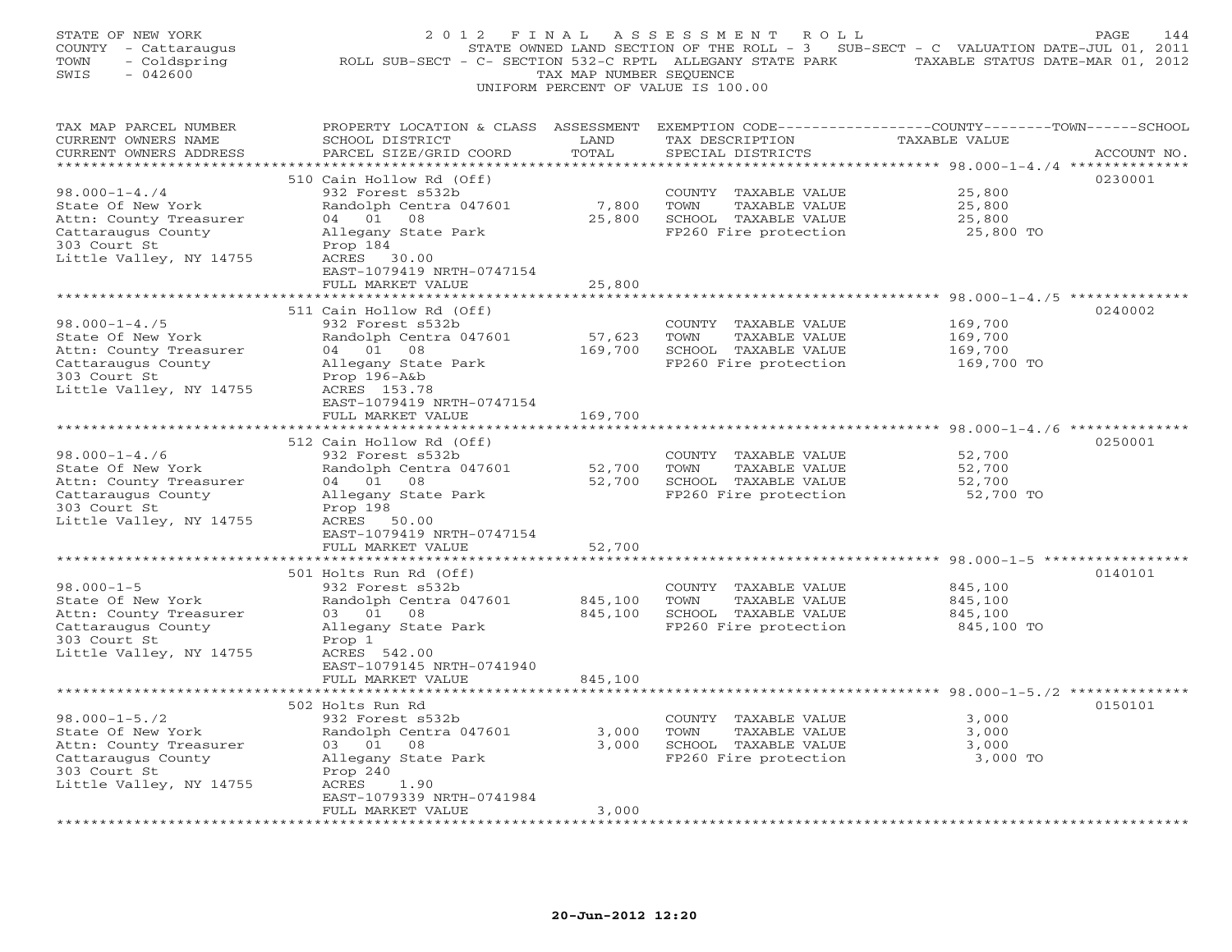| STATE OF NEW YORK<br>COUNTY - Cattaraugus<br>- Coldspring<br>TOWN<br>$-042600$<br>SWIS | 2 0 1 2<br>ROLL SUB-SECT - C- SECTION 532-C RPTL ALLEGANY STATE PARK                                               | FINAL<br>TAX MAP NUMBER SEQUENCE | ASSESSMENT<br>ROLL<br>STATE OWNED LAND SECTION OF THE ROLL - 3<br>UNIFORM PERCENT OF VALUE IS 100.00 | SUB-SECT - C VALUATION DATE-JUL 01, 2011<br>TAXABLE STATUS DATE-MAR 01, 2012 | PAGE<br>144 |
|----------------------------------------------------------------------------------------|--------------------------------------------------------------------------------------------------------------------|----------------------------------|------------------------------------------------------------------------------------------------------|------------------------------------------------------------------------------|-------------|
| TAX MAP PARCEL NUMBER<br>CURRENT OWNERS NAME                                           | PROPERTY LOCATION & CLASS ASSESSMENT EXEMPTION CODE---------------COUNTY-------TOWN------SCHOOL<br>SCHOOL DISTRICT | LAND                             | TAX DESCRIPTION                                                                                      | TAXABLE VALUE                                                                |             |
| CURRENT OWNERS ADDRESS                                                                 | PARCEL SIZE/GRID COORD                                                                                             | TOTAL                            | SPECIAL DISTRICTS                                                                                    |                                                                              | ACCOUNT NO. |
|                                                                                        | 510 Cain Hollow Rd (Off)                                                                                           | *********                        |                                                                                                      | *************************** 98.000-1-4./4 **************                     | 0230001     |
| $98.000 - 1 - 4.74$                                                                    | 932 Forest s532b                                                                                                   |                                  | COUNTY TAXABLE VALUE                                                                                 | 25,800                                                                       |             |
| State Of New York                                                                      | Randolph Centra 047601                                                                                             | 7,800                            | TOWN<br>TAXABLE VALUE                                                                                | 25,800                                                                       |             |
| Attn: County Treasurer                                                                 | 04 01<br>08                                                                                                        | 25,800                           | SCHOOL TAXABLE VALUE                                                                                 | 25,800                                                                       |             |
| Cattaraugus County                                                                     | Allegany State Park                                                                                                |                                  | FP260 Fire protection                                                                                | 25,800 TO                                                                    |             |
| 303 Court St                                                                           | Prop 184                                                                                                           |                                  |                                                                                                      |                                                                              |             |
| Little Valley, NY 14755                                                                | ACRES 30.00                                                                                                        |                                  |                                                                                                      |                                                                              |             |
|                                                                                        | EAST-1079419 NRTH-0747154                                                                                          |                                  |                                                                                                      |                                                                              |             |
|                                                                                        | FULL MARKET VALUE                                                                                                  | 25,800                           |                                                                                                      |                                                                              |             |
|                                                                                        |                                                                                                                    |                                  |                                                                                                      |                                                                              |             |
|                                                                                        | 511 Cain Hollow Rd (Off)                                                                                           |                                  |                                                                                                      |                                                                              | 0240002     |
| $98.000 - 1 - 4.75$                                                                    | 932 Forest s532b                                                                                                   |                                  | COUNTY TAXABLE VALUE                                                                                 | 169,700                                                                      |             |
| State Of New York                                                                      | Randolph Centra 047601                                                                                             | 57,623                           | TOWN<br>TAXABLE VALUE                                                                                | 169,700                                                                      |             |
| Attn: County Treasurer                                                                 | 04 01 08                                                                                                           | 169,700                          | SCHOOL TAXABLE VALUE                                                                                 | 169,700                                                                      |             |
| Cattaraugus County<br>303 Court St                                                     | Allegany State Park<br>Prop $196 - A\&b$                                                                           |                                  | FP260 Fire protection                                                                                | 169,700 TO                                                                   |             |
| Little Valley, NY 14755                                                                | ACRES 153.78                                                                                                       |                                  |                                                                                                      |                                                                              |             |
|                                                                                        | EAST-1079419 NRTH-0747154                                                                                          |                                  |                                                                                                      |                                                                              |             |
|                                                                                        | FULL MARKET VALUE                                                                                                  | 169,700                          |                                                                                                      |                                                                              |             |
| *********************                                                                  | ********************                                                                                               |                                  |                                                                                                      |                                                                              |             |
|                                                                                        | 512 Cain Hollow Rd (Off)                                                                                           |                                  |                                                                                                      |                                                                              | 0250001     |
| $98.000 - 1 - 4.76$                                                                    | 932 Forest s532b                                                                                                   |                                  | COUNTY TAXABLE VALUE                                                                                 | 52,700                                                                       |             |
| State Of New York                                                                      | Randolph Centra 047601                                                                                             | 52,700                           | TOWN<br>TAXABLE VALUE                                                                                | 52,700                                                                       |             |
| Attn: County Treasurer                                                                 | 04 01 08                                                                                                           | 52,700                           | SCHOOL TAXABLE VALUE                                                                                 | 52,700                                                                       |             |
| Cattaraugus County                                                                     | Allegany State Park                                                                                                |                                  | FP260 Fire protection                                                                                | 52,700 TO                                                                    |             |
| 303 Court St                                                                           | Prop 198                                                                                                           |                                  |                                                                                                      |                                                                              |             |
| Little Valley, NY 14755                                                                | ACRES 50.00                                                                                                        |                                  |                                                                                                      |                                                                              |             |
|                                                                                        | EAST-1079419 NRTH-0747154<br>FULL MARKET VALUE                                                                     | 52,700                           |                                                                                                      |                                                                              |             |
|                                                                                        |                                                                                                                    |                                  |                                                                                                      | ****** 98.000-1-5 ****                                                       |             |
|                                                                                        | 501 Holts Run Rd (Off)                                                                                             |                                  |                                                                                                      |                                                                              | 0140101     |
| $98.000 - 1 - 5$                                                                       | 932 Forest s532b                                                                                                   |                                  | COUNTY TAXABLE VALUE                                                                                 | 845,100                                                                      |             |
| State Of New York                                                                      | Randolph Centra 047601                                                                                             | 845,100                          | TOWN<br>TAXABLE VALUE                                                                                | 845,100                                                                      |             |
| Attn: County Treasurer                                                                 | 03 01<br>08                                                                                                        | 845,100                          | SCHOOL TAXABLE VALUE                                                                                 | 845,100                                                                      |             |
| Cattaraugus County                                                                     | Allegany State Park                                                                                                |                                  | FP260 Fire protection                                                                                | 845,100 TO                                                                   |             |
| 303 Court St                                                                           | Prop 1                                                                                                             |                                  |                                                                                                      |                                                                              |             |
| Little Valley, NY 14755                                                                | ACRES 542.00                                                                                                       |                                  |                                                                                                      |                                                                              |             |
|                                                                                        | EAST-1079145 NRTH-0741940                                                                                          |                                  |                                                                                                      |                                                                              |             |
|                                                                                        | FULL MARKET VALUE                                                                                                  | 845,100                          |                                                                                                      |                                                                              |             |
|                                                                                        | ************************                                                                                           |                                  |                                                                                                      |                                                                              |             |
|                                                                                        | 502 Holts Run Rd                                                                                                   |                                  |                                                                                                      |                                                                              | 0150101     |
| $98.000 - 1 - 5.72$                                                                    | 932 Forest s532b                                                                                                   | 3,000                            | COUNTY TAXABLE VALUE                                                                                 | 3,000                                                                        |             |
| State Of New York                                                                      | Randolph Centra 047601<br>03 01<br>08                                                                              | 3,000                            | TOWN<br>TAXABLE VALUE<br>SCHOOL TAXABLE VALUE                                                        | 3,000<br>3,000                                                               |             |
| Attn: County Treasurer<br>Cattaraugus County                                           | Allegany State Park                                                                                                |                                  | FP260 Fire protection                                                                                | 3,000 TO                                                                     |             |
| 303 Court St                                                                           | Prop 240                                                                                                           |                                  |                                                                                                      |                                                                              |             |
| Little Valley, NY 14755                                                                | ACRES<br>1.90                                                                                                      |                                  |                                                                                                      |                                                                              |             |
|                                                                                        | EAST-1079339 NRTH-0741984                                                                                          |                                  |                                                                                                      |                                                                              |             |
|                                                                                        | FULL MARKET VALUE                                                                                                  | 3,000                            |                                                                                                      |                                                                              |             |
|                                                                                        | .                                                                                                                  |                                  |                                                                                                      |                                                                              |             |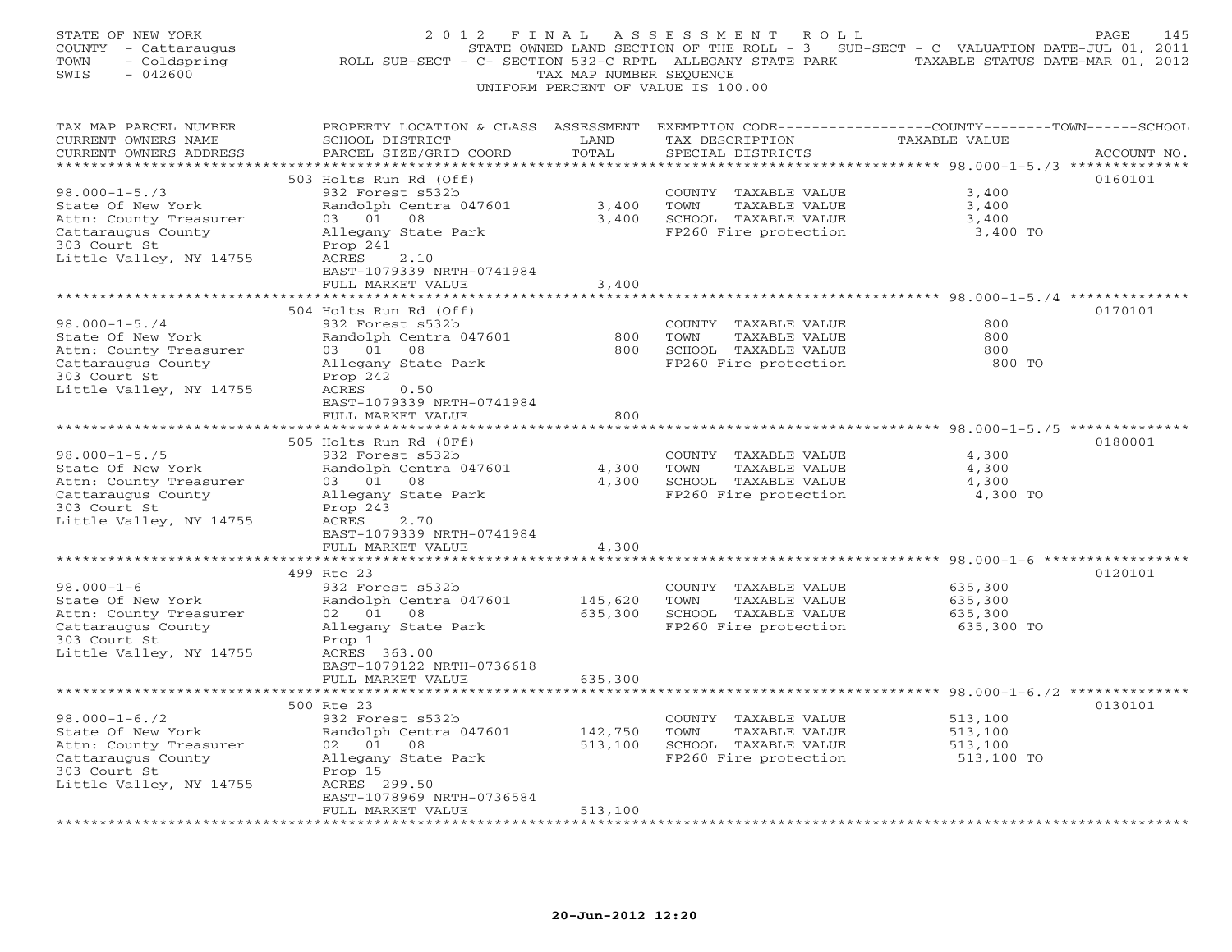| STATE OF NEW YORK<br>COUNTY - Cattaraugus<br>TOWN<br>- Coldspring<br>$-042600$<br>SWIS                                              | 2012 FINAL<br>ROLL SUB-SECT - C- SECTION 532-C RPTL ALLEGANY STATE PARK TAXABLE STATUS DATE-MAR 01, 2012                                                                   | TAX MAP NUMBER SEQUENCE | ASSESSMENT<br>R O L L<br>UNIFORM PERCENT OF VALUE IS 100.00                                    | STATE OWNED LAND SECTION OF THE ROLL - 3 SUB-SECT - C VALUATION DATE-JUL 01, 2011 | PAGE<br>145 |
|-------------------------------------------------------------------------------------------------------------------------------------|----------------------------------------------------------------------------------------------------------------------------------------------------------------------------|-------------------------|------------------------------------------------------------------------------------------------|-----------------------------------------------------------------------------------|-------------|
| TAX MAP PARCEL NUMBER<br>CURRENT OWNERS NAME<br>CURRENT OWNERS ADDRESS<br>**********************                                    | PROPERTY LOCATION & CLASS ASSESSMENT EXEMPTION CODE---------------COUNTY-------TOWN------SCHOOL<br>SCHOOL DISTRICT<br>PARCEL SIZE/GRID COORD<br>************************** | LAND<br>TOTAL           | TAX DESCRIPTION<br>SPECIAL DISTRICTS                                                           | TAXABLE VALUE                                                                     | ACCOUNT NO. |
| $98.000 - 1 - 5.73$<br>State Of New York<br>Attn: County Treasurer<br>Cattaraugus County<br>303 Court St<br>Little Valley, NY 14755 | 503 Holts Run Rd (Off)<br>932 Forest s532b<br>Randolph Centra 047601<br>03 01<br>08<br>Allegany State Park<br>Prop 241<br>ACRES<br>2.10<br>EAST-1079339 NRTH-0741984       | 3,400<br>3,400          | COUNTY TAXABLE VALUE<br>TOWN<br>TAXABLE VALUE<br>SCHOOL TAXABLE VALUE<br>FP260 Fire protection | 3,400<br>3,400<br>3,400<br>3,400 TO                                               | 0160101     |
|                                                                                                                                     | FULL MARKET VALUE                                                                                                                                                          | 3,400                   |                                                                                                |                                                                                   |             |
| $98.000 - 1 - 5.74$<br>State Of New York<br>Attn: County Treasurer<br>Cattaraugus County<br>303 Court St<br>Little Valley, NY 14755 | 504 Holts Run Rd (Off)<br>932 Forest s532b<br>Randolph Centra 047601<br>03 01 08<br>Allegany State Park<br>Prop 242<br>ACRES<br>0.50                                       | 800<br>800              | COUNTY TAXABLE VALUE<br>TOWN<br>TAXABLE VALUE<br>SCHOOL TAXABLE VALUE<br>FP260 Fire protection | 800<br>800<br>800<br>800 TO                                                       | 0170101     |
|                                                                                                                                     | EAST-1079339 NRTH-0741984                                                                                                                                                  |                         |                                                                                                |                                                                                   |             |
|                                                                                                                                     | FULL MARKET VALUE<br>*******************                                                                                                                                   | 800                     |                                                                                                |                                                                                   |             |
| $98.000 - 1 - 5.75$<br>State Of New York<br>Attn: County Treasurer<br>Cattaraugus County<br>303 Court St                            | 505 Holts Run Rd (OFf)<br>932 Forest s532b<br>Randolph Centra 047601<br>03 01 08<br>Allegany State Park<br>Prop 243                                                        | 4,300<br>4,300          | COUNTY TAXABLE VALUE<br>TOWN<br>TAXABLE VALUE<br>SCHOOL TAXABLE VALUE<br>FP260 Fire protection | 4,300<br>4,300<br>4,300<br>4,300 TO                                               | 0180001     |
| Little Valley, NY 14755                                                                                                             | ACRES<br>2.70<br>EAST-1079339 NRTH-0741984<br>FULL MARKET VALUE<br>* * * * * * * * *                                                                                       | 4,300<br>* * * * * *    |                                                                                                | ********************** 98.000-1-6 *********                                       |             |
|                                                                                                                                     | 499 Rte 23                                                                                                                                                                 |                         |                                                                                                |                                                                                   | 0120101     |
| $98.000 - 1 - 6$<br>State Of New York<br>Attn: County Treasurer<br>Cattaraugus County<br>303 Court St<br>Little Valley, NY 14755    | 932 Forest s532b<br>Randolph Centra 047601<br>02 01 08<br>Allegany State Park<br>Prop 1<br>ACRES 363.00<br>EAST-1079122 NRTH-0736618                                       | 145,620<br>635,300      | COUNTY TAXABLE VALUE<br>TOWN<br>TAXABLE VALUE<br>SCHOOL TAXABLE VALUE<br>FP260 Fire protection | 635,300<br>635,300<br>635,300<br>635,300 TO                                       |             |
|                                                                                                                                     | FULL MARKET VALUE                                                                                                                                                          | 635,300                 |                                                                                                |                                                                                   |             |
|                                                                                                                                     | ****************************                                                                                                                                               |                         |                                                                                                |                                                                                   |             |
| $98.000 - 1 - 6.72$<br>State Of New York<br>Attn: County Treasurer<br>Cattaraugus County<br>303 Court St<br>Little Valley, NY 14755 | 500 Rte 23<br>932 Forest s532b<br>Randolph Centra 047601<br>02 01 08<br>Allegany State Park<br>Prop 15<br>ACRES 299.50                                                     | 142,750<br>513,100      | COUNTY TAXABLE VALUE<br>TOWN<br>TAXABLE VALUE<br>SCHOOL TAXABLE VALUE<br>FP260 Fire protection | 513,100<br>513,100<br>513,100<br>513,100 TO                                       | 0130101     |
|                                                                                                                                     | EAST-1078969 NRTH-0736584<br>FULL MARKET VALUE                                                                                                                             | 513,100                 |                                                                                                |                                                                                   |             |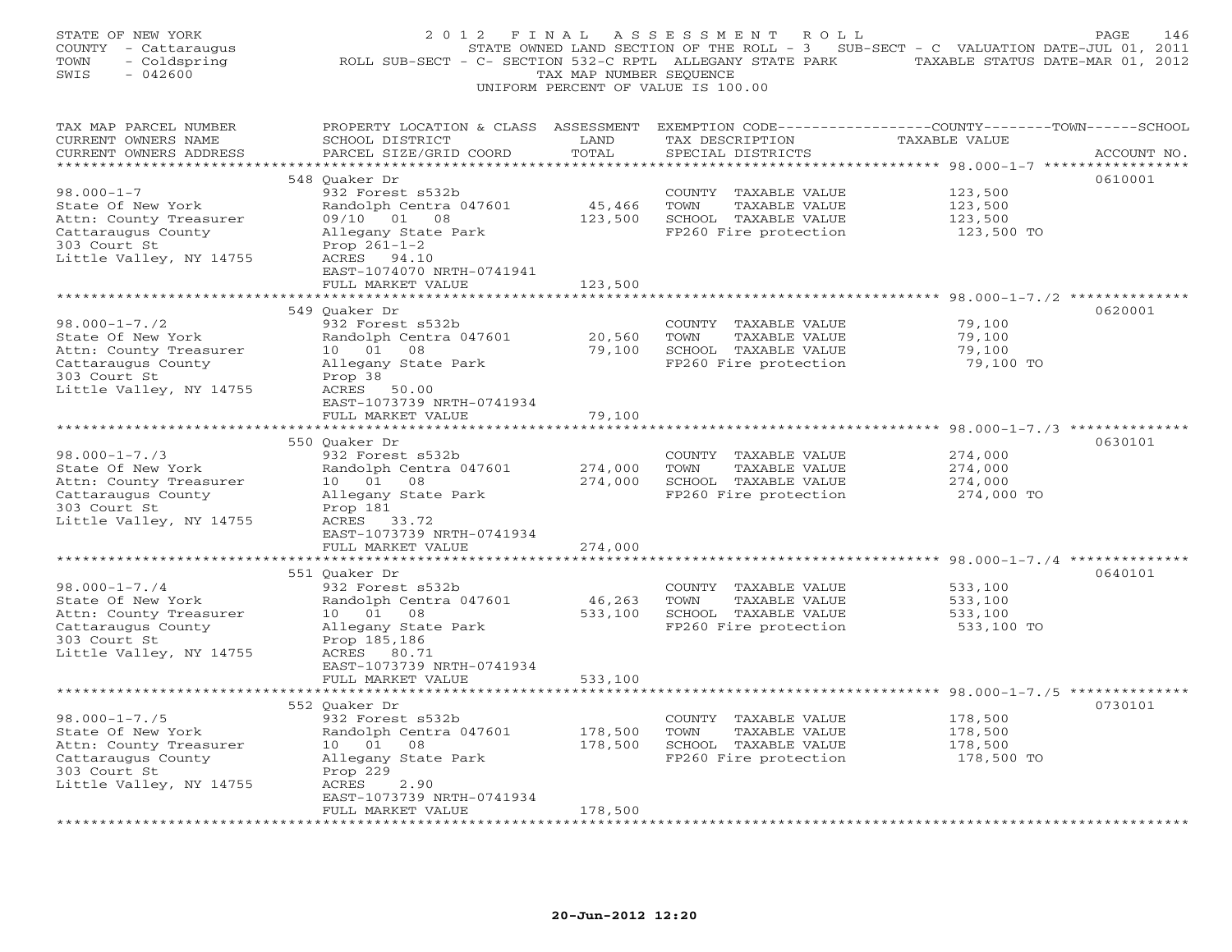| STATE OF NEW YORK<br>COUNTY - Cattaraugus<br>- Coldspring<br>TOWN<br>SWIS<br>$-042600$                                              | 2012 FINAL<br>ROLL SUB-SECT - C- SECTION 532-C RPTL ALLEGANY STATE PARK                                                                                                                  | TAX MAP NUMBER SEQUENCE       | A S S E S S M E N T<br>ROLL<br>STATE OWNED LAND SECTION OF THE ROLL - 3 SUB-SECT - C VALUATION DATE-JUL 01, 2011<br>UNIFORM PERCENT OF VALUE IS 100.00 | TAXABLE STATUS DATE-MAR 01, 2012                                   | PAGE<br>146 |
|-------------------------------------------------------------------------------------------------------------------------------------|------------------------------------------------------------------------------------------------------------------------------------------------------------------------------------------|-------------------------------|--------------------------------------------------------------------------------------------------------------------------------------------------------|--------------------------------------------------------------------|-------------|
| TAX MAP PARCEL NUMBER<br>CURRENT OWNERS NAME<br>CURRENT OWNERS ADDRESS<br>***********************                                   | PROPERTY LOCATION & CLASS ASSESSMENT EXEMPTION CODE----------------COUNTY-------TOWN------SCHOOL<br>SCHOOL DISTRICT<br>PARCEL SIZE/GRID COORD<br>*****************************           | LAND<br>TOTAL                 | TAX DESCRIPTION<br>SPECIAL DISTRICTS                                                                                                                   | TAXABLE VALUE                                                      | ACCOUNT NO. |
| $98.000 - 1 - 7$<br>State Of New York<br>Attn: County Treasurer<br>Cattaraugus County<br>303 Court St<br>Little Valley, NY 14755    | 548 Quaker Dr<br>932 Forest s532b<br>Randolph Centra 047601<br>09/10 01 08<br>Allegany State Park<br>Prop $261 - 1 - 2$<br>ACRES 94.10<br>EAST-1074070 NRTH-0741941<br>FULL MARKET VALUE | 45,466<br>123,500<br>123,500  | COUNTY TAXABLE VALUE<br>TOWN<br>TAXABLE VALUE<br>SCHOOL TAXABLE VALUE<br>FP260 Fire protection                                                         | 123,500<br>123,500<br>123,500<br>123,500 TO                        | 0610001     |
|                                                                                                                                     |                                                                                                                                                                                          |                               |                                                                                                                                                        | ***** 98.000-1-7./2 ***********                                    |             |
| $98.000 - 1 - 7.72$<br>State Of New York<br>Attn: County Treasurer<br>Cattaraugus County<br>303 Court St<br>Little Valley, NY 14755 | 549 Ouaker Dr<br>932 Forest s532b<br>Randolph Centra 047601<br>10  01  08<br>Allegany State Park<br>Prop 38<br>ACRES 50.00                                                               | 20,560<br>79,100              | COUNTY TAXABLE VALUE<br>TOWN<br>TAXABLE VALUE<br>SCHOOL TAXABLE VALUE<br>FP260 Fire protection                                                         | 79,100<br>79,100<br>79,100<br>79,100 TO                            | 0620001     |
|                                                                                                                                     | EAST-1073739 NRTH-0741934<br>FULL MARKET VALUE                                                                                                                                           | 79,100                        |                                                                                                                                                        |                                                                    |             |
| *********************                                                                                                               |                                                                                                                                                                                          |                               |                                                                                                                                                        |                                                                    |             |
| $98.000 - 1 - 7.73$<br>State Of New York<br>Attn: County Treasurer<br>Cattaraugus County<br>303 Court St<br>Little Valley, NY 14755 | 550 Quaker Dr<br>932 Forest s532b<br>Randolph Centra 047601<br>10  01  08<br>Allegany State Park<br>Prop 181<br>ACRES 33.72<br>EAST-1073739 NRTH-0741934                                 | 274,000<br>274,000            | COUNTY TAXABLE VALUE<br>TOWN<br>TAXABLE VALUE<br>SCHOOL TAXABLE VALUE<br>FP260 Fire protection                                                         | 274,000<br>274,000<br>274,000<br>274,000 TO                        | 0630101     |
|                                                                                                                                     | FULL MARKET VALUE                                                                                                                                                                        | 274,000                       |                                                                                                                                                        |                                                                    |             |
| $98.000 - 1 - 7.74$                                                                                                                 | * * * * * * * * * * * * * *<br>551 Quaker Dr                                                                                                                                             | * * * * * * * * * * * * * * * |                                                                                                                                                        | ************************************ 98.000-1-7./4 *************** | 0640101     |
| State Of New York<br>Attn: County Treasurer<br>Cattaraugus County<br>303 Court St<br>Little Valley, NY 14755                        | 932 Forest s532b<br>Randolph Centra 047601<br>10 01<br>08<br>Allegany State Park<br>Prop 185,186<br>ACRES 80.71<br>EAST-1073739 NRTH-0741934                                             | 46,263<br>533,100             | COUNTY TAXABLE VALUE<br>TOWN<br>TAXABLE VALUE<br>SCHOOL TAXABLE VALUE<br>FP260 Fire protection                                                         | 533,100<br>533,100<br>533,100<br>533,100 TO                        |             |
|                                                                                                                                     | FULL MARKET VALUE                                                                                                                                                                        | 533,100                       |                                                                                                                                                        |                                                                    |             |
| $98.000 - 1 - 7.75$<br>State Of New York<br>Attn: County Treasurer                                                                  | 552 Ouaker Dr<br>932 Forest s532b<br>Randolph Centra 047601<br>10 01<br>08                                                                                                               | 178,500<br>178,500            | COUNTY TAXABLE VALUE<br>TOWN<br>TAXABLE VALUE<br>SCHOOL TAXABLE VALUE                                                                                  | 178,500<br>178,500<br>178,500                                      | 0730101     |
| Cattaraugus County<br>303 Court St<br>Little Valley, NY 14755                                                                       | Allegany State Park<br>Prop 229<br>ACRES<br>2.90<br>EAST-1073739 NRTH-0741934                                                                                                            |                               | FP260 Fire protection                                                                                                                                  | 178,500 TO                                                         |             |
|                                                                                                                                     | FULL MARKET VALUE                                                                                                                                                                        | 178,500                       |                                                                                                                                                        |                                                                    |             |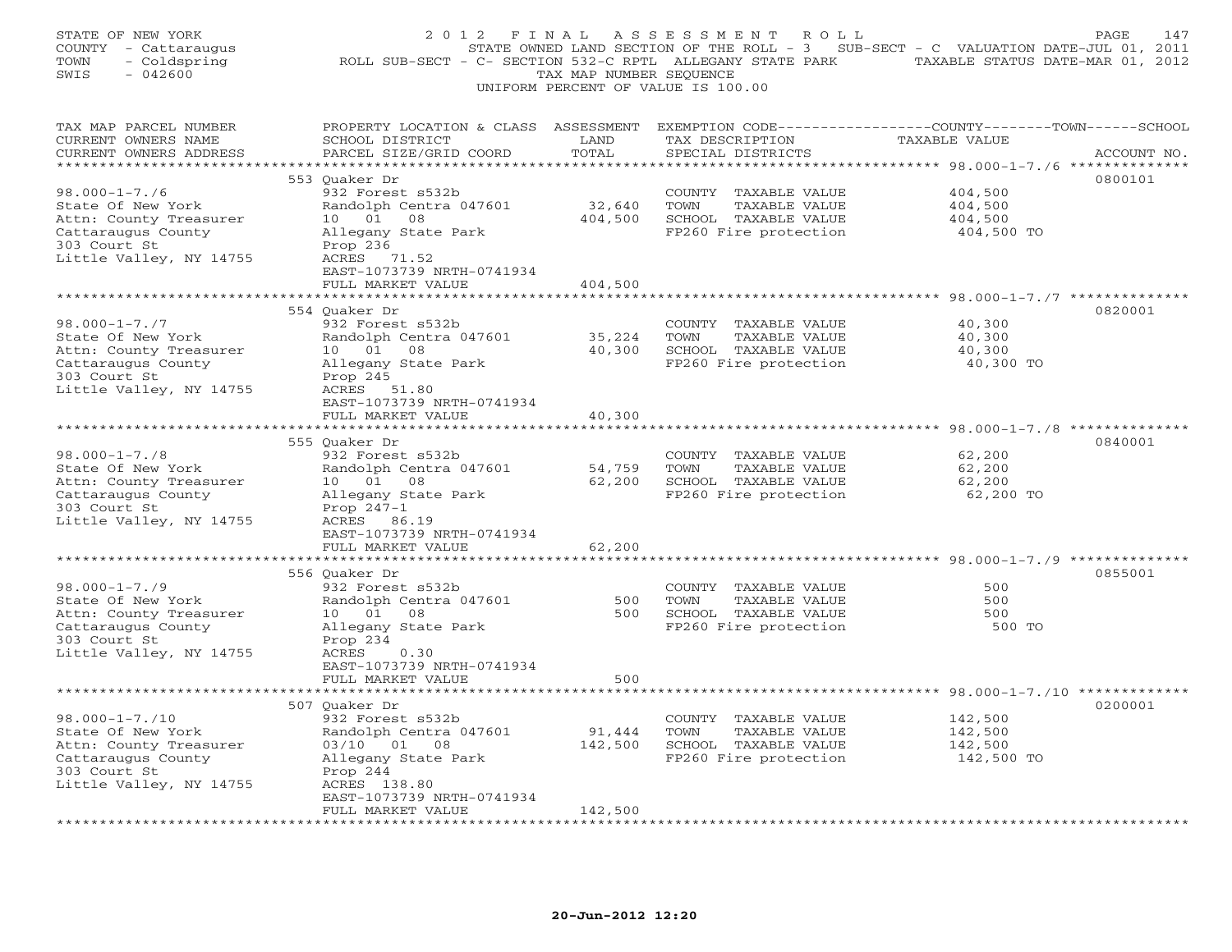| STATE OF NEW YORK<br>COUNTY - Cattaraugus<br>TOWN<br>- Coldspring<br>$-042600$<br>SWIS | 2012 FINAL                                                                                                                                   | TAX MAP NUMBER SEQUENCE | ASSESSMENT ROLL<br>STATE OWNED LAND SECTION OF THE ROLL - 3 SUB-SECT - C VALUATION DATE-JUL 01, 2011<br>ROLL SUB-SECT - C- SECTION 532-C RPTL ALLEGANY STATE PARK TAXABLE STATUS DATE-MAR 01, 2012<br>UNIFORM PERCENT OF VALUE IS 100.00 |                    | PAGE<br>147 |
|----------------------------------------------------------------------------------------|----------------------------------------------------------------------------------------------------------------------------------------------|-------------------------|------------------------------------------------------------------------------------------------------------------------------------------------------------------------------------------------------------------------------------------|--------------------|-------------|
| TAX MAP PARCEL NUMBER<br>CURRENT OWNERS NAME<br>CURRENT OWNERS ADDRESS                 | PROPERTY LOCATION & CLASS ASSESSMENT EXEMPTION CODE---------------COUNTY-------TOWN------SCHOOL<br>SCHOOL DISTRICT<br>PARCEL SIZE/GRID COORD | LAND<br>TOTAL           | TAX DESCRIPTION<br>SPECIAL DISTRICTS                                                                                                                                                                                                     | TAXABLE VALUE      | ACCOUNT NO. |
|                                                                                        |                                                                                                                                              |                         |                                                                                                                                                                                                                                          |                    |             |
| $98.000 - 1 - 7.76$                                                                    | 553 Quaker Dr                                                                                                                                |                         |                                                                                                                                                                                                                                          |                    | 0800101     |
| State Of New York                                                                      | 932 Forest s532b<br>Randolph Centra 047601                                                                                                   | 32,640                  | COUNTY TAXABLE VALUE<br>TOWN<br>TAXABLE VALUE                                                                                                                                                                                            | 404,500<br>404,500 |             |
| Attn: County Treasurer                                                                 | 10 01<br>08                                                                                                                                  | 404,500                 | SCHOOL TAXABLE VALUE                                                                                                                                                                                                                     | 404,500            |             |
| Cattaraugus County                                                                     | Allegany State Park                                                                                                                          |                         | FP260 Fire protection                                                                                                                                                                                                                    | 404,500 TO         |             |
| 303 Court St                                                                           | Prop 236                                                                                                                                     |                         |                                                                                                                                                                                                                                          |                    |             |
| Little Valley, NY 14755                                                                | ACRES 71.52                                                                                                                                  |                         |                                                                                                                                                                                                                                          |                    |             |
|                                                                                        | EAST-1073739 NRTH-0741934                                                                                                                    |                         |                                                                                                                                                                                                                                          |                    |             |
|                                                                                        | FULL MARKET VALUE                                                                                                                            | 404,500                 |                                                                                                                                                                                                                                          |                    |             |
|                                                                                        | 554 Ouaker Dr                                                                                                                                |                         |                                                                                                                                                                                                                                          |                    | 0820001     |
| $98.000 - 1 - 7.77$                                                                    | 932 Forest s532b                                                                                                                             |                         | COUNTY TAXABLE VALUE                                                                                                                                                                                                                     | 40,300             |             |
| State Of New York                                                                      | Randolph Centra 047601                                                                                                                       | 35,224                  | TOWN<br>TAXABLE VALUE                                                                                                                                                                                                                    | 40,300             |             |
| Attn: County Treasurer                                                                 | 10  01  08                                                                                                                                   | 40,300                  | SCHOOL TAXABLE VALUE                                                                                                                                                                                                                     | 40,300             |             |
| Cattaraugus County                                                                     | Allegany State Park                                                                                                                          |                         | FP260 Fire protection                                                                                                                                                                                                                    | 40,300 TO          |             |
| 303 Court St                                                                           | Prop 245                                                                                                                                     |                         |                                                                                                                                                                                                                                          |                    |             |
| Little Valley, NY 14755                                                                | ACRES 51.80                                                                                                                                  |                         |                                                                                                                                                                                                                                          |                    |             |
|                                                                                        | EAST-1073739 NRTH-0741934<br>FULL MARKET VALUE                                                                                               | 40,300                  |                                                                                                                                                                                                                                          |                    |             |
| **********************                                                                 |                                                                                                                                              |                         |                                                                                                                                                                                                                                          |                    |             |
|                                                                                        | 555 Ouaker Dr                                                                                                                                |                         |                                                                                                                                                                                                                                          |                    | 0840001     |
| $98.000 - 1 - 7.78$                                                                    | 932 Forest s532b                                                                                                                             |                         | COUNTY TAXABLE VALUE                                                                                                                                                                                                                     | 62,200             |             |
| State Of New York                                                                      | Randolph Centra 047601                                                                                                                       | 54,759                  | TOWN<br>TAXABLE VALUE                                                                                                                                                                                                                    | 62,200             |             |
| Attn: County Treasurer                                                                 | 10 01<br>08                                                                                                                                  | 62,200                  | SCHOOL TAXABLE VALUE                                                                                                                                                                                                                     | 62,200             |             |
| Cattaraugus County                                                                     | Allegany State Park                                                                                                                          |                         | FP260 Fire protection                                                                                                                                                                                                                    | 62,200 TO          |             |
| 303 Court St<br>Little Valley, NY 14755                                                | Prop $247-1$<br>ACRES 86.19                                                                                                                  |                         |                                                                                                                                                                                                                                          |                    |             |
|                                                                                        | EAST-1073739 NRTH-0741934                                                                                                                    |                         |                                                                                                                                                                                                                                          |                    |             |
|                                                                                        | FULL MARKET VALUE                                                                                                                            | 62,200                  |                                                                                                                                                                                                                                          |                    |             |
|                                                                                        | **********************                                                                                                                       |                         |                                                                                                                                                                                                                                          |                    |             |
|                                                                                        | 556 Ouaker Dr                                                                                                                                |                         |                                                                                                                                                                                                                                          |                    | 0855001     |
| $98.000 - 1 - 7.79$                                                                    | 932 Forest s532b                                                                                                                             |                         | COUNTY TAXABLE VALUE                                                                                                                                                                                                                     | 500                |             |
| State Of New York                                                                      | Randolph Centra 047601                                                                                                                       | 500                     | TOWN<br>TAXABLE VALUE                                                                                                                                                                                                                    | 500                |             |
| Attn: County Treasurer<br>Cattaraugus County                                           | 08<br>10 01<br>Allegany State Park                                                                                                           | 500                     | SCHOOL TAXABLE VALUE<br>FP260 Fire protection                                                                                                                                                                                            | 500<br>500 TO      |             |
| 303 Court St                                                                           | Prop 234                                                                                                                                     |                         |                                                                                                                                                                                                                                          |                    |             |
| Little Valley, NY 14755                                                                | ACRES<br>0.30                                                                                                                                |                         |                                                                                                                                                                                                                                          |                    |             |
|                                                                                        | EAST-1073739 NRTH-0741934                                                                                                                    |                         |                                                                                                                                                                                                                                          |                    |             |
|                                                                                        | FULL MARKET VALUE                                                                                                                            | 500                     |                                                                                                                                                                                                                                          |                    |             |
|                                                                                        |                                                                                                                                              |                         |                                                                                                                                                                                                                                          |                    |             |
|                                                                                        | 507 Quaker Dr                                                                                                                                |                         |                                                                                                                                                                                                                                          |                    | 0200001     |
| $98.000 - 1 - 7.710$                                                                   | 932 Forest s532b                                                                                                                             |                         | COUNTY TAXABLE VALUE                                                                                                                                                                                                                     | 142,500            |             |
| State Of New York<br>Attn: County Treasurer                                            | Randolph Centra 047601<br>03/10 01 08                                                                                                        | 91,444<br>142,500       | TOWN<br>TAXABLE VALUE<br>SCHOOL TAXABLE VALUE                                                                                                                                                                                            | 142,500<br>142,500 |             |
| Cattaraugus County                                                                     | Allegany State Park                                                                                                                          |                         | FP260 Fire protection                                                                                                                                                                                                                    | 142,500 TO         |             |
| 303 Court St                                                                           | Prop 244                                                                                                                                     |                         |                                                                                                                                                                                                                                          |                    |             |
| Little Valley, NY 14755                                                                | ACRES 138.80                                                                                                                                 |                         |                                                                                                                                                                                                                                          |                    |             |
|                                                                                        | EAST-1073739 NRTH-0741934                                                                                                                    |                         |                                                                                                                                                                                                                                          |                    |             |
|                                                                                        | FULL MARKET VALUE                                                                                                                            | 142,500                 |                                                                                                                                                                                                                                          |                    |             |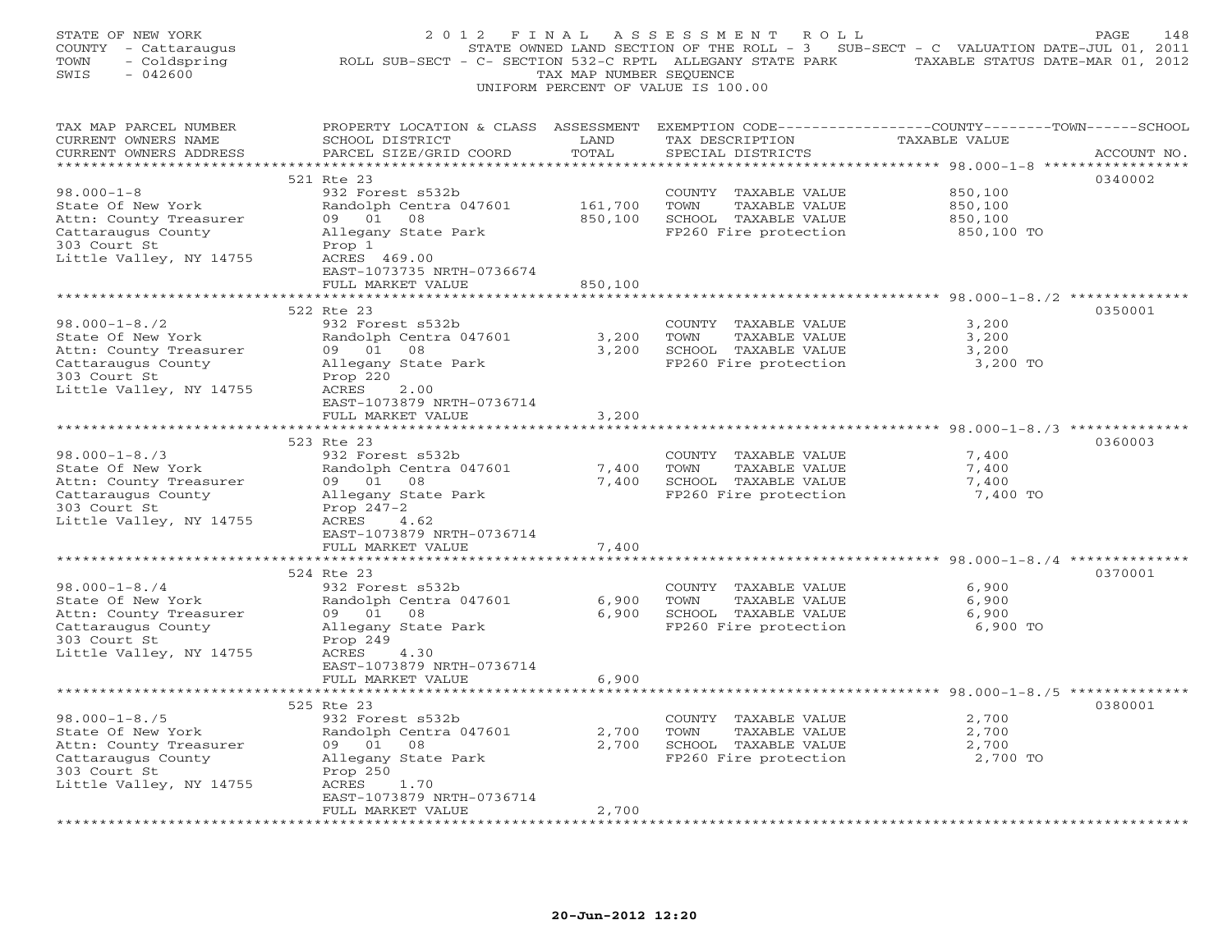| STATE OF NEW YORK<br>COUNTY - Cattaraugus<br>TOWN<br>- Coldspring<br>$-042600$<br>SWIS | ROLL SUB-SECT - C- SECTION 532-C RPTL ALLEGANY STATE PARK TAXABLE STATUS DATE-MAR 01, 2012                                                   | TAX MAP NUMBER SEQUENCE | 2012 FINAL ASSESSMENT ROLL<br>STATE OWNED LAND SECTION OF THE ROLL - 3 SUB-SECT - C VALUATION DATE-JUL 01, 2011<br>UNIFORM PERCENT OF VALUE IS 100.00 |               | PAGE<br>148 |
|----------------------------------------------------------------------------------------|----------------------------------------------------------------------------------------------------------------------------------------------|-------------------------|-------------------------------------------------------------------------------------------------------------------------------------------------------|---------------|-------------|
| TAX MAP PARCEL NUMBER<br>CURRENT OWNERS NAME<br>CURRENT OWNERS ADDRESS                 | PROPERTY LOCATION & CLASS ASSESSMENT EXEMPTION CODE---------------COUNTY-------TOWN------SCHOOL<br>SCHOOL DISTRICT<br>PARCEL SIZE/GRID COORD | LAND<br>TOTAL           | TAX DESCRIPTION<br>SPECIAL DISTRICTS                                                                                                                  | TAXABLE VALUE | ACCOUNT NO. |
|                                                                                        |                                                                                                                                              |                         |                                                                                                                                                       |               |             |
| $98.000 - 1 - 8$                                                                       | 521 Rte 23<br>932 Forest s532b                                                                                                               |                         |                                                                                                                                                       | 850,100       | 0340002     |
| State Of New York                                                                      | Randolph Centra 047601                                                                                                                       | 161,700                 | COUNTY TAXABLE VALUE<br>TOWN<br>TAXABLE VALUE                                                                                                         | 850,100       |             |
| Attn: County Treasurer                                                                 | 09 01<br>08                                                                                                                                  | 850,100                 | SCHOOL TAXABLE VALUE                                                                                                                                  | 850,100       |             |
| Cattaraugus County                                                                     | Allegany State Park                                                                                                                          |                         | FP260 Fire protection                                                                                                                                 | 850,100 TO    |             |
| 303 Court St                                                                           | Prop 1                                                                                                                                       |                         |                                                                                                                                                       |               |             |
| Little Valley, NY 14755                                                                | ACRES 469.00                                                                                                                                 |                         |                                                                                                                                                       |               |             |
|                                                                                        | EAST-1073735 NRTH-0736674                                                                                                                    |                         |                                                                                                                                                       |               |             |
|                                                                                        | FULL MARKET VALUE                                                                                                                            | 850,100                 |                                                                                                                                                       |               |             |
|                                                                                        | 522 Rte 23                                                                                                                                   |                         |                                                                                                                                                       |               | 0350001     |
| $98.000 - 1 - 8.72$                                                                    | 932 Forest s532b                                                                                                                             |                         | COUNTY TAXABLE VALUE                                                                                                                                  | 3,200         |             |
| State Of New York                                                                      | Randolph Centra 047601                                                                                                                       | 3,200                   | TOWN<br>TAXABLE VALUE                                                                                                                                 | 3,200         |             |
| Attn: County Treasurer                                                                 | 09 01 08                                                                                                                                     | 3,200                   | SCHOOL TAXABLE VALUE                                                                                                                                  | 3,200         |             |
| Cattaraugus County                                                                     | Allegany State Park                                                                                                                          |                         | FP260 Fire protection                                                                                                                                 | 3,200 TO      |             |
| 303 Court St                                                                           | Prop 220                                                                                                                                     |                         |                                                                                                                                                       |               |             |
| Little Valley, NY 14755                                                                | ACRES<br>2.00                                                                                                                                |                         |                                                                                                                                                       |               |             |
|                                                                                        | EAST-1073879 NRTH-0736714                                                                                                                    |                         |                                                                                                                                                       |               |             |
|                                                                                        | FULL MARKET VALUE                                                                                                                            | 3,200                   |                                                                                                                                                       |               |             |
|                                                                                        | 523 Rte 23                                                                                                                                   |                         |                                                                                                                                                       |               | 0360003     |
| $98.000 - 1 - 8.73$                                                                    | 932 Forest s532b                                                                                                                             |                         | COUNTY TAXABLE VALUE                                                                                                                                  | 7,400         |             |
| State Of New York                                                                      | Randolph Centra 047601                                                                                                                       | 7,400                   | TOWN<br>TAXABLE VALUE                                                                                                                                 | 7,400         |             |
| Attn: County Treasurer                                                                 | 09 01<br>08                                                                                                                                  | 7,400                   | SCHOOL TAXABLE VALUE                                                                                                                                  | 7,400         |             |
| Cattaraugus County                                                                     | Allegany State Park                                                                                                                          |                         | FP260 Fire protection                                                                                                                                 | 7,400 TO      |             |
| 303 Court St                                                                           | Prop $247-2$                                                                                                                                 |                         |                                                                                                                                                       |               |             |
| Little Valley, NY 14755                                                                | ACRES<br>4.62                                                                                                                                |                         |                                                                                                                                                       |               |             |
|                                                                                        | EAST-1073879 NRTH-0736714<br>FULL MARKET VALUE                                                                                               | 7,400                   |                                                                                                                                                       |               |             |
|                                                                                        |                                                                                                                                              |                         |                                                                                                                                                       |               |             |
|                                                                                        | 524 Rte 23                                                                                                                                   |                         |                                                                                                                                                       |               | 0370001     |
| $98.000 - 1 - 8.74$                                                                    | 932 Forest s532b                                                                                                                             |                         | COUNTY TAXABLE VALUE                                                                                                                                  | 6,900         |             |
| State Of New York                                                                      | Randolph Centra 047601                                                                                                                       | 6,900                   | TOWN<br>TAXABLE VALUE                                                                                                                                 | 6,900         |             |
| Attn: County Treasurer                                                                 | 09 01<br>08                                                                                                                                  | 6,900                   | SCHOOL TAXABLE VALUE                                                                                                                                  | 6,900         |             |
| Cattaraugus County                                                                     | Allegany State Park                                                                                                                          |                         | FP260 Fire protection                                                                                                                                 | 6,900 TO      |             |
| 303 Court St                                                                           | Prop 249                                                                                                                                     |                         |                                                                                                                                                       |               |             |
| Little Valley, NY 14755                                                                | ACRES<br>4.30                                                                                                                                |                         |                                                                                                                                                       |               |             |
|                                                                                        | EAST-1073879 NRTH-0736714<br>FULL MARKET VALUE                                                                                               |                         |                                                                                                                                                       |               |             |
|                                                                                        |                                                                                                                                              | 6,900                   |                                                                                                                                                       |               |             |
|                                                                                        | 525 Rte 23                                                                                                                                   |                         |                                                                                                                                                       |               | 0380001     |
| $98.000 - 1 - 8.75$                                                                    | 932 Forest s532b                                                                                                                             |                         | COUNTY TAXABLE VALUE                                                                                                                                  | 2,700         |             |
| State Of New York                                                                      | Randolph Centra 047601                                                                                                                       | 2,700                   | TOWN<br>TAXABLE VALUE                                                                                                                                 | 2,700         |             |
| Attn: County Treasurer                                                                 | 09 01<br>08                                                                                                                                  | 2,700                   | SCHOOL TAXABLE VALUE                                                                                                                                  | 2,700         |             |
| Cattaraugus County                                                                     | Allegany State Park                                                                                                                          |                         | FP260 Fire protection                                                                                                                                 | 2,700 TO      |             |
| 303 Court St                                                                           | Prop 250                                                                                                                                     |                         |                                                                                                                                                       |               |             |
| Little Valley, NY 14755                                                                | ACRES<br>1.70                                                                                                                                |                         |                                                                                                                                                       |               |             |
|                                                                                        | EAST-1073879 NRTH-0736714<br>FULL MARKET VALUE                                                                                               | 2,700                   |                                                                                                                                                       |               |             |
|                                                                                        |                                                                                                                                              |                         |                                                                                                                                                       |               |             |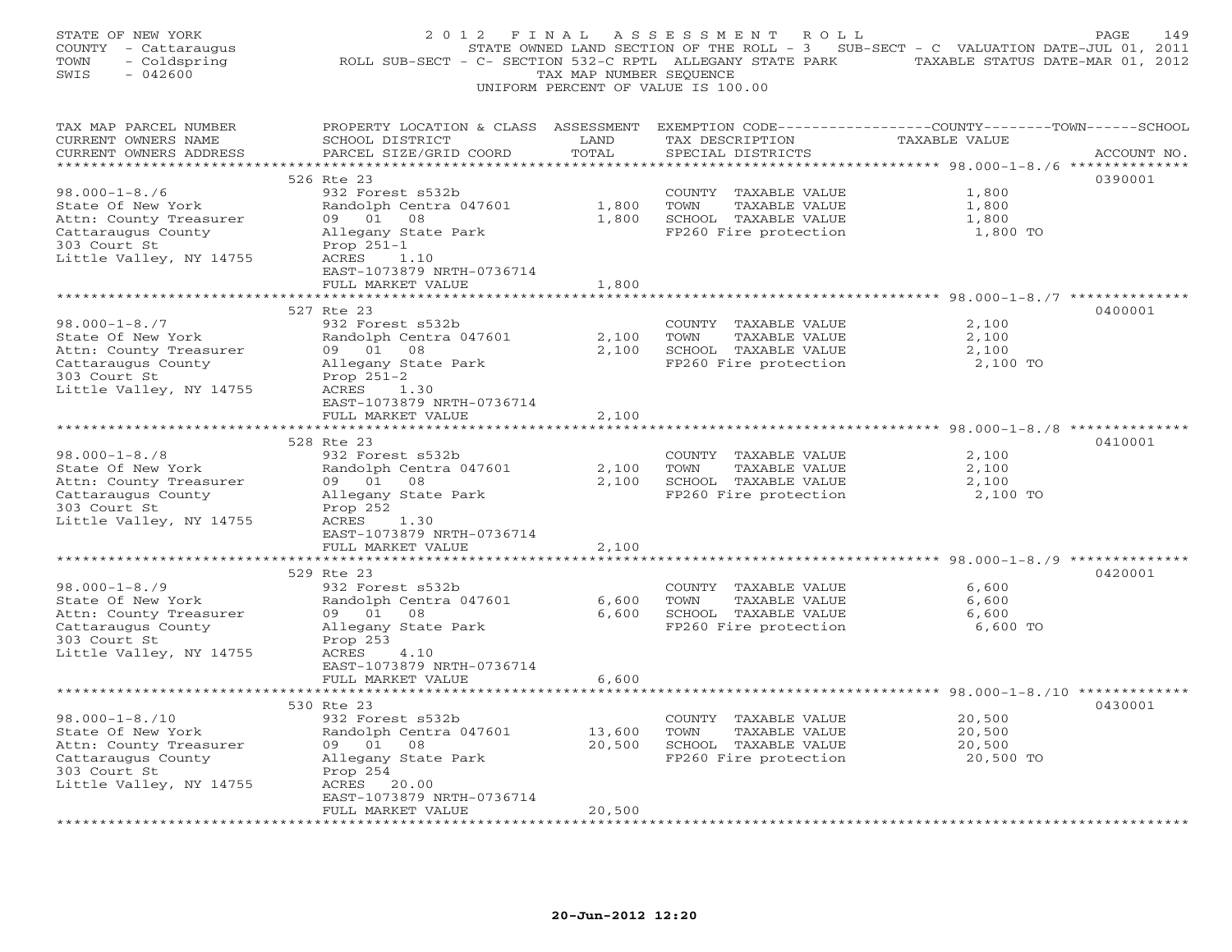| STATE OF NEW YORK<br>COUNTY - Cattaraugus<br>- Coldspring<br>TOWN<br>$-042600$<br>SWIS | 2012 FINAL                                                                                                                                   | TAX MAP NUMBER SEQUENCE         | ASSESSMENT ROLL<br>STATE OWNED LAND SECTION OF THE ROLL - 3 SUB-SECT - C VALUATION DATE-JUL 01, 2011<br>ROLL SUB-SECT - C- SECTION 532-C RPTL ALLEGANY STATE PARK TAXABLE STATUS DATE-MAR 01, 2012<br>UNIFORM PERCENT OF VALUE IS 100.00 |                                                                   | PAGE<br>149 |
|----------------------------------------------------------------------------------------|----------------------------------------------------------------------------------------------------------------------------------------------|---------------------------------|------------------------------------------------------------------------------------------------------------------------------------------------------------------------------------------------------------------------------------------|-------------------------------------------------------------------|-------------|
| TAX MAP PARCEL NUMBER<br>CURRENT OWNERS NAME<br>CURRENT OWNERS ADDRESS                 | PROPERTY LOCATION & CLASS ASSESSMENT EXEMPTION CODE---------------COUNTY-------TOWN------SCHOOL<br>SCHOOL DISTRICT<br>PARCEL SIZE/GRID COORD | LAND<br>TOTAL                   | TAX DESCRIPTION<br>SPECIAL DISTRICTS                                                                                                                                                                                                     | TAXABLE VALUE                                                     | ACCOUNT NO. |
|                                                                                        |                                                                                                                                              |                                 |                                                                                                                                                                                                                                          |                                                                   |             |
|                                                                                        | 526 Rte 23                                                                                                                                   |                                 |                                                                                                                                                                                                                                          |                                                                   | 0390001     |
| $98.000 - 1 - 8.76$<br>State Of New York                                               | 932 Forest s532b<br>Randolph Centra 047601                                                                                                   | 1,800                           | COUNTY TAXABLE VALUE<br>TOWN<br>TAXABLE VALUE                                                                                                                                                                                            | 1,800<br>1,800                                                    |             |
| Attn: County Treasurer                                                                 | 09 01 08                                                                                                                                     | 1,800                           | SCHOOL TAXABLE VALUE                                                                                                                                                                                                                     | 1,800                                                             |             |
| Cattaraugus County                                                                     | Allegany State Park                                                                                                                          |                                 | FP260 Fire protection                                                                                                                                                                                                                    | 1,800 TO                                                          |             |
| 303 Court St                                                                           | Prop 251-1                                                                                                                                   |                                 |                                                                                                                                                                                                                                          |                                                                   |             |
| Little Valley, NY 14755                                                                | ACRES<br>1.10                                                                                                                                |                                 |                                                                                                                                                                                                                                          |                                                                   |             |
|                                                                                        | EAST-1073879 NRTH-0736714                                                                                                                    |                                 |                                                                                                                                                                                                                                          |                                                                   |             |
|                                                                                        | FULL MARKET VALUE                                                                                                                            | 1,800                           |                                                                                                                                                                                                                                          |                                                                   |             |
|                                                                                        |                                                                                                                                              |                                 |                                                                                                                                                                                                                                          | ************************************ 98.000-1-8./7 ************** |             |
|                                                                                        | 527 Rte 23                                                                                                                                   |                                 |                                                                                                                                                                                                                                          |                                                                   | 0400001     |
| $98.000 - 1 - 8.77$                                                                    | 932 Forest s532b                                                                                                                             |                                 | COUNTY TAXABLE VALUE                                                                                                                                                                                                                     | 2,100                                                             |             |
| State Of New York                                                                      | Randolph Centra 047601<br>09 01 08                                                                                                           | 2,100                           | TOWN<br>TAXABLE VALUE                                                                                                                                                                                                                    | 2,100                                                             |             |
| Attn: County Treasurer<br>Cattaraugus County                                           | Allegany State Park                                                                                                                          | 2,100                           | SCHOOL TAXABLE VALUE<br>FP260 Fire protection                                                                                                                                                                                            | 2,100<br>2,100 TO                                                 |             |
| 303 Court St                                                                           | Prop $251-2$                                                                                                                                 |                                 |                                                                                                                                                                                                                                          |                                                                   |             |
| Little Valley, NY 14755                                                                | ACRES<br>1.30                                                                                                                                |                                 |                                                                                                                                                                                                                                          |                                                                   |             |
|                                                                                        | EAST-1073879 NRTH-0736714                                                                                                                    |                                 |                                                                                                                                                                                                                                          |                                                                   |             |
|                                                                                        | FULL MARKET VALUE                                                                                                                            | 2,100                           |                                                                                                                                                                                                                                          |                                                                   |             |
|                                                                                        |                                                                                                                                              |                                 |                                                                                                                                                                                                                                          |                                                                   |             |
|                                                                                        | 528 Rte 23                                                                                                                                   |                                 |                                                                                                                                                                                                                                          |                                                                   | 0410001     |
| $98.000 - 1 - 8.78$                                                                    | 932 Forest s532b                                                                                                                             |                                 | COUNTY TAXABLE VALUE                                                                                                                                                                                                                     | 2,100                                                             |             |
| State Of New York                                                                      | Randolph Centra 047601<br>09 01<br>08                                                                                                        | 2,100                           | TOWN<br>TAXABLE VALUE                                                                                                                                                                                                                    | 2,100<br>2,100                                                    |             |
| Attn: County Treasurer<br>Cattaraugus County                                           | Allegany State Park                                                                                                                          | 2,100                           | SCHOOL TAXABLE VALUE<br>FP260 Fire protection                                                                                                                                                                                            | 2,100 TO                                                          |             |
| 303 Court St                                                                           | Prop 252                                                                                                                                     |                                 |                                                                                                                                                                                                                                          |                                                                   |             |
| Little Valley, NY 14755                                                                | ACRES<br>1.30                                                                                                                                |                                 |                                                                                                                                                                                                                                          |                                                                   |             |
|                                                                                        | EAST-1073879 NRTH-0736714                                                                                                                    |                                 |                                                                                                                                                                                                                                          |                                                                   |             |
|                                                                                        | FULL MARKET VALUE                                                                                                                            | 2,100                           |                                                                                                                                                                                                                                          |                                                                   |             |
|                                                                                        | **********************                                                                                                                       | * * * * * * * * * * * * * * * * |                                                                                                                                                                                                                                          | ********************************* 98.000-1-8./9 ***************   |             |
|                                                                                        | 529 Rte 23                                                                                                                                   |                                 |                                                                                                                                                                                                                                          |                                                                   | 0420001     |
| $98.000 - 1 - 8.79$                                                                    | 932 Forest s532b                                                                                                                             |                                 | COUNTY TAXABLE VALUE                                                                                                                                                                                                                     | 6,600                                                             |             |
| State Of New York<br>Attn: County Treasurer                                            | Randolph Centra 047601<br>09 01<br>08                                                                                                        | 6,600<br>6,600                  | TOWN<br>TAXABLE VALUE<br>SCHOOL TAXABLE VALUE                                                                                                                                                                                            | 6,600<br>6,600                                                    |             |
| Cattaraugus County                                                                     | Allegany State Park                                                                                                                          |                                 | FP260 Fire protection                                                                                                                                                                                                                    | 6,600 TO                                                          |             |
| 303 Court St                                                                           | Prop 253                                                                                                                                     |                                 |                                                                                                                                                                                                                                          |                                                                   |             |
| Little Valley, NY 14755                                                                | ACRES<br>4.10                                                                                                                                |                                 |                                                                                                                                                                                                                                          |                                                                   |             |
|                                                                                        | EAST-1073879 NRTH-0736714                                                                                                                    |                                 |                                                                                                                                                                                                                                          |                                                                   |             |
|                                                                                        | FULL MARKET VALUE                                                                                                                            | 6,600                           |                                                                                                                                                                                                                                          |                                                                   |             |
|                                                                                        | ***************************                                                                                                                  |                                 |                                                                                                                                                                                                                                          |                                                                   |             |
|                                                                                        | 530 Rte 23                                                                                                                                   |                                 |                                                                                                                                                                                                                                          |                                                                   | 0430001     |
| $98.000 - 1 - 8.710$                                                                   | 932 Forest s532b                                                                                                                             |                                 | COUNTY TAXABLE VALUE                                                                                                                                                                                                                     | 20,500                                                            |             |
| State Of New York                                                                      | Randolph Centra 047601                                                                                                                       | 13,600                          | TOWN<br>TAXABLE VALUE                                                                                                                                                                                                                    | 20,500                                                            |             |
| Attn: County Treasurer                                                                 | 09 01<br>08                                                                                                                                  | 20,500                          | SCHOOL TAXABLE VALUE                                                                                                                                                                                                                     | 20,500                                                            |             |
| Cattaraugus County<br>303 Court St                                                     | Allegany State Park<br>Prop 254                                                                                                              |                                 | FP260 Fire protection                                                                                                                                                                                                                    | 20,500 TO                                                         |             |
| Little Valley, NY 14755                                                                | ACRES<br>20.00                                                                                                                               |                                 |                                                                                                                                                                                                                                          |                                                                   |             |
|                                                                                        | EAST-1073879 NRTH-0736714                                                                                                                    |                                 |                                                                                                                                                                                                                                          |                                                                   |             |
|                                                                                        | FULL MARKET VALUE                                                                                                                            | 20,500                          |                                                                                                                                                                                                                                          |                                                                   |             |
|                                                                                        | .                                                                                                                                            |                                 |                                                                                                                                                                                                                                          |                                                                   |             |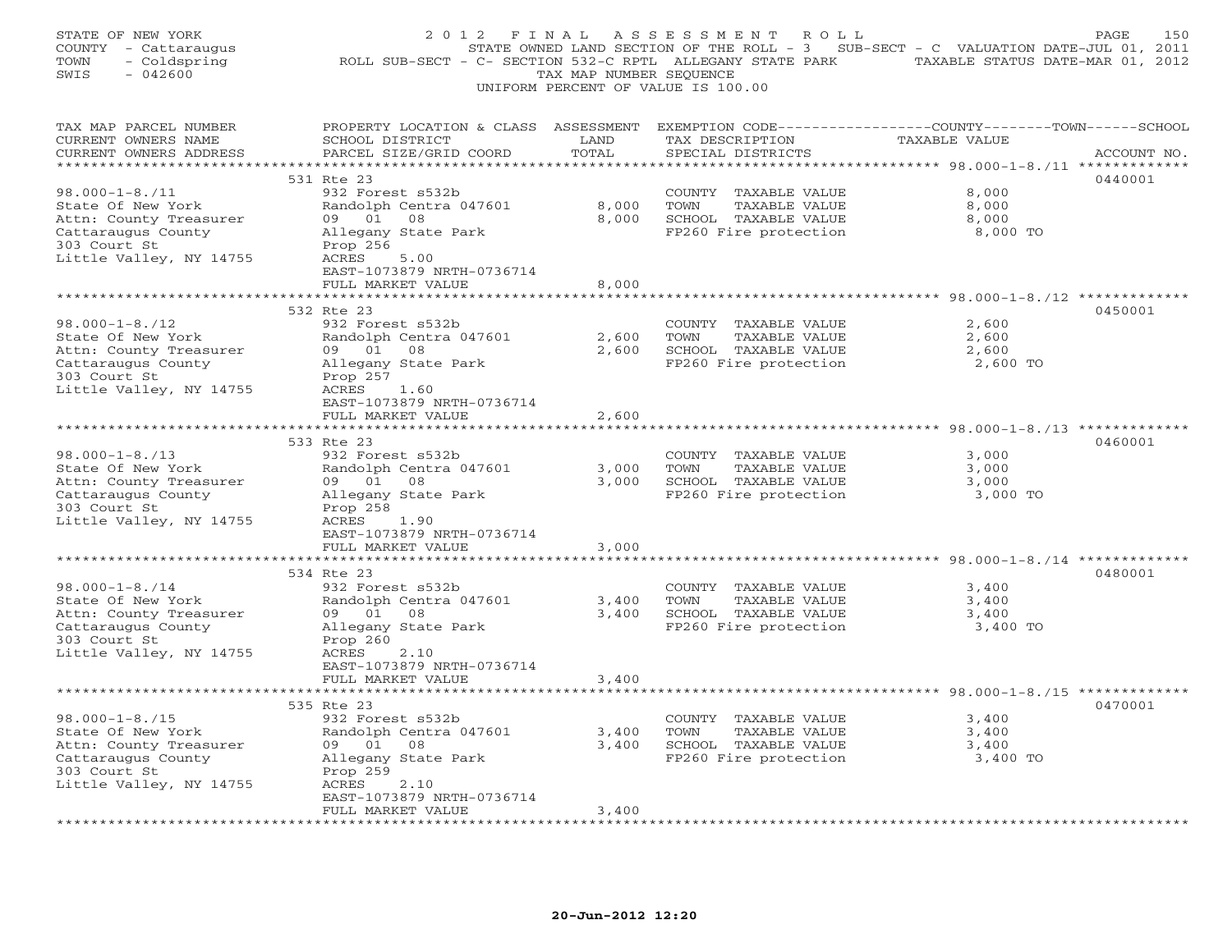| STATE OF NEW YORK<br>COUNTY - Cattaraugus<br>- Coldspring<br>TOWN<br>$-042600$<br>SWIS | 2012 FINAL                                                                                                                                   | TAX MAP NUMBER SEQUENCE         | ASSESSMENT ROLL<br>STATE OWNED LAND SECTION OF THE ROLL - 3 SUB-SECT - C VALUATION DATE-JUL 01, 2011<br>ROLL SUB-SECT - C- SECTION 532-C RPTL ALLEGANY STATE PARK TAXABLE STATUS DATE-MAR 01, 2012<br>UNIFORM PERCENT OF VALUE IS 100.00 |                                                                    | PAGE<br>150 |
|----------------------------------------------------------------------------------------|----------------------------------------------------------------------------------------------------------------------------------------------|---------------------------------|------------------------------------------------------------------------------------------------------------------------------------------------------------------------------------------------------------------------------------------|--------------------------------------------------------------------|-------------|
| TAX MAP PARCEL NUMBER<br>CURRENT OWNERS NAME<br>CURRENT OWNERS ADDRESS                 | PROPERTY LOCATION & CLASS ASSESSMENT EXEMPTION CODE---------------COUNTY-------TOWN------SCHOOL<br>SCHOOL DISTRICT<br>PARCEL SIZE/GRID COORD | LAND<br>TOTAL                   | TAX DESCRIPTION<br>SPECIAL DISTRICTS                                                                                                                                                                                                     | TAXABLE VALUE                                                      | ACCOUNT NO. |
|                                                                                        |                                                                                                                                              |                                 |                                                                                                                                                                                                                                          |                                                                    |             |
|                                                                                        | 531 Rte 23                                                                                                                                   |                                 |                                                                                                                                                                                                                                          |                                                                    | 0440001     |
| $98.000 - 1 - 8.711$<br>State Of New York                                              | 932 Forest s532b<br>Randolph Centra 047601                                                                                                   | 8,000                           | COUNTY TAXABLE VALUE<br>TOWN<br>TAXABLE VALUE                                                                                                                                                                                            | 8,000<br>8,000                                                     |             |
| Attn: County Treasurer                                                                 | 09 01<br>08                                                                                                                                  | 8,000                           | SCHOOL TAXABLE VALUE                                                                                                                                                                                                                     | 8,000                                                              |             |
| Cattaraugus County                                                                     | Allegany State Park                                                                                                                          |                                 | FP260 Fire protection                                                                                                                                                                                                                    | 8,000 TO                                                           |             |
| 303 Court St                                                                           | Prop 256                                                                                                                                     |                                 |                                                                                                                                                                                                                                          |                                                                    |             |
| Little Valley, NY 14755                                                                | ACRES<br>5.00                                                                                                                                |                                 |                                                                                                                                                                                                                                          |                                                                    |             |
|                                                                                        | EAST-1073879 NRTH-0736714                                                                                                                    |                                 |                                                                                                                                                                                                                                          |                                                                    |             |
|                                                                                        | FULL MARKET VALUE                                                                                                                            | 8,000                           |                                                                                                                                                                                                                                          |                                                                    |             |
|                                                                                        |                                                                                                                                              |                                 |                                                                                                                                                                                                                                          | ************************************ 98.000-1-8./12 ************** |             |
|                                                                                        | 532 Rte 23                                                                                                                                   |                                 |                                                                                                                                                                                                                                          |                                                                    | 0450001     |
| $98.000 - 1 - 8.712$                                                                   | 932 Forest s532b                                                                                                                             |                                 | COUNTY TAXABLE VALUE                                                                                                                                                                                                                     | 2,600                                                              |             |
| State Of New York<br>Attn: County Treasurer                                            | Randolph Centra 047601<br>09 01 08                                                                                                           | 2,600<br>2,600                  | TOWN<br>TAXABLE VALUE<br>SCHOOL TAXABLE VALUE                                                                                                                                                                                            | 2,600<br>2,600                                                     |             |
| Cattaraugus County                                                                     | Allegany State Park                                                                                                                          |                                 | FP260 Fire protection                                                                                                                                                                                                                    | 2,600 TO                                                           |             |
| 303 Court St                                                                           | Prop 257                                                                                                                                     |                                 |                                                                                                                                                                                                                                          |                                                                    |             |
| Little Valley, NY 14755                                                                | ACRES<br>1.60                                                                                                                                |                                 |                                                                                                                                                                                                                                          |                                                                    |             |
|                                                                                        | EAST-1073879 NRTH-0736714                                                                                                                    |                                 |                                                                                                                                                                                                                                          |                                                                    |             |
|                                                                                        | FULL MARKET VALUE                                                                                                                            | 2,600                           |                                                                                                                                                                                                                                          |                                                                    |             |
|                                                                                        |                                                                                                                                              |                                 |                                                                                                                                                                                                                                          |                                                                    |             |
|                                                                                        | 533 Rte 23                                                                                                                                   |                                 |                                                                                                                                                                                                                                          |                                                                    | 0460001     |
| $98.000 - 1 - 8.713$                                                                   | 932 Forest s532b                                                                                                                             |                                 | COUNTY TAXABLE VALUE                                                                                                                                                                                                                     | 3,000                                                              |             |
| State Of New York<br>Attn: County Treasurer                                            | Randolph Centra 047601<br>09 01<br>08                                                                                                        | 3,000<br>3,000                  | TOWN<br>TAXABLE VALUE<br>SCHOOL TAXABLE VALUE                                                                                                                                                                                            | 3,000<br>3,000                                                     |             |
| Cattaraugus County                                                                     | Allegany State Park                                                                                                                          |                                 | FP260 Fire protection                                                                                                                                                                                                                    | 3,000 TO                                                           |             |
| 303 Court St                                                                           | Prop 258                                                                                                                                     |                                 |                                                                                                                                                                                                                                          |                                                                    |             |
| Little Valley, NY 14755                                                                | ACRES<br>1.90                                                                                                                                |                                 |                                                                                                                                                                                                                                          |                                                                    |             |
|                                                                                        | EAST-1073879 NRTH-0736714                                                                                                                    |                                 |                                                                                                                                                                                                                                          |                                                                    |             |
|                                                                                        | FULL MARKET VALUE                                                                                                                            | 3,000                           |                                                                                                                                                                                                                                          |                                                                    |             |
|                                                                                        | **********************                                                                                                                       | * * * * * * * * * * * * * * * * |                                                                                                                                                                                                                                          | ************************************ 98.000-1-8./14 ************** |             |
|                                                                                        | 534 Rte 23                                                                                                                                   |                                 |                                                                                                                                                                                                                                          |                                                                    | 0480001     |
| $98.000 - 1 - 8.714$                                                                   | 932 Forest s532b                                                                                                                             |                                 | COUNTY TAXABLE VALUE                                                                                                                                                                                                                     | 3,400                                                              |             |
| State Of New York                                                                      | Randolph Centra 047601                                                                                                                       | 3,400                           | TOWN<br>TAXABLE VALUE                                                                                                                                                                                                                    | 3,400                                                              |             |
| Attn: County Treasurer<br>Cattaraugus County                                           | 09 01<br>08<br>Allegany State Park                                                                                                           | 3,400                           | SCHOOL TAXABLE VALUE<br>FP260 Fire protection                                                                                                                                                                                            | 3,400<br>3,400 TO                                                  |             |
| 303 Court St                                                                           | Prop 260                                                                                                                                     |                                 |                                                                                                                                                                                                                                          |                                                                    |             |
| Little Valley, NY 14755                                                                | ACRES<br>2.10                                                                                                                                |                                 |                                                                                                                                                                                                                                          |                                                                    |             |
|                                                                                        | EAST-1073879 NRTH-0736714                                                                                                                    |                                 |                                                                                                                                                                                                                                          |                                                                    |             |
|                                                                                        | FULL MARKET VALUE                                                                                                                            | 3,400                           |                                                                                                                                                                                                                                          |                                                                    |             |
|                                                                                        | ***************************                                                                                                                  |                                 |                                                                                                                                                                                                                                          |                                                                    |             |
|                                                                                        | 535 Rte 23                                                                                                                                   |                                 |                                                                                                                                                                                                                                          |                                                                    | 0470001     |
| $98.000 - 1 - 8.715$                                                                   | 932 Forest s532b                                                                                                                             |                                 | COUNTY TAXABLE VALUE                                                                                                                                                                                                                     | 3,400                                                              |             |
| State Of New York                                                                      | Randolph Centra 047601                                                                                                                       | 3,400                           | TOWN<br>TAXABLE VALUE                                                                                                                                                                                                                    | 3,400                                                              |             |
| Attn: County Treasurer                                                                 | 09 01<br>08                                                                                                                                  | 3,400                           | SCHOOL TAXABLE VALUE                                                                                                                                                                                                                     | 3,400                                                              |             |
| Cattaraugus County                                                                     | Allegany State Park                                                                                                                          |                                 | FP260 Fire protection                                                                                                                                                                                                                    | 3,400 TO                                                           |             |
| 303 Court St<br>Little Valley, NY 14755                                                | Prop 259<br>ACRES<br>2.10                                                                                                                    |                                 |                                                                                                                                                                                                                                          |                                                                    |             |
|                                                                                        | EAST-1073879 NRTH-0736714                                                                                                                    |                                 |                                                                                                                                                                                                                                          |                                                                    |             |
|                                                                                        | FULL MARKET VALUE                                                                                                                            | 3,400                           |                                                                                                                                                                                                                                          |                                                                    |             |
|                                                                                        | .                                                                                                                                            |                                 |                                                                                                                                                                                                                                          |                                                                    |             |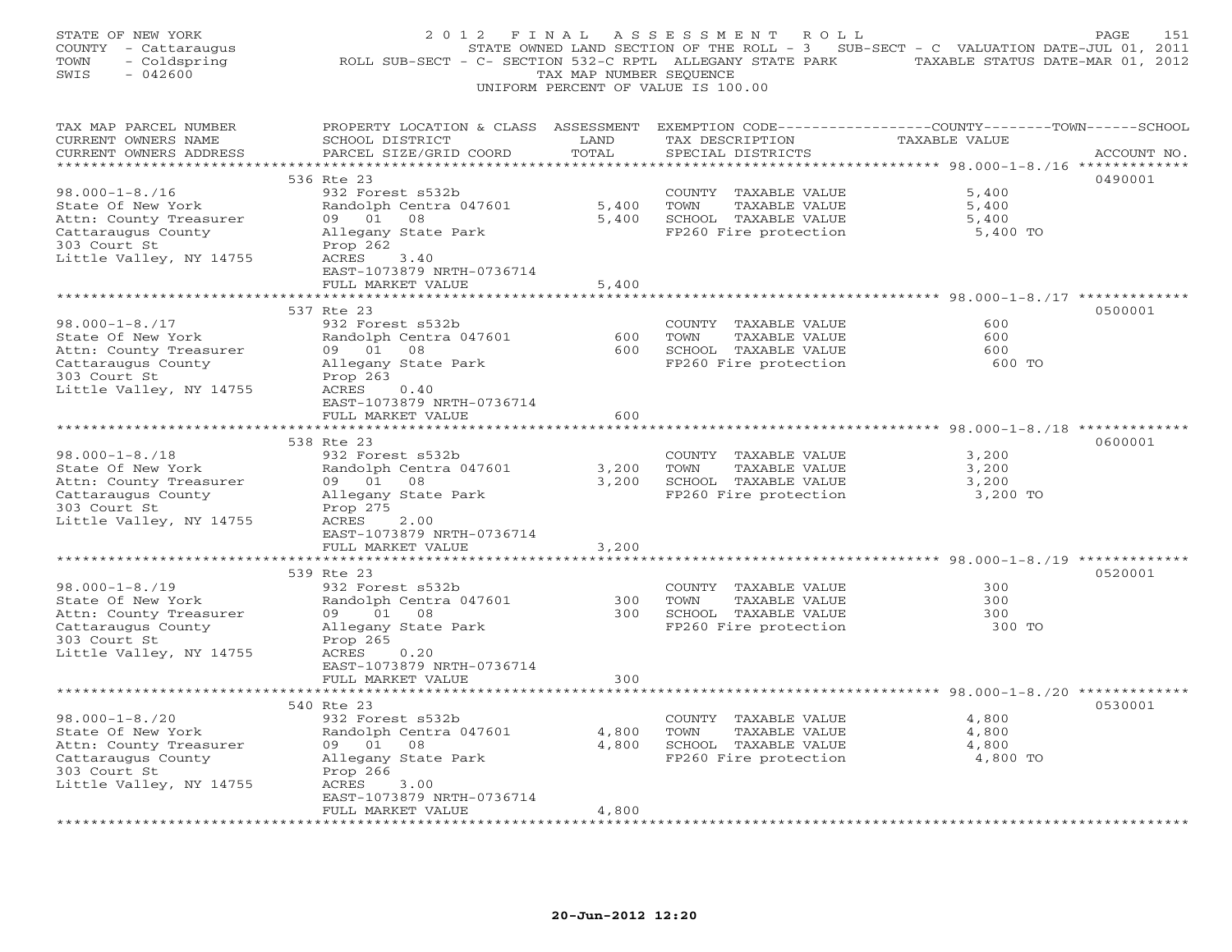| STATE OF NEW YORK<br>COUNTY - Cattaraugus<br>- Coldspring<br>TOWN<br>$-042600$<br>SWIS                                               | 2 0 1 2<br>F I N A L<br>ROLL SUB-SECT - C- SECTION 532-C RPTL ALLEGANY STATE PARK TAXABLE STATUS DATE-MAR 01, 2012                                              | TAX MAP NUMBER SEQUENCE | A S S E S S M E N T A O L L<br>STATE OWNED LAND SECTION OF THE ROLL - 3 SUB-SECT - C VALUATION DATE-JUL 01, 2011<br>UNIFORM PERCENT OF VALUE IS 100.00 |                                                                                               | PAGE<br>151 |
|--------------------------------------------------------------------------------------------------------------------------------------|-----------------------------------------------------------------------------------------------------------------------------------------------------------------|-------------------------|--------------------------------------------------------------------------------------------------------------------------------------------------------|-----------------------------------------------------------------------------------------------|-------------|
| TAX MAP PARCEL NUMBER<br>CURRENT OWNERS NAME<br>CURRENT OWNERS ADDRESS                                                               | PROPERTY LOCATION & CLASS ASSESSMENT EXEMPTION CODE---------------COUNTY-------TOWN------SCHOOL<br>SCHOOL DISTRICT<br>PARCEL SIZE/GRID COORD                    | LAND<br>TOTAL           | TAX DESCRIPTION<br>SPECIAL DISTRICTS                                                                                                                   | <b>TAXABLE VALUE</b>                                                                          | ACCOUNT NO. |
|                                                                                                                                      | 536 Rte 23                                                                                                                                                      |                         |                                                                                                                                                        |                                                                                               | 0490001     |
| $98.000 - 1 - 8.716$<br>State Of New York<br>Attn: County Treasurer<br>Cattaraugus County<br>303 Court St<br>Little Valley, NY 14755 | 932 Forest s532b<br>Randolph Centra 047601<br>09 01 08<br>Allegany State Park<br>Prop 262<br>ACRES<br>3.40<br>EAST-1073879 NRTH-0736714                         | 5,400<br>5,400          | COUNTY TAXABLE VALUE<br>TOWN<br>TAXABLE VALUE<br>SCHOOL TAXABLE VALUE<br>FP260 Fire protection                                                         | 5,400<br>5,400<br>5,400<br>5,400 TO                                                           |             |
|                                                                                                                                      | FULL MARKET VALUE                                                                                                                                               | 5,400                   |                                                                                                                                                        |                                                                                               |             |
| $98.000 - 1 - 8.717$<br>State Of New York<br>Attn: County Treasurer<br>Cattaraugus County<br>303 Court St<br>Little Valley, NY 14755 | **************************<br>537 Rte 23<br>932 Forest s532b<br>Randolph Centra 047601<br>09 01 08<br>Allegany State Park<br>Prop 263<br>ACRES<br>0.40          | 600<br>600              | COUNTY TAXABLE VALUE<br>TOWN<br>TAXABLE VALUE<br>SCHOOL TAXABLE VALUE<br>FP260 Fire protection                                                         | ********************************* 98.000-1-8./17 *************<br>600<br>600<br>600<br>600 TO | 0500001     |
|                                                                                                                                      | EAST-1073879 NRTH-0736714                                                                                                                                       |                         |                                                                                                                                                        |                                                                                               |             |
|                                                                                                                                      | FULL MARKET VALUE                                                                                                                                               | 600                     |                                                                                                                                                        |                                                                                               |             |
| $98.000 - 1 - 8.718$<br>State Of New York<br>Attn: County Treasurer<br>Cattaraugus County<br>303 Court St<br>Little Valley, NY 14755 | 538 Rte 23<br>932 Forest s532b<br>Randolph Centra 047601<br>09 01 08<br>Allegany State Park<br>Prop 275<br>ACRES<br>2.00                                        | 3,200<br>3,200          | COUNTY TAXABLE VALUE<br>TOWN<br>TAXABLE VALUE<br>SCHOOL TAXABLE VALUE<br>FP260 Fire protection                                                         | 3,200<br>3,200<br>3,200<br>3,200 TO                                                           | 0600001     |
|                                                                                                                                      | EAST-1073879 NRTH-0736714<br>FULL MARKET VALUE                                                                                                                  | 3,200                   |                                                                                                                                                        |                                                                                               |             |
|                                                                                                                                      | **********************<br>539 Rte 23                                                                                                                            |                         |                                                                                                                                                        |                                                                                               | 0520001     |
| $98.000 - 1 - 8.719$<br>State Of New York<br>Attn: County Treasurer<br>Cattaraugus County<br>303 Court St<br>Little Valley, NY 14755 | 932 Forest s532b<br>Randolph Centra 047601<br>09 01<br>08<br>Allegany State Park<br>Prop 265<br>ACRES<br>0.20<br>EAST-1073879 NRTH-0736714<br>FULL MARKET VALUE | 300<br>300<br>300       | COUNTY TAXABLE VALUE<br>TOWN<br>TAXABLE VALUE<br>SCHOOL TAXABLE VALUE<br>FP260 Fire protection                                                         | 300<br>300<br>300<br>300 TO                                                                   |             |
|                                                                                                                                      |                                                                                                                                                                 |                         |                                                                                                                                                        |                                                                                               |             |
| $98.000 - 1 - 8.720$<br>State Of New York<br>Attn: County Treasurer<br>Cattaraugus County<br>303 Court St<br>Little Valley, NY 14755 | 540 Rte 23<br>932 Forest s532b<br>Randolph Centra 047601<br>09 01<br>08<br>Allegany State Park<br>Prop 266<br>ACRES<br>3.00<br>EAST-1073879 NRTH-0736714        | 4,800<br>4,800          | COUNTY TAXABLE VALUE<br>TOWN<br>TAXABLE VALUE<br>SCHOOL TAXABLE VALUE<br>FP260 Fire protection                                                         | 4,800<br>4,800<br>4,800<br>4,800 TO                                                           | 0530001     |
|                                                                                                                                      | FULL MARKET VALUE                                                                                                                                               | 4,800                   |                                                                                                                                                        |                                                                                               |             |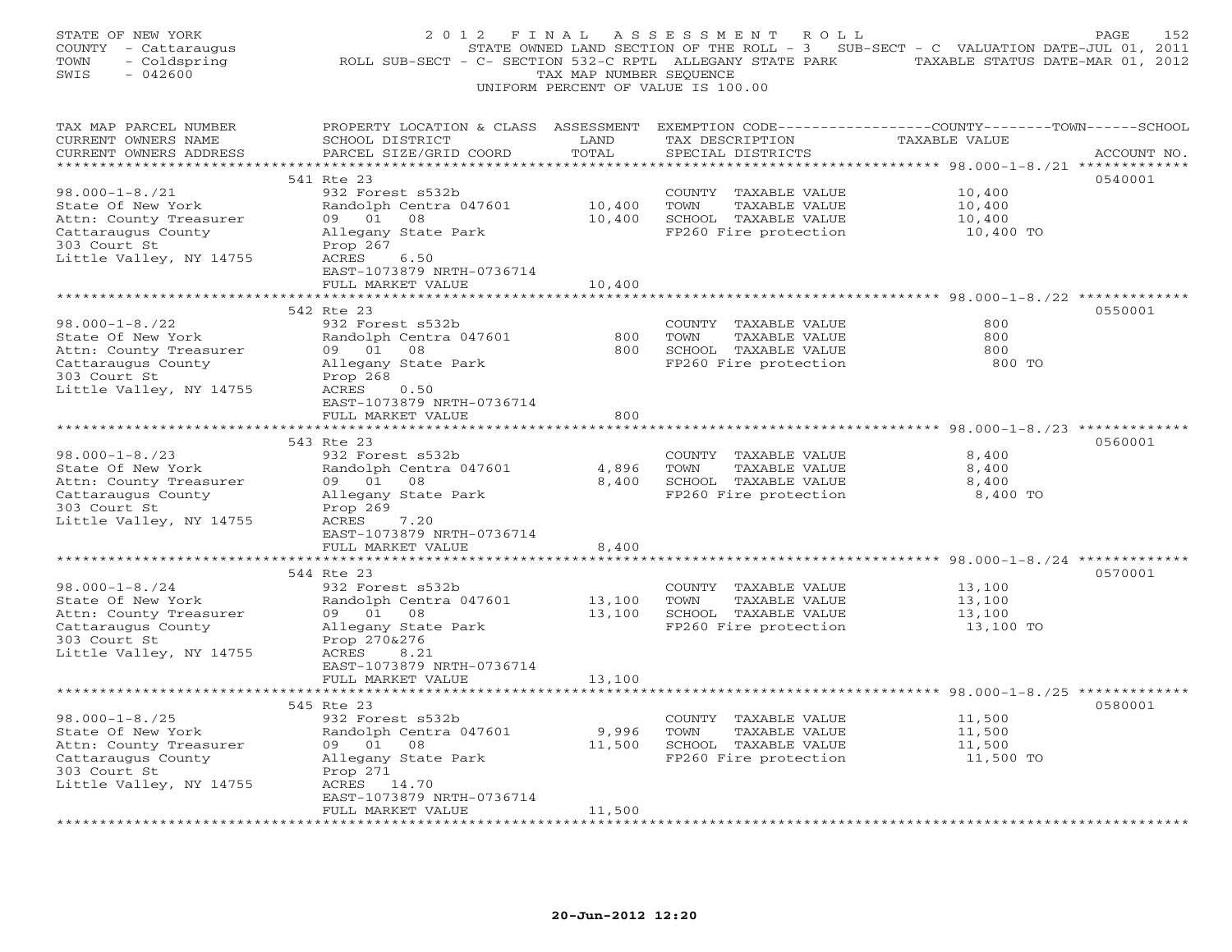| STATE OF NEW YORK<br>COUNTY - Cattaraugus<br>TOWN<br>- Coldspring<br>SWIS<br>$-042600$ | ROLL SUB-SECT - C- SECTION 532-C RPTL ALLEGANY STATE PARK TAXABLE STATUS DATE-MAR 01, 2012                                                   | TAX MAP NUMBER SEQUENCE | 2012 FINAL ASSESSMENT ROLL<br>STATE OWNED LAND SECTION OF THE ROLL - 3 SUB-SECT - C VALUATION DATE-JUL 01, 2011<br>UNIFORM PERCENT OF VALUE IS 100.00 |                  | PAGE<br>152 |
|----------------------------------------------------------------------------------------|----------------------------------------------------------------------------------------------------------------------------------------------|-------------------------|-------------------------------------------------------------------------------------------------------------------------------------------------------|------------------|-------------|
| TAX MAP PARCEL NUMBER<br>CURRENT OWNERS NAME<br>CURRENT OWNERS ADDRESS                 | PROPERTY LOCATION & CLASS ASSESSMENT EXEMPTION CODE---------------COUNTY-------TOWN------SCHOOL<br>SCHOOL DISTRICT<br>PARCEL SIZE/GRID COORD | LAND<br>TOTAL           | TAX DESCRIPTION<br>SPECIAL DISTRICTS                                                                                                                  | TAXABLE VALUE    | ACCOUNT NO. |
|                                                                                        |                                                                                                                                              |                         |                                                                                                                                                       |                  |             |
|                                                                                        | 541 Rte 23                                                                                                                                   |                         |                                                                                                                                                       |                  | 0540001     |
| $98.000 - 1 - 8.721$<br>State Of New York                                              | 932 Forest s532b<br>Randolph Centra 047601                                                                                                   | 10,400                  | COUNTY TAXABLE VALUE<br>TOWN<br>TAXABLE VALUE                                                                                                         | 10,400<br>10,400 |             |
| Attn: County Treasurer                                                                 | 09 01<br>08                                                                                                                                  | 10,400                  | SCHOOL TAXABLE VALUE                                                                                                                                  | 10,400           |             |
| Cattaraugus County                                                                     | Allegany State Park                                                                                                                          |                         | FP260 Fire protection                                                                                                                                 | 10,400 TO        |             |
| 303 Court St                                                                           | Prop 267                                                                                                                                     |                         |                                                                                                                                                       |                  |             |
| Little Valley, NY 14755                                                                | ACRES<br>6.50                                                                                                                                |                         |                                                                                                                                                       |                  |             |
|                                                                                        | EAST-1073879 NRTH-0736714                                                                                                                    |                         |                                                                                                                                                       |                  |             |
|                                                                                        | FULL MARKET VALUE                                                                                                                            | 10,400                  |                                                                                                                                                       |                  |             |
|                                                                                        |                                                                                                                                              |                         |                                                                                                                                                       |                  |             |
|                                                                                        | 542 Rte 23                                                                                                                                   |                         |                                                                                                                                                       |                  | 0550001     |
| $98.000 - 1 - 8.722$                                                                   | 932 Forest s532b                                                                                                                             |                         | COUNTY TAXABLE VALUE                                                                                                                                  | 800              |             |
| State Of New York                                                                      | Randolph Centra 047601                                                                                                                       | 800                     | TOWN<br>TAXABLE VALUE                                                                                                                                 | 800              |             |
| Attn: County Treasurer                                                                 | 09 01 08                                                                                                                                     | 800                     | SCHOOL TAXABLE VALUE                                                                                                                                  | 800              |             |
| Cattaraugus County                                                                     | Allegany State Park                                                                                                                          |                         | FP260 Fire protection                                                                                                                                 | 800 TO           |             |
| 303 Court St<br>Little Valley, NY 14755                                                | Prop 268<br>ACRES<br>0.50                                                                                                                    |                         |                                                                                                                                                       |                  |             |
|                                                                                        | EAST-1073879 NRTH-0736714                                                                                                                    |                         |                                                                                                                                                       |                  |             |
|                                                                                        | FULL MARKET VALUE                                                                                                                            | 800                     |                                                                                                                                                       |                  |             |
|                                                                                        |                                                                                                                                              |                         |                                                                                                                                                       |                  |             |
|                                                                                        | 543 Rte 23                                                                                                                                   |                         |                                                                                                                                                       |                  | 0560001     |
| $98.000 - 1 - 8.723$                                                                   | 932 Forest s532b                                                                                                                             |                         | COUNTY TAXABLE VALUE                                                                                                                                  | 8,400            |             |
| State Of New York                                                                      | Randolph Centra 047601                                                                                                                       | 4,896                   | TOWN<br>TAXABLE VALUE                                                                                                                                 | 8,400            |             |
| Attn: County Treasurer                                                                 | 09 01<br>08                                                                                                                                  | 8,400                   | SCHOOL TAXABLE VALUE                                                                                                                                  | 8,400            |             |
| Cattaraugus County                                                                     | Allegany State Park                                                                                                                          |                         | FP260 Fire protection                                                                                                                                 | 8,400 TO         |             |
| 303 Court St                                                                           | Prop 269                                                                                                                                     |                         |                                                                                                                                                       |                  |             |
| Little Valley, NY 14755                                                                | ACRES<br>7.20                                                                                                                                |                         |                                                                                                                                                       |                  |             |
|                                                                                        | EAST-1073879 NRTH-0736714<br>FULL MARKET VALUE                                                                                               | 8,400                   |                                                                                                                                                       |                  |             |
|                                                                                        |                                                                                                                                              |                         |                                                                                                                                                       |                  |             |
|                                                                                        | 544 Rte 23                                                                                                                                   |                         |                                                                                                                                                       |                  | 0570001     |
| $98.000 - 1 - 8.724$                                                                   | 932 Forest s532b                                                                                                                             |                         | COUNTY TAXABLE VALUE                                                                                                                                  | 13,100           |             |
| State Of New York                                                                      | Randolph Centra 047601                                                                                                                       | 13,100                  | TOWN<br>TAXABLE VALUE                                                                                                                                 | 13,100           |             |
| Attn: County Treasurer                                                                 | 09 01<br>08                                                                                                                                  | 13,100                  | SCHOOL TAXABLE VALUE                                                                                                                                  | 13,100           |             |
| Cattaraugus County                                                                     | Allegany State Park                                                                                                                          |                         | FP260 Fire protection                                                                                                                                 | 13,100 TO        |             |
| 303 Court St                                                                           | Prop 270&276                                                                                                                                 |                         |                                                                                                                                                       |                  |             |
| Little Valley, NY 14755                                                                | ACRES<br>8.21                                                                                                                                |                         |                                                                                                                                                       |                  |             |
|                                                                                        | EAST-1073879 NRTH-0736714                                                                                                                    |                         |                                                                                                                                                       |                  |             |
|                                                                                        | FULL MARKET VALUE                                                                                                                            | 13,100                  |                                                                                                                                                       |                  |             |
|                                                                                        |                                                                                                                                              |                         |                                                                                                                                                       |                  |             |
|                                                                                        | 545 Rte 23                                                                                                                                   |                         |                                                                                                                                                       |                  | 0580001     |
| $98.000 - 1 - 8.725$<br>State Of New York                                              | 932 Forest s532b<br>Randolph Centra 047601                                                                                                   | 9,996                   | COUNTY TAXABLE VALUE<br>TOWN<br>TAXABLE VALUE                                                                                                         | 11,500<br>11,500 |             |
| Attn: County Treasurer                                                                 | 09 01<br>08                                                                                                                                  | 11,500                  | SCHOOL TAXABLE VALUE                                                                                                                                  | 11,500           |             |
| Cattaraugus County                                                                     | Allegany State Park                                                                                                                          |                         | FP260 Fire protection                                                                                                                                 | 11,500 TO        |             |
| 303 Court St                                                                           | Prop 271                                                                                                                                     |                         |                                                                                                                                                       |                  |             |
| Little Valley, NY 14755                                                                | ACRES 14.70                                                                                                                                  |                         |                                                                                                                                                       |                  |             |
|                                                                                        | EAST-1073879 NRTH-0736714                                                                                                                    |                         |                                                                                                                                                       |                  |             |
|                                                                                        | FULL MARKET VALUE                                                                                                                            | 11,500                  |                                                                                                                                                       |                  |             |
|                                                                                        |                                                                                                                                              |                         |                                                                                                                                                       |                  |             |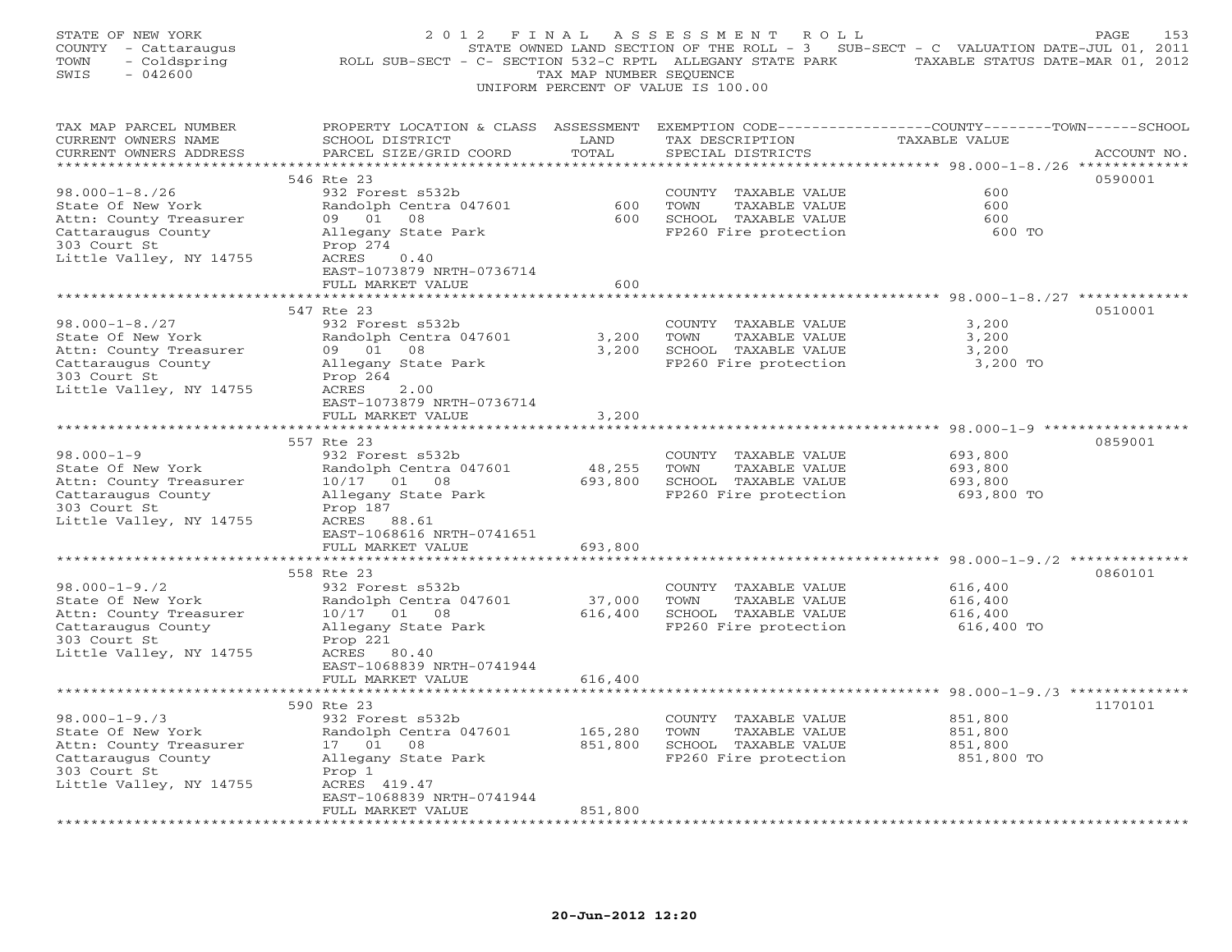| STATE OF NEW YORK<br>COUNTY - Cattaraugus<br>- Coldspring<br>TOWN<br>SWIS<br>$-042600$            | 2012 FINAL<br>ROLL SUB-SECT - C- SECTION 532-C RPTL ALLEGANY STATE PARK TAXABLE STATUS DATE-MAR 01, 2012                                                                        | TAX MAP NUMBER SEQUENCE | ASSESSMENT ROLL<br>UNIFORM PERCENT OF VALUE IS 100.00 | STATE OWNED LAND SECTION OF THE ROLL - 3 SUB-SECT - C VALUATION DATE-JUL 01, 2011 | PAGE<br>153 |
|---------------------------------------------------------------------------------------------------|---------------------------------------------------------------------------------------------------------------------------------------------------------------------------------|-------------------------|-------------------------------------------------------|-----------------------------------------------------------------------------------|-------------|
| TAX MAP PARCEL NUMBER<br>CURRENT OWNERS NAME<br>CURRENT OWNERS ADDRESS<br>*********************** | PROPERTY LOCATION & CLASS ASSESSMENT EXEMPTION CODE---------------COUNTY-------TOWN------SCHOOL<br>SCHOOL DISTRICT<br>PARCEL SIZE/GRID COORD<br>******************************* | LAND<br>TOTAL           | TAX DESCRIPTION<br>SPECIAL DISTRICTS                  | TAXABLE VALUE                                                                     | ACCOUNT NO. |
|                                                                                                   | 546 Rte 23                                                                                                                                                                      |                         |                                                       |                                                                                   | 0590001     |
| $98.000 - 1 - 8.726$                                                                              | 932 Forest s532b                                                                                                                                                                |                         | COUNTY TAXABLE VALUE                                  | 600                                                                               |             |
| State Of New York                                                                                 | Randolph Centra 047601                                                                                                                                                          | 600                     | TOWN<br>TAXABLE VALUE                                 | 600                                                                               |             |
| Attn: County Treasurer                                                                            | 09 01 08                                                                                                                                                                        |                         | 600 SCHOOL TAXABLE VALUE                              | 600                                                                               |             |
| Cattaraugus County                                                                                | Allegany State Park                                                                                                                                                             |                         | FP260 Fire protection                                 | 600 TO                                                                            |             |
| 303 Court St                                                                                      | Prop 274                                                                                                                                                                        |                         |                                                       |                                                                                   |             |
| Little Valley, NY 14755                                                                           | ACRES<br>0.40                                                                                                                                                                   |                         |                                                       |                                                                                   |             |
|                                                                                                   | EAST-1073879 NRTH-0736714                                                                                                                                                       |                         |                                                       |                                                                                   |             |
|                                                                                                   | FULL MARKET VALUE                                                                                                                                                               | 600                     |                                                       | *************** 98.000-1-8./27 ***********                                        |             |
|                                                                                                   | 547 Rte 23                                                                                                                                                                      |                         |                                                       |                                                                                   | 0510001     |
| $98.000 - 1 - 8.727$                                                                              | 932 Forest s532b                                                                                                                                                                |                         | COUNTY TAXABLE VALUE                                  | 3,200                                                                             |             |
| State Of New York                                                                                 | Randolph Centra 047601                                                                                                                                                          | 3,200                   | TOWN<br>TAXABLE VALUE                                 | 3,200                                                                             |             |
| Attn: County Treasurer                                                                            | 09 01 08                                                                                                                                                                        | 3,200                   | SCHOOL TAXABLE VALUE                                  | 3,200                                                                             |             |
| Cattaraugus County                                                                                | Allegany State Park                                                                                                                                                             |                         | FP260 Fire protection                                 | 3,200 TO                                                                          |             |
| 303 Court St                                                                                      | Prop 264                                                                                                                                                                        |                         |                                                       |                                                                                   |             |
| Little Valley, NY 14755                                                                           | 2.00<br>ACRES                                                                                                                                                                   |                         |                                                       |                                                                                   |             |
|                                                                                                   | EAST-1073879 NRTH-0736714                                                                                                                                                       |                         |                                                       |                                                                                   |             |
|                                                                                                   | FULL MARKET VALUE                                                                                                                                                               | 3,200                   |                                                       |                                                                                   |             |
|                                                                                                   | 557 Rte 23                                                                                                                                                                      |                         |                                                       |                                                                                   | 0859001     |
| $98.000 - 1 - 9$                                                                                  | 932 Forest s532b                                                                                                                                                                |                         | COUNTY TAXABLE VALUE                                  | 693,800                                                                           |             |
| State Of New York                                                                                 | Randolph Centra 047601                                                                                                                                                          | 48,255                  | TOWN<br>TAXABLE VALUE                                 | 693,800                                                                           |             |
| Attn: County Treasurer                                                                            | 10/17 01 08                                                                                                                                                                     | 693,800                 | SCHOOL TAXABLE VALUE                                  | 693,800                                                                           |             |
| Cattaraugus County                                                                                | Allegany State Park                                                                                                                                                             |                         | FP260 Fire protection                                 | 693,800 TO                                                                        |             |
| 303 Court St                                                                                      | Prop 187                                                                                                                                                                        |                         |                                                       |                                                                                   |             |
| Little Valley, NY 14755                                                                           | ACRES 88.61                                                                                                                                                                     |                         |                                                       |                                                                                   |             |
|                                                                                                   | EAST-1068616 NRTH-0741651                                                                                                                                                       |                         |                                                       |                                                                                   |             |
|                                                                                                   | FULL MARKET VALUE<br>* * * * * * * * * * * * * * * * * *                                                                                                                        | 693,800<br>************ |                                                       |                                                                                   |             |
|                                                                                                   | 558 Rte 23                                                                                                                                                                      |                         |                                                       |                                                                                   | 0860101     |
| $98.000 - 1 - 9.72$                                                                               | 932 Forest s532b                                                                                                                                                                |                         | COUNTY TAXABLE VALUE                                  | 616,400                                                                           |             |
| State Of New York                                                                                 | Randolph Centra 047601                                                                                                                                                          | 37,000                  | TOWN<br>TAXABLE VALUE                                 | 616,400                                                                           |             |
| Attn: County Treasurer                                                                            | 10/17 01 08                                                                                                                                                                     | 616,400                 | SCHOOL TAXABLE VALUE                                  | 616,400                                                                           |             |
| Cattaraugus County                                                                                | Allegany State Park                                                                                                                                                             |                         | FP260 Fire protection                                 | 616,400 TO                                                                        |             |
| 303 Court St                                                                                      | Prop 221                                                                                                                                                                        |                         |                                                       |                                                                                   |             |
| Little Valley, NY 14755                                                                           | ACRES 80.40                                                                                                                                                                     |                         |                                                       |                                                                                   |             |
|                                                                                                   | EAST-1068839 NRTH-0741944                                                                                                                                                       |                         |                                                       |                                                                                   |             |
|                                                                                                   | FULL MARKET VALUE                                                                                                                                                               | 616,400                 |                                                       |                                                                                   |             |
|                                                                                                   | 590 Rte 23                                                                                                                                                                      |                         |                                                       |                                                                                   | 1170101     |
| $98.000 - 1 - 9.73$                                                                               | 932 Forest s532b                                                                                                                                                                |                         | COUNTY TAXABLE VALUE                                  | 851,800                                                                           |             |
| State Of New York                                                                                 | Randolph Centra 047601                                                                                                                                                          | 165,280                 | TAXABLE VALUE<br>TOWN                                 | 851,800                                                                           |             |
| Attn: County Treasurer                                                                            | 17  01  08                                                                                                                                                                      | 851,800                 | SCHOOL TAXABLE VALUE                                  | 851,800                                                                           |             |
| Cattaraugus County                                                                                | Allegany State Park                                                                                                                                                             |                         | FP260 Fire protection                                 | 851,800 TO                                                                        |             |
| 303 Court St                                                                                      | Prop 1                                                                                                                                                                          |                         |                                                       |                                                                                   |             |
| Little Valley, NY 14755                                                                           | ACRES 419.47                                                                                                                                                                    |                         |                                                       |                                                                                   |             |
|                                                                                                   | EAST-1068839 NRTH-0741944                                                                                                                                                       |                         |                                                       |                                                                                   |             |
|                                                                                                   | FULL MARKET VALUE                                                                                                                                                               | 851,800                 |                                                       |                                                                                   |             |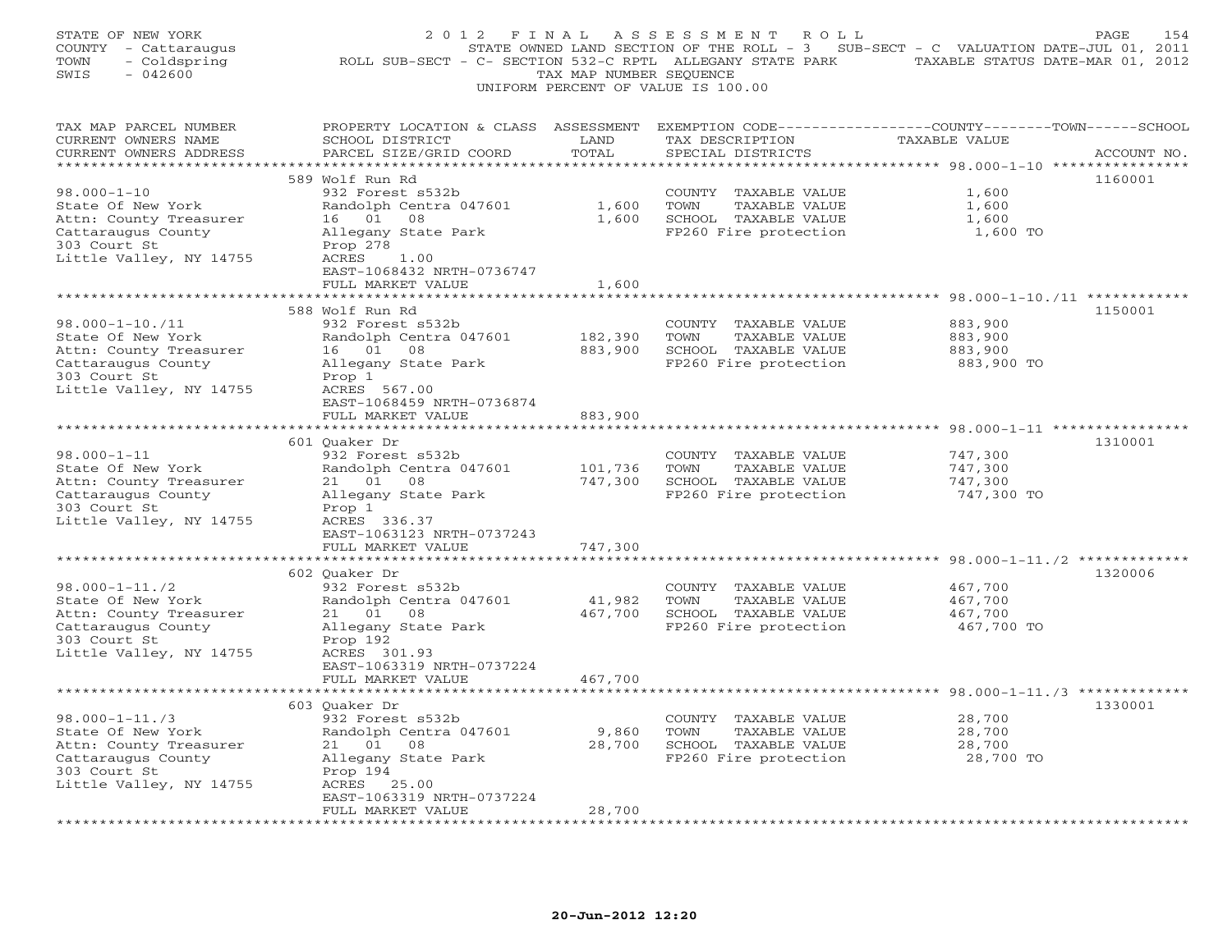| STATE OF NEW YORK<br>COUNTY - Cattaraugus<br>TOWN<br>- Coldspring<br>$-042600$<br>SWIS                                                | 2012 FINAL<br>ROLL SUB-SECT - C- SECTION 532-C RPTL ALLEGANY STATE PARK TAXABLE STATUS DATE-MAR 01, 2012                                      | TAX MAP NUMBER SEQUENCE | ASSESSMENT ROLL<br>UNIFORM PERCENT OF VALUE IS 100.00                                          | STATE OWNED LAND SECTION OF THE ROLL - 3 SUB-SECT - C VALUATION DATE-JUL 01, 2011          | PAGE<br>154 |
|---------------------------------------------------------------------------------------------------------------------------------------|-----------------------------------------------------------------------------------------------------------------------------------------------|-------------------------|------------------------------------------------------------------------------------------------|--------------------------------------------------------------------------------------------|-------------|
| TAX MAP PARCEL NUMBER<br>CURRENT OWNERS NAME<br>CURRENT OWNERS ADDRESS                                                                | PROPERTY LOCATION & CLASS ASSESSMENT EXEMPTION CODE----------------COUNTY-------TOWN------SCHOOL<br>SCHOOL DISTRICT<br>PARCEL SIZE/GRID COORD | LAND<br>TOTAL           | TAX DESCRIPTION<br>SPECIAL DISTRICTS                                                           | <b>TAXABLE VALUE</b>                                                                       | ACCOUNT NO. |
|                                                                                                                                       | 589 Wolf Run Rd                                                                                                                               |                         |                                                                                                |                                                                                            | 1160001     |
| $98.000 - 1 - 10$<br>State Of New York<br>Attn: County Treasurer<br>Cattaraugus County<br>303 Court St<br>Little Valley, NY 14755     | 932 Forest s532b<br>Randolph Centra 047601<br>16  01  08<br>Allegany State Park<br>Prop 278<br>ACRES<br>1.00<br>EAST-1068432 NRTH-0736747     | 1,600<br>1,600          | COUNTY TAXABLE VALUE<br>TOWN<br>TAXABLE VALUE<br>SCHOOL TAXABLE VALUE<br>FP260 Fire protection | 1,600<br>1,600<br>1,600<br>1,600 TO                                                        |             |
|                                                                                                                                       | FULL MARKET VALUE                                                                                                                             | 1,600                   |                                                                                                |                                                                                            |             |
| $98.000 - 1 - 10.711$<br>State Of New York<br>Attn: County Treasurer<br>Cattaraugus County<br>303 Court St<br>Little Valley, NY 14755 | 588 Wolf Run Rd<br>932 Forest s532b<br>Randolph Centra 047601<br>16 01 08<br>Allegany State Park<br>Prop 1<br>ACRES 567.00                    | 182,390<br>883,900      | COUNTY TAXABLE VALUE<br>TOWN<br>TAXABLE VALUE<br>SCHOOL TAXABLE VALUE<br>FP260 Fire protection | ************* 98.000-1-10./11 *************<br>883,900<br>883,900<br>883,900<br>883,900 TO | 1150001     |
|                                                                                                                                       | EAST-1068459 NRTH-0736874<br>FULL MARKET VALUE                                                                                                | 883,900                 |                                                                                                |                                                                                            |             |
| **********************<br>$98.000 - 1 - 11$<br>State Of New York                                                                      | 601 Ouaker Dr<br>932 Forest s532b<br>Randolph Centra 047601                                                                                   | 101,736                 | COUNTY TAXABLE VALUE<br>TOWN<br>TAXABLE VALUE                                                  | 747,300<br>747,300                                                                         | 1310001     |
| Attn: County Treasurer<br>Cattaraugus County<br>303 Court St<br>Little Valley, NY 14755                                               | 21 01 08<br>Allegany State Park<br>Prop 1<br>ACRES 336.37<br>EAST-1063123 NRTH-0737243                                                        | 747,300                 | SCHOOL TAXABLE VALUE<br>FP260 Fire protection                                                  | 747,300<br>747,300 TO                                                                      |             |
|                                                                                                                                       | FULL MARKET VALUE                                                                                                                             | 747,300                 |                                                                                                |                                                                                            |             |
|                                                                                                                                       | *******************<br>602 Quaker Dr                                                                                                          | ***************         |                                                                                                |                                                                                            | 1320006     |
| $98.000 - 1 - 11.72$<br>State Of New York<br>Attn: County Treasurer<br>Cattaraugus County<br>303 Court St<br>Little Valley, NY 14755  | 932 Forest s532b<br>Randolph Centra 047601<br>21 01<br>08<br>Allegany State Park<br>Prop 192<br>ACRES 301.93                                  | 41,982<br>467,700       | COUNTY TAXABLE VALUE<br>TOWN<br>TAXABLE VALUE<br>SCHOOL TAXABLE VALUE<br>FP260 Fire protection | 467,700<br>467,700<br>467,700<br>467,700 TO                                                |             |
|                                                                                                                                       | EAST-1063319 NRTH-0737224<br>FULL MARKET VALUE                                                                                                | 467,700                 |                                                                                                |                                                                                            |             |
|                                                                                                                                       | *************************<br>603 Quaker Dr                                                                                                    |                         |                                                                                                |                                                                                            | 1330001     |
| $98.000 - 1 - 11.73$<br>State Of New York<br>Attn: County Treasurer<br>Cattaraugus County                                             | 932 Forest s532b<br>Randolph Centra 047601<br>21 01 08<br>Allegany State Park                                                                 | 9,860<br>28,700         | COUNTY TAXABLE VALUE<br>TOWN<br>TAXABLE VALUE<br>SCHOOL TAXABLE VALUE<br>FP260 Fire protection | 28,700<br>28,700<br>28,700<br>28,700 TO                                                    |             |
| 303 Court St<br>Little Valley, NY 14755                                                                                               | Prop 194<br>ACRES 25.00<br>EAST-1063319 NRTH-0737224<br>FULL MARKET VALUE                                                                     | 28,700                  |                                                                                                |                                                                                            |             |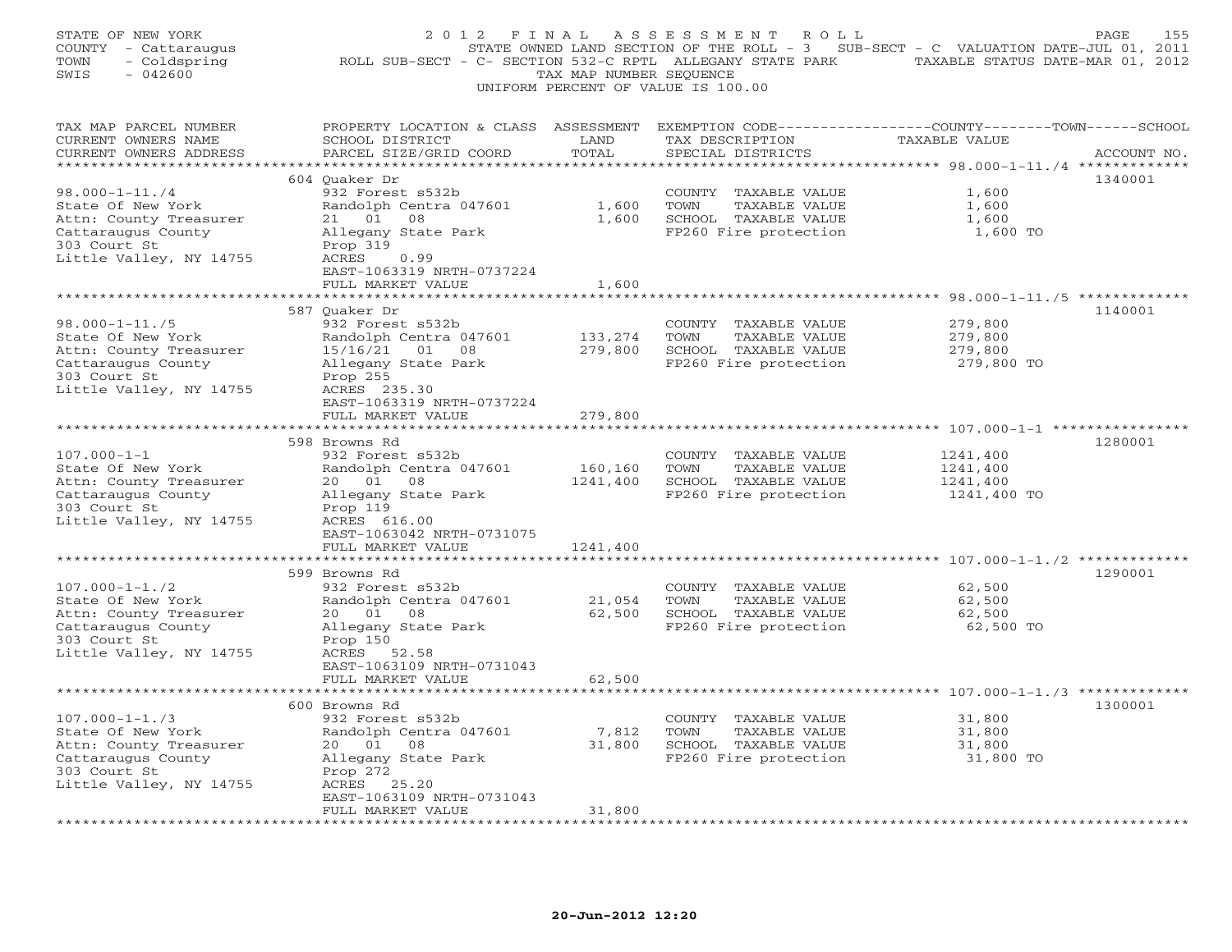| STATE OF NEW YORK<br>COUNTY - Cattaraugus<br>- Coldspring<br>TOWN<br>$-042600$<br>SWIS | 2 0 1 2<br>ROLL SUB-SECT - C- SECTION 532-C RPTL ALLEGANY STATE PARK                                                                         | TAX MAP NUMBER SEQUENCE | FINAL ASSESSMENT<br>R O L L<br>STATE OWNED LAND SECTION OF THE ROLL - 3 SUB-SECT - C VALUATION DATE-JUL 01, 2011<br>UNIFORM PERCENT OF VALUE IS 100.00 | TAXABLE STATUS DATE-MAR 01, 2012 | PAGE<br>155 |
|----------------------------------------------------------------------------------------|----------------------------------------------------------------------------------------------------------------------------------------------|-------------------------|--------------------------------------------------------------------------------------------------------------------------------------------------------|----------------------------------|-------------|
| TAX MAP PARCEL NUMBER<br>CURRENT OWNERS NAME<br>CURRENT OWNERS ADDRESS                 | PROPERTY LOCATION & CLASS ASSESSMENT EXEMPTION CODE---------------COUNTY-------TOWN------SCHOOL<br>SCHOOL DISTRICT<br>PARCEL SIZE/GRID COORD | LAND<br>TOTAL           | TAX DESCRIPTION<br>SPECIAL DISTRICTS                                                                                                                   | TAXABLE VALUE                    | ACCOUNT NO. |
|                                                                                        |                                                                                                                                              |                         |                                                                                                                                                        |                                  | 1340001     |
| $98.000 - 1 - 11.74$                                                                   | 604 Quaker Dr<br>932 Forest s532b                                                                                                            |                         | COUNTY TAXABLE VALUE                                                                                                                                   | 1,600                            |             |
| State Of New York                                                                      | Randolph Centra 047601                                                                                                                       | 1,600                   | TOWN<br>TAXABLE VALUE                                                                                                                                  | 1,600                            |             |
| Attn: County Treasurer                                                                 | 21 01<br>08                                                                                                                                  | 1,600                   | SCHOOL TAXABLE VALUE                                                                                                                                   | 1,600                            |             |
| Cattaraugus County                                                                     | Allegany State Park                                                                                                                          |                         | FP260 Fire protection                                                                                                                                  | 1,600 TO                         |             |
| 303 Court St                                                                           | Prop 319                                                                                                                                     |                         |                                                                                                                                                        |                                  |             |
| Little Valley, NY 14755                                                                | ACRES<br>0.99                                                                                                                                |                         |                                                                                                                                                        |                                  |             |
|                                                                                        | EAST-1063319 NRTH-0737224<br>FULL MARKET VALUE                                                                                               | 1,600                   |                                                                                                                                                        |                                  |             |
|                                                                                        |                                                                                                                                              |                         |                                                                                                                                                        |                                  |             |
|                                                                                        | 587 Ouaker Dr                                                                                                                                |                         |                                                                                                                                                        |                                  | 1140001     |
| $98.000 - 1 - 11.75$                                                                   | 932 Forest s532b                                                                                                                             |                         | COUNTY TAXABLE VALUE                                                                                                                                   | 279,800                          |             |
| State Of New York                                                                      | Randolph Centra 047601                                                                                                                       | 133,274                 | TOWN<br>TAXABLE VALUE                                                                                                                                  | 279,800                          |             |
| Attn: County Treasurer                                                                 | 15/16/21 01 08                                                                                                                               | 279,800                 | SCHOOL TAXABLE VALUE                                                                                                                                   | 279,800                          |             |
| Cattaraugus County                                                                     | Allegany State Park                                                                                                                          |                         | FP260 Fire protection                                                                                                                                  | 279,800 TO                       |             |
| 303 Court St<br>Little Valley, NY 14755                                                | Prop 255<br>ACRES 235.30                                                                                                                     |                         |                                                                                                                                                        |                                  |             |
|                                                                                        | EAST-1063319 NRTH-0737224                                                                                                                    |                         |                                                                                                                                                        |                                  |             |
|                                                                                        | FULL MARKET VALUE                                                                                                                            | 279,800                 |                                                                                                                                                        |                                  |             |
|                                                                                        |                                                                                                                                              |                         |                                                                                                                                                        |                                  |             |
|                                                                                        | 598 Browns Rd                                                                                                                                |                         |                                                                                                                                                        |                                  | 1280001     |
| $107.000 - 1 - 1$                                                                      | 932 Forest s532b                                                                                                                             |                         | COUNTY TAXABLE VALUE                                                                                                                                   | 1241,400                         |             |
| State Of New York<br>Attn: County Treasurer                                            | Randolph Centra 047601<br>20 01<br>08                                                                                                        | 160,160<br>1241,400     | TOWN<br>TAXABLE VALUE<br>SCHOOL TAXABLE VALUE                                                                                                          | 1241,400<br>1241,400             |             |
| Cattaraugus County                                                                     | Allegany State Park                                                                                                                          |                         | FP260 Fire protection                                                                                                                                  | 1241,400 TO                      |             |
| 303 Court St                                                                           | Prop 119                                                                                                                                     |                         |                                                                                                                                                        |                                  |             |
| Little Valley, NY 14755                                                                | ACRES 616.00                                                                                                                                 |                         |                                                                                                                                                        |                                  |             |
|                                                                                        | EAST-1063042 NRTH-0731075                                                                                                                    |                         |                                                                                                                                                        |                                  |             |
|                                                                                        | FULL MARKET VALUE                                                                                                                            | 1241,400                |                                                                                                                                                        |                                  |             |
|                                                                                        | 599 Browns Rd                                                                                                                                |                         |                                                                                                                                                        |                                  | 1290001     |
| $107.000 - 1 - 1.72$                                                                   | 932 Forest s532b                                                                                                                             |                         | COUNTY TAXABLE VALUE                                                                                                                                   | 62,500                           |             |
| State Of New York                                                                      | Randolph Centra 047601                                                                                                                       | 21,054                  | TOWN<br>TAXABLE VALUE                                                                                                                                  | 62,500                           |             |
| Attn: County Treasurer                                                                 | 20 01<br>08                                                                                                                                  | 62,500                  | SCHOOL TAXABLE VALUE                                                                                                                                   | 62,500                           |             |
| Cattaraugus County                                                                     | Allegany State Park                                                                                                                          |                         | FP260 Fire protection                                                                                                                                  | 62,500 TO                        |             |
| 303 Court St                                                                           | Prop 150                                                                                                                                     |                         |                                                                                                                                                        |                                  |             |
| Little Valley, NY 14755                                                                | ACRES 52.58<br>EAST-1063109 NRTH-0731043                                                                                                     |                         |                                                                                                                                                        |                                  |             |
|                                                                                        | FULL MARKET VALUE                                                                                                                            | 62,500                  |                                                                                                                                                        |                                  |             |
|                                                                                        |                                                                                                                                              |                         |                                                                                                                                                        |                                  |             |
|                                                                                        | 600 Browns Rd                                                                                                                                |                         |                                                                                                                                                        |                                  | 1300001     |
| $107.000 - 1 - 1.73$                                                                   | 932 Forest s532b                                                                                                                             |                         | COUNTY TAXABLE VALUE                                                                                                                                   | 31,800                           |             |
| State Of New York                                                                      | Randolph Centra 047601                                                                                                                       | 7,812                   | TOWN<br>TAXABLE VALUE                                                                                                                                  | 31,800                           |             |
| Attn: County Treasurer                                                                 | 20  01  08                                                                                                                                   | 31,800                  | SCHOOL TAXABLE VALUE                                                                                                                                   | 31,800                           |             |
| Cattaraugus County                                                                     | Allegany State Park                                                                                                                          |                         | FP260 Fire protection                                                                                                                                  | 31,800 TO                        |             |
| 303 Court St<br>Little Valley, NY 14755                                                | Prop 272<br>ACRES 25.20                                                                                                                      |                         |                                                                                                                                                        |                                  |             |
|                                                                                        | EAST-1063109 NRTH-0731043                                                                                                                    |                         |                                                                                                                                                        |                                  |             |
|                                                                                        | FULL MARKET VALUE                                                                                                                            | 31,800                  |                                                                                                                                                        |                                  |             |
|                                                                                        |                                                                                                                                              |                         |                                                                                                                                                        |                                  |             |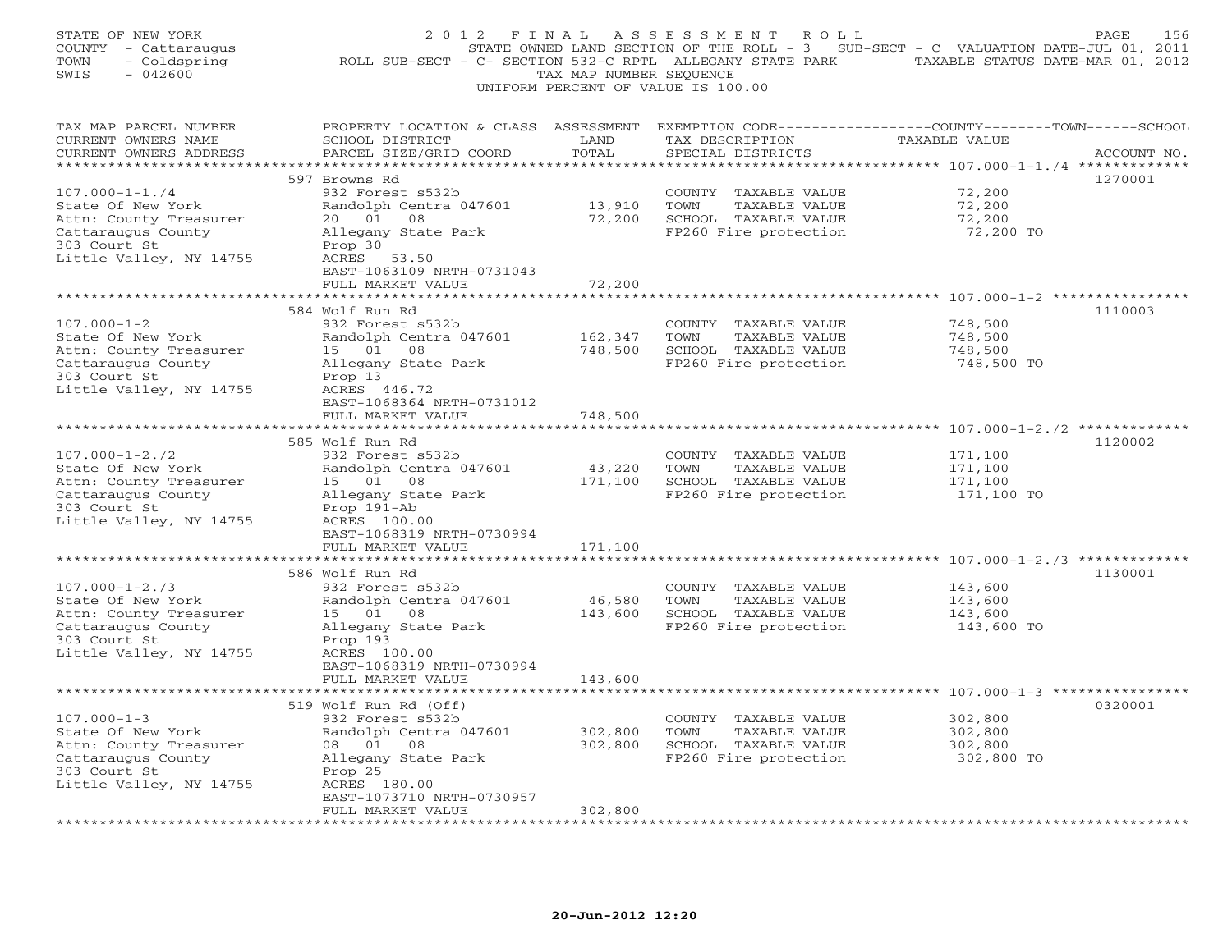| STATE OF NEW YORK<br>COUNTY - Cattaraugus<br>TOWN<br>- Coldspring<br>SWIS<br>$-042600$                                               | 2012 FINAL<br>ROLL SUB-SECT - C- SECTION 532-C RPTL ALLEGANY STATE PARK TAXABLE STATUS DATE-MAR 01, 2012                                                       | TAX MAP NUMBER SEQUENCE  | A S S E S S M E N T A O L L<br>STATE OWNED LAND SECTION OF THE ROLL - 3 SUB-SECT - C VALUATION DATE-JUL 01, 2011<br>UNIFORM PERCENT OF VALUE IS 100.00 |                                             | PAGE<br>156 |
|--------------------------------------------------------------------------------------------------------------------------------------|----------------------------------------------------------------------------------------------------------------------------------------------------------------|--------------------------|--------------------------------------------------------------------------------------------------------------------------------------------------------|---------------------------------------------|-------------|
| TAX MAP PARCEL NUMBER<br>CURRENT OWNERS NAME<br>CURRENT OWNERS ADDRESS                                                               | PROPERTY LOCATION & CLASS ASSESSMENT EXEMPTION CODE---------------COUNTY-------TOWN-----SCHOOL<br>SCHOOL DISTRICT<br>PARCEL SIZE/GRID COORD                    | LAND<br>TOTAL            | TAX DESCRIPTION<br>SPECIAL DISTRICTS                                                                                                                   | TAXABLE VALUE                               | ACCOUNT NO. |
|                                                                                                                                      | 597 Browns Rd                                                                                                                                                  |                          |                                                                                                                                                        |                                             | 1270001     |
| $107.000 - 1 - 1.74$<br>State Of New York<br>Attn: County Treasurer<br>Cattaraugus County<br>303 Court St<br>Little Valley, NY 14755 | 932 Forest s532b<br>Randolph Centra 047601<br>20 01<br>08<br>Allegany State Park<br>Prop 30<br>ACRES<br>53.50<br>EAST-1063109 NRTH-0731043                     | 13,910<br>72,200         | COUNTY TAXABLE VALUE<br>TOWN<br>TAXABLE VALUE<br>SCHOOL TAXABLE VALUE<br>FP260 Fire protection                                                         | 72,200<br>72,200<br>72,200<br>72,200 TO     |             |
|                                                                                                                                      | FULL MARKET VALUE                                                                                                                                              | 72,200                   |                                                                                                                                                        |                                             |             |
| $107.000 - 1 - 2$<br>State Of New York<br>Attn: County Treasurer<br>Cattaraugus County<br>303 Court St<br>Little Valley, NY 14755    | *************************<br>584 Wolf Run Rd<br>932 Forest s532b<br>Randolph Centra 047601<br>15 01 08<br>Allegany State Park<br>Prop 13<br>ACRES 446.72       | 162,347<br>748,500       | COUNTY TAXABLE VALUE<br>TOWN<br>TAXABLE VALUE<br>SCHOOL TAXABLE VALUE<br>FP260 Fire protection                                                         | 748,500<br>748,500<br>748,500<br>748,500 TO | 1110003     |
|                                                                                                                                      | EAST-1068364 NRTH-0731012                                                                                                                                      |                          |                                                                                                                                                        |                                             |             |
| **********************                                                                                                               | FULL MARKET VALUE                                                                                                                                              | 748,500                  |                                                                                                                                                        |                                             |             |
| $107.000 - 1 - 2.72$<br>State Of New York<br>Attn: County Treasurer<br>Cattaraugus County<br>303 Court St<br>Little Valley, NY 14755 | 585 Wolf Run Rd<br>932 Forest s532b<br>Randolph Centra 047601<br>15 01 08<br>Allegany State Park<br>Prop 191-Ab<br>ACRES 100.00                                | 43,220<br>171,100        | COUNTY TAXABLE VALUE<br>TOWN<br>TAXABLE VALUE<br>SCHOOL TAXABLE VALUE<br>FP260 Fire protection                                                         | 171,100<br>171,100<br>171,100<br>171,100 TO | 1120002     |
|                                                                                                                                      | EAST-1068319 NRTH-0730994                                                                                                                                      |                          |                                                                                                                                                        |                                             |             |
|                                                                                                                                      | FULL MARKET VALUE<br>* * * * * * * * * * * * * *<br>586 Wolf Run Rd                                                                                            | 171,100<br>************* |                                                                                                                                                        |                                             | 1130001     |
| $107.000 - 1 - 2.73$<br>State Of New York<br>Attn: County Treasurer<br>Cattaraugus County<br>303 Court St<br>Little Valley, NY 14755 | 932 Forest s532b<br>Randolph Centra 047601<br>15 01 08<br>Allegany State Park<br>Prop 193<br>ACRES 100.00<br>EAST-1068319 NRTH-0730994                         | 46,580<br>143,600        | COUNTY TAXABLE VALUE<br>TOWN<br>TAXABLE VALUE<br>SCHOOL TAXABLE VALUE<br>FP260 Fire protection                                                         | 143,600<br>143,600<br>143,600<br>143,600 TO |             |
|                                                                                                                                      | FULL MARKET VALUE                                                                                                                                              | 143,600                  |                                                                                                                                                        |                                             |             |
| $107.000 - 1 - 3$<br>State Of New York<br>Attn: County Treasurer<br>Cattaraugus County<br>303 Court St<br>Little Valley, NY 14755    | 519 Wolf Run Rd (Off)<br>932 Forest s532b<br>Randolph Centra 047601<br>08 01 08<br>Allegany State Park<br>Prop 25<br>ACRES 180.00<br>EAST-1073710 NRTH-0730957 | 302,800<br>302,800       | COUNTY TAXABLE VALUE<br>TOWN<br>TAXABLE VALUE<br>SCHOOL TAXABLE VALUE<br>FP260 Fire protection                                                         | 302,800<br>302,800<br>302,800<br>302,800 TO | 0320001     |
|                                                                                                                                      | FULL MARKET VALUE                                                                                                                                              | 302,800                  |                                                                                                                                                        |                                             |             |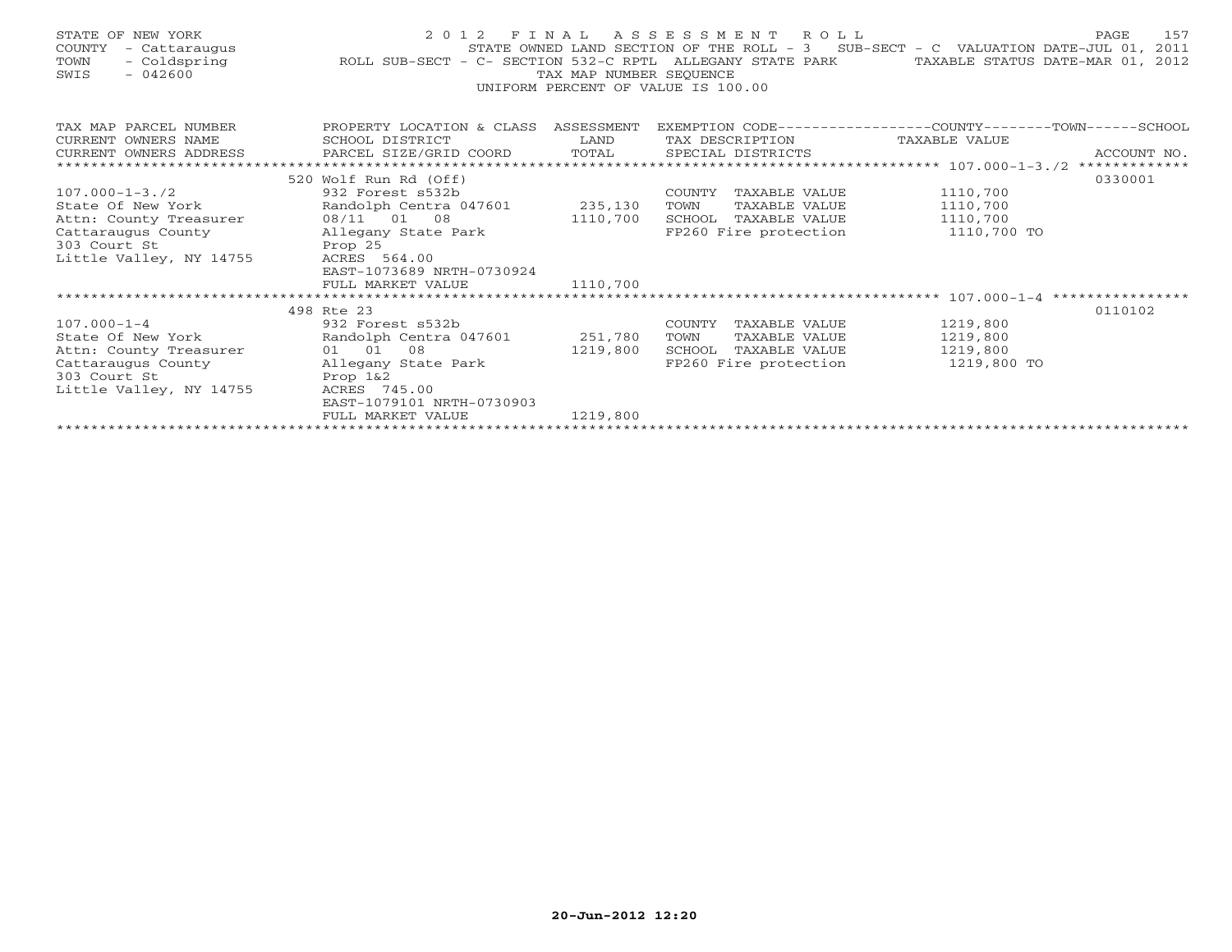| STATE OF NEW YORK<br>COUNTY - Cattaraugus<br>TOWN<br>$-042600$<br>SWIS                                                                                                                | 2012 FINAL ASSESSMENT ROLL<br>157<br>PAGE<br>STATE OWNED LAND SECTION OF THE ROLL - 3 SUB-SECT - C VALUATION DATE-JUL 01, 2011<br>STATE OWNED LAND SECTION OF THE ROLL - 3 SUB-SECT - C VALUATION DATE-JUL 01, 2011 - Coldspring - Coldspring ROLL SUB-SECT - C- SECTION 532-C RPTL ALLEGANY STATE PARK TAXABLE STATUS DATE-MAR 01, 2012<br>TAX MAP NUMBER SEOUENCE<br>UNIFORM PERCENT OF VALUE IS 100.00 |                      |                                                                                                      |                                                 |             |  |  |  |  |  |
|---------------------------------------------------------------------------------------------------------------------------------------------------------------------------------------|-----------------------------------------------------------------------------------------------------------------------------------------------------------------------------------------------------------------------------------------------------------------------------------------------------------------------------------------------------------------------------------------------------------|----------------------|------------------------------------------------------------------------------------------------------|-------------------------------------------------|-------------|--|--|--|--|--|
| TAX MAP PARCEL NUMBER<br>CURRENT OWNERS NAME<br>CURRENT OWNERS ADDRESS<br>*********************                                                                                       | PROPERTY LOCATION & CLASS ASSESSMENT<br>SCHOOL DISTRICT<br>PARCEL SIZE/GRID COORD TOTAL                                                                                                                                                                                                                                                                                                                   | <b>LAND</b>          | EXEMPTION CODE-----------------COUNTY-------TOWN------SCHOOL<br>TAX DESCRIPTION<br>SPECIAL DISTRICTS | TAXABLE VALUE                                   | ACCOUNT NO. |  |  |  |  |  |
|                                                                                                                                                                                       | 520 Wolf Run Rd (Off)                                                                                                                                                                                                                                                                                                                                                                                     |                      |                                                                                                      |                                                 | 0330001     |  |  |  |  |  |
| $107.000 - 1 - 3.72$<br>State Of New York<br>Attn: County Treasurer<br>Cattaraugus County<br>303 Court St<br>Prop 25<br>Little Valley, NY 14755                                       | 932 Forest s532b<br>Randolph Centra 047601 235,130<br>08/11 01 08<br>Allegany State Park<br>ACRES 564.00<br>EAST-1073689 NRTH-0730924<br>FULL MARKET VALUE                                                                                                                                                                                                                                                | 1110,700<br>1110,700 | COUNTY TAXABLE VALUE<br>TOWN<br>TAXABLE VALUE<br>SCHOOL TAXABLE VALUE<br>FP260 Fire protection       | 1110,700<br>1110,700<br>1110,700<br>1110,700 TO |             |  |  |  |  |  |
|                                                                                                                                                                                       | 498 Rte 23                                                                                                                                                                                                                                                                                                                                                                                                |                      |                                                                                                      |                                                 | 0110102     |  |  |  |  |  |
| $107.000 - 1 - 4$<br>State Of New York Randolph Centra 047601 251,780<br>Attn: County Treasurer<br>Cattaraugus County Mallegany State Park<br>303 Court St<br>Little Valley, NY 14755 | 932 Forest s532b<br>01 01 08<br>Prop 1&2<br>ACRES 745.00<br>EAST-1079101 NRTH-0730903                                                                                                                                                                                                                                                                                                                     | 1219,800             | COUNTY TAXABLE VALUE<br>TOWN<br>TAXABLE VALUE<br>TAXABLE VALUE<br>SCHOOL<br>FP260 Fire protection    | 1219,800<br>1219,800<br>1219,800<br>1219,800 TO |             |  |  |  |  |  |
|                                                                                                                                                                                       | FULL MARKET VALUE                                                                                                                                                                                                                                                                                                                                                                                         | 1219,800             |                                                                                                      |                                                 |             |  |  |  |  |  |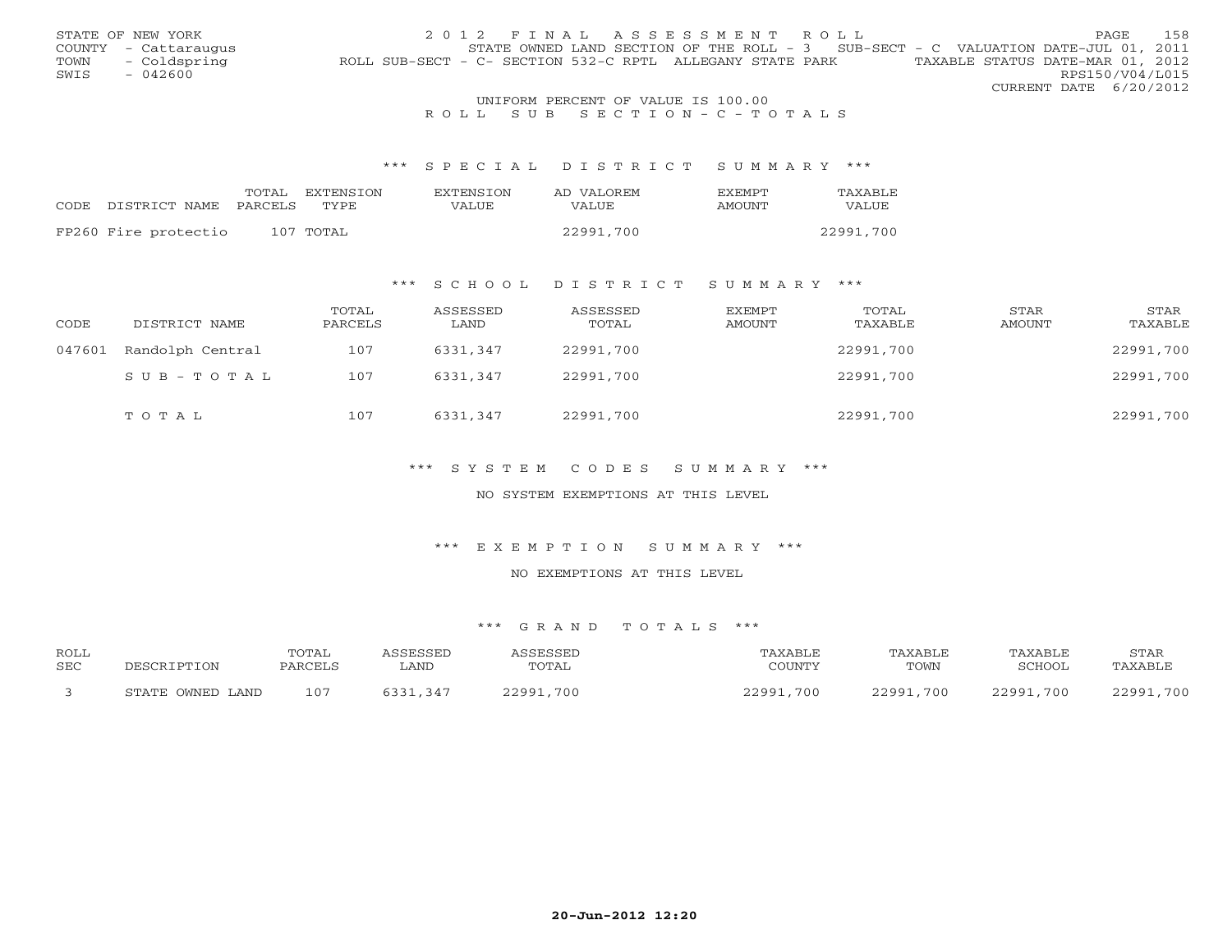|      | STATE OF NEW YORK    | 2012 FINAL ASSESSMENT ROLL                                                                    | <b>PAGE</b>     | 158 |
|------|----------------------|-----------------------------------------------------------------------------------------------|-----------------|-----|
|      | COUNTY - Cattaraugus | STATE OWNED LAND SECTION OF THE ROLL - 3 SUB-SECT - C VALUATION DATE-JUL 01, 2011             |                 |     |
| TOWN | - Coldspring         | TAXABLE STATUS DATE-MAR 01, 2012<br>ROLL SUB-SECT - C- SECTION 532-C RPTL ALLEGANY STATE PARK |                 |     |
| SWIS | $-042600$            |                                                                                               | RPS150/V04/L015 |     |
|      |                      | CURRENT DATE 6/20/2012                                                                        |                 |     |
|      |                      | UNIFORM PERCENT OF VALUE IS 100.00                                                            |                 |     |

# R O L L S U B S E C T I O N - C - T O T A L S

#### \*\*\* S P E C I A L D I S T R I C T S U M M A R Y \*\*\*

|                                 | TOTAL | EXTENSION | EXTENSTON | AD VALOREM | <b>FXFMPT</b> | TAXABLE   |
|---------------------------------|-------|-----------|-----------|------------|---------------|-----------|
| CODE DISTRICT NAME PARCELS TYPE |       |           | VALUE     | VALUE      | AMOUNT        | VALUE     |
|                                 |       |           |           |            |               |           |
| FP260 Fire protectio            |       | 107 TOTAL |           | 22991,700  |               | 22991,700 |

### \*\*\* S C H O O L D I S T R I C T S U M M A R Y \*\*\*

| CODE   | DISTRICT NAME    | TOTAL<br>PARCELS | ASSESSED<br>LAND | ASSESSED<br>TOTAL | EXEMPT<br>AMOUNT | TOTAL<br>TAXABLE | STAR<br>AMOUNT | STAR<br>TAXABLE |
|--------|------------------|------------------|------------------|-------------------|------------------|------------------|----------------|-----------------|
| 047601 | Randolph Central | 107              | 6331,347         | 22991,700         |                  | 22991,700        |                | 22991,700       |
|        | SUB-TOTAL        | 107              | 6331,347         | 22991,700         |                  | 22991,700        |                | 22991,700       |
|        | TOTAL            | 107              | 6331,347         | 22991,700         |                  | 22991,700        |                | 22991,700       |

### \*\*\* S Y S T E M C O D E S S U M M A R Y \*\*\*

#### NO SYSTEM EXEMPTIONS AT THIS LEVEL

#### \*\*\* E X E M P T I O N S U M M A R Y \*\*\*

#### NO EXEMPTIONS AT THIS LEVEL

| <b>ROLL</b> |                  | TOTAL   | <i><b>\SSESSED</b></i> | ASSESSED  | TAXABLE   | TAXABLE   | TAXABLE   | STAR      |
|-------------|------------------|---------|------------------------|-----------|-----------|-----------|-----------|-----------|
| <b>SEC</b>  | DESCRIPTION      | PARCELS | LAND                   | TOTAL     | COUNTY    | TOWN      | SCHOOL    | TAXABLE   |
|             | STATE OWNED LAND | 107     | 6331,347               | 22991,700 | 22991,700 | 22991,700 | 22991,700 | 22991,700 |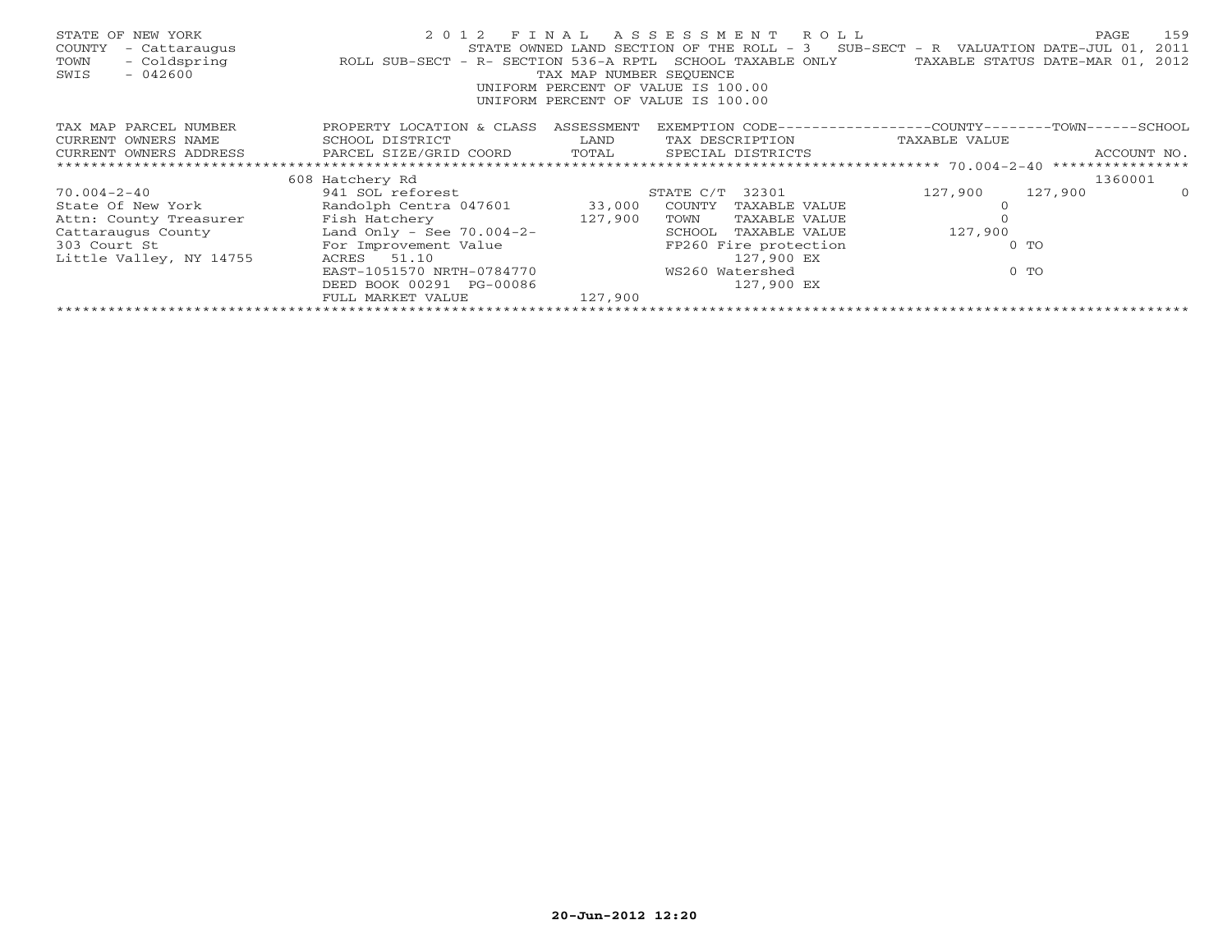| STATE OF NEW YORK<br>- Cattaraugus<br>COUNTY<br>- Coldspring<br>TOWN<br>SWIS<br>$-042600$ | 2 0 1 2<br>ROLL SUB-SECT - R- SECTION 536-A RPTL SCHOOL TAXABLE ONLY | TAX MAP NUMBER SEOUENCE | FINAL ASSESSMENT ROLL<br>STATE OWNED LAND SECTION OF THE ROLL - $3$ SUB-SECT - R VALUATION DATE-JUL 01,<br>UNIFORM PERCENT OF VALUE IS 100.00<br>UNIFORM PERCENT OF VALUE IS 100.00 |               | 159<br>PAGE<br>2011<br>TAXABLE STATUS DATE-MAR 01, 2012 |  |  |
|-------------------------------------------------------------------------------------------|----------------------------------------------------------------------|-------------------------|-------------------------------------------------------------------------------------------------------------------------------------------------------------------------------------|---------------|---------------------------------------------------------|--|--|
| TAX MAP PARCEL NUMBER                                                                     | PROPERTY LOCATION & CLASS                                            | ASSESSMENT              | EXEMPTION CODE-----------------COUNTY-------TOWN-----SCHOOL                                                                                                                         |               |                                                         |  |  |
| CURRENT OWNERS NAME                                                                       | SCHOOL DISTRICT                                                      | LAND                    | TAX DESCRIPTION                                                                                                                                                                     | TAXABLE VALUE |                                                         |  |  |
| CURRENT OWNERS ADDRESS                                                                    | PARCEL SIZE/GRID COORD TOTAL<br>ACCOUNT NO.<br>SPECIAL DISTRICTS     |                         |                                                                                                                                                                                     |               |                                                         |  |  |
|                                                                                           |                                                                      |                         |                                                                                                                                                                                     |               |                                                         |  |  |
|                                                                                           | 608 Hatchery Rd                                                      |                         |                                                                                                                                                                                     |               | 1360001                                                 |  |  |
| 70.004-2-40                                                                               | 941 SOL reforest                                                     |                         | STATE C/T 32301                                                                                                                                                                     | 127,900       | 127,900<br>$\Omega$                                     |  |  |
| State Of New York State Of New York                                                       | Randolph Centra 047601 33,000                                        |                         | COUNTY<br>TAXABLE VALUE                                                                                                                                                             |               |                                                         |  |  |
| Attn: County Treasurer                                                                    |                                                                      |                         | TOWN<br>TAXABLE VALUE                                                                                                                                                               |               |                                                         |  |  |
| Cattaraugus County Land Only - See 70.004-2-                                              |                                                                      |                         | SCHOOL<br>TAXABLE VALUE                                                                                                                                                             | 127,900       |                                                         |  |  |
| 303 Court St                                                                              | For Improvement Value                                                |                         | FP260 Fire protection                                                                                                                                                               | $0$ TO        |                                                         |  |  |
| Little Valley, NY 14755                                                                   | 51.10<br>ACRES                                                       |                         | 127,900 EX                                                                                                                                                                          |               |                                                         |  |  |
|                                                                                           | EAST-1051570 NRTH-0784770                                            |                         | WS260 Watershed                                                                                                                                                                     | $0$ TO        |                                                         |  |  |
|                                                                                           | DEED BOOK 00291 PG-00086                                             |                         | 127,900 EX                                                                                                                                                                          |               |                                                         |  |  |
|                                                                                           | FULL MARKET VALUE                                                    | 127,900                 |                                                                                                                                                                                     |               |                                                         |  |  |
|                                                                                           |                                                                      |                         |                                                                                                                                                                                     |               |                                                         |  |  |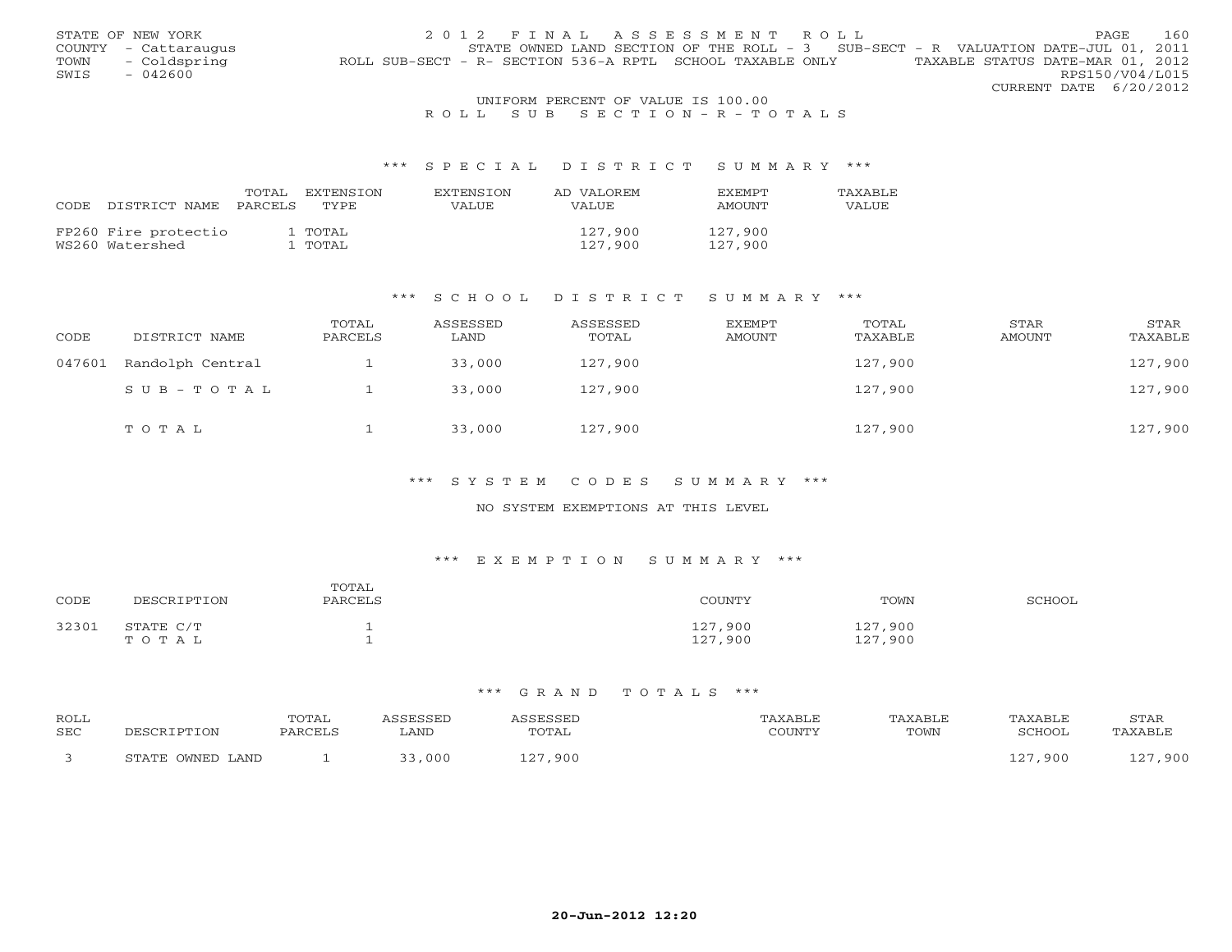|      | STATE OF NEW YORK    | 2012 FINAL ASSESSMENT ROLL                                                                    | PAGE.                  | 160 |
|------|----------------------|-----------------------------------------------------------------------------------------------|------------------------|-----|
|      | COUNTY - Cattaraugus | STATE OWNED LAND SECTION OF THE ROLL - 3 SUB-SECT - R VALUATION DATE-JUL 01, 2011             |                        |     |
| TOWN | - Coldspring         | TAXABLE STATUS DATE-MAR 01, 2012<br>ROLL SUB-SECT - R- SECTION 536-A RPTL SCHOOL TAXABLE ONLY |                        |     |
| SWIS | $-042600$            |                                                                                               | RPS150/V04/L015        |     |
|      |                      |                                                                                               | CURRENT DATE 6/20/2012 |     |
|      |                      | UNIFORM PERCENT OF VALUE IS 100.00                                                            |                        |     |

# R O L L S U B S E C T I O N - R - T O T A L S

#### \*\*\* S P E C I A L D I S T R I C T S U M M A R Y \*\*\*

| CODE | DISTRICT NAME                           | TOTAL<br>PARCELS | EXTENSTON<br>TYPE. | EXTENSTON<br>VALUE | AD VALOREM<br>VALUE | <b>FXFMPT</b><br>AMOUNT | TAXABLF<br>VALUE |
|------|-----------------------------------------|------------------|--------------------|--------------------|---------------------|-------------------------|------------------|
|      | FP260 Fire protectio<br>WS260 Watershed |                  | 1 TOTAL<br>l TOTAL |                    | 127.900<br>127,900  | 127,900<br>127,900      |                  |

#### \*\*\* S C H O O L D I S T R I C T S U M M A R Y \*\*\*

| CODE   | DISTRICT NAME    | TOTAL<br>PARCELS | ASSESSED<br>LAND | ASSESSED<br>TOTAL | <b>EXEMPT</b><br>AMOUNT | TOTAL<br>TAXABLE | STAR<br>AMOUNT | STAR<br>TAXABLE |
|--------|------------------|------------------|------------------|-------------------|-------------------------|------------------|----------------|-----------------|
| 047601 | Randolph Central |                  | 33,000           | 127,900           |                         | 127,900          |                | 127,900         |
|        | SUB-TOTAL        |                  | 33,000           | 127,900           |                         | 127,900          |                | 127,900         |
|        | TOTAL            |                  | 33,000           | 127,900           |                         | 127,900          |                | 127,900         |

#### \*\*\* S Y S T E M C O D E S S U M M A R Y \*\*\*

### NO SYSTEM EXEMPTIONS AT THIS LEVEL

# \*\*\* E X E M P T I O N S U M M A R Y \*\*\*

| CODE  | DESCRIPTION        | TOTAL<br>PARCELS | COUNTY             | TOWN               | SCHOOL |
|-------|--------------------|------------------|--------------------|--------------------|--------|
| 32301 | STATE C/T<br>TOTAL |                  | 127,900<br>127,900 | 127,900<br>127,900 |        |

| ROLL |                  | TOTAL   | ASSESSED | ASSESSED | TAXABLE | TAXABLE | TAXABLE | STAR    |
|------|------------------|---------|----------|----------|---------|---------|---------|---------|
| SEC  | DESCRIPTION      | PARCELS | . AND    | TOTAL    | COUNTY  | TOWN    | SCHOOL  | TAXABLE |
|      | STATE OWNED LAND |         | 33,000   | 127,900  |         |         | 127,900 | 127,900 |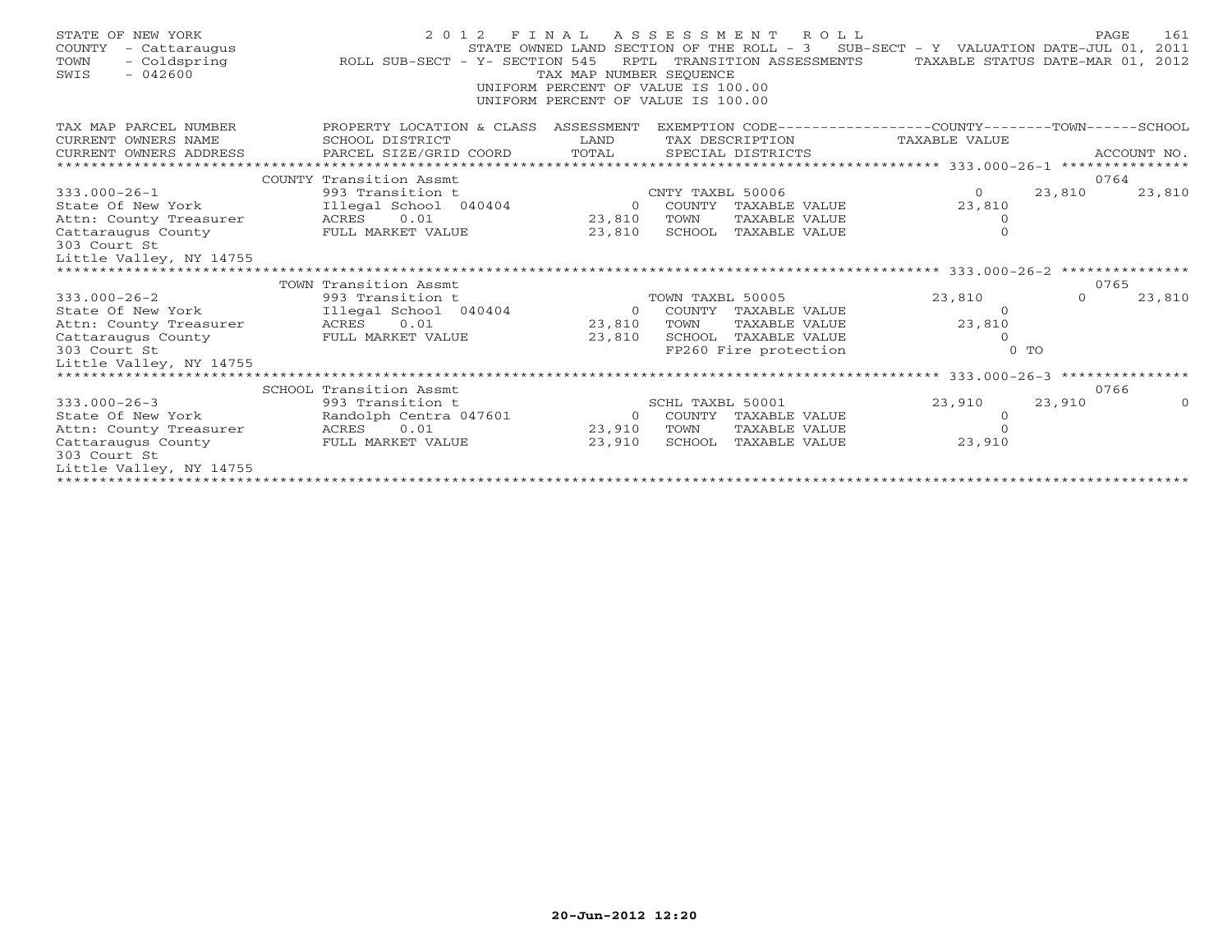| STATE OF NEW YORK<br><b>COUNTY</b><br>- Cattaraugus<br>TOWN<br>- Coldspring<br>$-042600$<br>SWIS | 2 0 1 2<br>ROLL SUB-SECT - Y- SECTION 545 | FINAL<br>TAX MAP NUMBER SEOUENCE<br>UNIFORM PERCENT OF VALUE IS 100.00<br>UNIFORM PERCENT OF VALUE IS 100.00 |                  | A S S E S S M E N T R O L L<br>STATE OWNED LAND SECTION OF THE ROLL - $3$ SUB-SECT - Y VALUATION DATE-JUL 01,<br>RPTL TRANSITION ASSESSMENTS | TAXABLE STATUS DATE-MAR 01, |                | 161<br>PAGE<br>2011<br>2012 |
|--------------------------------------------------------------------------------------------------|-------------------------------------------|--------------------------------------------------------------------------------------------------------------|------------------|----------------------------------------------------------------------------------------------------------------------------------------------|-----------------------------|----------------|-----------------------------|
| TAX MAP PARCEL NUMBER                                                                            | PROPERTY LOCATION & CLASS                 | ASSESSMENT                                                                                                   |                  | EXEMPTION CODE-----------------COUNTY-------TOWN------SCHOOL                                                                                 |                             |                |                             |
| CURRENT OWNERS NAME                                                                              | SCHOOL DISTRICT                           | LAND                                                                                                         |                  | TAX DESCRIPTION                                                                                                                              | TAXABLE VALUE               |                |                             |
| CURRENT OWNERS ADDRESS                                                                           | PARCEL SIZE/GRID COORD                    | TOTAL                                                                                                        |                  | SPECIAL DISTRICTS                                                                                                                            |                             |                | ACCOUNT NO.                 |
|                                                                                                  |                                           |                                                                                                              |                  |                                                                                                                                              |                             |                |                             |
|                                                                                                  | COUNTY Transition Assmt                   |                                                                                                              |                  |                                                                                                                                              |                             |                | 0764                        |
| $333.000 - 26 - 1$                                                                               | 993 Transition t                          |                                                                                                              | CNTY TAXBL 50006 |                                                                                                                                              | $\Omega$                    | 23,810         | 23,810                      |
| State Of New York                                                                                | Illegal School 040404<br>0.01             | $\Omega$<br>23,810                                                                                           | TOWN             | COUNTY TAXABLE VALUE<br>TAXABLE VALUE                                                                                                        | 23,810                      |                |                             |
| Attn: County Treasurer<br>Cattaraugus County                                                     | ACRES<br>FULL MARKET VALUE                | 23,810                                                                                                       |                  | SCHOOL TAXABLE VALUE                                                                                                                         | 0<br>$\Omega$               |                |                             |
| 303 Court St                                                                                     |                                           |                                                                                                              |                  |                                                                                                                                              |                             |                |                             |
| Little Valley, NY 14755                                                                          |                                           |                                                                                                              |                  |                                                                                                                                              |                             |                |                             |
|                                                                                                  |                                           |                                                                                                              |                  |                                                                                                                                              |                             |                |                             |
|                                                                                                  | TOWN Transition Assmt                     |                                                                                                              |                  |                                                                                                                                              |                             |                | 0765                        |
| $333.000 - 26 - 2$                                                                               | 993 Transition t                          |                                                                                                              | TOWN TAXBL 50005 |                                                                                                                                              | 23,810                      | $\Omega$       | 23,810                      |
| State Of New York                                                                                | Illegal School 040404                     | $\Omega$                                                                                                     |                  | COUNTY TAXABLE VALUE                                                                                                                         | - 0                         |                |                             |
| Attn: County Treasurer                                                                           | 0.01<br>ACRES                             | 23,810                                                                                                       | TOWN             | TAXABLE VALUE                                                                                                                                | 23,810                      |                |                             |
| Cattaraugus County                                                                               | FULL MARKET VALUE                         | 23,810                                                                                                       |                  | SCHOOL TAXABLE VALUE                                                                                                                         |                             |                |                             |
| 303 Court St                                                                                     |                                           |                                                                                                              |                  | FP260 Fire protection                                                                                                                        |                             | 0 <sub>0</sub> |                             |
| Little Valley, NY 14755                                                                          |                                           |                                                                                                              |                  |                                                                                                                                              |                             |                |                             |
|                                                                                                  | SCHOOL Transition Assmt                   |                                                                                                              |                  |                                                                                                                                              |                             |                | 0766                        |
| $333.000 - 26 - 3$                                                                               | 993 Transition t                          |                                                                                                              | SCHL TAXBL 50001 |                                                                                                                                              | 23,910                      | 23,910         |                             |
| State Of New York                                                                                | Randolph Centra 047601                    | $\overline{0}$                                                                                               |                  | COUNTY TAXABLE VALUE                                                                                                                         | 0                           |                |                             |
| Attn: County Treasurer                                                                           | ACRES 0.01                                | 23,910                                                                                                       | TOWN             | TAXABLE VALUE                                                                                                                                | $\Omega$                    |                |                             |
| Cattaraugus County                                                                               | FULL MARKET VALUE                         | 23,910                                                                                                       |                  | SCHOOL TAXABLE VALUE                                                                                                                         | 23,910                      |                |                             |
| 303 Court St                                                                                     |                                           |                                                                                                              |                  |                                                                                                                                              |                             |                |                             |
| Little Valley, NY 14755                                                                          |                                           |                                                                                                              |                  |                                                                                                                                              |                             |                |                             |
|                                                                                                  |                                           |                                                                                                              |                  |                                                                                                                                              |                             |                |                             |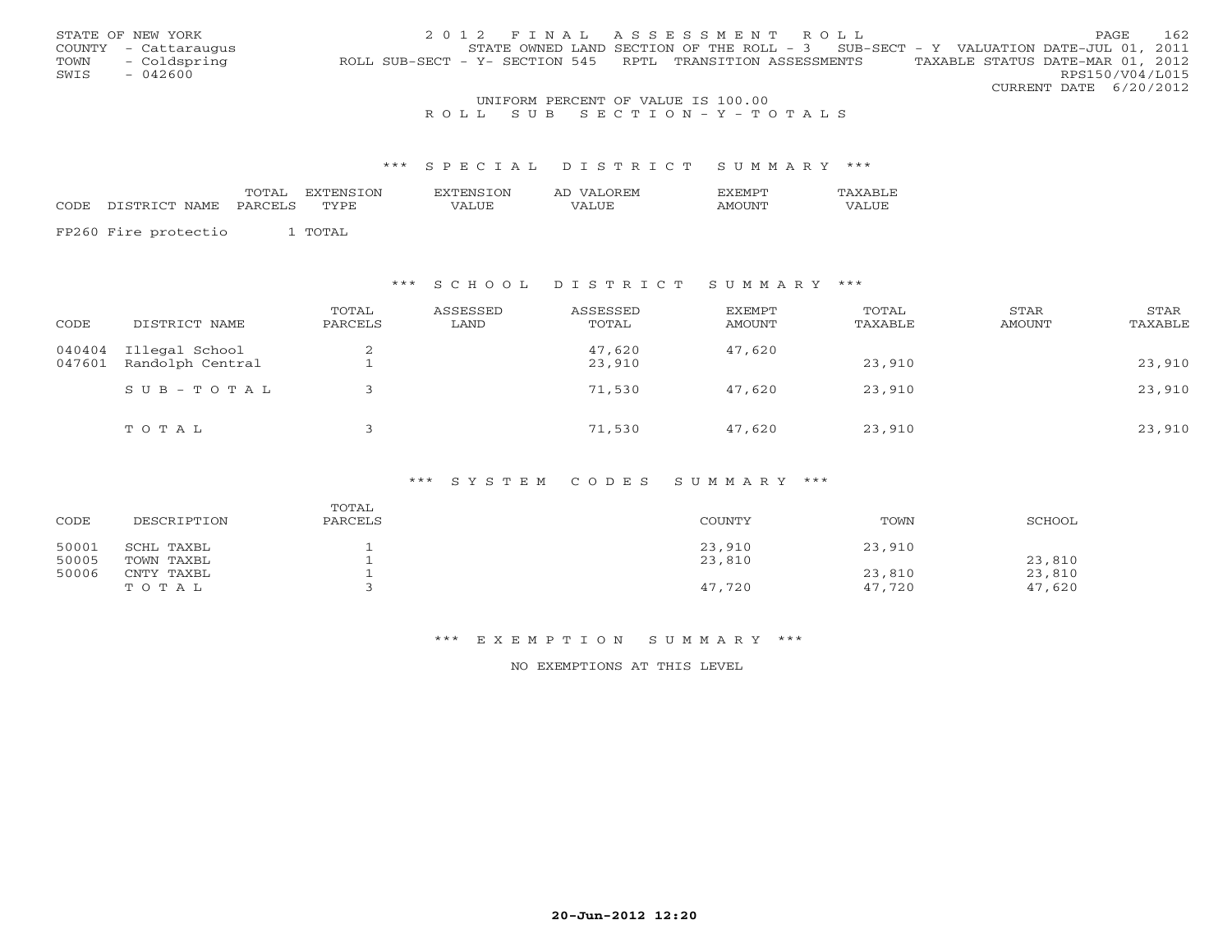|      | STATE OF NEW YORK    | 2012 FINAL ASSESSMENT ROLL                                                                     | <b>PAGE</b>            | - 162 |
|------|----------------------|------------------------------------------------------------------------------------------------|------------------------|-------|
|      | COUNTY - Cattaraugus | STATE OWNED LAND SECTION OF THE ROLL - 3 SUB-SECT - Y VALUATION DATE-JUL 01, 2011              |                        |       |
| TOWN | - Coldspring         | TAXABLE STATUS DATE-MAR 01, 2012<br>ROLL SUB-SECT - Y- SECTION 545 RPTL TRANSITION ASSESSMENTS |                        |       |
| SWIS | $-042600$            |                                                                                                | RPS150/V04/L015        |       |
|      |                      |                                                                                                | CURRENT DATE 6/20/2012 |       |
|      |                      | UNIFORM PERCENT OF VALUE IS 100.00                                                             |                        |       |

# R O L L S U B S E C T I O N - Y - T O T A L S

#### \*\*\* S P E C I A L D I S T R I C T S U M M A R Y \*\*\*

|                            | TOTAL | EXTENSION | EXTENSION | AD VALOREM   | <b>FXFMPT</b> | TAXARLE |
|----------------------------|-------|-----------|-----------|--------------|---------------|---------|
| CODE DISTRICT NAME PARCELS |       | TYPE      | VALUE     | <b>VALUE</b> | <b>AMOUNT</b> | VALUE   |
|                            |       |           |           |              |               |         |
| FP260 Fire protectio       |       | TOTAL     |           |              |               |         |

### \*\*\* S C H O O L D I S T R I C T S U M M A R Y \*\*\*

| CODE             | DISTRICT NAME                      | TOTAL<br>PARCELS | ASSESSED<br>LAND | ASSESSED<br>TOTAL | <b>EXEMPT</b><br>AMOUNT | TOTAL<br>TAXABLE | STAR<br>AMOUNT | STAR<br>TAXABLE |
|------------------|------------------------------------|------------------|------------------|-------------------|-------------------------|------------------|----------------|-----------------|
| 040404<br>047601 | Illegal School<br>Randolph Central |                  |                  | 47,620<br>23,910  | 47,620                  | 23,910           |                | 23,910          |
|                  | $SUB - TO T AL$                    |                  |                  | 71,530            | 47,620                  | 23,910           |                | 23,910          |
|                  | TOTAL                              |                  |                  | 71,530            | 47,620                  | 23,910           |                | 23,910          |

#### \*\*\* S Y S T E M C O D E S S U M M A R Y \*\*\*

| CODE           | DESCRIPTION              | TOTAL<br>PARCELS | COUNTY           | TOWN             | SCHOOL           |
|----------------|--------------------------|------------------|------------------|------------------|------------------|
| 50001<br>50005 | SCHL TAXBL<br>TOWN TAXBL |                  | 23,910<br>23,810 | 23,910           | 23,810           |
| 50006          | CNTY TAXBL<br>TOTAL      |                  | 47,720           | 23,810<br>47,720 | 23,810<br>47,620 |

### \*\*\* E X E M P T I O N S U M M A R Y \*\*\*

NO EXEMPTIONS AT THIS LEVEL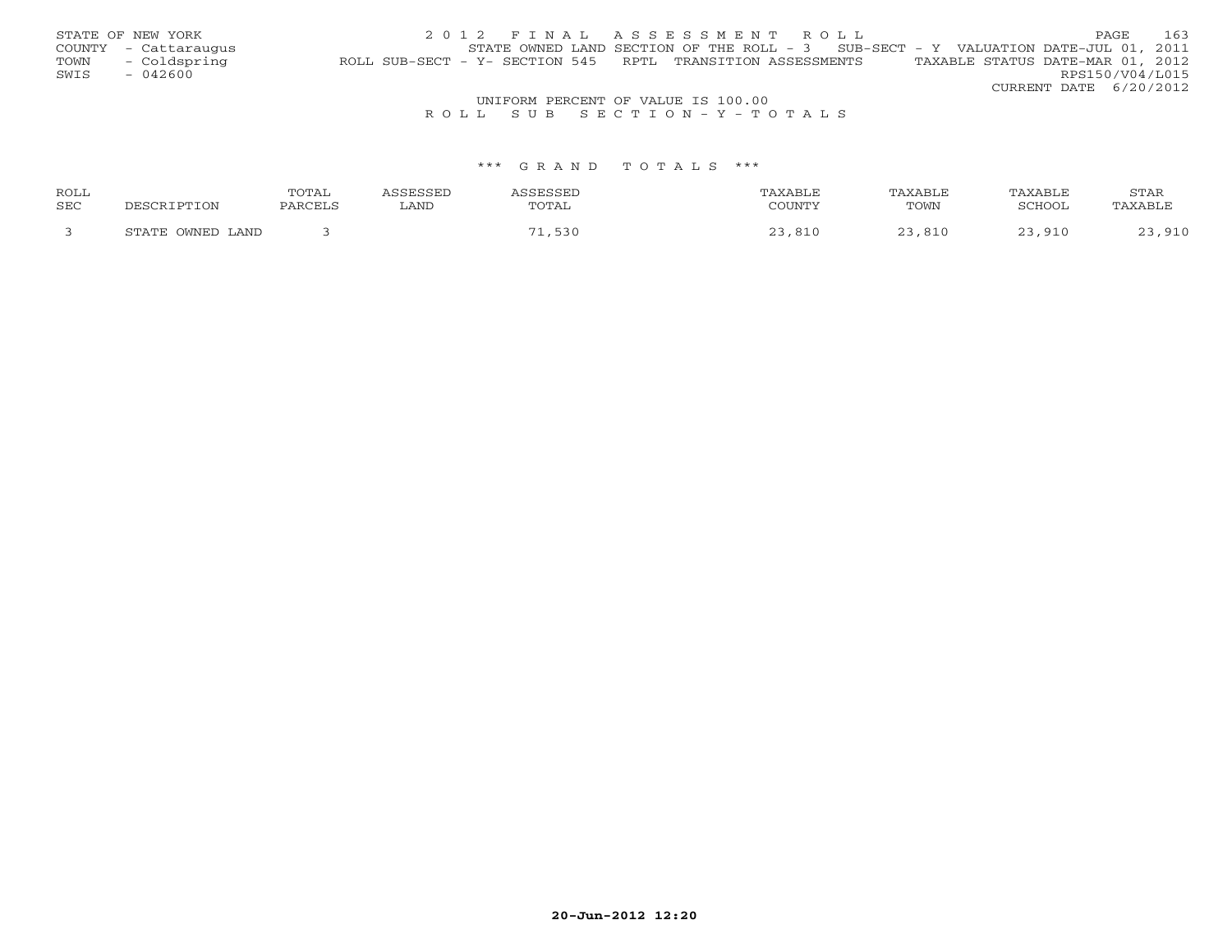|      | STATE OF NEW YORK    | 2012 FINAL ASSESSMENT ROLL                                                                     | PAGE            | 163 |
|------|----------------------|------------------------------------------------------------------------------------------------|-----------------|-----|
|      | COUNTY - Cattaraugus | STATE OWNED LAND SECTION OF THE ROLL - 3 SUB-SECT - Y VALUATION DATE-JUL 01, 2011              |                 |     |
| TOWN | - Coldspring         | TAXABLE STATUS DATE-MAR 01, 2012<br>ROLL SUB-SECT - Y- SECTION 545 RPTL TRANSITION ASSESSMENTS |                 |     |
| SWIS | - 042600             |                                                                                                | RPS150/V04/L015 |     |
|      |                      | CURRENT DATE 6/20/2012                                                                         |                 |     |
|      |                      | UNIFORM PERCENT OF VALUE IS 100.00                                                             |                 |     |

# R O L L S U B S E C T I O N - Y - T O T A L S

| ROLL |                                        | TOTAL   |      |      | TAXABLE |        | STAF |
|------|----------------------------------------|---------|------|------|---------|--------|------|
| SEC  |                                        | זסי מתר | LAND | OTAL | TOWN    | 701100 |      |
|      | $\bigcap \text{MINIT}$<br>ᅂᇚᇧᇭᅲ<br>AND |         |      |      |         |        |      |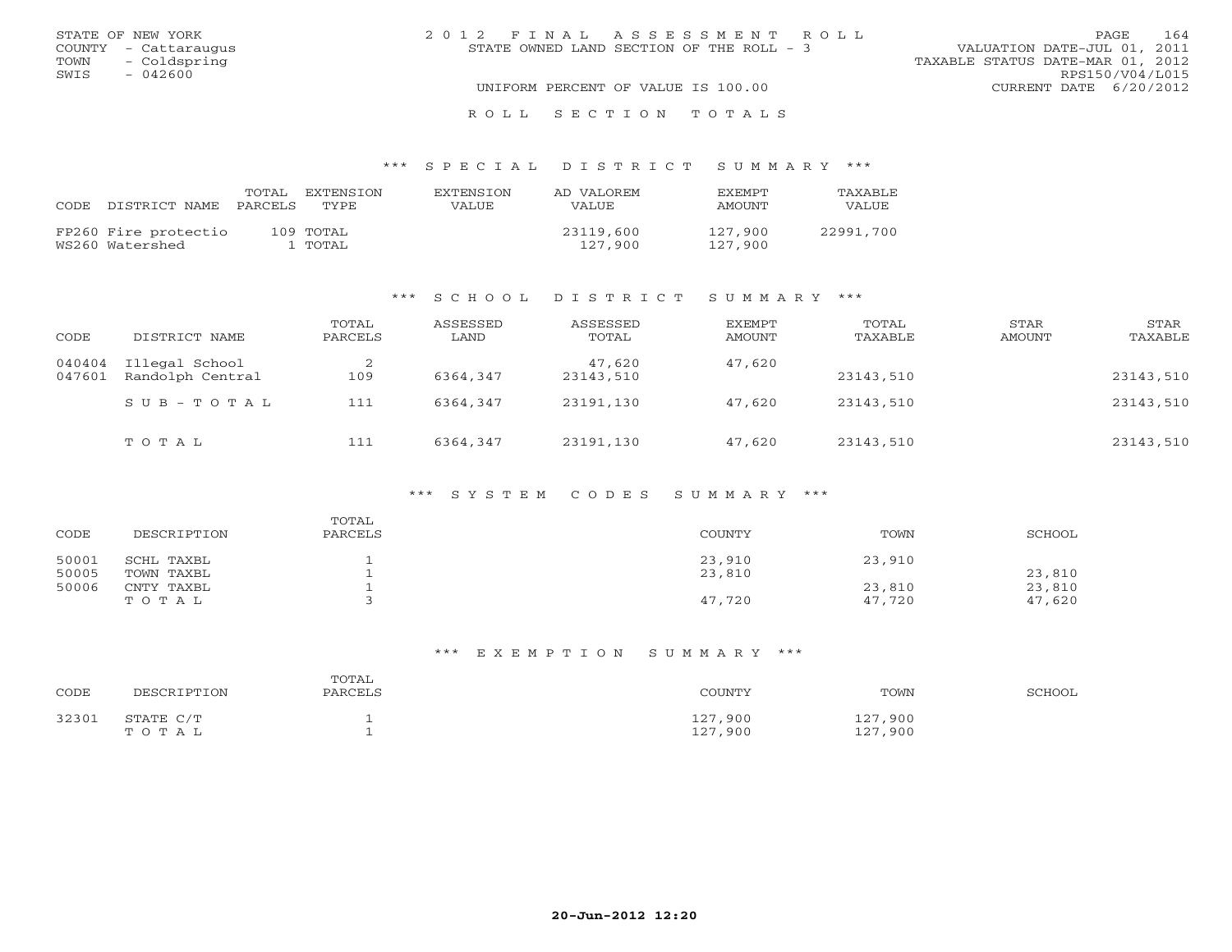| STATE OF NEW YORK    | 2012 FINAL ASSESSMENT ROLL                 | 164<br>PAGE.                     |
|----------------------|--------------------------------------------|----------------------------------|
| COUNTY - Cattaraugus | STATE OWNED LAND SECTION OF THE ROLL $-$ 3 | VALUATION DATE-JUL 01, 2011      |
| TOWN - Coldspring    |                                            | TAXABLE STATUS DATE-MAR 01, 2012 |
| SWIS<br>$-042600$    |                                            | RPS150/V04/L015                  |
|                      | UNIFORM PERCENT OF VALUE IS 100.00         | CURRENT DATE 6/20/2012           |
|                      | ROLL SECTION TOTALS                        |                                  |

#### \*\*\* S P E C I A L D I S T R I C T S U M M A R Y \*\*\*

| CODE. | DISTRICT NAME PARCELS                   | TOTAL | EXTENSTON<br>TYPE    | EXTENSTON<br>VALUE | AD VALOREM<br><b>VALUE</b> | <b>FXFMPT</b><br>AMOUNT | <b>TAXABLE</b><br>VALUE |
|-------|-----------------------------------------|-------|----------------------|--------------------|----------------------------|-------------------------|-------------------------|
|       | FP260 Fire protectio<br>WS260 Watershed |       | 109 TOTAL<br>1 TOTAL |                    | 23119,600<br>127,900       | 127.900<br>127,900      | 22991,700               |

#### \*\*\* S C H O O L D I S T R I C T S U M M A R Y \*\*\*

| CODE             | DISTRICT NAME                      | TOTAL<br>PARCELS | ASSESSED<br>LAND | ASSESSED<br>TOTAL   | EXEMPT<br>AMOUNT | TOTAL<br>TAXABLE | STAR<br>AMOUNT | STAR<br>TAXABLE |
|------------------|------------------------------------|------------------|------------------|---------------------|------------------|------------------|----------------|-----------------|
| 040404<br>047601 | Illegal School<br>Randolph Central | 109              | 6364,347         | 47,620<br>23143,510 | 47,620           | 23143,510        |                | 23143,510       |
|                  | SUB-TOTAL                          | 111              | 6364,347         | 23191,130           | 47,620           | 23143,510        |                | 23143,510       |
|                  | TOTAL                              | 111              | 6364,347         | 23191,130           | 47,620           | 23143,510        |                | 23143,510       |

#### \*\*\* S Y S T E M C O D E S S U M M A R Y \*\*\*

| CODE  | DESCRIPTION | TOTAL<br>PARCELS | COUNTY | TOWN   | SCHOOL |
|-------|-------------|------------------|--------|--------|--------|
| 50001 | SCHL TAXBL  |                  | 23,910 | 23,910 |        |
| 50005 | TOWN TAXBL  |                  | 23,810 |        | 23,810 |
| 50006 | CNTY TAXBL  |                  |        | 23,810 | 23,810 |
|       | TOTAL       |                  | 47,720 | 47,720 | 47,620 |

# \*\*\* E X E M P T I O N S U M M A R Y \*\*\*

| CODE  | DESCRIPTION        | TOTAL<br>PARCELS | COUNTY             | TOWN               | SCHOOL |
|-------|--------------------|------------------|--------------------|--------------------|--------|
| 32301 | STATE C/T<br>TOTAL |                  | 127,900<br>127,900 | 127,900<br>127,900 |        |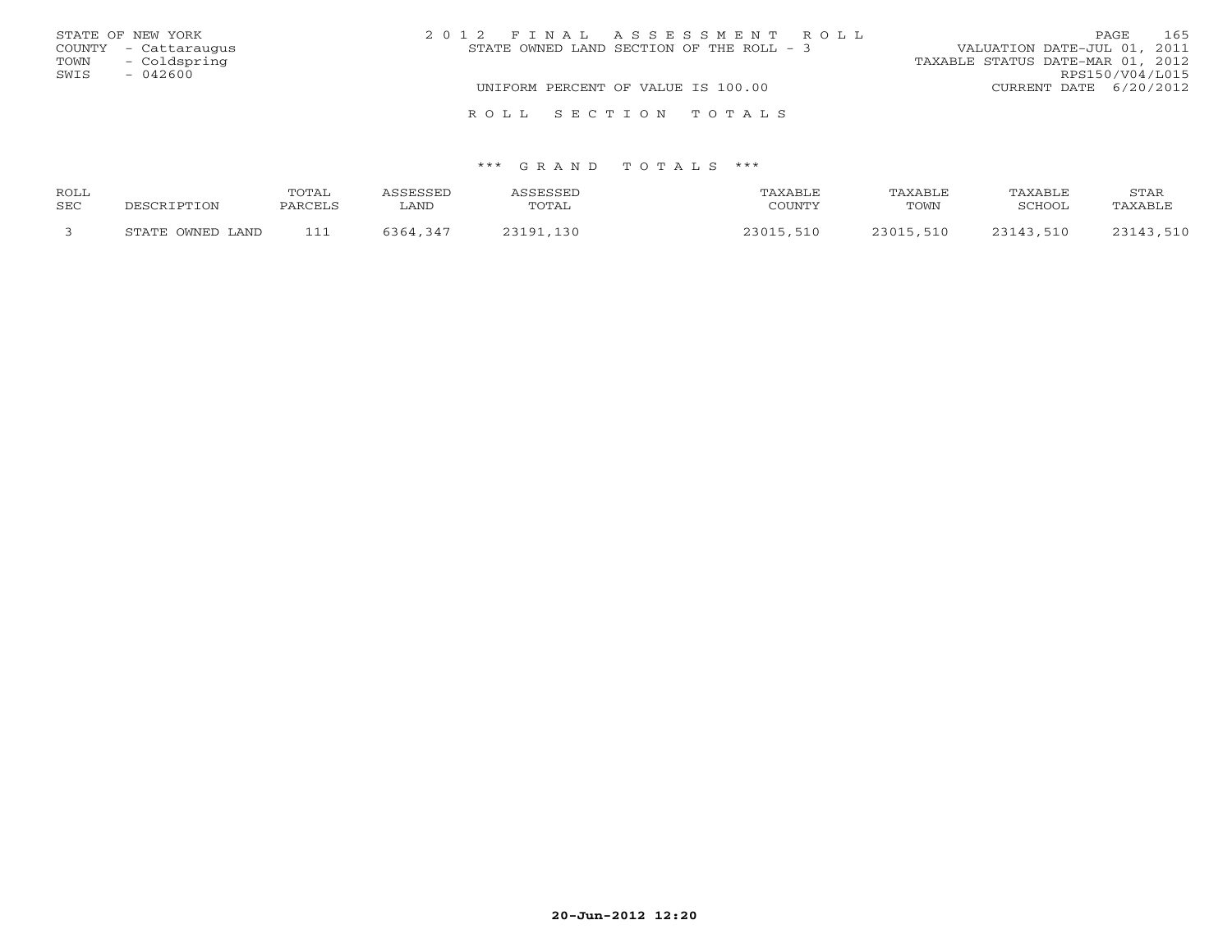|      | STATE OF NEW YORK    | 2012 FINAL ASSESSMENT ROLL               | 165<br>PAGE                      |
|------|----------------------|------------------------------------------|----------------------------------|
|      | COUNTY - Cattaraugus | STATE OWNED LAND SECTION OF THE ROLL - 3 | VALUATION DATE-JUL 01, 2011      |
| TOWN | - Coldspring         |                                          | TAXABLE STATUS DATE-MAR 01, 2012 |
| SWIS | $-042600$            |                                          | RPS150/V04/L015                  |
|      |                      | UNIFORM PERCENT OF VALUE IS 100.00       | CURRENT DATE 6/20/2012           |
|      |                      | ROLL SECTION TOTALS                      |                                  |

| ROLL |                  | <b>TOTAI</b> | ASSESSED | ASSESSED  | TAXABLE   | TAXABLE   | <b>TAXABLE</b> | STAR      |
|------|------------------|--------------|----------|-----------|-----------|-----------|----------------|-----------|
| SEC  | DESCRIPTION      | PARCELS      | ∟AND     | TOTAL     | COUNTY    | TOWN      | SCHOOL         | TAXABLE   |
|      | STATE OWNED LAND | 111          | 5364,347 | 23191,130 | 23015,510 | 23015,510 | 23143,510      | 23143,510 |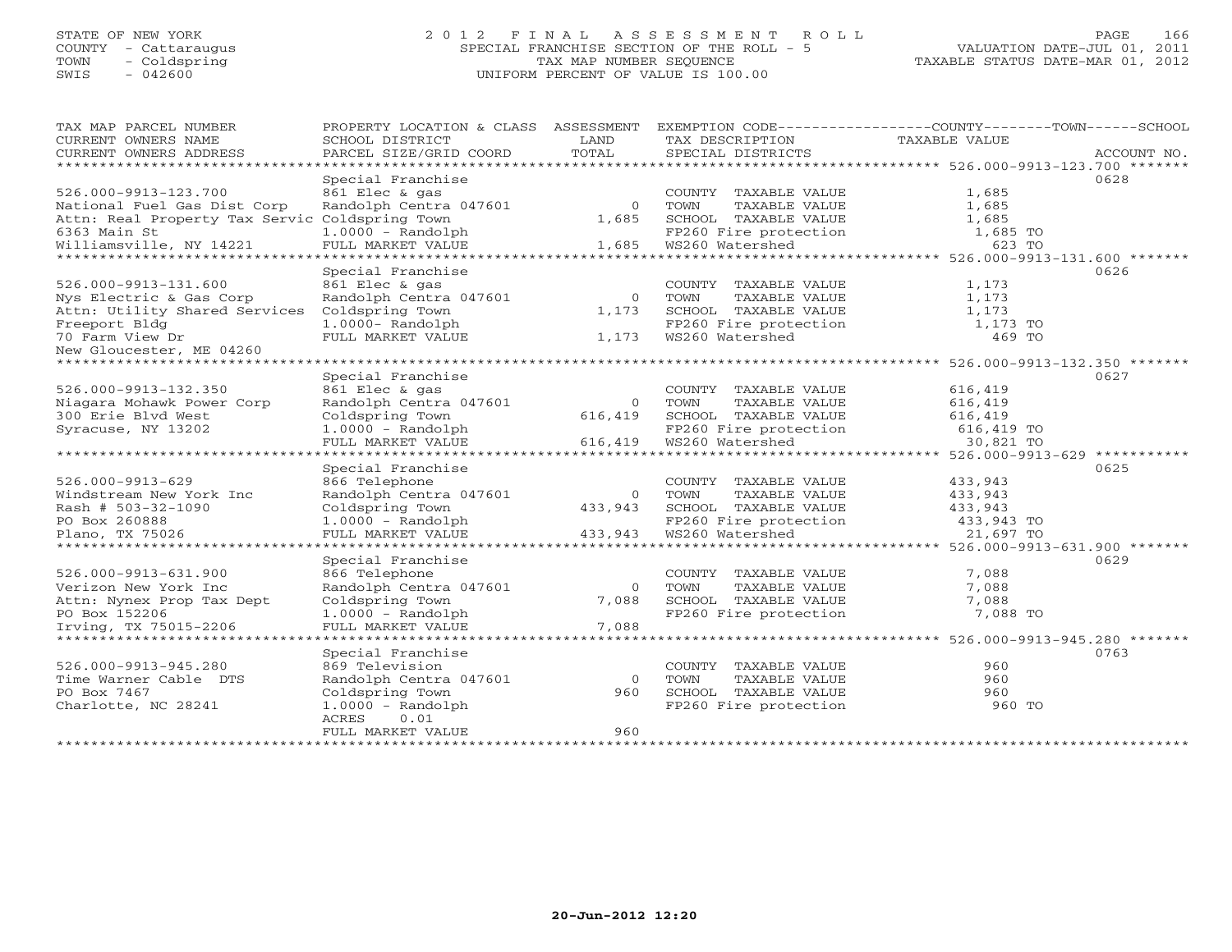# STATE OF NEW YORK 2 0 1 2 F I N A L A S S E S S M E N T R O L L PAGE 166 COUNTY - Cattaraugus SPECIAL FRANCHISE SECTION OF THE ROLL - 5 VALUATION DATE-JUL 01, 2011 TOWN - Coldspring TAX MAP NUMBER SEQUENCE TAXABLE STATUS DATE-MAR 01, 2012 SWIS - 042600 UNIFORM PERCENT OF VALUE IS 100.00UNIFORM PERCENT OF VALUE IS 100.00

| TAX MAP PARCEL NUMBER                               | PROPERTY LOCATION & CLASS ASSESSMENT |                |                       | EXEMPTION CODE----------------COUNTY-------TOWN------SCHOOL    |             |
|-----------------------------------------------------|--------------------------------------|----------------|-----------------------|----------------------------------------------------------------|-------------|
| CURRENT OWNERS NAME                                 | SCHOOL DISTRICT                      | T.AND          | TAX DESCRIPTION       | TAXABLE VALUE                                                  |             |
| CURRENT OWNERS ADDRESS<br>************************  | PARCEL SIZE/GRID COORD               | TOTAL          | SPECIAL DISTRICTS     |                                                                | ACCOUNT NO. |
|                                                     |                                      |                |                       |                                                                |             |
|                                                     | Special Franchise                    |                |                       |                                                                | 0628        |
| 526.000-9913-123.700                                | 861 Elec & gas                       |                | COUNTY TAXABLE VALUE  | 1,685                                                          |             |
| National Fuel Gas Dist Corp                         | Randolph Centra 047601               | $\overline{0}$ | TOWN<br>TAXABLE VALUE | 1,685                                                          |             |
| Attn: Real Property Tax Servic Coldspring Town      |                                      | 1,685          | SCHOOL TAXABLE VALUE  | 1,685                                                          |             |
| 6363 Main St                                        | $1.0000 - Random$                    |                | FP260 Fire protection | 1,685 TO                                                       |             |
| Williamsville, NY 14221                             | FULL MARKET VALUE                    | 1,685          | WS260 Watershed       | 623 TO                                                         |             |
|                                                     | Special Franchise                    |                |                       |                                                                | 0626        |
| 526.000-9913-131.600                                | 861 Elec & gas                       |                | COUNTY TAXABLE VALUE  | 1,173                                                          |             |
| Nys Electric & Gas Corp                             | Randolph Centra 047601               | $\overline{0}$ | TOWN<br>TAXABLE VALUE | 1,173                                                          |             |
| Attn: Utility Shared Services                       | Coldspring Town                      |                |                       |                                                                |             |
|                                                     |                                      | 1,173          | SCHOOL TAXABLE VALUE  | 1,173                                                          |             |
| Freeport Bldg                                       | $1.0000 - Random$                    |                | FP260 Fire protection | 1,173 TO                                                       |             |
| 70 Farm View Dr                                     | FULL MARKET VALUE                    | 1,173          | WS260 Watershed       | 469 TO                                                         |             |
| New Gloucester, ME 04260<br>*********************** |                                      |                |                       |                                                                |             |
|                                                     | Special Franchise                    |                |                       |                                                                | 0627        |
| 526.000-9913-132.350                                | 861 Elec & gas                       |                | COUNTY TAXABLE VALUE  | 616,419                                                        |             |
| Niagara Mohawk Power Corp                           | Randolph Centra 047601               | $\Omega$       | TOWN<br>TAXABLE VALUE | 616,419                                                        |             |
| 300 Erie Blvd West                                  | Coldspring Town                      | 616,419        | SCHOOL TAXABLE VALUE  | 616,419                                                        |             |
| Syracuse, NY 13202                                  | $1.0000 - Random$                    |                | FP260 Fire protection |                                                                |             |
|                                                     | FULL MARKET VALUE                    | 616,419        | WS260 Watershed       | 616,419 TO<br>30,821 TO                                        |             |
| *******************                                 | **************************           | ************   |                       | ******** 526.000-9913-629                                      |             |
|                                                     | Special Franchise                    |                |                       |                                                                | 0625        |
| $526.000 - 9913 - 629$                              | 866 Telephone                        |                | COUNTY TAXABLE VALUE  | 433,943                                                        |             |
| Windstream New York Inc                             | Randolph Centra 047601               | $\Omega$       | TOWN<br>TAXABLE VALUE | 433,943                                                        |             |
| Rash # 503-32-1090                                  | Coldspring Town                      | 433,943        | SCHOOL TAXABLE VALUE  | 433,943                                                        |             |
| PO Box 260888                                       | $1.0000 - Random$                    |                | FP260 Fire protection | 433,943 TO                                                     |             |
| Plano, TX 75026                                     | FULL MARKET VALUE                    | 433,943        | WS260 Watershed       | 21,697 TO                                                      |             |
| ********************                                | *********************                |                |                       | ********************************* 526.000-9913-631.900 ******* |             |
|                                                     | Special Franchise                    |                |                       |                                                                | 0629        |
| 526.000-9913-631.900                                | 866 Telephone                        |                | COUNTY TAXABLE VALUE  | 7,088                                                          |             |
| Verizon New York Inc                                | Randolph Centra 047601               | $\Omega$       | TOWN<br>TAXABLE VALUE | 7,088                                                          |             |
| Attn: Nynex Prop Tax Dept                           | Coldspring Town                      | 7,088          | SCHOOL TAXABLE VALUE  | 7,088                                                          |             |
| PO Box 152206                                       | $1.0000 - Random$                    |                | FP260 Fire protection | 7,088 TO                                                       |             |
| Irving, TX 75015-2206                               | FULL MARKET VALUE                    | 7,088          |                       |                                                                |             |
| *********************                               |                                      |                |                       |                                                                |             |
|                                                     | Special Franchise                    |                |                       |                                                                | 0763        |
| 526.000-9913-945.280                                | 869 Television                       |                | COUNTY TAXABLE VALUE  | 960                                                            |             |
| Time Warner Cable DTS                               | Randolph Centra 047601               | $\overline{0}$ | TOWN<br>TAXABLE VALUE | 960                                                            |             |
| PO Box 7467                                         | Coldspring Town                      | 960            | SCHOOL TAXABLE VALUE  | 960                                                            |             |
| Charlotte, NC 28241                                 | $1.0000 - Random$                    |                | FP260 Fire protection | 960 TO                                                         |             |
|                                                     | ACRES<br>0.01                        |                |                       |                                                                |             |
|                                                     | FULL MARKET VALUE                    | 960            |                       |                                                                |             |
|                                                     |                                      |                |                       |                                                                |             |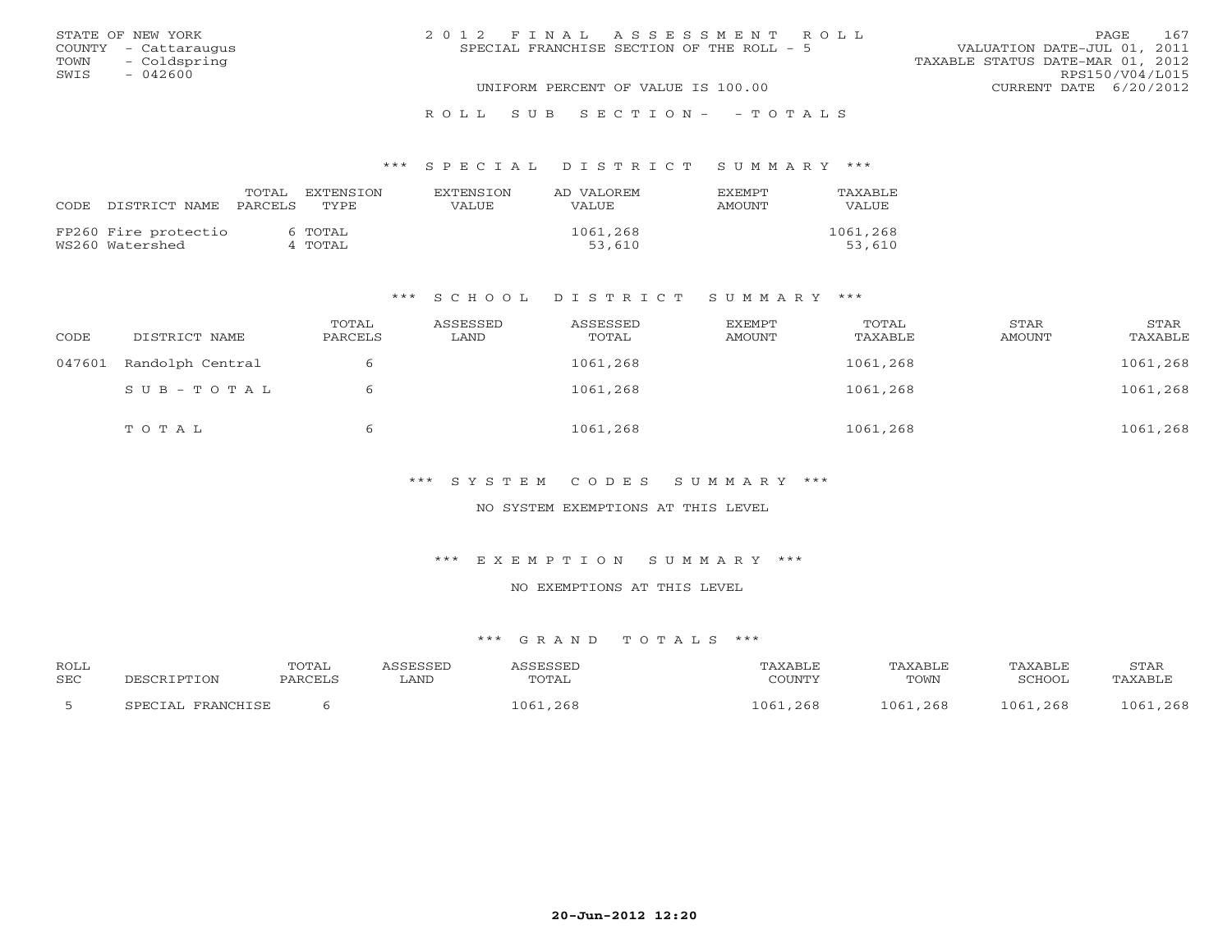|      | STATE OF NEW YORK    | 2012 FINAL ASSESSMENT ROLL                | 167<br>PAGE                      |
|------|----------------------|-------------------------------------------|----------------------------------|
|      | COUNTY - Cattaraugus | SPECIAL FRANCHISE SECTION OF THE ROLL - 5 | VALUATION DATE-JUL 01, 2011      |
|      | TOWN - Coldspring    |                                           | TAXABLE STATUS DATE-MAR 01, 2012 |
| SWIS | $-042600$            |                                           | RPS150/V04/L015                  |
|      |                      | UNIFORM PERCENT OF VALUE IS 100.00        | CURRENT DATE 6/20/2012           |
|      |                      |                                           |                                  |

#### R O L L S U B S E C T I O N - - T O T A L S

#### \*\*\* S P E C I A L D I S T R I C T S U M M A R Y \*\*\*

| CODE. | DISTRICT NAME PARCELS | TOTAL | EXTENSTON<br>TYPE. | <b>EXTENSION</b><br>VALUE | AD VALOREM<br>VALUE. | EXEMPT<br>AMOUNT | TAXABLE<br><b>VALUE</b> |
|-------|-----------------------|-------|--------------------|---------------------------|----------------------|------------------|-------------------------|
|       | FP260 Fire protectio  |       | 6 TOTAL            |                           | 1061,268             |                  | 1061,268                |
|       | WS260 Watershed       |       | 4 TOTAL            |                           | 53,610               |                  | 53,610                  |

#### \*\*\* S C H O O L D I S T R I C T S U M M A R Y \*\*\*

| CODE   | DISTRICT NAME    | TOTAL<br>PARCELS | ASSESSED<br>LAND | ASSESSED<br>TOTAL | EXEMPT<br>AMOUNT | TOTAL<br>TAXABLE | STAR<br>AMOUNT | STAR<br>TAXABLE |
|--------|------------------|------------------|------------------|-------------------|------------------|------------------|----------------|-----------------|
| 047601 | Randolph Central |                  |                  | 1061,268          |                  | 1061,268         |                | 1061,268        |
|        | SUB-TOTAL        |                  |                  | 1061,268          |                  | 1061,268         |                | 1061,268        |
|        | TOTAL            |                  |                  | 1061,268          |                  | 1061,268         |                | 1061,268        |

\*\*\* S Y S T E M C O D E S S U M M A R Y \*\*\*

NO SYSTEM EXEMPTIONS AT THIS LEVEL

\*\*\* E X E M P T I O N S U M M A R Y \*\*\*

NO EXEMPTIONS AT THIS LEVEL

| ROLL |                   | TOTAL   | ASSESSED | ASSESSED | TAXABLE  | TAXABLE  | TAXABLE  | STAR     |
|------|-------------------|---------|----------|----------|----------|----------|----------|----------|
| SEC  | DESCRIPTION       | PARCELS | LAND     | TOTAL    | COUNTY   | TOWN     | SCHOOL   | TAXABLE  |
|      | SPECIAL FRANCHISE |         |          | 1061,268 | 1061,268 | 1061,268 | 1061,268 | 1061,268 |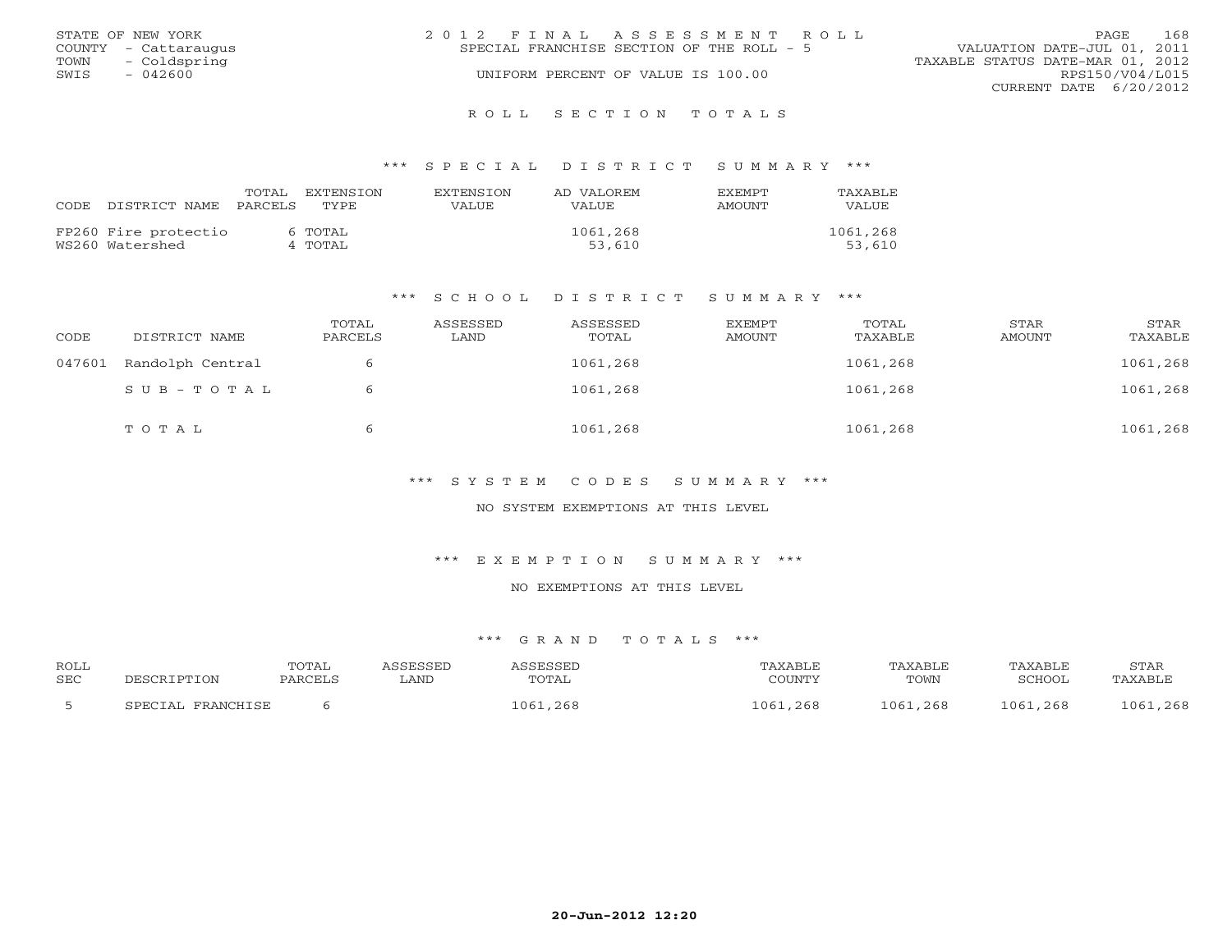|      | STATE OF NEW YORK    | 2012 FINAL ASSESSMENT ROLL                | 168<br><b>PAGE</b>               |
|------|----------------------|-------------------------------------------|----------------------------------|
|      | COUNTY - Cattaraugus | SPECIAL FRANCHISE SECTION OF THE ROLL - 5 | VALUATION DATE-JUL 01, 2011      |
| TOWN | - Coldspring         |                                           | TAXABLE STATUS DATE-MAR 01, 2012 |
| SWIS | $-042600$            | UNIFORM PERCENT OF VALUE IS 100.00        | RPS150/V04/L015                  |
|      |                      |                                           | CURRENT DATE 6/20/2012           |
|      |                      |                                           |                                  |

#### R O L L S E C T I O N T O T A L S

#### \*\*\* S P E C I A L D I S T R I C T S U M M A R Y \*\*\*

|                            | TOTAL | EXTENSTON | <b>EXTENSION</b> | AD VALOREM   | <b>FXFMPT</b> | TAXABLE      |
|----------------------------|-------|-----------|------------------|--------------|---------------|--------------|
| CODE DISTRICT NAME PARCELS |       | TYPE.     | VALUE            | <b>VALUE</b> | AMOUNT        | <b>VALUE</b> |
| FP260 Fire protectio       |       | 6 TOTAL   |                  | 1061,268     |               | 1061,268     |
| WS260 Watershed            |       | 4 TOTAL   |                  | 53,610       |               | 53,610       |

#### \*\*\* S C H O O L D I S T R I C T S U M M A R Y \*\*\*

| CODE   | DISTRICT NAME    | TOTAL<br>PARCELS | ASSESSED<br>LAND | ASSESSED<br>TOTAL | EXEMPT<br>AMOUNT | TOTAL<br>TAXABLE | STAR<br>AMOUNT | STAR<br>TAXABLE |
|--------|------------------|------------------|------------------|-------------------|------------------|------------------|----------------|-----------------|
| 047601 | Randolph Central |                  |                  | 1061,268          |                  | 1061,268         |                | 1061,268        |
|        | SUB-TOTAL        | 6                |                  | 1061,268          |                  | 1061,268         |                | 1061,268        |
|        | TOTAL            | b                |                  | 1061,268          |                  | 1061,268         |                | 1061,268        |

\*\*\* S Y S T E M C O D E S S U M M A R Y \*\*\*

NO SYSTEM EXEMPTIONS AT THIS LEVEL

\*\*\* E X E M P T I O N S U M M A R Y \*\*\*

NO EXEMPTIONS AT THIS LEVEL

| ROLL       |                   | <b>TOTAL</b> | ASSESSED | ASSESSED     | TAXABLE  | TAXABLE  | TAXABLE  | STAR     |
|------------|-------------------|--------------|----------|--------------|----------|----------|----------|----------|
| <b>SEC</b> | DESCRIPTION       | PARCELS      | LAND     | <b>TOTAL</b> | COUNTY   | TOWN     | SCHOOL   | TAXABLE  |
|            | SPECIAL FRANCHISE |              |          | 1061,268     | 1061,268 | 1061,268 | 1061,268 | 1061,268 |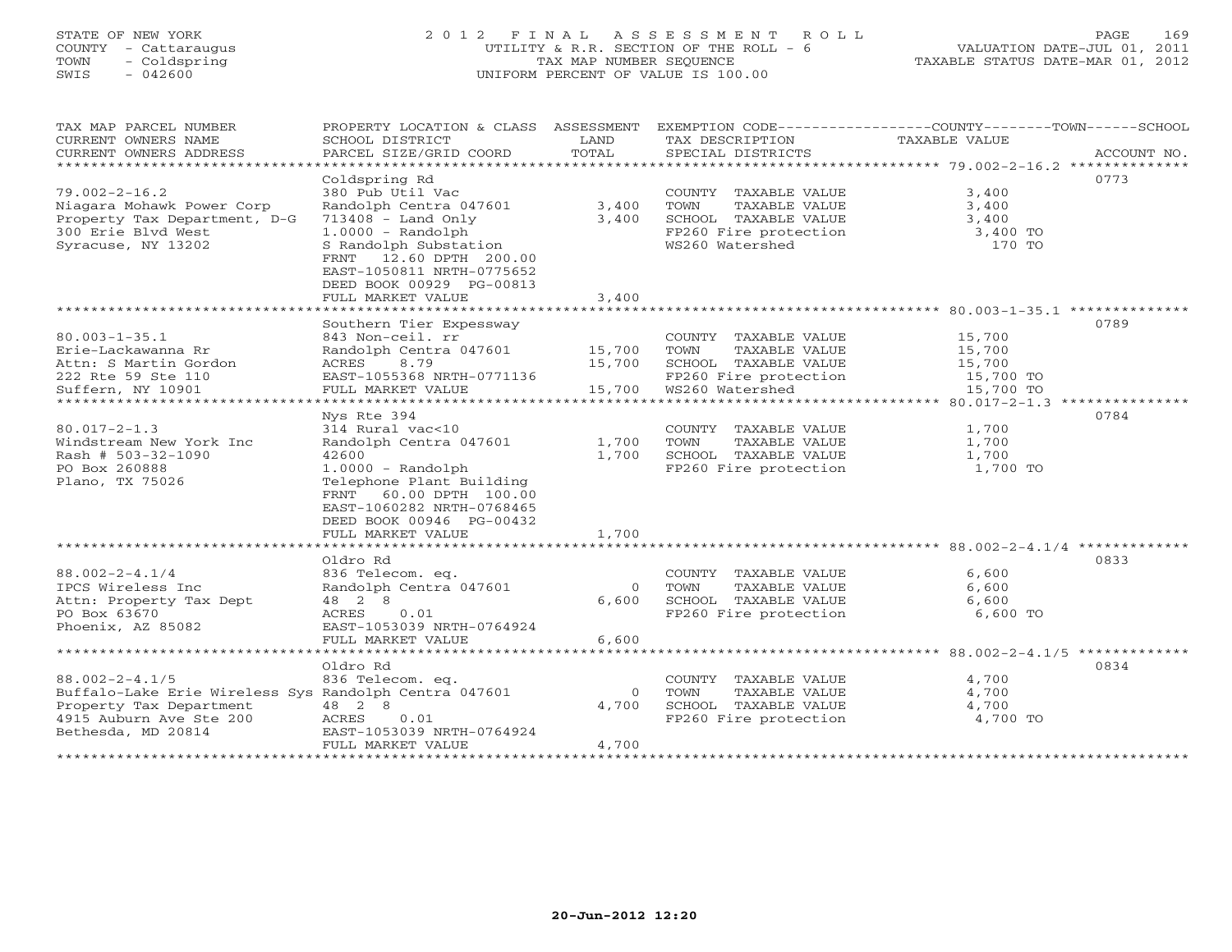# STATE OF NEW YORK 2 0 1 2 F I N A L A S S E S S M E N T R O L L PAGE 169COUNTY - Cattaraugus UTILITY & R.R. SECTION OF THE ROLL - 6 VALUATION DATE-JUL 01, 2011 SWIS - 042600 UNIFORM PERCENT OF VALUE IS 100.00

TAXABLE STATUS DATE-MAR 01, 2012

| TAX MAP PARCEL NUMBER<br>CURRENT OWNERS NAME<br>CURRENT OWNERS ADDRESS                                                                                    | PROPERTY LOCATION & CLASS ASSESSMENT<br>SCHOOL DISTRICT<br>PARCEL SIZE/GRID COORD                                                                                                                                                            | LAND<br>TOTAL                              | TAX DESCRIPTION<br>SPECIAL DISTRICTS                                                                                                        | EXEMPTION CODE-----------------COUNTY-------TOWN------SCHOOL<br><b>TAXABLE VALUE</b><br>ACCOUNT NO. |
|-----------------------------------------------------------------------------------------------------------------------------------------------------------|----------------------------------------------------------------------------------------------------------------------------------------------------------------------------------------------------------------------------------------------|--------------------------------------------|---------------------------------------------------------------------------------------------------------------------------------------------|-----------------------------------------------------------------------------------------------------|
| $79.002 - 2 - 16.2$<br>Niagara Mohawk Power Corp<br>Property Tax Department, D-G<br>300 Erie Blvd West<br>Syracuse, NY 13202                              | Coldspring Rd<br>380 Pub Util Vac<br>Randolph Centra 047601<br>$713408$ - Land Only<br>$1.0000 - Random$<br>S Randolph Substation<br>FRNT<br>12.60 DPTH 200.00<br>EAST-1050811 NRTH-0775652<br>DEED BOOK 00929 PG-00813<br>FULL MARKET VALUE | 3,400<br>3,400<br>3,400                    | COUNTY TAXABLE VALUE<br>TOWN<br>TAXABLE VALUE<br>SCHOOL TAXABLE VALUE<br>FP260 Fire protection<br>WS260 Watershed                           | 0773<br>3,400<br>3,400<br>3,400<br>3,400 TO<br>170 TO                                               |
|                                                                                                                                                           |                                                                                                                                                                                                                                              |                                            |                                                                                                                                             | 0789                                                                                                |
| $80.003 - 1 - 35.1$<br>Erie-Lackawanna Rr<br>Attn: S Martin Gordon<br>222 Rte 59 Ste 110<br>Suffern, NY 10901<br>*******************                      | Southern Tier Expessway<br>843 Non-ceil. rr<br>Randolph Centra 047601<br>ACRES<br>8.79<br>EAST-1055368 NRTH-0771136<br>FULL MARKET VALUE<br>********************                                                                             | 15,700<br>15,700<br>15,700<br>************ | COUNTY TAXABLE VALUE<br>TOWN<br>TAXABLE VALUE<br>SCHOOL TAXABLE VALUE<br>FP260 Fire protection<br>WS260 Watershed<br>********************** | 15,700<br>15,700<br>15,700<br>15,700 TO<br>15,700 TO                                                |
|                                                                                                                                                           | Nys Rte 394                                                                                                                                                                                                                                  |                                            |                                                                                                                                             | ***** 80.017-2-1.3 ***************<br>0784                                                          |
| $80.017 - 2 - 1.3$<br>Windstream New York Inc<br>Rash # 503-32-1090<br>PO Box 260888<br>Plano, TX 75026                                                   | 314 Rural vac<10<br>Randolph Centra 047601<br>42600<br>$1.0000 - Random$<br>Telephone Plant Building<br>60.00 DPTH 100.00<br>FRNT<br>EAST-1060282 NRTH-0768465<br>DEED BOOK 00946 PG-00432                                                   | 1,700<br>1,700                             | COUNTY TAXABLE VALUE<br>TOWN<br>TAXABLE VALUE<br>SCHOOL TAXABLE VALUE<br>FP260 Fire protection                                              | 1,700<br>1,700<br>1,700<br>1,700 TO                                                                 |
|                                                                                                                                                           | FULL MARKET VALUE                                                                                                                                                                                                                            | 1,700                                      |                                                                                                                                             |                                                                                                     |
| $88.002 - 2 - 4.1/4$<br>IPCS Wireless Inc<br>Attn: Property Tax Dept<br>PO Box 63670<br>Phoenix, AZ 85082                                                 | Oldro Rd<br>836 Telecom. eq.<br>Randolph Centra 047601<br>48 2 8<br>ACRES<br>0.01<br>EAST-1053039 NRTH-0764924<br>FULL MARKET VALUE                                                                                                          | $\Omega$<br>6,600<br>6,600                 | COUNTY TAXABLE VALUE<br>TOWN<br>TAXABLE VALUE<br>SCHOOL TAXABLE VALUE<br>FP260 Fire protection                                              | 0833<br>6,600<br>6,600<br>6,600<br>6,600 TO                                                         |
|                                                                                                                                                           | **********************                                                                                                                                                                                                                       |                                            |                                                                                                                                             |                                                                                                     |
| $88.002 - 2 - 4.1/5$<br>Buffalo-Lake Erie Wireless Sys Randolph Centra 047601<br>Property Tax Department<br>4915 Auburn Ave Ste 200<br>Bethesda, MD 20814 | Oldro Rd<br>836 Telecom. eq.<br>48 2 8<br>0.01<br>ACRES<br>EAST-1053039 NRTH-0764924<br>FULL MARKET VALUE                                                                                                                                    | $\overline{0}$<br>4,700<br>4,700           | COUNTY<br>TAXABLE VALUE<br>TOWN<br>TAXABLE VALUE<br>SCHOOL TAXABLE VALUE<br>FP260 Fire protection                                           | 0834<br>4,700<br>4,700<br>4,700<br>4,700 TO                                                         |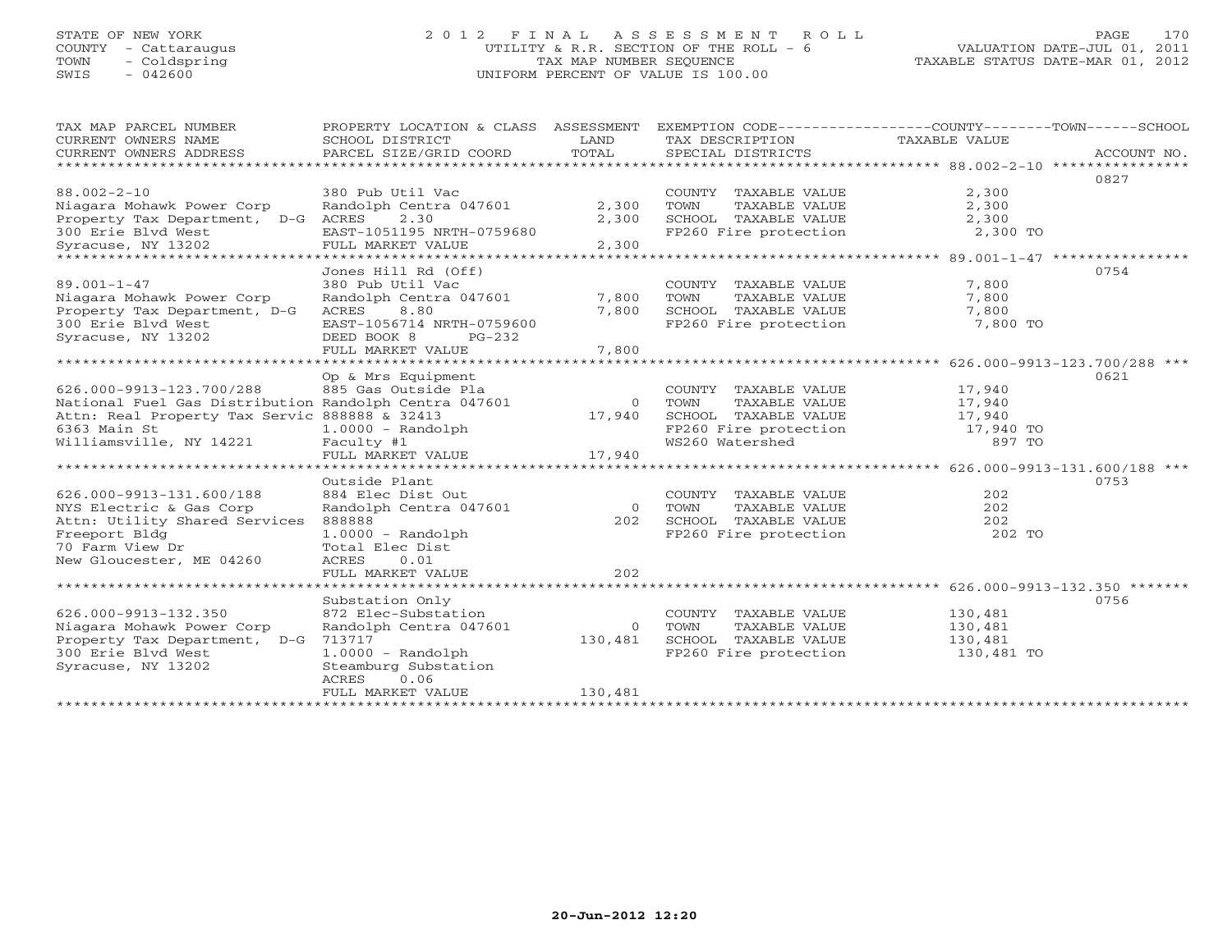# STATE OF NEW YORK 2 0 1 2 F I N A L A S S E S S M E N T R O L L PAGE 170 COUNTY - Cattaraugus UTILITY & R.R. SECTION OF THE ROLL - 6 VALUATION DATE-JUL 01, 2011 TOWN - Coldspring TAX MAP NUMBER SEQUENCE TAXABLE STATUS DATE-MAR 01, 2012 SWIS - 042600 UNIFORM PERCENT OF VALUE IS 100.00UNIFORM PERCENT OF VALUE IS 100.00

| TAX MAP PARCEL NUMBER<br>CURRENT OWNERS NAME<br>CURRENT OWNERS ADDRESS<br>**********************                                                                              | PROPERTY LOCATION & CLASS ASSESSMENT<br>SCHOOL DISTRICT<br>PARCEL SIZE/GRID COORD                                                                                    | LAND<br>TOTAL                  | TAX DESCRIPTION<br>SPECIAL DISTRICTS                                                                              | EXEMPTION CODE-----------------COUNTY-------TOWN------SCHOOL<br>TAXABLE VALUE<br>ACCOUNT NO.                |
|-------------------------------------------------------------------------------------------------------------------------------------------------------------------------------|----------------------------------------------------------------------------------------------------------------------------------------------------------------------|--------------------------------|-------------------------------------------------------------------------------------------------------------------|-------------------------------------------------------------------------------------------------------------|
| $88.002 - 2 - 10$<br>Niagara Mohawk Power Corp<br>Property Tax Department, D-G ACRES<br>300 Erie Blvd West<br>Syracuse, NY 13202                                              | 380 Pub Util Vac<br>Randolph Centra 047601<br>2.30<br>EAST-1051195 NRTH-0759680<br>FULL MARKET VALUE                                                                 | 2,300<br>2,300<br>2,300        | COUNTY TAXABLE VALUE<br>TAXABLE VALUE<br>TOWN<br>SCHOOL TAXABLE VALUE<br>FP260 Fire protection                    | 0827<br>2,300<br>2,300<br>2,300<br>2,300 TO                                                                 |
| $89.001 - 1 - 47$<br>Niagara Mohawk Power Corp<br>Property Tax Department, D-G<br>300 Erie Blvd West<br>Syracuse, NY 13202                                                    | Jones Hill Rd (Off)<br>380 Pub Util Vac<br>Randolph Centra 047601<br>ACRES<br>8.80<br>EAST-1056714 NRTH-0759600<br>DEED BOOK 8<br>$PG-232$<br>FULL MARKET VALUE      | 7,800<br>7,800<br>7,800        | COUNTY TAXABLE VALUE<br>TOWN<br>TAXABLE VALUE<br>SCHOOL TAXABLE VALUE<br>FP260 Fire protection                    | 0754<br>7,800<br>7,800<br>7,800<br>7,800 TO                                                                 |
| 626.000-9913-123.700/288<br>National Fuel Gas Distribution Randolph Centra 047601<br>Attn: Real Property Tax Servic 888888 & 32413<br>6363 Main St<br>Williamsville, NY 14221 | Op & Mrs Equipment<br>885 Gas Outside Pla<br>$1.0000 - Random$<br>Faculty #1<br>FULL MARKET VALUE                                                                    | $\Omega$<br>17,940<br>17,940   | COUNTY TAXABLE VALUE<br>TOWN<br>TAXABLE VALUE<br>SCHOOL TAXABLE VALUE<br>FP260 Fire protection<br>WS260 Watershed | ***************** 626.000-9913-123.700/288 ***<br>0621<br>17,940<br>17,940<br>17,940<br>17,940 TO<br>897 TO |
| 626.000-9913-131.600/188<br>NYS Electric & Gas Corp<br>Attn: Utility Shared Services<br>Freeport Bldg<br>70 Farm View Dr<br>New Gloucester, ME 04260                          | Outside Plant<br>884 Elec Dist Out<br>Randolph Centra 047601<br>888888<br>$1.0000 - Random$<br>Total Elec Dist<br>0.01<br>ACRES<br>FULL MARKET VALUE                 | $\bigcirc$<br>2.02.<br>202     | COUNTY TAXABLE VALUE<br>TOWN<br>TAXABLE VALUE<br>SCHOOL TAXABLE VALUE<br>FP260 Fire protection                    | 0753<br>202<br>202<br>202<br>202 TO                                                                         |
| 626.000-9913-132.350<br>Niagara Mohawk Power Corp<br>Property Tax Department, D-G<br>300 Erie Blvd West<br>Syracuse, NY 13202<br>*********************                        | Substation Only<br>872 Elec-Substation<br>Randolph Centra 047601<br>713717<br>$1.0000 - Random$<br>Steamburg Substation<br>0.06<br><b>ACRES</b><br>FULL MARKET VALUE | $\Omega$<br>130,481<br>130,481 | COUNTY TAXABLE VALUE<br>TOWN<br>TAXABLE VALUE<br>SCHOOL TAXABLE VALUE<br>FP260 Fire protection                    | 0756<br>130,481<br>130,481<br>130,481<br>130,481 TO                                                         |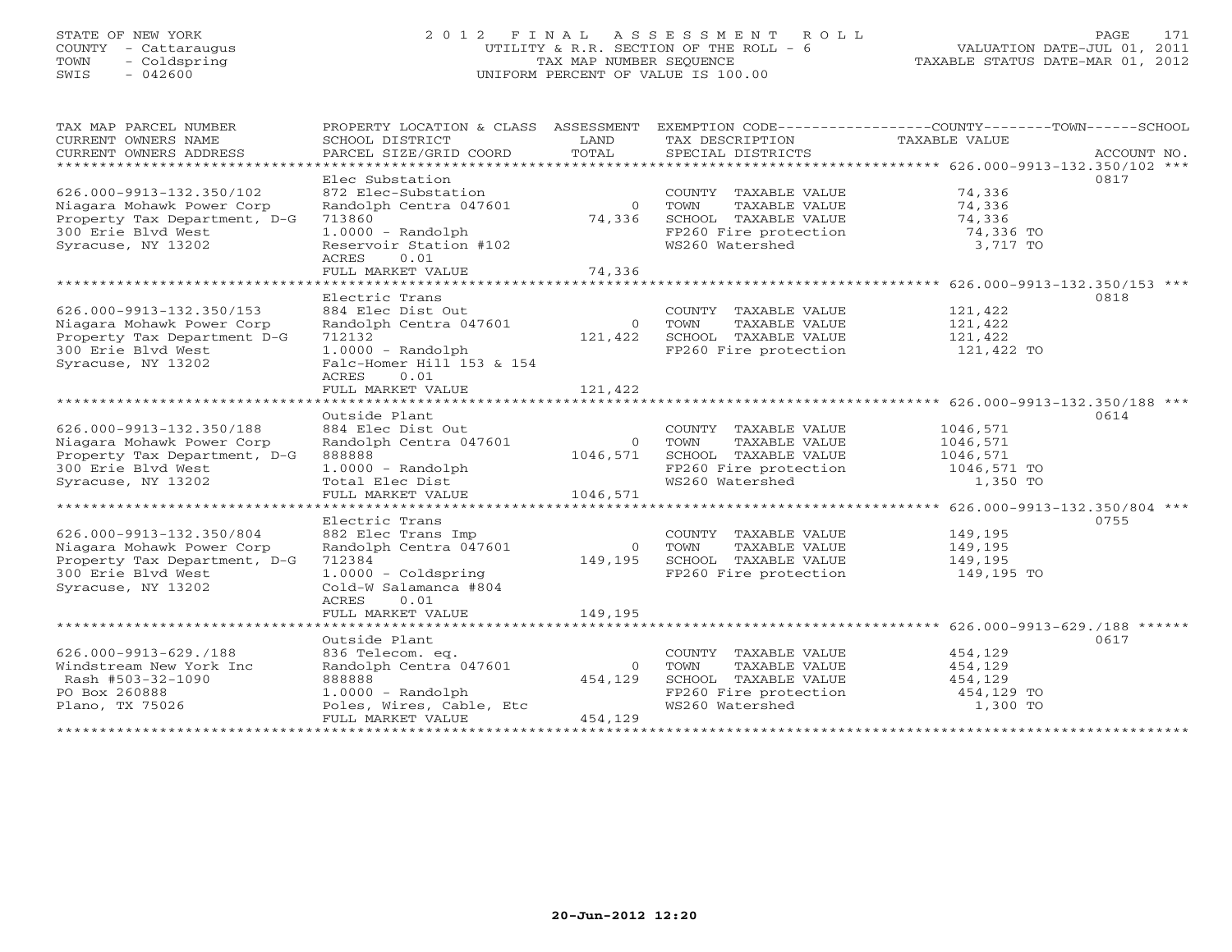# STATE OF NEW YORK 2 0 1 2 F I N A L A S S E S S M E N T R O L L PAGE 171 COUNTY - Cattaraugus UTILITY & R.R. SECTION OF THE ROLL - 6 VALUATION DATE-JUL 01, 2011 TOWN - Coldspring TAX MAP NUMBER SEQUENCE TAXABLE STATUS DATE-MAR 01, 2012 SWIS - 042600 UNIFORM PERCENT OF VALUE IS 100.00UNIFORM PERCENT OF VALUE IS 100.00

| TAX MAP PARCEL NUMBER<br>CURRENT OWNERS NAME<br>CURRENT OWNERS ADDRESS                                                            | PROPERTY LOCATION & CLASS<br>SCHOOL DISTRICT<br>PARCEL SIZE/GRID COORD                                                                      | ASSESSMENT<br>LAND<br>TOTAL   | TAX DESCRIPTION<br>SPECIAL DISTRICTS                                                                              | EXEMPTION CODE-----------------COUNTY-------TOWN------SCHOOL<br>TAXABLE VALUE | ACCOUNT NO. |
|-----------------------------------------------------------------------------------------------------------------------------------|---------------------------------------------------------------------------------------------------------------------------------------------|-------------------------------|-------------------------------------------------------------------------------------------------------------------|-------------------------------------------------------------------------------|-------------|
| ***********************<br>626.000-9913-132.350/102                                                                               | Elec Substation<br>872 Elec-Substation                                                                                                      |                               | COUNTY TAXABLE VALUE                                                                                              | 74,336                                                                        | 0817        |
| Niagara Mohawk Power Corp<br>Property Tax Department, D-G<br>300 Erie Blvd West<br>Syracuse, NY 13202                             | Randolph Centra 047601<br>713860<br>$1.0000 - Random$<br>Reservoir Station #102                                                             | $\Omega$<br>74,336            | TOWN<br>TAXABLE VALUE<br>SCHOOL TAXABLE VALUE<br>FP260 Fire protection<br>WS260 Watershed                         | 74,336<br>74,336<br>74,336 TO<br>3,717 TO                                     |             |
|                                                                                                                                   | <b>ACRES</b><br>0.01<br>FULL MARKET VALUE<br>**********************************                                                             | 74,336                        |                                                                                                                   | ********************************** 626.000-9913-132.350/153 ***               |             |
|                                                                                                                                   | Electric Trans                                                                                                                              |                               |                                                                                                                   |                                                                               | 0818        |
| 626.000-9913-132.350/153<br>Niagara Mohawk Power Corp<br>Property Tax Department D-G<br>300 Erie Blvd West<br>Syracuse, NY 13202  | 884 Elec Dist Out<br>Randolph Centra 047601<br>712132<br>$1.0000 - Random$<br>Falc-Homer Hill 153 & 154<br>0.01<br>ACRES                    | $\Omega$<br>121,422           | COUNTY TAXABLE VALUE<br>TOWN<br>TAXABLE VALUE<br>SCHOOL TAXABLE VALUE<br>FP260 Fire protection                    | 121,422<br>121,422<br>121,422<br>121,422 TO                                   |             |
|                                                                                                                                   | FULL MARKET VALUE                                                                                                                           | 121,422                       |                                                                                                                   |                                                                               |             |
|                                                                                                                                   |                                                                                                                                             |                               |                                                                                                                   |                                                                               |             |
| 626.000-9913-132.350/188<br>Niagara Mohawk Power Corp<br>Property Tax Department, D-G<br>300 Erie Blvd West<br>Syracuse, NY 13202 | Outside Plant<br>884 Elec Dist Out<br>Randolph Centra 047601<br>888888<br>$1.0000 - Random$<br>Total Elec Dist                              | $\circ$<br>1046,571           | COUNTY TAXABLE VALUE<br>TAXABLE VALUE<br>TOWN<br>SCHOOL TAXABLE VALUE<br>FP260 Fire protection<br>WS260 Watershed | 1046,571<br>1046,571<br>1046,571<br>1046,571 TO<br>1,350 TO                   | 0614        |
|                                                                                                                                   | FULL MARKET VALUE                                                                                                                           | 1046,571                      |                                                                                                                   |                                                                               |             |
| *****************************                                                                                                     |                                                                                                                                             |                               |                                                                                                                   |                                                                               |             |
| 626.000-9913-132.350/804<br>Niagara Mohawk Power Corp<br>Property Tax Department, D-G<br>300 Erie Blvd West<br>Syracuse, NY 13202 | Electric Trans<br>882 Elec Trans Imp<br>Randolph Centra 047601<br>712384<br>$1.0000 - Coldspring$<br>Cold-W Salamanca #804                  | $\Omega$<br>149,195           | COUNTY TAXABLE VALUE<br>TOWN<br>TAXABLE VALUE<br>SCHOOL TAXABLE VALUE<br>FP260 Fire protection                    | 149,195<br>149,195<br>149,195<br>149,195 TO                                   | 0755        |
|                                                                                                                                   | ACRES<br>0.01<br>FULL MARKET VALUE                                                                                                          | 149,195                       |                                                                                                                   |                                                                               |             |
| ******************************                                                                                                    |                                                                                                                                             |                               |                                                                                                                   |                                                                               |             |
| $626.000 - 9913 - 629.7188$<br>Windstream New York Inc<br>Rash #503-32-1090<br>PO Box 260888<br>Plano, TX 75026                   | Outside Plant<br>836 Telecom. eq.<br>Randolph Centra 047601<br>888888<br>$1.0000 - Random$<br>Poles, Wires, Cable, Etc<br>FULL MARKET VALUE | $\circ$<br>454,129<br>454,129 | COUNTY TAXABLE VALUE<br>TOWN<br>TAXABLE VALUE<br>SCHOOL TAXABLE VALUE<br>FP260 Fire protection<br>WS260 Watershed | 454,129<br>454,129<br>454,129<br>454,129 TO<br>1,300 TO                       | 0617        |
|                                                                                                                                   |                                                                                                                                             |                               |                                                                                                                   |                                                                               |             |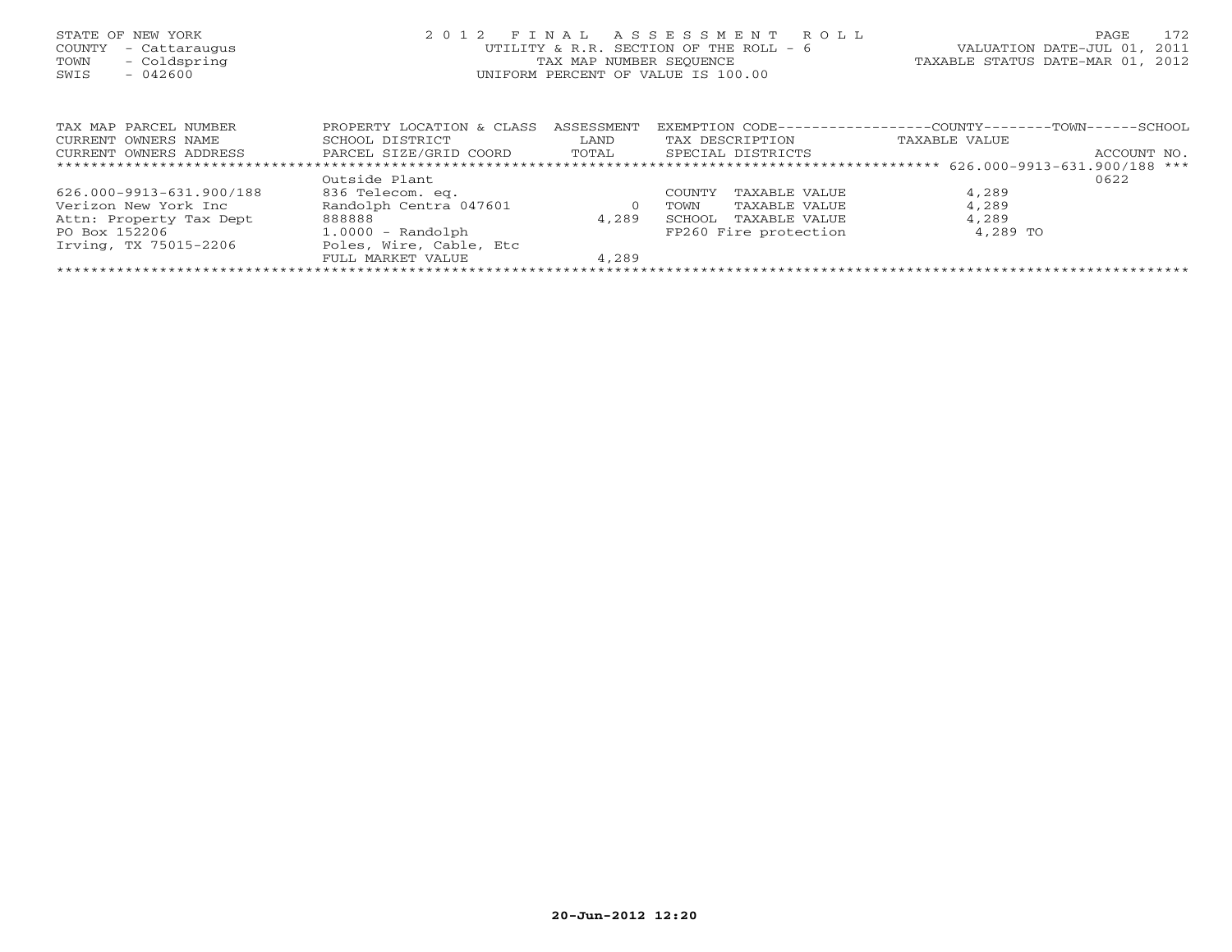| STATE OF NEW YORK<br>COUNTY<br>- Cattaraugus<br>- Coldspring<br>TOWN<br>$-042600$<br>SWIS | 2 0 1 2                                                                | FINAL<br>TAX MAP NUMBER SEOUENCE | ASSESSMENT ROLL<br>UTILITY & R.R. SECTION OF THE ROLL - 6<br>UNIFORM PERCENT OF VALUE IS 100.00 | PAGE<br>VALUATION DATE-JUL 01, 2011<br>TAXABLE STATUS DATE-MAR 01, 2012       | 172 |
|-------------------------------------------------------------------------------------------|------------------------------------------------------------------------|----------------------------------|-------------------------------------------------------------------------------------------------|-------------------------------------------------------------------------------|-----|
| TAX MAP PARCEL NUMBER<br>CURRENT OWNERS NAME<br>CURRENT OWNERS ADDRESS                    | PROPERTY LOCATION & CLASS<br>SCHOOL DISTRICT<br>PARCEL SIZE/GRID COORD | ASSESSMENT<br>LAND<br>TOTAL      | EXEMPTION CODE--<br>TAX DESCRIPTION<br>SPECIAL DISTRICTS                                        | ---------------COUNTY--------TOWN------SCHOOL<br>TAXABLE VALUE<br>ACCOUNT NO. |     |
|                                                                                           |                                                                        |                                  |                                                                                                 |                                                                               |     |
|                                                                                           | Outside Plant                                                          |                                  |                                                                                                 | 0622                                                                          |     |
| 626.000-9913-631.900/188                                                                  | 836 Telecom. eq.                                                       |                                  | TAXABLE VALUE<br>COUNTY                                                                         | 4,289                                                                         |     |
| Verizon New York Inc                                                                      | Randolph Centra 047601                                                 | $\circ$                          | TAXABLE VALUE<br>TOWN                                                                           | 4,289                                                                         |     |
| Attn: Property Tax Dept                                                                   | 888888                                                                 | 4,289                            | SCHOOL<br>TAXABLE VALUE                                                                         | 4,289                                                                         |     |
| PO Box 152206                                                                             | $1.0000 - Random$                                                      |                                  | FP260 Fire protection                                                                           | 4,289 TO                                                                      |     |

FULL MARKET VALUE 4,289 \*\*\*\*\*\*\*\*\*\*\*\*\*\*\*\*\*\*\*\*\*\*\*\*\*\*\*\*\*\*\*\*\*\*\*\*\*\*\*\*\*\*\*\*\*\*\*\*\*\*\*\*\*\*\*\*\*\*\*\*\*\*\*\*\*\*\*\*\*\*\*\*\*\*\*\*\*\*\*\*\*\*\*\*\*\*\*\*\*\*\*\*\*\*\*\*\*\*\*\*\*\*\*\*\*\*\*\*\*\*\*\*\*\*\*\*\*\*\*\*\*\*\*\*\*\*\*\*\*\*\*\*

Irving, TX 75015-2206 Poles, Wire, Cable, Etc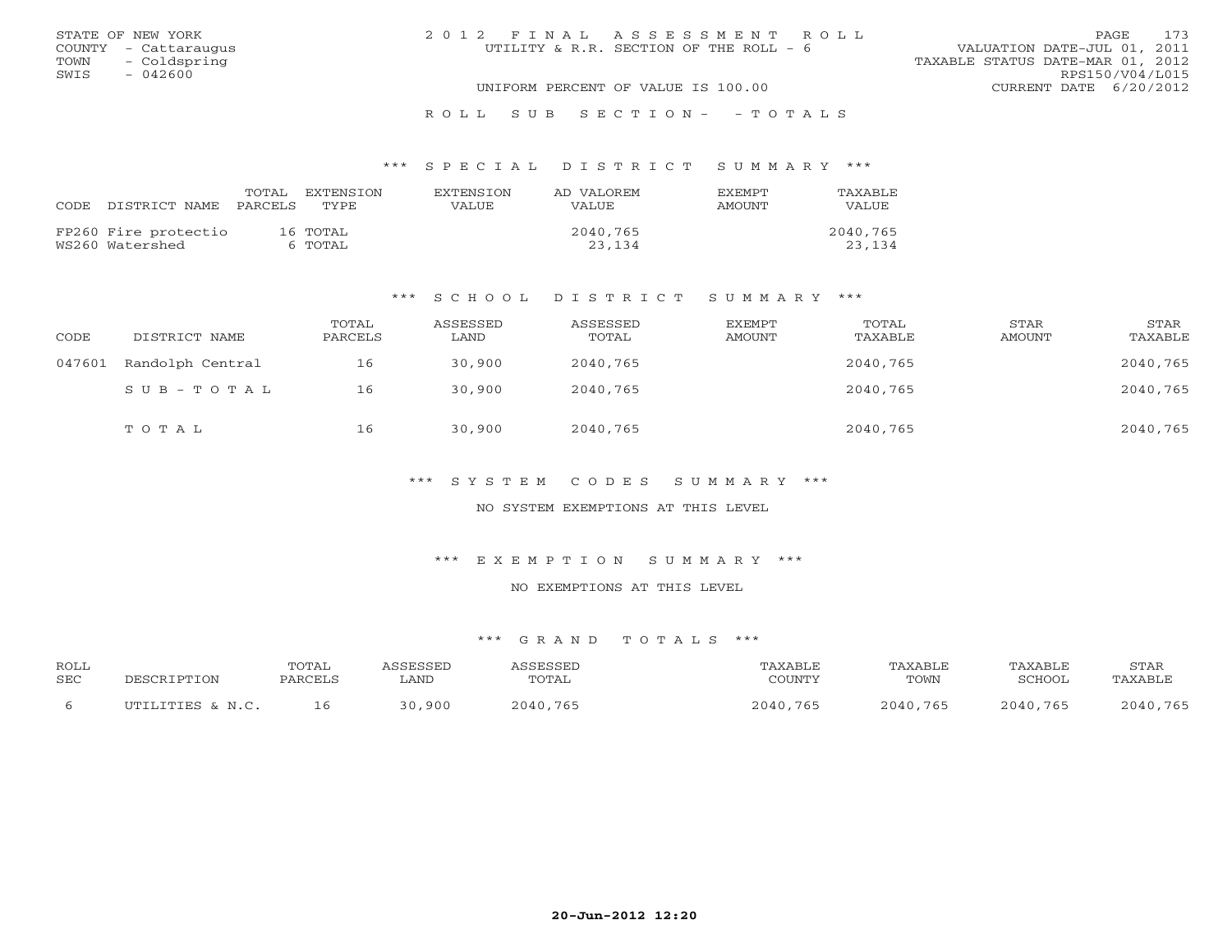|      | STATE OF NEW YORK    | 2012 FINAL ASSESSMENT ROLL             | <b>PAGE</b>                      | 173 |
|------|----------------------|----------------------------------------|----------------------------------|-----|
|      | COUNTY - Cattaraugus | UTILITY & R.R. SECTION OF THE ROLL - 6 | VALUATION DATE-JUL 01, 2011      |     |
| TOWN | - Coldspring         |                                        | TAXABLE STATUS DATE-MAR 01, 2012 |     |
| SWIS | $-042600$            |                                        | RPS150/V04/L015                  |     |
|      |                      | UNIFORM PERCENT OF VALUE IS 100.00     | CURRENT DATE 6/20/2012           |     |
|      |                      |                                        |                                  |     |

# R O L L S U B S E C T I O N - - T O T A L S

#### \*\*\* S P E C I A L D I S T R I C T S U M M A R Y \*\*\*

| CODE DISTRICT NAME PARCELS TYPE         | TOTAL | EXTENSTON           | <b>EXTENSION</b><br>VALUE | AD VALOREM<br>VALUE | <b>EXEMPT</b><br>AMOUNT | TAXABLE<br><b>VALUE</b> |
|-----------------------------------------|-------|---------------------|---------------------------|---------------------|-------------------------|-------------------------|
| FP260 Fire protectio<br>WS260 Watershed |       | 16 TOTAL<br>6 TOTAL |                           | 2040,765<br>23,134  |                         | 2040,765<br>23,134      |

#### \*\*\* S C H O O L D I S T R I C T S U M M A R Y \*\*\*

| CODE   | DISTRICT NAME    | TOTAL<br>PARCELS | ASSESSED<br>LAND | ASSESSED<br>TOTAL | EXEMPT<br>AMOUNT | TOTAL<br>TAXABLE | STAR<br><b>AMOUNT</b> | STAR<br>TAXABLE |
|--------|------------------|------------------|------------------|-------------------|------------------|------------------|-----------------------|-----------------|
| 047601 | Randolph Central | 16               | 30,900           | 2040,765          |                  | 2040,765         |                       | 2040,765        |
|        | SUB-TOTAL        | 16               | 30,900           | 2040,765          |                  | 2040,765         |                       | 2040,765        |
|        | TOTAL            | 16               | 30,900           | 2040,765          |                  | 2040,765         |                       | 2040,765        |

\*\*\* S Y S T E M C O D E S S U M M A R Y \*\*\*

NO SYSTEM EXEMPTIONS AT THIS LEVEL

\*\*\* E X E M P T I O N S U M M A R Y \*\*\*

NO EXEMPTIONS AT THIS LEVEL

| ROLL       |                    | TOTAL   |        | CCFCCFT  | AXABLE   | TAXABLE      | TAXABLE  | STAR     |
|------------|--------------------|---------|--------|----------|----------|--------------|----------|----------|
| <b>SEC</b> | וסים הר            | PARCELS | LAND   | TOTAL    | COUNTY   | TOWN         | "CHOOL   | TAXABLE  |
|            | ILTITITITIES & N C | ⊥ ნ     | 30,900 | 2040,765 | 2040,765 | 765<br>2040. | 2040.765 | 2040,765 |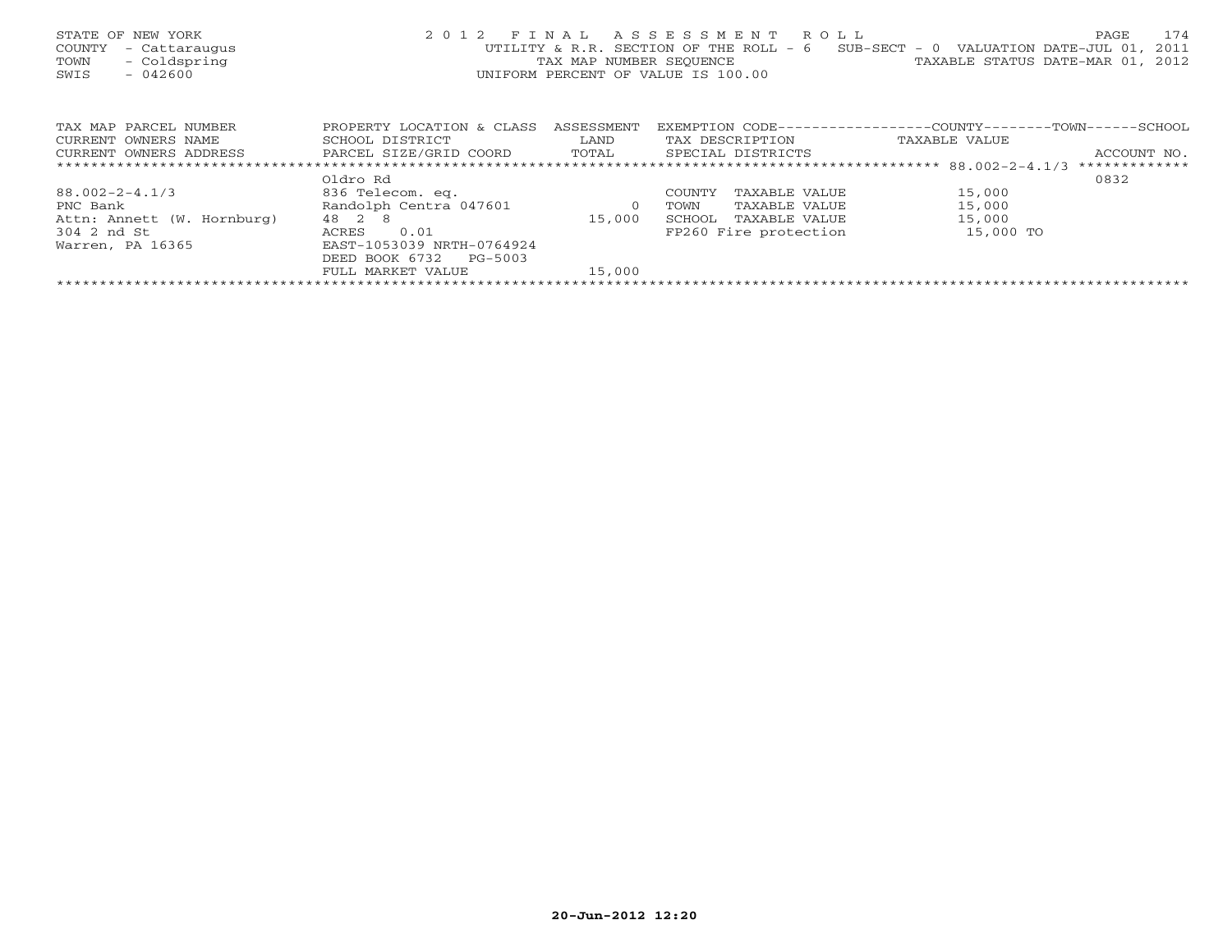| STATE OF NEW YORK<br>COUNTY<br>- Cattaraugus<br>- Coldspring<br>TOWN<br>$-042600$<br>SWIS | 2 0 1 2                   | TAX MAP NUMBER SEOUENCE | FINAL ASSESSMENT ROLL<br>UTILITY & R.R. SECTION OF THE ROLL - 6<br>UNIFORM PERCENT OF VALUE IS 100.00 | 174<br>PAGE<br>$SUB-SECTION = 0$ VALUATION DATE-JUL 01,<br>2011<br>TAXABLE STATUS DATE-MAR 01, 2012 |
|-------------------------------------------------------------------------------------------|---------------------------|-------------------------|-------------------------------------------------------------------------------------------------------|-----------------------------------------------------------------------------------------------------|
| TAX MAP PARCEL NUMBER                                                                     | PROPERTY LOCATION & CLASS | ASSESSMENT              |                                                                                                       | EXEMPTION CODE-----------------COUNTY--------TOWN------SCHOOL                                       |
| CURRENT OWNERS NAME                                                                       | SCHOOL DISTRICT           | LAND                    | TAX DESCRIPTION                                                                                       | TAXABLE VALUE                                                                                       |
| CURRENT OWNERS ADDRESS                                                                    | PARCEL SIZE/GRID COORD    | TOTAL                   | SPECIAL DISTRICTS                                                                                     | ACCOUNT NO.                                                                                         |
|                                                                                           |                           |                         |                                                                                                       | *************                                                                                       |
|                                                                                           | Oldro Rd                  |                         |                                                                                                       | 0832                                                                                                |
| $88.002 - 2 - 4.1/3$                                                                      | 836 Telecom. eq.          |                         | TAXABLE VALUE<br>COUNTY                                                                               | 15,000                                                                                              |
| PNC Bank                                                                                  | Randolph Centra 047601    | $\circ$                 | TAXABLE VALUE<br>TOWN                                                                                 | 15,000                                                                                              |
| Attn: Annett (W. Hornburg)                                                                | 48 2 8                    | 15,000                  | SCHOOL<br>TAXABLE VALUE                                                                               | 15,000                                                                                              |
| 304 2 nd St                                                                               | 0.01<br>ACRES             |                         | FP260 Fire protection                                                                                 | 15,000 TO                                                                                           |
| Warren, PA 16365                                                                          | EAST-1053039 NRTH-0764924 |                         |                                                                                                       |                                                                                                     |
|                                                                                           | DEED BOOK 6732<br>PG-5003 |                         |                                                                                                       |                                                                                                     |
|                                                                                           | FULL MARKET VALUE         | 15,000                  |                                                                                                       |                                                                                                     |
|                                                                                           |                           |                         |                                                                                                       |                                                                                                     |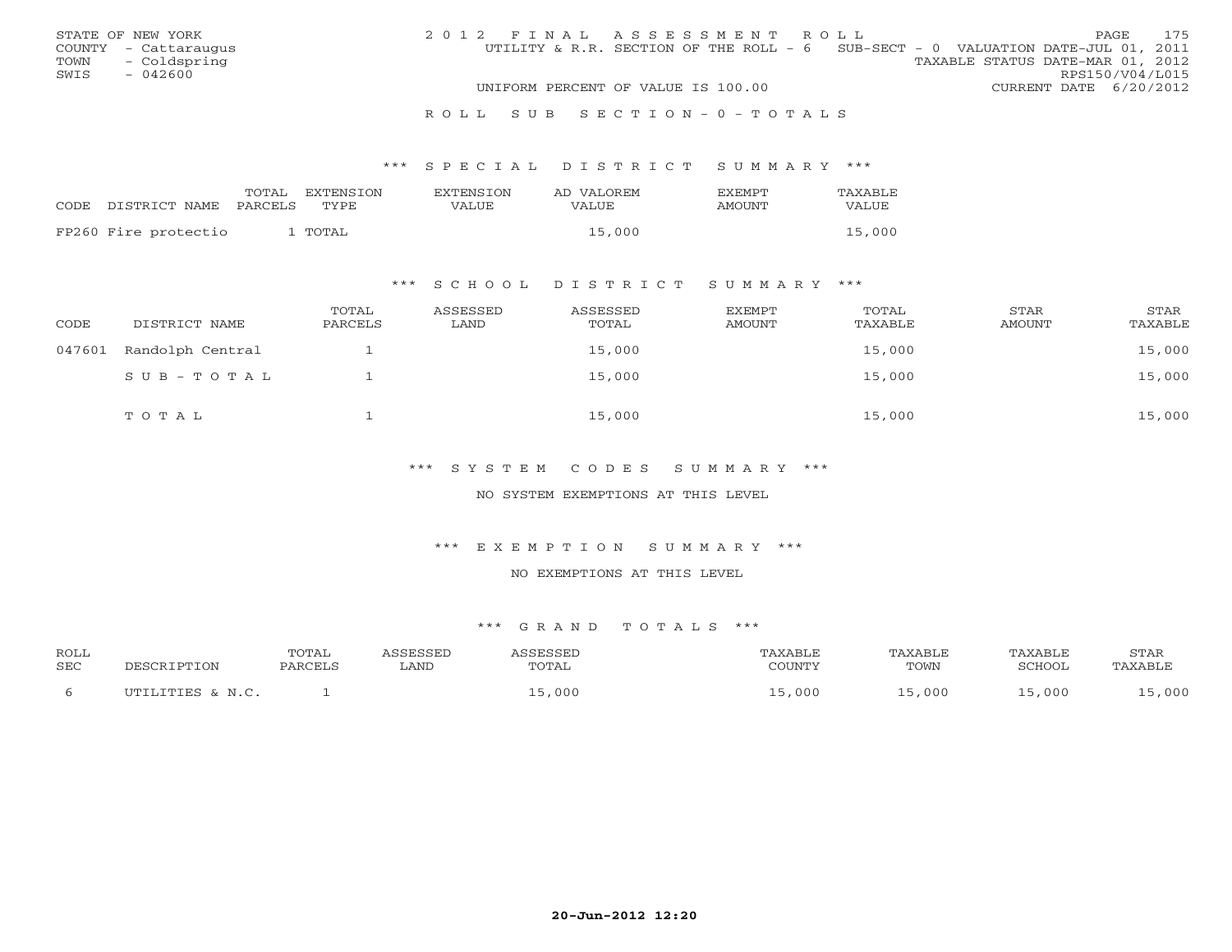|      | STATE OF NEW YORK    | 2012 FINAL ASSESSMENT ROLL |                                                                                 |                                  |                        | PAGE | 175 |
|------|----------------------|----------------------------|---------------------------------------------------------------------------------|----------------------------------|------------------------|------|-----|
|      | COUNTY - Cattaraugus |                            | UTILITY & R.R. SECTION OF THE ROLL - 6 SUB-SECT - 0 VALUATION DATE-JUL 01, 2011 |                                  |                        |      |     |
|      | TOWN - Coldspring    |                            |                                                                                 | TAXABLE STATUS DATE-MAR 01, 2012 |                        |      |     |
| SWIS | $-042600$            |                            |                                                                                 |                                  | RPS150/V04/L015        |      |     |
|      |                      |                            | UNIFORM PERCENT OF VALUE IS 100.00                                              |                                  | CURRENT DATE 6/20/2012 |      |     |
|      |                      |                            |                                                                                 |                                  |                        |      |     |

#### R O L L S U B S E C T I O N - 0 - T O T A L S

#### \*\*\* S P E C I A L D I S T R I C T S U M M A R Y \*\*\*

|                      | TOTAL   | EXTENSION | <b>EXTENSION</b> | AD VALOREM | <b>EXEMPT</b> | TAXABLE      |
|----------------------|---------|-----------|------------------|------------|---------------|--------------|
| CODE DISTRICT NAME   | PARCELS | TYPE.     | VALUE            | VALUE      | AMOUNT        | <b>VALUE</b> |
| FP260 Fire protectio |         | TOTAL     |                  | 15,000     |               | 15,000       |
|                      |         |           |                  |            |               |              |

### \*\*\* S C H O O L D I S T R I C T S U M M A R Y \*\*\*

| CODE   | DISTRICT NAME    | TOTAL<br>PARCELS | ASSESSED<br>LAND | ASSESSED<br>TOTAL | EXEMPT<br>AMOUNT | TOTAL<br>TAXABLE | STAR<br>AMOUNT | STAR<br>TAXABLE |
|--------|------------------|------------------|------------------|-------------------|------------------|------------------|----------------|-----------------|
| 047601 | Randolph Central |                  |                  | 15,000            |                  | 15,000           |                | 15,000          |
|        | SUB-TOTAL        |                  |                  | 15,000            |                  | 15,000           |                | 15,000          |
|        | TOTAL            |                  |                  | 15,000            |                  | 15,000           |                | 15,000          |

### \*\*\* S Y S T E M C O D E S S U M M A R Y \*\*\*

#### NO SYSTEM EXEMPTIONS AT THIS LEVEL

#### \*\*\* E X E M P T I O N S U M M A R Y \*\*\*

#### NO EXEMPTIONS AT THIS LEVEL

| <b>ROLL</b>  |                  | <b>TOTAL</b> | <i><b>SSESSED</b></i> | 1 CCFCCFT            | TAXABLF | TAXABLE | TAXABLE | STAR    |
|--------------|------------------|--------------|-----------------------|----------------------|---------|---------|---------|---------|
| <b>SEC</b>   | DESCRIPTION      | PARCELS      | LAND                  | TOTAL                | COUNTY  | TOWN    | SCHOOL  | TAXABLE |
| <sub>b</sub> | UTILITIES & N.C. |              |                       | $\overline{z}$ , 000 | .000    | ,000    | 15,000  | 000 , ر |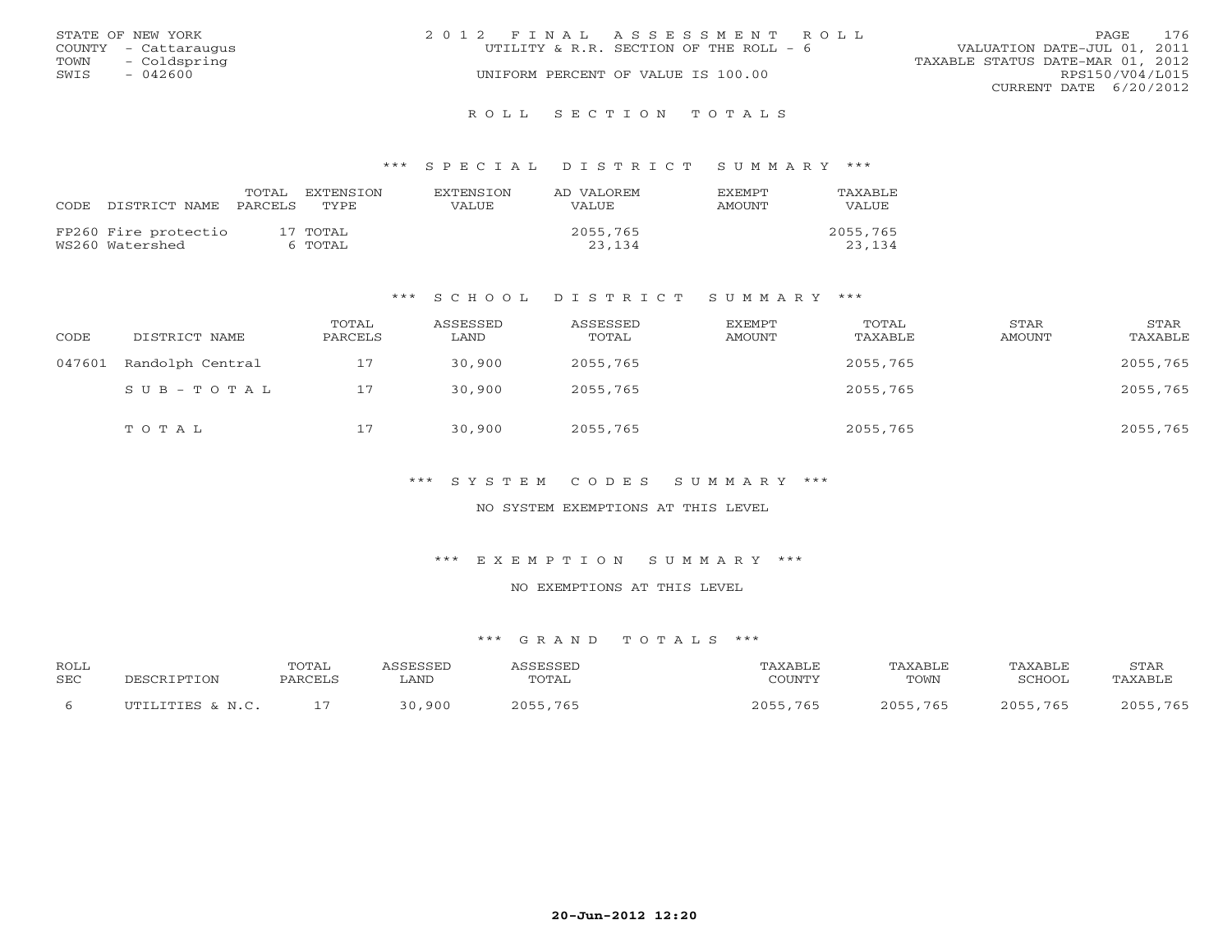|      | STATE OF NEW YORK    | 2012 FINAL ASSESSMENT ROLL             | 176<br>PAGE                      |
|------|----------------------|----------------------------------------|----------------------------------|
|      | COUNTY - Cattaraugus | UTILITY & R.R. SECTION OF THE ROLL - 6 | VALUATION DATE-JUL 01, 2011      |
| TOWN | - Coldspring         |                                        | TAXABLE STATUS DATE-MAR 01, 2012 |
| SWIS | $-042600$            | UNIFORM PERCENT OF VALUE IS 100.00     | RPS150/V04/L015                  |
|      |                      |                                        | CURRENT DATE $6/20/2012$         |
|      |                      |                                        |                                  |

#### R O L L S E C T I O N T O T A L S

#### \*\*\* S P E C I A L D I S T R I C T S U M M A R Y \*\*\*

| CODE. | DISTRICT NAME PARCELS TYPE              | TOTAL | EXTENSTON           | <b>EXTENSION</b><br>VALUE. | AD VALOREM<br>VALUE. | <b>EXEMPT</b><br>AMOUNT | TAXABLE<br><b>VALUE</b> |
|-------|-----------------------------------------|-------|---------------------|----------------------------|----------------------|-------------------------|-------------------------|
|       | FP260 Fire protectio<br>WS260 Watershed |       | 17 TOTAL<br>6 TOTAL |                            | 2055,765<br>23,134   |                         | 2055,765<br>23,134      |

#### \*\*\* S C H O O L D I S T R I C T S U M M A R Y \*\*\*

| CODE   | DISTRICT NAME    | TOTAL<br>PARCELS | ASSESSED<br>LAND | ASSESSED<br>TOTAL | <b>EXEMPT</b><br><b>AMOUNT</b> | TOTAL<br>TAXABLE | STAR<br>AMOUNT | STAR<br>TAXABLE |
|--------|------------------|------------------|------------------|-------------------|--------------------------------|------------------|----------------|-----------------|
| 047601 | Randolph Central | 17               | 30,900           | 2055,765          |                                | 2055,765         |                | 2055,765        |
|        | $SUB - TO T AL$  | 17               | 30,900           | 2055,765          |                                | 2055,765         |                | 2055,765        |
|        | TOTAL            | 17               | 30,900           | 2055,765          |                                | 2055,765         |                | 2055,765        |

\*\*\* S Y S T E M C O D E S S U M M A R Y \*\*\*

NO SYSTEM EXEMPTIONS AT THIS LEVEL

\*\*\* E X E M P T I O N S U M M A R Y \*\*\*

NO EXEMPTIONS AT THIS LEVEL

| ROLL       |                       | <b>TOTAL</b>  | <b>GGESSED</b>        | <b>ACCECCEL</b> |               | TAXABLE  | TAXABLE       | STAR        |
|------------|-----------------------|---------------|-----------------------|-----------------|---------------|----------|---------------|-------------|
| <b>SEC</b> | םי סידו               | <b>PARCEL</b> | LAND                  | TOTAL           | $\bigcap$     | TOWN     | <b>SCHOOL</b> | TAXABLE     |
|            | יחידו דיחידום נ. או ר |               | ,900<br>$\cap$ $\cap$ | つのちち<br>,765    | 2055<br>, 765 | 2055,765 | つのちち          | 765<br>2055 |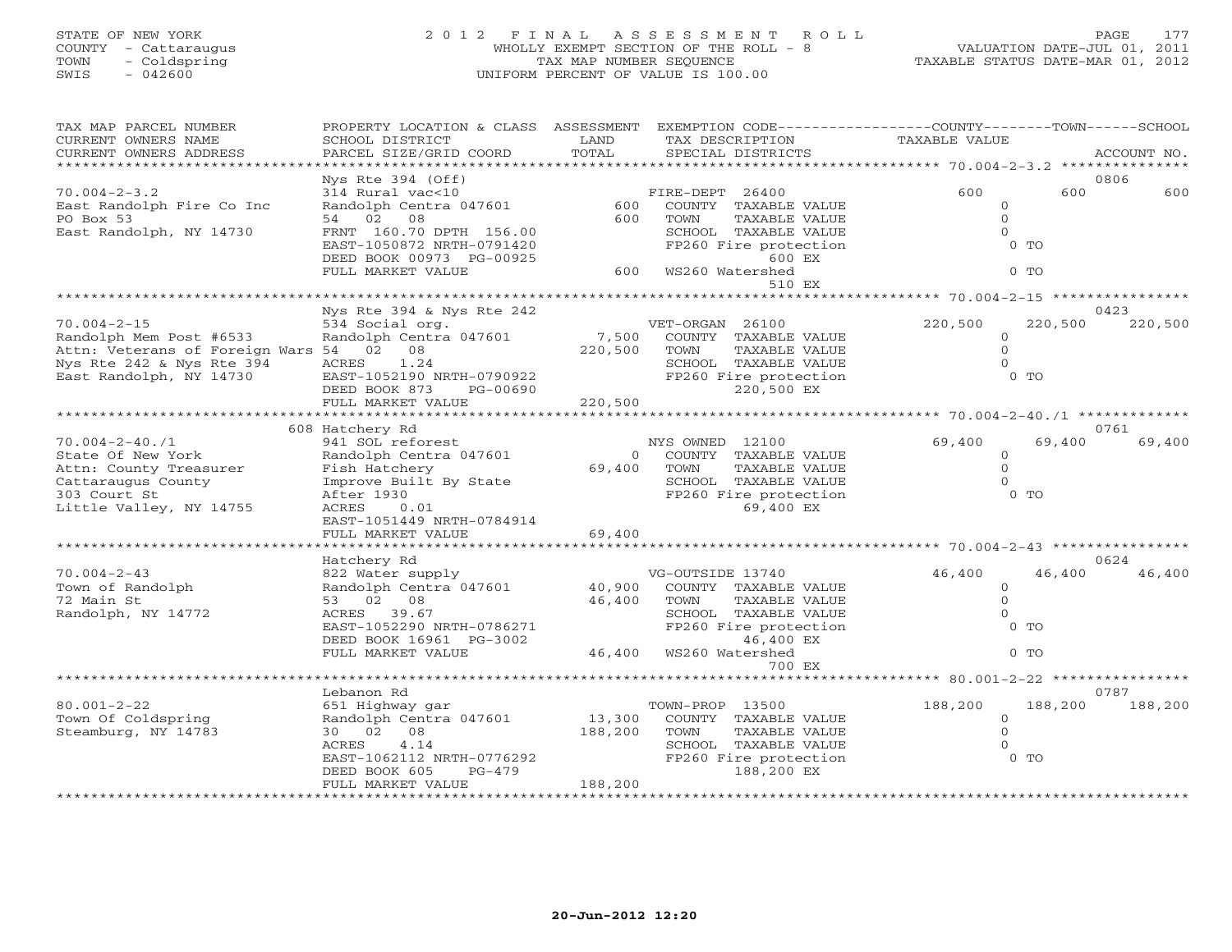# STATE OF NEW YORK 2 0 1 2 F I N A L A S S E S S M E N T R O L L PAGE 177 COUNTY - Cattaraugus WHOLLY EXEMPT SECTION OF THE ROLL - 8 VALUATION DATE-JUL 01, 2011 TOWN - Coldspring TAX MAP NUMBER SEQUENCE TAXABLE STATUS DATE-MAR 01, 2012 SWIS - 042600 UNIFORM PERCENT OF VALUE IS 100.00

| TAX MAP PARCEL NUMBER<br>CURRENT OWNERS NAME | PROPERTY LOCATION & CLASS ASSESSMENT<br>SCHOOL DISTRICT | LAND                    | EXEMPTION CODE-----------------COUNTY-------TOWN------SCHOOL<br>TAX DESCRIPTION | TAXABLE VALUE                               |                    |
|----------------------------------------------|---------------------------------------------------------|-------------------------|---------------------------------------------------------------------------------|---------------------------------------------|--------------------|
| CURRENT OWNERS ADDRESS                       | PARCEL SIZE/GRID COORD                                  | TOTAL                   | SPECIAL DISTRICTS                                                               |                                             | ACCOUNT NO.        |
|                                              |                                                         |                         |                                                                                 |                                             |                    |
|                                              | Nys Rte 394 (Off)                                       |                         |                                                                                 |                                             | 0806               |
| $70.004 - 2 - 3.2$                           | 314 Rural vac<10                                        |                         | FIRE-DEPT 26400                                                                 | 600                                         | 600<br>600         |
| East Randolph Fire Co Inc                    | Randolph Centra 047601                                  | 600                     | COUNTY TAXABLE VALUE                                                            | $\circ$                                     |                    |
| PO Box 53                                    | 54 02<br>08                                             | 600                     | TOWN<br>TAXABLE VALUE                                                           | $\circ$                                     |                    |
| East Randolph, NY 14730                      | FRNT 160.70 DPTH 156.00                                 |                         | SCHOOL TAXABLE VALUE                                                            | $\Omega$                                    |                    |
|                                              | EAST-1050872 NRTH-0791420                               |                         | FP260 Fire protection                                                           | $0$ TO                                      |                    |
|                                              | DEED BOOK 00973 PG-00925                                |                         | 600 EX                                                                          |                                             |                    |
|                                              | FULL MARKET VALUE                                       |                         | 600 WS260 Watershed                                                             | $0$ TO                                      |                    |
|                                              |                                                         |                         | 510 EX                                                                          |                                             |                    |
|                                              | Nys Rte 394 & Nys Rte 242                               |                         |                                                                                 |                                             | 0423               |
| $70.004 - 2 - 15$                            | 534 Social org.                                         |                         | VET-ORGAN 26100                                                                 | 220,500                                     | 220,500<br>220,500 |
| Randolph Mem Post #6533                      | Randolph Centra 047601                                  |                         | 7,500 COUNTY TAXABLE VALUE                                                      | $\circ$                                     |                    |
| Attn: Veterans of Foreign Wars 54 02 08      |                                                         | 220,500                 | TOWN<br>TAXABLE VALUE                                                           | $\Omega$                                    |                    |
| Nys Rte 242 & Nys Rte 394                    | 1.24<br>ACRES                                           |                         | SCHOOL TAXABLE VALUE                                                            | $\Omega$                                    |                    |
| East Randolph, NY 14730                      | EAST-1052190 NRTH-0790922                               |                         | FP260 Fire protection                                                           |                                             | $0$ TO             |
|                                              | DEED BOOK 873<br>PG-00690                               |                         | 220,500 EX                                                                      |                                             |                    |
|                                              | FULL MARKET VALUE                                       | 220,500                 |                                                                                 |                                             |                    |
|                                              |                                                         |                         |                                                                                 |                                             |                    |
|                                              | 608 Hatchery Rd                                         |                         |                                                                                 |                                             | 0761               |
| $70.004 - 2 - 40.71$                         | 941 SOL reforest                                        |                         | NYS OWNED 12100                                                                 | 69,400                                      | 69,400<br>69,400   |
| State Of New York                            | Randolph Centra 047601                                  | $\overline{0}$          | COUNTY TAXABLE VALUE                                                            | $\circ$                                     |                    |
| Attn: County Treasurer                       | Fish Hatchery                                           | 69,400                  | TOWN<br>TAXABLE VALUE                                                           | $\Omega$                                    |                    |
| Cattaraugus County                           | Improve Built By State                                  |                         | SCHOOL TAXABLE VALUE                                                            | $\Omega$                                    |                    |
| 303 Court St                                 | After 1930                                              |                         | FP260 Fire protection                                                           | $0$ TO                                      |                    |
| Little Valley, NY 14755                      | ACRES<br>0.01                                           |                         | 69,400 EX                                                                       |                                             |                    |
|                                              | EAST-1051449 NRTH-0784914                               |                         |                                                                                 |                                             |                    |
|                                              | FULL MARKET VALUE<br>*******************                | 69,400<br>************* |                                                                                 | ************** 70.004-2-43 **************** |                    |
|                                              | Hatchery Rd                                             |                         |                                                                                 |                                             | 0624               |
| $70.004 - 2 - 43$                            | 822 Water supply                                        |                         | VG-OUTSIDE 13740                                                                | 46,400                                      | 46,400<br>46,400   |
| Town of Randolph                             | Randolph Centra 047601                                  | 40,900                  | COUNTY TAXABLE VALUE                                                            | $\circ$                                     |                    |
| 72 Main St                                   | 53 02 08                                                | 46,400                  | TAXABLE VALUE<br>TOWN                                                           | $\circ$                                     |                    |
| Randolph, NY 14772                           | ACRES 39.67                                             |                         | SCHOOL TAXABLE VALUE                                                            | $\Omega$                                    |                    |
|                                              | EAST-1052290 NRTH-0786271                               |                         | FP260 Fire protection                                                           |                                             | $0$ TO             |
|                                              | DEED BOOK 16961 PG-3002                                 |                         | 46,400 EX                                                                       |                                             |                    |
|                                              | FULL MARKET VALUE                                       |                         | 46,400 WS260 Watershed                                                          | $0$ TO                                      |                    |
|                                              |                                                         |                         | 700 EX                                                                          |                                             |                    |
|                                              |                                                         |                         |                                                                                 |                                             |                    |
|                                              | Lebanon Rd                                              |                         |                                                                                 |                                             | 0787               |
| $80.001 - 2 - 22$                            | 651 Highway gar                                         |                         | TOWN-PROP 13500                                                                 | 188,200                                     | 188,200<br>188,200 |
| Town Of Coldspring                           | Randolph Centra 047601                                  | 13,300                  | COUNTY TAXABLE VALUE                                                            | $\circ$                                     |                    |
| Steamburg, NY 14783                          | 30 02 08                                                | 188,200                 | TOWN<br>TAXABLE VALUE                                                           | $\Omega$                                    |                    |
|                                              | 4.14<br>ACRES                                           |                         | SCHOOL TAXABLE VALUE                                                            | $\Omega$                                    |                    |
|                                              | EAST-1062112 NRTH-0776292                               |                         | FP260 Fire protection                                                           |                                             | $0$ TO             |
|                                              | DEED BOOK 605<br>PG-479                                 |                         | 188,200 EX                                                                      |                                             |                    |
| *********************                        | FULL MARKET VALUE                                       | 188,200                 |                                                                                 |                                             |                    |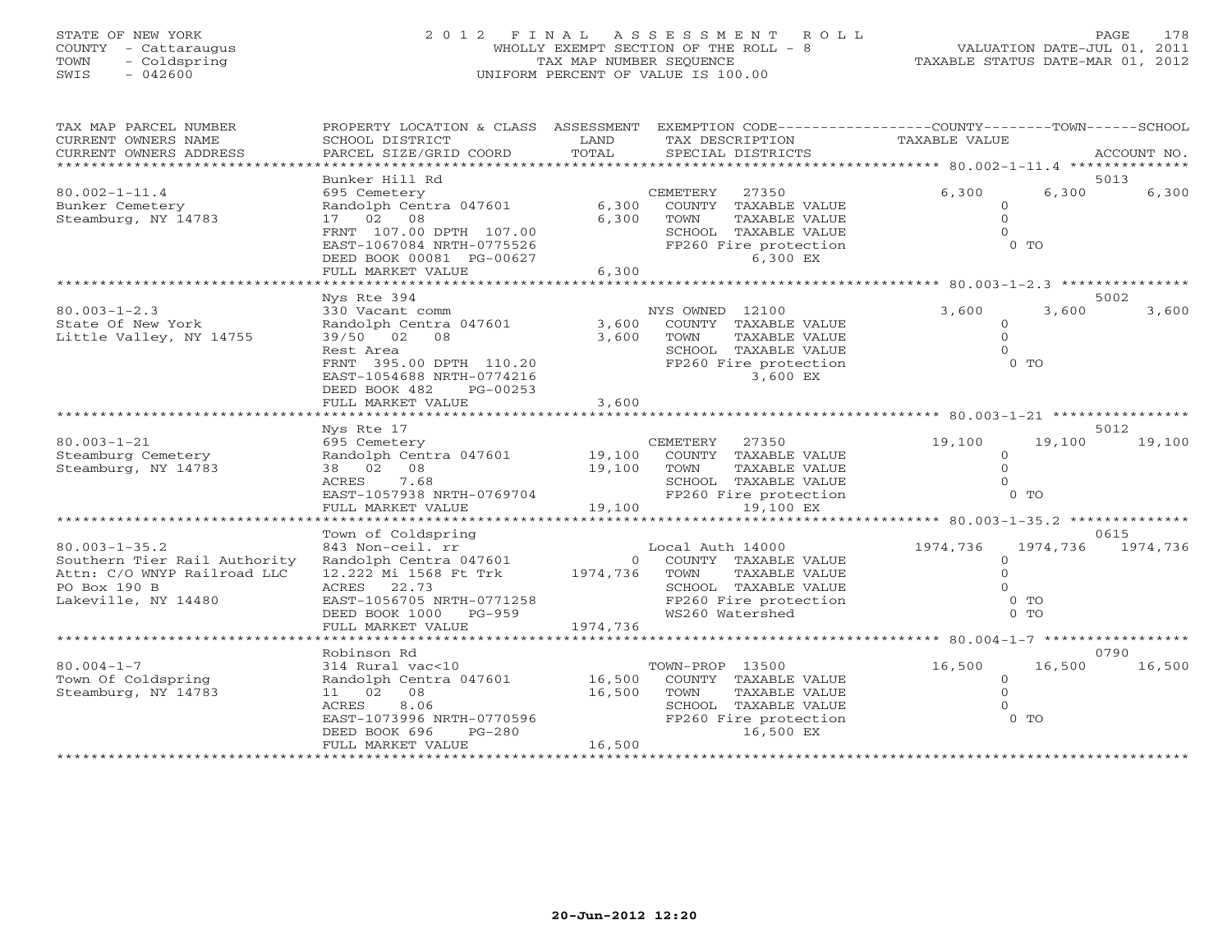# STATE OF NEW YORK 2 0 1 2 F I N A L A S S E S S M E N T R O L L PAGE 178 COUNTY - Cattaraugus WHOLLY EXEMPT SECTION OF THE ROLL - 8 VALUATION DATE-JUL 01, 2011 TOWN - Coldspring TAX MAP NUMBER SEQUENCE TAXABLE STATUS DATE-MAR 01, 2012 SWIS - 042600 UNIFORM PERCENT OF VALUE IS 100.00

| TAX MAP PARCEL NUMBER<br>CURRENT OWNERS NAME<br>CURRENT OWNERS ADDRESS                                                    | PROPERTY LOCATION & CLASS ASSESSMENT<br>SCHOOL DISTRICT<br>PARCEL SIZE/GRID COORD                                                              | LAND<br>TOTAL              | EXEMPTION CODE-----------------COUNTY-------TOWN-----SCHOOL<br>TAX DESCRIPTION<br>SPECIAL DISTRICTS                                   | TAXABLE VALUE                                               | ACCOUNT NO.          |
|---------------------------------------------------------------------------------------------------------------------------|------------------------------------------------------------------------------------------------------------------------------------------------|----------------------------|---------------------------------------------------------------------------------------------------------------------------------------|-------------------------------------------------------------|----------------------|
|                                                                                                                           | Bunker Hill Rd                                                                                                                                 |                            |                                                                                                                                       |                                                             | 5013                 |
| $80.002 - 1 - 11.4$<br>Bunker Cemetery<br>Steamburg, NY 14783                                                             | 695 Cemetery<br>Randolph Centra 047601<br>17 02 08                                                                                             | 6,300<br>6,300             | CEMETERY<br>27350<br>COUNTY TAXABLE VALUE<br>TOWN<br>TAXABLE VALUE                                                                    | 6,300<br>$\Omega$<br>$\Omega$                               | 6,300<br>6,300       |
|                                                                                                                           | FRNT 107.00 DPTH 107.00<br>EAST-1067084 NRTH-0775526<br>DEED BOOK 00081 PG-00627                                                               |                            | SCHOOL TAXABLE VALUE<br>FP260 Fire protection<br>6,300 EX                                                                             | $0$ TO                                                      |                      |
|                                                                                                                           | FULL MARKET VALUE                                                                                                                              | 6,300                      | ******************                                                                                                                    | ******************* 80.003-1-2.3 ***************            |                      |
|                                                                                                                           | Nys Rte 394                                                                                                                                    |                            |                                                                                                                                       |                                                             | 5002                 |
| $80.003 - 1 - 2.3$<br>State Of New York<br>Little Valley, NY 14755                                                        | 330 Vacant comm<br>Randolph Centra 047601<br>39/50 02<br>08<br>Rest Area                                                                       | 3,600<br>3,600             | NYS OWNED 12100<br>COUNTY TAXABLE VALUE<br>TOWN<br>TAXABLE VALUE<br>SCHOOL TAXABLE VALUE                                              | 3,600<br>$\circ$<br>$\Omega$<br>$\Omega$                    | 3,600<br>3,600       |
|                                                                                                                           | FRNT 395.00 DPTH 110.20<br>EAST-1054688 NRTH-0774216<br>DEED BOOK 482<br>PG-00253<br>FULL MARKET VALUE                                         | 3,600                      | FP260 Fire protection<br>3,600 EX                                                                                                     | $0$ TO                                                      |                      |
|                                                                                                                           |                                                                                                                                                |                            |                                                                                                                                       |                                                             |                      |
|                                                                                                                           | Nys Rte 17                                                                                                                                     |                            |                                                                                                                                       |                                                             | 5012                 |
| $80.003 - 1 - 21$<br>Steamburg Cemetery<br>Steamburg, NY 14783                                                            | 695 Cemetery<br>Randolph Centra 047601<br>38 02 08<br>7.68<br>ACRES                                                                            | 19,100<br>19,100           | CEMETERY<br>27350<br>COUNTY TAXABLE VALUE<br>TOWN<br>TAXABLE VALUE<br>SCHOOL TAXABLE VALUE                                            | 19,100<br>$\circ$<br>$\circ$<br>$\Omega$                    | 19,100<br>19,100     |
|                                                                                                                           | EAST-1057938 NRTH-0769704<br>FULL MARKET VALUE<br>*****************                                                                            | 19,100<br>********         | FP260 Fire protection<br>19,100 EX                                                                                                    | $0$ TO                                                      |                      |
|                                                                                                                           | Town of Coldspring                                                                                                                             |                            |                                                                                                                                       | ******* 80.003-1-35.2 **************                        | 0615                 |
| $80.003 - 1 - 35.2$<br>Southern Tier Rail Authority<br>Attn: C/O WNYP Railroad LLC<br>PO Box 190 B<br>Lakeville, NY 14480 | 843 Non-ceil. rr<br>Randolph Centra 047601<br>12.222 Mi 1568 Ft Trk<br>ACRES<br>22.73<br>EAST-1056705 NRTH-0771258<br>DEED BOOK 1000<br>PG-959 | $\overline{0}$<br>1974,736 | Local Auth 14000<br>COUNTY TAXABLE VALUE<br>TOWN<br>TAXABLE VALUE<br>SCHOOL TAXABLE VALUE<br>FP260 Fire protection<br>WS260 Watershed | 1974,736<br>$\Omega$<br>$\Omega$<br>$0$ TO<br>$0$ TO        | 1974,736<br>1974,736 |
|                                                                                                                           | FULL MARKET VALUE                                                                                                                              | 1974,736                   |                                                                                                                                       |                                                             |                      |
|                                                                                                                           | ***********************                                                                                                                        |                            |                                                                                                                                       |                                                             |                      |
|                                                                                                                           | Robinson Rd                                                                                                                                    |                            |                                                                                                                                       |                                                             | 0790                 |
| $80.004 - 1 - 7$<br>Town Of Coldspring<br>Steamburg, NY 14783                                                             | 314 Rural vac<10<br>Randolph Centra 047601<br>11 02<br>08<br>8.06<br><b>ACRES</b><br>EAST-1073996 NRTH-0770596<br>DEED BOOK 696<br>$PG-280$    | 16,500<br>16,500           | TOWN-PROP 13500<br>COUNTY TAXABLE VALUE<br>TOWN<br>TAXABLE VALUE<br>SCHOOL TAXABLE VALUE<br>FP260 Fire protection<br>16,500 EX        | 16,500<br>$\circ$<br>$\Omega$<br>$\Omega$<br>0 <sub>T</sub> | 16,500<br>16,500     |
|                                                                                                                           | FULL MARKET VALUE                                                                                                                              | 16,500                     |                                                                                                                                       |                                                             |                      |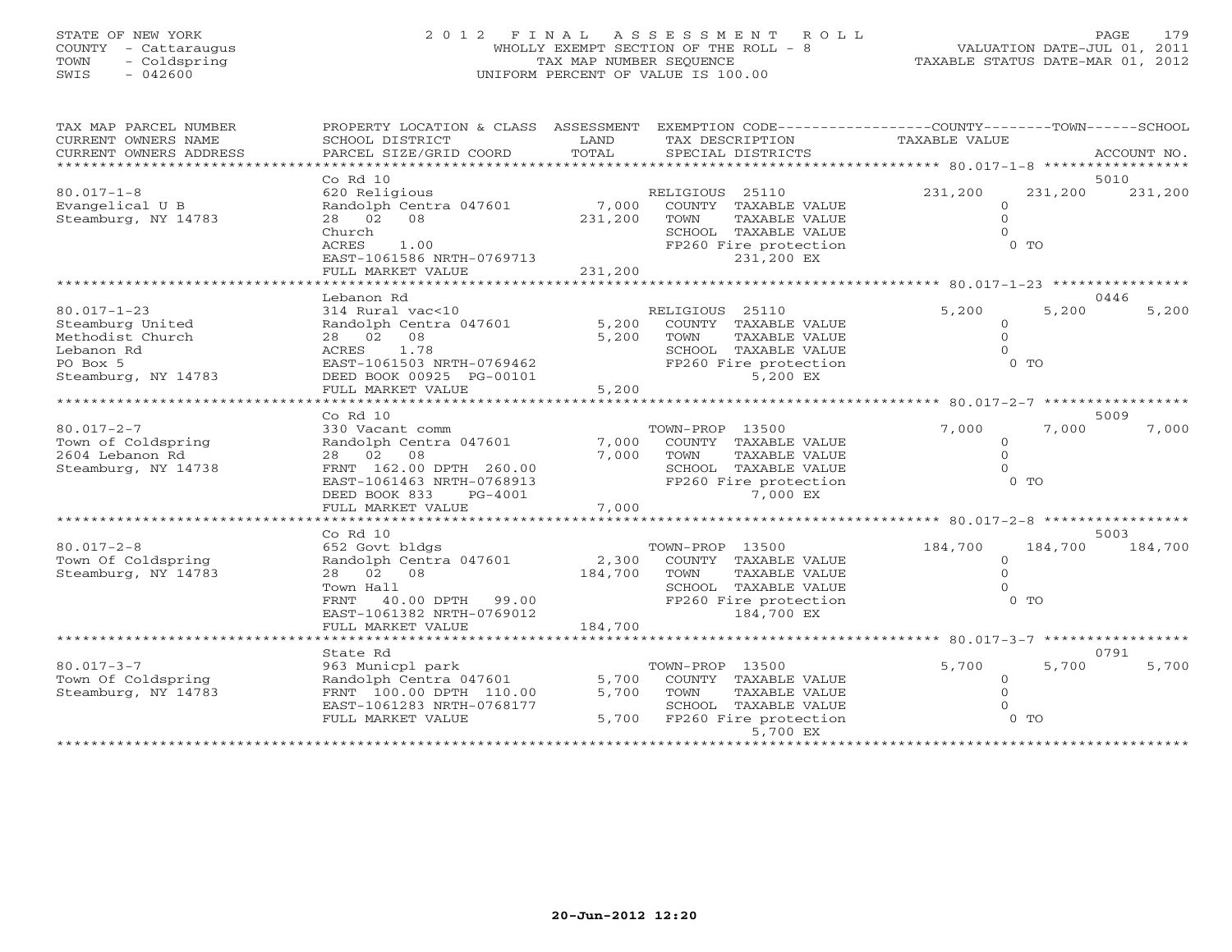# STATE OF NEW YORK 2 0 1 2 F I N A L A S S E S S M E N T R O L L PAGE 179 COUNTY - Cattaraugus WHOLLY EXEMPT SECTION OF THE ROLL - 8 VALUATION DATE-JUL 01, 2011 TOWN - Coldspring TAX MAP NUMBER SEQUENCE TAXABLE STATUS DATE-MAR 01, 2012 SWIS - 042600 UNIFORM PERCENT OF VALUE IS 100.00

| TAX MAP PARCEL NUMBER<br>CURRENT OWNERS NAME     | PROPERTY LOCATION & CLASS ASSESSMENT<br>SCHOOL DISTRICT | LAND    | EXEMPTION CODE-----------------COUNTY-------TOWN------SCHOOL<br>TAX DESCRIPTION | TAXABLE VALUE |                            |
|--------------------------------------------------|---------------------------------------------------------|---------|---------------------------------------------------------------------------------|---------------|----------------------------|
| CURRENT OWNERS ADDRESS<br>********************** | PARCEL SIZE/GRID COORD                                  | TOTAL   | SPECIAL DISTRICTS                                                               |               | ACCOUNT NO.                |
|                                                  | $Co$ $Rd$ $10$                                          |         |                                                                                 |               | 5010                       |
| $80.017 - 1 - 8$                                 | 620 Religious                                           |         | RELIGIOUS 25110                                                                 | 231,200       | 231,200<br>231,200         |
| Evangelical U B                                  | Randolph Centra 047601                                  | 7,000   | COUNTY TAXABLE VALUE                                                            | $\mathbf{0}$  |                            |
| Steamburg, NY 14783                              | 28 02 08                                                | 231,200 | TAXABLE VALUE<br>TOWN                                                           | $\Omega$      |                            |
|                                                  | Church                                                  |         | SCHOOL TAXABLE VALUE                                                            | $\Omega$      |                            |
|                                                  | <b>ACRES</b><br>1.00                                    |         | FP260 Fire protection                                                           |               | $0$ TO                     |
|                                                  | EAST-1061586 NRTH-0769713                               |         | 231,200 EX                                                                      |               |                            |
|                                                  | FULL MARKET VALUE                                       | 231,200 |                                                                                 |               |                            |
|                                                  |                                                         |         |                                                                                 |               |                            |
|                                                  | Lebanon Rd                                              |         |                                                                                 |               | 0446                       |
| $80.017 - 1 - 23$                                | 314 Rural vac<10                                        |         | RELIGIOUS 25110                                                                 | 5,200         | 5,200<br>5,200             |
| Steamburg United                                 | Randolph Centra 047601                                  | 5,200   | COUNTY TAXABLE VALUE                                                            | $\Omega$      |                            |
| Methodist Church                                 | 28  02  08<br>1.78                                      | 5,200   | TOWN<br>TAXABLE VALUE                                                           | $\Omega$      |                            |
| Lebanon Rd<br>PO Box 5                           | ACRES<br>EAST-1061503 NRTH-0769462                      |         | SCHOOL TAXABLE VALUE<br>FP260 Fire protection                                   | $\Omega$      | $0$ TO                     |
| Steamburg, NY 14783                              | DEED BOOK 00925 PG-00101                                |         | 5,200 EX                                                                        |               |                            |
|                                                  | FULL MARKET VALUE                                       | 5,200   |                                                                                 |               |                            |
|                                                  | *************************                               |         |                                                                                 |               |                            |
|                                                  | $Co$ $Rd$ $10$                                          |         |                                                                                 |               | 5009                       |
| $80.017 - 2 - 7$                                 | 330 Vacant comm                                         |         | TOWN-PROP 13500                                                                 | 7,000         | 7,000<br>7,000             |
| Town of Coldspring                               | Randolph Centra 047601                                  | 7,000   | COUNTY TAXABLE VALUE                                                            | $\circ$       |                            |
| 2604 Lebanon Rd                                  | 28 02 08                                                | 7,000   | TOWN<br>TAXABLE VALUE                                                           | $\Omega$      |                            |
| Steamburg, NY 14738                              | FRNT 162.00 DPTH 260.00                                 |         | SCHOOL TAXABLE VALUE                                                            | $\Omega$      |                            |
|                                                  | EAST-1061463 NRTH-0768913                               |         | FP260 Fire protection                                                           |               | $0$ TO                     |
|                                                  | DEED BOOK 833<br>PG-4001                                |         | 7,000 EX                                                                        |               |                            |
|                                                  | FULL MARKET VALUE<br>*******************                | 7,000   |                                                                                 |               |                            |
|                                                  |                                                         |         | ******************************** 80.017-2-8 ******                              |               |                            |
| $80.017 - 2 - 8$                                 | Co Rd 10<br>652 Govt bldgs                              |         | TOWN-PROP 13500                                                                 | 184,700       | 5003<br>184,700<br>184,700 |
| Town Of Coldspring                               | Randolph Centra 047601                                  | 2,300   | COUNTY TAXABLE VALUE                                                            | $\Omega$      |                            |
| Steamburg, NY 14783                              | 28 02 08                                                | 184,700 | TOWN<br>TAXABLE VALUE                                                           | $\Omega$      |                            |
|                                                  | Town Hall                                               |         | SCHOOL TAXABLE VALUE                                                            | $\Omega$      |                            |
|                                                  | FRNT 40.00 DPTH 99.00                                   |         | FP260 Fire protection                                                           |               | $0$ TO                     |
|                                                  | EAST-1061382 NRTH-0769012                               |         | 184,700 EX                                                                      |               |                            |
|                                                  | FULL MARKET VALUE                                       | 184,700 |                                                                                 |               |                            |
|                                                  |                                                         |         |                                                                                 |               |                            |
|                                                  | State Rd                                                |         |                                                                                 |               | 0791                       |
| $80.017 - 3 - 7$                                 | 963 Municpl park                                        |         | TOWN-PROP 13500                                                                 | 5,700         | 5,700<br>5,700             |
| Town Of Coldspring                               | Randolph Centra 047601                                  | 5,700   | COUNTY TAXABLE VALUE                                                            | $\circ$       |                            |
| Steamburg, NY 14783                              | FRNT 100.00 DPTH 110.00                                 | 5,700   | TOWN<br>TAXABLE VALUE                                                           | $\Omega$      |                            |
|                                                  | EAST-1061283 NRTH-0768177                               |         | SCHOOL TAXABLE VALUE                                                            |               |                            |
|                                                  | FULL MARKET VALUE                                       |         | 5,700 FP260 Fire protection                                                     |               | $0$ TO                     |
|                                                  |                                                         |         | 5,700 EX<br>* * * * * * * * * * * * * * * * * * * *                             |               |                            |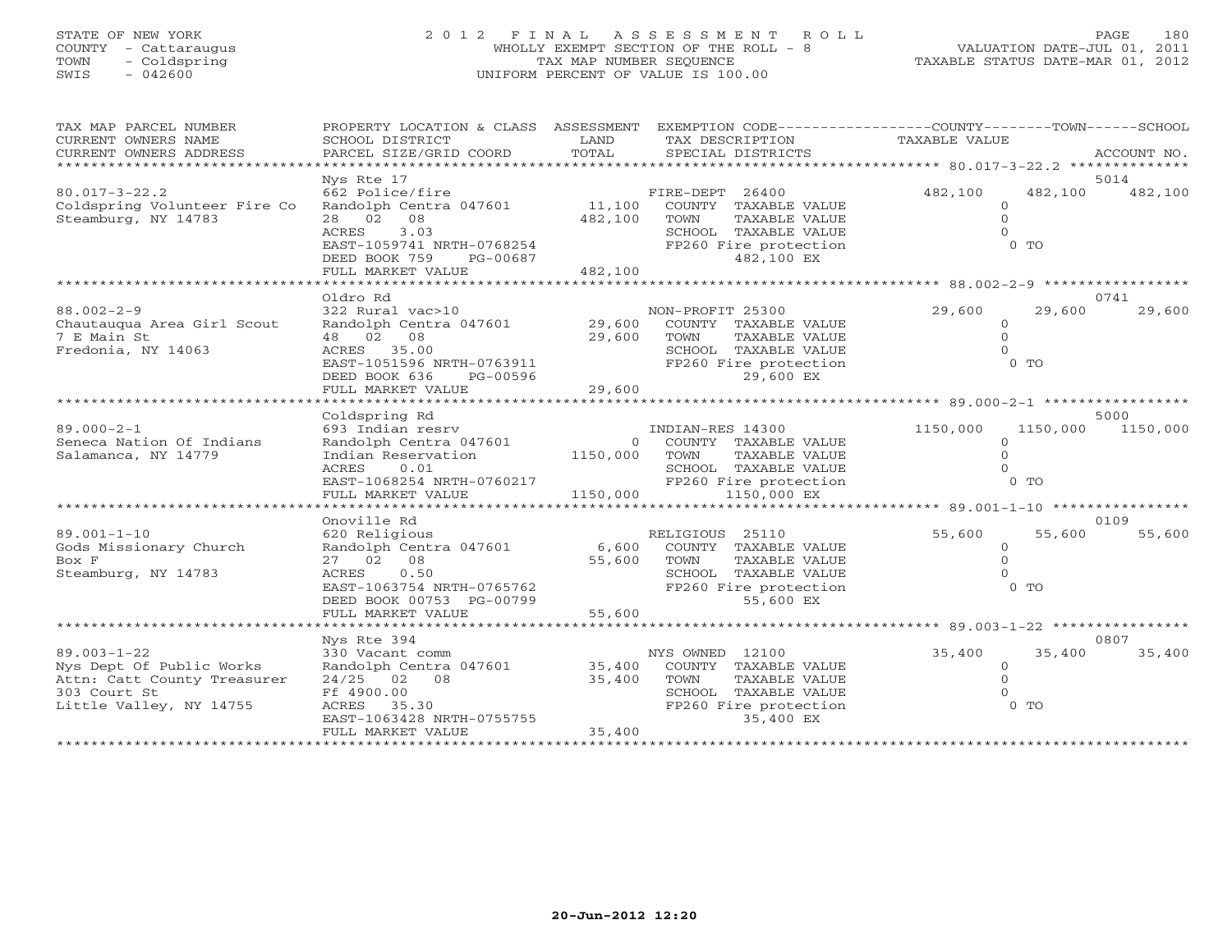# STATE OF NEW YORK 2 0 1 2 F I N A L A S S E S S M E N T R O L L PAGE 180 COUNTY - Cattaraugus WHOLLY EXEMPT SECTION OF THE ROLL - 8 VALUATION DATE-JUL 01, 2011 TOWN - Coldspring TAX MAP NUMBER SEQUENCE TAXABLE STATUS DATE-MAR 01, 2012 SWIS - 042600 UNIFORM PERCENT OF VALUE IS 100.00

| Nys Rte 17<br>5014<br>$80.017 - 3 - 22.2$<br>662 Police/fire<br>FIRE-DEPT 26400<br>482,100<br>482,100<br>482,100<br>11,100<br>COUNTY TAXABLE VALUE<br>Coldspring Volunteer Fire Co<br>Randolph Centra 047601<br>$\Omega$<br>Steamburg, NY 14783<br>482,100<br>28 02 08<br>TOWN<br>TAXABLE VALUE<br>$\Omega$<br>3.03<br>ACRES<br>SCHOOL TAXABLE VALUE<br>$0$ TO<br>EAST-1059741 NRTH-0768254<br>FP260 Fire protection<br>DEED BOOK 759<br>482,100 EX<br>PG-00687 |
|-----------------------------------------------------------------------------------------------------------------------------------------------------------------------------------------------------------------------------------------------------------------------------------------------------------------------------------------------------------------------------------------------------------------------------------------------------------------|
|                                                                                                                                                                                                                                                                                                                                                                                                                                                                 |
|                                                                                                                                                                                                                                                                                                                                                                                                                                                                 |
|                                                                                                                                                                                                                                                                                                                                                                                                                                                                 |
|                                                                                                                                                                                                                                                                                                                                                                                                                                                                 |
|                                                                                                                                                                                                                                                                                                                                                                                                                                                                 |
|                                                                                                                                                                                                                                                                                                                                                                                                                                                                 |
|                                                                                                                                                                                                                                                                                                                                                                                                                                                                 |
|                                                                                                                                                                                                                                                                                                                                                                                                                                                                 |
| 482,100<br>FULL MARKET VALUE                                                                                                                                                                                                                                                                                                                                                                                                                                    |
|                                                                                                                                                                                                                                                                                                                                                                                                                                                                 |
| Oldro Rd<br>0741                                                                                                                                                                                                                                                                                                                                                                                                                                                |
| $88.002 - 2 - 9$<br>322 Rural vac>10<br>29,600<br>29,600<br>29,600<br>NON-PROFIT 25300                                                                                                                                                                                                                                                                                                                                                                          |
| Randolph Centra 047601 29,600<br>Chautauqua Area Girl Scout<br>COUNTY TAXABLE VALUE<br>$\circ$                                                                                                                                                                                                                                                                                                                                                                  |
| 7 E Main St<br>29,600<br>$\Omega$<br>48  02  08<br>TOWN<br>TAXABLE VALUE                                                                                                                                                                                                                                                                                                                                                                                        |
| ACRES 35.00<br>$\Omega$<br>Fredonia, NY 14063<br>SCHOOL TAXABLE VALUE                                                                                                                                                                                                                                                                                                                                                                                           |
| $0$ TO<br>EAST-1051596 NRTH-0763911<br>FP260 Fire protection                                                                                                                                                                                                                                                                                                                                                                                                    |
| DEED BOOK 636                                                                                                                                                                                                                                                                                                                                                                                                                                                   |
| PG-00596<br>29,600 EX<br>29,600                                                                                                                                                                                                                                                                                                                                                                                                                                 |
| FULL MARKET VALUE                                                                                                                                                                                                                                                                                                                                                                                                                                               |
|                                                                                                                                                                                                                                                                                                                                                                                                                                                                 |
| 5000<br>Coldspring Rd                                                                                                                                                                                                                                                                                                                                                                                                                                           |
| $89.000 - 2 - 1$<br>693 Indian resrv<br>Randolph Centra 047601<br>INDIAN-RES 14300<br>1150,000<br>1150,000<br>1150,000                                                                                                                                                                                                                                                                                                                                          |
| Seneca Nation Of Indians<br>0 COUNTY TAXABLE VALUE<br>$\Omega$                                                                                                                                                                                                                                                                                                                                                                                                  |
| 1150,000 TOWN<br>Salamanca, NY 14779<br>Indian Reservation<br>TAXABLE VALUE<br>$\Omega$                                                                                                                                                                                                                                                                                                                                                                         |
| 0.01<br>SCHOOL TAXABLE VALUE<br>ACRES                                                                                                                                                                                                                                                                                                                                                                                                                           |
| $RAST-1068254 NRTH-0760217$<br>$0$ TO<br>FP260 Fire protection                                                                                                                                                                                                                                                                                                                                                                                                  |
| 1150,000<br>FULL MARKET VALUE<br>1150,000 EX                                                                                                                                                                                                                                                                                                                                                                                                                    |
|                                                                                                                                                                                                                                                                                                                                                                                                                                                                 |
| Onoville Rd<br>0109                                                                                                                                                                                                                                                                                                                                                                                                                                             |
| $89.001 - 1 - 10$<br>620 Religious<br>55,600<br>55,600<br>55,600<br>RELIGIOUS 25110                                                                                                                                                                                                                                                                                                                                                                             |
| Randolph Centra 047601<br>Gods Missionary Church<br>6,600<br>COUNTY TAXABLE VALUE<br>$\overline{0}$                                                                                                                                                                                                                                                                                                                                                             |
| 27 02 08<br>$\Omega$<br>Box F<br>55,600<br>TOWN<br>TAXABLE VALUE                                                                                                                                                                                                                                                                                                                                                                                                |
| Steamburg, NY 14783<br>SCHOOL TAXABLE VALUE<br>ACRES<br>0.50                                                                                                                                                                                                                                                                                                                                                                                                    |
| $0$ TO<br>EAST-1063754 NRTH-0765762<br>FP260 Fire protection                                                                                                                                                                                                                                                                                                                                                                                                    |
| 55,600 EX<br>DEED BOOK 00753 PG-00799                                                                                                                                                                                                                                                                                                                                                                                                                           |
| 55,600<br>FULL MARKET VALUE                                                                                                                                                                                                                                                                                                                                                                                                                                     |
|                                                                                                                                                                                                                                                                                                                                                                                                                                                                 |
| 0807<br>Nys Rte 394                                                                                                                                                                                                                                                                                                                                                                                                                                             |
| $89.003 - 1 - 22$<br>330 Vacant comm<br>35,400<br>35,400<br>35,400                                                                                                                                                                                                                                                                                                                                                                                              |
| NYS OWNED 12100<br>Randolph Centra 047601 35,400<br>Nys Dept Of Public Works<br>COUNTY TAXABLE VALUE<br>$\circ$                                                                                                                                                                                                                                                                                                                                                 |
| $\Omega$                                                                                                                                                                                                                                                                                                                                                                                                                                                        |
| Attn: Catt County Treasurer<br>$24/25$ 02 08<br>35,400<br>TAXABLE VALUE<br>TOWN                                                                                                                                                                                                                                                                                                                                                                                 |
| 303 Court St<br>Ff 4900.00<br>SCHOOL TAXABLE VALUE                                                                                                                                                                                                                                                                                                                                                                                                              |
| $0$ TO<br>Little Valley, NY 14755<br>ACRES 35.30<br>FP260 Fire protection                                                                                                                                                                                                                                                                                                                                                                                       |
| 35,400 EX<br>EAST-1063428 NRTH-0755755                                                                                                                                                                                                                                                                                                                                                                                                                          |
| 35,400<br>FULL MARKET VALUE                                                                                                                                                                                                                                                                                                                                                                                                                                     |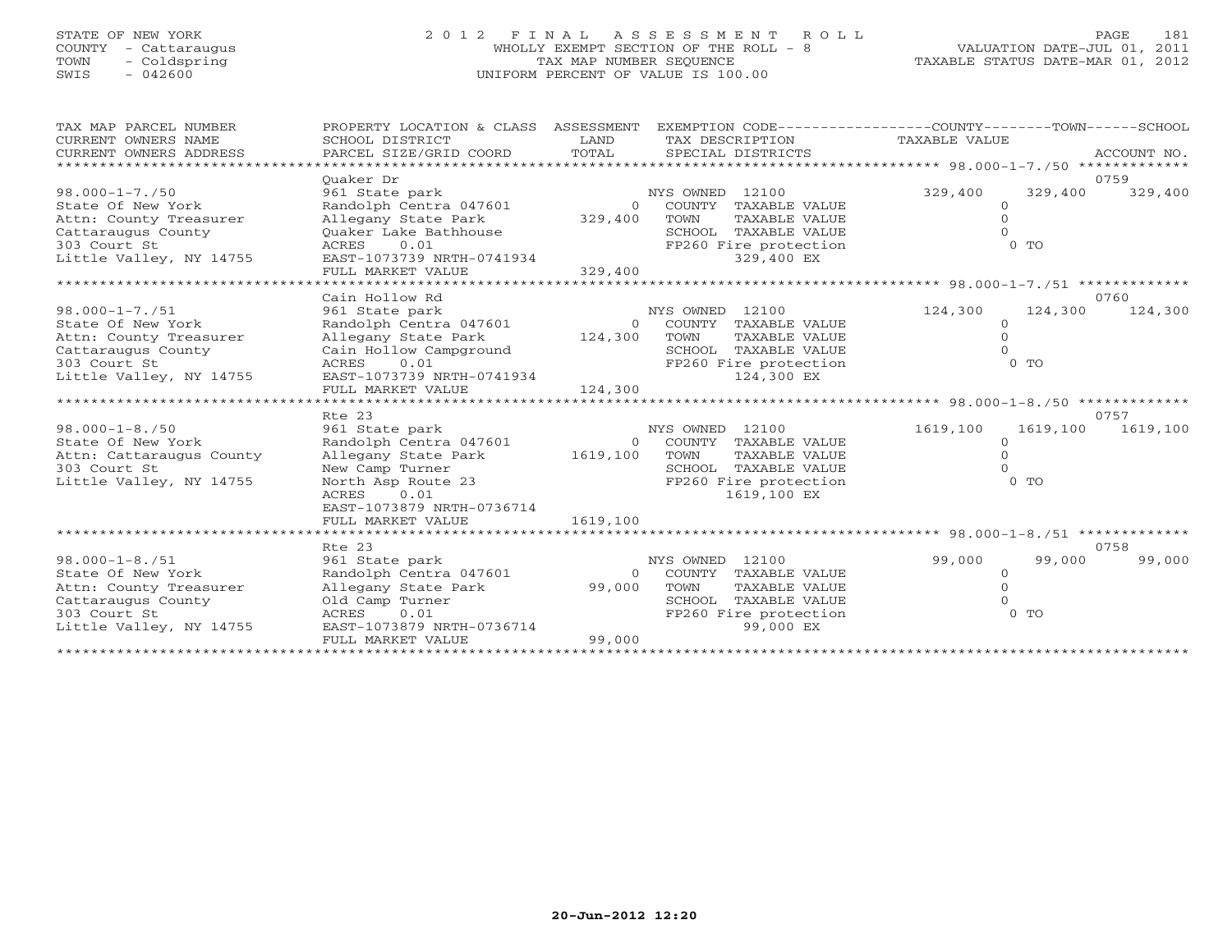# STATE OF NEW YORK 2 0 1 2 F I N A L A S S E S S M E N T R O L L PAGE 181 COUNTY - Cattaraugus WHOLLY EXEMPT SECTION OF THE ROLL - 8 VALUATION DATE-JUL 01, 2011 TOWN - Coldspring TAX MAP NUMBER SEQUENCE TAXABLE STATUS DATE-MAR 01, 2012 SWIS - 042600 UNIFORM PERCENT OF VALUE IS 100.00UNIFORM PERCENT OF VALUE IS 100.00

| TAX MAP PARCEL NUMBER<br>CURRENT OWNERS NAME<br>CURRENT OWNERS ADDRESS | PROPERTY LOCATION & CLASS<br>SCHOOL DISTRICT<br>PARCEL SIZE/GRID COORD | ASSESSMENT<br>LAND<br>TOTAL | EXEMPTION CODE-----------------COUNTY-------TOWN------SCHOOL<br>TAX DESCRIPTION<br>SPECIAL DISTRICTS | TAXABLE VALUE                                |          | ACCOUNT NO. |
|------------------------------------------------------------------------|------------------------------------------------------------------------|-----------------------------|------------------------------------------------------------------------------------------------------|----------------------------------------------|----------|-------------|
|                                                                        | Ouaker Dr                                                              |                             |                                                                                                      |                                              |          | 0759        |
| $98.000 - 1 - 7.750$                                                   | 961 State park                                                         |                             | NYS OWNED 12100                                                                                      | 329,400                                      | 329,400  | 329,400     |
| State Of New York                                                      | Randolph Centra 047601                                                 | $\Omega$                    | COUNTY<br>TAXABLE VALUE                                                                              | $\circ$                                      |          |             |
| Attn: County Treasurer                                                 | Allegany State Park                                                    | 329,400                     | TOWN<br>TAXABLE VALUE                                                                                | $\circ$                                      |          |             |
| Cattaraugus County                                                     | Ouaker Lake Bathhouse                                                  |                             | SCHOOL TAXABLE VALUE                                                                                 |                                              |          |             |
| 303 Court St                                                           | 0.01<br>ACRES                                                          |                             | FP260 Fire protection                                                                                | $0$ TO                                       |          |             |
| Little Valley, NY 14755                                                | EAST-1073739 NRTH-0741934                                              |                             | 329,400 EX                                                                                           |                                              |          |             |
|                                                                        | FULL MARKET VALUE                                                      | 329,400                     |                                                                                                      |                                              |          |             |
|                                                                        | *********************                                                  |                             | ********************************                                                                     | ************** 98.000-1-7./51 ************** |          |             |
|                                                                        | Cain Hollow Rd                                                         |                             |                                                                                                      |                                              |          | 0760        |
| $98.000 - 1 - 7.751$                                                   | 961 State park                                                         |                             | NYS OWNED 12100                                                                                      | 124,300                                      | 124,300  | 124,300     |
| State Of New York                                                      | Randolph Centra 047601                                                 | $\overline{0}$              | COUNTY TAXABLE VALUE                                                                                 | $\circ$                                      |          |             |
| Attn: County Treasurer                                                 | Allegany State Park                                                    | 124,300                     | TOWN<br>TAXABLE VALUE                                                                                | $\Omega$                                     |          |             |
| Cattaraugus County                                                     | Cain Hollow Campground                                                 |                             | SCHOOL TAXABLE VALUE                                                                                 |                                              |          |             |
| 303 Court St                                                           | 0.01<br>ACRES                                                          |                             | FP260 Fire protection                                                                                | $0$ TO                                       |          |             |
| Little Valley, NY 14755                                                | EAST-1073739 NRTH-0741934                                              |                             | 124,300 EX                                                                                           |                                              |          |             |
|                                                                        | FULL MARKET VALUE                                                      | 124,300                     |                                                                                                      |                                              |          |             |
|                                                                        |                                                                        |                             |                                                                                                      |                                              |          |             |
|                                                                        | Rte 23                                                                 |                             |                                                                                                      |                                              |          | 0757        |
| $98.000 - 1 - 8.750$                                                   | 961 State park                                                         |                             | NYS OWNED 12100                                                                                      | 1619,100                                     | 1619,100 | 1619,100    |
| State Of New York                                                      | Randolph Centra 047601                                                 | $\circ$                     | COUNTY TAXABLE VALUE                                                                                 | $\circ$                                      |          |             |
| Attn: Cattaraugus County                                               | Allegany State Park                                                    | 1619,100                    | TOWN<br>TAXABLE VALUE                                                                                | $\Omega$                                     |          |             |
| 303 Court St                                                           | New Camp Turner                                                        |                             | SCHOOL TAXABLE VALUE                                                                                 | $\Omega$                                     |          |             |
| Little Valley, NY 14755                                                | North Asp Route 23                                                     |                             | FP260 Fire protection                                                                                | $0$ TO                                       |          |             |
|                                                                        | 0.01<br>ACRES                                                          |                             | 1619,100 EX                                                                                          |                                              |          |             |
|                                                                        | EAST-1073879 NRTH-0736714                                              |                             |                                                                                                      |                                              |          |             |
|                                                                        | FULL MARKET VALUE                                                      | 1619,100                    |                                                                                                      |                                              |          |             |
|                                                                        |                                                                        |                             |                                                                                                      |                                              |          |             |
|                                                                        | Rte 23                                                                 |                             |                                                                                                      |                                              |          | 0758        |
| $98.000 - 1 - 8.751$                                                   | 961 State park                                                         |                             | NYS OWNED 12100                                                                                      | 99,000                                       | 99,000   | 99,000      |
| State Of New York                                                      | Randolph Centra 047601                                                 | $\Omega$                    | COUNTY TAXABLE VALUE                                                                                 | $\circ$                                      |          |             |
| Attn: County Treasurer                                                 | Allegany State Park                                                    | 99,000                      | TOWN<br>TAXABLE VALUE                                                                                | $\Omega$                                     |          |             |
| Cattaraugus County                                                     | Old Camp Turner                                                        |                             | SCHOOL TAXABLE VALUE                                                                                 |                                              |          |             |
| 303 Court St                                                           | 0.01<br>ACRES                                                          |                             | FP260 Fire protection                                                                                | $0$ TO                                       |          |             |
| Little Valley, NY 14755                                                | EAST-1073879 NRTH-0736714                                              |                             | 99,000 EX                                                                                            |                                              |          |             |
| *****************                                                      | FULL MARKET VALUE                                                      | 99,000                      |                                                                                                      |                                              |          |             |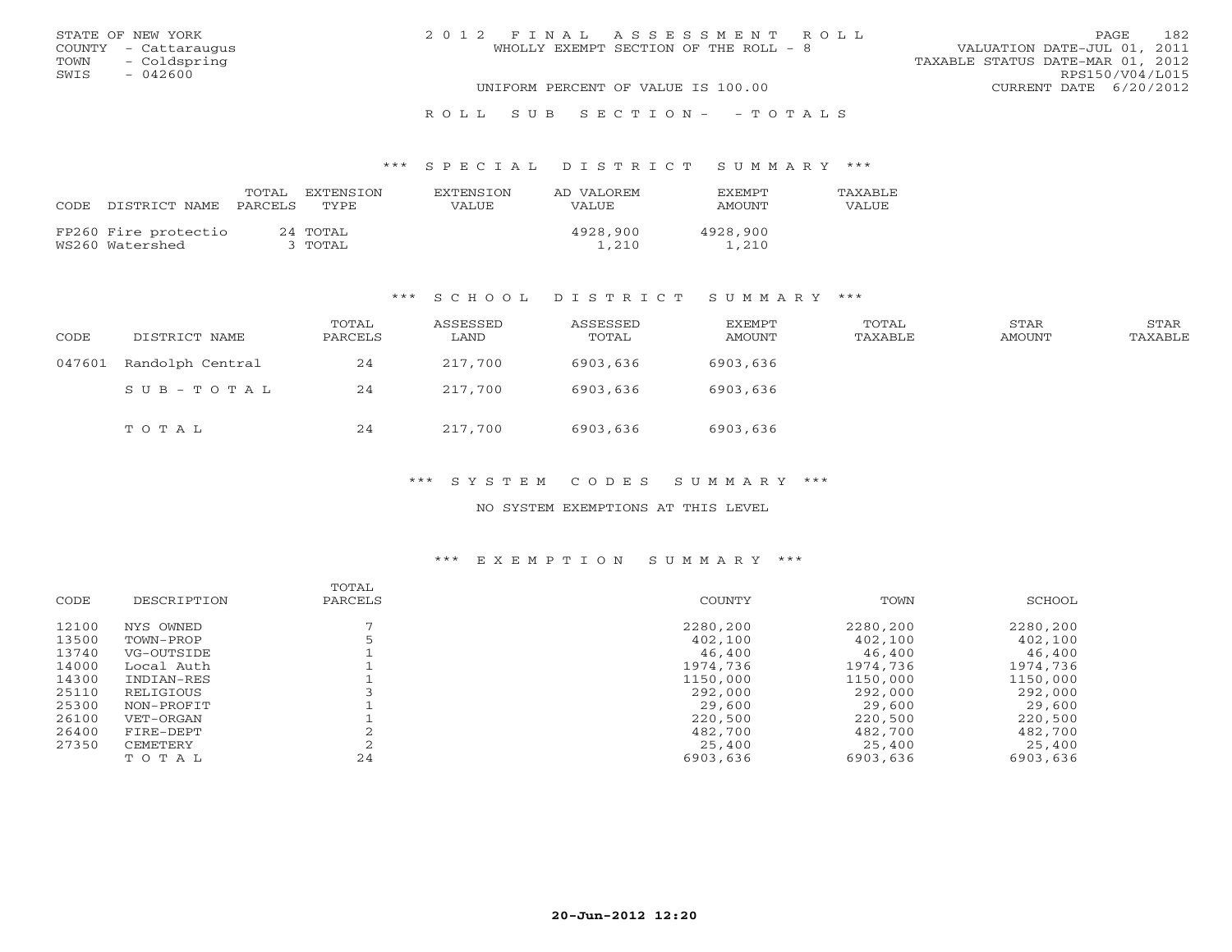|      | STATE OF NEW YORK    | 2012 FINAL ASSESSMENT ROLL            |                                  | PAGE                   | 182 |  |
|------|----------------------|---------------------------------------|----------------------------------|------------------------|-----|--|
|      | COUNTY - Cattaraugus | WHOLLY EXEMPT SECTION OF THE ROLL - 8 | VALUATION DATE-JUL 01, 2011      |                        |     |  |
|      | TOWN - Coldspring    |                                       | TAXABLE STATUS DATE-MAR 01, 2012 |                        |     |  |
| SWIS | - 042600             |                                       |                                  | RPS150/V04/L015        |     |  |
|      |                      | UNIFORM PERCENT OF VALUE IS 100.00    |                                  | CURRENT DATE 6/20/2012 |     |  |
|      |                      |                                       |                                  |                        |     |  |

# R O L L S U B S E C T I O N - - T O T A L S

#### \*\*\* S P E C I A L D I S T R I C T S U M M A R Y \*\*\*

| CODE. | DISTRICT NAME                           | TOTAL<br>PARCELS | EXTENSTON<br>TYPE.  | EXTENSION<br>VALUE | AD VALOREM<br>VALUE | <b>EXEMPT</b><br>AMOUNT | TAXABLE<br>VALUE |
|-------|-----------------------------------------|------------------|---------------------|--------------------|---------------------|-------------------------|------------------|
|       | FP260 Fire protectio<br>WS260 Watershed |                  | 24 TOTAL<br>3 TOTAL |                    | 4928,900<br>1,210   | 4928,900<br>1,210       |                  |

#### \*\*\* S C H O O L D I S T R I C T S U M M A R Y \*\*\*

| CODE   | DISTRICT NAME    | TOTAL<br>PARCELS | ASSESSED<br>LAND | ASSESSED<br>TOTAL | <b>EXEMPT</b><br>AMOUNT | TOTAL<br>TAXABLE | STAR<br>AMOUNT | STAR<br>TAXABLE |
|--------|------------------|------------------|------------------|-------------------|-------------------------|------------------|----------------|-----------------|
| 047601 | Randolph Central | 24               | 217,700          | 6903,636          | 6903,636                |                  |                |                 |
|        | SUB-TOTAL        | 24               | 217,700          | 6903,636          | 6903,636                |                  |                |                 |
|        | TOTAL            | 24               | 217,700          | 6903,636          | 6903,636                |                  |                |                 |

## \*\*\* S Y S T E M C O D E S S U M M A R Y \*\*\*

# NO SYSTEM EXEMPTIONS AT THIS LEVEL

| DESCRIPTION |    | COUNTY           | TOWN     | SCHOOL   |
|-------------|----|------------------|----------|----------|
|             |    |                  |          |          |
| NYS OWNED   |    | 2280,200         | 2280,200 | 2280,200 |
| TOWN-PROP   |    | 402,100          | 402,100  | 402,100  |
| VG-OUTSIDE  |    | 46,400           | 46,400   | 46,400   |
| Local Auth  |    | 1974,736         | 1974,736 | 1974,736 |
| INDIAN-RES  |    | 1150,000         | 1150,000 | 1150,000 |
| RELIGIOUS   |    | 292,000          | 292,000  | 292,000  |
| NON-PROFIT  |    | 29,600           | 29,600   | 29,600   |
| VET-ORGAN   |    | 220,500          | 220,500  | 220,500  |
| FIRE-DEPT   |    | 482,700          | 482,700  | 482,700  |
| CEMETERY    |    | 25,400           | 25,400   | 25,400   |
| TOTAL       | 24 | 6903,636         | 6903,636 | 6903,636 |
|             |    | TOTAL<br>PARCELS |          |          |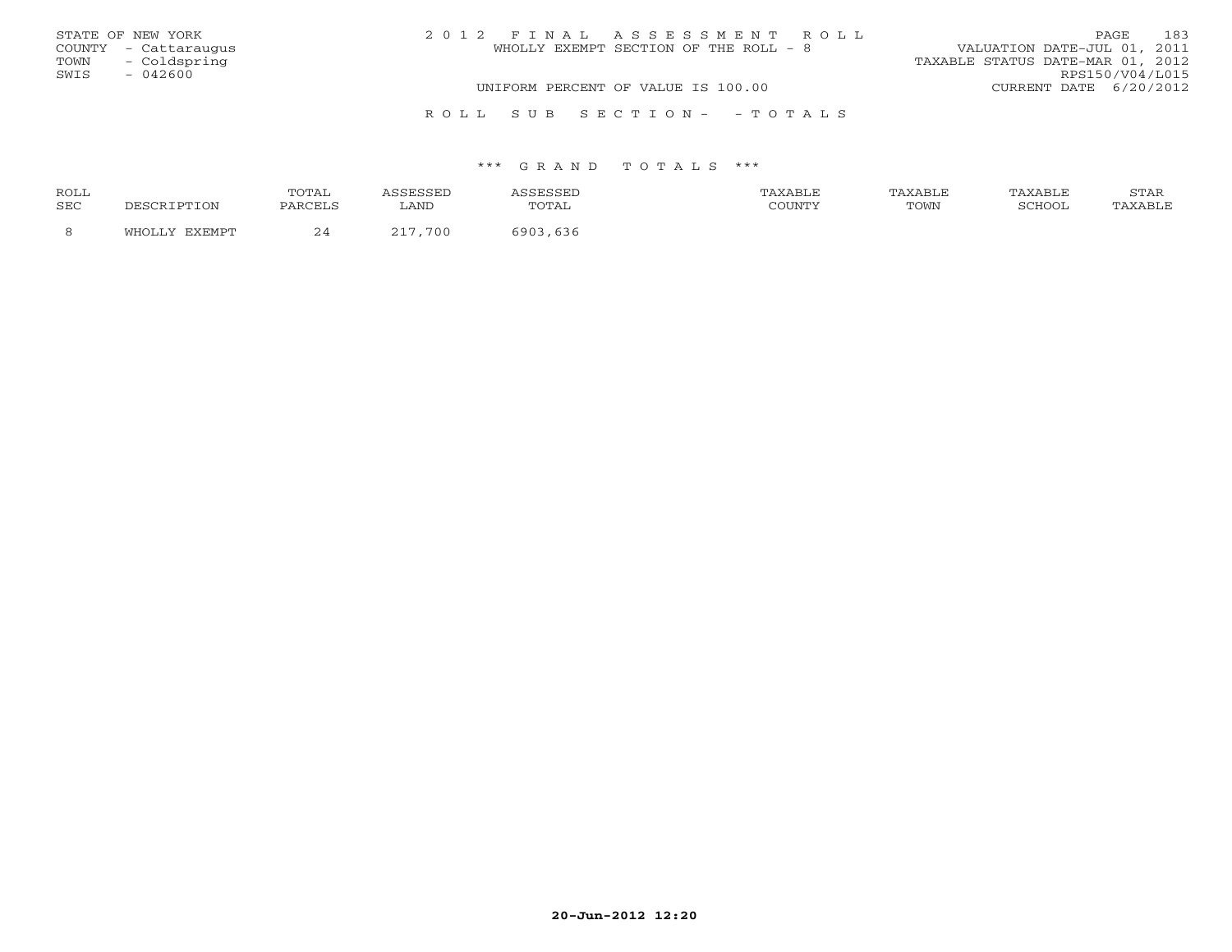|      | STATE OF NEW YORK    | 2012 FINAL ASSESSMENT ROLL            | 183<br>PAGE.                     |
|------|----------------------|---------------------------------------|----------------------------------|
|      | COUNTY - Cattaraugus | WHOLLY EXEMPT SECTION OF THE ROLL - 8 | VALUATION DATE-JUL 01, 2011      |
|      | TOWN - Coldspring    |                                       | TAXABLE STATUS DATE-MAR 01, 2012 |
| SWIS | $-042600$            |                                       | RPS150/V04/L015                  |
|      |                      | UNIFORM PERCENT OF VALUE IS 100.00    | CURRENT DATE 6/20/2012           |
|      |                      |                                       |                                  |
|      |                      | ROLL SUB SECTION- - TOTALS            |                                  |

| ROLL       | 'OTAL    |      |                  | AXABLF  |      | AXABLF | $\sim$ m $\sim$<br><u>UIIII</u> |
|------------|----------|------|------------------|---------|------|--------|---------------------------------|
| <b>SEC</b> | DADCET C | LAND | $\Delta$<br>---- | CCTINTM | TOWN | SURVO- |                                 |
|            | $\sim$   | 700  | りうり              |         |      |        |                                 |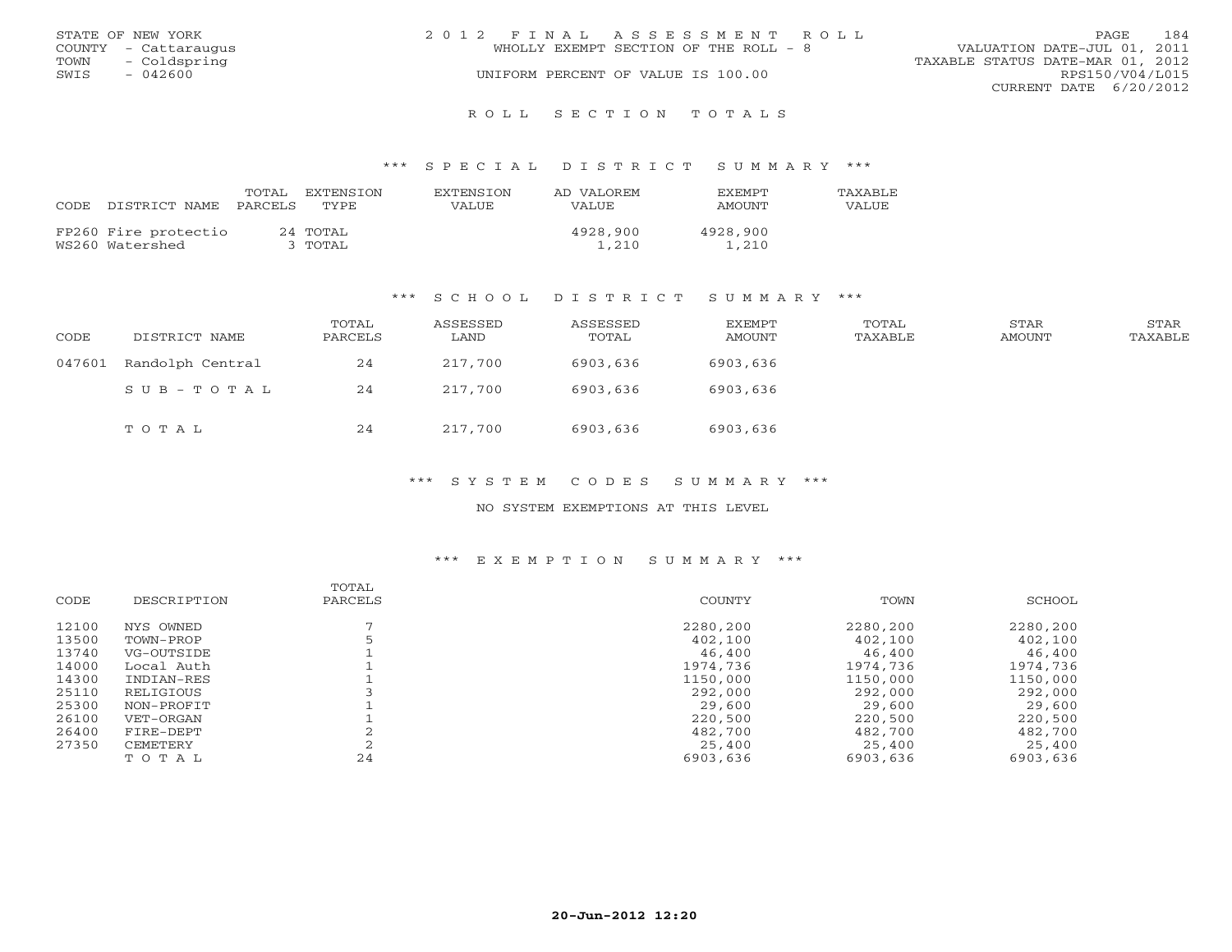|      | STATE OF NEW YORK    | 2012 FINAL ASSESSMENT ROLL            | 184<br><b>PAGE</b>               |
|------|----------------------|---------------------------------------|----------------------------------|
|      | COUNTY - Cattaraugus | WHOLLY EXEMPT SECTION OF THE ROLL - 8 | VALUATION DATE-JUL 01, 2011      |
|      | TOWN - Coldspring    |                                       | TAXABLE STATUS DATE-MAR 01, 2012 |
| SWIS | - 042600             | UNIFORM PERCENT OF VALUE IS 100.00    | RPS150/V04/L015                  |
|      |                      |                                       | CURRENT DATE 6/20/2012           |
|      |                      |                                       |                                  |

#### R O L L S E C T I O N T O T A L S

#### \*\*\* S P E C I A L D I S T R I C T S U M M A R Y \*\*\*

| CODE. | DISTRICT NAME                           | TOTAL<br>PARCELS | EXTENSTON<br>TYPE.  | EXTENSION<br>VALUE | AD VALOREM<br>VALUE | <b>EXEMPT</b><br>AMOUNT | TAXABLE<br>VALUE |
|-------|-----------------------------------------|------------------|---------------------|--------------------|---------------------|-------------------------|------------------|
|       | FP260 Fire protectio<br>WS260 Watershed |                  | 24 TOTAL<br>3 TOTAL |                    | 4928,900<br>1,210   | 4928,900<br>1,210       |                  |

#### \*\*\* S C H O O L D I S T R I C T S U M M A R Y \*\*\*

| CODE   | DISTRICT NAME    | TOTAL<br>PARCELS | ASSESSED<br>LAND | ASSESSED<br>TOTAL | EXEMPT<br>AMOUNT | TOTAL<br>TAXABLE | STAR<br>AMOUNT | STAR<br>TAXABLE |
|--------|------------------|------------------|------------------|-------------------|------------------|------------------|----------------|-----------------|
| 047601 | Randolph Central | 24               | 217,700          | 6903,636          | 6903,636         |                  |                |                 |
|        | $SUB - TO T AL$  | 24               | 217,700          | 6903,636          | 6903,636         |                  |                |                 |
|        | TOTAL            | 24               | 217,700          | 6903,636          | 6903,636         |                  |                |                 |

\*\*\* S Y S T E M C O D E S S U M M A R Y \*\*\*

NO SYSTEM EXEMPTIONS AT THIS LEVEL

| CODE  | DESCRIPTION | TOTAL<br>PARCELS | COUNTY   | TOWN     | SCHOOL   |
|-------|-------------|------------------|----------|----------|----------|
|       |             |                  |          |          |          |
| 12100 | NYS OWNED   |                  | 2280,200 | 2280,200 | 2280,200 |
| 13500 | TOWN-PROP   |                  | 402,100  | 402,100  | 402,100  |
| 13740 | VG-OUTSIDE  |                  | 46,400   | 46,400   | 46,400   |
| 14000 | Local Auth  |                  | 1974,736 | 1974,736 | 1974,736 |
| 14300 | INDIAN-RES  |                  | 1150,000 | 1150,000 | 1150,000 |
| 25110 | RELIGIOUS   |                  | 292,000  | 292,000  | 292,000  |
| 25300 | NON-PROFIT  |                  | 29,600   | 29,600   | 29,600   |
| 26100 | VET-ORGAN   |                  | 220,500  | 220,500  | 220,500  |
| 26400 | FIRE-DEPT   |                  | 482,700  | 482,700  | 482,700  |
| 27350 | CEMETERY    |                  | 25,400   | 25,400   | 25,400   |
|       | TOTAL       | 24               | 6903,636 | 6903,636 | 6903,636 |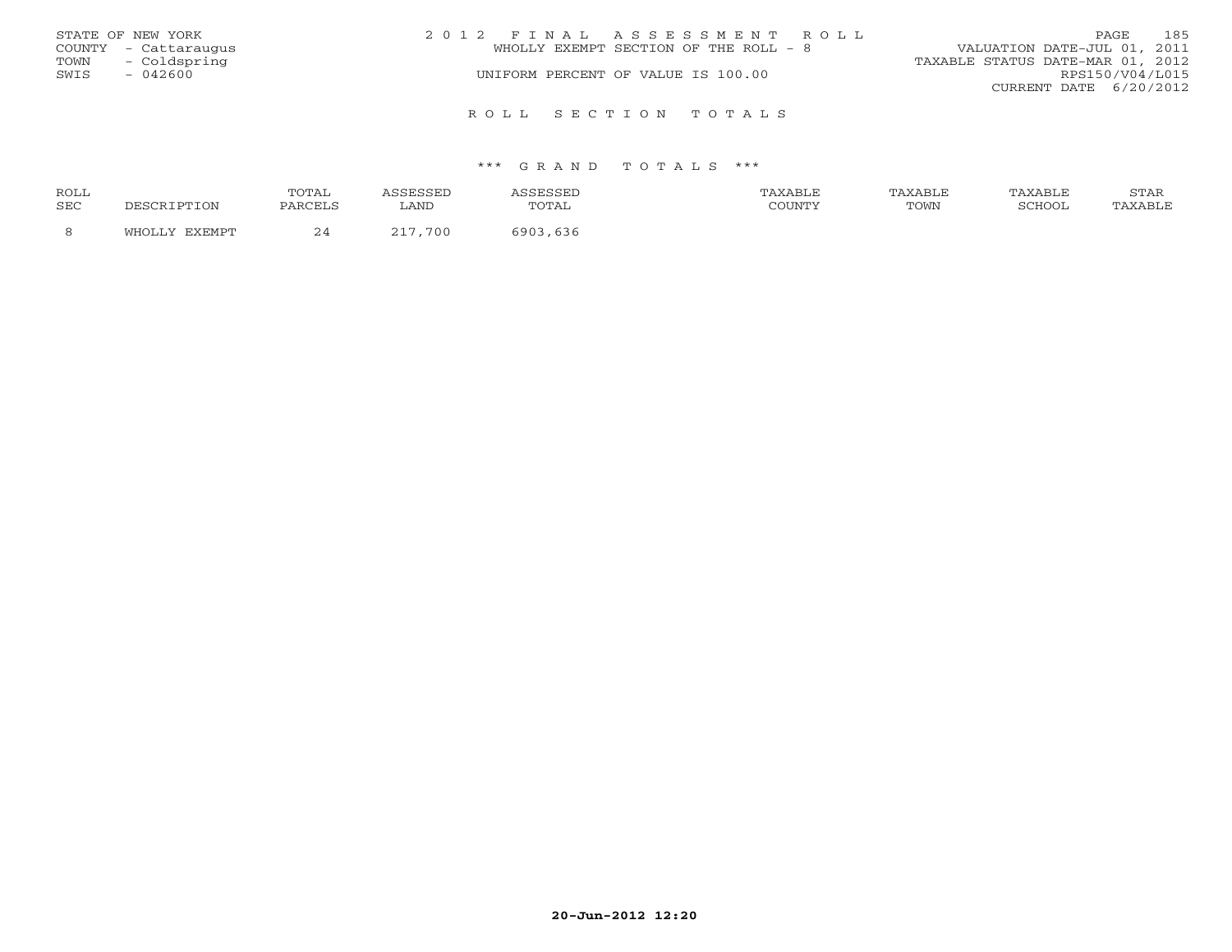|      | STATE OF NEW YORK    | 2012 FINAL ASSESSMENT ROLL            | 185<br>PAGE                      |
|------|----------------------|---------------------------------------|----------------------------------|
|      | COUNTY - Cattaraugus | WHOLLY EXEMPT SECTION OF THE ROLL - 8 | VALUATION DATE-JUL 01, 2011      |
| TOWN | - Coldspring         |                                       | TAXABLE STATUS DATE-MAR 01, 2012 |
| SWIS | - 042600             | UNIFORM PERCENT OF VALUE IS 100.00    | RPS150/V04/L015                  |
|      |                      |                                       | CURRENT DATE 6/20/2012           |
|      |                      | ROLL SECTION TOTALS                   |                                  |

| ROLL       |        | <b>OTAL</b> |           |                                | TAXABLF |      | TAXABLE | $cm\pi$<br>י בתיכו |
|------------|--------|-------------|-----------|--------------------------------|---------|------|---------|--------------------|
| <b>SEC</b> |        | PARCELS     | LAND      | $\cdot$ $\cdot$<br><u>UIII</u> | CCTINTM | TOWN | SURVUL  |                    |
|            | $\sim$ | ~ ≖         | 700<br>-- | 636                            |         |      |         |                    |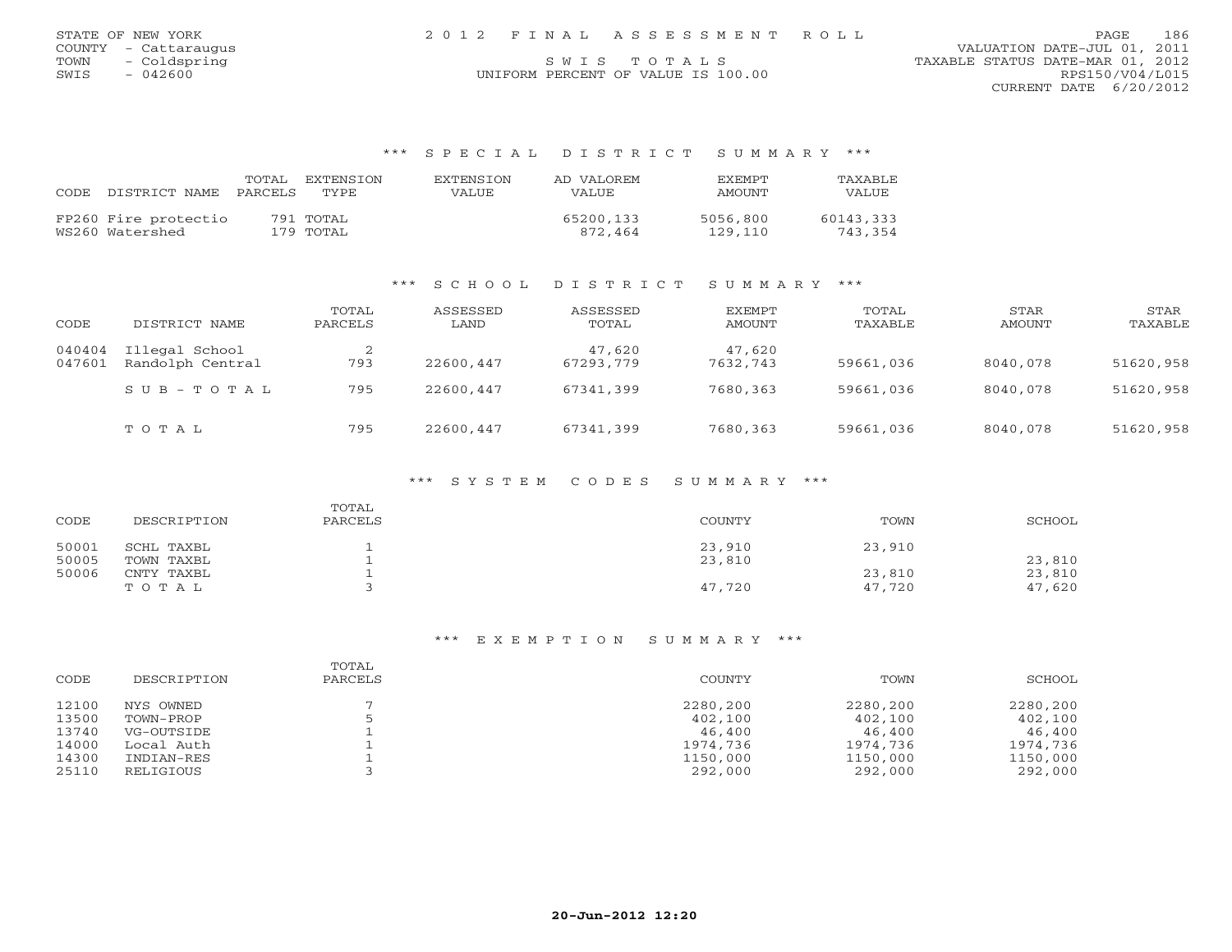| STATE OF NEW YORK    | 2012 FINAL ASSESSMENT ROLL         | 186<br>PAGE                      |
|----------------------|------------------------------------|----------------------------------|
| COUNTY - Cattaraugus |                                    | VALUATION DATE-JUL 01, 2011      |
| TOWN<br>- Coldspring | SWIS TOTALS                        | TAXABLE STATUS DATE-MAR 01, 2012 |
| 042600<br>SWIS       | UNIFORM PERCENT OF VALUE IS 100.00 | RPS150/V04/L015                  |

CURRENT DATE 6/20/2012

# \*\*\* S P E C I A L D I S T R I C T S U M M A R Y \*\*\*

| CODE | DISTRICT NAME                           | TOTAL<br>PARCELS | EXTENSTON<br>TYPE.     | <b>EXTENSION</b><br>VALUE | AD VALOREM<br><b>VALUE</b> | <b>FXFMPT</b><br>AMOUNT | TAXABLE<br>VALUE     |
|------|-----------------------------------------|------------------|------------------------|---------------------------|----------------------------|-------------------------|----------------------|
|      | FP260 Fire protectio<br>WS260 Watershed |                  | 791 TOTAL<br>179 TOTAL |                           | 65200,133<br>872.464       | 5056,800<br>129,110     | 60143,333<br>743,354 |

# \*\*\* S C H O O L D I S T R I C T S U M M A R Y \*\*\*

| CODE             | DISTRICT NAME                      | TOTAL<br>PARCELS | ASSESSED<br>LAND | ASSESSED<br>TOTAL   | EXEMPT<br>AMOUNT   | TOTAL<br>TAXABLE | STAR<br>AMOUNT | STAR<br>TAXABLE |
|------------------|------------------------------------|------------------|------------------|---------------------|--------------------|------------------|----------------|-----------------|
| 040404<br>047601 | Illegal School<br>Randolph Central | 793              | 22600,447        | 47,620<br>67293,779 | 47,620<br>7632,743 | 59661,036        | 8040,078       | 51620,958       |
|                  | $S \cup B - T \cup T A$            | 795              | 22600,447        | 67341,399           | 7680,363           | 59661,036        | 8040,078       | 51620,958       |
|                  | TOTAL                              | 795              | 22600,447        | 67341,399           | 7680,363           | 59661,036        | 8040,078       | 51620,958       |

## \*\*\* S Y S T E M C O D E S S U M M A R Y \*\*\*

| CODE  | DESCRIPTION | TOTAL<br>PARCELS | COUNTY | TOWN   | SCHOOL |
|-------|-------------|------------------|--------|--------|--------|
| 50001 | SCHL TAXBL  |                  | 23,910 | 23,910 |        |
| 50005 | TOWN TAXBL  |                  | 23,810 |        | 23,810 |
| 50006 | CNTY TAXBL  |                  |        | 23,810 | 23,810 |
|       | TOTAL       |                  | 47,720 | 47,720 | 47,620 |

| CODE  | DESCRIPTION | TOTAL<br>PARCELS | COUNTY   | TOWN     | SCHOOL   |
|-------|-------------|------------------|----------|----------|----------|
| 12100 | NYS OWNED   |                  | 2280,200 | 2280,200 | 2280,200 |
| 13500 | TOWN-PROP   |                  | 402,100  | 402,100  | 402,100  |
| 13740 | VG-OUTSIDE  |                  | 46,400   | 46,400   | 46,400   |
| 14000 | Local Auth  |                  | 1974,736 | 1974,736 | 1974,736 |
| 14300 | INDIAN-RES  |                  | 1150,000 | 1150,000 | 1150,000 |
| 25110 | RELIGIOUS   |                  | 292,000  | 292,000  | 292,000  |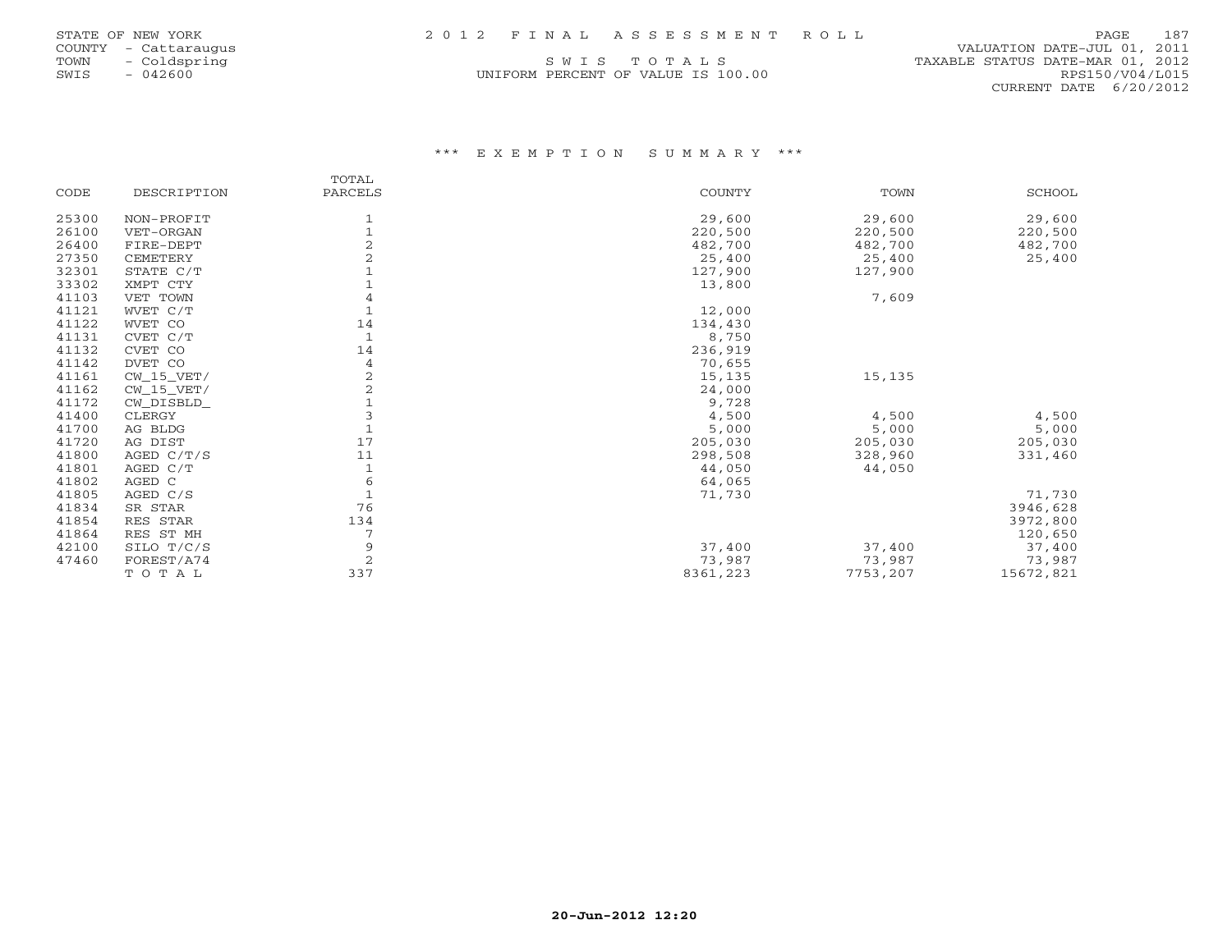| STATE OF NEW YORK |                          |             |  |
|-------------------|--------------------------|-------------|--|
| <b>COUNTY</b>     | $\overline{\phantom{a}}$ | Cattaraugus |  |
| TOWN              |                          | Coldspring  |  |
| SWIS              |                          | 042600      |  |

# COUNTY - Cattaraugus VALUATION DATE-JUL 01, 2011 S W I S T O T A L S TOO COLORE STATUS DATE-MAR 01, 2012<br>M PERCENT OF VALUE IS 100.00 CURRENT DATE 6/20/2012

# UNIFORM PERCENT OF VALUE IS 100.00

|       |              | TOTAL          |          |             |               |
|-------|--------------|----------------|----------|-------------|---------------|
| CODE  | DESCRIPTION  | PARCELS        | COUNTY   | <b>TOWN</b> | <b>SCHOOL</b> |
| 25300 | NON-PROFIT   | 1              | 29,600   | 29,600      | 29,600        |
| 26100 | VET-ORGAN    |                | 220,500  | 220,500     | 220,500       |
| 26400 | FIRE-DEPT    |                | 482,700  | 482,700     | 482,700       |
| 27350 | CEMETERY     |                | 25,400   | 25,400      | 25,400        |
| 32301 | STATE C/T    |                | 127,900  | 127,900     |               |
| 33302 | XMPT CTY     |                | 13,800   |             |               |
| 41103 | VET TOWN     | 4              |          | 7,609       |               |
| 41121 | WVET C/T     |                | 12,000   |             |               |
| 41122 | WVET CO      | 14             | 134,430  |             |               |
| 41131 | CVET C/T     | $\mathbf{1}$   | 8,750    |             |               |
| 41132 | CVET CO      | 14             | 236,919  |             |               |
| 41142 | DVET CO      | 4              | 70,655   |             |               |
| 41161 | CW 15 VET/   |                | 15,135   | 15,135      |               |
| 41162 | $CW_15_VET/$ | $\overline{c}$ | 24,000   |             |               |
| 41172 | CW DISBLD    |                | 9,728    |             |               |
| 41400 | CLERGY       |                | 4,500    | 4,500       | 4,500         |
| 41700 | AG BLDG      | $\mathbf{1}$   | 5,000    | 5,000       | 5,000         |
| 41720 | AG DIST      | 17             | 205,030  | 205,030     | 205,030       |
| 41800 | AGED C/T/S   | 11             | 298,508  | 328,960     | 331,460       |
| 41801 | AGED C/T     | $\mathbf{1}$   | 44,050   | 44,050      |               |
| 41802 | AGED C       | 6              | 64,065   |             |               |
| 41805 | AGED C/S     | $\mathbf{1}$   | 71,730   |             | 71,730        |
| 41834 | SR STAR      | 76             |          |             | 3946,628      |
| 41854 | RES STAR     | 134            |          |             | 3972,800      |
| 41864 | RES ST MH    |                |          |             | 120,650       |
| 42100 | SILO T/C/S   | 9              | 37,400   | 37,400      | 37,400        |
| 47460 | FOREST/A74   | 2              | 73,987   | 73,987      | 73,987        |
|       | TOTAL        | 337            | 8361,223 | 7753,207    | 15672,821     |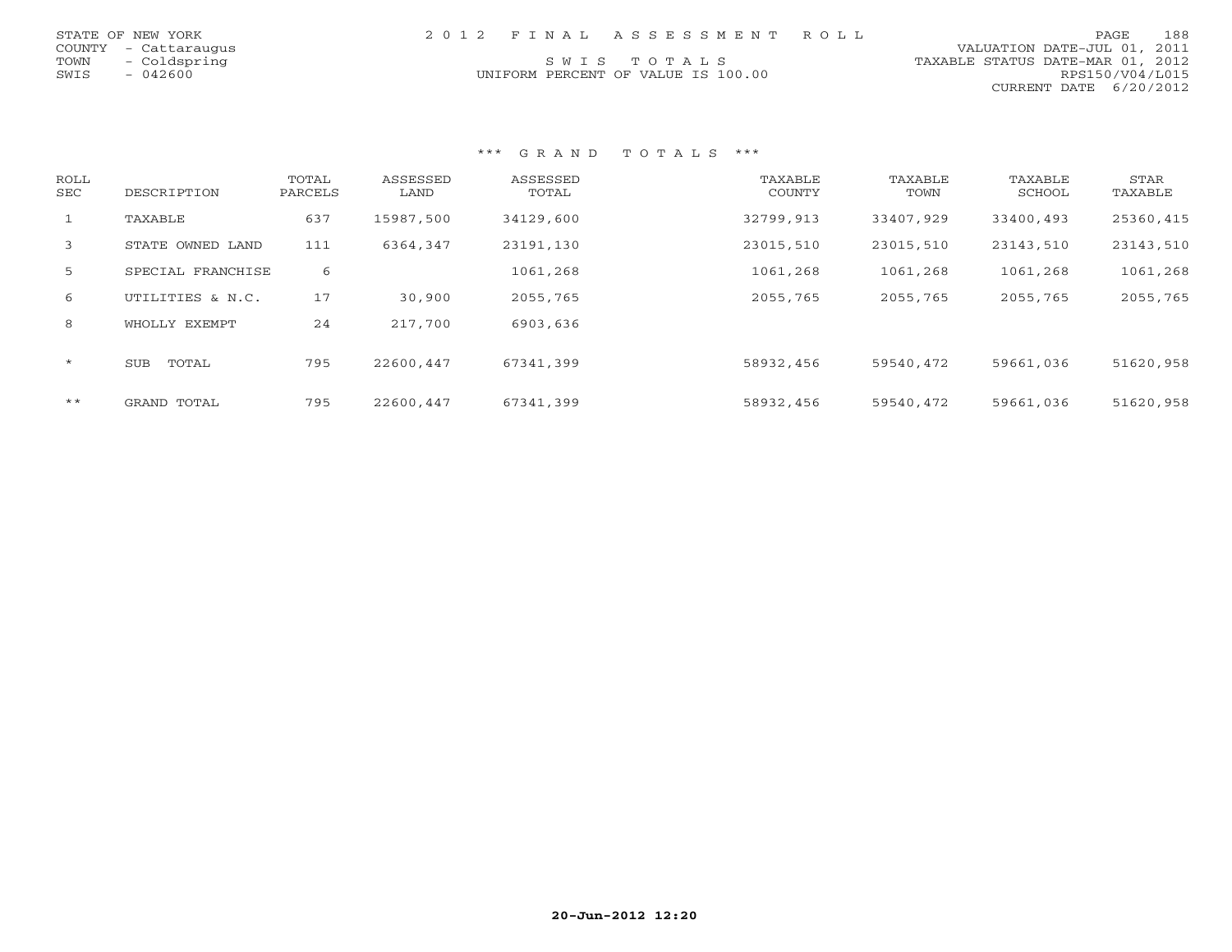|      | STATE OF NEW YORK    |  | 2012 FINAL ASSESSMENT ROLL         |                                  |                        | PAGE | 188 |
|------|----------------------|--|------------------------------------|----------------------------------|------------------------|------|-----|
|      | COUNTY - Cattaraugus |  |                                    | VALUATION DATE-JUL 01, 2011      |                        |      |     |
|      | TOWN - Coldspring    |  | SWIS TOTALS                        | TAXABLE STATUS DATE-MAR 01, 2012 |                        |      |     |
| SWIS | - 042600             |  | UNIFORM PERCENT OF VALUE IS 100.00 |                                  | RPS150/V04/L015        |      |     |
|      |                      |  |                                    |                                  | CURRENT DATE 6/20/2012 |      |     |

| ROLL<br>SEC  | DESCRIPTION         | TOTAL<br>PARCELS | ASSESSED<br>LAND | ASSESSED<br>TOTAL | TAXABLE<br>COUNTY | TAXABLE<br>TOWN | TAXABLE<br>SCHOOL | STAR<br>TAXABLE |
|--------------|---------------------|------------------|------------------|-------------------|-------------------|-----------------|-------------------|-----------------|
| $\mathbf{1}$ | TAXABLE             | 637              | 15987,500        | 34129,600         | 32799,913         | 33407,929       | 33400,493         | 25360,415       |
| 3            | STATE OWNED LAND    | 111              | 6364,347         | 23191,130         | 23015,510         | 23015,510       | 23143,510         | 23143,510       |
| 5            | SPECIAL FRANCHISE   | 6                |                  | 1061,268          | 1061,268          | 1061,268        | 1061,268          | 1061,268        |
| 6            | UTILITIES & N.C.    | 17               | 30,900           | 2055,765          | 2055,765          | 2055,765        | 2055,765          | 2055,765        |
| 8            | WHOLLY EXEMPT       | 24               | 217,700          | 6903,636          |                   |                 |                   |                 |
| $\star$      | TOTAL<br><b>SUB</b> | 795              | 22600,447        | 67341,399         | 58932,456         | 59540,472       | 59661,036         | 51620,958       |
| $***$        | GRAND TOTAL         | 795              | 22600,447        | 67341,399         | 58932,456         | 59540,472       | 59661,036         | 51620,958       |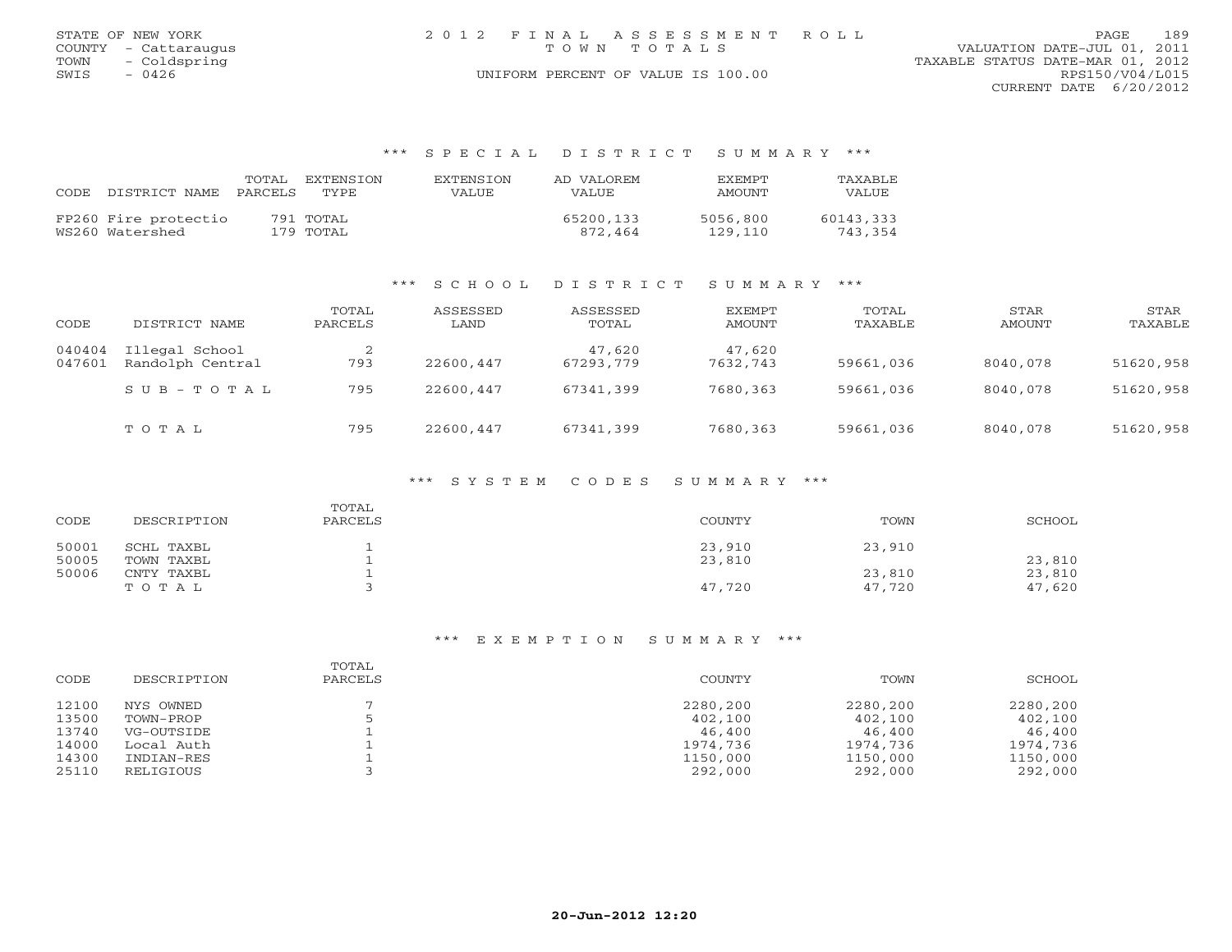|      | STATE OF NEW YORK    |  | 2012 FINAL ASSESSMENT ROLL         |                                  | PAGE            | 189 |
|------|----------------------|--|------------------------------------|----------------------------------|-----------------|-----|
|      | COUNTY - Cattaraugus |  | TOWN TOTALS                        | VALUATION DATE-JUL 01, 2011      |                 |     |
| TOWN | - Coldspring         |  |                                    | TAXABLE STATUS DATE-MAR 01, 2012 |                 |     |
| SWIS | 0426                 |  | UNIFORM PERCENT OF VALUE IS 100.00 |                                  | RPS150/V04/L015 |     |
|      |                      |  |                                    | CURRENT DATE $6/20/2012$         |                 |     |

## \*\*\* S P E C I A L D I S T R I C T S U M M A R Y \*\*\*

| CODE. | DISTRICT NAME                           | PARCELS | TOTAL EXTENSION<br>TYPE | EXTENSION<br>VALUE | AD VALOREM<br>VALUE  | <b>EXEMPT</b><br>AMOUNT | TAXABLE<br>VALUE     |
|-------|-----------------------------------------|---------|-------------------------|--------------------|----------------------|-------------------------|----------------------|
|       | FP260 Fire protectio<br>WS260 Watershed |         | 791 TOTAL<br>179 TOTAL  |                    | 65200,133<br>872.464 | 5056,800<br>129,110     | 60143,333<br>743,354 |

# \*\*\* S C H O O L D I S T R I C T S U M M A R Y \*\*\*

| CODE             | DISTRICT NAME                      | TOTAL<br>PARCELS | ASSESSED<br>LAND | ASSESSED<br>TOTAL   | <b>EXEMPT</b><br>AMOUNT | TOTAL<br>TAXABLE | STAR<br>AMOUNT | STAR<br>TAXABLE |
|------------------|------------------------------------|------------------|------------------|---------------------|-------------------------|------------------|----------------|-----------------|
| 040404<br>047601 | Illegal School<br>Randolph Central | 793              | 22600,447        | 47,620<br>67293,779 | 47,620<br>7632,743      | 59661,036        | 8040,078       | 51620,958       |
|                  | $SUB - TO T AL$                    | 795              | 22600,447        | 67341,399           | 7680,363                | 59661,036        | 8040,078       | 51620,958       |
|                  | TOTAL                              | 795              | 22600,447        | 67341,399           | 7680,363                | 59661,036        | 8040,078       | 51620,958       |

## \*\*\* S Y S T E M C O D E S S U M M A R Y \*\*\*

| CODE  | DESCRIPTION | TOTAL<br>PARCELS | COUNTY | TOWN   | SCHOOL |
|-------|-------------|------------------|--------|--------|--------|
| 50001 | SCHL TAXBL  |                  | 23,910 | 23,910 |        |
| 50005 | TOWN TAXBL  |                  | 23,810 |        | 23,810 |
| 50006 | CNTY TAXBL  |                  |        | 23,810 | 23,810 |
|       | TOTAL       |                  | 47,720 | 47,720 | 47,620 |

| CODE  | DESCRIPTION | TOTAL<br>PARCELS | COUNTY   | TOWN     | SCHOOL   |
|-------|-------------|------------------|----------|----------|----------|
| 12100 | NYS OWNED   |                  | 2280,200 | 2280,200 | 2280,200 |
| 13500 | TOWN-PROP   |                  | 402,100  | 402,100  | 402,100  |
| 13740 | VG-OUTSIDE  |                  | 46,400   | 46,400   | 46,400   |
| 14000 | Local Auth  |                  | 1974,736 | 1974,736 | 1974,736 |
| 14300 | INDIAN-RES  |                  | 1150,000 | 1150,000 | 1150,000 |
| 25110 | RELIGIOUS   |                  | 292,000  | 292,000  | 292,000  |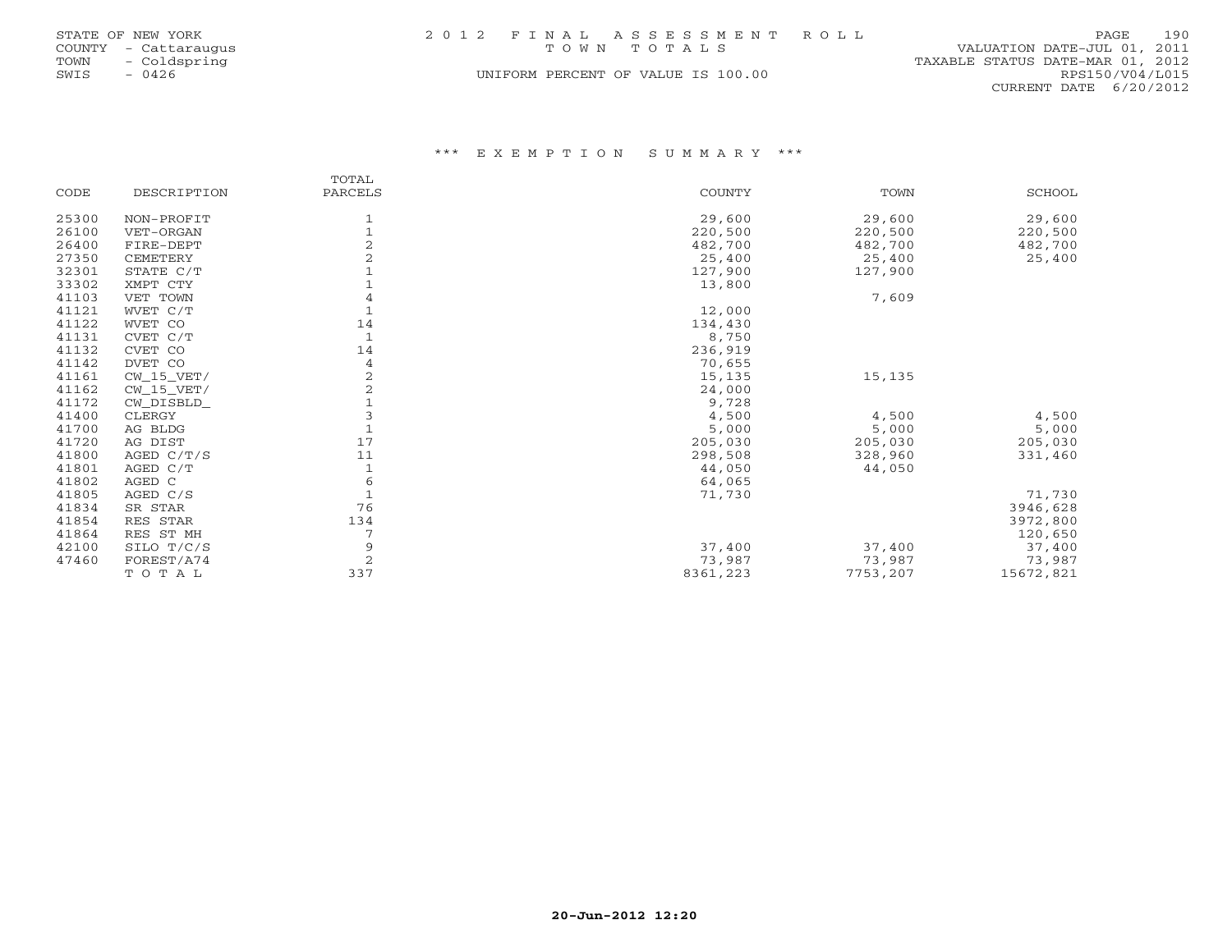|      | STATE OF NEW YORK    | 2012 FINAL ASSESSMENT ROLL         | 190<br>PAGE                      |  |
|------|----------------------|------------------------------------|----------------------------------|--|
|      | COUNTY - Cattaraugus | TOWN TOTALS                        | VALUATION DATE-JUL 01, 2011      |  |
| TOWN | - Coldspring         |                                    | TAXABLE STATUS DATE-MAR 01, 2012 |  |
| SWIS | $-0426$              | UNIFORM PERCENT OF VALUE IS 100.00 | RPS150/V04/L015                  |  |
|      |                      |                                    | CURRENT DATE 6/20/2012           |  |

|       |              | TOTAL          |          |          |           |
|-------|--------------|----------------|----------|----------|-----------|
| CODE  | DESCRIPTION  | PARCELS        | COUNTY   | TOWN     | SCHOOL    |
| 25300 | NON-PROFIT   | 1              | 29,600   | 29,600   | 29,600    |
| 26100 | VET-ORGAN    | $\mathbf{1}$   | 220,500  | 220,500  | 220,500   |
| 26400 | FIRE-DEPT    | $\overline{2}$ | 482,700  | 482,700  | 482,700   |
| 27350 | CEMETERY     |                | 25,400   | 25,400   | 25,400    |
| 32301 | STATE C/T    |                | 127,900  | 127,900  |           |
| 33302 | XMPT CTY     |                | 13,800   |          |           |
| 41103 | VET TOWN     | 4              |          | 7,609    |           |
| 41121 | WVET C/T     |                | 12,000   |          |           |
| 41122 | WVET CO      | 14             | 134,430  |          |           |
| 41131 | CVET C/T     | $\mathbf{1}$   | 8,750    |          |           |
| 41132 | CVET CO      | 14             | 236,919  |          |           |
| 41142 | DVET CO      | 4              | 70,655   |          |           |
| 41161 | $CW_15_VET/$ |                | 15,135   | 15,135   |           |
| 41162 | $CW_15_VET/$ | $\overline{2}$ | 24,000   |          |           |
| 41172 | CW_DISBLD_   |                | 9,728    |          |           |
| 41400 | CLERGY       |                | 4,500    | 4,500    | 4,500     |
| 41700 | AG BLDG      |                | 5,000    | 5,000    | 5,000     |
| 41720 | AG DIST      | 17             | 205,030  | 205,030  | 205,030   |
| 41800 | AGED $C/T/S$ | 11             | 298,508  | 328,960  | 331,460   |
| 41801 | AGED C/T     |                | 44,050   | 44,050   |           |
| 41802 | AGED C       | 6              | 64,065   |          |           |
| 41805 | AGED C/S     |                | 71,730   |          | 71,730    |
| 41834 | SR STAR      | 76             |          |          | 3946,628  |
| 41854 | RES STAR     | 134            |          |          | 3972,800  |
| 41864 | RES ST MH    |                |          |          | 120,650   |
| 42100 | SILO T/C/S   | 9              | 37,400   | 37,400   | 37,400    |
| 47460 | FOREST/A74   | 2              | 73,987   | 73,987   | 73,987    |
|       | TOTAL        | 337            | 8361,223 | 7753,207 | 15672,821 |